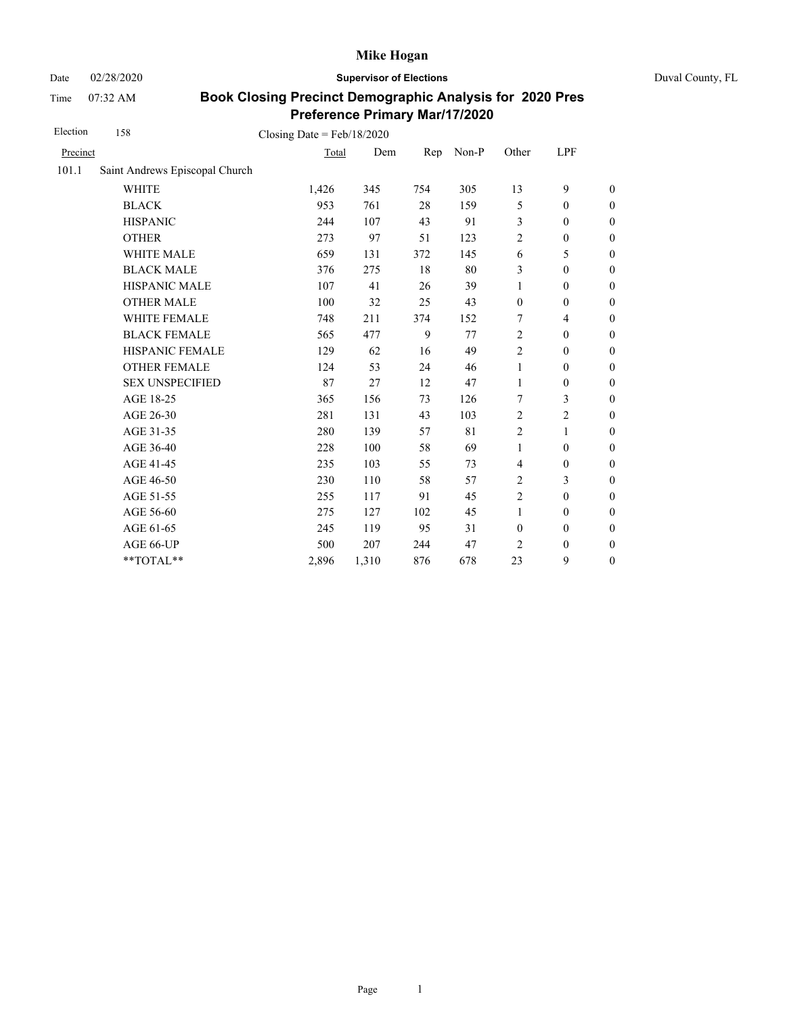Date 02/28/2020 **Supervisor of Elections** Duval County, FL

Time 07:32 AM

| Election | 158                            | Closing Date = $Feb/18/2020$ |       |     |       |                  |                  |                  |
|----------|--------------------------------|------------------------------|-------|-----|-------|------------------|------------------|------------------|
| Precinct |                                | Total                        | Dem   | Rep | Non-P | Other            | LPF              |                  |
| 101.1    | Saint Andrews Episcopal Church |                              |       |     |       |                  |                  |                  |
|          | <b>WHITE</b>                   | 1,426                        | 345   | 754 | 305   | 13               | 9                | $\boldsymbol{0}$ |
|          | <b>BLACK</b>                   | 953                          | 761   | 28  | 159   | 5                | $\boldsymbol{0}$ | $\boldsymbol{0}$ |
|          | <b>HISPANIC</b>                | 244                          | 107   | 43  | 91    | 3                | $\boldsymbol{0}$ | $\boldsymbol{0}$ |
|          | <b>OTHER</b>                   | 273                          | 97    | 51  | 123   | $\overline{2}$   | $\boldsymbol{0}$ | $\boldsymbol{0}$ |
|          | <b>WHITE MALE</b>              | 659                          | 131   | 372 | 145   | 6                | 5                | $\boldsymbol{0}$ |
|          | <b>BLACK MALE</b>              | 376                          | 275   | 18  | 80    | 3                | $\boldsymbol{0}$ | $\boldsymbol{0}$ |
|          | <b>HISPANIC MALE</b>           | 107                          | 41    | 26  | 39    | $\mathbf{1}$     | $\mathbf{0}$     | $\overline{0}$   |
|          | <b>OTHER MALE</b>              | 100                          | 32    | 25  | 43    | $\mathbf{0}$     | $\mathbf{0}$     | $\boldsymbol{0}$ |
|          | WHITE FEMALE                   | 748                          | 211   | 374 | 152   | 7                | $\overline{4}$   | $\boldsymbol{0}$ |
|          | <b>BLACK FEMALE</b>            | 565                          | 477   | 9   | 77    | $\overline{2}$   | $\mathbf{0}$     | $\boldsymbol{0}$ |
|          | HISPANIC FEMALE                | 129                          | 62    | 16  | 49    | $\overline{2}$   | $\boldsymbol{0}$ | $\overline{0}$   |
|          | <b>OTHER FEMALE</b>            | 124                          | 53    | 24  | 46    | $\mathbf{1}$     | $\overline{0}$   | $\overline{0}$   |
|          | <b>SEX UNSPECIFIED</b>         | 87                           | 27    | 12  | 47    | $\mathbf{1}$     | $\mathbf{0}$     | $\boldsymbol{0}$ |
|          | AGE 18-25                      | 365                          | 156   | 73  | 126   | 7                | 3                | $\boldsymbol{0}$ |
|          | AGE 26-30                      | 281                          | 131   | 43  | 103   | $\overline{2}$   | $\overline{c}$   | $\overline{0}$   |
|          | AGE 31-35                      | 280                          | 139   | 57  | 81    | $\overline{2}$   | 1                | $\boldsymbol{0}$ |
|          | AGE 36-40                      | 228                          | 100   | 58  | 69    | $\mathbf{1}$     | $\boldsymbol{0}$ | $\boldsymbol{0}$ |
|          | AGE 41-45                      | 235                          | 103   | 55  | 73    | 4                | $\boldsymbol{0}$ | $\overline{0}$   |
|          | AGE 46-50                      | 230                          | 110   | 58  | 57    | $\overline{c}$   | 3                | $\boldsymbol{0}$ |
|          | AGE 51-55                      | 255                          | 117   | 91  | 45    | $\sqrt{2}$       | $\boldsymbol{0}$ | $\boldsymbol{0}$ |
|          | AGE 56-60                      | 275                          | 127   | 102 | 45    | $\mathbf{1}$     | $\mathbf{0}$     | $\boldsymbol{0}$ |
|          | AGE 61-65                      | 245                          | 119   | 95  | 31    | $\boldsymbol{0}$ | $\boldsymbol{0}$ | $\boldsymbol{0}$ |
|          | AGE 66-UP                      | 500                          | 207   | 244 | 47    | $\overline{c}$   | $\boldsymbol{0}$ | $\boldsymbol{0}$ |
|          | **TOTAL**                      | 2,896                        | 1,310 | 876 | 678   | 23               | 9                | $\boldsymbol{0}$ |
|          |                                |                              |       |     |       |                  |                  |                  |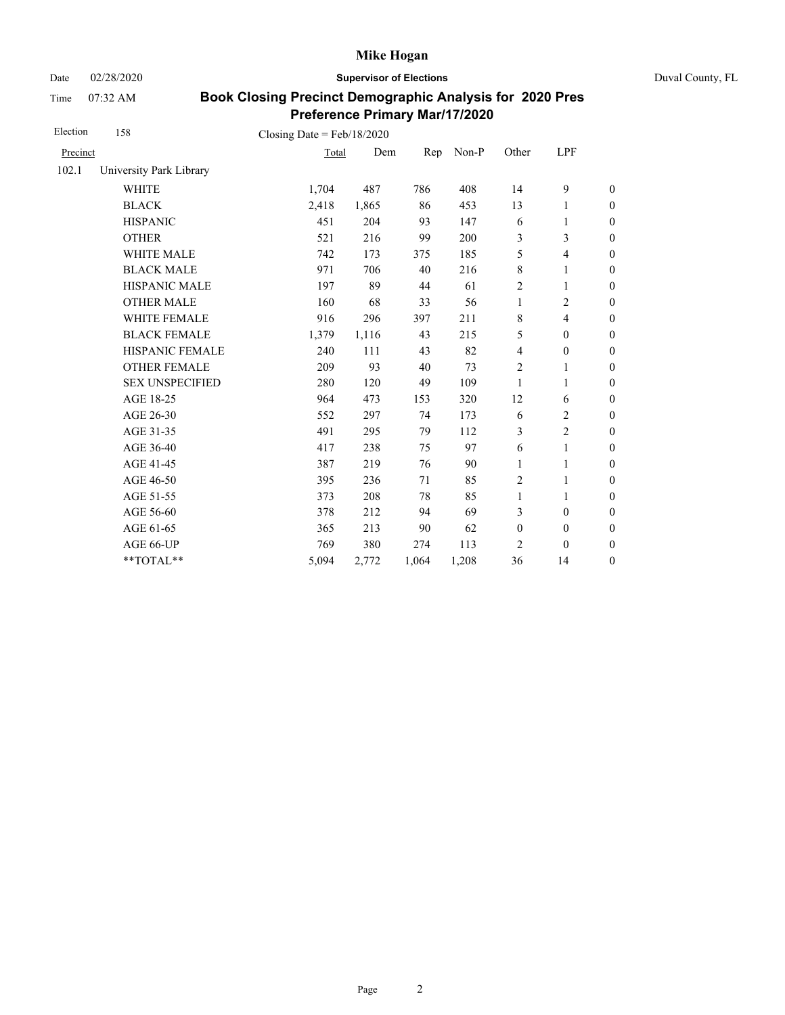Date 02/28/2020 **Supervisor of Elections** Duval County, FL

Time 07:32 AM

| Election | 158                     | Closing Date = $Feb/18/2020$ |       |       |       |                         |                  |                  |
|----------|-------------------------|------------------------------|-------|-------|-------|-------------------------|------------------|------------------|
| Precinct |                         | Total                        | Dem   | Rep   | Non-P | Other                   | LPF              |                  |
| 102.1    | University Park Library |                              |       |       |       |                         |                  |                  |
|          | <b>WHITE</b>            | 1,704                        | 487   | 786   | 408   | 14                      | 9                | $\boldsymbol{0}$ |
|          | <b>BLACK</b>            | 2,418                        | 1,865 | 86    | 453   | 13                      | 1                | $\boldsymbol{0}$ |
|          | <b>HISPANIC</b>         | 451                          | 204   | 93    | 147   | 6                       | 1                | $\boldsymbol{0}$ |
|          | <b>OTHER</b>            | 521                          | 216   | 99    | 200   | 3                       | 3                | $\overline{0}$   |
|          | WHITE MALE              | 742                          | 173   | 375   | 185   | 5                       | 4                | $\boldsymbol{0}$ |
|          | <b>BLACK MALE</b>       | 971                          | 706   | 40    | 216   | $\,8\,$                 | 1                | $\boldsymbol{0}$ |
|          | <b>HISPANIC MALE</b>    | 197                          | 89    | 44    | 61    | $\overline{c}$          | $\mathbf{1}$     | $\overline{0}$   |
|          | <b>OTHER MALE</b>       | 160                          | 68    | 33    | 56    | 1                       | $\overline{c}$   | $\boldsymbol{0}$ |
|          | WHITE FEMALE            | 916                          | 296   | 397   | 211   | $\,8\,$                 | $\overline{4}$   | $\boldsymbol{0}$ |
|          | <b>BLACK FEMALE</b>     | 1,379                        | 1,116 | 43    | 215   | 5                       | $\mathbf{0}$     | $\boldsymbol{0}$ |
|          | HISPANIC FEMALE         | 240                          | 111   | 43    | 82    | $\overline{\mathbf{4}}$ | $\boldsymbol{0}$ | $\boldsymbol{0}$ |
|          | <b>OTHER FEMALE</b>     | 209                          | 93    | 40    | 73    | 2                       | 1                | $\boldsymbol{0}$ |
|          | <b>SEX UNSPECIFIED</b>  | 280                          | 120   | 49    | 109   | 1                       | 1                | $\boldsymbol{0}$ |
|          | AGE 18-25               | 964                          | 473   | 153   | 320   | 12                      | 6                | $\boldsymbol{0}$ |
|          | AGE 26-30               | 552                          | 297   | 74    | 173   | 6                       | 2                | $\overline{0}$   |
|          | AGE 31-35               | 491                          | 295   | 79    | 112   | 3                       | $\overline{2}$   | $\boldsymbol{0}$ |
|          | AGE 36-40               | 417                          | 238   | 75    | 97    | 6                       | 1                | $\boldsymbol{0}$ |
|          | AGE 41-45               | 387                          | 219   | 76    | 90    | $\mathbf{1}$            | $\mathbf{1}$     | $\boldsymbol{0}$ |
|          | AGE 46-50               | 395                          | 236   | 71    | 85    | 2                       | 1                | $\boldsymbol{0}$ |
|          | AGE 51-55               | 373                          | 208   | 78    | 85    | $\mathbf{1}$            | 1                | $\boldsymbol{0}$ |
|          | AGE 56-60               | 378                          | 212   | 94    | 69    | 3                       | $\mathbf{0}$     | $\boldsymbol{0}$ |
|          | AGE 61-65               | 365                          | 213   | 90    | 62    | $\boldsymbol{0}$        | $\boldsymbol{0}$ | $\boldsymbol{0}$ |
|          | AGE 66-UP               | 769                          | 380   | 274   | 113   | 2                       | $\mathbf{0}$     | $\boldsymbol{0}$ |
|          | **TOTAL**               | 5,094                        | 2,772 | 1,064 | 1,208 | 36                      | 14               | $\boldsymbol{0}$ |
|          |                         |                              |       |       |       |                         |                  |                  |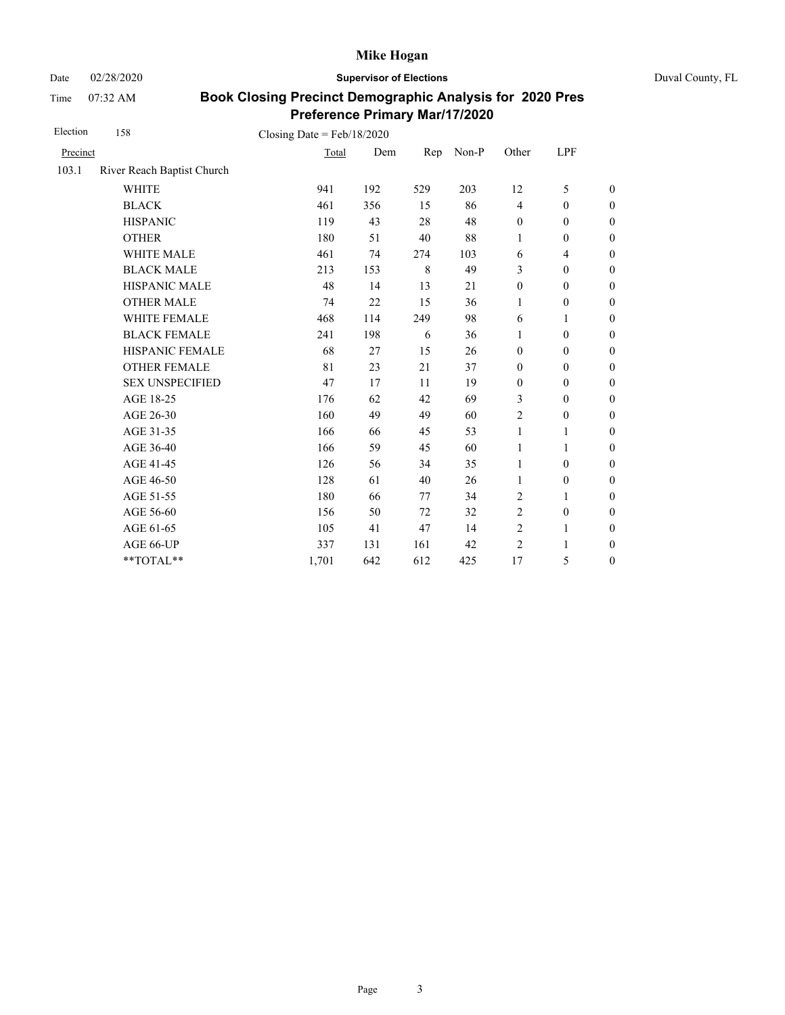Date 02/28/2020 **Supervisor of Elections** Duval County, FL

Time 07:32 AM

| Election | 158                        | Closing Date = $Feb/18/2020$ |     |     |       |                  |                          |                  |
|----------|----------------------------|------------------------------|-----|-----|-------|------------------|--------------------------|------------------|
| Precinct |                            | Total                        | Dem | Rep | Non-P | Other            | LPF                      |                  |
| 103.1    | River Reach Baptist Church |                              |     |     |       |                  |                          |                  |
|          | <b>WHITE</b>               | 941                          | 192 | 529 | 203   | 12               | 5                        | $\boldsymbol{0}$ |
|          | <b>BLACK</b>               | 461                          | 356 | 15  | 86    | $\overline{4}$   | $\boldsymbol{0}$         | $\boldsymbol{0}$ |
|          | <b>HISPANIC</b>            | 119                          | 43  | 28  | 48    | $\boldsymbol{0}$ | $\boldsymbol{0}$         | $\boldsymbol{0}$ |
|          | <b>OTHER</b>               | 180                          | 51  | 40  | 88    | $\mathbf{1}$     | $\boldsymbol{0}$         | $\boldsymbol{0}$ |
|          | WHITE MALE                 | 461                          | 74  | 274 | 103   | 6                | $\overline{\mathcal{L}}$ | $\boldsymbol{0}$ |
|          | <b>BLACK MALE</b>          | 213                          | 153 | 8   | 49    | 3                | $\boldsymbol{0}$         | $\boldsymbol{0}$ |
|          | <b>HISPANIC MALE</b>       | 48                           | 14  | 13  | 21    | $\boldsymbol{0}$ | $\boldsymbol{0}$         | $\overline{0}$   |
|          | <b>OTHER MALE</b>          | 74                           | 22  | 15  | 36    | 1                | $\boldsymbol{0}$         | $\boldsymbol{0}$ |
|          | WHITE FEMALE               | 468                          | 114 | 249 | 98    | 6                | 1                        | $\boldsymbol{0}$ |
|          | <b>BLACK FEMALE</b>        | 241                          | 198 | 6   | 36    | 1                | $\boldsymbol{0}$         | $\boldsymbol{0}$ |
|          | HISPANIC FEMALE            | 68                           | 27  | 15  | 26    | $\boldsymbol{0}$ | $\boldsymbol{0}$         | $\boldsymbol{0}$ |
|          | <b>OTHER FEMALE</b>        | 81                           | 23  | 21  | 37    | $\boldsymbol{0}$ | $\mathbf{0}$             | $\boldsymbol{0}$ |
|          | <b>SEX UNSPECIFIED</b>     | 47                           | 17  | 11  | 19    | $\mathbf{0}$     | $\boldsymbol{0}$         | $\boldsymbol{0}$ |
|          | AGE 18-25                  | 176                          | 62  | 42  | 69    | 3                | $\boldsymbol{0}$         | $\boldsymbol{0}$ |
|          | AGE 26-30                  | 160                          | 49  | 49  | 60    | $\overline{2}$   | $\boldsymbol{0}$         | $\boldsymbol{0}$ |
|          | AGE 31-35                  | 166                          | 66  | 45  | 53    | $\mathbf{1}$     | 1                        | $\boldsymbol{0}$ |
|          | AGE 36-40                  | 166                          | 59  | 45  | 60    | 1                | 1                        | $\boldsymbol{0}$ |
|          | AGE 41-45                  | 126                          | 56  | 34  | 35    | $\mathbf{1}$     | $\boldsymbol{0}$         | $\overline{0}$   |
|          | AGE 46-50                  | 128                          | 61  | 40  | 26    | 1                | $\boldsymbol{0}$         | $\boldsymbol{0}$ |
|          | AGE 51-55                  | 180                          | 66  | 77  | 34    | 2                | 1                        | $\boldsymbol{0}$ |
|          | AGE 56-60                  | 156                          | 50  | 72  | 32    | $\overline{2}$   | $\boldsymbol{0}$         | $\overline{0}$   |
|          | AGE 61-65                  | 105                          | 41  | 47  | 14    | $\overline{2}$   | $\mathbf{1}$             | $\boldsymbol{0}$ |
|          | AGE 66-UP                  | 337                          | 131 | 161 | 42    | $\overline{2}$   | 1                        | $\boldsymbol{0}$ |
|          | **TOTAL**                  | 1,701                        | 642 | 612 | 425   | 17               | 5                        | $\boldsymbol{0}$ |
|          |                            |                              |     |     |       |                  |                          |                  |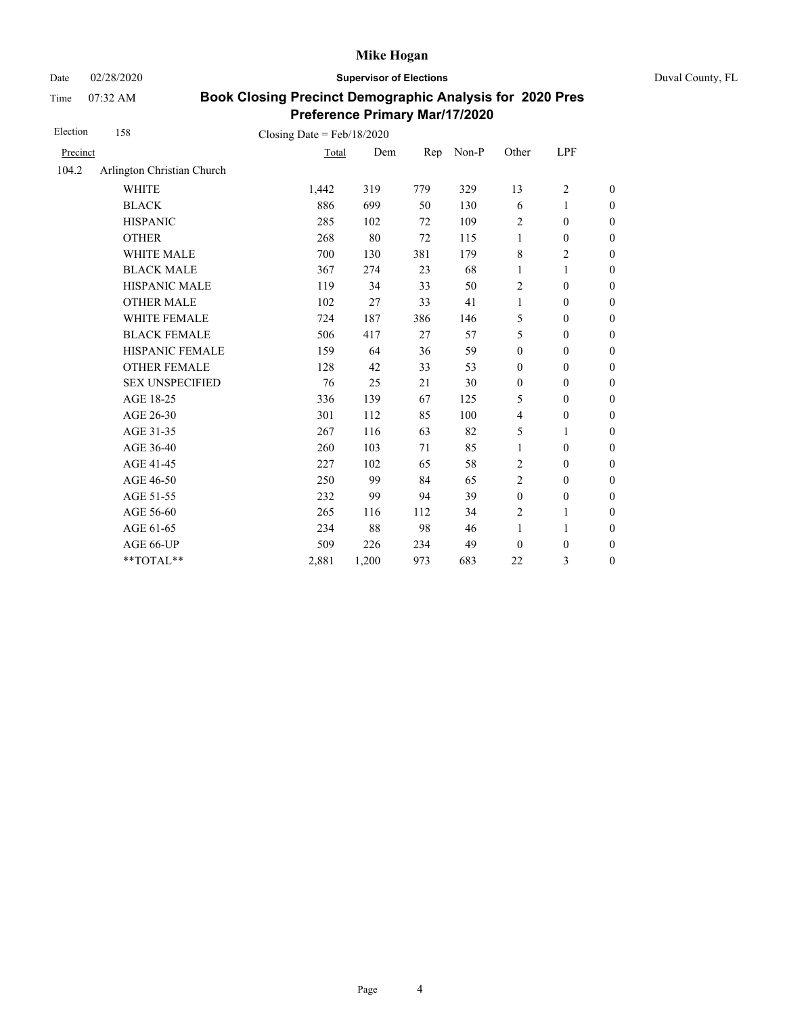Date 02/28/2020 **Supervisor of Elections** Duval County, FL

Time 07:32 AM

| Election | 158                        | Closing Date = $Feb/18/2020$ |       |     |       |                  |                  |                  |
|----------|----------------------------|------------------------------|-------|-----|-------|------------------|------------------|------------------|
| Precinct |                            | Total                        | Dem   | Rep | Non-P | Other            | LPF              |                  |
| 104.2    | Arlington Christian Church |                              |       |     |       |                  |                  |                  |
|          | <b>WHITE</b>               | 1,442                        | 319   | 779 | 329   | 13               | $\overline{c}$   | $\boldsymbol{0}$ |
|          | <b>BLACK</b>               | 886                          | 699   | 50  | 130   | 6                | 1                | $\boldsymbol{0}$ |
|          | <b>HISPANIC</b>            | 285                          | 102   | 72  | 109   | $\overline{2}$   | $\boldsymbol{0}$ | $\boldsymbol{0}$ |
|          | <b>OTHER</b>               | 268                          | 80    | 72  | 115   | $\mathbf{1}$     | $\boldsymbol{0}$ | $\overline{0}$   |
|          | WHITE MALE                 | 700                          | 130   | 381 | 179   | 8                | $\overline{c}$   | $\boldsymbol{0}$ |
|          | <b>BLACK MALE</b>          | 367                          | 274   | 23  | 68    | $\mathbf{1}$     | 1                | $\boldsymbol{0}$ |
|          | <b>HISPANIC MALE</b>       | 119                          | 34    | 33  | 50    | $\overline{2}$   | $\boldsymbol{0}$ | $\overline{0}$   |
|          | <b>OTHER MALE</b>          | 102                          | 27    | 33  | 41    | 1                | $\boldsymbol{0}$ | $\boldsymbol{0}$ |
|          | WHITE FEMALE               | 724                          | 187   | 386 | 146   | 5                | $\mathbf{0}$     | $\boldsymbol{0}$ |
|          | <b>BLACK FEMALE</b>        | 506                          | 417   | 27  | 57    | 5                | $\mathbf{0}$     | $\boldsymbol{0}$ |
|          | HISPANIC FEMALE            | 159                          | 64    | 36  | 59    | $\boldsymbol{0}$ | $\mathbf{0}$     | $\overline{0}$   |
|          | <b>OTHER FEMALE</b>        | 128                          | 42    | 33  | 53    | $\mathbf{0}$     | $\mathbf{0}$     | $\overline{0}$   |
|          | <b>SEX UNSPECIFIED</b>     | 76                           | 25    | 21  | 30    | $\boldsymbol{0}$ | $\boldsymbol{0}$ | $\boldsymbol{0}$ |
|          | AGE 18-25                  | 336                          | 139   | 67  | 125   | 5                | $\mathbf{0}$     | $\overline{0}$   |
|          | AGE 26-30                  | 301                          | 112   | 85  | 100   | $\overline{4}$   | $\boldsymbol{0}$ | $\overline{0}$   |
|          | AGE 31-35                  | 267                          | 116   | 63  | 82    | 5                | 1                | $\boldsymbol{0}$ |
|          | AGE 36-40                  | 260                          | 103   | 71  | 85    | 1                | $\boldsymbol{0}$ | 0                |
|          | AGE 41-45                  | 227                          | 102   | 65  | 58    | $\overline{2}$   | $\boldsymbol{0}$ | $\overline{0}$   |
|          | AGE 46-50                  | 250                          | 99    | 84  | 65    | 2                | $\boldsymbol{0}$ | $\boldsymbol{0}$ |
|          | AGE 51-55                  | 232                          | 99    | 94  | 39    | $\boldsymbol{0}$ | $\boldsymbol{0}$ | $\boldsymbol{0}$ |
|          | AGE 56-60                  | 265                          | 116   | 112 | 34    | $\overline{2}$   | 1                | $\overline{0}$   |
|          | AGE 61-65                  | 234                          | 88    | 98  | 46    | $\mathbf{1}$     | $\mathbf{1}$     | $\boldsymbol{0}$ |
|          | AGE 66-UP                  | 509                          | 226   | 234 | 49    | $\theta$         | $\boldsymbol{0}$ | $\boldsymbol{0}$ |
|          | **TOTAL**                  | 2,881                        | 1,200 | 973 | 683   | 22               | 3                | $\boldsymbol{0}$ |
|          |                            |                              |       |     |       |                  |                  |                  |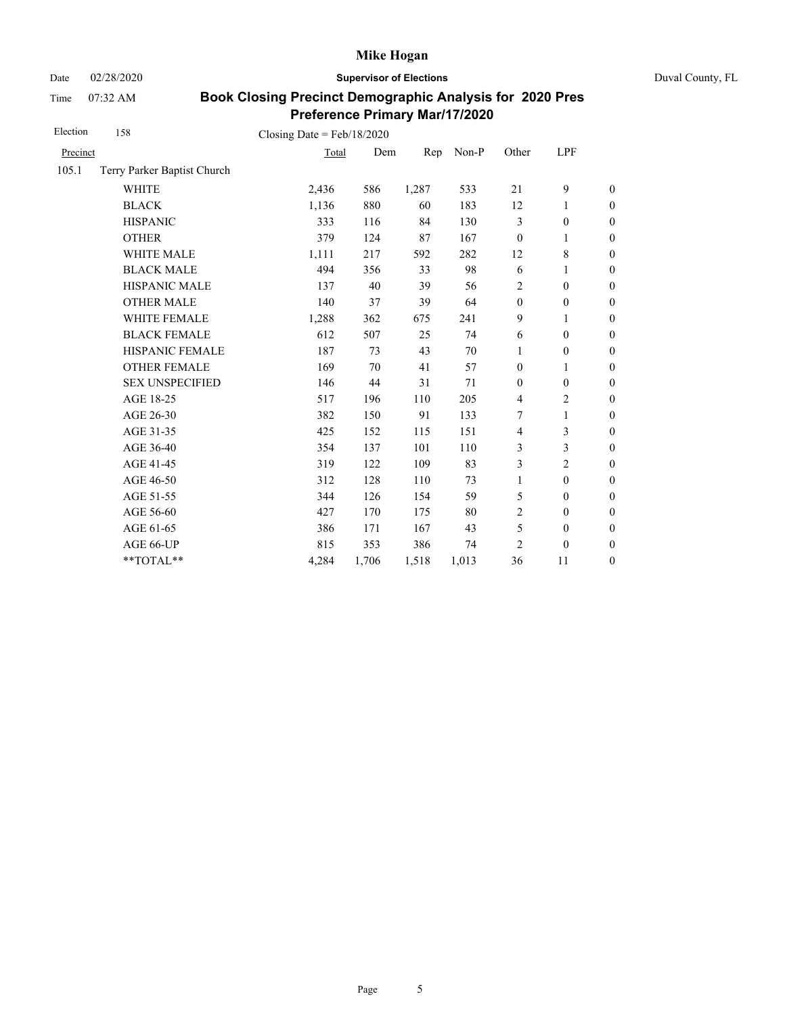Date 02/28/2020 **Supervisor of Elections** Duval County, FL

Time 07:32 AM

| Election | 158                         | Closing Date = $Feb/18/2020$ |       |       |       |                  |                  |                  |
|----------|-----------------------------|------------------------------|-------|-------|-------|------------------|------------------|------------------|
| Precinct |                             | Total                        | Dem   | Rep   | Non-P | Other            | LPF              |                  |
| 105.1    | Terry Parker Baptist Church |                              |       |       |       |                  |                  |                  |
|          | <b>WHITE</b>                | 2,436                        | 586   | 1,287 | 533   | 21               | 9                | $\boldsymbol{0}$ |
|          | <b>BLACK</b>                | 1,136                        | 880   | 60    | 183   | 12               | 1                | $\boldsymbol{0}$ |
|          | <b>HISPANIC</b>             | 333                          | 116   | 84    | 130   | 3                | $\boldsymbol{0}$ | $\mathbf{0}$     |
|          | <b>OTHER</b>                | 379                          | 124   | 87    | 167   | $\boldsymbol{0}$ | 1                | $\mathbf{0}$     |
|          | WHITE MALE                  | 1,111                        | 217   | 592   | 282   | 12               | 8                | $\mathbf{0}$     |
|          | <b>BLACK MALE</b>           | 494                          | 356   | 33    | 98    | 6                | 1                | $\boldsymbol{0}$ |
|          | <b>HISPANIC MALE</b>        | 137                          | 40    | 39    | 56    | $\overline{2}$   | $\boldsymbol{0}$ | $\overline{0}$   |
|          | <b>OTHER MALE</b>           | 140                          | 37    | 39    | 64    | $\boldsymbol{0}$ | $\boldsymbol{0}$ | $\boldsymbol{0}$ |
|          | WHITE FEMALE                | 1,288                        | 362   | 675   | 241   | 9                | 1                | $\boldsymbol{0}$ |
|          | <b>BLACK FEMALE</b>         | 612                          | 507   | 25    | 74    | 6                | $\mathbf{0}$     | $\boldsymbol{0}$ |
|          | HISPANIC FEMALE             | 187                          | 73    | 43    | 70    | 1                | $\boldsymbol{0}$ | $\boldsymbol{0}$ |
|          | <b>OTHER FEMALE</b>         | 169                          | 70    | 41    | 57    | $\boldsymbol{0}$ | 1                | $\boldsymbol{0}$ |
|          | <b>SEX UNSPECIFIED</b>      | 146                          | 44    | 31    | 71    | $\mathbf{0}$     | $\mathbf{0}$     | $\boldsymbol{0}$ |
|          | AGE 18-25                   | 517                          | 196   | 110   | 205   | $\overline{4}$   | 2                | $\boldsymbol{0}$ |
|          | AGE 26-30                   | 382                          | 150   | 91    | 133   | 7                | $\mathbf{1}$     | $\boldsymbol{0}$ |
|          | AGE 31-35                   | 425                          | 152   | 115   | 151   | $\overline{4}$   | 3                | $\boldsymbol{0}$ |
|          | AGE 36-40                   | 354                          | 137   | 101   | 110   | 3                | 3                | $\boldsymbol{0}$ |
|          | AGE 41-45                   | 319                          | 122   | 109   | 83    | 3                | $\overline{2}$   | $\overline{0}$   |
|          | AGE 46-50                   | 312                          | 128   | 110   | 73    | $\mathbf{1}$     | $\mathbf{0}$     | $\boldsymbol{0}$ |
|          | AGE 51-55                   | 344                          | 126   | 154   | 59    | 5                | $\mathbf{0}$     | $\boldsymbol{0}$ |
|          | AGE 56-60                   | 427                          | 170   | 175   | 80    | $\overline{c}$   | $\mathbf{0}$     | $\overline{0}$   |
|          | AGE 61-65                   | 386                          | 171   | 167   | 43    | 5                | $\boldsymbol{0}$ | $\boldsymbol{0}$ |
|          | AGE 66-UP                   | 815                          | 353   | 386   | 74    | $\overline{c}$   | $\mathbf{0}$     | $\boldsymbol{0}$ |
|          | **TOTAL**                   | 4,284                        | 1,706 | 1,518 | 1,013 | 36               | 11               | $\boldsymbol{0}$ |
|          |                             |                              |       |       |       |                  |                  |                  |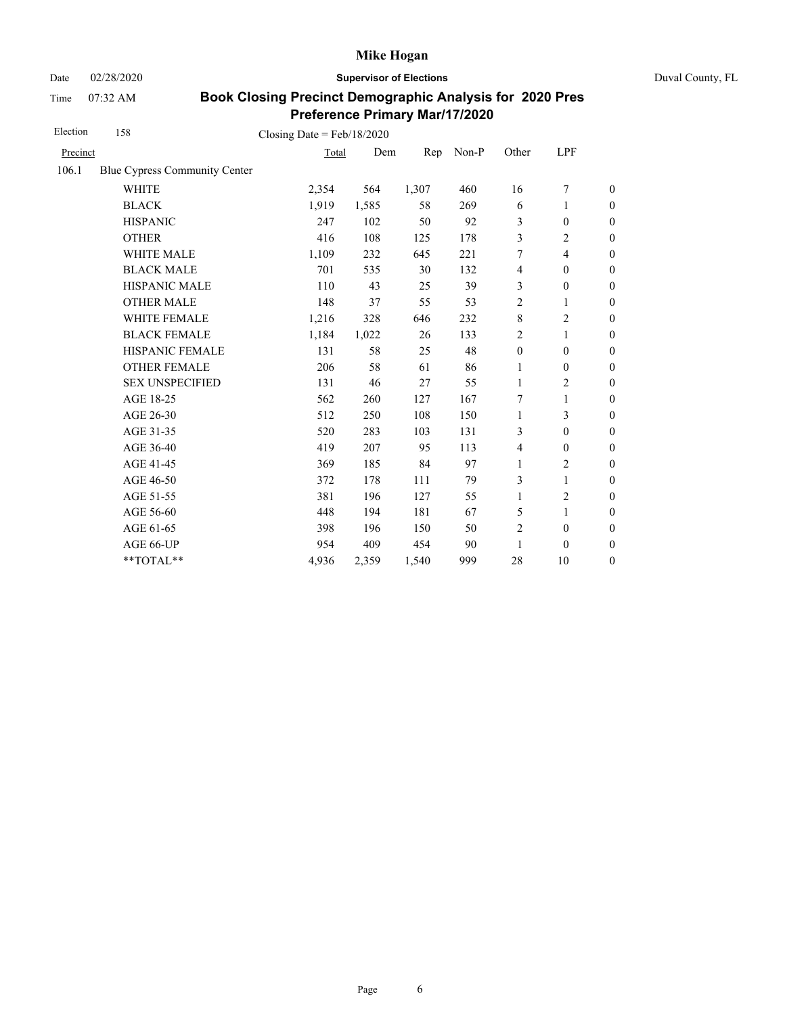Date 02/28/2020 **Supervisor of Elections** Duval County, FL

Time 07:32 AM

| Election | 158                           | Closing Date = $Feb/18/2020$ |       |       |       |                  |                  |                  |
|----------|-------------------------------|------------------------------|-------|-------|-------|------------------|------------------|------------------|
| Precinct |                               | Total                        | Dem   | Rep   | Non-P | Other            | LPF              |                  |
| 106.1    | Blue Cypress Community Center |                              |       |       |       |                  |                  |                  |
|          | <b>WHITE</b>                  | 2,354                        | 564   | 1,307 | 460   | 16               | 7                | $\boldsymbol{0}$ |
|          | <b>BLACK</b>                  | 1,919                        | 1,585 | 58    | 269   | 6                | 1                | $\boldsymbol{0}$ |
|          | <b>HISPANIC</b>               | 247                          | 102   | 50    | 92    | 3                | $\mathbf{0}$     | $\boldsymbol{0}$ |
|          | <b>OTHER</b>                  | 416                          | 108   | 125   | 178   | 3                | 2                | $\overline{0}$   |
|          | WHITE MALE                    | 1,109                        | 232   | 645   | 221   | 7                | 4                | $\boldsymbol{0}$ |
|          | <b>BLACK MALE</b>             | 701                          | 535   | 30    | 132   | 4                | $\mathbf{0}$     | $\boldsymbol{0}$ |
|          | <b>HISPANIC MALE</b>          | 110                          | 43    | 25    | 39    | 3                | $\boldsymbol{0}$ | $\boldsymbol{0}$ |
|          | <b>OTHER MALE</b>             | 148                          | 37    | 55    | 53    | 2                | 1                | $\boldsymbol{0}$ |
|          | <b>WHITE FEMALE</b>           | 1,216                        | 328   | 646   | 232   | $\,$ 8 $\,$      | 2                | $\boldsymbol{0}$ |
|          | <b>BLACK FEMALE</b>           | 1,184                        | 1,022 | 26    | 133   | $\overline{2}$   | 1                | $\boldsymbol{0}$ |
|          | HISPANIC FEMALE               | 131                          | 58    | 25    | 48    | $\boldsymbol{0}$ | $\boldsymbol{0}$ | $\boldsymbol{0}$ |
|          | <b>OTHER FEMALE</b>           | 206                          | 58    | 61    | 86    | 1                | $\boldsymbol{0}$ | $\boldsymbol{0}$ |
|          | <b>SEX UNSPECIFIED</b>        | 131                          | 46    | 27    | 55    | 1                | 2                | $\boldsymbol{0}$ |
|          | AGE 18-25                     | 562                          | 260   | 127   | 167   | 7                | 1                | $\boldsymbol{0}$ |
|          | AGE 26-30                     | 512                          | 250   | 108   | 150   | $\mathbf{1}$     | 3                | $\boldsymbol{0}$ |
|          | AGE 31-35                     | 520                          | 283   | 103   | 131   | 3                | $\mathbf{0}$     | $\boldsymbol{0}$ |
|          | AGE 36-40                     | 419                          | 207   | 95    | 113   | 4                | $\mathbf{0}$     | $\boldsymbol{0}$ |
|          | AGE 41-45                     | 369                          | 185   | 84    | 97    | $\mathbf{1}$     | $\overline{2}$   | $\boldsymbol{0}$ |
|          | AGE 46-50                     | 372                          | 178   | 111   | 79    | 3                | 1                | $\mathbf{0}$     |
|          | AGE 51-55                     | 381                          | 196   | 127   | 55    | $\mathbf{1}$     | 2                | $\boldsymbol{0}$ |
|          | AGE 56-60                     | 448                          | 194   | 181   | 67    | 5                | 1                | $\boldsymbol{0}$ |
|          | AGE 61-65                     | 398                          | 196   | 150   | 50    | $\overline{2}$   | $\boldsymbol{0}$ | $\mathbf{0}$     |
|          | AGE 66-UP                     | 954                          | 409   | 454   | 90    | 1                | $\boldsymbol{0}$ | $\boldsymbol{0}$ |
|          | **TOTAL**                     | 4,936                        | 2,359 | 1,540 | 999   | 28               | 10               | $\boldsymbol{0}$ |
|          |                               |                              |       |       |       |                  |                  |                  |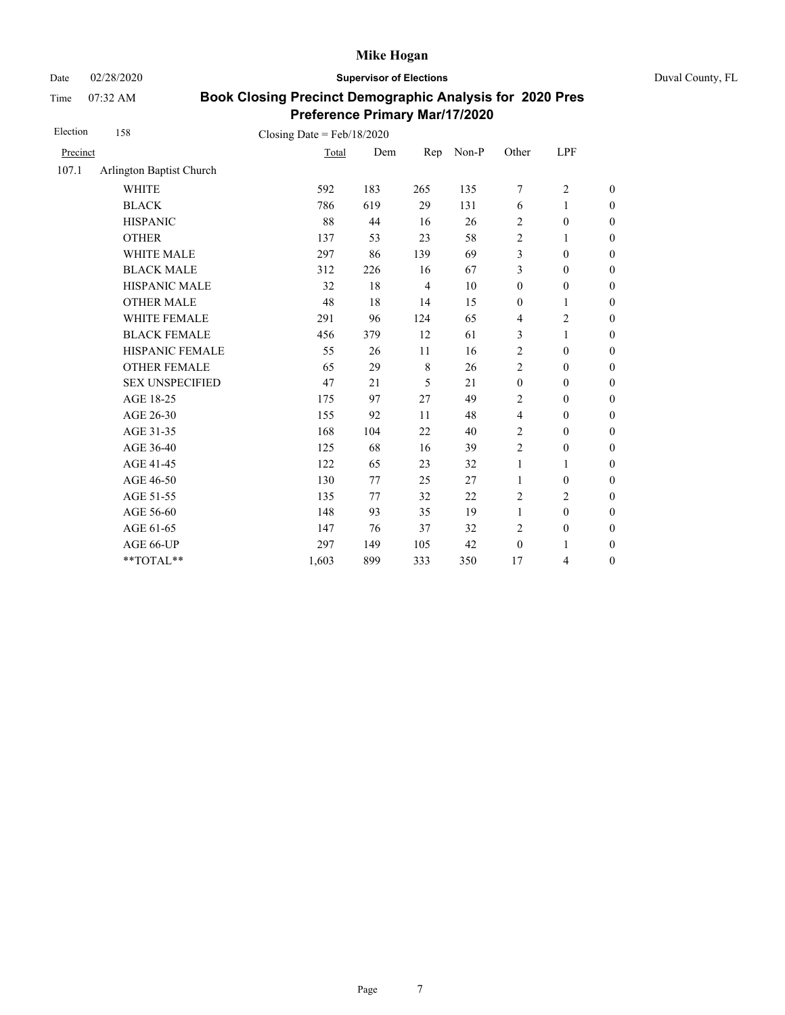Date 02/28/2020 **Supervisor of Elections** Duval County, FL

Time 07:32 AM

| Election | 158                      | Closing Date = $Feb/18/2020$ |     |                |       |                  |                  |                  |
|----------|--------------------------|------------------------------|-----|----------------|-------|------------------|------------------|------------------|
| Precinct |                          | Total                        | Dem | Rep            | Non-P | Other            | LPF              |                  |
| 107.1    | Arlington Baptist Church |                              |     |                |       |                  |                  |                  |
|          | <b>WHITE</b>             | 592                          | 183 | 265            | 135   | 7                | $\overline{c}$   | $\boldsymbol{0}$ |
|          | <b>BLACK</b>             | 786                          | 619 | 29             | 131   | 6                | 1                | $\boldsymbol{0}$ |
|          | <b>HISPANIC</b>          | 88                           | 44  | 16             | 26    | $\overline{2}$   | $\boldsymbol{0}$ | $\boldsymbol{0}$ |
|          | <b>OTHER</b>             | 137                          | 53  | 23             | 58    | $\sqrt{2}$       | 1                | $\boldsymbol{0}$ |
|          | WHITE MALE               | 297                          | 86  | 139            | 69    | 3                | $\boldsymbol{0}$ | $\boldsymbol{0}$ |
|          | <b>BLACK MALE</b>        | 312                          | 226 | 16             | 67    | 3                | $\boldsymbol{0}$ | $\boldsymbol{0}$ |
|          | HISPANIC MALE            | 32                           | 18  | $\overline{4}$ | 10    | $\boldsymbol{0}$ | $\boldsymbol{0}$ | $\overline{0}$   |
|          | <b>OTHER MALE</b>        | 48                           | 18  | 14             | 15    | $\boldsymbol{0}$ | 1                | $\boldsymbol{0}$ |
|          | WHITE FEMALE             | 291                          | 96  | 124            | 65    | 4                | $\overline{c}$   | $\boldsymbol{0}$ |
|          | <b>BLACK FEMALE</b>      | 456                          | 379 | 12             | 61    | 3                | 1                | $\overline{0}$   |
|          | HISPANIC FEMALE          | 55                           | 26  | 11             | 16    | $\overline{c}$   | $\boldsymbol{0}$ | $\boldsymbol{0}$ |
|          | <b>OTHER FEMALE</b>      | 65                           | 29  | $\,8\,$        | 26    | $\overline{2}$   | $\mathbf{0}$     | $\overline{0}$   |
|          | <b>SEX UNSPECIFIED</b>   | 47                           | 21  | 5              | 21    | $\boldsymbol{0}$ | $\boldsymbol{0}$ | $\boldsymbol{0}$ |
|          | AGE 18-25                | 175                          | 97  | 27             | 49    | $\overline{2}$   | $\mathbf{0}$     | $\overline{0}$   |
|          | AGE 26-30                | 155                          | 92  | 11             | 48    | $\overline{4}$   | $\mathbf{0}$     | $\overline{0}$   |
|          | AGE 31-35                | 168                          | 104 | 22             | 40    | $\overline{2}$   | $\mathbf{0}$     | $\boldsymbol{0}$ |
|          | AGE 36-40                | 125                          | 68  | 16             | 39    | $\overline{2}$   | $\mathbf{0}$     | $\boldsymbol{0}$ |
|          | AGE 41-45                | 122                          | 65  | 23             | 32    | 1                | 1                | $\overline{0}$   |
|          | AGE 46-50                | 130                          | 77  | 25             | 27    | $\mathbf{1}$     | $\mathbf{0}$     | $\boldsymbol{0}$ |
|          | AGE 51-55                | 135                          | 77  | 32             | 22    | $\overline{2}$   | $\overline{c}$   | $\overline{0}$   |
|          | AGE 56-60                | 148                          | 93  | 35             | 19    | $\mathbf{1}$     | $\mathbf{0}$     | $\overline{0}$   |
|          | AGE 61-65                | 147                          | 76  | 37             | 32    | $\overline{2}$   | $\boldsymbol{0}$ | $\boldsymbol{0}$ |
|          | AGE 66-UP                | 297                          | 149 | 105            | 42    | $\mathbf{0}$     | 1                | $\boldsymbol{0}$ |
|          | $**TOTAL**$              | 1,603                        | 899 | 333            | 350   | 17               | 4                | $\boldsymbol{0}$ |
|          |                          |                              |     |                |       |                  |                  |                  |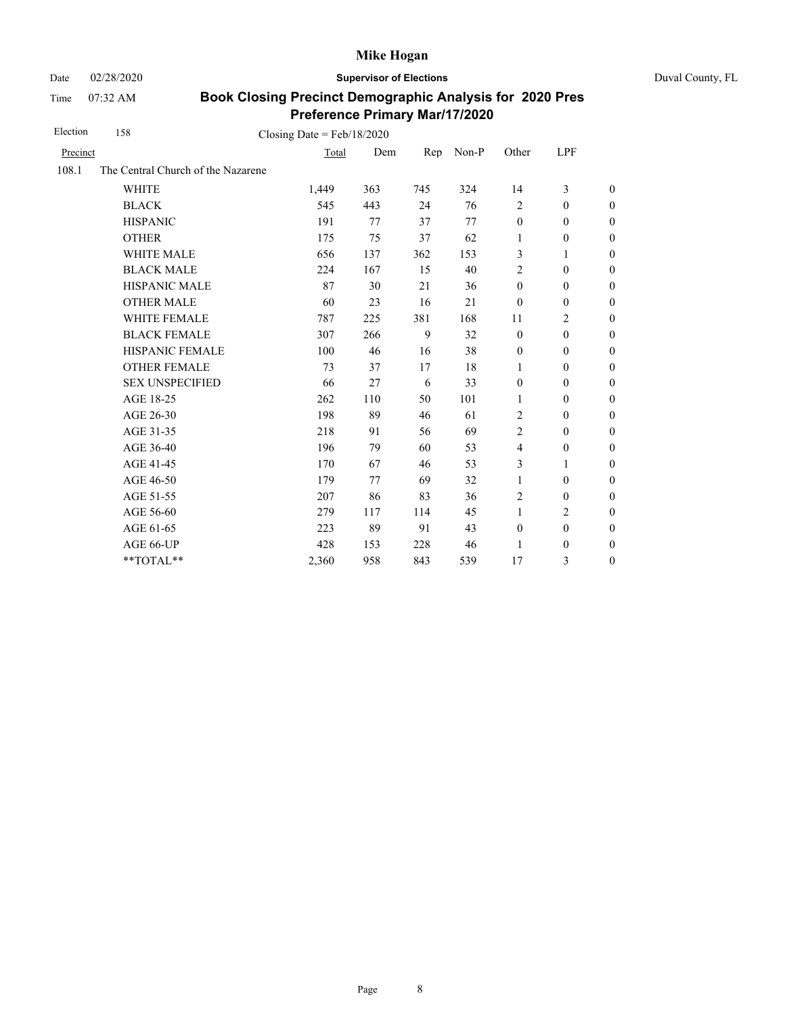Date 02/28/2020 **Supervisor of Elections** Duval County, FL

Time 07:32 AM

| Election | 158                                | Closing Date = $Feb/18/2020$ |     |     |       |                  |                  |                  |
|----------|------------------------------------|------------------------------|-----|-----|-------|------------------|------------------|------------------|
| Precinct |                                    | Total                        | Dem | Rep | Non-P | Other            | <b>LPF</b>       |                  |
| 108.1    | The Central Church of the Nazarene |                              |     |     |       |                  |                  |                  |
|          | <b>WHITE</b>                       | 1,449                        | 363 | 745 | 324   | 14               | 3                | $\theta$         |
|          | <b>BLACK</b>                       | 545                          | 443 | 24  | 76    | 2                | $\mathbf{0}$     | $\boldsymbol{0}$ |
|          | <b>HISPANIC</b>                    | 191                          | 77  | 37  | 77    | $\mathbf{0}$     | $\mathbf{0}$     | $\boldsymbol{0}$ |
|          | <b>OTHER</b>                       | 175                          | 75  | 37  | 62    | 1                | $\boldsymbol{0}$ | $\theta$         |
|          | WHITE MALE                         | 656                          | 137 | 362 | 153   | 3                | 1                | $\mathbf{0}$     |
|          | <b>BLACK MALE</b>                  | 224                          | 167 | 15  | 40    | $\overline{2}$   | $\mathbf{0}$     | $\boldsymbol{0}$ |
|          | <b>HISPANIC MALE</b>               | 87                           | 30  | 21  | 36    | $\mathbf{0}$     | $\mathbf{0}$     | $\overline{0}$   |
|          | <b>OTHER MALE</b>                  | 60                           | 23  | 16  | 21    | $\mathbf{0}$     | $\boldsymbol{0}$ | $\boldsymbol{0}$ |
|          | <b>WHITE FEMALE</b>                | 787                          | 225 | 381 | 168   | 11               | $\overline{c}$   | $\boldsymbol{0}$ |
|          | <b>BLACK FEMALE</b>                | 307                          | 266 | 9   | 32    | $\mathbf{0}$     | $\mathbf{0}$     | $\mathbf{0}$     |
|          | HISPANIC FEMALE                    | 100                          | 46  | 16  | 38    | $\boldsymbol{0}$ | $\boldsymbol{0}$ | $\overline{0}$   |
|          | <b>OTHER FEMALE</b>                | 73                           | 37  | 17  | 18    | 1                | $\mathbf{0}$     | $\boldsymbol{0}$ |
|          | <b>SEX UNSPECIFIED</b>             | 66                           | 27  | 6   | 33    | $\boldsymbol{0}$ | $\mathbf{0}$     | $\boldsymbol{0}$ |
|          | AGE 18-25                          | 262                          | 110 | 50  | 101   | 1                | $\mathbf{0}$     | $\boldsymbol{0}$ |
|          | AGE 26-30                          | 198                          | 89  | 46  | 61    | $\overline{2}$   | $\boldsymbol{0}$ | $\mathbf{0}$     |
|          | AGE 31-35                          | 218                          | 91  | 56  | 69    | 2                | $\overline{0}$   | $\boldsymbol{0}$ |
|          | AGE 36-40                          | 196                          | 79  | 60  | 53    | $\overline{4}$   | $\boldsymbol{0}$ | 0                |
|          | AGE 41-45                          | 170                          | 67  | 46  | 53    | 3                | 1                | $\overline{0}$   |
|          | AGE 46-50                          | 179                          | 77  | 69  | 32    | $\mathbf{1}$     | $\boldsymbol{0}$ | $\boldsymbol{0}$ |
|          | AGE 51-55                          | 207                          | 86  | 83  | 36    | $\overline{c}$   | $\mathbf{0}$     | $\boldsymbol{0}$ |
|          | AGE 56-60                          | 279                          | 117 | 114 | 45    | 1                | $\overline{c}$   | $\boldsymbol{0}$ |
|          | AGE 61-65                          | 223                          | 89  | 91  | 43    | $\boldsymbol{0}$ | $\boldsymbol{0}$ | $\boldsymbol{0}$ |
|          | AGE 66-UP                          | 428                          | 153 | 228 | 46    | 1                | $\boldsymbol{0}$ | $\boldsymbol{0}$ |
|          | **TOTAL**                          | 2,360                        | 958 | 843 | 539   | 17               | 3                | $\boldsymbol{0}$ |
|          |                                    |                              |     |     |       |                  |                  |                  |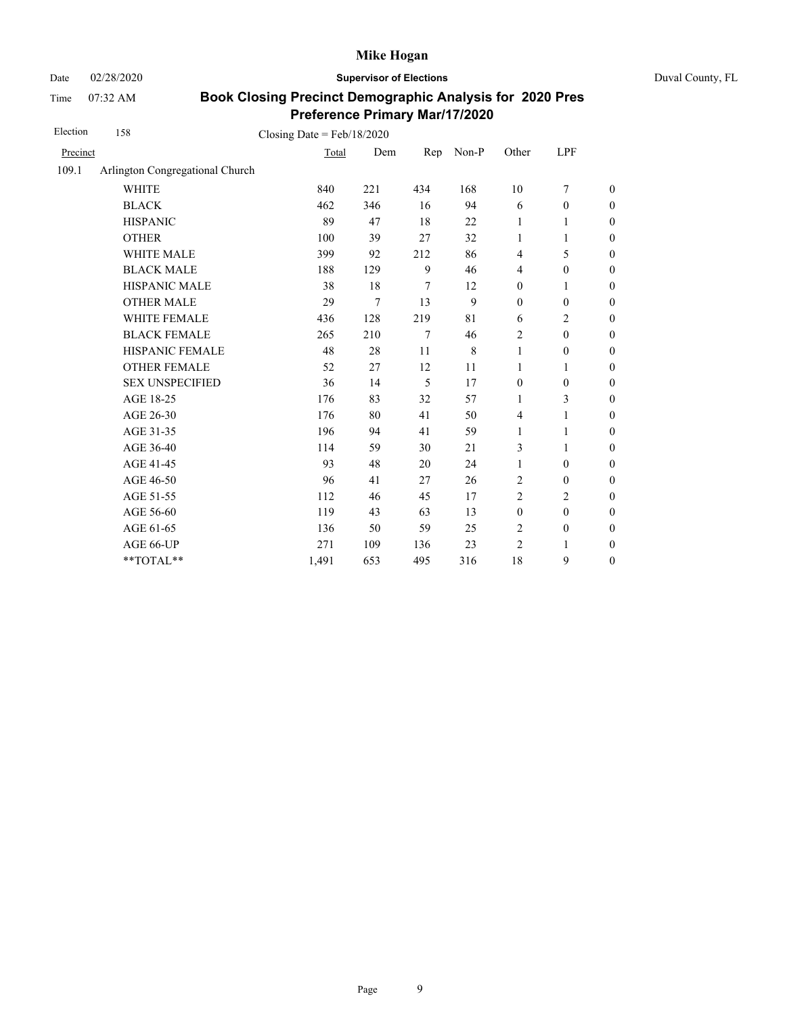Date 02/28/2020 **Supervisor of Elections** Duval County, FL

Time 07:32 AM

| Election | 158                             | Closing Date = $Feb/18/2020$ |     |     |       |                  |                  |                  |
|----------|---------------------------------|------------------------------|-----|-----|-------|------------------|------------------|------------------|
| Precinct |                                 | Total                        | Dem | Rep | Non-P | Other            | <b>LPF</b>       |                  |
| 109.1    | Arlington Congregational Church |                              |     |     |       |                  |                  |                  |
|          | <b>WHITE</b>                    | 840                          | 221 | 434 | 168   | 10               | $\tau$           | $\boldsymbol{0}$ |
|          | <b>BLACK</b>                    | 462                          | 346 | 16  | 94    | 6                | $\boldsymbol{0}$ | $\boldsymbol{0}$ |
|          | <b>HISPANIC</b>                 | 89                           | 47  | 18  | 22    | 1                | 1                | $\boldsymbol{0}$ |
|          | <b>OTHER</b>                    | 100                          | 39  | 27  | 32    | $\mathbf{1}$     | 1                | $\overline{0}$   |
|          | <b>WHITE MALE</b>               | 399                          | 92  | 212 | 86    | $\overline{4}$   | 5                | $\overline{0}$   |
|          | <b>BLACK MALE</b>               | 188                          | 129 | 9   | 46    | 4                | $\boldsymbol{0}$ | $\boldsymbol{0}$ |
|          | HISPANIC MALE                   | 38                           | 18  | 7   | 12    | $\boldsymbol{0}$ | 1                | $\boldsymbol{0}$ |
|          | <b>OTHER MALE</b>               | 29                           | 7   | 13  | 9     | $\boldsymbol{0}$ | $\boldsymbol{0}$ | $\boldsymbol{0}$ |
|          | WHITE FEMALE                    | 436                          | 128 | 219 | 81    | 6                | $\overline{c}$   | $\boldsymbol{0}$ |
|          | <b>BLACK FEMALE</b>             | 265                          | 210 | 7   | 46    | $\overline{2}$   | $\boldsymbol{0}$ | $\boldsymbol{0}$ |
|          | HISPANIC FEMALE                 | 48                           | 28  | 11  | 8     | $\mathbf{1}$     | $\boldsymbol{0}$ | $\boldsymbol{0}$ |
|          | <b>OTHER FEMALE</b>             | 52                           | 27  | 12  | 11    | 1                | 1                | $\boldsymbol{0}$ |
|          | <b>SEX UNSPECIFIED</b>          | 36                           | 14  | 5   | 17    | $\boldsymbol{0}$ | $\boldsymbol{0}$ | $\boldsymbol{0}$ |
|          | AGE 18-25                       | 176                          | 83  | 32  | 57    | 1                | 3                | $\boldsymbol{0}$ |
|          | AGE 26-30                       | 176                          | 80  | 41  | 50    | $\overline{4}$   | $\mathbf{1}$     | $\boldsymbol{0}$ |
|          | AGE 31-35                       | 196                          | 94  | 41  | 59    | 1                | 1                | $\boldsymbol{0}$ |
|          | AGE 36-40                       | 114                          | 59  | 30  | 21    | 3                | 1                | $\boldsymbol{0}$ |
|          | AGE 41-45                       | 93                           | 48  | 20  | 24    | 1                | $\boldsymbol{0}$ | $\overline{0}$   |
|          | AGE 46-50                       | 96                           | 41  | 27  | 26    | 2                | $\boldsymbol{0}$ | $\boldsymbol{0}$ |
|          | AGE 51-55                       | 112                          | 46  | 45  | 17    | $\overline{2}$   | $\overline{c}$   | $\boldsymbol{0}$ |
|          | AGE 56-60                       | 119                          | 43  | 63  | 13    | $\boldsymbol{0}$ | $\boldsymbol{0}$ | $\boldsymbol{0}$ |
|          | AGE 61-65                       | 136                          | 50  | 59  | 25    | $\overline{2}$   | $\boldsymbol{0}$ | $\boldsymbol{0}$ |
|          | AGE 66-UP                       | 271                          | 109 | 136 | 23    | $\overline{2}$   | 1                | $\boldsymbol{0}$ |
|          | **TOTAL**                       | 1,491                        | 653 | 495 | 316   | 18               | 9                | $\boldsymbol{0}$ |
|          |                                 |                              |     |     |       |                  |                  |                  |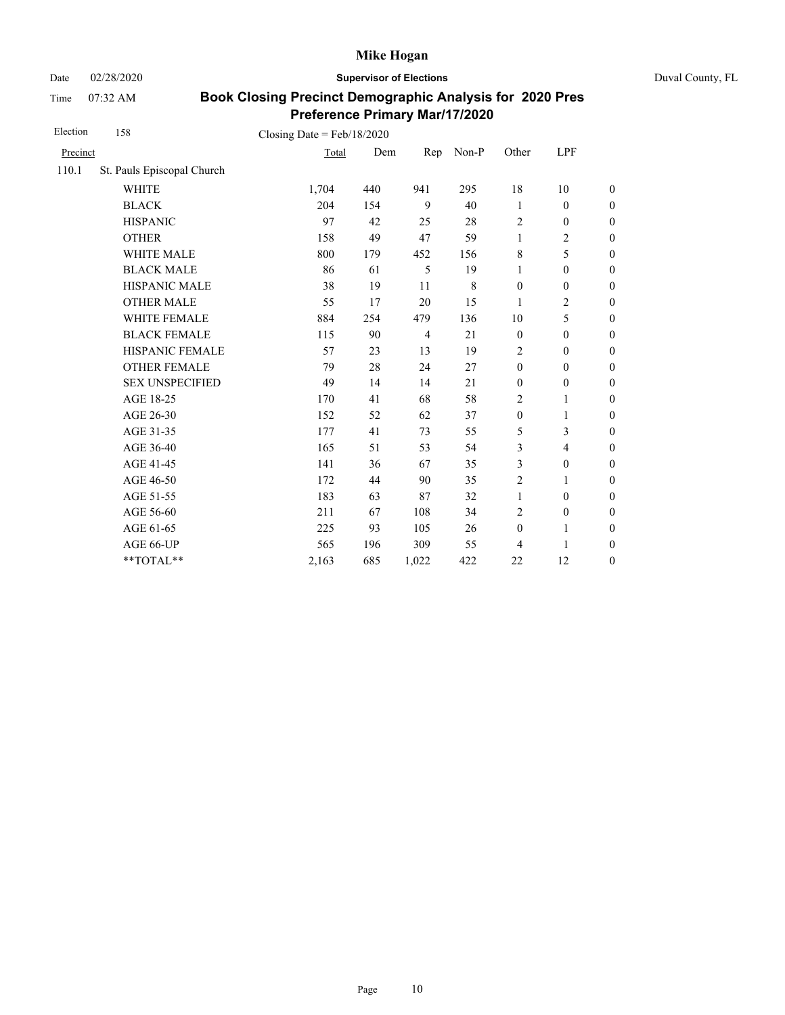Date 02/28/2020 **Supervisor of Elections** Duval County, FL

Time 07:32 AM

| Election | 158                        | Closing Date = $Feb/18/2020$ |     |                |       |                  |                          |                  |
|----------|----------------------------|------------------------------|-----|----------------|-------|------------------|--------------------------|------------------|
| Precinct |                            | Total                        | Dem | Rep            | Non-P | Other            | LPF                      |                  |
| 110.1    | St. Pauls Episcopal Church |                              |     |                |       |                  |                          |                  |
|          | <b>WHITE</b>               | 1,704                        | 440 | 941            | 295   | 18               | 10                       | $\boldsymbol{0}$ |
|          | <b>BLACK</b>               | 204                          | 154 | 9              | 40    | 1                | $\mathbf{0}$             | $\boldsymbol{0}$ |
|          | <b>HISPANIC</b>            | 97                           | 42  | 25             | 28    | $\overline{2}$   | $\boldsymbol{0}$         | $\overline{0}$   |
|          | <b>OTHER</b>               | 158                          | 49  | 47             | 59    | $\mathbf{1}$     | $\overline{c}$           | $\boldsymbol{0}$ |
|          | WHITE MALE                 | 800                          | 179 | 452            | 156   | 8                | 5                        | $\boldsymbol{0}$ |
|          | <b>BLACK MALE</b>          | 86                           | 61  | 5              | 19    | $\mathbf{1}$     | $\mathbf{0}$             | $\boldsymbol{0}$ |
|          | <b>HISPANIC MALE</b>       | 38                           | 19  | 11             | 8     | $\boldsymbol{0}$ | $\boldsymbol{0}$         | $\overline{0}$   |
|          | <b>OTHER MALE</b>          | 55                           | 17  | 20             | 15    | 1                | $\overline{2}$           | $\boldsymbol{0}$ |
|          | WHITE FEMALE               | 884                          | 254 | 479            | 136   | 10               | 5                        | $\boldsymbol{0}$ |
|          | <b>BLACK FEMALE</b>        | 115                          | 90  | $\overline{4}$ | 21    | $\boldsymbol{0}$ | $\mathbf{0}$             | $\overline{0}$   |
|          | HISPANIC FEMALE            | 57                           | 23  | 13             | 19    | 2                | $\boldsymbol{0}$         | $\boldsymbol{0}$ |
|          | <b>OTHER FEMALE</b>        | 79                           | 28  | 24             | 27    | $\mathbf{0}$     | $\mathbf{0}$             | $\boldsymbol{0}$ |
|          | <b>SEX UNSPECIFIED</b>     | 49                           | 14  | 14             | 21    | $\mathbf{0}$     | $\boldsymbol{0}$         | $\boldsymbol{0}$ |
|          | AGE 18-25                  | 170                          | 41  | 68             | 58    | $\overline{c}$   | 1                        | $\overline{0}$   |
|          | AGE 26-30                  | 152                          | 52  | 62             | 37    | $\boldsymbol{0}$ | 1                        | $\boldsymbol{0}$ |
|          | AGE 31-35                  | 177                          | 41  | 73             | 55    | 5                | 3                        | $\boldsymbol{0}$ |
|          | AGE 36-40                  | 165                          | 51  | 53             | 54    | 3                | $\overline{\mathcal{L}}$ | $\boldsymbol{0}$ |
|          | AGE 41-45                  | 141                          | 36  | 67             | 35    | 3                | $\boldsymbol{0}$         | $\overline{0}$   |
|          | AGE 46-50                  | 172                          | 44  | 90             | 35    | $\overline{c}$   | 1                        | $\boldsymbol{0}$ |
|          | AGE 51-55                  | 183                          | 63  | 87             | 32    | $\mathbf{1}$     | $\mathbf{0}$             | $\boldsymbol{0}$ |
|          | AGE 56-60                  | 211                          | 67  | 108            | 34    | $\overline{2}$   | $\boldsymbol{0}$         | $\overline{0}$   |
|          | AGE 61-65                  | 225                          | 93  | 105            | 26    | $\mathbf{0}$     | 1                        | $\boldsymbol{0}$ |
|          | AGE 66-UP                  | 565                          | 196 | 309            | 55    | 4                | 1                        | $\boldsymbol{0}$ |
|          | **TOTAL**                  | 2,163                        | 685 | 1,022          | 422   | 22               | 12                       | $\overline{0}$   |
|          |                            |                              |     |                |       |                  |                          |                  |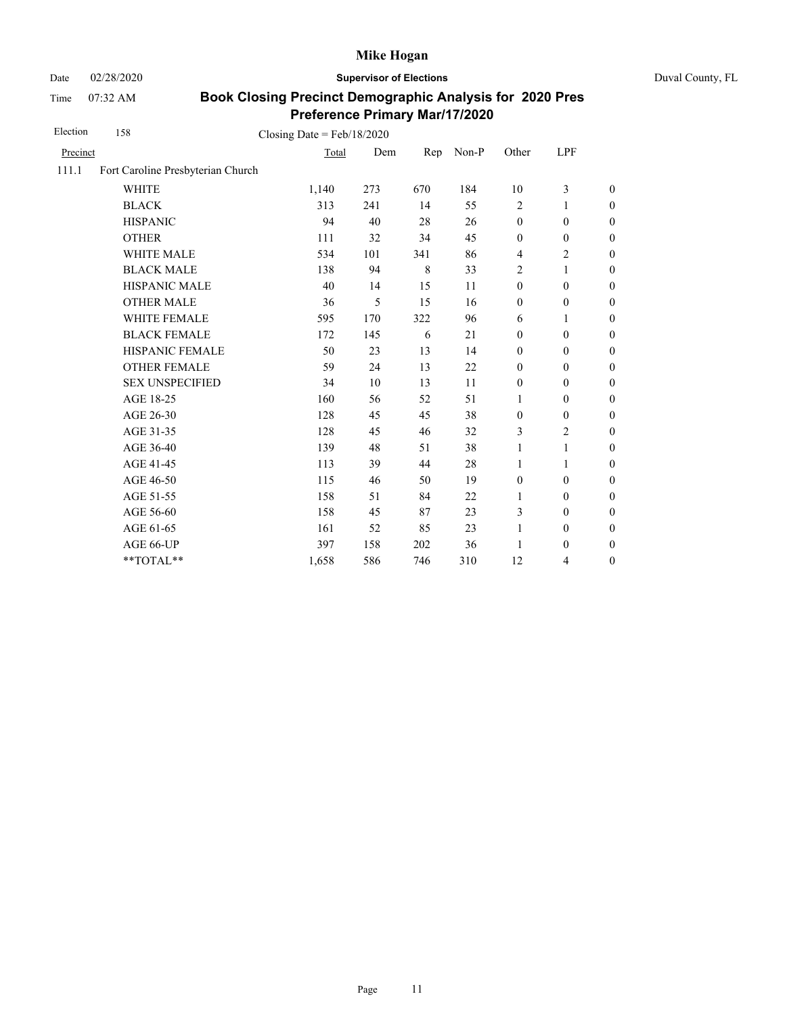Date 02/28/2020 **Supervisor of Elections** Duval County, FL

Time 07:32 AM

| Election | 158                               | Closing Date = $Feb/18/2020$ |     |     |       |                  |                  |                  |
|----------|-----------------------------------|------------------------------|-----|-----|-------|------------------|------------------|------------------|
| Precinct |                                   | Total                        | Dem | Rep | Non-P | Other            | LPF              |                  |
| 111.1    | Fort Caroline Presbyterian Church |                              |     |     |       |                  |                  |                  |
|          | <b>WHITE</b>                      | 1,140                        | 273 | 670 | 184   | 10               | 3                | $\boldsymbol{0}$ |
|          | <b>BLACK</b>                      | 313                          | 241 | 14  | 55    | $\overline{c}$   | 1                | $\boldsymbol{0}$ |
|          | <b>HISPANIC</b>                   | 94                           | 40  | 28  | 26    | $\boldsymbol{0}$ | $\boldsymbol{0}$ | $\boldsymbol{0}$ |
|          | <b>OTHER</b>                      | 111                          | 32  | 34  | 45    | $\boldsymbol{0}$ | $\boldsymbol{0}$ | $\boldsymbol{0}$ |
|          | WHITE MALE                        | 534                          | 101 | 341 | 86    | $\overline{4}$   | $\overline{c}$   | $\boldsymbol{0}$ |
|          | <b>BLACK MALE</b>                 | 138                          | 94  | 8   | 33    | $\sqrt{2}$       | 1                | $\boldsymbol{0}$ |
|          | <b>HISPANIC MALE</b>              | 40                           | 14  | 15  | 11    | $\boldsymbol{0}$ | $\boldsymbol{0}$ | $\overline{0}$   |
|          | <b>OTHER MALE</b>                 | 36                           | 5   | 15  | 16    | $\boldsymbol{0}$ | $\boldsymbol{0}$ | $\boldsymbol{0}$ |
|          | <b>WHITE FEMALE</b>               | 595                          | 170 | 322 | 96    | 6                | 1                | $\boldsymbol{0}$ |
|          | <b>BLACK FEMALE</b>               | 172                          | 145 | 6   | 21    | $\mathbf{0}$     | $\boldsymbol{0}$ | $\boldsymbol{0}$ |
|          | HISPANIC FEMALE                   | 50                           | 23  | 13  | 14    | $\boldsymbol{0}$ | $\boldsymbol{0}$ | $\boldsymbol{0}$ |
|          | <b>OTHER FEMALE</b>               | 59                           | 24  | 13  | 22    | $\mathbf{0}$     | $\mathbf{0}$     | $\overline{0}$   |
|          | <b>SEX UNSPECIFIED</b>            | 34                           | 10  | 13  | 11    | $\mathbf{0}$     | $\boldsymbol{0}$ | $\boldsymbol{0}$ |
|          | AGE 18-25                         | 160                          | 56  | 52  | 51    | 1                | $\boldsymbol{0}$ | $\boldsymbol{0}$ |
|          | AGE 26-30                         | 128                          | 45  | 45  | 38    | $\boldsymbol{0}$ | $\boldsymbol{0}$ | $\boldsymbol{0}$ |
|          | AGE 31-35                         | 128                          | 45  | 46  | 32    | 3                | $\overline{c}$   | $\boldsymbol{0}$ |
|          | AGE 36-40                         | 139                          | 48  | 51  | 38    | 1                | $\mathbf{1}$     | $\boldsymbol{0}$ |
|          | AGE 41-45                         | 113                          | 39  | 44  | 28    | $\mathbf{1}$     | $\mathbf{1}$     | $\overline{0}$   |
|          | AGE 46-50                         | 115                          | 46  | 50  | 19    | $\boldsymbol{0}$ | $\mathbf{0}$     | $\boldsymbol{0}$ |
|          | AGE 51-55                         | 158                          | 51  | 84  | 22    | $\mathbf{1}$     | $\mathbf{0}$     | $\boldsymbol{0}$ |
|          | AGE 56-60                         | 158                          | 45  | 87  | 23    | 3                | $\mathbf{0}$     | $\overline{0}$   |
|          | AGE 61-65                         | 161                          | 52  | 85  | 23    | 1                | $\boldsymbol{0}$ | $\boldsymbol{0}$ |
|          | AGE 66-UP                         | 397                          | 158 | 202 | 36    | 1                | $\boldsymbol{0}$ | $\boldsymbol{0}$ |
|          | **TOTAL**                         | 1,658                        | 586 | 746 | 310   | 12               | 4                | $\boldsymbol{0}$ |
|          |                                   |                              |     |     |       |                  |                  |                  |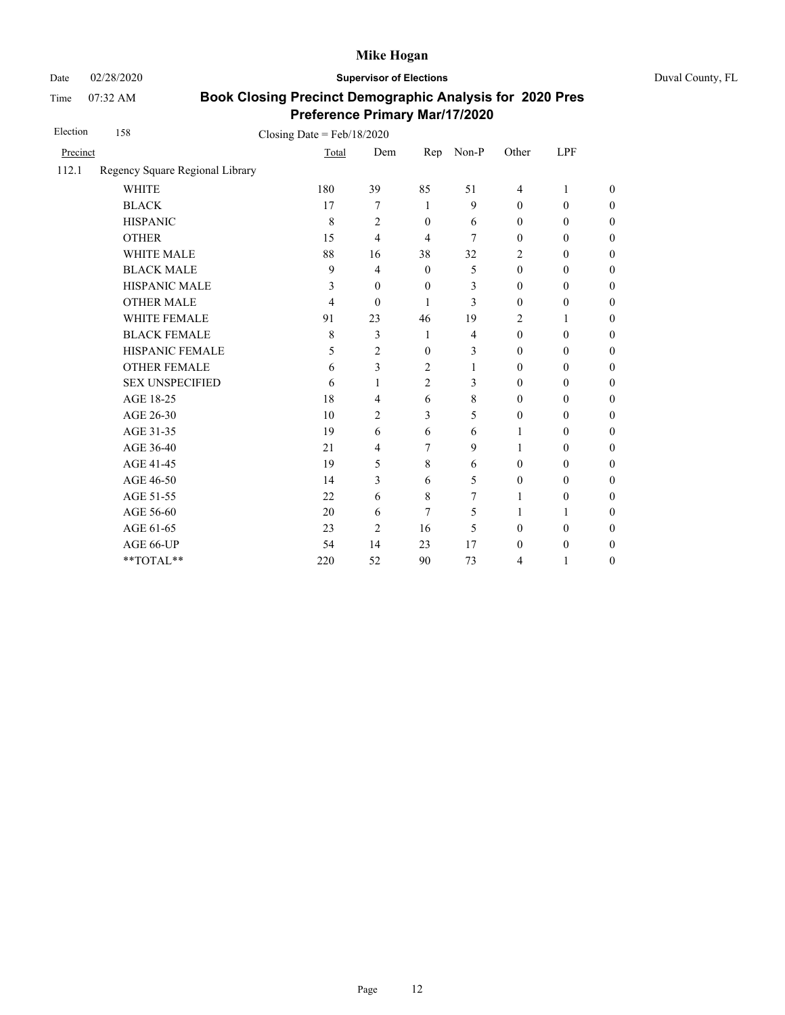Date 02/28/2020 **Supervisor of Elections** Duval County, FL

Time 07:32 AM

| Election | 158                             | Closing Date = $Feb/18/2020$ |                |                |                |                  |                  |                  |
|----------|---------------------------------|------------------------------|----------------|----------------|----------------|------------------|------------------|------------------|
| Precinct |                                 | Total                        | Dem            | Rep            | Non-P          | Other            | LPF              |                  |
| 112.1    | Regency Square Regional Library |                              |                |                |                |                  |                  |                  |
|          | <b>WHITE</b>                    | 180                          | 39             | 85             | 51             | $\overline{4}$   | 1                | $\overline{0}$   |
|          | <b>BLACK</b>                    | 17                           | 7              | 1              | 9              | $\mathbf{0}$     | $\boldsymbol{0}$ | $\boldsymbol{0}$ |
|          | <b>HISPANIC</b>                 | 8                            | $\overline{c}$ | $\theta$       | 6              | $\mathbf{0}$     | $\mathbf{0}$     | $\boldsymbol{0}$ |
|          | <b>OTHER</b>                    | 15                           | $\overline{4}$ | 4              | 7              | $\boldsymbol{0}$ | $\mathbf{0}$     | $\overline{0}$   |
|          | WHITE MALE                      | 88                           | 16             | 38             | 32             | 2                | $\mathbf{0}$     | $\boldsymbol{0}$ |
|          | <b>BLACK MALE</b>               | 9                            | $\overline{4}$ | $\theta$       | 5              | $\mathbf{0}$     | $\mathbf{0}$     | $\boldsymbol{0}$ |
|          | <b>HISPANIC MALE</b>            | 3                            | $\mathbf{0}$   | $\mathbf{0}$   | 3              | $\mathbf{0}$     | $\boldsymbol{0}$ | $\overline{0}$   |
|          | <b>OTHER MALE</b>               | 4                            | $\mathbf{0}$   | 1              | 3              | $\mathbf{0}$     | $\boldsymbol{0}$ | $\overline{0}$   |
|          | <b>WHITE FEMALE</b>             | 91                           | 23             | 46             | 19             | 2                | 1                | $\overline{0}$   |
|          | <b>BLACK FEMALE</b>             | 8                            | 3              | $\mathbf{1}$   | $\overline{4}$ | $\mathbf{0}$     | $\mathbf{0}$     | $\overline{0}$   |
|          | HISPANIC FEMALE                 | 5                            | $\overline{2}$ | $\mathbf{0}$   | 3              | $\theta$         | $\mathbf{0}$     | $\overline{0}$   |
|          | <b>OTHER FEMALE</b>             | 6                            | 3              | 2              | 1              | $\mathbf{0}$     | $\mathbf{0}$     | $\overline{0}$   |
|          | <b>SEX UNSPECIFIED</b>          | 6                            | 1              | $\overline{2}$ | 3              | $\mathbf{0}$     | $\boldsymbol{0}$ | $\boldsymbol{0}$ |
|          | AGE 18-25                       | 18                           | 4              | 6              | 8              | $\mathbf{0}$     | $\mathbf{0}$     | $\overline{0}$   |
|          | AGE 26-30                       | 10                           | $\overline{2}$ | 3              | 5              | $\mathbf{0}$     | $\mathbf{0}$     | $\overline{0}$   |
|          | AGE 31-35                       | 19                           | 6              | 6              | 6              | 1                | $\boldsymbol{0}$ | $\boldsymbol{0}$ |
|          | AGE 36-40                       | 21                           | $\overline{4}$ | 7              | 9              | 1                | $\boldsymbol{0}$ | $\boldsymbol{0}$ |
|          | AGE 41-45                       | 19                           | 5              | 8              | 6              | $\boldsymbol{0}$ | $\boldsymbol{0}$ | $\overline{0}$   |
|          | AGE 46-50                       | 14                           | 3              | 6              | 5              | $\boldsymbol{0}$ | $\boldsymbol{0}$ | $\boldsymbol{0}$ |
|          | AGE 51-55                       | 22                           | 6              | 8              | 7              | 1                | 0                | $\boldsymbol{0}$ |
|          | AGE 56-60                       | 20                           | 6              | 7              | 5              | 1                | 1                | $\overline{0}$   |
|          | AGE 61-65                       | 23                           | $\overline{2}$ | 16             | 5              | $\boldsymbol{0}$ | $\mathbf{0}$     | $\boldsymbol{0}$ |
|          | AGE 66-UP                       | 54                           | 14             | 23             | 17             | $\theta$         | $\boldsymbol{0}$ | $\overline{0}$   |
|          | **TOTAL**                       | 220                          | 52             | 90             | 73             | 4                | 1                | $\boldsymbol{0}$ |
|          |                                 |                              |                |                |                |                  |                  |                  |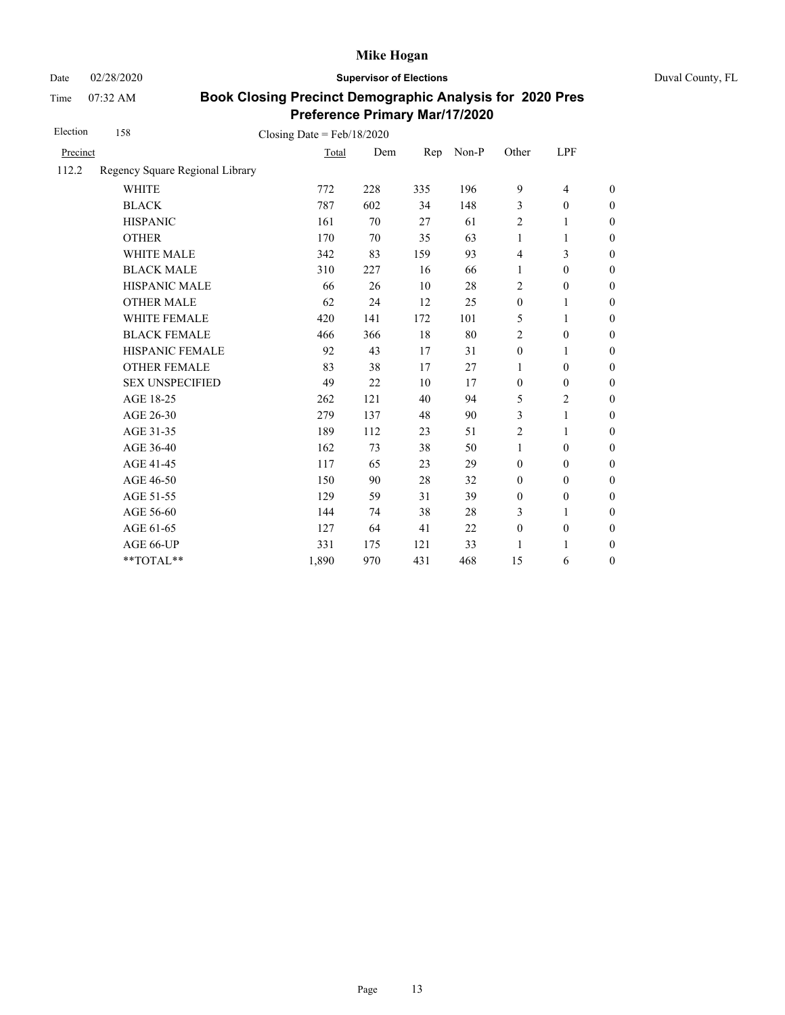Date 02/28/2020 **Supervisor of Elections** Duval County, FL

Time 07:32 AM

| Election | 158                             | Closing Date = $Feb/18/2020$ |     |     |       |                  |                  |                  |
|----------|---------------------------------|------------------------------|-----|-----|-------|------------------|------------------|------------------|
| Precinct |                                 | Total                        | Dem | Rep | Non-P | Other            | LPF              |                  |
| 112.2    | Regency Square Regional Library |                              |     |     |       |                  |                  |                  |
|          | <b>WHITE</b>                    | 772                          | 228 | 335 | 196   | 9                | $\overline{4}$   | $\boldsymbol{0}$ |
|          | <b>BLACK</b>                    | 787                          | 602 | 34  | 148   | 3                | $\mathbf{0}$     | $\boldsymbol{0}$ |
|          | <b>HISPANIC</b>                 | 161                          | 70  | 27  | 61    | $\overline{2}$   | 1                | $\theta$         |
|          | <b>OTHER</b>                    | 170                          | 70  | 35  | 63    | $\mathbf{1}$     | 1                | $\theta$         |
|          | <b>WHITE MALE</b>               | 342                          | 83  | 159 | 93    | $\overline{4}$   | 3                | $\mathbf{0}$     |
|          | <b>BLACK MALE</b>               | 310                          | 227 | 16  | 66    | $\mathbf{1}$     | $\mathbf{0}$     | $\boldsymbol{0}$ |
|          | <b>HISPANIC MALE</b>            | 66                           | 26  | 10  | 28    | $\overline{2}$   | $\boldsymbol{0}$ | $\theta$         |
|          | <b>OTHER MALE</b>               | 62                           | 24  | 12  | 25    | $\boldsymbol{0}$ | 1                | $\boldsymbol{0}$ |
|          | <b>WHITE FEMALE</b>             | 420                          | 141 | 172 | 101   | 5                | 1                | 0                |
|          | <b>BLACK FEMALE</b>             | 466                          | 366 | 18  | 80    | $\overline{c}$   | $\mathbf{0}$     | $\overline{0}$   |
|          | HISPANIC FEMALE                 | 92                           | 43  | 17  | 31    | $\boldsymbol{0}$ | 1                | $\boldsymbol{0}$ |
|          | <b>OTHER FEMALE</b>             | 83                           | 38  | 17  | 27    | 1                | $\boldsymbol{0}$ | $\boldsymbol{0}$ |
|          | <b>SEX UNSPECIFIED</b>          | 49                           | 22  | 10  | 17    | $\mathbf{0}$     | $\mathbf{0}$     | $\boldsymbol{0}$ |
|          | AGE 18-25                       | 262                          | 121 | 40  | 94    | 5                | $\overline{2}$   | $\boldsymbol{0}$ |
|          | AGE 26-30                       | 279                          | 137 | 48  | 90    | 3                | 1                | $\boldsymbol{0}$ |
|          | AGE 31-35                       | 189                          | 112 | 23  | 51    | 2                | 1                | $\boldsymbol{0}$ |
|          | AGE 36-40                       | 162                          | 73  | 38  | 50    | $\mathbf{1}$     | $\mathbf{0}$     | $\boldsymbol{0}$ |
|          | AGE 41-45                       | 117                          | 65  | 23  | 29    | $\mathbf{0}$     | $\mathbf{0}$     | $\overline{0}$   |
|          | AGE 46-50                       | 150                          | 90  | 28  | 32    | $\boldsymbol{0}$ | $\overline{0}$   | $\boldsymbol{0}$ |
|          | AGE 51-55                       | 129                          | 59  | 31  | 39    | $\boldsymbol{0}$ | $\mathbf{0}$     | $\boldsymbol{0}$ |
|          | AGE 56-60                       | 144                          | 74  | 38  | 28    | 3                | 1                | $\overline{0}$   |
|          | AGE 61-65                       | 127                          | 64  | 41  | 22    | $\boldsymbol{0}$ | $\boldsymbol{0}$ | $\boldsymbol{0}$ |
|          | AGE 66-UP                       | 331                          | 175 | 121 | 33    | 1                | 1                | $\boldsymbol{0}$ |
|          | **TOTAL**                       | 1,890                        | 970 | 431 | 468   | 15               | 6                | $\boldsymbol{0}$ |
|          |                                 |                              |     |     |       |                  |                  |                  |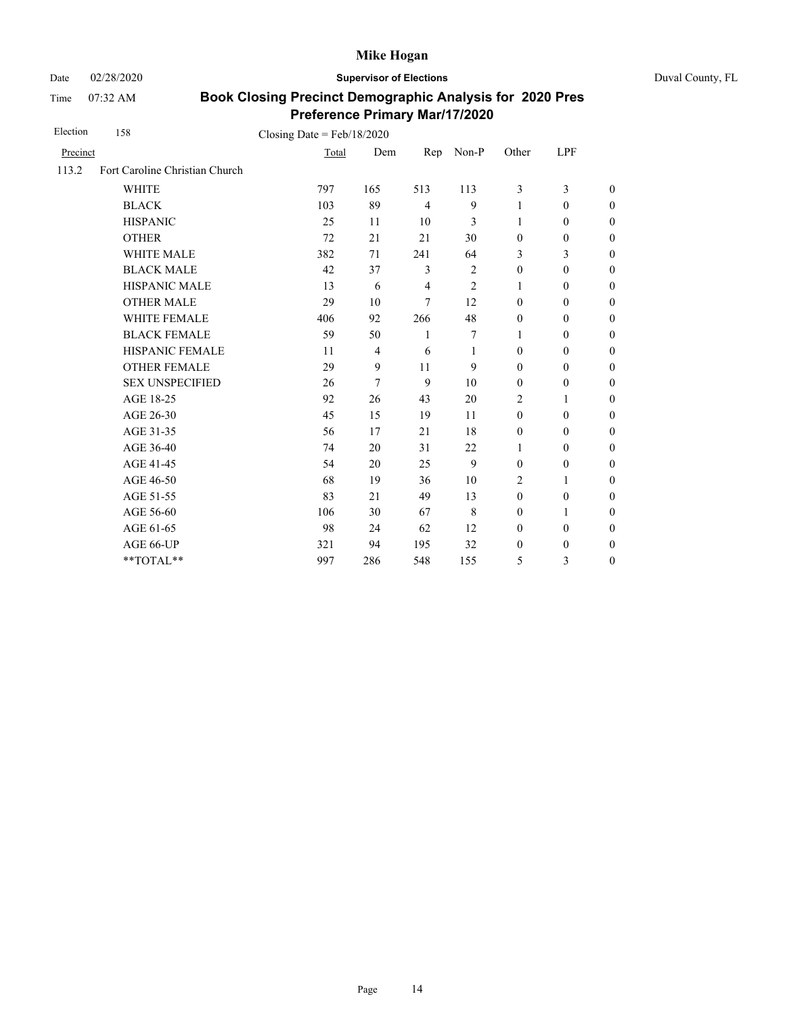Date 02/28/2020 **Supervisor of Elections** Duval County, FL

Time 07:32 AM

| Election | 158                            | Closing Date = $Feb/18/2020$ |                |                |                |                  |                  |                  |
|----------|--------------------------------|------------------------------|----------------|----------------|----------------|------------------|------------------|------------------|
| Precinct |                                | Total                        | Dem            | Rep            | Non-P          | Other            | LPF              |                  |
| 113.2    | Fort Caroline Christian Church |                              |                |                |                |                  |                  |                  |
|          | <b>WHITE</b>                   | 797                          | 165            | 513            | 113            | 3                | 3                | $\theta$         |
|          | <b>BLACK</b>                   | 103                          | 89             | $\overline{4}$ | 9              | $\mathbf{1}$     | $\mathbf{0}$     | $\overline{0}$   |
|          | <b>HISPANIC</b>                | 25                           | 11             | 10             | 3              | 1                | $\mathbf{0}$     | $\overline{0}$   |
|          | <b>OTHER</b>                   | 72                           | 21             | 21             | 30             | $\mathbf{0}$     | $\mathbf{0}$     | $\overline{0}$   |
|          | <b>WHITE MALE</b>              | 382                          | 71             | 241            | 64             | 3                | 3                | $\overline{0}$   |
|          | <b>BLACK MALE</b>              | 42                           | 37             | 3              | $\overline{2}$ | $\boldsymbol{0}$ | $\boldsymbol{0}$ | $\boldsymbol{0}$ |
|          | HISPANIC MALE                  | 13                           | 6              | $\overline{4}$ | $\overline{2}$ | 1                | $\mathbf{0}$     | $\overline{0}$   |
|          | <b>OTHER MALE</b>              | 29                           | 10             | $\tau$         | 12             | $\mathbf{0}$     | $\boldsymbol{0}$ | $\boldsymbol{0}$ |
|          | <b>WHITE FEMALE</b>            | 406                          | 92             | 266            | 48             | $\boldsymbol{0}$ | $\boldsymbol{0}$ | $\boldsymbol{0}$ |
|          | <b>BLACK FEMALE</b>            | 59                           | 50             | 1              | 7              | 1                | $\mathbf{0}$     | $\boldsymbol{0}$ |
|          | HISPANIC FEMALE                | 11                           | $\overline{4}$ | 6              | 1              | $\mathbf{0}$     | $\boldsymbol{0}$ | $\overline{0}$   |
|          | <b>OTHER FEMALE</b>            | 29                           | 9              | 11             | 9              | $\mathbf{0}$     | $\mathbf{0}$     | $\overline{0}$   |
|          | <b>SEX UNSPECIFIED</b>         | 26                           | 7              | 9              | 10             | $\mathbf{0}$     | $\mathbf{0}$     | $\overline{0}$   |
|          | AGE 18-25                      | 92                           | 26             | 43             | 20             | $\overline{2}$   | 1                | $\overline{0}$   |
|          | AGE 26-30                      | 45                           | 15             | 19             | 11             | $\mathbf{0}$     | $\mathbf{0}$     | $\overline{0}$   |
|          | AGE 31-35                      | 56                           | 17             | 21             | 18             | $\boldsymbol{0}$ | $\boldsymbol{0}$ | $\boldsymbol{0}$ |
|          | AGE 36-40                      | 74                           | 20             | 31             | 22             | 1                | $\boldsymbol{0}$ | $\boldsymbol{0}$ |
|          | AGE 41-45                      | 54                           | 20             | 25             | 9              | $\boldsymbol{0}$ | $\boldsymbol{0}$ | $\overline{0}$   |
|          | AGE 46-50                      | 68                           | 19             | 36             | 10             | 2                | 1                | $\boldsymbol{0}$ |
|          | AGE 51-55                      | 83                           | 21             | 49             | 13             | $\mathbf{0}$     | $\boldsymbol{0}$ | $\boldsymbol{0}$ |
|          | AGE 56-60                      | 106                          | 30             | 67             | 8              | $\mathbf{0}$     | $\mathbf{1}$     | $\overline{0}$   |
|          | AGE 61-65                      | 98                           | 24             | 62             | 12             | $\mathbf{0}$     | $\mathbf{0}$     | $\overline{0}$   |
|          | AGE 66-UP                      | 321                          | 94             | 195            | 32             | $\boldsymbol{0}$ | $\mathbf{0}$     | $\overline{0}$   |
|          | **TOTAL**                      | 997                          | 286            | 548            | 155            | 5                | 3                | $\overline{0}$   |
|          |                                |                              |                |                |                |                  |                  |                  |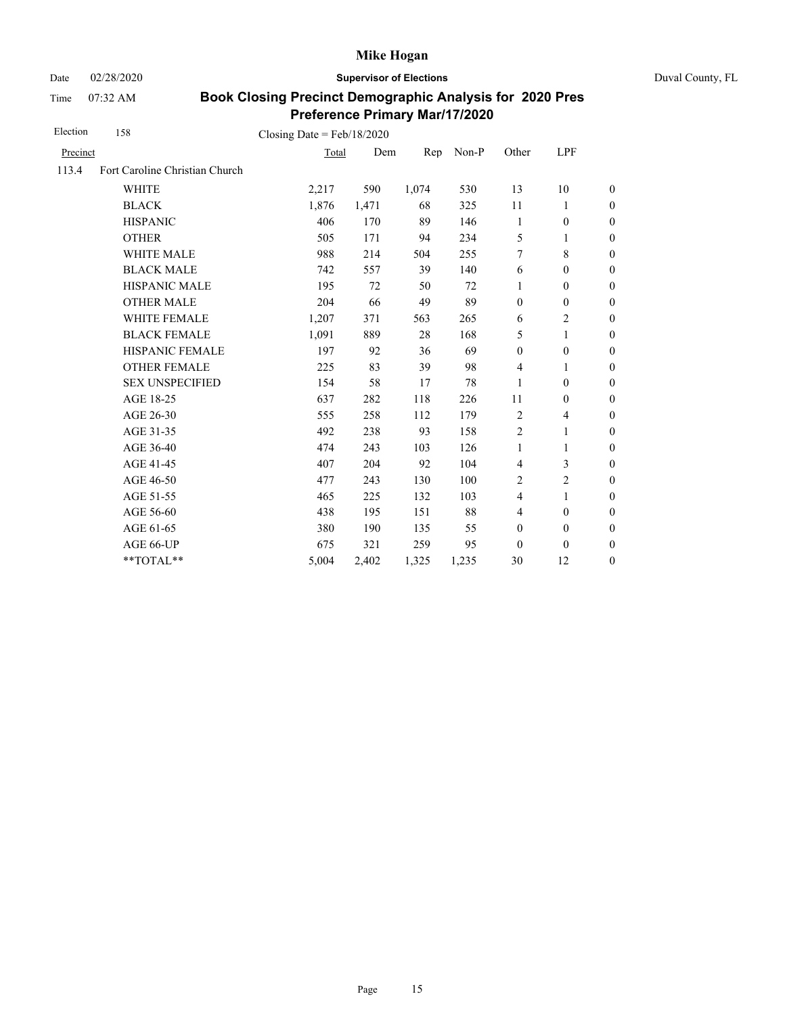Date 02/28/2020 **Supervisor of Elections** Duval County, FL

Time 07:32 AM

| Election | 158                            | Closing Date = $Feb/18/2020$ |       |       |       |                  |                  |                  |
|----------|--------------------------------|------------------------------|-------|-------|-------|------------------|------------------|------------------|
| Precinct |                                | Total                        | Dem   | Rep   | Non-P | Other            | LPF              |                  |
| 113.4    | Fort Caroline Christian Church |                              |       |       |       |                  |                  |                  |
|          | <b>WHITE</b>                   | 2,217                        | 590   | 1,074 | 530   | 13               | 10               | $\boldsymbol{0}$ |
|          | <b>BLACK</b>                   | 1,876                        | 1,471 | 68    | 325   | 11               | 1                | $\boldsymbol{0}$ |
|          | <b>HISPANIC</b>                | 406                          | 170   | 89    | 146   | 1                | $\boldsymbol{0}$ | $\boldsymbol{0}$ |
|          | <b>OTHER</b>                   | 505                          | 171   | 94    | 234   | 5                | $\mathbf{1}$     | $\overline{0}$   |
|          | <b>WHITE MALE</b>              | 988                          | 214   | 504   | 255   | 7                | 8                | $\boldsymbol{0}$ |
|          | <b>BLACK MALE</b>              | 742                          | 557   | 39    | 140   | 6                | $\mathbf{0}$     | $\boldsymbol{0}$ |
|          | <b>HISPANIC MALE</b>           | 195                          | 72    | 50    | 72    | 1                | $\mathbf{0}$     | $\overline{0}$   |
|          | <b>OTHER MALE</b>              | 204                          | 66    | 49    | 89    | $\mathbf{0}$     | $\mathbf{0}$     | $\overline{0}$   |
|          | WHITE FEMALE                   | 1,207                        | 371   | 563   | 265   | 6                | $\overline{2}$   | $\overline{0}$   |
|          | <b>BLACK FEMALE</b>            | 1,091                        | 889   | 28    | 168   | 5                | 1                | $\overline{0}$   |
|          | HISPANIC FEMALE                | 197                          | 92    | 36    | 69    | $\boldsymbol{0}$ | $\boldsymbol{0}$ | $\boldsymbol{0}$ |
|          | <b>OTHER FEMALE</b>            | 225                          | 83    | 39    | 98    | $\overline{4}$   | 1                | $\boldsymbol{0}$ |
|          | <b>SEX UNSPECIFIED</b>         | 154                          | 58    | 17    | 78    | 1                | $\mathbf{0}$     | $\boldsymbol{0}$ |
|          | AGE 18-25                      | 637                          | 282   | 118   | 226   | 11               | $\boldsymbol{0}$ | $\boldsymbol{0}$ |
|          | AGE 26-30                      | 555                          | 258   | 112   | 179   | $\overline{2}$   | 4                | $\overline{0}$   |
|          | AGE 31-35                      | 492                          | 238   | 93    | 158   | $\overline{c}$   | 1                | $\boldsymbol{0}$ |
|          | AGE 36-40                      | 474                          | 243   | 103   | 126   | $\mathbf{1}$     | 1                | $\boldsymbol{0}$ |
|          | AGE 41-45                      | 407                          | 204   | 92    | 104   | $\overline{4}$   | 3                | $\boldsymbol{0}$ |
|          | AGE 46-50                      | 477                          | 243   | 130   | 100   | 2                | 2                | $\boldsymbol{0}$ |
|          | AGE 51-55                      | 465                          | 225   | 132   | 103   | $\overline{4}$   | 1                | $\theta$         |
|          | AGE 56-60                      | 438                          | 195   | 151   | 88    | $\overline{4}$   | $\mathbf{0}$     | $\boldsymbol{0}$ |
|          | AGE 61-65                      | 380                          | 190   | 135   | 55    | $\boldsymbol{0}$ | $\boldsymbol{0}$ | $\mathbf{0}$     |
|          | AGE 66-UP                      | 675                          | 321   | 259   | 95    | $\mathbf{0}$     | $\mathbf{0}$     | $\boldsymbol{0}$ |
|          | **TOTAL**                      | 5,004                        | 2,402 | 1,325 | 1,235 | 30               | 12               | $\boldsymbol{0}$ |
|          |                                |                              |       |       |       |                  |                  |                  |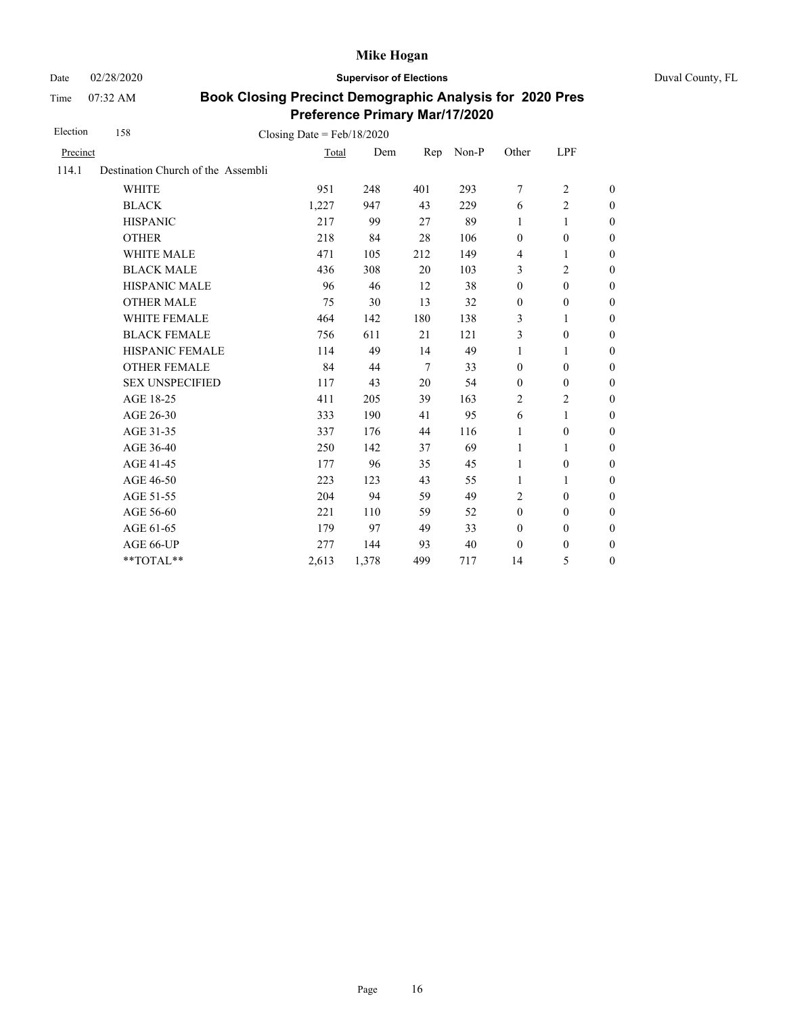Date 02/28/2020 **Supervisor of Elections** Duval County, FL

Time 07:32 AM

| Election | 158                                | Closing Date = $Feb/18/2020$ |       |                |       |                          |                  |                  |
|----------|------------------------------------|------------------------------|-------|----------------|-------|--------------------------|------------------|------------------|
| Precinct |                                    | Total                        | Dem   | Rep            | Non-P | Other                    | LPF              |                  |
| 114.1    | Destination Church of the Assembli |                              |       |                |       |                          |                  |                  |
|          | <b>WHITE</b>                       | 951                          | 248   | 401            | 293   | $\overline{7}$           | $\overline{2}$   | $\boldsymbol{0}$ |
|          | <b>BLACK</b>                       | 1,227                        | 947   | 43             | 229   | 6                        | $\overline{c}$   | $\boldsymbol{0}$ |
|          | <b>HISPANIC</b>                    | 217                          | 99    | 27             | 89    | 1                        | 1                | $\boldsymbol{0}$ |
|          | <b>OTHER</b>                       | 218                          | 84    | 28             | 106   | $\boldsymbol{0}$         | $\boldsymbol{0}$ | $\mathbf{0}$     |
|          | WHITE MALE                         | 471                          | 105   | 212            | 149   | $\overline{\mathcal{L}}$ | 1                | $\boldsymbol{0}$ |
|          | <b>BLACK MALE</b>                  | 436                          | 308   | 20             | 103   | 3                        | $\overline{c}$   | $\boldsymbol{0}$ |
|          | <b>HISPANIC MALE</b>               | 96                           | 46    | 12             | 38    | $\boldsymbol{0}$         | $\mathbf{0}$     | $\mathbf{0}$     |
|          | <b>OTHER MALE</b>                  | 75                           | 30    | 13             | 32    | $\boldsymbol{0}$         | $\boldsymbol{0}$ | $\boldsymbol{0}$ |
|          | <b>WHITE FEMALE</b>                | 464                          | 142   | 180            | 138   | 3                        | 1                | $\boldsymbol{0}$ |
|          | <b>BLACK FEMALE</b>                | 756                          | 611   | 21             | 121   | 3                        | $\theta$         | $\mathbf{0}$     |
|          | <b>HISPANIC FEMALE</b>             | 114                          | 49    | 14             | 49    | 1                        | 1                | $\mathbf{0}$     |
|          | <b>OTHER FEMALE</b>                | 84                           | 44    | $\overline{7}$ | 33    | $\mathbf{0}$             | $\theta$         | $\theta$         |
|          | <b>SEX UNSPECIFIED</b>             | 117                          | 43    | 20             | 54    | $\mathbf{0}$             | $\boldsymbol{0}$ | $\boldsymbol{0}$ |
|          | AGE 18-25                          | 411                          | 205   | 39             | 163   | $\overline{2}$           | $\overline{2}$   | $\mathbf{0}$     |
|          | AGE 26-30                          | 333                          | 190   | 41             | 95    | 6                        | $\mathbf{1}$     | $\mathbf{0}$     |
|          | AGE 31-35                          | 337                          | 176   | 44             | 116   | 1                        | $\boldsymbol{0}$ | $\boldsymbol{0}$ |
|          | AGE 36-40                          | 250                          | 142   | 37             | 69    | 1                        | 1                | $\boldsymbol{0}$ |
|          | AGE 41-45                          | 177                          | 96    | 35             | 45    | 1                        | $\boldsymbol{0}$ | $\overline{0}$   |
|          | AGE 46-50                          | 223                          | 123   | 43             | 55    | 1                        | 1                | $\boldsymbol{0}$ |
|          | AGE 51-55                          | 204                          | 94    | 59             | 49    | 2                        | $\mathbf{0}$     | $\boldsymbol{0}$ |
|          | AGE 56-60                          | 221                          | 110   | 59             | 52    | $\mathbf{0}$             | $\mathbf{0}$     | $\boldsymbol{0}$ |
|          | AGE 61-65                          | 179                          | 97    | 49             | 33    | $\mathbf{0}$             | $\boldsymbol{0}$ | $\boldsymbol{0}$ |
|          | AGE 66-UP                          | 277                          | 144   | 93             | 40    | $\mathbf{0}$             | $\boldsymbol{0}$ | $\boldsymbol{0}$ |
|          | **TOTAL**                          | 2,613                        | 1,378 | 499            | 717   | 14                       | 5                | $\boldsymbol{0}$ |
|          |                                    |                              |       |                |       |                          |                  |                  |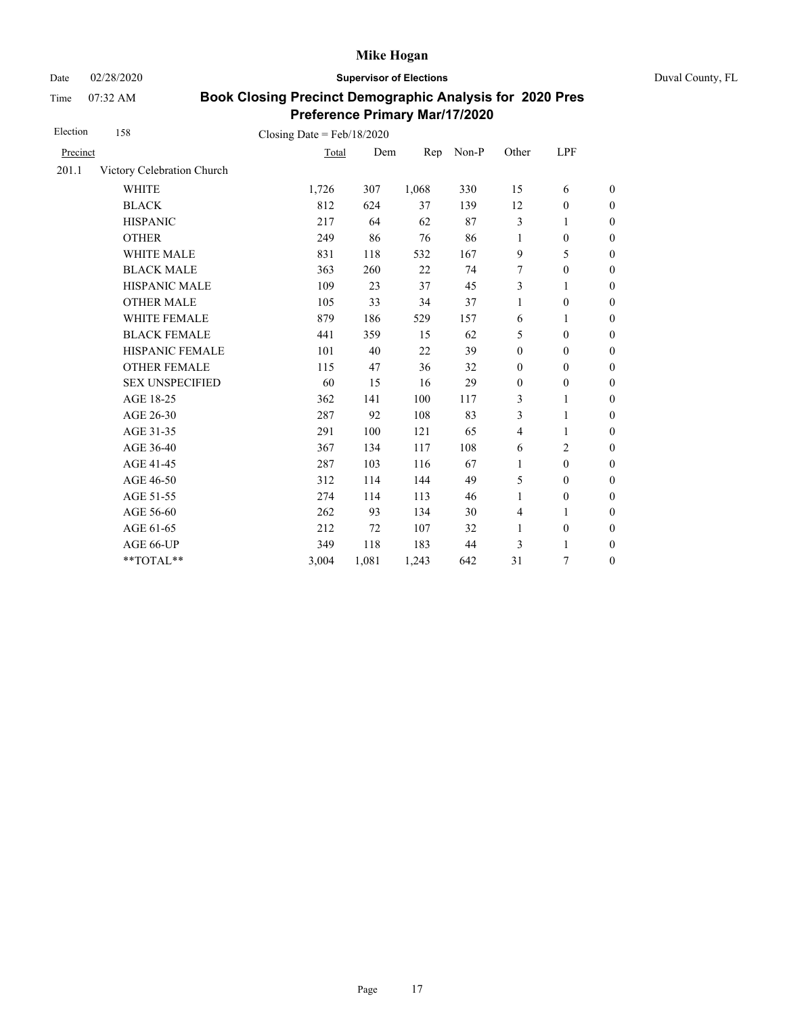Date 02/28/2020 **Supervisor of Elections** Duval County, FL

Time 07:32 AM

| Election | 158                        | Closing Date = $Feb/18/2020$ |       |       |       |                  |                  |                  |
|----------|----------------------------|------------------------------|-------|-------|-------|------------------|------------------|------------------|
| Precinct |                            | Total                        | Dem   | Rep   | Non-P | Other            | LPF              |                  |
| 201.1    | Victory Celebration Church |                              |       |       |       |                  |                  |                  |
|          | <b>WHITE</b>               | 1,726                        | 307   | 1,068 | 330   | 15               | 6                | $\boldsymbol{0}$ |
|          | <b>BLACK</b>               | 812                          | 624   | 37    | 139   | 12               | $\boldsymbol{0}$ | $\boldsymbol{0}$ |
|          | <b>HISPANIC</b>            | 217                          | 64    | 62    | 87    | 3                | 1                | $\mathbf{0}$     |
|          | <b>OTHER</b>               | 249                          | 86    | 76    | 86    | $\mathbf{1}$     | $\boldsymbol{0}$ | $\mathbf{0}$     |
|          | WHITE MALE                 | 831                          | 118   | 532   | 167   | 9                | 5                | $\boldsymbol{0}$ |
|          | <b>BLACK MALE</b>          | 363                          | 260   | 22    | 74    | 7                | $\boldsymbol{0}$ | $\boldsymbol{0}$ |
|          | HISPANIC MALE              | 109                          | 23    | 37    | 45    | 3                | $\mathbf{1}$     | $\mathbf{0}$     |
|          | <b>OTHER MALE</b>          | 105                          | 33    | 34    | 37    | 1                | $\boldsymbol{0}$ | $\mathbf{0}$     |
|          | WHITE FEMALE               | 879                          | 186   | 529   | 157   | 6                | 1                | $\boldsymbol{0}$ |
|          | <b>BLACK FEMALE</b>        | 441                          | 359   | 15    | 62    | 5                | $\mathbf{0}$     | $\overline{0}$   |
|          | HISPANIC FEMALE            | 101                          | 40    | 22    | 39    | $\boldsymbol{0}$ | $\boldsymbol{0}$ | $\mathbf{0}$     |
|          | <b>OTHER FEMALE</b>        | 115                          | 47    | 36    | 32    | $\mathbf{0}$     | $\overline{0}$   | $\theta$         |
|          | <b>SEX UNSPECIFIED</b>     | 60                           | 15    | 16    | 29    | $\boldsymbol{0}$ | $\boldsymbol{0}$ | $\boldsymbol{0}$ |
|          | AGE 18-25                  | 362                          | 141   | 100   | 117   | 3                | 1                | $\theta$         |
|          | AGE 26-30                  | 287                          | 92    | 108   | 83    | 3                | 1                | $\theta$         |
|          | AGE 31-35                  | 291                          | 100   | 121   | 65    | $\overline{4}$   | 1                | $\boldsymbol{0}$ |
|          | AGE 36-40                  | 367                          | 134   | 117   | 108   | 6                | $\overline{2}$   | $\boldsymbol{0}$ |
|          | AGE 41-45                  | 287                          | 103   | 116   | 67    | $\mathbf{1}$     | $\mathbf{0}$     | $\overline{0}$   |
|          | AGE 46-50                  | 312                          | 114   | 144   | 49    | 5                | $\overline{0}$   | $\boldsymbol{0}$ |
|          | AGE 51-55                  | 274                          | 114   | 113   | 46    | $\mathbf{1}$     | $\mathbf{0}$     | $\boldsymbol{0}$ |
|          | AGE 56-60                  | 262                          | 93    | 134   | 30    | $\overline{4}$   | 1                | $\overline{0}$   |
|          | AGE 61-65                  | 212                          | 72    | 107   | 32    | 1                | $\boldsymbol{0}$ | $\boldsymbol{0}$ |
|          | AGE 66-UP                  | 349                          | 118   | 183   | 44    | 3                | 1                | $\boldsymbol{0}$ |
|          | **TOTAL**                  | 3,004                        | 1,081 | 1,243 | 642   | 31               | 7                | $\boldsymbol{0}$ |
|          |                            |                              |       |       |       |                  |                  |                  |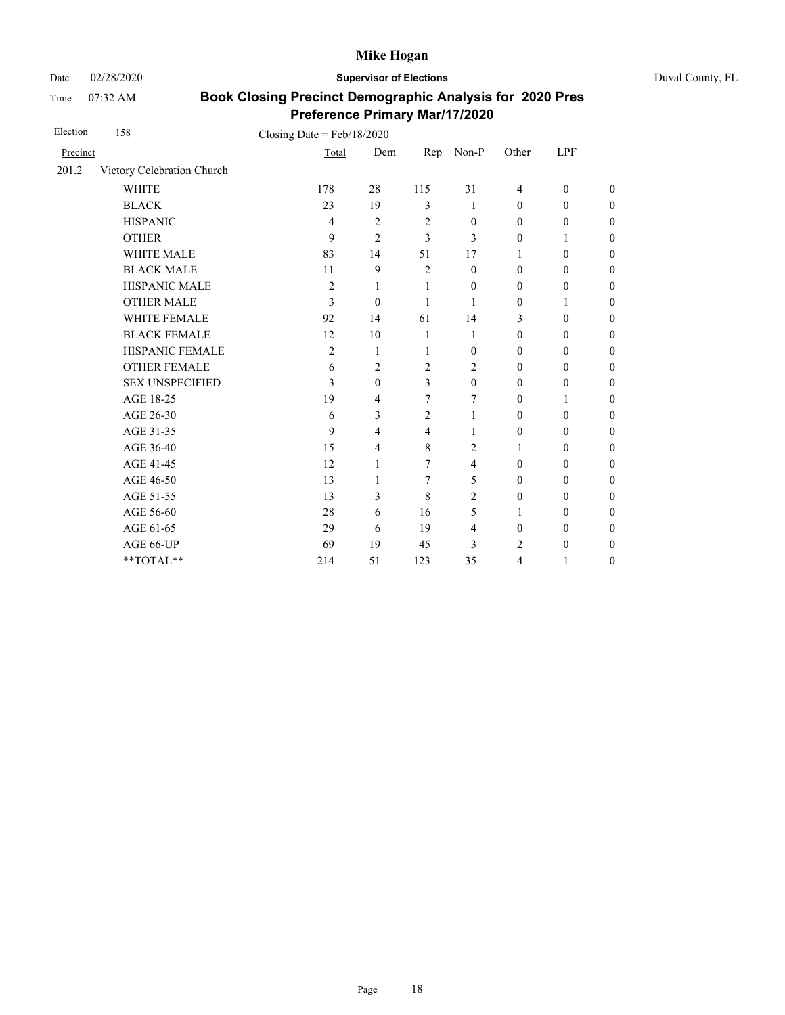Date 02/28/2020 **Supervisor of Elections** Duval County, FL

Time 07:32 AM

| Election | 158                        | Closing Date = $Feb/18/2020$ |                |                |                  |                  |                  |                  |
|----------|----------------------------|------------------------------|----------------|----------------|------------------|------------------|------------------|------------------|
| Precinct |                            | Total                        | Dem            | Rep            | Non-P            | Other            | LPF              |                  |
| 201.2    | Victory Celebration Church |                              |                |                |                  |                  |                  |                  |
|          | <b>WHITE</b>               | 178                          | 28             | 115            | 31               | $\overline{4}$   | $\mathbf{0}$     | $\boldsymbol{0}$ |
|          | <b>BLACK</b>               | 23                           | 19             | $\mathfrak{Z}$ | 1                | $\theta$         | $\mathbf{0}$     | $\boldsymbol{0}$ |
|          | <b>HISPANIC</b>            | 4                            | $\overline{2}$ | $\overline{2}$ | $\mathbf{0}$     | $\theta$         | $\boldsymbol{0}$ | $\overline{0}$   |
|          | <b>OTHER</b>               | 9                            | $\overline{2}$ | 3              | 3                | $\theta$         | 1                | $\overline{0}$   |
|          | <b>WHITE MALE</b>          | 83                           | 14             | 51             | 17               | 1                | $\mathbf{0}$     | $\boldsymbol{0}$ |
|          | <b>BLACK MALE</b>          | 11                           | 9              | $\overline{2}$ | $\theta$         | $\theta$         | $\mathbf{0}$     | $\boldsymbol{0}$ |
|          | HISPANIC MALE              | $\overline{c}$               | $\mathbf{1}$   | 1              | $\boldsymbol{0}$ | $\theta$         | $\boldsymbol{0}$ | $\overline{0}$   |
|          | <b>OTHER MALE</b>          | 3                            | $\mathbf{0}$   | 1              | 1                | $\mathbf{0}$     | 1                | $\boldsymbol{0}$ |
|          | WHITE FEMALE               | 92                           | 14             | 61             | 14               | 3                | $\mathbf{0}$     | $\boldsymbol{0}$ |
|          | <b>BLACK FEMALE</b>        | 12                           | 10             | 1              | 1                | $\theta$         | $\mathbf{0}$     | $\overline{0}$   |
|          | HISPANIC FEMALE            | $\overline{c}$               | 1              | 1              | $\mathbf{0}$     | $\boldsymbol{0}$ | $\boldsymbol{0}$ | $\boldsymbol{0}$ |
|          | <b>OTHER FEMALE</b>        | 6                            | $\overline{2}$ | $\overline{2}$ | $\overline{c}$   | $\theta$         | $\mathbf{0}$     | $\boldsymbol{0}$ |
|          | <b>SEX UNSPECIFIED</b>     | 3                            | $\mathbf{0}$   | $\overline{3}$ | $\mathbf{0}$     | $\mathbf{0}$     | $\mathbf{0}$     | $\overline{0}$   |
|          | AGE 18-25                  | 19                           | 4              | 7              | 7                | $\theta$         | 1                | $\overline{0}$   |
|          | AGE 26-30                  | 6                            | 3              | $\overline{2}$ | 1                | $\theta$         | $\mathbf{0}$     | $\overline{0}$   |
|          | AGE 31-35                  | 9                            | 4              | $\overline{4}$ | 1                | $\mathbf{0}$     | $\mathbf{0}$     | $\boldsymbol{0}$ |
|          | AGE 36-40                  | 15                           | 4              | 8              | 2                | 1                | $\mathbf{0}$     | $\boldsymbol{0}$ |
|          | AGE 41-45                  | 12                           | 1              | 7              | $\overline{4}$   | $\theta$         | $\mathbf{0}$     | $\overline{0}$   |
|          | AGE 46-50                  | 13                           | 1              | 7              | 5                | $\mathbf{0}$     | $\mathbf{0}$     | $\boldsymbol{0}$ |
|          | AGE 51-55                  | 13                           | 3              | 8              | 2                | $\theta$         | $\mathbf{0}$     | $\boldsymbol{0}$ |
|          | AGE 56-60                  | 28                           | 6              | 16             | 5                | 1                | $\mathbf{0}$     | $\overline{0}$   |
|          | AGE 61-65                  | 29                           | 6              | 19             | 4                | $\mathbf{0}$     | $\mathbf{0}$     | $\overline{0}$   |
|          | AGE 66-UP                  | 69                           | 19             | 45             | 3                | 2                | $\mathbf{0}$     | $\boldsymbol{0}$ |
|          | **TOTAL**                  | 214                          | 51             | 123            | 35               | 4                | 1                | $\overline{0}$   |
|          |                            |                              |                |                |                  |                  |                  |                  |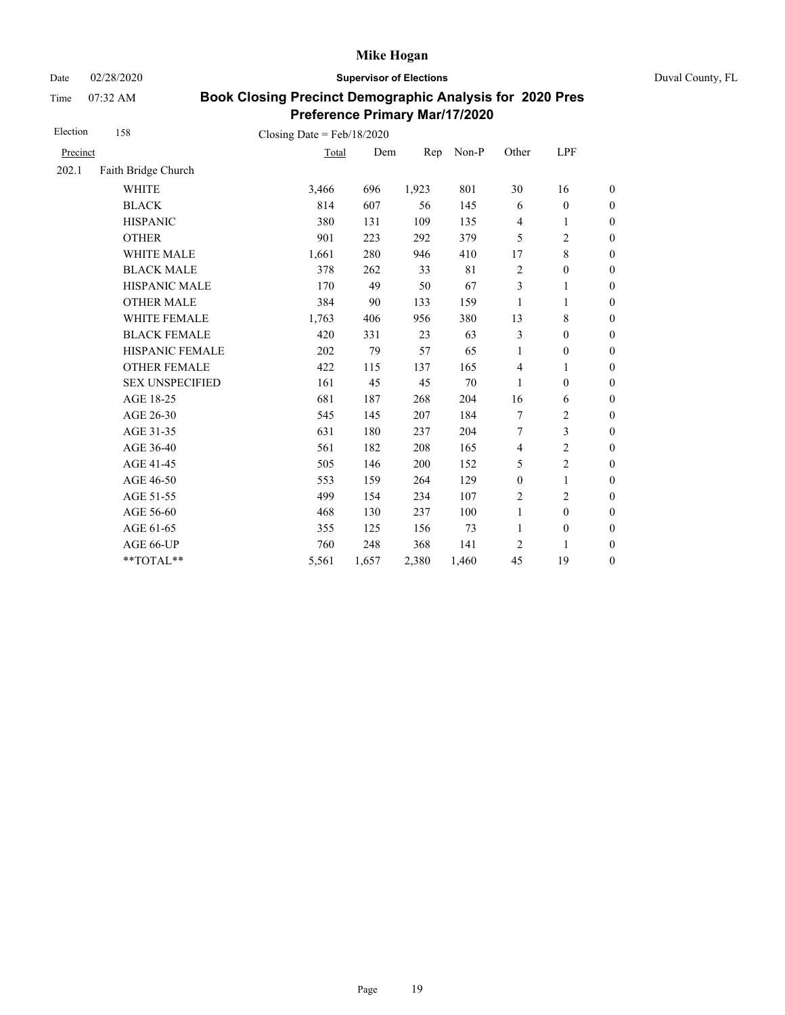Date 02/28/2020 **Supervisor of Elections** Duval County, FL

Time 07:32 AM

| Election | 158                    | Closing Date = $Feb/18/2020$ |       |       |       |                  |                  |                  |
|----------|------------------------|------------------------------|-------|-------|-------|------------------|------------------|------------------|
| Precinct |                        | Total                        | Dem   | Rep   | Non-P | Other            | LPF              |                  |
| 202.1    | Faith Bridge Church    |                              |       |       |       |                  |                  |                  |
|          | <b>WHITE</b>           | 3,466                        | 696   | 1,923 | 801   | 30               | 16               | $\boldsymbol{0}$ |
|          | <b>BLACK</b>           | 814                          | 607   | 56    | 145   | 6                | $\boldsymbol{0}$ | $\boldsymbol{0}$ |
|          | <b>HISPANIC</b>        | 380                          | 131   | 109   | 135   | $\overline{4}$   | 1                | $\boldsymbol{0}$ |
|          | <b>OTHER</b>           | 901                          | 223   | 292   | 379   | 5                | $\overline{c}$   | $\overline{0}$   |
|          | <b>WHITE MALE</b>      | 1,661                        | 280   | 946   | 410   | 17               | $\,8\,$          | $\boldsymbol{0}$ |
|          | <b>BLACK MALE</b>      | 378                          | 262   | 33    | 81    | $\overline{c}$   | $\boldsymbol{0}$ | 0                |
|          | <b>HISPANIC MALE</b>   | 170                          | 49    | 50    | 67    | $\mathfrak{Z}$   | 1                | $\overline{0}$   |
|          | <b>OTHER MALE</b>      | 384                          | 90    | 133   | 159   | 1                | 1                | $\boldsymbol{0}$ |
|          | WHITE FEMALE           | 1,763                        | 406   | 956   | 380   | 13               | $\,$ 8 $\,$      | $\boldsymbol{0}$ |
|          | <b>BLACK FEMALE</b>    | 420                          | 331   | 23    | 63    | 3                | $\mathbf{0}$     | $\boldsymbol{0}$ |
|          | HISPANIC FEMALE        | 202                          | 79    | 57    | 65    | 1                | $\boldsymbol{0}$ | $\boldsymbol{0}$ |
|          | <b>OTHER FEMALE</b>    | 422                          | 115   | 137   | 165   | $\overline{4}$   | 1                | $\boldsymbol{0}$ |
|          | <b>SEX UNSPECIFIED</b> | 161                          | 45    | 45    | 70    | 1                | $\mathbf{0}$     | $\boldsymbol{0}$ |
|          | AGE 18-25              | 681                          | 187   | 268   | 204   | 16               | 6                | $\boldsymbol{0}$ |
|          | AGE 26-30              | 545                          | 145   | 207   | 184   | 7                | $\overline{c}$   | $\boldsymbol{0}$ |
|          | AGE 31-35              | 631                          | 180   | 237   | 204   | 7                | 3                | $\boldsymbol{0}$ |
|          | AGE 36-40              | 561                          | 182   | 208   | 165   | $\overline{4}$   | $\overline{2}$   | $\boldsymbol{0}$ |
|          | AGE 41-45              | 505                          | 146   | 200   | 152   | 5                | $\overline{2}$   | $\boldsymbol{0}$ |
|          | AGE 46-50              | 553                          | 159   | 264   | 129   | $\boldsymbol{0}$ | 1                | $\boldsymbol{0}$ |
|          | AGE 51-55              | 499                          | 154   | 234   | 107   | $\overline{c}$   | $\overline{c}$   | $\boldsymbol{0}$ |
|          | AGE 56-60              | 468                          | 130   | 237   | 100   | $\mathbf{1}$     | $\mathbf{0}$     | $\mathbf{0}$     |
|          | AGE 61-65              | 355                          | 125   | 156   | 73    | $\mathbf{1}$     | $\boldsymbol{0}$ | $\mathbf{0}$     |
|          | AGE 66-UP              | 760                          | 248   | 368   | 141   | 2                | 1                | $\boldsymbol{0}$ |
|          | **TOTAL**              | 5,561                        | 1,657 | 2,380 | 1,460 | 45               | 19               | $\boldsymbol{0}$ |
|          |                        |                              |       |       |       |                  |                  |                  |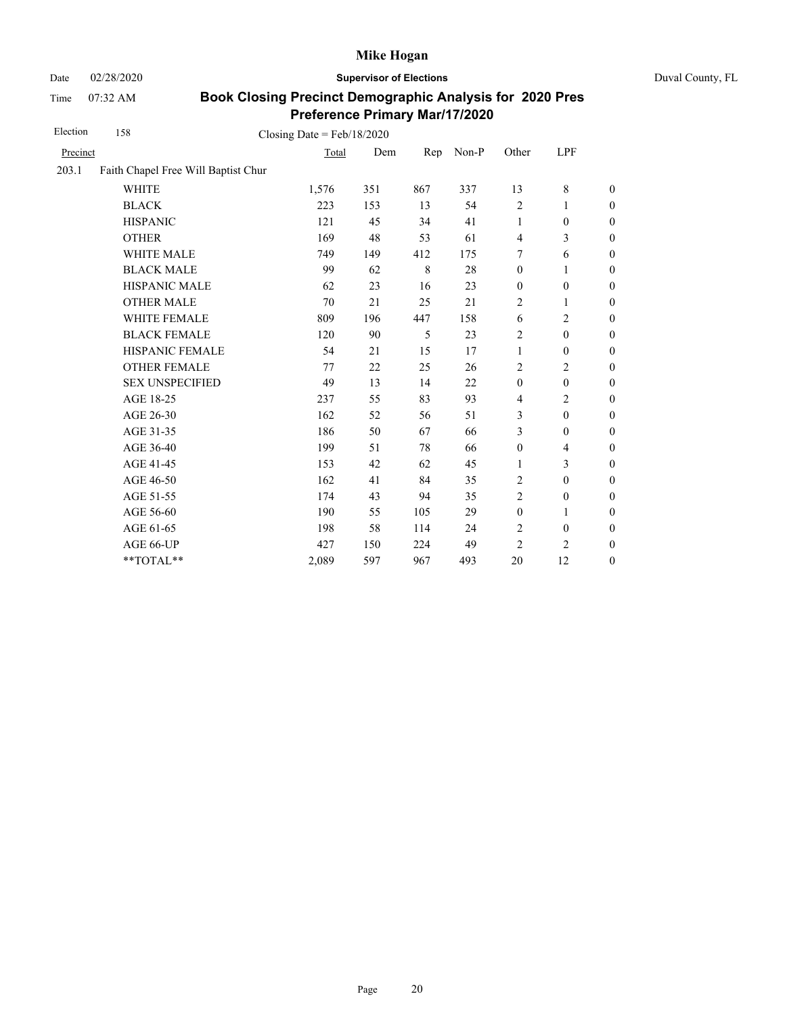Date 02/28/2020 **Supervisor of Elections** Duval County, FL

Time 07:32 AM

| Election | 158                                 | Closing Date = $Feb/18/2020$ |     |     |       |                  |                  |                  |
|----------|-------------------------------------|------------------------------|-----|-----|-------|------------------|------------------|------------------|
| Precinct |                                     | Total                        | Dem | Rep | Non-P | Other            | LPF              |                  |
| 203.1    | Faith Chapel Free Will Baptist Chur |                              |     |     |       |                  |                  |                  |
|          | <b>WHITE</b>                        | 1,576                        | 351 | 867 | 337   | 13               | 8                | $\boldsymbol{0}$ |
|          | <b>BLACK</b>                        | 223                          | 153 | 13  | 54    | $\overline{c}$   | 1                | $\boldsymbol{0}$ |
|          | <b>HISPANIC</b>                     | 121                          | 45  | 34  | 41    | 1                | $\boldsymbol{0}$ | $\boldsymbol{0}$ |
|          | <b>OTHER</b>                        | 169                          | 48  | 53  | 61    | $\overline{4}$   | 3                | $\overline{0}$   |
|          | WHITE MALE                          | 749                          | 149 | 412 | 175   | 7                | 6                | $\boldsymbol{0}$ |
|          | <b>BLACK MALE</b>                   | 99                           | 62  | 8   | 28    | $\mathbf{0}$     | 1                | $\boldsymbol{0}$ |
|          | <b>HISPANIC MALE</b>                | 62                           | 23  | 16  | 23    | $\boldsymbol{0}$ | $\boldsymbol{0}$ | $\overline{0}$   |
|          | <b>OTHER MALE</b>                   | 70                           | 21  | 25  | 21    | 2                | 1                | $\boldsymbol{0}$ |
|          | WHITE FEMALE                        | 809                          | 196 | 447 | 158   | 6                | 2                | $\boldsymbol{0}$ |
|          | <b>BLACK FEMALE</b>                 | 120                          | 90  | 5   | 23    | $\overline{2}$   | $\mathbf{0}$     | $\mathbf{0}$     |
|          | HISPANIC FEMALE                     | 54                           | 21  | 15  | 17    | 1                | $\boldsymbol{0}$ | $\boldsymbol{0}$ |
|          | <b>OTHER FEMALE</b>                 | 77                           | 22  | 25  | 26    | $\overline{2}$   | 2                | $\boldsymbol{0}$ |
|          | <b>SEX UNSPECIFIED</b>              | 49                           | 13  | 14  | 22    | $\boldsymbol{0}$ | $\mathbf{0}$     | $\boldsymbol{0}$ |
|          | AGE 18-25                           | 237                          | 55  | 83  | 93    | $\overline{4}$   | $\overline{2}$   | $\overline{0}$   |
|          | AGE 26-30                           | 162                          | 52  | 56  | 51    | 3                | $\mathbf{0}$     | $\overline{0}$   |
|          | AGE 31-35                           | 186                          | 50  | 67  | 66    | 3                | $\boldsymbol{0}$ | $\boldsymbol{0}$ |
|          | AGE 36-40                           | 199                          | 51  | 78  | 66    | $\boldsymbol{0}$ | 4                | $\boldsymbol{0}$ |
|          | AGE 41-45                           | 153                          | 42  | 62  | 45    | $\mathbf{1}$     | 3                | $\overline{0}$   |
|          | AGE 46-50                           | 162                          | 41  | 84  | 35    | 2                | $\boldsymbol{0}$ | $\boldsymbol{0}$ |
|          | AGE 51-55                           | 174                          | 43  | 94  | 35    | $\overline{c}$   | $\boldsymbol{0}$ | $\boldsymbol{0}$ |
|          | AGE 56-60                           | 190                          | 55  | 105 | 29    | $\boldsymbol{0}$ | 1                | $\mathbf{0}$     |
|          | AGE 61-65                           | 198                          | 58  | 114 | 24    | $\sqrt{2}$       | $\boldsymbol{0}$ | $\mathbf{0}$     |
|          | AGE 66-UP                           | 427                          | 150 | 224 | 49    | $\overline{c}$   | $\overline{c}$   | $\boldsymbol{0}$ |
|          | **TOTAL**                           | 2,089                        | 597 | 967 | 493   | 20               | 12               | $\boldsymbol{0}$ |
|          |                                     |                              |     |     |       |                  |                  |                  |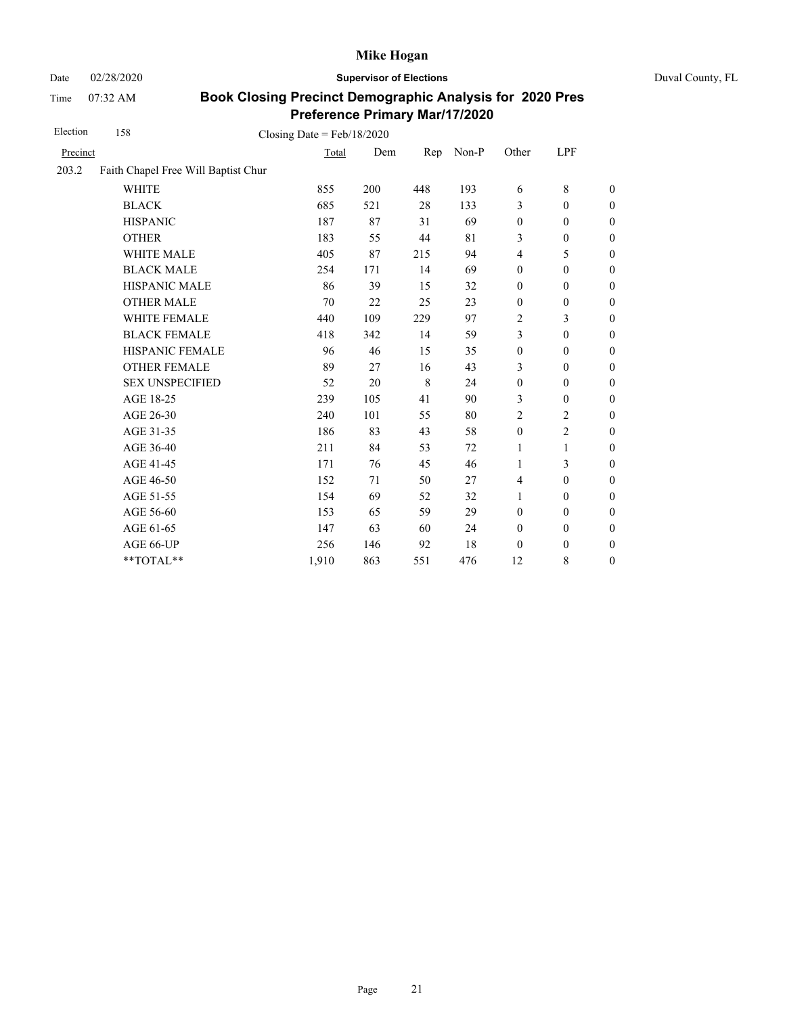Date 02/28/2020 **Supervisor of Elections** Duval County, FL

Time 07:32 AM

| Election | 158                                 | Closing Date = $Feb/18/2020$ |     |         |       |                  |                  |                  |
|----------|-------------------------------------|------------------------------|-----|---------|-------|------------------|------------------|------------------|
| Precinct |                                     | Total                        | Dem | Rep     | Non-P | Other            | LPF              |                  |
| 203.2    | Faith Chapel Free Will Baptist Chur |                              |     |         |       |                  |                  |                  |
|          | <b>WHITE</b>                        | 855                          | 200 | 448     | 193   | 6                | 8                | $\theta$         |
|          | <b>BLACK</b>                        | 685                          | 521 | 28      | 133   | 3                | $\mathbf{0}$     | $\boldsymbol{0}$ |
|          | <b>HISPANIC</b>                     | 187                          | 87  | 31      | 69    | $\boldsymbol{0}$ | $\mathbf{0}$     | $\boldsymbol{0}$ |
|          | <b>OTHER</b>                        | 183                          | 55  | 44      | 81    | 3                | $\boldsymbol{0}$ | $\theta$         |
|          | <b>WHITE MALE</b>                   | 405                          | 87  | 215     | 94    | $\overline{4}$   | 5                | $\mathbf{0}$     |
|          | <b>BLACK MALE</b>                   | 254                          | 171 | 14      | 69    | $\mathbf{0}$     | $\mathbf{0}$     | $\boldsymbol{0}$ |
|          | <b>HISPANIC MALE</b>                | 86                           | 39  | 15      | 32    | $\boldsymbol{0}$ | $\mathbf{0}$     | $\mathbf{0}$     |
|          | <b>OTHER MALE</b>                   | 70                           | 22  | 25      | 23    | $\boldsymbol{0}$ | $\boldsymbol{0}$ | $\mathbf{0}$     |
|          | WHITE FEMALE                        | 440                          | 109 | 229     | 97    | $\overline{c}$   | 3                | $\boldsymbol{0}$ |
|          | <b>BLACK FEMALE</b>                 | 418                          | 342 | 14      | 59    | 3                | $\boldsymbol{0}$ | $\boldsymbol{0}$ |
|          | HISPANIC FEMALE                     | 96                           | 46  | 15      | 35    | $\boldsymbol{0}$ | $\boldsymbol{0}$ | $\mathbf{0}$     |
|          | <b>OTHER FEMALE</b>                 | 89                           | 27  | 16      | 43    | 3                | $\mathbf{0}$     | $\theta$         |
|          | <b>SEX UNSPECIFIED</b>              | 52                           | 20  | $\,8\,$ | 24    | $\boldsymbol{0}$ | $\boldsymbol{0}$ | $\boldsymbol{0}$ |
|          | AGE 18-25                           | 239                          | 105 | 41      | 90    | 3                | $\mathbf{0}$     | $\boldsymbol{0}$ |
|          | AGE 26-30                           | 240                          | 101 | 55      | 80    | $\overline{2}$   | 2                | $\overline{0}$   |
|          | AGE 31-35                           | 186                          | 83  | 43      | 58    | $\boldsymbol{0}$ | 2                | $\boldsymbol{0}$ |
|          | AGE 36-40                           | 211                          | 84  | 53      | 72    | 1                | $\mathbf{1}$     | $\boldsymbol{0}$ |
|          | AGE 41-45                           | 171                          | 76  | 45      | 46    | 1                | 3                | $\overline{0}$   |
|          | AGE 46-50                           | 152                          | 71  | 50      | 27    | $\overline{4}$   | $\boldsymbol{0}$ | $\boldsymbol{0}$ |
|          | AGE 51-55                           | 154                          | 69  | 52      | 32    | $\mathbf{1}$     | $\boldsymbol{0}$ | $\boldsymbol{0}$ |
|          | AGE 56-60                           | 153                          | 65  | 59      | 29    | $\mathbf{0}$     | $\mathbf{0}$     | $\boldsymbol{0}$ |
|          | AGE 61-65                           | 147                          | 63  | 60      | 24    | $\boldsymbol{0}$ | $\boldsymbol{0}$ | $\boldsymbol{0}$ |
|          | AGE 66-UP                           | 256                          | 146 | 92      | 18    | $\boldsymbol{0}$ | $\boldsymbol{0}$ | $\boldsymbol{0}$ |
|          | **TOTAL**                           | 1,910                        | 863 | 551     | 476   | 12               | 8                | $\boldsymbol{0}$ |
|          |                                     |                              |     |         |       |                  |                  |                  |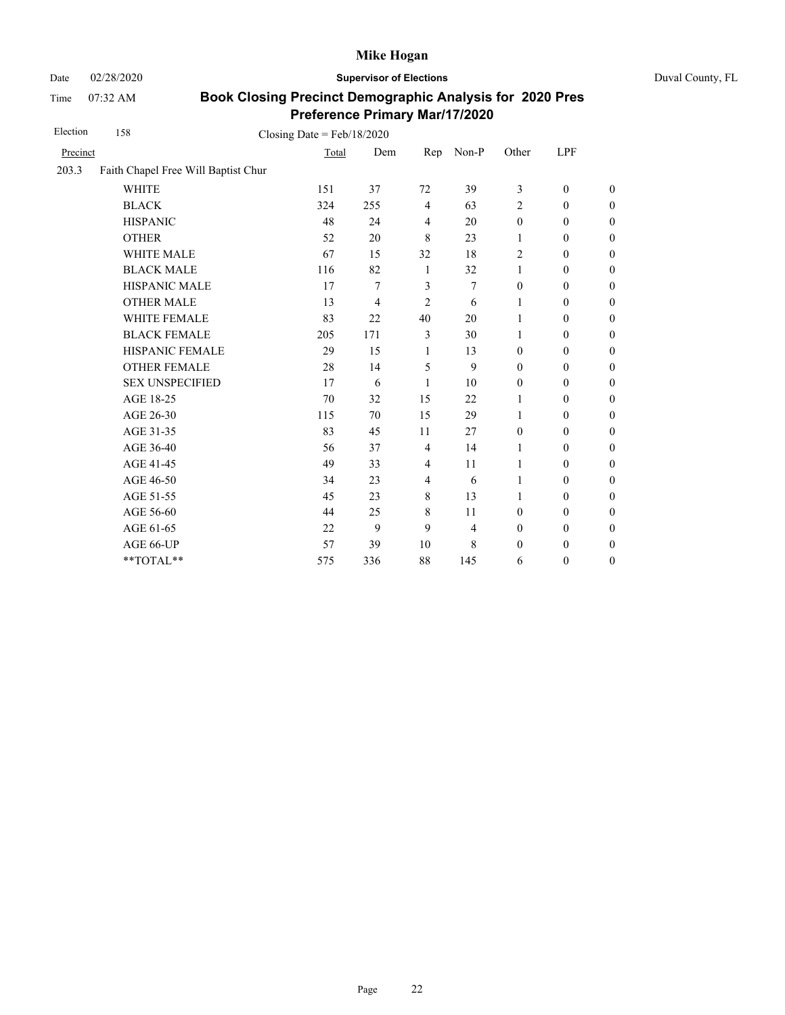Date 02/28/2020 **Supervisor of Elections** Duval County, FL

Time 07:32 AM

| Election | 158                                 | Closing Date = $Feb/18/2020$ |     |                |       |                  |                  |                  |
|----------|-------------------------------------|------------------------------|-----|----------------|-------|------------------|------------------|------------------|
| Precinct |                                     | Total                        | Dem | Rep            | Non-P | Other            | <b>LPF</b>       |                  |
| 203.3    | Faith Chapel Free Will Baptist Chur |                              |     |                |       |                  |                  |                  |
|          | <b>WHITE</b>                        | 151                          | 37  | 72             | 39    | 3                | $\boldsymbol{0}$ | $\boldsymbol{0}$ |
|          | <b>BLACK</b>                        | 324                          | 255 | $\overline{4}$ | 63    | 2                | $\mathbf{0}$     | $\theta$         |
|          | <b>HISPANIC</b>                     | 48                           | 24  | $\overline{4}$ | 20    | $\boldsymbol{0}$ | $\boldsymbol{0}$ | $\boldsymbol{0}$ |
|          | <b>OTHER</b>                        | 52                           | 20  | 8              | 23    | 1                | $\boldsymbol{0}$ | $\overline{0}$   |
|          | <b>WHITE MALE</b>                   | 67                           | 15  | 32             | 18    | 2                | $\mathbf{0}$     | $\theta$         |
|          | <b>BLACK MALE</b>                   | 116                          | 82  | -1             | 32    | $\mathbf{1}$     | $\boldsymbol{0}$ | $\boldsymbol{0}$ |
|          | HISPANIC MALE                       | 17                           | 7   | $\mathfrak{Z}$ | 7     | $\boldsymbol{0}$ | $\boldsymbol{0}$ | $\boldsymbol{0}$ |
|          | <b>OTHER MALE</b>                   | 13                           | 4   | $\overline{2}$ | 6     | 1                | $\boldsymbol{0}$ | $\boldsymbol{0}$ |
|          | WHITE FEMALE                        | 83                           | 22  | 40             | 20    | 1                | $\boldsymbol{0}$ | $\boldsymbol{0}$ |
|          | <b>BLACK FEMALE</b>                 | 205                          | 171 | 3              | 30    | 1                | $\boldsymbol{0}$ | $\boldsymbol{0}$ |
|          | HISPANIC FEMALE                     | 29                           | 15  | 1              | 13    | $\boldsymbol{0}$ | $\boldsymbol{0}$ | $\boldsymbol{0}$ |
|          | <b>OTHER FEMALE</b>                 | 28                           | 14  | 5              | 9     | $\mathbf{0}$     | $\boldsymbol{0}$ | $\boldsymbol{0}$ |
|          | <b>SEX UNSPECIFIED</b>              | 17                           | 6   | 1              | 10    | $\boldsymbol{0}$ | $\boldsymbol{0}$ | $\boldsymbol{0}$ |
|          | AGE 18-25                           | 70                           | 32  | 15             | 22    | 1                | $\boldsymbol{0}$ | $\boldsymbol{0}$ |
|          | AGE 26-30                           | 115                          | 70  | 15             | 29    | 1                | $\boldsymbol{0}$ | $\boldsymbol{0}$ |
|          | AGE 31-35                           | 83                           | 45  | 11             | 27    | $\boldsymbol{0}$ | $\boldsymbol{0}$ | $\boldsymbol{0}$ |
|          | AGE 36-40                           | 56                           | 37  | $\overline{4}$ | 14    | 1                | $\boldsymbol{0}$ | $\boldsymbol{0}$ |
|          | AGE 41-45                           | 49                           | 33  | $\overline{4}$ | 11    | 1                | $\boldsymbol{0}$ | $\overline{0}$   |
|          | AGE 46-50                           | 34                           | 23  | $\overline{4}$ | 6     | 1                | $\boldsymbol{0}$ | $\boldsymbol{0}$ |
|          | AGE 51-55                           | 45                           | 23  | $\,8\,$        | 13    | 1                | $\boldsymbol{0}$ | $\boldsymbol{0}$ |
|          | AGE 56-60                           | 44                           | 25  | 8              | 11    | $\mathbf{0}$     | $\boldsymbol{0}$ | $\boldsymbol{0}$ |
|          | AGE 61-65                           | 22                           | 9   | 9              | 4     | $\boldsymbol{0}$ | $\boldsymbol{0}$ | $\boldsymbol{0}$ |
|          | AGE 66-UP                           | 57                           | 39  | 10             | 8     | $\boldsymbol{0}$ | $\boldsymbol{0}$ | $\boldsymbol{0}$ |
|          | **TOTAL**                           | 575                          | 336 | 88             | 145   | 6                | $\boldsymbol{0}$ | $\boldsymbol{0}$ |
|          |                                     |                              |     |                |       |                  |                  |                  |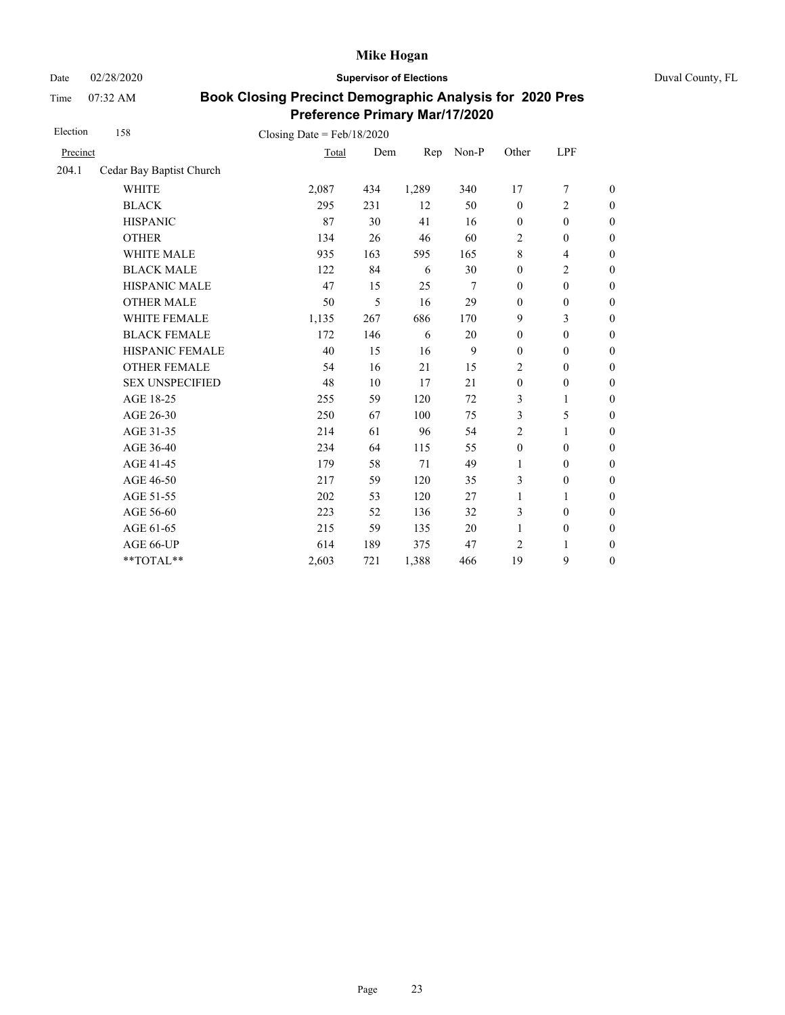Date 02/28/2020 **Supervisor of Elections** Duval County, FL

Time 07:32 AM

| Election | 158                      | Closing Date = $Feb/18/2020$ |     |       |       |                  |                          |                  |
|----------|--------------------------|------------------------------|-----|-------|-------|------------------|--------------------------|------------------|
| Precinct |                          | Total                        | Dem | Rep   | Non-P | Other            | LPF                      |                  |
| 204.1    | Cedar Bay Baptist Church |                              |     |       |       |                  |                          |                  |
|          | <b>WHITE</b>             | 2,087                        | 434 | 1,289 | 340   | 17               | $\tau$                   | $\boldsymbol{0}$ |
|          | <b>BLACK</b>             | 295                          | 231 | 12    | 50    | $\mathbf{0}$     | $\overline{c}$           | $\boldsymbol{0}$ |
|          | <b>HISPANIC</b>          | 87                           | 30  | 41    | 16    | $\boldsymbol{0}$ | $\boldsymbol{0}$         | $\boldsymbol{0}$ |
|          | <b>OTHER</b>             | 134                          | 26  | 46    | 60    | $\overline{2}$   | $\mathbf{0}$             | $\overline{0}$   |
|          | <b>WHITE MALE</b>        | 935                          | 163 | 595   | 165   | 8                | $\overline{\mathcal{L}}$ | $\boldsymbol{0}$ |
|          | <b>BLACK MALE</b>        | 122                          | 84  | 6     | 30    | $\mathbf{0}$     | $\overline{c}$           | $\boldsymbol{0}$ |
|          | <b>HISPANIC MALE</b>     | 47                           | 15  | 25    | 7     | $\mathbf{0}$     | $\mathbf{0}$             | $\overline{0}$   |
|          | <b>OTHER MALE</b>        | 50                           | 5   | 16    | 29    | $\boldsymbol{0}$ | $\boldsymbol{0}$         | $\boldsymbol{0}$ |
|          | <b>WHITE FEMALE</b>      | 1,135                        | 267 | 686   | 170   | 9                | 3                        | $\boldsymbol{0}$ |
|          | <b>BLACK FEMALE</b>      | 172                          | 146 | 6     | 20    | $\mathbf{0}$     | $\mathbf{0}$             | $\overline{0}$   |
|          | HISPANIC FEMALE          | 40                           | 15  | 16    | 9     | $\boldsymbol{0}$ | $\boldsymbol{0}$         | $\boldsymbol{0}$ |
|          | <b>OTHER FEMALE</b>      | 54                           | 16  | 21    | 15    | 2                | $\boldsymbol{0}$         | $\boldsymbol{0}$ |
|          | <b>SEX UNSPECIFIED</b>   | 48                           | 10  | 17    | 21    | $\boldsymbol{0}$ | $\boldsymbol{0}$         | $\boldsymbol{0}$ |
|          | AGE 18-25                | 255                          | 59  | 120   | 72    | 3                | $\mathbf{1}$             | $\boldsymbol{0}$ |
|          | AGE 26-30                | 250                          | 67  | 100   | 75    | 3                | 5                        | $\boldsymbol{0}$ |
|          | AGE 31-35                | 214                          | 61  | 96    | 54    | 2                | 1                        | $\boldsymbol{0}$ |
|          | AGE 36-40                | 234                          | 64  | 115   | 55    | $\boldsymbol{0}$ | $\mathbf{0}$             | $\boldsymbol{0}$ |
|          | AGE 41-45                | 179                          | 58  | 71    | 49    | $\mathbf{1}$     | $\mathbf{0}$             | $\overline{0}$   |
|          | AGE 46-50                | 217                          | 59  | 120   | 35    | 3                | $\boldsymbol{0}$         | $\boldsymbol{0}$ |
|          | AGE 51-55                | 202                          | 53  | 120   | 27    | $\mathbf{1}$     | 1                        | $\boldsymbol{0}$ |
|          | AGE 56-60                | 223                          | 52  | 136   | 32    | 3                | $\boldsymbol{0}$         | $\overline{0}$   |
|          | AGE 61-65                | 215                          | 59  | 135   | 20    | $\mathbf{1}$     | $\boldsymbol{0}$         | $\boldsymbol{0}$ |
|          | AGE 66-UP                | 614                          | 189 | 375   | 47    | $\overline{2}$   | 1                        | $\overline{0}$   |
|          | **TOTAL**                | 2,603                        | 721 | 1,388 | 466   | 19               | 9                        | $\overline{0}$   |
|          |                          |                              |     |       |       |                  |                          |                  |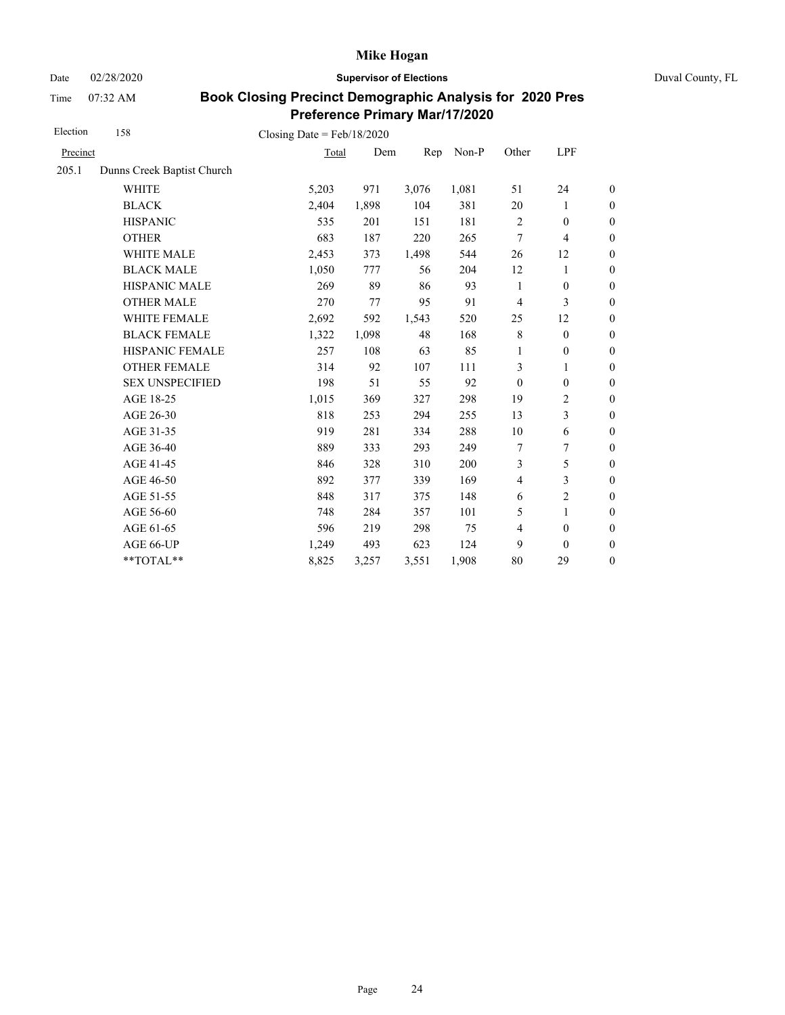Date 02/28/2020 **Supervisor of Elections** Duval County, FL

Time 07:32 AM

| Election | 158                        | Closing Date = $Feb/18/2020$ |       |       |       |                |                          |                  |
|----------|----------------------------|------------------------------|-------|-------|-------|----------------|--------------------------|------------------|
| Precinct |                            | Total                        | Dem   | Rep   | Non-P | Other          | LPF                      |                  |
| 205.1    | Dunns Creek Baptist Church |                              |       |       |       |                |                          |                  |
|          | <b>WHITE</b>               | 5,203                        | 971   | 3,076 | 1,081 | 51             | 24                       | $\boldsymbol{0}$ |
|          | <b>BLACK</b>               | 2,404                        | 1,898 | 104   | 381   | 20             | 1                        | $\boldsymbol{0}$ |
|          | <b>HISPANIC</b>            | 535                          | 201   | 151   | 181   | $\sqrt{2}$     | $\boldsymbol{0}$         | $\boldsymbol{0}$ |
|          | <b>OTHER</b>               | 683                          | 187   | 220   | 265   | 7              | $\overline{\mathcal{L}}$ | $\overline{0}$   |
|          | <b>WHITE MALE</b>          | 2,453                        | 373   | 1,498 | 544   | 26             | 12                       | $\boldsymbol{0}$ |
|          | <b>BLACK MALE</b>          | 1,050                        | 777   | 56    | 204   | 12             | 1                        | $\boldsymbol{0}$ |
|          | <b>HISPANIC MALE</b>       | 269                          | 89    | 86    | 93    | 1              | $\mathbf{0}$             | $\overline{0}$   |
|          | <b>OTHER MALE</b>          | 270                          | 77    | 95    | 91    | $\overline{4}$ | 3                        | $\theta$         |
|          | WHITE FEMALE               | 2,692                        | 592   | 1,543 | 520   | 25             | 12                       | $\boldsymbol{0}$ |
|          | <b>BLACK FEMALE</b>        | 1,322                        | 1,098 | 48    | 168   | $\,8\,$        | $\mathbf{0}$             | $\boldsymbol{0}$ |
|          | HISPANIC FEMALE            | 257                          | 108   | 63    | 85    | $\mathbf{1}$   | $\boldsymbol{0}$         | $\boldsymbol{0}$ |
|          | <b>OTHER FEMALE</b>        | 314                          | 92    | 107   | 111   | 3              | 1                        | $\boldsymbol{0}$ |
|          | <b>SEX UNSPECIFIED</b>     | 198                          | 51    | 55    | 92    | $\mathbf{0}$   | $\boldsymbol{0}$         | $\boldsymbol{0}$ |
|          | AGE 18-25                  | 1,015                        | 369   | 327   | 298   | 19             | $\mathbf{2}$             | $\boldsymbol{0}$ |
|          | AGE 26-30                  | 818                          | 253   | 294   | 255   | 13             | 3                        | $\overline{0}$   |
|          | AGE 31-35                  | 919                          | 281   | 334   | 288   | 10             | 6                        | $\boldsymbol{0}$ |
|          | AGE 36-40                  | 889                          | 333   | 293   | 249   | 7              | 7                        | $\boldsymbol{0}$ |
|          | AGE 41-45                  | 846                          | 328   | 310   | 200   | 3              | 5                        | $\boldsymbol{0}$ |
|          | AGE 46-50                  | 892                          | 377   | 339   | 169   | $\overline{4}$ | 3                        | $\boldsymbol{0}$ |
|          | AGE 51-55                  | 848                          | 317   | 375   | 148   | 6              | $\overline{c}$           | $\boldsymbol{0}$ |
|          | AGE 56-60                  | 748                          | 284   | 357   | 101   | 5              | 1                        | $\boldsymbol{0}$ |
|          | AGE 61-65                  | 596                          | 219   | 298   | 75    | $\overline{4}$ | $\boldsymbol{0}$         | $\boldsymbol{0}$ |
|          | AGE 66-UP                  | 1,249                        | 493   | 623   | 124   | 9              | $\mathbf{0}$             | $\boldsymbol{0}$ |
|          | **TOTAL**                  | 8,825                        | 3,257 | 3,551 | 1,908 | 80             | 29                       | $\boldsymbol{0}$ |
|          |                            |                              |       |       |       |                |                          |                  |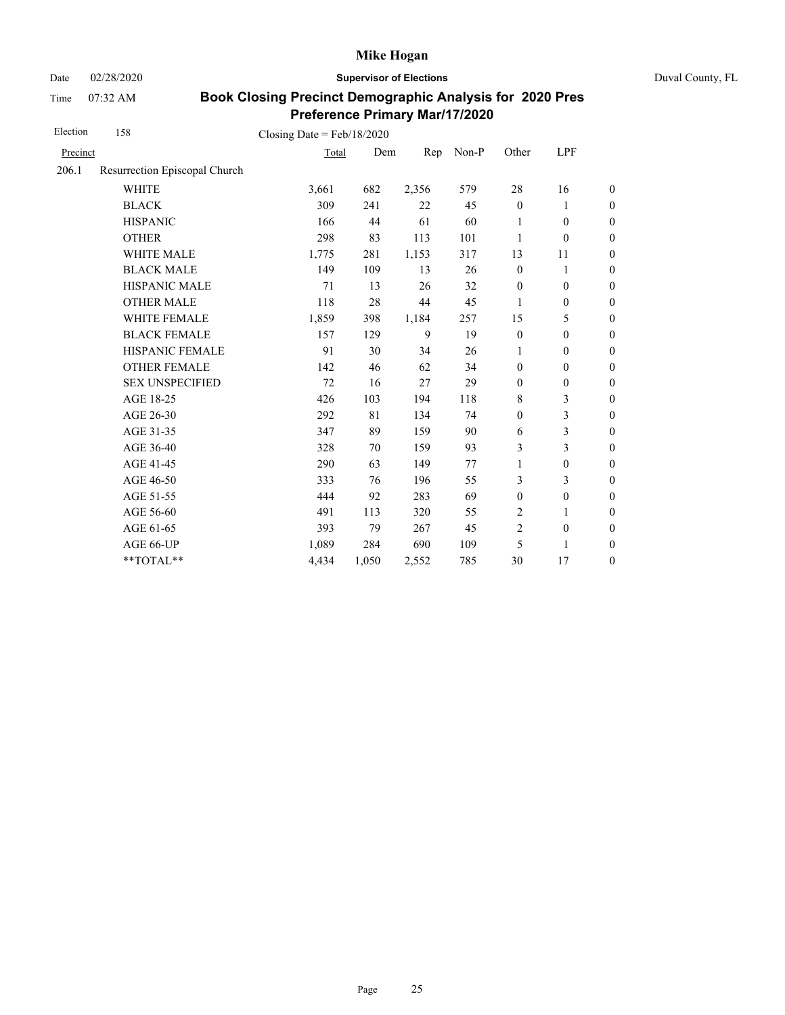Date 02/28/2020 **Supervisor of Elections** Duval County, FL

Time 07:32 AM

| Election | 158                           | Closing Date = $Feb/18/2020$ |       |       |       |                  |                  |                  |
|----------|-------------------------------|------------------------------|-------|-------|-------|------------------|------------------|------------------|
| Precinct |                               | Total                        | Dem   | Rep   | Non-P | Other            | LPF              |                  |
| 206.1    | Resurrection Episcopal Church |                              |       |       |       |                  |                  |                  |
|          | <b>WHITE</b>                  | 3,661                        | 682   | 2,356 | 579   | 28               | 16               | $\boldsymbol{0}$ |
|          | <b>BLACK</b>                  | 309                          | 241   | 22    | 45    | $\mathbf{0}$     | 1                | $\boldsymbol{0}$ |
|          | <b>HISPANIC</b>               | 166                          | 44    | 61    | 60    | 1                | $\boldsymbol{0}$ | $\boldsymbol{0}$ |
|          | <b>OTHER</b>                  | 298                          | 83    | 113   | 101   | 1                | $\boldsymbol{0}$ | $\overline{0}$   |
|          | WHITE MALE                    | 1,775                        | 281   | 1,153 | 317   | 13               | 11               | $\boldsymbol{0}$ |
|          | <b>BLACK MALE</b>             | 149                          | 109   | 13    | 26    | $\boldsymbol{0}$ | $\mathbf{1}$     | $\boldsymbol{0}$ |
|          | HISPANIC MALE                 | 71                           | 13    | 26    | 32    | $\boldsymbol{0}$ | $\mathbf{0}$     | $\boldsymbol{0}$ |
|          | <b>OTHER MALE</b>             | 118                          | 28    | 44    | 45    | 1                | $\boldsymbol{0}$ | $\boldsymbol{0}$ |
|          | WHITE FEMALE                  | 1,859                        | 398   | 1,184 | 257   | 15               | 5                | $\boldsymbol{0}$ |
|          | <b>BLACK FEMALE</b>           | 157                          | 129   | 9     | 19    | $\mathbf{0}$     | $\boldsymbol{0}$ | $\boldsymbol{0}$ |
|          | HISPANIC FEMALE               | 91                           | 30    | 34    | 26    | 1                | $\boldsymbol{0}$ | $\boldsymbol{0}$ |
|          | <b>OTHER FEMALE</b>           | 142                          | 46    | 62    | 34    | $\mathbf{0}$     | $\mathbf{0}$     | $\boldsymbol{0}$ |
|          | <b>SEX UNSPECIFIED</b>        | 72                           | 16    | 27    | 29    | $\mathbf{0}$     | $\boldsymbol{0}$ | $\boldsymbol{0}$ |
|          | AGE 18-25                     | 426                          | 103   | 194   | 118   | 8                | 3                | $\boldsymbol{0}$ |
|          | AGE 26-30                     | 292                          | 81    | 134   | 74    | $\boldsymbol{0}$ | 3                | $\overline{0}$   |
|          | AGE 31-35                     | 347                          | 89    | 159   | 90    | 6                | 3                | $\boldsymbol{0}$ |
|          | AGE 36-40                     | 328                          | 70    | 159   | 93    | 3                | 3                | $\boldsymbol{0}$ |
|          | AGE 41-45                     | 290                          | 63    | 149   | 77    | 1                | $\boldsymbol{0}$ | $\boldsymbol{0}$ |
|          | AGE 46-50                     | 333                          | 76    | 196   | 55    | 3                | 3                | $\mathbf{0}$     |
|          | AGE 51-55                     | 444                          | 92    | 283   | 69    | $\mathbf{0}$     | $\boldsymbol{0}$ | $\mathbf{0}$     |
|          | AGE 56-60                     | 491                          | 113   | 320   | 55    | $\overline{2}$   | 1                | $\boldsymbol{0}$ |
|          | AGE 61-65                     | 393                          | 79    | 267   | 45    | $\overline{2}$   | $\boldsymbol{0}$ | $\boldsymbol{0}$ |
|          | AGE 66-UP                     | 1,089                        | 284   | 690   | 109   | 5                | 1                | $\boldsymbol{0}$ |
|          | **TOTAL**                     | 4,434                        | 1,050 | 2,552 | 785   | 30               | 17               | $\boldsymbol{0}$ |
|          |                               |                              |       |       |       |                  |                  |                  |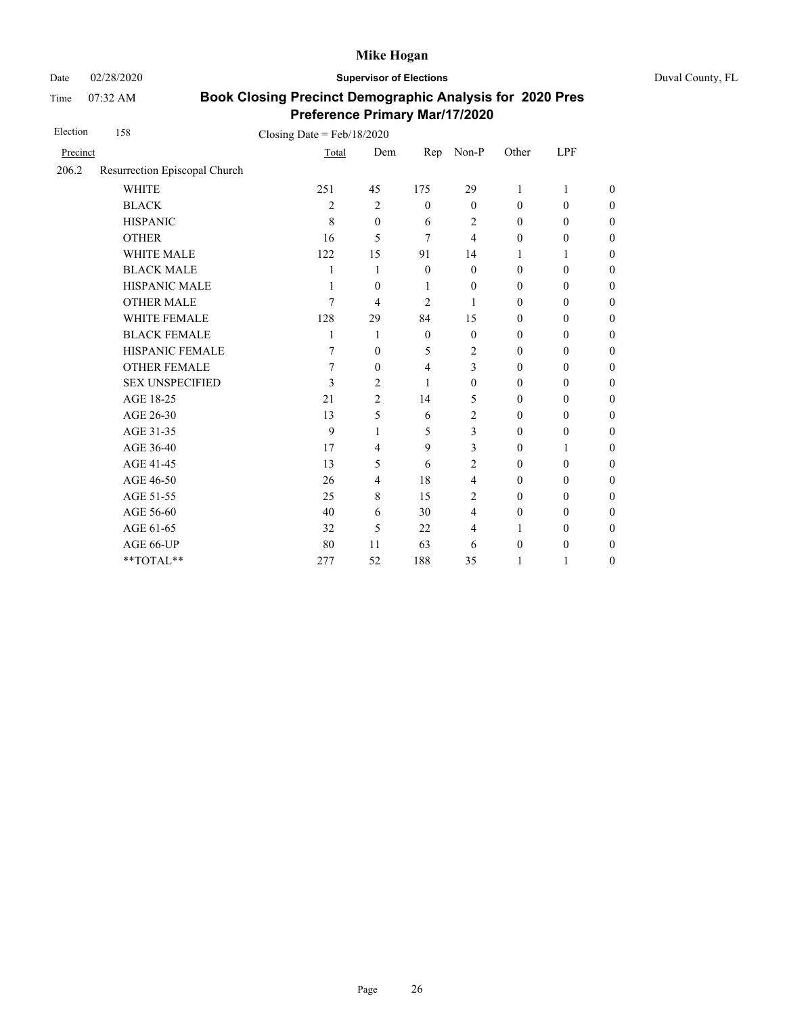Date 02/28/2020 **Supervisor of Elections** Duval County, FL

Time 07:32 AM

| Election | 158                           | Closing Date = $Feb/18/2020$ |                |                |                |                  |                  |                  |
|----------|-------------------------------|------------------------------|----------------|----------------|----------------|------------------|------------------|------------------|
| Precinct |                               | Total                        | Dem            | Rep            | $Non-P$        | Other            | LPF              |                  |
| 206.2    | Resurrection Episcopal Church |                              |                |                |                |                  |                  |                  |
|          | <b>WHITE</b>                  | 251                          | 45             | 175            | 29             | 1                | 1                | $\theta$         |
|          | <b>BLACK</b>                  | $\overline{c}$               | $\overline{2}$ | $\mathbf{0}$   | $\mathbf{0}$   | $\mathbf{0}$     | $\mathbf{0}$     | $\boldsymbol{0}$ |
|          | <b>HISPANIC</b>               | 8                            | $\mathbf{0}$   | 6              | $\overline{c}$ | $\mathbf{0}$     | $\mathbf{0}$     | $\overline{0}$   |
|          | <b>OTHER</b>                  | 16                           | 5              | 7              | 4              | $\mathbf{0}$     | $\mathbf{0}$     | $\overline{0}$   |
|          | WHITE MALE                    | 122                          | 15             | 91             | 14             | 1                | 1                | $\boldsymbol{0}$ |
|          | <b>BLACK MALE</b>             | 1                            | 1              | $\theta$       | $\theta$       | $\mathbf{0}$     | $\theta$         | $\boldsymbol{0}$ |
|          | <b>HISPANIC MALE</b>          | 1                            | $\mathbf{0}$   | 1              | $\theta$       | $\mathbf{0}$     | $\mathbf{0}$     | $\overline{0}$   |
|          | <b>OTHER MALE</b>             | 7                            | 4              | 2              | 1              | $\mathbf{0}$     | $\mathbf{0}$     | $\boldsymbol{0}$ |
|          | WHITE FEMALE                  | 128                          | 29             | 84             | 15             | $\mathbf{0}$     | $\theta$         | $\boldsymbol{0}$ |
|          | <b>BLACK FEMALE</b>           | 1                            | 1              | $\mathbf{0}$   | $\theta$       | $\mathbf{0}$     | $\mathbf{0}$     | $\overline{0}$   |
|          | HISPANIC FEMALE               | 7                            | $\mathbf{0}$   | 5              | 2              | $\mathbf{0}$     | $\mathbf{0}$     | $\overline{0}$   |
|          | <b>OTHER FEMALE</b>           | 7                            | $\mathbf{0}$   | $\overline{4}$ | 3              | $\mathbf{0}$     | $\mathbf{0}$     | $\boldsymbol{0}$ |
|          | <b>SEX UNSPECIFIED</b>        | 3                            | $\overline{2}$ | 1              | $\theta$       | $\mathbf{0}$     | $\mathbf{0}$     | $\overline{0}$   |
|          | AGE 18-25                     | 21                           | $\overline{2}$ | 14             | 5              | $\mathbf{0}$     | $\mathbf{0}$     | $\overline{0}$   |
|          | AGE 26-30                     | 13                           | 5              | 6              | 2              | $\mathbf{0}$     | $\mathbf{0}$     | $\overline{0}$   |
|          | AGE 31-35                     | 9                            | 1              | 5              | 3              | $\mathbf{0}$     | $\theta$         | $\boldsymbol{0}$ |
|          | AGE 36-40                     | 17                           | $\overline{4}$ | 9              | 3              | $\mathbf{0}$     | 1                | $\overline{0}$   |
|          | AGE 41-45                     | 13                           | 5              | 6              | $\overline{c}$ | $\mathbf{0}$     | $\mathbf{0}$     | $\overline{0}$   |
|          | AGE 46-50                     | 26                           | 4              | 18             | $\overline{4}$ | $\mathbf{0}$     | $\mathbf{0}$     | $\boldsymbol{0}$ |
|          | AGE 51-55                     | 25                           | 8              | 15             | 2              | $\mathbf{0}$     | $\mathbf{0}$     | $\boldsymbol{0}$ |
|          | AGE 56-60                     | 40                           | 6              | 30             | $\overline{4}$ | $\mathbf{0}$     | $\mathbf{0}$     | $\overline{0}$   |
|          | AGE 61-65                     | 32                           | 5              | 22             | 4              | 1                | $\mathbf{0}$     | $\overline{0}$   |
|          | AGE 66-UP                     | 80                           | 11             | 63             | 6              | $\boldsymbol{0}$ | $\boldsymbol{0}$ | $\boldsymbol{0}$ |
|          | **TOTAL**                     | 277                          | 52             | 188            | 35             | 1                | 1                | $\overline{0}$   |
|          |                               |                              |                |                |                |                  |                  |                  |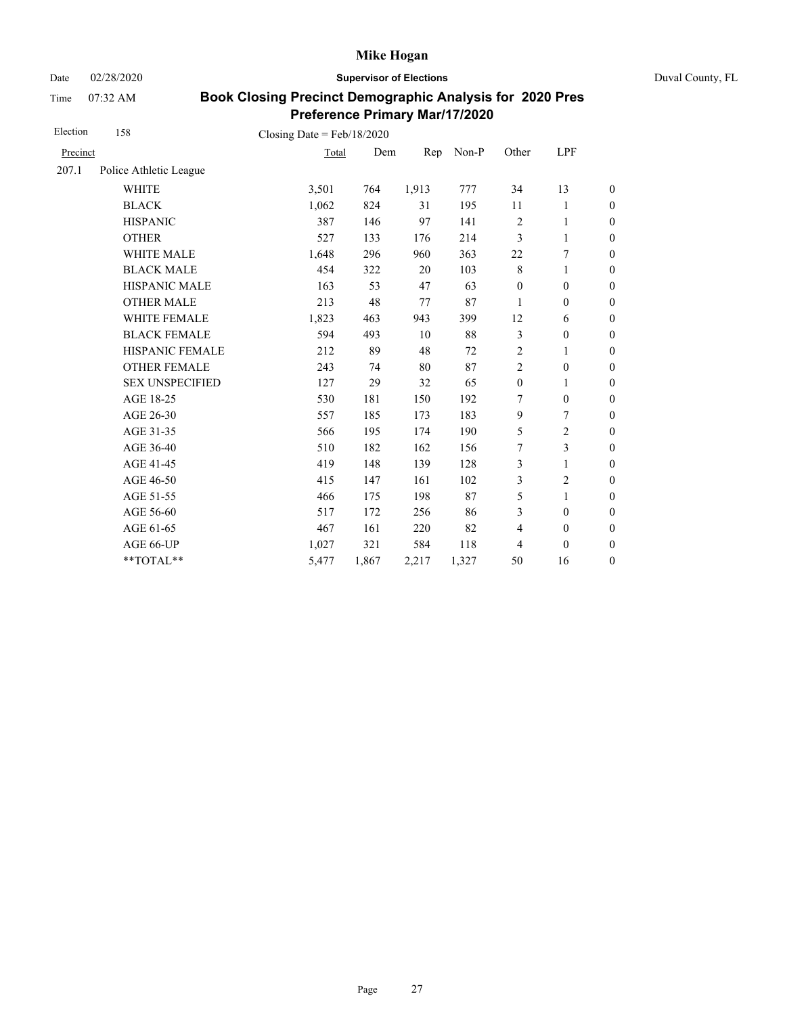Date 02/28/2020 **Supervisor of Elections** Duval County, FL

Time 07:32 AM

| Election | 158                    | Closing Date = $Feb/18/2020$ |       |       |       |                  |                  |                  |
|----------|------------------------|------------------------------|-------|-------|-------|------------------|------------------|------------------|
| Precinct |                        | Total                        | Dem   | Rep   | Non-P | Other            | LPF              |                  |
| 207.1    | Police Athletic League |                              |       |       |       |                  |                  |                  |
|          | <b>WHITE</b>           | 3,501                        | 764   | 1,913 | 777   | 34               | 13               | $\boldsymbol{0}$ |
|          | <b>BLACK</b>           | 1,062                        | 824   | 31    | 195   | 11               | 1                | $\boldsymbol{0}$ |
|          | <b>HISPANIC</b>        | 387                          | 146   | 97    | 141   | $\sqrt{2}$       | $\mathbf{1}$     | $\boldsymbol{0}$ |
|          | <b>OTHER</b>           | 527                          | 133   | 176   | 214   | 3                | $\mathbf{1}$     | $\overline{0}$   |
|          | WHITE MALE             | 1,648                        | 296   | 960   | 363   | $22\,$           | 7                | $\boldsymbol{0}$ |
|          | <b>BLACK MALE</b>      | 454                          | 322   | 20    | 103   | $\,$ 8 $\,$      | 1                | $\boldsymbol{0}$ |
|          | <b>HISPANIC MALE</b>   | 163                          | 53    | 47    | 63    | $\boldsymbol{0}$ | $\boldsymbol{0}$ | $\boldsymbol{0}$ |
|          | <b>OTHER MALE</b>      | 213                          | 48    | 77    | 87    | 1                | $\boldsymbol{0}$ | $\boldsymbol{0}$ |
|          | WHITE FEMALE           | 1,823                        | 463   | 943   | 399   | 12               | 6                | $\boldsymbol{0}$ |
|          | <b>BLACK FEMALE</b>    | 594                          | 493   | 10    | 88    | $\mathfrak{Z}$   | $\boldsymbol{0}$ | $\boldsymbol{0}$ |
|          | <b>HISPANIC FEMALE</b> | 212                          | 89    | 48    | 72    | $\overline{2}$   | 1                | $\overline{0}$   |
|          | <b>OTHER FEMALE</b>    | 243                          | 74    | 80    | 87    | $\overline{2}$   | $\mathbf{0}$     | $\overline{0}$   |
|          | <b>SEX UNSPECIFIED</b> | 127                          | 29    | 32    | 65    | $\boldsymbol{0}$ | 1                | $\boldsymbol{0}$ |
|          | AGE 18-25              | 530                          | 181   | 150   | 192   | 7                | $\mathbf{0}$     | $\boldsymbol{0}$ |
|          | AGE 26-30              | 557                          | 185   | 173   | 183   | 9                | 7                | $\overline{0}$   |
|          | AGE 31-35              | 566                          | 195   | 174   | 190   | 5                | $\overline{c}$   | $\boldsymbol{0}$ |
|          | AGE 36-40              | 510                          | 182   | 162   | 156   | 7                | 3                | $\boldsymbol{0}$ |
|          | AGE 41-45              | 419                          | 148   | 139   | 128   | 3                | $\mathbf{1}$     | $\boldsymbol{0}$ |
|          | AGE 46-50              | 415                          | 147   | 161   | 102   | 3                | $\overline{c}$   | $\boldsymbol{0}$ |
|          | AGE 51-55              | 466                          | 175   | 198   | 87    | 5                | $\mathbf{1}$     | $\boldsymbol{0}$ |
|          | AGE 56-60              | 517                          | 172   | 256   | 86    | 3                | $\mathbf{0}$     | $\boldsymbol{0}$ |
|          | AGE 61-65              | 467                          | 161   | 220   | 82    | $\overline{4}$   | $\boldsymbol{0}$ | $\boldsymbol{0}$ |
|          | AGE 66-UP              | 1,027                        | 321   | 584   | 118   | 4                | $\boldsymbol{0}$ | $\boldsymbol{0}$ |
|          | **TOTAL**              | 5,477                        | 1,867 | 2,217 | 1,327 | 50               | 16               | $\boldsymbol{0}$ |
|          |                        |                              |       |       |       |                  |                  |                  |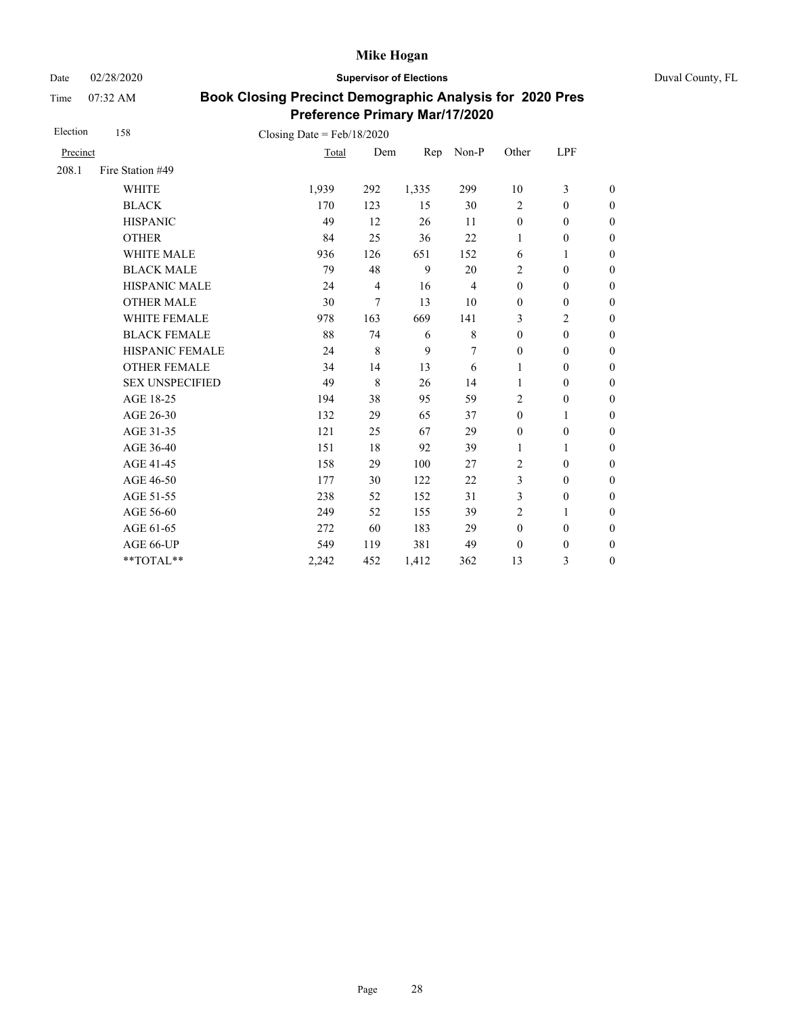Date 02/28/2020 **Supervisor of Elections** Duval County, FL

Time 07:32 AM

| Election | 158                    | Closing Date = $Feb/18/2020$ |                |       |                |                  |                  |                  |
|----------|------------------------|------------------------------|----------------|-------|----------------|------------------|------------------|------------------|
| Precinct |                        | Total                        | Dem            | Rep   | Non-P          | Other            | LPF              |                  |
| 208.1    | Fire Station #49       |                              |                |       |                |                  |                  |                  |
|          | <b>WHITE</b>           | 1,939                        | 292            | 1,335 | 299            | 10               | 3                | $\boldsymbol{0}$ |
|          | <b>BLACK</b>           | 170                          | 123            | 15    | 30             | $\overline{2}$   | $\mathbf{0}$     | $\boldsymbol{0}$ |
|          | <b>HISPANIC</b>        | 49                           | 12             | 26    | 11             | $\boldsymbol{0}$ | $\boldsymbol{0}$ | $\overline{0}$   |
|          | <b>OTHER</b>           | 84                           | 25             | 36    | 22             | 1                | $\boldsymbol{0}$ | $\boldsymbol{0}$ |
|          | <b>WHITE MALE</b>      | 936                          | 126            | 651   | 152            | 6                | 1                | $\boldsymbol{0}$ |
|          | <b>BLACK MALE</b>      | 79                           | 48             | 9     | 20             | $\overline{2}$   | $\mathbf{0}$     | $\boldsymbol{0}$ |
|          | <b>HISPANIC MALE</b>   | 24                           | $\overline{4}$ | 16    | $\overline{4}$ | $\mathbf{0}$     | $\mathbf{0}$     | $\overline{0}$   |
|          | <b>OTHER MALE</b>      | 30                           | 7              | 13    | 10             | $\mathbf{0}$     | $\mathbf{0}$     | $\boldsymbol{0}$ |
|          | WHITE FEMALE           | 978                          | 163            | 669   | 141            | 3                | $\overline{c}$   | $\boldsymbol{0}$ |
|          | <b>BLACK FEMALE</b>    | 88                           | 74             | 6     | $\,$ 8 $\,$    | $\mathbf{0}$     | $\mathbf{0}$     | $\overline{0}$   |
|          | <b>HISPANIC FEMALE</b> | 24                           | $\,$ 8 $\,$    | 9     | 7              | $\mathbf{0}$     | $\boldsymbol{0}$ | $\boldsymbol{0}$ |
|          | <b>OTHER FEMALE</b>    | 34                           | 14             | 13    | 6              | 1                | $\mathbf{0}$     | $\boldsymbol{0}$ |
|          | <b>SEX UNSPECIFIED</b> | 49                           | 8              | 26    | 14             | $\mathbf{1}$     | $\mathbf{0}$     | $\boldsymbol{0}$ |
|          | AGE 18-25              | 194                          | 38             | 95    | 59             | $\overline{2}$   | $\boldsymbol{0}$ | $\overline{0}$   |
|          | AGE 26-30              | 132                          | 29             | 65    | 37             | $\mathbf{0}$     | 1                | $\boldsymbol{0}$ |
|          | AGE 31-35              | 121                          | 25             | 67    | 29             | $\mathbf{0}$     | $\mathbf{0}$     | $\boldsymbol{0}$ |
|          | AGE 36-40              | 151                          | 18             | 92    | 39             | $\mathbf{1}$     | 1                | $\boldsymbol{0}$ |
|          | AGE 41-45              | 158                          | 29             | 100   | 27             | $\overline{2}$   | $\mathbf{0}$     | $\overline{0}$   |
|          | AGE 46-50              | 177                          | 30             | 122   | 22             | 3                | $\mathbf{0}$     | $\boldsymbol{0}$ |
|          | AGE 51-55              | 238                          | 52             | 152   | 31             | 3                | $\mathbf{0}$     | $\boldsymbol{0}$ |
|          | AGE 56-60              | 249                          | 52             | 155   | 39             | $\overline{2}$   | 1                | $\overline{0}$   |
|          | AGE 61-65              | 272                          | 60             | 183   | 29             | $\mathbf{0}$     | $\mathbf{0}$     | $\boldsymbol{0}$ |
|          | AGE 66-UP              | 549                          | 119            | 381   | 49             | $\theta$         | $\boldsymbol{0}$ | $\boldsymbol{0}$ |
|          | **TOTAL**              | 2,242                        | 452            | 1,412 | 362            | 13               | 3                | $\overline{0}$   |
|          |                        |                              |                |       |                |                  |                  |                  |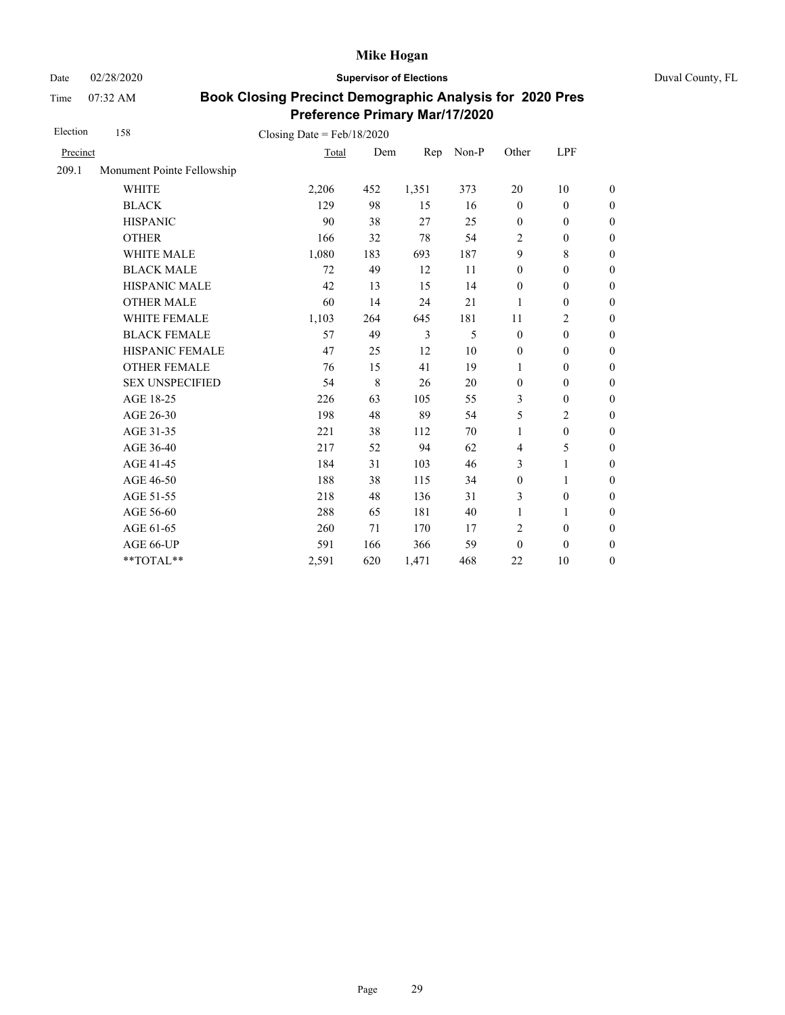Date 02/28/2020 **Supervisor of Elections** Duval County, FL

Time 07:32 AM

| Election | 158                        | Closing Date = $Feb/18/2020$ |             |       |       |                  |                  |                  |
|----------|----------------------------|------------------------------|-------------|-------|-------|------------------|------------------|------------------|
| Precinct |                            | Total                        | Dem         | Rep   | Non-P | Other            | LPF              |                  |
| 209.1    | Monument Pointe Fellowship |                              |             |       |       |                  |                  |                  |
|          | <b>WHITE</b>               | 2,206                        | 452         | 1,351 | 373   | 20               | 10               | $\boldsymbol{0}$ |
|          | <b>BLACK</b>               | 129                          | 98          | 15    | 16    | $\mathbf{0}$     | $\mathbf{0}$     | $\boldsymbol{0}$ |
|          | <b>HISPANIC</b>            | 90                           | 38          | 27    | 25    | $\boldsymbol{0}$ | $\mathbf{0}$     | $\theta$         |
|          | <b>OTHER</b>               | 166                          | 32          | 78    | 54    | $\overline{2}$   | $\mathbf{0}$     | $\theta$         |
|          | <b>WHITE MALE</b>          | 1,080                        | 183         | 693   | 187   | 9                | 8                | $\mathbf{0}$     |
|          | <b>BLACK MALE</b>          | 72                           | 49          | 12    | 11    | $\mathbf{0}$     | $\mathbf{0}$     | $\boldsymbol{0}$ |
|          | <b>HISPANIC MALE</b>       | 42                           | 13          | 15    | 14    | $\mathbf{0}$     | $\mathbf{0}$     | $\overline{0}$   |
|          | <b>OTHER MALE</b>          | 60                           | 14          | 24    | 21    | 1                | $\boldsymbol{0}$ | $\boldsymbol{0}$ |
|          | WHITE FEMALE               | 1,103                        | 264         | 645   | 181   | 11               | $\overline{2}$   | $\boldsymbol{0}$ |
|          | <b>BLACK FEMALE</b>        | 57                           | 49          | 3     | 5     | $\mathbf{0}$     | $\mathbf{0}$     | $\overline{0}$   |
|          | HISPANIC FEMALE            | 47                           | 25          | 12    | 10    | $\boldsymbol{0}$ | $\boldsymbol{0}$ | $\boldsymbol{0}$ |
|          | <b>OTHER FEMALE</b>        | 76                           | 15          | 41    | 19    | 1                | $\boldsymbol{0}$ | $\boldsymbol{0}$ |
|          | <b>SEX UNSPECIFIED</b>     | 54                           | $\,$ 8 $\,$ | 26    | 20    | $\mathbf{0}$     | $\mathbf{0}$     | $\boldsymbol{0}$ |
|          | AGE 18-25                  | 226                          | 63          | 105   | 55    | 3                | $\boldsymbol{0}$ | $\boldsymbol{0}$ |
|          | AGE 26-30                  | 198                          | 48          | 89    | 54    | 5                | 2                | $\boldsymbol{0}$ |
|          | AGE 31-35                  | 221                          | 38          | 112   | 70    | $\mathbf{1}$     | $\boldsymbol{0}$ | $\boldsymbol{0}$ |
|          | AGE 36-40                  | 217                          | 52          | 94    | 62    | $\overline{4}$   | 5                | $\boldsymbol{0}$ |
|          | AGE 41-45                  | 184                          | 31          | 103   | 46    | 3                | $\mathbf{1}$     | $\overline{0}$   |
|          | AGE 46-50                  | 188                          | 38          | 115   | 34    | $\boldsymbol{0}$ | 1                | $\boldsymbol{0}$ |
|          | AGE 51-55                  | 218                          | 48          | 136   | 31    | 3                | $\mathbf{0}$     | $\boldsymbol{0}$ |
|          | AGE 56-60                  | 288                          | 65          | 181   | 40    | $\mathbf{1}$     | 1                | $\overline{0}$   |
|          | AGE 61-65                  | 260                          | 71          | 170   | 17    | $\overline{2}$   | $\mathbf{0}$     | $\boldsymbol{0}$ |
|          | AGE 66-UP                  | 591                          | 166         | 366   | 59    | $\mathbf{0}$     | $\theta$         | $\theta$         |
|          | **TOTAL**                  | 2,591                        | 620         | 1,471 | 468   | 22               | 10               | $\theta$         |
|          |                            |                              |             |       |       |                  |                  |                  |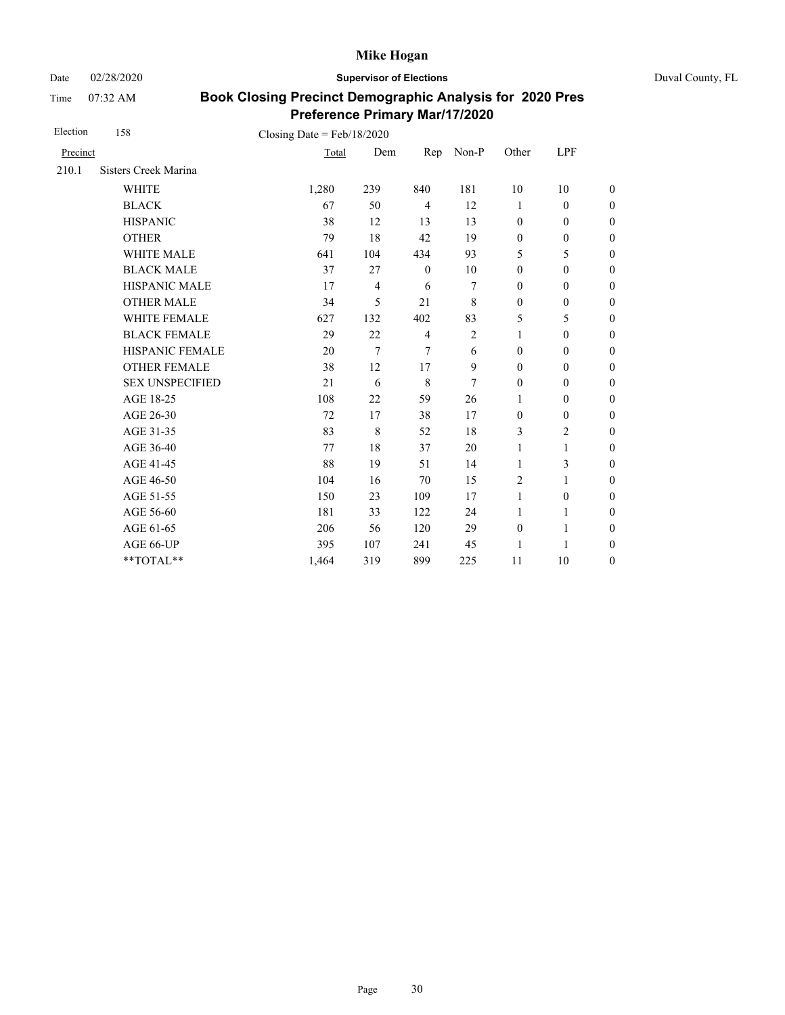Date 02/28/2020 **Supervisor of Elections** Duval County, FL

Time 07:32 AM

| Election | 158                         | Closing Date = $Feb/18/2020$ |                |                |            |              |                  |                  |
|----------|-----------------------------|------------------------------|----------------|----------------|------------|--------------|------------------|------------------|
| Precinct |                             | Total                        | Dem            | Rep            | Non-P      | Other        | LPF              |                  |
| 210.1    | <b>Sisters Creek Marina</b> |                              |                |                |            |              |                  |                  |
|          | <b>WHITE</b>                | 1,280                        | 239            | 840            | 181        | 10           | 10               | $\boldsymbol{0}$ |
|          | <b>BLACK</b>                | 67                           | 50             | $\overline{4}$ | 12         | 1            | $\mathbf{0}$     | $\boldsymbol{0}$ |
|          | <b>HISPANIC</b>             | 38                           | 12             | 13             | 13         | $\mathbf{0}$ | $\mathbf{0}$     | $\overline{0}$   |
|          | <b>OTHER</b>                | 79                           | 18             | 42             | 19         | $\mathbf{0}$ | $\boldsymbol{0}$ | $\boldsymbol{0}$ |
|          | WHITE MALE                  | 641                          | 104            | 434            | 93         | 5            | 5                | $\boldsymbol{0}$ |
|          | <b>BLACK MALE</b>           | 37                           | 27             | $\mathbf{0}$   | 10         | $\mathbf{0}$ | $\mathbf{0}$     | $\boldsymbol{0}$ |
|          | <b>HISPANIC MALE</b>        | 17                           | $\overline{4}$ | 6              | 7          | $\mathbf{0}$ | $\mathbf{0}$     | $\overline{0}$   |
|          | <b>OTHER MALE</b>           | 34                           | 5              | 21             | 8          | $\mathbf{0}$ | $\mathbf{0}$     | $\boldsymbol{0}$ |
|          | WHITE FEMALE                | 627                          | 132            | 402            | 83         | 5            | 5                | $\boldsymbol{0}$ |
|          | <b>BLACK FEMALE</b>         | 29                           | 22             | $\overline{4}$ | $\sqrt{2}$ | 1            | $\mathbf{0}$     | $\overline{0}$   |
|          | <b>HISPANIC FEMALE</b>      | 20                           | $\overline{7}$ | $\overline{7}$ | 6          | $\mathbf{0}$ | $\boldsymbol{0}$ | $\boldsymbol{0}$ |
|          | <b>OTHER FEMALE</b>         | 38                           | 12             | 17             | 9          | $\mathbf{0}$ | $\mathbf{0}$     | $\boldsymbol{0}$ |
|          | <b>SEX UNSPECIFIED</b>      | 21                           | 6              | 8              | 7          | $\mathbf{0}$ | $\mathbf{0}$     | $\boldsymbol{0}$ |
|          | AGE 18-25                   | 108                          | 22             | 59             | 26         | $\mathbf{1}$ | $\boldsymbol{0}$ | $\overline{0}$   |
|          | AGE 26-30                   | 72                           | 17             | 38             | 17         | $\mathbf{0}$ | $\mathbf{0}$     | $\boldsymbol{0}$ |
|          | AGE 31-35                   | 83                           | $\,$ 8 $\,$    | 52             | 18         | 3            | $\overline{2}$   | $\overline{0}$   |
|          | AGE 36-40                   | 77                           | 18             | 37             | 20         | 1            | 1                | $\overline{0}$   |
|          | AGE 41-45                   | 88                           | 19             | 51             | 14         | $\mathbf{1}$ | 3                | $\overline{0}$   |
|          | AGE 46-50                   | 104                          | 16             | 70             | 15         | 2            | 1                | $\boldsymbol{0}$ |
|          | AGE 51-55                   | 150                          | 23             | 109            | 17         | $\mathbf{1}$ | $\mathbf{0}$     | $\overline{0}$   |
|          | AGE 56-60                   | 181                          | 33             | 122            | 24         | 1            | 1                | $\overline{0}$   |
|          | AGE 61-65                   | 206                          | 56             | 120            | 29         | $\mathbf{0}$ | 1                | $\overline{0}$   |
|          | AGE 66-UP                   | 395                          | 107            | 241            | 45         | 1            | 1                | $\boldsymbol{0}$ |
|          | **TOTAL**                   | 1,464                        | 319            | 899            | 225        | 11           | 10               | $\overline{0}$   |
|          |                             |                              |                |                |            |              |                  |                  |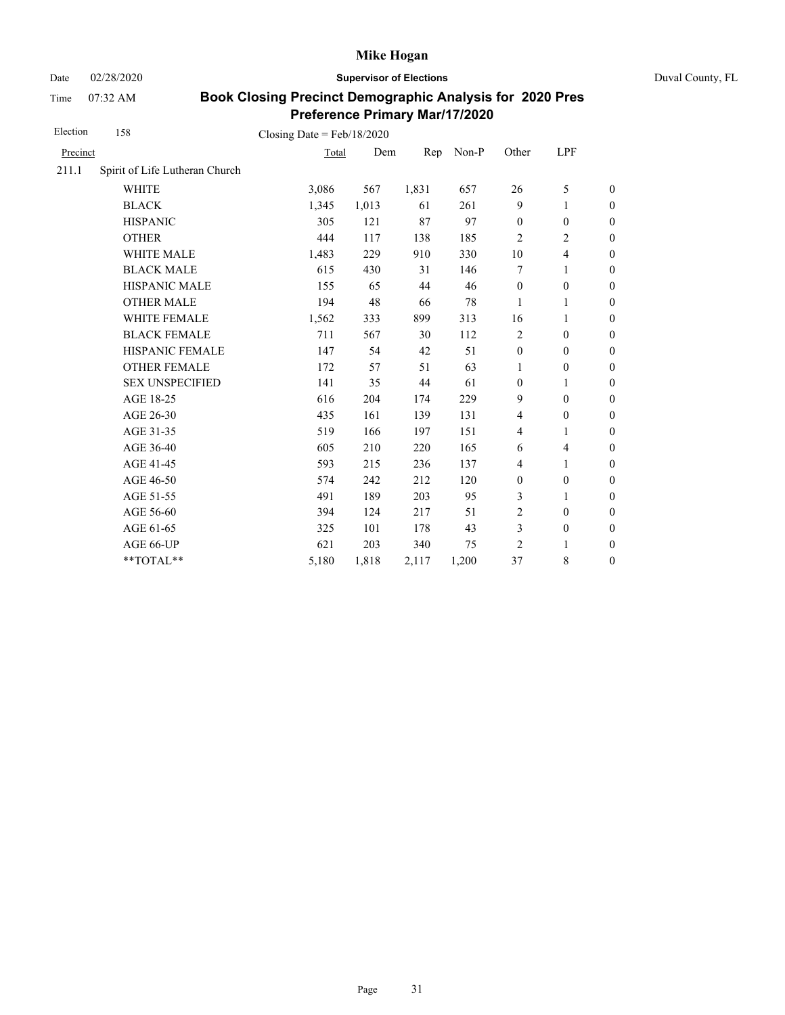Date 02/28/2020 **Supervisor of Elections** Duval County, FL

Time 07:32 AM

| Election | 158                            | Closing Date = $Feb/18/2020$ |       |       |       |                  |                  |                  |
|----------|--------------------------------|------------------------------|-------|-------|-------|------------------|------------------|------------------|
| Precinct |                                | Total                        | Dem   | Rep   | Non-P | Other            | LPF              |                  |
| 211.1    | Spirit of Life Lutheran Church |                              |       |       |       |                  |                  |                  |
|          | <b>WHITE</b>                   | 3,086                        | 567   | 1,831 | 657   | 26               | 5                | $\boldsymbol{0}$ |
|          | <b>BLACK</b>                   | 1,345                        | 1,013 | 61    | 261   | 9                | 1                | $\boldsymbol{0}$ |
|          | <b>HISPANIC</b>                | 305                          | 121   | 87    | 97    | $\mathbf{0}$     | $\mathbf{0}$     | $\boldsymbol{0}$ |
|          | <b>OTHER</b>                   | 444                          | 117   | 138   | 185   | $\overline{2}$   | 2                | $\overline{0}$   |
|          | WHITE MALE                     | 1,483                        | 229   | 910   | 330   | 10               | 4                | $\mathbf{0}$     |
|          | <b>BLACK MALE</b>              | 615                          | 430   | 31    | 146   | 7                | 1                | $\boldsymbol{0}$ |
|          | <b>HISPANIC MALE</b>           | 155                          | 65    | 44    | 46    | $\boldsymbol{0}$ | $\boldsymbol{0}$ | $\overline{0}$   |
|          | <b>OTHER MALE</b>              | 194                          | 48    | 66    | 78    | 1                | 1                | $\boldsymbol{0}$ |
|          | WHITE FEMALE                   | 1,562                        | 333   | 899   | 313   | 16               | 1                | $\boldsymbol{0}$ |
|          | <b>BLACK FEMALE</b>            | 711                          | 567   | 30    | 112   | $\overline{2}$   | $\mathbf{0}$     | $\boldsymbol{0}$ |
|          | HISPANIC FEMALE                | 147                          | 54    | 42    | 51    | $\boldsymbol{0}$ | $\boldsymbol{0}$ | $\boldsymbol{0}$ |
|          | <b>OTHER FEMALE</b>            | 172                          | 57    | 51    | 63    | $\mathbf{1}$     | $\boldsymbol{0}$ | $\boldsymbol{0}$ |
|          | <b>SEX UNSPECIFIED</b>         | 141                          | 35    | 44    | 61    | $\mathbf{0}$     | 1                | $\boldsymbol{0}$ |
|          | AGE 18-25                      | 616                          | 204   | 174   | 229   | 9                | $\mathbf{0}$     | $\mathbf{0}$     |
|          | AGE 26-30                      | 435                          | 161   | 139   | 131   | $\overline{4}$   | $\boldsymbol{0}$ | $\overline{0}$   |
|          | AGE 31-35                      | 519                          | 166   | 197   | 151   | 4                | 1                | $\boldsymbol{0}$ |
|          | AGE 36-40                      | 605                          | 210   | 220   | 165   | 6                | $\overline{4}$   | $\boldsymbol{0}$ |
|          | AGE 41-45                      | 593                          | 215   | 236   | 137   | $\overline{4}$   | $\mathbf{1}$     | $\boldsymbol{0}$ |
|          | AGE 46-50                      | 574                          | 242   | 212   | 120   | $\boldsymbol{0}$ | $\boldsymbol{0}$ | $\boldsymbol{0}$ |
|          | AGE 51-55                      | 491                          | 189   | 203   | 95    | 3                | 1                | $\theta$         |
|          | AGE 56-60                      | 394                          | 124   | 217   | 51    | $\overline{c}$   | $\mathbf{0}$     | $\mathbf{0}$     |
|          | AGE 61-65                      | 325                          | 101   | 178   | 43    | 3                | $\boldsymbol{0}$ | $\mathbf{0}$     |
|          | AGE 66-UP                      | 621                          | 203   | 340   | 75    | 2                | 1                | $\boldsymbol{0}$ |
|          | **TOTAL**                      | 5,180                        | 1,818 | 2,117 | 1,200 | 37               | 8                | $\boldsymbol{0}$ |
|          |                                |                              |       |       |       |                  |                  |                  |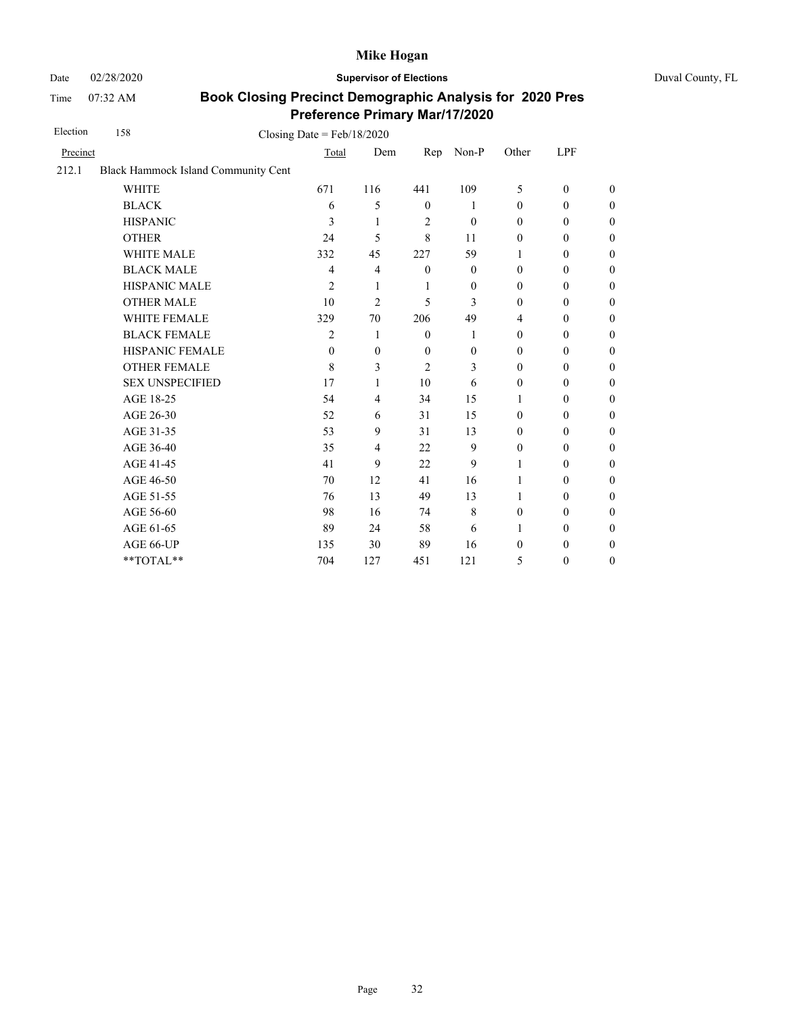Time 07:32 AM

Date 02/28/2020 **Supervisor of Elections** Duval County, FL

| 158                    | Closing Date = $Feb/18/2020$ |                                     |                |                  |                  |                  |                  |  |
|------------------------|------------------------------|-------------------------------------|----------------|------------------|------------------|------------------|------------------|--|
| Precinct               | Total                        | Dem                                 | Rep            | Non-P            | Other            | LPF              |                  |  |
|                        |                              |                                     |                |                  |                  |                  |                  |  |
| <b>WHITE</b>           | 671                          | 116                                 | 441            | 109              | 5                | $\mathbf{0}$     | $\overline{0}$   |  |
| <b>BLACK</b>           | 6                            | 5                                   | $\mathbf{0}$   | 1                | $\mathbf{0}$     | $\mathbf{0}$     | $\boldsymbol{0}$ |  |
| <b>HISPANIC</b>        | 3                            | 1                                   | 2              | $\theta$         | $\mathbf{0}$     | $\mathbf{0}$     | $\boldsymbol{0}$ |  |
| <b>OTHER</b>           | 24                           | 5                                   | 8              | 11               | $\mathbf{0}$     | $\mathbf{0}$     | $\overline{0}$   |  |
| <b>WHITE MALE</b>      | 332                          | 45                                  | 227            | 59               | 1                | $\mathbf{0}$     | $\overline{0}$   |  |
| <b>BLACK MALE</b>      | $\overline{4}$               | $\overline{4}$                      | $\mathbf{0}$   | $\theta$         | $\mathbf{0}$     | $\mathbf{0}$     | $\boldsymbol{0}$ |  |
| <b>HISPANIC MALE</b>   | $\overline{2}$               | 1                                   | 1              | $\mathbf{0}$     | $\mathbf{0}$     | $\mathbf{0}$     | $\overline{0}$   |  |
| <b>OTHER MALE</b>      | 10                           | $\overline{2}$                      | 5              | 3                | $\boldsymbol{0}$ | $\boldsymbol{0}$ | $\boldsymbol{0}$ |  |
| WHITE FEMALE           | 329                          | 70                                  | 206            | 49               | 4                | $\boldsymbol{0}$ | $\boldsymbol{0}$ |  |
| <b>BLACK FEMALE</b>    | $\overline{2}$               | 1                                   | $\mathbf{0}$   | 1                | $\boldsymbol{0}$ | $\boldsymbol{0}$ | $\boldsymbol{0}$ |  |
| HISPANIC FEMALE        | $\mathbf{0}$                 | $\boldsymbol{0}$                    | $\mathbf{0}$   | $\boldsymbol{0}$ | $\boldsymbol{0}$ | $\boldsymbol{0}$ | $\boldsymbol{0}$ |  |
| <b>OTHER FEMALE</b>    | 8                            | 3                                   | $\overline{2}$ | 3                | $\mathbf{0}$     | $\boldsymbol{0}$ | $\boldsymbol{0}$ |  |
| <b>SEX UNSPECIFIED</b> | 17                           | 1                                   | 10             | 6                | $\boldsymbol{0}$ | $\boldsymbol{0}$ | $\boldsymbol{0}$ |  |
| AGE 18-25              | 54                           | $\overline{4}$                      | 34             | 15               | 1                | $\mathbf{0}$     | $\boldsymbol{0}$ |  |
| AGE 26-30              | 52                           | 6                                   | 31             | 15               | $\boldsymbol{0}$ | $\boldsymbol{0}$ | $\overline{0}$   |  |
| AGE 31-35              | 53                           | 9                                   | 31             | 13               | $\mathbf{0}$     | $\mathbf{0}$     | $\boldsymbol{0}$ |  |
| AGE 36-40              | 35                           | $\overline{4}$                      | 22             | 9                | $\boldsymbol{0}$ | $\mathbf{0}$     | $\boldsymbol{0}$ |  |
| AGE 41-45              | 41                           | 9                                   | 22             | 9                | 1                | $\mathbf{0}$     | $\overline{0}$   |  |
| AGE 46-50              | 70                           | 12                                  | 41             | 16               | 1                | $\boldsymbol{0}$ | $\boldsymbol{0}$ |  |
| AGE 51-55              | 76                           | 13                                  | 49             | 13               | 1                | $\mathbf{0}$     | $\overline{0}$   |  |
| AGE 56-60              | 98                           | 16                                  | 74             | 8                | $\mathbf{0}$     | $\mathbf{0}$     | $\boldsymbol{0}$ |  |
| AGE 61-65              | 89                           | 24                                  | 58             | 6                | 1                | $\mathbf{0}$     | $\boldsymbol{0}$ |  |
| AGE 66-UP              | 135                          | 30                                  | 89             | 16               | $\boldsymbol{0}$ | $\boldsymbol{0}$ | $\boldsymbol{0}$ |  |
| **TOTAL**              | 704                          | 127                                 | 451            | 121              | 5                | $\boldsymbol{0}$ | $\boldsymbol{0}$ |  |
|                        |                              | Black Hammock Island Community Cent |                |                  |                  |                  |                  |  |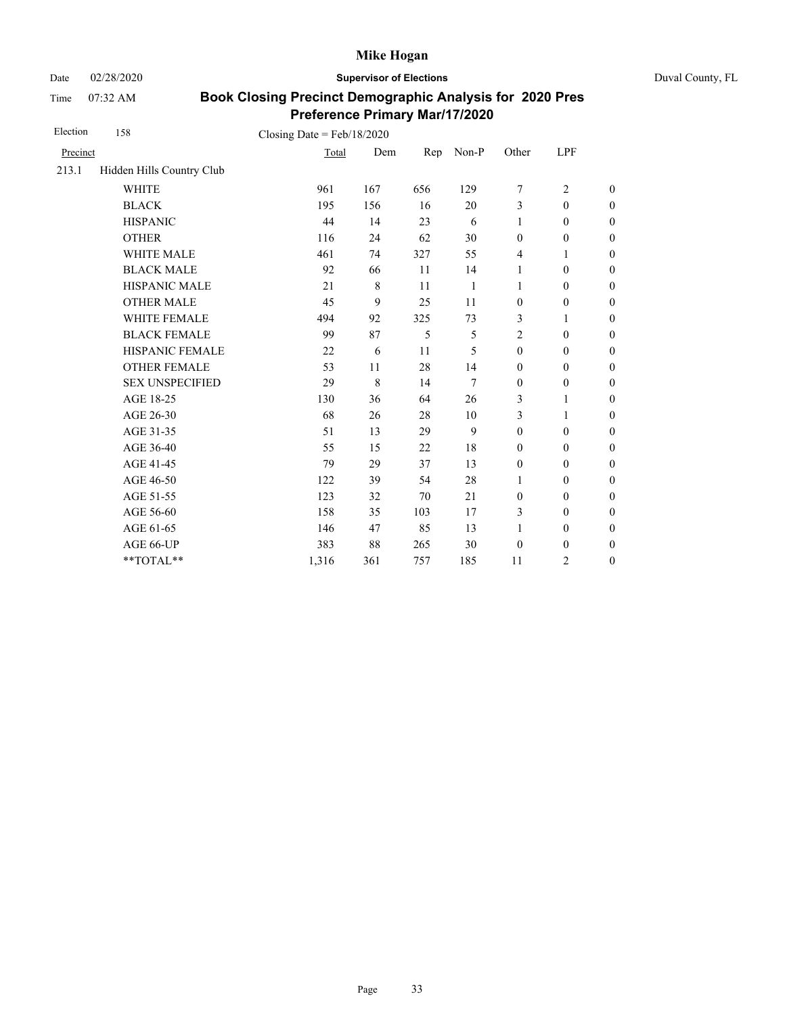Date 02/28/2020 **Supervisor of Elections** Duval County, FL

Time 07:32 AM

| Election | 158                       | Closing Date = $Feb/18/2020$ |         |     |       |                  |                  |                  |
|----------|---------------------------|------------------------------|---------|-----|-------|------------------|------------------|------------------|
| Precinct |                           | Total                        | Dem     | Rep | Non-P | Other            | LPF              |                  |
| 213.1    | Hidden Hills Country Club |                              |         |     |       |                  |                  |                  |
|          | <b>WHITE</b>              | 961                          | 167     | 656 | 129   | 7                | $\overline{2}$   | $\overline{0}$   |
|          | <b>BLACK</b>              | 195                          | 156     | 16  | 20    | 3                | $\mathbf{0}$     | $\overline{0}$   |
|          | <b>HISPANIC</b>           | 44                           | 14      | 23  | 6     | $\mathbf{1}$     | $\boldsymbol{0}$ | $\boldsymbol{0}$ |
|          | <b>OTHER</b>              | 116                          | 24      | 62  | 30    | $\mathbf{0}$     | $\mathbf{0}$     | $\overline{0}$   |
|          | <b>WHITE MALE</b>         | 461                          | 74      | 327 | 55    | $\overline{4}$   | 1                | $\overline{0}$   |
|          | <b>BLACK MALE</b>         | 92                           | 66      | 11  | 14    | 1                | $\boldsymbol{0}$ | $\boldsymbol{0}$ |
|          | HISPANIC MALE             | 21                           | $\,8\,$ | 11  | 1     | $\mathbf{1}$     | $\boldsymbol{0}$ | $\overline{0}$   |
|          | <b>OTHER MALE</b>         | 45                           | 9       | 25  | 11    | $\boldsymbol{0}$ | $\boldsymbol{0}$ | $\boldsymbol{0}$ |
|          | WHITE FEMALE              | 494                          | 92      | 325 | 73    | 3                | 1                | $\boldsymbol{0}$ |
|          | <b>BLACK FEMALE</b>       | 99                           | 87      | 5   | 5     | $\overline{2}$   | $\boldsymbol{0}$ | $\boldsymbol{0}$ |
|          | HISPANIC FEMALE           | 22                           | 6       | 11  | 5     | $\boldsymbol{0}$ | $\boldsymbol{0}$ | $\boldsymbol{0}$ |
|          | <b>OTHER FEMALE</b>       | 53                           | 11      | 28  | 14    | $\boldsymbol{0}$ | $\boldsymbol{0}$ | $\boldsymbol{0}$ |
|          | <b>SEX UNSPECIFIED</b>    | 29                           | 8       | 14  | 7     | $\mathbf{0}$     | $\mathbf{0}$     | $\overline{0}$   |
|          | AGE 18-25                 | 130                          | 36      | 64  | 26    | 3                | $\mathbf{1}$     | $\overline{0}$   |
|          | AGE 26-30                 | 68                           | 26      | 28  | 10    | 3                | $\mathbf{1}$     | $\boldsymbol{0}$ |
|          | AGE 31-35                 | 51                           | 13      | 29  | 9     | $\mathbf{0}$     | $\mathbf{0}$     | $\boldsymbol{0}$ |
|          | AGE 36-40                 | 55                           | 15      | 22  | 18    | $\mathbf{0}$     | $\mathbf{0}$     | $\overline{0}$   |
|          | AGE 41-45                 | 79                           | 29      | 37  | 13    | $\mathbf{0}$     | $\mathbf{0}$     | $\overline{0}$   |
|          | AGE 46-50                 | 122                          | 39      | 54  | 28    | 1                | $\mathbf{0}$     | $\boldsymbol{0}$ |
|          | AGE 51-55                 | 123                          | 32      | 70  | 21    | $\mathbf{0}$     | $\mathbf{0}$     | $\boldsymbol{0}$ |
|          | AGE 56-60                 | 158                          | 35      | 103 | 17    | 3                | $\boldsymbol{0}$ | $\overline{0}$   |
|          | AGE 61-65                 | 146                          | 47      | 85  | 13    | $\mathbf{1}$     | $\mathbf{0}$     | $\boldsymbol{0}$ |
|          | AGE 66-UP                 | 383                          | 88      | 265 | 30    | $\boldsymbol{0}$ | $\boldsymbol{0}$ | $\boldsymbol{0}$ |
|          | **TOTAL**                 | 1,316                        | 361     | 757 | 185   | 11               | $\overline{c}$   | $\boldsymbol{0}$ |
|          |                           |                              |         |     |       |                  |                  |                  |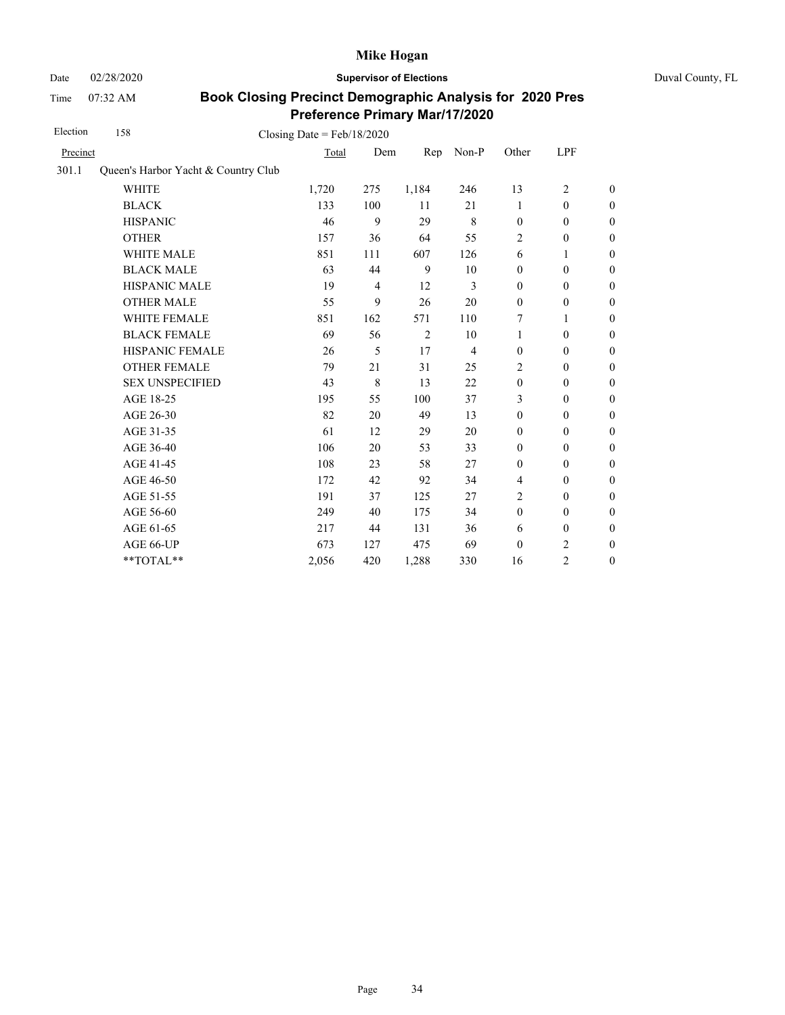Time 07:32 AM

Date 02/28/2020 **Supervisor of Elections** Duval County, FL

| Election | 158                                 | Closing Date = $Feb/18/2020$ |                |       |                |                  |                  |                  |
|----------|-------------------------------------|------------------------------|----------------|-------|----------------|------------------|------------------|------------------|
| Precinct |                                     | Total                        | Dem            | Rep   | Non-P          | Other            | LPF              |                  |
| 301.1    | Queen's Harbor Yacht & Country Club |                              |                |       |                |                  |                  |                  |
|          | <b>WHITE</b>                        | 1,720                        | 275            | 1,184 | 246            | 13               | $\overline{2}$   | $\boldsymbol{0}$ |
|          | <b>BLACK</b>                        | 133                          | 100            | 11    | 21             | 1                | $\boldsymbol{0}$ | $\boldsymbol{0}$ |
|          | <b>HISPANIC</b>                     | 46                           | 9              | 29    | $\,8\,$        | $\mathbf{0}$     | $\mathbf{0}$     | $\boldsymbol{0}$ |
|          | <b>OTHER</b>                        | 157                          | 36             | 64    | 55             | $\overline{2}$   | $\boldsymbol{0}$ | $\overline{0}$   |
|          | WHITE MALE                          | 851                          | 111            | 607   | 126            | 6                | 1                | $\mathbf{0}$     |
|          | <b>BLACK MALE</b>                   | 63                           | 44             | 9     | 10             | $\mathbf{0}$     | $\mathbf{0}$     | $\boldsymbol{0}$ |
|          | <b>HISPANIC MALE</b>                | 19                           | $\overline{4}$ | 12    | 3              | $\mathbf{0}$     | $\mathbf{0}$     | $\overline{0}$   |
|          | <b>OTHER MALE</b>                   | 55                           | 9              | 26    | 20             | $\mathbf{0}$     | $\boldsymbol{0}$ | $\boldsymbol{0}$ |
|          | WHITE FEMALE                        | 851                          | 162            | 571   | 110            | 7                | 1                | $\boldsymbol{0}$ |
|          | <b>BLACK FEMALE</b>                 | 69                           | 56             | 2     | 10             | $\mathbf{1}$     | $\mathbf{0}$     | $\boldsymbol{0}$ |
|          | HISPANIC FEMALE                     | 26                           | 5              | 17    | $\overline{4}$ | $\boldsymbol{0}$ | $\boldsymbol{0}$ | $\mathbf{0}$     |
|          | <b>OTHER FEMALE</b>                 | 79                           | 21             | 31    | 25             | 2                | $\mathbf{0}$     | $\boldsymbol{0}$ |
|          | <b>SEX UNSPECIFIED</b>              | 43                           | 8              | 13    | 22             | $\mathbf{0}$     | $\mathbf{0}$     | $\mathbf{0}$     |
|          | AGE 18-25                           | 195                          | 55             | 100   | 37             | 3                | $\mathbf{0}$     | $\mathbf{0}$     |
|          | AGE 26-30                           | 82                           | 20             | 49    | 13             | $\mathbf{0}$     | $\mathbf{0}$     | $\mathbf{0}$     |
|          | AGE 31-35                           | 61                           | 12             | 29    | 20             | $\mathbf{0}$     | $\mathbf{0}$     | $\boldsymbol{0}$ |
|          | AGE 36-40                           | 106                          | 20             | 53    | 33             | $\mathbf{0}$     | $\mathbf{0}$     | $\boldsymbol{0}$ |
|          | AGE 41-45                           | 108                          | 23             | 58    | 27             | $\boldsymbol{0}$ | $\boldsymbol{0}$ | $\mathbf{0}$     |
|          | AGE 46-50                           | 172                          | 42             | 92    | 34             | 4                | $\boldsymbol{0}$ | $\boldsymbol{0}$ |
|          | AGE 51-55                           | 191                          | 37             | 125   | 27             | $\overline{2}$   | $\mathbf{0}$     | $\boldsymbol{0}$ |
|          | AGE 56-60                           | 249                          | 40             | 175   | 34             | $\boldsymbol{0}$ | $\mathbf{0}$     | $\mathbf{0}$     |
|          | AGE 61-65                           | 217                          | 44             | 131   | 36             | 6                | $\boldsymbol{0}$ | $\mathbf{0}$     |
|          | AGE 66-UP                           | 673                          | 127            | 475   | 69             | $\mathbf{0}$     | 2                | $\boldsymbol{0}$ |
|          | **TOTAL**                           | 2,056                        | 420            | 1,288 | 330            | 16               | 2                | $\mathbf{0}$     |
|          |                                     |                              |                |       |                |                  |                  |                  |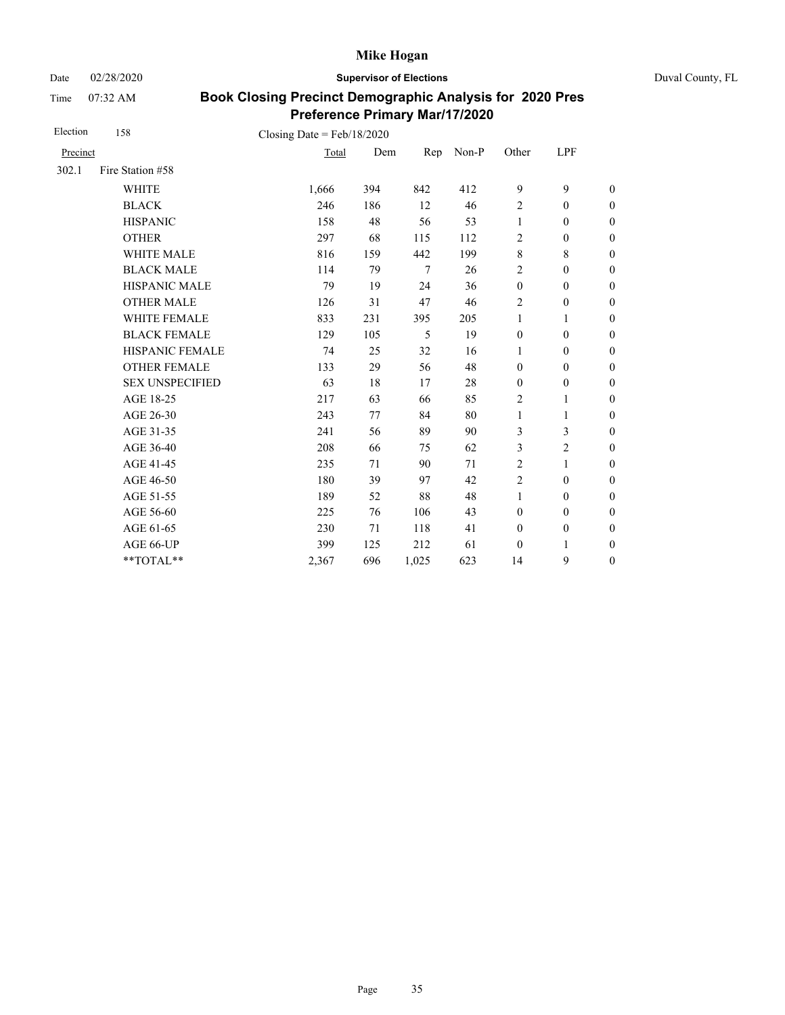Date 02/28/2020 **Supervisor of Elections** Duval County, FL

Time 07:32 AM

| Election | 158                    | Closing Date = $Feb/18/2020$ |     |                 |       |                  |                  |                  |
|----------|------------------------|------------------------------|-----|-----------------|-------|------------------|------------------|------------------|
| Precinct |                        | Total                        | Dem | Rep             | Non-P | Other            | LPF              |                  |
| 302.1    | Fire Station #58       |                              |     |                 |       |                  |                  |                  |
|          | <b>WHITE</b>           | 1,666                        | 394 | 842             | 412   | 9                | 9                | $\theta$         |
|          | <b>BLACK</b>           | 246                          | 186 | 12              | 46    | $\sqrt{2}$       | $\mathbf{0}$     | $\theta$         |
|          | <b>HISPANIC</b>        | 158                          | 48  | 56              | 53    | 1                | $\boldsymbol{0}$ | $\boldsymbol{0}$ |
|          | <b>OTHER</b>           | 297                          | 68  | 115             | 112   | 2                | $\boldsymbol{0}$ | $\boldsymbol{0}$ |
|          | WHITE MALE             | 816                          | 159 | 442             | 199   | $\,8\,$          | 8                | $\boldsymbol{0}$ |
|          | <b>BLACK MALE</b>      | 114                          | 79  | $7\phantom{.0}$ | 26    | $\boldsymbol{2}$ | $\mathbf{0}$     | $\boldsymbol{0}$ |
|          | <b>HISPANIC MALE</b>   | 79                           | 19  | 24              | 36    | $\boldsymbol{0}$ | $\boldsymbol{0}$ | $\overline{0}$   |
|          | <b>OTHER MALE</b>      | 126                          | 31  | 47              | 46    | 2                | $\boldsymbol{0}$ | $\boldsymbol{0}$ |
|          | WHITE FEMALE           | 833                          | 231 | 395             | 205   | $\mathbf{1}$     | 1                | $\boldsymbol{0}$ |
|          | <b>BLACK FEMALE</b>    | 129                          | 105 | 5               | 19    | $\boldsymbol{0}$ | $\mathbf{0}$     | $\overline{0}$   |
|          | <b>HISPANIC FEMALE</b> | 74                           | 25  | 32              | 16    | $\mathbf{1}$     | $\mathbf{0}$     | $\boldsymbol{0}$ |
|          | <b>OTHER FEMALE</b>    | 133                          | 29  | 56              | 48    | $\mathbf{0}$     | $\mathbf{0}$     | $\boldsymbol{0}$ |
|          | <b>SEX UNSPECIFIED</b> | 63                           | 18  | 17              | 28    | $\boldsymbol{0}$ | $\boldsymbol{0}$ | $\boldsymbol{0}$ |
|          | AGE 18-25              | 217                          | 63  | 66              | 85    | $\overline{2}$   | $\mathbf{1}$     | $\boldsymbol{0}$ |
|          | AGE 26-30              | 243                          | 77  | 84              | 80    | $\mathbf{1}$     | 1                | $\boldsymbol{0}$ |
|          | AGE 31-35              | 241                          | 56  | 89              | 90    | 3                | 3                | $\boldsymbol{0}$ |
|          | AGE 36-40              | 208                          | 66  | 75              | 62    | 3                | $\overline{2}$   | $\boldsymbol{0}$ |
|          | AGE 41-45              | 235                          | 71  | 90              | 71    | $\overline{2}$   | $\mathbf{1}$     | $\boldsymbol{0}$ |
|          | AGE 46-50              | 180                          | 39  | 97              | 42    | $\overline{c}$   | $\boldsymbol{0}$ | $\boldsymbol{0}$ |
|          | AGE 51-55              | 189                          | 52  | 88              | 48    | 1                | $\mathbf{0}$     | $\boldsymbol{0}$ |
|          | AGE 56-60              | 225                          | 76  | 106             | 43    | $\mathbf{0}$     | $\mathbf{0}$     | $\overline{0}$   |
|          | AGE 61-65              | 230                          | 71  | 118             | 41    | $\mathbf{0}$     | $\boldsymbol{0}$ | $\boldsymbol{0}$ |
|          | AGE 66-UP              | 399                          | 125 | 212             | 61    | $\boldsymbol{0}$ | 1                | $\boldsymbol{0}$ |
|          | **TOTAL**              | 2,367                        | 696 | 1,025           | 623   | 14               | 9                | $\boldsymbol{0}$ |
|          |                        |                              |     |                 |       |                  |                  |                  |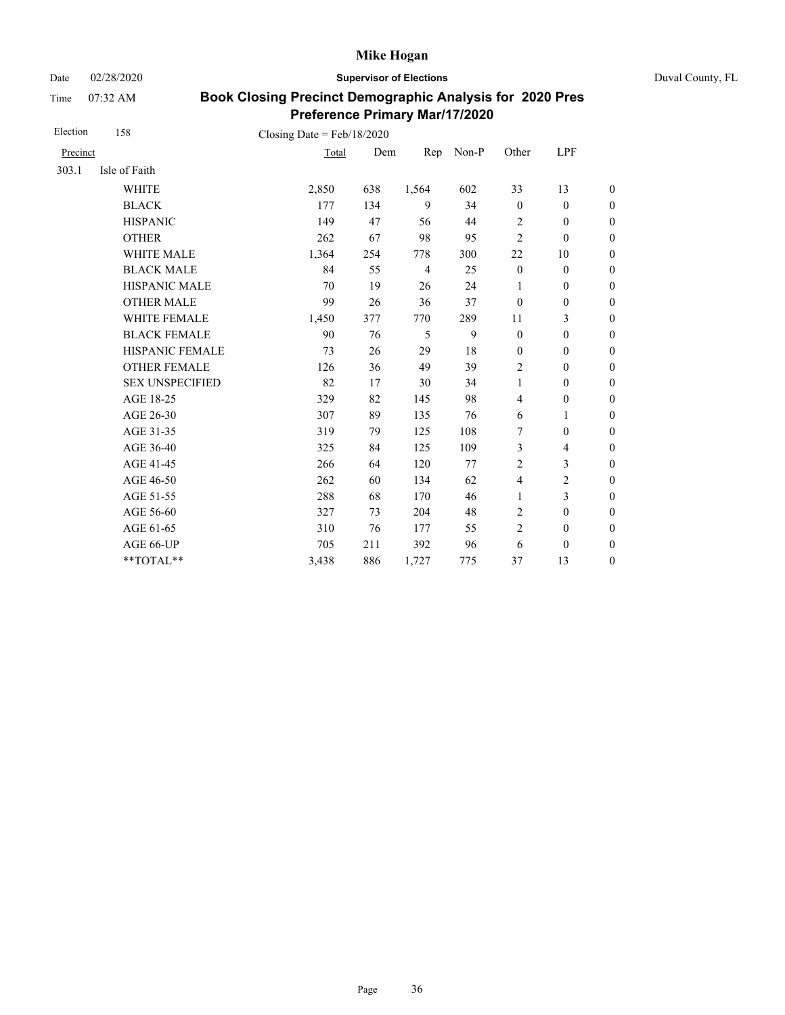Date 02/28/2020 **Supervisor of Elections** Duval County, FL

Time 07:32 AM

| Precinct<br>Isle of Faith<br><b>WHITE</b><br><b>BLACK</b><br><b>HISPANIC</b> | Total<br>2,850<br>177 | Dem<br>638 | Rep<br>1,564   | Non-P | Other                   | <b>LPF</b>               |                  |
|------------------------------------------------------------------------------|-----------------------|------------|----------------|-------|-------------------------|--------------------------|------------------|
|                                                                              |                       |            |                |       |                         |                          |                  |
|                                                                              |                       |            |                |       |                         |                          |                  |
|                                                                              |                       |            |                | 602   | 33                      | 13                       | $\boldsymbol{0}$ |
|                                                                              |                       | 134        | 9              | 34    | $\mathbf{0}$            | $\mathbf{0}$             | $\boldsymbol{0}$ |
|                                                                              | 149                   | 47         | 56             | 44    | $\overline{2}$          | $\mathbf{0}$             | $\boldsymbol{0}$ |
|                                                                              | 262                   | 67         | 98             | 95    | $\overline{2}$          | $\boldsymbol{0}$         | $\overline{0}$   |
| WHITE MALE                                                                   | 1,364                 | 254        | 778            | 300   | 22                      | 10                       | $\boldsymbol{0}$ |
| <b>BLACK MALE</b>                                                            | 84                    | 55         | $\overline{4}$ | 25    | $\mathbf{0}$            | $\mathbf{0}$             | $\boldsymbol{0}$ |
| <b>HISPANIC MALE</b>                                                         | 70                    | 19         | 26             | 24    | 1                       | $\mathbf{0}$             | $\overline{0}$   |
| <b>OTHER MALE</b>                                                            | 99                    | 26         | 36             | 37    | $\theta$                | $\boldsymbol{0}$         | $\boldsymbol{0}$ |
| WHITE FEMALE                                                                 | 1,450                 | 377        | 770            | 289   | 11                      | 3                        | $\boldsymbol{0}$ |
| <b>BLACK FEMALE</b>                                                          | 90                    | 76         | 5              | 9     | $\mathbf{0}$            | $\boldsymbol{0}$         | $\boldsymbol{0}$ |
| HISPANIC FEMALE                                                              | 73                    | 26         | 29             | 18    | $\boldsymbol{0}$        | $\boldsymbol{0}$         | $\boldsymbol{0}$ |
| <b>OTHER FEMALE</b>                                                          | 126                   | 36         | 49             | 39    | $\overline{2}$          | $\boldsymbol{0}$         | $\boldsymbol{0}$ |
| <b>SEX UNSPECIFIED</b>                                                       | 82                    | 17         | 30             | 34    | $\mathbf{1}$            | $\boldsymbol{0}$         | $\boldsymbol{0}$ |
| AGE 18-25                                                                    | 329                   | 82         | 145            | 98    | $\overline{4}$          | $\boldsymbol{0}$         | $\boldsymbol{0}$ |
| AGE 26-30                                                                    | 307                   | 89         | 135            | 76    | 6                       | $\mathbf{1}$             | $\boldsymbol{0}$ |
| AGE 31-35                                                                    | 319                   | 79         | 125            | 108   | 7                       | $\boldsymbol{0}$         | $\boldsymbol{0}$ |
| AGE 36-40                                                                    | 325                   | 84         | 125            | 109   | 3                       | $\overline{\mathcal{L}}$ | $\boldsymbol{0}$ |
| AGE 41-45                                                                    | 266                   | 64         | 120            | 77    | $\overline{2}$          | 3                        | $\boldsymbol{0}$ |
| AGE 46-50                                                                    | 262                   | 60         | 134            | 62    | $\overline{\mathbf{4}}$ | $\overline{c}$           | $\boldsymbol{0}$ |
| AGE 51-55                                                                    | 288                   | 68         | 170            | 46    | $\mathbf{1}$            | 3                        | $\boldsymbol{0}$ |
| AGE 56-60                                                                    | 327                   | 73         | 204            | 48    | $\overline{2}$          | $\boldsymbol{0}$         | $\boldsymbol{0}$ |
| AGE 61-65                                                                    | 310                   | 76         | 177            | 55    | $\overline{2}$          | $\boldsymbol{0}$         | $\boldsymbol{0}$ |
| AGE 66-UP                                                                    | 705                   | 211        | 392            | 96    | 6                       | $\boldsymbol{0}$         | $\boldsymbol{0}$ |
| **TOTAL**                                                                    | 3,438                 | 886        | 1,727          | 775   | 37                      | 13                       | $\boldsymbol{0}$ |
|                                                                              | <b>OTHER</b>          |            |                |       |                         |                          |                  |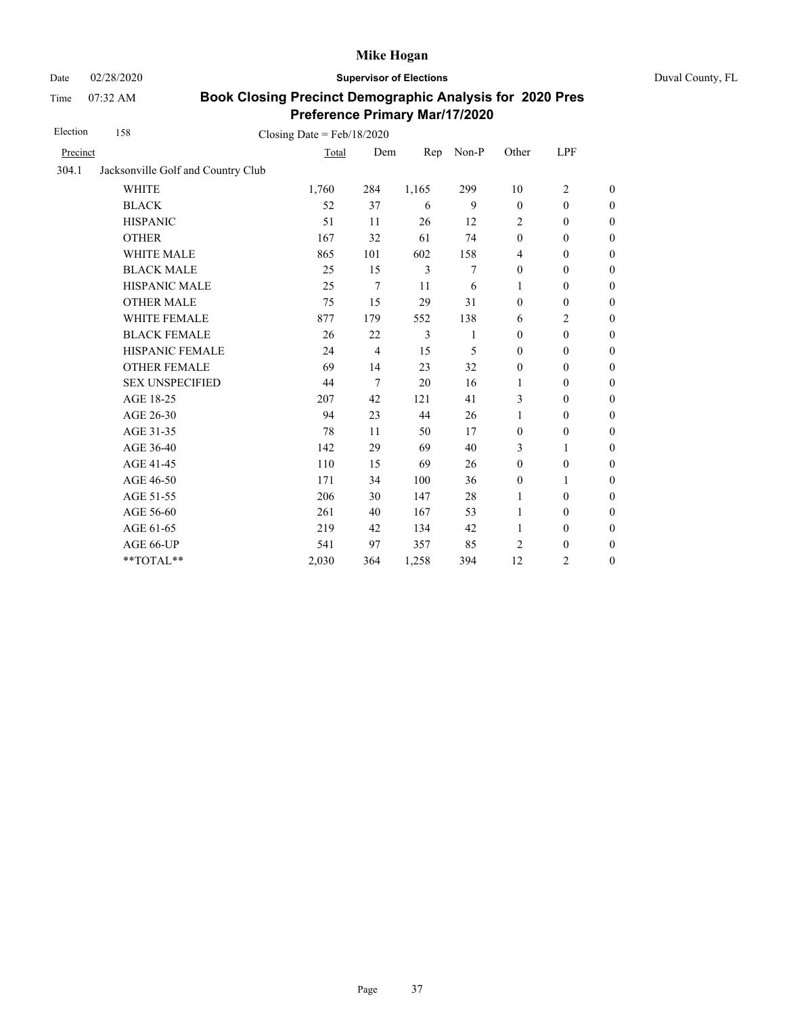Date 02/28/2020 **Supervisor of Elections** Duval County, FL

Time 07:32 AM

| Election | 158                                | Closing Date = $Feb/18/2020$ |                |                |              |                  |                  |                  |
|----------|------------------------------------|------------------------------|----------------|----------------|--------------|------------------|------------------|------------------|
| Precinct |                                    | Total                        | Dem            | Rep            | Non-P        | Other            | LPF              |                  |
| 304.1    | Jacksonville Golf and Country Club |                              |                |                |              |                  |                  |                  |
|          | <b>WHITE</b>                       | 1,760                        | 284            | 1,165          | 299          | 10               | $\overline{2}$   | $\mathbf{0}$     |
|          | <b>BLACK</b>                       | 52                           | 37             | 6              | 9            | $\theta$         | $\mathbf{0}$     | $\boldsymbol{0}$ |
|          | <b>HISPANIC</b>                    | 51                           | 11             | 26             | 12           | 2                | $\theta$         | $\boldsymbol{0}$ |
|          | <b>OTHER</b>                       | 167                          | 32             | 61             | 74           | $\boldsymbol{0}$ | $\boldsymbol{0}$ | $\boldsymbol{0}$ |
|          | WHITE MALE                         | 865                          | 101            | 602            | 158          | 4                | $\boldsymbol{0}$ | $\boldsymbol{0}$ |
|          | <b>BLACK MALE</b>                  | 25                           | 15             | $\overline{3}$ | 7            | $\theta$         | $\theta$         | $\boldsymbol{0}$ |
|          | HISPANIC MALE                      | 25                           | $\overline{7}$ | 11             | 6            | 1                | $\mathbf{0}$     | $\boldsymbol{0}$ |
|          | <b>OTHER MALE</b>                  | 75                           | 15             | 29             | 31           | $\theta$         | $\boldsymbol{0}$ | $\boldsymbol{0}$ |
|          | <b>WHITE FEMALE</b>                | 877                          | 179            | 552            | 138          | 6                | $\overline{c}$   | $\boldsymbol{0}$ |
|          | <b>BLACK FEMALE</b>                | 26                           | 22             | 3              | $\mathbf{1}$ | $\Omega$         | $\mathbf{0}$     | $\boldsymbol{0}$ |
|          | HISPANIC FEMALE                    | 24                           | $\overline{4}$ | 15             | 5            | $\theta$         | $\boldsymbol{0}$ | $\boldsymbol{0}$ |
|          | <b>OTHER FEMALE</b>                | 69                           | 14             | 23             | 32           | $\theta$         | $\theta$         | $\boldsymbol{0}$ |
|          | <b>SEX UNSPECIFIED</b>             | 44                           | 7              | 20             | 16           | 1                | $\mathbf{0}$     | $\boldsymbol{0}$ |
|          | AGE 18-25                          | 207                          | 42             | 121            | 41           | 3                | $\theta$         | $\boldsymbol{0}$ |
|          | AGE 26-30                          | 94                           | 23             | 44             | 26           | 1                | $\theta$         | $\boldsymbol{0}$ |
|          | AGE 31-35                          | 78                           | 11             | 50             | 17           | $\mathbf{0}$     | $\boldsymbol{0}$ | $\boldsymbol{0}$ |
|          | AGE 36-40                          | 142                          | 29             | 69             | 40           | 3                | $\mathbf{1}$     | $\boldsymbol{0}$ |
|          | AGE 41-45                          | 110                          | 15             | 69             | 26           | $\boldsymbol{0}$ | $\boldsymbol{0}$ | $\boldsymbol{0}$ |
|          | AGE 46-50                          | 171                          | 34             | 100            | 36           | $\mathbf{0}$     | 1                | $\boldsymbol{0}$ |
|          | AGE 51-55                          | 206                          | 30             | 147            | 28           | 1                | $\theta$         | $\boldsymbol{0}$ |
|          | AGE 56-60                          | 261                          | 40             | 167            | 53           | 1                | $\theta$         | $\boldsymbol{0}$ |
|          | AGE 61-65                          | 219                          | 42             | 134            | 42           | 1                | $\boldsymbol{0}$ | $\boldsymbol{0}$ |
|          | AGE 66-UP                          | 541                          | 97             | 357            | 85           | 2                | $\boldsymbol{0}$ | $\boldsymbol{0}$ |
|          | **TOTAL**                          | 2,030                        | 364            | 1,258          | 394          | 12               | $\overline{c}$   | $\boldsymbol{0}$ |
|          |                                    |                              |                |                |              |                  |                  |                  |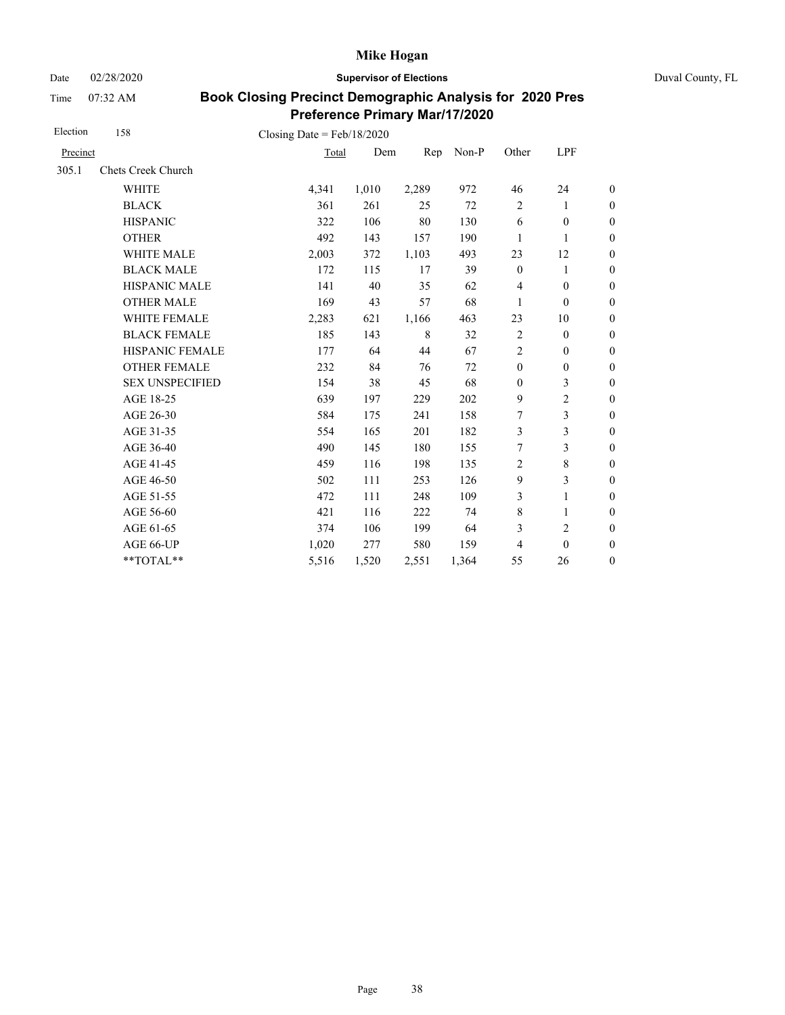Date 02/28/2020 **Supervisor of Elections** Duval County, FL

Time 07:32 AM

| Election | 158                    | Closing Date = $Feb/18/2020$ |       |       |       |                  |                  |                  |
|----------|------------------------|------------------------------|-------|-------|-------|------------------|------------------|------------------|
| Precinct |                        | Total                        | Dem   | Rep   | Non-P | Other            | LPF              |                  |
| 305.1    | Chets Creek Church     |                              |       |       |       |                  |                  |                  |
|          | <b>WHITE</b>           | 4,341                        | 1,010 | 2,289 | 972   | 46               | 24               | $\boldsymbol{0}$ |
|          | <b>BLACK</b>           | 361                          | 261   | 25    | 72    | $\overline{c}$   | 1                | $\boldsymbol{0}$ |
|          | <b>HISPANIC</b>        | 322                          | 106   | 80    | 130   | 6                | $\boldsymbol{0}$ | $\boldsymbol{0}$ |
|          | <b>OTHER</b>           | 492                          | 143   | 157   | 190   | 1                | 1                | $\overline{0}$   |
|          | <b>WHITE MALE</b>      | 2,003                        | 372   | 1,103 | 493   | 23               | 12               | $\boldsymbol{0}$ |
|          | <b>BLACK MALE</b>      | 172                          | 115   | 17    | 39    | $\mathbf{0}$     | 1                | $\boldsymbol{0}$ |
|          | <b>HISPANIC MALE</b>   | 141                          | 40    | 35    | 62    | $\overline{4}$   | $\mathbf{0}$     | $\overline{0}$   |
|          | <b>OTHER MALE</b>      | 169                          | 43    | 57    | 68    | 1                | $\boldsymbol{0}$ | $\boldsymbol{0}$ |
|          | WHITE FEMALE           | 2,283                        | 621   | 1,166 | 463   | 23               | 10               | $\boldsymbol{0}$ |
|          | <b>BLACK FEMALE</b>    | 185                          | 143   | 8     | 32    | $\overline{2}$   | $\mathbf{0}$     | $\overline{0}$   |
|          | HISPANIC FEMALE        | 177                          | 64    | 44    | 67    | $\overline{2}$   | $\boldsymbol{0}$ | $\boldsymbol{0}$ |
|          | <b>OTHER FEMALE</b>    | 232                          | 84    | 76    | 72    | $\boldsymbol{0}$ | $\boldsymbol{0}$ | $\boldsymbol{0}$ |
|          | <b>SEX UNSPECIFIED</b> | 154                          | 38    | 45    | 68    | $\mathbf{0}$     | 3                | $\boldsymbol{0}$ |
|          | AGE 18-25              | 639                          | 197   | 229   | 202   | 9                | $\overline{c}$   | $\boldsymbol{0}$ |
|          | AGE 26-30              | 584                          | 175   | 241   | 158   | 7                | 3                | $\boldsymbol{0}$ |
|          | AGE 31-35              | 554                          | 165   | 201   | 182   | 3                | 3                | $\boldsymbol{0}$ |
|          | AGE 36-40              | 490                          | 145   | 180   | 155   | 7                | 3                | $\boldsymbol{0}$ |
|          | AGE 41-45              | 459                          | 116   | 198   | 135   | $\overline{2}$   | $\,$ 8 $\,$      | $\overline{0}$   |
|          | AGE 46-50              | 502                          | 111   | 253   | 126   | 9                | 3                | $\boldsymbol{0}$ |
|          | AGE 51-55              | 472                          | 111   | 248   | 109   | 3                | 1                | $\boldsymbol{0}$ |
|          | AGE 56-60              | 421                          | 116   | 222   | 74    | $\,8\,$          | 1                | $\boldsymbol{0}$ |
|          | AGE 61-65              | 374                          | 106   | 199   | 64    | 3                | $\overline{2}$   | $\boldsymbol{0}$ |
|          | AGE 66-UP              | 1,020                        | 277   | 580   | 159   | 4                | $\mathbf{0}$     | $\overline{0}$   |
|          | **TOTAL**              | 5,516                        | 1,520 | 2,551 | 1,364 | 55               | 26               | $\overline{0}$   |
|          |                        |                              |       |       |       |                  |                  |                  |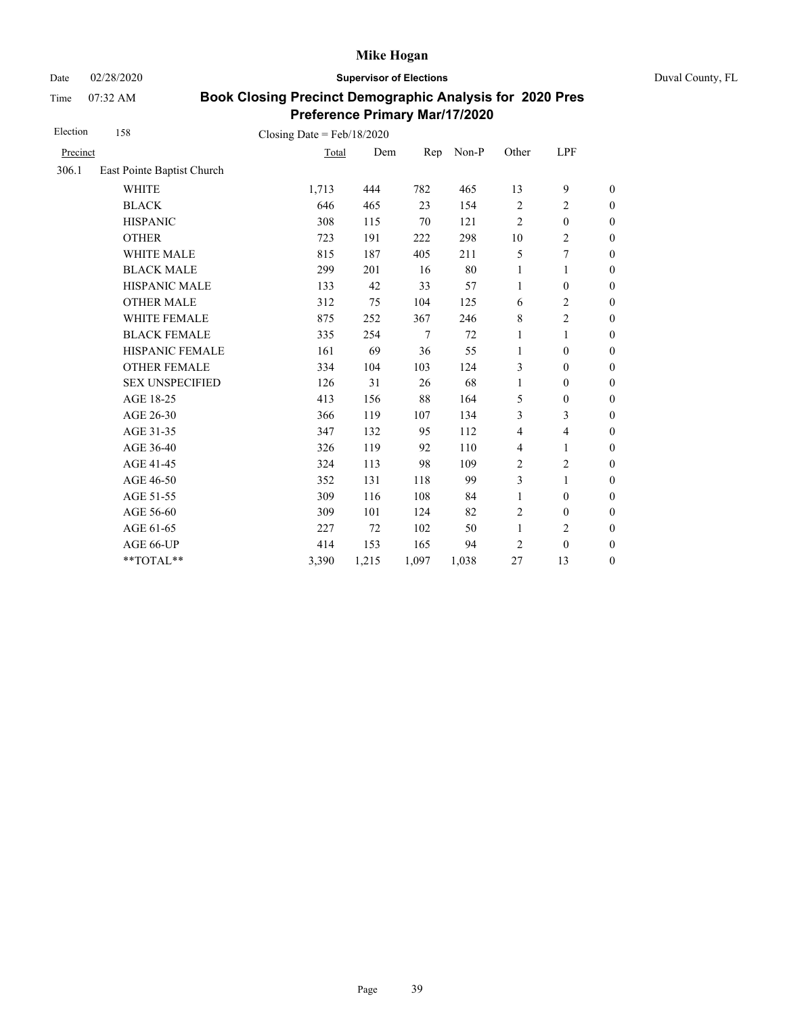Date 02/28/2020 **Supervisor of Elections** Duval County, FL

Time 07:32 AM

| Election | 158                        | Closing Date = $Feb/18/2020$ |       |        |       |                |                          |                  |
|----------|----------------------------|------------------------------|-------|--------|-------|----------------|--------------------------|------------------|
| Precinct |                            | Total                        | Dem   | Rep    | Non-P | Other          | LPF                      |                  |
| 306.1    | East Pointe Baptist Church |                              |       |        |       |                |                          |                  |
|          | <b>WHITE</b>               | 1,713                        | 444   | 782    | 465   | 13             | 9                        | $\boldsymbol{0}$ |
|          | <b>BLACK</b>               | 646                          | 465   | 23     | 154   | $\overline{c}$ | $\overline{c}$           | $\boldsymbol{0}$ |
|          | <b>HISPANIC</b>            | 308                          | 115   | 70     | 121   | $\overline{2}$ | $\boldsymbol{0}$         | $\boldsymbol{0}$ |
|          | <b>OTHER</b>               | 723                          | 191   | 222    | 298   | 10             | $\mathbf{2}$             | $\overline{0}$   |
|          | WHITE MALE                 | 815                          | 187   | 405    | 211   | 5              | $\tau$                   | $\boldsymbol{0}$ |
|          | <b>BLACK MALE</b>          | 299                          | 201   | 16     | 80    | $\mathbf{1}$   | 1                        | $\boldsymbol{0}$ |
|          | <b>HISPANIC MALE</b>       | 133                          | 42    | 33     | 57    | 1              | $\boldsymbol{0}$         | $\boldsymbol{0}$ |
|          | <b>OTHER MALE</b>          | 312                          | 75    | 104    | 125   | 6              | $\overline{c}$           | $\boldsymbol{0}$ |
|          | WHITE FEMALE               | 875                          | 252   | 367    | 246   | 8              | $\overline{c}$           | $\boldsymbol{0}$ |
|          | <b>BLACK FEMALE</b>        | 335                          | 254   | $\tau$ | 72    | 1              | 1                        | $\boldsymbol{0}$ |
|          | HISPANIC FEMALE            | 161                          | 69    | 36     | 55    | $\mathbf{1}$   | $\mathbf{0}$             | $\overline{0}$   |
|          | <b>OTHER FEMALE</b>        | 334                          | 104   | 103    | 124   | 3              | $\mathbf{0}$             | $\overline{0}$   |
|          | <b>SEX UNSPECIFIED</b>     | 126                          | 31    | 26     | 68    | 1              | $\boldsymbol{0}$         | $\boldsymbol{0}$ |
|          | AGE 18-25                  | 413                          | 156   | 88     | 164   | 5              | $\boldsymbol{0}$         | $\boldsymbol{0}$ |
|          | AGE 26-30                  | 366                          | 119   | 107    | 134   | 3              | 3                        | $\overline{0}$   |
|          | AGE 31-35                  | 347                          | 132   | 95     | 112   | 4              | $\overline{\mathcal{L}}$ | $\boldsymbol{0}$ |
|          | AGE 36-40                  | 326                          | 119   | 92     | 110   | 4              | 1                        | $\boldsymbol{0}$ |
|          | AGE 41-45                  | 324                          | 113   | 98     | 109   | $\overline{c}$ | $\overline{c}$           | $\overline{0}$   |
|          | AGE 46-50                  | 352                          | 131   | 118    | 99    | 3              | 1                        | $\boldsymbol{0}$ |
|          | AGE 51-55                  | 309                          | 116   | 108    | 84    | $\mathbf{1}$   | $\boldsymbol{0}$         | $\boldsymbol{0}$ |
|          | AGE 56-60                  | 309                          | 101   | 124    | 82    | $\overline{2}$ | $\boldsymbol{0}$         | $\boldsymbol{0}$ |
|          | AGE 61-65                  | 227                          | 72    | 102    | 50    | $\mathbf{1}$   | $\overline{c}$           | $\boldsymbol{0}$ |
|          | AGE 66-UP                  | 414                          | 153   | 165    | 94    | $\overline{c}$ | $\boldsymbol{0}$         | $\boldsymbol{0}$ |
|          | **TOTAL**                  | 3,390                        | 1,215 | 1,097  | 1,038 | 27             | 13                       | $\boldsymbol{0}$ |
|          |                            |                              |       |        |       |                |                          |                  |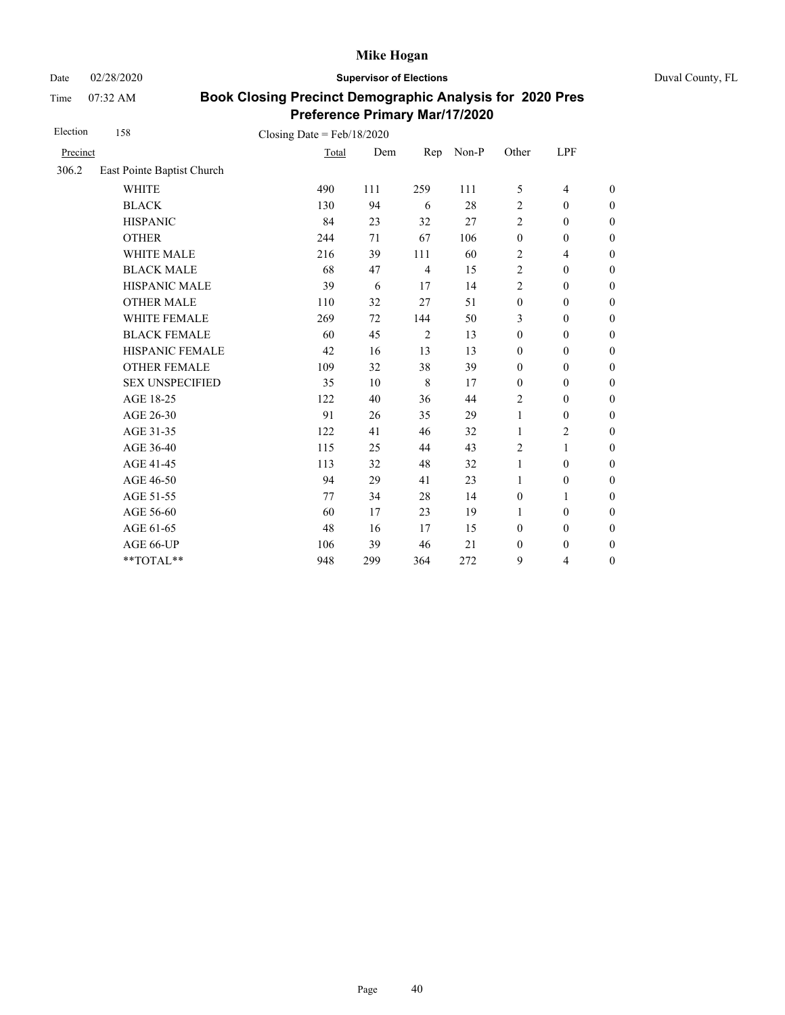Date 02/28/2020 **Supervisor of Elections** Duval County, FL

Time 07:32 AM

| Election | 158                        | Closing Date = $Feb/18/2020$ |     |                |       |                  |                          |                  |
|----------|----------------------------|------------------------------|-----|----------------|-------|------------------|--------------------------|------------------|
| Precinct |                            | Total                        | Dem | Rep            | Non-P | Other            | LPF                      |                  |
| 306.2    | East Pointe Baptist Church |                              |     |                |       |                  |                          |                  |
|          | <b>WHITE</b>               | 490                          | 111 | 259            | 111   | 5                | 4                        | $\boldsymbol{0}$ |
|          | <b>BLACK</b>               | 130                          | 94  | 6              | 28    | $\overline{2}$   | $\mathbf{0}$             | $\boldsymbol{0}$ |
|          | <b>HISPANIC</b>            | 84                           | 23  | 32             | 27    | $\overline{2}$   | $\boldsymbol{0}$         | $\overline{0}$   |
|          | <b>OTHER</b>               | 244                          | 71  | 67             | 106   | $\boldsymbol{0}$ | $\mathbf{0}$             | $\overline{0}$   |
|          | WHITE MALE                 | 216                          | 39  | 111            | 60    | $\overline{2}$   | $\overline{\mathcal{L}}$ | $\boldsymbol{0}$ |
|          | <b>BLACK MALE</b>          | 68                           | 47  | $\overline{4}$ | 15    | $\overline{2}$   | $\mathbf{0}$             | $\boldsymbol{0}$ |
|          | <b>HISPANIC MALE</b>       | 39                           | 6   | 17             | 14    | $\overline{2}$   | $\mathbf{0}$             | $\overline{0}$   |
|          | <b>OTHER MALE</b>          | 110                          | 32  | 27             | 51    | $\mathbf{0}$     | $\mathbf{0}$             | $\boldsymbol{0}$ |
|          | WHITE FEMALE               | 269                          | 72  | 144            | 50    | 3                | $\mathbf{0}$             | $\boldsymbol{0}$ |
|          | <b>BLACK FEMALE</b>        | 60                           | 45  | $\overline{c}$ | 13    | $\mathbf{0}$     | $\mathbf{0}$             | $\overline{0}$   |
|          | HISPANIC FEMALE            | 42                           | 16  | 13             | 13    | $\mathbf{0}$     | $\boldsymbol{0}$         | $\boldsymbol{0}$ |
|          | <b>OTHER FEMALE</b>        | 109                          | 32  | 38             | 39    | $\mathbf{0}$     | $\mathbf{0}$             | $\boldsymbol{0}$ |
|          | <b>SEX UNSPECIFIED</b>     | 35                           | 10  | 8              | 17    | $\mathbf{0}$     | $\mathbf{0}$             | $\overline{0}$   |
|          | AGE 18-25                  | 122                          | 40  | 36             | 44    | $\overline{2}$   | $\boldsymbol{0}$         | $\overline{0}$   |
|          | AGE 26-30                  | 91                           | 26  | 35             | 29    | 1                | $\boldsymbol{0}$         | $\boldsymbol{0}$ |
|          | AGE 31-35                  | 122                          | 41  | 46             | 32    | 1                | $\overline{c}$           | $\overline{0}$   |
|          | AGE 36-40                  | 115                          | 25  | 44             | 43    | $\overline{2}$   | 1                        | $\overline{0}$   |
|          | AGE 41-45                  | 113                          | 32  | 48             | 32    | $\mathbf{1}$     | $\mathbf{0}$             | $\overline{0}$   |
|          | AGE 46-50                  | 94                           | 29  | 41             | 23    | 1                | $\boldsymbol{0}$         | $\boldsymbol{0}$ |
|          | AGE 51-55                  | 77                           | 34  | 28             | 14    | $\mathbf{0}$     | 1                        | $\overline{0}$   |
|          | AGE 56-60                  | 60                           | 17  | 23             | 19    | $\mathbf{1}$     | $\mathbf{0}$             | $\overline{0}$   |
|          | AGE 61-65                  | 48                           | 16  | 17             | 15    | $\mathbf{0}$     | $\mathbf{0}$             | $\overline{0}$   |
|          | AGE 66-UP                  | 106                          | 39  | 46             | 21    | $\boldsymbol{0}$ | $\mathbf{0}$             | $\boldsymbol{0}$ |
|          | **TOTAL**                  | 948                          | 299 | 364            | 272   | 9                | $\overline{4}$           | $\overline{0}$   |
|          |                            |                              |     |                |       |                  |                          |                  |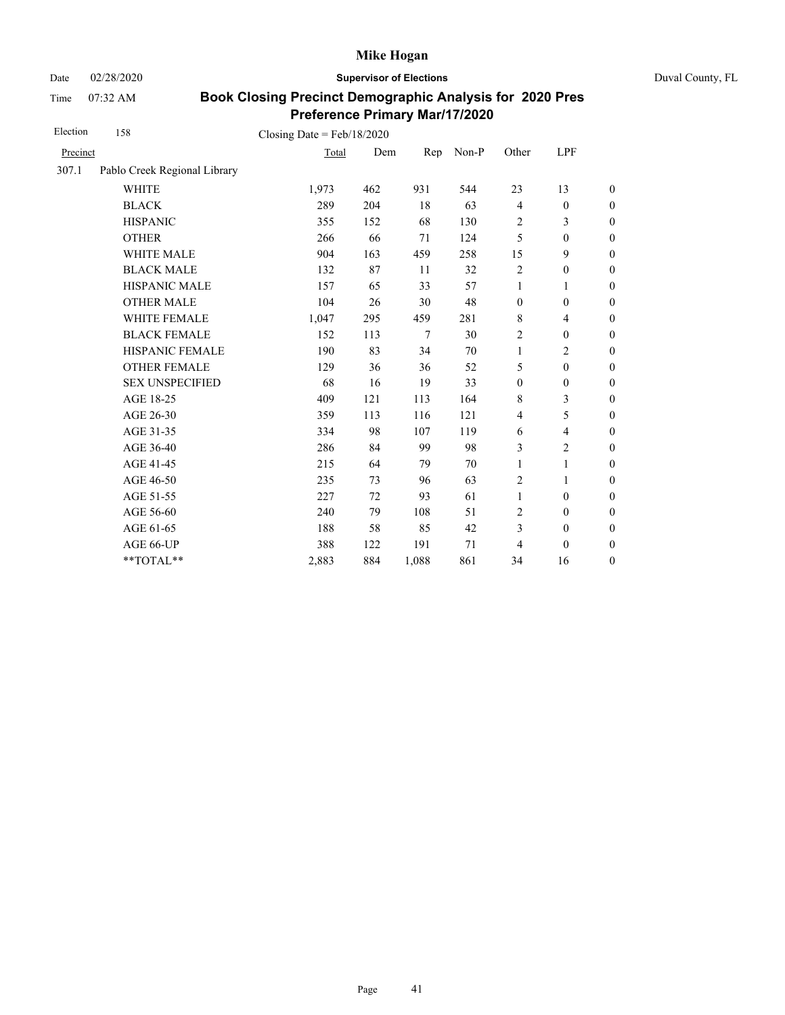Date 02/28/2020 **Supervisor of Elections** Duval County, FL

Time 07:32 AM

| Election | 158                          | Closing Date = $Feb/18/2020$ |     |        |       |                  |                  |                  |
|----------|------------------------------|------------------------------|-----|--------|-------|------------------|------------------|------------------|
| Precinct |                              | Total                        | Dem | Rep    | Non-P | Other            | LPF              |                  |
| 307.1    | Pablo Creek Regional Library |                              |     |        |       |                  |                  |                  |
|          | <b>WHITE</b>                 | 1,973                        | 462 | 931    | 544   | 23               | 13               | $\boldsymbol{0}$ |
|          | <b>BLACK</b>                 | 289                          | 204 | 18     | 63    | $\overline{4}$   | $\boldsymbol{0}$ | $\boldsymbol{0}$ |
|          | <b>HISPANIC</b>              | 355                          | 152 | 68     | 130   | $\overline{c}$   | 3                | $\boldsymbol{0}$ |
|          | <b>OTHER</b>                 | 266                          | 66  | 71     | 124   | 5                | $\boldsymbol{0}$ | $\overline{0}$   |
|          | WHITE MALE                   | 904                          | 163 | 459    | 258   | 15               | 9                | $\boldsymbol{0}$ |
|          | <b>BLACK MALE</b>            | 132                          | 87  | 11     | 32    | $\sqrt{2}$       | $\boldsymbol{0}$ | $\boldsymbol{0}$ |
|          | <b>HISPANIC MALE</b>         | 157                          | 65  | 33     | 57    | $\mathbf{1}$     | 1                | $\overline{0}$   |
|          | <b>OTHER MALE</b>            | 104                          | 26  | 30     | 48    | $\boldsymbol{0}$ | $\boldsymbol{0}$ | $\overline{0}$   |
|          | WHITE FEMALE                 | 1,047                        | 295 | 459    | 281   | 8                | $\overline{4}$   | $\boldsymbol{0}$ |
|          | <b>BLACK FEMALE</b>          | 152                          | 113 | $\tau$ | 30    | $\overline{2}$   | $\mathbf{0}$     | $\boldsymbol{0}$ |
|          | HISPANIC FEMALE              | 190                          | 83  | 34     | 70    | $\mathbf{1}$     | $\overline{c}$   | $\boldsymbol{0}$ |
|          | <b>OTHER FEMALE</b>          | 129                          | 36  | 36     | 52    | 5                | $\boldsymbol{0}$ | $\boldsymbol{0}$ |
|          | <b>SEX UNSPECIFIED</b>       | 68                           | 16  | 19     | 33    | $\boldsymbol{0}$ | $\boldsymbol{0}$ | $\boldsymbol{0}$ |
|          | AGE 18-25                    | 409                          | 121 | 113    | 164   | 8                | 3                | $\boldsymbol{0}$ |
|          | AGE 26-30                    | 359                          | 113 | 116    | 121   | $\overline{4}$   | 5                | $\overline{0}$   |
|          | AGE 31-35                    | 334                          | 98  | 107    | 119   | 6                | 4                | $\boldsymbol{0}$ |
|          | AGE 36-40                    | 286                          | 84  | 99     | 98    | 3                | $\overline{c}$   | $\boldsymbol{0}$ |
|          | AGE 41-45                    | 215                          | 64  | 79     | 70    | $\mathbf{1}$     | $\mathbf{1}$     | $\overline{0}$   |
|          | AGE 46-50                    | 235                          | 73  | 96     | 63    | $\overline{c}$   | 1                | $\boldsymbol{0}$ |
|          | AGE 51-55                    | 227                          | 72  | 93     | 61    | $\mathbf{1}$     | $\mathbf{0}$     | $\boldsymbol{0}$ |
|          | AGE 56-60                    | 240                          | 79  | 108    | 51    | $\overline{c}$   | $\boldsymbol{0}$ | $\boldsymbol{0}$ |
|          | AGE 61-65                    | 188                          | 58  | 85     | 42    | 3                | $\boldsymbol{0}$ | $\boldsymbol{0}$ |
|          | AGE 66-UP                    | 388                          | 122 | 191    | 71    | 4                | $\boldsymbol{0}$ | $\boldsymbol{0}$ |
|          | **TOTAL**                    | 2,883                        | 884 | 1,088  | 861   | 34               | 16               | $\boldsymbol{0}$ |
|          |                              |                              |     |        |       |                  |                  |                  |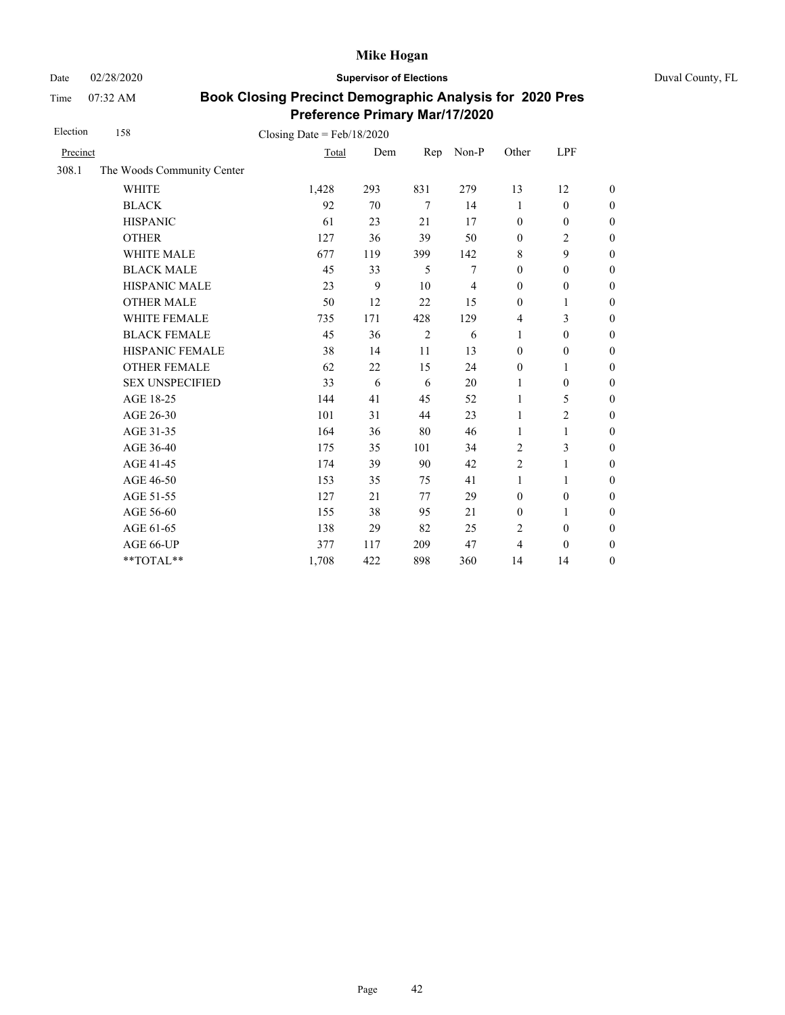Date 02/28/2020 **Supervisor of Elections** Duval County, FL

Time 07:32 AM

| Election | 158                        | Closing Date = $Feb/18/2020$ |     |                |                |                  |                  |                  |
|----------|----------------------------|------------------------------|-----|----------------|----------------|------------------|------------------|------------------|
| Precinct |                            | Total                        | Dem | Rep            | Non-P          | Other            | LPF              |                  |
| 308.1    | The Woods Community Center |                              |     |                |                |                  |                  |                  |
|          | <b>WHITE</b>               | 1,428                        | 293 | 831            | 279            | 13               | 12               | $\boldsymbol{0}$ |
|          | <b>BLACK</b>               | 92                           | 70  | $\tau$         | 14             | 1                | $\boldsymbol{0}$ | $\boldsymbol{0}$ |
|          | <b>HISPANIC</b>            | 61                           | 23  | 21             | 17             | $\mathbf{0}$     | $\boldsymbol{0}$ | $\boldsymbol{0}$ |
|          | <b>OTHER</b>               | 127                          | 36  | 39             | 50             | $\mathbf{0}$     | $\overline{c}$   | $\overline{0}$   |
|          | <b>WHITE MALE</b>          | 677                          | 119 | 399            | 142            | 8                | 9                | $\boldsymbol{0}$ |
|          | <b>BLACK MALE</b>          | 45                           | 33  | 5              | 7              | $\boldsymbol{0}$ | $\boldsymbol{0}$ | $\boldsymbol{0}$ |
|          | HISPANIC MALE              | 23                           | 9   | 10             | $\overline{4}$ | $\mathbf{0}$     | $\boldsymbol{0}$ | $\overline{0}$   |
|          | <b>OTHER MALE</b>          | 50                           | 12  | 22             | 15             | $\boldsymbol{0}$ | 1                | $\boldsymbol{0}$ |
|          | <b>WHITE FEMALE</b>        | 735                          | 171 | 428            | 129            | 4                | 3                | $\boldsymbol{0}$ |
|          | <b>BLACK FEMALE</b>        | 45                           | 36  | $\overline{2}$ | 6              | 1                | $\boldsymbol{0}$ | $\boldsymbol{0}$ |
|          | HISPANIC FEMALE            | 38                           | 14  | 11             | 13             | $\boldsymbol{0}$ | $\boldsymbol{0}$ | $\boldsymbol{0}$ |
|          | <b>OTHER FEMALE</b>        | 62                           | 22  | 15             | 24             | $\boldsymbol{0}$ | 1                | $\overline{0}$   |
|          | <b>SEX UNSPECIFIED</b>     | 33                           | 6   | 6              | 20             | $\mathbf{1}$     | $\mathbf{0}$     | $\boldsymbol{0}$ |
|          | AGE 18-25                  | 144                          | 41  | 45             | 52             | 1                | 5                | $\overline{0}$   |
|          | AGE 26-30                  | 101                          | 31  | 44             | 23             | $\mathbf{1}$     | $\overline{2}$   | $\overline{0}$   |
|          | AGE 31-35                  | 164                          | 36  | 80             | 46             | 1                | 1                | $\boldsymbol{0}$ |
|          | AGE 36-40                  | 175                          | 35  | 101            | 34             | $\overline{2}$   | 3                | $\boldsymbol{0}$ |
|          | AGE 41-45                  | 174                          | 39  | 90             | 42             | $\overline{2}$   | $\mathbf{1}$     | $\overline{0}$   |
|          | AGE 46-50                  | 153                          | 35  | 75             | 41             | 1                | 1                | $\boldsymbol{0}$ |
|          | AGE 51-55                  | 127                          | 21  | 77             | 29             | $\mathbf{0}$     | $\boldsymbol{0}$ | $\boldsymbol{0}$ |
|          | AGE 56-60                  | 155                          | 38  | 95             | 21             | $\boldsymbol{0}$ | $\mathbf{1}$     | $\overline{0}$   |
|          | AGE 61-65                  | 138                          | 29  | 82             | 25             | $\overline{c}$   | $\boldsymbol{0}$ | $\boldsymbol{0}$ |
|          | AGE 66-UP                  | 377                          | 117 | 209            | 47             | $\overline{4}$   | $\mathbf{0}$     | $\overline{0}$   |
|          | **TOTAL**                  | 1,708                        | 422 | 898            | 360            | 14               | 14               | $\overline{0}$   |
|          |                            |                              |     |                |                |                  |                  |                  |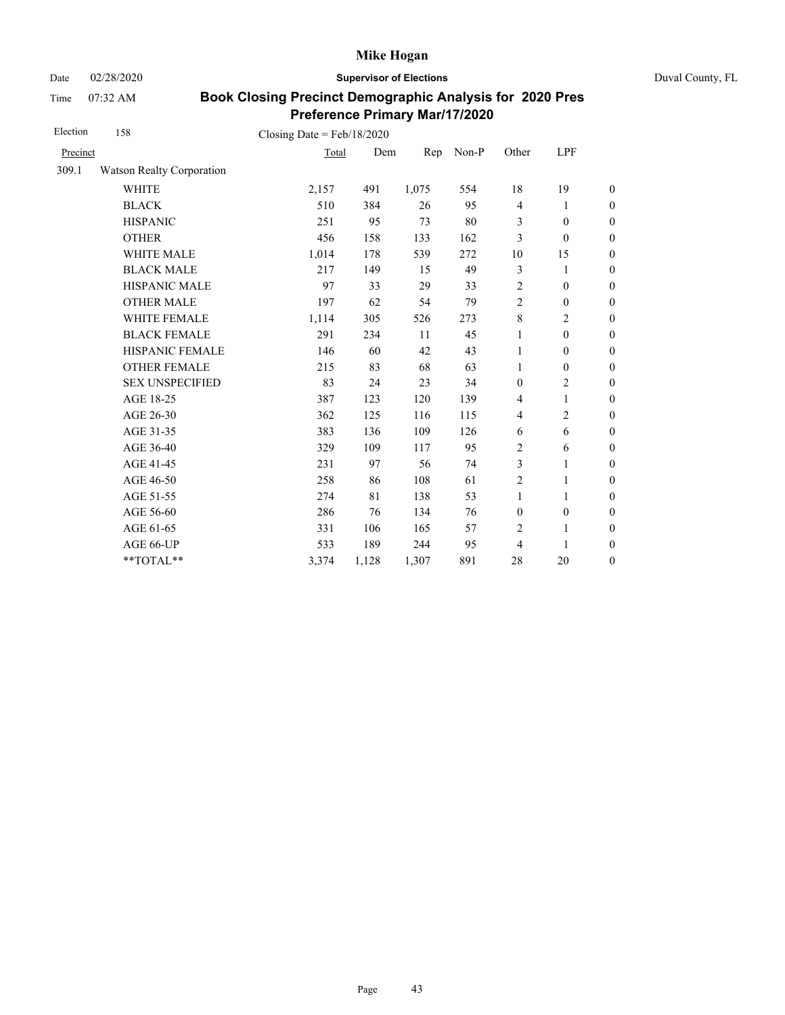Date 02/28/2020 **Supervisor of Elections** Duval County, FL

Time 07:32 AM

| Election | 158                              | Closing Date = $Feb/18/2020$ |       |       |       |                  |                  |                  |
|----------|----------------------------------|------------------------------|-------|-------|-------|------------------|------------------|------------------|
| Precinct |                                  | Total                        | Dem   | Rep   | Non-P | Other            | LPF              |                  |
| 309.1    | <b>Watson Realty Corporation</b> |                              |       |       |       |                  |                  |                  |
|          | <b>WHITE</b>                     | 2,157                        | 491   | 1,075 | 554   | 18               | 19               | $\boldsymbol{0}$ |
|          | <b>BLACK</b>                     | 510                          | 384   | 26    | 95    | $\overline{4}$   | 1                | $\boldsymbol{0}$ |
|          | <b>HISPANIC</b>                  | 251                          | 95    | 73    | 80    | 3                | $\boldsymbol{0}$ | $\boldsymbol{0}$ |
|          | <b>OTHER</b>                     | 456                          | 158   | 133   | 162   | 3                | $\boldsymbol{0}$ | $\overline{0}$   |
|          | WHITE MALE                       | 1,014                        | 178   | 539   | 272   | 10               | 15               | $\boldsymbol{0}$ |
|          | <b>BLACK MALE</b>                | 217                          | 149   | 15    | 49    | 3                | $\mathbf{1}$     | $\boldsymbol{0}$ |
|          | <b>HISPANIC MALE</b>             | 97                           | 33    | 29    | 33    | $\sqrt{2}$       | $\boldsymbol{0}$ | $\overline{0}$   |
|          | <b>OTHER MALE</b>                | 197                          | 62    | 54    | 79    | $\overline{2}$   | $\boldsymbol{0}$ | $\boldsymbol{0}$ |
|          | WHITE FEMALE                     | 1,114                        | 305   | 526   | 273   | $\,$ 8 $\,$      | 2                | $\boldsymbol{0}$ |
|          | <b>BLACK FEMALE</b>              | 291                          | 234   | 11    | 45    | $\mathbf{1}$     | $\boldsymbol{0}$ | $\boldsymbol{0}$ |
|          | HISPANIC FEMALE                  | 146                          | 60    | 42    | 43    | 1                | $\boldsymbol{0}$ | $\boldsymbol{0}$ |
|          | <b>OTHER FEMALE</b>              | 215                          | 83    | 68    | 63    | 1                | $\boldsymbol{0}$ | $\boldsymbol{0}$ |
|          | <b>SEX UNSPECIFIED</b>           | 83                           | 24    | 23    | 34    | $\mathbf{0}$     | $\overline{c}$   | $\boldsymbol{0}$ |
|          | AGE 18-25                        | 387                          | 123   | 120   | 139   | $\overline{4}$   | $\mathbf{1}$     | $\boldsymbol{0}$ |
|          | AGE 26-30                        | 362                          | 125   | 116   | 115   | $\overline{4}$   | $\overline{c}$   | $\boldsymbol{0}$ |
|          | AGE 31-35                        | 383                          | 136   | 109   | 126   | 6                | 6                | $\boldsymbol{0}$ |
|          | AGE 36-40                        | 329                          | 109   | 117   | 95    | $\sqrt{2}$       | 6                | $\boldsymbol{0}$ |
|          | AGE 41-45                        | 231                          | 97    | 56    | 74    | 3                | $\mathbf{1}$     | $\overline{0}$   |
|          | AGE 46-50                        | 258                          | 86    | 108   | 61    | $\sqrt{2}$       | 1                | $\boldsymbol{0}$ |
|          | AGE 51-55                        | 274                          | 81    | 138   | 53    | $\mathbf{1}$     | 1                | $\boldsymbol{0}$ |
|          | AGE 56-60                        | 286                          | 76    | 134   | 76    | $\boldsymbol{0}$ | $\boldsymbol{0}$ | $\boldsymbol{0}$ |
|          | AGE 61-65                        | 331                          | 106   | 165   | 57    | $\overline{2}$   | 1                | $\boldsymbol{0}$ |
|          | AGE 66-UP                        | 533                          | 189   | 244   | 95    | 4                | 1                | $\boldsymbol{0}$ |
|          | **TOTAL**                        | 3,374                        | 1,128 | 1,307 | 891   | 28               | 20               | $\boldsymbol{0}$ |
|          |                                  |                              |       |       |       |                  |                  |                  |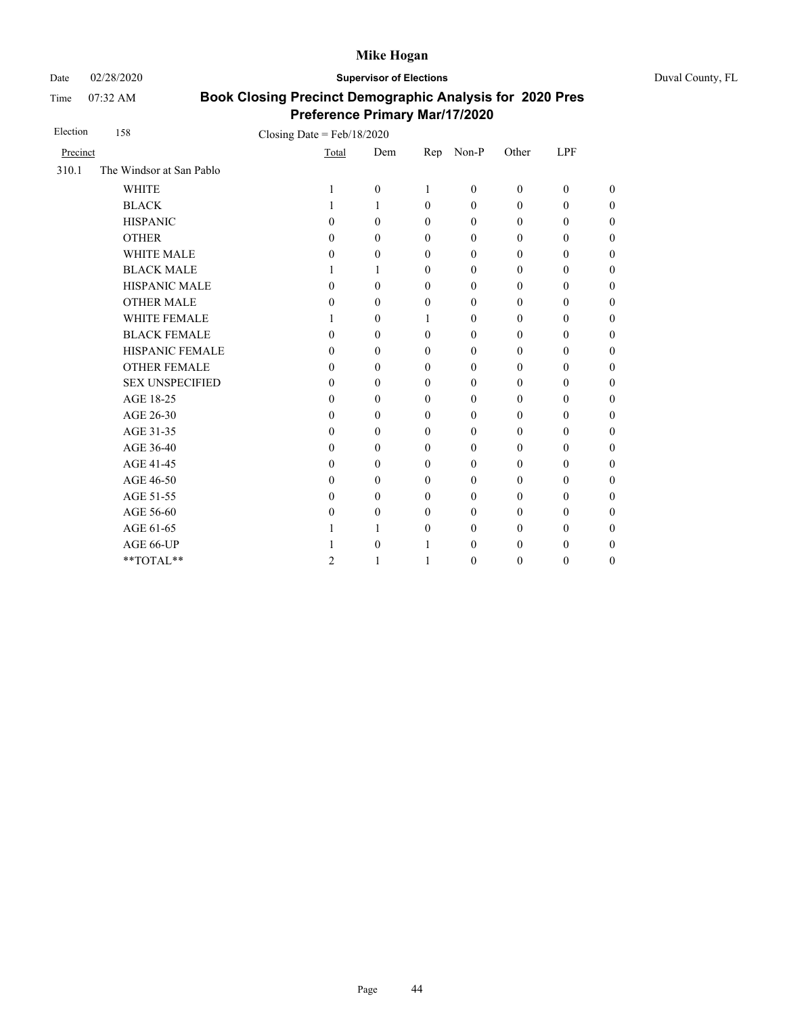Date 02/28/2020 **Supervisor of Elections** Duval County, FL

Time 07:32 AM

| Election | 158                      | Closing Date = $Feb/18/2020$ |                  |                  |                  |                  |                  |                  |                  |
|----------|--------------------------|------------------------------|------------------|------------------|------------------|------------------|------------------|------------------|------------------|
| Precinct |                          |                              | Total            | Dem              | Rep              | $Non-P$          | Other            | <b>LPF</b>       |                  |
| 310.1    | The Windsor at San Pablo |                              |                  |                  |                  |                  |                  |                  |                  |
|          | <b>WHITE</b>             |                              | 1                | $\boldsymbol{0}$ | 1                | $\mathbf{0}$     | $\mathbf{0}$     | $\boldsymbol{0}$ | $\overline{0}$   |
|          | <b>BLACK</b>             |                              | 1                | 1                | $\mathbf{0}$     | $\mathbf{0}$     | $\mathbf{0}$     | $\boldsymbol{0}$ | $\boldsymbol{0}$ |
|          | <b>HISPANIC</b>          |                              | $\theta$         | $\theta$         | $\mathbf{0}$     | $\mathbf{0}$     | $\mathbf{0}$     | $\theta$         | $\boldsymbol{0}$ |
|          | <b>OTHER</b>             |                              | $\theta$         | $\theta$         | $\mathbf{0}$     | $\mathbf{0}$     | $\mathbf{0}$     | $\mathbf{0}$     | $\overline{0}$   |
|          | <b>WHITE MALE</b>        |                              | 0                | $\mathbf{0}$     | $\mathbf{0}$     | $\mathbf{0}$     | $\mathbf{0}$     | $\mathbf{0}$     | $\boldsymbol{0}$ |
|          | <b>BLACK MALE</b>        |                              | 1                | 1                | $\mathbf{0}$     | $\mathbf{0}$     | $\mathbf{0}$     | $\theta$         | $\boldsymbol{0}$ |
|          | <b>HISPANIC MALE</b>     |                              | $\theta$         | $\theta$         | $\mathbf{0}$     | $\mathbf{0}$     | $\mathbf{0}$     | $\mathbf{0}$     | $\overline{0}$   |
|          | <b>OTHER MALE</b>        |                              | $\theta$         | $\theta$         | $\mathbf{0}$     | $\mathbf{0}$     | $\boldsymbol{0}$ | $\theta$         | $\overline{0}$   |
|          | WHITE FEMALE             |                              | 1                | $\theta$         | 1                | $\mathbf{0}$     | $\mathbf{0}$     | $\theta$         | $\overline{0}$   |
|          | <b>BLACK FEMALE</b>      |                              | $\theta$         | $\theta$         | $\mathbf{0}$     | $\mathbf{0}$     | $\mathbf{0}$     | $\theta$         | $\overline{0}$   |
|          | HISPANIC FEMALE          |                              | 0                | $\theta$         | $\mathbf{0}$     | $\boldsymbol{0}$ | $\boldsymbol{0}$ | $\boldsymbol{0}$ | $\boldsymbol{0}$ |
|          | <b>OTHER FEMALE</b>      |                              | 0                | $\mathbf{0}$     | $\mathbf{0}$     | $\mathbf{0}$     | $\boldsymbol{0}$ | $\theta$         | $\boldsymbol{0}$ |
|          | <b>SEX UNSPECIFIED</b>   |                              | 0                | $\theta$         | $\theta$         | $\mathbf{0}$     | $\mathbf{0}$     | $\theta$         | $\boldsymbol{0}$ |
|          | AGE 18-25                |                              | 0                | $\theta$         | $\mathbf{0}$     | $\mathbf{0}$     | $\mathbf{0}$     | $\theta$         | $\boldsymbol{0}$ |
|          | AGE 26-30                |                              | 0                | $\theta$         | $\mathbf{0}$     | $\mathbf{0}$     | $\mathbf{0}$     | $\mathbf{0}$     | $\overline{0}$   |
|          | AGE 31-35                |                              | $\boldsymbol{0}$ | $\theta$         | $\mathbf{0}$     | $\mathbf{0}$     | $\mathbf{0}$     | $\mathbf{0}$     | $\boldsymbol{0}$ |
|          | AGE 36-40                |                              | 0                | $\theta$         | $\mathbf{0}$     | $\mathbf{0}$     | $\mathbf{0}$     | $\mathbf{0}$     | $\boldsymbol{0}$ |
|          | AGE 41-45                |                              | 0                | $\theta$         | $\mathbf{0}$     | $\boldsymbol{0}$ | $\boldsymbol{0}$ | $\boldsymbol{0}$ | $\overline{0}$   |
|          | AGE 46-50                |                              | 0                | $\mathbf{0}$     | $\mathbf{0}$     | $\boldsymbol{0}$ | 0                | $\boldsymbol{0}$ | $\boldsymbol{0}$ |
|          | AGE 51-55                |                              | 0                | $\mathbf{0}$     | $\mathbf{0}$     | $\mathbf{0}$     | $\mathbf{0}$     | $\theta$         | $\boldsymbol{0}$ |
|          | AGE 56-60                |                              | 0                | $\theta$         | $\mathbf{0}$     | $\mathbf{0}$     | $\boldsymbol{0}$ | $\boldsymbol{0}$ | $\boldsymbol{0}$ |
|          | AGE 61-65                |                              |                  | 1                | $\boldsymbol{0}$ | $\mathbf{0}$     | $\boldsymbol{0}$ | $\boldsymbol{0}$ | $\boldsymbol{0}$ |
|          | AGE 66-UP                |                              |                  | $\theta$         | 1                | $\mathbf{0}$     | $\boldsymbol{0}$ | $\theta$         | $\boldsymbol{0}$ |
|          | **TOTAL**                |                              | $\overline{c}$   | 1                | 1                | $\mathbf{0}$     | $\mathbf{0}$     | $\boldsymbol{0}$ | $\boldsymbol{0}$ |
|          |                          |                              |                  |                  |                  |                  |                  |                  |                  |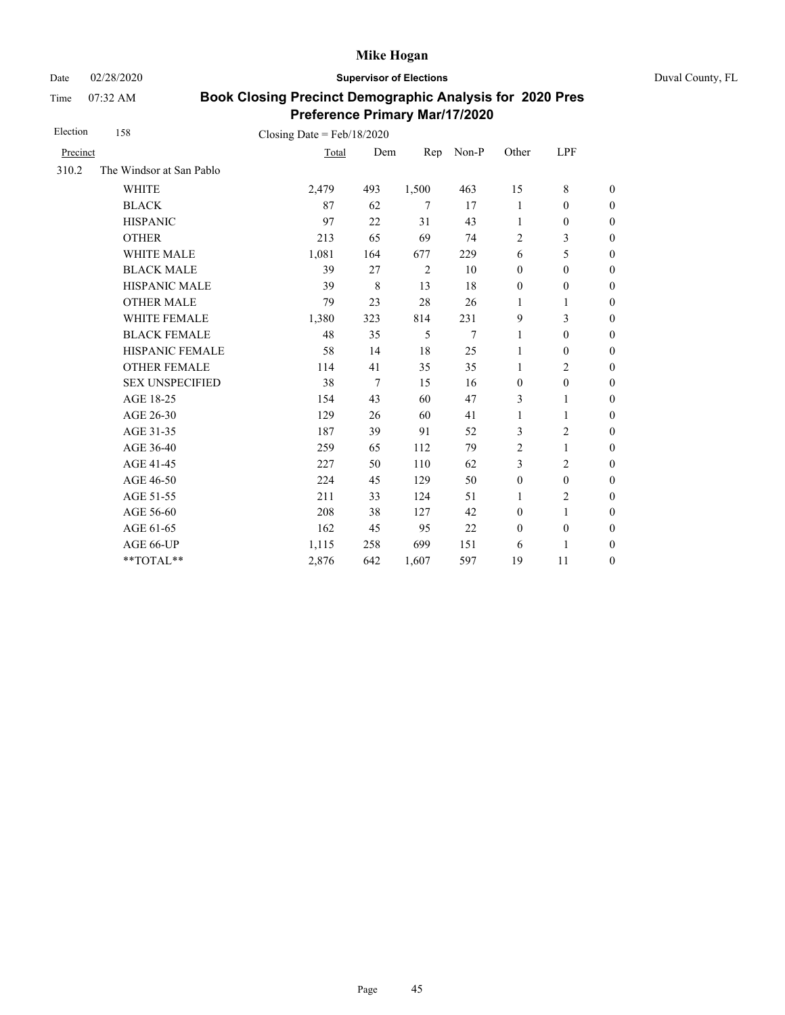Date 02/28/2020 **Supervisor of Elections** Duval County, FL

Time 07:32 AM

| Election | 158                      | Closing Date = $Feb/18/2020$ |             |        |       |                  |                  |                  |
|----------|--------------------------|------------------------------|-------------|--------|-------|------------------|------------------|------------------|
| Precinct |                          | Total                        | Dem         | Rep    | Non-P | Other            | LPF              |                  |
| 310.2    | The Windsor at San Pablo |                              |             |        |       |                  |                  |                  |
|          | <b>WHITE</b>             | 2,479                        | 493         | 1,500  | 463   | 15               | 8                | $\boldsymbol{0}$ |
|          | <b>BLACK</b>             | 87                           | 62          | $\tau$ | 17    | 1                | $\mathbf{0}$     | $\boldsymbol{0}$ |
|          | <b>HISPANIC</b>          | 97                           | 22          | 31     | 43    | 1                | $\boldsymbol{0}$ | $\boldsymbol{0}$ |
|          | <b>OTHER</b>             | 213                          | 65          | 69     | 74    | $\overline{2}$   | 3                | $\boldsymbol{0}$ |
|          | WHITE MALE               | 1,081                        | 164         | 677    | 229   | 6                | 5                | $\boldsymbol{0}$ |
|          | <b>BLACK MALE</b>        | 39                           | 27          | 2      | 10    | $\mathbf{0}$     | $\mathbf{0}$     | $\boldsymbol{0}$ |
|          | <b>HISPANIC MALE</b>     | 39                           | $\,$ 8 $\,$ | 13     | 18    | $\boldsymbol{0}$ | $\boldsymbol{0}$ | $\overline{0}$   |
|          | <b>OTHER MALE</b>        | 79                           | 23          | 28     | 26    | 1                | 1                | $\boldsymbol{0}$ |
|          | WHITE FEMALE             | 1,380                        | 323         | 814    | 231   | 9                | 3                | $\boldsymbol{0}$ |
|          | <b>BLACK FEMALE</b>      | 48                           | 35          | 5      | 7     | 1                | $\mathbf{0}$     | $\overline{0}$   |
|          | HISPANIC FEMALE          | 58                           | 14          | 18     | 25    | $\mathbf{1}$     | $\boldsymbol{0}$ | $\boldsymbol{0}$ |
|          | <b>OTHER FEMALE</b>      | 114                          | 41          | 35     | 35    | $\mathbf{1}$     | $\overline{2}$   | $\boldsymbol{0}$ |
|          | <b>SEX UNSPECIFIED</b>   | 38                           | $\tau$      | 15     | 16    | $\mathbf{0}$     | $\mathbf{0}$     | $\boldsymbol{0}$ |
|          | AGE 18-25                | 154                          | 43          | 60     | 47    | 3                | 1                | $\overline{0}$   |
|          | AGE 26-30                | 129                          | 26          | 60     | 41    | $\mathbf{1}$     | 1                | $\boldsymbol{0}$ |
|          | AGE 31-35                | 187                          | 39          | 91     | 52    | 3                | $\overline{c}$   | $\boldsymbol{0}$ |
|          | AGE 36-40                | 259                          | 65          | 112    | 79    | $\overline{2}$   | 1                | $\boldsymbol{0}$ |
|          | AGE 41-45                | 227                          | 50          | 110    | 62    | 3                | $\overline{2}$   | $\overline{0}$   |
|          | AGE 46-50                | 224                          | 45          | 129    | 50    | $\boldsymbol{0}$ | $\mathbf{0}$     | $\boldsymbol{0}$ |
|          | AGE 51-55                | 211                          | 33          | 124    | 51    | $\mathbf{1}$     | $\overline{c}$   | $\overline{0}$   |
|          | AGE 56-60                | 208                          | 38          | 127    | 42    | $\mathbf{0}$     | 1                | $\overline{0}$   |
|          | AGE 61-65                | 162                          | 45          | 95     | 22    | $\mathbf{0}$     | $\mathbf{0}$     | $\overline{0}$   |
|          | AGE 66-UP                | 1,115                        | 258         | 699    | 151   | 6                | 1                | $\boldsymbol{0}$ |
|          | **TOTAL**                | 2,876                        | 642         | 1,607  | 597   | 19               | 11               | $\overline{0}$   |
|          |                          |                              |             |        |       |                  |                  |                  |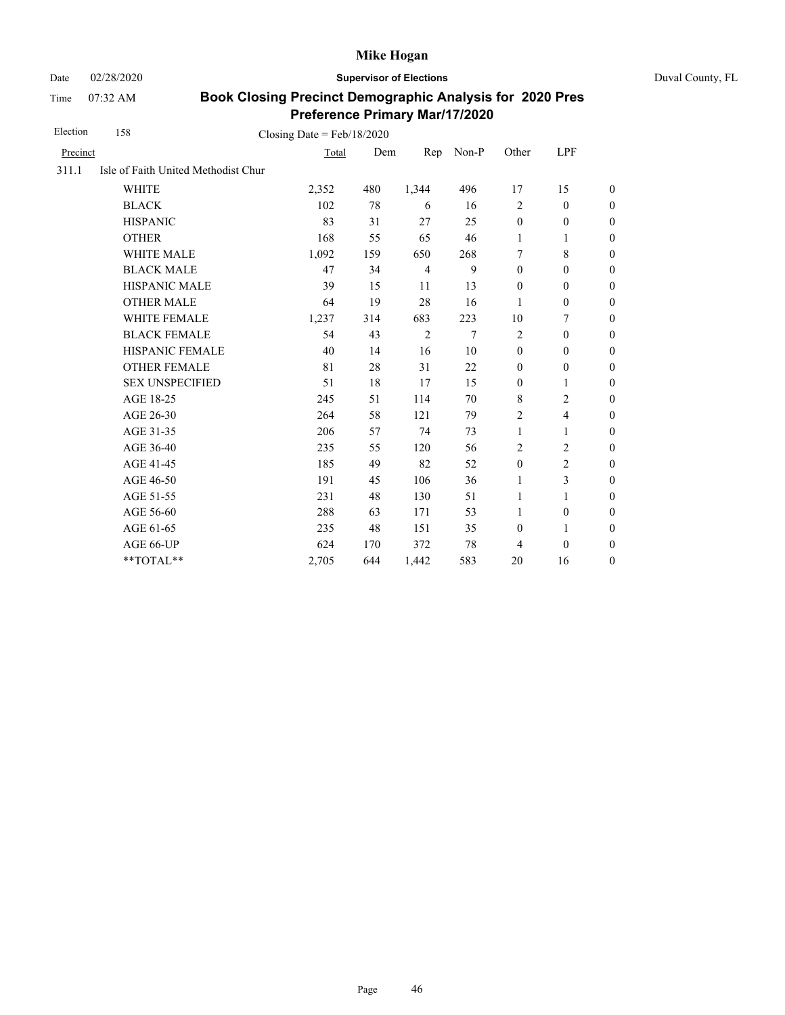Time 07:32 AM

Date 02/28/2020 **Supervisor of Elections** Duval County, FL

| Election | 158                                 | Closing Date = $Feb/18/2020$ |     |                |       |                  |                          |                  |
|----------|-------------------------------------|------------------------------|-----|----------------|-------|------------------|--------------------------|------------------|
| Precinct |                                     | Total                        | Dem | Rep            | Non-P | Other            | <b>LPF</b>               |                  |
| 311.1    | Isle of Faith United Methodist Chur |                              |     |                |       |                  |                          |                  |
|          | <b>WHITE</b>                        | 2,352                        | 480 | 1,344          | 496   | 17               | 15                       | $\boldsymbol{0}$ |
|          | <b>BLACK</b>                        | 102                          | 78  | 6              | 16    | $\overline{2}$   | $\mathbf{0}$             | $\boldsymbol{0}$ |
|          | <b>HISPANIC</b>                     | 83                           | 31  | 27             | 25    | $\mathbf{0}$     | $\mathbf{0}$             | $\overline{0}$   |
|          | <b>OTHER</b>                        | 168                          | 55  | 65             | 46    | $\mathbf{1}$     | 1                        | $\overline{0}$   |
|          | <b>WHITE MALE</b>                   | 1,092                        | 159 | 650            | 268   | 7                | 8                        | $\overline{0}$   |
|          | <b>BLACK MALE</b>                   | 47                           | 34  | $\overline{4}$ | 9     | $\mathbf{0}$     | $\boldsymbol{0}$         | $\boldsymbol{0}$ |
|          | <b>HISPANIC MALE</b>                | 39                           | 15  | 11             | 13    | $\boldsymbol{0}$ | $\boldsymbol{0}$         | $\boldsymbol{0}$ |
|          | <b>OTHER MALE</b>                   | 64                           | 19  | 28             | 16    | 1                | $\boldsymbol{0}$         | $\boldsymbol{0}$ |
|          | WHITE FEMALE                        | 1,237                        | 314 | 683            | 223   | 10               | 7                        | $\boldsymbol{0}$ |
|          | <b>BLACK FEMALE</b>                 | 54                           | 43  | $\overline{2}$ | 7     | $\overline{2}$   | $\mathbf{0}$             | $\boldsymbol{0}$ |
|          | <b>HISPANIC FEMALE</b>              | 40                           | 14  | 16             | 10    | $\mathbf{0}$     | $\mathbf{0}$             | $\overline{0}$   |
|          | <b>OTHER FEMALE</b>                 | 81                           | 28  | 31             | 22    | $\mathbf{0}$     | $\mathbf{0}$             | $\overline{0}$   |
|          | <b>SEX UNSPECIFIED</b>              | 51                           | 18  | 17             | 15    | $\boldsymbol{0}$ | 1                        | $\boldsymbol{0}$ |
|          | AGE 18-25                           | 245                          | 51  | 114            | 70    | $\,$ 8 $\,$      | $\overline{c}$           | $\boldsymbol{0}$ |
|          | AGE 26-30                           | 264                          | 58  | 121            | 79    | $\overline{c}$   | $\overline{\mathcal{L}}$ | $\boldsymbol{0}$ |
|          | AGE 31-35                           | 206                          | 57  | 74             | 73    | 1                | 1                        | $\boldsymbol{0}$ |
|          | AGE 36-40                           | 235                          | 55  | 120            | 56    | $\overline{2}$   | $\overline{c}$           | $\boldsymbol{0}$ |
|          | AGE 41-45                           | 185                          | 49  | 82             | 52    | $\boldsymbol{0}$ | $\overline{c}$           | $\overline{0}$   |
|          | AGE 46-50                           | 191                          | 45  | 106            | 36    | 1                | 3                        | $\boldsymbol{0}$ |
|          | AGE 51-55                           | 231                          | 48  | 130            | 51    | 1                | 1                        | $\boldsymbol{0}$ |
|          | AGE 56-60                           | 288                          | 63  | 171            | 53    | 1                | $\boldsymbol{0}$         | $\boldsymbol{0}$ |
|          | AGE 61-65                           | 235                          | 48  | 151            | 35    | $\boldsymbol{0}$ | 1                        | $\boldsymbol{0}$ |
|          | AGE 66-UP                           | 624                          | 170 | 372            | 78    | 4                | $\mathbf{0}$             | $\overline{0}$   |
|          | **TOTAL**                           | 2,705                        | 644 | 1,442          | 583   | 20               | 16                       | $\overline{0}$   |
|          |                                     |                              |     |                |       |                  |                          |                  |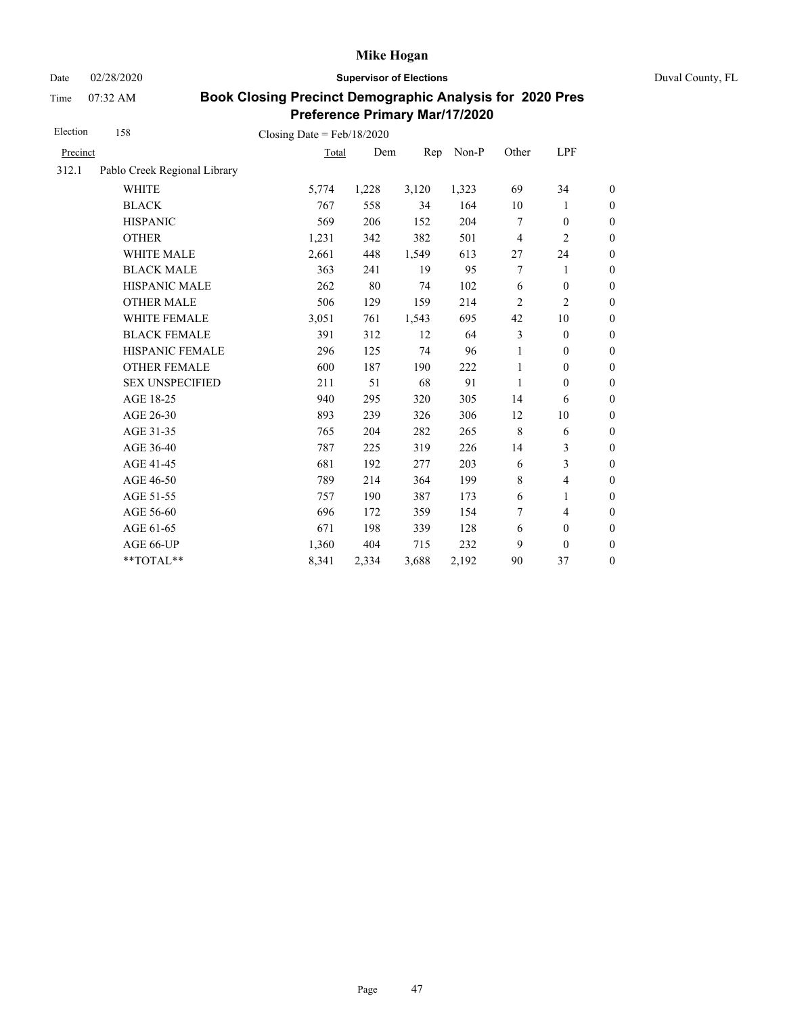Date 02/28/2020 **Supervisor of Elections** Duval County, FL

Time 07:32 AM

| Election | 158                          | Closing Date = $Feb/18/2020$ |       |       |       |                |                  |                  |
|----------|------------------------------|------------------------------|-------|-------|-------|----------------|------------------|------------------|
| Precinct |                              | Total                        | Dem   | Rep   | Non-P | Other          | LPF              |                  |
| 312.1    | Pablo Creek Regional Library |                              |       |       |       |                |                  |                  |
|          | <b>WHITE</b>                 | 5,774                        | 1,228 | 3,120 | 1,323 | 69             | 34               | $\theta$         |
|          | <b>BLACK</b>                 | 767                          | 558   | 34    | 164   | 10             | 1                | $\boldsymbol{0}$ |
|          | <b>HISPANIC</b>              | 569                          | 206   | 152   | 204   | 7              | $\boldsymbol{0}$ | $\boldsymbol{0}$ |
|          | <b>OTHER</b>                 | 1,231                        | 342   | 382   | 501   | $\overline{4}$ | $\overline{2}$   | $\overline{0}$   |
|          | WHITE MALE                   | 2,661                        | 448   | 1,549 | 613   | 27             | 24               | $\boldsymbol{0}$ |
|          | <b>BLACK MALE</b>            | 363                          | 241   | 19    | 95    | 7              | 1                | $\boldsymbol{0}$ |
|          | <b>HISPANIC MALE</b>         | 262                          | 80    | 74    | 102   | 6              | $\mathbf{0}$     | $\overline{0}$   |
|          | <b>OTHER MALE</b>            | 506                          | 129   | 159   | 214   | 2              | 2                | $\mathbf{0}$     |
|          | <b>WHITE FEMALE</b>          | 3,051                        | 761   | 1,543 | 695   | 42             | $10\,$           | $\boldsymbol{0}$ |
|          | <b>BLACK FEMALE</b>          | 391                          | 312   | 12    | 64    | 3              | $\mathbf{0}$     | $\mathbf{0}$     |
|          | HISPANIC FEMALE              | 296                          | 125   | 74    | 96    | 1              | $\mathbf{0}$     | $\theta$         |
|          | <b>OTHER FEMALE</b>          | 600                          | 187   | 190   | 222   | 1              | $\boldsymbol{0}$ | $\boldsymbol{0}$ |
|          | <b>SEX UNSPECIFIED</b>       | 211                          | 51    | 68    | 91    | 1              | $\mathbf{0}$     | $\mathbf{0}$     |
|          | AGE 18-25                    | 940                          | 295   | 320   | 305   | 14             | 6                | $\mathbf{0}$     |
|          | AGE 26-30                    | 893                          | 239   | 326   | 306   | 12             | 10               | $\overline{0}$   |
|          | AGE 31-35                    | 765                          | 204   | 282   | 265   | $\,8\,$        | 6                | $\boldsymbol{0}$ |
|          | AGE 36-40                    | 787                          | 225   | 319   | 226   | 14             | 3                | $\boldsymbol{0}$ |
|          | AGE 41-45                    | 681                          | 192   | 277   | 203   | 6              | 3                | $\overline{0}$   |
|          | AGE 46-50                    | 789                          | 214   | 364   | 199   | 8              | $\overline{4}$   | $\boldsymbol{0}$ |
|          | AGE 51-55                    | 757                          | 190   | 387   | 173   | 6              | 1                | $\boldsymbol{0}$ |
|          | AGE 56-60                    | 696                          | 172   | 359   | 154   | 7              | $\overline{4}$   | $\boldsymbol{0}$ |
|          | AGE 61-65                    | 671                          | 198   | 339   | 128   | 6              | $\boldsymbol{0}$ | $\boldsymbol{0}$ |
|          | AGE 66-UP                    | 1,360                        | 404   | 715   | 232   | 9              | $\theta$         | $\boldsymbol{0}$ |
|          | **TOTAL**                    | 8,341                        | 2,334 | 3,688 | 2,192 | 90             | 37               | $\boldsymbol{0}$ |
|          |                              |                              |       |       |       |                |                  |                  |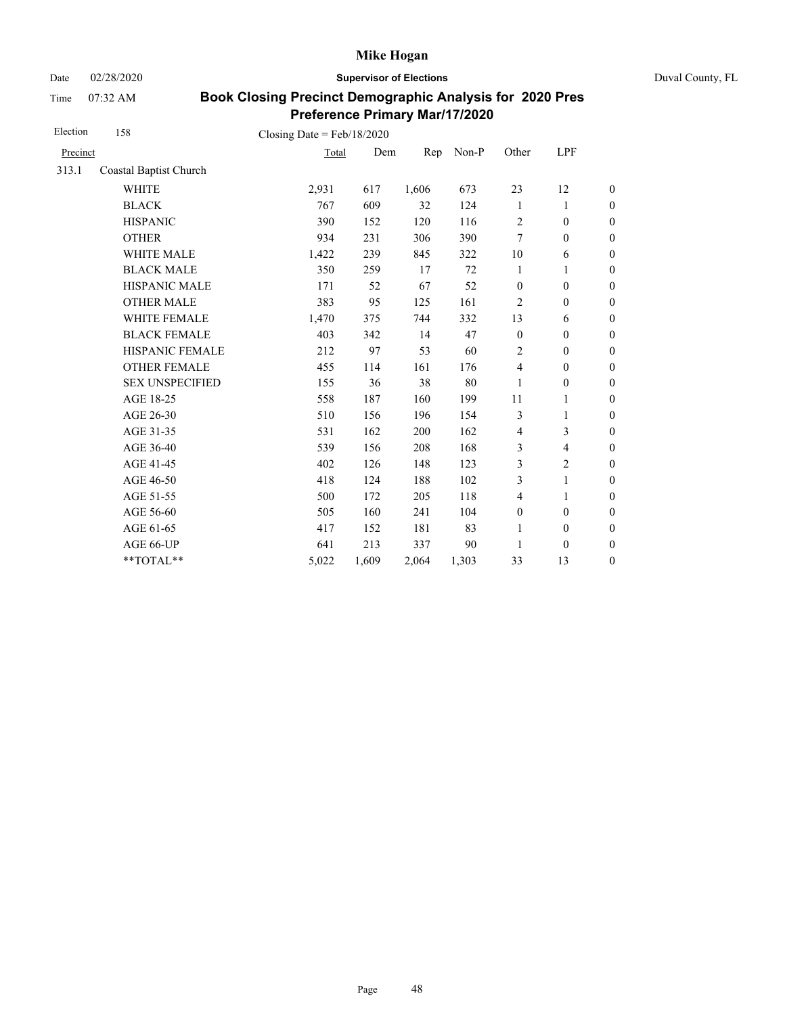Date 02/28/2020 **Supervisor of Elections** Duval County, FL

Time 07:32 AM

| Election | 158                    | Closing Date = $Feb/18/2020$ |       |       |       |                  |                          |                  |
|----------|------------------------|------------------------------|-------|-------|-------|------------------|--------------------------|------------------|
| Precinct |                        | Total                        | Dem   | Rep   | Non-P | Other            | LPF                      |                  |
| 313.1    | Coastal Baptist Church |                              |       |       |       |                  |                          |                  |
|          | <b>WHITE</b>           | 2,931                        | 617   | 1,606 | 673   | 23               | 12                       | $\boldsymbol{0}$ |
|          | <b>BLACK</b>           | 767                          | 609   | 32    | 124   | 1                | 1                        | $\boldsymbol{0}$ |
|          | <b>HISPANIC</b>        | 390                          | 152   | 120   | 116   | $\overline{2}$   | $\boldsymbol{0}$         | $\boldsymbol{0}$ |
|          | <b>OTHER</b>           | 934                          | 231   | 306   | 390   | $\overline{7}$   | $\mathbf{0}$             | $\boldsymbol{0}$ |
|          | <b>WHITE MALE</b>      | 1,422                        | 239   | 845   | 322   | 10               | 6                        | $\boldsymbol{0}$ |
|          | <b>BLACK MALE</b>      | 350                          | 259   | 17    | 72    | 1                | 1                        | $\boldsymbol{0}$ |
|          | <b>HISPANIC MALE</b>   | 171                          | 52    | 67    | 52    | $\boldsymbol{0}$ | $\boldsymbol{0}$         | $\overline{0}$   |
|          | <b>OTHER MALE</b>      | 383                          | 95    | 125   | 161   | 2                | $\mathbf{0}$             | $\boldsymbol{0}$ |
|          | WHITE FEMALE           | 1,470                        | 375   | 744   | 332   | 13               | 6                        | $\boldsymbol{0}$ |
|          | <b>BLACK FEMALE</b>    | 403                          | 342   | 14    | 47    | $\boldsymbol{0}$ | $\mathbf{0}$             | $\overline{0}$   |
|          | HISPANIC FEMALE        | 212                          | 97    | 53    | 60    | 2                | $\boldsymbol{0}$         | $\boldsymbol{0}$ |
|          | <b>OTHER FEMALE</b>    | 455                          | 114   | 161   | 176   | 4                | $\mathbf{0}$             | $\boldsymbol{0}$ |
|          | <b>SEX UNSPECIFIED</b> | 155                          | 36    | 38    | 80    | 1                | $\mathbf{0}$             | $\boldsymbol{0}$ |
|          | AGE 18-25              | 558                          | 187   | 160   | 199   | 11               | 1                        | $\boldsymbol{0}$ |
|          | AGE 26-30              | 510                          | 156   | 196   | 154   | 3                | 1                        | $\boldsymbol{0}$ |
|          | AGE 31-35              | 531                          | 162   | 200   | 162   | $\overline{4}$   | 3                        | $\boldsymbol{0}$ |
|          | AGE 36-40              | 539                          | 156   | 208   | 168   | 3                | $\overline{\mathcal{L}}$ | $\boldsymbol{0}$ |
|          | AGE 41-45              | 402                          | 126   | 148   | 123   | 3                | $\overline{2}$           | $\overline{0}$   |
|          | AGE 46-50              | 418                          | 124   | 188   | 102   | 3                | 1                        | $\boldsymbol{0}$ |
|          | AGE 51-55              | 500                          | 172   | 205   | 118   | $\overline{4}$   | 1                        | $\boldsymbol{0}$ |
|          | AGE 56-60              | 505                          | 160   | 241   | 104   | $\boldsymbol{0}$ | $\mathbf{0}$             | $\overline{0}$   |
|          | AGE 61-65              | 417                          | 152   | 181   | 83    | $\mathbf{1}$     | $\mathbf{0}$             | $\boldsymbol{0}$ |
|          | AGE 66-UP              | 641                          | 213   | 337   | 90    | 1                | $\mathbf{0}$             | $\boldsymbol{0}$ |
|          | **TOTAL**              | 5,022                        | 1,609 | 2,064 | 1,303 | 33               | 13                       | $\overline{0}$   |
|          |                        |                              |       |       |       |                  |                          |                  |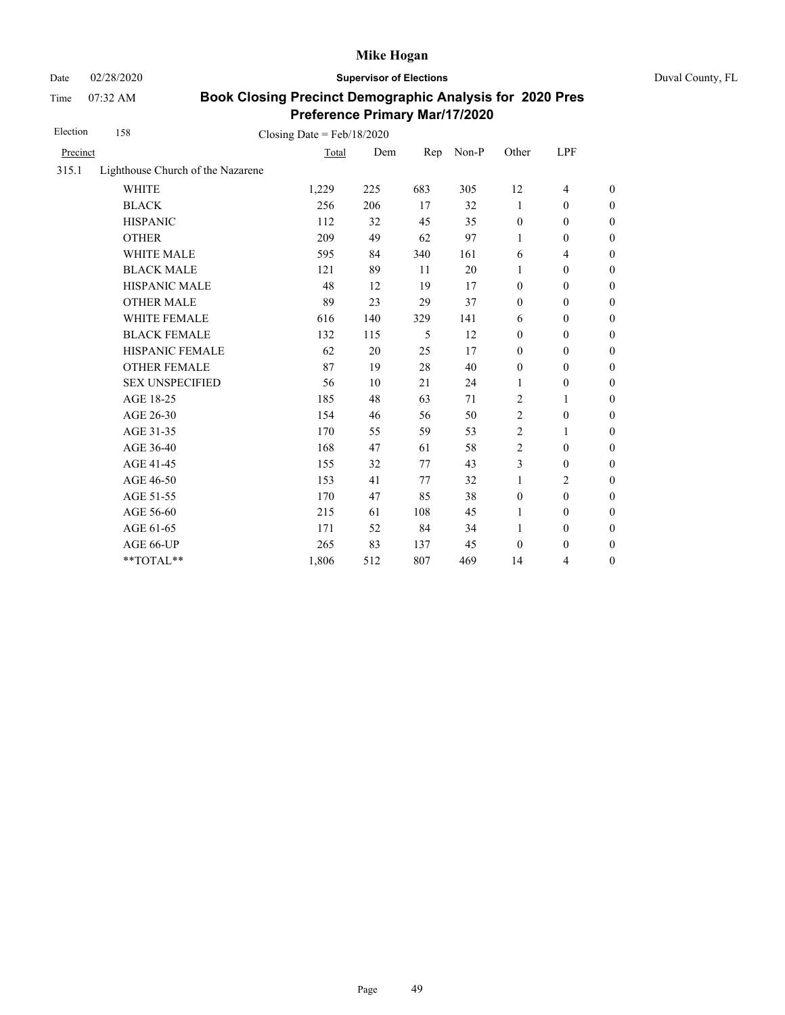Date 02/28/2020 **Supervisor of Elections** Duval County, FL

Time 07:32 AM

| Election | 158                               | Closing Date = $Feb/18/2020$ |     |     |       |                  |                  |                  |
|----------|-----------------------------------|------------------------------|-----|-----|-------|------------------|------------------|------------------|
| Precinct |                                   | Total                        | Dem | Rep | Non-P | Other            | LPF              |                  |
| 315.1    | Lighthouse Church of the Nazarene |                              |     |     |       |                  |                  |                  |
|          | <b>WHITE</b>                      | 1,229                        | 225 | 683 | 305   | 12               | $\overline{4}$   | $\boldsymbol{0}$ |
|          | <b>BLACK</b>                      | 256                          | 206 | 17  | 32    | 1                | $\mathbf{0}$     | $\boldsymbol{0}$ |
|          | <b>HISPANIC</b>                   | 112                          | 32  | 45  | 35    | $\boldsymbol{0}$ | $\boldsymbol{0}$ | $\boldsymbol{0}$ |
|          | <b>OTHER</b>                      | 209                          | 49  | 62  | 97    | 1                | $\boldsymbol{0}$ | $\boldsymbol{0}$ |
|          | WHITE MALE                        | 595                          | 84  | 340 | 161   | 6                | 4                | $\boldsymbol{0}$ |
|          | <b>BLACK MALE</b>                 | 121                          | 89  | 11  | 20    | 1                | $\boldsymbol{0}$ | $\boldsymbol{0}$ |
|          | <b>HISPANIC MALE</b>              | 48                           | 12  | 19  | 17    | $\boldsymbol{0}$ | $\boldsymbol{0}$ | $\mathbf{0}$     |
|          | <b>OTHER MALE</b>                 | 89                           | 23  | 29  | 37    | $\boldsymbol{0}$ | $\boldsymbol{0}$ | $\boldsymbol{0}$ |
|          | <b>WHITE FEMALE</b>               | 616                          | 140 | 329 | 141   | 6                | $\theta$         | $\boldsymbol{0}$ |
|          | <b>BLACK FEMALE</b>               | 132                          | 115 | 5   | 12    | $\boldsymbol{0}$ | $\mathbf{0}$     | $\boldsymbol{0}$ |
|          | HISPANIC FEMALE                   | 62                           | 20  | 25  | 17    | $\boldsymbol{0}$ | $\boldsymbol{0}$ | $\boldsymbol{0}$ |
|          | <b>OTHER FEMALE</b>               | 87                           | 19  | 28  | 40    | $\boldsymbol{0}$ | $\theta$         | $\boldsymbol{0}$ |
|          | <b>SEX UNSPECIFIED</b>            | 56                           | 10  | 21  | 24    | 1                | $\theta$         | $\boldsymbol{0}$ |
|          | AGE 18-25                         | 185                          | 48  | 63  | 71    | 2                | 1                | $\boldsymbol{0}$ |
|          | AGE 26-30                         | 154                          | 46  | 56  | 50    | 2                | $\boldsymbol{0}$ | $\boldsymbol{0}$ |
|          | AGE 31-35                         | 170                          | 55  | 59  | 53    | 2                | 1                | $\boldsymbol{0}$ |
|          | AGE 36-40                         | 168                          | 47  | 61  | 58    | $\overline{c}$   | $\theta$         | $\boldsymbol{0}$ |
|          | AGE 41-45                         | 155                          | 32  | 77  | 43    | 3                | $\boldsymbol{0}$ | $\mathbf{0}$     |
|          | AGE 46-50                         | 153                          | 41  | 77  | 32    | 1                | 2                | $\boldsymbol{0}$ |
|          | AGE 51-55                         | 170                          | 47  | 85  | 38    | $\boldsymbol{0}$ | $\boldsymbol{0}$ | $\boldsymbol{0}$ |
|          | AGE 56-60                         | 215                          | 61  | 108 | 45    | 1                | $\mathbf{0}$     | $\boldsymbol{0}$ |
|          | AGE 61-65                         | 171                          | 52  | 84  | 34    | 1                | $\boldsymbol{0}$ | $\boldsymbol{0}$ |
|          | AGE 66-UP                         | 265                          | 83  | 137 | 45    | $\mathbf{0}$     | $\boldsymbol{0}$ | $\boldsymbol{0}$ |
|          | **TOTAL**                         | 1,806                        | 512 | 807 | 469   | 14               | 4                | $\boldsymbol{0}$ |
|          |                                   |                              |     |     |       |                  |                  |                  |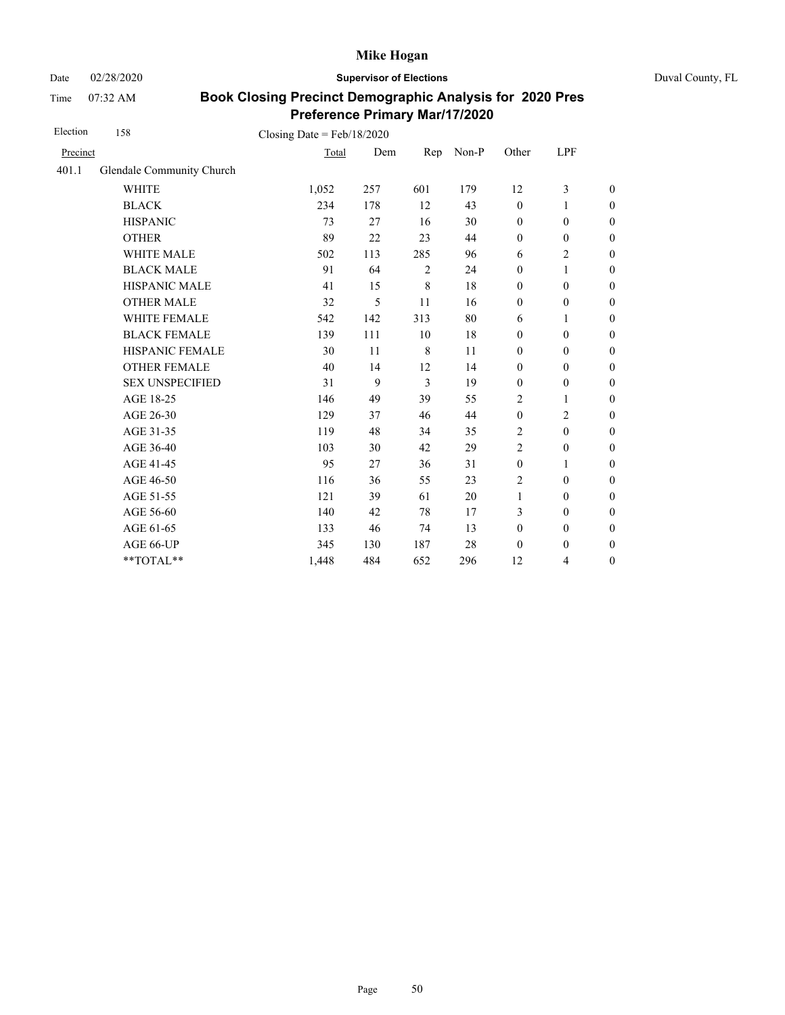Date 02/28/2020 **Supervisor of Elections** Duval County, FL

Time 07:32 AM

| Election | 158                       | Closing Date = $Feb/18/2020$ |     |     |       |                  |                  |                  |
|----------|---------------------------|------------------------------|-----|-----|-------|------------------|------------------|------------------|
| Precinct |                           | Total                        | Dem | Rep | Non-P | Other            | LPF              |                  |
| 401.1    | Glendale Community Church |                              |     |     |       |                  |                  |                  |
|          | <b>WHITE</b>              | 1,052                        | 257 | 601 | 179   | 12               | 3                | $\boldsymbol{0}$ |
|          | <b>BLACK</b>              | 234                          | 178 | 12  | 43    | $\boldsymbol{0}$ | 1                | $\boldsymbol{0}$ |
|          | <b>HISPANIC</b>           | 73                           | 27  | 16  | 30    | $\boldsymbol{0}$ | $\boldsymbol{0}$ | $\boldsymbol{0}$ |
|          | <b>OTHER</b>              | 89                           | 22  | 23  | 44    | $\boldsymbol{0}$ | $\boldsymbol{0}$ | $\overline{0}$   |
|          | WHITE MALE                | 502                          | 113 | 285 | 96    | 6                | 2                | $\boldsymbol{0}$ |
|          | <b>BLACK MALE</b>         | 91                           | 64  | 2   | 24    | $\mathbf{0}$     | $\mathbf{1}$     | $\boldsymbol{0}$ |
|          | <b>HISPANIC MALE</b>      | 41                           | 15  | 8   | 18    | $\boldsymbol{0}$ | $\boldsymbol{0}$ | $\overline{0}$   |
|          | <b>OTHER MALE</b>         | 32                           | 5   | 11  | 16    | $\boldsymbol{0}$ | $\boldsymbol{0}$ | $\boldsymbol{0}$ |
|          | <b>WHITE FEMALE</b>       | 542                          | 142 | 313 | 80    | 6                | 1                | $\boldsymbol{0}$ |
|          | <b>BLACK FEMALE</b>       | 139                          | 111 | 10  | 18    | $\mathbf{0}$     | $\mathbf{0}$     | $\boldsymbol{0}$ |
|          | HISPANIC FEMALE           | 30                           | 11  | 8   | 11    | $\mathbf{0}$     | $\mathbf{0}$     | $\boldsymbol{0}$ |
|          | <b>OTHER FEMALE</b>       | 40                           | 14  | 12  | 14    | $\mathbf{0}$     | $\mathbf{0}$     | $\mathbf{0}$     |
|          | <b>SEX UNSPECIFIED</b>    | 31                           | 9   | 3   | 19    | $\boldsymbol{0}$ | $\boldsymbol{0}$ | $\boldsymbol{0}$ |
|          | AGE 18-25                 | 146                          | 49  | 39  | 55    | $\overline{c}$   | 1                | $\mathbf{0}$     |
|          | AGE 26-30                 | 129                          | 37  | 46  | 44    | $\mathbf{0}$     | $\overline{c}$   | $\mathbf{0}$     |
|          | AGE 31-35                 | 119                          | 48  | 34  | 35    | 2                | $\boldsymbol{0}$ | $\boldsymbol{0}$ |
|          | AGE 36-40                 | 103                          | 30  | 42  | 29    | $\overline{2}$   | $\boldsymbol{0}$ | $\boldsymbol{0}$ |
|          | AGE 41-45                 | 95                           | 27  | 36  | 31    | $\boldsymbol{0}$ | $\mathbf{1}$     | $\overline{0}$   |
|          | AGE 46-50                 | 116                          | 36  | 55  | 23    | 2                | $\boldsymbol{0}$ | $\boldsymbol{0}$ |
|          | AGE 51-55                 | 121                          | 39  | 61  | 20    | $\mathbf{1}$     | $\boldsymbol{0}$ | $\boldsymbol{0}$ |
|          | AGE 56-60                 | 140                          | 42  | 78  | 17    | 3                | $\mathbf{0}$     | $\boldsymbol{0}$ |
|          | AGE 61-65                 | 133                          | 46  | 74  | 13    | $\boldsymbol{0}$ | $\boldsymbol{0}$ | $\boldsymbol{0}$ |
|          | AGE 66-UP                 | 345                          | 130 | 187 | 28    | $\mathbf{0}$     | $\boldsymbol{0}$ | $\boldsymbol{0}$ |
|          | **TOTAL**                 | 1,448                        | 484 | 652 | 296   | 12               | 4                | $\boldsymbol{0}$ |
|          |                           |                              |     |     |       |                  |                  |                  |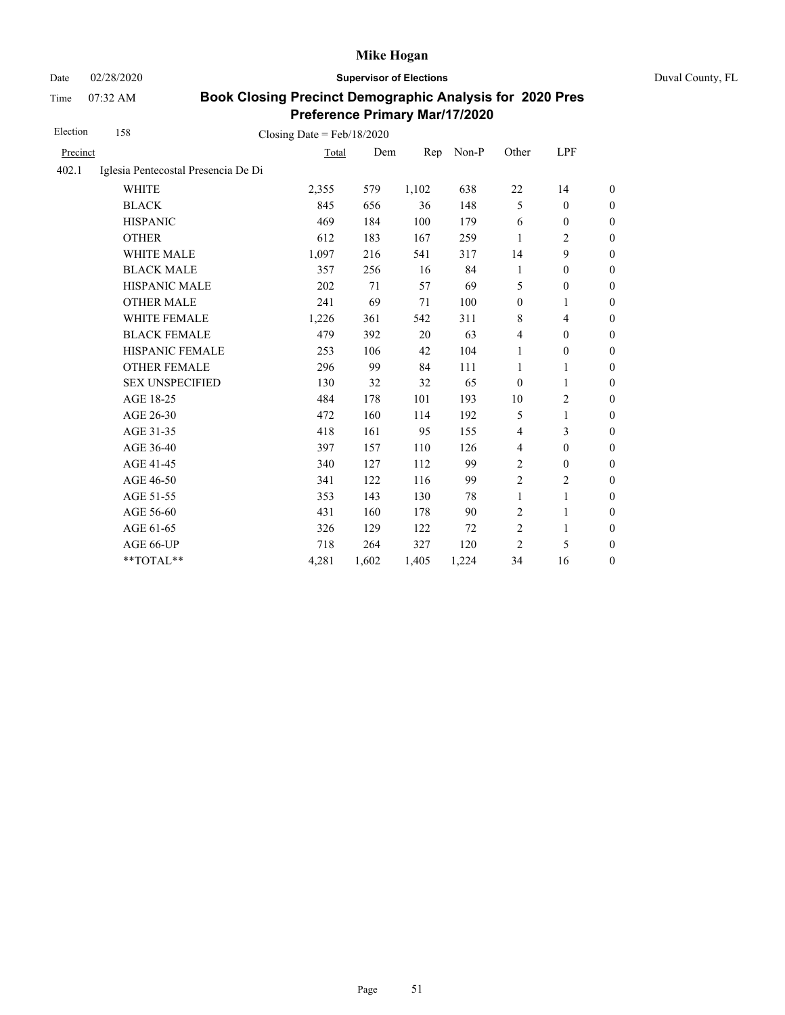Date 02/28/2020 **Supervisor of Elections** Duval County, FL

Time 07:32 AM

| Election | 158                                 | Closing Date = $Feb/18/2020$ |       |       |       |                  |                  |                  |
|----------|-------------------------------------|------------------------------|-------|-------|-------|------------------|------------------|------------------|
| Precinct |                                     | Total                        | Dem   | Rep   | Non-P | Other            | LPF              |                  |
| 402.1    | Iglesia Pentecostal Presencia De Di |                              |       |       |       |                  |                  |                  |
|          | <b>WHITE</b>                        | 2,355                        | 579   | 1,102 | 638   | 22               | 14               | $\boldsymbol{0}$ |
|          | <b>BLACK</b>                        | 845                          | 656   | 36    | 148   | 5                | $\mathbf{0}$     | $\boldsymbol{0}$ |
|          | <b>HISPANIC</b>                     | 469                          | 184   | 100   | 179   | 6                | $\boldsymbol{0}$ | $\boldsymbol{0}$ |
|          | <b>OTHER</b>                        | 612                          | 183   | 167   | 259   | 1                | 2                | $\boldsymbol{0}$ |
|          | <b>WHITE MALE</b>                   | 1,097                        | 216   | 541   | 317   | 14               | 9                | $\boldsymbol{0}$ |
|          | <b>BLACK MALE</b>                   | 357                          | 256   | 16    | 84    | 1                | $\boldsymbol{0}$ | $\boldsymbol{0}$ |
|          | HISPANIC MALE                       | 202                          | 71    | 57    | 69    | 5                | $\mathbf{0}$     | $\boldsymbol{0}$ |
|          | <b>OTHER MALE</b>                   | 241                          | 69    | 71    | 100   | $\boldsymbol{0}$ | 1                | $\boldsymbol{0}$ |
|          | WHITE FEMALE                        | 1,226                        | 361   | 542   | 311   | $\,8\,$          | 4                | $\boldsymbol{0}$ |
|          | <b>BLACK FEMALE</b>                 | 479                          | 392   | 20    | 63    | $\overline{4}$   | $\boldsymbol{0}$ | $\boldsymbol{0}$ |
|          | HISPANIC FEMALE                     | 253                          | 106   | 42    | 104   | 1                | $\boldsymbol{0}$ | $\boldsymbol{0}$ |
|          | <b>OTHER FEMALE</b>                 | 296                          | 99    | 84    | 111   | 1                | 1                | $\boldsymbol{0}$ |
|          | <b>SEX UNSPECIFIED</b>              | 130                          | 32    | 32    | 65    | $\mathbf{0}$     | 1                | $\boldsymbol{0}$ |
|          | AGE 18-25                           | 484                          | 178   | 101   | 193   | 10               | $\overline{c}$   | $\boldsymbol{0}$ |
|          | AGE 26-30                           | 472                          | 160   | 114   | 192   | 5                | $\mathbf{1}$     | $\mathbf{0}$     |
|          | AGE 31-35                           | 418                          | 161   | 95    | 155   | $\overline{4}$   | 3                | $\boldsymbol{0}$ |
|          | AGE 36-40                           | 397                          | 157   | 110   | 126   | $\overline{4}$   | $\boldsymbol{0}$ | $\boldsymbol{0}$ |
|          | AGE 41-45                           | 340                          | 127   | 112   | 99    | $\overline{c}$   | $\boldsymbol{0}$ | $\mathbf{0}$     |
|          | AGE 46-50                           | 341                          | 122   | 116   | 99    | $\overline{c}$   | 2                | $\boldsymbol{0}$ |
|          | AGE 51-55                           | 353                          | 143   | 130   | 78    | $\mathbf{1}$     | $\mathbf{1}$     | $\boldsymbol{0}$ |
|          | AGE 56-60                           | 431                          | 160   | 178   | 90    | $\sqrt{2}$       | 1                | $\boldsymbol{0}$ |
|          | AGE 61-65                           | 326                          | 129   | 122   | 72    | $\overline{c}$   | $\mathbf{1}$     | $\mathbf{0}$     |
|          | AGE 66-UP                           | 718                          | 264   | 327   | 120   | $\overline{2}$   | 5                | $\boldsymbol{0}$ |
|          | **TOTAL**                           | 4,281                        | 1,602 | 1,405 | 1,224 | 34               | 16               | $\boldsymbol{0}$ |
|          |                                     |                              |       |       |       |                  |                  |                  |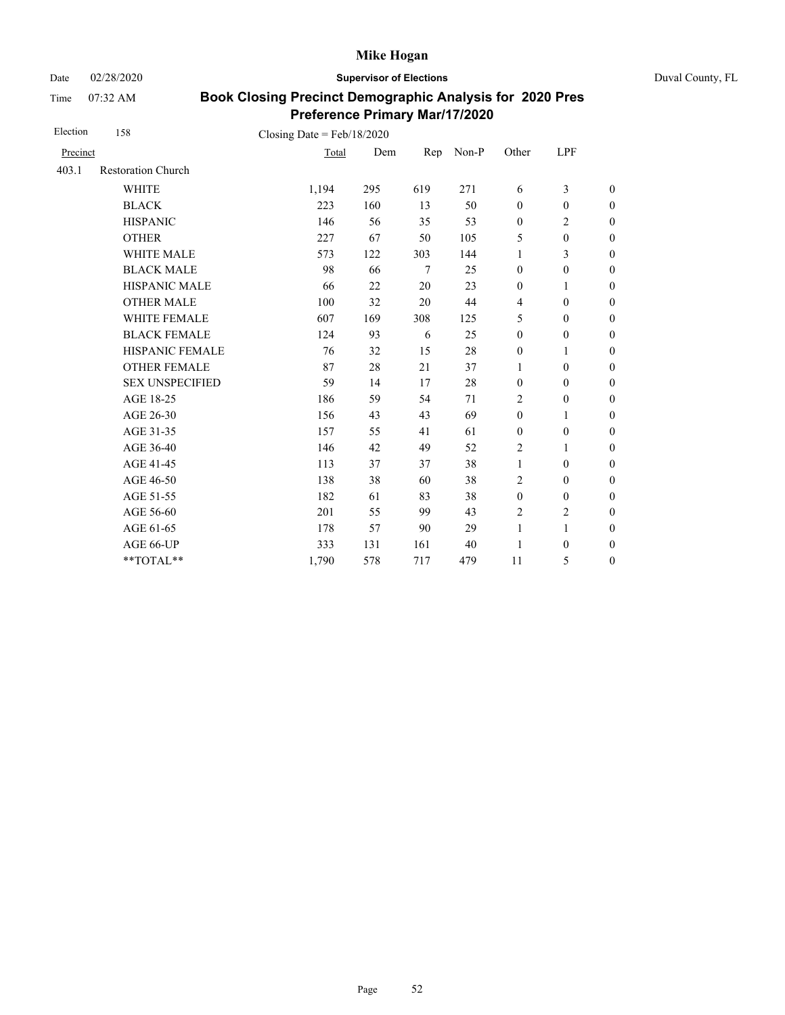Date 02/28/2020 **Supervisor of Elections** Duval County, FL

Time 07:32 AM

| Election | 158                       | Closing Date = $Feb/18/2020$ |     |                 |       |                  |                  |                  |
|----------|---------------------------|------------------------------|-----|-----------------|-------|------------------|------------------|------------------|
| Precinct |                           | Total                        | Dem | Rep             | Non-P | Other            | LPF              |                  |
| 403.1    | <b>Restoration Church</b> |                              |     |                 |       |                  |                  |                  |
|          | <b>WHITE</b>              | 1,194                        | 295 | 619             | 271   | 6                | 3                | $\boldsymbol{0}$ |
|          | <b>BLACK</b>              | 223                          | 160 | 13              | 50    | $\mathbf{0}$     | $\boldsymbol{0}$ | $\boldsymbol{0}$ |
|          | <b>HISPANIC</b>           | 146                          | 56  | 35              | 53    | $\boldsymbol{0}$ | $\overline{c}$   | $\overline{0}$   |
|          | <b>OTHER</b>              | 227                          | 67  | 50              | 105   | 5                | $\boldsymbol{0}$ | $\boldsymbol{0}$ |
|          | WHITE MALE                | 573                          | 122 | 303             | 144   | 1                | 3                | $\boldsymbol{0}$ |
|          | <b>BLACK MALE</b>         | 98                           | 66  | $7\phantom{.0}$ | 25    | $\mathbf{0}$     | $\boldsymbol{0}$ | $\boldsymbol{0}$ |
|          | <b>HISPANIC MALE</b>      | 66                           | 22  | 20              | 23    | $\boldsymbol{0}$ | $\mathbf{1}$     | $\overline{0}$   |
|          | <b>OTHER MALE</b>         | 100                          | 32  | 20              | 44    | $\overline{4}$   | $\boldsymbol{0}$ | $\boldsymbol{0}$ |
|          | WHITE FEMALE              | 607                          | 169 | 308             | 125   | 5                | $\boldsymbol{0}$ | $\boldsymbol{0}$ |
|          | <b>BLACK FEMALE</b>       | 124                          | 93  | 6               | 25    | $\mathbf{0}$     | $\mathbf{0}$     | $\overline{0}$   |
|          | HISPANIC FEMALE           | 76                           | 32  | 15              | 28    | $\boldsymbol{0}$ | 1                | $\boldsymbol{0}$ |
|          | <b>OTHER FEMALE</b>       | 87                           | 28  | 21              | 37    | 1                | $\mathbf{0}$     | $\boldsymbol{0}$ |
|          | <b>SEX UNSPECIFIED</b>    | 59                           | 14  | 17              | 28    | $\boldsymbol{0}$ | $\boldsymbol{0}$ | $\boldsymbol{0}$ |
|          | AGE 18-25                 | 186                          | 59  | 54              | 71    | $\overline{2}$   | $\boldsymbol{0}$ | $\overline{0}$   |
|          | AGE 26-30                 | 156                          | 43  | 43              | 69    | $\mathbf{0}$     | 1                | $\overline{0}$   |
|          | AGE 31-35                 | 157                          | 55  | 41              | 61    | $\mathbf{0}$     | $\boldsymbol{0}$ | $\boldsymbol{0}$ |
|          | AGE 36-40                 | 146                          | 42  | 49              | 52    | $\overline{2}$   | 1                | $\boldsymbol{0}$ |
|          | AGE 41-45                 | 113                          | 37  | 37              | 38    | $\mathbf{1}$     | $\mathbf{0}$     | $\overline{0}$   |
|          | AGE 46-50                 | 138                          | 38  | 60              | 38    | 2                | $\mathbf{0}$     | $\boldsymbol{0}$ |
|          | AGE 51-55                 | 182                          | 61  | 83              | 38    | $\boldsymbol{0}$ | $\mathbf{0}$     | $\overline{0}$   |
|          | AGE 56-60                 | 201                          | 55  | 99              | 43    | $\overline{2}$   | $\overline{c}$   | $\overline{0}$   |
|          | AGE 61-65                 | 178                          | 57  | 90              | 29    | $\mathbf{1}$     | $\mathbf{1}$     | $\overline{0}$   |
|          | AGE 66-UP                 | 333                          | 131 | 161             | 40    | 1                | $\boldsymbol{0}$ | $\boldsymbol{0}$ |
|          | **TOTAL**                 | 1,790                        | 578 | 717             | 479   | 11               | 5                | $\boldsymbol{0}$ |
|          |                           |                              |     |                 |       |                  |                  |                  |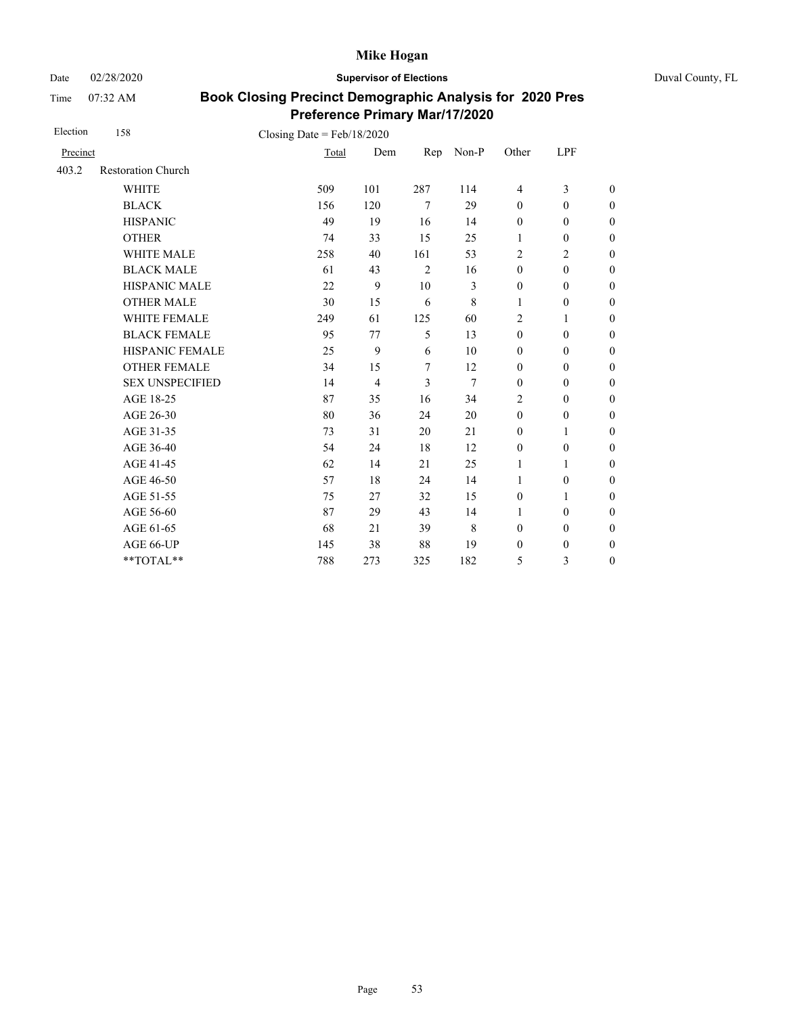Date 02/28/2020 **Supervisor of Elections** Duval County, FL

Time 07:32 AM

| Election | 158                       | Closing Date = $Feb/18/2020$ |                |                |       |                  |                  |                  |
|----------|---------------------------|------------------------------|----------------|----------------|-------|------------------|------------------|------------------|
| Precinct |                           | Total                        | Dem            | Rep            | Non-P | Other            | LPF              |                  |
| 403.2    | <b>Restoration Church</b> |                              |                |                |       |                  |                  |                  |
|          | <b>WHITE</b>              | 509                          | 101            | 287            | 114   | 4                | 3                | $\boldsymbol{0}$ |
|          | <b>BLACK</b>              | 156                          | 120            | $\tau$         | 29    | $\mathbf{0}$     | $\boldsymbol{0}$ | $\boldsymbol{0}$ |
|          | <b>HISPANIC</b>           | 49                           | 19             | 16             | 14    | $\boldsymbol{0}$ | $\boldsymbol{0}$ | $\boldsymbol{0}$ |
|          | <b>OTHER</b>              | 74                           | 33             | 15             | 25    | 1                | $\mathbf{0}$     | $\overline{0}$   |
|          | <b>WHITE MALE</b>         | 258                          | 40             | 161            | 53    | 2                | $\overline{2}$   | $\boldsymbol{0}$ |
|          | <b>BLACK MALE</b>         | 61                           | 43             | $\overline{2}$ | 16    | $\mathbf{0}$     | $\mathbf{0}$     | $\boldsymbol{0}$ |
|          | HISPANIC MALE             | 22                           | 9              | 10             | 3     | $\boldsymbol{0}$ | $\boldsymbol{0}$ | $\overline{0}$   |
|          | <b>OTHER MALE</b>         | 30                           | 15             | 6              | 8     | $\mathbf{1}$     | $\mathbf{0}$     | $\boldsymbol{0}$ |
|          | <b>WHITE FEMALE</b>       | 249                          | 61             | 125            | 60    | $\overline{c}$   | 1                | $\boldsymbol{0}$ |
|          | <b>BLACK FEMALE</b>       | 95                           | 77             | 5              | 13    | $\mathbf{0}$     | $\mathbf{0}$     | $\boldsymbol{0}$ |
|          | HISPANIC FEMALE           | 25                           | 9              | 6              | 10    | $\boldsymbol{0}$ | $\boldsymbol{0}$ | $\boldsymbol{0}$ |
|          | <b>OTHER FEMALE</b>       | 34                           | 15             | 7              | 12    | $\boldsymbol{0}$ | $\mathbf{0}$     | $\boldsymbol{0}$ |
|          | <b>SEX UNSPECIFIED</b>    | 14                           | $\overline{4}$ | $\overline{3}$ | 7     | $\mathbf{0}$     | $\boldsymbol{0}$ | $\boldsymbol{0}$ |
|          | AGE 18-25                 | 87                           | 35             | 16             | 34    | $\overline{c}$   | $\boldsymbol{0}$ | $\boldsymbol{0}$ |
|          | AGE 26-30                 | 80                           | 36             | 24             | 20    | $\mathbf{0}$     | $\mathbf{0}$     | $\overline{0}$   |
|          | AGE 31-35                 | 73                           | 31             | 20             | 21    | $\boldsymbol{0}$ | 1                | $\boldsymbol{0}$ |
|          | AGE 36-40                 | 54                           | 24             | 18             | 12    | $\mathbf{0}$     | $\mathbf{0}$     | $\overline{0}$   |
|          | AGE 41-45                 | 62                           | 14             | 21             | 25    | $\mathbf{1}$     | $\mathbf{1}$     | $\overline{0}$   |
|          | AGE 46-50                 | 57                           | 18             | 24             | 14    | $\mathbf{1}$     | $\boldsymbol{0}$ | $\boldsymbol{0}$ |
|          | AGE 51-55                 | 75                           | 27             | 32             | 15    | $\boldsymbol{0}$ | $\mathbf{1}$     | $\boldsymbol{0}$ |
|          | AGE 56-60                 | 87                           | 29             | 43             | 14    | 1                | $\mathbf{0}$     | $\boldsymbol{0}$ |
|          | AGE 61-65                 | 68                           | 21             | 39             | 8     | $\boldsymbol{0}$ | $\boldsymbol{0}$ | $\boldsymbol{0}$ |
|          | AGE 66-UP                 | 145                          | 38             | 88             | 19    | $\boldsymbol{0}$ | $\boldsymbol{0}$ | $\overline{0}$   |
|          | **TOTAL**                 | 788                          | 273            | 325            | 182   | 5                | 3                | $\boldsymbol{0}$ |
|          |                           |                              |                |                |       |                  |                  |                  |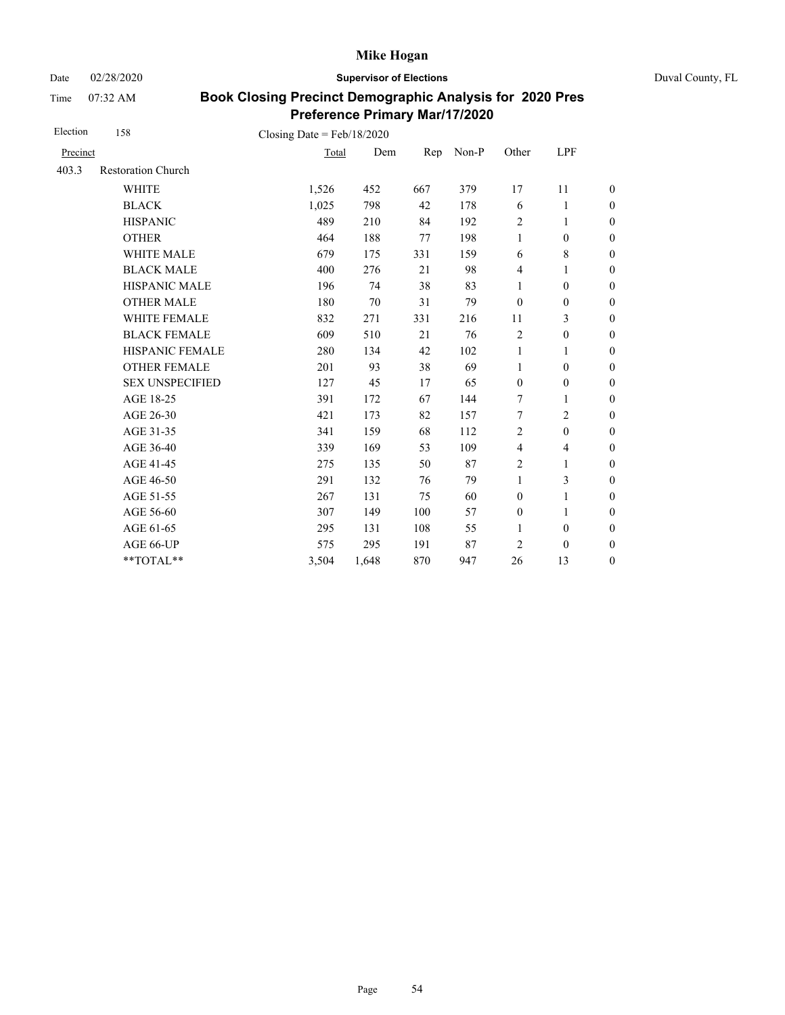Date 02/28/2020 **Supervisor of Elections** Duval County, FL

Time 07:32 AM

| Election | 158                       | Closing Date = $Feb/18/2020$ |       |     |       |                  |                          |                  |
|----------|---------------------------|------------------------------|-------|-----|-------|------------------|--------------------------|------------------|
| Precinct |                           | Total                        | Dem   | Rep | Non-P | Other            | LPF                      |                  |
| 403.3    | <b>Restoration Church</b> |                              |       |     |       |                  |                          |                  |
|          | <b>WHITE</b>              | 1,526                        | 452   | 667 | 379   | 17               | 11                       | $\boldsymbol{0}$ |
|          | <b>BLACK</b>              | 1,025                        | 798   | 42  | 178   | 6                | 1                        | $\boldsymbol{0}$ |
|          | <b>HISPANIC</b>           | 489                          | 210   | 84  | 192   | $\overline{c}$   | $\mathbf{1}$             | $\boldsymbol{0}$ |
|          | <b>OTHER</b>              | 464                          | 188   | 77  | 198   | $\mathbf{1}$     | $\mathbf{0}$             | $\overline{0}$   |
|          | <b>WHITE MALE</b>         | 679                          | 175   | 331 | 159   | 6                | 8                        | $\boldsymbol{0}$ |
|          | <b>BLACK MALE</b>         | 400                          | 276   | 21  | 98    | $\overline{4}$   | 1                        | $\boldsymbol{0}$ |
|          | <b>HISPANIC MALE</b>      | 196                          | 74    | 38  | 83    | 1                | $\boldsymbol{0}$         | $\overline{0}$   |
|          | <b>OTHER MALE</b>         | 180                          | 70    | 31  | 79    | $\theta$         | $\mathbf{0}$             | $\boldsymbol{0}$ |
|          | WHITE FEMALE              | 832                          | 271   | 331 | 216   | 11               | 3                        | $\boldsymbol{0}$ |
|          | <b>BLACK FEMALE</b>       | 609                          | 510   | 21  | 76    | $\sqrt{2}$       | $\boldsymbol{0}$         | $\boldsymbol{0}$ |
|          | HISPANIC FEMALE           | 280                          | 134   | 42  | 102   | $\mathbf{1}$     | 1                        | $\boldsymbol{0}$ |
|          | <b>OTHER FEMALE</b>       | 201                          | 93    | 38  | 69    | 1                | $\boldsymbol{0}$         | $\boldsymbol{0}$ |
|          | <b>SEX UNSPECIFIED</b>    | 127                          | 45    | 17  | 65    | $\boldsymbol{0}$ | $\boldsymbol{0}$         | $\boldsymbol{0}$ |
|          | AGE 18-25                 | 391                          | 172   | 67  | 144   | 7                | 1                        | $\boldsymbol{0}$ |
|          | AGE 26-30                 | 421                          | 173   | 82  | 157   | $\overline{7}$   | $\overline{2}$           | $\overline{0}$   |
|          | AGE 31-35                 | 341                          | 159   | 68  | 112   | $\overline{2}$   | $\boldsymbol{0}$         | $\boldsymbol{0}$ |
|          | AGE 36-40                 | 339                          | 169   | 53  | 109   | $\overline{4}$   | $\overline{\mathcal{L}}$ | $\boldsymbol{0}$ |
|          | AGE 41-45                 | 275                          | 135   | 50  | 87    | $\overline{2}$   | $\mathbf{1}$             | $\overline{0}$   |
|          | AGE 46-50                 | 291                          | 132   | 76  | 79    | $\mathbf{1}$     | 3                        | $\boldsymbol{0}$ |
|          | AGE 51-55                 | 267                          | 131   | 75  | 60    | $\mathbf{0}$     | $\mathbf{1}$             | $\boldsymbol{0}$ |
|          | AGE 56-60                 | 307                          | 149   | 100 | 57    | $\mathbf{0}$     | 1                        | $\boldsymbol{0}$ |
|          | AGE 61-65                 | 295                          | 131   | 108 | 55    | 1                | $\boldsymbol{0}$         | $\boldsymbol{0}$ |
|          | AGE 66-UP                 | 575                          | 295   | 191 | 87    | $\overline{2}$   | $\mathbf{0}$             | $\overline{0}$   |
|          | $**TOTAL**$               | 3,504                        | 1,648 | 870 | 947   | 26               | 13                       | $\boldsymbol{0}$ |
|          |                           |                              |       |     |       |                  |                          |                  |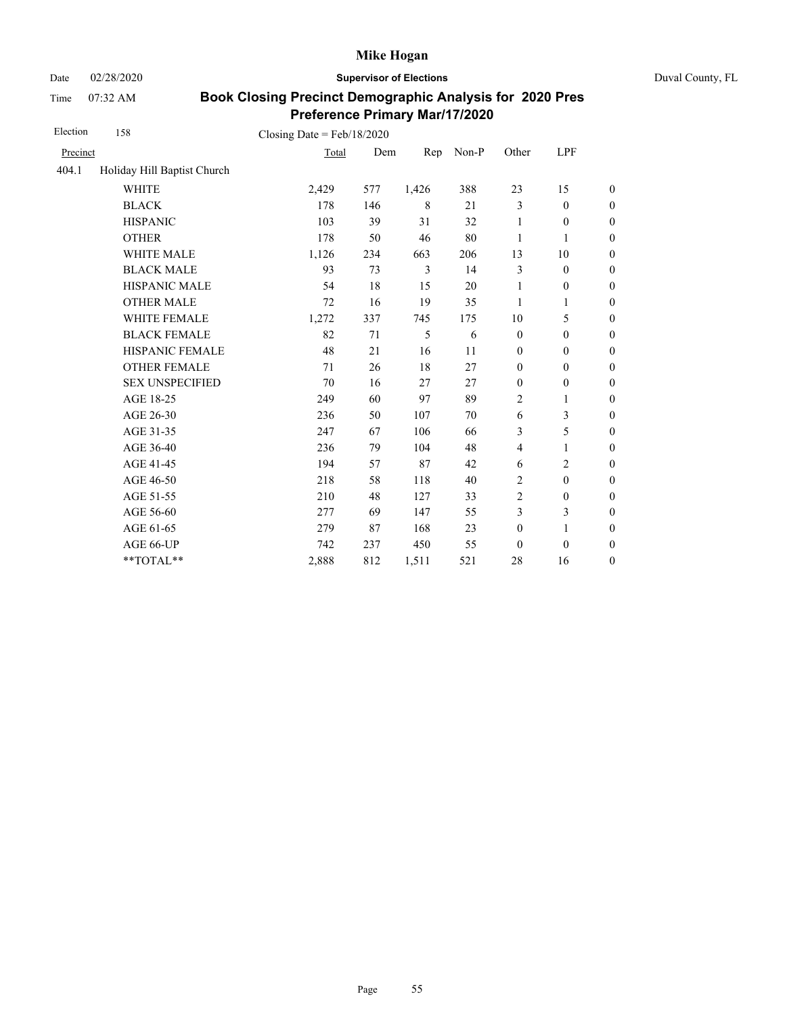Date 02/28/2020 **Supervisor of Elections** Duval County, FL

Time 07:32 AM

| Election | 158                         | Closing Date = $Feb/18/2020$ |     |       |       |                  |                  |                  |
|----------|-----------------------------|------------------------------|-----|-------|-------|------------------|------------------|------------------|
| Precinct |                             | Total                        | Dem | Rep   | Non-P | Other            | LPF              |                  |
| 404.1    | Holiday Hill Baptist Church |                              |     |       |       |                  |                  |                  |
|          | <b>WHITE</b>                | 2,429                        | 577 | 1,426 | 388   | 23               | 15               | $\boldsymbol{0}$ |
|          | <b>BLACK</b>                | 178                          | 146 | 8     | 21    | 3                | $\boldsymbol{0}$ | $\boldsymbol{0}$ |
|          | <b>HISPANIC</b>             | 103                          | 39  | 31    | 32    | 1                | $\mathbf{0}$     | $\boldsymbol{0}$ |
|          | <b>OTHER</b>                | 178                          | 50  | 46    | 80    | 1                | 1                | $\overline{0}$   |
|          | <b>WHITE MALE</b>           | 1,126                        | 234 | 663   | 206   | 13               | 10               | $\boldsymbol{0}$ |
|          | <b>BLACK MALE</b>           | 93                           | 73  | 3     | 14    | 3                | $\boldsymbol{0}$ | $\boldsymbol{0}$ |
|          | HISPANIC MALE               | 54                           | 18  | 15    | 20    | 1                | $\boldsymbol{0}$ | $\boldsymbol{0}$ |
|          | <b>OTHER MALE</b>           | 72                           | 16  | 19    | 35    | 1                | 1                | $\boldsymbol{0}$ |
|          | WHITE FEMALE                | 1,272                        | 337 | 745   | 175   | 10               | 5                | $\boldsymbol{0}$ |
|          | <b>BLACK FEMALE</b>         | 82                           | 71  | 5     | 6     | $\mathbf{0}$     | $\boldsymbol{0}$ | $\boldsymbol{0}$ |
|          | HISPANIC FEMALE             | 48                           | 21  | 16    | 11    | $\boldsymbol{0}$ | $\mathbf{0}$     | $\overline{0}$   |
|          | <b>OTHER FEMALE</b>         | 71                           | 26  | 18    | 27    | $\mathbf{0}$     | $\mathbf{0}$     | $\overline{0}$   |
|          | <b>SEX UNSPECIFIED</b>      | 70                           | 16  | 27    | 27    | $\boldsymbol{0}$ | $\boldsymbol{0}$ | $\boldsymbol{0}$ |
|          | AGE 18-25                   | 249                          | 60  | 97    | 89    | $\overline{c}$   | $\mathbf{1}$     | $\boldsymbol{0}$ |
|          | AGE 26-30                   | 236                          | 50  | 107   | 70    | 6                | 3                | $\boldsymbol{0}$ |
|          | AGE 31-35                   | 247                          | 67  | 106   | 66    | 3                | 5                | $\boldsymbol{0}$ |
|          | AGE 36-40                   | 236                          | 79  | 104   | 48    | $\overline{4}$   | 1                | $\boldsymbol{0}$ |
|          | AGE 41-45                   | 194                          | 57  | 87    | 42    | 6                | $\overline{c}$   | $\overline{0}$   |
|          | AGE 46-50                   | 218                          | 58  | 118   | 40    | 2                | $\boldsymbol{0}$ | $\boldsymbol{0}$ |
|          | AGE 51-55                   | 210                          | 48  | 127   | 33    | $\overline{2}$   | $\boldsymbol{0}$ | $\boldsymbol{0}$ |
|          | AGE 56-60                   | 277                          | 69  | 147   | 55    | 3                | 3                | $\boldsymbol{0}$ |
|          | AGE 61-65                   | 279                          | 87  | 168   | 23    | $\boldsymbol{0}$ | $\mathbf{1}$     | $\boldsymbol{0}$ |
|          | AGE 66-UP                   | 742                          | 237 | 450   | 55    | $\mathbf{0}$     | $\mathbf{0}$     | $\overline{0}$   |
|          | **TOTAL**                   | 2,888                        | 812 | 1,511 | 521   | 28               | 16               | $\overline{0}$   |
|          |                             |                              |     |       |       |                  |                  |                  |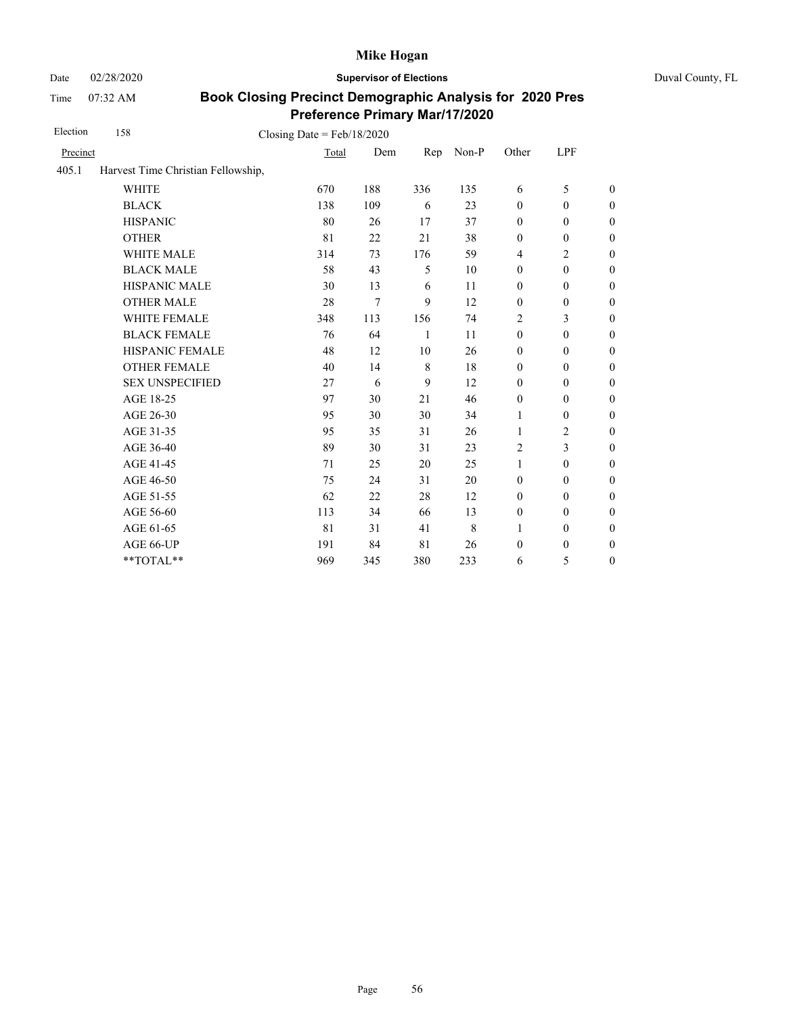Date 02/28/2020 **Supervisor of Elections** Duval County, FL

Time 07:32 AM

| Election | 158                                |       |     |              |       |                  |                         |                  |
|----------|------------------------------------|-------|-----|--------------|-------|------------------|-------------------------|------------------|
| Precinct |                                    | Total | Dem | Rep          | Non-P | Other            | LPF                     |                  |
| 405.1    | Harvest Time Christian Fellowship, |       |     |              |       |                  |                         |                  |
|          | <b>WHITE</b>                       | 670   | 188 | 336          | 135   | 6                | 5                       | $\overline{0}$   |
|          | <b>BLACK</b>                       | 138   | 109 | 6            | 23    | $\mathbf{0}$     | $\mathbf{0}$            | $\theta$         |
|          | <b>HISPANIC</b>                    | 80    | 26  | 17           | 37    | $\mathbf{0}$     | $\boldsymbol{0}$        | $\boldsymbol{0}$ |
|          | <b>OTHER</b>                       | 81    | 22  | 21           | 38    | $\boldsymbol{0}$ | $\boldsymbol{0}$        | $\boldsymbol{0}$ |
|          | WHITE MALE                         | 314   | 73  | 176          | 59    | 4                | $\overline{c}$          | $\boldsymbol{0}$ |
|          | <b>BLACK MALE</b>                  | 58    | 43  | 5            | 10    | $\boldsymbol{0}$ | $\boldsymbol{0}$        | $\boldsymbol{0}$ |
|          | <b>HISPANIC MALE</b>               | 30    | 13  | 6            | 11    | $\mathbf{0}$     | $\mathbf{0}$            | $\boldsymbol{0}$ |
|          | <b>OTHER MALE</b>                  | 28    | 7   | 9            | 12    | $\boldsymbol{0}$ | $\boldsymbol{0}$        | $\overline{0}$   |
|          | <b>WHITE FEMALE</b>                | 348   | 113 | 156          | 74    | 2                | 3                       | $\overline{0}$   |
|          | <b>BLACK FEMALE</b>                | 76    | 64  | $\mathbf{1}$ | 11    | $\mathbf{0}$     | $\mathbf{0}$            | $\overline{0}$   |
|          | HISPANIC FEMALE                    | 48    | 12  | 10           | 26    | $\boldsymbol{0}$ | $\boldsymbol{0}$        | $\boldsymbol{0}$ |
|          | <b>OTHER FEMALE</b>                | 40    | 14  | $\,8\,$      | 18    | $\mathbf{0}$     | $\boldsymbol{0}$        | $\boldsymbol{0}$ |
|          | <b>SEX UNSPECIFIED</b>             | 27    | 6   | 9            | 12    | $\mathbf{0}$     | $\boldsymbol{0}$        | $\boldsymbol{0}$ |
|          | AGE 18-25                          | 97    | 30  | 21           | 46    | $\mathbf{0}$     | $\mathbf{0}$            | $\boldsymbol{0}$ |
|          | AGE 26-30                          | 95    | 30  | 30           | 34    | 1                | $\boldsymbol{0}$        | $\overline{0}$   |
|          | AGE 31-35                          | 95    | 35  | 31           | 26    | 1                | $\overline{c}$          | $\boldsymbol{0}$ |
|          | AGE 36-40                          | 89    | 30  | 31           | 23    | $\overline{2}$   | $\overline{\mathbf{3}}$ | $\boldsymbol{0}$ |
|          | AGE 41-45                          | 71    | 25  | 20           | 25    | $\mathbf{1}$     | $\boldsymbol{0}$        | $\boldsymbol{0}$ |
|          | AGE 46-50                          | 75    | 24  | 31           | 20    | $\boldsymbol{0}$ | $\boldsymbol{0}$        | $\boldsymbol{0}$ |
|          | AGE 51-55                          | 62    | 22  | 28           | 12    | $\mathbf{0}$     | $\boldsymbol{0}$        | $\boldsymbol{0}$ |
|          | AGE 56-60                          | 113   | 34  | 66           | 13    | $\mathbf{0}$     | $\mathbf{0}$            | $\boldsymbol{0}$ |
|          | AGE 61-65                          | 81    | 31  | 41           | 8     | $\mathbf{1}$     | $\boldsymbol{0}$        | $\overline{0}$   |
|          | AGE 66-UP                          | 191   | 84  | 81           | 26    | $\boldsymbol{0}$ | $\boldsymbol{0}$        | $\boldsymbol{0}$ |
|          | **TOTAL**                          | 969   | 345 | 380          | 233   | 6                | 5                       | $\boldsymbol{0}$ |
|          |                                    |       |     |              |       |                  |                         |                  |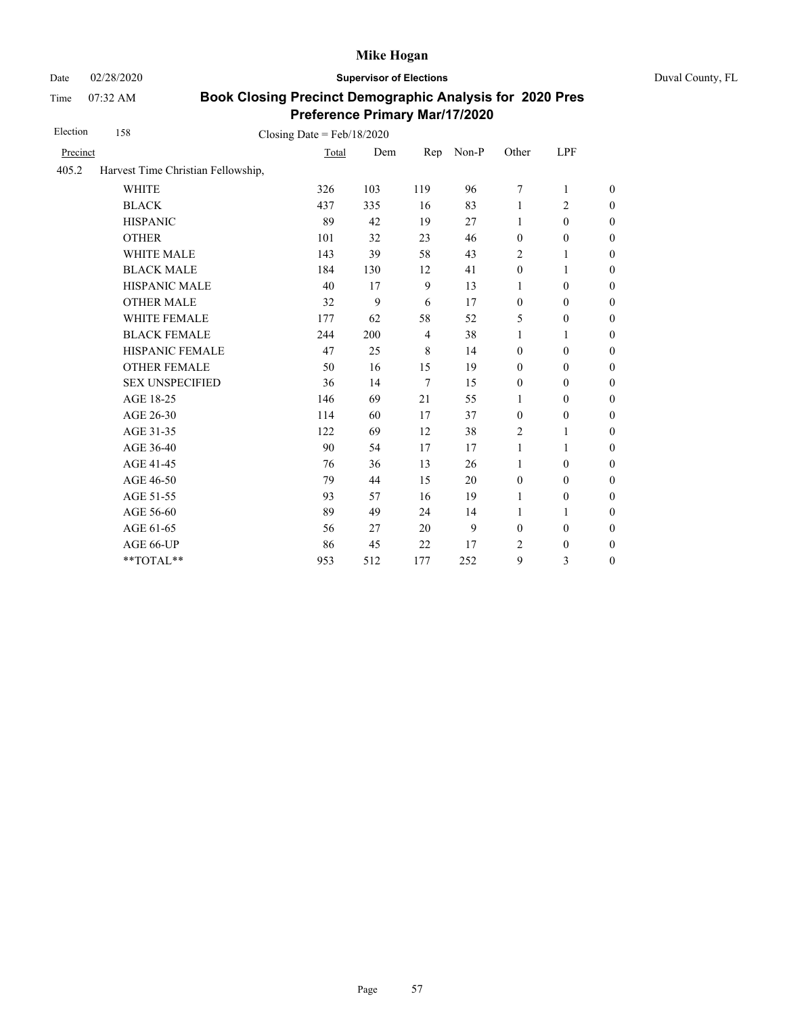Date 02/28/2020 **Supervisor of Elections** Duval County, FL

Time 07:32 AM

| Election | 158                                | Closing Date = $Feb/18/2020$ |     |                |       |                  |                  |                  |
|----------|------------------------------------|------------------------------|-----|----------------|-------|------------------|------------------|------------------|
| Precinct |                                    | Total                        | Dem | Rep            | Non-P | Other            | LPF              |                  |
| 405.2    | Harvest Time Christian Fellowship, |                              |     |                |       |                  |                  |                  |
|          | <b>WHITE</b>                       | 326                          | 103 | 119            | 96    | 7                | $\mathbf{1}$     | $\boldsymbol{0}$ |
|          | <b>BLACK</b>                       | 437                          | 335 | 16             | 83    | 1                | $\overline{c}$   | $\boldsymbol{0}$ |
|          | <b>HISPANIC</b>                    | 89                           | 42  | 19             | 27    | 1                | $\mathbf{0}$     | $\boldsymbol{0}$ |
|          | <b>OTHER</b>                       | 101                          | 32  | 23             | 46    | $\boldsymbol{0}$ | $\boldsymbol{0}$ | $\overline{0}$   |
|          | WHITE MALE                         | 143                          | 39  | 58             | 43    | 2                | 1                | $\boldsymbol{0}$ |
|          | <b>BLACK MALE</b>                  | 184                          | 130 | 12             | 41    | $\mathbf{0}$     | 1                | $\boldsymbol{0}$ |
|          | <b>HISPANIC MALE</b>               | 40                           | 17  | 9              | 13    | 1                | $\mathbf{0}$     | $\overline{0}$   |
|          | <b>OTHER MALE</b>                  | 32                           | 9   | 6              | 17    | $\mathbf{0}$     | $\mathbf{0}$     | $\overline{0}$   |
|          | WHITE FEMALE                       | 177                          | 62  | 58             | 52    | 5                | $\mathbf{0}$     | $\overline{0}$   |
|          | <b>BLACK FEMALE</b>                | 244                          | 200 | $\overline{4}$ | 38    | 1                | 1                | $\overline{0}$   |
|          | HISPANIC FEMALE                    | 47                           | 25  | $\,8\,$        | 14    | $\boldsymbol{0}$ | $\boldsymbol{0}$ | $\boldsymbol{0}$ |
|          | <b>OTHER FEMALE</b>                | 50                           | 16  | 15             | 19    | $\mathbf{0}$     | $\mathbf{0}$     | $\boldsymbol{0}$ |
|          | <b>SEX UNSPECIFIED</b>             | 36                           | 14  | $\tau$         | 15    | $\mathbf{0}$     | $\mathbf{0}$     | $\boldsymbol{0}$ |
|          | AGE 18-25                          | 146                          | 69  | 21             | 55    | 1                | $\mathbf{0}$     | $\boldsymbol{0}$ |
|          | AGE 26-30                          | 114                          | 60  | 17             | 37    | $\boldsymbol{0}$ | $\boldsymbol{0}$ | $\overline{0}$   |
|          | AGE 31-35                          | 122                          | 69  | 12             | 38    | 2                | 1                | $\boldsymbol{0}$ |
|          | AGE 36-40                          | 90                           | 54  | 17             | 17    | $\mathbf{1}$     | 1                | $\boldsymbol{0}$ |
|          | AGE 41-45                          | 76                           | 36  | 13             | 26    | $\mathbf{1}$     | $\boldsymbol{0}$ | $\overline{0}$   |
|          | AGE 46-50                          | 79                           | 44  | 15             | 20    | $\boldsymbol{0}$ | $\boldsymbol{0}$ | $\boldsymbol{0}$ |
|          | AGE 51-55                          | 93                           | 57  | 16             | 19    | 1                | $\boldsymbol{0}$ | $\boldsymbol{0}$ |
|          | AGE 56-60                          | 89                           | 49  | 24             | 14    | 1                | 1                | $\boldsymbol{0}$ |
|          | AGE 61-65                          | 56                           | 27  | 20             | 9     | $\boldsymbol{0}$ | $\boldsymbol{0}$ | $\boldsymbol{0}$ |
|          | AGE 66-UP                          | 86                           | 45  | 22             | 17    | 2                | $\boldsymbol{0}$ | $\boldsymbol{0}$ |
|          | **TOTAL**                          | 953                          | 512 | 177            | 252   | 9                | 3                | $\boldsymbol{0}$ |
|          |                                    |                              |     |                |       |                  |                  |                  |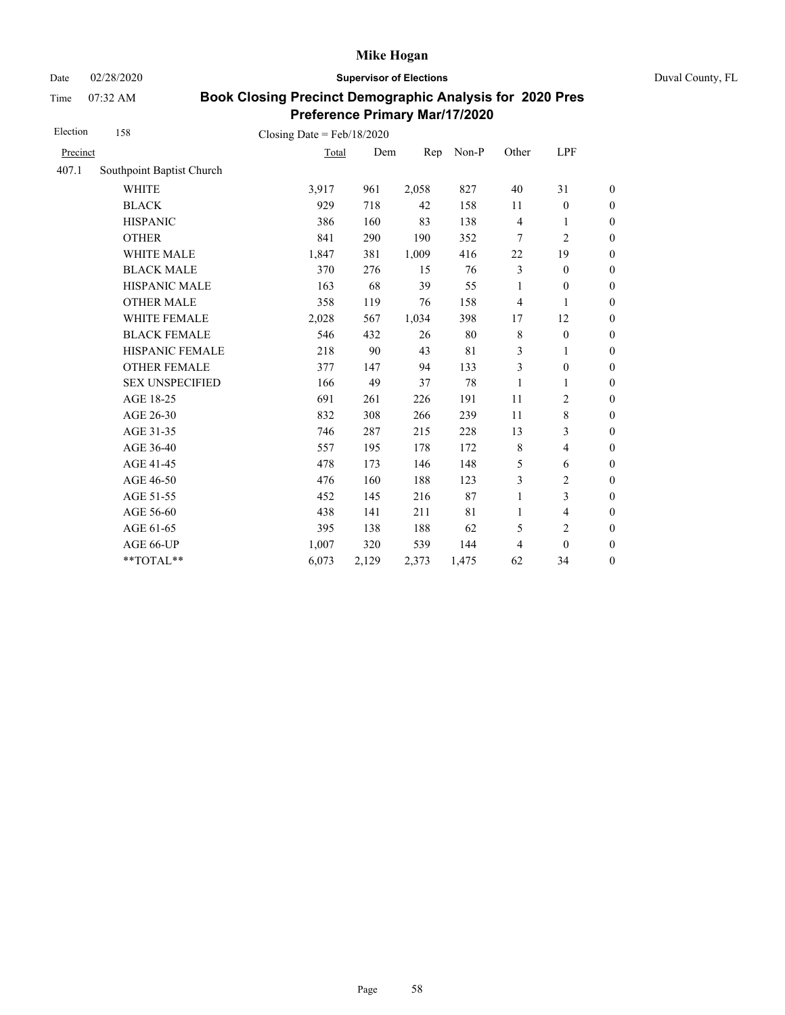Date 02/28/2020 **Supervisor of Elections** Duval County, FL

Time 07:32 AM

| Election | 158                       | Closing Date = $Feb/18/2020$ |       |       |       |                |                         |                  |
|----------|---------------------------|------------------------------|-------|-------|-------|----------------|-------------------------|------------------|
| Precinct |                           | Total                        | Dem   | Rep   | Non-P | Other          | LPF                     |                  |
| 407.1    | Southpoint Baptist Church |                              |       |       |       |                |                         |                  |
|          | <b>WHITE</b>              | 3,917                        | 961   | 2,058 | 827   | 40             | 31                      | $\boldsymbol{0}$ |
|          | <b>BLACK</b>              | 929                          | 718   | 42    | 158   | 11             | $\boldsymbol{0}$        | $\boldsymbol{0}$ |
|          | <b>HISPANIC</b>           | 386                          | 160   | 83    | 138   | $\overline{4}$ | 1                       | $\boldsymbol{0}$ |
|          | <b>OTHER</b>              | 841                          | 290   | 190   | 352   | 7              | $\overline{2}$          | $\overline{0}$   |
|          | WHITE MALE                | 1,847                        | 381   | 1,009 | 416   | 22             | 19                      | $\mathbf{0}$     |
|          | <b>BLACK MALE</b>         | 370                          | 276   | 15    | 76    | $\mathfrak{Z}$ | $\mathbf{0}$            | $\boldsymbol{0}$ |
|          | <b>HISPANIC MALE</b>      | 163                          | 68    | 39    | 55    | 1              | $\mathbf{0}$            | $\overline{0}$   |
|          | <b>OTHER MALE</b>         | 358                          | 119   | 76    | 158   | $\overline{4}$ | 1                       | $\theta$         |
|          | WHITE FEMALE              | 2,028                        | 567   | 1,034 | 398   | 17             | 12                      | $\boldsymbol{0}$ |
|          | <b>BLACK FEMALE</b>       | 546                          | 432   | 26    | 80    | $\,8\,$        | $\mathbf{0}$            | $\boldsymbol{0}$ |
|          | HISPANIC FEMALE           | 218                          | 90    | 43    | 81    | 3              | 1                       | $\mathbf{0}$     |
|          | <b>OTHER FEMALE</b>       | 377                          | 147   | 94    | 133   | 3              | $\boldsymbol{0}$        | $\boldsymbol{0}$ |
|          | <b>SEX UNSPECIFIED</b>    | 166                          | 49    | 37    | 78    | 1              | 1                       | $\mathbf{0}$     |
|          | AGE 18-25                 | 691                          | 261   | 226   | 191   | 11             | 2                       | $\mathbf{0}$     |
|          | AGE 26-30                 | 832                          | 308   | 266   | 239   | 11             | $\,$ $\,$               | $\mathbf{0}$     |
|          | AGE 31-35                 | 746                          | 287   | 215   | 228   | 13             | 3                       | $\boldsymbol{0}$ |
|          | AGE 36-40                 | 557                          | 195   | 178   | 172   | $\,$ 8 $\,$    | $\overline{4}$          | $\boldsymbol{0}$ |
|          | AGE 41-45                 | 478                          | 173   | 146   | 148   | 5              | 6                       | $\boldsymbol{0}$ |
|          | AGE 46-50                 | 476                          | 160   | 188   | 123   | 3              | 2                       | $\boldsymbol{0}$ |
|          | AGE 51-55                 | 452                          | 145   | 216   | 87    | $\mathbf{1}$   | 3                       | $\boldsymbol{0}$ |
|          | AGE 56-60                 | 438                          | 141   | 211   | 81    | 1              | $\overline{\mathbf{4}}$ | $\boldsymbol{0}$ |
|          | AGE 61-65                 | 395                          | 138   | 188   | 62    | 5              | $\overline{c}$          | $\boldsymbol{0}$ |
|          | AGE 66-UP                 | 1,007                        | 320   | 539   | 144   | $\overline{4}$ | $\mathbf{0}$            | $\boldsymbol{0}$ |
|          | **TOTAL**                 | 6,073                        | 2,129 | 2,373 | 1,475 | 62             | 34                      | $\boldsymbol{0}$ |
|          |                           |                              |       |       |       |                |                         |                  |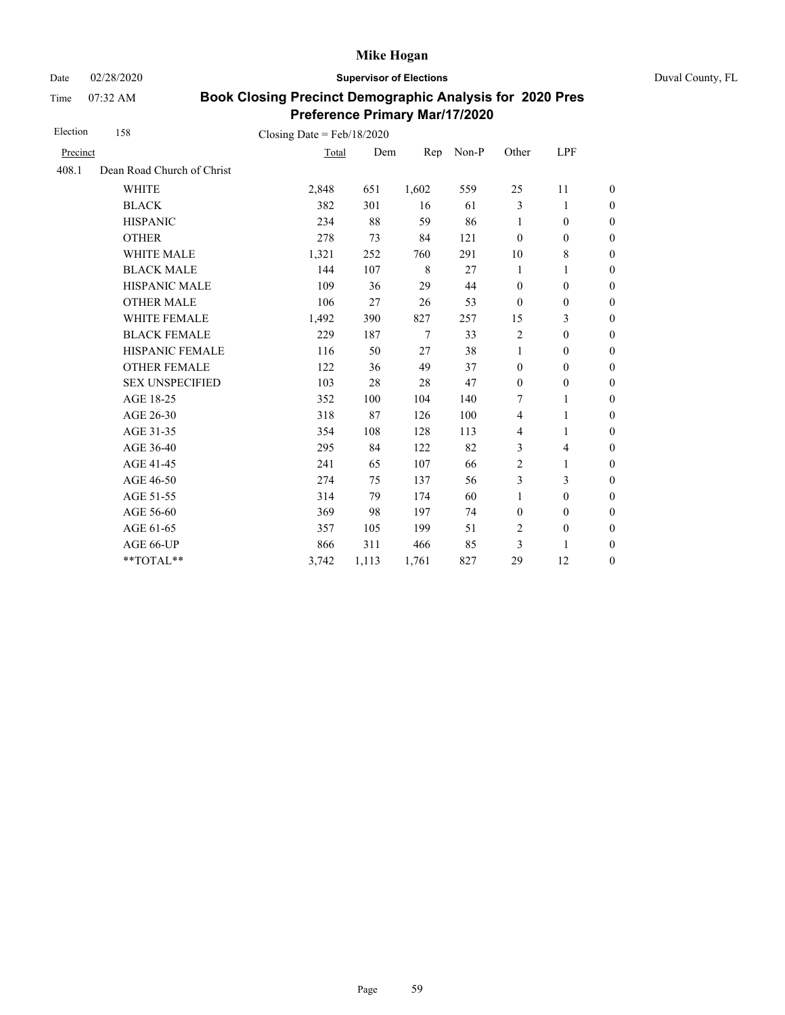Date 02/28/2020 **Supervisor of Elections** Duval County, FL

Time 07:32 AM

| Election | 158                        | Closing Date = $Feb/18/2020$ |       |        |       |                  |                  |                  |
|----------|----------------------------|------------------------------|-------|--------|-------|------------------|------------------|------------------|
| Precinct |                            | Total                        | Dem   | Rep    | Non-P | Other            | LPF              |                  |
| 408.1    | Dean Road Church of Christ |                              |       |        |       |                  |                  |                  |
|          | <b>WHITE</b>               | 2,848                        | 651   | 1,602  | 559   | 25               | 11               | $\boldsymbol{0}$ |
|          | <b>BLACK</b>               | 382                          | 301   | 16     | 61    | 3                | 1                | $\boldsymbol{0}$ |
|          | <b>HISPANIC</b>            | 234                          | 88    | 59     | 86    | 1                | $\mathbf{0}$     | $\boldsymbol{0}$ |
|          | <b>OTHER</b>               | 278                          | 73    | 84     | 121   | $\mathbf{0}$     | $\boldsymbol{0}$ | $\overline{0}$   |
|          | WHITE MALE                 | 1,321                        | 252   | 760    | 291   | 10               | 8                | $\boldsymbol{0}$ |
|          | <b>BLACK MALE</b>          | 144                          | 107   | 8      | 27    | 1                | 1                | $\boldsymbol{0}$ |
|          | <b>HISPANIC MALE</b>       | 109                          | 36    | 29     | 44    | $\mathbf{0}$     | $\mathbf{0}$     | $\overline{0}$   |
|          | <b>OTHER MALE</b>          | 106                          | 27    | 26     | 53    | $\mathbf{0}$     | $\mathbf{0}$     | $\boldsymbol{0}$ |
|          | WHITE FEMALE               | 1,492                        | 390   | 827    | 257   | 15               | 3                | $\mathbf{0}$     |
|          | <b>BLACK FEMALE</b>        | 229                          | 187   | $\tau$ | 33    | $\overline{2}$   | $\mathbf{0}$     | $\mathbf{0}$     |
|          | HISPANIC FEMALE            | 116                          | 50    | 27     | 38    | 1                | $\boldsymbol{0}$ | $\boldsymbol{0}$ |
|          | <b>OTHER FEMALE</b>        | 122                          | 36    | 49     | 37    | $\mathbf{0}$     | $\mathbf{0}$     | $\boldsymbol{0}$ |
|          | <b>SEX UNSPECIFIED</b>     | 103                          | 28    | 28     | 47    | $\mathbf{0}$     | $\mathbf{0}$     | $\boldsymbol{0}$ |
|          | AGE 18-25                  | 352                          | 100   | 104    | 140   | 7                | 1                | $\boldsymbol{0}$ |
|          | AGE 26-30                  | 318                          | 87    | 126    | 100   | $\overline{4}$   | $\mathbf{1}$     | $\overline{0}$   |
|          | AGE 31-35                  | 354                          | 108   | 128    | 113   | $\overline{4}$   | 1                | $\boldsymbol{0}$ |
|          | AGE 36-40                  | 295                          | 84    | 122    | 82    | 3                | $\overline{4}$   | $\boldsymbol{0}$ |
|          | AGE 41-45                  | 241                          | 65    | 107    | 66    | $\overline{2}$   | $\mathbf{1}$     | $\boldsymbol{0}$ |
|          | AGE 46-50                  | 274                          | 75    | 137    | 56    | 3                | 3                | $\boldsymbol{0}$ |
|          | AGE 51-55                  | 314                          | 79    | 174    | 60    | $\mathbf{1}$     | $\mathbf{0}$     | $\boldsymbol{0}$ |
|          | AGE 56-60                  | 369                          | 98    | 197    | 74    | $\boldsymbol{0}$ | $\mathbf{0}$     | $\boldsymbol{0}$ |
|          | AGE 61-65                  | 357                          | 105   | 199    | 51    | $\overline{2}$   | $\boldsymbol{0}$ | $\boldsymbol{0}$ |
|          | AGE 66-UP                  | 866                          | 311   | 466    | 85    | 3                | 1                | $\boldsymbol{0}$ |
|          | **TOTAL**                  | 3,742                        | 1,113 | 1,761  | 827   | 29               | 12               | $\boldsymbol{0}$ |
|          |                            |                              |       |        |       |                  |                  |                  |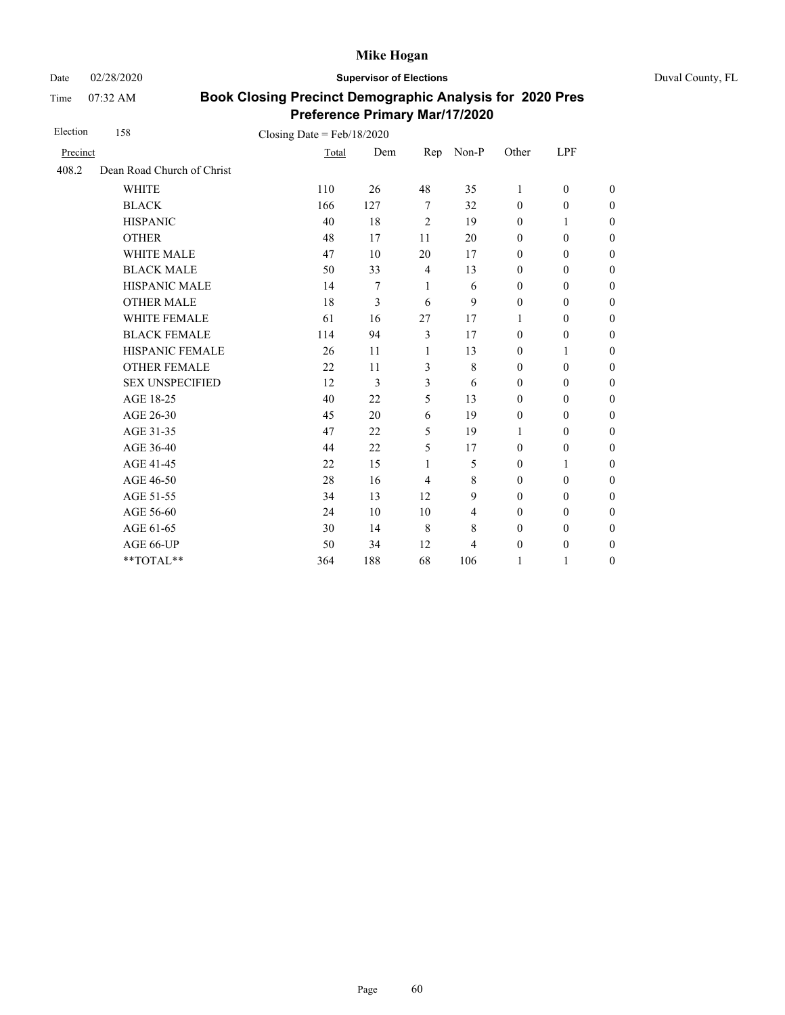Date 02/28/2020 **Supervisor of Elections** Duval County, FL

Time 07:32 AM

| Election | 158                        | Closing Date = $Feb/18/2020$ |     |                |                |                  |                  |                  |
|----------|----------------------------|------------------------------|-----|----------------|----------------|------------------|------------------|------------------|
| Precinct |                            | Total                        | Dem | Rep            | Non-P          | Other            | LPF              |                  |
| 408.2    | Dean Road Church of Christ |                              |     |                |                |                  |                  |                  |
|          | <b>WHITE</b>               | 110                          | 26  | 48             | 35             | 1                | $\mathbf{0}$     | $\overline{0}$   |
|          | <b>BLACK</b>               | 166                          | 127 | 7              | 32             | $\mathbf{0}$     | $\mathbf{0}$     | $\boldsymbol{0}$ |
|          | <b>HISPANIC</b>            | 40                           | 18  | $\overline{2}$ | 19             | $\mathbf{0}$     | 1                | $\overline{0}$   |
|          | <b>OTHER</b>               | 48                           | 17  | 11             | 20             | $\mathbf{0}$     | $\mathbf{0}$     | $\overline{0}$   |
|          | WHITE MALE                 | 47                           | 10  | 20             | 17             | $\boldsymbol{0}$ | $\mathbf{0}$     | $\boldsymbol{0}$ |
|          | <b>BLACK MALE</b>          | 50                           | 33  | $\overline{4}$ | 13             | $\mathbf{0}$     | $\mathbf{0}$     | $\boldsymbol{0}$ |
|          | <b>HISPANIC MALE</b>       | 14                           | 7   | 1              | 6              | $\mathbf{0}$     | $\boldsymbol{0}$ | $\boldsymbol{0}$ |
|          | <b>OTHER MALE</b>          | 18                           | 3   | 6              | 9              | $\boldsymbol{0}$ | $\boldsymbol{0}$ | $\boldsymbol{0}$ |
|          | <b>WHITE FEMALE</b>        | 61                           | 16  | 27             | 17             | 1                | $\mathbf{0}$     | $\boldsymbol{0}$ |
|          | <b>BLACK FEMALE</b>        | 114                          | 94  | $\mathfrak{Z}$ | 17             | $\mathbf{0}$     | $\boldsymbol{0}$ | $\boldsymbol{0}$ |
|          | HISPANIC FEMALE            | 26                           | 11  | 1              | 13             | $\boldsymbol{0}$ | 1                | $\boldsymbol{0}$ |
|          | <b>OTHER FEMALE</b>        | 22                           | 11  | 3              | 8              | $\mathbf{0}$     | $\mathbf{0}$     | $\overline{0}$   |
|          | <b>SEX UNSPECIFIED</b>     | 12                           | 3   | 3              | 6              | $\boldsymbol{0}$ | $\boldsymbol{0}$ | $\boldsymbol{0}$ |
|          | AGE 18-25                  | 40                           | 22  | 5              | 13             | $\mathbf{0}$     | $\mathbf{0}$     | $\boldsymbol{0}$ |
|          | AGE 26-30                  | 45                           | 20  | 6              | 19             | $\mathbf{0}$     | $\mathbf{0}$     | $\overline{0}$   |
|          | AGE 31-35                  | 47                           | 22  | 5              | 19             | 1                | $\mathbf{0}$     | $\boldsymbol{0}$ |
|          | AGE 36-40                  | 44                           | 22  | 5              | 17             | $\mathbf{0}$     | $\mathbf{0}$     | $\boldsymbol{0}$ |
|          | AGE 41-45                  | 22                           | 15  | 1              | 5              | $\mathbf{0}$     | 1                | $\overline{0}$   |
|          | AGE 46-50                  | 28                           | 16  | $\overline{4}$ | 8              | $\boldsymbol{0}$ | $\boldsymbol{0}$ | $\boldsymbol{0}$ |
|          | AGE 51-55                  | 34                           | 13  | 12             | 9              | $\mathbf{0}$     | $\boldsymbol{0}$ | $\boldsymbol{0}$ |
|          | AGE 56-60                  | 24                           | 10  | 10             | $\overline{4}$ | $\mathbf{0}$     | $\mathbf{0}$     | $\boldsymbol{0}$ |
|          | AGE 61-65                  | 30                           | 14  | 8              | 8              | $\boldsymbol{0}$ | $\boldsymbol{0}$ | $\boldsymbol{0}$ |
|          | AGE 66-UP                  | 50                           | 34  | 12             | 4              | $\boldsymbol{0}$ | $\boldsymbol{0}$ | $\boldsymbol{0}$ |
|          | **TOTAL**                  | 364                          | 188 | 68             | 106            | 1                | $\mathbf{1}$     | $\boldsymbol{0}$ |
|          |                            |                              |     |                |                |                  |                  |                  |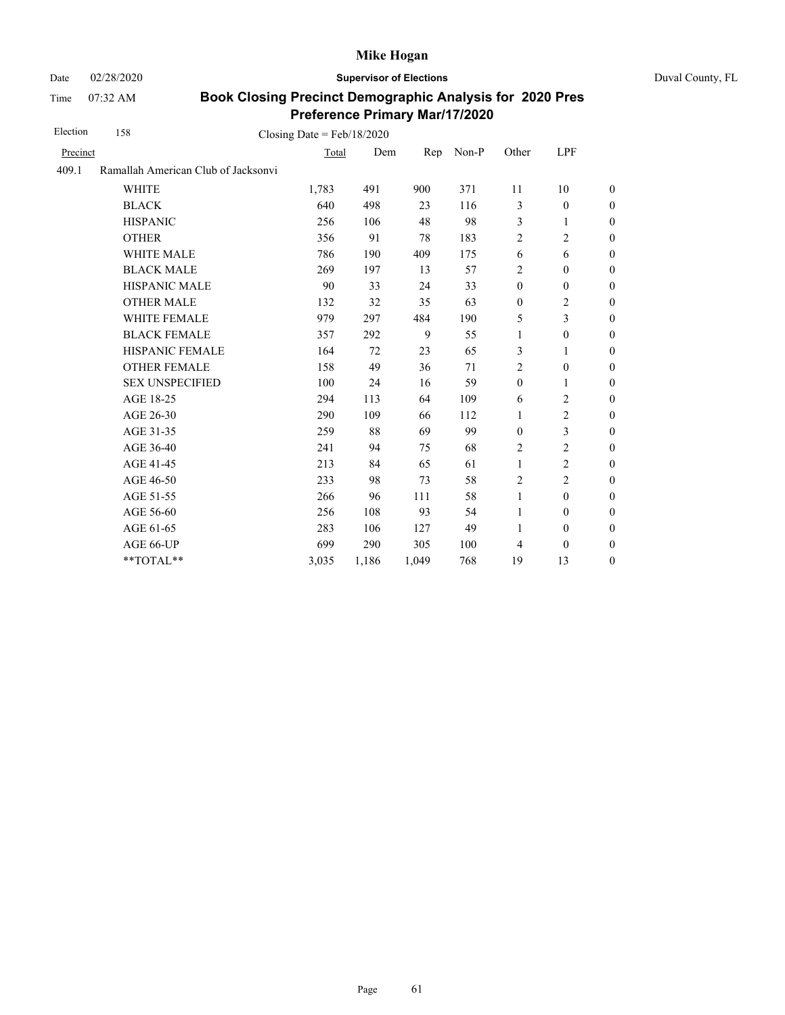Date 02/28/2020 **Supervisor of Elections** Duval County, FL

Time 07:32 AM

| Election | 158<br>Closing Date = $Feb/18/2020$ |       |       |       |       |                  |                  |                  |
|----------|-------------------------------------|-------|-------|-------|-------|------------------|------------------|------------------|
| Precinct |                                     | Total | Dem   | Rep   | Non-P | Other            | LPF              |                  |
| 409.1    | Ramallah American Club of Jacksonvi |       |       |       |       |                  |                  |                  |
|          | <b>WHITE</b>                        | 1,783 | 491   | 900   | 371   | 11               | 10               | $\overline{0}$   |
|          | <b>BLACK</b>                        | 640   | 498   | 23    | 116   | 3                | $\mathbf{0}$     | $\boldsymbol{0}$ |
|          | <b>HISPANIC</b>                     | 256   | 106   | 48    | 98    | 3                | 1                | $\boldsymbol{0}$ |
|          | <b>OTHER</b>                        | 356   | 91    | 78    | 183   | $\overline{2}$   | $\overline{2}$   | $\theta$         |
|          | <b>WHITE MALE</b>                   | 786   | 190   | 409   | 175   | 6                | 6                | $\boldsymbol{0}$ |
|          | <b>BLACK MALE</b>                   | 269   | 197   | 13    | 57    | $\overline{2}$   | $\mathbf{0}$     | $\boldsymbol{0}$ |
|          | <b>HISPANIC MALE</b>                | 90    | 33    | 24    | 33    | $\mathbf{0}$     | $\mathbf{0}$     | $\theta$         |
|          | <b>OTHER MALE</b>                   | 132   | 32    | 35    | 63    | $\boldsymbol{0}$ | 2                | $\boldsymbol{0}$ |
|          | WHITE FEMALE                        | 979   | 297   | 484   | 190   | 5                | 3                | $\boldsymbol{0}$ |
|          | <b>BLACK FEMALE</b>                 | 357   | 292   | 9     | 55    | 1                | $\boldsymbol{0}$ | $\boldsymbol{0}$ |
|          | HISPANIC FEMALE                     | 164   | 72    | 23    | 65    | 3                | 1                | $\boldsymbol{0}$ |
|          | <b>OTHER FEMALE</b>                 | 158   | 49    | 36    | 71    | $\overline{2}$   | $\boldsymbol{0}$ | $\boldsymbol{0}$ |
|          | <b>SEX UNSPECIFIED</b>              | 100   | 24    | 16    | 59    | $\boldsymbol{0}$ | 1                | $\boldsymbol{0}$ |
|          | AGE 18-25                           | 294   | 113   | 64    | 109   | 6                | 2                | $\boldsymbol{0}$ |
|          | AGE 26-30                           | 290   | 109   | 66    | 112   | 1                | $\overline{2}$   | $\overline{0}$   |
|          | AGE 31-35                           | 259   | 88    | 69    | 99    | $\boldsymbol{0}$ | 3                | $\boldsymbol{0}$ |
|          | AGE 36-40                           | 241   | 94    | 75    | 68    | 2                | $\overline{2}$   | $\boldsymbol{0}$ |
|          | AGE 41-45                           | 213   | 84    | 65    | 61    | $\mathbf{1}$     | $\overline{2}$   | $\theta$         |
|          | AGE 46-50                           | 233   | 98    | 73    | 58    | $\overline{2}$   | $\overline{2}$   | $\overline{0}$   |
|          | AGE 51-55                           | 266   | 96    | 111   | 58    | $\mathbf{1}$     | $\overline{0}$   | $\boldsymbol{0}$ |
|          | AGE 56-60                           | 256   | 108   | 93    | 54    | $\mathbf{1}$     | $\mathbf{0}$     | $\boldsymbol{0}$ |
|          | AGE 61-65                           | 283   | 106   | 127   | 49    | 1                | $\boldsymbol{0}$ | $\theta$         |
|          | AGE 66-UP                           | 699   | 290   | 305   | 100   | 4                | $\boldsymbol{0}$ | $\boldsymbol{0}$ |
|          | **TOTAL**                           | 3,035 | 1,186 | 1,049 | 768   | 19               | 13               | $\boldsymbol{0}$ |
|          |                                     |       |       |       |       |                  |                  |                  |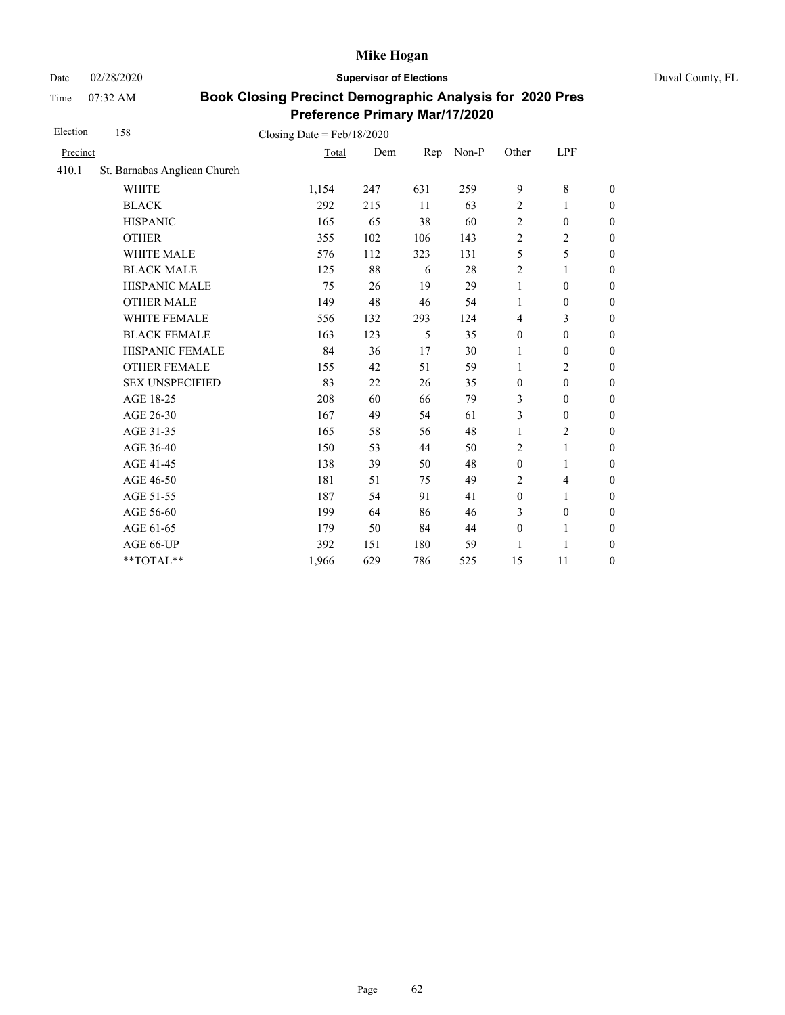Date 02/28/2020 **Supervisor of Elections** Duval County, FL

Time 07:32 AM

| Election | 158                          | Closing Date = $Feb/18/2020$ |     |     |       |                  |                          |                  |
|----------|------------------------------|------------------------------|-----|-----|-------|------------------|--------------------------|------------------|
| Precinct |                              | Total                        | Dem | Rep | Non-P | Other            | LPF                      |                  |
| 410.1    | St. Barnabas Anglican Church |                              |     |     |       |                  |                          |                  |
|          | <b>WHITE</b>                 | 1,154                        | 247 | 631 | 259   | 9                | 8                        | $\boldsymbol{0}$ |
|          | <b>BLACK</b>                 | 292                          | 215 | 11  | 63    | $\overline{2}$   | 1                        | $\boldsymbol{0}$ |
|          | <b>HISPANIC</b>              | 165                          | 65  | 38  | 60    | $\overline{2}$   | $\boldsymbol{0}$         | $\boldsymbol{0}$ |
|          | <b>OTHER</b>                 | 355                          | 102 | 106 | 143   | $\overline{2}$   | $\mathbf{2}$             | $\boldsymbol{0}$ |
|          | WHITE MALE                   | 576                          | 112 | 323 | 131   | 5                | 5                        | $\boldsymbol{0}$ |
|          | <b>BLACK MALE</b>            | 125                          | 88  | 6   | 28    | $\sqrt{2}$       | 1                        | $\boldsymbol{0}$ |
|          | <b>HISPANIC MALE</b>         | 75                           | 26  | 19  | 29    | $\mathbf{1}$     | $\boldsymbol{0}$         | $\overline{0}$   |
|          | <b>OTHER MALE</b>            | 149                          | 48  | 46  | 54    | 1                | $\boldsymbol{0}$         | $\boldsymbol{0}$ |
|          | WHITE FEMALE                 | 556                          | 132 | 293 | 124   | $\overline{4}$   | 3                        | $\boldsymbol{0}$ |
|          | <b>BLACK FEMALE</b>          | 163                          | 123 | 5   | 35    | $\boldsymbol{0}$ | $\boldsymbol{0}$         | $\boldsymbol{0}$ |
|          | HISPANIC FEMALE              | 84                           | 36  | 17  | 30    | 1                | $\boldsymbol{0}$         | $\boldsymbol{0}$ |
|          | <b>OTHER FEMALE</b>          | 155                          | 42  | 51  | 59    | 1                | $\overline{c}$           | $\boldsymbol{0}$ |
|          | <b>SEX UNSPECIFIED</b>       | 83                           | 22  | 26  | 35    | $\boldsymbol{0}$ | $\boldsymbol{0}$         | $\boldsymbol{0}$ |
|          | AGE 18-25                    | 208                          | 60  | 66  | 79    | 3                | $\boldsymbol{0}$         | $\boldsymbol{0}$ |
|          | AGE 26-30                    | 167                          | 49  | 54  | 61    | 3                | $\boldsymbol{0}$         | $\boldsymbol{0}$ |
|          | AGE 31-35                    | 165                          | 58  | 56  | 48    | 1                | 2                        | $\boldsymbol{0}$ |
|          | AGE 36-40                    | 150                          | 53  | 44  | 50    | $\sqrt{2}$       | $\mathbf{1}$             | $\boldsymbol{0}$ |
|          | AGE 41-45                    | 138                          | 39  | 50  | 48    | $\boldsymbol{0}$ | $\mathbf{1}$             | $\overline{0}$   |
|          | AGE 46-50                    | 181                          | 51  | 75  | 49    | 2                | $\overline{\mathcal{L}}$ | $\boldsymbol{0}$ |
|          | AGE 51-55                    | 187                          | 54  | 91  | 41    | $\boldsymbol{0}$ | 1                        | $\boldsymbol{0}$ |
|          | AGE 56-60                    | 199                          | 64  | 86  | 46    | 3                | $\boldsymbol{0}$         | $\overline{0}$   |
|          | AGE 61-65                    | 179                          | 50  | 84  | 44    | $\boldsymbol{0}$ | $\mathbf{1}$             | $\boldsymbol{0}$ |
|          | AGE 66-UP                    | 392                          | 151 | 180 | 59    | 1                | 1                        | $\overline{0}$   |
|          | **TOTAL**                    | 1,966                        | 629 | 786 | 525   | 15               | 11                       | $\boldsymbol{0}$ |
|          |                              |                              |     |     |       |                  |                          |                  |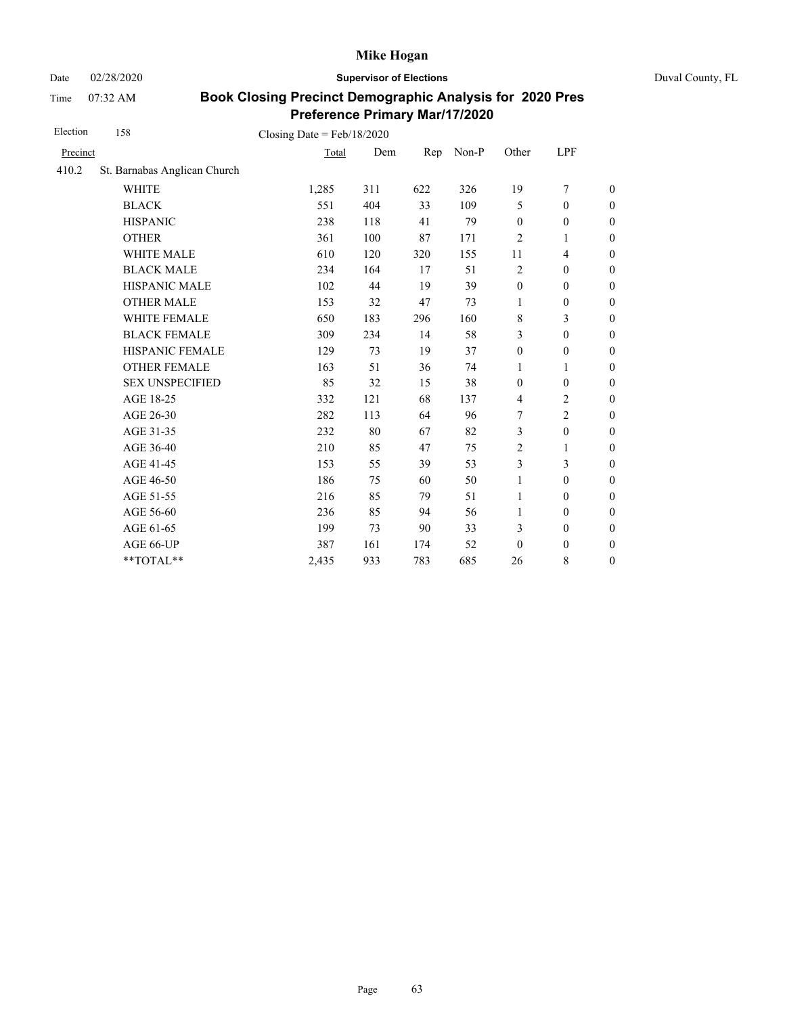Date 02/28/2020 **Supervisor of Elections** Duval County, FL

Time 07:32 AM

| Election | 158                          | Closing Date = $Feb/18/2020$ |     |     |       |                  |                  |                  |
|----------|------------------------------|------------------------------|-----|-----|-------|------------------|------------------|------------------|
| Precinct |                              | Total                        | Dem | Rep | Non-P | Other            | LPF              |                  |
| 410.2    | St. Barnabas Anglican Church |                              |     |     |       |                  |                  |                  |
|          | <b>WHITE</b>                 | 1,285                        | 311 | 622 | 326   | 19               | 7                | $\boldsymbol{0}$ |
|          | <b>BLACK</b>                 | 551                          | 404 | 33  | 109   | 5                | $\mathbf{0}$     | $\boldsymbol{0}$ |
|          | <b>HISPANIC</b>              | 238                          | 118 | 41  | 79    | $\boldsymbol{0}$ | $\boldsymbol{0}$ | $\boldsymbol{0}$ |
|          | <b>OTHER</b>                 | 361                          | 100 | 87  | 171   | $\overline{2}$   | 1                | $\boldsymbol{0}$ |
|          | WHITE MALE                   | 610                          | 120 | 320 | 155   | 11               | $\overline{4}$   | $\boldsymbol{0}$ |
|          | <b>BLACK MALE</b>            | 234                          | 164 | 17  | 51    | $\sqrt{2}$       | $\mathbf{0}$     | $\boldsymbol{0}$ |
|          | <b>HISPANIC MALE</b>         | 102                          | 44  | 19  | 39    | $\boldsymbol{0}$ | $\boldsymbol{0}$ | $\overline{0}$   |
|          | <b>OTHER MALE</b>            | 153                          | 32  | 47  | 73    | 1                | $\mathbf{0}$     | $\boldsymbol{0}$ |
|          | WHITE FEMALE                 | 650                          | 183 | 296 | 160   | $\,8\,$          | 3                | $\boldsymbol{0}$ |
|          | <b>BLACK FEMALE</b>          | 309                          | 234 | 14  | 58    | 3                | $\mathbf{0}$     | $\boldsymbol{0}$ |
|          | HISPANIC FEMALE              | 129                          | 73  | 19  | 37    | $\boldsymbol{0}$ | $\boldsymbol{0}$ | $\boldsymbol{0}$ |
|          | <b>OTHER FEMALE</b>          | 163                          | 51  | 36  | 74    | 1                | 1                | $\boldsymbol{0}$ |
|          | <b>SEX UNSPECIFIED</b>       | 85                           | 32  | 15  | 38    | $\mathbf{0}$     | $\mathbf{0}$     | $\boldsymbol{0}$ |
|          | AGE 18-25                    | 332                          | 121 | 68  | 137   | $\overline{4}$   | 2                | $\boldsymbol{0}$ |
|          | AGE 26-30                    | 282                          | 113 | 64  | 96    | 7                | $\overline{2}$   | $\boldsymbol{0}$ |
|          | AGE 31-35                    | 232                          | 80  | 67  | 82    | 3                | $\boldsymbol{0}$ | $\boldsymbol{0}$ |
|          | AGE 36-40                    | 210                          | 85  | 47  | 75    | 2                | 1                | $\boldsymbol{0}$ |
|          | AGE 41-45                    | 153                          | 55  | 39  | 53    | 3                | 3                | $\overline{0}$   |
|          | AGE 46-50                    | 186                          | 75  | 60  | 50    | $\mathbf{1}$     | $\mathbf{0}$     | $\boldsymbol{0}$ |
|          | AGE 51-55                    | 216                          | 85  | 79  | 51    | 1                | $\mathbf{0}$     | $\boldsymbol{0}$ |
|          | AGE 56-60                    | 236                          | 85  | 94  | 56    | 1                | $\mathbf{0}$     | $\overline{0}$   |
|          | AGE 61-65                    | 199                          | 73  | 90  | 33    | 3                | $\boldsymbol{0}$ | $\boldsymbol{0}$ |
|          | AGE 66-UP                    | 387                          | 161 | 174 | 52    | $\mathbf{0}$     | $\boldsymbol{0}$ | $\boldsymbol{0}$ |
|          | **TOTAL**                    | 2,435                        | 933 | 783 | 685   | 26               | 8                | $\boldsymbol{0}$ |
|          |                              |                              |     |     |       |                  |                  |                  |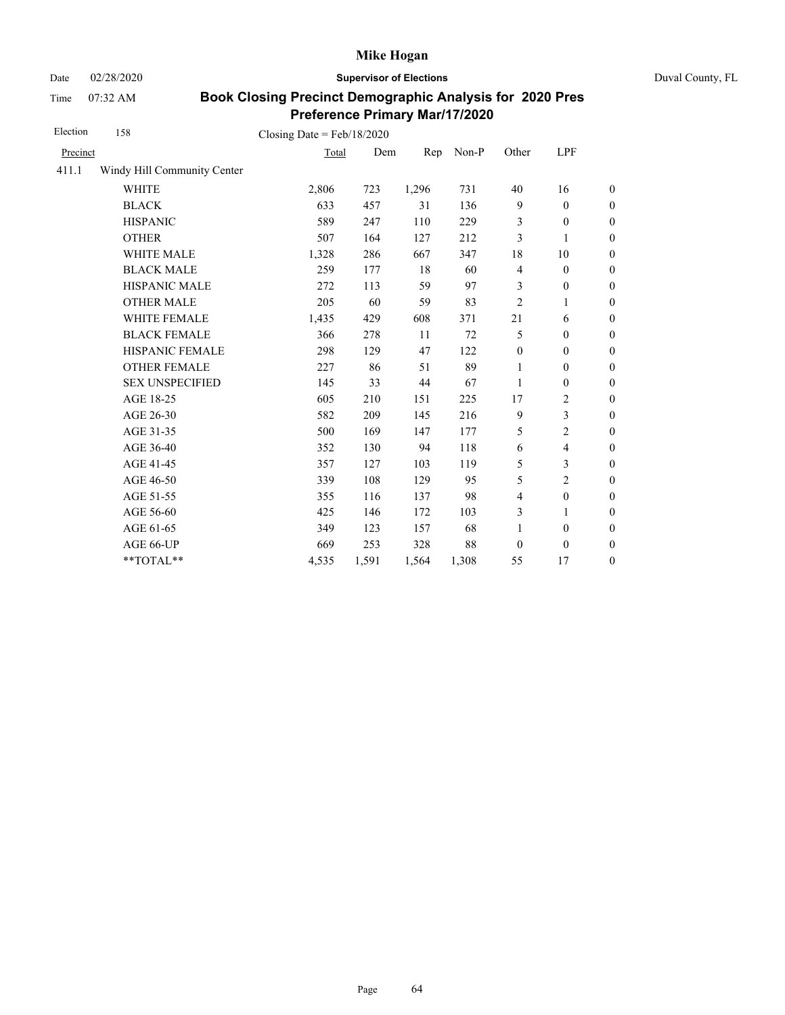Date 02/28/2020 **Supervisor of Elections** Duval County, FL

Time 07:32 AM

| Election | 158                         | Closing Date = $Feb/18/2020$ |       |       |       |                          |                  |                  |
|----------|-----------------------------|------------------------------|-------|-------|-------|--------------------------|------------------|------------------|
| Precinct |                             | Total                        | Dem   | Rep   | Non-P | Other                    | LPF              |                  |
| 411.1    | Windy Hill Community Center |                              |       |       |       |                          |                  |                  |
|          | <b>WHITE</b>                | 2,806                        | 723   | 1,296 | 731   | 40                       | 16               | $\boldsymbol{0}$ |
|          | <b>BLACK</b>                | 633                          | 457   | 31    | 136   | 9                        | $\theta$         | $\mathbf{0}$     |
|          | <b>HISPANIC</b>             | 589                          | 247   | 110   | 229   | 3                        | $\boldsymbol{0}$ | $\boldsymbol{0}$ |
|          | <b>OTHER</b>                | 507                          | 164   | 127   | 212   | 3                        | 1                | $\boldsymbol{0}$ |
|          | <b>WHITE MALE</b>           | 1,328                        | 286   | 667   | 347   | 18                       | 10               | $\boldsymbol{0}$ |
|          | <b>BLACK MALE</b>           | 259                          | 177   | 18    | 60    | $\overline{4}$           | $\boldsymbol{0}$ | $\boldsymbol{0}$ |
|          | HISPANIC MALE               | 272                          | 113   | 59    | 97    | 3                        | $\boldsymbol{0}$ | $\boldsymbol{0}$ |
|          | <b>OTHER MALE</b>           | 205                          | 60    | 59    | 83    | $\overline{c}$           | 1                | $\boldsymbol{0}$ |
|          | WHITE FEMALE                | 1,435                        | 429   | 608   | 371   | 21                       | 6                | $\boldsymbol{0}$ |
|          | <b>BLACK FEMALE</b>         | 366                          | 278   | 11    | 72    | 5                        | $\boldsymbol{0}$ | $\boldsymbol{0}$ |
|          | HISPANIC FEMALE             | 298                          | 129   | 47    | 122   | $\boldsymbol{0}$         | $\boldsymbol{0}$ | $\boldsymbol{0}$ |
|          | <b>OTHER FEMALE</b>         | 227                          | 86    | 51    | 89    | 1                        | 0                | $\boldsymbol{0}$ |
|          | <b>SEX UNSPECIFIED</b>      | 145                          | 33    | 44    | 67    | 1                        | $\boldsymbol{0}$ | $\boldsymbol{0}$ |
|          | AGE 18-25                   | 605                          | 210   | 151   | 225   | 17                       | $\overline{c}$   | $\boldsymbol{0}$ |
|          | AGE 26-30                   | 582                          | 209   | 145   | 216   | 9                        | 3                | $\boldsymbol{0}$ |
|          | AGE 31-35                   | 500                          | 169   | 147   | 177   | 5                        | 2                | $\boldsymbol{0}$ |
|          | AGE 36-40                   | 352                          | 130   | 94    | 118   | 6                        | 4                | $\boldsymbol{0}$ |
|          | AGE 41-45                   | 357                          | 127   | 103   | 119   | 5                        | 3                | $\boldsymbol{0}$ |
|          | AGE 46-50                   | 339                          | 108   | 129   | 95    | 5                        | $\overline{c}$   | $\boldsymbol{0}$ |
|          | AGE 51-55                   | 355                          | 116   | 137   | 98    | $\overline{\mathcal{L}}$ | $\boldsymbol{0}$ | $\boldsymbol{0}$ |
|          | AGE 56-60                   | 425                          | 146   | 172   | 103   | 3                        | $\mathbf{1}$     | $\boldsymbol{0}$ |
|          | AGE 61-65                   | 349                          | 123   | 157   | 68    | $\mathbf{1}$             | $\boldsymbol{0}$ | $\boldsymbol{0}$ |
|          | AGE 66-UP                   | 669                          | 253   | 328   | 88    | $\mathbf{0}$             | $\boldsymbol{0}$ | $\boldsymbol{0}$ |
|          | **TOTAL**                   | 4,535                        | 1,591 | 1,564 | 1,308 | 55                       | 17               | $\boldsymbol{0}$ |
|          |                             |                              |       |       |       |                          |                  |                  |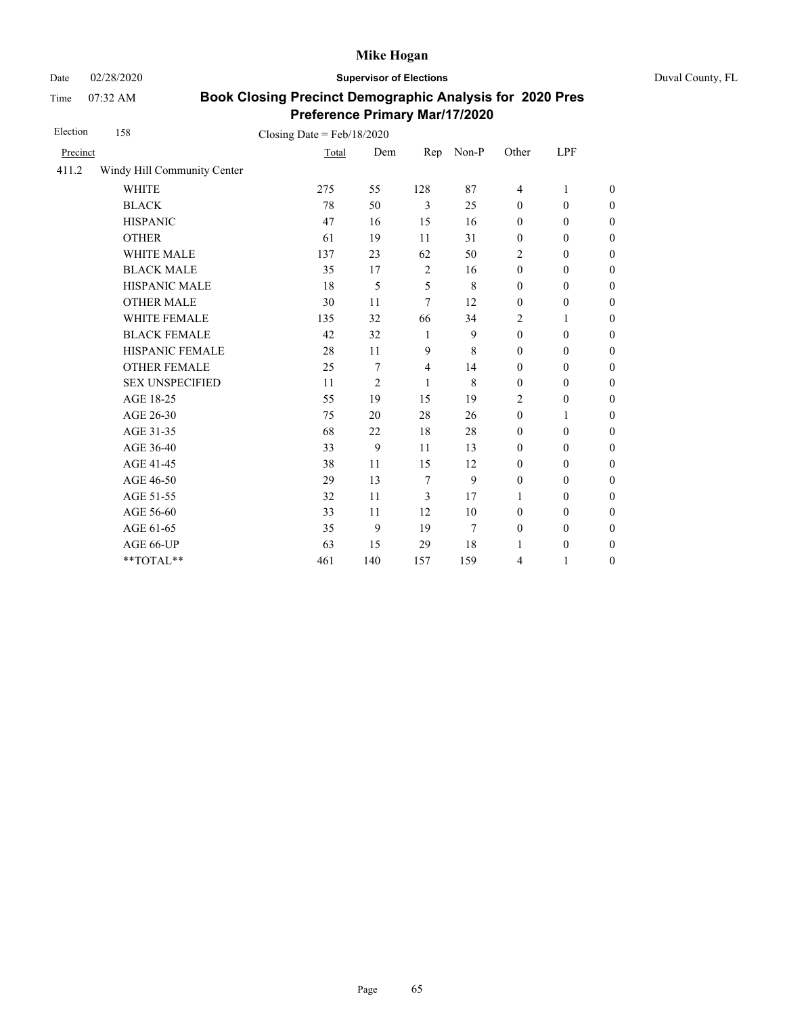Date 02/28/2020 **Supervisor of Elections** Duval County, FL

Time 07:32 AM

| Election | 158                         | Closing Date = $Feb/18/2020$ |                |                |         |                  |                  |                  |
|----------|-----------------------------|------------------------------|----------------|----------------|---------|------------------|------------------|------------------|
| Precinct |                             | Total                        | Dem            | Rep            | $Non-P$ | Other            | <b>LPF</b>       |                  |
| 411.2    | Windy Hill Community Center |                              |                |                |         |                  |                  |                  |
|          | <b>WHITE</b>                | 275                          | 55             | 128            | 87      | 4                | 1                | $\theta$         |
|          | <b>BLACK</b>                | 78                           | 50             | 3              | 25      | $\boldsymbol{0}$ | $\boldsymbol{0}$ | $\boldsymbol{0}$ |
|          | <b>HISPANIC</b>             | 47                           | 16             | 15             | 16      | $\mathbf{0}$     | $\mathbf{0}$     | $\boldsymbol{0}$ |
|          | <b>OTHER</b>                | 61                           | 19             | 11             | 31      | $\boldsymbol{0}$ | $\boldsymbol{0}$ | $\overline{0}$   |
|          | WHITE MALE                  | 137                          | 23             | 62             | 50      | 2                | $\mathbf{0}$     | $\boldsymbol{0}$ |
|          | <b>BLACK MALE</b>           | 35                           | 17             | 2              | 16      | $\mathbf{0}$     | $\mathbf{0}$     | $\boldsymbol{0}$ |
|          | <b>HISPANIC MALE</b>        | 18                           | 5              | 5              | 8       | $\mathbf{0}$     | $\mathbf{0}$     | $\overline{0}$   |
|          | <b>OTHER MALE</b>           | 30                           | 11             | 7              | 12      | $\mathbf{0}$     | $\boldsymbol{0}$ | $\overline{0}$   |
|          | WHITE FEMALE                | 135                          | 32             | 66             | 34      | $\overline{2}$   | 1                | $\overline{0}$   |
|          | <b>BLACK FEMALE</b>         | 42                           | 32             | $\mathbf{1}$   | 9       | $\mathbf{0}$     | $\mathbf{0}$     | $\overline{0}$   |
|          | HISPANIC FEMALE             | 28                           | 11             | 9              | 8       | $\boldsymbol{0}$ | $\boldsymbol{0}$ | $\boldsymbol{0}$ |
|          | <b>OTHER FEMALE</b>         | 25                           | 7              | $\overline{4}$ | 14      | $\mathbf{0}$     | $\mathbf{0}$     | $\boldsymbol{0}$ |
|          | <b>SEX UNSPECIFIED</b>      | 11                           | $\overline{2}$ | 1              | 8       | $\mathbf{0}$     | $\mathbf{0}$     | $\boldsymbol{0}$ |
|          | AGE 18-25                   | 55                           | 19             | 15             | 19      | $\overline{2}$   | $\boldsymbol{0}$ | $\boldsymbol{0}$ |
|          | AGE 26-30                   | 75                           | 20             | 28             | 26      | $\boldsymbol{0}$ | $\mathbf{1}$     | $\overline{0}$   |
|          | AGE 31-35                   | 68                           | 22             | 18             | 28      | $\mathbf{0}$     | $\boldsymbol{0}$ | $\boldsymbol{0}$ |
|          | AGE 36-40                   | 33                           | 9              | 11             | 13      | $\mathbf{0}$     | $\mathbf{0}$     | $\boldsymbol{0}$ |
|          | AGE 41-45                   | 38                           | 11             | 15             | 12      | $\boldsymbol{0}$ | $\boldsymbol{0}$ | $\overline{0}$   |
|          | AGE 46-50                   | 29                           | 13             | 7              | 9       | $\boldsymbol{0}$ | $\boldsymbol{0}$ | $\boldsymbol{0}$ |
|          | AGE 51-55                   | 32                           | 11             | 3              | 17      | 1                | $\mathbf{0}$     | $\boldsymbol{0}$ |
|          | AGE 56-60                   | 33                           | 11             | 12             | 10      | $\mathbf{0}$     | $\mathbf{0}$     | $\boldsymbol{0}$ |
|          | AGE 61-65                   | 35                           | 9              | 19             | 7       | $\boldsymbol{0}$ | $\boldsymbol{0}$ | $\boldsymbol{0}$ |
|          | AGE 66-UP                   | 63                           | 15             | 29             | 18      | 1                | $\boldsymbol{0}$ | $\boldsymbol{0}$ |
|          | **TOTAL**                   | 461                          | 140            | 157            | 159     | $\overline{4}$   | 1                | $\boldsymbol{0}$ |
|          |                             |                              |                |                |         |                  |                  |                  |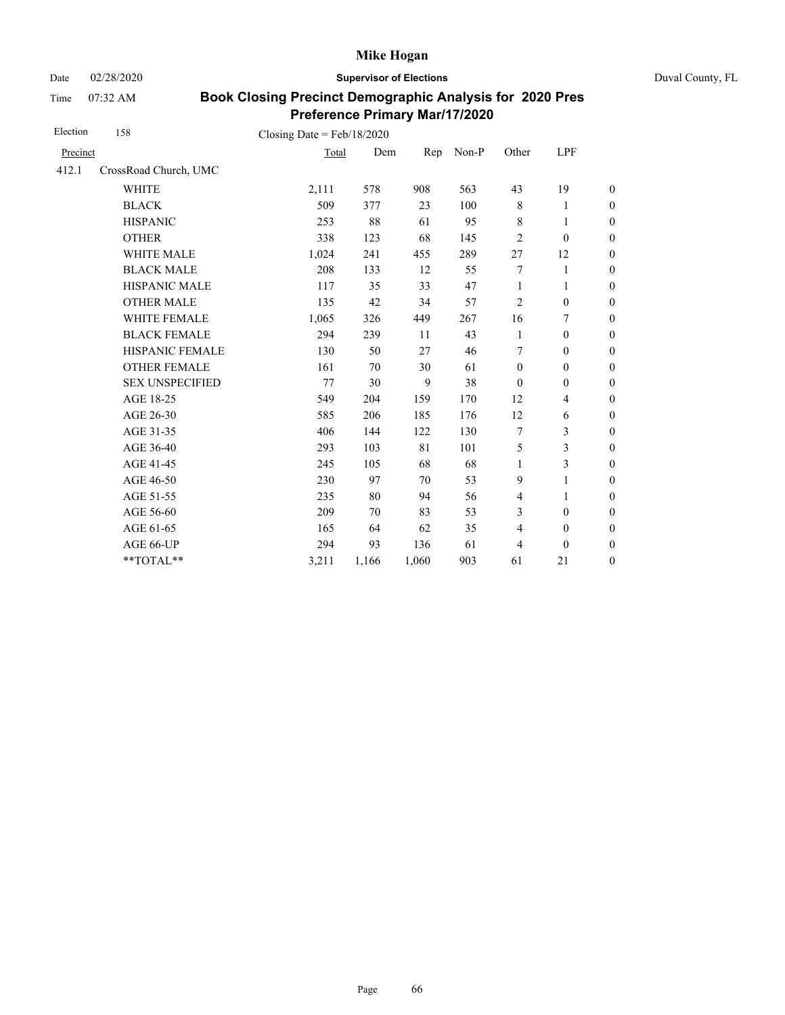Date 02/28/2020 **Supervisor of Elections** Duval County, FL

Time 07:32 AM

| Election | 158                    | Closing Date = $Feb/18/2020$ |       |       |       |                |                          |                  |
|----------|------------------------|------------------------------|-------|-------|-------|----------------|--------------------------|------------------|
| Precinct |                        | Total                        | Dem   | Rep   | Non-P | Other          | LPF                      |                  |
| 412.1    | CrossRoad Church, UMC  |                              |       |       |       |                |                          |                  |
|          | <b>WHITE</b>           | 2,111                        | 578   | 908   | 563   | 43             | 19                       | $\boldsymbol{0}$ |
|          | <b>BLACK</b>           | 509                          | 377   | 23    | 100   | $\,$ 8 $\,$    | 1                        | $\boldsymbol{0}$ |
|          | <b>HISPANIC</b>        | 253                          | 88    | 61    | 95    | $\,$ 8 $\,$    | 1                        | $\overline{0}$   |
|          | <b>OTHER</b>           | 338                          | 123   | 68    | 145   | $\overline{2}$ | $\mathbf{0}$             | $\overline{0}$   |
|          | <b>WHITE MALE</b>      | 1,024                        | 241   | 455   | 289   | 27             | 12                       | $\boldsymbol{0}$ |
|          | <b>BLACK MALE</b>      | 208                          | 133   | 12    | 55    | 7              | 1                        | $\boldsymbol{0}$ |
|          | <b>HISPANIC MALE</b>   | 117                          | 35    | 33    | 47    | $\mathbf{1}$   | 1                        | $\overline{0}$   |
|          | <b>OTHER MALE</b>      | 135                          | 42    | 34    | 57    | $\overline{2}$ | $\boldsymbol{0}$         | $\boldsymbol{0}$ |
|          | WHITE FEMALE           | 1,065                        | 326   | 449   | 267   | 16             | 7                        | $\boldsymbol{0}$ |
|          | <b>BLACK FEMALE</b>    | 294                          | 239   | 11    | 43    | 1              | $\boldsymbol{0}$         | $\boldsymbol{0}$ |
|          | HISPANIC FEMALE        | 130                          | 50    | 27    | 46    | 7              | $\boldsymbol{0}$         | $\overline{0}$   |
|          | <b>OTHER FEMALE</b>    | 161                          | 70    | 30    | 61    | $\mathbf{0}$   | $\mathbf{0}$             | $\overline{0}$   |
|          | <b>SEX UNSPECIFIED</b> | 77                           | 30    | 9     | 38    | $\mathbf{0}$   | $\mathbf{0}$             | $\boldsymbol{0}$ |
|          | AGE 18-25              | 549                          | 204   | 159   | 170   | 12             | $\overline{\mathcal{L}}$ | $\overline{0}$   |
|          | AGE 26-30              | 585                          | 206   | 185   | 176   | 12             | 6                        | $\overline{0}$   |
|          | AGE 31-35              | 406                          | 144   | 122   | 130   | 7              | 3                        | $\boldsymbol{0}$ |
|          | AGE 36-40              | 293                          | 103   | 81    | 101   | 5              | 3                        | $\boldsymbol{0}$ |
|          | AGE 41-45              | 245                          | 105   | 68    | 68    | $\mathbf{1}$   | 3                        | $\overline{0}$   |
|          | AGE 46-50              | 230                          | 97    | 70    | 53    | 9              | 1                        | $\boldsymbol{0}$ |
|          | AGE 51-55              | 235                          | 80    | 94    | 56    | 4              | 1                        | $\boldsymbol{0}$ |
|          | AGE 56-60              | 209                          | 70    | 83    | 53    | 3              | $\boldsymbol{0}$         | $\overline{0}$   |
|          | AGE 61-65              | 165                          | 64    | 62    | 35    | $\overline{4}$ | $\boldsymbol{0}$         | $\boldsymbol{0}$ |
|          | AGE 66-UP              | 294                          | 93    | 136   | 61    | $\overline{4}$ | $\mathbf{0}$             | $\boldsymbol{0}$ |
|          | **TOTAL**              | 3,211                        | 1,166 | 1,060 | 903   | 61             | 21                       | $\overline{0}$   |
|          |                        |                              |       |       |       |                |                          |                  |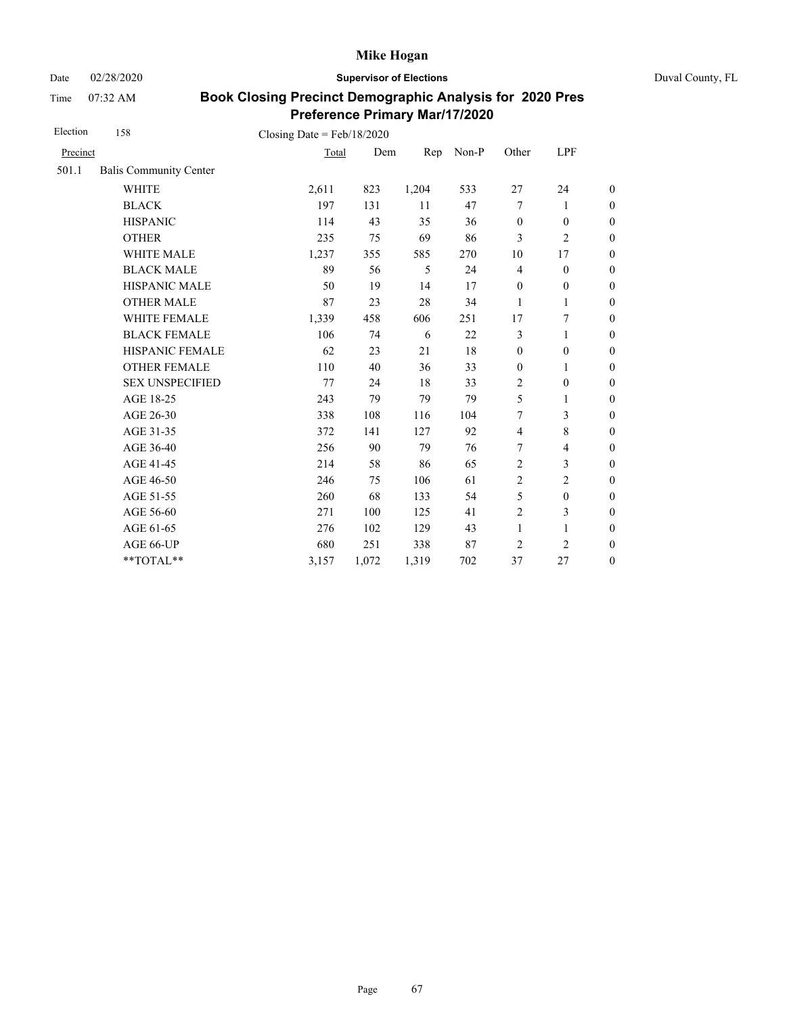Date 02/28/2020 **Supervisor of Elections** Duval County, FL

Time 07:32 AM

| Election | 158                           | Closing Date = $Feb/18/2020$ |       |       |       |                  |                          |                  |
|----------|-------------------------------|------------------------------|-------|-------|-------|------------------|--------------------------|------------------|
| Precinct |                               | Total                        | Dem   | Rep   | Non-P | Other            | <b>LPF</b>               |                  |
| 501.1    | <b>Balis Community Center</b> |                              |       |       |       |                  |                          |                  |
|          | <b>WHITE</b>                  | 2,611                        | 823   | 1,204 | 533   | $27\,$           | 24                       | $\boldsymbol{0}$ |
|          | <b>BLACK</b>                  | 197                          | 131   | 11    | 47    | $\tau$           | 1                        | $\boldsymbol{0}$ |
|          | <b>HISPANIC</b>               | 114                          | 43    | 35    | 36    | $\mathbf{0}$     | $\mathbf{0}$             | $\boldsymbol{0}$ |
|          | <b>OTHER</b>                  | 235                          | 75    | 69    | 86    | 3                | $\overline{2}$           | $\overline{0}$   |
|          | <b>WHITE MALE</b>             | 1,237                        | 355   | 585   | 270   | 10               | 17                       | $\boldsymbol{0}$ |
|          | <b>BLACK MALE</b>             | 89                           | 56    | 5     | 24    | $\overline{4}$   | $\boldsymbol{0}$         | $\boldsymbol{0}$ |
|          | <b>HISPANIC MALE</b>          | 50                           | 19    | 14    | 17    | $\boldsymbol{0}$ | $\boldsymbol{0}$         | $\boldsymbol{0}$ |
|          | <b>OTHER MALE</b>             | 87                           | 23    | 28    | 34    | 1                | 1                        | $\boldsymbol{0}$ |
|          | WHITE FEMALE                  | 1,339                        | 458   | 606   | 251   | 17               | 7                        | $\boldsymbol{0}$ |
|          | <b>BLACK FEMALE</b>           | 106                          | 74    | 6     | 22    | 3                | 1                        | $\boldsymbol{0}$ |
|          | HISPANIC FEMALE               | 62                           | 23    | 21    | 18    | $\boldsymbol{0}$ | $\boldsymbol{0}$         | $\overline{0}$   |
|          | <b>OTHER FEMALE</b>           | 110                          | 40    | 36    | 33    | $\mathbf{0}$     | 1                        | $\overline{0}$   |
|          | <b>SEX UNSPECIFIED</b>        | 77                           | 24    | 18    | 33    | $\overline{2}$   | $\boldsymbol{0}$         | $\boldsymbol{0}$ |
|          | AGE 18-25                     | 243                          | 79    | 79    | 79    | 5                | $\mathbf{1}$             | $\boldsymbol{0}$ |
|          | AGE 26-30                     | 338                          | 108   | 116   | 104   | 7                | 3                        | $\boldsymbol{0}$ |
|          | AGE 31-35                     | 372                          | 141   | 127   | 92    | $\overline{4}$   | 8                        | $\boldsymbol{0}$ |
|          | AGE 36-40                     | 256                          | 90    | 79    | 76    | $\tau$           | $\overline{\mathcal{L}}$ | $\boldsymbol{0}$ |
|          | AGE 41-45                     | 214                          | 58    | 86    | 65    | $\overline{2}$   | 3                        | $\boldsymbol{0}$ |
|          | AGE 46-50                     | 246                          | 75    | 106   | 61    | 2                | $\overline{c}$           | $\boldsymbol{0}$ |
|          | AGE 51-55                     | 260                          | 68    | 133   | 54    | 5                | $\boldsymbol{0}$         | $\boldsymbol{0}$ |
|          | AGE 56-60                     | 271                          | 100   | 125   | 41    | $\overline{2}$   | 3                        | $\boldsymbol{0}$ |
|          | AGE 61-65                     | 276                          | 102   | 129   | 43    | $\mathbf{1}$     | 1                        | $\boldsymbol{0}$ |
|          | AGE 66-UP                     | 680                          | 251   | 338   | 87    | $\overline{2}$   | $\overline{2}$           | $\overline{0}$   |
|          | **TOTAL**                     | 3,157                        | 1,072 | 1,319 | 702   | 37               | 27                       | $\overline{0}$   |
|          |                               |                              |       |       |       |                  |                          |                  |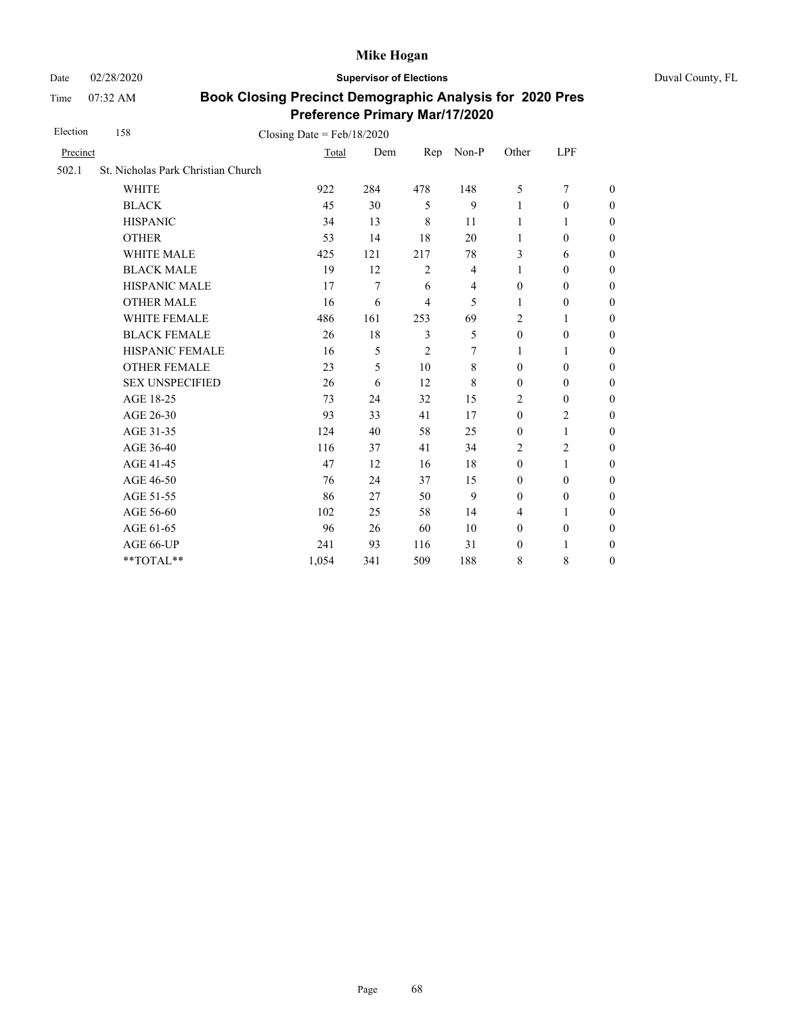Date 02/28/2020 **Supervisor of Elections** Duval County, FL

Time 07:32 AM

| Election | 158<br>Closing Date = $Feb/18/2020$ |       |                |                |                |                  |                  |                  |
|----------|-------------------------------------|-------|----------------|----------------|----------------|------------------|------------------|------------------|
| Precinct |                                     | Total | Dem            | Rep            | Non-P          | Other            | LPF              |                  |
| 502.1    | St. Nicholas Park Christian Church  |       |                |                |                |                  |                  |                  |
|          | <b>WHITE</b>                        | 922   | 284            | 478            | 148            | 5                | $\overline{7}$   | $\overline{0}$   |
|          | <b>BLACK</b>                        | 45    | 30             | 5              | 9              | 1                | $\boldsymbol{0}$ | $\boldsymbol{0}$ |
|          | <b>HISPANIC</b>                     | 34    | 13             | 8              | 11             | 1                | 1                | $\boldsymbol{0}$ |
|          | <b>OTHER</b>                        | 53    | 14             | 18             | 20             | $\mathbf{1}$     | $\mathbf{0}$     | $\overline{0}$   |
|          | <b>WHITE MALE</b>                   | 425   | 121            | 217            | 78             | 3                | 6                | $\boldsymbol{0}$ |
|          | <b>BLACK MALE</b>                   | 19    | 12             | $\overline{2}$ | $\overline{4}$ | 1                | $\boldsymbol{0}$ | $\boldsymbol{0}$ |
|          | <b>HISPANIC MALE</b>                | 17    | $\overline{7}$ | 6              | 4              | $\mathbf{0}$     | $\mathbf{0}$     | $\overline{0}$   |
|          | <b>OTHER MALE</b>                   | 16    | 6              | $\overline{4}$ | 5              | $\mathbf{1}$     | $\boldsymbol{0}$ | $\overline{0}$   |
|          | WHITE FEMALE                        | 486   | 161            | 253            | 69             | 2                | 1                | $\overline{0}$   |
|          | <b>BLACK FEMALE</b>                 | 26    | 18             | 3              | 5              | $\mathbf{0}$     | $\mathbf{0}$     | $\overline{0}$   |
|          | HISPANIC FEMALE                     | 16    | 5              | $\overline{2}$ | 7              | 1                | 1                | $\boldsymbol{0}$ |
|          | <b>OTHER FEMALE</b>                 | 23    | 5              | 10             | 8              | $\mathbf{0}$     | $\mathbf{0}$     | $\boldsymbol{0}$ |
|          | <b>SEX UNSPECIFIED</b>              | 26    | 6              | 12             | 8              | $\mathbf{0}$     | $\mathbf{0}$     | $\boldsymbol{0}$ |
|          | AGE 18-25                           | 73    | 24             | 32             | 15             | $\overline{2}$   | $\mathbf{0}$     | $\overline{0}$   |
|          | AGE 26-30                           | 93    | 33             | 41             | 17             | $\mathbf{0}$     | $\overline{2}$   | $\overline{0}$   |
|          | AGE 31-35                           | 124   | 40             | 58             | 25             | $\boldsymbol{0}$ | 1                | $\boldsymbol{0}$ |
|          | AGE 36-40                           | 116   | 37             | 41             | 34             | $\overline{c}$   | $\mathbf{2}$     | $\boldsymbol{0}$ |
|          | AGE 41-45                           | 47    | 12             | 16             | 18             | $\mathbf{0}$     | $\mathbf{1}$     | $\overline{0}$   |
|          | AGE 46-50                           | 76    | 24             | 37             | 15             | $\mathbf{0}$     | $\mathbf{0}$     | $\overline{0}$   |
|          | AGE 51-55                           | 86    | 27             | 50             | 9              | $\mathbf{0}$     | $\mathbf{0}$     | $\boldsymbol{0}$ |
|          | AGE 56-60                           | 102   | 25             | 58             | 14             | $\overline{4}$   | 1                | $\overline{0}$   |
|          | AGE 61-65                           | 96    | 26             | 60             | 10             | $\boldsymbol{0}$ | $\boldsymbol{0}$ | $\boldsymbol{0}$ |
|          | AGE 66-UP                           | 241   | 93             | 116            | 31             | $\boldsymbol{0}$ | $\mathbf{1}$     | $\boldsymbol{0}$ |
|          | **TOTAL**                           | 1,054 | 341            | 509            | 188            | 8                | 8                | $\overline{0}$   |
|          |                                     |       |                |                |                |                  |                  |                  |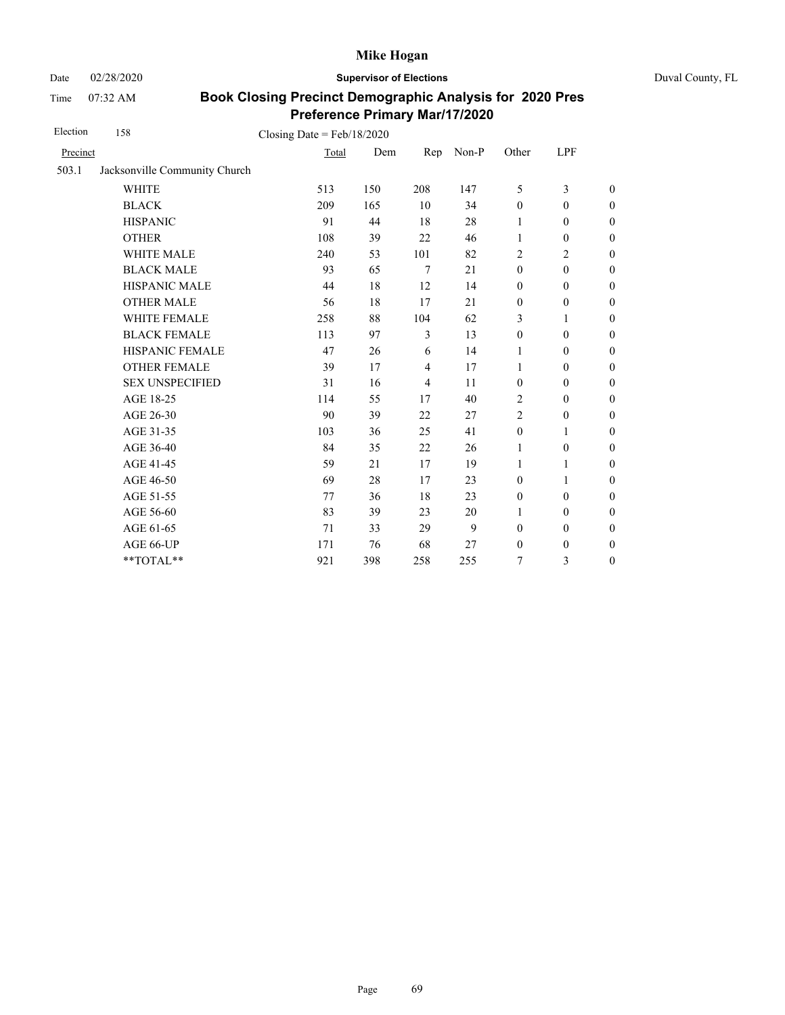Date 02/28/2020 **Supervisor of Elections** Duval County, FL

Time 07:32 AM

| Election | 158                           | Closing Date = $Feb/18/2020$ |     |                |       |                  |                  |                  |
|----------|-------------------------------|------------------------------|-----|----------------|-------|------------------|------------------|------------------|
| Precinct |                               | Total                        | Dem | Rep            | Non-P | Other            | LPF              |                  |
| 503.1    | Jacksonville Community Church |                              |     |                |       |                  |                  |                  |
|          | <b>WHITE</b>                  | 513                          | 150 | 208            | 147   | 5                | 3                | $\boldsymbol{0}$ |
|          | <b>BLACK</b>                  | 209                          | 165 | 10             | 34    | $\boldsymbol{0}$ | $\mathbf{0}$     | $\boldsymbol{0}$ |
|          | <b>HISPANIC</b>               | 91                           | 44  | 18             | 28    | 1                | $\mathbf{0}$     | $\boldsymbol{0}$ |
|          | <b>OTHER</b>                  | 108                          | 39  | 22             | 46    | 1                | $\boldsymbol{0}$ | $\mathbf{0}$     |
|          | WHITE MALE                    | 240                          | 53  | 101            | 82    | 2                | 2                | $\boldsymbol{0}$ |
|          | <b>BLACK MALE</b>             | 93                           | 65  | $\tau$         | 21    | $\mathbf{0}$     | $\boldsymbol{0}$ | $\boldsymbol{0}$ |
|          | <b>HISPANIC MALE</b>          | 44                           | 18  | 12             | 14    | $\boldsymbol{0}$ | $\mathbf{0}$     | $\overline{0}$   |
|          | <b>OTHER MALE</b>             | 56                           | 18  | 17             | 21    | $\boldsymbol{0}$ | $\boldsymbol{0}$ | $\boldsymbol{0}$ |
|          | <b>WHITE FEMALE</b>           | 258                          | 88  | 104            | 62    | 3                | 1                | $\boldsymbol{0}$ |
|          | <b>BLACK FEMALE</b>           | 113                          | 97  | 3              | 13    | $\mathbf{0}$     | $\mathbf{0}$     | $\mathbf{0}$     |
|          | HISPANIC FEMALE               | 47                           | 26  | 6              | 14    | 1                | $\mathbf{0}$     | $\theta$         |
|          | <b>OTHER FEMALE</b>           | 39                           | 17  | 4              | 17    | $\mathbf{1}$     | $\mathbf{0}$     | $\boldsymbol{0}$ |
|          | <b>SEX UNSPECIFIED</b>        | 31                           | 16  | $\overline{4}$ | 11    | $\boldsymbol{0}$ | $\boldsymbol{0}$ | $\boldsymbol{0}$ |
|          | AGE 18-25                     | 114                          | 55  | 17             | 40    | $\overline{c}$   | $\mathbf{0}$     | $\theta$         |
|          | AGE 26-30                     | 90                           | 39  | 22             | 27    | $\overline{2}$   | $\mathbf{0}$     | $\theta$         |
|          | AGE 31-35                     | 103                          | 36  | 25             | 41    | $\boldsymbol{0}$ | 1                | $\boldsymbol{0}$ |
|          | AGE 36-40                     | 84                           | 35  | 22             | 26    | 1                | $\boldsymbol{0}$ | $\boldsymbol{0}$ |
|          | AGE 41-45                     | 59                           | 21  | 17             | 19    | 1                | $\mathbf{1}$     | $\overline{0}$   |
|          | AGE 46-50                     | 69                           | 28  | 17             | 23    | $\boldsymbol{0}$ | 1                | $\boldsymbol{0}$ |
|          | AGE 51-55                     | 77                           | 36  | 18             | 23    | $\boldsymbol{0}$ | $\boldsymbol{0}$ | $\boldsymbol{0}$ |
|          | AGE 56-60                     | 83                           | 39  | 23             | 20    | 1                | $\mathbf{0}$     | $\boldsymbol{0}$ |
|          | AGE 61-65                     | 71                           | 33  | 29             | 9     | $\boldsymbol{0}$ | $\boldsymbol{0}$ | $\boldsymbol{0}$ |
|          | AGE 66-UP                     | 171                          | 76  | 68             | 27    | $\boldsymbol{0}$ | $\boldsymbol{0}$ | $\boldsymbol{0}$ |
|          | **TOTAL**                     | 921                          | 398 | 258            | 255   | 7                | 3                | $\boldsymbol{0}$ |
|          |                               |                              |     |                |       |                  |                  |                  |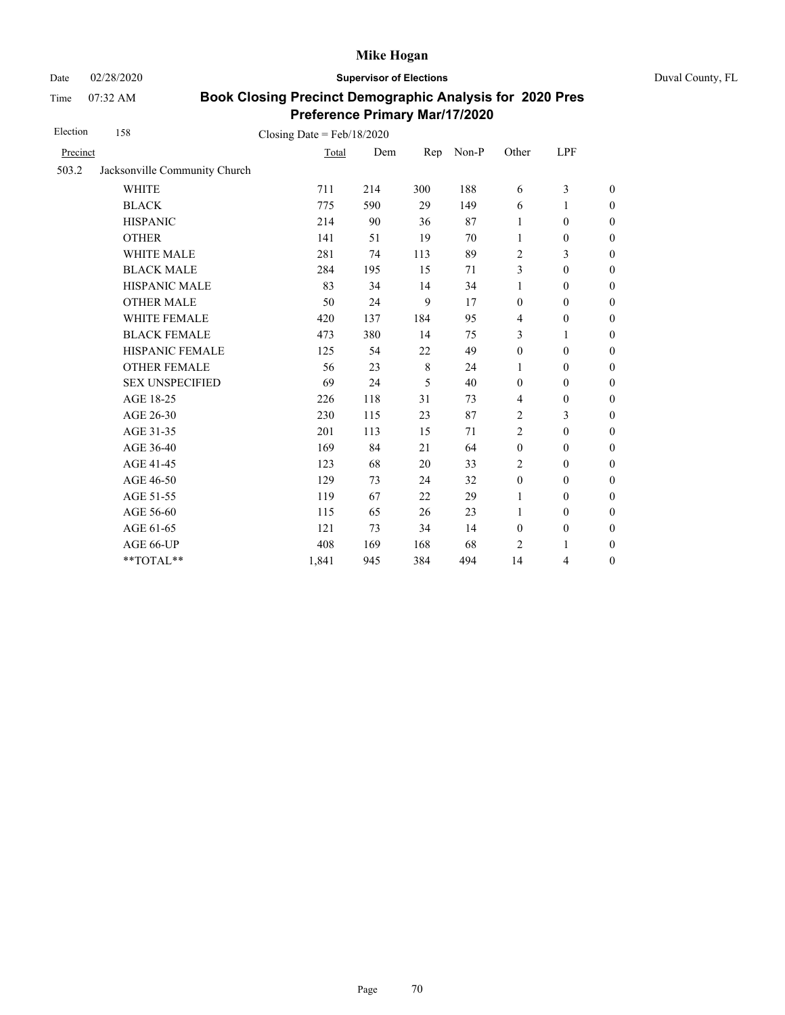Date 02/28/2020 **Supervisor of Elections** Duval County, FL

Time 07:32 AM

| Election | 158                           | Closing Date = $Feb/18/2020$ |     |     |       |                  |                  |                  |
|----------|-------------------------------|------------------------------|-----|-----|-------|------------------|------------------|------------------|
| Precinct |                               | Total                        | Dem | Rep | Non-P | Other            | LPF              |                  |
| 503.2    | Jacksonville Community Church |                              |     |     |       |                  |                  |                  |
|          | <b>WHITE</b>                  | 711                          | 214 | 300 | 188   | 6                | 3                | $\boldsymbol{0}$ |
|          | <b>BLACK</b>                  | 775                          | 590 | 29  | 149   | 6                | 1                | $\boldsymbol{0}$ |
|          | <b>HISPANIC</b>               | 214                          | 90  | 36  | 87    | 1                | $\boldsymbol{0}$ | $\boldsymbol{0}$ |
|          | <b>OTHER</b>                  | 141                          | 51  | 19  | 70    | $\mathbf{1}$     | $\boldsymbol{0}$ | $\boldsymbol{0}$ |
|          | <b>WHITE MALE</b>             | 281                          | 74  | 113 | 89    | 2                | 3                | $\boldsymbol{0}$ |
|          | <b>BLACK MALE</b>             | 284                          | 195 | 15  | 71    | 3                | $\boldsymbol{0}$ | $\boldsymbol{0}$ |
|          | <b>HISPANIC MALE</b>          | 83                           | 34  | 14  | 34    | $\mathbf{1}$     | $\mathbf{0}$     | $\overline{0}$   |
|          | <b>OTHER MALE</b>             | 50                           | 24  | 9   | 17    | $\mathbf{0}$     | $\mathbf{0}$     | $\boldsymbol{0}$ |
|          | <b>WHITE FEMALE</b>           | 420                          | 137 | 184 | 95    | $\overline{4}$   | $\mathbf{0}$     | $\boldsymbol{0}$ |
|          | <b>BLACK FEMALE</b>           | 473                          | 380 | 14  | 75    | 3                | 1                | $\boldsymbol{0}$ |
|          | HISPANIC FEMALE               | 125                          | 54  | 22  | 49    | $\boldsymbol{0}$ | $\boldsymbol{0}$ | $\overline{0}$   |
|          | <b>OTHER FEMALE</b>           | 56                           | 23  | 8   | 24    | 1                | $\mathbf{0}$     | $\boldsymbol{0}$ |
|          | <b>SEX UNSPECIFIED</b>        | 69                           | 24  | 5   | 40    | $\mathbf{0}$     | $\mathbf{0}$     | $\boldsymbol{0}$ |
|          | AGE 18-25                     | 226                          | 118 | 31  | 73    | $\overline{4}$   | $\boldsymbol{0}$ | $\boldsymbol{0}$ |
|          | AGE 26-30                     | 230                          | 115 | 23  | 87    | $\overline{2}$   | 3                | $\overline{0}$   |
|          | AGE 31-35                     | 201                          | 113 | 15  | 71    | $\overline{c}$   | $\mathbf{0}$     | $\boldsymbol{0}$ |
|          | AGE 36-40                     | 169                          | 84  | 21  | 64    | $\boldsymbol{0}$ | $\mathbf{0}$     | $\boldsymbol{0}$ |
|          | AGE 41-45                     | 123                          | 68  | 20  | 33    | $\overline{2}$   | $\mathbf{0}$     | $\overline{0}$   |
|          | AGE 46-50                     | 129                          | 73  | 24  | 32    | $\boldsymbol{0}$ | $\boldsymbol{0}$ | $\boldsymbol{0}$ |
|          | AGE 51-55                     | 119                          | 67  | 22  | 29    | 1                | $\mathbf{0}$     | $\boldsymbol{0}$ |
|          | AGE 56-60                     | 115                          | 65  | 26  | 23    | 1                | $\mathbf{0}$     | $\boldsymbol{0}$ |
|          | AGE 61-65                     | 121                          | 73  | 34  | 14    | $\boldsymbol{0}$ | $\boldsymbol{0}$ | $\boldsymbol{0}$ |
|          | AGE 66-UP                     | 408                          | 169 | 168 | 68    | 2                | 1                | $\boldsymbol{0}$ |
|          | **TOTAL**                     | 1,841                        | 945 | 384 | 494   | 14               | 4                | $\boldsymbol{0}$ |
|          |                               |                              |     |     |       |                  |                  |                  |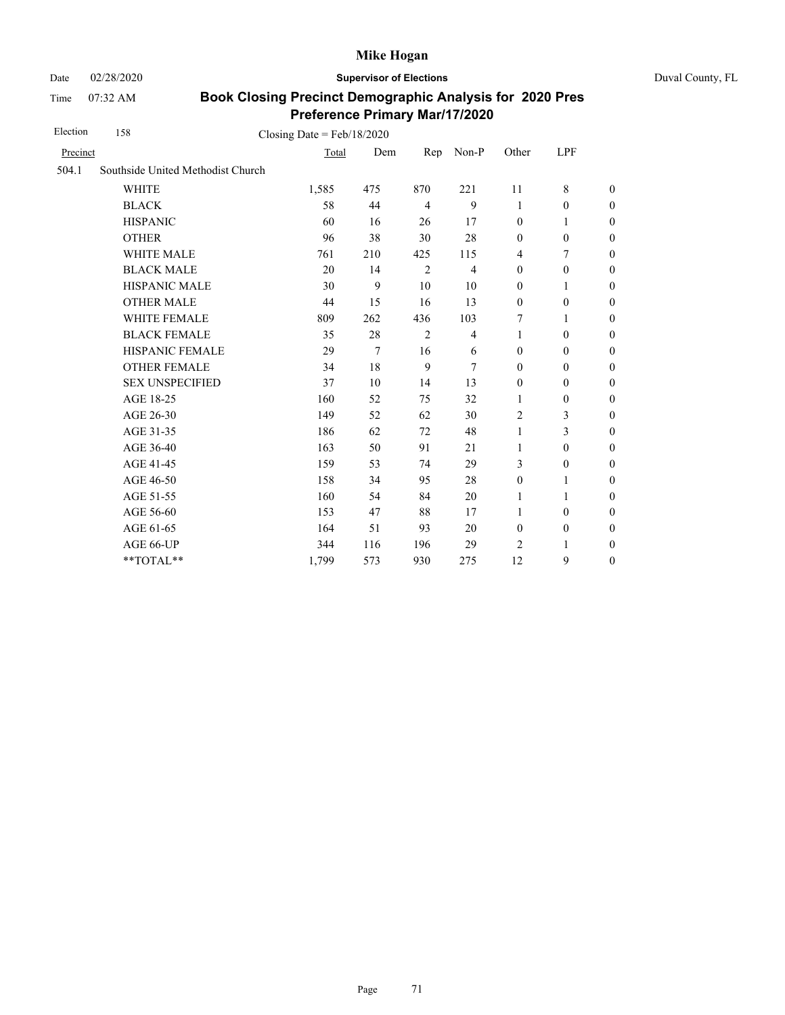Date 02/28/2020 **Supervisor of Elections** Duval County, FL

Time 07:32 AM

| Election | 158                               | Closing Date = $Feb/18/2020$ |     |                |                |                  |                  |                  |
|----------|-----------------------------------|------------------------------|-----|----------------|----------------|------------------|------------------|------------------|
| Precinct |                                   | Total                        | Dem | Rep            | Non-P          | Other            | LPF              |                  |
| 504.1    | Southside United Methodist Church |                              |     |                |                |                  |                  |                  |
|          | <b>WHITE</b>                      | 1,585                        | 475 | 870            | 221            | 11               | 8                | $\boldsymbol{0}$ |
|          | <b>BLACK</b>                      | 58                           | 44  | $\overline{4}$ | 9              | 1                | $\mathbf{0}$     | $\boldsymbol{0}$ |
|          | <b>HISPANIC</b>                   | 60                           | 16  | 26             | 17             | $\mathbf{0}$     | 1                | $\boldsymbol{0}$ |
|          | <b>OTHER</b>                      | 96                           | 38  | 30             | 28             | $\boldsymbol{0}$ | $\boldsymbol{0}$ | $\overline{0}$   |
|          | WHITE MALE                        | 761                          | 210 | 425            | 115            | $\overline{4}$   | 7                | $\boldsymbol{0}$ |
|          | <b>BLACK MALE</b>                 | 20                           | 14  | $\overline{2}$ | $\overline{4}$ | $\boldsymbol{0}$ | $\boldsymbol{0}$ | $\boldsymbol{0}$ |
|          | HISPANIC MALE                     | 30                           | 9   | 10             | 10             | $\boldsymbol{0}$ | 1                | $\boldsymbol{0}$ |
|          | <b>OTHER MALE</b>                 | 44                           | 15  | 16             | 13             | $\boldsymbol{0}$ | $\boldsymbol{0}$ | $\boldsymbol{0}$ |
|          | <b>WHITE FEMALE</b>               | 809                          | 262 | 436            | 103            | 7                | 1                | $\boldsymbol{0}$ |
|          | <b>BLACK FEMALE</b>               | 35                           | 28  | $\overline{2}$ | $\overline{4}$ | 1                | $\mathbf{0}$     | $\boldsymbol{0}$ |
|          | HISPANIC FEMALE                   | 29                           | 7   | 16             | 6              | $\mathbf{0}$     | $\boldsymbol{0}$ | $\boldsymbol{0}$ |
|          | <b>OTHER FEMALE</b>               | 34                           | 18  | 9              | 7              | $\mathbf{0}$     | $\mathbf{0}$     | $\boldsymbol{0}$ |
|          | <b>SEX UNSPECIFIED</b>            | 37                           | 10  | 14             | 13             | $\mathbf{0}$     | $\mathbf{0}$     | $\boldsymbol{0}$ |
|          | AGE 18-25                         | 160                          | 52  | 75             | 32             | 1                | $\mathbf{0}$     | $\boldsymbol{0}$ |
|          | AGE 26-30                         | 149                          | 52  | 62             | 30             | $\overline{2}$   | 3                | $\overline{0}$   |
|          | AGE 31-35                         | 186                          | 62  | 72             | 48             | $\mathbf{1}$     | 3                | $\boldsymbol{0}$ |
|          | AGE 36-40                         | 163                          | 50  | 91             | 21             | $\mathbf{1}$     | $\mathbf{0}$     | $\boldsymbol{0}$ |
|          | AGE 41-45                         | 159                          | 53  | 74             | 29             | 3                | $\boldsymbol{0}$ | $\overline{0}$   |
|          | AGE 46-50                         | 158                          | 34  | 95             | 28             | $\mathbf{0}$     | 1                | $\overline{0}$   |
|          | AGE 51-55                         | 160                          | 54  | 84             | 20             | $\mathbf{1}$     | 1                | $\overline{0}$   |
|          | AGE 56-60                         | 153                          | 47  | 88             | 17             | 1                | $\mathbf{0}$     | $\boldsymbol{0}$ |
|          | AGE 61-65                         | 164                          | 51  | 93             | 20             | $\boldsymbol{0}$ | $\boldsymbol{0}$ | $\boldsymbol{0}$ |
|          | AGE 66-UP                         | 344                          | 116 | 196            | 29             | 2                | 1                | $\boldsymbol{0}$ |
|          | **TOTAL**                         | 1,799                        | 573 | 930            | 275            | 12               | 9                | $\boldsymbol{0}$ |
|          |                                   |                              |     |                |                |                  |                  |                  |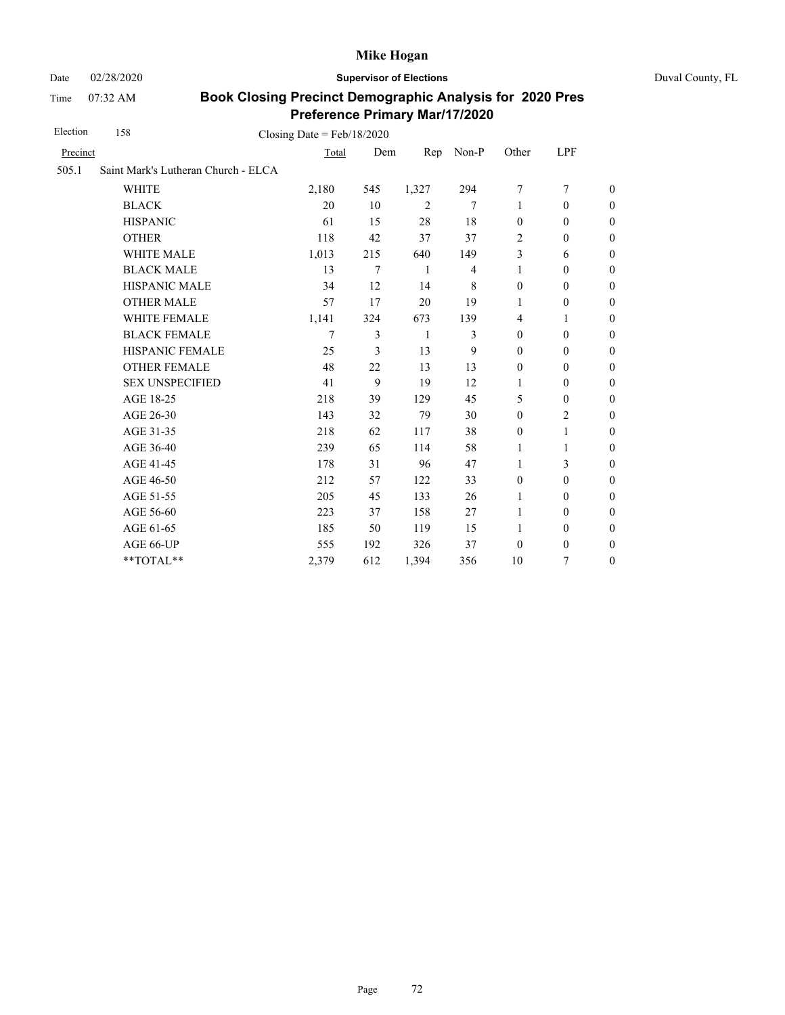Time 07:32 AM

Date 02/28/2020 **Supervisor of Elections** Duval County, FL

| 158                    |        |                                     |                              |                |                  |                  |                  |
|------------------------|--------|-------------------------------------|------------------------------|----------------|------------------|------------------|------------------|
| Precinct               | Total  | Dem                                 | Rep                          | Non-P          | Other            | <b>LPF</b>       |                  |
|                        |        |                                     |                              |                |                  |                  |                  |
| <b>WHITE</b>           | 2,180  | 545                                 | 1,327                        | 294            | 7                | $\overline{7}$   | $\theta$         |
| <b>BLACK</b>           | 20     | 10                                  | 2                            | 7              | $\mathbf{1}$     | $\mathbf{0}$     | $\boldsymbol{0}$ |
| <b>HISPANIC</b>        | 61     | 15                                  | 28                           | 18             | $\mathbf{0}$     | $\mathbf{0}$     | $\boldsymbol{0}$ |
| <b>OTHER</b>           | 118    | 42                                  | 37                           | 37             | $\overline{2}$   | $\mathbf{0}$     | $\overline{0}$   |
| WHITE MALE             | 1,013  | 215                                 | 640                          | 149            | 3                | 6                | $\boldsymbol{0}$ |
| <b>BLACK MALE</b>      | 13     | 7                                   | 1                            | $\overline{4}$ | $\mathbf{1}$     | $\mathbf{0}$     | $\boldsymbol{0}$ |
| <b>HISPANIC MALE</b>   | 34     | 12                                  | 14                           | 8              | $\boldsymbol{0}$ | $\mathbf{0}$     | $\overline{0}$   |
| <b>OTHER MALE</b>      | 57     | 17                                  | 20                           | 19             | 1                | $\boldsymbol{0}$ | $\boldsymbol{0}$ |
| <b>WHITE FEMALE</b>    | 1,141  | 324                                 | 673                          | 139            | $\overline{4}$   | 1                | $\boldsymbol{0}$ |
| <b>BLACK FEMALE</b>    | $\tau$ | 3                                   | $\mathbf{1}$                 | 3              | $\mathbf{0}$     | $\mathbf{0}$     | $\boldsymbol{0}$ |
| HISPANIC FEMALE        | 25     | 3                                   | 13                           | 9              | $\mathbf{0}$     | $\boldsymbol{0}$ | $\boldsymbol{0}$ |
| <b>OTHER FEMALE</b>    | 48     | 22                                  | 13                           | 13             | $\boldsymbol{0}$ | $\mathbf{0}$     | $\boldsymbol{0}$ |
| <b>SEX UNSPECIFIED</b> | 41     | 9                                   | 19                           | 12             | 1                | $\mathbf{0}$     | $\boldsymbol{0}$ |
| AGE 18-25              | 218    | 39                                  | 129                          | 45             | 5                | $\mathbf{0}$     | $\boldsymbol{0}$ |
| AGE 26-30              | 143    | 32                                  | 79                           | 30             | $\boldsymbol{0}$ | $\overline{c}$   | $\overline{0}$   |
| AGE 31-35              | 218    | 62                                  | 117                          | 38             | $\boldsymbol{0}$ | 1                | $\boldsymbol{0}$ |
| AGE 36-40              | 239    | 65                                  | 114                          | 58             | 1                | 1                | $\boldsymbol{0}$ |
| AGE 41-45              | 178    | 31                                  | 96                           | 47             | 1                | 3                | $\boldsymbol{0}$ |
| AGE 46-50              | 212    | 57                                  | 122                          | 33             | $\boldsymbol{0}$ | $\boldsymbol{0}$ | $\boldsymbol{0}$ |
| AGE 51-55              | 205    | 45                                  | 133                          | 26             | 1                | $\boldsymbol{0}$ | $\boldsymbol{0}$ |
| AGE 56-60              | 223    | 37                                  | 158                          | 27             | 1                | $\boldsymbol{0}$ | $\boldsymbol{0}$ |
| AGE 61-65              | 185    | 50                                  | 119                          | 15             | 1                | $\boldsymbol{0}$ | $\boldsymbol{0}$ |
| AGE 66-UP              | 555    | 192                                 | 326                          | 37             | $\boldsymbol{0}$ | $\boldsymbol{0}$ | $\boldsymbol{0}$ |
| **TOTAL**              | 2,379  | 612                                 | 1,394                        | 356            | 10               | 7                | $\boldsymbol{0}$ |
|                        |        | Saint Mark's Lutheran Church - ELCA | Closing Date = $Feb/18/2020$ |                |                  |                  |                  |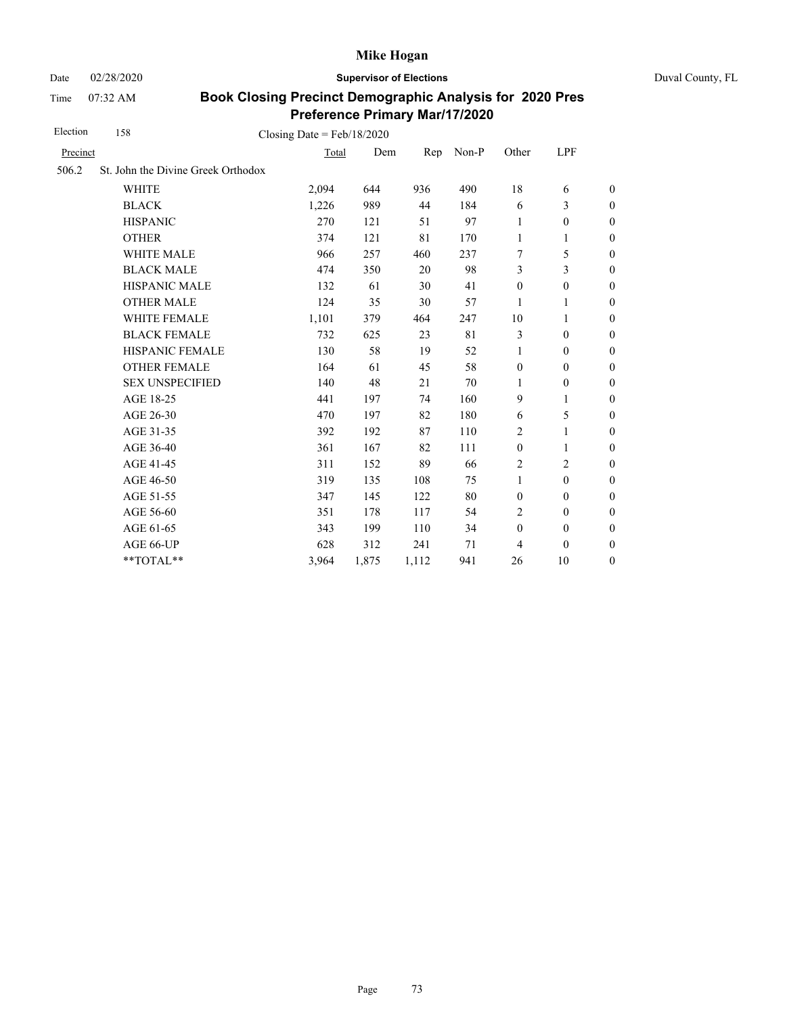Time 07:32 AM

Date 02/28/2020 **Supervisor of Elections** Duval County, FL

| 158                    |          |                                    |                                       |       |                  |                  |                  |
|------------------------|----------|------------------------------------|---------------------------------------|-------|------------------|------------------|------------------|
|                        |          |                                    | Rep                                   | Non-P | Other            | LPF              |                  |
|                        |          |                                    |                                       |       |                  |                  |                  |
| <b>WHITE</b>           | 2,094    | 644                                | 936                                   | 490   | 18               | 6                | $\boldsymbol{0}$ |
| <b>BLACK</b>           | 1,226    | 989                                | 44                                    | 184   | 6                | 3                | $\boldsymbol{0}$ |
| <b>HISPANIC</b>        | 270      | 121                                | 51                                    | 97    | 1                | $\mathbf{0}$     | $\boldsymbol{0}$ |
| <b>OTHER</b>           | 374      | 121                                | 81                                    | 170   | $\mathbf{1}$     | 1                | $\theta$         |
| <b>WHITE MALE</b>      | 966      | 257                                | 460                                   | 237   | 7                | 5                | $\boldsymbol{0}$ |
| <b>BLACK MALE</b>      | 474      | 350                                | 20                                    | 98    | 3                | 3                | $\boldsymbol{0}$ |
| <b>HISPANIC MALE</b>   | 132      | 61                                 | 30                                    | 41    | $\boldsymbol{0}$ | $\boldsymbol{0}$ | $\overline{0}$   |
| <b>OTHER MALE</b>      | 124      | 35                                 | 30                                    | 57    | 1                | 1                | $\boldsymbol{0}$ |
| WHITE FEMALE           | 1,101    | 379                                | 464                                   | 247   | 10               | 1                | $\boldsymbol{0}$ |
| <b>BLACK FEMALE</b>    | 732      | 625                                | 23                                    | 81    | 3                | $\mathbf{0}$     | $\boldsymbol{0}$ |
| HISPANIC FEMALE        | 130      | 58                                 | 19                                    | 52    | 1                | $\boldsymbol{0}$ | $\mathbf{0}$     |
| <b>OTHER FEMALE</b>    | 164      | 61                                 | 45                                    | 58    | $\boldsymbol{0}$ | $\mathbf{0}$     | $\boldsymbol{0}$ |
| <b>SEX UNSPECIFIED</b> | 140      | 48                                 | 21                                    | 70    | 1                | $\boldsymbol{0}$ | $\boldsymbol{0}$ |
| AGE 18-25              | 441      | 197                                | 74                                    | 160   | 9                | 1                | $\boldsymbol{0}$ |
| AGE 26-30              | 470      | 197                                | 82                                    | 180   | 6                | 5                | $\boldsymbol{0}$ |
| AGE 31-35              | 392      | 192                                | 87                                    | 110   | 2                | 1                | $\boldsymbol{0}$ |
| AGE 36-40              | 361      | 167                                | 82                                    | 111   | $\boldsymbol{0}$ | 1                | $\boldsymbol{0}$ |
| AGE 41-45              | 311      | 152                                | 89                                    | 66    | $\overline{c}$   | 2                | $\mathbf{0}$     |
| AGE 46-50              | 319      | 135                                | 108                                   | 75    | $\mathbf{1}$     | $\boldsymbol{0}$ | $\mathbf{0}$     |
| AGE 51-55              | 347      | 145                                | 122                                   | 80    | $\boldsymbol{0}$ | $\boldsymbol{0}$ | $\boldsymbol{0}$ |
| AGE 56-60              | 351      | 178                                | 117                                   | 54    | 2                | $\mathbf{0}$     | $\boldsymbol{0}$ |
| AGE 61-65              | 343      | 199                                | 110                                   | 34    | $\boldsymbol{0}$ | $\boldsymbol{0}$ | $\boldsymbol{0}$ |
| AGE 66-UP              | 628      | 312                                | 241                                   | 71    | $\overline{4}$   | $\boldsymbol{0}$ | $\boldsymbol{0}$ |
| **TOTAL**              | 3,964    | 1,875                              | 1,112                                 | 941   | 26               | 10               | $\boldsymbol{0}$ |
|                        | Precinct | St. John the Divine Greek Orthodox | Closing Date = $Feb/18/2020$<br>Total | Dem   |                  |                  |                  |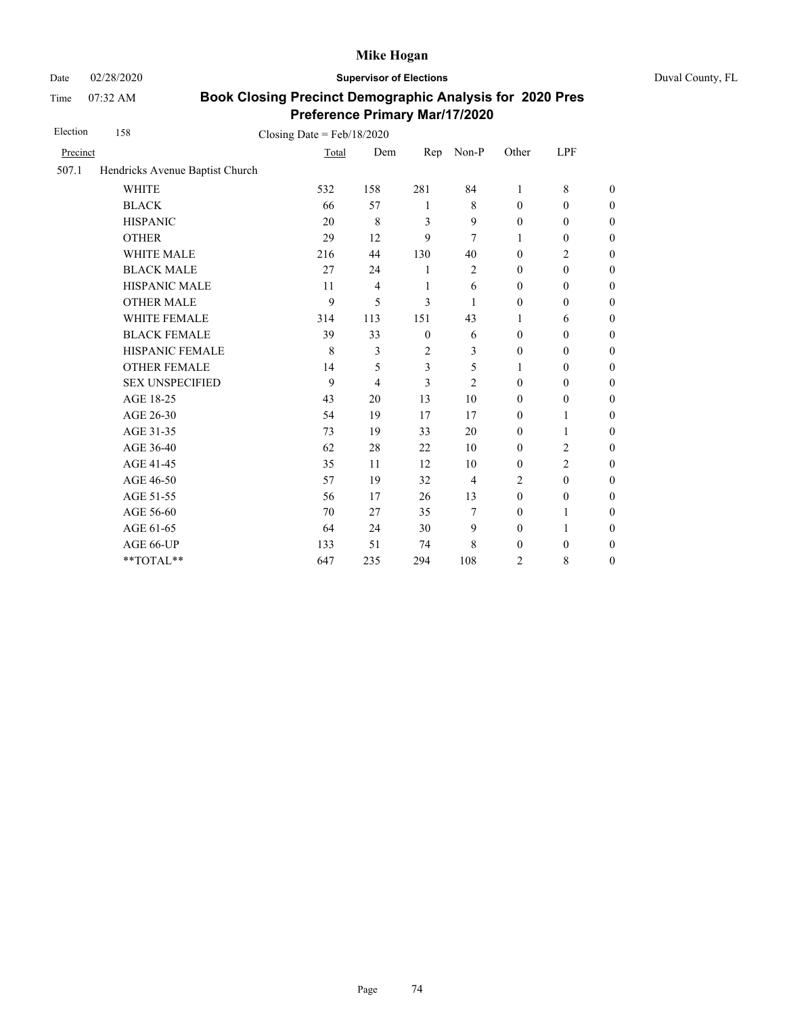Date 02/28/2020 **Supervisor of Elections** Duval County, FL

Time 07:32 AM

| Election | 158                             | Closing Date = $Feb/18/2020$ |                |                |                |                  |                  |                  |
|----------|---------------------------------|------------------------------|----------------|----------------|----------------|------------------|------------------|------------------|
| Precinct |                                 | Total                        | Dem            | Rep            | Non-P          | Other            | LPF              |                  |
| 507.1    | Hendricks Avenue Baptist Church |                              |                |                |                |                  |                  |                  |
|          | <b>WHITE</b>                    | 532                          | 158            | 281            | 84             | 1                | 8                | $\boldsymbol{0}$ |
|          | <b>BLACK</b>                    | 66                           | 57             | 1              | 8              | $\mathbf{0}$     | $\mathbf{0}$     | $\boldsymbol{0}$ |
|          | <b>HISPANIC</b>                 | 20                           | $\,$ 8 $\,$    | 3              | 9              | $\boldsymbol{0}$ | $\boldsymbol{0}$ | $\boldsymbol{0}$ |
|          | <b>OTHER</b>                    | 29                           | 12             | 9              | 7              | 1                | $\boldsymbol{0}$ | $\boldsymbol{0}$ |
|          | WHITE MALE                      | 216                          | 44             | 130            | 40             | $\boldsymbol{0}$ | $\overline{c}$   | $\boldsymbol{0}$ |
|          | <b>BLACK MALE</b>               | 27                           | 24             | 1              | $\sqrt{2}$     | $\mathbf{0}$     | $\boldsymbol{0}$ | $\boldsymbol{0}$ |
|          | HISPANIC MALE                   | 11                           | $\overline{4}$ | 1              | 6              | $\boldsymbol{0}$ | $\boldsymbol{0}$ | $\overline{0}$   |
|          | <b>OTHER MALE</b>               | 9                            | 5              | 3              | 1              | $\boldsymbol{0}$ | $\boldsymbol{0}$ | $\boldsymbol{0}$ |
|          | WHITE FEMALE                    | 314                          | 113            | 151            | 43             | 1                | 6                | $\boldsymbol{0}$ |
|          | <b>BLACK FEMALE</b>             | 39                           | 33             | $\mathbf{0}$   | 6              | $\mathbf{0}$     | $\mathbf{0}$     | $\overline{0}$   |
|          | HISPANIC FEMALE                 | 8                            | 3              | $\overline{c}$ | 3              | $\boldsymbol{0}$ | $\boldsymbol{0}$ | $\boldsymbol{0}$ |
|          | <b>OTHER FEMALE</b>             | 14                           | 5              | 3              | 5              | 1                | $\mathbf{0}$     | $\boldsymbol{0}$ |
|          | <b>SEX UNSPECIFIED</b>          | 9                            | $\overline{4}$ | 3              | $\overline{2}$ | $\mathbf{0}$     | $\boldsymbol{0}$ | $\boldsymbol{0}$ |
|          | AGE 18-25                       | 43                           | 20             | 13             | 10             | $\mathbf{0}$     | $\boldsymbol{0}$ | $\overline{0}$   |
|          | AGE 26-30                       | 54                           | 19             | 17             | 17             | $\mathbf{0}$     | 1                | $\overline{0}$   |
|          | AGE 31-35                       | 73                           | 19             | 33             | 20             | $\mathbf{0}$     | 1                | $\boldsymbol{0}$ |
|          | AGE 36-40                       | 62                           | 28             | 22             | 10             | $\mathbf{0}$     | $\overline{c}$   | $\boldsymbol{0}$ |
|          | AGE 41-45                       | 35                           | 11             | 12             | 10             | $\boldsymbol{0}$ | $\overline{2}$   | $\overline{0}$   |
|          | AGE 46-50                       | 57                           | 19             | 32             | 4              | 2                | $\mathbf{0}$     | $\boldsymbol{0}$ |
|          | AGE 51-55                       | 56                           | 17             | 26             | 13             | $\mathbf{0}$     | $\boldsymbol{0}$ | $\boldsymbol{0}$ |
|          | AGE 56-60                       | 70                           | 27             | 35             | 7              | $\mathbf{0}$     | 1                | $\overline{0}$   |
|          | AGE 61-65                       | 64                           | 24             | 30             | 9              | $\mathbf{0}$     | $\mathbf{1}$     | $\overline{0}$   |
|          | AGE 66-UP                       | 133                          | 51             | 74             | 8              | $\boldsymbol{0}$ | $\boldsymbol{0}$ | $\overline{0}$   |
|          | **TOTAL**                       | 647                          | 235            | 294            | 108            | 2                | 8                | $\boldsymbol{0}$ |
|          |                                 |                              |                |                |                |                  |                  |                  |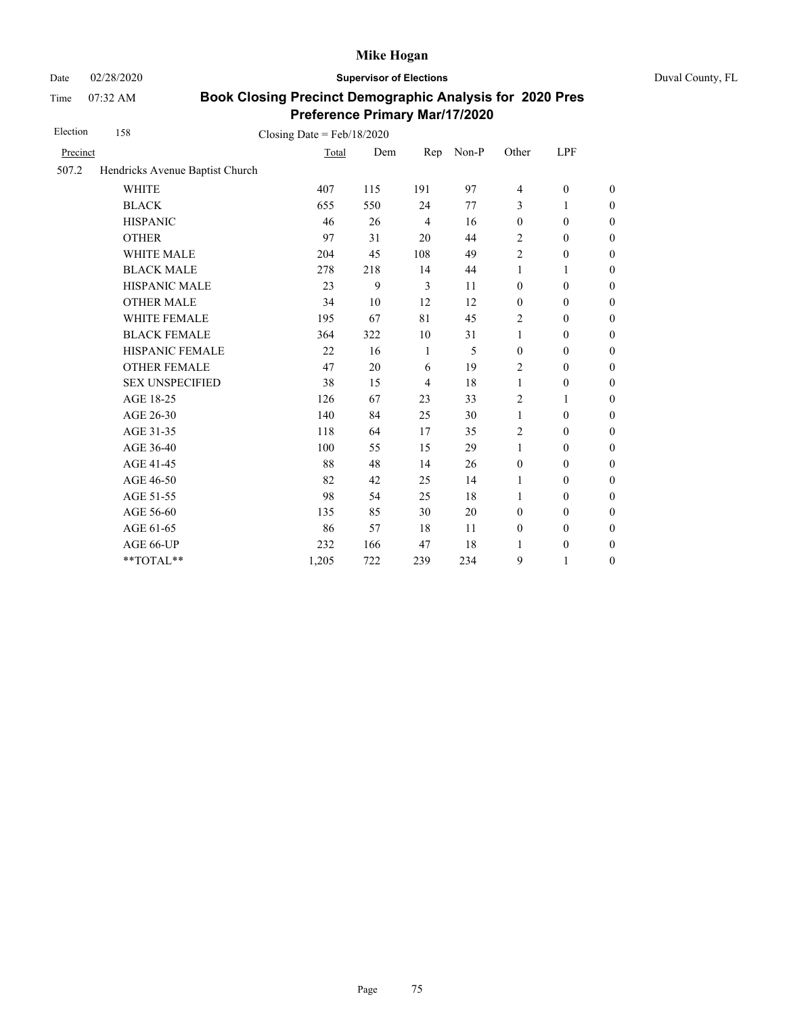Date 02/28/2020 **Supervisor of Elections** Duval County, FL

Time 07:32 AM

| Election | 158                             | Closing Date = $Feb/18/2020$ |     |     |       |                          |                  |                  |
|----------|---------------------------------|------------------------------|-----|-----|-------|--------------------------|------------------|------------------|
| Precinct |                                 | Total                        | Dem | Rep | Non-P | Other                    | LPF              |                  |
| 507.2    | Hendricks Avenue Baptist Church |                              |     |     |       |                          |                  |                  |
|          | <b>WHITE</b>                    | 407                          | 115 | 191 | 97    | $\overline{\mathcal{L}}$ | $\boldsymbol{0}$ | $\boldsymbol{0}$ |
|          | <b>BLACK</b>                    | 655                          | 550 | 24  | 77    | 3                        | 1                | $\boldsymbol{0}$ |
|          | <b>HISPANIC</b>                 | 46                           | 26  | 4   | 16    | $\boldsymbol{0}$         | $\boldsymbol{0}$ | $\boldsymbol{0}$ |
|          | <b>OTHER</b>                    | 97                           | 31  | 20  | 44    | 2                        | $\boldsymbol{0}$ | $\boldsymbol{0}$ |
|          | WHITE MALE                      | 204                          | 45  | 108 | 49    | $\mathbf{2}$             | $\boldsymbol{0}$ | $\boldsymbol{0}$ |
|          | <b>BLACK MALE</b>               | 278                          | 218 | 14  | 44    | 1                        | 1                | $\boldsymbol{0}$ |
|          | <b>HISPANIC MALE</b>            | 23                           | 9   | 3   | 11    | $\boldsymbol{0}$         | $\theta$         | $\mathbf{0}$     |
|          | <b>OTHER MALE</b>               | 34                           | 10  | 12  | 12    | $\boldsymbol{0}$         | $\boldsymbol{0}$ | $\boldsymbol{0}$ |
|          | WHITE FEMALE                    | 195                          | 67  | 81  | 45    | 2                        | $\theta$         | $\boldsymbol{0}$ |
|          | <b>BLACK FEMALE</b>             | 364                          | 322 | 10  | 31    | 1                        | $\theta$         | $\boldsymbol{0}$ |
|          | HISPANIC FEMALE                 | 22                           | 16  | 1   | 5     | $\mathbf{0}$             | $\boldsymbol{0}$ | $\boldsymbol{0}$ |
|          | <b>OTHER FEMALE</b>             | 47                           | 20  | 6   | 19    | $\overline{c}$           | $\theta$         | $\boldsymbol{0}$ |
|          | <b>SEX UNSPECIFIED</b>          | 38                           | 15  | 4   | 18    | 1                        | $\boldsymbol{0}$ | $\boldsymbol{0}$ |
|          | AGE 18-25                       | 126                          | 67  | 23  | 33    | $\overline{2}$           | 1                | $\boldsymbol{0}$ |
|          | AGE 26-30                       | 140                          | 84  | 25  | 30    | 1                        | $\theta$         | $\mathbf{0}$     |
|          | AGE 31-35                       | 118                          | 64  | 17  | 35    | 2                        | $\boldsymbol{0}$ | $\boldsymbol{0}$ |
|          | AGE 36-40                       | 100                          | 55  | 15  | 29    | 1                        | $\boldsymbol{0}$ | $\boldsymbol{0}$ |
|          | AGE 41-45                       | 88                           | 48  | 14  | 26    | $\boldsymbol{0}$         | $\boldsymbol{0}$ | $\boldsymbol{0}$ |
|          | AGE 46-50                       | 82                           | 42  | 25  | 14    | 1                        | 0                | $\boldsymbol{0}$ |
|          | AGE 51-55                       | 98                           | 54  | 25  | 18    | 1                        | $\theta$         | $\boldsymbol{0}$ |
|          | AGE 56-60                       | 135                          | 85  | 30  | 20    | $\mathbf{0}$             | $\theta$         | $\boldsymbol{0}$ |
|          | AGE 61-65                       | 86                           | 57  | 18  | 11    | $\boldsymbol{0}$         | $\boldsymbol{0}$ | $\boldsymbol{0}$ |
|          | AGE 66-UP                       | 232                          | 166 | 47  | 18    | 1                        | $\boldsymbol{0}$ | $\boldsymbol{0}$ |
|          | **TOTAL**                       | 1,205                        | 722 | 239 | 234   | 9                        | 1                | $\boldsymbol{0}$ |
|          |                                 |                              |     |     |       |                          |                  |                  |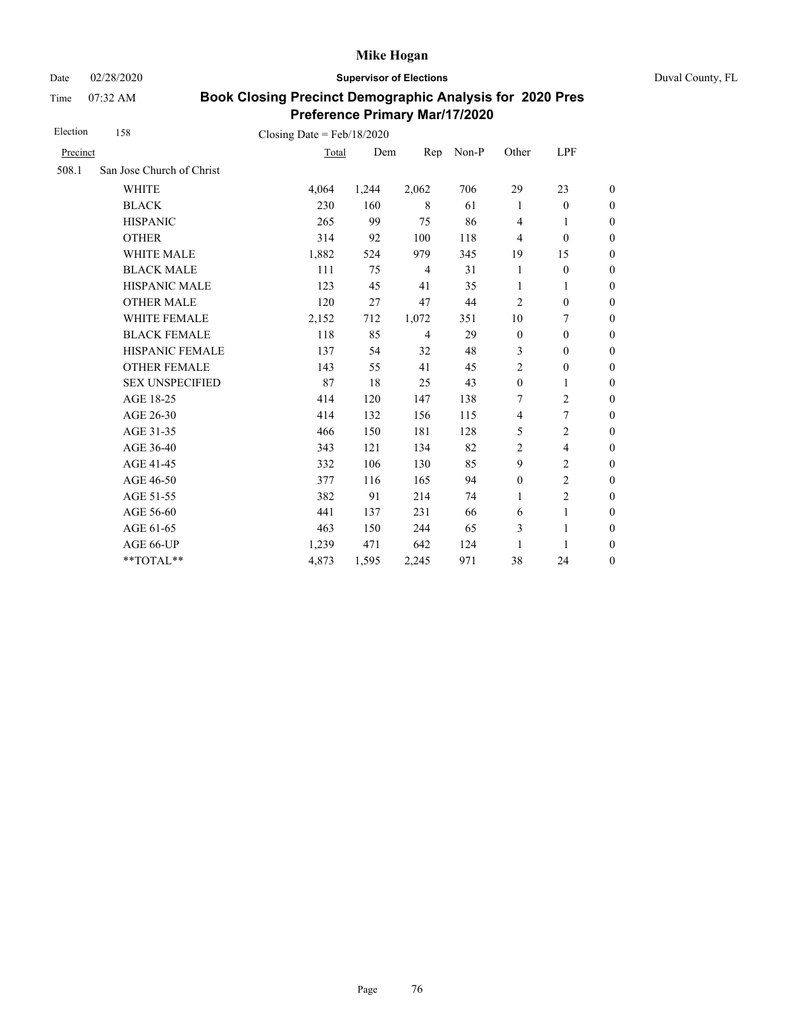Date 02/28/2020 **Supervisor of Elections** Duval County, FL

Time 07:32 AM

| Election | 158                       | Closing Date = $Feb/18/2020$ |       |                |       |                  |                          |                  |
|----------|---------------------------|------------------------------|-------|----------------|-------|------------------|--------------------------|------------------|
| Precinct |                           | Total                        | Dem   | Rep            | Non-P | Other            | LPF                      |                  |
| 508.1    | San Jose Church of Christ |                              |       |                |       |                  |                          |                  |
|          | <b>WHITE</b>              | 4,064                        | 1,244 | 2,062          | 706   | 29               | 23                       | $\boldsymbol{0}$ |
|          | <b>BLACK</b>              | 230                          | 160   | 8              | 61    | 1                | $\boldsymbol{0}$         | $\boldsymbol{0}$ |
|          | <b>HISPANIC</b>           | 265                          | 99    | 75             | 86    | $\overline{4}$   | 1                        | $\overline{0}$   |
|          | <b>OTHER</b>              | 314                          | 92    | 100            | 118   | 4                | $\mathbf{0}$             | $\overline{0}$   |
|          | <b>WHITE MALE</b>         | 1,882                        | 524   | 979            | 345   | 19               | 15                       | $\boldsymbol{0}$ |
|          | <b>BLACK MALE</b>         | 111                          | 75    | $\overline{4}$ | 31    | 1                | $\boldsymbol{0}$         | $\boldsymbol{0}$ |
|          | <b>HISPANIC MALE</b>      | 123                          | 45    | 41             | 35    | $\mathbf{1}$     | $\mathbf{1}$             | $\overline{0}$   |
|          | <b>OTHER MALE</b>         | 120                          | 27    | 47             | 44    | 2                | $\mathbf{0}$             | $\boldsymbol{0}$ |
|          | WHITE FEMALE              | 2,152                        | 712   | 1,072          | 351   | 10               | 7                        | $\boldsymbol{0}$ |
|          | <b>BLACK FEMALE</b>       | 118                          | 85    | $\overline{4}$ | 29    | $\boldsymbol{0}$ | $\mathbf{0}$             | $\overline{0}$   |
|          | <b>HISPANIC FEMALE</b>    | 137                          | 54    | 32             | 48    | 3                | $\boldsymbol{0}$         | $\boldsymbol{0}$ |
|          | <b>OTHER FEMALE</b>       | 143                          | 55    | 41             | 45    | $\overline{2}$   | $\boldsymbol{0}$         | $\boldsymbol{0}$ |
|          | <b>SEX UNSPECIFIED</b>    | 87                           | 18    | 25             | 43    | $\mathbf{0}$     | 1                        | $\boldsymbol{0}$ |
|          | AGE 18-25                 | 414                          | 120   | 147            | 138   | 7                | $\overline{2}$           | $\overline{0}$   |
|          | AGE 26-30                 | 414                          | 132   | 156            | 115   | 4                | $\overline{7}$           | $\boldsymbol{0}$ |
|          | AGE 31-35                 | 466                          | 150   | 181            | 128   | 5                | $\overline{c}$           | $\boldsymbol{0}$ |
|          | AGE 36-40                 | 343                          | 121   | 134            | 82    | 2                | $\overline{\mathcal{L}}$ | $\boldsymbol{0}$ |
|          | AGE 41-45                 | 332                          | 106   | 130            | 85    | 9                | $\overline{c}$           | $\overline{0}$   |
|          | AGE 46-50                 | 377                          | 116   | 165            | 94    | $\boldsymbol{0}$ | $\overline{2}$           | $\boldsymbol{0}$ |
|          | AGE 51-55                 | 382                          | 91    | 214            | 74    | $\mathbf{1}$     | $\overline{c}$           | $\boldsymbol{0}$ |
|          | AGE 56-60                 | 441                          | 137   | 231            | 66    | 6                | $\mathbf{1}$             | $\overline{0}$   |
|          | AGE 61-65                 | 463                          | 150   | 244            | 65    | 3                | 1                        | $\boldsymbol{0}$ |
|          | AGE 66-UP                 | 1,239                        | 471   | 642            | 124   | 1                | 1                        | $\boldsymbol{0}$ |
|          | **TOTAL**                 | 4,873                        | 1,595 | 2,245          | 971   | 38               | 24                       | $\overline{0}$   |
|          |                           |                              |       |                |       |                  |                          |                  |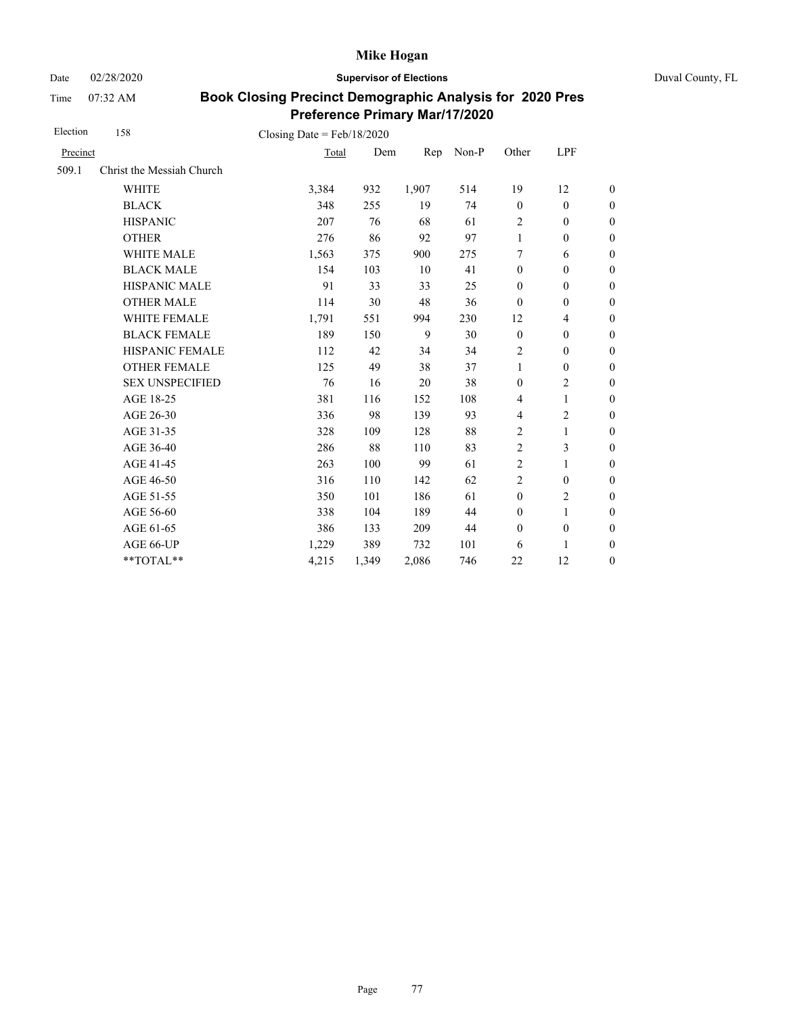Date 02/28/2020 **Supervisor of Elections** Duval County, FL

Time 07:32 AM

| Election | 158                       | Closing Date = $Feb/18/2020$ |       |       |       |                  |                  |                  |
|----------|---------------------------|------------------------------|-------|-------|-------|------------------|------------------|------------------|
| Precinct |                           | Total                        | Dem   | Rep   | Non-P | Other            | LPF              |                  |
| 509.1    | Christ the Messiah Church |                              |       |       |       |                  |                  |                  |
|          | <b>WHITE</b>              | 3,384                        | 932   | 1,907 | 514   | 19               | 12               | $\boldsymbol{0}$ |
|          | <b>BLACK</b>              | 348                          | 255   | 19    | 74    | $\mathbf{0}$     | $\mathbf{0}$     | $\boldsymbol{0}$ |
|          | <b>HISPANIC</b>           | 207                          | 76    | 68    | 61    | $\overline{2}$   | $\mathbf{0}$     | $\overline{0}$   |
|          | <b>OTHER</b>              | 276                          | 86    | 92    | 97    | 1                | $\boldsymbol{0}$ | $\overline{0}$   |
|          | <b>WHITE MALE</b>         | 1,563                        | 375   | 900   | 275   | 7                | 6                | $\boldsymbol{0}$ |
|          | <b>BLACK MALE</b>         | 154                          | 103   | 10    | 41    | $\mathbf{0}$     | $\mathbf{0}$     | $\boldsymbol{0}$ |
|          | <b>HISPANIC MALE</b>      | 91                           | 33    | 33    | 25    | $\mathbf{0}$     | $\boldsymbol{0}$ | $\overline{0}$   |
|          | <b>OTHER MALE</b>         | 114                          | 30    | 48    | 36    | $\boldsymbol{0}$ | $\boldsymbol{0}$ | $\boldsymbol{0}$ |
|          | <b>WHITE FEMALE</b>       | 1,791                        | 551   | 994   | 230   | 12               | $\overline{4}$   | $\boldsymbol{0}$ |
|          | <b>BLACK FEMALE</b>       | 189                          | 150   | 9     | 30    | $\mathbf{0}$     | $\mathbf{0}$     | $\overline{0}$   |
|          | HISPANIC FEMALE           | 112                          | 42    | 34    | 34    | $\overline{c}$   | $\boldsymbol{0}$ | $\boldsymbol{0}$ |
|          | <b>OTHER FEMALE</b>       | 125                          | 49    | 38    | 37    | $\mathbf{1}$     | $\boldsymbol{0}$ | $\boldsymbol{0}$ |
|          | <b>SEX UNSPECIFIED</b>    | 76                           | 16    | 20    | 38    | $\mathbf{0}$     | $\mathbf{2}$     | $\boldsymbol{0}$ |
|          | AGE 18-25                 | 381                          | 116   | 152   | 108   | $\overline{4}$   | $\mathbf{1}$     | $\boldsymbol{0}$ |
|          | AGE 26-30                 | 336                          | 98    | 139   | 93    | 4                | $\overline{c}$   | $\boldsymbol{0}$ |
|          | AGE 31-35                 | 328                          | 109   | 128   | 88    | 2                | 1                | $\boldsymbol{0}$ |
|          | AGE 36-40                 | 286                          | 88    | 110   | 83    | 2                | 3                | $\boldsymbol{0}$ |
|          | AGE 41-45                 | 263                          | 100   | 99    | 61    | $\overline{2}$   | $\mathbf{1}$     | $\overline{0}$   |
|          | AGE 46-50                 | 316                          | 110   | 142   | 62    | $\overline{c}$   | $\mathbf{0}$     | $\boldsymbol{0}$ |
|          | AGE 51-55                 | 350                          | 101   | 186   | 61    | $\mathbf{0}$     | $\mathbf{2}$     | $\boldsymbol{0}$ |
|          | AGE 56-60                 | 338                          | 104   | 189   | 44    | $\mathbf{0}$     | 1                | $\overline{0}$   |
|          | AGE 61-65                 | 386                          | 133   | 209   | 44    | $\mathbf{0}$     | $\boldsymbol{0}$ | $\boldsymbol{0}$ |
|          | AGE 66-UP                 | 1,229                        | 389   | 732   | 101   | 6                | 1                | $\overline{0}$   |
|          | **TOTAL**                 | 4,215                        | 1,349 | 2,086 | 746   | 22               | 12               | $\overline{0}$   |
|          |                           |                              |       |       |       |                  |                  |                  |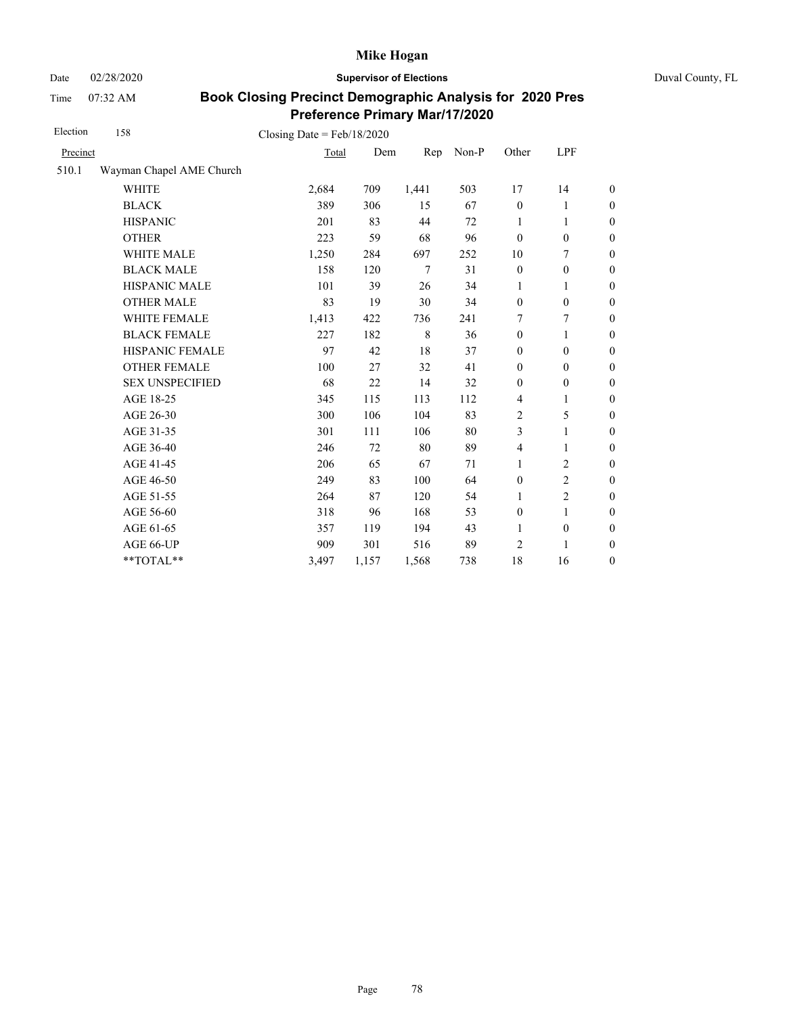Date 02/28/2020 **Supervisor of Elections** Duval County, FL

Time 07:32 AM

| 158                      |       |       |                                       |       |                  |                  |                  |
|--------------------------|-------|-------|---------------------------------------|-------|------------------|------------------|------------------|
| Precinct                 |       | Dem   | Rep                                   | Non-P | Other            | LPF              |                  |
| Wayman Chapel AME Church |       |       |                                       |       |                  |                  |                  |
| <b>WHITE</b>             | 2,684 | 709   | 1,441                                 | 503   | 17               | 14               | $\boldsymbol{0}$ |
| <b>BLACK</b>             | 389   | 306   | 15                                    | 67    | $\mathbf{0}$     | 1                | $\boldsymbol{0}$ |
| <b>HISPANIC</b>          | 201   | 83    | 44                                    | 72    | 1                | 1                | $\boldsymbol{0}$ |
| <b>OTHER</b>             | 223   | 59    | 68                                    | 96    | $\boldsymbol{0}$ | $\boldsymbol{0}$ | $\overline{0}$   |
| WHITE MALE               | 1,250 | 284   | 697                                   | 252   | 10               | 7                | $\boldsymbol{0}$ |
| <b>BLACK MALE</b>        | 158   | 120   | 7                                     | 31    | $\boldsymbol{0}$ | $\boldsymbol{0}$ | $\boldsymbol{0}$ |
| HISPANIC MALE            | 101   | 39    | 26                                    | 34    | 1                | 1                | $\boldsymbol{0}$ |
| <b>OTHER MALE</b>        | 83    | 19    | 30                                    | 34    | $\boldsymbol{0}$ | $\boldsymbol{0}$ | $\boldsymbol{0}$ |
| WHITE FEMALE             | 1,413 | 422   | 736                                   | 241   | 7                | 7                | $\boldsymbol{0}$ |
| <b>BLACK FEMALE</b>      | 227   | 182   | 8                                     | 36    | $\mathbf{0}$     | 1                | $\boldsymbol{0}$ |
| HISPANIC FEMALE          | 97    | 42    | 18                                    | 37    | $\boldsymbol{0}$ | $\boldsymbol{0}$ | $\boldsymbol{0}$ |
| <b>OTHER FEMALE</b>      | 100   | 27    | 32                                    | 41    | $\boldsymbol{0}$ | $\mathbf{0}$     | $\boldsymbol{0}$ |
| <b>SEX UNSPECIFIED</b>   | 68    | 22    | 14                                    | 32    | $\mathbf{0}$     | $\boldsymbol{0}$ | $\boldsymbol{0}$ |
| AGE 18-25                | 345   | 115   | 113                                   | 112   | 4                | 1                | $\boldsymbol{0}$ |
| AGE 26-30                | 300   | 106   | 104                                   | 83    | $\overline{c}$   | 5                | $\overline{0}$   |
| AGE 31-35                | 301   | 111   | 106                                   | 80    | 3                | 1                | $\boldsymbol{0}$ |
| AGE 36-40                | 246   | 72    | 80                                    | 89    | $\overline{4}$   | 1                | $\boldsymbol{0}$ |
| AGE 41-45                | 206   | 65    | 67                                    | 71    | 1                | $\overline{2}$   | $\boldsymbol{0}$ |
| AGE 46-50                | 249   | 83    | 100                                   | 64    | $\mathbf{0}$     | $\overline{2}$   | $\boldsymbol{0}$ |
| AGE 51-55                | 264   | 87    | 120                                   | 54    | $\mathbf{1}$     | $\overline{2}$   | $\boldsymbol{0}$ |
| AGE 56-60                | 318   | 96    | 168                                   | 53    | $\boldsymbol{0}$ | 1                | $\boldsymbol{0}$ |
| AGE 61-65                | 357   | 119   | 194                                   | 43    | $\mathbf{1}$     | $\boldsymbol{0}$ | $\boldsymbol{0}$ |
| AGE 66-UP                | 909   | 301   | 516                                   | 89    | 2                | 1                | $\boldsymbol{0}$ |
| **TOTAL**                | 3,497 | 1,157 | 1,568                                 | 738   | 18               | 16               | $\boldsymbol{0}$ |
|                          |       |       | Closing Date = $Feb/18/2020$<br>Total |       |                  |                  |                  |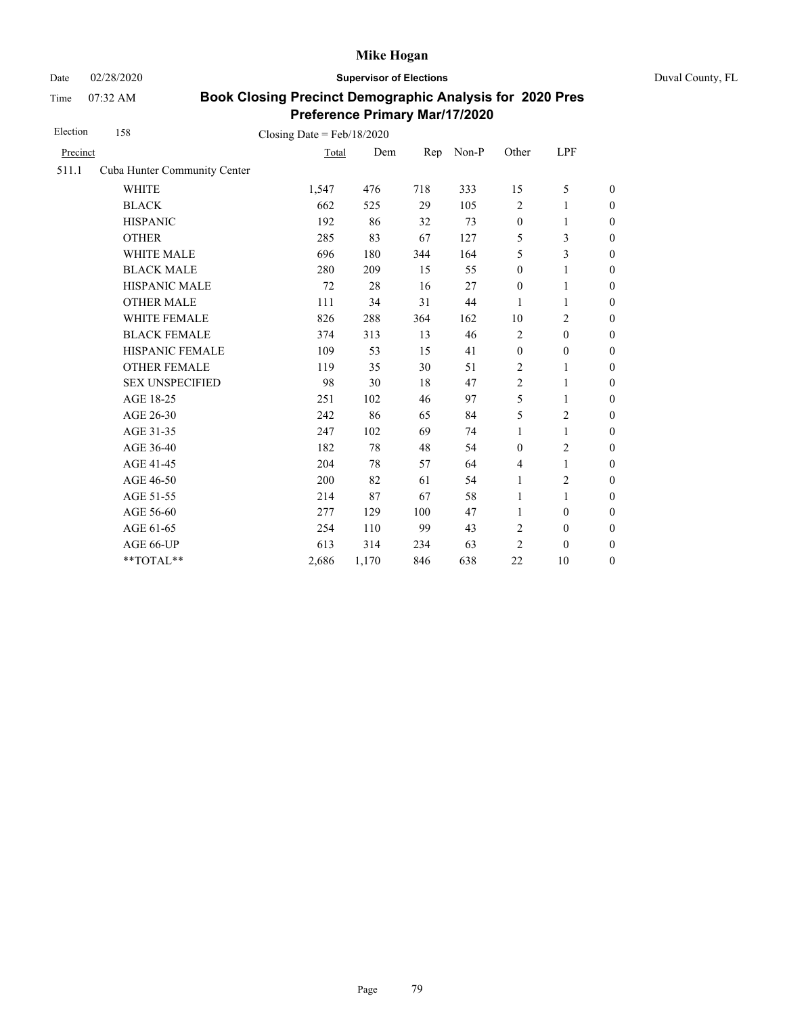Date 02/28/2020 **Supervisor of Elections** Duval County, FL

Time 07:32 AM

| Election | 158                          | Closing Date = $Feb/18/2020$ |       |     |       |                  |                  |                  |
|----------|------------------------------|------------------------------|-------|-----|-------|------------------|------------------|------------------|
| Precinct |                              | Total                        | Dem   | Rep | Non-P | Other            | LPF              |                  |
| 511.1    | Cuba Hunter Community Center |                              |       |     |       |                  |                  |                  |
|          | <b>WHITE</b>                 | 1,547                        | 476   | 718 | 333   | 15               | 5                | $\boldsymbol{0}$ |
|          | <b>BLACK</b>                 | 662                          | 525   | 29  | 105   | $\overline{c}$   | 1                | $\boldsymbol{0}$ |
|          | <b>HISPANIC</b>              | 192                          | 86    | 32  | 73    | $\boldsymbol{0}$ | $\mathbf{1}$     | $\boldsymbol{0}$ |
|          | <b>OTHER</b>                 | 285                          | 83    | 67  | 127   | 5                | 3                | $\overline{0}$   |
|          | WHITE MALE                   | 696                          | 180   | 344 | 164   | 5                | 3                | $\boldsymbol{0}$ |
|          | <b>BLACK MALE</b>            | 280                          | 209   | 15  | 55    | $\mathbf{0}$     | 1                | 0                |
|          | <b>HISPANIC MALE</b>         | 72                           | 28    | 16  | 27    | $\boldsymbol{0}$ | $\mathbf{1}$     | $\overline{0}$   |
|          | <b>OTHER MALE</b>            | 111                          | 34    | 31  | 44    | 1                | 1                | $\boldsymbol{0}$ |
|          | WHITE FEMALE                 | 826                          | 288   | 364 | 162   | 10               | $\overline{c}$   | $\boldsymbol{0}$ |
|          | <b>BLACK FEMALE</b>          | 374                          | 313   | 13  | 46    | $\overline{c}$   | $\mathbf{0}$     | $\boldsymbol{0}$ |
|          | HISPANIC FEMALE              | 109                          | 53    | 15  | 41    | $\boldsymbol{0}$ | $\boldsymbol{0}$ | $\overline{0}$   |
|          | <b>OTHER FEMALE</b>          | 119                          | 35    | 30  | 51    | $\overline{c}$   | 1                | $\overline{0}$   |
|          | <b>SEX UNSPECIFIED</b>       | 98                           | 30    | 18  | 47    | $\overline{2}$   | 1                | $\boldsymbol{0}$ |
|          | AGE 18-25                    | 251                          | 102   | 46  | 97    | 5                | 1                | $\overline{0}$   |
|          | AGE 26-30                    | 242                          | 86    | 65  | 84    | 5                | $\overline{2}$   | $\overline{0}$   |
|          | AGE 31-35                    | 247                          | 102   | 69  | 74    | 1                | 1                | $\boldsymbol{0}$ |
|          | AGE 36-40                    | 182                          | 78    | 48  | 54    | $\mathbf{0}$     | $\overline{c}$   | $\boldsymbol{0}$ |
|          | AGE 41-45                    | 204                          | 78    | 57  | 64    | $\overline{4}$   | $\mathbf{1}$     | $\overline{0}$   |
|          | AGE 46-50                    | 200                          | 82    | 61  | 54    | 1                | 2                | $\boldsymbol{0}$ |
|          | AGE 51-55                    | 214                          | 87    | 67  | 58    | 1                | $\mathbf{1}$     | $\boldsymbol{0}$ |
|          | AGE 56-60                    | 277                          | 129   | 100 | 47    | 1                | $\mathbf{0}$     | $\boldsymbol{0}$ |
|          | AGE 61-65                    | 254                          | 110   | 99  | 43    | $\overline{c}$   | $\boldsymbol{0}$ | $\boldsymbol{0}$ |
|          | AGE 66-UP                    | 613                          | 314   | 234 | 63    | $\overline{2}$   | $\boldsymbol{0}$ | $\boldsymbol{0}$ |
|          | **TOTAL**                    | 2,686                        | 1,170 | 846 | 638   | 22               | 10               | $\boldsymbol{0}$ |
|          |                              |                              |       |     |       |                  |                  |                  |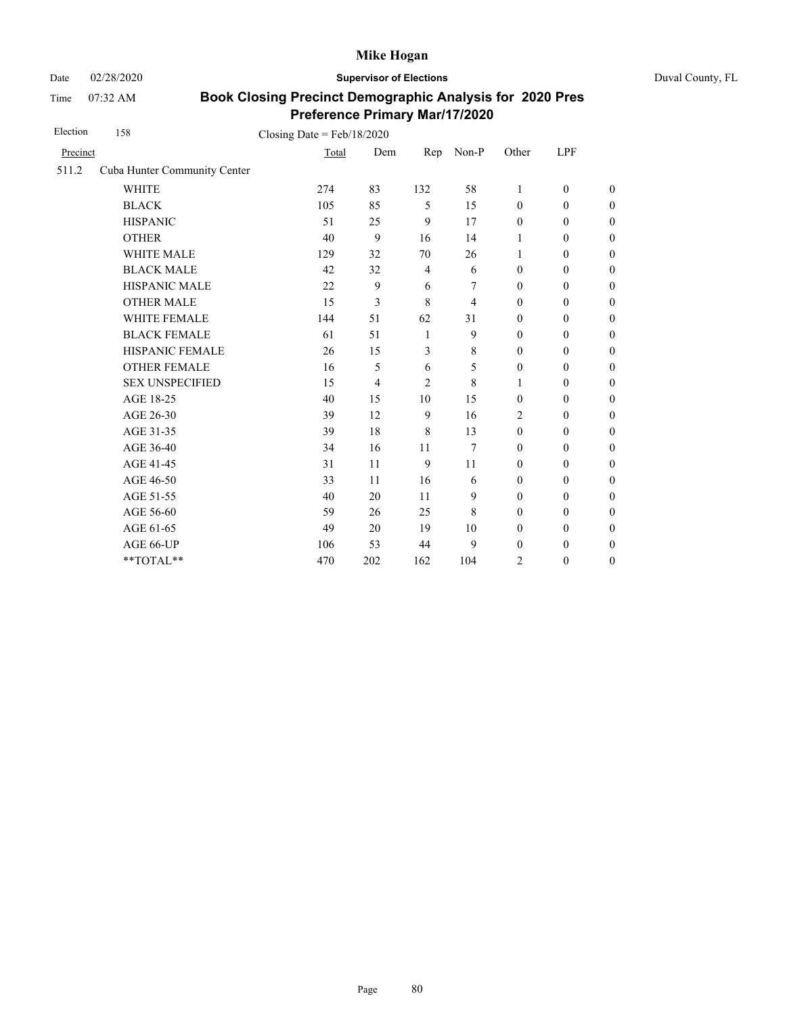Date 02/28/2020 **Supervisor of Elections** Duval County, FL

Time 07:32 AM

| Election | 158                          | Closing Date = $Feb/18/2020$ |     |                |       |                  |                  |                  |
|----------|------------------------------|------------------------------|-----|----------------|-------|------------------|------------------|------------------|
| Precinct |                              | Total                        | Dem | Rep            | Non-P | Other            | LPF              |                  |
| 511.2    | Cuba Hunter Community Center |                              |     |                |       |                  |                  |                  |
|          | <b>WHITE</b>                 | 274                          | 83  | 132            | 58    | $\mathbf{1}$     | $\boldsymbol{0}$ | $\boldsymbol{0}$ |
|          | <b>BLACK</b>                 | 105                          | 85  | 5              | 15    | $\mathbf{0}$     | $\boldsymbol{0}$ | $\boldsymbol{0}$ |
|          | <b>HISPANIC</b>              | 51                           | 25  | 9              | 17    | $\mathbf{0}$     | $\mathbf{0}$     | $\boldsymbol{0}$ |
|          | <b>OTHER</b>                 | 40                           | 9   | 16             | 14    | 1                | $\mathbf{0}$     | $\overline{0}$   |
|          | WHITE MALE                   | 129                          | 32  | 70             | 26    | 1                | $\mathbf{0}$     | $\boldsymbol{0}$ |
|          | <b>BLACK MALE</b>            | 42                           | 32  | $\overline{4}$ | 6     | $\mathbf{0}$     | $\mathbf{0}$     | $\boldsymbol{0}$ |
|          | <b>HISPANIC MALE</b>         | 22                           | 9   | 6              | 7     | $\mathbf{0}$     | $\boldsymbol{0}$ | $\overline{0}$   |
|          | <b>OTHER MALE</b>            | 15                           | 3   | 8              | 4     | $\mathbf{0}$     | $\mathbf{0}$     | $\boldsymbol{0}$ |
|          | WHITE FEMALE                 | 144                          | 51  | 62             | 31    | $\mathbf{0}$     | $\mathbf{0}$     | $\overline{0}$   |
|          | <b>BLACK FEMALE</b>          | 61                           | 51  | $\mathbf{1}$   | 9     | $\mathbf{0}$     | $\mathbf{0}$     | $\boldsymbol{0}$ |
|          | HISPANIC FEMALE              | 26                           | 15  | 3              | 8     | $\mathbf{0}$     | $\mathbf{0}$     | $\overline{0}$   |
|          | <b>OTHER FEMALE</b>          | 16                           | 5   | 6              | 5     | $\mathbf{0}$     | $\mathbf{0}$     | $\overline{0}$   |
|          | <b>SEX UNSPECIFIED</b>       | 15                           | 4   | $\overline{2}$ | 8     | 1                | $\boldsymbol{0}$ | $\boldsymbol{0}$ |
|          | AGE 18-25                    | 40                           | 15  | 10             | 15    | $\mathbf{0}$     | $\mathbf{0}$     | $\overline{0}$   |
|          | AGE 26-30                    | 39                           | 12  | 9              | 16    | $\overline{2}$   | $\mathbf{0}$     | $\overline{0}$   |
|          | AGE 31-35                    | 39                           | 18  | 8              | 13    | $\boldsymbol{0}$ | $\boldsymbol{0}$ | $\boldsymbol{0}$ |
|          | AGE 36-40                    | 34                           | 16  | 11             | 7     | $\mathbf{0}$     | $\boldsymbol{0}$ | $\boldsymbol{0}$ |
|          | AGE 41-45                    | 31                           | 11  | 9              | 11    | $\boldsymbol{0}$ | $\boldsymbol{0}$ | $\overline{0}$   |
|          | AGE 46-50                    | 33                           | 11  | 16             | 6     | $\boldsymbol{0}$ | $\boldsymbol{0}$ | $\boldsymbol{0}$ |
|          | AGE 51-55                    | 40                           | 20  | 11             | 9     | $\mathbf{0}$     | $\boldsymbol{0}$ | $\boldsymbol{0}$ |
|          | AGE 56-60                    | 59                           | 26  | 25             | 8     | $\mathbf{0}$     | $\mathbf{0}$     | $\overline{0}$   |
|          | AGE 61-65                    | 49                           | 20  | 19             | 10    | $\boldsymbol{0}$ | $\boldsymbol{0}$ | $\boldsymbol{0}$ |
|          | AGE 66-UP                    | 106                          | 53  | 44             | 9     | $\boldsymbol{0}$ | $\boldsymbol{0}$ | $\boldsymbol{0}$ |
|          | **TOTAL**                    | 470                          | 202 | 162            | 104   | 2                | $\boldsymbol{0}$ | $\boldsymbol{0}$ |
|          |                              |                              |     |                |       |                  |                  |                  |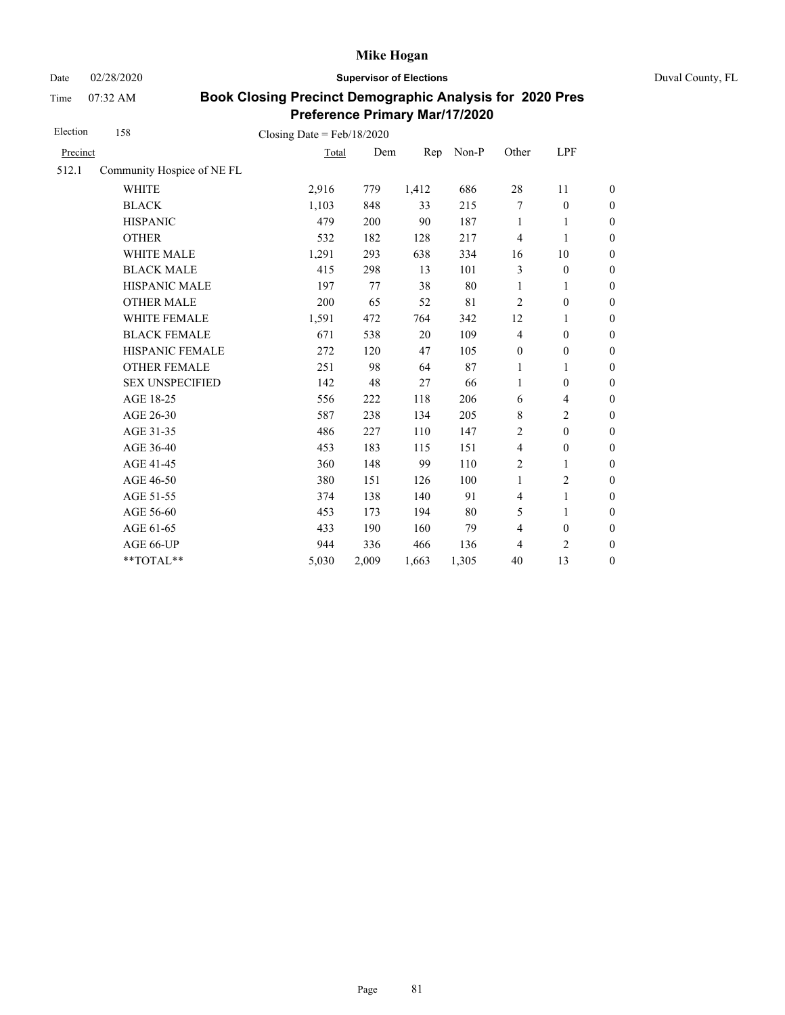Time 07:32 AM

Date 02/28/2020 **Supervisor of Elections** Duval County, FL

| Election | 158                        | Closing Date = $Feb/18/2020$ |       |       |       |                  |                          |                  |
|----------|----------------------------|------------------------------|-------|-------|-------|------------------|--------------------------|------------------|
| Precinct |                            | Total                        | Dem   | Rep   | Non-P | Other            | LPF                      |                  |
| 512.1    | Community Hospice of NE FL |                              |       |       |       |                  |                          |                  |
|          | <b>WHITE</b>               | 2,916                        | 779   | 1,412 | 686   | $28\,$           | 11                       | $\overline{0}$   |
|          | <b>BLACK</b>               | 1,103                        | 848   | 33    | 215   | 7                | $\boldsymbol{0}$         | $\boldsymbol{0}$ |
|          | <b>HISPANIC</b>            | 479                          | 200   | 90    | 187   | $\mathbf{1}$     | 1                        | $\boldsymbol{0}$ |
|          | <b>OTHER</b>               | 532                          | 182   | 128   | 217   | $\overline{4}$   | $\mathbf{1}$             | $\overline{0}$   |
|          | WHITE MALE                 | 1,291                        | 293   | 638   | 334   | 16               | 10                       | $\boldsymbol{0}$ |
|          | <b>BLACK MALE</b>          | 415                          | 298   | 13    | 101   | 3                | $\mathbf{0}$             | $\boldsymbol{0}$ |
|          | <b>HISPANIC MALE</b>       | 197                          | 77    | 38    | 80    | 1                | 1                        | $\boldsymbol{0}$ |
|          | <b>OTHER MALE</b>          | 200                          | 65    | 52    | 81    | $\overline{2}$   | $\boldsymbol{0}$         | $\overline{0}$   |
|          | WHITE FEMALE               | 1,591                        | 472   | 764   | 342   | 12               | 1                        | $\boldsymbol{0}$ |
|          | <b>BLACK FEMALE</b>        | 671                          | 538   | 20    | 109   | $\overline{4}$   | $\mathbf{0}$             | $\boldsymbol{0}$ |
|          | <b>HISPANIC FEMALE</b>     | 272                          | 120   | 47    | 105   | $\boldsymbol{0}$ | $\boldsymbol{0}$         | $\boldsymbol{0}$ |
|          | <b>OTHER FEMALE</b>        | 251                          | 98    | 64    | 87    | $\mathbf{1}$     | 1                        | $\boldsymbol{0}$ |
|          | <b>SEX UNSPECIFIED</b>     | 142                          | 48    | 27    | 66    | 1                | $\boldsymbol{0}$         | $\boldsymbol{0}$ |
|          | AGE 18-25                  | 556                          | 222   | 118   | 206   | 6                | $\overline{\mathcal{L}}$ | $\boldsymbol{0}$ |
|          | AGE 26-30                  | 587                          | 238   | 134   | 205   | 8                | $\overline{c}$           | $\overline{0}$   |
|          | AGE 31-35                  | 486                          | 227   | 110   | 147   | 2                | $\mathbf{0}$             | $\boldsymbol{0}$ |
|          | AGE 36-40                  | 453                          | 183   | 115   | 151   | $\overline{4}$   | $\boldsymbol{0}$         | $\boldsymbol{0}$ |
|          | AGE 41-45                  | 360                          | 148   | 99    | 110   | $\overline{c}$   | $\mathbf{1}$             | $\boldsymbol{0}$ |
|          | AGE 46-50                  | 380                          | 151   | 126   | 100   | $\mathbf{1}$     | $\overline{2}$           | $\overline{0}$   |
|          | AGE 51-55                  | 374                          | 138   | 140   | 91    | $\overline{4}$   | 1                        | $\overline{0}$   |
|          | AGE 56-60                  | 453                          | 173   | 194   | 80    | 5                | 1                        | $\boldsymbol{0}$ |
|          | AGE 61-65                  | 433                          | 190   | 160   | 79    | $\overline{4}$   | $\boldsymbol{0}$         | $\boldsymbol{0}$ |
|          | AGE 66-UP                  | 944                          | 336   | 466   | 136   | 4                | 2                        | $\boldsymbol{0}$ |
|          | **TOTAL**                  | 5,030                        | 2,009 | 1,663 | 1,305 | 40               | 13                       | $\boldsymbol{0}$ |
|          |                            |                              |       |       |       |                  |                          |                  |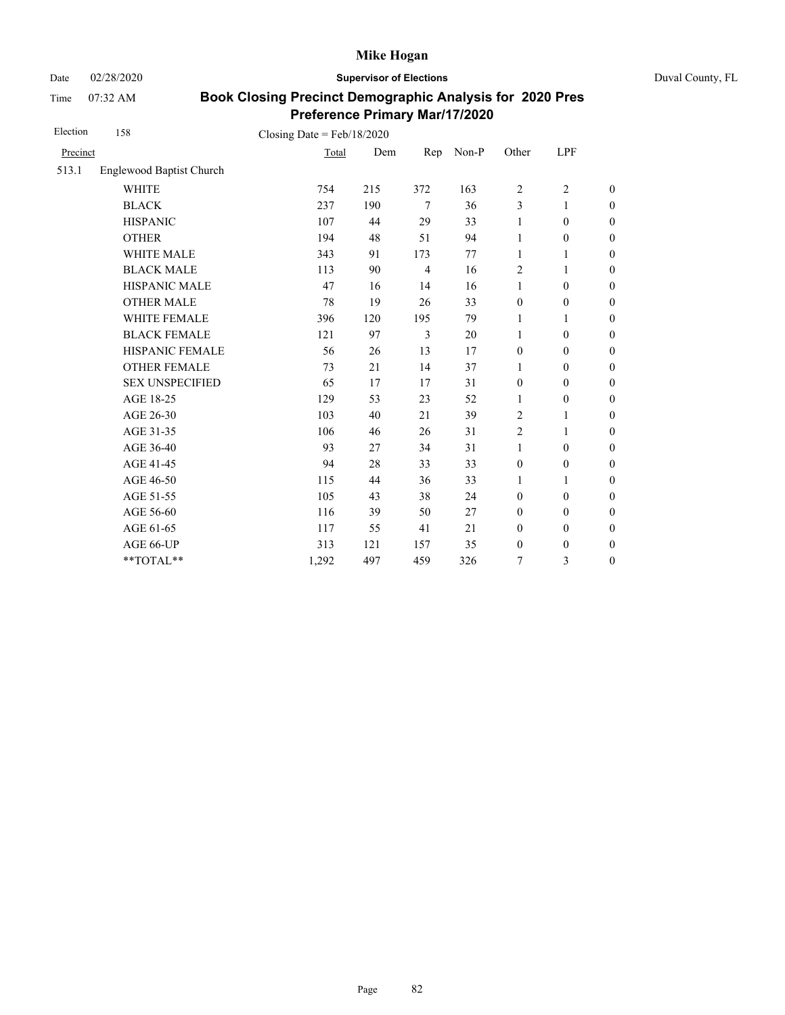Date 02/28/2020 **Supervisor of Elections** Duval County, FL

Time 07:32 AM

| Election | 158                      | Closing Date = $Feb/18/2020$ |     |                |       |                  |                  |                  |
|----------|--------------------------|------------------------------|-----|----------------|-------|------------------|------------------|------------------|
| Precinct |                          | Total                        | Dem | Rep            | Non-P | Other            | LPF              |                  |
| 513.1    | Englewood Baptist Church |                              |     |                |       |                  |                  |                  |
|          | <b>WHITE</b>             | 754                          | 215 | 372            | 163   | $\overline{2}$   | $\overline{c}$   | $\boldsymbol{0}$ |
|          | <b>BLACK</b>             | 237                          | 190 | $\tau$         | 36    | 3                | 1                | $\boldsymbol{0}$ |
|          | <b>HISPANIC</b>          | 107                          | 44  | 29             | 33    | 1                | $\boldsymbol{0}$ | $\boldsymbol{0}$ |
|          | <b>OTHER</b>             | 194                          | 48  | 51             | 94    | 1                | $\boldsymbol{0}$ | $\boldsymbol{0}$ |
|          | WHITE MALE               | 343                          | 91  | 173            | 77    | 1                | 1                | $\boldsymbol{0}$ |
|          | <b>BLACK MALE</b>        | 113                          | 90  | $\overline{4}$ | 16    | 2                | 1                | $\boldsymbol{0}$ |
|          | HISPANIC MALE            | 47                           | 16  | 14             | 16    | $\mathbf{1}$     | $\boldsymbol{0}$ | $\overline{0}$   |
|          | <b>OTHER MALE</b>        | 78                           | 19  | 26             | 33    | $\boldsymbol{0}$ | $\boldsymbol{0}$ | $\boldsymbol{0}$ |
|          | WHITE FEMALE             | 396                          | 120 | 195            | 79    | 1                | 1                | $\boldsymbol{0}$ |
|          | <b>BLACK FEMALE</b>      | 121                          | 97  | 3              | 20    | 1                | $\mathbf{0}$     | $\overline{0}$   |
|          | HISPANIC FEMALE          | 56                           | 26  | 13             | 17    | $\boldsymbol{0}$ | $\boldsymbol{0}$ | $\boldsymbol{0}$ |
|          | <b>OTHER FEMALE</b>      | 73                           | 21  | 14             | 37    | 1                | $\mathbf{0}$     | $\boldsymbol{0}$ |
|          | <b>SEX UNSPECIFIED</b>   | 65                           | 17  | 17             | 31    | $\boldsymbol{0}$ | $\boldsymbol{0}$ | $\boldsymbol{0}$ |
|          | AGE 18-25                | 129                          | 53  | 23             | 52    | 1                | $\boldsymbol{0}$ | $\overline{0}$   |
|          | AGE 26-30                | 103                          | 40  | 21             | 39    | $\overline{2}$   | 1                | $\overline{0}$   |
|          | AGE 31-35                | 106                          | 46  | 26             | 31    | $\overline{c}$   | 1                | $\boldsymbol{0}$ |
|          | AGE 36-40                | 93                           | 27  | 34             | 31    | $\mathbf{1}$     | $\mathbf{0}$     | $\boldsymbol{0}$ |
|          | AGE 41-45                | 94                           | 28  | 33             | 33    | $\boldsymbol{0}$ | $\boldsymbol{0}$ | $\overline{0}$   |
|          | AGE 46-50                | 115                          | 44  | 36             | 33    | $\mathbf{1}$     | 1                | $\boldsymbol{0}$ |
|          | AGE 51-55                | 105                          | 43  | 38             | 24    | $\mathbf{0}$     | $\mathbf{0}$     | $\overline{0}$   |
|          | AGE 56-60                | 116                          | 39  | 50             | 27    | $\mathbf{0}$     | $\mathbf{0}$     | $\overline{0}$   |
|          | AGE 61-65                | 117                          | 55  | 41             | 21    | $\boldsymbol{0}$ | $\boldsymbol{0}$ | $\boldsymbol{0}$ |
|          | AGE 66-UP                | 313                          | 121 | 157            | 35    | $\boldsymbol{0}$ | $\boldsymbol{0}$ | $\boldsymbol{0}$ |
|          | $**TOTAL**$              | 1,292                        | 497 | 459            | 326   | 7                | 3                | $\boldsymbol{0}$ |
|          |                          |                              |     |                |       |                  |                  |                  |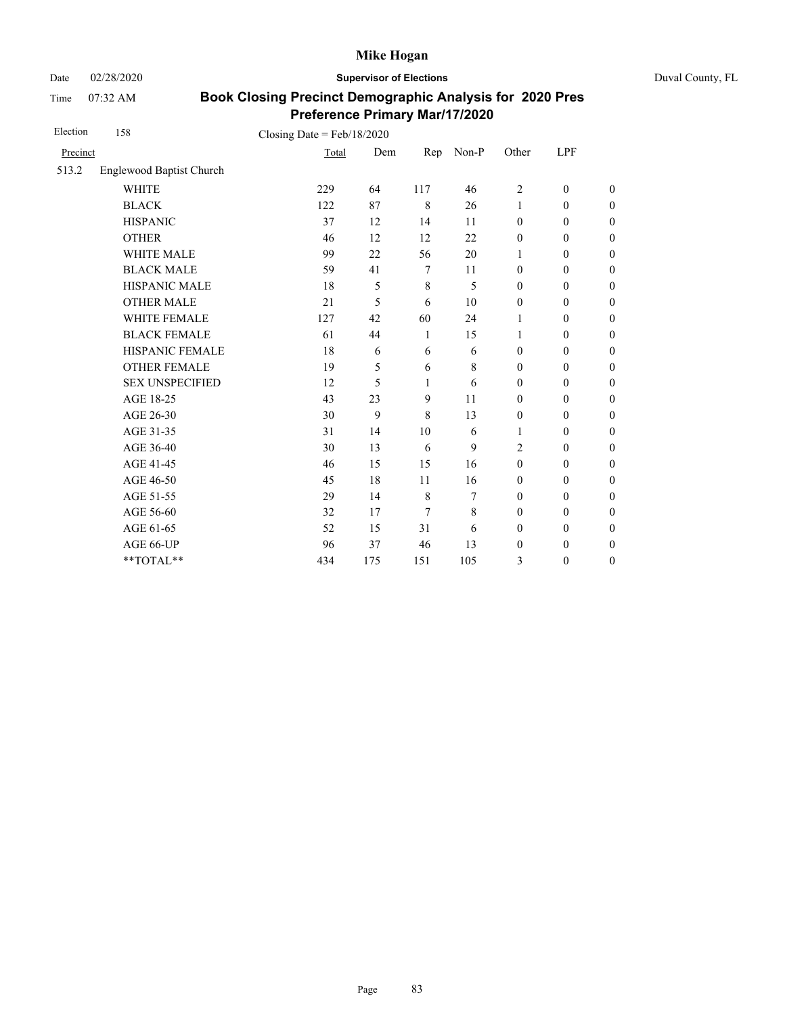Date 02/28/2020 **Supervisor of Elections** Duval County, FL

Time 07:32 AM

| Election | 158                      | Closing Date = $Feb/18/2020$ |     |             |       |                  |                  |                  |
|----------|--------------------------|------------------------------|-----|-------------|-------|------------------|------------------|------------------|
| Precinct |                          | Total                        | Dem | Rep         | Non-P | Other            | LPF              |                  |
| 513.2    | Englewood Baptist Church |                              |     |             |       |                  |                  |                  |
|          | <b>WHITE</b>             | 229                          | 64  | 117         | 46    | 2                | $\mathbf{0}$     | $\boldsymbol{0}$ |
|          | <b>BLACK</b>             | 122                          | 87  | 8           | 26    | $\mathbf{1}$     | $\mathbf{0}$     | $\boldsymbol{0}$ |
|          | <b>HISPANIC</b>          | 37                           | 12  | 14          | 11    | $\mathbf{0}$     | $\mathbf{0}$     | $\overline{0}$   |
|          | <b>OTHER</b>             | 46                           | 12  | 12          | 22    | $\mathbf{0}$     | $\mathbf{0}$     | $\overline{0}$   |
|          | WHITE MALE               | 99                           | 22  | 56          | 20    | 1                | $\boldsymbol{0}$ | $\boldsymbol{0}$ |
|          | <b>BLACK MALE</b>        | 59                           | 41  | 7           | 11    | $\mathbf{0}$     | $\mathbf{0}$     | $\boldsymbol{0}$ |
|          | <b>HISPANIC MALE</b>     | 18                           | 5   | $\,$ 8 $\,$ | 5     | $\mathbf{0}$     | $\mathbf{0}$     | $\overline{0}$   |
|          | <b>OTHER MALE</b>        | 21                           | 5   | 6           | 10    | $\mathbf{0}$     | $\mathbf{0}$     | $\boldsymbol{0}$ |
|          | WHITE FEMALE             | 127                          | 42  | 60          | 24    | 1                | $\mathbf{0}$     | $\boldsymbol{0}$ |
|          | <b>BLACK FEMALE</b>      | 61                           | 44  | 1           | 15    | 1                | $\mathbf{0}$     | $\overline{0}$   |
|          | HISPANIC FEMALE          | 18                           | 6   | 6           | 6     | $\mathbf{0}$     | $\boldsymbol{0}$ | $\boldsymbol{0}$ |
|          | <b>OTHER FEMALE</b>      | 19                           | 5   | 6           | 8     | $\mathbf{0}$     | $\mathbf{0}$     | $\boldsymbol{0}$ |
|          | <b>SEX UNSPECIFIED</b>   | 12                           | 5   | 1           | 6     | $\mathbf{0}$     | $\mathbf{0}$     | $\overline{0}$   |
|          | AGE 18-25                | 43                           | 23  | 9           | 11    | $\boldsymbol{0}$ | $\boldsymbol{0}$ | $\overline{0}$   |
|          | AGE 26-30                | 30                           | 9   | 8           | 13    | $\boldsymbol{0}$ | $\mathbf{0}$     | $\boldsymbol{0}$ |
|          | AGE 31-35                | 31                           | 14  | 10          | 6     | 1                | $\mathbf{0}$     | $\boldsymbol{0}$ |
|          | AGE 36-40                | 30                           | 13  | 6           | 9     | $\overline{c}$   | $\mathbf{0}$     | $\boldsymbol{0}$ |
|          | AGE 41-45                | 46                           | 15  | 15          | 16    | $\mathbf{0}$     | $\mathbf{0}$     | $\overline{0}$   |
|          | AGE 46-50                | 45                           | 18  | 11          | 16    | $\boldsymbol{0}$ | $\mathbf{0}$     | $\boldsymbol{0}$ |
|          | AGE 51-55                | 29                           | 14  | $\,$ 8 $\,$ | 7     | $\mathbf{0}$     | $\mathbf{0}$     | $\boldsymbol{0}$ |
|          | AGE 56-60                | 32                           | 17  | 7           | 8     | $\mathbf{0}$     | $\mathbf{0}$     | $\overline{0}$   |
|          | AGE 61-65                | 52                           | 15  | 31          | 6     | $\boldsymbol{0}$ | $\mathbf{0}$     | $\overline{0}$   |
|          | AGE 66-UP                | 96                           | 37  | 46          | 13    | $\boldsymbol{0}$ | $\boldsymbol{0}$ | $\boldsymbol{0}$ |
|          | **TOTAL**                | 434                          | 175 | 151         | 105   | 3                | $\boldsymbol{0}$ | $\overline{0}$   |
|          |                          |                              |     |             |       |                  |                  |                  |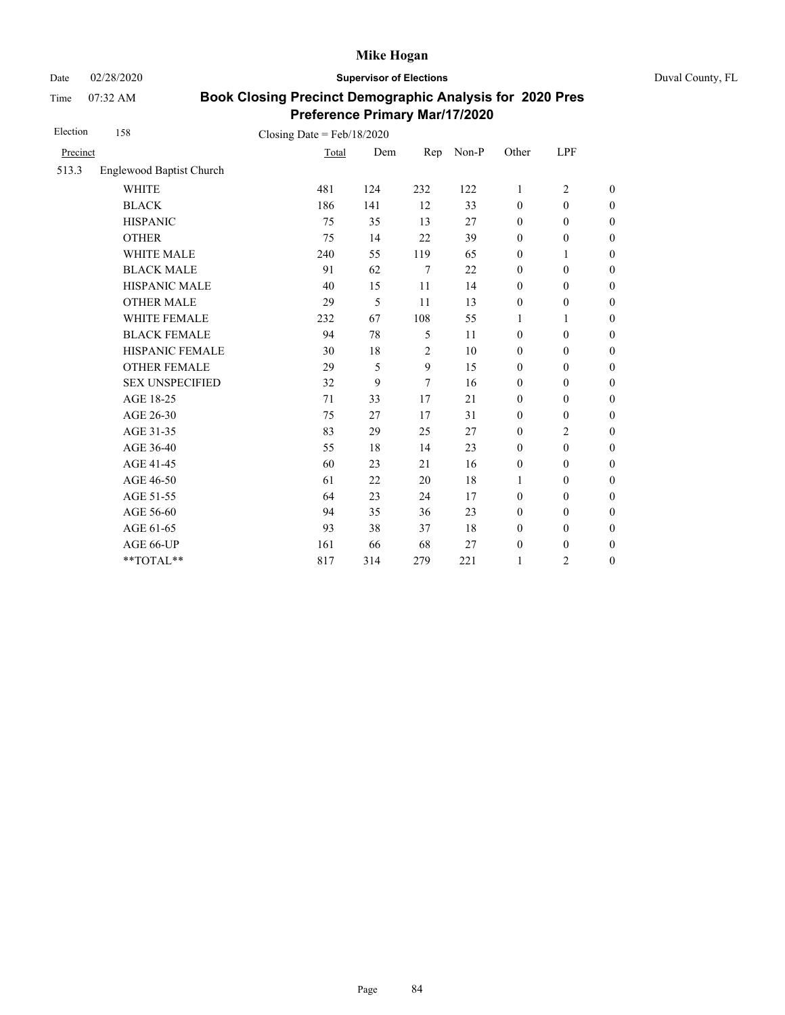Date 02/28/2020 **Supervisor of Elections** Duval County, FL

Time 07:32 AM

| Election | 158                             | Closing Date = $Feb/18/2020$ |     |                |       |                  |                  |                  |
|----------|---------------------------------|------------------------------|-----|----------------|-------|------------------|------------------|------------------|
| Precinct |                                 | Total                        | Dem | Rep            | Non-P | Other            | LPF              |                  |
| 513.3    | <b>Englewood Baptist Church</b> |                              |     |                |       |                  |                  |                  |
|          | <b>WHITE</b>                    | 481                          | 124 | 232            | 122   | 1                | $\overline{2}$   | $\boldsymbol{0}$ |
|          | <b>BLACK</b>                    | 186                          | 141 | 12             | 33    | $\mathbf{0}$     | $\mathbf{0}$     | $\boldsymbol{0}$ |
|          | <b>HISPANIC</b>                 | 75                           | 35  | 13             | 27    | $\boldsymbol{0}$ | $\boldsymbol{0}$ | $\mathbf{0}$     |
|          | <b>OTHER</b>                    | 75                           | 14  | 22             | 39    | $\boldsymbol{0}$ | $\boldsymbol{0}$ | $\overline{0}$   |
|          | WHITE MALE                      | 240                          | 55  | 119            | 65    | $\boldsymbol{0}$ | 1                | $\mathbf{0}$     |
|          | <b>BLACK MALE</b>               | 91                           | 62  | 7              | 22    | $\mathbf{0}$     | $\mathbf{0}$     | $\boldsymbol{0}$ |
|          | <b>HISPANIC MALE</b>            | 40                           | 15  | 11             | 14    | $\boldsymbol{0}$ | $\boldsymbol{0}$ | $\overline{0}$   |
|          | <b>OTHER MALE</b>               | 29                           | 5   | 11             | 13    | $\boldsymbol{0}$ | $\boldsymbol{0}$ | $\boldsymbol{0}$ |
|          | WHITE FEMALE                    | 232                          | 67  | 108            | 55    | 1                | 1                | $\boldsymbol{0}$ |
|          | <b>BLACK FEMALE</b>             | 94                           | 78  | 5              | 11    | $\mathbf{0}$     | $\mathbf{0}$     | $\boldsymbol{0}$ |
|          | HISPANIC FEMALE                 | 30                           | 18  | $\overline{2}$ | 10    | $\boldsymbol{0}$ | $\boldsymbol{0}$ | $\boldsymbol{0}$ |
|          | <b>OTHER FEMALE</b>             | 29                           | 5   | 9              | 15    | $\boldsymbol{0}$ | $\mathbf{0}$     | $\boldsymbol{0}$ |
|          | <b>SEX UNSPECIFIED</b>          | 32                           | 9   | 7              | 16    | $\mathbf{0}$     | $\mathbf{0}$     | $\boldsymbol{0}$ |
|          | AGE 18-25                       | 71                           | 33  | 17             | 21    | $\boldsymbol{0}$ | $\boldsymbol{0}$ | $\boldsymbol{0}$ |
|          | AGE 26-30                       | 75                           | 27  | 17             | 31    | $\mathbf{0}$     | $\boldsymbol{0}$ | $\boldsymbol{0}$ |
|          | AGE 31-35                       | 83                           | 29  | 25             | 27    | $\boldsymbol{0}$ | 2                | $\boldsymbol{0}$ |
|          | AGE 36-40                       | 55                           | 18  | 14             | 23    | $\mathbf{0}$     | $\mathbf{0}$     | $\boldsymbol{0}$ |
|          | AGE 41-45                       | 60                           | 23  | 21             | 16    | $\boldsymbol{0}$ | $\mathbf{0}$     | $\overline{0}$   |
|          | AGE 46-50                       | 61                           | 22  | 20             | 18    | 1                | $\mathbf{0}$     | $\boldsymbol{0}$ |
|          | AGE 51-55                       | 64                           | 23  | 24             | 17    | $\mathbf{0}$     | $\mathbf{0}$     | $\boldsymbol{0}$ |
|          | AGE 56-60                       | 94                           | 35  | 36             | 23    | $\mathbf{0}$     | $\mathbf{0}$     | $\overline{0}$   |
|          | AGE 61-65                       | 93                           | 38  | 37             | 18    | $\boldsymbol{0}$ | $\boldsymbol{0}$ | $\boldsymbol{0}$ |
|          | AGE 66-UP                       | 161                          | 66  | 68             | 27    | $\boldsymbol{0}$ | $\boldsymbol{0}$ | $\boldsymbol{0}$ |
|          | **TOTAL**                       | 817                          | 314 | 279            | 221   | 1                | 2                | $\boldsymbol{0}$ |
|          |                                 |                              |     |                |       |                  |                  |                  |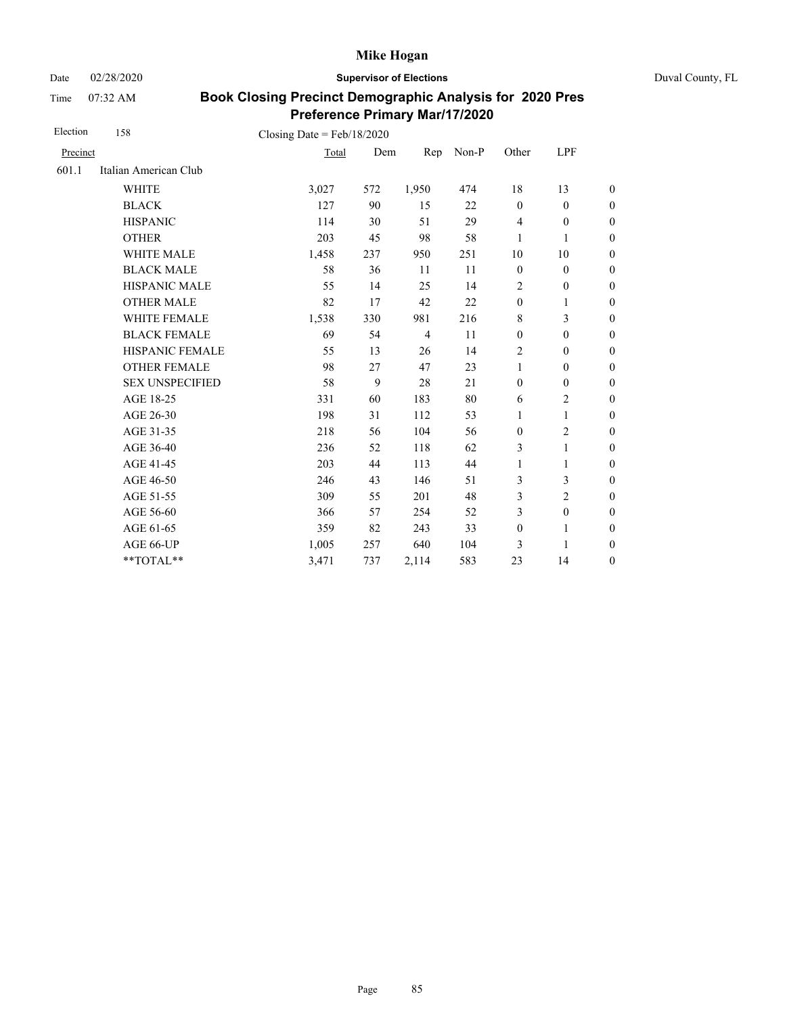Date 02/28/2020 **Supervisor of Elections** Duval County, FL

Time 07:32 AM

| Election | 158                                    | Closing Date = $Feb/18/2020$ |     |                |       |                  |                  |                  |
|----------|----------------------------------------|------------------------------|-----|----------------|-------|------------------|------------------|------------------|
| Precinct |                                        | Total                        | Dem | Rep            | Non-P | Other            | LPF              |                  |
| 601.1    | Italian American Club                  |                              |     |                |       |                  |                  |                  |
|          | <b>WHITE</b>                           | 3,027                        | 572 | 1,950          | 474   | 18               | 13               | $\boldsymbol{0}$ |
|          | <b>BLACK</b>                           | 127                          | 90  | 15             | 22    | $\mathbf{0}$     | $\boldsymbol{0}$ | $\boldsymbol{0}$ |
|          | <b>HISPANIC</b>                        | 114                          | 30  | 51             | 29    | $\overline{4}$   | $\boldsymbol{0}$ | $\overline{0}$   |
|          | <b>OTHER</b>                           | 203                          | 45  | 98             | 58    | 1                | 1                | $\boldsymbol{0}$ |
|          | WHITE MALE                             | 1,458                        | 237 | 950            | 251   | 10               | 10               | $\boldsymbol{0}$ |
|          | <b>BLACK MALE</b>                      | 58                           | 36  | 11             | 11    | $\boldsymbol{0}$ | $\boldsymbol{0}$ | $\boldsymbol{0}$ |
|          | HISPANIC MALE                          | 55                           | 14  | 25             | 14    | $\overline{c}$   | $\boldsymbol{0}$ | $\overline{0}$   |
|          | <b>OTHER MALE</b>                      | 82                           | 17  | 42             | 22    | $\boldsymbol{0}$ | 1                | $\boldsymbol{0}$ |
|          | WHITE FEMALE                           | 1,538                        | 330 | 981            | 216   | 8                | 3                | $\boldsymbol{0}$ |
|          | <b>BLACK FEMALE</b>                    | 69                           | 54  | $\overline{4}$ | 11    | $\mathbf{0}$     | $\mathbf{0}$     | $\overline{0}$   |
|          | HISPANIC FEMALE                        | 55                           | 13  | 26             | 14    | $\overline{c}$   | $\boldsymbol{0}$ | $\boldsymbol{0}$ |
|          | <b>OTHER FEMALE</b>                    | 98                           | 27  | 47             | 23    | $\mathbf{1}$     | $\mathbf{0}$     | $\boldsymbol{0}$ |
|          | <b>SEX UNSPECIFIED</b>                 | 58                           | 9   | 28             | 21    | $\boldsymbol{0}$ | $\boldsymbol{0}$ | $\boldsymbol{0}$ |
|          | AGE 18-25                              | 331                          | 60  | 183            | 80    | 6                | $\overline{2}$   | $\overline{0}$   |
|          | AGE 26-30                              | 198                          | 31  | 112            | 53    | $\mathbf{1}$     | 1                | $\overline{0}$   |
|          | AGE 31-35                              | 218                          | 56  | 104            | 56    | $\mathbf{0}$     | $\overline{c}$   | $\boldsymbol{0}$ |
|          | AGE 36-40                              | 236                          | 52  | 118            | 62    | 3                | 1                | $\boldsymbol{0}$ |
|          | AGE 41-45                              | 203                          | 44  | 113            | 44    | $\mathbf{1}$     | $\mathbf{1}$     | $\overline{0}$   |
|          | AGE 46-50                              | 246                          | 43  | 146            | 51    | 3                | 3                | $\boldsymbol{0}$ |
|          | AGE 51-55                              | 309                          | 55  | 201            | 48    | 3                | $\overline{c}$   | $\boldsymbol{0}$ |
|          | AGE 56-60                              | 366                          | 57  | 254            | 52    | 3                | $\mathbf{0}$     | $\overline{0}$   |
|          | AGE 61-65                              | 359                          | 82  | 243            | 33    | $\boldsymbol{0}$ | $\mathbf{1}$     | $\overline{0}$   |
|          | AGE 66-UP                              | 1,005                        | 257 | 640            | 104   | 3                | 1                | $\overline{0}$   |
|          | $\mathrm{*}\mathrm{*} \mathrm{TOTAL}*$ | 3,471                        | 737 | 2,114          | 583   | 23               | 14               | $\boldsymbol{0}$ |
|          |                                        |                              |     |                |       |                  |                  |                  |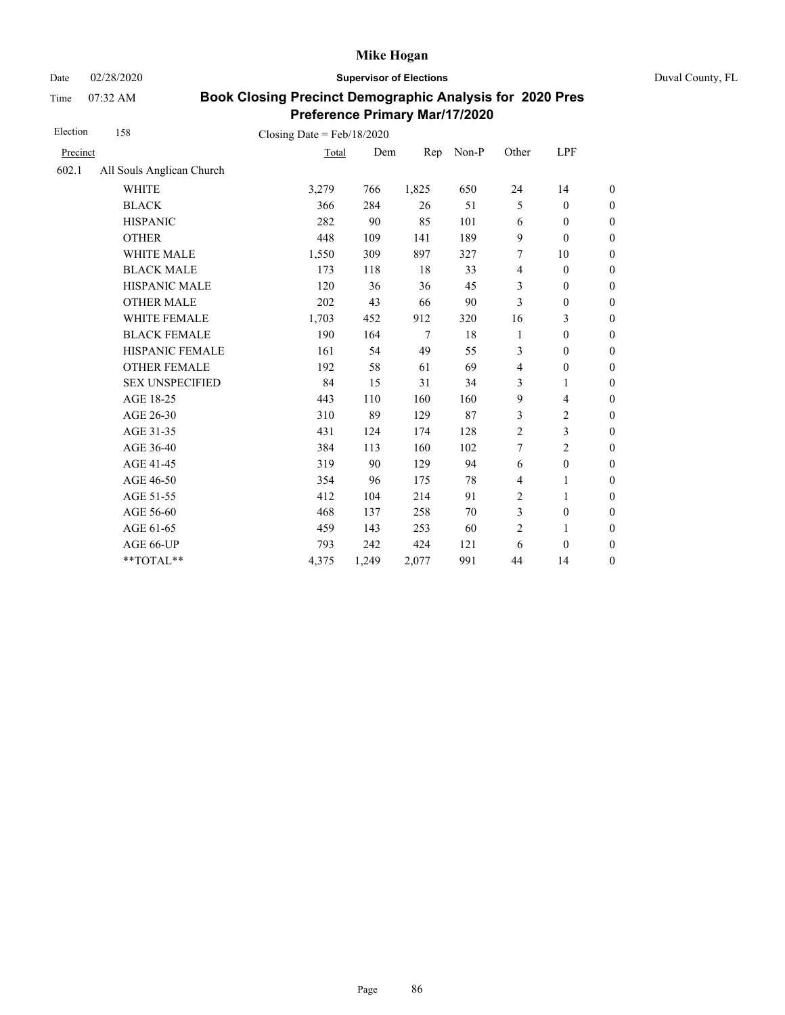Date 02/28/2020 **Supervisor of Elections** Duval County, FL

Time 07:32 AM

| Election | 158                       | Closing Date = $Feb/18/2020$ |       |        |       |                |                  |                  |
|----------|---------------------------|------------------------------|-------|--------|-------|----------------|------------------|------------------|
| Precinct |                           | Total                        | Dem   | Rep    | Non-P | Other          | LPF              |                  |
| 602.1    | All Souls Anglican Church |                              |       |        |       |                |                  |                  |
|          | <b>WHITE</b>              | 3,279                        | 766   | 1,825  | 650   | 24             | 14               | $\boldsymbol{0}$ |
|          | <b>BLACK</b>              | 366                          | 284   | 26     | 51    | 5              | $\boldsymbol{0}$ | $\boldsymbol{0}$ |
|          | <b>HISPANIC</b>           | 282                          | 90    | 85     | 101   | 6              | $\boldsymbol{0}$ | $\boldsymbol{0}$ |
|          | <b>OTHER</b>              | 448                          | 109   | 141    | 189   | 9              | $\boldsymbol{0}$ | $\overline{0}$   |
|          | WHITE MALE                | 1,550                        | 309   | 897    | 327   | 7              | 10               | $\boldsymbol{0}$ |
|          | <b>BLACK MALE</b>         | 173                          | 118   | 18     | 33    | $\overline{4}$ | $\mathbf{0}$     | $\boldsymbol{0}$ |
|          | <b>HISPANIC MALE</b>      | 120                          | 36    | 36     | 45    | 3              | $\boldsymbol{0}$ | $\overline{0}$   |
|          | <b>OTHER MALE</b>         | 202                          | 43    | 66     | 90    | 3              | $\boldsymbol{0}$ | $\boldsymbol{0}$ |
|          | WHITE FEMALE              | 1,703                        | 452   | 912    | 320   | 16             | 3                | $\boldsymbol{0}$ |
|          | <b>BLACK FEMALE</b>       | 190                          | 164   | $\tau$ | 18    | 1              | $\boldsymbol{0}$ | $\boldsymbol{0}$ |
|          | HISPANIC FEMALE           | 161                          | 54    | 49     | 55    | 3              | $\mathbf{0}$     | $\overline{0}$   |
|          | <b>OTHER FEMALE</b>       | 192                          | 58    | 61     | 69    | $\overline{4}$ | $\mathbf{0}$     | $\overline{0}$   |
|          | <b>SEX UNSPECIFIED</b>    | 84                           | 15    | 31     | 34    | 3              | 1                | $\boldsymbol{0}$ |
|          | AGE 18-25                 | 443                          | 110   | 160    | 160   | 9              | $\overline{4}$   | $\boldsymbol{0}$ |
|          | AGE 26-30                 | 310                          | 89    | 129    | 87    | 3              | $\overline{c}$   | $\overline{0}$   |
|          | AGE 31-35                 | 431                          | 124   | 174    | 128   | $\overline{2}$ | 3                | $\boldsymbol{0}$ |
|          | AGE 36-40                 | 384                          | 113   | 160    | 102   | 7              | $\overline{c}$   | $\boldsymbol{0}$ |
|          | AGE 41-45                 | 319                          | 90    | 129    | 94    | 6              | $\boldsymbol{0}$ | $\overline{0}$   |
|          | AGE 46-50                 | 354                          | 96    | 175    | 78    | $\overline{4}$ | 1                | $\boldsymbol{0}$ |
|          | AGE 51-55                 | 412                          | 104   | 214    | 91    | 2              | 1                | $\boldsymbol{0}$ |
|          | AGE 56-60                 | 468                          | 137   | 258    | 70    | 3              | $\boldsymbol{0}$ | $\boldsymbol{0}$ |
|          | AGE 61-65                 | 459                          | 143   | 253    | 60    | $\overline{2}$ | 1                | $\boldsymbol{0}$ |
|          | AGE 66-UP                 | 793                          | 242   | 424    | 121   | 6              | $\boldsymbol{0}$ | $\boldsymbol{0}$ |
|          | **TOTAL**                 | 4,375                        | 1,249 | 2,077  | 991   | 44             | 14               | $\boldsymbol{0}$ |
|          |                           |                              |       |        |       |                |                  |                  |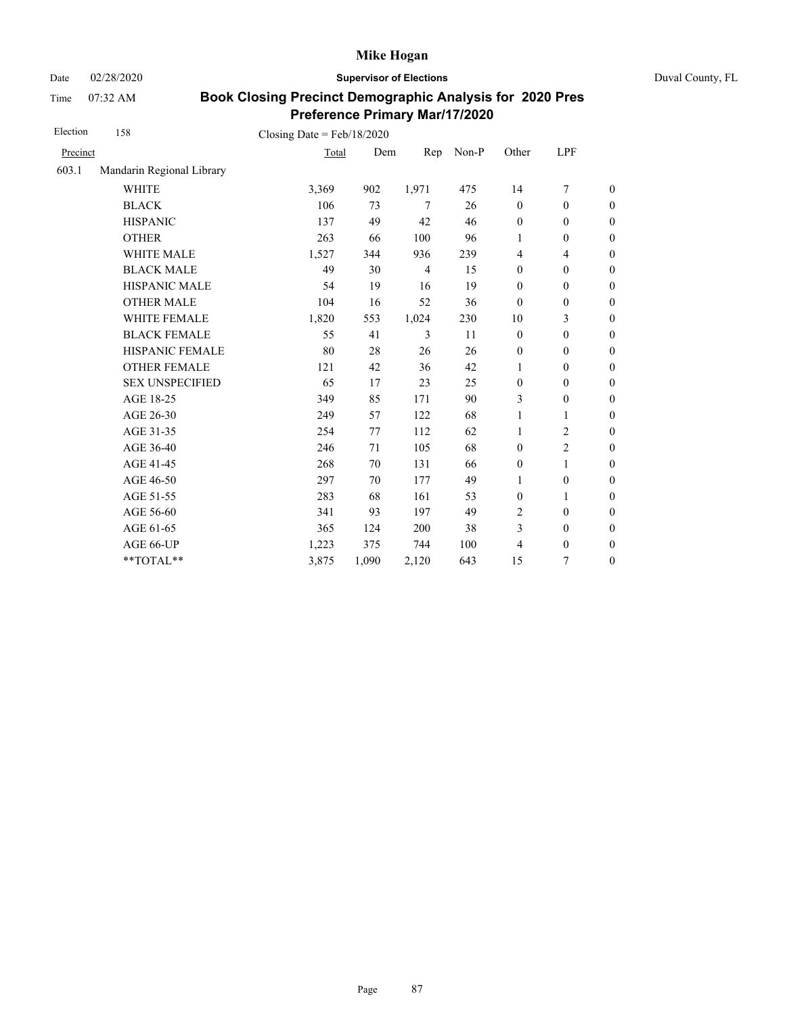Date 02/28/2020 **Supervisor of Elections** Duval County, FL

Time 07:32 AM

| Election | 158                       | Closing Date = $Feb/18/2020$ |       |                |       |                  |                          |                  |
|----------|---------------------------|------------------------------|-------|----------------|-------|------------------|--------------------------|------------------|
| Precinct |                           | Total                        | Dem   | Rep            | Non-P | Other            | LPF                      |                  |
| 603.1    | Mandarin Regional Library |                              |       |                |       |                  |                          |                  |
|          | <b>WHITE</b>              | 3,369                        | 902   | 1,971          | 475   | 14               | $\tau$                   | $\boldsymbol{0}$ |
|          | <b>BLACK</b>              | 106                          | 73    | 7              | 26    | $\boldsymbol{0}$ | $\boldsymbol{0}$         | $\boldsymbol{0}$ |
|          | <b>HISPANIC</b>           | 137                          | 49    | 42             | 46    | $\boldsymbol{0}$ | $\mathbf{0}$             | $\boldsymbol{0}$ |
|          | <b>OTHER</b>              | 263                          | 66    | 100            | 96    | $\mathbf{1}$     | $\boldsymbol{0}$         | $\overline{0}$   |
|          | <b>WHITE MALE</b>         | 1,527                        | 344   | 936            | 239   | $\overline{4}$   | $\overline{\mathcal{L}}$ | $\boldsymbol{0}$ |
|          | <b>BLACK MALE</b>         | 49                           | 30    | $\overline{4}$ | 15    | $\mathbf{0}$     | $\mathbf{0}$             | $\boldsymbol{0}$ |
|          | <b>HISPANIC MALE</b>      | 54                           | 19    | 16             | 19    | $\mathbf{0}$     | $\mathbf{0}$             | $\overline{0}$   |
|          | <b>OTHER MALE</b>         | 104                          | 16    | 52             | 36    | $\mathbf{0}$     | $\boldsymbol{0}$         | $\boldsymbol{0}$ |
|          | WHITE FEMALE              | 1,820                        | 553   | 1,024          | 230   | 10               | 3                        | $\overline{0}$   |
|          | <b>BLACK FEMALE</b>       | 55                           | 41    | 3              | 11    | $\mathbf{0}$     | $\mathbf{0}$             | $\boldsymbol{0}$ |
|          | HISPANIC FEMALE           | 80                           | 28    | 26             | 26    | $\boldsymbol{0}$ | $\boldsymbol{0}$         | $\boldsymbol{0}$ |
|          | <b>OTHER FEMALE</b>       | 121                          | 42    | 36             | 42    | 1                | $\boldsymbol{0}$         | $\boldsymbol{0}$ |
|          | <b>SEX UNSPECIFIED</b>    | 65                           | 17    | 23             | 25    | $\mathbf{0}$     | $\boldsymbol{0}$         | $\boldsymbol{0}$ |
|          | AGE 18-25                 | 349                          | 85    | 171            | 90    | 3                | $\boldsymbol{0}$         | $\boldsymbol{0}$ |
|          | AGE 26-30                 | 249                          | 57    | 122            | 68    | 1                | $\mathbf{1}$             | $\overline{0}$   |
|          | AGE 31-35                 | 254                          | 77    | 112            | 62    | 1                | $\overline{c}$           | $\boldsymbol{0}$ |
|          | AGE 36-40                 | 246                          | 71    | 105            | 68    | $\mathbf{0}$     | $\overline{c}$           | $\boldsymbol{0}$ |
|          | AGE 41-45                 | 268                          | 70    | 131            | 66    | $\boldsymbol{0}$ | $\mathbf{1}$             | $\boldsymbol{0}$ |
|          | AGE 46-50                 | 297                          | 70    | 177            | 49    | 1                | $\boldsymbol{0}$         | $\boldsymbol{0}$ |
|          | AGE 51-55                 | 283                          | 68    | 161            | 53    | $\mathbf{0}$     | 1                        | $\boldsymbol{0}$ |
|          | AGE 56-60                 | 341                          | 93    | 197            | 49    | $\overline{2}$   | $\boldsymbol{0}$         | $\boldsymbol{0}$ |
|          | AGE 61-65                 | 365                          | 124   | 200            | 38    | 3                | $\boldsymbol{0}$         | $\boldsymbol{0}$ |
|          | AGE 66-UP                 | 1,223                        | 375   | 744            | 100   | 4                | $\boldsymbol{0}$         | $\boldsymbol{0}$ |
|          | **TOTAL**                 | 3,875                        | 1,090 | 2,120          | 643   | 15               | 7                        | $\boldsymbol{0}$ |
|          |                           |                              |       |                |       |                  |                          |                  |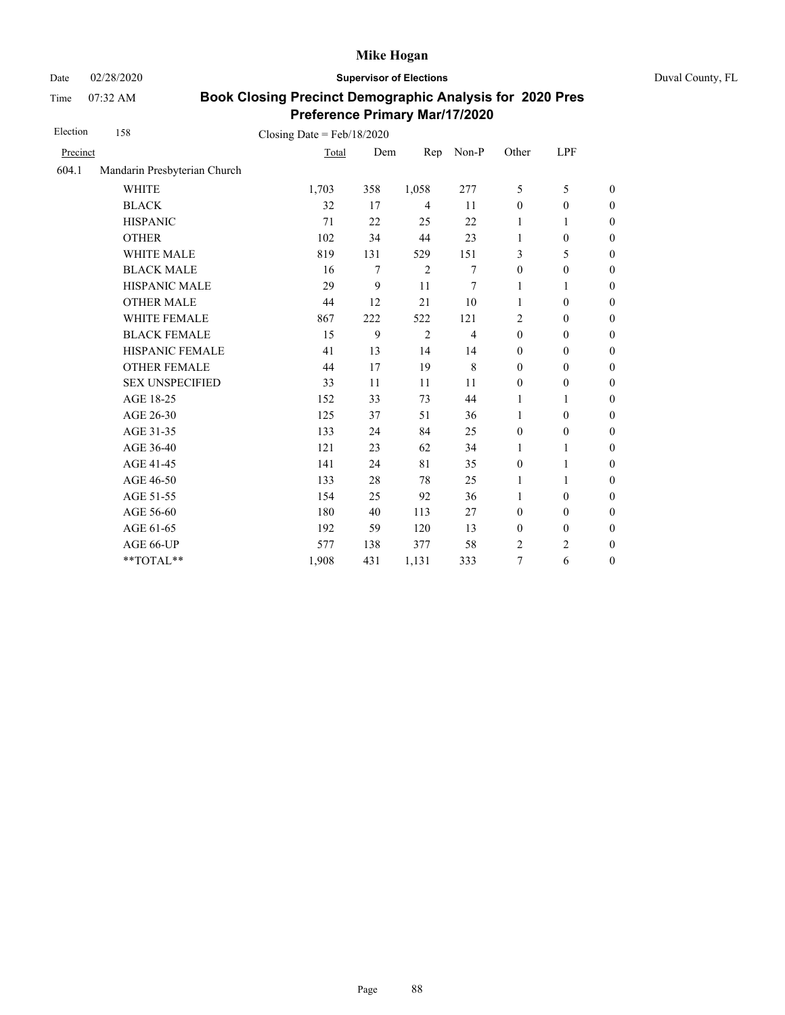Date 02/28/2020 **Supervisor of Elections** Duval County, FL

Time 07:32 AM

| Election | 158                          | Closing Date = $Feb/18/2020$ |     |                |                |                  |                  |                  |
|----------|------------------------------|------------------------------|-----|----------------|----------------|------------------|------------------|------------------|
| Precinct |                              | Total                        | Dem | Rep            | Non-P          | Other            | LPF              |                  |
| 604.1    | Mandarin Presbyterian Church |                              |     |                |                |                  |                  |                  |
|          | <b>WHITE</b>                 | 1,703                        | 358 | 1,058          | 277            | 5                | 5                | $\boldsymbol{0}$ |
|          | <b>BLACK</b>                 | 32                           | 17  | $\overline{4}$ | 11             | $\boldsymbol{0}$ | $\boldsymbol{0}$ | $\boldsymbol{0}$ |
|          | <b>HISPANIC</b>              | 71                           | 22  | 25             | 22             | 1                | 1                | $\boldsymbol{0}$ |
|          | <b>OTHER</b>                 | 102                          | 34  | 44             | 23             | 1                | $\boldsymbol{0}$ | $\overline{0}$   |
|          | WHITE MALE                   | 819                          | 131 | 529            | 151            | 3                | 5                | $\mathbf{0}$     |
|          | <b>BLACK MALE</b>            | 16                           | 7   | 2              | 7              | $\mathbf{0}$     | $\boldsymbol{0}$ | $\boldsymbol{0}$ |
|          | <b>HISPANIC MALE</b>         | 29                           | 9   | 11             | 7              | 1                | $\mathbf{1}$     | $\mathbf{0}$     |
|          | <b>OTHER MALE</b>            | 44                           | 12  | 21             | 10             | $\mathbf{1}$     | $\mathbf{0}$     | $\boldsymbol{0}$ |
|          | WHITE FEMALE                 | 867                          | 222 | 522            | 121            | 2                | $\mathbf{0}$     | $\boldsymbol{0}$ |
|          | <b>BLACK FEMALE</b>          | 15                           | 9   | $\overline{2}$ | $\overline{4}$ | $\mathbf{0}$     | $\mathbf{0}$     | $\mathbf{0}$     |
|          | HISPANIC FEMALE              | 41                           | 13  | 14             | 14             | $\mathbf{0}$     | $\mathbf{0}$     | $\boldsymbol{0}$ |
|          | <b>OTHER FEMALE</b>          | 44                           | 17  | 19             | 8              | $\mathbf{0}$     | $\mathbf{0}$     | $\boldsymbol{0}$ |
|          | <b>SEX UNSPECIFIED</b>       | 33                           | 11  | 11             | 11             | $\mathbf{0}$     | $\boldsymbol{0}$ | $\boldsymbol{0}$ |
|          | AGE 18-25                    | 152                          | 33  | 73             | 44             | 1                | 1                | $\theta$         |
|          | AGE 26-30                    | 125                          | 37  | 51             | 36             | $\mathbf{1}$     | $\mathbf{0}$     | $\theta$         |
|          | AGE 31-35                    | 133                          | 24  | 84             | 25             | $\boldsymbol{0}$ | $\boldsymbol{0}$ | $\boldsymbol{0}$ |
|          | AGE 36-40                    | 121                          | 23  | 62             | 34             | 1                | 1                | $\boldsymbol{0}$ |
|          | AGE 41-45                    | 141                          | 24  | 81             | 35             | $\boldsymbol{0}$ | $\mathbf{1}$     | $\overline{0}$   |
|          | AGE 46-50                    | 133                          | 28  | 78             | 25             | 1                | 1                | $\boldsymbol{0}$ |
|          | AGE 51-55                    | 154                          | 25  | 92             | 36             | $\mathbf{1}$     | $\boldsymbol{0}$ | $\boldsymbol{0}$ |
|          | AGE 56-60                    | 180                          | 40  | 113            | 27             | $\mathbf{0}$     | $\mathbf{0}$     | $\mathbf{0}$     |
|          | AGE 61-65                    | 192                          | 59  | 120            | 13             | $\boldsymbol{0}$ | $\boldsymbol{0}$ | $\mathbf{0}$     |
|          | AGE 66-UP                    | 577                          | 138 | 377            | 58             | 2                | $\overline{c}$   | $\boldsymbol{0}$ |
|          | **TOTAL**                    | 1,908                        | 431 | 1,131          | 333            | 7                | 6                | $\boldsymbol{0}$ |
|          |                              |                              |     |                |                |                  |                  |                  |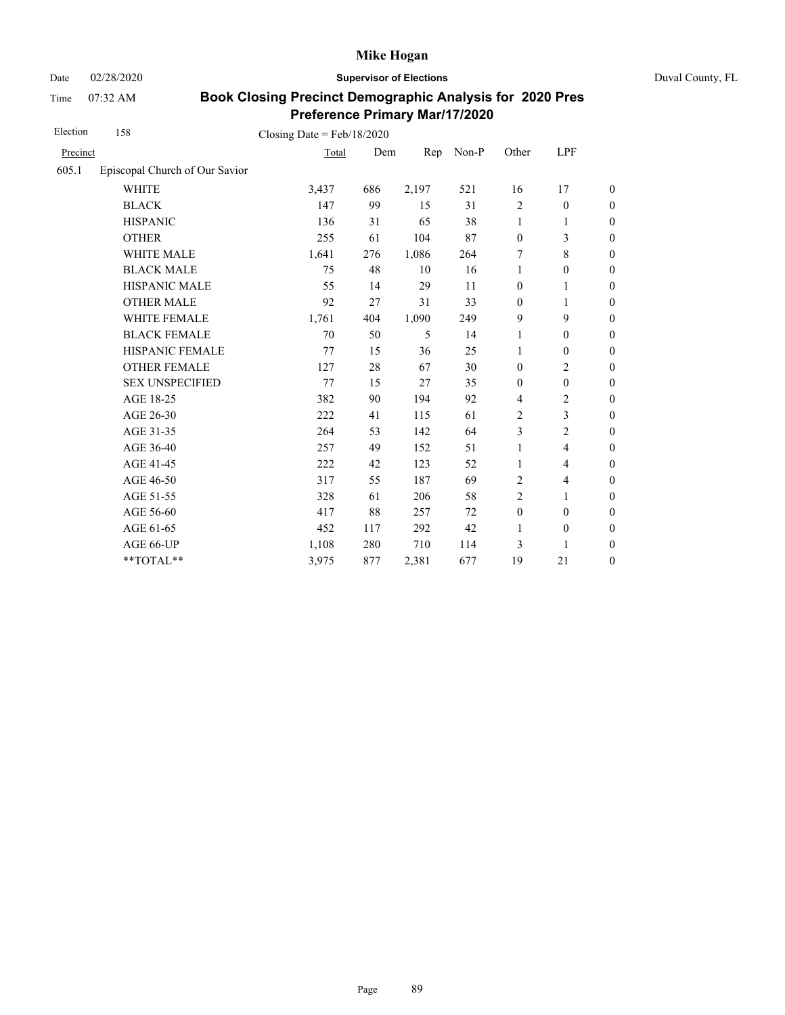Date 02/28/2020 **Supervisor of Elections** Duval County, FL

Time 07:32 AM

| Election | 158                            | Closing Date = $Feb/18/2020$ |     |       |       |                  |                          |                  |
|----------|--------------------------------|------------------------------|-----|-------|-------|------------------|--------------------------|------------------|
| Precinct |                                | Total                        | Dem | Rep   | Non-P | Other            | LPF                      |                  |
| 605.1    | Episcopal Church of Our Savior |                              |     |       |       |                  |                          |                  |
|          | <b>WHITE</b>                   | 3,437                        | 686 | 2,197 | 521   | 16               | 17                       | $\boldsymbol{0}$ |
|          | <b>BLACK</b>                   | 147                          | 99  | 15    | 31    | $\overline{2}$   | $\boldsymbol{0}$         | $\boldsymbol{0}$ |
|          | <b>HISPANIC</b>                | 136                          | 31  | 65    | 38    | $\mathbf{1}$     | 1                        | $\boldsymbol{0}$ |
|          | <b>OTHER</b>                   | 255                          | 61  | 104   | 87    | $\boldsymbol{0}$ | 3                        | $\boldsymbol{0}$ |
|          | WHITE MALE                     | 1,641                        | 276 | 1,086 | 264   | 7                | 8                        | $\boldsymbol{0}$ |
|          | <b>BLACK MALE</b>              | 75                           | 48  | 10    | 16    | 1                | $\boldsymbol{0}$         | $\boldsymbol{0}$ |
|          | <b>HISPANIC MALE</b>           | 55                           | 14  | 29    | 11    | $\boldsymbol{0}$ | $\mathbf{1}$             | $\overline{0}$   |
|          | <b>OTHER MALE</b>              | 92                           | 27  | 31    | 33    | $\mathbf{0}$     | 1                        | $\boldsymbol{0}$ |
|          | <b>WHITE FEMALE</b>            | 1,761                        | 404 | 1,090 | 249   | 9                | 9                        | $\boldsymbol{0}$ |
|          | <b>BLACK FEMALE</b>            | 70                           | 50  | 5     | 14    | 1                | $\boldsymbol{0}$         | $\boldsymbol{0}$ |
|          | HISPANIC FEMALE                | 77                           | 15  | 36    | 25    | $\mathbf{1}$     | $\boldsymbol{0}$         | $\boldsymbol{0}$ |
|          | <b>OTHER FEMALE</b>            | 127                          | 28  | 67    | 30    | $\mathbf{0}$     | $\overline{c}$           | $\boldsymbol{0}$ |
|          | <b>SEX UNSPECIFIED</b>         | 77                           | 15  | 27    | 35    | $\mathbf{0}$     | $\boldsymbol{0}$         | $\boldsymbol{0}$ |
|          | AGE 18-25                      | 382                          | 90  | 194   | 92    | $\overline{4}$   | $\overline{c}$           | $\boldsymbol{0}$ |
|          | AGE 26-30                      | 222                          | 41  | 115   | 61    | $\overline{2}$   | $\mathfrak{Z}$           | $\boldsymbol{0}$ |
|          | AGE 31-35                      | 264                          | 53  | 142   | 64    | 3                | $\mathbf{2}$             | $\boldsymbol{0}$ |
|          | AGE 36-40                      | 257                          | 49  | 152   | 51    | 1                | $\overline{\mathcal{L}}$ | $\boldsymbol{0}$ |
|          | AGE 41-45                      | 222                          | 42  | 123   | 52    | $\mathbf{1}$     | $\overline{\mathcal{L}}$ | $\overline{0}$   |
|          | AGE 46-50                      | 317                          | 55  | 187   | 69    | 2                | $\overline{\mathcal{L}}$ | $\boldsymbol{0}$ |
|          | AGE 51-55                      | 328                          | 61  | 206   | 58    | $\overline{2}$   | 1                        | $\boldsymbol{0}$ |
|          | AGE 56-60                      | 417                          | 88  | 257   | 72    | $\boldsymbol{0}$ | $\mathbf{0}$             | $\overline{0}$   |
|          | AGE 61-65                      | 452                          | 117 | 292   | 42    | $\mathbf{1}$     | $\boldsymbol{0}$         | $\boldsymbol{0}$ |
|          | AGE 66-UP                      | 1,108                        | 280 | 710   | 114   | 3                | 1                        | $\overline{0}$   |
|          | **TOTAL**                      | 3,975                        | 877 | 2,381 | 677   | 19               | 21                       | $\boldsymbol{0}$ |
|          |                                |                              |     |       |       |                  |                          |                  |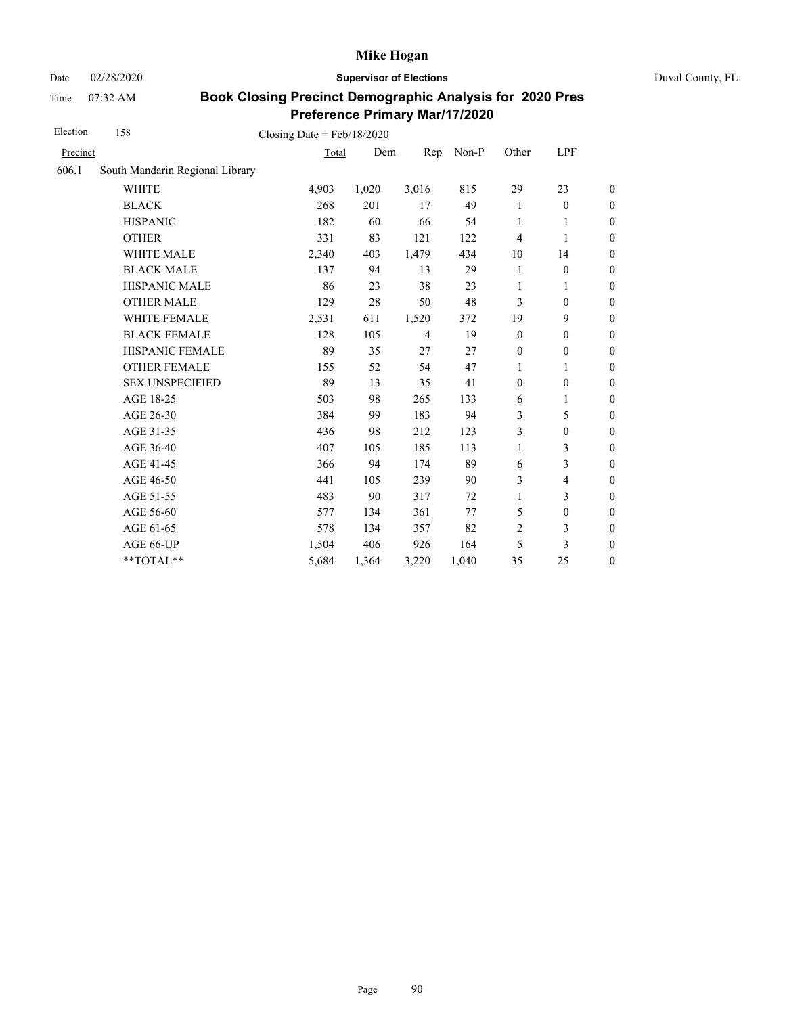Date 02/28/2020 **Supervisor of Elections** Duval County, FL

Time 07:32 AM

| Election | 158                             | Closing Date = $Feb/18/2020$ |       |                |       |                  |                          |                  |
|----------|---------------------------------|------------------------------|-------|----------------|-------|------------------|--------------------------|------------------|
| Precinct |                                 | Total                        | Dem   | Rep            | Non-P | Other            | LPF                      |                  |
| 606.1    | South Mandarin Regional Library |                              |       |                |       |                  |                          |                  |
|          | <b>WHITE</b>                    | 4,903                        | 1,020 | 3,016          | 815   | 29               | 23                       | $\boldsymbol{0}$ |
|          | <b>BLACK</b>                    | 268                          | 201   | 17             | 49    | 1                | $\mathbf{0}$             | $\boldsymbol{0}$ |
|          | <b>HISPANIC</b>                 | 182                          | 60    | 66             | 54    | 1                | 1                        | $\boldsymbol{0}$ |
|          | <b>OTHER</b>                    | 331                          | 83    | 121            | 122   | $\overline{4}$   | $\mathbf{1}$             | $\overline{0}$   |
|          | WHITE MALE                      | 2,340                        | 403   | 1,479          | 434   | 10               | 14                       | $\boldsymbol{0}$ |
|          | <b>BLACK MALE</b>               | 137                          | 94    | 13             | 29    | 1                | $\boldsymbol{0}$         | $\boldsymbol{0}$ |
|          | HISPANIC MALE                   | 86                           | 23    | 38             | 23    | 1                | 1                        | $\boldsymbol{0}$ |
|          | <b>OTHER MALE</b>               | 129                          | 28    | 50             | 48    | 3                | $\boldsymbol{0}$         | $\boldsymbol{0}$ |
|          | WHITE FEMALE                    | 2,531                        | 611   | 1,520          | 372   | 19               | 9                        | $\boldsymbol{0}$ |
|          | <b>BLACK FEMALE</b>             | 128                          | 105   | $\overline{4}$ | 19    | $\boldsymbol{0}$ | $\boldsymbol{0}$         | $\boldsymbol{0}$ |
|          | HISPANIC FEMALE                 | 89                           | 35    | 27             | 27    | $\boldsymbol{0}$ | $\boldsymbol{0}$         | $\boldsymbol{0}$ |
|          | <b>OTHER FEMALE</b>             | 155                          | 52    | 54             | 47    | 1                | 1                        | $\boldsymbol{0}$ |
|          | <b>SEX UNSPECIFIED</b>          | 89                           | 13    | 35             | 41    | $\boldsymbol{0}$ | $\boldsymbol{0}$         | $\boldsymbol{0}$ |
|          | AGE 18-25                       | 503                          | 98    | 265            | 133   | 6                | 1                        | $\boldsymbol{0}$ |
|          | AGE 26-30                       | 384                          | 99    | 183            | 94    | 3                | 5                        | $\overline{0}$   |
|          | AGE 31-35                       | 436                          | 98    | 212            | 123   | 3                | $\boldsymbol{0}$         | $\boldsymbol{0}$ |
|          | AGE 36-40                       | 407                          | 105   | 185            | 113   | $\mathbf{1}$     | 3                        | $\boldsymbol{0}$ |
|          | AGE 41-45                       | 366                          | 94    | 174            | 89    | 6                | 3                        | $\boldsymbol{0}$ |
|          | AGE 46-50                       | 441                          | 105   | 239            | 90    | 3                | $\overline{\mathcal{L}}$ | $\boldsymbol{0}$ |
|          | AGE 51-55                       | 483                          | 90    | 317            | 72    | $\mathbf{1}$     | 3                        | $\boldsymbol{0}$ |
|          | AGE 56-60                       | 577                          | 134   | 361            | 77    | 5                | $\boldsymbol{0}$         | $\boldsymbol{0}$ |
|          | AGE 61-65                       | 578                          | 134   | 357            | 82    | $\overline{2}$   | 3                        | $\boldsymbol{0}$ |
|          | AGE 66-UP                       | 1,504                        | 406   | 926            | 164   | 5                | 3                        | $\overline{0}$   |
|          | **TOTAL**                       | 5,684                        | 1,364 | 3,220          | 1,040 | 35               | 25                       | $\boldsymbol{0}$ |
|          |                                 |                              |       |                |       |                  |                          |                  |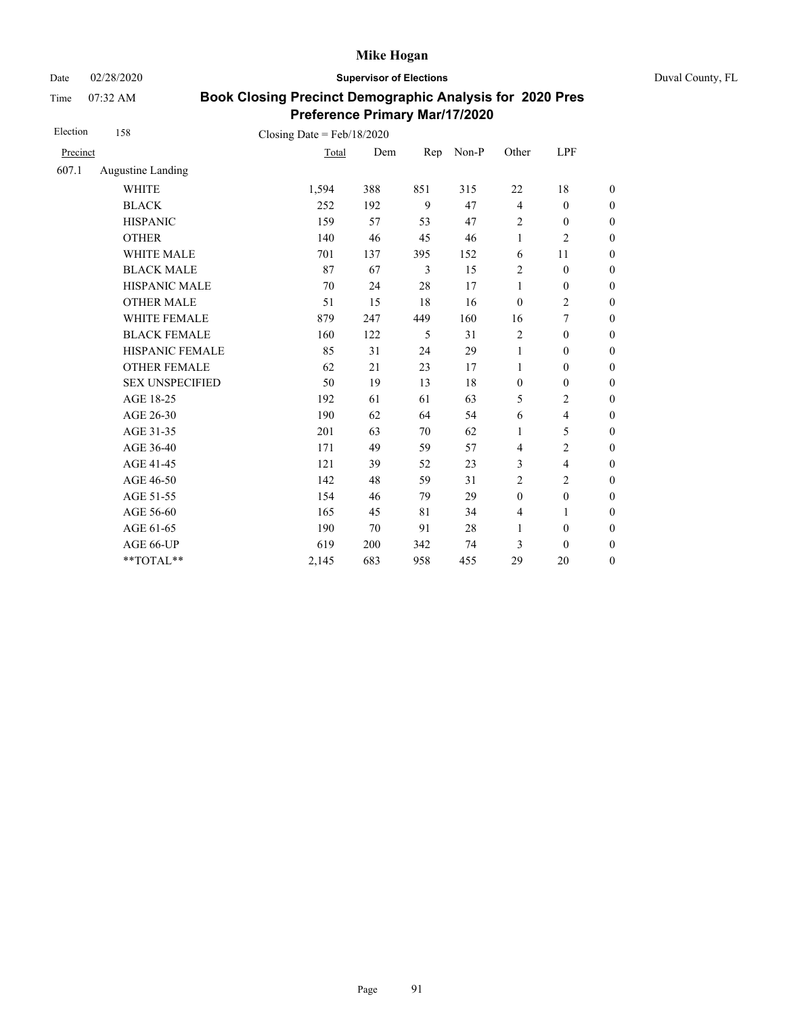Date 02/28/2020 **Supervisor of Elections** Duval County, FL

Time 07:32 AM

| Election | 158                      | Closing Date = $Feb/18/2020$ |     |     |       |                  |                          |                  |
|----------|--------------------------|------------------------------|-----|-----|-------|------------------|--------------------------|------------------|
| Precinct |                          | Total                        | Dem | Rep | Non-P | Other            | LPF                      |                  |
| 607.1    | <b>Augustine Landing</b> |                              |     |     |       |                  |                          |                  |
|          | <b>WHITE</b>             | 1,594                        | 388 | 851 | 315   | 22               | 18                       | $\boldsymbol{0}$ |
|          | <b>BLACK</b>             | 252                          | 192 | 9   | 47    | $\overline{4}$   | $\boldsymbol{0}$         | $\boldsymbol{0}$ |
|          | <b>HISPANIC</b>          | 159                          | 57  | 53  | 47    | $\overline{2}$   | $\boldsymbol{0}$         | $\overline{0}$   |
|          | <b>OTHER</b>             | 140                          | 46  | 45  | 46    | $\mathbf{1}$     | $\overline{c}$           | $\overline{0}$   |
|          | WHITE MALE               | 701                          | 137 | 395 | 152   | 6                | 11                       | $\boldsymbol{0}$ |
|          | <b>BLACK MALE</b>        | 87                           | 67  | 3   | 15    | $\overline{2}$   | $\boldsymbol{0}$         | $\boldsymbol{0}$ |
|          | HISPANIC MALE            | 70                           | 24  | 28  | 17    | $\mathbf{1}$     | $\boldsymbol{0}$         | $\overline{0}$   |
|          | <b>OTHER MALE</b>        | 51                           | 15  | 18  | 16    | $\boldsymbol{0}$ | $\overline{c}$           | $\boldsymbol{0}$ |
|          | WHITE FEMALE             | 879                          | 247 | 449 | 160   | 16               | 7                        | $\boldsymbol{0}$ |
|          | <b>BLACK FEMALE</b>      | 160                          | 122 | 5   | 31    | $\overline{2}$   | $\mathbf{0}$             | $\overline{0}$   |
|          | HISPANIC FEMALE          | 85                           | 31  | 24  | 29    | $\mathbf{1}$     | $\boldsymbol{0}$         | $\boldsymbol{0}$ |
|          | <b>OTHER FEMALE</b>      | 62                           | 21  | 23  | 17    | 1                | $\mathbf{0}$             | $\boldsymbol{0}$ |
|          | <b>SEX UNSPECIFIED</b>   | 50                           | 19  | 13  | 18    | $\boldsymbol{0}$ | $\boldsymbol{0}$         | $\boldsymbol{0}$ |
|          | AGE 18-25                | 192                          | 61  | 61  | 63    | 5                | $\overline{2}$           | $\overline{0}$   |
|          | AGE 26-30                | 190                          | 62  | 64  | 54    | 6                | $\overline{\mathbf{4}}$  | $\overline{0}$   |
|          | AGE 31-35                | 201                          | 63  | 70  | 62    | 1                | 5                        | $\boldsymbol{0}$ |
|          | AGE 36-40                | 171                          | 49  | 59  | 57    | $\overline{4}$   | $\overline{c}$           | $\boldsymbol{0}$ |
|          | AGE 41-45                | 121                          | 39  | 52  | 23    | 3                | $\overline{\mathcal{L}}$ | $\overline{0}$   |
|          | AGE 46-50                | 142                          | 48  | 59  | 31    | 2                | $\overline{2}$           | $\overline{0}$   |
|          | AGE 51-55                | 154                          | 46  | 79  | 29    | $\mathbf{0}$     | $\boldsymbol{0}$         | $\overline{0}$   |
|          | AGE 56-60                | 165                          | 45  | 81  | 34    | $\overline{4}$   | 1                        | $\overline{0}$   |
|          | AGE 61-65                | 190                          | 70  | 91  | 28    | $\mathbf{1}$     | $\boldsymbol{0}$         | $\overline{0}$   |
|          | AGE 66-UP                | 619                          | 200 | 342 | 74    | 3                | $\mathbf{0}$             | $\overline{0}$   |
|          | **TOTAL**                | 2,145                        | 683 | 958 | 455   | 29               | 20                       | $\boldsymbol{0}$ |
|          |                          |                              |     |     |       |                  |                          |                  |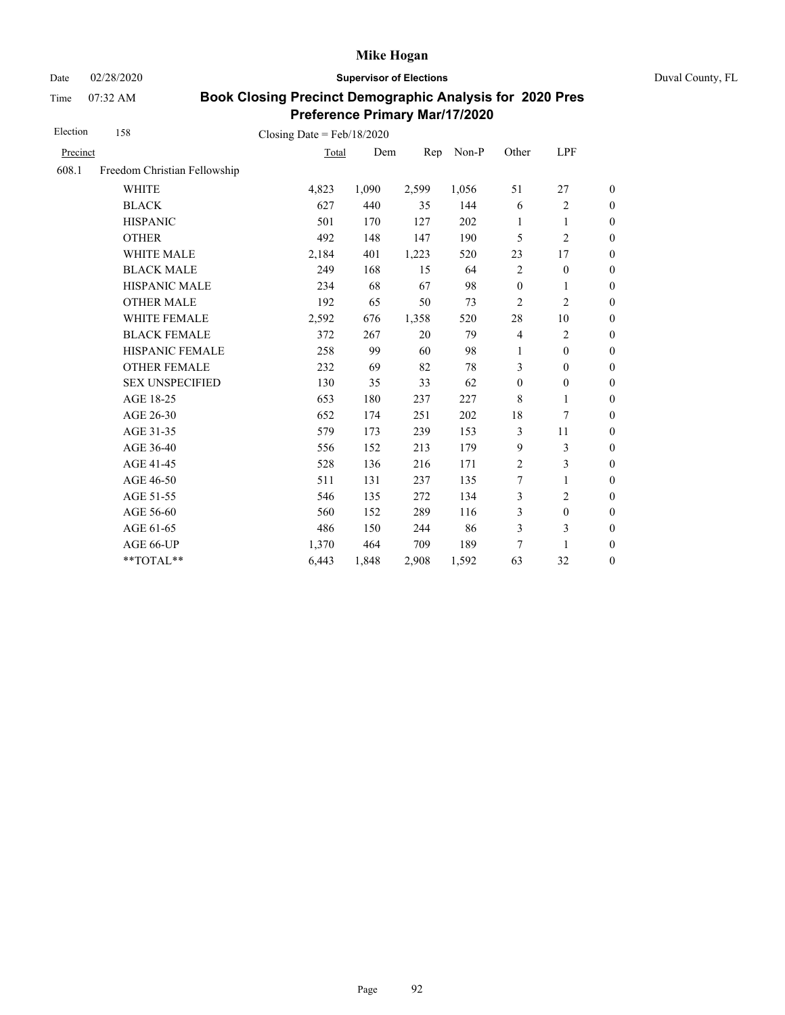Date 02/28/2020 **Supervisor of Elections** Duval County, FL

Time 07:32 AM

| Election | 158                          | Closing Date = $Feb/18/2020$ |       |       |       |                  |                  |                  |
|----------|------------------------------|------------------------------|-------|-------|-------|------------------|------------------|------------------|
| Precinct |                              | Total                        | Dem   | Rep   | Non-P | Other            | LPF              |                  |
| 608.1    | Freedom Christian Fellowship |                              |       |       |       |                  |                  |                  |
|          | <b>WHITE</b>                 | 4,823                        | 1,090 | 2,599 | 1,056 | 51               | 27               | $\boldsymbol{0}$ |
|          | <b>BLACK</b>                 | 627                          | 440   | 35    | 144   | 6                | $\overline{c}$   | $\boldsymbol{0}$ |
|          | <b>HISPANIC</b>              | 501                          | 170   | 127   | 202   | 1                | $\mathbf{1}$     | $\boldsymbol{0}$ |
|          | <b>OTHER</b>                 | 492                          | 148   | 147   | 190   | 5                | $\overline{c}$   | $\overline{0}$   |
|          | WHITE MALE                   | 2,184                        | 401   | 1,223 | 520   | 23               | 17               | $\boldsymbol{0}$ |
|          | <b>BLACK MALE</b>            | 249                          | 168   | 15    | 64    | $\overline{2}$   | $\boldsymbol{0}$ | $\boldsymbol{0}$ |
|          | <b>HISPANIC MALE</b>         | 234                          | 68    | 67    | 98    | $\boldsymbol{0}$ | $\mathbf{1}$     | $\overline{0}$   |
|          | <b>OTHER MALE</b>            | 192                          | 65    | 50    | 73    | 2                | $\overline{c}$   | $\boldsymbol{0}$ |
|          | WHITE FEMALE                 | 2,592                        | 676   | 1,358 | 520   | $28\,$           | 10               | $\boldsymbol{0}$ |
|          | <b>BLACK FEMALE</b>          | 372                          | 267   | 20    | 79    | $\overline{4}$   | $\overline{c}$   | $\boldsymbol{0}$ |
|          | <b>HISPANIC FEMALE</b>       | 258                          | 99    | 60    | 98    | $\mathbf{1}$     | $\boldsymbol{0}$ | $\overline{0}$   |
|          | <b>OTHER FEMALE</b>          | 232                          | 69    | 82    | 78    | 3                | $\mathbf{0}$     | $\overline{0}$   |
|          | <b>SEX UNSPECIFIED</b>       | 130                          | 35    | 33    | 62    | $\boldsymbol{0}$ | $\boldsymbol{0}$ | $\boldsymbol{0}$ |
|          | AGE 18-25                    | 653                          | 180   | 237   | 227   | 8                | 1                | $\boldsymbol{0}$ |
|          | AGE 26-30                    | 652                          | 174   | 251   | 202   | 18               | 7                | $\overline{0}$   |
|          | AGE 31-35                    | 579                          | 173   | 239   | 153   | 3                | 11               | $\boldsymbol{0}$ |
|          | AGE 36-40                    | 556                          | 152   | 213   | 179   | 9                | 3                | $\boldsymbol{0}$ |
|          | AGE 41-45                    | 528                          | 136   | 216   | 171   | $\overline{2}$   | 3                | $\overline{0}$   |
|          | AGE 46-50                    | 511                          | 131   | 237   | 135   | $\overline{7}$   | 1                | $\boldsymbol{0}$ |
|          | AGE 51-55                    | 546                          | 135   | 272   | 134   | 3                | $\overline{c}$   | $\boldsymbol{0}$ |
|          | AGE 56-60                    | 560                          | 152   | 289   | 116   | 3                | $\boldsymbol{0}$ | $\boldsymbol{0}$ |
|          | AGE 61-65                    | 486                          | 150   | 244   | 86    | 3                | 3                | $\boldsymbol{0}$ |
|          | AGE 66-UP                    | 1,370                        | 464   | 709   | 189   | 7                | $\mathbf{1}$     | $\boldsymbol{0}$ |
|          | **TOTAL**                    | 6,443                        | 1,848 | 2,908 | 1,592 | 63               | 32               | $\boldsymbol{0}$ |
|          |                              |                              |       |       |       |                  |                  |                  |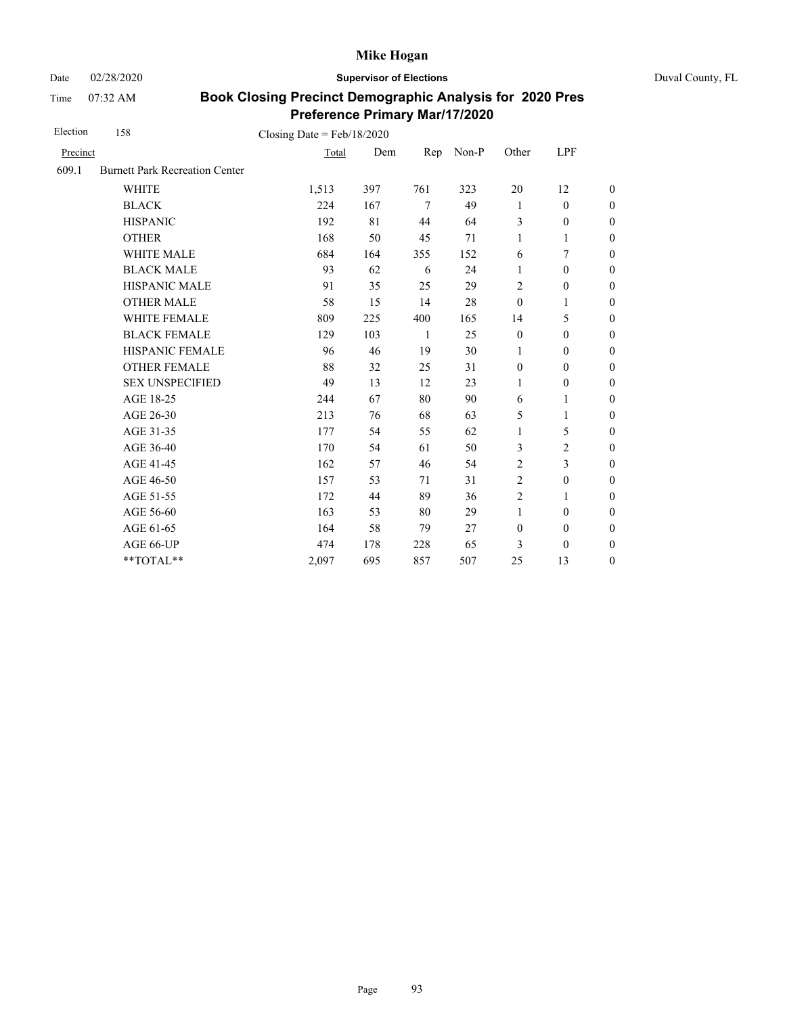Date 02/28/2020 **Supervisor of Elections** Duval County, FL

Time 07:32 AM

| Election | 158                                    | Closing Date = $Feb/18/2020$ |     |              |       |                  |                  |                  |
|----------|----------------------------------------|------------------------------|-----|--------------|-------|------------------|------------------|------------------|
| Precinct |                                        | Total                        | Dem | Rep          | Non-P | Other            | LPF              |                  |
| 609.1    | <b>Burnett Park Recreation Center</b>  |                              |     |              |       |                  |                  |                  |
|          | <b>WHITE</b>                           | 1,513                        | 397 | 761          | 323   | 20               | 12               | $\boldsymbol{0}$ |
|          | <b>BLACK</b>                           | 224                          | 167 | $\tau$       | 49    | 1                | $\mathbf{0}$     | $\boldsymbol{0}$ |
|          | <b>HISPANIC</b>                        | 192                          | 81  | 44           | 64    | 3                | $\boldsymbol{0}$ | $\boldsymbol{0}$ |
|          | <b>OTHER</b>                           | 168                          | 50  | 45           | 71    | $\mathbf{1}$     | 1                | $\overline{0}$   |
|          | WHITE MALE                             | 684                          | 164 | 355          | 152   | 6                | 7                | $\boldsymbol{0}$ |
|          | <b>BLACK MALE</b>                      | 93                           | 62  | 6            | 24    | 1                | $\mathbf{0}$     | $\boldsymbol{0}$ |
|          | <b>HISPANIC MALE</b>                   | 91                           | 35  | 25           | 29    | $\overline{2}$   | $\boldsymbol{0}$ | $\overline{0}$   |
|          | <b>OTHER MALE</b>                      | 58                           | 15  | 14           | 28    | $\mathbf{0}$     | 1                | $\boldsymbol{0}$ |
|          | WHITE FEMALE                           | 809                          | 225 | 400          | 165   | 14               | 5                | $\boldsymbol{0}$ |
|          | <b>BLACK FEMALE</b>                    | 129                          | 103 | $\mathbf{1}$ | 25    | $\boldsymbol{0}$ | $\mathbf{0}$     | $\boldsymbol{0}$ |
|          | HISPANIC FEMALE                        | 96                           | 46  | 19           | 30    | 1                | $\boldsymbol{0}$ | $\boldsymbol{0}$ |
|          | <b>OTHER FEMALE</b>                    | 88                           | 32  | 25           | 31    | $\boldsymbol{0}$ | $\mathbf{0}$     | $\boldsymbol{0}$ |
|          | <b>SEX UNSPECIFIED</b>                 | 49                           | 13  | 12           | 23    | 1                | $\mathbf{0}$     | $\boldsymbol{0}$ |
|          | AGE 18-25                              | 244                          | 67  | 80           | 90    | 6                | $\mathbf{1}$     | $\boldsymbol{0}$ |
|          | AGE 26-30                              | 213                          | 76  | 68           | 63    | 5                | $\mathbf{1}$     | $\boldsymbol{0}$ |
|          | AGE 31-35                              | 177                          | 54  | 55           | 62    | $\mathbf{1}$     | 5                | $\boldsymbol{0}$ |
|          | AGE 36-40                              | 170                          | 54  | 61           | 50    | 3                | $\overline{c}$   | $\boldsymbol{0}$ |
|          | AGE 41-45                              | 162                          | 57  | 46           | 54    | $\overline{2}$   | 3                | $\overline{0}$   |
|          | AGE 46-50                              | 157                          | 53  | 71           | 31    | 2                | $\boldsymbol{0}$ | $\boldsymbol{0}$ |
|          | AGE 51-55                              | 172                          | 44  | 89           | 36    | $\boldsymbol{2}$ | 1                | $\boldsymbol{0}$ |
|          | AGE 56-60                              | 163                          | 53  | 80           | 29    | $\mathbf{1}$     | $\mathbf{0}$     | $\overline{0}$   |
|          | AGE 61-65                              | 164                          | 58  | 79           | 27    | $\boldsymbol{0}$ | $\boldsymbol{0}$ | $\mathbf{0}$     |
|          | AGE 66-UP                              | 474                          | 178 | 228          | 65    | 3                | $\mathbf{0}$     | $\boldsymbol{0}$ |
|          | $\mathrm{*}\mathrm{*} \mathrm{TOTAL}*$ | 2,097                        | 695 | 857          | 507   | 25               | 13               | $\boldsymbol{0}$ |
|          |                                        |                              |     |              |       |                  |                  |                  |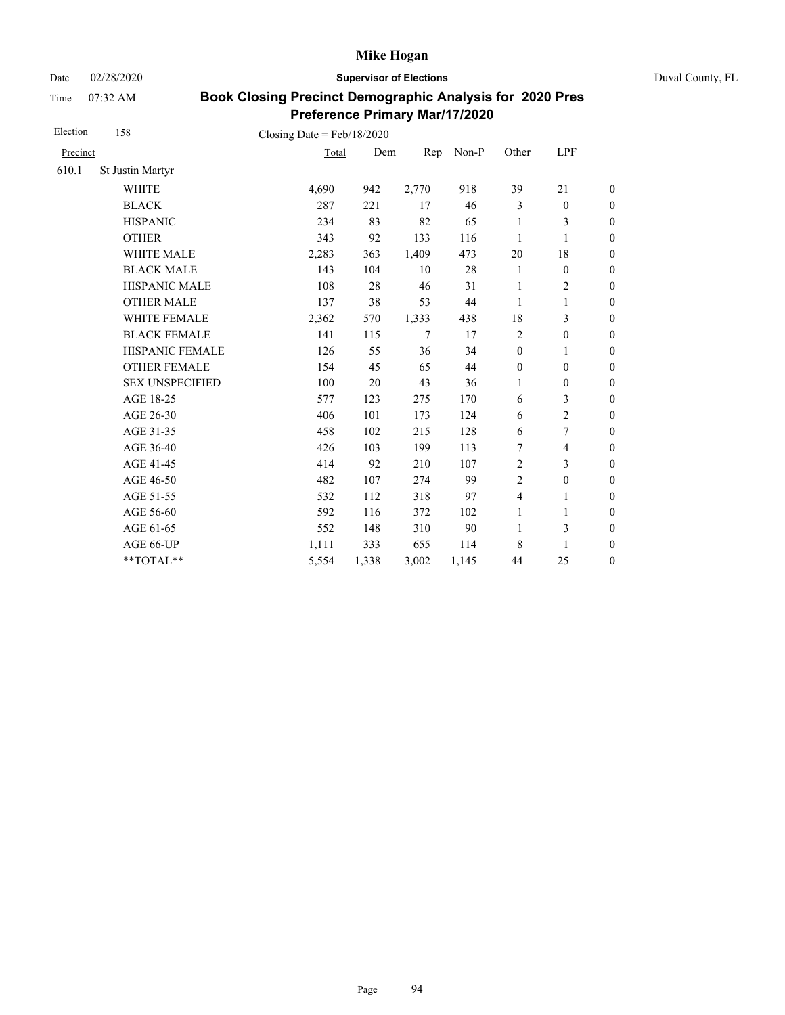Date 02/28/2020 **Supervisor of Elections** Duval County, FL

Time 07:32 AM

| Election | 158                    | Closing Date = $Feb/18/2020$ |       |       |       |                  |                          |                  |
|----------|------------------------|------------------------------|-------|-------|-------|------------------|--------------------------|------------------|
| Precinct |                        | Total                        | Dem   | Rep   | Non-P | Other            | LPF                      |                  |
| 610.1    | St Justin Martyr       |                              |       |       |       |                  |                          |                  |
|          | <b>WHITE</b>           | 4,690                        | 942   | 2,770 | 918   | 39               | 21                       | $\boldsymbol{0}$ |
|          | <b>BLACK</b>           | 287                          | 221   | 17    | 46    | 3                | $\boldsymbol{0}$         | $\boldsymbol{0}$ |
|          | <b>HISPANIC</b>        | 234                          | 83    | 82    | 65    | 1                | 3                        | $\boldsymbol{0}$ |
|          | <b>OTHER</b>           | 343                          | 92    | 133   | 116   | 1                | $\mathbf{1}$             | $\boldsymbol{0}$ |
|          | <b>WHITE MALE</b>      | 2,283                        | 363   | 1,409 | 473   | 20               | 18                       | $\boldsymbol{0}$ |
|          | <b>BLACK MALE</b>      | 143                          | 104   | 10    | 28    | 1                | $\boldsymbol{0}$         | $\boldsymbol{0}$ |
|          | <b>HISPANIC MALE</b>   | 108                          | 28    | 46    | 31    | 1                | $\overline{2}$           | $\overline{0}$   |
|          | <b>OTHER MALE</b>      | 137                          | 38    | 53    | 44    | 1                | 1                        | $\boldsymbol{0}$ |
|          | WHITE FEMALE           | 2,362                        | 570   | 1,333 | 438   | 18               | 3                        | $\boldsymbol{0}$ |
|          | <b>BLACK FEMALE</b>    | 141                          | 115   | 7     | 17    | $\overline{2}$   | $\boldsymbol{0}$         | $\boldsymbol{0}$ |
|          | HISPANIC FEMALE        | 126                          | 55    | 36    | 34    | $\boldsymbol{0}$ | 1                        | $\boldsymbol{0}$ |
|          | <b>OTHER FEMALE</b>    | 154                          | 45    | 65    | 44    | $\boldsymbol{0}$ | $\mathbf{0}$             | $\boldsymbol{0}$ |
|          | <b>SEX UNSPECIFIED</b> | 100                          | 20    | 43    | 36    | $\mathbf{1}$     | $\mathbf{0}$             | $\boldsymbol{0}$ |
|          | AGE 18-25              | 577                          | 123   | 275   | 170   | 6                | 3                        | $\boldsymbol{0}$ |
|          | AGE 26-30              | 406                          | 101   | 173   | 124   | 6                | $\overline{c}$           | $\overline{0}$   |
|          | AGE 31-35              | 458                          | 102   | 215   | 128   | 6                | $\tau$                   | $\boldsymbol{0}$ |
|          | AGE 36-40              | 426                          | 103   | 199   | 113   | 7                | $\overline{\mathcal{L}}$ | $\boldsymbol{0}$ |
|          | AGE 41-45              | 414                          | 92    | 210   | 107   | $\overline{2}$   | 3                        | $\overline{0}$   |
|          | AGE 46-50              | 482                          | 107   | 274   | 99    | $\sqrt{2}$       | $\boldsymbol{0}$         | $\boldsymbol{0}$ |
|          | AGE 51-55              | 532                          | 112   | 318   | 97    | $\overline{4}$   | 1                        | $\boldsymbol{0}$ |
|          | AGE 56-60              | 592                          | 116   | 372   | 102   | 1                | 1                        | $\boldsymbol{0}$ |
|          | AGE 61-65              | 552                          | 148   | 310   | 90    | $\mathbf{1}$     | 3                        | $\boldsymbol{0}$ |
|          | AGE 66-UP              | 1,111                        | 333   | 655   | 114   | 8                | $\mathbf{1}$             | $\boldsymbol{0}$ |
|          | **TOTAL**              | 5,554                        | 1,338 | 3,002 | 1,145 | 44               | 25                       | $\boldsymbol{0}$ |
|          |                        |                              |       |       |       |                  |                          |                  |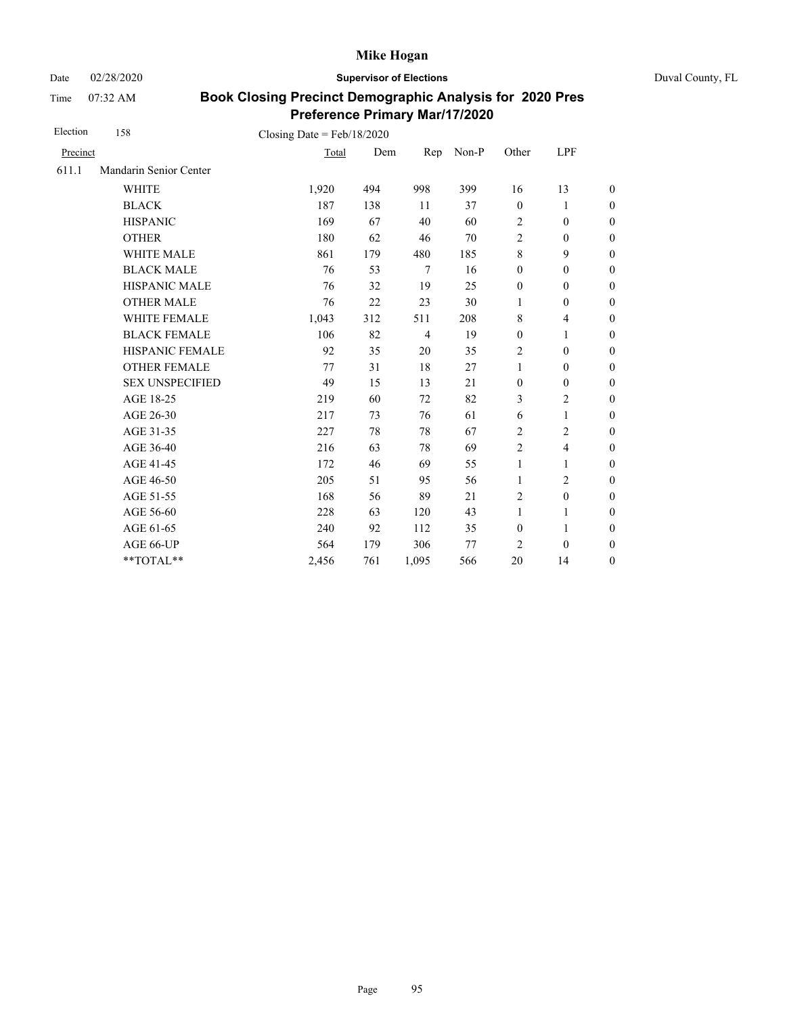Date 02/28/2020 **Supervisor of Elections** Duval County, FL

Time 07:32 AM

| Election | 158                    | Closing Date = $Feb/18/2020$ |     |                |       |                  |                         |                  |
|----------|------------------------|------------------------------|-----|----------------|-------|------------------|-------------------------|------------------|
| Precinct |                        | Total                        | Dem | Rep            | Non-P | Other            | LPF                     |                  |
| 611.1    | Mandarin Senior Center |                              |     |                |       |                  |                         |                  |
|          | <b>WHITE</b>           | 1,920                        | 494 | 998            | 399   | 16               | 13                      | $\boldsymbol{0}$ |
|          | <b>BLACK</b>           | 187                          | 138 | 11             | 37    | $\mathbf{0}$     | 1                       | $\boldsymbol{0}$ |
|          | <b>HISPANIC</b>        | 169                          | 67  | 40             | 60    | $\overline{2}$   | $\boldsymbol{0}$        | $\overline{0}$   |
|          | <b>OTHER</b>           | 180                          | 62  | 46             | 70    | $\overline{2}$   | $\mathbf{0}$            | $\boldsymbol{0}$ |
|          | <b>WHITE MALE</b>      | 861                          | 179 | 480            | 185   | $\,8\,$          | 9                       | $\boldsymbol{0}$ |
|          | <b>BLACK MALE</b>      | 76                           | 53  | $\tau$         | 16    | $\mathbf{0}$     | $\mathbf{0}$            | $\boldsymbol{0}$ |
|          | <b>HISPANIC MALE</b>   | 76                           | 32  | 19             | 25    | $\boldsymbol{0}$ | $\mathbf{0}$            | $\overline{0}$   |
|          | <b>OTHER MALE</b>      | 76                           | 22  | 23             | 30    | 1                | $\mathbf{0}$            | $\boldsymbol{0}$ |
|          | WHITE FEMALE           | 1,043                        | 312 | 511            | 208   | 8                | $\overline{4}$          | $\boldsymbol{0}$ |
|          | <b>BLACK FEMALE</b>    | 106                          | 82  | $\overline{4}$ | 19    | $\boldsymbol{0}$ | 1                       | $\overline{0}$   |
|          | <b>HISPANIC FEMALE</b> | 92                           | 35  | 20             | 35    | $\overline{c}$   | $\boldsymbol{0}$        | $\boldsymbol{0}$ |
|          | <b>OTHER FEMALE</b>    | 77                           | 31  | 18             | 27    | $\mathbf{1}$     | $\mathbf{0}$            | $\boldsymbol{0}$ |
|          | <b>SEX UNSPECIFIED</b> | 49                           | 15  | 13             | 21    | $\mathbf{0}$     | $\mathbf{0}$            | $\boldsymbol{0}$ |
|          | AGE 18-25              | 219                          | 60  | 72             | 82    | 3                | $\overline{c}$          | $\overline{0}$   |
|          | AGE 26-30              | 217                          | 73  | 76             | 61    | 6                | 1                       | $\boldsymbol{0}$ |
|          | AGE 31-35              | 227                          | 78  | 78             | 67    | $\overline{2}$   | $\overline{c}$          | $\overline{0}$   |
|          | AGE 36-40              | 216                          | 63  | 78             | 69    | $\overline{2}$   | $\overline{\mathbf{4}}$ | $\overline{0}$   |
|          | AGE 41-45              | 172                          | 46  | 69             | 55    | $\mathbf{1}$     | 1                       | $\overline{0}$   |
|          | AGE 46-50              | 205                          | 51  | 95             | 56    | 1                | $\overline{c}$          | $\boldsymbol{0}$ |
|          | AGE 51-55              | 168                          | 56  | 89             | 21    | $\overline{c}$   | $\mathbf{0}$            | $\boldsymbol{0}$ |
|          | AGE 56-60              | 228                          | 63  | 120            | 43    | $\mathbf{1}$     | 1                       | $\overline{0}$   |
|          | AGE 61-65              | 240                          | 92  | 112            | 35    | $\mathbf{0}$     | 1                       | $\boldsymbol{0}$ |
|          | AGE 66-UP              | 564                          | 179 | 306            | 77    | $\overline{2}$   | $\mathbf{0}$            | $\boldsymbol{0}$ |
|          | **TOTAL**              | 2,456                        | 761 | 1,095          | 566   | 20               | 14                      | $\overline{0}$   |
|          |                        |                              |     |                |       |                  |                         |                  |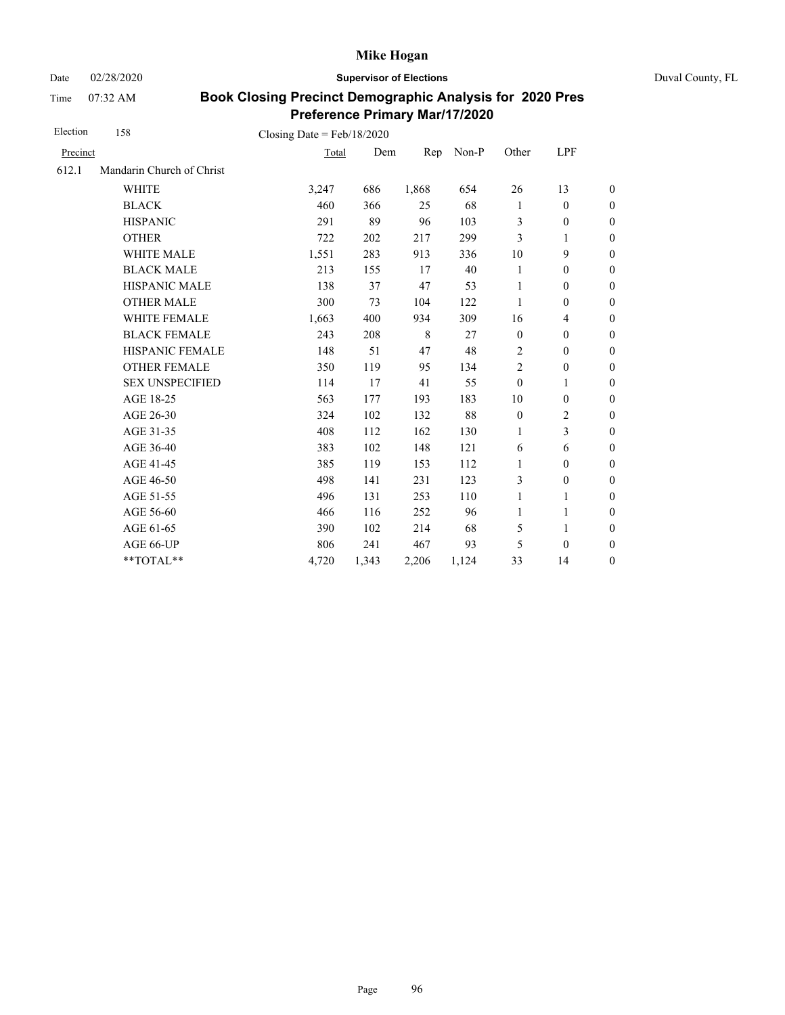Date 02/28/2020 **Supervisor of Elections** Duval County, FL

Time 07:32 AM

| Election | 158                       | Closing Date = $Feb/18/2020$ |       |       |       |                |                  |                  |
|----------|---------------------------|------------------------------|-------|-------|-------|----------------|------------------|------------------|
| Precinct |                           | Total                        | Dem   | Rep   | Non-P | Other          | LPF              |                  |
| 612.1    | Mandarin Church of Christ |                              |       |       |       |                |                  |                  |
|          | <b>WHITE</b>              | 3,247                        | 686   | 1,868 | 654   | 26             | 13               | $\boldsymbol{0}$ |
|          | <b>BLACK</b>              | 460                          | 366   | 25    | 68    | 1              | $\boldsymbol{0}$ | $\boldsymbol{0}$ |
|          | <b>HISPANIC</b>           | 291                          | 89    | 96    | 103   | 3              | $\boldsymbol{0}$ | $\overline{0}$   |
|          | <b>OTHER</b>              | 722                          | 202   | 217   | 299   | 3              | 1                | $\mathbf{0}$     |
|          | WHITE MALE                | 1,551                        | 283   | 913   | 336   | 10             | 9                | $\boldsymbol{0}$ |
|          | <b>BLACK MALE</b>         | 213                          | 155   | 17    | 40    | 1              | $\mathbf{0}$     | $\boldsymbol{0}$ |
|          | HISPANIC MALE             | 138                          | 37    | 47    | 53    | 1              | $\boldsymbol{0}$ | $\overline{0}$   |
|          | <b>OTHER MALE</b>         | 300                          | 73    | 104   | 122   | 1              | $\boldsymbol{0}$ | $\boldsymbol{0}$ |
|          | WHITE FEMALE              | 1,663                        | 400   | 934   | 309   | 16             | 4                | $\boldsymbol{0}$ |
|          | <b>BLACK FEMALE</b>       | 243                          | 208   | 8     | 27    | $\mathbf{0}$   | $\mathbf{0}$     | $\theta$         |
|          | HISPANIC FEMALE           | 148                          | 51    | 47    | 48    | $\overline{c}$ | $\boldsymbol{0}$ | $\boldsymbol{0}$ |
|          | <b>OTHER FEMALE</b>       | 350                          | 119   | 95    | 134   | $\overline{c}$ | $\mathbf{0}$     | $\overline{0}$   |
|          | <b>SEX UNSPECIFIED</b>    | 114                          | 17    | 41    | 55    | $\mathbf{0}$   | 1                | $\boldsymbol{0}$ |
|          | AGE 18-25                 | 563                          | 177   | 193   | 183   | 10             | $\boldsymbol{0}$ | $\overline{0}$   |
|          | AGE 26-30                 | 324                          | 102   | 132   | 88    | $\mathbf{0}$   | $\overline{2}$   | $\overline{0}$   |
|          | AGE 31-35                 | 408                          | 112   | 162   | 130   | 1              | 3                | $\boldsymbol{0}$ |
|          | AGE 36-40                 | 383                          | 102   | 148   | 121   | 6              | 6                | $\boldsymbol{0}$ |
|          | AGE 41-45                 | 385                          | 119   | 153   | 112   | $\mathbf{1}$   | $\mathbf{0}$     | $\overline{0}$   |
|          | AGE 46-50                 | 498                          | 141   | 231   | 123   | 3              | $\boldsymbol{0}$ | $\boldsymbol{0}$ |
|          | AGE 51-55                 | 496                          | 131   | 253   | 110   | $\mathbf{1}$   | 1                | $\boldsymbol{0}$ |
|          | AGE 56-60                 | 466                          | 116   | 252   | 96    | 1              | 1                | $\overline{0}$   |
|          | AGE 61-65                 | 390                          | 102   | 214   | 68    | 5              | $\mathbf{1}$     | $\boldsymbol{0}$ |
|          | AGE 66-UP                 | 806                          | 241   | 467   | 93    | 5              | $\mathbf{0}$     | $\boldsymbol{0}$ |
|          | **TOTAL**                 | 4,720                        | 1,343 | 2,206 | 1,124 | 33             | 14               | $\boldsymbol{0}$ |
|          |                           |                              |       |       |       |                |                  |                  |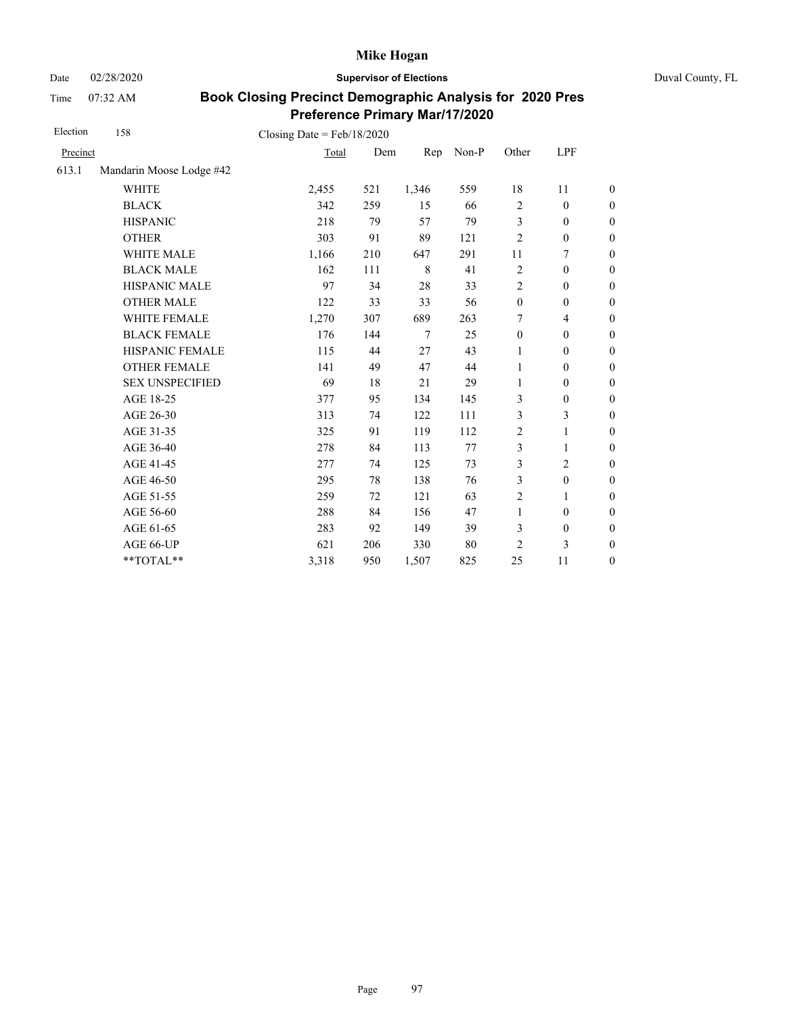Date 02/28/2020 **Supervisor of Elections** Duval County, FL

Time 07:32 AM

| Election | 158                      | Closing Date = $Feb/18/2020$ |     |         |       |                  |                          |                  |
|----------|--------------------------|------------------------------|-----|---------|-------|------------------|--------------------------|------------------|
| Precinct |                          | Total                        | Dem | Rep     | Non-P | Other            | LPF                      |                  |
| 613.1    | Mandarin Moose Lodge #42 |                              |     |         |       |                  |                          |                  |
|          | <b>WHITE</b>             | 2,455                        | 521 | 1,346   | 559   | $18\,$           | 11                       | $\boldsymbol{0}$ |
|          | <b>BLACK</b>             | 342                          | 259 | 15      | 66    | $\overline{c}$   | $\boldsymbol{0}$         | $\boldsymbol{0}$ |
|          | <b>HISPANIC</b>          | 218                          | 79  | 57      | 79    | $\mathfrak{Z}$   | $\mathbf{0}$             | $\boldsymbol{0}$ |
|          | <b>OTHER</b>             | 303                          | 91  | 89      | 121   | $\overline{2}$   | $\boldsymbol{0}$         | $\overline{0}$   |
|          | <b>WHITE MALE</b>        | 1,166                        | 210 | 647     | 291   | 11               | 7                        | $\boldsymbol{0}$ |
|          | <b>BLACK MALE</b>        | 162                          | 111 | $\,8\,$ | 41    | $\overline{c}$   | $\boldsymbol{0}$         | $\boldsymbol{0}$ |
|          | HISPANIC MALE            | 97                           | 34  | 28      | 33    | $\overline{c}$   | $\boldsymbol{0}$         | $\boldsymbol{0}$ |
|          | <b>OTHER MALE</b>        | 122                          | 33  | 33      | 56    | $\boldsymbol{0}$ | $\boldsymbol{0}$         | $\boldsymbol{0}$ |
|          | WHITE FEMALE             | 1,270                        | 307 | 689     | 263   | 7                | $\overline{\mathcal{L}}$ | $\boldsymbol{0}$ |
|          | <b>BLACK FEMALE</b>      | 176                          | 144 | $\tau$  | 25    | $\mathbf{0}$     | $\boldsymbol{0}$         | $\boldsymbol{0}$ |
|          | HISPANIC FEMALE          | 115                          | 44  | 27      | 43    | $\mathbf{1}$     | $\boldsymbol{0}$         | $\overline{0}$   |
|          | <b>OTHER FEMALE</b>      | 141                          | 49  | 47      | 44    | $\mathbf{1}$     | $\mathbf{0}$             | $\overline{0}$   |
|          | <b>SEX UNSPECIFIED</b>   | 69                           | 18  | 21      | 29    | 1                | $\boldsymbol{0}$         | $\boldsymbol{0}$ |
|          | AGE 18-25                | 377                          | 95  | 134     | 145   | 3                | $\boldsymbol{0}$         | $\boldsymbol{0}$ |
|          | AGE 26-30                | 313                          | 74  | 122     | 111   | 3                | 3                        | $\boldsymbol{0}$ |
|          | AGE 31-35                | 325                          | 91  | 119     | 112   | $\overline{c}$   | 1                        | $\boldsymbol{0}$ |
|          | AGE 36-40                | 278                          | 84  | 113     | 77    | 3                | 1                        | $\boldsymbol{0}$ |
|          | AGE 41-45                | 277                          | 74  | 125     | 73    | 3                | $\overline{c}$           | $\boldsymbol{0}$ |
|          | AGE 46-50                | 295                          | 78  | 138     | 76    | 3                | $\boldsymbol{0}$         | $\boldsymbol{0}$ |
|          | AGE 51-55                | 259                          | 72  | 121     | 63    | $\overline{2}$   | 1                        | $\boldsymbol{0}$ |
|          | AGE 56-60                | 288                          | 84  | 156     | 47    | $\mathbf{1}$     | $\boldsymbol{0}$         | $\boldsymbol{0}$ |
|          | AGE 61-65                | 283                          | 92  | 149     | 39    | 3                | $\boldsymbol{0}$         | $\boldsymbol{0}$ |
|          | AGE 66-UP                | 621                          | 206 | 330     | 80    | $\overline{c}$   | 3                        | $\overline{0}$   |
|          | **TOTAL**                | 3,318                        | 950 | 1,507   | 825   | 25               | 11                       | $\overline{0}$   |
|          |                          |                              |     |         |       |                  |                          |                  |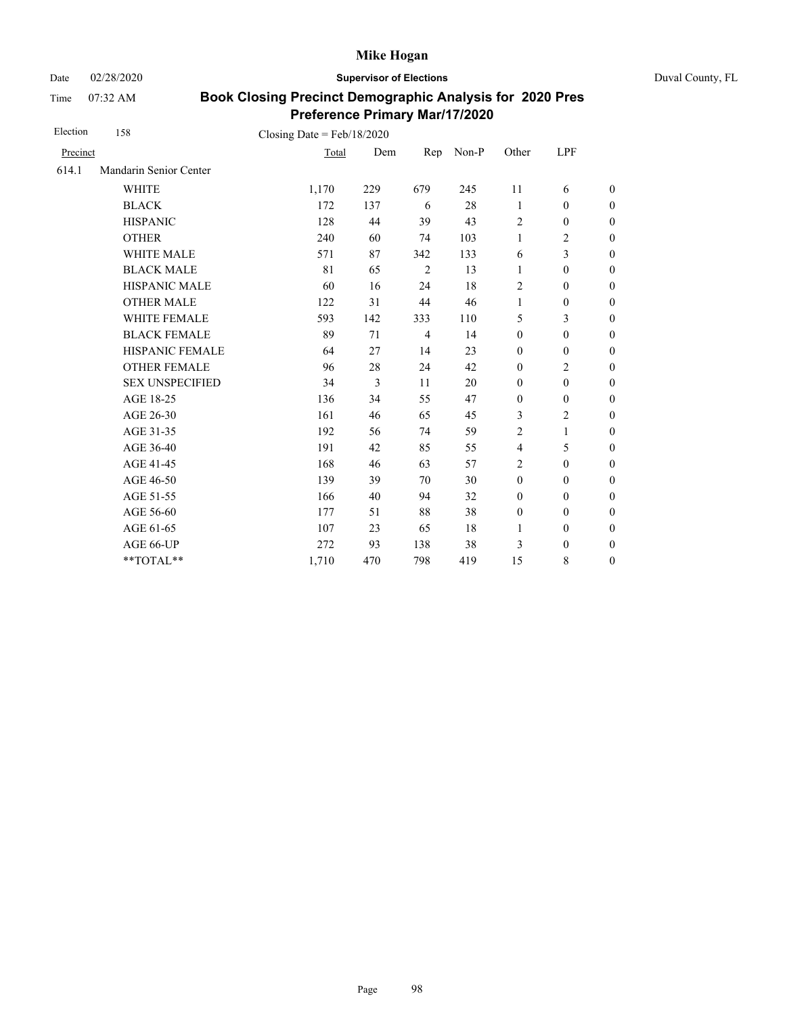Date 02/28/2020 **Supervisor of Elections** Duval County, FL

Time 07:32 AM

| Election | 158                    | Closing Date = $Feb/18/2020$ |     |                |       |                  |                  |                  |
|----------|------------------------|------------------------------|-----|----------------|-------|------------------|------------------|------------------|
| Precinct |                        | Total                        | Dem | Rep            | Non-P | Other            | LPF              |                  |
| 614.1    | Mandarin Senior Center |                              |     |                |       |                  |                  |                  |
|          | <b>WHITE</b>           | 1,170                        | 229 | 679            | 245   | 11               | 6                | $\boldsymbol{0}$ |
|          | <b>BLACK</b>           | 172                          | 137 | 6              | 28    | 1                | $\mathbf{0}$     | $\boldsymbol{0}$ |
|          | <b>HISPANIC</b>        | 128                          | 44  | 39             | 43    | $\overline{c}$   | $\boldsymbol{0}$ | $\boldsymbol{0}$ |
|          | <b>OTHER</b>           | 240                          | 60  | 74             | 103   | $\mathbf{1}$     | $\overline{c}$   | $\boldsymbol{0}$ |
|          | WHITE MALE             | 571                          | 87  | 342            | 133   | 6                | 3                | $\boldsymbol{0}$ |
|          | <b>BLACK MALE</b>      | 81                           | 65  | $\overline{2}$ | 13    | $\mathbf{1}$     | $\boldsymbol{0}$ | $\boldsymbol{0}$ |
|          | <b>HISPANIC MALE</b>   | 60                           | 16  | 24             | 18    | $\overline{c}$   | $\boldsymbol{0}$ | $\overline{0}$   |
|          | <b>OTHER MALE</b>      | 122                          | 31  | 44             | 46    | 1                | $\boldsymbol{0}$ | $\boldsymbol{0}$ |
|          | WHITE FEMALE           | 593                          | 142 | 333            | 110   | 5                | 3                | $\boldsymbol{0}$ |
|          | <b>BLACK FEMALE</b>    | 89                           | 71  | $\overline{4}$ | 14    | $\mathbf{0}$     | $\mathbf{0}$     | $\overline{0}$   |
|          | HISPANIC FEMALE        | 64                           | 27  | 14             | 23    | $\boldsymbol{0}$ | $\boldsymbol{0}$ | $\boldsymbol{0}$ |
|          | <b>OTHER FEMALE</b>    | 96                           | 28  | 24             | 42    | $\mathbf{0}$     | $\overline{2}$   | $\boldsymbol{0}$ |
|          | <b>SEX UNSPECIFIED</b> | 34                           | 3   | 11             | 20    | $\boldsymbol{0}$ | $\boldsymbol{0}$ | $\boldsymbol{0}$ |
|          | AGE 18-25              | 136                          | 34  | 55             | 47    | $\boldsymbol{0}$ | $\boldsymbol{0}$ | $\overline{0}$   |
|          | AGE 26-30              | 161                          | 46  | 65             | 45    | 3                | $\overline{2}$   | $\overline{0}$   |
|          | AGE 31-35              | 192                          | 56  | 74             | 59    | $\overline{2}$   | 1                | $\boldsymbol{0}$ |
|          | AGE 36-40              | 191                          | 42  | 85             | 55    | $\overline{4}$   | 5                | $\boldsymbol{0}$ |
|          | AGE 41-45              | 168                          | 46  | 63             | 57    | $\overline{2}$   | $\mathbf{0}$     | $\overline{0}$   |
|          | AGE 46-50              | 139                          | 39  | 70             | 30    | $\mathbf{0}$     | $\mathbf{0}$     | $\overline{0}$   |
|          | AGE 51-55              | 166                          | 40  | 94             | 32    | $\mathbf{0}$     | $\mathbf{0}$     | $\overline{0}$   |
|          | AGE 56-60              | 177                          | 51  | 88             | 38    | $\mathbf{0}$     | $\mathbf{0}$     | $\overline{0}$   |
|          | AGE 61-65              | 107                          | 23  | 65             | 18    | $\mathbf{1}$     | $\boldsymbol{0}$ | $\overline{0}$   |
|          | AGE 66-UP              | 272                          | 93  | 138            | 38    | 3                | $\boldsymbol{0}$ | $\boldsymbol{0}$ |
|          | **TOTAL**              | 1,710                        | 470 | 798            | 419   | 15               | 8                | $\boldsymbol{0}$ |
|          |                        |                              |     |                |       |                  |                  |                  |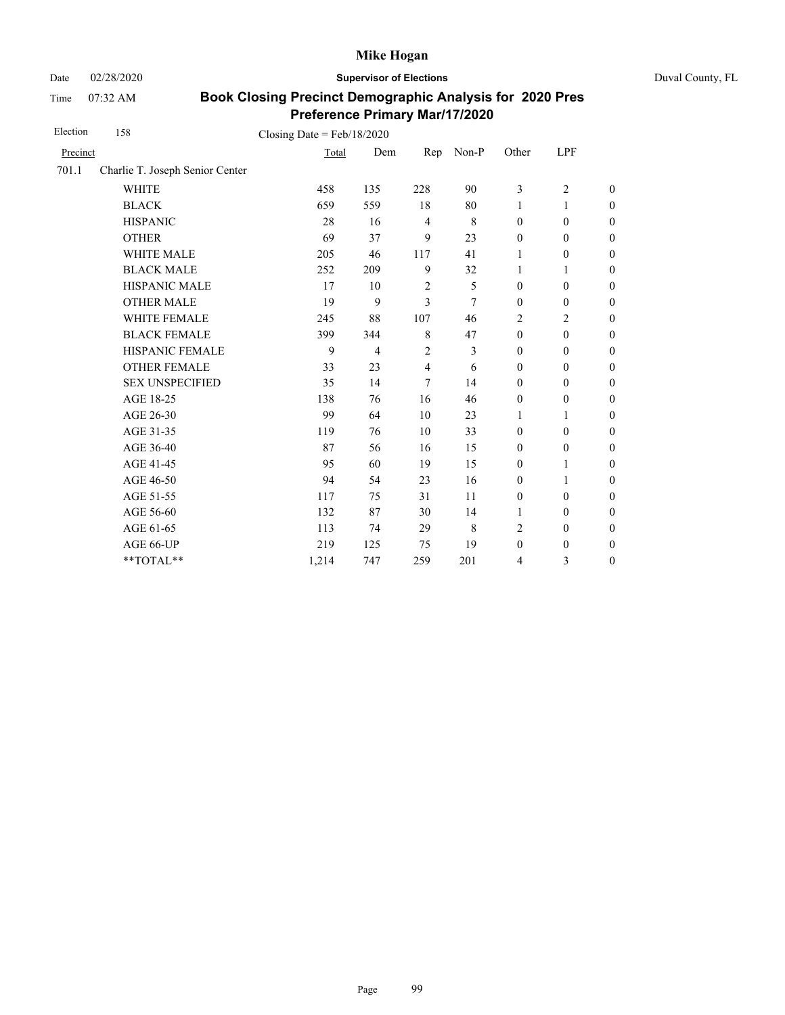Date 02/28/2020 **Supervisor of Elections** Duval County, FL

Time 07:32 AM

| Election | 158                             | Closing Date = $Feb/18/2020$ |                |                |             |                  |                  |                  |
|----------|---------------------------------|------------------------------|----------------|----------------|-------------|------------------|------------------|------------------|
| Precinct |                                 | Total                        | Dem            | Rep            | Non-P       | Other            | LPF              |                  |
| 701.1    | Charlie T. Joseph Senior Center |                              |                |                |             |                  |                  |                  |
|          | <b>WHITE</b>                    | 458                          | 135            | 228            | 90          | 3                | $\overline{c}$   | $\boldsymbol{0}$ |
|          | <b>BLACK</b>                    | 659                          | 559            | 18             | 80          | 1                | 1                | $\boldsymbol{0}$ |
|          | <b>HISPANIC</b>                 | 28                           | 16             | $\overline{4}$ | $\,$ 8 $\,$ | $\mathbf{0}$     | $\mathbf{0}$     | $\boldsymbol{0}$ |
|          | <b>OTHER</b>                    | 69                           | 37             | 9              | 23          | $\boldsymbol{0}$ | $\mathbf{0}$     | $\boldsymbol{0}$ |
|          | WHITE MALE                      | 205                          | 46             | 117            | 41          | 1                | $\boldsymbol{0}$ | $\boldsymbol{0}$ |
|          | <b>BLACK MALE</b>               | 252                          | 209            | 9              | 32          | 1                | 1                | $\boldsymbol{0}$ |
|          | <b>HISPANIC MALE</b>            | 17                           | 10             | $\overline{2}$ | 5           | $\mathbf{0}$     | $\boldsymbol{0}$ | $\boldsymbol{0}$ |
|          | <b>OTHER MALE</b>               | 19                           | 9              | 3              | 7           | $\mathbf{0}$     | $\mathbf{0}$     | $\boldsymbol{0}$ |
|          | WHITE FEMALE                    | 245                          | 88             | 107            | 46          | $\overline{2}$   | $\overline{2}$   | $\boldsymbol{0}$ |
|          | <b>BLACK FEMALE</b>             | 399                          | 344            | 8              | 47          | $\mathbf{0}$     | $\mathbf{0}$     | $\boldsymbol{0}$ |
|          | HISPANIC FEMALE                 | 9                            | $\overline{4}$ | $\overline{2}$ | 3           | $\mathbf{0}$     | $\mathbf{0}$     | $\boldsymbol{0}$ |
|          | <b>OTHER FEMALE</b>             | 33                           | 23             | 4              | 6           | $\mathbf{0}$     | $\mathbf{0}$     | $\boldsymbol{0}$ |
|          | <b>SEX UNSPECIFIED</b>          | 35                           | 14             | 7              | 14          | $\mathbf{0}$     | $\boldsymbol{0}$ | $\boldsymbol{0}$ |
|          | AGE 18-25                       | 138                          | 76             | 16             | 46          | $\mathbf{0}$     | $\mathbf{0}$     | $\overline{0}$   |
|          | AGE 26-30                       | 99                           | 64             | 10             | 23          | $\mathbf{1}$     | 1                | $\overline{0}$   |
|          | AGE 31-35                       | 119                          | 76             | 10             | 33          | $\boldsymbol{0}$ | $\boldsymbol{0}$ | $\boldsymbol{0}$ |
|          | AGE 36-40                       | 87                           | 56             | 16             | 15          | $\mathbf{0}$     | $\boldsymbol{0}$ | $\boldsymbol{0}$ |
|          | AGE 41-45                       | 95                           | 60             | 19             | 15          | $\boldsymbol{0}$ | $\mathbf{1}$     | $\overline{0}$   |
|          | AGE 46-50                       | 94                           | 54             | 23             | 16          | $\boldsymbol{0}$ | 1                | $\boldsymbol{0}$ |
|          | AGE 51-55                       | 117                          | 75             | 31             | 11          | $\boldsymbol{0}$ | $\boldsymbol{0}$ | $\boldsymbol{0}$ |
|          | AGE 56-60                       | 132                          | 87             | 30             | 14          | 1                | $\mathbf{0}$     | $\boldsymbol{0}$ |
|          | AGE 61-65                       | 113                          | 74             | 29             | $\,$ 8 $\,$ | $\overline{2}$   | $\boldsymbol{0}$ | $\boldsymbol{0}$ |
|          | AGE 66-UP                       | 219                          | 125            | 75             | 19          | $\boldsymbol{0}$ | $\boldsymbol{0}$ | $\boldsymbol{0}$ |
|          | **TOTAL**                       | 1,214                        | 747            | 259            | 201         | $\overline{4}$   | 3                | $\boldsymbol{0}$ |
|          |                                 |                              |                |                |             |                  |                  |                  |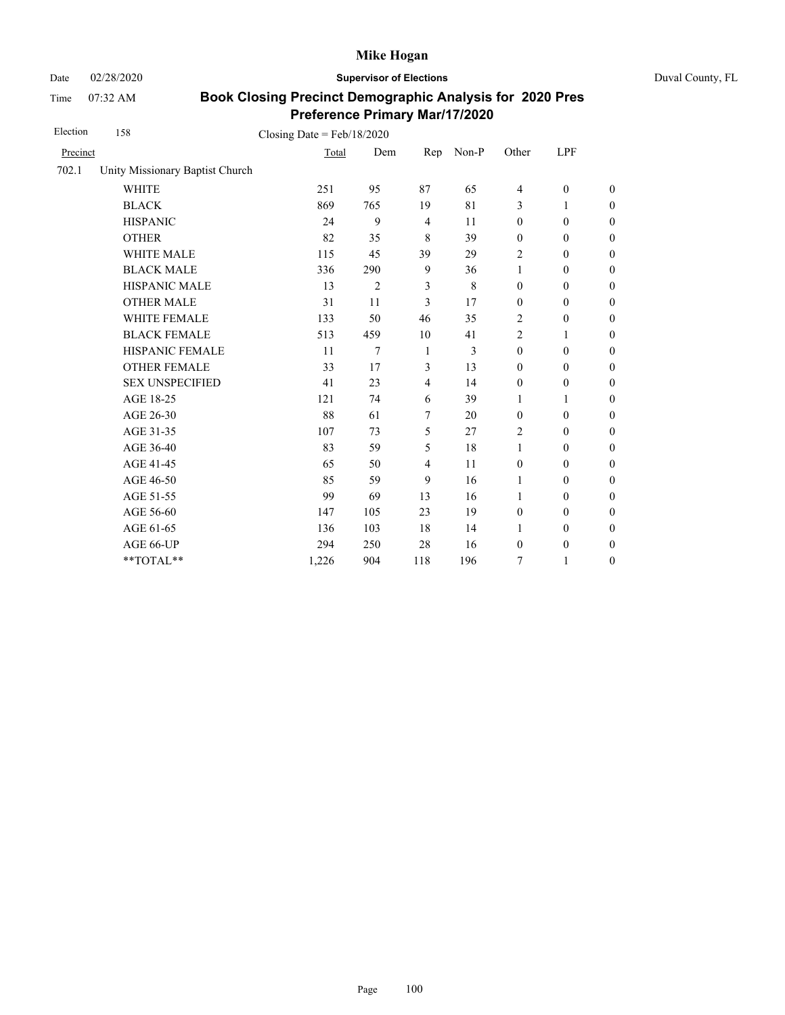Date 02/28/2020 **Supervisor of Elections** Duval County, FL

Time 07:32 AM

| Election | 158                             | Closing Date = $Feb/18/2020$ |                |                |             |                  |                  |                  |
|----------|---------------------------------|------------------------------|----------------|----------------|-------------|------------------|------------------|------------------|
| Precinct |                                 | Total                        | Dem            | Rep            | Non-P       | Other            | LPF              |                  |
| 702.1    | Unity Missionary Baptist Church |                              |                |                |             |                  |                  |                  |
|          | <b>WHITE</b>                    | 251                          | 95             | 87             | 65          | $\overline{4}$   | $\mathbf{0}$     | $\boldsymbol{0}$ |
|          | <b>BLACK</b>                    | 869                          | 765            | 19             | 81          | 3                | 1                | $\boldsymbol{0}$ |
|          | <b>HISPANIC</b>                 | 24                           | 9              | $\overline{4}$ | 11          | $\mathbf{0}$     | $\mathbf{0}$     | $\boldsymbol{0}$ |
|          | <b>OTHER</b>                    | 82                           | 35             | 8              | 39          | $\boldsymbol{0}$ | $\mathbf{0}$     | $\theta$         |
|          | <b>WHITE MALE</b>               | 115                          | 45             | 39             | 29          | 2                | $\mathbf{0}$     | $\mathbf{0}$     |
|          | <b>BLACK MALE</b>               | 336                          | 290            | 9              | 36          | $\mathbf{1}$     | $\mathbf{0}$     | $\boldsymbol{0}$ |
|          | <b>HISPANIC MALE</b>            | 13                           | $\mathfrak{2}$ | 3              | $\,$ 8 $\,$ | $\boldsymbol{0}$ | $\boldsymbol{0}$ | $\mathbf{0}$     |
|          | <b>OTHER MALE</b>               | 31                           | 11             | 3              | 17          | $\boldsymbol{0}$ | $\boldsymbol{0}$ | $\mathbf{0}$     |
|          | WHITE FEMALE                    | 133                          | 50             | 46             | 35          | 2                | $\boldsymbol{0}$ | $\boldsymbol{0}$ |
|          | <b>BLACK FEMALE</b>             | 513                          | 459            | 10             | 41          | $\overline{2}$   | 1                | $\boldsymbol{0}$ |
|          | HISPANIC FEMALE                 | 11                           | 7              | $\mathbf{1}$   | 3           | $\boldsymbol{0}$ | $\boldsymbol{0}$ | $\mathbf{0}$     |
|          | <b>OTHER FEMALE</b>             | 33                           | 17             | 3              | 13          | $\mathbf{0}$     | $\mathbf{0}$     | $\theta$         |
|          | <b>SEX UNSPECIFIED</b>          | 41                           | 23             | 4              | 14          | $\boldsymbol{0}$ | $\boldsymbol{0}$ | $\boldsymbol{0}$ |
|          | AGE 18-25                       | 121                          | 74             | 6              | 39          | 1                | 1                | $\boldsymbol{0}$ |
|          | AGE 26-30                       | 88                           | 61             | $\overline{7}$ | 20          | $\boldsymbol{0}$ | $\mathbf{0}$     | $\theta$         |
|          | AGE 31-35                       | 107                          | 73             | 5              | 27          | 2                | $\mathbf{0}$     | $\boldsymbol{0}$ |
|          | AGE 36-40                       | 83                           | 59             | 5              | 18          | 1                | $\mathbf{0}$     | $\boldsymbol{0}$ |
|          | AGE 41-45                       | 65                           | 50             | 4              | 11          | $\boldsymbol{0}$ | $\boldsymbol{0}$ | $\theta$         |
|          | AGE 46-50                       | 85                           | 59             | 9              | 16          | 1                | $\boldsymbol{0}$ | $\mathbf{0}$     |
|          | AGE 51-55                       | 99                           | 69             | 13             | 16          | $\mathbf{1}$     | $\boldsymbol{0}$ | $\boldsymbol{0}$ |
|          | AGE 56-60                       | 147                          | 105            | 23             | 19          | $\mathbf{0}$     | $\mathbf{0}$     | $\boldsymbol{0}$ |
|          | AGE 61-65                       | 136                          | 103            | 18             | 14          | 1                | $\boldsymbol{0}$ | $\mathbf{0}$     |
|          | AGE 66-UP                       | 294                          | 250            | 28             | 16          | $\boldsymbol{0}$ | $\boldsymbol{0}$ | $\boldsymbol{0}$ |
|          | **TOTAL**                       | 1,226                        | 904            | 118            | 196         | $\tau$           | $\mathbf{1}$     | $\boldsymbol{0}$ |
|          |                                 |                              |                |                |             |                  |                  |                  |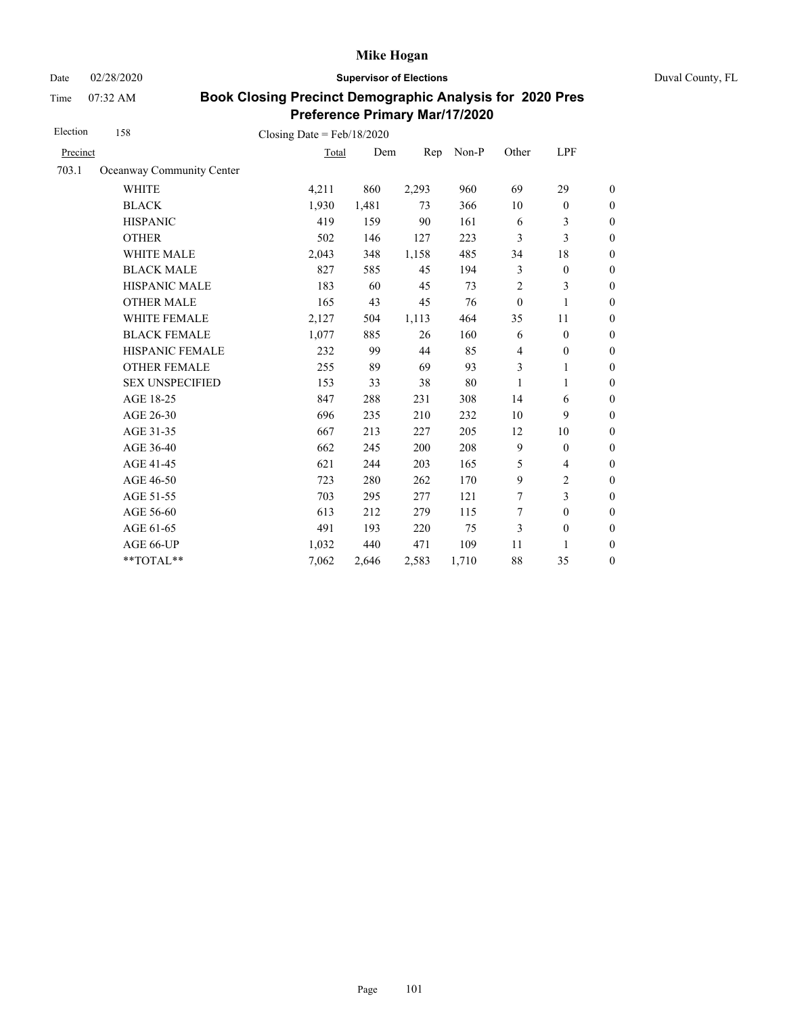Date 02/28/2020 **Supervisor of Elections** Duval County, FL

Time 07:32 AM

| Election | 158                       | Closing Date = $Feb/18/2020$ |       |       |       |                  |                  |                  |
|----------|---------------------------|------------------------------|-------|-------|-------|------------------|------------------|------------------|
| Precinct |                           | Total                        | Dem   | Rep   | Non-P | Other            | LPF              |                  |
| 703.1    | Oceanway Community Center |                              |       |       |       |                  |                  |                  |
|          | <b>WHITE</b>              | 4,211                        | 860   | 2,293 | 960   | 69               | 29               | $\boldsymbol{0}$ |
|          | <b>BLACK</b>              | 1,930                        | 1,481 | 73    | 366   | 10               | $\boldsymbol{0}$ | $\boldsymbol{0}$ |
|          | <b>HISPANIC</b>           | 419                          | 159   | 90    | 161   | 6                | 3                | $\overline{0}$   |
|          | <b>OTHER</b>              | 502                          | 146   | 127   | 223   | 3                | 3                | $\mathbf{0}$     |
|          | WHITE MALE                | 2,043                        | 348   | 1,158 | 485   | 34               | 18               | $\boldsymbol{0}$ |
|          | <b>BLACK MALE</b>         | 827                          | 585   | 45    | 194   | 3                | $\boldsymbol{0}$ | $\boldsymbol{0}$ |
|          | HISPANIC MALE             | 183                          | 60    | 45    | 73    | $\overline{c}$   | 3                | $\overline{0}$   |
|          | <b>OTHER MALE</b>         | 165                          | 43    | 45    | 76    | $\boldsymbol{0}$ | 1                | $\boldsymbol{0}$ |
|          | WHITE FEMALE              | 2,127                        | 504   | 1,113 | 464   | 35               | 11               | $\boldsymbol{0}$ |
|          | <b>BLACK FEMALE</b>       | 1,077                        | 885   | 26    | 160   | 6                | $\mathbf{0}$     | $\theta$         |
|          | HISPANIC FEMALE           | 232                          | 99    | 44    | 85    | $\overline{4}$   | $\boldsymbol{0}$ | $\mathbf{0}$     |
|          | <b>OTHER FEMALE</b>       | 255                          | 89    | 69    | 93    | 3                | 1                | $\theta$         |
|          | <b>SEX UNSPECIFIED</b>    | 153                          | 33    | 38    | 80    | 1                | 1                | $\boldsymbol{0}$ |
|          | AGE 18-25                 | 847                          | 288   | 231   | 308   | 14               | 6                | $\overline{0}$   |
|          | AGE 26-30                 | 696                          | 235   | 210   | 232   | 10               | 9                | $\theta$         |
|          | AGE 31-35                 | 667                          | 213   | 227   | 205   | 12               | 10               | $\boldsymbol{0}$ |
|          | AGE 36-40                 | 662                          | 245   | 200   | 208   | 9                | $\mathbf{0}$     | $\boldsymbol{0}$ |
|          | AGE 41-45                 | 621                          | 244   | 203   | 165   | 5                | $\overline{4}$   | $\overline{0}$   |
|          | AGE 46-50                 | 723                          | 280   | 262   | 170   | 9                | 2                | $\boldsymbol{0}$ |
|          | AGE 51-55                 | 703                          | 295   | 277   | 121   | 7                | 3                | $\boldsymbol{0}$ |
|          | AGE 56-60                 | 613                          | 212   | 279   | 115   | 7                | $\mathbf{0}$     | $\theta$         |
|          | AGE 61-65                 | 491                          | 193   | 220   | 75    | 3                | $\boldsymbol{0}$ | $\mathbf{0}$     |
|          | AGE 66-UP                 | 1,032                        | 440   | 471   | 109   | 11               | 1                | $\boldsymbol{0}$ |
|          | **TOTAL**                 | 7,062                        | 2,646 | 2,583 | 1,710 | 88               | 35               | $\boldsymbol{0}$ |
|          |                           |                              |       |       |       |                  |                  |                  |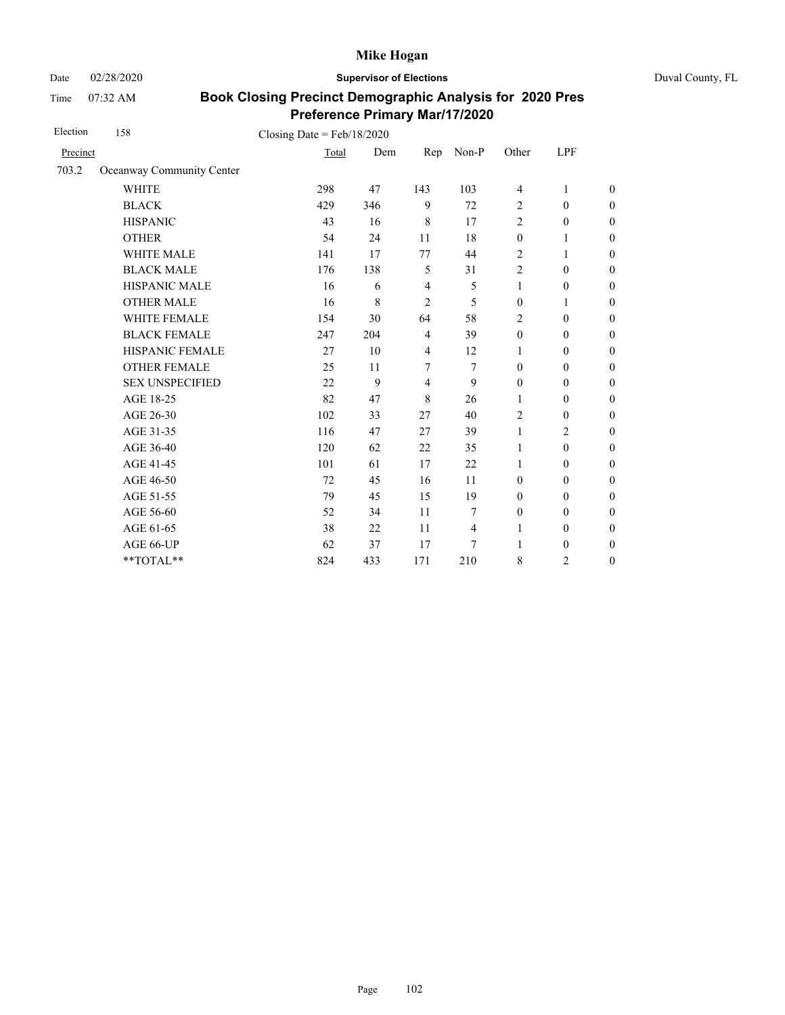Date 02/28/2020 **Supervisor of Elections** Duval County, FL

Time 07:32 AM

| Election | 158                       | Closing Date = $Feb/18/2020$ |     |                |                |                  |                  |                  |
|----------|---------------------------|------------------------------|-----|----------------|----------------|------------------|------------------|------------------|
| Precinct |                           | Total                        | Dem | Rep            | Non-P          | Other            | LPF              |                  |
| 703.2    | Oceanway Community Center |                              |     |                |                |                  |                  |                  |
|          | <b>WHITE</b>              | 298                          | 47  | 143            | 103            | $\overline{4}$   | 1                | $\boldsymbol{0}$ |
|          | <b>BLACK</b>              | 429                          | 346 | 9              | 72             | $\overline{2}$   | $\mathbf{0}$     | $\boldsymbol{0}$ |
|          | <b>HISPANIC</b>           | 43                           | 16  | 8              | 17             | $\overline{2}$   | $\boldsymbol{0}$ | $\overline{0}$   |
|          | <b>OTHER</b>              | 54                           | 24  | 11             | 18             | $\boldsymbol{0}$ | 1                | $\overline{0}$   |
|          | WHITE MALE                | 141                          | 17  | 77             | 44             | $\overline{2}$   | 1                | $\boldsymbol{0}$ |
|          | <b>BLACK MALE</b>         | 176                          | 138 | 5              | 31             | $\overline{2}$   | $\mathbf{0}$     | $\boldsymbol{0}$ |
|          | <b>HISPANIC MALE</b>      | 16                           | 6   | $\overline{4}$ | 5              | $\mathbf{1}$     | $\boldsymbol{0}$ | $\overline{0}$   |
|          | <b>OTHER MALE</b>         | 16                           | 8   | 2              | 5              | $\mathbf{0}$     | 1                | $\boldsymbol{0}$ |
|          | WHITE FEMALE              | 154                          | 30  | 64             | 58             | $\overline{2}$   | $\mathbf{0}$     | $\boldsymbol{0}$ |
|          | <b>BLACK FEMALE</b>       | 247                          | 204 | $\overline{4}$ | 39             | $\mathbf{0}$     | $\mathbf{0}$     | $\overline{0}$   |
|          | HISPANIC FEMALE           | 27                           | 10  | $\overline{4}$ | 12             | 1                | $\boldsymbol{0}$ | $\boldsymbol{0}$ |
|          | <b>OTHER FEMALE</b>       | 25                           | 11  | $\tau$         | 7              | $\mathbf{0}$     | $\mathbf{0}$     | $\boldsymbol{0}$ |
|          | <b>SEX UNSPECIFIED</b>    | 22                           | 9   | $\overline{4}$ | 9              | $\mathbf{0}$     | $\mathbf{0}$     | $\boldsymbol{0}$ |
|          | AGE 18-25                 | 82                           | 47  | 8              | 26             | $\mathbf{1}$     | $\boldsymbol{0}$ | $\overline{0}$   |
|          | AGE 26-30                 | 102                          | 33  | 27             | 40             | $\overline{2}$   | $\mathbf{0}$     | $\boldsymbol{0}$ |
|          | AGE 31-35                 | 116                          | 47  | 27             | 39             | 1                | $\overline{2}$   | $\overline{0}$   |
|          | AGE 36-40                 | 120                          | 62  | 22             | 35             | 1                | $\mathbf{0}$     | $\boldsymbol{0}$ |
|          | AGE 41-45                 | 101                          | 61  | 17             | 22             | $\mathbf{1}$     | $\mathbf{0}$     | $\overline{0}$   |
|          | AGE 46-50                 | 72                           | 45  | 16             | 11             | $\mathbf{0}$     | $\mathbf{0}$     | $\boldsymbol{0}$ |
|          | AGE 51-55                 | 79                           | 45  | 15             | 19             | $\mathbf{0}$     | $\mathbf{0}$     | $\boldsymbol{0}$ |
|          | AGE 56-60                 | 52                           | 34  | 11             | 7              | $\boldsymbol{0}$ | $\mathbf{0}$     | $\overline{0}$   |
|          | AGE 61-65                 | 38                           | 22  | 11             | $\overline{4}$ | $\mathbf{1}$     | $\mathbf{0}$     | $\boldsymbol{0}$ |
|          | AGE 66-UP                 | 62                           | 37  | 17             | 7              | 1                | $\mathbf{0}$     | $\boldsymbol{0}$ |
|          | **TOTAL**                 | 824                          | 433 | 171            | 210            | 8                | $\overline{c}$   | $\overline{0}$   |
|          |                           |                              |     |                |                |                  |                  |                  |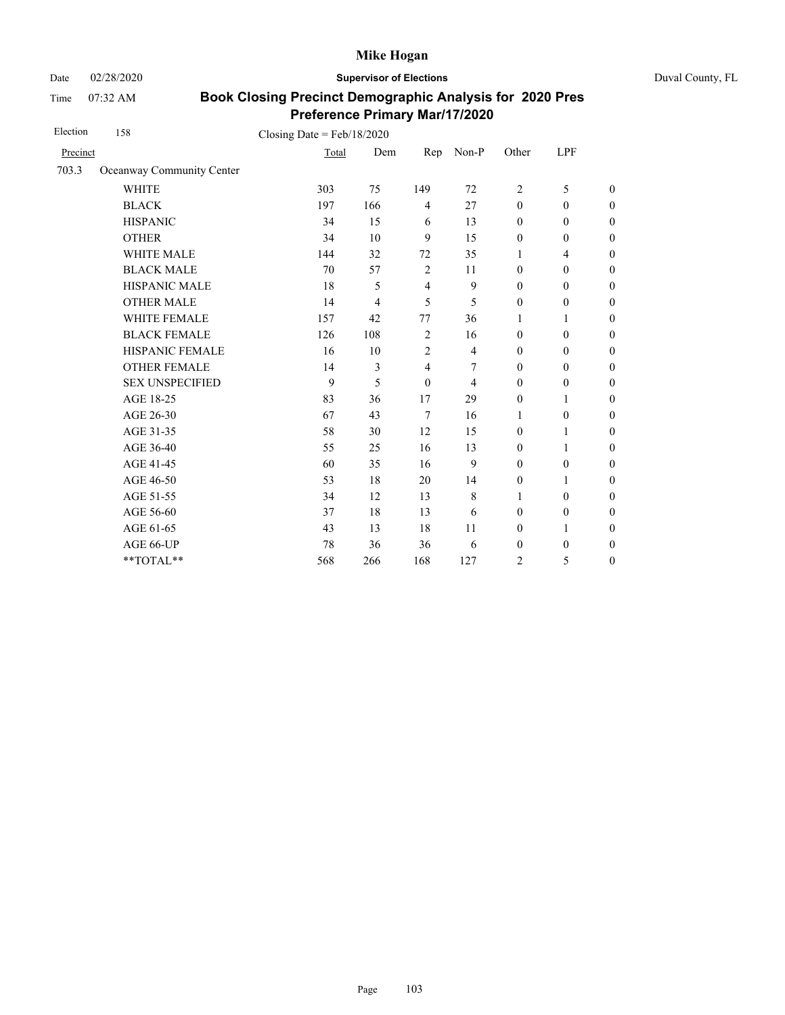Date 02/28/2020 **Supervisor of Elections** Duval County, FL

Time 07:32 AM

| Election | 158                       | Closing Date = $Feb/18/2020$ |     |                |                |                  |                  |                  |
|----------|---------------------------|------------------------------|-----|----------------|----------------|------------------|------------------|------------------|
| Precinct |                           | Total                        | Dem | Rep            | Non-P          | Other            | LPF              |                  |
| 703.3    | Oceanway Community Center |                              |     |                |                |                  |                  |                  |
|          | <b>WHITE</b>              | 303                          | 75  | 149            | 72             | 2                | 5                | $\boldsymbol{0}$ |
|          | <b>BLACK</b>              | 197                          | 166 | $\overline{4}$ | 27             | $\mathbf{0}$     | $\mathbf{0}$     | $\boldsymbol{0}$ |
|          | <b>HISPANIC</b>           | 34                           | 15  | 6              | 13             | $\mathbf{0}$     | $\mathbf{0}$     | $\boldsymbol{0}$ |
|          | <b>OTHER</b>              | 34                           | 10  | 9              | 15             | $\mathbf{0}$     | $\mathbf{0}$     | $\overline{0}$   |
|          | <b>WHITE MALE</b>         | 144                          | 32  | 72             | 35             | 1                | $\overline{4}$   | $\boldsymbol{0}$ |
|          | <b>BLACK MALE</b>         | 70                           | 57  | 2              | 11             | $\mathbf{0}$     | $\mathbf{0}$     | $\boldsymbol{0}$ |
|          | HISPANIC MALE             | 18                           | 5   | $\overline{4}$ | 9              | $\mathbf{0}$     | $\mathbf{0}$     | $\overline{0}$   |
|          | <b>OTHER MALE</b>         | 14                           | 4   | 5              | 5              | $\boldsymbol{0}$ | $\boldsymbol{0}$ | $\boldsymbol{0}$ |
|          | WHITE FEMALE              | 157                          | 42  | 77             | 36             | 1                | 1                | $\boldsymbol{0}$ |
|          | <b>BLACK FEMALE</b>       | 126                          | 108 | $\overline{2}$ | 16             | $\mathbf{0}$     | $\mathbf{0}$     | $\mathbf{0}$     |
|          | HISPANIC FEMALE           | 16                           | 10  | $\overline{c}$ | $\overline{4}$ | $\boldsymbol{0}$ | $\boldsymbol{0}$ | $\boldsymbol{0}$ |
|          | <b>OTHER FEMALE</b>       | 14                           | 3   | 4              | 7              | $\boldsymbol{0}$ | $\boldsymbol{0}$ | $\boldsymbol{0}$ |
|          | <b>SEX UNSPECIFIED</b>    | 9                            | 5   | $\theta$       | $\overline{4}$ | $\mathbf{0}$     | $\mathbf{0}$     | $\boldsymbol{0}$ |
|          | AGE 18-25                 | 83                           | 36  | 17             | 29             | $\boldsymbol{0}$ | 1                | $\boldsymbol{0}$ |
|          | AGE 26-30                 | 67                           | 43  | $\overline{7}$ | 16             | 1                | $\boldsymbol{0}$ | $\boldsymbol{0}$ |
|          | AGE 31-35                 | 58                           | 30  | 12             | 15             | $\mathbf{0}$     | 1                | $\boldsymbol{0}$ |
|          | AGE 36-40                 | 55                           | 25  | 16             | 13             | $\mathbf{0}$     | 1                | $\boldsymbol{0}$ |
|          | AGE 41-45                 | 60                           | 35  | 16             | 9              | $\mathbf{0}$     | $\boldsymbol{0}$ | $\overline{0}$   |
|          | AGE 46-50                 | 53                           | 18  | 20             | 14             | $\boldsymbol{0}$ | 1                | $\boldsymbol{0}$ |
|          | AGE 51-55                 | 34                           | 12  | 13             | $\,$ 8 $\,$    | 1                | $\mathbf{0}$     | $\boldsymbol{0}$ |
|          | AGE 56-60                 | 37                           | 18  | 13             | 6              | $\mathbf{0}$     | $\boldsymbol{0}$ | $\mathbf{0}$     |
|          | AGE 61-65                 | 43                           | 13  | 18             | 11             | $\mathbf{0}$     | 1                | $\boldsymbol{0}$ |
|          | AGE 66-UP                 | 78                           | 36  | 36             | 6              | $\boldsymbol{0}$ | $\boldsymbol{0}$ | $\mathbf{0}$     |
|          | **TOTAL**                 | 568                          | 266 | 168            | 127            | $\overline{2}$   | 5                | $\boldsymbol{0}$ |
|          |                           |                              |     |                |                |                  |                  |                  |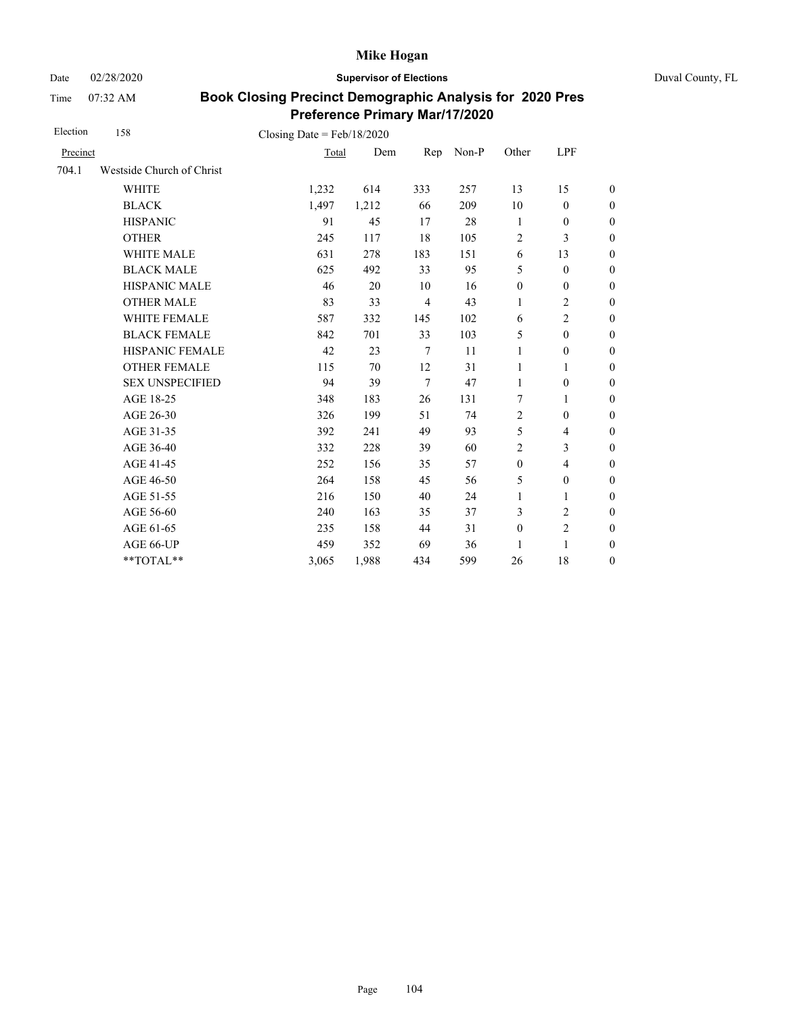Date 02/28/2020 **Supervisor of Elections** Duval County, FL

Time 07:32 AM

| Election | 158                                    | Closing Date = $Feb/18/2020$ |       |                |       |                  |                         |                  |
|----------|----------------------------------------|------------------------------|-------|----------------|-------|------------------|-------------------------|------------------|
| Precinct |                                        | Total                        | Dem   | Rep            | Non-P | Other            | LPF                     |                  |
| 704.1    | Westside Church of Christ              |                              |       |                |       |                  |                         |                  |
|          | <b>WHITE</b>                           | 1,232                        | 614   | 333            | 257   | 13               | 15                      | $\boldsymbol{0}$ |
|          | <b>BLACK</b>                           | 1,497                        | 1,212 | 66             | 209   | 10               | $\boldsymbol{0}$        | $\boldsymbol{0}$ |
|          | <b>HISPANIC</b>                        | 91                           | 45    | 17             | 28    | 1                | $\boldsymbol{0}$        | $\boldsymbol{0}$ |
|          | <b>OTHER</b>                           | 245                          | 117   | 18             | 105   | $\overline{2}$   | 3                       | $\overline{0}$   |
|          | WHITE MALE                             | 631                          | 278   | 183            | 151   | 6                | 13                      | $\boldsymbol{0}$ |
|          | <b>BLACK MALE</b>                      | 625                          | 492   | 33             | 95    | 5                | $\boldsymbol{0}$        | $\boldsymbol{0}$ |
|          | <b>HISPANIC MALE</b>                   | 46                           | 20    | 10             | 16    | $\boldsymbol{0}$ | $\boldsymbol{0}$        | $\overline{0}$   |
|          | <b>OTHER MALE</b>                      | 83                           | 33    | $\overline{4}$ | 43    | 1                | $\overline{2}$          | $\boldsymbol{0}$ |
|          | WHITE FEMALE                           | 587                          | 332   | 145            | 102   | 6                | $\overline{c}$          | $\boldsymbol{0}$ |
|          | <b>BLACK FEMALE</b>                    | 842                          | 701   | 33             | 103   | 5                | $\mathbf{0}$            | $\boldsymbol{0}$ |
|          | <b>HISPANIC FEMALE</b>                 | 42                           | 23    | $\tau$         | 11    | $\mathbf{1}$     | $\boldsymbol{0}$        | $\overline{0}$   |
|          | <b>OTHER FEMALE</b>                    | 115                          | 70    | 12             | 31    | $\mathbf{1}$     | 1                       | $\overline{0}$   |
|          | <b>SEX UNSPECIFIED</b>                 | 94                           | 39    | $\tau$         | 47    | 1                | $\boldsymbol{0}$        | $\boldsymbol{0}$ |
|          | AGE 18-25                              | 348                          | 183   | 26             | 131   | 7                | 1                       | $\overline{0}$   |
|          | AGE 26-30                              | 326                          | 199   | 51             | 74    | $\overline{2}$   | $\mathbf{0}$            | $\overline{0}$   |
|          | AGE 31-35                              | 392                          | 241   | 49             | 93    | 5                | 4                       | $\boldsymbol{0}$ |
|          | AGE 36-40                              | 332                          | 228   | 39             | 60    | $\overline{2}$   | 3                       | $\boldsymbol{0}$ |
|          | AGE 41-45                              | 252                          | 156   | 35             | 57    | $\boldsymbol{0}$ | $\overline{\mathbf{4}}$ | $\overline{0}$   |
|          | AGE 46-50                              | 264                          | 158   | 45             | 56    | 5                | $\boldsymbol{0}$        | $\boldsymbol{0}$ |
|          | AGE 51-55                              | 216                          | 150   | 40             | 24    | $\mathbf{1}$     | 1                       | $\boldsymbol{0}$ |
|          | AGE 56-60                              | 240                          | 163   | 35             | 37    | 3                | $\overline{c}$          | $\overline{0}$   |
|          | AGE 61-65                              | 235                          | 158   | 44             | 31    | $\boldsymbol{0}$ | $\overline{c}$          | $\overline{0}$   |
|          | AGE 66-UP                              | 459                          | 352   | 69             | 36    | 1                | $\mathbf{1}$            | $\boldsymbol{0}$ |
|          | $\mathrm{*}\mathrm{*} \mathrm{TOTAL}*$ | 3,065                        | 1,988 | 434            | 599   | 26               | 18                      | $\boldsymbol{0}$ |
|          |                                        |                              |       |                |       |                  |                         |                  |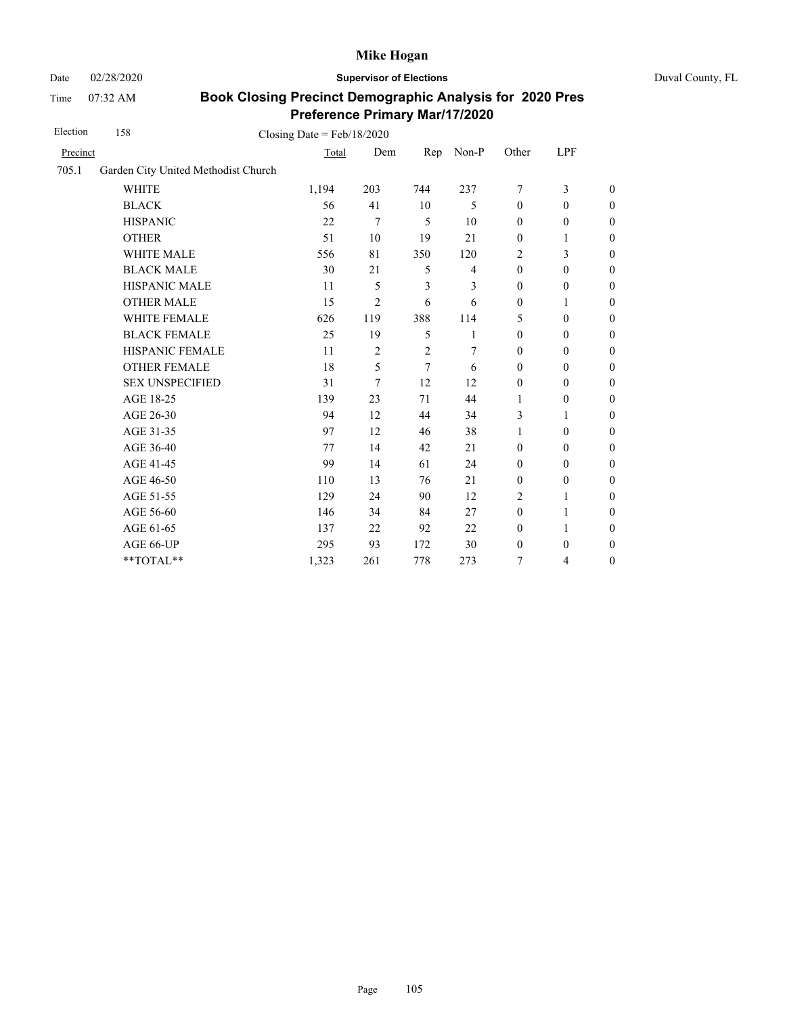Date 02/28/2020 **Supervisor of Elections** Duval County, FL

Time 07:32 AM

| Election | 158                                 | Closing Date = $Feb/18/2020$ |                |                |                |                  |                  |                  |
|----------|-------------------------------------|------------------------------|----------------|----------------|----------------|------------------|------------------|------------------|
| Precinct |                                     | Total                        | Dem            | Rep            | Non-P          | Other            | LPF              |                  |
| 705.1    | Garden City United Methodist Church |                              |                |                |                |                  |                  |                  |
|          | <b>WHITE</b>                        | 1,194                        | 203            | 744            | 237            | 7                | 3                | $\boldsymbol{0}$ |
|          | <b>BLACK</b>                        | 56                           | 41             | 10             | 5              | $\boldsymbol{0}$ | $\boldsymbol{0}$ | $\boldsymbol{0}$ |
|          | <b>HISPANIC</b>                     | 22                           | 7              | 5              | 10             | $\mathbf{0}$     | $\mathbf{0}$     | $\boldsymbol{0}$ |
|          | <b>OTHER</b>                        | 51                           | 10             | 19             | 21             | $\boldsymbol{0}$ | $\mathbf{1}$     | $\overline{0}$   |
|          | WHITE MALE                          | 556                          | 81             | 350            | 120            | 2                | 3                | $\boldsymbol{0}$ |
|          | <b>BLACK MALE</b>                   | 30                           | 21             | 5              | $\overline{4}$ | $\mathbf{0}$     | $\mathbf{0}$     | $\boldsymbol{0}$ |
|          | <b>HISPANIC MALE</b>                | 11                           | 5              | 3              | 3              | $\mathbf{0}$     | $\mathbf{0}$     | $\overline{0}$   |
|          | <b>OTHER MALE</b>                   | 15                           | $\overline{c}$ | 6              | 6              | $\mathbf{0}$     | 1                | $\boldsymbol{0}$ |
|          | WHITE FEMALE                        | 626                          | 119            | 388            | 114            | 5                | $\mathbf{0}$     | $\boldsymbol{0}$ |
|          | <b>BLACK FEMALE</b>                 | 25                           | 19             | 5              | 1              | $\mathbf{0}$     | $\mathbf{0}$     | $\boldsymbol{0}$ |
|          | HISPANIC FEMALE                     | 11                           | 2              | $\overline{c}$ | 7              | $\boldsymbol{0}$ | $\boldsymbol{0}$ | $\boldsymbol{0}$ |
|          | <b>OTHER FEMALE</b>                 | 18                           | 5              | 7              | 6              | $\mathbf{0}$     | $\mathbf{0}$     | $\boldsymbol{0}$ |
|          | <b>SEX UNSPECIFIED</b>              | 31                           | 7              | 12             | 12             | $\mathbf{0}$     | $\mathbf{0}$     | $\boldsymbol{0}$ |
|          | AGE 18-25                           | 139                          | 23             | 71             | 44             | 1                | $\boldsymbol{0}$ | $\boldsymbol{0}$ |
|          | AGE 26-30                           | 94                           | 12             | 44             | 34             | 3                | 1                | $\boldsymbol{0}$ |
|          | AGE 31-35                           | 97                           | 12             | 46             | 38             | $\mathbf{1}$     | $\mathbf{0}$     | $\boldsymbol{0}$ |
|          | AGE 36-40                           | 77                           | 14             | 42             | 21             | $\mathbf{0}$     | $\mathbf{0}$     | $\boldsymbol{0}$ |
|          | AGE 41-45                           | 99                           | 14             | 61             | 24             | $\boldsymbol{0}$ | $\boldsymbol{0}$ | $\boldsymbol{0}$ |
|          | AGE 46-50                           | 110                          | 13             | 76             | 21             | $\boldsymbol{0}$ | $\boldsymbol{0}$ | $\boldsymbol{0}$ |
|          | AGE 51-55                           | 129                          | 24             | 90             | 12             | $\overline{2}$   | 1                | $\boldsymbol{0}$ |
|          | AGE 56-60                           | 146                          | 34             | 84             | 27             | $\boldsymbol{0}$ | 1                | $\boldsymbol{0}$ |
|          | AGE 61-65                           | 137                          | 22             | 92             | 22             | $\boldsymbol{0}$ | 1                | $\boldsymbol{0}$ |
|          | AGE 66-UP                           | 295                          | 93             | 172            | 30             | $\boldsymbol{0}$ | $\boldsymbol{0}$ | $\boldsymbol{0}$ |
|          | **TOTAL**                           | 1,323                        | 261            | 778            | 273            | 7                | 4                | $\boldsymbol{0}$ |
|          |                                     |                              |                |                |                |                  |                  |                  |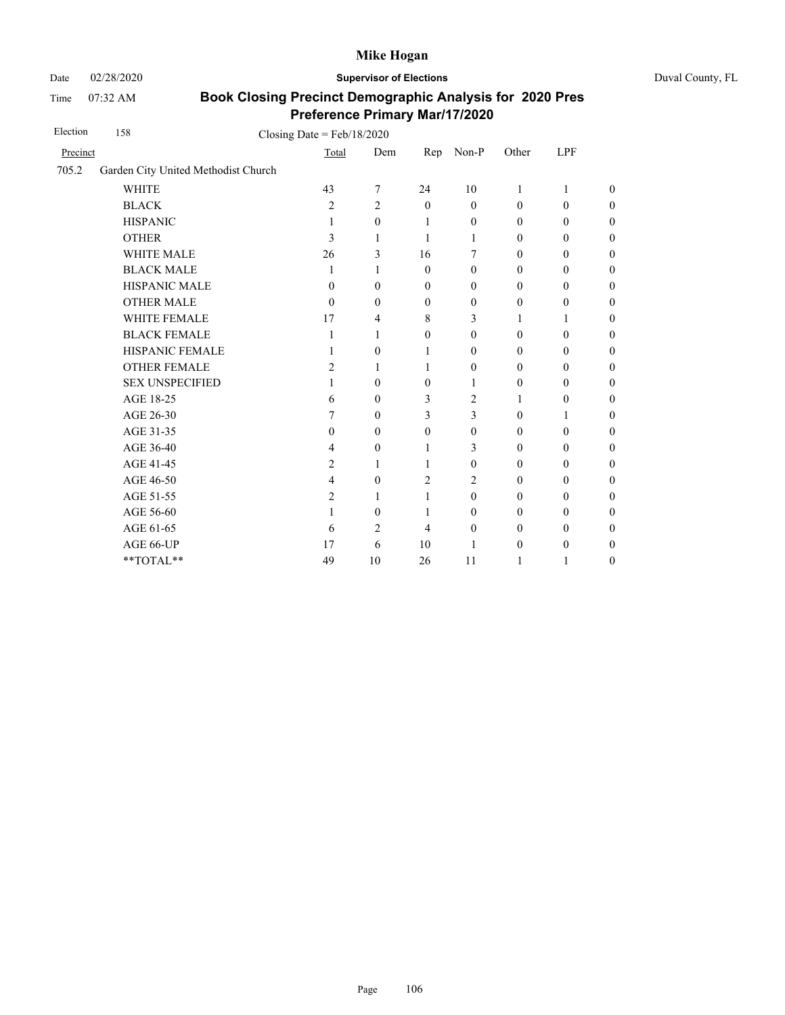Time 07:32 AM

Date 02/28/2020 **Supervisor of Elections** Duval County, FL

| Election | 158                                 | Closing Date = $Feb/18/2020$ |                |                |                  |                  |                  |                  |  |
|----------|-------------------------------------|------------------------------|----------------|----------------|------------------|------------------|------------------|------------------|--|
| Precinct |                                     | Total                        | Dem            | Rep            | Non-P            | Other            | LPF              |                  |  |
| 705.2    | Garden City United Methodist Church |                              |                |                |                  |                  |                  |                  |  |
|          | <b>WHITE</b>                        | 43                           | $\tau$         | 24             | 10               | $\mathbf{1}$     | 1                | $\overline{0}$   |  |
|          | <b>BLACK</b>                        | $\overline{c}$               | $\overline{2}$ | $\mathbf{0}$   | $\theta$         | $\mathbf{0}$     | $\boldsymbol{0}$ | $\boldsymbol{0}$ |  |
|          | <b>HISPANIC</b>                     | 1                            | $\mathbf{0}$   | 1              | $\theta$         | $\theta$         | $\mathbf{0}$     | 0                |  |
|          | <b>OTHER</b>                        | 3                            | 1              | $\mathbf{1}$   | 1                | $\mathbf{0}$     | $\mathbf{0}$     | $\overline{0}$   |  |
|          | <b>WHITE MALE</b>                   | 26                           | 3              | 16             | 7                | $\theta$         | $\mathbf{0}$     | $\overline{0}$   |  |
|          | <b>BLACK MALE</b>                   | 1                            | 1              | $\theta$       | $\theta$         | $\boldsymbol{0}$ | $\boldsymbol{0}$ | $\boldsymbol{0}$ |  |
|          | HISPANIC MALE                       | $\theta$                     | $\theta$       | $\theta$       | $\overline{0}$   | $\theta$         | $\boldsymbol{0}$ | $\boldsymbol{0}$ |  |
|          | <b>OTHER MALE</b>                   | $\theta$                     | $\theta$       | $\theta$       | $\mathbf{0}$     | $\boldsymbol{0}$ | $\boldsymbol{0}$ | $\overline{0}$   |  |
|          | <b>WHITE FEMALE</b>                 | 17                           | 4              | 8              | 3                | 1                | 1                | $\boldsymbol{0}$ |  |
|          | <b>BLACK FEMALE</b>                 | 1                            | 1              | $\theta$       | $\overline{0}$   | $\mathbf{0}$     | $\mathbf{0}$     | $\boldsymbol{0}$ |  |
|          | HISPANIC FEMALE                     |                              | $\theta$       | 1              | $\theta$         | $\boldsymbol{0}$ | $\boldsymbol{0}$ | $\boldsymbol{0}$ |  |
|          | <b>OTHER FEMALE</b>                 | 2                            | 1              | 1              | $\theta$         | $\theta$         | $\boldsymbol{0}$ | $\overline{0}$   |  |
|          | <b>SEX UNSPECIFIED</b>              | 1                            | $\mathbf{0}$   | $\mathbf{0}$   | 1                | $\mathbf{0}$     | $\mathbf{0}$     | $\boldsymbol{0}$ |  |
|          | AGE 18-25                           | 6                            | $\mathbf{0}$   | 3              | $\overline{c}$   | 1                | $\boldsymbol{0}$ | $\boldsymbol{0}$ |  |
|          | AGE 26-30                           | 7                            | $\mathbf{0}$   | 3              | 3                | $\boldsymbol{0}$ | 1                | $\overline{0}$   |  |
|          | AGE 31-35                           | 0                            | $\Omega$       | $\theta$       | $\mathbf{0}$     | $\boldsymbol{0}$ | $\mathbf{0}$     | $\boldsymbol{0}$ |  |
|          | AGE 36-40                           | 4                            | $\theta$       | 1              | 3                | $\theta$         | $\mathbf{0}$     | $\boldsymbol{0}$ |  |
|          | AGE 41-45                           | 2                            | 1              | 1              | $\boldsymbol{0}$ | $\boldsymbol{0}$ | $\boldsymbol{0}$ | $\boldsymbol{0}$ |  |
|          | AGE 46-50                           | 4                            | $\theta$       | $\overline{c}$ | 2                | $\theta$         | $\boldsymbol{0}$ | $\boldsymbol{0}$ |  |
|          | AGE 51-55                           | 2                            | 1              | 1              | $\theta$         | $\theta$         | $\boldsymbol{0}$ | $\boldsymbol{0}$ |  |
|          | AGE 56-60                           | 1                            | $\theta$       | 1              | $\overline{0}$   | $\mathbf{0}$     | $\mathbf{0}$     | $\boldsymbol{0}$ |  |
|          | AGE 61-65                           | 6                            | 2              | 4              | $\theta$         | $\theta$         | $\mathbf{0}$     | $\overline{0}$   |  |
|          | AGE 66-UP                           | 17                           | 6              | 10             | 1                | $\boldsymbol{0}$ | $\boldsymbol{0}$ | $\boldsymbol{0}$ |  |
|          | **TOTAL**                           | 49                           | 10             | 26             | 11               | 1                | 1                | $\boldsymbol{0}$ |  |
|          |                                     |                              |                |                |                  |                  |                  |                  |  |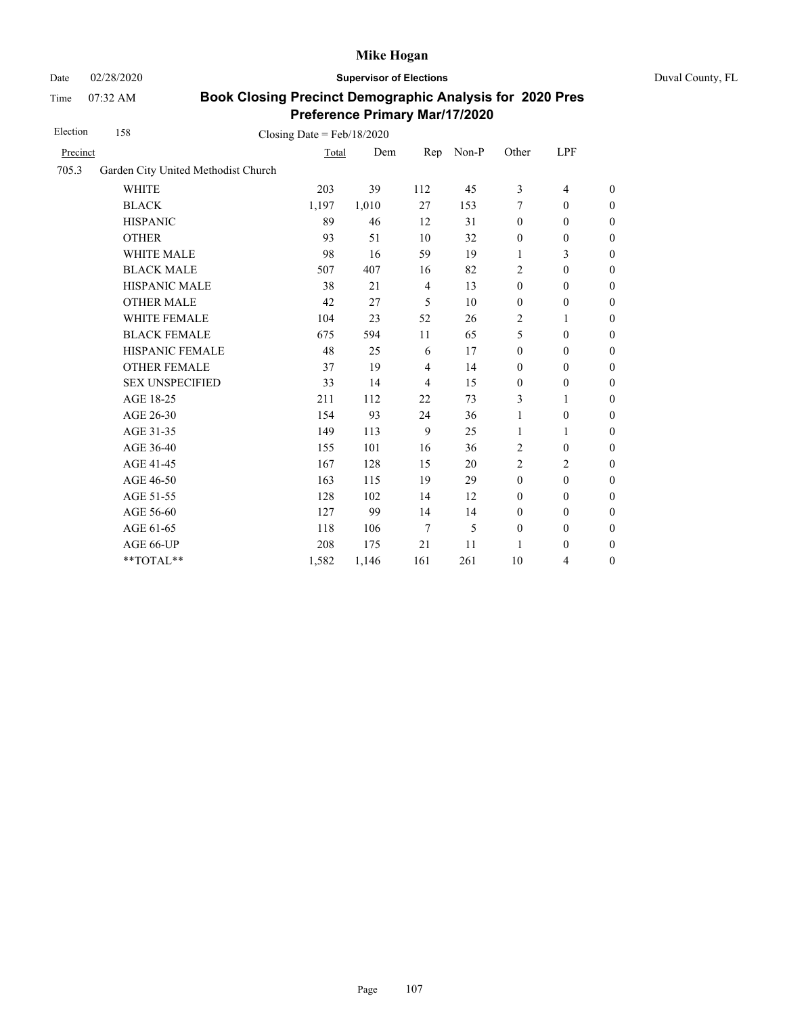Date 02/28/2020 **Supervisor of Elections** Duval County, FL

Time 07:32 AM

| Precinct               |       |                                     |                |       |                  |                          |                  |
|------------------------|-------|-------------------------------------|----------------|-------|------------------|--------------------------|------------------|
|                        | Total | Dem                                 | Rep            | Non-P | Other            | LPF                      |                  |
|                        |       |                                     |                |       |                  |                          |                  |
| <b>WHITE</b>           | 203   | 39                                  | 112            | 45    | 3                | $\overline{\mathcal{L}}$ | $\boldsymbol{0}$ |
| <b>BLACK</b>           | 1,197 | 1,010                               | 27             | 153   | 7                | $\boldsymbol{0}$         | $\boldsymbol{0}$ |
| <b>HISPANIC</b>        | 89    | 46                                  | 12             | 31    | $\boldsymbol{0}$ | $\boldsymbol{0}$         | $\boldsymbol{0}$ |
| <b>OTHER</b>           | 93    | 51                                  | 10             | 32    | $\boldsymbol{0}$ | $\boldsymbol{0}$         | $\overline{0}$   |
| WHITE MALE             | 98    | 16                                  | 59             | 19    | 1                | 3                        | $\boldsymbol{0}$ |
| <b>BLACK MALE</b>      | 507   | 407                                 | 16             | 82    | 2                | $\boldsymbol{0}$         | $\boldsymbol{0}$ |
| <b>HISPANIC MALE</b>   | 38    | 21                                  | $\overline{4}$ | 13    | $\boldsymbol{0}$ | $\boldsymbol{0}$         | $\overline{0}$   |
| <b>OTHER MALE</b>      | 42    | 27                                  | 5              | 10    | $\boldsymbol{0}$ | $\boldsymbol{0}$         | $\boldsymbol{0}$ |
| WHITE FEMALE           | 104   | 23                                  | 52             | 26    | $\overline{c}$   | 1                        | $\boldsymbol{0}$ |
| <b>BLACK FEMALE</b>    | 675   | 594                                 | 11             | 65    | 5                | $\mathbf{0}$             | $\boldsymbol{0}$ |
| HISPANIC FEMALE        | 48    | 25                                  | 6              | 17    | $\boldsymbol{0}$ | $\mathbf{0}$             | $\overline{0}$   |
| <b>OTHER FEMALE</b>    | 37    | 19                                  | 4              | 14    | $\mathbf{0}$     | $\mathbf{0}$             | $\overline{0}$   |
| <b>SEX UNSPECIFIED</b> | 33    | 14                                  | $\overline{4}$ | 15    | $\boldsymbol{0}$ | $\boldsymbol{0}$         | $\boldsymbol{0}$ |
| AGE 18-25              | 211   | 112                                 | 22             | 73    | 3                | 1                        | $\overline{0}$   |
| AGE 26-30              | 154   | 93                                  | 24             | 36    | $\mathbf{1}$     | $\boldsymbol{0}$         | $\overline{0}$   |
| AGE 31-35              | 149   | 113                                 | 9              | 25    | 1                | 1                        | $\boldsymbol{0}$ |
| AGE 36-40              | 155   | 101                                 | 16             | 36    | $\overline{2}$   | $\boldsymbol{0}$         | $\boldsymbol{0}$ |
| AGE 41-45              | 167   | 128                                 | 15             | 20    | $\overline{2}$   | $\overline{c}$           | $\overline{0}$   |
| AGE 46-50              | 163   | 115                                 | 19             | 29    | $\boldsymbol{0}$ | $\boldsymbol{0}$         | $\boldsymbol{0}$ |
| AGE 51-55              | 128   | 102                                 | 14             | 12    | $\boldsymbol{0}$ | $\boldsymbol{0}$         | $\boldsymbol{0}$ |
| AGE 56-60              | 127   | 99                                  | 14             | 14    | $\mathbf{0}$     | $\mathbf{0}$             | $\boldsymbol{0}$ |
| AGE 61-65              | 118   | 106                                 | 7              | 5     | $\boldsymbol{0}$ | $\boldsymbol{0}$         | $\boldsymbol{0}$ |
| AGE 66-UP              | 208   | 175                                 | 21             | 11    | 1                | $\boldsymbol{0}$         | $\boldsymbol{0}$ |
| **TOTAL**              | 1,582 | 1,146                               | 161            | 261   | 10               | 4                        | $\boldsymbol{0}$ |
|                        |       | Garden City United Methodist Church |                |       |                  |                          |                  |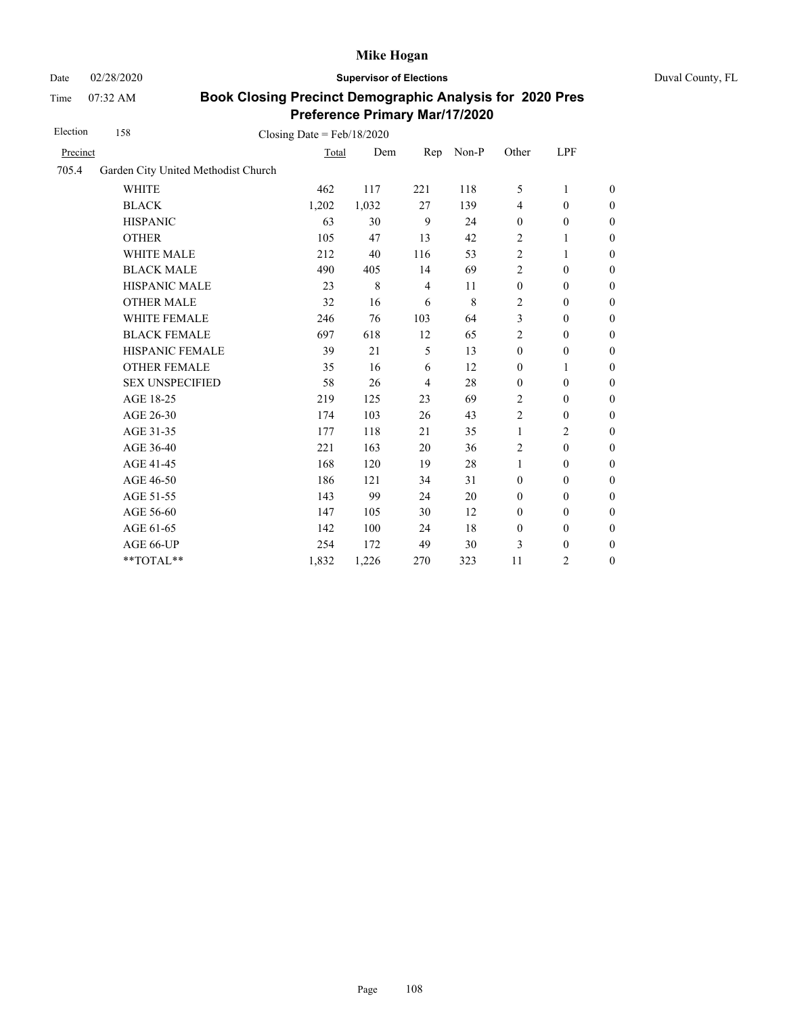Date 02/28/2020 **Supervisor of Elections** Duval County, FL

Time 07:32 AM

| Election | 158                                 | Closing Date = $Feb/18/2020$ |       |                |       |                  |                  |                  |
|----------|-------------------------------------|------------------------------|-------|----------------|-------|------------------|------------------|------------------|
| Precinct |                                     | Total                        | Dem   | Rep            | Non-P | Other            | LPF              |                  |
| 705.4    | Garden City United Methodist Church |                              |       |                |       |                  |                  |                  |
|          | <b>WHITE</b>                        | 462                          | 117   | 221            | 118   | 5                | 1                | $\boldsymbol{0}$ |
|          | <b>BLACK</b>                        | 1,202                        | 1,032 | 27             | 139   | $\overline{4}$   | $\boldsymbol{0}$ | $\boldsymbol{0}$ |
|          | <b>HISPANIC</b>                     | 63                           | 30    | 9              | 24    | $\boldsymbol{0}$ | $\boldsymbol{0}$ | 0                |
|          | <b>OTHER</b>                        | 105                          | 47    | 13             | 42    | $\overline{2}$   | $\mathbf{1}$     | $\overline{0}$   |
|          | WHITE MALE                          | 212                          | 40    | 116            | 53    | $\sqrt{2}$       | 1                | $\boldsymbol{0}$ |
|          | <b>BLACK MALE</b>                   | 490                          | 405   | 14             | 69    | $\overline{2}$   | $\mathbf{0}$     | $\overline{0}$   |
|          | <b>HISPANIC MALE</b>                | 23                           | 8     | $\overline{4}$ | 11    | $\mathbf{0}$     | $\mathbf{0}$     | $\overline{0}$   |
|          | <b>OTHER MALE</b>                   | 32                           | 16    | 6              | 8     | $\overline{2}$   | $\boldsymbol{0}$ | $\boldsymbol{0}$ |
|          | WHITE FEMALE                        | 246                          | 76    | 103            | 64    | 3                | $\boldsymbol{0}$ | $\boldsymbol{0}$ |
|          | <b>BLACK FEMALE</b>                 | 697                          | 618   | 12             | 65    | $\overline{2}$   | $\boldsymbol{0}$ | $\boldsymbol{0}$ |
|          | HISPANIC FEMALE                     | 39                           | 21    | 5              | 13    | $\boldsymbol{0}$ | $\boldsymbol{0}$ | $\overline{0}$   |
|          | <b>OTHER FEMALE</b>                 | 35                           | 16    | 6              | 12    | $\mathbf{0}$     | $\mathbf{1}$     | $\boldsymbol{0}$ |
|          | <b>SEX UNSPECIFIED</b>              | 58                           | 26    | $\overline{4}$ | 28    | $\mathbf{0}$     | $\mathbf{0}$     | $\boldsymbol{0}$ |
|          | AGE 18-25                           | 219                          | 125   | 23             | 69    | $\overline{2}$   | $\boldsymbol{0}$ | $\boldsymbol{0}$ |
|          | AGE 26-30                           | 174                          | 103   | 26             | 43    | $\overline{2}$   | $\boldsymbol{0}$ | $\boldsymbol{0}$ |
|          | AGE 31-35                           | 177                          | 118   | 21             | 35    | 1                | $\overline{c}$   | $\boldsymbol{0}$ |
|          | AGE 36-40                           | 221                          | 163   | 20             | 36    | $\overline{2}$   | $\boldsymbol{0}$ | $\boldsymbol{0}$ |
|          | AGE 41-45                           | 168                          | 120   | 19             | 28    | $\mathbf{1}$     | $\boldsymbol{0}$ | $\overline{0}$   |
|          | AGE 46-50                           | 186                          | 121   | 34             | 31    | $\mathbf{0}$     | $\mathbf{0}$     | $\boldsymbol{0}$ |
|          | AGE 51-55                           | 143                          | 99    | 24             | 20    | $\mathbf{0}$     | $\mathbf{0}$     | $\overline{0}$   |
|          | AGE 56-60                           | 147                          | 105   | 30             | 12    | $\boldsymbol{0}$ | $\boldsymbol{0}$ | $\boldsymbol{0}$ |
|          | AGE 61-65                           | 142                          | 100   | 24             | 18    | $\boldsymbol{0}$ | $\boldsymbol{0}$ | $\boldsymbol{0}$ |
|          | AGE 66-UP                           | 254                          | 172   | 49             | 30    | 3                | $\boldsymbol{0}$ | $\boldsymbol{0}$ |
|          | **TOTAL**                           | 1,832                        | 1,226 | 270            | 323   | 11               | 2                | $\boldsymbol{0}$ |
|          |                                     |                              |       |                |       |                  |                  |                  |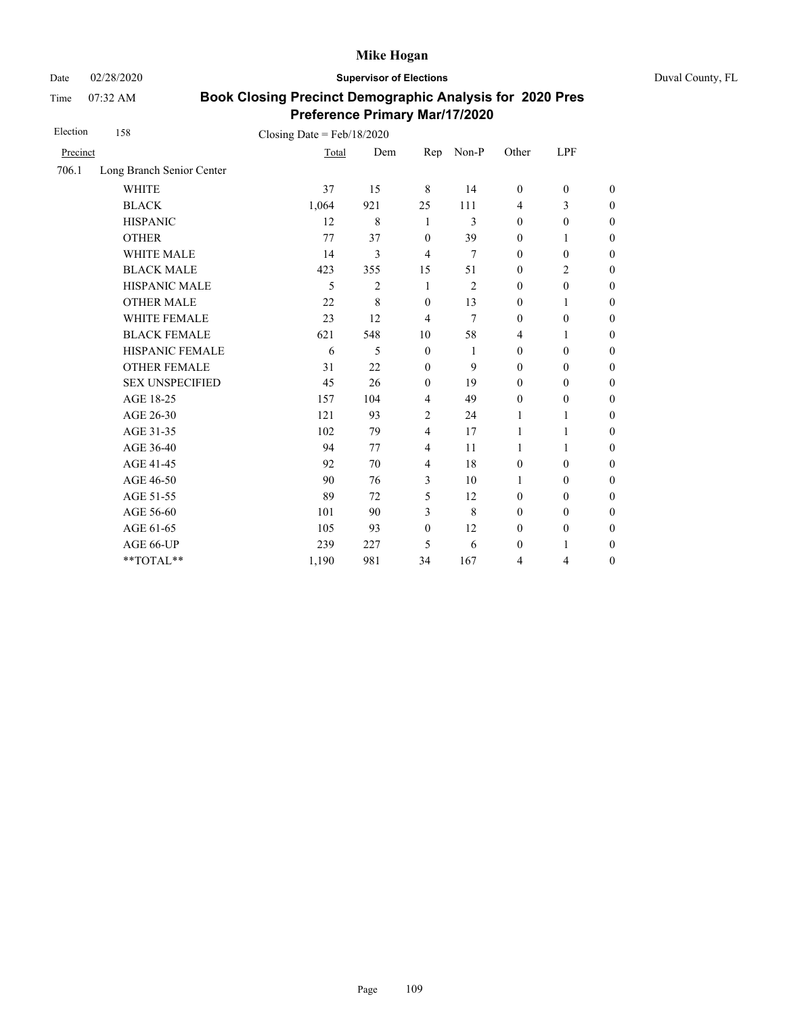Date 02/28/2020 **Supervisor of Elections** Duval County, FL

Time 07:32 AM

| Election | 158                       | Closing Date = $Feb/18/2020$ |                |                |                |                  |                  |                  |
|----------|---------------------------|------------------------------|----------------|----------------|----------------|------------------|------------------|------------------|
| Precinct |                           | Total                        | Dem            | Rep            | Non-P          | Other            | LPF              |                  |
| 706.1    | Long Branch Senior Center |                              |                |                |                |                  |                  |                  |
|          | <b>WHITE</b>              | 37                           | 15             | 8              | 14             | $\mathbf{0}$     | $\mathbf{0}$     | $\theta$         |
|          | <b>BLACK</b>              | 1,064                        | 921            | 25             | 111            | $\overline{4}$   | 3                | $\overline{0}$   |
|          | <b>HISPANIC</b>           | 12                           | $\,$ 8 $\,$    | 1              | 3              | $\boldsymbol{0}$ | $\boldsymbol{0}$ | $\boldsymbol{0}$ |
|          | <b>OTHER</b>              | 77                           | 37             | $\mathbf{0}$   | 39             | $\mathbf{0}$     | 1                | $\overline{0}$   |
|          | <b>WHITE MALE</b>         | 14                           | 3              | $\overline{4}$ | 7              | $\mathbf{0}$     | $\mathbf{0}$     | $\boldsymbol{0}$ |
|          | <b>BLACK MALE</b>         | 423                          | 355            | 15             | 51             | $\boldsymbol{0}$ | $\overline{c}$   | $\boldsymbol{0}$ |
|          | HISPANIC MALE             | 5                            | $\overline{2}$ | 1              | $\overline{2}$ | $\boldsymbol{0}$ | $\boldsymbol{0}$ | $\overline{0}$   |
|          | <b>OTHER MALE</b>         | 22                           | 8              | $\mathbf{0}$   | 13             | $\mathbf{0}$     | 1                | $\boldsymbol{0}$ |
|          | <b>WHITE FEMALE</b>       | 23                           | 12             | $\overline{4}$ | 7              | $\theta$         | $\mathbf{0}$     | $\boldsymbol{0}$ |
|          | <b>BLACK FEMALE</b>       | 621                          | 548            | 10             | 58             | $\overline{4}$   | 1                | $\overline{0}$   |
|          | HISPANIC FEMALE           | 6                            | 5              | $\mathbf{0}$   | 1              | $\boldsymbol{0}$ | $\boldsymbol{0}$ | $\boldsymbol{0}$ |
|          | <b>OTHER FEMALE</b>       | 31                           | 22             | $\mathbf{0}$   | 9              | $\mathbf{0}$     | $\boldsymbol{0}$ | $\boldsymbol{0}$ |
|          | <b>SEX UNSPECIFIED</b>    | 45                           | 26             | $\mathbf{0}$   | 19             | $\mathbf{0}$     | $\mathbf{0}$     | $\overline{0}$   |
|          | AGE 18-25                 | 157                          | 104            | $\overline{4}$ | 49             | $\mathbf{0}$     | $\boldsymbol{0}$ | $\overline{0}$   |
|          | AGE 26-30                 | 121                          | 93             | $\overline{2}$ | 24             | 1                | 1                | $\boldsymbol{0}$ |
|          | AGE 31-35                 | 102                          | 79             | $\overline{4}$ | 17             | 1                | 1                | $\boldsymbol{0}$ |
|          | AGE 36-40                 | 94                           | 77             | $\overline{4}$ | 11             | 1                | $\mathbf{1}$     | $\boldsymbol{0}$ |
|          | AGE 41-45                 | 92                           | 70             | $\overline{4}$ | 18             | $\boldsymbol{0}$ | $\boldsymbol{0}$ | $\boldsymbol{0}$ |
|          | AGE 46-50                 | 90                           | 76             | 3              | 10             | 1                | $\boldsymbol{0}$ | $\boldsymbol{0}$ |
|          | AGE 51-55                 | 89                           | 72             | 5              | 12             | $\mathbf{0}$     | $\boldsymbol{0}$ | $\boldsymbol{0}$ |
|          | AGE 56-60                 | 101                          | 90             | 3              | 8              | $\mathbf{0}$     | $\mathbf{0}$     | $\overline{0}$   |
|          | AGE 61-65                 | 105                          | 93             | $\mathbf{0}$   | 12             | $\mathbf{0}$     | $\mathbf{0}$     | $\boldsymbol{0}$ |
|          | AGE 66-UP                 | 239                          | 227            | 5              | 6              | $\boldsymbol{0}$ | 1                | $\boldsymbol{0}$ |
|          | **TOTAL**                 | 1,190                        | 981            | 34             | 167            | 4                | 4                | $\boldsymbol{0}$ |
|          |                           |                              |                |                |                |                  |                  |                  |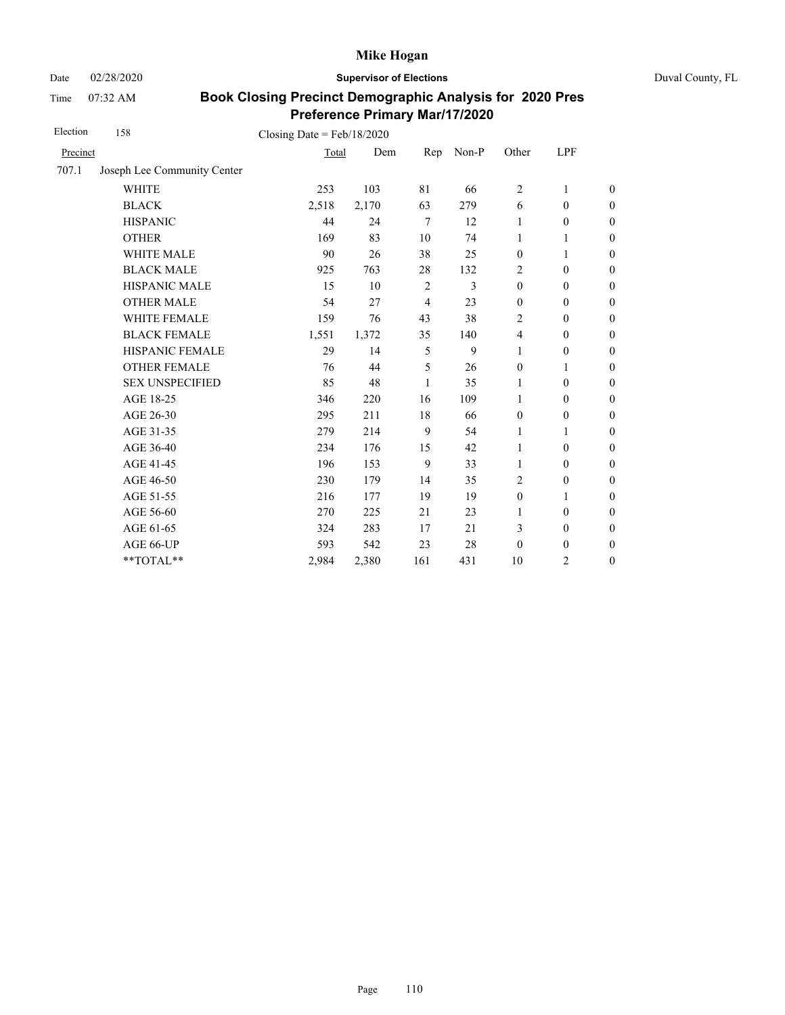Date 02/28/2020 **Supervisor of Elections** Duval County, FL

Time 07:32 AM

| Election | 158                         | Closing Date = $Feb/18/2020$ |       |                |       |                  |                  |                  |
|----------|-----------------------------|------------------------------|-------|----------------|-------|------------------|------------------|------------------|
| Precinct |                             | Total                        | Dem   | Rep            | Non-P | Other            | LPF              |                  |
| 707.1    | Joseph Lee Community Center |                              |       |                |       |                  |                  |                  |
|          | <b>WHITE</b>                | 253                          | 103   | 81             | 66    | $\overline{c}$   | 1                | $\boldsymbol{0}$ |
|          | <b>BLACK</b>                | 2,518                        | 2,170 | 63             | 279   | 6                | $\boldsymbol{0}$ | $\boldsymbol{0}$ |
|          | <b>HISPANIC</b>             | 44                           | 24    | $\overline{7}$ | 12    | 1                | $\mathbf{0}$     | $\boldsymbol{0}$ |
|          | <b>OTHER</b>                | 169                          | 83    | 10             | 74    | 1                | $\mathbf{1}$     | $\overline{0}$   |
|          | WHITE MALE                  | 90                           | 26    | 38             | 25    | $\boldsymbol{0}$ | 1                | $\boldsymbol{0}$ |
|          | <b>BLACK MALE</b>           | 925                          | 763   | 28             | 132   | 2                | $\mathbf{0}$     | $\boldsymbol{0}$ |
|          | <b>HISPANIC MALE</b>        | 15                           | 10    | 2              | 3     | $\mathbf{0}$     | $\mathbf{0}$     | $\overline{0}$   |
|          | <b>OTHER MALE</b>           | 54                           | 27    | $\overline{4}$ | 23    | $\mathbf{0}$     | $\mathbf{0}$     | $\boldsymbol{0}$ |
|          | WHITE FEMALE                | 159                          | 76    | 43             | 38    | $\overline{2}$   | $\mathbf{0}$     | $\boldsymbol{0}$ |
|          | <b>BLACK FEMALE</b>         | 1,551                        | 1,372 | 35             | 140   | $\overline{4}$   | $\mathbf{0}$     | $\boldsymbol{0}$ |
|          | HISPANIC FEMALE             | 29                           | 14    | 5              | 9     | 1                | $\boldsymbol{0}$ | $\boldsymbol{0}$ |
|          | <b>OTHER FEMALE</b>         | 76                           | 44    | 5              | 26    | $\boldsymbol{0}$ | 1                | $\boldsymbol{0}$ |
|          | <b>SEX UNSPECIFIED</b>      | 85                           | 48    | 1              | 35    | 1                | $\mathbf{0}$     | $\boldsymbol{0}$ |
|          | AGE 18-25                   | 346                          | 220   | 16             | 109   | 1                | $\mathbf{0}$     | $\mathbf{0}$     |
|          | AGE 26-30                   | 295                          | 211   | 18             | 66    | $\boldsymbol{0}$ | $\boldsymbol{0}$ | $\overline{0}$   |
|          | AGE 31-35                   | 279                          | 214   | 9              | 54    | 1                | 1                | $\boldsymbol{0}$ |
|          | AGE 36-40                   | 234                          | 176   | 15             | 42    | 1                | $\mathbf{0}$     | $\boldsymbol{0}$ |
|          | AGE 41-45                   | 196                          | 153   | 9              | 33    | $\mathbf{1}$     | $\boldsymbol{0}$ | $\boldsymbol{0}$ |
|          | AGE 46-50                   | 230                          | 179   | 14             | 35    | 2                | $\boldsymbol{0}$ | $\boldsymbol{0}$ |
|          | AGE 51-55                   | 216                          | 177   | 19             | 19    | $\mathbf{0}$     | 1                | $\boldsymbol{0}$ |
|          | AGE 56-60                   | 270                          | 225   | 21             | 23    | 1                | $\boldsymbol{0}$ | $\mathbf{0}$     |
|          | AGE 61-65                   | 324                          | 283   | 17             | 21    | 3                | $\boldsymbol{0}$ | $\mathbf{0}$     |
|          | AGE 66-UP                   | 593                          | 542   | 23             | 28    | $\boldsymbol{0}$ | $\boldsymbol{0}$ | $\boldsymbol{0}$ |
|          | **TOTAL**                   | 2,984                        | 2,380 | 161            | 431   | 10               | 2                | $\mathbf{0}$     |
|          |                             |                              |       |                |       |                  |                  |                  |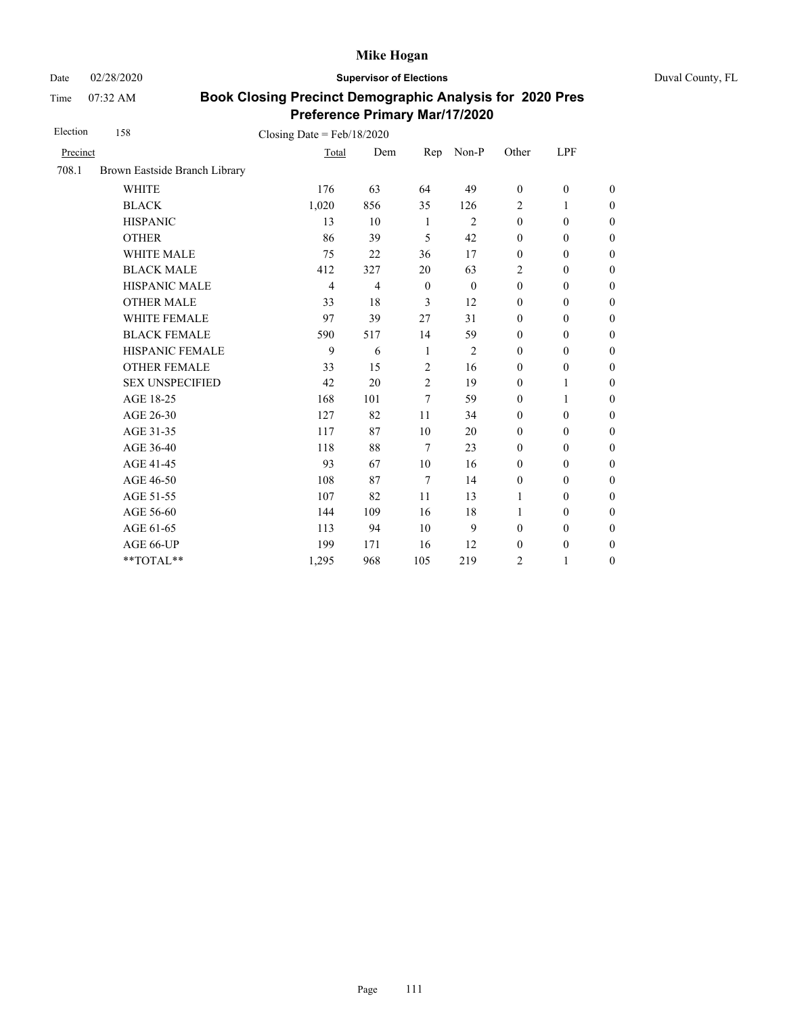Date 02/28/2020 **Supervisor of Elections** Duval County, FL

Time 07:32 AM

| Election | 158                           | Closing Date = $Feb/18/2020$ |                |                |                |                  |                  |                  |
|----------|-------------------------------|------------------------------|----------------|----------------|----------------|------------------|------------------|------------------|
| Precinct |                               | Total                        | Dem            | Rep            | Non-P          | Other            | LPF              |                  |
| 708.1    | Brown Eastside Branch Library |                              |                |                |                |                  |                  |                  |
|          | <b>WHITE</b>                  | 176                          | 63             | 64             | 49             | $\boldsymbol{0}$ | $\boldsymbol{0}$ | $\boldsymbol{0}$ |
|          | <b>BLACK</b>                  | 1,020                        | 856            | 35             | 126            | $\overline{2}$   | 1                | $\boldsymbol{0}$ |
|          | <b>HISPANIC</b>               | 13                           | 10             | 1              | $\mathfrak{2}$ | $\boldsymbol{0}$ | $\boldsymbol{0}$ | $\mathbf{0}$     |
|          | <b>OTHER</b>                  | 86                           | 39             | 5              | 42             | $\mathbf{0}$     | $\mathbf{0}$     | $\theta$         |
|          | <b>WHITE MALE</b>             | 75                           | 22             | 36             | 17             | $\mathbf{0}$     | $\mathbf{0}$     | $\boldsymbol{0}$ |
|          | <b>BLACK MALE</b>             | 412                          | 327            | 20             | 63             | $\overline{2}$   | $\mathbf{0}$     | $\boldsymbol{0}$ |
|          | HISPANIC MALE                 | $\overline{4}$               | $\overline{4}$ | $\mathbf{0}$   | $\theta$       | $\mathbf{0}$     | $\mathbf{0}$     | $\theta$         |
|          | <b>OTHER MALE</b>             | 33                           | 18             | 3              | 12             | $\mathbf{0}$     | $\mathbf{0}$     | $\boldsymbol{0}$ |
|          | WHITE FEMALE                  | 97                           | 39             | 27             | 31             | $\mathbf{0}$     | $\mathbf{0}$     | $\boldsymbol{0}$ |
|          | <b>BLACK FEMALE</b>           | 590                          | 517            | 14             | 59             | $\mathbf{0}$     | $\mathbf{0}$     | $\mathbf{0}$     |
|          | HISPANIC FEMALE               | 9                            | 6              | 1              | $\mathfrak{2}$ | $\boldsymbol{0}$ | $\boldsymbol{0}$ | $\mathbf{0}$     |
|          | <b>OTHER FEMALE</b>           | 33                           | 15             | $\overline{2}$ | 16             | $\boldsymbol{0}$ | $\boldsymbol{0}$ | $\boldsymbol{0}$ |
|          | <b>SEX UNSPECIFIED</b>        | 42                           | 20             | $\overline{c}$ | 19             | $\mathbf{0}$     | 1                | $\boldsymbol{0}$ |
|          | AGE 18-25                     | 168                          | 101            | 7              | 59             | $\boldsymbol{0}$ | $\mathbf{1}$     | $\mathbf{0}$     |
|          | AGE 26-30                     | 127                          | 82             | 11             | 34             | $\mathbf{0}$     | $\mathbf{0}$     | $\theta$         |
|          | AGE 31-35                     | 117                          | 87             | 10             | 20             | $\boldsymbol{0}$ | $\boldsymbol{0}$ | $\boldsymbol{0}$ |
|          | AGE 36-40                     | 118                          | 88             | 7              | 23             | $\mathbf{0}$     | $\mathbf{0}$     | $\boldsymbol{0}$ |
|          | AGE 41-45                     | 93                           | 67             | 10             | 16             | $\mathbf{0}$     | $\mathbf{0}$     | $\overline{0}$   |
|          | AGE 46-50                     | 108                          | 87             | 7              | 14             | $\boldsymbol{0}$ | $\mathbf{0}$     | $\boldsymbol{0}$ |
|          | AGE 51-55                     | 107                          | 82             | 11             | 13             | 1                | $\mathbf{0}$     | $\boldsymbol{0}$ |
|          | AGE 56-60                     | 144                          | 109            | 16             | 18             | 1                | $\mathbf{0}$     | $\boldsymbol{0}$ |
|          | AGE 61-65                     | 113                          | 94             | 10             | 9              | $\boldsymbol{0}$ | $\boldsymbol{0}$ | $\mathbf{0}$     |
|          | AGE 66-UP                     | 199                          | 171            | 16             | 12             | $\boldsymbol{0}$ | $\boldsymbol{0}$ | $\boldsymbol{0}$ |
|          | **TOTAL**                     | 1,295                        | 968            | 105            | 219            | 2                | $\mathbf{1}$     | $\boldsymbol{0}$ |
|          |                               |                              |                |                |                |                  |                  |                  |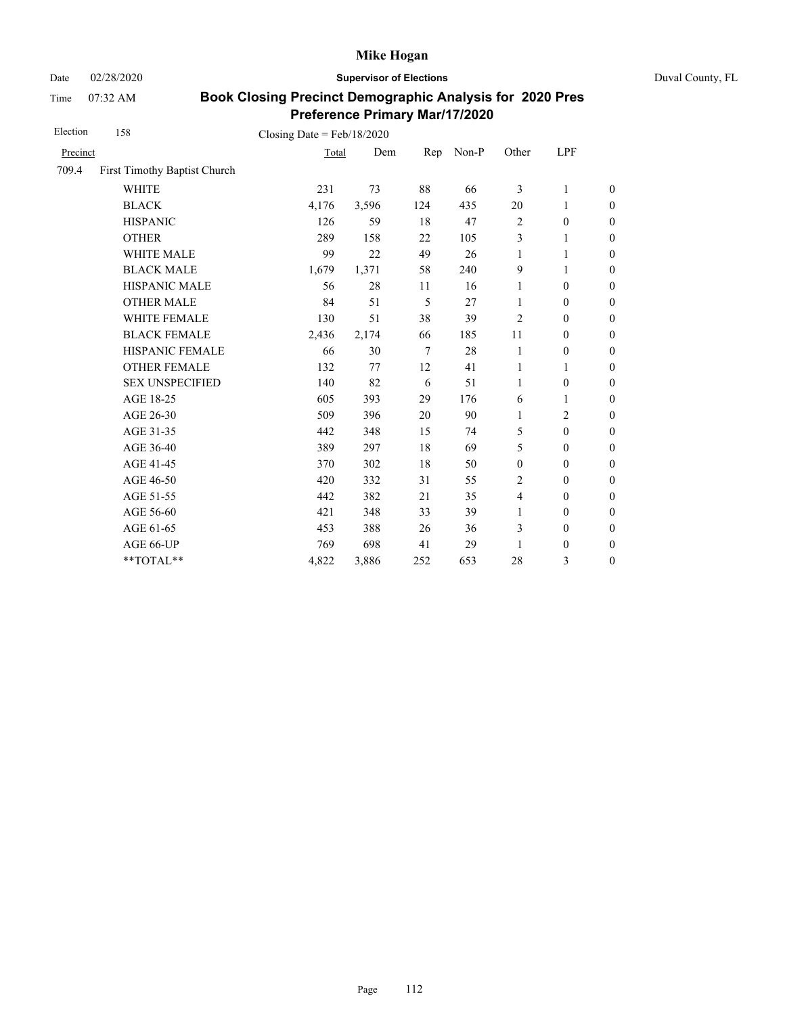Date 02/28/2020 **Supervisor of Elections** Duval County, FL

Time 07:32 AM

| Election | 158                          | Closing Date = $Feb/18/2020$ |       |        |       |                  |                  |                  |
|----------|------------------------------|------------------------------|-------|--------|-------|------------------|------------------|------------------|
| Precinct |                              | Total                        | Dem   | Rep    | Non-P | Other            | LPF              |                  |
| 709.4    | First Timothy Baptist Church |                              |       |        |       |                  |                  |                  |
|          | <b>WHITE</b>                 | 231                          | 73    | 88     | 66    | 3                | 1                | $\boldsymbol{0}$ |
|          | <b>BLACK</b>                 | 4,176                        | 3,596 | 124    | 435   | 20               | 1                | $\boldsymbol{0}$ |
|          | <b>HISPANIC</b>              | 126                          | 59    | 18     | 47    | $\overline{2}$   | $\boldsymbol{0}$ | $\mathbf{0}$     |
|          | <b>OTHER</b>                 | 289                          | 158   | 22     | 105   | 3                | 1                | $\overline{0}$   |
|          | WHITE MALE                   | 99                           | 22    | 49     | 26    | 1                | 1                | $\boldsymbol{0}$ |
|          | <b>BLACK MALE</b>            | 1,679                        | 1,371 | 58     | 240   | 9                | 1                | $\boldsymbol{0}$ |
|          | <b>HISPANIC MALE</b>         | 56                           | 28    | 11     | 16    | 1                | $\boldsymbol{0}$ | $\overline{0}$   |
|          | <b>OTHER MALE</b>            | 84                           | 51    | 5      | 27    | 1                | $\mathbf{0}$     | $\boldsymbol{0}$ |
|          | WHITE FEMALE                 | 130                          | 51    | 38     | 39    | 2                | $\mathbf{0}$     | $\boldsymbol{0}$ |
|          | <b>BLACK FEMALE</b>          | 2,436                        | 2,174 | 66     | 185   | 11               | $\mathbf{0}$     | $\boldsymbol{0}$ |
|          | HISPANIC FEMALE              | 66                           | 30    | $\tau$ | 28    | 1                | $\boldsymbol{0}$ | $\boldsymbol{0}$ |
|          | <b>OTHER FEMALE</b>          | 132                          | 77    | 12     | 41    | 1                | 1                | $\boldsymbol{0}$ |
|          | <b>SEX UNSPECIFIED</b>       | 140                          | 82    | 6      | 51    | $\mathbf{1}$     | $\mathbf{0}$     | $\boldsymbol{0}$ |
|          | AGE 18-25                    | 605                          | 393   | 29     | 176   | 6                | 1                | $\boldsymbol{0}$ |
|          | AGE 26-30                    | 509                          | 396   | 20     | 90    | 1                | $\overline{2}$   | $\mathbf{0}$     |
|          | AGE 31-35                    | 442                          | 348   | 15     | 74    | 5                | $\mathbf{0}$     | $\boldsymbol{0}$ |
|          | AGE 36-40                    | 389                          | 297   | 18     | 69    | 5                | $\mathbf{0}$     | $\boldsymbol{0}$ |
|          | AGE 41-45                    | 370                          | 302   | 18     | 50    | $\boldsymbol{0}$ | $\mathbf{0}$     | $\overline{0}$   |
|          | AGE 46-50                    | 420                          | 332   | 31     | 55    | 2                | $\mathbf{0}$     | $\boldsymbol{0}$ |
|          | AGE 51-55                    | 442                          | 382   | 21     | 35    | $\overline{4}$   | $\mathbf{0}$     | $\boldsymbol{0}$ |
|          | AGE 56-60                    | 421                          | 348   | 33     | 39    | 1                | $\mathbf{0}$     | $\overline{0}$   |
|          | AGE 61-65                    | 453                          | 388   | 26     | 36    | 3                | $\boldsymbol{0}$ | $\mathbf{0}$     |
|          | AGE 66-UP                    | 769                          | 698   | 41     | 29    | 1                | $\boldsymbol{0}$ | $\boldsymbol{0}$ |
|          | **TOTAL**                    | 4,822                        | 3,886 | 252    | 653   | 28               | 3                | $\boldsymbol{0}$ |
|          |                              |                              |       |        |       |                  |                  |                  |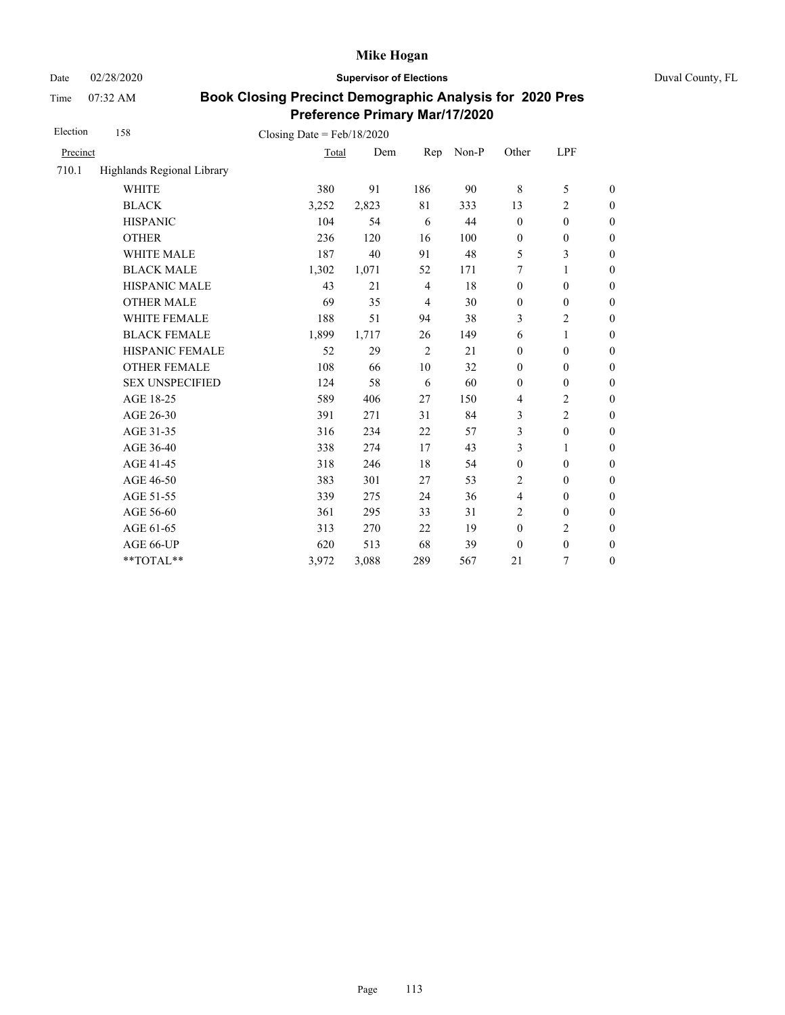Date 02/28/2020 **Supervisor of Elections** Duval County, FL

Time 07:32 AM

| Election | 158                        | Closing Date = $Feb/18/2020$ |       |                |       |                  |                  |                  |
|----------|----------------------------|------------------------------|-------|----------------|-------|------------------|------------------|------------------|
| Precinct |                            | Total                        | Dem   | Rep            | Non-P | Other            | LPF              |                  |
| 710.1    | Highlands Regional Library |                              |       |                |       |                  |                  |                  |
|          | <b>WHITE</b>               | 380                          | 91    | 186            | 90    | $\,$ 8 $\,$      | 5                | $\boldsymbol{0}$ |
|          | <b>BLACK</b>               | 3,252                        | 2,823 | 81             | 333   | 13               | $\overline{c}$   | $\boldsymbol{0}$ |
|          | <b>HISPANIC</b>            | 104                          | 54    | 6              | 44    | $\boldsymbol{0}$ | $\boldsymbol{0}$ | $\boldsymbol{0}$ |
|          | <b>OTHER</b>               | 236                          | 120   | 16             | 100   | $\boldsymbol{0}$ | $\boldsymbol{0}$ | $\boldsymbol{0}$ |
|          | <b>WHITE MALE</b>          | 187                          | 40    | 91             | 48    | 5                | 3                | $\overline{0}$   |
|          | <b>BLACK MALE</b>          | 1,302                        | 1,071 | 52             | 171   | 7                | 1                | $\boldsymbol{0}$ |
|          | <b>HISPANIC MALE</b>       | 43                           | 21    | $\overline{4}$ | 18    | $\mathbf{0}$     | $\mathbf{0}$     | $\overline{0}$   |
|          | <b>OTHER MALE</b>          | 69                           | 35    | $\overline{4}$ | 30    | $\mathbf{0}$     | $\mathbf{0}$     | $\boldsymbol{0}$ |
|          | WHITE FEMALE               | 188                          | 51    | 94             | 38    | 3                | $\overline{c}$   | $\overline{0}$   |
|          | <b>BLACK FEMALE</b>        | 1,899                        | 1,717 | 26             | 149   | 6                | 1                | $\boldsymbol{0}$ |
|          | HISPANIC FEMALE            | 52                           | 29    | 2              | 21    | $\boldsymbol{0}$ | $\mathbf{0}$     | $\overline{0}$   |
|          | <b>OTHER FEMALE</b>        | 108                          | 66    | 10             | 32    | $\mathbf{0}$     | $\mathbf{0}$     | $\overline{0}$   |
|          | <b>SEX UNSPECIFIED</b>     | 124                          | 58    | 6              | 60    | $\mathbf{0}$     | $\mathbf{0}$     | $\boldsymbol{0}$ |
|          | AGE 18-25                  | 589                          | 406   | 27             | 150   | $\overline{4}$   | $\overline{c}$   | $\overline{0}$   |
|          | AGE 26-30                  | 391                          | 271   | 31             | 84    | 3                | $\overline{c}$   | $\overline{0}$   |
|          | AGE 31-35                  | 316                          | 234   | 22             | 57    | 3                | $\boldsymbol{0}$ | $\boldsymbol{0}$ |
|          | AGE 36-40                  | 338                          | 274   | 17             | 43    | 3                | 1                | $\boldsymbol{0}$ |
|          | AGE 41-45                  | 318                          | 246   | 18             | 54    | $\boldsymbol{0}$ | $\boldsymbol{0}$ | $\overline{0}$   |
|          | AGE 46-50                  | 383                          | 301   | 27             | 53    | $\overline{c}$   | $\boldsymbol{0}$ | $\boldsymbol{0}$ |
|          | AGE 51-55                  | 339                          | 275   | 24             | 36    | $\overline{4}$   | $\boldsymbol{0}$ | $\boldsymbol{0}$ |
|          | AGE 56-60                  | 361                          | 295   | 33             | 31    | $\overline{2}$   | $\boldsymbol{0}$ | $\boldsymbol{0}$ |
|          | AGE 61-65                  | 313                          | 270   | 22             | 19    | $\boldsymbol{0}$ | $\overline{c}$   | $\boldsymbol{0}$ |
|          | AGE 66-UP                  | 620                          | 513   | 68             | 39    | $\boldsymbol{0}$ | $\boldsymbol{0}$ | $\boldsymbol{0}$ |
|          | **TOTAL**                  | 3,972                        | 3,088 | 289            | 567   | 21               | $\boldsymbol{7}$ | $\boldsymbol{0}$ |
|          |                            |                              |       |                |       |                  |                  |                  |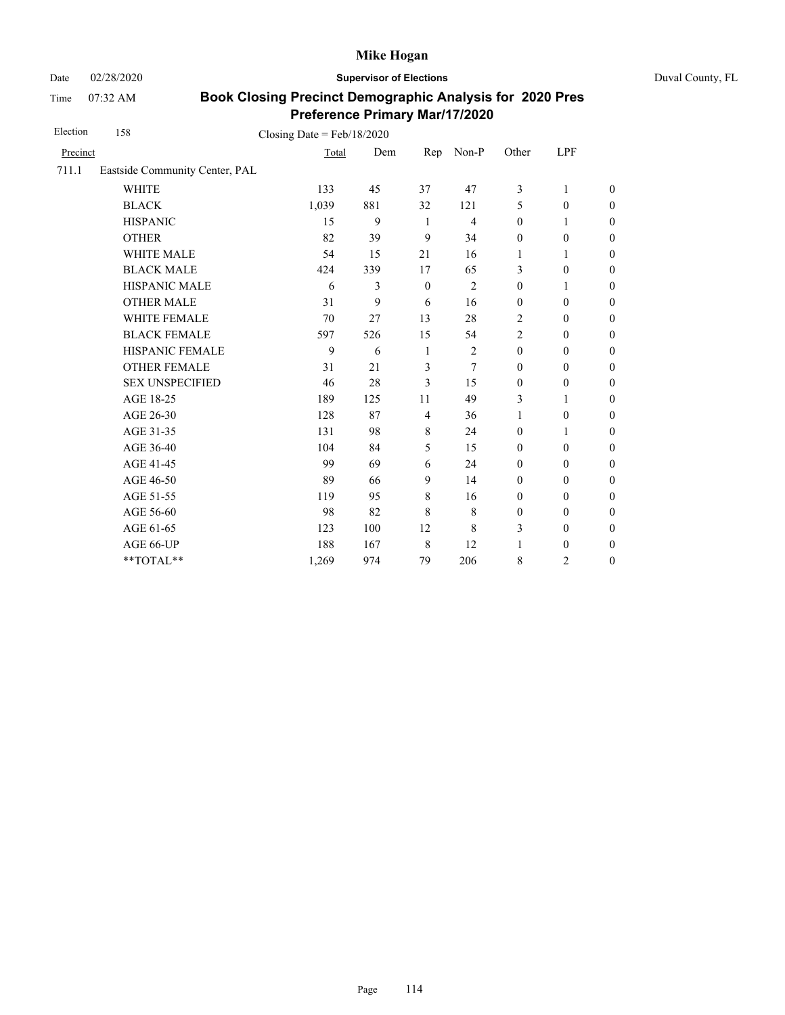Date 02/28/2020 **Supervisor of Elections** Duval County, FL

Time 07:32 AM

| Election | 158                            | Closing Date = $Feb/18/2020$ |     |                |                |                  |                  |                  |
|----------|--------------------------------|------------------------------|-----|----------------|----------------|------------------|------------------|------------------|
| Precinct |                                | Total                        | Dem | Rep            | Non-P          | Other            | LPF              |                  |
| 711.1    | Eastside Community Center, PAL |                              |     |                |                |                  |                  |                  |
|          | <b>WHITE</b>                   | 133                          | 45  | 37             | 47             | 3                | $\mathbf{1}$     | $\theta$         |
|          | <b>BLACK</b>                   | 1,039                        | 881 | 32             | 121            | 5                | $\mathbf{0}$     | $\boldsymbol{0}$ |
|          | <b>HISPANIC</b>                | 15                           | 9   | -1             | $\overline{4}$ | $\boldsymbol{0}$ | 1                | $\boldsymbol{0}$ |
|          | <b>OTHER</b>                   | 82                           | 39  | 9              | 34             | $\boldsymbol{0}$ | $\boldsymbol{0}$ | $\overline{0}$   |
|          | WHITE MALE                     | 54                           | 15  | 21             | 16             | 1                | 1                | $\boldsymbol{0}$ |
|          | <b>BLACK MALE</b>              | 424                          | 339 | 17             | 65             | 3                | $\boldsymbol{0}$ | $\boldsymbol{0}$ |
|          | <b>HISPANIC MALE</b>           | 6                            | 3   | $\mathbf{0}$   | $\overline{2}$ | $\boldsymbol{0}$ | $\mathbf{1}$     | $\overline{0}$   |
|          | <b>OTHER MALE</b>              | 31                           | 9   | 6              | 16             | $\mathbf{0}$     | $\mathbf{0}$     | $\theta$         |
|          | <b>WHITE FEMALE</b>            | 70                           | 27  | 13             | 28             | 2                | $\mathbf{0}$     | $\overline{0}$   |
|          | <b>BLACK FEMALE</b>            | 597                          | 526 | 15             | 54             | $\overline{2}$   | $\mathbf{0}$     | $\overline{0}$   |
|          | HISPANIC FEMALE                | 9                            | 6   | 1              | $\mathfrak{2}$ | $\boldsymbol{0}$ | $\boldsymbol{0}$ | $\boldsymbol{0}$ |
|          | <b>OTHER FEMALE</b>            | 31                           | 21  | 3              | 7              | $\mathbf{0}$     | $\boldsymbol{0}$ | $\boldsymbol{0}$ |
|          | <b>SEX UNSPECIFIED</b>         | 46                           | 28  | 3              | 15             | $\mathbf{0}$     | $\boldsymbol{0}$ | $\boldsymbol{0}$ |
|          | AGE 18-25                      | 189                          | 125 | 11             | 49             | 3                | $\mathbf{1}$     | $\overline{0}$   |
|          | AGE 26-30                      | 128                          | 87  | $\overline{4}$ | 36             | 1                | $\boldsymbol{0}$ | $\overline{0}$   |
|          | AGE 31-35                      | 131                          | 98  | 8              | 24             | $\mathbf{0}$     | 1                | $\overline{0}$   |
|          | AGE 36-40                      | 104                          | 84  | 5              | 15             | $\mathbf{0}$     | $\mathbf{0}$     | $\overline{0}$   |
|          | AGE 41-45                      | 99                           | 69  | 6              | 24             | $\mathbf{0}$     | $\boldsymbol{0}$ | $\boldsymbol{0}$ |
|          | AGE 46-50                      | 89                           | 66  | 9              | 14             | $\boldsymbol{0}$ | $\boldsymbol{0}$ | $\boldsymbol{0}$ |
|          | AGE 51-55                      | 119                          | 95  | $\,8\,$        | 16             | $\mathbf{0}$     | $\boldsymbol{0}$ | $\boldsymbol{0}$ |
|          | AGE 56-60                      | 98                           | 82  | 8              | 8              | $\boldsymbol{0}$ | $\mathbf{0}$     | $\overline{0}$   |
|          | AGE 61-65                      | 123                          | 100 | 12             | 8              | 3                | $\mathbf{0}$     | $\boldsymbol{0}$ |
|          | AGE 66-UP                      | 188                          | 167 | $\,$ 8 $\,$    | 12             | $\mathbf{1}$     | $\boldsymbol{0}$ | $\boldsymbol{0}$ |
|          | **TOTAL**                      | 1,269                        | 974 | 79             | 206            | $\,$ 8 $\,$      | $\overline{c}$   | $\boldsymbol{0}$ |
|          |                                |                              |     |                |                |                  |                  |                  |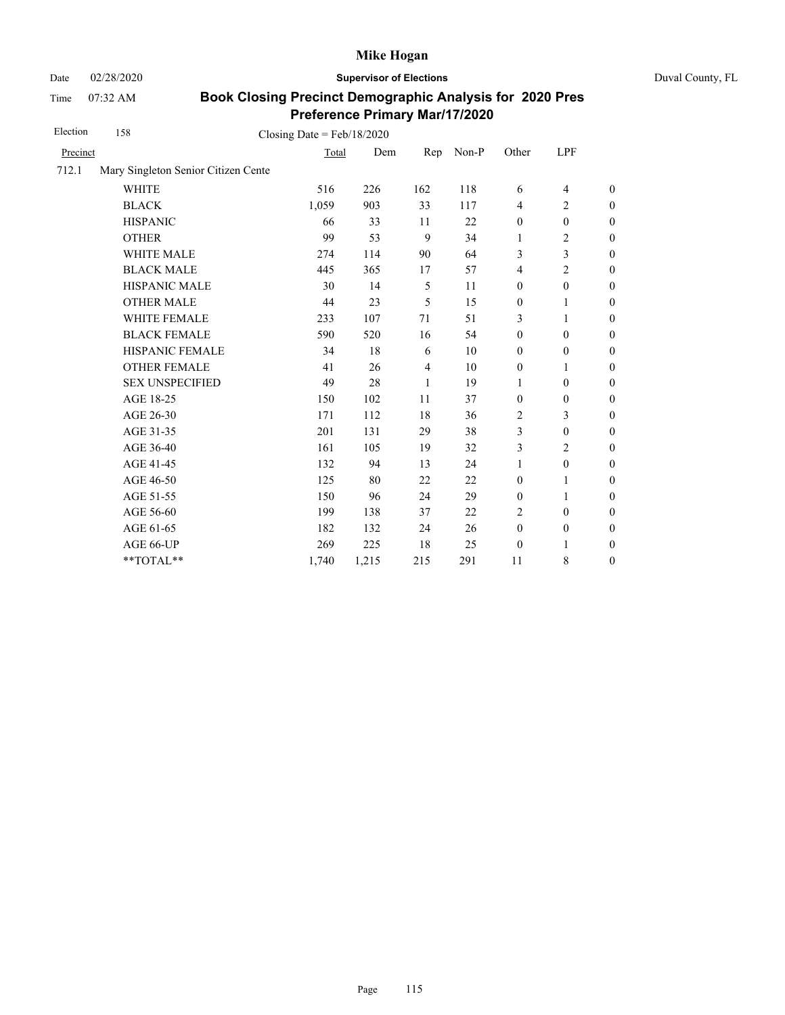Date 02/28/2020 **Supervisor of Elections** Duval County, FL

Time 07:32 AM

| Election | 158                                 | Closing Date = $Feb/18/2020$ |       |     |       |                  |                          |                  |
|----------|-------------------------------------|------------------------------|-------|-----|-------|------------------|--------------------------|------------------|
| Precinct |                                     | Total                        | Dem   | Rep | Non-P | Other            | LPF                      |                  |
| 712.1    | Mary Singleton Senior Citizen Cente |                              |       |     |       |                  |                          |                  |
|          | <b>WHITE</b>                        | 516                          | 226   | 162 | 118   | 6                | $\overline{\mathcal{L}}$ | $\boldsymbol{0}$ |
|          | <b>BLACK</b>                        | 1,059                        | 903   | 33  | 117   | $\overline{4}$   | $\overline{c}$           | $\boldsymbol{0}$ |
|          | <b>HISPANIC</b>                     | 66                           | 33    | 11  | 22    | $\boldsymbol{0}$ | $\boldsymbol{0}$         | $\boldsymbol{0}$ |
|          | <b>OTHER</b>                        | 99                           | 53    | 9   | 34    | $\mathbf{1}$     | $\mathbf{2}$             | $\overline{0}$   |
|          | WHITE MALE                          | 274                          | 114   | 90  | 64    | 3                | 3                        | $\boldsymbol{0}$ |
|          | <b>BLACK MALE</b>                   | 445                          | 365   | 17  | 57    | $\overline{4}$   | $\overline{c}$           | $\boldsymbol{0}$ |
|          | <b>HISPANIC MALE</b>                | 30                           | 14    | 5   | 11    | $\boldsymbol{0}$ | $\boldsymbol{0}$         | $\overline{0}$   |
|          | <b>OTHER MALE</b>                   | 44                           | 23    | 5   | 15    | $\boldsymbol{0}$ | 1                        | $\boldsymbol{0}$ |
|          | WHITE FEMALE                        | 233                          | 107   | 71  | 51    | 3                | 1                        | $\boldsymbol{0}$ |
|          | <b>BLACK FEMALE</b>                 | 590                          | 520   | 16  | 54    | $\mathbf{0}$     | $\mathbf{0}$             | $\boldsymbol{0}$ |
|          | HISPANIC FEMALE                     | 34                           | 18    | 6   | 10    | $\boldsymbol{0}$ | $\boldsymbol{0}$         | $\overline{0}$   |
|          | <b>OTHER FEMALE</b>                 | 41                           | 26    | 4   | 10    | $\boldsymbol{0}$ | 1                        | $\overline{0}$   |
|          | <b>SEX UNSPECIFIED</b>              | 49                           | 28    | 1   | 19    | 1                | $\boldsymbol{0}$         | $\boldsymbol{0}$ |
|          | AGE 18-25                           | 150                          | 102   | 11  | 37    | $\mathbf{0}$     | $\boldsymbol{0}$         | $\boldsymbol{0}$ |
|          | AGE 26-30                           | 171                          | 112   | 18  | 36    | $\overline{2}$   | 3                        | $\overline{0}$   |
|          | AGE 31-35                           | 201                          | 131   | 29  | 38    | 3                | $\boldsymbol{0}$         | $\boldsymbol{0}$ |
|          | AGE 36-40                           | 161                          | 105   | 19  | 32    | 3                | $\overline{c}$           | $\boldsymbol{0}$ |
|          | AGE 41-45                           | 132                          | 94    | 13  | 24    | $\mathbf{1}$     | $\boldsymbol{0}$         | $\overline{0}$   |
|          | AGE 46-50                           | 125                          | 80    | 22  | 22    | $\boldsymbol{0}$ | 1                        | $\boldsymbol{0}$ |
|          | AGE 51-55                           | 150                          | 96    | 24  | 29    | $\boldsymbol{0}$ | 1                        | $\boldsymbol{0}$ |
|          | AGE 56-60                           | 199                          | 138   | 37  | 22    | $\overline{2}$   | $\mathbf{0}$             | $\boldsymbol{0}$ |
|          | AGE 61-65                           | 182                          | 132   | 24  | 26    | $\boldsymbol{0}$ | $\boldsymbol{0}$         | $\boldsymbol{0}$ |
|          | AGE 66-UP                           | 269                          | 225   | 18  | 25    | $\boldsymbol{0}$ | 1                        | $\boldsymbol{0}$ |
|          | **TOTAL**                           | 1,740                        | 1,215 | 215 | 291   | 11               | 8                        | $\boldsymbol{0}$ |
|          |                                     |                              |       |     |       |                  |                          |                  |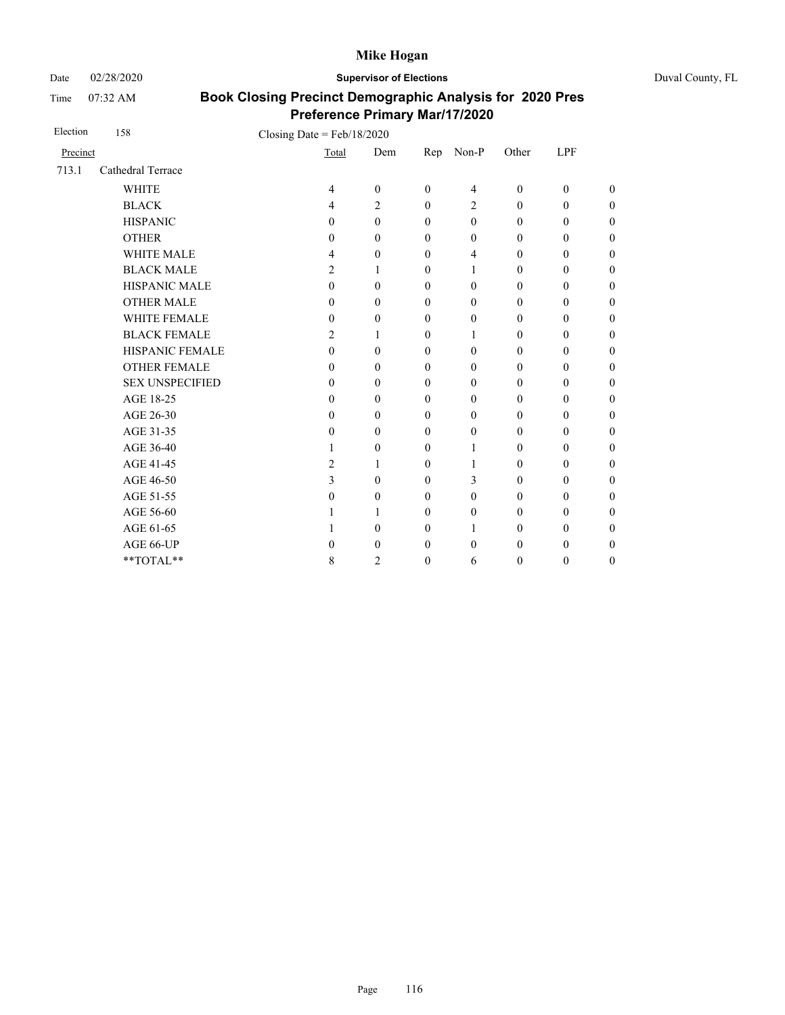Date 02/28/2020 **Supervisor of Elections** Duval County, FL

Time 07:32 AM

| Election | 158                    | Closing Date = $Feb/18/2020$ |                |                  |              |                  |                  |                  |                  |
|----------|------------------------|------------------------------|----------------|------------------|--------------|------------------|------------------|------------------|------------------|
| Precinct |                        |                              | Total          | Dem              | Rep          | Non-P            | Other            | LPF              |                  |
| 713.1    | Cathedral Terrace      |                              |                |                  |              |                  |                  |                  |                  |
|          | <b>WHITE</b>           |                              | 4              | $\boldsymbol{0}$ | $\theta$     | 4                | $\boldsymbol{0}$ | $\boldsymbol{0}$ | $\boldsymbol{0}$ |
|          | <b>BLACK</b>           |                              | $\overline{4}$ | 2                | $\theta$     | 2                | $\mathbf{0}$     | $\mathbf{0}$     | $\overline{0}$   |
|          | <b>HISPANIC</b>        |                              | $\mathbf{0}$   | $\mathbf{0}$     | $\theta$     | $\mathbf{0}$     | $\mathbf{0}$     | $\mathbf{0}$     | $\boldsymbol{0}$ |
|          | <b>OTHER</b>           |                              | $\Omega$       | $\theta$         | $\theta$     | $\mathbf{0}$     | $\boldsymbol{0}$ | $\mathbf{0}$     | $\overline{0}$   |
|          | <b>WHITE MALE</b>      |                              | 4              | $\mathbf{0}$     | $\theta$     | 4                | $\boldsymbol{0}$ | $\boldsymbol{0}$ | $\boldsymbol{0}$ |
|          | <b>BLACK MALE</b>      |                              | $\overline{c}$ | 1                | $\Omega$     | 1                | $\boldsymbol{0}$ | $\theta$         | $\boldsymbol{0}$ |
|          | HISPANIC MALE          |                              | $\mathbf{0}$   | $\mathbf{0}$     | $\theta$     | $\boldsymbol{0}$ | $\boldsymbol{0}$ | $\boldsymbol{0}$ | $\overline{0}$   |
|          | <b>OTHER MALE</b>      |                              | $\mathbf{0}$   | $\boldsymbol{0}$ | $\mathbf{0}$ | $\boldsymbol{0}$ | 0                | $\boldsymbol{0}$ | $\boldsymbol{0}$ |
|          | <b>WHITE FEMALE</b>    |                              | $\mathbf{0}$   | 0                | $\theta$     | $\mathbf{0}$     | $\boldsymbol{0}$ | $\theta$         | 0                |
|          | <b>BLACK FEMALE</b>    |                              | 2              | 1                | $\mathbf{0}$ | 1                | $\mathbf{0}$     | $\mathbf{0}$     | $\overline{0}$   |
|          | HISPANIC FEMALE        |                              | $\mathbf{0}$   | $\boldsymbol{0}$ | $\theta$     | $\mathbf{0}$     | $\mathbf{0}$     | $\theta$         | $\overline{0}$   |
|          | <b>OTHER FEMALE</b>    |                              | $\Omega$       | $\theta$         | $\Omega$     | $\mathbf{0}$     | $\boldsymbol{0}$ | $\theta$         | $\boldsymbol{0}$ |
|          | <b>SEX UNSPECIFIED</b> |                              | $\Omega$       | $\theta$         | $\theta$     | $\mathbf{0}$     | $\mathbf{0}$     | $\mathbf{0}$     | $\boldsymbol{0}$ |
|          | AGE 18-25              |                              | $\theta$       | $\theta$         | $\theta$     | $\boldsymbol{0}$ | $\mathbf{0}$     | $\boldsymbol{0}$ | $\boldsymbol{0}$ |
|          | AGE 26-30              |                              | $\mathbf{0}$   | $\theta$         | $\theta$     | $\boldsymbol{0}$ | $\boldsymbol{0}$ | $\boldsymbol{0}$ | $\overline{0}$   |
|          | AGE 31-35              |                              | $\mathbf{0}$   | $\mathbf{0}$     | $\mathbf{0}$ | $\boldsymbol{0}$ | $\boldsymbol{0}$ | $\boldsymbol{0}$ | $\boldsymbol{0}$ |
|          | AGE 36-40              |                              | 1              | $\boldsymbol{0}$ | $\theta$     | 1                | $\mathbf{0}$     | $\theta$         | 0                |
|          | AGE 41-45              |                              | $\overline{2}$ | 1                | $\theta$     | 1                | $\mathbf{0}$     | $\mathbf{0}$     | $\overline{0}$   |
|          | AGE 46-50              |                              | 3              | $\theta$         | $\theta$     | 3                | $\boldsymbol{0}$ | $\boldsymbol{0}$ | $\overline{0}$   |
|          | AGE 51-55              |                              | $\theta$       | $\boldsymbol{0}$ | $\Omega$     | $\boldsymbol{0}$ | 0                | $\boldsymbol{0}$ | $\boldsymbol{0}$ |
|          | AGE 56-60              |                              |                | 1                | $\Omega$     | $\mathbf{0}$     | $\mathbf{0}$     | $\mathbf{0}$     | $\boldsymbol{0}$ |
|          | AGE 61-65              |                              |                | $\theta$         | $\mathbf{0}$ | 1                | $\boldsymbol{0}$ | $\boldsymbol{0}$ | $\boldsymbol{0}$ |
|          | AGE 66-UP              |                              | 0              | 0                | $\theta$     | $\theta$         | 0                | $\boldsymbol{0}$ | $\boldsymbol{0}$ |
|          | **TOTAL**              |                              | 8              | 2                | $\theta$     | 6                | 0                | $\boldsymbol{0}$ | $\boldsymbol{0}$ |
|          |                        |                              |                |                  |              |                  |                  |                  |                  |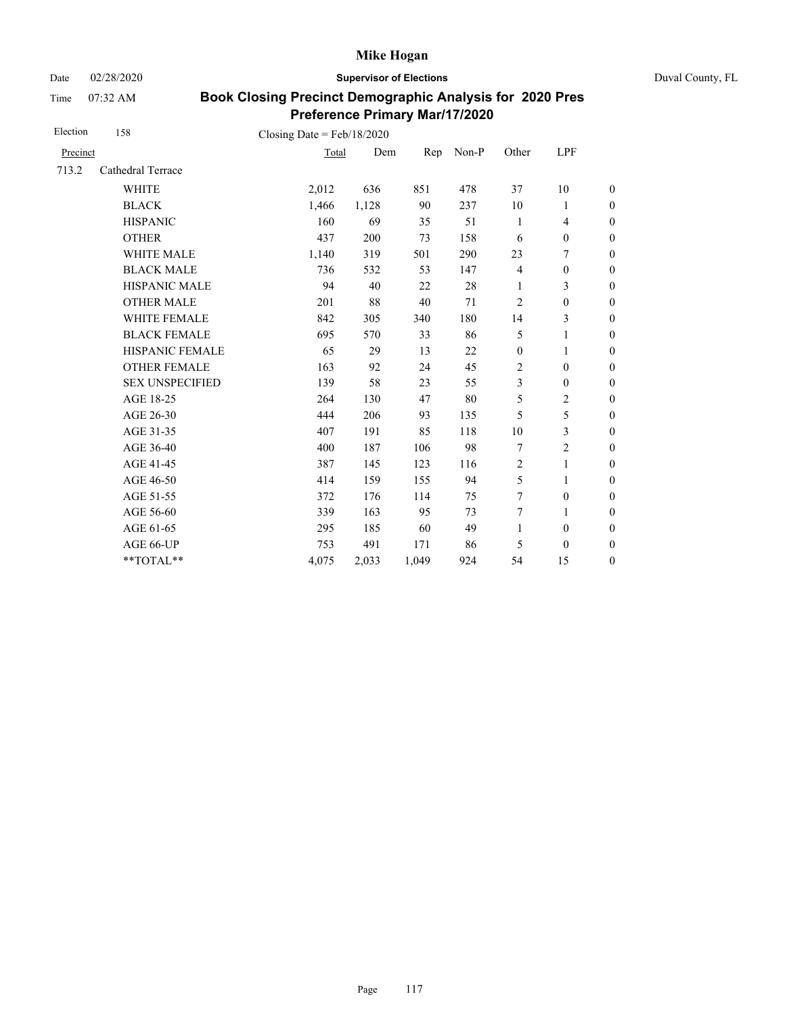Date 02/28/2020 **Supervisor of Elections** Duval County, FL

Time 07:32 AM

| Election | 158                    | Closing Date = $Feb/18/2020$ |       |       |       |                  |                  |                  |
|----------|------------------------|------------------------------|-------|-------|-------|------------------|------------------|------------------|
| Precinct |                        | Total                        | Dem   | Rep   | Non-P | Other            | LPF              |                  |
| 713.2    | Cathedral Terrace      |                              |       |       |       |                  |                  |                  |
|          | <b>WHITE</b>           | 2,012                        | 636   | 851   | 478   | 37               | 10               | $\boldsymbol{0}$ |
|          | <b>BLACK</b>           | 1,466                        | 1,128 | 90    | 237   | 10               | 1                | $\boldsymbol{0}$ |
|          | <b>HISPANIC</b>        | 160                          | 69    | 35    | 51    | 1                | $\overline{4}$   | $\mathbf{0}$     |
|          | <b>OTHER</b>           | 437                          | 200   | 73    | 158   | 6                | $\boldsymbol{0}$ | $\mathbf{0}$     |
|          | WHITE MALE             | 1,140                        | 319   | 501   | 290   | 23               | 7                | $\boldsymbol{0}$ |
|          | <b>BLACK MALE</b>      | 736                          | 532   | 53    | 147   | $\overline{4}$   | $\boldsymbol{0}$ | $\boldsymbol{0}$ |
|          | <b>HISPANIC MALE</b>   | 94                           | 40    | 22    | 28    | 1                | 3                | $\boldsymbol{0}$ |
|          | <b>OTHER MALE</b>      | 201                          | 88    | 40    | 71    | $\overline{2}$   | $\boldsymbol{0}$ | $\boldsymbol{0}$ |
|          | WHITE FEMALE           | 842                          | 305   | 340   | 180   | 14               | 3                | $\boldsymbol{0}$ |
|          | <b>BLACK FEMALE</b>    | 695                          | 570   | 33    | 86    | 5                | 1                | $\boldsymbol{0}$ |
|          | HISPANIC FEMALE        | 65                           | 29    | 13    | 22    | $\boldsymbol{0}$ | $\mathbf{1}$     | $\boldsymbol{0}$ |
|          | <b>OTHER FEMALE</b>    | 163                          | 92    | 24    | 45    | $\overline{2}$   | $\mathbf{0}$     | $\mathbf{0}$     |
|          | <b>SEX UNSPECIFIED</b> | 139                          | 58    | 23    | 55    | 3                | $\boldsymbol{0}$ | $\boldsymbol{0}$ |
|          | AGE 18-25              | 264                          | 130   | 47    | 80    | 5                | 2                | $\boldsymbol{0}$ |
|          | AGE 26-30              | 444                          | 206   | 93    | 135   | 5                | 5                | $\mathbf{0}$     |
|          | AGE 31-35              | 407                          | 191   | 85    | 118   | 10               | 3                | $\boldsymbol{0}$ |
|          | AGE 36-40              | 400                          | 187   | 106   | 98    | 7                | $\overline{c}$   | $\boldsymbol{0}$ |
|          | AGE 41-45              | 387                          | 145   | 123   | 116   | $\overline{c}$   | $\mathbf{1}$     | $\mathbf{0}$     |
|          | AGE 46-50              | 414                          | 159   | 155   | 94    | 5                | 1                | $\boldsymbol{0}$ |
|          | AGE 51-55              | 372                          | 176   | 114   | 75    | $\overline{7}$   | $\boldsymbol{0}$ | $\boldsymbol{0}$ |
|          | AGE 56-60              | 339                          | 163   | 95    | 73    | 7                | 1                | $\boldsymbol{0}$ |
|          | AGE 61-65              | 295                          | 185   | 60    | 49    | $\mathbf{1}$     | $\boldsymbol{0}$ | $\boldsymbol{0}$ |
|          | AGE 66-UP              | 753                          | 491   | 171   | 86    | 5                | $\boldsymbol{0}$ | $\boldsymbol{0}$ |
|          | **TOTAL**              | 4,075                        | 2,033 | 1,049 | 924   | 54               | 15               | $\boldsymbol{0}$ |
|          |                        |                              |       |       |       |                  |                  |                  |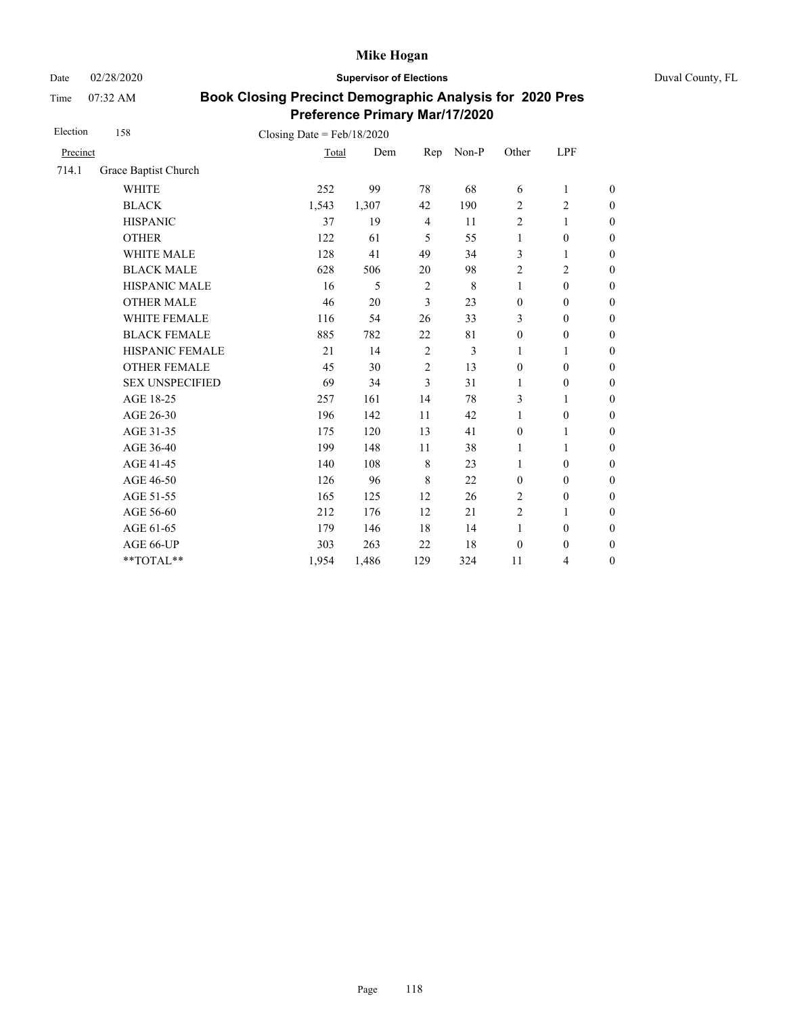Date 02/28/2020 **Supervisor of Elections** Duval County, FL

Time 07:32 AM

| Election | 158                    | Closing Date = $Feb/18/2020$ |       |                |       |                  |                  |                  |
|----------|------------------------|------------------------------|-------|----------------|-------|------------------|------------------|------------------|
| Precinct |                        | Total                        | Dem   | Rep            | Non-P | Other            | LPF              |                  |
| 714.1    | Grace Baptist Church   |                              |       |                |       |                  |                  |                  |
|          | <b>WHITE</b>           | 252                          | 99    | 78             | 68    | 6                | $\mathbf{1}$     | $\boldsymbol{0}$ |
|          | <b>BLACK</b>           | 1,543                        | 1,307 | 42             | 190   | $\overline{2}$   | $\mathbf{2}$     | $\boldsymbol{0}$ |
|          | <b>HISPANIC</b>        | 37                           | 19    | $\overline{4}$ | 11    | $\overline{2}$   | $\mathbf{1}$     | $\boldsymbol{0}$ |
|          | <b>OTHER</b>           | 122                          | 61    | 5              | 55    | $\mathbf{1}$     | $\boldsymbol{0}$ | $\boldsymbol{0}$ |
|          | WHITE MALE             | 128                          | 41    | 49             | 34    | 3                | 1                | $\boldsymbol{0}$ |
|          | <b>BLACK MALE</b>      | 628                          | 506   | 20             | 98    | $\sqrt{2}$       | $\overline{c}$   | $\boldsymbol{0}$ |
|          | HISPANIC MALE          | 16                           | 5     | $\overline{2}$ | 8     | $\mathbf{1}$     | $\boldsymbol{0}$ | $\overline{0}$   |
|          | <b>OTHER MALE</b>      | 46                           | 20    | 3              | 23    | $\boldsymbol{0}$ | $\boldsymbol{0}$ | $\boldsymbol{0}$ |
|          | WHITE FEMALE           | 116                          | 54    | 26             | 33    | 3                | $\boldsymbol{0}$ | $\boldsymbol{0}$ |
|          | <b>BLACK FEMALE</b>    | 885                          | 782   | 22             | 81    | $\mathbf{0}$     | $\mathbf{0}$     | $\overline{0}$   |
|          | HISPANIC FEMALE        | 21                           | 14    | $\overline{2}$ | 3     | 1                | 1                | $\boldsymbol{0}$ |
|          | <b>OTHER FEMALE</b>    | 45                           | 30    | $\overline{2}$ | 13    | $\mathbf{0}$     | $\mathbf{0}$     | $\boldsymbol{0}$ |
|          | <b>SEX UNSPECIFIED</b> | 69                           | 34    | 3              | 31    | 1                | $\boldsymbol{0}$ | $\boldsymbol{0}$ |
|          | AGE 18-25              | 257                          | 161   | 14             | 78    | 3                | 1                | $\overline{0}$   |
|          | AGE 26-30              | 196                          | 142   | 11             | 42    | $\mathbf{1}$     | $\boldsymbol{0}$ | $\overline{0}$   |
|          | AGE 31-35              | 175                          | 120   | 13             | 41    | $\mathbf{0}$     | 1                | $\boldsymbol{0}$ |
|          | AGE 36-40              | 199                          | 148   | 11             | 38    | $\mathbf{1}$     | 1                | $\boldsymbol{0}$ |
|          | AGE 41-45              | 140                          | 108   | $\,8\,$        | 23    | $\mathbf{1}$     | $\mathbf{0}$     | $\overline{0}$   |
|          | AGE 46-50              | 126                          | 96    | 8              | 22    | $\mathbf{0}$     | $\mathbf{0}$     | $\boldsymbol{0}$ |
|          | AGE 51-55              | 165                          | 125   | 12             | 26    | $\overline{2}$   | $\boldsymbol{0}$ | $\boldsymbol{0}$ |
|          | AGE 56-60              | 212                          | 176   | 12             | 21    | $\overline{2}$   | 1                | $\overline{0}$   |
|          | AGE 61-65              | 179                          | 146   | 18             | 14    | $\mathbf{1}$     | $\boldsymbol{0}$ | $\boldsymbol{0}$ |
|          | AGE 66-UP              | 303                          | 263   | 22             | 18    | $\boldsymbol{0}$ | $\boldsymbol{0}$ | $\boldsymbol{0}$ |
|          | **TOTAL**              | 1,954                        | 1,486 | 129            | 324   | 11               | 4                | $\boldsymbol{0}$ |
|          |                        |                              |       |                |       |                  |                  |                  |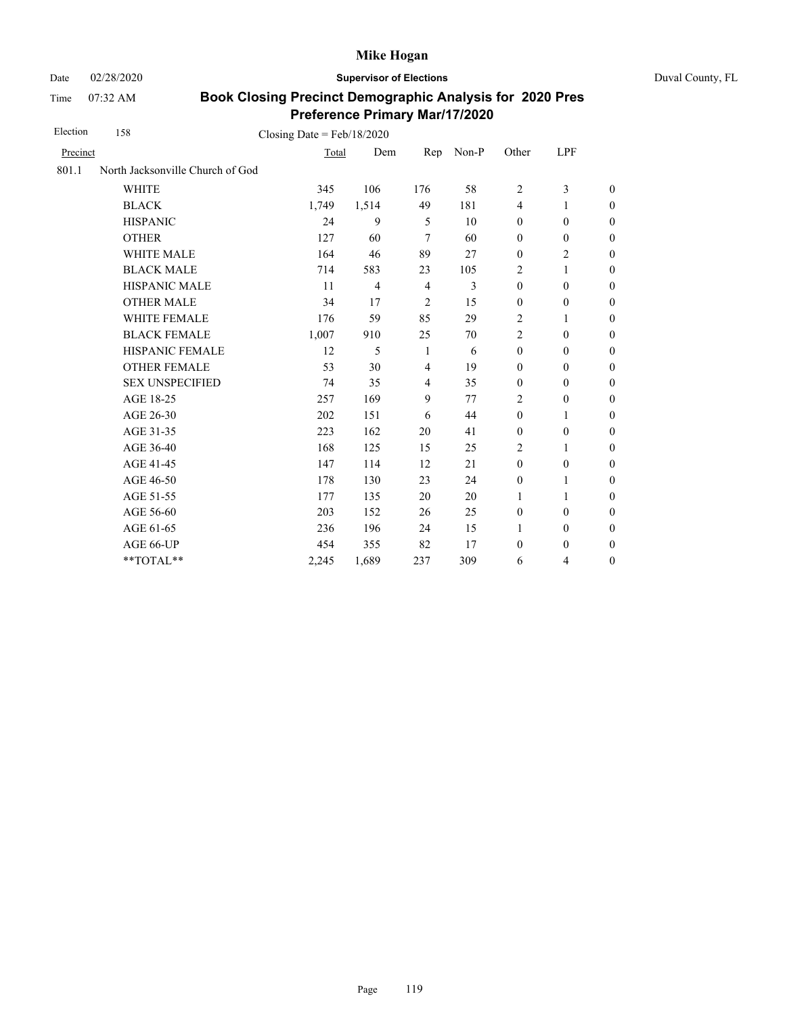Date 02/28/2020 **Supervisor of Elections** Duval County, FL

Time 07:32 AM

| Election | 158                              | Closing Date = $Feb/18/2020$ |                |                |                |                  |                  |                  |  |
|----------|----------------------------------|------------------------------|----------------|----------------|----------------|------------------|------------------|------------------|--|
| Precinct |                                  | Total                        | Dem            | Rep            | Non-P          | Other            | LPF              |                  |  |
| 801.1    | North Jacksonville Church of God |                              |                |                |                |                  |                  |                  |  |
|          | <b>WHITE</b>                     | 345                          | 106            | 176            | 58             | 2                | 3                | $\theta$         |  |
|          | <b>BLACK</b>                     | 1,749                        | 1,514          | 49             | 181            | $\overline{4}$   | 1                | $\boldsymbol{0}$ |  |
|          | <b>HISPANIC</b>                  | 24                           | 9              | 5              | 10             | $\mathbf{0}$     | $\mathbf{0}$     | $\boldsymbol{0}$ |  |
|          | <b>OTHER</b>                     | 127                          | 60             | 7              | 60             | $\mathbf{0}$     | $\mathbf{0}$     | $\theta$         |  |
|          | <b>WHITE MALE</b>                | 164                          | 46             | 89             | 27             | $\mathbf{0}$     | $\overline{c}$   | $\theta$         |  |
|          | <b>BLACK MALE</b>                | 714                          | 583            | 23             | 105            | 2                | 1                | $\boldsymbol{0}$ |  |
|          | <b>HISPANIC MALE</b>             | 11                           | $\overline{4}$ | $\overline{4}$ | $\overline{3}$ | $\mathbf{0}$     | $\mathbf{0}$     | $\boldsymbol{0}$ |  |
|          | <b>OTHER MALE</b>                | 34                           | 17             | $\overline{c}$ | 15             | $\boldsymbol{0}$ | $\boldsymbol{0}$ | $\boldsymbol{0}$ |  |
|          | WHITE FEMALE                     | 176                          | 59             | 85             | 29             | 2                | 1                | $\boldsymbol{0}$ |  |
|          | <b>BLACK FEMALE</b>              | 1,007                        | 910            | 25             | 70             | $\overline{2}$   | $\mathbf{0}$     | $\boldsymbol{0}$ |  |
|          | HISPANIC FEMALE                  | 12                           | 5              | 1              | 6              | $\boldsymbol{0}$ | $\mathbf{0}$     | $\boldsymbol{0}$ |  |
|          | <b>OTHER FEMALE</b>              | 53                           | 30             | $\overline{4}$ | 19             | $\mathbf{0}$     | $\mathbf{0}$     | $\overline{0}$   |  |
|          | <b>SEX UNSPECIFIED</b>           | 74                           | 35             | $\overline{4}$ | 35             | $\mathbf{0}$     | $\mathbf{0}$     | $\boldsymbol{0}$ |  |
|          | AGE 18-25                        | 257                          | 169            | 9              | 77             | $\overline{2}$   | $\theta$         | $\boldsymbol{0}$ |  |
|          | AGE 26-30                        | 202                          | 151            | 6              | 44             | $\mathbf{0}$     | 1                | $\overline{0}$   |  |
|          | AGE 31-35                        | 223                          | 162            | 20             | 41             | $\boldsymbol{0}$ | $\boldsymbol{0}$ | $\boldsymbol{0}$ |  |
|          | AGE 36-40                        | 168                          | 125            | 15             | 25             | $\overline{2}$   | 1                | $\boldsymbol{0}$ |  |
|          | AGE 41-45                        | 147                          | 114            | 12             | 21             | $\boldsymbol{0}$ | $\boldsymbol{0}$ | $\overline{0}$   |  |
|          | AGE 46-50                        | 178                          | 130            | 23             | 24             | $\boldsymbol{0}$ | 1                | $\boldsymbol{0}$ |  |
|          | AGE 51-55                        | 177                          | 135            | 20             | 20             | 1                | 1                | $\boldsymbol{0}$ |  |
|          | AGE 56-60                        | 203                          | 152            | 26             | 25             | $\mathbf{0}$     | $\mathbf{0}$     | $\boldsymbol{0}$ |  |
|          | AGE 61-65                        | 236                          | 196            | 24             | 15             | 1                | $\boldsymbol{0}$ | $\mathbf{0}$     |  |
|          | AGE 66-UP                        | 454                          | 355            | 82             | 17             | $\mathbf{0}$     | $\mathbf{0}$     | $\theta$         |  |
|          | **TOTAL**                        | 2,245                        | 1,689          | 237            | 309            | 6                | 4                | $\boldsymbol{0}$ |  |
|          |                                  |                              |                |                |                |                  |                  |                  |  |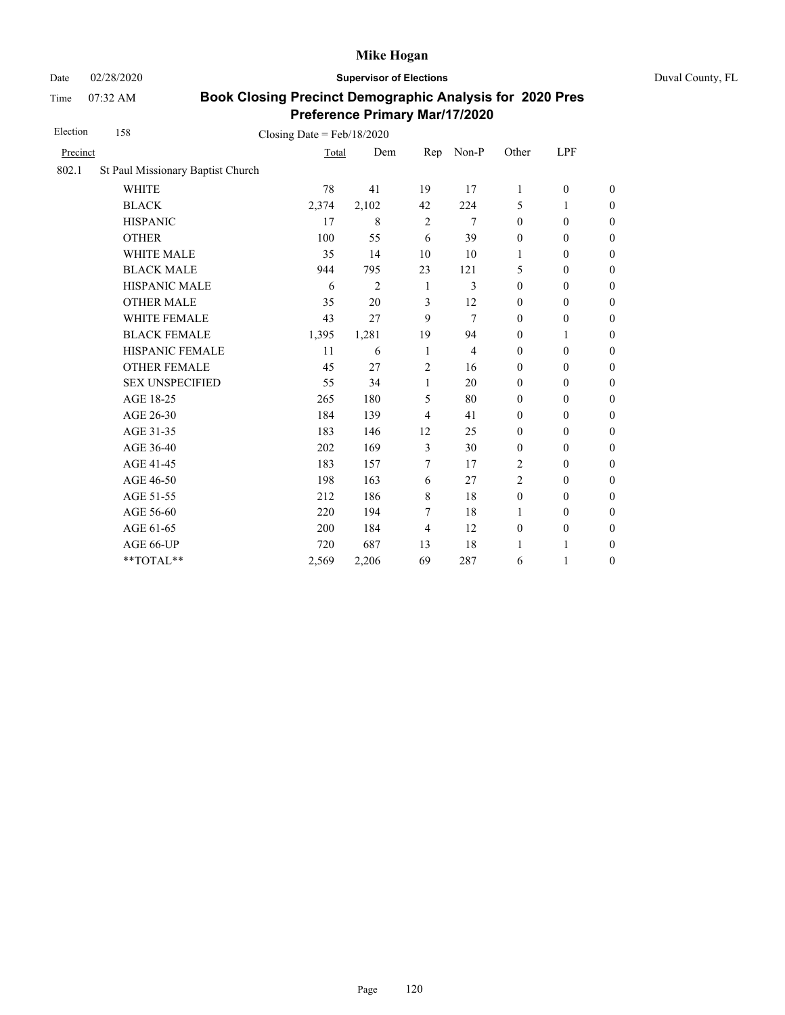Date 02/28/2020 **Supervisor of Elections** Duval County, FL

Time 07:32 AM

| Election | 158                               | Closing Date = $Feb/18/2020$ |                |                |                |                  |                  |                  |
|----------|-----------------------------------|------------------------------|----------------|----------------|----------------|------------------|------------------|------------------|
| Precinct |                                   | Total                        | Dem            | Rep            | Non-P          | Other            | LPF              |                  |
| 802.1    | St Paul Missionary Baptist Church |                              |                |                |                |                  |                  |                  |
|          | <b>WHITE</b>                      | 78                           | 41             | 19             | 17             | $\mathbf{1}$     | $\boldsymbol{0}$ | $\boldsymbol{0}$ |
|          | <b>BLACK</b>                      | 2,374                        | 2,102          | 42             | 224            | 5                | 1                | $\boldsymbol{0}$ |
|          | <b>HISPANIC</b>                   | 17                           | 8              | $\sqrt{2}$     | 7              | $\mathbf{0}$     | $\boldsymbol{0}$ | $\boldsymbol{0}$ |
|          | <b>OTHER</b>                      | 100                          | 55             | 6              | 39             | $\boldsymbol{0}$ | $\boldsymbol{0}$ | $\overline{0}$   |
|          | WHITE MALE                        | 35                           | 14             | 10             | 10             | 1                | $\boldsymbol{0}$ | $\boldsymbol{0}$ |
|          | <b>BLACK MALE</b>                 | 944                          | 795            | 23             | 121            | 5                | $\mathbf{0}$     | $\overline{0}$   |
|          | <b>HISPANIC MALE</b>              | 6                            | $\overline{2}$ | 1              | 3              | $\mathbf{0}$     | $\mathbf{0}$     | $\overline{0}$   |
|          | <b>OTHER MALE</b>                 | 35                           | 20             | 3              | 12             | $\boldsymbol{0}$ | $\boldsymbol{0}$ | $\boldsymbol{0}$ |
|          | WHITE FEMALE                      | 43                           | 27             | 9              | 7              | $\mathbf{0}$     | $\boldsymbol{0}$ | $\boldsymbol{0}$ |
|          | <b>BLACK FEMALE</b>               | 1,395                        | 1,281          | 19             | 94             | $\mathbf{0}$     | 1                | $\boldsymbol{0}$ |
|          | HISPANIC FEMALE                   | 11                           | 6              | 1              | $\overline{4}$ | $\boldsymbol{0}$ | $\boldsymbol{0}$ | $\boldsymbol{0}$ |
|          | <b>OTHER FEMALE</b>               | 45                           | 27             | $\overline{2}$ | 16             | $\mathbf{0}$     | $\mathbf{0}$     | $\boldsymbol{0}$ |
|          | <b>SEX UNSPECIFIED</b>            | 55                           | 34             | $\mathbf{1}$   | 20             | $\mathbf{0}$     | $\mathbf{0}$     | $\overline{0}$   |
|          | AGE 18-25                         | 265                          | 180            | 5              | 80             | $\boldsymbol{0}$ | $\boldsymbol{0}$ | $\boldsymbol{0}$ |
|          | AGE 26-30                         | 184                          | 139            | $\overline{4}$ | 41             | $\boldsymbol{0}$ | $\boldsymbol{0}$ | $\boldsymbol{0}$ |
|          | AGE 31-35                         | 183                          | 146            | 12             | 25             | $\boldsymbol{0}$ | $\boldsymbol{0}$ | $\boldsymbol{0}$ |
|          | AGE 36-40                         | 202                          | 169            | 3              | 30             | $\mathbf{0}$     | $\boldsymbol{0}$ | $\boldsymbol{0}$ |
|          | AGE 41-45                         | 183                          | 157            | 7              | 17             | $\overline{2}$   | $\boldsymbol{0}$ | $\overline{0}$   |
|          | AGE 46-50                         | 198                          | 163            | 6              | 27             | $\overline{2}$   | $\mathbf{0}$     | $\boldsymbol{0}$ |
|          | AGE 51-55                         | 212                          | 186            | 8              | 18             | $\boldsymbol{0}$ | $\mathbf{0}$     | $\overline{0}$   |
|          | AGE 56-60                         | 220                          | 194            | 7              | 18             | 1                | $\boldsymbol{0}$ | $\boldsymbol{0}$ |
|          | AGE 61-65                         | 200                          | 184            | 4              | 12             | $\boldsymbol{0}$ | $\boldsymbol{0}$ | $\boldsymbol{0}$ |
|          | AGE 66-UP                         | 720                          | 687            | 13             | 18             | 1                | 1                | $\boldsymbol{0}$ |
|          | **TOTAL**                         | 2,569                        | 2,206          | 69             | 287            | 6                | 1                | $\boldsymbol{0}$ |
|          |                                   |                              |                |                |                |                  |                  |                  |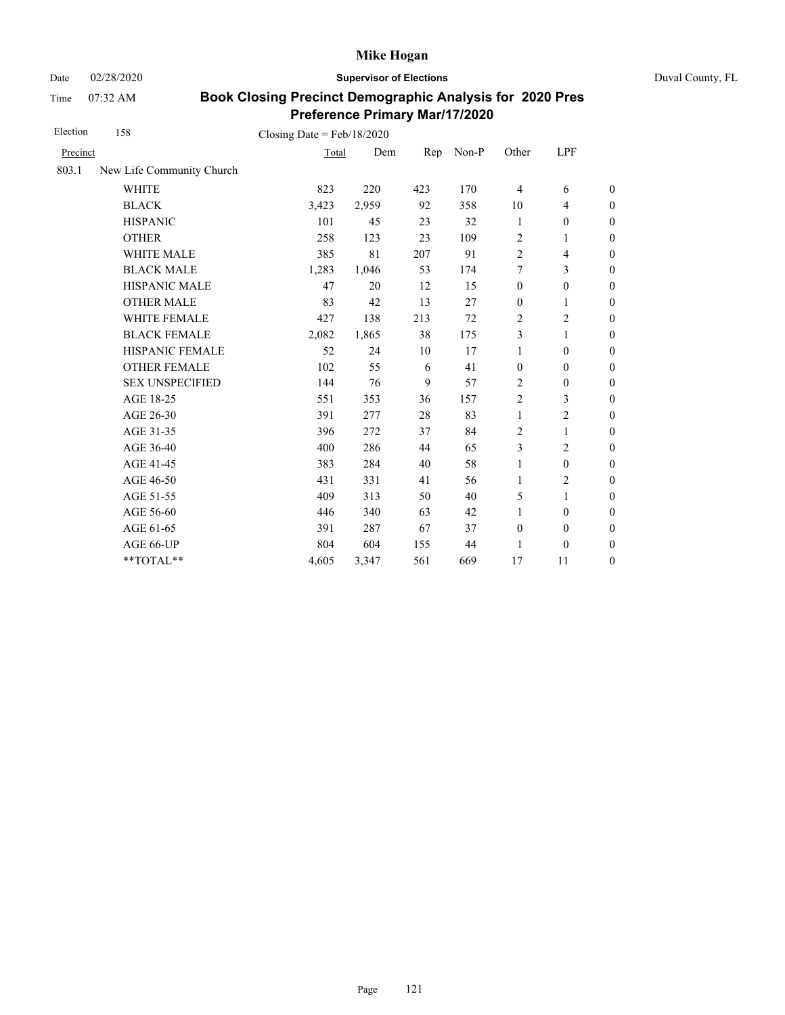Date 02/28/2020 **Supervisor of Elections** Duval County, FL

Time 07:32 AM

| Election | 158                       | Closing Date = $Feb/18/2020$ |       |     |       |                  |                  |                  |
|----------|---------------------------|------------------------------|-------|-----|-------|------------------|------------------|------------------|
| Precinct |                           | Total                        | Dem   | Rep | Non-P | Other            | <b>LPF</b>       |                  |
| 803.1    | New Life Community Church |                              |       |     |       |                  |                  |                  |
|          | <b>WHITE</b>              | 823                          | 220   | 423 | 170   | 4                | 6                | $\boldsymbol{0}$ |
|          | <b>BLACK</b>              | 3,423                        | 2,959 | 92  | 358   | 10               | $\overline{4}$   | $\boldsymbol{0}$ |
|          | <b>HISPANIC</b>           | 101                          | 45    | 23  | 32    | 1                | $\boldsymbol{0}$ | $\boldsymbol{0}$ |
|          | <b>OTHER</b>              | 258                          | 123   | 23  | 109   | $\overline{2}$   | 1                | $\overline{0}$   |
|          | <b>WHITE MALE</b>         | 385                          | 81    | 207 | 91    | $\overline{2}$   | $\overline{4}$   | $\theta$         |
|          | <b>BLACK MALE</b>         | 1,283                        | 1,046 | 53  | 174   | 7                | 3                | $\boldsymbol{0}$ |
|          | HISPANIC MALE             | 47                           | 20    | 12  | 15    | $\boldsymbol{0}$ | $\boldsymbol{0}$ | $\boldsymbol{0}$ |
|          | <b>OTHER MALE</b>         | 83                           | 42    | 13  | 27    | $\boldsymbol{0}$ | 1                | $\boldsymbol{0}$ |
|          | WHITE FEMALE              | 427                          | 138   | 213 | 72    | 2                | $\overline{c}$   | $\boldsymbol{0}$ |
|          | <b>BLACK FEMALE</b>       | 2,082                        | 1,865 | 38  | 175   | 3                | 1                | $\boldsymbol{0}$ |
|          | HISPANIC FEMALE           | 52                           | 24    | 10  | 17    | $\mathbf{1}$     | $\boldsymbol{0}$ | $\boldsymbol{0}$ |
|          | <b>OTHER FEMALE</b>       | 102                          | 55    | 6   | 41    | $\boldsymbol{0}$ | $\boldsymbol{0}$ | $\boldsymbol{0}$ |
|          | <b>SEX UNSPECIFIED</b>    | 144                          | 76    | 9   | 57    | $\overline{c}$   | $\boldsymbol{0}$ | $\boldsymbol{0}$ |
|          | AGE 18-25                 | 551                          | 353   | 36  | 157   | $\overline{2}$   | 3                | $\boldsymbol{0}$ |
|          | AGE 26-30                 | 391                          | 277   | 28  | 83    | $\mathbf{1}$     | $\overline{c}$   | $\overline{0}$   |
|          | AGE 31-35                 | 396                          | 272   | 37  | 84    | 2                | 1                | $\boldsymbol{0}$ |
|          | AGE 36-40                 | 400                          | 286   | 44  | 65    | 3                | $\overline{c}$   | $\boldsymbol{0}$ |
|          | AGE 41-45                 | 383                          | 284   | 40  | 58    | 1                | $\boldsymbol{0}$ | $\overline{0}$   |
|          | AGE 46-50                 | 431                          | 331   | 41  | 56    | 1                | $\overline{c}$   | $\boldsymbol{0}$ |
|          | AGE 51-55                 | 409                          | 313   | 50  | 40    | 5                | $\mathbf{1}$     | $\boldsymbol{0}$ |
|          | AGE 56-60                 | 446                          | 340   | 63  | 42    | 1                | $\boldsymbol{0}$ | $\boldsymbol{0}$ |
|          | AGE 61-65                 | 391                          | 287   | 67  | 37    | $\boldsymbol{0}$ | $\boldsymbol{0}$ | $\boldsymbol{0}$ |
|          | AGE 66-UP                 | 804                          | 604   | 155 | 44    | 1                | $\boldsymbol{0}$ | $\boldsymbol{0}$ |
|          | **TOTAL**                 | 4,605                        | 3,347 | 561 | 669   | 17               | 11               | $\boldsymbol{0}$ |
|          |                           |                              |       |     |       |                  |                  |                  |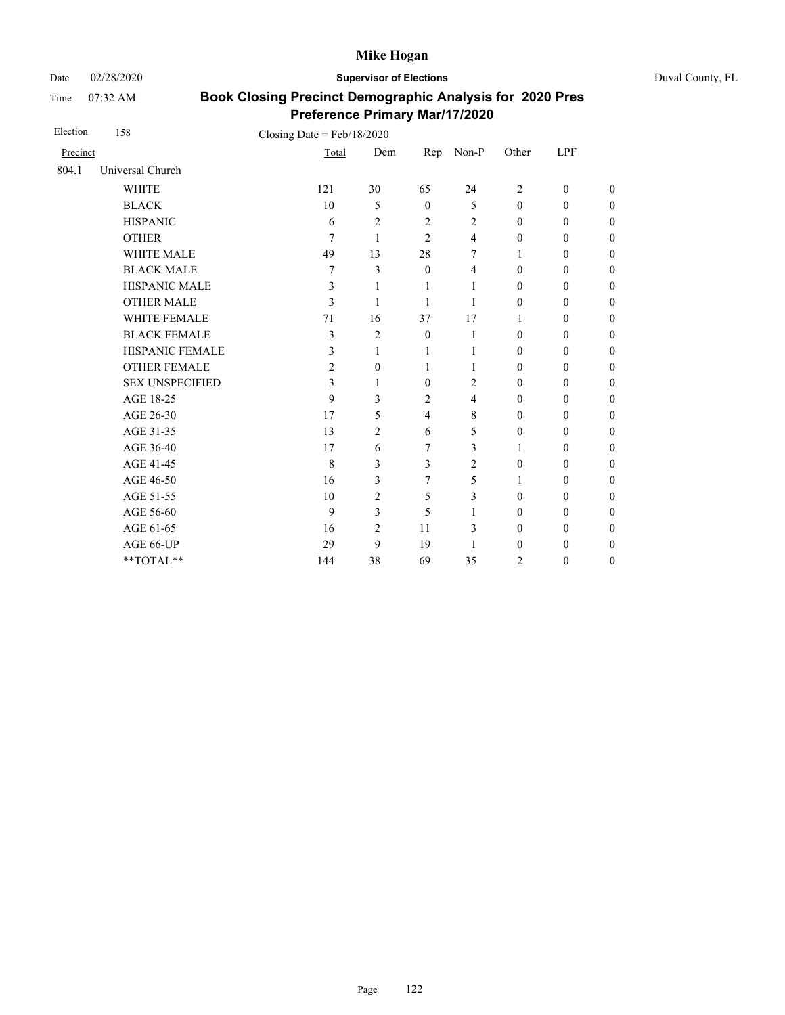Date 02/28/2020 **Supervisor of Elections** Duval County, FL

Time 07:32 AM

| Election | 158                    | Closing Date = $Feb/18/2020$ |                |                |                |                  |                  |                  |
|----------|------------------------|------------------------------|----------------|----------------|----------------|------------------|------------------|------------------|
| Precinct |                        | Total                        | Dem            | Rep            | Non-P          | Other            | LPF              |                  |
| 804.1    | Universal Church       |                              |                |                |                |                  |                  |                  |
|          | <b>WHITE</b>           | 121                          | 30             | 65             | 24             | $\overline{2}$   | $\mathbf{0}$     | $\theta$         |
|          | <b>BLACK</b>           | 10                           | 5              | $\mathbf{0}$   | 5              | $\mathbf{0}$     | $\mathbf{0}$     | $\boldsymbol{0}$ |
|          | <b>HISPANIC</b>        | 6                            | $\overline{c}$ | $\overline{2}$ | 2              | $\mathbf{0}$     | $\boldsymbol{0}$ | $\overline{0}$   |
|          | <b>OTHER</b>           | 7                            | 1              | $\overline{2}$ | 4              | $\mathbf{0}$     | $\mathbf{0}$     | $\overline{0}$   |
|          | WHITE MALE             | 49                           | 13             | 28             | 7              | 1                | $\boldsymbol{0}$ | $\boldsymbol{0}$ |
|          | <b>BLACK MALE</b>      | 7                            | 3              | $\mathbf{0}$   | 4              | $\mathbf{0}$     | $\mathbf{0}$     | $\boldsymbol{0}$ |
|          | <b>HISPANIC MALE</b>   | 3                            | 1              | 1              | 1              | $\mathbf{0}$     | $\boldsymbol{0}$ | $\overline{0}$   |
|          | <b>OTHER MALE</b>      | 3                            | 1              | 1              | 1              | $\boldsymbol{0}$ | $\boldsymbol{0}$ | $\boldsymbol{0}$ |
|          | <b>WHITE FEMALE</b>    | 71                           | 16             | 37             | 17             | 1                | $\boldsymbol{0}$ | $\boldsymbol{0}$ |
|          | <b>BLACK FEMALE</b>    | 3                            | $\overline{2}$ | $\mathbf{0}$   | 1              | $\mathbf{0}$     | $\mathbf{0}$     | $\overline{0}$   |
|          | HISPANIC FEMALE        | 3                            | 1              | 1              | 1              | $\boldsymbol{0}$ | $\boldsymbol{0}$ | $\boldsymbol{0}$ |
|          | <b>OTHER FEMALE</b>    | 2                            | $\mathbf{0}$   | 1              | 1              | $\mathbf{0}$     | $\mathbf{0}$     | $\boldsymbol{0}$ |
|          | <b>SEX UNSPECIFIED</b> | 3                            | 1              | $\theta$       | $\overline{c}$ | $\mathbf{0}$     | $\boldsymbol{0}$ | $\boldsymbol{0}$ |
|          | AGE 18-25              | 9                            | 3              | $\overline{2}$ | 4              | $\mathbf{0}$     | $\mathbf{0}$     | $\overline{0}$   |
|          | AGE 26-30              | 17                           | 5              | $\overline{4}$ | 8              | $\mathbf{0}$     | $\mathbf{0}$     | $\overline{0}$   |
|          | AGE 31-35              | 13                           | $\overline{c}$ | 6              | 5              | $\mathbf{0}$     | $\mathbf{0}$     | $\boldsymbol{0}$ |
|          | AGE 36-40              | 17                           | 6              | $\overline{7}$ | 3              | 1                | $\mathbf{0}$     | $\overline{0}$   |
|          | AGE 41-45              | 8                            | 3              | 3              | $\overline{c}$ | $\mathbf{0}$     | $\mathbf{0}$     | $\overline{0}$   |
|          | AGE 46-50              | 16                           | 3              | 7              | 5              | 1                | $\mathbf{0}$     | $\theta$         |
|          | AGE 51-55              | 10                           | $\overline{c}$ | 5              | 3              | $\mathbf{0}$     | $\mathbf{0}$     | $\boldsymbol{0}$ |
|          | AGE 56-60              | 9                            | 3              | 5              | 1              | $\mathbf{0}$     | $\mathbf{0}$     | $\overline{0}$   |
|          | AGE 61-65              | 16                           | $\overline{2}$ | 11             | 3              | $\mathbf{0}$     | $\mathbf{0}$     | $\overline{0}$   |
|          | AGE 66-UP              | 29                           | 9              | 19             | 1              | $\mathbf{0}$     | $\mathbf{0}$     | $\overline{0}$   |
|          | **TOTAL**              | 144                          | 38             | 69             | 35             | $\overline{c}$   | $\boldsymbol{0}$ | $\boldsymbol{0}$ |
|          |                        |                              |                |                |                |                  |                  |                  |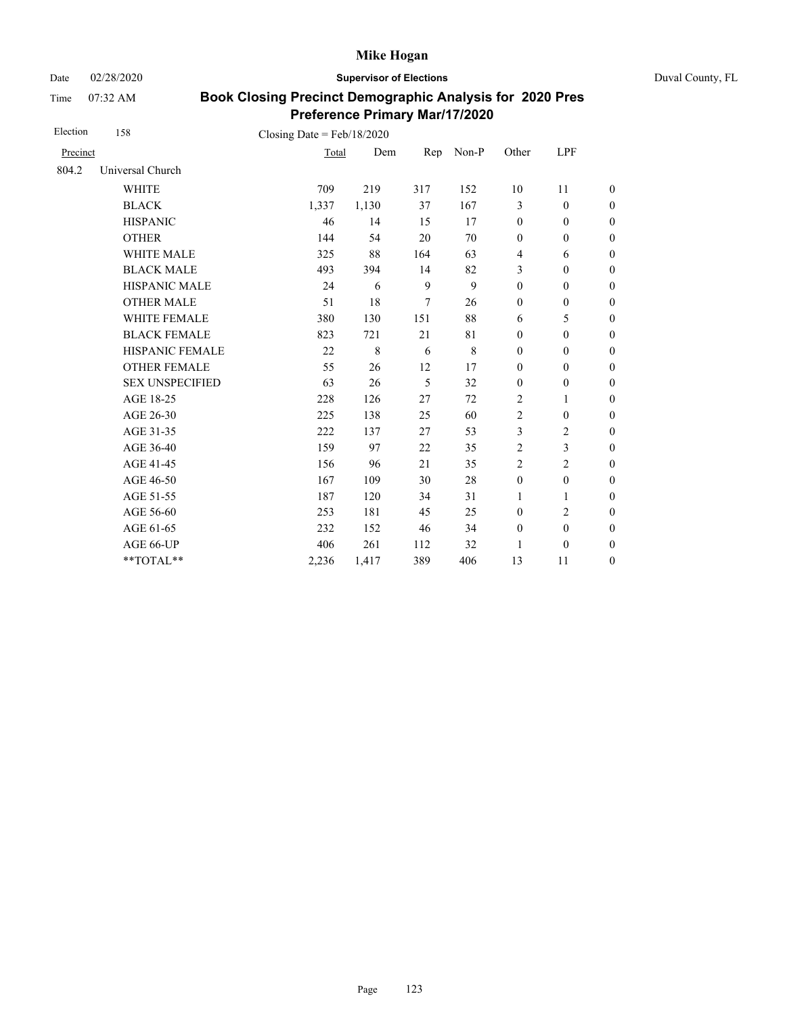Date 02/28/2020 **Supervisor of Elections** Duval County, FL

Time 07:32 AM

| Election | 158                    | Closing Date = $Feb/18/2020$ |             |                |       |                  |                  |                  |
|----------|------------------------|------------------------------|-------------|----------------|-------|------------------|------------------|------------------|
| Precinct |                        | Total                        | Dem         | Rep            | Non-P | Other            | LPF              |                  |
| 804.2    | Universal Church       |                              |             |                |       |                  |                  |                  |
|          | <b>WHITE</b>           | 709                          | 219         | 317            | 152   | 10               | 11               | $\theta$         |
|          | <b>BLACK</b>           | 1,337                        | 1,130       | 37             | 167   | 3                | $\mathbf{0}$     | $\overline{0}$   |
|          | <b>HISPANIC</b>        | 46                           | 14          | 15             | 17    | $\mathbf{0}$     | $\mathbf{0}$     | $\overline{0}$   |
|          | <b>OTHER</b>           | 144                          | 54          | 20             | 70    | $\mathbf{0}$     | $\mathbf{0}$     | $\overline{0}$   |
|          | <b>WHITE MALE</b>      | 325                          | 88          | 164            | 63    | $\overline{4}$   | 6                | $\boldsymbol{0}$ |
|          | <b>BLACK MALE</b>      | 493                          | 394         | 14             | 82    | 3                | $\mathbf{0}$     | $\boldsymbol{0}$ |
|          | <b>HISPANIC MALE</b>   | 24                           | 6           | 9              | 9     | $\boldsymbol{0}$ | $\boldsymbol{0}$ | $\boldsymbol{0}$ |
|          | <b>OTHER MALE</b>      | 51                           | 18          | $\overline{7}$ | 26    | $\boldsymbol{0}$ | $\boldsymbol{0}$ | $\boldsymbol{0}$ |
|          | WHITE FEMALE           | 380                          | 130         | 151            | 88    | 6                | 5                | $\boldsymbol{0}$ |
|          | <b>BLACK FEMALE</b>    | 823                          | 721         | 21             | 81    | $\boldsymbol{0}$ | $\boldsymbol{0}$ | $\boldsymbol{0}$ |
|          | HISPANIC FEMALE        | 22                           | $\,$ 8 $\,$ | 6              | 8     | $\boldsymbol{0}$ | $\boldsymbol{0}$ | $\boldsymbol{0}$ |
|          | <b>OTHER FEMALE</b>    | 55                           | 26          | 12             | 17    | $\mathbf{0}$     | $\mathbf{0}$     | $\boldsymbol{0}$ |
|          | <b>SEX UNSPECIFIED</b> | 63                           | 26          | 5              | 32    | $\boldsymbol{0}$ | $\boldsymbol{0}$ | $\boldsymbol{0}$ |
|          | AGE 18-25              | 228                          | 126         | 27             | 72    | $\overline{2}$   | 1                | $\boldsymbol{0}$ |
|          | AGE 26-30              | 225                          | 138         | 25             | 60    | $\overline{2}$   | $\boldsymbol{0}$ | $\overline{0}$   |
|          | AGE 31-35              | 222                          | 137         | 27             | 53    | 3                | $\overline{c}$   | $\boldsymbol{0}$ |
|          | AGE 36-40              | 159                          | 97          | 22             | 35    | $\overline{2}$   | 3                | $\boldsymbol{0}$ |
|          | AGE 41-45              | 156                          | 96          | 21             | 35    | $\overline{2}$   | $\overline{2}$   | $\overline{0}$   |
|          | AGE 46-50              | 167                          | 109         | 30             | 28    | $\boldsymbol{0}$ | $\boldsymbol{0}$ | $\boldsymbol{0}$ |
|          | AGE 51-55              | 187                          | 120         | 34             | 31    | $\mathbf{1}$     | 1                | $\boldsymbol{0}$ |
|          | AGE 56-60              | 253                          | 181         | 45             | 25    | $\mathbf{0}$     | $\overline{c}$   | $\boldsymbol{0}$ |
|          | AGE 61-65              | 232                          | 152         | 46             | 34    | $\boldsymbol{0}$ | $\boldsymbol{0}$ | $\boldsymbol{0}$ |
|          | AGE 66-UP              | 406                          | 261         | 112            | 32    | 1                | $\boldsymbol{0}$ | $\boldsymbol{0}$ |
|          | **TOTAL**              | 2,236                        | 1,417       | 389            | 406   | 13               | 11               | $\boldsymbol{0}$ |
|          |                        |                              |             |                |       |                  |                  |                  |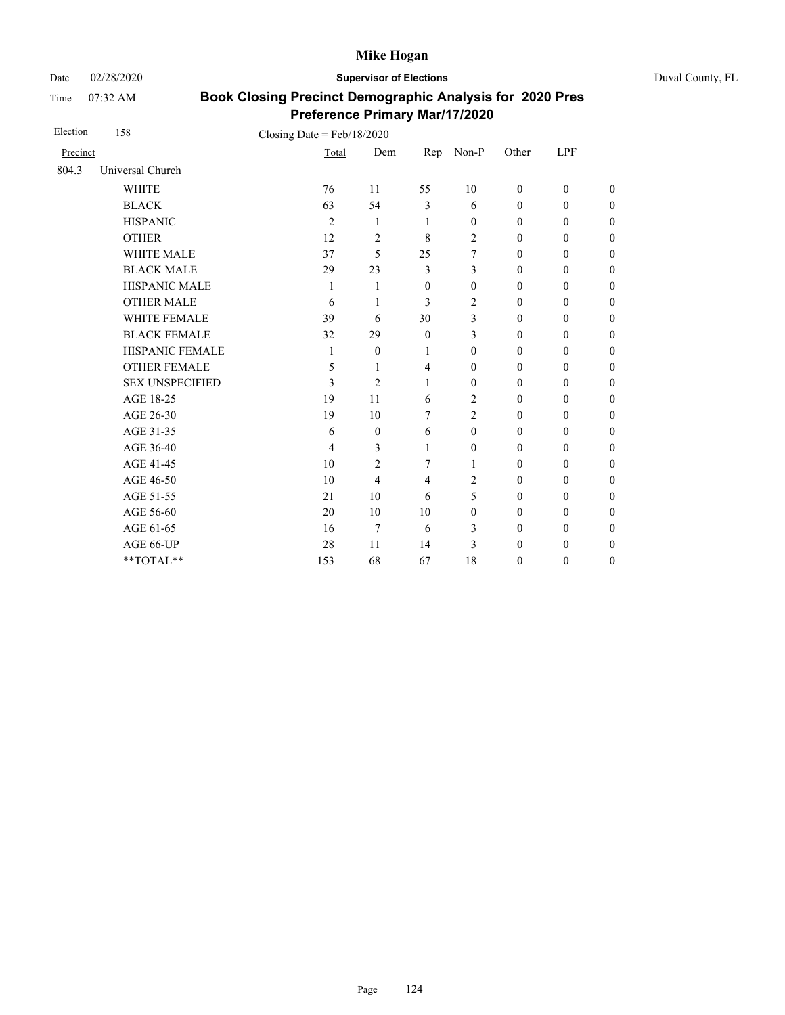Date 02/28/2020 **Supervisor of Elections** Duval County, FL

Time 07:32 AM

| Election | 158                    | Closing Date = $Feb/18/2020$ |                |                |                  |                  |                  |                  |
|----------|------------------------|------------------------------|----------------|----------------|------------------|------------------|------------------|------------------|
| Precinct |                        | Total                        | Dem            | Rep            | Non-P            | Other            | LPF              |                  |
| 804.3    | Universal Church       |                              |                |                |                  |                  |                  |                  |
|          | <b>WHITE</b>           | 76                           | 11             | 55             | 10               | $\mathbf{0}$     | $\mathbf{0}$     | $\theta$         |
|          | <b>BLACK</b>           | 63                           | 54             | 3              | 6                | $\mathbf{0}$     | $\mathbf{0}$     | $\overline{0}$   |
|          | <b>HISPANIC</b>        | $\overline{2}$               | 1              | 1              | $\theta$         | $\mathbf{0}$     | $\mathbf{0}$     | $\overline{0}$   |
|          | <b>OTHER</b>           | 12                           | $\overline{2}$ | 8              | $\overline{c}$   | $\mathbf{0}$     | $\mathbf{0}$     | $\overline{0}$   |
|          | <b>WHITE MALE</b>      | 37                           | 5              | 25             | 7                | $\mathbf{0}$     | $\mathbf{0}$     | $\boldsymbol{0}$ |
|          | <b>BLACK MALE</b>      | 29                           | 23             | $\overline{3}$ | 3                | $\mathbf{0}$     | $\mathbf{0}$     | $\overline{0}$   |
|          | HISPANIC MALE          | 1                            | 1              | $\mathbf{0}$   | $\theta$         | $\mathbf{0}$     | $\mathbf{0}$     | $\overline{0}$   |
|          | <b>OTHER MALE</b>      | 6                            | 1              | 3              | $\overline{c}$   | $\boldsymbol{0}$ | $\boldsymbol{0}$ | $\boldsymbol{0}$ |
|          | <b>WHITE FEMALE</b>    | 39                           | 6              | 30             | 3                | $\theta$         | $\mathbf{0}$     | $\boldsymbol{0}$ |
|          | <b>BLACK FEMALE</b>    | 32                           | 29             | $\mathbf{0}$   | 3                | $\mathbf{0}$     | $\mathbf{0}$     | $\overline{0}$   |
|          | HISPANIC FEMALE        | 1                            | $\theta$       | 1              | $\boldsymbol{0}$ | $\boldsymbol{0}$ | $\boldsymbol{0}$ | $\boldsymbol{0}$ |
|          | <b>OTHER FEMALE</b>    | 5                            | 1              | 4              | $\theta$         | $\mathbf{0}$     | $\boldsymbol{0}$ | $\boldsymbol{0}$ |
|          | <b>SEX UNSPECIFIED</b> | 3                            | $\overline{2}$ | $\mathbf{1}$   | $\theta$         | $\mathbf{0}$     | $\mathbf{0}$     | $\boldsymbol{0}$ |
|          | AGE 18-25              | 19                           | 11             | 6              | $\overline{c}$   | $\boldsymbol{0}$ | $\boldsymbol{0}$ | $\boldsymbol{0}$ |
|          | AGE 26-30              | 19                           | 10             | $\overline{7}$ | $\overline{c}$   | $\mathbf{0}$     | $\mathbf{0}$     | $\overline{0}$   |
|          | AGE 31-35              | 6                            | $\mathbf{0}$   | 6              | $\theta$         | $\mathbf{0}$     | $\mathbf{0}$     | $\boldsymbol{0}$ |
|          | AGE 36-40              | 4                            | 3              | 1              | $\theta$         | $\mathbf{0}$     | $\mathbf{0}$     | $\boldsymbol{0}$ |
|          | AGE 41-45              | 10                           | $\overline{2}$ | 7              | 1                | $\mathbf{0}$     | $\mathbf{0}$     | $\overline{0}$   |
|          | AGE 46-50              | 10                           | $\overline{4}$ | $\overline{4}$ | $\overline{c}$   | $\mathbf{0}$     | $\mathbf{0}$     | $\boldsymbol{0}$ |
|          | AGE 51-55              | 21                           | 10             | 6              | 5                | $\mathbf{0}$     | $\mathbf{0}$     | $\boldsymbol{0}$ |
|          | AGE 56-60              | 20                           | 10             | 10             | $\theta$         | $\mathbf{0}$     | $\mathbf{0}$     | $\overline{0}$   |
|          | AGE 61-65              | 16                           | 7              | 6              | 3                | $\mathbf{0}$     | $\mathbf{0}$     | $\overline{0}$   |
|          | AGE 66-UP              | 28                           | 11             | 14             | 3                | $\theta$         | $\mathbf{0}$     | $\overline{0}$   |
|          | **TOTAL**              | 153                          | 68             | 67             | 18               | $\theta$         | $\mathbf{0}$     | $\overline{0}$   |
|          |                        |                              |                |                |                  |                  |                  |                  |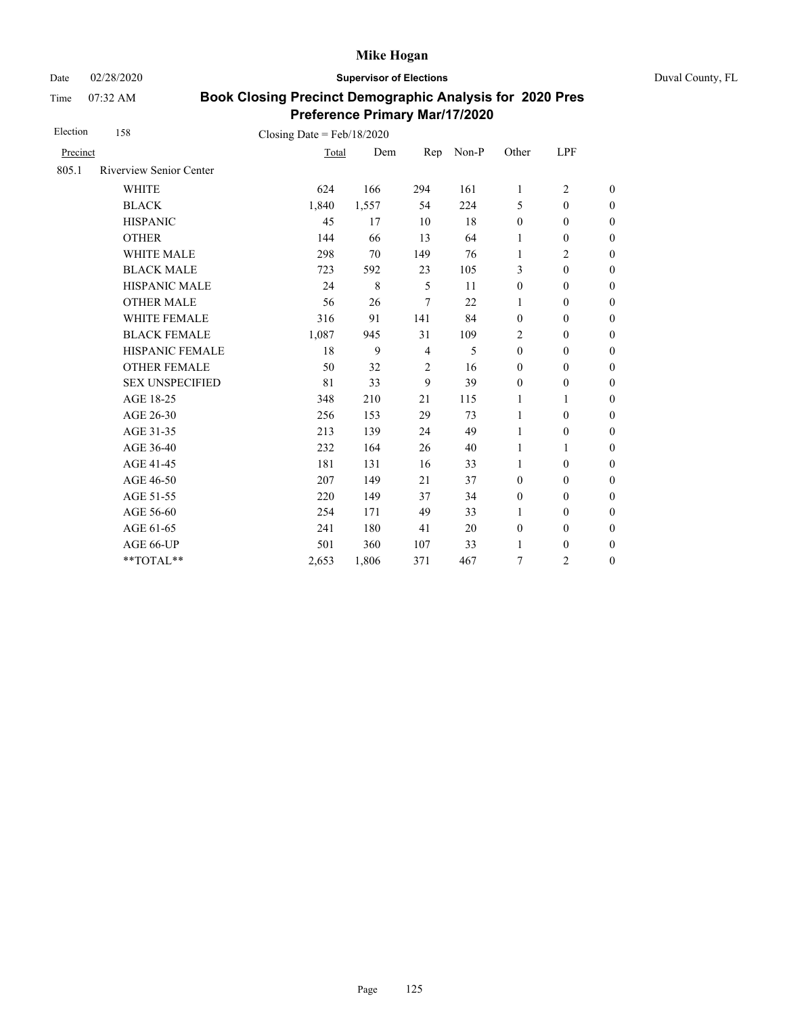Date 02/28/2020 **Supervisor of Elections** Duval County, FL

Time 07:32 AM

| Election | 158                            | Closing Date = $Feb/18/2020$ |       |                |       |                  |                  |                  |
|----------|--------------------------------|------------------------------|-------|----------------|-------|------------------|------------------|------------------|
| Precinct |                                | Total                        | Dem   | Rep            | Non-P | Other            | LPF              |                  |
| 805.1    | <b>Riverview Senior Center</b> |                              |       |                |       |                  |                  |                  |
|          | <b>WHITE</b>                   | 624                          | 166   | 294            | 161   | $\mathbf{1}$     | $\overline{2}$   | $\boldsymbol{0}$ |
|          | <b>BLACK</b>                   | 1,840                        | 1,557 | 54             | 224   | 5                | $\mathbf{0}$     | $\boldsymbol{0}$ |
|          | <b>HISPANIC</b>                | 45                           | 17    | 10             | 18    | $\boldsymbol{0}$ | $\mathbf{0}$     | $\boldsymbol{0}$ |
|          | <b>OTHER</b>                   | 144                          | 66    | 13             | 64    | $\mathbf{1}$     | $\boldsymbol{0}$ | $\overline{0}$   |
|          | <b>WHITE MALE</b>              | 298                          | 70    | 149            | 76    | 1                | 2                | $\boldsymbol{0}$ |
|          | <b>BLACK MALE</b>              | 723                          | 592   | 23             | 105   | 3                | $\boldsymbol{0}$ | $\boldsymbol{0}$ |
|          | HISPANIC MALE                  | 24                           | 8     | 5              | 11    | $\mathbf{0}$     | $\mathbf{0}$     | $\overline{0}$   |
|          | <b>OTHER MALE</b>              | 56                           | 26    | 7              | 22    | 1                | $\boldsymbol{0}$ | $\boldsymbol{0}$ |
|          | WHITE FEMALE                   | 316                          | 91    | 141            | 84    | $\boldsymbol{0}$ | $\mathbf{0}$     | $\boldsymbol{0}$ |
|          | <b>BLACK FEMALE</b>            | 1,087                        | 945   | 31             | 109   | $\overline{2}$   | $\mathbf{0}$     | $\boldsymbol{0}$ |
|          | HISPANIC FEMALE                | 18                           | 9     | $\overline{4}$ | 5     | $\boldsymbol{0}$ | $\boldsymbol{0}$ | $\boldsymbol{0}$ |
|          | <b>OTHER FEMALE</b>            | 50                           | 32    | $\overline{2}$ | 16    | $\mathbf{0}$     | $\mathbf{0}$     | $\boldsymbol{0}$ |
|          | <b>SEX UNSPECIFIED</b>         | 81                           | 33    | 9              | 39    | $\mathbf{0}$     | $\mathbf{0}$     | $\boldsymbol{0}$ |
|          | AGE 18-25                      | 348                          | 210   | 21             | 115   | 1                | 1                | $\overline{0}$   |
|          | AGE 26-30                      | 256                          | 153   | 29             | 73    | $\mathbf{1}$     | $\mathbf{0}$     | $\overline{0}$   |
|          | AGE 31-35                      | 213                          | 139   | 24             | 49    | 1                | $\boldsymbol{0}$ | $\boldsymbol{0}$ |
|          | AGE 36-40                      | 232                          | 164   | 26             | 40    | 1                | 1                | $\boldsymbol{0}$ |
|          | AGE 41-45                      | 181                          | 131   | 16             | 33    | 1                | $\boldsymbol{0}$ | $\overline{0}$   |
|          | AGE 46-50                      | 207                          | 149   | 21             | 37    | $\boldsymbol{0}$ | $\boldsymbol{0}$ | $\boldsymbol{0}$ |
|          | AGE 51-55                      | 220                          | 149   | 37             | 34    | $\boldsymbol{0}$ | $\mathbf{0}$     | $\boldsymbol{0}$ |
|          | AGE 56-60                      | 254                          | 171   | 49             | 33    | 1                | $\mathbf{0}$     | $\overline{0}$   |
|          | AGE 61-65                      | 241                          | 180   | 41             | 20    | $\boldsymbol{0}$ | $\boldsymbol{0}$ | $\boldsymbol{0}$ |
|          | AGE 66-UP                      | 501                          | 360   | 107            | 33    | $\mathbf{1}$     | $\mathbf{0}$     | $\boldsymbol{0}$ |
|          | **TOTAL**                      | 2,653                        | 1,806 | 371            | 467   | 7                | $\overline{2}$   | $\overline{0}$   |
|          |                                |                              |       |                |       |                  |                  |                  |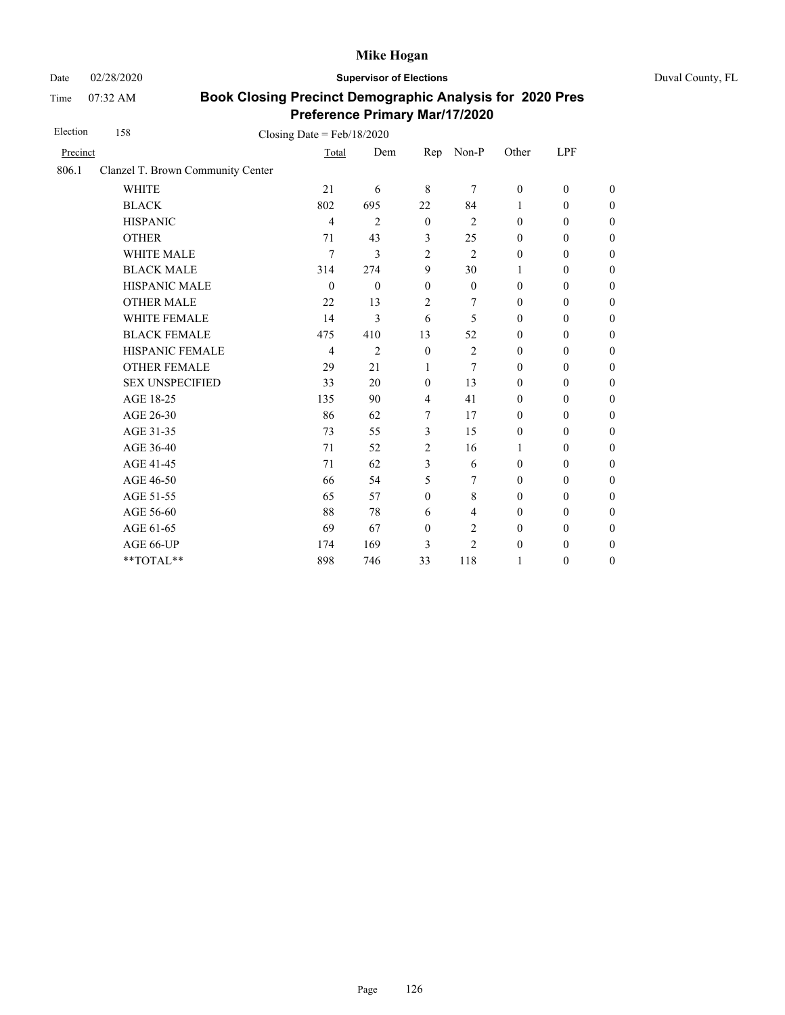Date 02/28/2020 **Supervisor of Elections** Duval County, FL

Time 07:32 AM

| Election | 158                               | Closing Date = $Feb/18/2020$ |                |                |                |                  |                  |                  |
|----------|-----------------------------------|------------------------------|----------------|----------------|----------------|------------------|------------------|------------------|
| Precinct |                                   | Total                        | Dem            | Rep            | Non-P          | Other            | LPF              |                  |
| 806.1    | Clanzel T. Brown Community Center |                              |                |                |                |                  |                  |                  |
|          | <b>WHITE</b>                      | 21                           | 6              | 8              | 7              | $\mathbf{0}$     | $\mathbf{0}$     | $\overline{0}$   |
|          | <b>BLACK</b>                      | 802                          | 695            | 22             | 84             | $\mathbf{1}$     | $\mathbf{0}$     | $\boldsymbol{0}$ |
|          | <b>HISPANIC</b>                   | $\overline{4}$               | $\overline{c}$ | $\mathbf{0}$   | $\overline{2}$ | $\mathbf{0}$     | $\theta$         | $\boldsymbol{0}$ |
|          | <b>OTHER</b>                      | 71                           | 43             | 3              | 25             | $\boldsymbol{0}$ | $\boldsymbol{0}$ | $\boldsymbol{0}$ |
|          | WHITE MALE                        | 7                            | 3              | $\overline{2}$ | $\overline{2}$ | $\boldsymbol{0}$ | $\boldsymbol{0}$ | $\boldsymbol{0}$ |
|          | <b>BLACK MALE</b>                 | 314                          | 274            | 9              | 30             | 1                | $\theta$         | $\boldsymbol{0}$ |
|          | <b>HISPANIC MALE</b>              | $\theta$                     | $\mathbf{0}$   | $\mathbf{0}$   | $\theta$       | $\mathbf{0}$     | $\mathbf{0}$     | $\boldsymbol{0}$ |
|          | <b>OTHER MALE</b>                 | 22                           | 13             | $\overline{c}$ | 7              | $\mathbf{0}$     | $\boldsymbol{0}$ | $\boldsymbol{0}$ |
|          | WHITE FEMALE                      | 14                           | 3              | 6              | 5              | $\mathbf{0}$     | $\mathbf{0}$     | $\boldsymbol{0}$ |
|          | <b>BLACK FEMALE</b>               | 475                          | 410            | 13             | 52             | $\mathbf{0}$     | $\mathbf{0}$     | $\boldsymbol{0}$ |
|          | HISPANIC FEMALE                   | $\overline{4}$               | $\overline{2}$ | $\mathbf{0}$   | $\overline{2}$ | $\mathbf{0}$     | $\mathbf{0}$     | $\boldsymbol{0}$ |
|          | <b>OTHER FEMALE</b>               | 29                           | 21             | 1              | 7              | $\mathbf{0}$     | $\mathbf{0}$     | $\overline{0}$   |
|          | <b>SEX UNSPECIFIED</b>            | 33                           | 20             | $\mathbf{0}$   | 13             | $\mathbf{0}$     | $\boldsymbol{0}$ | $\boldsymbol{0}$ |
|          | AGE 18-25                         | 135                          | 90             | $\overline{4}$ | 41             | $\mathbf{0}$     | $\mathbf{0}$     | $\boldsymbol{0}$ |
|          | AGE 26-30                         | 86                           | 62             | 7              | 17             | $\mathbf{0}$     | $\boldsymbol{0}$ | $\boldsymbol{0}$ |
|          | AGE 31-35                         | 73                           | 55             | 3              | 15             | $\boldsymbol{0}$ | $\boldsymbol{0}$ | $\mathbf{0}$     |
|          | AGE 36-40                         | 71                           | 52             | $\overline{2}$ | 16             | 1                | $\theta$         | $\boldsymbol{0}$ |
|          | AGE 41-45                         | 71                           | 62             | 3              | 6              | $\mathbf{0}$     | $\mathbf{0}$     | $\theta$         |
|          | AGE 46-50                         | 66                           | 54             | 5              | 7              | $\mathbf{0}$     | $\boldsymbol{0}$ | $\boldsymbol{0}$ |
|          | AGE 51-55                         | 65                           | 57             | $\overline{0}$ | 8              | $\mathbf{0}$     | $\mathbf{0}$     | $\boldsymbol{0}$ |
|          | AGE 56-60                         | 88                           | 78             | 6              | $\overline{4}$ | $\mathbf{0}$     | $\mathbf{0}$     | $\boldsymbol{0}$ |
|          | AGE 61-65                         | 69                           | 67             | $\mathbf{0}$   | 2              | $\mathbf{0}$     | $\mathbf{0}$     | $\theta$         |
|          | AGE 66-UP                         | 174                          | 169            | 3              | $\overline{c}$ | $\boldsymbol{0}$ | $\boldsymbol{0}$ | $\boldsymbol{0}$ |
|          | **TOTAL**                         | 898                          | 746            | 33             | 118            | 1                | $\boldsymbol{0}$ | $\mathbf{0}$     |
|          |                                   |                              |                |                |                |                  |                  |                  |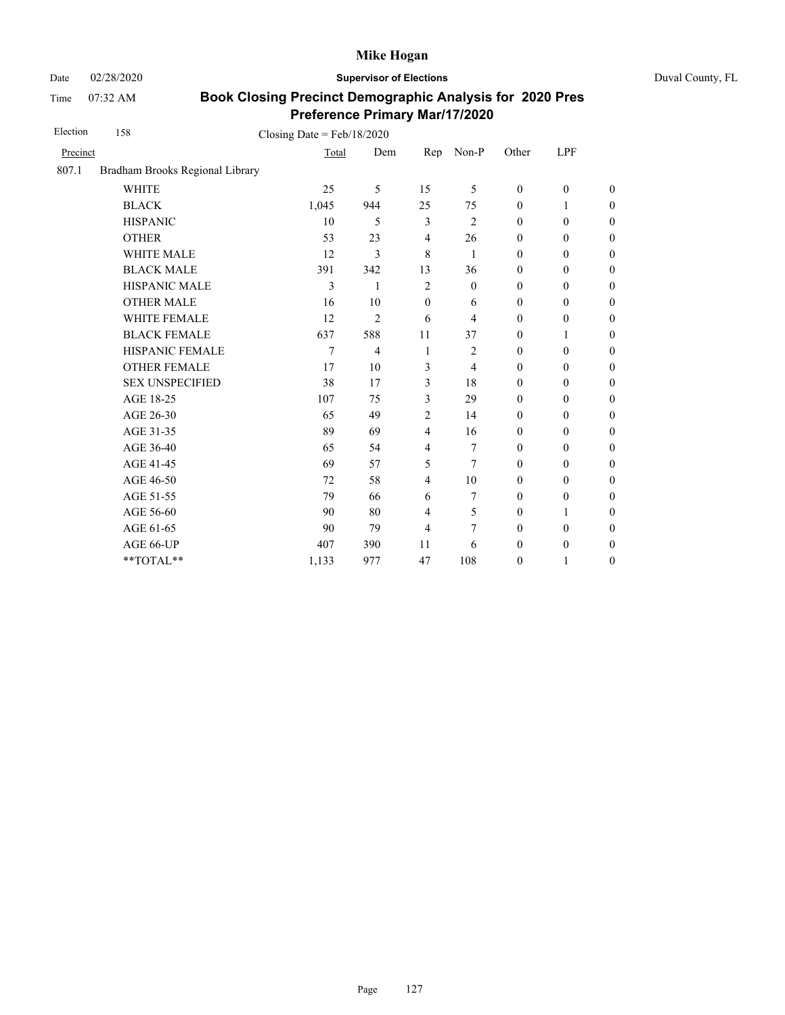Date 02/28/2020 **Supervisor of Elections** Duval County, FL

Time 07:32 AM

| Election | 158                             | Closing Date = $Feb/18/2020$ |                |                |                |                  |                  |                  |
|----------|---------------------------------|------------------------------|----------------|----------------|----------------|------------------|------------------|------------------|
| Precinct |                                 | Total                        | Dem            | Rep            | Non-P          | Other            | LPF              |                  |
| 807.1    | Bradham Brooks Regional Library |                              |                |                |                |                  |                  |                  |
|          | <b>WHITE</b>                    | 25                           | 5              | 15             | 5              | $\mathbf{0}$     | $\mathbf{0}$     | $\overline{0}$   |
|          | <b>BLACK</b>                    | 1,045                        | 944            | 25             | 75             | $\mathbf{0}$     | 1                | $\theta$         |
|          | <b>HISPANIC</b>                 | 10                           | 5              | $\mathfrak{Z}$ | $\overline{2}$ | $\mathbf{0}$     | $\boldsymbol{0}$ | $\boldsymbol{0}$ |
|          | <b>OTHER</b>                    | 53                           | 23             | $\overline{4}$ | 26             | $\boldsymbol{0}$ | $\boldsymbol{0}$ | $\overline{0}$   |
|          | WHITE MALE                      | 12                           | 3              | 8              | 1              | $\boldsymbol{0}$ | $\boldsymbol{0}$ | $\boldsymbol{0}$ |
|          | <b>BLACK MALE</b>               | 391                          | 342            | 13             | 36             | $\theta$         | $\boldsymbol{0}$ | $\boldsymbol{0}$ |
|          | <b>HISPANIC MALE</b>            | 3                            | 1              | $\overline{2}$ | $\theta$       | $\mathbf{0}$     | $\mathbf{0}$     | $\boldsymbol{0}$ |
|          | <b>OTHER MALE</b>               | 16                           | 10             | $\mathbf{0}$   | 6              | $\boldsymbol{0}$ | $\boldsymbol{0}$ | $\boldsymbol{0}$ |
|          | WHITE FEMALE                    | 12                           | $\overline{2}$ | 6              | 4              | $\theta$         | $\mathbf{0}$     | $\overline{0}$   |
|          | <b>BLACK FEMALE</b>             | 637                          | 588            | 11             | 37             | $\mathbf{0}$     | 1                | $\boldsymbol{0}$ |
|          | HISPANIC FEMALE                 | 7                            | 4              | 1              | $\overline{2}$ | $\mathbf{0}$     | $\mathbf{0}$     | $\boldsymbol{0}$ |
|          | <b>OTHER FEMALE</b>             | 17                           | 10             | 3              | 4              | $\mathbf{0}$     | $\mathbf{0}$     | $\overline{0}$   |
|          | <b>SEX UNSPECIFIED</b>          | 38                           | 17             | 3              | 18             | $\boldsymbol{0}$ | $\boldsymbol{0}$ | $\boldsymbol{0}$ |
|          | AGE 18-25                       | 107                          | 75             | 3              | 29             | $\mathbf{0}$     | $\boldsymbol{0}$ | $\boldsymbol{0}$ |
|          | AGE 26-30                       | 65                           | 49             | $\overline{2}$ | 14             | $\boldsymbol{0}$ | $\boldsymbol{0}$ | $\overline{0}$   |
|          | AGE 31-35                       | 89                           | 69             | $\overline{4}$ | 16             | $\boldsymbol{0}$ | $\boldsymbol{0}$ | $\boldsymbol{0}$ |
|          | AGE 36-40                       | 65                           | 54             | $\overline{4}$ | 7              | $\mathbf{0}$     | $\mathbf{0}$     | $\boldsymbol{0}$ |
|          | AGE 41-45                       | 69                           | 57             | 5              | 7              | $\mathbf{0}$     | $\mathbf{0}$     | $\overline{0}$   |
|          | AGE 46-50                       | 72                           | 58             | $\overline{4}$ | 10             | $\mathbf{0}$     | $\boldsymbol{0}$ | $\boldsymbol{0}$ |
|          | AGE 51-55                       | 79                           | 66             | 6              | 7              | $\mathbf{0}$     | $\boldsymbol{0}$ | $\boldsymbol{0}$ |
|          | AGE 56-60                       | 90                           | 80             | $\overline{4}$ | 5              | $\mathbf{0}$     | 1                | $\overline{0}$   |
|          | AGE 61-65                       | 90                           | 79             | $\overline{4}$ | 7              | $\mathbf{0}$     | $\mathbf{0}$     | $\overline{0}$   |
|          | AGE 66-UP                       | 407                          | 390            | 11             | 6              | $\boldsymbol{0}$ | $\boldsymbol{0}$ | $\boldsymbol{0}$ |
|          | **TOTAL**                       | 1,133                        | 977            | 47             | 108            | $\boldsymbol{0}$ | 1                | $\boldsymbol{0}$ |
|          |                                 |                              |                |                |                |                  |                  |                  |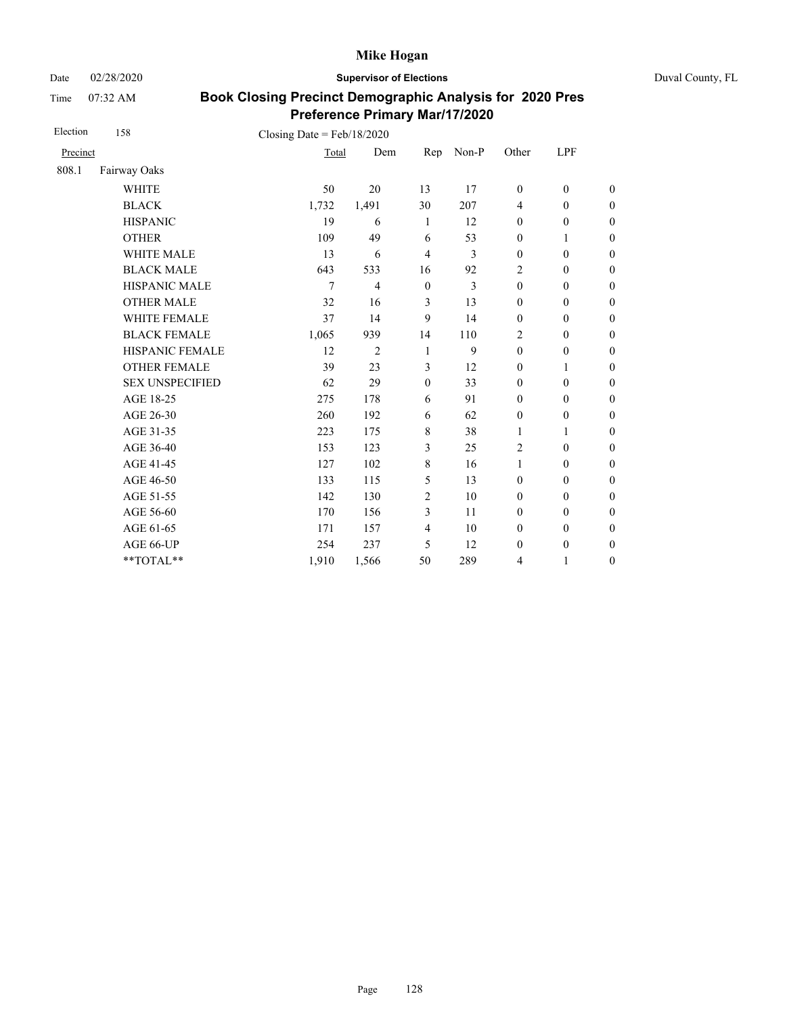Date 02/28/2020 **Supervisor of Elections** Duval County, FL

Time 07:32 AM

| Election | 158                    | Closing Date = $Feb/18/2020$ |                |                  |       |                  |                  |                  |
|----------|------------------------|------------------------------|----------------|------------------|-------|------------------|------------------|------------------|
| Precinct |                        | Total                        | Dem            | Rep              | Non-P | Other            | <b>LPF</b>       |                  |
| 808.1    | Fairway Oaks           |                              |                |                  |       |                  |                  |                  |
|          | <b>WHITE</b>           | 50                           | 20             | 13               | 17    | $\boldsymbol{0}$ | $\boldsymbol{0}$ | $\boldsymbol{0}$ |
|          | <b>BLACK</b>           | 1,732                        | 1,491          | 30               | 207   | $\overline{4}$   | $\mathbf{0}$     | $\overline{0}$   |
|          | <b>HISPANIC</b>        | 19                           | 6              | -1               | 12    | $\boldsymbol{0}$ | $\boldsymbol{0}$ | $\boldsymbol{0}$ |
|          | <b>OTHER</b>           | 109                          | 49             | 6                | 53    | $\boldsymbol{0}$ | 1                | $\overline{0}$   |
|          | <b>WHITE MALE</b>      | 13                           | 6              | $\overline{4}$   | 3     | $\mathbf{0}$     | $\mathbf{0}$     | $\theta$         |
|          | <b>BLACK MALE</b>      | 643                          | 533            | 16               | 92    | $\overline{2}$   | $\boldsymbol{0}$ | $\boldsymbol{0}$ |
|          | HISPANIC MALE          | 7                            | $\overline{4}$ | $\boldsymbol{0}$ | 3     | $\boldsymbol{0}$ | $\boldsymbol{0}$ | $\boldsymbol{0}$ |
|          | <b>OTHER MALE</b>      | 32                           | 16             | 3                | 13    | $\boldsymbol{0}$ | $\boldsymbol{0}$ | $\boldsymbol{0}$ |
|          | WHITE FEMALE           | 37                           | 14             | 9                | 14    | $\boldsymbol{0}$ | $\boldsymbol{0}$ | $\boldsymbol{0}$ |
|          | <b>BLACK FEMALE</b>    | 1,065                        | 939            | 14               | 110   | $\overline{2}$   | $\boldsymbol{0}$ | $\boldsymbol{0}$ |
|          | HISPANIC FEMALE        | 12                           | $\overline{2}$ | 1                | 9     | $\boldsymbol{0}$ | $\boldsymbol{0}$ | $\boldsymbol{0}$ |
|          | <b>OTHER FEMALE</b>    | 39                           | 23             | 3                | 12    | $\boldsymbol{0}$ | 1                | $\boldsymbol{0}$ |
|          | <b>SEX UNSPECIFIED</b> | 62                           | 29             | $\mathbf{0}$     | 33    | $\mathbf{0}$     | $\boldsymbol{0}$ | $\boldsymbol{0}$ |
|          | AGE 18-25              | 275                          | 178            | 6                | 91    | $\boldsymbol{0}$ | $\boldsymbol{0}$ | $\boldsymbol{0}$ |
|          | AGE 26-30              | 260                          | 192            | 6                | 62    | $\boldsymbol{0}$ | $\boldsymbol{0}$ | $\overline{0}$   |
|          | AGE 31-35              | 223                          | 175            | $\,8\,$          | 38    | 1                | 1                | $\boldsymbol{0}$ |
|          | AGE 36-40              | 153                          | 123            | 3                | 25    | $\overline{c}$   | $\boldsymbol{0}$ | $\boldsymbol{0}$ |
|          | AGE 41-45              | 127                          | 102            | $\,8\,$          | 16    | $\mathbf{1}$     | $\boldsymbol{0}$ | $\overline{0}$   |
|          | AGE 46-50              | 133                          | 115            | 5                | 13    | $\boldsymbol{0}$ | $\boldsymbol{0}$ | $\boldsymbol{0}$ |
|          | AGE 51-55              | 142                          | 130            | $\overline{2}$   | 10    | $\boldsymbol{0}$ | $\boldsymbol{0}$ | $\boldsymbol{0}$ |
|          | AGE 56-60              | 170                          | 156            | 3                | 11    | $\mathbf{0}$     | $\boldsymbol{0}$ | $\boldsymbol{0}$ |
|          | AGE 61-65              | 171                          | 157            | $\overline{4}$   | 10    | $\boldsymbol{0}$ | $\boldsymbol{0}$ | $\boldsymbol{0}$ |
|          | AGE 66-UP              | 254                          | 237            | 5                | 12    | $\boldsymbol{0}$ | $\boldsymbol{0}$ | $\boldsymbol{0}$ |
|          | **TOTAL**              | 1,910                        | 1,566          | 50               | 289   | 4                | 1                | $\boldsymbol{0}$ |
|          |                        |                              |                |                  |       |                  |                  |                  |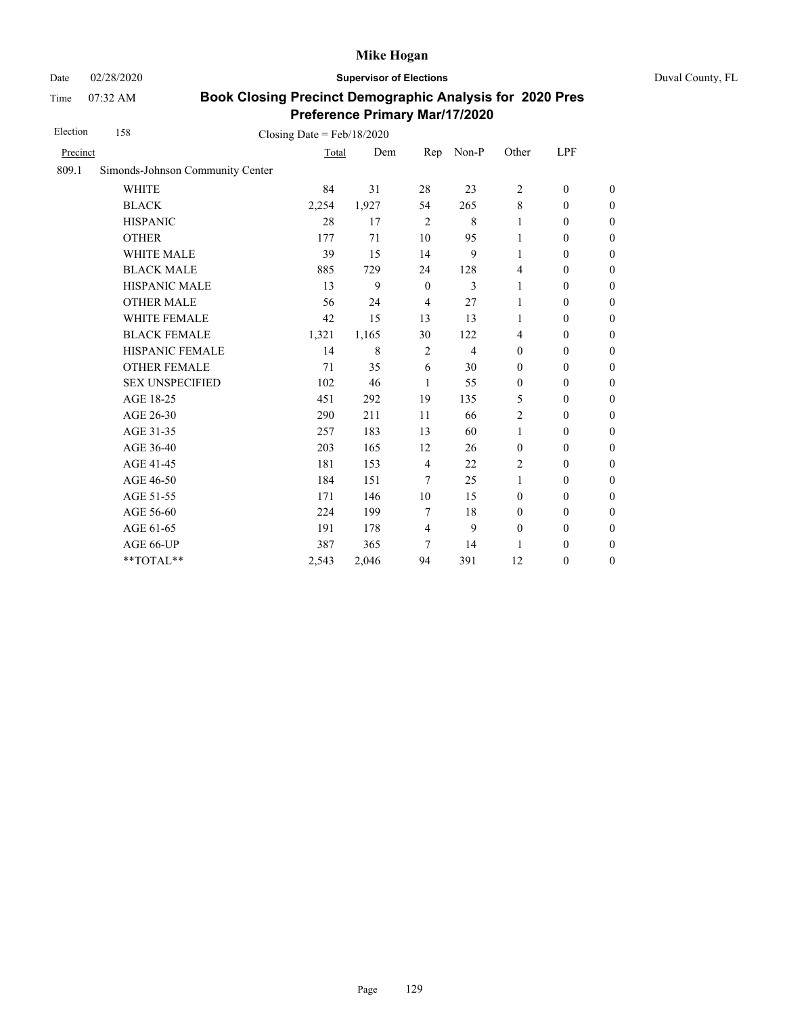Date 02/28/2020 **Supervisor of Elections** Duval County, FL

Time 07:32 AM

| Election | 158                              | Closing Date = $Feb/18/2020$ |             |                  |                |                  |                  |                  |
|----------|----------------------------------|------------------------------|-------------|------------------|----------------|------------------|------------------|------------------|
| Precinct |                                  | Total                        | Dem         | Rep              | Non-P          | Other            | <b>LPF</b>       |                  |
| 809.1    | Simonds-Johnson Community Center |                              |             |                  |                |                  |                  |                  |
|          | <b>WHITE</b>                     | 84                           | 31          | 28               | 23             | $\overline{c}$   | $\boldsymbol{0}$ | $\boldsymbol{0}$ |
|          | <b>BLACK</b>                     | 2,254                        | 1,927       | 54               | 265            | $\,8\,$          | $\mathbf{0}$     | $\theta$         |
|          | <b>HISPANIC</b>                  | 28                           | 17          | $\overline{2}$   | $\,8\,$        | 1                | $\mathbf{0}$     | $\boldsymbol{0}$ |
|          | <b>OTHER</b>                     | 177                          | 71          | 10               | 95             | 1                | $\boldsymbol{0}$ | $\boldsymbol{0}$ |
|          | <b>WHITE MALE</b>                | 39                           | 15          | 14               | 9              | 1                | $\mathbf{0}$     | $\boldsymbol{0}$ |
|          | <b>BLACK MALE</b>                | 885                          | 729         | 24               | 128            | $\overline{4}$   | $\boldsymbol{0}$ | $\boldsymbol{0}$ |
|          | HISPANIC MALE                    | 13                           | 9           | $\boldsymbol{0}$ | 3              | 1                | $\mathbf{0}$     | $\boldsymbol{0}$ |
|          | <b>OTHER MALE</b>                | 56                           | 24          | $\overline{4}$   | 27             | 1                | $\boldsymbol{0}$ | $\boldsymbol{0}$ |
|          | WHITE FEMALE                     | 42                           | 15          | 13               | 13             | 1                | $\boldsymbol{0}$ | $\boldsymbol{0}$ |
|          | <b>BLACK FEMALE</b>              | 1,321                        | 1,165       | 30               | 122            | 4                | $\mathbf{0}$     | $\boldsymbol{0}$ |
|          | HISPANIC FEMALE                  | 14                           | $\,$ 8 $\,$ | $\overline{c}$   | $\overline{4}$ | $\boldsymbol{0}$ | $\boldsymbol{0}$ | $\boldsymbol{0}$ |
|          | <b>OTHER FEMALE</b>              | 71                           | 35          | 6                | 30             | $\boldsymbol{0}$ | $\mathbf{0}$     | $\boldsymbol{0}$ |
|          | <b>SEX UNSPECIFIED</b>           | 102                          | 46          | 1                | 55             | $\boldsymbol{0}$ | $\mathbf{0}$     | $\boldsymbol{0}$ |
|          | AGE 18-25                        | 451                          | 292         | 19               | 135            | 5                | $\mathbf{0}$     | $\boldsymbol{0}$ |
|          | AGE 26-30                        | 290                          | 211         | 11               | 66             | $\overline{2}$   | $\boldsymbol{0}$ | $\boldsymbol{0}$ |
|          | AGE 31-35                        | 257                          | 183         | 13               | 60             | 1                | $\boldsymbol{0}$ | $\boldsymbol{0}$ |
|          | AGE 36-40                        | 203                          | 165         | 12               | 26             | $\boldsymbol{0}$ | $\boldsymbol{0}$ | $\boldsymbol{0}$ |
|          | AGE 41-45                        | 181                          | 153         | 4                | 22             | $\overline{2}$   | $\boldsymbol{0}$ | $\boldsymbol{0}$ |
|          | AGE 46-50                        | 184                          | 151         | 7                | 25             | 1                | $\boldsymbol{0}$ | $\boldsymbol{0}$ |
|          | AGE 51-55                        | 171                          | 146         | 10               | 15             | $\boldsymbol{0}$ | $\boldsymbol{0}$ | $\boldsymbol{0}$ |
|          | AGE 56-60                        | 224                          | 199         | $\tau$           | 18             | $\mathbf{0}$     | $\mathbf{0}$     | $\boldsymbol{0}$ |
|          | AGE 61-65                        | 191                          | 178         | $\overline{4}$   | 9              | $\boldsymbol{0}$ | $\boldsymbol{0}$ | $\boldsymbol{0}$ |
|          | AGE 66-UP                        | 387                          | 365         | 7                | 14             | 1                | $\boldsymbol{0}$ | $\boldsymbol{0}$ |
|          | **TOTAL**                        | 2,543                        | 2,046       | 94               | 391            | 12               | $\boldsymbol{0}$ | $\boldsymbol{0}$ |
|          |                                  |                              |             |                  |                |                  |                  |                  |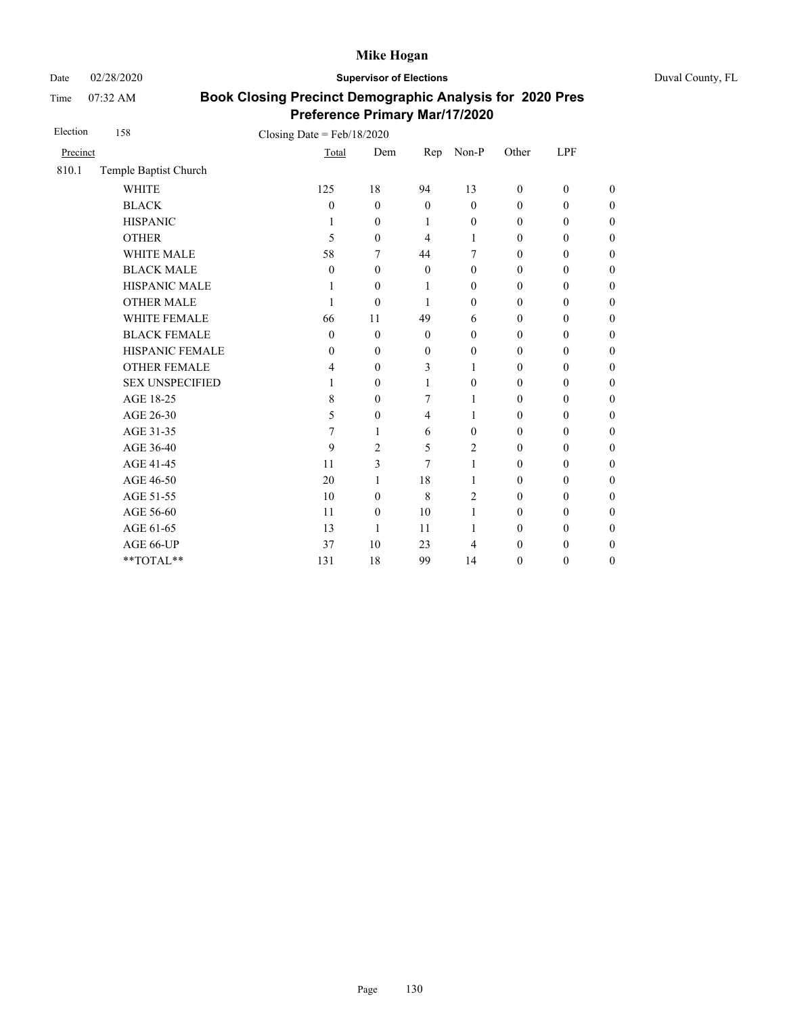Date 02/28/2020 **Supervisor of Elections** Duval County, FL

Time 07:32 AM

| Election | 158                    | Closing Date = $Feb/18/2020$ |                  |                  |                  |                  |                  |                  |
|----------|------------------------|------------------------------|------------------|------------------|------------------|------------------|------------------|------------------|
| Precinct |                        | Total                        | Dem              | Rep              | Non-P            | Other            | LPF              |                  |
| 810.1    | Temple Baptist Church  |                              |                  |                  |                  |                  |                  |                  |
|          | <b>WHITE</b>           | 125                          | 18               | 94               | 13               | $\boldsymbol{0}$ | $\boldsymbol{0}$ | $\boldsymbol{0}$ |
|          | <b>BLACK</b>           | $\mathbf{0}$                 | $\mathbf{0}$     | $\theta$         | $\mathbf{0}$     | $\mathbf{0}$     | $\mathbf{0}$     | $\boldsymbol{0}$ |
|          | <b>HISPANIC</b>        | 1                            | $\theta$         | 1                | $\boldsymbol{0}$ | $\boldsymbol{0}$ | $\boldsymbol{0}$ | $\boldsymbol{0}$ |
|          | <b>OTHER</b>           | 5                            | $\theta$         | $\overline{4}$   | 1                | $\boldsymbol{0}$ | $\boldsymbol{0}$ | $\overline{0}$   |
|          | WHITE MALE             | 58                           | 7                | 44               | 7                | $\boldsymbol{0}$ | $\boldsymbol{0}$ | $\boldsymbol{0}$ |
|          | <b>BLACK MALE</b>      | $\mathbf{0}$                 | $\mathbf{0}$     | $\theta$         | $\mathbf{0}$     | $\mathbf{0}$     | $\boldsymbol{0}$ | $\boldsymbol{0}$ |
|          | HISPANIC MALE          | 1                            | $\theta$         | 1                | $\boldsymbol{0}$ | $\boldsymbol{0}$ | $\boldsymbol{0}$ | $\overline{0}$   |
|          | <b>OTHER MALE</b>      | 1                            | $\theta$         | 1                | $\boldsymbol{0}$ | $\boldsymbol{0}$ | $\boldsymbol{0}$ | $\boldsymbol{0}$ |
|          | <b>WHITE FEMALE</b>    | 66                           | 11               | 49               | 6                | $\boldsymbol{0}$ | $\boldsymbol{0}$ | $\boldsymbol{0}$ |
|          | <b>BLACK FEMALE</b>    | $\mathbf{0}$                 | $\theta$         | $\theta$         | $\mathbf{0}$     | $\mathbf{0}$     | $\mathbf{0}$     | $\overline{0}$   |
|          | HISPANIC FEMALE        | 0                            | $\boldsymbol{0}$ | $\boldsymbol{0}$ | $\boldsymbol{0}$ | $\boldsymbol{0}$ | $\boldsymbol{0}$ | $\boldsymbol{0}$ |
|          | <b>OTHER FEMALE</b>    | 4                            | $\mathbf{0}$     | 3                | 1                | $\mathbf{0}$     | $\mathbf{0}$     | $\boldsymbol{0}$ |
|          | <b>SEX UNSPECIFIED</b> | 1                            | $\theta$         | 1                | $\mathbf{0}$     | $\mathbf{0}$     | $\boldsymbol{0}$ | $\boldsymbol{0}$ |
|          | AGE 18-25              | 8                            | $\theta$         | 7                | 1                | $\mathbf{0}$     | $\mathbf{0}$     | $\overline{0}$   |
|          | AGE 26-30              | 5                            | $\theta$         | $\overline{4}$   | 1                | $\mathbf{0}$     | $\mathbf{0}$     | $\overline{0}$   |
|          | AGE 31-35              | 7                            | 1                | 6                | $\mathbf{0}$     | $\mathbf{0}$     | $\mathbf{0}$     | $\boldsymbol{0}$ |
|          | AGE 36-40              | 9                            | $\overline{c}$   | 5                | $\overline{c}$   | $\mathbf{0}$     | $\theta$         | $\boldsymbol{0}$ |
|          | AGE 41-45              | 11                           | 3                | 7                | 1                | $\mathbf{0}$     | $\mathbf{0}$     | $\overline{0}$   |
|          | AGE 46-50              | 20                           | 1                | 18               | 1                | $\mathbf{0}$     | $\mathbf{0}$     | $\boldsymbol{0}$ |
|          | AGE 51-55              | 10                           | $\theta$         | 8                | $\overline{c}$   | $\mathbf{0}$     | $\theta$         | $\boldsymbol{0}$ |
|          | AGE 56-60              | 11                           | $\theta$         | 10               | 1                | $\mathbf{0}$     | $\mathbf{0}$     | $\overline{0}$   |
|          | AGE 61-65              | 13                           | 1                | 11               | 1                | $\boldsymbol{0}$ | $\boldsymbol{0}$ | $\boldsymbol{0}$ |
|          | AGE 66-UP              | 37                           | 10               | 23               | $\overline{4}$   | $\boldsymbol{0}$ | $\boldsymbol{0}$ | $\overline{0}$   |
|          | **TOTAL**              | 131                          | 18               | 99               | 14               | $\boldsymbol{0}$ | $\boldsymbol{0}$ | $\boldsymbol{0}$ |
|          |                        |                              |                  |                  |                  |                  |                  |                  |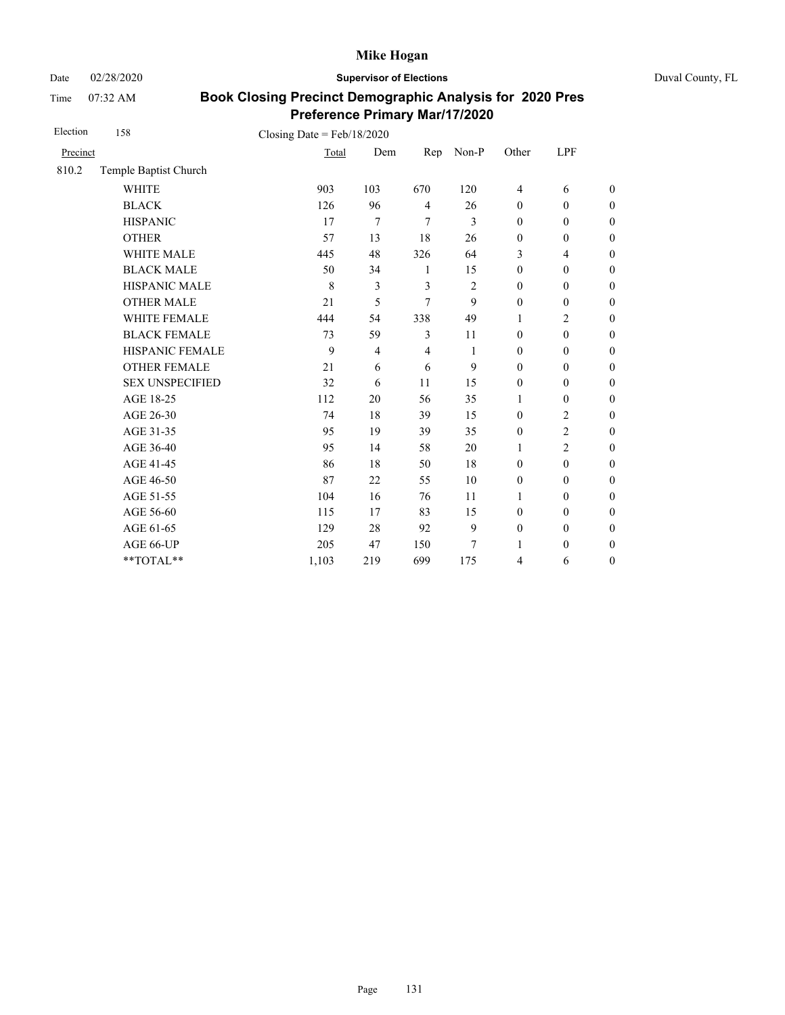Date 02/28/2020 **Supervisor of Elections** Duval County, FL

Time 07:32 AM

| Election | 158                    | Closing Date = $Feb/18/2020$ |                |                |       |                  |                  |                  |
|----------|------------------------|------------------------------|----------------|----------------|-------|------------------|------------------|------------------|
| Precinct |                        | Total                        | Dem            | Rep            | Non-P | Other            | LPF              |                  |
| 810.2    | Temple Baptist Church  |                              |                |                |       |                  |                  |                  |
|          | <b>WHITE</b>           | 903                          | 103            | 670            | 120   | 4                | 6                | $\boldsymbol{0}$ |
|          | <b>BLACK</b>           | 126                          | 96             | $\overline{4}$ | 26    | $\boldsymbol{0}$ | $\boldsymbol{0}$ | $\boldsymbol{0}$ |
|          | <b>HISPANIC</b>        | 17                           | 7              | 7              | 3     | $\boldsymbol{0}$ | $\boldsymbol{0}$ | $\boldsymbol{0}$ |
|          | <b>OTHER</b>           | 57                           | 13             | 18             | 26    | $\mathbf{0}$     | $\mathbf{0}$     | $\overline{0}$   |
|          | <b>WHITE MALE</b>      | 445                          | 48             | 326            | 64    | 3                | 4                | $\boldsymbol{0}$ |
|          | <b>BLACK MALE</b>      | 50                           | 34             | 1              | 15    | $\mathbf{0}$     | $\mathbf{0}$     | $\boldsymbol{0}$ |
|          | HISPANIC MALE          | 8                            | 3              | 3              | 2     | $\mathbf{0}$     | $\boldsymbol{0}$ | $\overline{0}$   |
|          | <b>OTHER MALE</b>      | 21                           | 5              | 7              | 9     | $\mathbf{0}$     | $\mathbf{0}$     | $\boldsymbol{0}$ |
|          | WHITE FEMALE           | 444                          | 54             | 338            | 49    | 1                | $\overline{2}$   | $\boldsymbol{0}$ |
|          | <b>BLACK FEMALE</b>    | 73                           | 59             | 3              | 11    | $\mathbf{0}$     | $\boldsymbol{0}$ | $\boldsymbol{0}$ |
|          | HISPANIC FEMALE        | 9                            | $\overline{4}$ | $\overline{4}$ | 1     | $\boldsymbol{0}$ | $\boldsymbol{0}$ | $\boldsymbol{0}$ |
|          | <b>OTHER FEMALE</b>    | 21                           | 6              | 6              | 9     | $\mathbf{0}$     | $\mathbf{0}$     | $\boldsymbol{0}$ |
|          | <b>SEX UNSPECIFIED</b> | 32                           | 6              | 11             | 15    | $\boldsymbol{0}$ | $\boldsymbol{0}$ | $\boldsymbol{0}$ |
|          | AGE 18-25              | 112                          | 20             | 56             | 35    | 1                | $\boldsymbol{0}$ | $\boldsymbol{0}$ |
|          | AGE 26-30              | 74                           | 18             | 39             | 15    | $\mathbf{0}$     | $\overline{2}$   | $\overline{0}$   |
|          | AGE 31-35              | 95                           | 19             | 39             | 35    | $\boldsymbol{0}$ | $\overline{2}$   | $\boldsymbol{0}$ |
|          | AGE 36-40              | 95                           | 14             | 58             | 20    | $\mathbf{1}$     | $\overline{2}$   | $\overline{0}$   |
|          | AGE 41-45              | 86                           | 18             | 50             | 18    | $\mathbf{0}$     | $\mathbf{0}$     | $\overline{0}$   |
|          | AGE 46-50              | 87                           | 22             | 55             | 10    | $\boldsymbol{0}$ | $\mathbf{0}$     | $\boldsymbol{0}$ |
|          | AGE 51-55              | 104                          | 16             | 76             | 11    | 1                | $\boldsymbol{0}$ | $\boldsymbol{0}$ |
|          | AGE 56-60              | 115                          | 17             | 83             | 15    | $\mathbf{0}$     | $\mathbf{0}$     | $\boldsymbol{0}$ |
|          | AGE 61-65              | 129                          | 28             | 92             | 9     | $\boldsymbol{0}$ | $\boldsymbol{0}$ | $\boldsymbol{0}$ |
|          | AGE 66-UP              | 205                          | 47             | 150            | 7     | 1                | $\boldsymbol{0}$ | $\overline{0}$   |
|          | **TOTAL**              | 1,103                        | 219            | 699            | 175   | 4                | 6                | $\boldsymbol{0}$ |
|          |                        |                              |                |                |       |                  |                  |                  |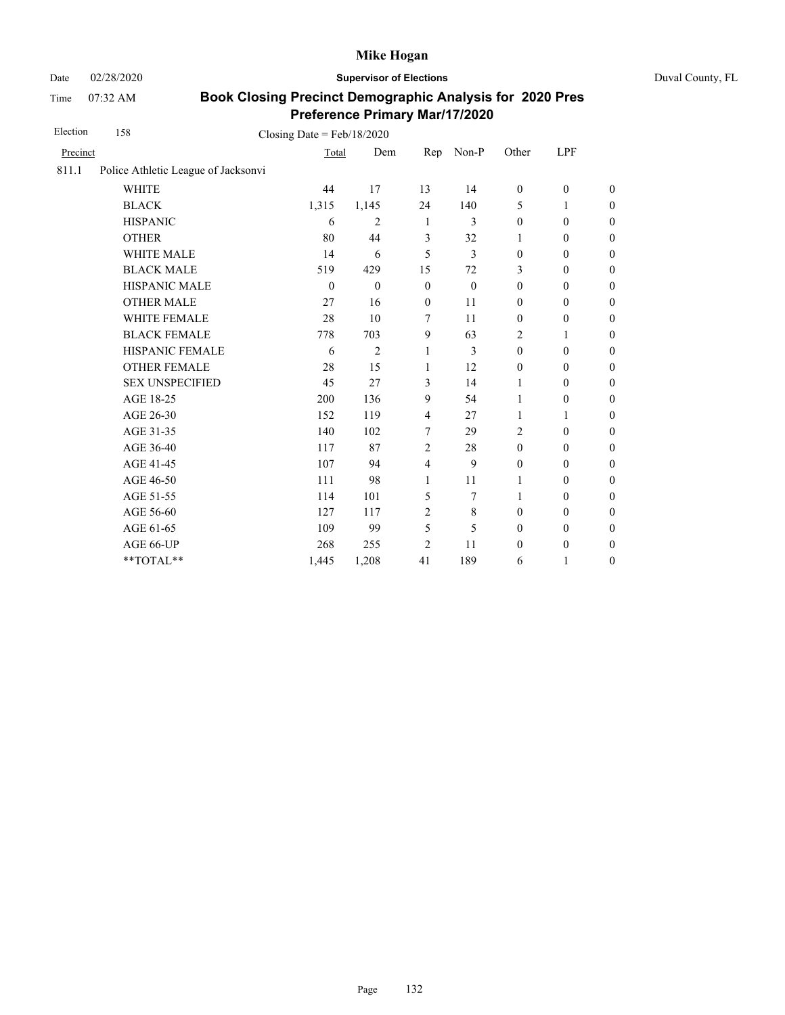Date 02/28/2020 **Supervisor of Elections** Duval County, FL

Time 07:32 AM

| Election | 158                                 | Closing Date = $Feb/18/2020$ |                |                         |                |                  |                  |                  |
|----------|-------------------------------------|------------------------------|----------------|-------------------------|----------------|------------------|------------------|------------------|
| Precinct |                                     | Total                        | Dem            | Rep                     | Non-P          | Other            | LPF              |                  |
| 811.1    | Police Athletic League of Jacksonvi |                              |                |                         |                |                  |                  |                  |
|          | <b>WHITE</b>                        | 44                           | 17             | 13                      | 14             | $\boldsymbol{0}$ | $\mathbf{0}$     | $\overline{0}$   |
|          | <b>BLACK</b>                        | 1,315                        | 1,145          | 24                      | 140            | 5                | 1                | $\boldsymbol{0}$ |
|          | <b>HISPANIC</b>                     | 6                            | $\overline{2}$ | -1                      | 3              | $\mathbf{0}$     | $\mathbf{0}$     | $\boldsymbol{0}$ |
|          | <b>OTHER</b>                        | 80                           | 44             | $\overline{3}$          | 32             | 1                | $\mathbf{0}$     | $\overline{0}$   |
|          | <b>WHITE MALE</b>                   | 14                           | 6              | 5                       | 3              | $\mathbf{0}$     | $\boldsymbol{0}$ | $\boldsymbol{0}$ |
|          | <b>BLACK MALE</b>                   | 519                          | 429            | 15                      | 72             | 3                | $\mathbf{0}$     | $\overline{0}$   |
|          | HISPANIC MALE                       | $\theta$                     | $\theta$       | $\mathbf{0}$            | $\theta$       | $\mathbf{0}$     | $\boldsymbol{0}$ | $\boldsymbol{0}$ |
|          | <b>OTHER MALE</b>                   | 27                           | 16             | $\mathbf{0}$            | 11             | $\boldsymbol{0}$ | $\boldsymbol{0}$ | $\boldsymbol{0}$ |
|          | WHITE FEMALE                        | 28                           | 10             | 7                       | 11             | $\mathbf{0}$     | $\mathbf{0}$     | $\overline{0}$   |
|          | <b>BLACK FEMALE</b>                 | 778                          | 703            | 9                       | 63             | $\overline{2}$   | 1                | $\boldsymbol{0}$ |
|          | HISPANIC FEMALE                     | 6                            | $\overline{2}$ | 1                       | $\overline{3}$ | $\mathbf{0}$     | $\mathbf{0}$     | $\overline{0}$   |
|          | <b>OTHER FEMALE</b>                 | 28                           | 15             | 1                       | 12             | $\boldsymbol{0}$ | $\boldsymbol{0}$ | $\boldsymbol{0}$ |
|          | <b>SEX UNSPECIFIED</b>              | 45                           | 27             | 3                       | 14             | 1                | $\mathbf{0}$     | $\boldsymbol{0}$ |
|          | AGE 18-25                           | 200                          | 136            | 9                       | 54             | 1                | $\mathbf{0}$     | $\boldsymbol{0}$ |
|          | AGE 26-30                           | 152                          | 119            | $\overline{4}$          | 27             | 1                | $\mathbf{1}$     | $\overline{0}$   |
|          | AGE 31-35                           | 140                          | 102            | 7                       | 29             | 2                | $\mathbf{0}$     | $\overline{0}$   |
|          | AGE 36-40                           | 117                          | 87             | $\overline{2}$          | 28             | $\boldsymbol{0}$ | $\boldsymbol{0}$ | $\boldsymbol{0}$ |
|          | AGE 41-45                           | 107                          | 94             | $\overline{\mathbf{4}}$ | 9              | $\boldsymbol{0}$ | $\boldsymbol{0}$ | $\overline{0}$   |
|          | AGE 46-50                           | 111                          | 98             | 1                       | 11             | 1                | $\boldsymbol{0}$ | $\boldsymbol{0}$ |
|          | AGE 51-55                           | 114                          | 101            | 5                       | 7              | 1                | $\mathbf{0}$     | $\boldsymbol{0}$ |
|          | AGE 56-60                           | 127                          | 117            | $\overline{2}$          | 8              | $\mathbf{0}$     | $\mathbf{0}$     | $\overline{0}$   |
|          | AGE 61-65                           | 109                          | 99             | 5                       | 5              | $\boldsymbol{0}$ | $\boldsymbol{0}$ | $\boldsymbol{0}$ |
|          | AGE 66-UP                           | 268                          | 255            | $\overline{2}$          | 11             | $\boldsymbol{0}$ | $\boldsymbol{0}$ | $\boldsymbol{0}$ |
|          | **TOTAL**                           | 1,445                        | 1,208          | 41                      | 189            | 6                | 1                | $\boldsymbol{0}$ |
|          |                                     |                              |                |                         |                |                  |                  |                  |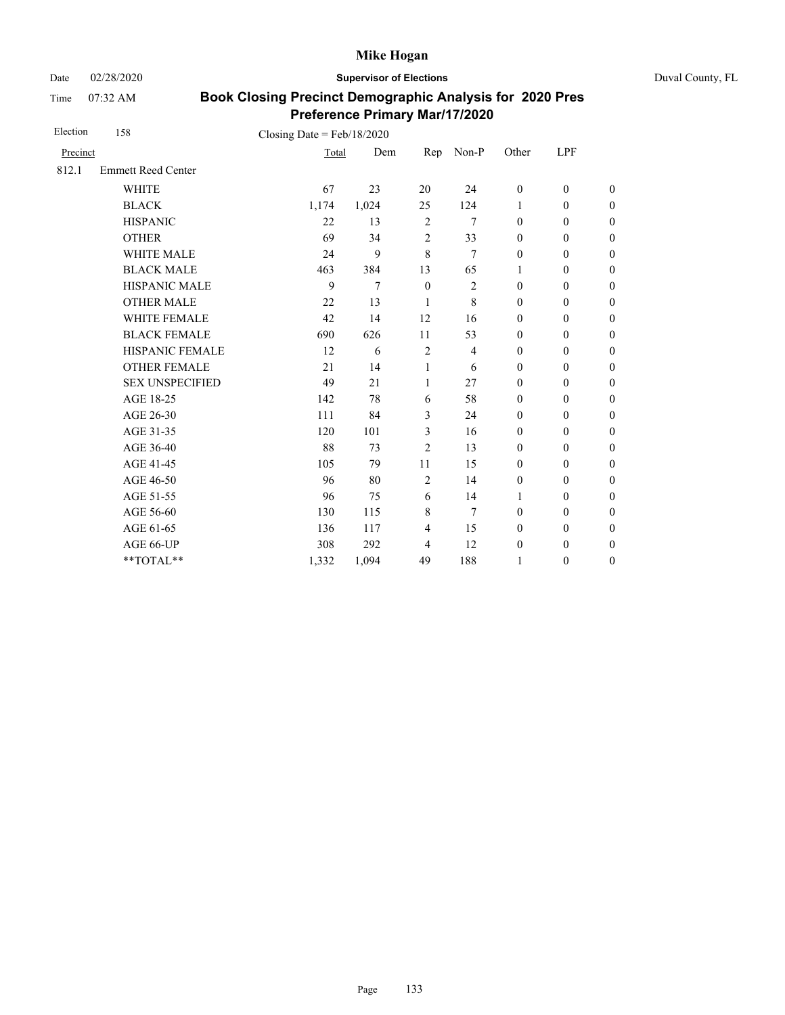Date 02/28/2020 **Supervisor of Elections** Duval County, FL

Time 07:32 AM

| Election | 158                       | Closing Date = $Feb/18/2020$ |       |                |                |                  |                  |                  |
|----------|---------------------------|------------------------------|-------|----------------|----------------|------------------|------------------|------------------|
| Precinct |                           | Total                        | Dem   | Rep            | Non-P          | Other            | LPF              |                  |
| 812.1    | <b>Emmett Reed Center</b> |                              |       |                |                |                  |                  |                  |
|          | <b>WHITE</b>              | 67                           | 23    | 20             | 24             | $\boldsymbol{0}$ | $\mathbf{0}$     | $\theta$         |
|          | <b>BLACK</b>              | 1,174                        | 1,024 | 25             | 124            | $\mathbf{1}$     | $\mathbf{0}$     | $\overline{0}$   |
|          | <b>HISPANIC</b>           | 22                           | 13    | $\overline{2}$ | 7              | $\mathbf{0}$     | $\mathbf{0}$     | $\overline{0}$   |
|          | <b>OTHER</b>              | 69                           | 34    | $\overline{c}$ | 33             | $\mathbf{0}$     | $\mathbf{0}$     | $\overline{0}$   |
|          | <b>WHITE MALE</b>         | 24                           | 9     | 8              | 7              | $\mathbf{0}$     | $\mathbf{0}$     | $\boldsymbol{0}$ |
|          | <b>BLACK MALE</b>         | 463                          | 384   | 13             | 65             | $\mathbf{1}$     | $\mathbf{0}$     | $\boldsymbol{0}$ |
|          | HISPANIC MALE             | 9                            | 7     | $\mathbf{0}$   | $\mathfrak{2}$ | $\mathbf{0}$     | $\mathbf{0}$     | $\overline{0}$   |
|          | <b>OTHER MALE</b>         | 22                           | 13    | 1              | 8              | $\boldsymbol{0}$ | $\boldsymbol{0}$ | $\boldsymbol{0}$ |
|          | WHITE FEMALE              | 42                           | 14    | 12             | 16             | $\mathbf{0}$     | $\mathbf{0}$     | $\boldsymbol{0}$ |
|          | <b>BLACK FEMALE</b>       | 690                          | 626   | 11             | 53             | $\mathbf{0}$     | $\mathbf{0}$     | $\overline{0}$   |
|          | HISPANIC FEMALE           | 12                           | 6     | $\overline{2}$ | 4              | $\boldsymbol{0}$ | $\boldsymbol{0}$ | $\boldsymbol{0}$ |
|          | <b>OTHER FEMALE</b>       | 21                           | 14    | 1              | 6              | $\boldsymbol{0}$ | $\boldsymbol{0}$ | $\boldsymbol{0}$ |
|          | <b>SEX UNSPECIFIED</b>    | 49                           | 21    | 1              | 27             | $\mathbf{0}$     | $\boldsymbol{0}$ | $\boldsymbol{0}$ |
|          | AGE 18-25                 | 142                          | 78    | 6              | 58             | $\boldsymbol{0}$ | $\boldsymbol{0}$ | $\boldsymbol{0}$ |
|          | AGE 26-30                 | 111                          | 84    | 3              | 24             | $\mathbf{0}$     | $\mathbf{0}$     | $\boldsymbol{0}$ |
|          | AGE 31-35                 | 120                          | 101   | 3              | 16             | $\mathbf{0}$     | $\mathbf{0}$     | $\boldsymbol{0}$ |
|          | AGE 36-40                 | 88                           | 73    | $\overline{c}$ | 13             | $\mathbf{0}$     | $\mathbf{0}$     | $\boldsymbol{0}$ |
|          | AGE 41-45                 | 105                          | 79    | 11             | 15             | $\mathbf{0}$     | $\mathbf{0}$     | $\overline{0}$   |
|          | AGE 46-50                 | 96                           | 80    | $\overline{2}$ | 14             | $\boldsymbol{0}$ | $\boldsymbol{0}$ | $\boldsymbol{0}$ |
|          | AGE 51-55                 | 96                           | 75    | 6              | 14             | $\mathbf{1}$     | $\mathbf{0}$     | $\boldsymbol{0}$ |
|          | AGE 56-60                 | 130                          | 115   | $\,8\,$        | 7              | $\mathbf{0}$     | $\mathbf{0}$     | $\overline{0}$   |
|          | AGE 61-65                 | 136                          | 117   | $\overline{4}$ | 15             | $\mathbf{0}$     | $\mathbf{0}$     | $\overline{0}$   |
|          | AGE 66-UP                 | 308                          | 292   | $\overline{4}$ | 12             | $\boldsymbol{0}$ | $\boldsymbol{0}$ | $\overline{0}$   |
|          | **TOTAL**                 | 1,332                        | 1,094 | 49             | 188            | 1                | $\mathbf{0}$     | $\overline{0}$   |
|          |                           |                              |       |                |                |                  |                  |                  |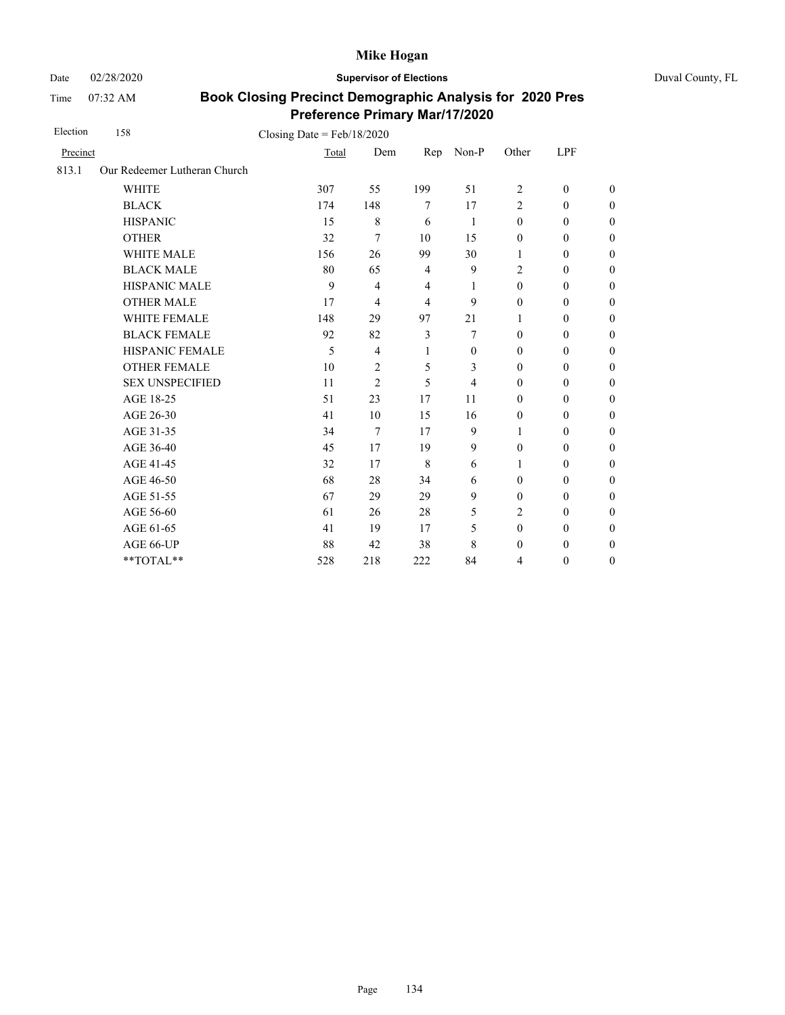Date 02/28/2020 **Supervisor of Elections** Duval County, FL

Time 07:32 AM

| Election | 158                          | Closing Date = $Feb/18/2020$ |                |                |          |                  |                  |                  |
|----------|------------------------------|------------------------------|----------------|----------------|----------|------------------|------------------|------------------|
| Precinct |                              | Total                        | Dem            | Rep            | $Non-P$  | Other            | LPF              |                  |
| 813.1    | Our Redeemer Lutheran Church |                              |                |                |          |                  |                  |                  |
|          | <b>WHITE</b>                 | 307                          | 55             | 199            | 51       | 2                | $\mathbf{0}$     | $\overline{0}$   |
|          | <b>BLACK</b>                 | 174                          | 148            | 7              | 17       | $\overline{2}$   | $\mathbf{0}$     | $\overline{0}$   |
|          | <b>HISPANIC</b>              | 15                           | $\,8\,$        | 6              | -1       | $\boldsymbol{0}$ | $\boldsymbol{0}$ | $\boldsymbol{0}$ |
|          | <b>OTHER</b>                 | 32                           | 7              | 10             | 15       | $\mathbf{0}$     | $\mathbf{0}$     | $\overline{0}$   |
|          | <b>WHITE MALE</b>            | 156                          | 26             | 99             | 30       | $\mathbf{1}$     | $\mathbf{0}$     | $\overline{0}$   |
|          | <b>BLACK MALE</b>            | 80                           | 65             | $\overline{4}$ | 9        | $\overline{c}$   | $\boldsymbol{0}$ | $\boldsymbol{0}$ |
|          | HISPANIC MALE                | 9                            | 4              | $\overline{4}$ | 1        | $\boldsymbol{0}$ | $\boldsymbol{0}$ | $\overline{0}$   |
|          | <b>OTHER MALE</b>            | 17                           | 4              | $\overline{4}$ | 9        | $\boldsymbol{0}$ | $\boldsymbol{0}$ | $\boldsymbol{0}$ |
|          | WHITE FEMALE                 | 148                          | 29             | 97             | 21       | 1                | $\mathbf{0}$     | $\boldsymbol{0}$ |
|          | <b>BLACK FEMALE</b>          | 92                           | 82             | $\mathfrak{Z}$ | 7        | $\mathbf{0}$     | $\boldsymbol{0}$ | $\overline{0}$   |
|          | HISPANIC FEMALE              | 5                            | $\overline{4}$ | 1              | $\theta$ | $\mathbf{0}$     | $\boldsymbol{0}$ | $\boldsymbol{0}$ |
|          | <b>OTHER FEMALE</b>          | 10                           | 2              | 5              | 3        | $\mathbf{0}$     | $\mathbf{0}$     | $\boldsymbol{0}$ |
|          | <b>SEX UNSPECIFIED</b>       | 11                           | $\overline{2}$ | 5              | 4        | $\mathbf{0}$     | $\mathbf{0}$     | $\overline{0}$   |
|          | AGE 18-25                    | 51                           | 23             | 17             | 11       | $\mathbf{0}$     | $\mathbf{0}$     | $\overline{0}$   |
|          | AGE 26-30                    | 41                           | 10             | 15             | 16       | $\mathbf{0}$     | $\mathbf{0}$     | $\overline{0}$   |
|          | AGE 31-35                    | 34                           | 7              | 17             | 9        | $\mathbf{1}$     | $\mathbf{0}$     | $\boldsymbol{0}$ |
|          | AGE 36-40                    | 45                           | 17             | 19             | 9        | $\mathbf{0}$     | $\mathbf{0}$     | $\overline{0}$   |
|          | AGE 41-45                    | 32                           | 17             | 8              | 6        | $\mathbf{1}$     | $\mathbf{0}$     | $\overline{0}$   |
|          | AGE 46-50                    | 68                           | 28             | 34             | 6        | $\mathbf{0}$     | $\mathbf{0}$     | $\boldsymbol{0}$ |
|          | AGE 51-55                    | 67                           | 29             | 29             | 9        | $\mathbf{0}$     | $\mathbf{0}$     | $\overline{0}$   |
|          | AGE 56-60                    | 61                           | 26             | 28             | 5        | $\overline{2}$   | $\boldsymbol{0}$ | $\overline{0}$   |
|          | AGE 61-65                    | 41                           | 19             | 17             | 5        | $\mathbf{0}$     | $\mathbf{0}$     | $\overline{0}$   |
|          | AGE 66-UP                    | 88                           | 42             | 38             | 8        | $\boldsymbol{0}$ | $\boldsymbol{0}$ | $\boldsymbol{0}$ |
|          | **TOTAL**                    | 528                          | 218            | 222            | 84       | $\overline{4}$   | $\boldsymbol{0}$ | $\overline{0}$   |
|          |                              |                              |                |                |          |                  |                  |                  |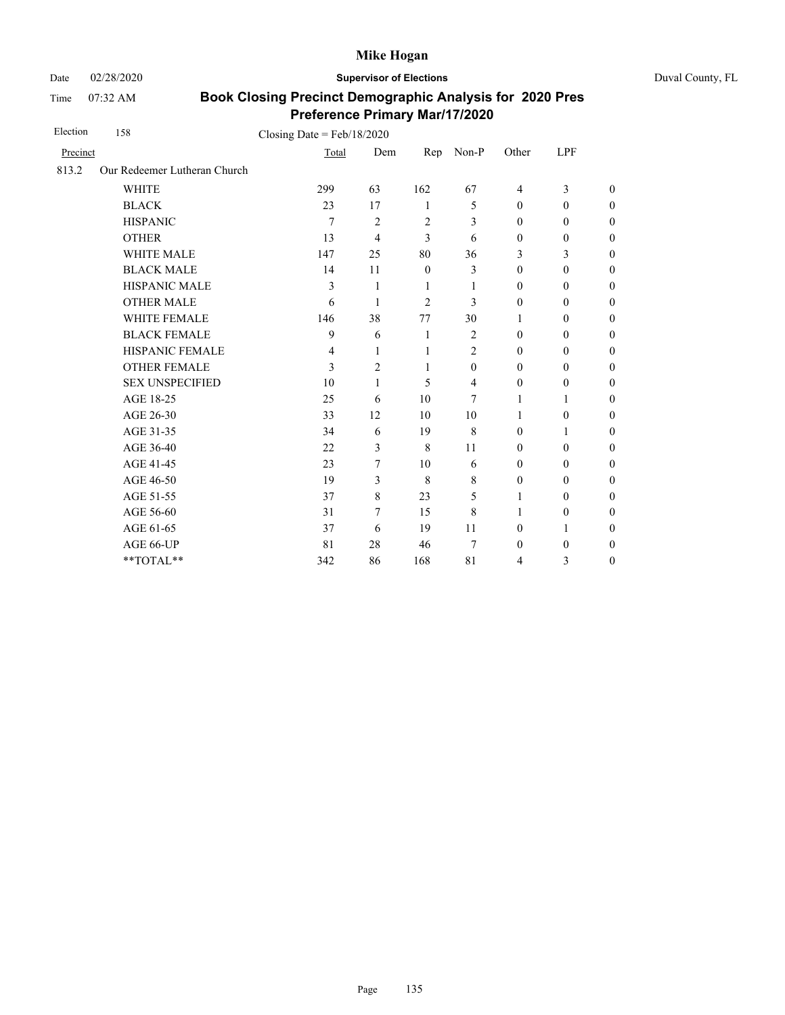Date 02/28/2020 **Supervisor of Elections** Duval County, FL

Time 07:32 AM

| Election | 158                          | Closing Date = $Feb/18/2020$ |                |                |                  |                  |                  |                  |
|----------|------------------------------|------------------------------|----------------|----------------|------------------|------------------|------------------|------------------|
| Precinct |                              | Total                        | Dem            | Rep            | Non-P            | Other            | LPF              |                  |
| 813.2    | Our Redeemer Lutheran Church |                              |                |                |                  |                  |                  |                  |
|          | <b>WHITE</b>                 | 299                          | 63             | 162            | 67               | $\overline{4}$   | 3                | $\theta$         |
|          | <b>BLACK</b>                 | 23                           | 17             | 1              | 5                | $\mathbf{0}$     | $\mathbf{0}$     | $\overline{0}$   |
|          | <b>HISPANIC</b>              | 7                            | $\overline{2}$ | $\overline{2}$ | 3                | $\mathbf{0}$     | $\boldsymbol{0}$ | $\boldsymbol{0}$ |
|          | <b>OTHER</b>                 | 13                           | 4              | 3              | 6                | $\boldsymbol{0}$ | $\boldsymbol{0}$ | $\overline{0}$   |
|          | WHITE MALE                   | 147                          | 25             | 80             | 36               | 3                | 3                | $\boldsymbol{0}$ |
|          | <b>BLACK MALE</b>            | 14                           | 11             | $\mathbf{0}$   | 3                | $\mathbf{0}$     | $\boldsymbol{0}$ | $\boldsymbol{0}$ |
|          | <b>HISPANIC MALE</b>         | 3                            | 1              | 1              | 1                | $\mathbf{0}$     | $\mathbf{0}$     | $\overline{0}$   |
|          | <b>OTHER MALE</b>            | 6                            | 1              | 2              | 3                | $\mathbf{0}$     | $\mathbf{0}$     | $\theta$         |
|          | <b>WHITE FEMALE</b>          | 146                          | 38             | 77             | 30               | 1                | $\mathbf{0}$     | $\boldsymbol{0}$ |
|          | <b>BLACK FEMALE</b>          | 9                            | 6              | 1              | $\overline{2}$   | $\mathbf{0}$     | $\mathbf{0}$     | $\overline{0}$   |
|          | HISPANIC FEMALE              | 4                            | 1              | 1              | $\overline{c}$   | $\boldsymbol{0}$ | $\boldsymbol{0}$ | $\boldsymbol{0}$ |
|          | <b>OTHER FEMALE</b>          | 3                            | 2              | $\mathbf{1}$   | $\boldsymbol{0}$ | $\mathbf{0}$     | $\boldsymbol{0}$ | $\boldsymbol{0}$ |
|          | <b>SEX UNSPECIFIED</b>       | 10                           | 1              | 5              | $\overline{4}$   | $\mathbf{0}$     | $\mathbf{0}$     | $\boldsymbol{0}$ |
|          | AGE 18-25                    | 25                           | 6              | 10             | 7                | 1                | $\mathbf{1}$     | $\overline{0}$   |
|          | AGE 26-30                    | 33                           | 12             | 10             | 10               | 1                | $\overline{0}$   | $\overline{0}$   |
|          | AGE 31-35                    | 34                           | 6              | 19             | 8                | $\mathbf{0}$     | 1                | $\overline{0}$   |
|          | AGE 36-40                    | 22                           | 3              | 8              | 11               | $\mathbf{0}$     | $\mathbf{0}$     | $\overline{0}$   |
|          | AGE 41-45                    | 23                           | 7              | 10             | 6                | $\mathbf{0}$     | $\mathbf{0}$     | $\overline{0}$   |
|          | AGE 46-50                    | 19                           | 3              | 8              | 8                | $\boldsymbol{0}$ | $\boldsymbol{0}$ | $\boldsymbol{0}$ |
|          | AGE 51-55                    | 37                           | $\,8\,$        | 23             | 5                | 1                | $\mathbf{0}$     | $\boldsymbol{0}$ |
|          | AGE 56-60                    | 31                           | 7              | 15             | 8                | 1                | $\boldsymbol{0}$ | $\overline{0}$   |
|          | AGE 61-65                    | 37                           | 6              | 19             | 11               | $\mathbf{0}$     | 1                | $\boldsymbol{0}$ |
|          | AGE 66-UP                    | 81                           | 28             | 46             | 7                | $\boldsymbol{0}$ | $\boldsymbol{0}$ | $\boldsymbol{0}$ |
|          | **TOTAL**                    | 342                          | 86             | 168            | 81               | $\overline{4}$   | 3                | $\overline{0}$   |
|          |                              |                              |                |                |                  |                  |                  |                  |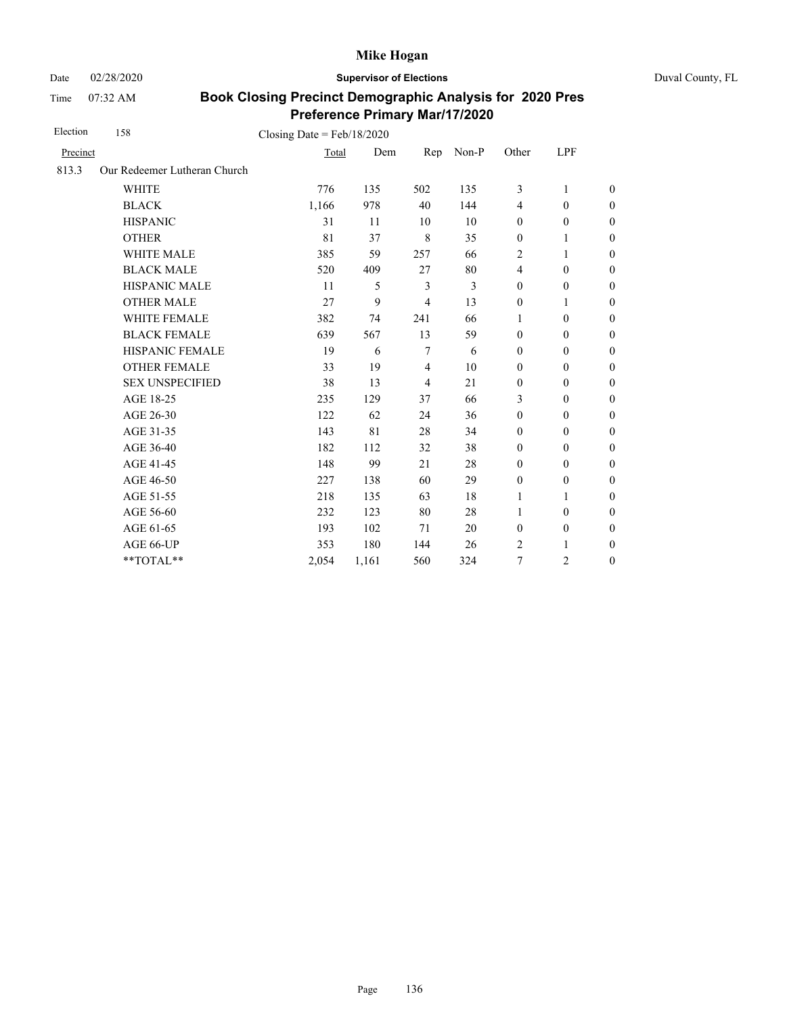Date 02/28/2020 **Supervisor of Elections** Duval County, FL

Time 07:32 AM

| Election | 158                          | Closing Date = $Feb/18/2020$ |       |                |       |                         |                  |                  |
|----------|------------------------------|------------------------------|-------|----------------|-------|-------------------------|------------------|------------------|
| Precinct |                              | Total                        | Dem   | Rep            | Non-P | Other                   | LPF              |                  |
| 813.3    | Our Redeemer Lutheran Church |                              |       |                |       |                         |                  |                  |
|          | <b>WHITE</b>                 | 776                          | 135   | 502            | 135   | 3                       | 1                | $\boldsymbol{0}$ |
|          | <b>BLACK</b>                 | 1,166                        | 978   | 40             | 144   | $\overline{4}$          | $\mathbf{0}$     | $\boldsymbol{0}$ |
|          | <b>HISPANIC</b>              | 31                           | 11    | 10             | 10    | $\boldsymbol{0}$        | $\boldsymbol{0}$ | $\overline{0}$   |
|          | <b>OTHER</b>                 | 81                           | 37    | 8              | 35    | $\boldsymbol{0}$        | 1                | $\boldsymbol{0}$ |
|          | WHITE MALE                   | 385                          | 59    | 257            | 66    | 2                       | 1                | $\boldsymbol{0}$ |
|          | <b>BLACK MALE</b>            | 520                          | 409   | 27             | 80    | $\overline{\mathbf{4}}$ | $\mathbf{0}$     | $\boldsymbol{0}$ |
|          | <b>HISPANIC MALE</b>         | 11                           | 5     | 3              | 3     | $\boldsymbol{0}$        | $\boldsymbol{0}$ | $\overline{0}$   |
|          | <b>OTHER MALE</b>            | 27                           | 9     | $\overline{4}$ | 13    | $\boldsymbol{0}$        | 1                | $\boldsymbol{0}$ |
|          | WHITE FEMALE                 | 382                          | 74    | 241            | 66    | 1                       | $\mathbf{0}$     | $\boldsymbol{0}$ |
|          | <b>BLACK FEMALE</b>          | 639                          | 567   | 13             | 59    | $\mathbf{0}$            | $\mathbf{0}$     | $\overline{0}$   |
|          | HISPANIC FEMALE              | 19                           | 6     | 7              | 6     | $\boldsymbol{0}$        | $\boldsymbol{0}$ | $\boldsymbol{0}$ |
|          | <b>OTHER FEMALE</b>          | 33                           | 19    | $\overline{4}$ | 10    | $\mathbf{0}$            | $\mathbf{0}$     | $\theta$         |
|          | <b>SEX UNSPECIFIED</b>       | 38                           | 13    | $\overline{4}$ | 21    | $\mathbf{0}$            | $\mathbf{0}$     | $\boldsymbol{0}$ |
|          | AGE 18-25                    | 235                          | 129   | 37             | 66    | 3                       | $\mathbf{0}$     | $\overline{0}$   |
|          | AGE 26-30                    | 122                          | 62    | 24             | 36    | $\mathbf{0}$            | $\mathbf{0}$     | $\theta$         |
|          | AGE 31-35                    | 143                          | 81    | 28             | 34    | $\mathbf{0}$            | $\mathbf{0}$     | $\boldsymbol{0}$ |
|          | AGE 36-40                    | 182                          | 112   | 32             | 38    | $\mathbf{0}$            | $\mathbf{0}$     | $\boldsymbol{0}$ |
|          | AGE 41-45                    | 148                          | 99    | 21             | 28    | $\mathbf{0}$            | $\mathbf{0}$     | $\theta$         |
|          | AGE 46-50                    | 227                          | 138   | 60             | 29    | $\boldsymbol{0}$        | $\mathbf{0}$     | $\boldsymbol{0}$ |
|          | AGE 51-55                    | 218                          | 135   | 63             | 18    | 1                       | 1                | $\boldsymbol{0}$ |
|          | AGE 56-60                    | 232                          | 123   | 80             | 28    | 1                       | $\mathbf{0}$     | $\theta$         |
|          | AGE 61-65                    | 193                          | 102   | 71             | 20    | $\boldsymbol{0}$        | $\boldsymbol{0}$ | $\mathbf{0}$     |
|          | AGE 66-UP                    | 353                          | 180   | 144            | 26    | 2                       | 1                | $\boldsymbol{0}$ |
|          | $**TOTAL**$                  | 2,054                        | 1,161 | 560            | 324   | 7                       | 2                | $\mathbf{0}$     |
|          |                              |                              |       |                |       |                         |                  |                  |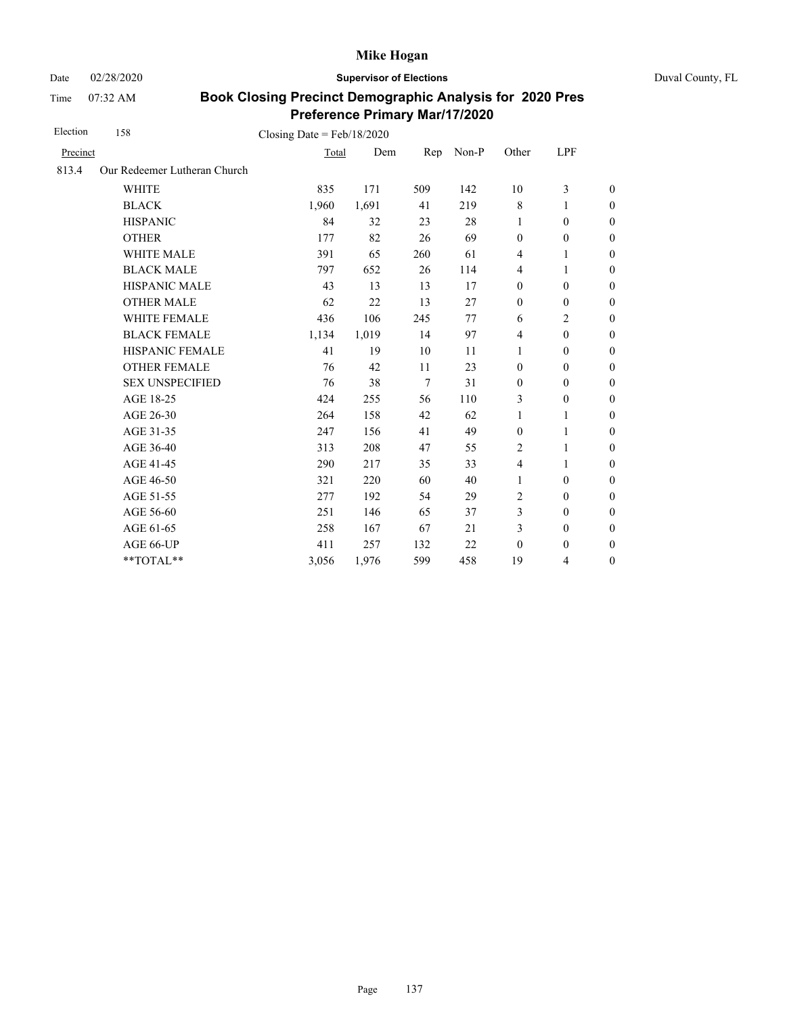Date 02/28/2020 **Supervisor of Elections** Duval County, FL

Time 07:32 AM

| Election | 158                          | Closing Date = $Feb/18/2020$ |       |        |         |                         |                  |                  |
|----------|------------------------------|------------------------------|-------|--------|---------|-------------------------|------------------|------------------|
| Precinct |                              | Total                        | Dem   | Rep    | $Non-P$ | Other                   | <b>LPF</b>       |                  |
| 813.4    | Our Redeemer Lutheran Church |                              |       |        |         |                         |                  |                  |
|          | <b>WHITE</b>                 | 835                          | 171   | 509    | 142     | 10                      | 3                | $\boldsymbol{0}$ |
|          | <b>BLACK</b>                 | 1,960                        | 1,691 | 41     | 219     | $\,8\,$                 | 1                | $\boldsymbol{0}$ |
|          | <b>HISPANIC</b>              | 84                           | 32    | 23     | 28      | 1                       | $\boldsymbol{0}$ | $\boldsymbol{0}$ |
|          | <b>OTHER</b>                 | 177                          | 82    | 26     | 69      | $\boldsymbol{0}$        | $\boldsymbol{0}$ | $\mathbf{0}$     |
|          | <b>WHITE MALE</b>            | 391                          | 65    | 260    | 61      | $\overline{4}$          | 1                | $\boldsymbol{0}$ |
|          | <b>BLACK MALE</b>            | 797                          | 652   | 26     | 114     | 4                       | 1                | $\boldsymbol{0}$ |
|          | HISPANIC MALE                | 43                           | 13    | 13     | 17      | $\boldsymbol{0}$        | $\boldsymbol{0}$ | $\boldsymbol{0}$ |
|          | <b>OTHER MALE</b>            | 62                           | 22    | 13     | 27      | $\boldsymbol{0}$        | $\boldsymbol{0}$ | $\boldsymbol{0}$ |
|          | WHITE FEMALE                 | 436                          | 106   | 245    | 77      | 6                       | 2                | $\boldsymbol{0}$ |
|          | <b>BLACK FEMALE</b>          | 1,134                        | 1,019 | 14     | 97      | $\overline{4}$          | $\boldsymbol{0}$ | $\boldsymbol{0}$ |
|          | HISPANIC FEMALE              | 41                           | 19    | 10     | 11      | 1                       | $\boldsymbol{0}$ | $\boldsymbol{0}$ |
|          | <b>OTHER FEMALE</b>          | 76                           | 42    | 11     | 23      | $\mathbf{0}$            | $\mathbf{0}$     | $\boldsymbol{0}$ |
|          | <b>SEX UNSPECIFIED</b>       | 76                           | 38    | $\tau$ | 31      | $\mathbf{0}$            | $\mathbf{0}$     | $\boldsymbol{0}$ |
|          | AGE 18-25                    | 424                          | 255   | 56     | 110     | 3                       | $\boldsymbol{0}$ | $\boldsymbol{0}$ |
|          | AGE 26-30                    | 264                          | 158   | 42     | 62      | $\mathbf{1}$            | 1                | $\boldsymbol{0}$ |
|          | AGE 31-35                    | 247                          | 156   | 41     | 49      | $\boldsymbol{0}$        | 1                | $\boldsymbol{0}$ |
|          | AGE 36-40                    | 313                          | 208   | 47     | 55      | 2                       | 1                | $\boldsymbol{0}$ |
|          | AGE 41-45                    | 290                          | 217   | 35     | 33      | $\overline{\mathbf{4}}$ | $\mathbf{1}$     | $\overline{0}$   |
|          | AGE 46-50                    | 321                          | 220   | 60     | 40      | 1                       | $\boldsymbol{0}$ | $\boldsymbol{0}$ |
|          | AGE 51-55                    | 277                          | 192   | 54     | 29      | 2                       | $\mathbf{0}$     | $\boldsymbol{0}$ |
|          | AGE 56-60                    | 251                          | 146   | 65     | 37      | 3                       | $\mathbf{0}$     | $\boldsymbol{0}$ |
|          | AGE 61-65                    | 258                          | 167   | 67     | 21      | 3                       | $\boldsymbol{0}$ | $\boldsymbol{0}$ |
|          | AGE 66-UP                    | 411                          | 257   | 132    | 22      | $\boldsymbol{0}$        | $\boldsymbol{0}$ | $\boldsymbol{0}$ |
|          | **TOTAL**                    | 3,056                        | 1,976 | 599    | 458     | 19                      | 4                | $\boldsymbol{0}$ |
|          |                              |                              |       |        |         |                         |                  |                  |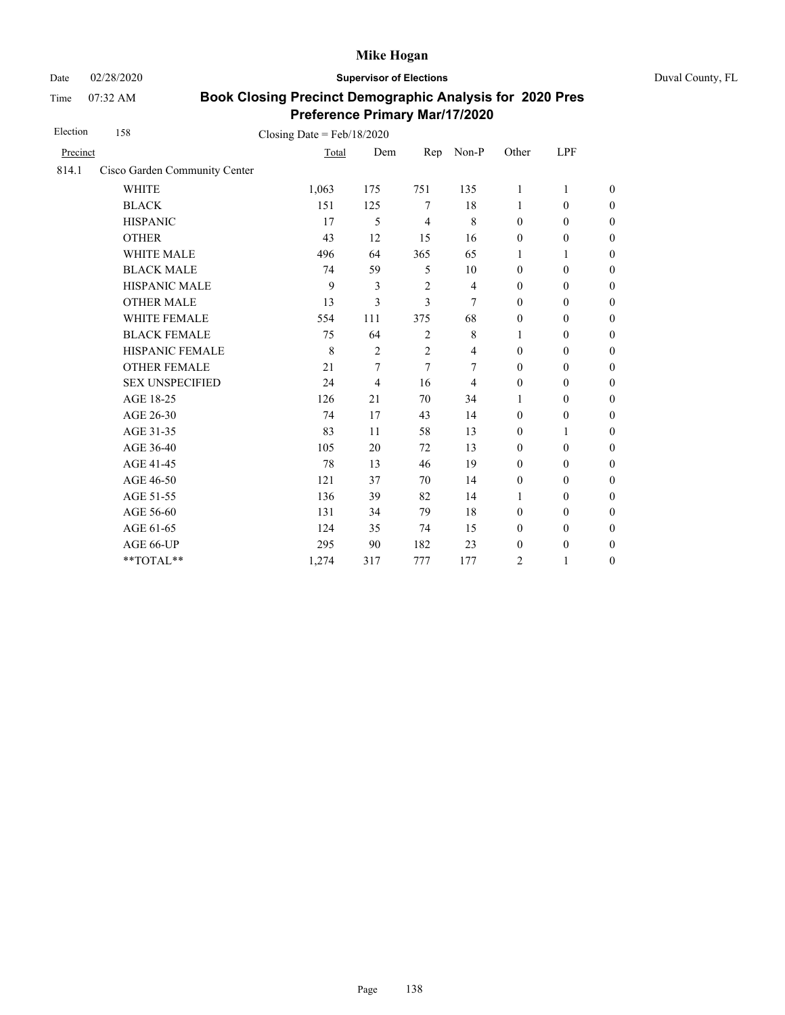Date 02/28/2020 **Supervisor of Elections** Duval County, FL

Time 07:32 AM

| Election | 158                           | Closing Date = $Feb/18/2020$ |                |                |                |                  |                  |                  |
|----------|-------------------------------|------------------------------|----------------|----------------|----------------|------------------|------------------|------------------|
| Precinct |                               | Total                        | Dem            | Rep            | Non-P          | Other            | LPF              |                  |
| 814.1    | Cisco Garden Community Center |                              |                |                |                |                  |                  |                  |
|          | <b>WHITE</b>                  | 1,063                        | 175            | 751            | 135            | $\mathbf{1}$     | 1                | $\theta$         |
|          | <b>BLACK</b>                  | 151                          | 125            | 7              | 18             | 1                | $\boldsymbol{0}$ | $\boldsymbol{0}$ |
|          | <b>HISPANIC</b>               | 17                           | 5              | $\overline{4}$ | 8              | $\mathbf{0}$     | $\mathbf{0}$     | $\boldsymbol{0}$ |
|          | <b>OTHER</b>                  | 43                           | 12             | 15             | 16             | $\boldsymbol{0}$ | $\boldsymbol{0}$ | $\overline{0}$   |
|          | WHITE MALE                    | 496                          | 64             | 365            | 65             | 1                | 1                | $\boldsymbol{0}$ |
|          | <b>BLACK MALE</b>             | 74                           | 59             | 5              | 10             | $\mathbf{0}$     | $\mathbf{0}$     | $\overline{0}$   |
|          | <b>HISPANIC MALE</b>          | 9                            | 3              | $\overline{2}$ | $\overline{4}$ | $\mathbf{0}$     | $\mathbf{0}$     | $\overline{0}$   |
|          | <b>OTHER MALE</b>             | 13                           | 3              | 3              | 7              | $\mathbf{0}$     | $\boldsymbol{0}$ | $\boldsymbol{0}$ |
|          | WHITE FEMALE                  | 554                          | 111            | 375            | 68             | $\boldsymbol{0}$ | $\boldsymbol{0}$ | $\boldsymbol{0}$ |
|          | <b>BLACK FEMALE</b>           | 75                           | 64             | $\overline{2}$ | $\,$ 8 $\,$    | 1                | $\boldsymbol{0}$ | $\boldsymbol{0}$ |
|          | HISPANIC FEMALE               | 8                            | $\overline{2}$ | $\overline{2}$ | 4              | $\boldsymbol{0}$ | $\boldsymbol{0}$ | $\boldsymbol{0}$ |
|          | <b>OTHER FEMALE</b>           | 21                           | $\tau$         | $\tau$         | 7              | $\mathbf{0}$     | $\mathbf{0}$     | $\boldsymbol{0}$ |
|          | <b>SEX UNSPECIFIED</b>        | 24                           | 4              | 16             | 4              | $\mathbf{0}$     | $\mathbf{0}$     | $\overline{0}$   |
|          | AGE 18-25                     | 126                          | 21             | 70             | 34             | 1                | $\boldsymbol{0}$ | $\boldsymbol{0}$ |
|          | AGE 26-30                     | 74                           | 17             | 43             | 14             | $\boldsymbol{0}$ | $\boldsymbol{0}$ | $\boldsymbol{0}$ |
|          | AGE 31-35                     | 83                           | 11             | 58             | 13             | $\boldsymbol{0}$ | 1                | $\boldsymbol{0}$ |
|          | AGE 36-40                     | 105                          | 20             | 72             | 13             | $\mathbf{0}$     | $\boldsymbol{0}$ | $\boldsymbol{0}$ |
|          | AGE 41-45                     | 78                           | 13             | 46             | 19             | $\mathbf{0}$     | $\mathbf{0}$     | $\overline{0}$   |
|          | AGE 46-50                     | 121                          | 37             | 70             | 14             | $\boldsymbol{0}$ | $\mathbf{0}$     | $\boldsymbol{0}$ |
|          | AGE 51-55                     | 136                          | 39             | 82             | 14             | $\mathbf{1}$     | $\mathbf{0}$     | $\overline{0}$   |
|          | AGE 56-60                     | 131                          | 34             | 79             | 18             | $\boldsymbol{0}$ | $\boldsymbol{0}$ | $\boldsymbol{0}$ |
|          | AGE 61-65                     | 124                          | 35             | 74             | 15             | $\boldsymbol{0}$ | $\boldsymbol{0}$ | $\boldsymbol{0}$ |
|          | AGE 66-UP                     | 295                          | 90             | 182            | 23             | $\boldsymbol{0}$ | $\boldsymbol{0}$ | $\boldsymbol{0}$ |
|          | **TOTAL**                     | 1,274                        | 317            | 777            | 177            | 2                | 1                | $\boldsymbol{0}$ |
|          |                               |                              |                |                |                |                  |                  |                  |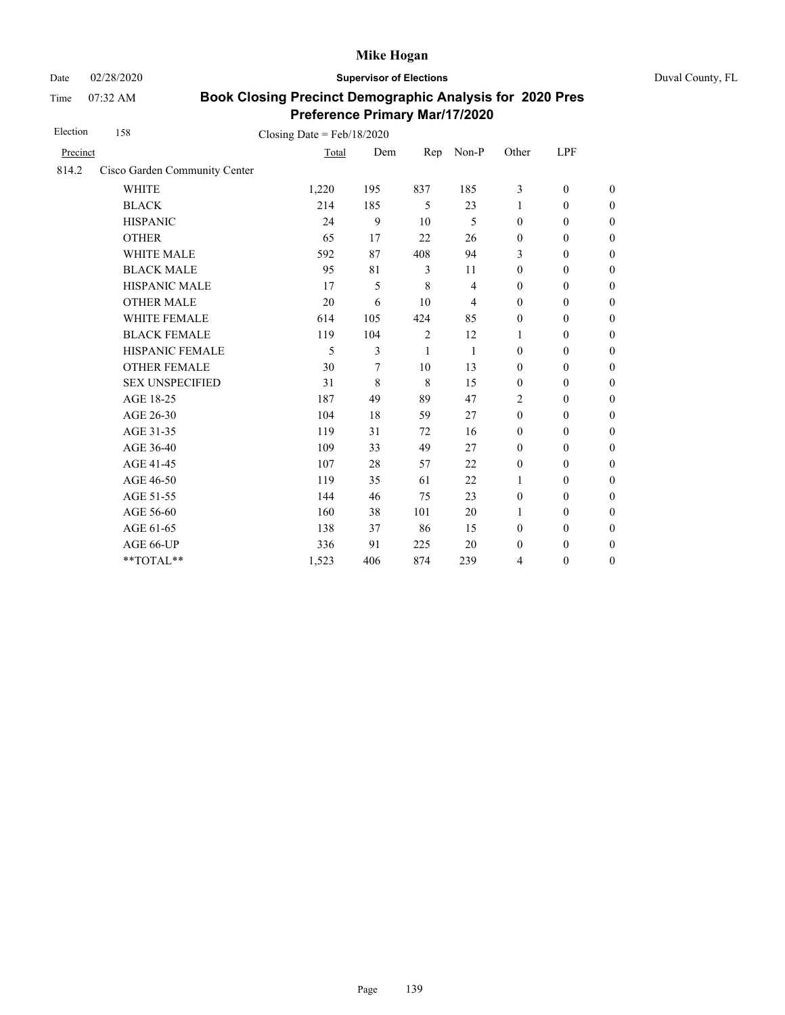Date 02/28/2020 **Supervisor of Elections** Duval County, FL

Time 07:32 AM

| Election | 158                           | Closing Date = $Feb/18/2020$ |     |                |              |                  |                  |                  |
|----------|-------------------------------|------------------------------|-----|----------------|--------------|------------------|------------------|------------------|
| Precinct |                               | Total                        | Dem | Rep            | Non-P        | Other            | LPF              |                  |
| 814.2    | Cisco Garden Community Center |                              |     |                |              |                  |                  |                  |
|          | <b>WHITE</b>                  | 1,220                        | 195 | 837            | 185          | 3                | $\mathbf{0}$     | $\overline{0}$   |
|          | <b>BLACK</b>                  | 214                          | 185 | 5              | 23           | 1                | $\mathbf{0}$     | $\boldsymbol{0}$ |
|          | <b>HISPANIC</b>               | 24                           | 9   | 10             | 5            | $\mathbf{0}$     | $\mathbf{0}$     | $\boldsymbol{0}$ |
|          | <b>OTHER</b>                  | 65                           | 17  | 22             | 26           | $\mathbf{0}$     | $\mathbf{0}$     | $\overline{0}$   |
|          | <b>WHITE MALE</b>             | 592                          | 87  | 408            | 94           | 3                | $\mathbf{0}$     | $\boldsymbol{0}$ |
|          | <b>BLACK MALE</b>             | 95                           | 81  | 3              | 11           | $\mathbf{0}$     | $\mathbf{0}$     | $\boldsymbol{0}$ |
|          | HISPANIC MALE                 | 17                           | 5   | 8              | 4            | $\mathbf{0}$     | $\mathbf{0}$     | $\overline{0}$   |
|          | <b>OTHER MALE</b>             | 20                           | 6   | 10             | 4            | $\boldsymbol{0}$ | $\boldsymbol{0}$ | $\boldsymbol{0}$ |
|          | <b>WHITE FEMALE</b>           | 614                          | 105 | 424            | 85           | $\mathbf{0}$     | $\mathbf{0}$     | $\boldsymbol{0}$ |
|          | <b>BLACK FEMALE</b>           | 119                          | 104 | $\overline{2}$ | 12           | $\mathbf{1}$     | $\mathbf{0}$     | $\overline{0}$   |
|          | HISPANIC FEMALE               | 5                            | 3   | 1              | $\mathbf{1}$ | $\boldsymbol{0}$ | $\boldsymbol{0}$ | $\boldsymbol{0}$ |
|          | <b>OTHER FEMALE</b>           | 30                           | 7   | 10             | 13           | $\boldsymbol{0}$ | $\boldsymbol{0}$ | $\boldsymbol{0}$ |
|          | <b>SEX UNSPECIFIED</b>        | 31                           | 8   | 8              | 15           | $\mathbf{0}$     | $\boldsymbol{0}$ | $\boldsymbol{0}$ |
|          | AGE 18-25                     | 187                          | 49  | 89             | 47           | $\overline{2}$   | $\boldsymbol{0}$ | $\boldsymbol{0}$ |
|          | AGE 26-30                     | 104                          | 18  | 59             | 27           | $\mathbf{0}$     | $\boldsymbol{0}$ | $\boldsymbol{0}$ |
|          | AGE 31-35                     | 119                          | 31  | 72             | 16           | $\boldsymbol{0}$ | $\boldsymbol{0}$ | $\boldsymbol{0}$ |
|          | AGE 36-40                     | 109                          | 33  | 49             | 27           | $\mathbf{0}$     | $\mathbf{0}$     | $\boldsymbol{0}$ |
|          | AGE 41-45                     | 107                          | 28  | 57             | 22           | $\boldsymbol{0}$ | $\mathbf{0}$     | $\overline{0}$   |
|          | AGE 46-50                     | 119                          | 35  | 61             | 22           | 1                | $\mathbf{0}$     | $\boldsymbol{0}$ |
|          | AGE 51-55                     | 144                          | 46  | 75             | 23           | $\mathbf{0}$     | $\mathbf{0}$     | $\boldsymbol{0}$ |
|          | AGE 56-60                     | 160                          | 38  | 101            | 20           | 1                | $\mathbf{0}$     | $\overline{0}$   |
|          | AGE 61-65                     | 138                          | 37  | 86             | 15           | $\mathbf{0}$     | $\mathbf{0}$     | $\boldsymbol{0}$ |
|          | AGE 66-UP                     | 336                          | 91  | 225            | 20           | $\mathbf{0}$     | $\boldsymbol{0}$ | $\overline{0}$   |
|          | **TOTAL**                     | 1,523                        | 406 | 874            | 239          | $\overline{4}$   | $\boldsymbol{0}$ | $\overline{0}$   |
|          |                               |                              |     |                |              |                  |                  |                  |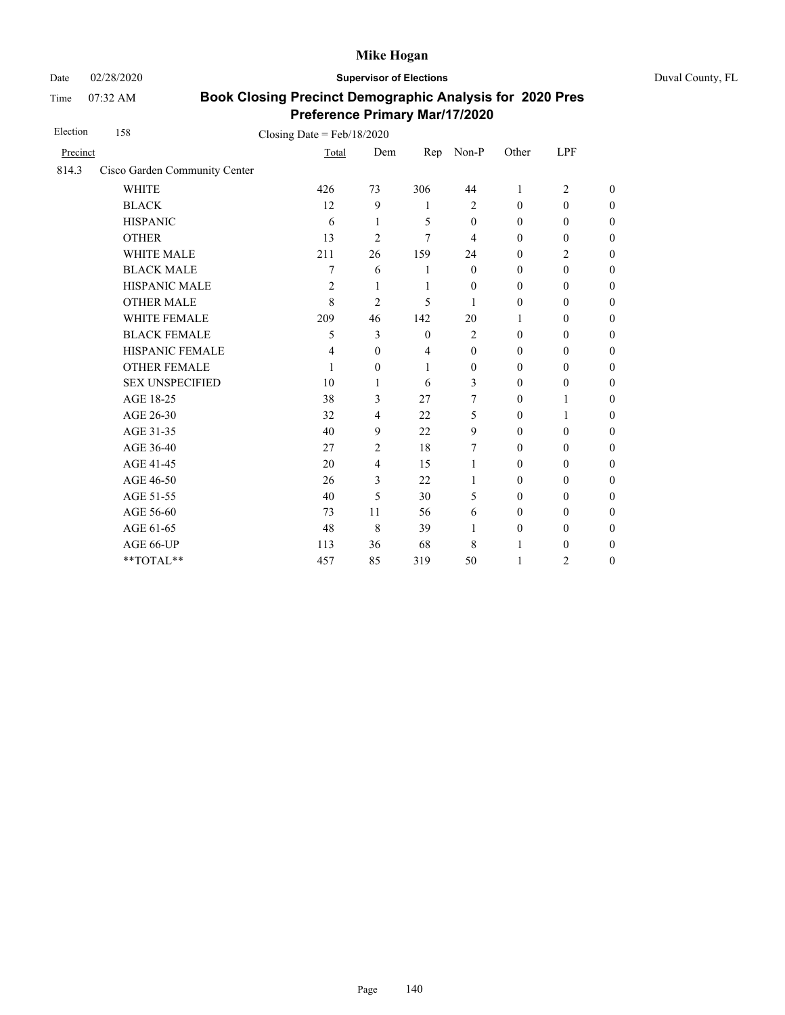Date 02/28/2020 **Supervisor of Elections** Duval County, FL

Time 07:32 AM

| Election | 158                           | Closing Date = $Feb/18/2020$ |                |                |                  |                  |                  |                  |
|----------|-------------------------------|------------------------------|----------------|----------------|------------------|------------------|------------------|------------------|
| Precinct |                               | Total                        | Dem            | Rep            | Non-P            | Other            | LPF              |                  |
| 814.3    | Cisco Garden Community Center |                              |                |                |                  |                  |                  |                  |
|          | <b>WHITE</b>                  | 426                          | 73             | 306            | 44               | 1                | $\overline{c}$   | $\theta$         |
|          | <b>BLACK</b>                  | 12                           | 9              | $\mathbf{1}$   | $\overline{2}$   | $\mathbf{0}$     | $\mathbf{0}$     | $\overline{0}$   |
|          | <b>HISPANIC</b>               | 6                            | 1              | 5              | $\boldsymbol{0}$ | $\boldsymbol{0}$ | $\boldsymbol{0}$ | $\boldsymbol{0}$ |
|          | <b>OTHER</b>                  | 13                           | $\overline{2}$ | 7              | 4                | $\mathbf{0}$     | $\boldsymbol{0}$ | $\overline{0}$   |
|          | WHITE MALE                    | 211                          | 26             | 159            | 24               | $\boldsymbol{0}$ | $\overline{c}$   | $\boldsymbol{0}$ |
|          | <b>BLACK MALE</b>             | 7                            | 6              | 1              | $\theta$         | $\mathbf{0}$     | $\boldsymbol{0}$ | $\boldsymbol{0}$ |
|          | <b>HISPANIC MALE</b>          | $\overline{c}$               | 1              | $\mathbf{1}$   | $\theta$         | $\mathbf{0}$     | $\boldsymbol{0}$ | $\overline{0}$   |
|          | <b>OTHER MALE</b>             | 8                            | 2              | 5              | 1                | $\mathbf{0}$     | $\mathbf{0}$     | $\overline{0}$   |
|          | <b>WHITE FEMALE</b>           | 209                          | 46             | 142            | 20               | 1                | $\mathbf{0}$     | $\boldsymbol{0}$ |
|          | <b>BLACK FEMALE</b>           | 5                            | 3              | $\mathbf{0}$   | $\overline{2}$   | $\mathbf{0}$     | $\mathbf{0}$     | $\overline{0}$   |
|          | HISPANIC FEMALE               | 4                            | $\mathbf{0}$   | $\overline{4}$ | $\boldsymbol{0}$ | $\boldsymbol{0}$ | $\boldsymbol{0}$ | $\boldsymbol{0}$ |
|          | <b>OTHER FEMALE</b>           | 1                            | $\theta$       | 1              | $\boldsymbol{0}$ | $\mathbf{0}$     | $\boldsymbol{0}$ | $\boldsymbol{0}$ |
|          | <b>SEX UNSPECIFIED</b>        | 10                           | 1              | 6              | 3                | $\mathbf{0}$     | $\mathbf{0}$     | $\boldsymbol{0}$ |
|          | AGE 18-25                     | 38                           | 3              | 27             | 7                | $\theta$         | $\mathbf{1}$     | $\overline{0}$   |
|          | AGE 26-30                     | 32                           | $\overline{4}$ | 22             | 5                | $\mathbf{0}$     | $\mathbf{1}$     | $\overline{0}$   |
|          | AGE 31-35                     | 40                           | 9              | 22             | 9                | $\mathbf{0}$     | $\mathbf{0}$     | $\overline{0}$   |
|          | AGE 36-40                     | 27                           | 2              | 18             | 7                | $\mathbf{0}$     | $\mathbf{0}$     | $\overline{0}$   |
|          | AGE 41-45                     | 20                           | $\overline{4}$ | 15             | 1                | $\mathbf{0}$     | $\boldsymbol{0}$ | $\overline{0}$   |
|          | AGE 46-50                     | 26                           | 3              | 22             | 1                | $\boldsymbol{0}$ | $\boldsymbol{0}$ | $\boldsymbol{0}$ |
|          | AGE 51-55                     | 40                           | 5              | 30             | 5                | $\mathbf{0}$     | $\mathbf{0}$     | $\boldsymbol{0}$ |
|          | AGE 56-60                     | 73                           | 11             | 56             | 6                | $\mathbf{0}$     | $\mathbf{0}$     | $\overline{0}$   |
|          | AGE 61-65                     | 48                           | 8              | 39             | 1                | $\mathbf{0}$     | $\mathbf{0}$     | $\boldsymbol{0}$ |
|          | AGE 66-UP                     | 113                          | 36             | 68             | 8                | 1                | $\boldsymbol{0}$ | $\boldsymbol{0}$ |
|          | **TOTAL**                     | 457                          | 85             | 319            | 50               | 1                | 2                | $\boldsymbol{0}$ |
|          |                               |                              |                |                |                  |                  |                  |                  |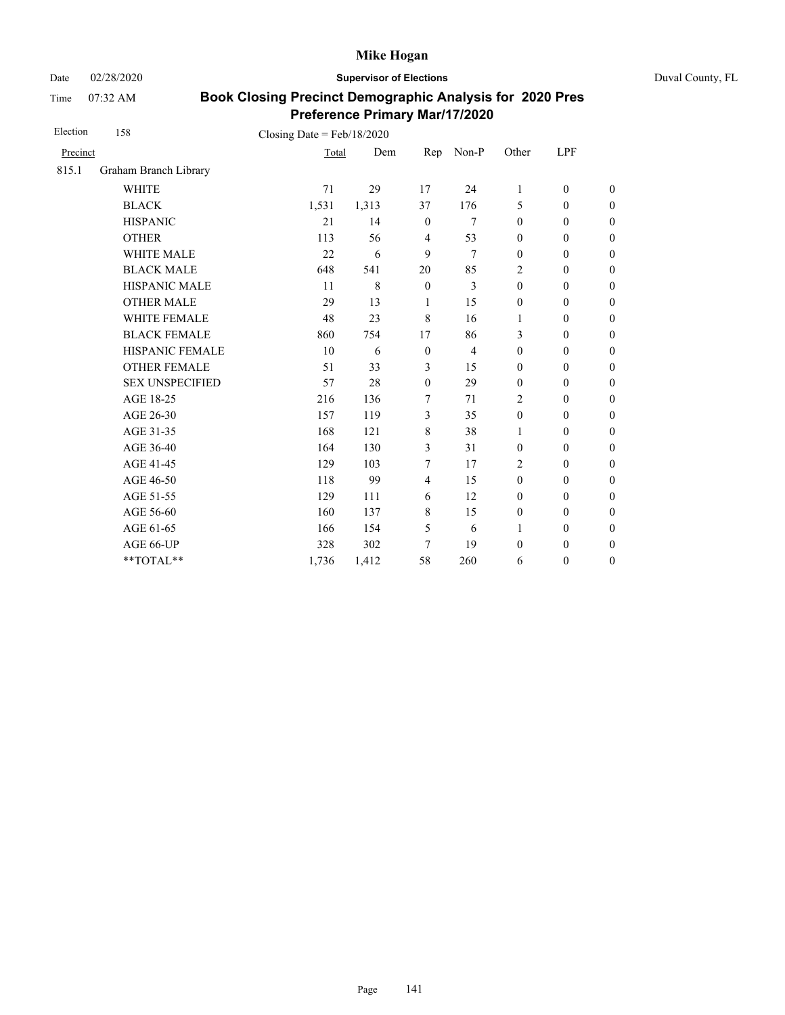Date 02/28/2020 **Supervisor of Elections** Duval County, FL

Time 07:32 AM

| Election | 158                    | Closing Date = $Feb/18/2020$ |       |                |                |                  |                  |                  |
|----------|------------------------|------------------------------|-------|----------------|----------------|------------------|------------------|------------------|
| Precinct |                        | Total                        | Dem   | Rep            | Non-P          | Other            | LPF              |                  |
| 815.1    | Graham Branch Library  |                              |       |                |                |                  |                  |                  |
|          | <b>WHITE</b>           | 71                           | 29    | 17             | 24             | $\mathbf{1}$     | $\mathbf{0}$     | $\boldsymbol{0}$ |
|          | <b>BLACK</b>           | 1,531                        | 1,313 | 37             | 176            | 5                | $\mathbf{0}$     | $\boldsymbol{0}$ |
|          | <b>HISPANIC</b>        | 21                           | 14    | $\mathbf{0}$   | 7              | $\boldsymbol{0}$ | $\mathbf{0}$     | $\boldsymbol{0}$ |
|          | <b>OTHER</b>           | 113                          | 56    | $\overline{4}$ | 53             | $\boldsymbol{0}$ | $\mathbf{0}$     | $\overline{0}$   |
|          | WHITE MALE             | 22                           | 6     | 9              | 7              | $\boldsymbol{0}$ | $\mathbf{0}$     | $\boldsymbol{0}$ |
|          | <b>BLACK MALE</b>      | 648                          | 541   | 20             | 85             | $\overline{c}$   | $\mathbf{0}$     | $\boldsymbol{0}$ |
|          | <b>HISPANIC MALE</b>   | 11                           | 8     | $\mathbf{0}$   | 3              | $\mathbf{0}$     | $\mathbf{0}$     | $\overline{0}$   |
|          | <b>OTHER MALE</b>      | 29                           | 13    | 1              | 15             | $\boldsymbol{0}$ | $\mathbf{0}$     | $\boldsymbol{0}$ |
|          | WHITE FEMALE           | 48                           | 23    | 8              | 16             | 1                | $\mathbf{0}$     | $\boldsymbol{0}$ |
|          | <b>BLACK FEMALE</b>    | 860                          | 754   | 17             | 86             | 3                | $\mathbf{0}$     | $\boldsymbol{0}$ |
|          | HISPANIC FEMALE        | 10                           | 6     | $\mathbf{0}$   | $\overline{4}$ | $\boldsymbol{0}$ | $\mathbf{0}$     | $\overline{0}$   |
|          | <b>OTHER FEMALE</b>    | 51                           | 33    | 3              | 15             | $\mathbf{0}$     | $\mathbf{0}$     | $\overline{0}$   |
|          | <b>SEX UNSPECIFIED</b> | 57                           | 28    | $\mathbf{0}$   | 29             | $\mathbf{0}$     | $\boldsymbol{0}$ | $\boldsymbol{0}$ |
|          | AGE 18-25              | 216                          | 136   | 7              | 71             | $\overline{2}$   | $\mathbf{0}$     | $\overline{0}$   |
|          | AGE 26-30              | 157                          | 119   | $\mathfrak{Z}$ | 35             | $\mathbf{0}$     | $\mathbf{0}$     | $\overline{0}$   |
|          | AGE 31-35              | 168                          | 121   | $\,8\,$        | 38             | 1                | $\boldsymbol{0}$ | $\boldsymbol{0}$ |
|          | AGE 36-40              | 164                          | 130   | 3              | 31             | $\boldsymbol{0}$ | $\boldsymbol{0}$ | $\boldsymbol{0}$ |
|          | AGE 41-45              | 129                          | 103   | 7              | 17             | $\overline{2}$   | $\boldsymbol{0}$ | $\overline{0}$   |
|          | AGE 46-50              | 118                          | 99    | $\overline{4}$ | 15             | $\boldsymbol{0}$ | $\boldsymbol{0}$ | $\boldsymbol{0}$ |
|          | AGE 51-55              | 129                          | 111   | 6              | 12             | $\boldsymbol{0}$ | $\boldsymbol{0}$ | $\boldsymbol{0}$ |
|          | AGE 56-60              | 160                          | 137   | $\,8\,$        | 15             | $\boldsymbol{0}$ | $\mathbf{0}$     | $\overline{0}$   |
|          | AGE 61-65              | 166                          | 154   | 5              | 6              | $\mathbf{1}$     | $\boldsymbol{0}$ | $\boldsymbol{0}$ |
|          | AGE 66-UP              | 328                          | 302   | 7              | 19             | $\boldsymbol{0}$ | $\boldsymbol{0}$ | $\boldsymbol{0}$ |
|          | **TOTAL**              | 1,736                        | 1,412 | 58             | 260            | 6                | $\boldsymbol{0}$ | $\boldsymbol{0}$ |
|          |                        |                              |       |                |                |                  |                  |                  |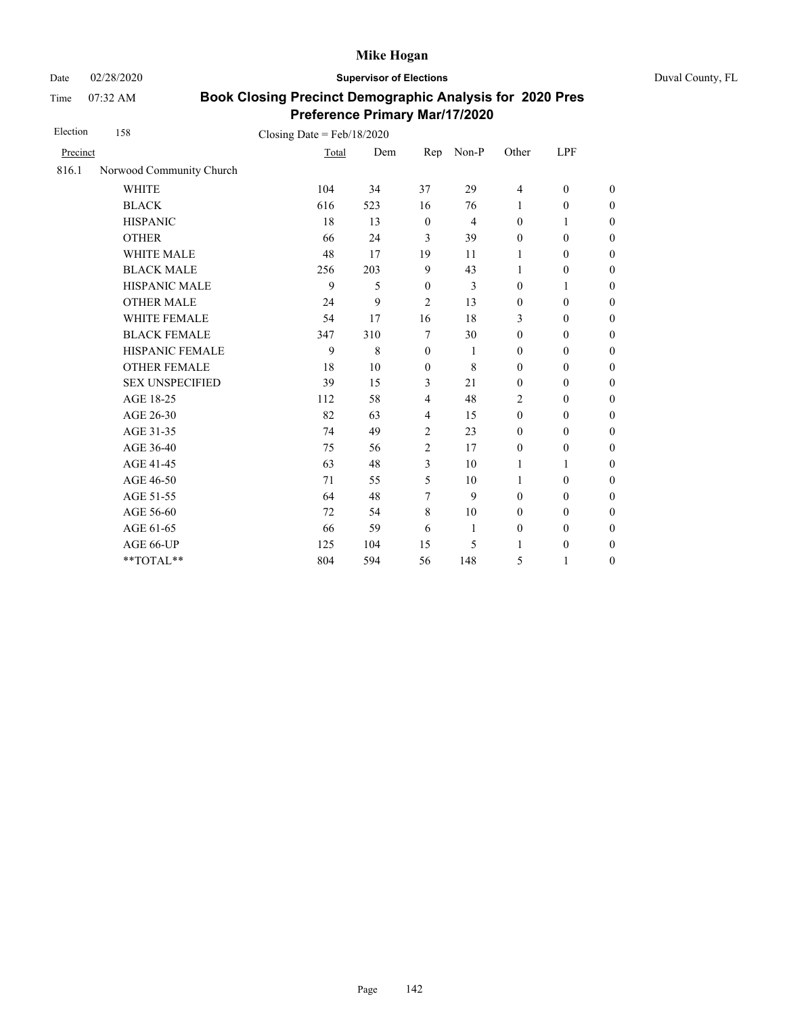Date 02/28/2020 **Supervisor of Elections** Duval County, FL

Time 07:32 AM

| Election | 158                      | Closing Date = $Feb/18/2020$ |     |                  |                |                  |                  |                  |
|----------|--------------------------|------------------------------|-----|------------------|----------------|------------------|------------------|------------------|
| Precinct |                          | Total                        | Dem | Rep              | Non-P          | Other            | LPF              |                  |
| 816.1    | Norwood Community Church |                              |     |                  |                |                  |                  |                  |
|          | <b>WHITE</b>             | 104                          | 34  | 37               | 29             | $\overline{4}$   | $\boldsymbol{0}$ | $\boldsymbol{0}$ |
|          | <b>BLACK</b>             | 616                          | 523 | 16               | 76             | 1                | $\boldsymbol{0}$ | $\boldsymbol{0}$ |
|          | <b>HISPANIC</b>          | 18                           | 13  | $\boldsymbol{0}$ | $\overline{4}$ | $\boldsymbol{0}$ | 1                | $\boldsymbol{0}$ |
|          | <b>OTHER</b>             | 66                           | 24  | 3                | 39             | $\mathbf{0}$     | $\mathbf{0}$     | $\overline{0}$   |
|          | <b>WHITE MALE</b>        | 48                           | 17  | 19               | 11             | 1                | $\mathbf{0}$     | $\boldsymbol{0}$ |
|          | <b>BLACK MALE</b>        | 256                          | 203 | 9                | 43             | 1                | $\theta$         | $\boldsymbol{0}$ |
|          | HISPANIC MALE            | 9                            | 5   | $\mathbf{0}$     | 3              | $\mathbf{0}$     | 1                | $\overline{0}$   |
|          | <b>OTHER MALE</b>        | 24                           | 9   | 2                | 13             | $\mathbf{0}$     | $\mathbf{0}$     | $\boldsymbol{0}$ |
|          | WHITE FEMALE             | 54                           | 17  | 16               | 18             | 3                | $\mathbf{0}$     | $\boldsymbol{0}$ |
|          | <b>BLACK FEMALE</b>      | 347                          | 310 | 7                | 30             | $\mathbf{0}$     | $\mathbf{0}$     | $\boldsymbol{0}$ |
|          | HISPANIC FEMALE          | 9                            | 8   | $\mathbf{0}$     | 1              | $\boldsymbol{0}$ | $\boldsymbol{0}$ | $\boldsymbol{0}$ |
|          | <b>OTHER FEMALE</b>      | 18                           | 10  | $\mathbf{0}$     | 8              | $\boldsymbol{0}$ | $\mathbf{0}$     | $\boldsymbol{0}$ |
|          | <b>SEX UNSPECIFIED</b>   | 39                           | 15  | 3                | 21             | $\mathbf{0}$     | $\mathbf{0}$     | $\boldsymbol{0}$ |
|          | AGE 18-25                | 112                          | 58  | $\overline{4}$   | 48             | $\overline{2}$   | $\boldsymbol{0}$ | $\boldsymbol{0}$ |
|          | AGE 26-30                | 82                           | 63  | $\overline{4}$   | 15             | $\mathbf{0}$     | $\mathbf{0}$     | $\overline{0}$   |
|          | AGE 31-35                | 74                           | 49  | $\overline{2}$   | 23             | $\boldsymbol{0}$ | $\boldsymbol{0}$ | $\boldsymbol{0}$ |
|          | AGE 36-40                | 75                           | 56  | $\overline{2}$   | 17             | $\mathbf{0}$     | $\theta$         | $\boldsymbol{0}$ |
|          | AGE 41-45                | 63                           | 48  | 3                | 10             | 1                | 1                | $\overline{0}$   |
|          | AGE 46-50                | 71                           | 55  | 5                | 10             | 1                | $\mathbf{0}$     | $\boldsymbol{0}$ |
|          | AGE 51-55                | 64                           | 48  | 7                | 9              | $\mathbf{0}$     | $\mathbf{0}$     | $\boldsymbol{0}$ |
|          | AGE 56-60                | 72                           | 54  | 8                | 10             | $\mathbf{0}$     | $\mathbf{0}$     | $\boldsymbol{0}$ |
|          | AGE 61-65                | 66                           | 59  | 6                | $\mathbf{1}$   | $\boldsymbol{0}$ | $\boldsymbol{0}$ | $\mathbf{0}$     |
|          | AGE 66-UP                | 125                          | 104 | 15               | 5              | 1                | $\boldsymbol{0}$ | $\boldsymbol{0}$ |
|          | **TOTAL**                | 804                          | 594 | 56               | 148            | 5                | $\mathbf{1}$     | $\boldsymbol{0}$ |
|          |                          |                              |     |                  |                |                  |                  |                  |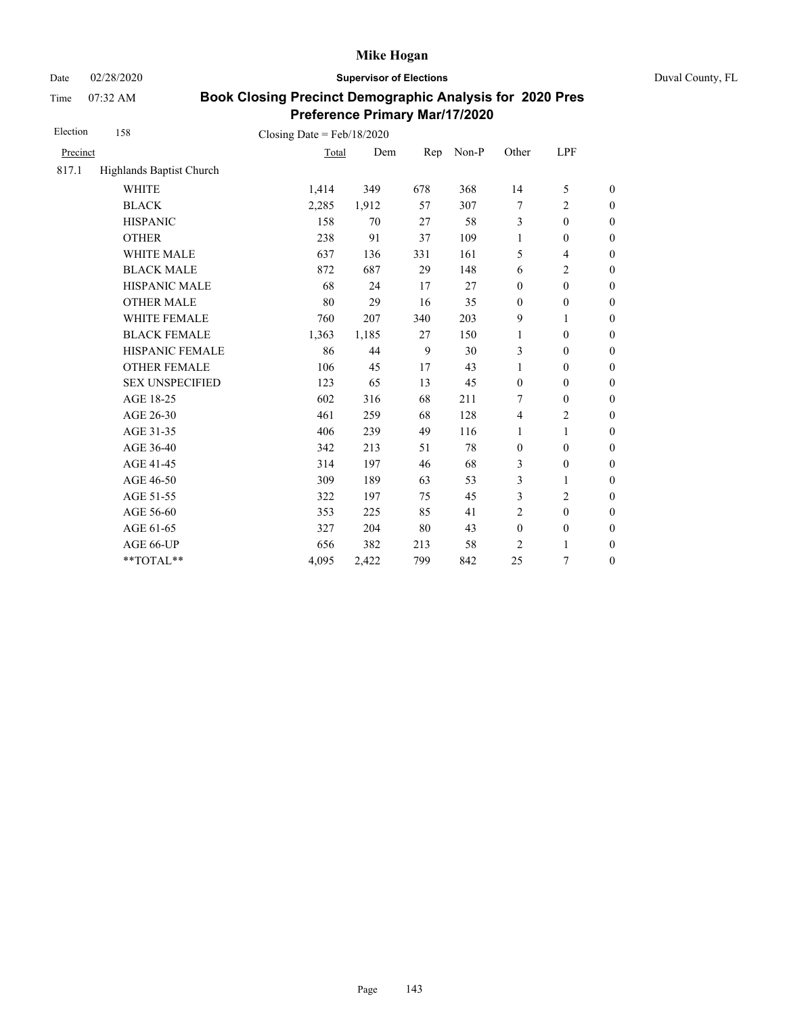Date 02/28/2020 **Supervisor of Elections** Duval County, FL

Time 07:32 AM

| Election | 158                      | Closing Date = $Feb/18/2020$ |       |     |       |                  |                  |                  |
|----------|--------------------------|------------------------------|-------|-----|-------|------------------|------------------|------------------|
| Precinct |                          | Total                        | Dem   | Rep | Non-P | Other            | LPF              |                  |
| 817.1    | Highlands Baptist Church |                              |       |     |       |                  |                  |                  |
|          | <b>WHITE</b>             | 1,414                        | 349   | 678 | 368   | 14               | 5                | $\boldsymbol{0}$ |
|          | <b>BLACK</b>             | 2,285                        | 1,912 | 57  | 307   | 7                | $\overline{c}$   | $\boldsymbol{0}$ |
|          | <b>HISPANIC</b>          | 158                          | 70    | 27  | 58    | 3                | $\boldsymbol{0}$ | $\boldsymbol{0}$ |
|          | <b>OTHER</b>             | 238                          | 91    | 37  | 109   | $\mathbf{1}$     | $\boldsymbol{0}$ | $\boldsymbol{0}$ |
|          | <b>WHITE MALE</b>        | 637                          | 136   | 331 | 161   | 5                | $\overline{4}$   | $\boldsymbol{0}$ |
|          | <b>BLACK MALE</b>        | 872                          | 687   | 29  | 148   | 6                | $\overline{c}$   | $\boldsymbol{0}$ |
|          | <b>HISPANIC MALE</b>     | 68                           | 24    | 17  | 27    | $\mathbf{0}$     | $\mathbf{0}$     | $\overline{0}$   |
|          | <b>OTHER MALE</b>        | 80                           | 29    | 16  | 35    | $\mathbf{0}$     | $\mathbf{0}$     | $\boldsymbol{0}$ |
|          | WHITE FEMALE             | 760                          | 207   | 340 | 203   | 9                | 1                | $\boldsymbol{0}$ |
|          | <b>BLACK FEMALE</b>      | 1,363                        | 1,185 | 27  | 150   | $\mathbf{1}$     | $\mathbf{0}$     | $\boldsymbol{0}$ |
|          | HISPANIC FEMALE          | 86                           | 44    | 9   | 30    | 3                | $\mathbf{0}$     | $\overline{0}$   |
|          | <b>OTHER FEMALE</b>      | 106                          | 45    | 17  | 43    | 1                | $\mathbf{0}$     | $\overline{0}$   |
|          | <b>SEX UNSPECIFIED</b>   | 123                          | 65    | 13  | 45    | $\mathbf{0}$     | $\mathbf{0}$     | $\boldsymbol{0}$ |
|          | AGE 18-25                | 602                          | 316   | 68  | 211   | 7                | $\mathbf{0}$     | $\boldsymbol{0}$ |
|          | AGE 26-30                | 461                          | 259   | 68  | 128   | $\overline{4}$   | $\overline{c}$   | $\overline{0}$   |
|          | AGE 31-35                | 406                          | 239   | 49  | 116   | 1                | 1                | $\boldsymbol{0}$ |
|          | AGE 36-40                | 342                          | 213   | 51  | 78    | $\boldsymbol{0}$ | $\boldsymbol{0}$ | $\boldsymbol{0}$ |
|          | AGE 41-45                | 314                          | 197   | 46  | 68    | 3                | $\boldsymbol{0}$ | $\overline{0}$   |
|          | AGE 46-50                | 309                          | 189   | 63  | 53    | 3                | 1                | $\boldsymbol{0}$ |
|          | AGE 51-55                | 322                          | 197   | 75  | 45    | 3                | $\overline{c}$   | $\boldsymbol{0}$ |
|          | AGE 56-60                | 353                          | 225   | 85  | 41    | $\overline{2}$   | $\mathbf{0}$     | $\boldsymbol{0}$ |
|          | AGE 61-65                | 327                          | 204   | 80  | 43    | $\boldsymbol{0}$ | $\boldsymbol{0}$ | $\boldsymbol{0}$ |
|          | AGE 66-UP                | 656                          | 382   | 213 | 58    | $\overline{c}$   | 1                | $\boldsymbol{0}$ |
|          | **TOTAL**                | 4,095                        | 2,422 | 799 | 842   | 25               | 7                | $\boldsymbol{0}$ |
|          |                          |                              |       |     |       |                  |                  |                  |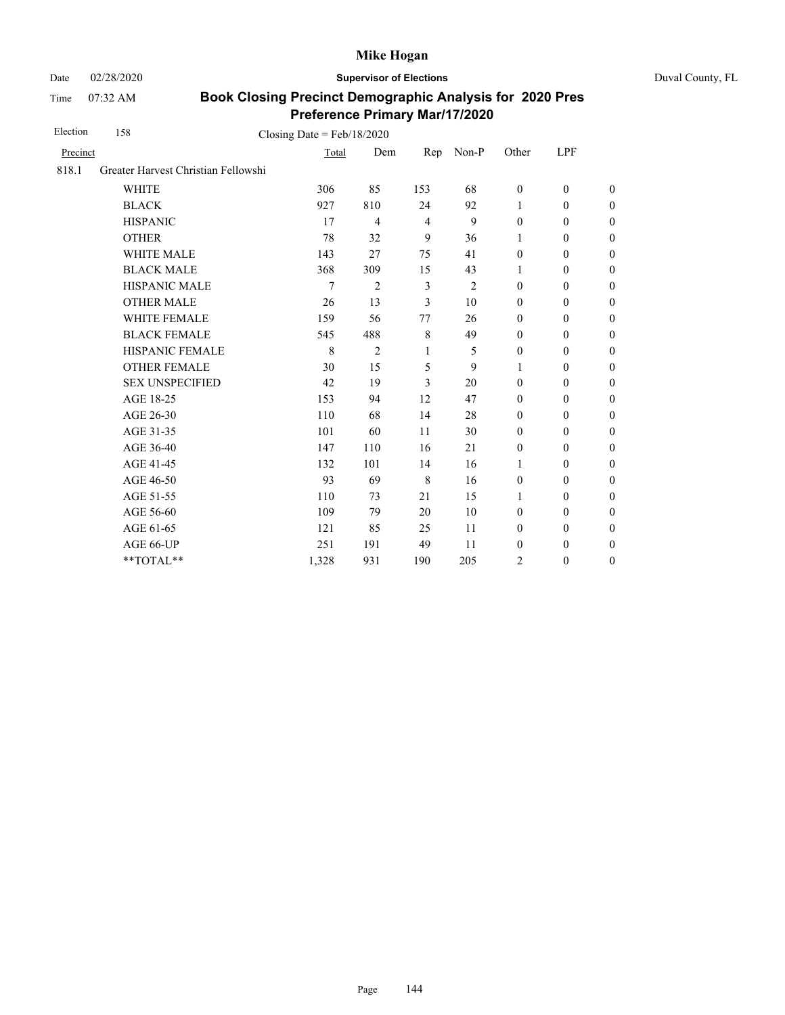Date 02/28/2020 **Supervisor of Elections** Duval County, FL

Time 07:32 AM

| Election | 158<br>Closing Date = $Feb/18/2020$ |       |                |                |                |                  |                  |                  |
|----------|-------------------------------------|-------|----------------|----------------|----------------|------------------|------------------|------------------|
| Precinct |                                     | Total | Dem            | Rep            | Non-P          | Other            | LPF              |                  |
| 818.1    | Greater Harvest Christian Fellowshi |       |                |                |                |                  |                  |                  |
|          | <b>WHITE</b>                        | 306   | 85             | 153            | 68             | $\boldsymbol{0}$ | $\mathbf{0}$     | $\mathbf{0}$     |
|          | <b>BLACK</b>                        | 927   | 810            | 24             | 92             | 1                | $\mathbf{0}$     | $\boldsymbol{0}$ |
|          | <b>HISPANIC</b>                     | 17    | $\overline{4}$ | $\overline{4}$ | 9              | $\boldsymbol{0}$ | $\mathbf{0}$     | $\boldsymbol{0}$ |
|          | <b>OTHER</b>                        | 78    | 32             | 9              | 36             | 1                | $\boldsymbol{0}$ | $\overline{0}$   |
|          | WHITE MALE                          | 143   | 27             | 75             | 41             | $\boldsymbol{0}$ | $\boldsymbol{0}$ | $\boldsymbol{0}$ |
|          | <b>BLACK MALE</b>                   | 368   | 309            | 15             | 43             | 1                | $\mathbf{0}$     | $\boldsymbol{0}$ |
|          | <b>HISPANIC MALE</b>                | 7     | $\overline{2}$ | 3              | $\overline{2}$ | $\mathbf{0}$     | $\mathbf{0}$     | $\overline{0}$   |
|          | <b>OTHER MALE</b>                   | 26    | 13             | 3              | 10             | $\boldsymbol{0}$ | $\boldsymbol{0}$ | $\boldsymbol{0}$ |
|          | WHITE FEMALE                        | 159   | 56             | 77             | 26             | $\boldsymbol{0}$ | $\mathbf{0}$     | $\boldsymbol{0}$ |
|          | <b>BLACK FEMALE</b>                 | 545   | 488            | 8              | 49             | $\mathbf{0}$     | $\mathbf{0}$     | $\boldsymbol{0}$ |
|          | HISPANIC FEMALE                     | 8     | $\overline{2}$ | 1              | 5              | $\boldsymbol{0}$ | $\boldsymbol{0}$ | $\boldsymbol{0}$ |
|          | <b>OTHER FEMALE</b>                 | 30    | 15             | 5              | 9              | 1                | $\mathbf{0}$     | $\mathbf{0}$     |
|          | <b>SEX UNSPECIFIED</b>              | 42    | 19             | 3              | 20             | $\mathbf{0}$     | $\mathbf{0}$     | $\boldsymbol{0}$ |
|          | AGE 18-25                           | 153   | 94             | 12             | 47             | $\boldsymbol{0}$ | $\boldsymbol{0}$ | $\boldsymbol{0}$ |
|          | AGE 26-30                           | 110   | 68             | 14             | 28             | $\mathbf{0}$     | $\mathbf{0}$     | $\boldsymbol{0}$ |
|          | AGE 31-35                           | 101   | 60             | 11             | 30             | $\mathbf{0}$     | $\mathbf{0}$     | $\boldsymbol{0}$ |
|          | AGE 36-40                           | 147   | 110            | 16             | 21             | $\mathbf{0}$     | $\mathbf{0}$     | $\boldsymbol{0}$ |
|          | AGE 41-45                           | 132   | 101            | 14             | 16             | $\mathbf{1}$     | $\boldsymbol{0}$ | $\boldsymbol{0}$ |
|          | AGE 46-50                           | 93    | 69             | $\,8\,$        | 16             | $\boldsymbol{0}$ | $\boldsymbol{0}$ | $\boldsymbol{0}$ |
|          | AGE 51-55                           | 110   | 73             | 21             | 15             | 1                | $\mathbf{0}$     | $\boldsymbol{0}$ |
|          | AGE 56-60                           | 109   | 79             | 20             | 10             | $\mathbf{0}$     | $\mathbf{0}$     | $\overline{0}$   |
|          | AGE 61-65                           | 121   | 85             | 25             | 11             | $\mathbf{0}$     | $\mathbf{0}$     | $\boldsymbol{0}$ |
|          | AGE 66-UP                           | 251   | 191            | 49             | 11             | $\boldsymbol{0}$ | $\boldsymbol{0}$ | $\boldsymbol{0}$ |
|          | **TOTAL**                           | 1,328 | 931            | 190            | 205            | 2                | $\boldsymbol{0}$ | $\boldsymbol{0}$ |
|          |                                     |       |                |                |                |                  |                  |                  |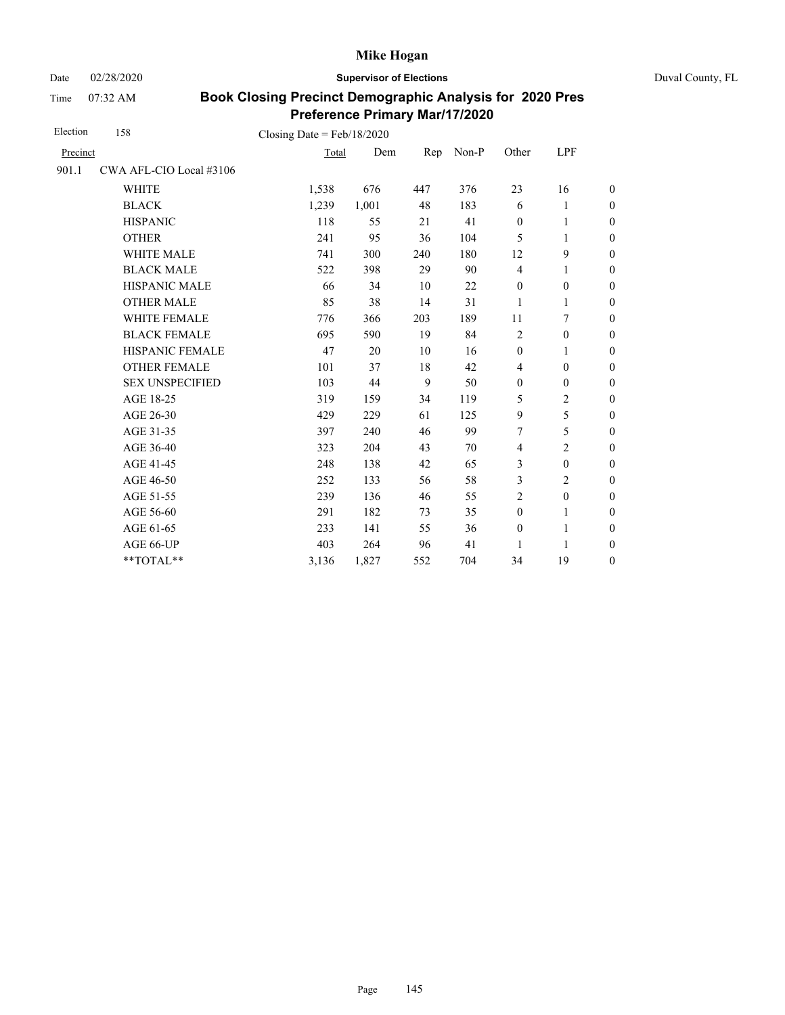Date 02/28/2020 **Supervisor of Elections** Duval County, FL

Time 07:32 AM

| Election | 158                     | Closing Date = $Feb/18/2020$ |       |     |       |                  |                  |                  |
|----------|-------------------------|------------------------------|-------|-----|-------|------------------|------------------|------------------|
| Precinct |                         | Total                        | Dem   | Rep | Non-P | Other            | LPF              |                  |
| 901.1    | CWA AFL-CIO Local #3106 |                              |       |     |       |                  |                  |                  |
|          | <b>WHITE</b>            | 1,538                        | 676   | 447 | 376   | 23               | 16               | $\boldsymbol{0}$ |
|          | <b>BLACK</b>            | 1,239                        | 1,001 | 48  | 183   | 6                | 1                | $\boldsymbol{0}$ |
|          | <b>HISPANIC</b>         | 118                          | 55    | 21  | 41    | $\mathbf{0}$     | 1                | $\overline{0}$   |
|          | <b>OTHER</b>            | 241                          | 95    | 36  | 104   | 5                | 1                | $\overline{0}$   |
|          | <b>WHITE MALE</b>       | 741                          | 300   | 240 | 180   | 12               | 9                | $\overline{0}$   |
|          | <b>BLACK MALE</b>       | 522                          | 398   | 29  | 90    | $\overline{4}$   | 1                | $\boldsymbol{0}$ |
|          | <b>HISPANIC MALE</b>    | 66                           | 34    | 10  | 22    | $\mathbf{0}$     | $\boldsymbol{0}$ | $\overline{0}$   |
|          | <b>OTHER MALE</b>       | 85                           | 38    | 14  | 31    | 1                | 1                | $\boldsymbol{0}$ |
|          | WHITE FEMALE            | 776                          | 366   | 203 | 189   | 11               | 7                | $\boldsymbol{0}$ |
|          | <b>BLACK FEMALE</b>     | 695                          | 590   | 19  | 84    | $\overline{c}$   | $\boldsymbol{0}$ | $\boldsymbol{0}$ |
|          | HISPANIC FEMALE         | 47                           | 20    | 10  | 16    | $\boldsymbol{0}$ | 1                | $\overline{0}$   |
|          | <b>OTHER FEMALE</b>     | 101                          | 37    | 18  | 42    | $\overline{4}$   | $\mathbf{0}$     | $\overline{0}$   |
|          | <b>SEX UNSPECIFIED</b>  | 103                          | 44    | 9   | 50    | $\mathbf{0}$     | $\mathbf{0}$     | $\boldsymbol{0}$ |
|          | AGE 18-25               | 319                          | 159   | 34  | 119   | 5                | $\overline{c}$   | $\overline{0}$   |
|          | AGE 26-30               | 429                          | 229   | 61  | 125   | 9                | 5                | $\overline{0}$   |
|          | AGE 31-35               | 397                          | 240   | 46  | 99    | 7                | 5                | $\boldsymbol{0}$ |
|          | AGE 36-40               | 323                          | 204   | 43  | 70    | $\overline{4}$   | $\overline{c}$   | $\boldsymbol{0}$ |
|          | AGE 41-45               | 248                          | 138   | 42  | 65    | 3                | $\boldsymbol{0}$ | $\overline{0}$   |
|          | AGE 46-50               | 252                          | 133   | 56  | 58    | 3                | $\overline{c}$   | $\boldsymbol{0}$ |
|          | AGE 51-55               | 239                          | 136   | 46  | 55    | $\overline{c}$   | $\boldsymbol{0}$ | $\boldsymbol{0}$ |
|          | AGE 56-60               | 291                          | 182   | 73  | 35    | $\boldsymbol{0}$ | $\mathbf{1}$     | $\overline{0}$   |
|          | AGE 61-65               | 233                          | 141   | 55  | 36    | $\boldsymbol{0}$ | $\mathbf{1}$     | $\boldsymbol{0}$ |
|          | AGE 66-UP               | 403                          | 264   | 96  | 41    | 1                | 1                | $\overline{0}$   |
|          | **TOTAL**               | 3,136                        | 1,827 | 552 | 704   | 34               | 19               | $\overline{0}$   |
|          |                         |                              |       |     |       |                  |                  |                  |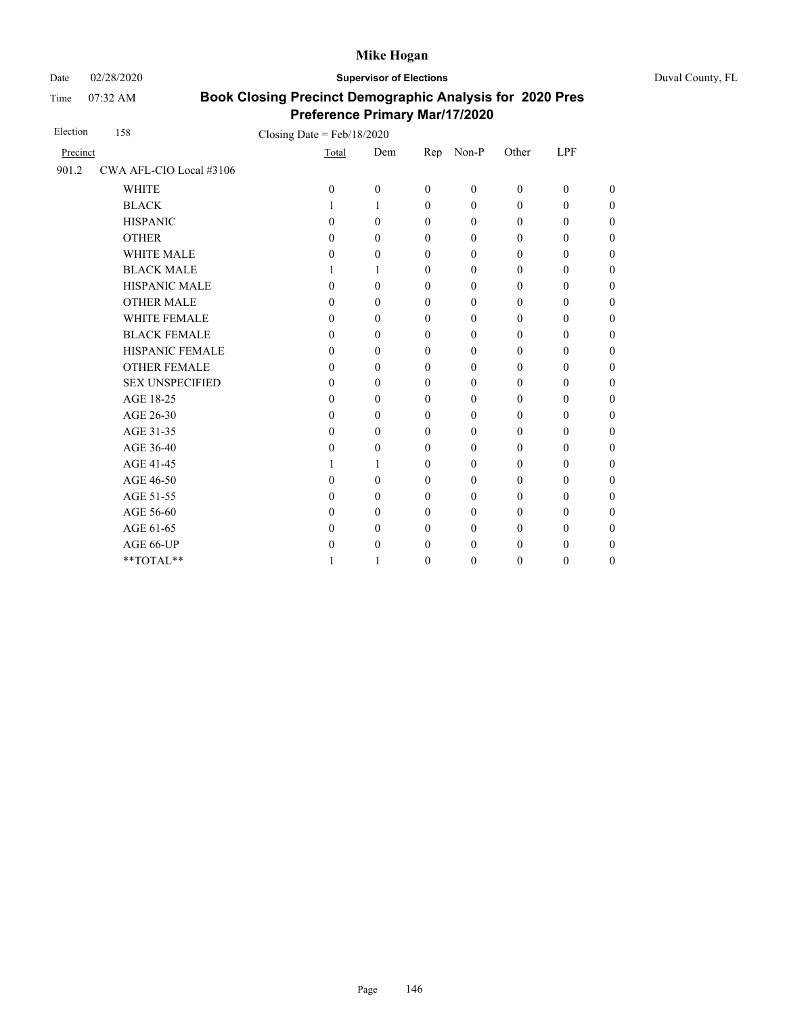Date 02/28/2020 **Supervisor of Elections** Duval County, FL

Time 07:32 AM

| Election | 158                     | Closing Date = $Feb/18/2020$ |                  |                  |              |                  |                  |                  |                  |
|----------|-------------------------|------------------------------|------------------|------------------|--------------|------------------|------------------|------------------|------------------|
| Precinct |                         |                              | Total            | Dem              | Rep          | Non-P            | Other            | <b>LPF</b>       |                  |
| 901.2    | CWA AFL-CIO Local #3106 |                              |                  |                  |              |                  |                  |                  |                  |
|          | <b>WHITE</b>            |                              | $\mathbf{0}$     | $\boldsymbol{0}$ | $\mathbf{0}$ | $\mathbf{0}$     | $\mathbf{0}$     | $\boldsymbol{0}$ | $\overline{0}$   |
|          | <b>BLACK</b>            |                              | 1                | 1                | $\mathbf{0}$ | $\mathbf{0}$     | $\mathbf{0}$     | $\boldsymbol{0}$ | $\boldsymbol{0}$ |
|          | <b>HISPANIC</b>         |                              | $\theta$         | $\theta$         | $\theta$     | $\mathbf{0}$     | $\boldsymbol{0}$ | $\theta$         | $\boldsymbol{0}$ |
|          | <b>OTHER</b>            |                              | $\theta$         | $\theta$         | $\mathbf{0}$ | $\mathbf{0}$     | $\mathbf{0}$     | $\mathbf{0}$     | $\overline{0}$   |
|          | <b>WHITE MALE</b>       |                              | 0                | $\mathbf{0}$     | $\mathbf{0}$ | $\mathbf{0}$     | $\mathbf{0}$     | $\mathbf{0}$     | $\boldsymbol{0}$ |
|          | <b>BLACK MALE</b>       |                              | 1                | 1                | $\mathbf{0}$ | $\mathbf{0}$     | $\mathbf{0}$     | $\theta$         | $\boldsymbol{0}$ |
|          | <b>HISPANIC MALE</b>    |                              | $\theta$         | $\theta$         | $\theta$     | $\mathbf{0}$     | $\mathbf{0}$     | $\mathbf{0}$     | $\overline{0}$   |
|          | <b>OTHER MALE</b>       |                              | $\theta$         | $\theta$         | $\mathbf{0}$ | $\theta$         | $\boldsymbol{0}$ | $\theta$         | $\overline{0}$   |
|          | WHITE FEMALE            |                              | $\theta$         | $\theta$         | $\mathbf{0}$ | $\mathbf{0}$     | $\mathbf{0}$     | $\theta$         | $\overline{0}$   |
|          | <b>BLACK FEMALE</b>     |                              | $\theta$         | $\theta$         | $\mathbf{0}$ | $\mathbf{0}$     | $\mathbf{0}$     | $\theta$         | $\overline{0}$   |
|          | HISPANIC FEMALE         |                              | $\theta$         | $\theta$         | $\mathbf{0}$ | $\mathbf{0}$     | $\boldsymbol{0}$ | $\boldsymbol{0}$ | $\boldsymbol{0}$ |
|          | <b>OTHER FEMALE</b>     |                              | 0                | $\mathbf{0}$     | $\mathbf{0}$ | $\mathbf{0}$     | $\boldsymbol{0}$ | $\theta$         | $\boldsymbol{0}$ |
|          | <b>SEX UNSPECIFIED</b>  |                              | 0                | $\theta$         | $\theta$     | $\mathbf{0}$     | $\mathbf{0}$     | $\theta$         | $\boldsymbol{0}$ |
|          | AGE 18-25               |                              | 0                | $\theta$         | $\mathbf{0}$ | $\mathbf{0}$     | $\mathbf{0}$     | $\theta$         | $\boldsymbol{0}$ |
|          | AGE 26-30               |                              | $\theta$         | $\theta$         | $\mathbf{0}$ | $\mathbf{0}$     | $\mathbf{0}$     | $\mathbf{0}$     | $\overline{0}$   |
|          | AGE 31-35               |                              | $\boldsymbol{0}$ | $\theta$         | $\mathbf{0}$ | $\mathbf{0}$     | $\mathbf{0}$     | $\mathbf{0}$     | $\boldsymbol{0}$ |
|          | AGE 36-40               |                              | 0                | $\theta$         | $\mathbf{0}$ | $\mathbf{0}$     | $\mathbf{0}$     | $\theta$         | 0                |
|          | AGE 41-45               |                              | 1                | 1                | $\mathbf{0}$ | $\boldsymbol{0}$ | $\boldsymbol{0}$ | $\boldsymbol{0}$ | $\overline{0}$   |
|          | AGE 46-50               |                              | 0                | $\mathbf{0}$     | $\mathbf{0}$ | $\boldsymbol{0}$ | 0                | $\boldsymbol{0}$ | $\boldsymbol{0}$ |
|          | AGE 51-55               |                              | 0                | $\mathbf{0}$     | $\mathbf{0}$ | $\mathbf{0}$     | $\mathbf{0}$     | $\theta$         | 0                |
|          | AGE 56-60               |                              | 0                | $\theta$         | $\mathbf{0}$ | $\mathbf{0}$     | $\mathbf{0}$     | $\boldsymbol{0}$ | $\boldsymbol{0}$ |
|          | AGE 61-65               |                              | $\theta$         | $\theta$         | $\mathbf{0}$ | $\boldsymbol{0}$ | $\boldsymbol{0}$ | $\boldsymbol{0}$ | $\boldsymbol{0}$ |
|          | AGE 66-UP               |                              | 0                | $\mathbf{0}$     | $\mathbf{0}$ | $\mathbf{0}$     | $\boldsymbol{0}$ | $\theta$         | $\boldsymbol{0}$ |
|          | **TOTAL**               |                              |                  | 1                | $\mathbf{0}$ | $\mathbf{0}$     | $\mathbf{0}$     | $\boldsymbol{0}$ | $\boldsymbol{0}$ |
|          |                         |                              |                  |                  |              |                  |                  |                  |                  |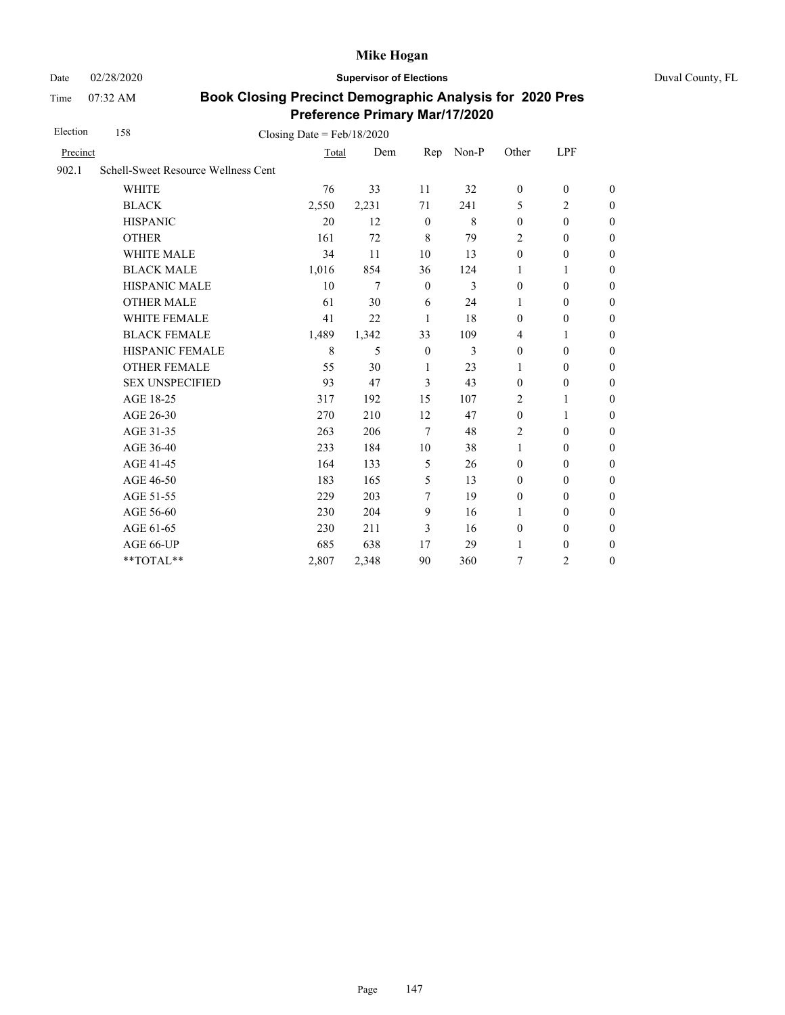Date 02/28/2020 **Supervisor of Elections** Duval County, FL

Time 07:32 AM

| Election | 158<br>Closing Date = $Feb/18/2020$ |       |       |                  |       |                  |                  |                  |  |
|----------|-------------------------------------|-------|-------|------------------|-------|------------------|------------------|------------------|--|
| Precinct |                                     | Total | Dem   | Rep              | Non-P | Other            | LPF              |                  |  |
| 902.1    | Schell-Sweet Resource Wellness Cent |       |       |                  |       |                  |                  |                  |  |
|          | <b>WHITE</b>                        | 76    | 33    | 11               | 32    | $\boldsymbol{0}$ | $\boldsymbol{0}$ | $\mathbf{0}$     |  |
|          | <b>BLACK</b>                        | 2,550 | 2,231 | 71               | 241   | 5                | $\overline{2}$   | $\boldsymbol{0}$ |  |
|          | <b>HISPANIC</b>                     | 20    | 12    | $\mathbf{0}$     | 8     | $\mathbf{0}$     | $\mathbf{0}$     | $\boldsymbol{0}$ |  |
|          | <b>OTHER</b>                        | 161   | 72    | 8                | 79    | $\overline{2}$   | $\mathbf{0}$     | $\mathbf{0}$     |  |
|          | <b>WHITE MALE</b>                   | 34    | 11    | 10               | 13    | $\mathbf{0}$     | $\boldsymbol{0}$ | $\boldsymbol{0}$ |  |
|          | <b>BLACK MALE</b>                   | 1,016 | 854   | 36               | 124   | 1                | 1                | $\boldsymbol{0}$ |  |
|          | <b>HISPANIC MALE</b>                | 10    | 7     | $\mathbf{0}$     | 3     | $\mathbf{0}$     | $\mathbf{0}$     | $\mathbf{0}$     |  |
|          | <b>OTHER MALE</b>                   | 61    | 30    | 6                | 24    | 1                | $\boldsymbol{0}$ | $\boldsymbol{0}$ |  |
|          | WHITE FEMALE                        | 41    | 22    | 1                | 18    | $\boldsymbol{0}$ | $\boldsymbol{0}$ | $\boldsymbol{0}$ |  |
|          | <b>BLACK FEMALE</b>                 | 1,489 | 1,342 | 33               | 109   | 4                | 1                | $\boldsymbol{0}$ |  |
|          | HISPANIC FEMALE                     | 8     | 5     | $\boldsymbol{0}$ | 3     | $\boldsymbol{0}$ | $\boldsymbol{0}$ | $\boldsymbol{0}$ |  |
|          | <b>OTHER FEMALE</b>                 | 55    | 30    | 1                | 23    | 1                | $\boldsymbol{0}$ | $\boldsymbol{0}$ |  |
|          | <b>SEX UNSPECIFIED</b>              | 93    | 47    | 3                | 43    | $\mathbf{0}$     | $\boldsymbol{0}$ | $\boldsymbol{0}$ |  |
|          | AGE 18-25                           | 317   | 192   | 15               | 107   | 2                | 1                | $\boldsymbol{0}$ |  |
|          | AGE 26-30                           | 270   | 210   | 12               | 47    | $\boldsymbol{0}$ | 1                | $\overline{0}$   |  |
|          | AGE 31-35                           | 263   | 206   | $\tau$           | 48    | 2                | $\mathbf{0}$     | $\boldsymbol{0}$ |  |
|          | AGE 36-40                           | 233   | 184   | 10               | 38    | 1                | $\mathbf{0}$     | $\boldsymbol{0}$ |  |
|          | AGE 41-45                           | 164   | 133   | 5                | 26    | $\mathbf{0}$     | $\mathbf{0}$     | $\mathbf{0}$     |  |
|          | AGE 46-50                           | 183   | 165   | 5                | 13    | $\mathbf{0}$     | $\boldsymbol{0}$ | $\boldsymbol{0}$ |  |
|          | AGE 51-55                           | 229   | 203   | 7                | 19    | $\boldsymbol{0}$ | $\mathbf{0}$     | $\boldsymbol{0}$ |  |
|          | AGE 56-60                           | 230   | 204   | 9                | 16    | 1                | $\mathbf{0}$     | $\boldsymbol{0}$ |  |
|          | AGE 61-65                           | 230   | 211   | 3                | 16    | $\boldsymbol{0}$ | $\mathbf{0}$     | $\boldsymbol{0}$ |  |
|          | AGE 66-UP                           | 685   | 638   | 17               | 29    | $\mathbf{1}$     | $\boldsymbol{0}$ | $\boldsymbol{0}$ |  |
|          | **TOTAL**                           | 2,807 | 2,348 | 90               | 360   | 7                | $\overline{c}$   | $\boldsymbol{0}$ |  |
|          |                                     |       |       |                  |       |                  |                  |                  |  |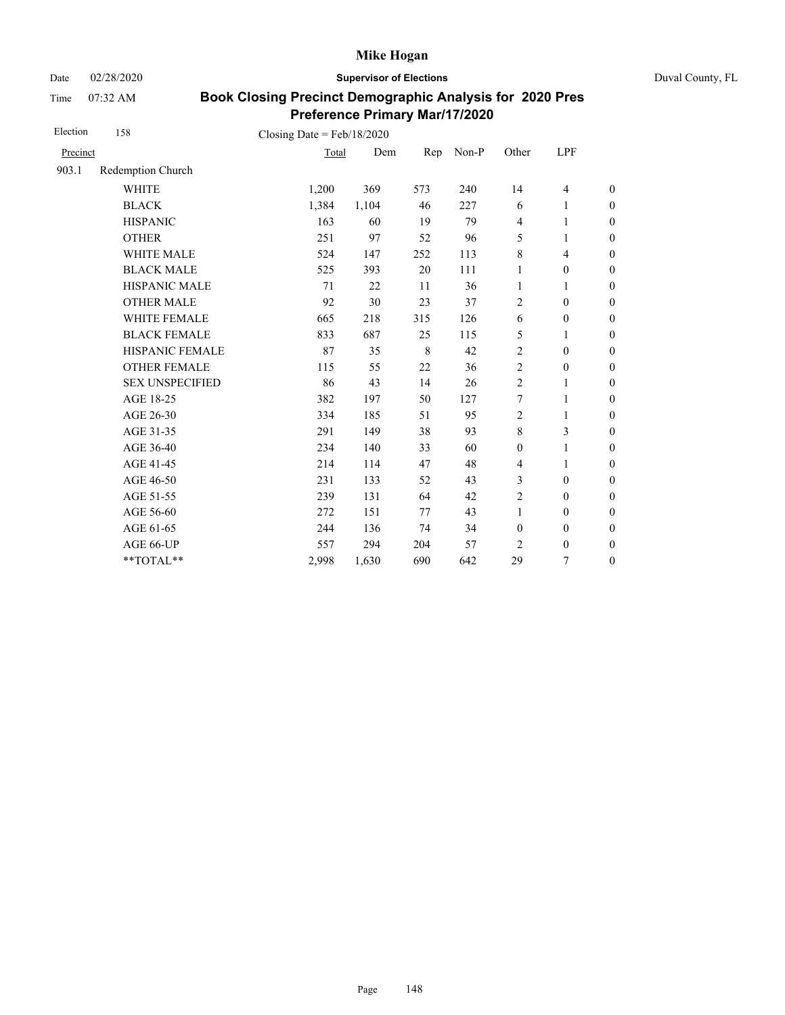Date 02/28/2020 **Supervisor of Elections** Duval County, FL

Time 07:32 AM

| Election | 158                    | Closing Date = $Feb/18/2020$ |       |         |       |                  |                          |                  |
|----------|------------------------|------------------------------|-------|---------|-------|------------------|--------------------------|------------------|
| Precinct |                        | Total                        | Dem   | Rep     | Non-P | Other            | LPF                      |                  |
| 903.1    | Redemption Church      |                              |       |         |       |                  |                          |                  |
|          | <b>WHITE</b>           | 1,200                        | 369   | 573     | 240   | 14               | $\overline{\mathcal{L}}$ | $\boldsymbol{0}$ |
|          | <b>BLACK</b>           | 1,384                        | 1,104 | 46      | 227   | 6                | 1                        | $\boldsymbol{0}$ |
|          | <b>HISPANIC</b>        | 163                          | 60    | 19      | 79    | $\overline{4}$   | $\mathbf{1}$             | $\boldsymbol{0}$ |
|          | <b>OTHER</b>           | 251                          | 97    | 52      | 96    | 5                | 1                        | $\boldsymbol{0}$ |
|          | WHITE MALE             | 524                          | 147   | 252     | 113   | $\,$ 8 $\,$      | $\overline{\mathcal{L}}$ | $\boldsymbol{0}$ |
|          | <b>BLACK MALE</b>      | 525                          | 393   | 20      | 111   | 1                | $\boldsymbol{0}$         | $\boldsymbol{0}$ |
|          | <b>HISPANIC MALE</b>   | 71                           | 22    | 11      | 36    | $\mathbf{1}$     | 1                        | $\overline{0}$   |
|          | <b>OTHER MALE</b>      | 92                           | 30    | 23      | 37    | 2                | $\boldsymbol{0}$         | $\boldsymbol{0}$ |
|          | WHITE FEMALE           | 665                          | 218   | 315     | 126   | 6                | $\boldsymbol{0}$         | $\boldsymbol{0}$ |
|          | <b>BLACK FEMALE</b>    | 833                          | 687   | 25      | 115   | 5                | 1                        | $\boldsymbol{0}$ |
|          | HISPANIC FEMALE        | 87                           | 35    | $\,8\,$ | 42    | $\sqrt{2}$       | $\boldsymbol{0}$         | $\boldsymbol{0}$ |
|          | <b>OTHER FEMALE</b>    | 115                          | 55    | 22      | 36    | 2                | $\boldsymbol{0}$         | $\boldsymbol{0}$ |
|          | <b>SEX UNSPECIFIED</b> | 86                           | 43    | 14      | 26    | $\overline{2}$   | 1                        | $\boldsymbol{0}$ |
|          | AGE 18-25              | 382                          | 197   | 50      | 127   | 7                | $\mathbf{1}$             | $\boldsymbol{0}$ |
|          | AGE 26-30              | 334                          | 185   | 51      | 95    | $\overline{2}$   | $\mathbf{1}$             | $\boldsymbol{0}$ |
|          | AGE 31-35              | 291                          | 149   | 38      | 93    | $\,8\,$          | 3                        | $\boldsymbol{0}$ |
|          | AGE 36-40              | 234                          | 140   | 33      | 60    | $\mathbf{0}$     | 1                        | $\boldsymbol{0}$ |
|          | AGE 41-45              | 214                          | 114   | 47      | 48    | $\overline{4}$   | $\mathbf{1}$             | $\overline{0}$   |
|          | AGE 46-50              | 231                          | 133   | 52      | 43    | 3                | $\boldsymbol{0}$         | $\boldsymbol{0}$ |
|          | AGE 51-55              | 239                          | 131   | 64      | 42    | $\sqrt{2}$       | $\mathbf{0}$             | $\boldsymbol{0}$ |
|          | AGE 56-60              | 272                          | 151   | 77      | 43    | $\mathbf{1}$     | $\mathbf{0}$             | $\overline{0}$   |
|          | AGE 61-65              | 244                          | 136   | 74      | 34    | $\boldsymbol{0}$ | $\boldsymbol{0}$         | $\boldsymbol{0}$ |
|          | AGE 66-UP              | 557                          | 294   | 204     | 57    | 2                | $\boldsymbol{0}$         | $\boldsymbol{0}$ |
|          | **TOTAL**              | 2,998                        | 1,630 | 690     | 642   | 29               | 7                        | $\boldsymbol{0}$ |
|          |                        |                              |       |         |       |                  |                          |                  |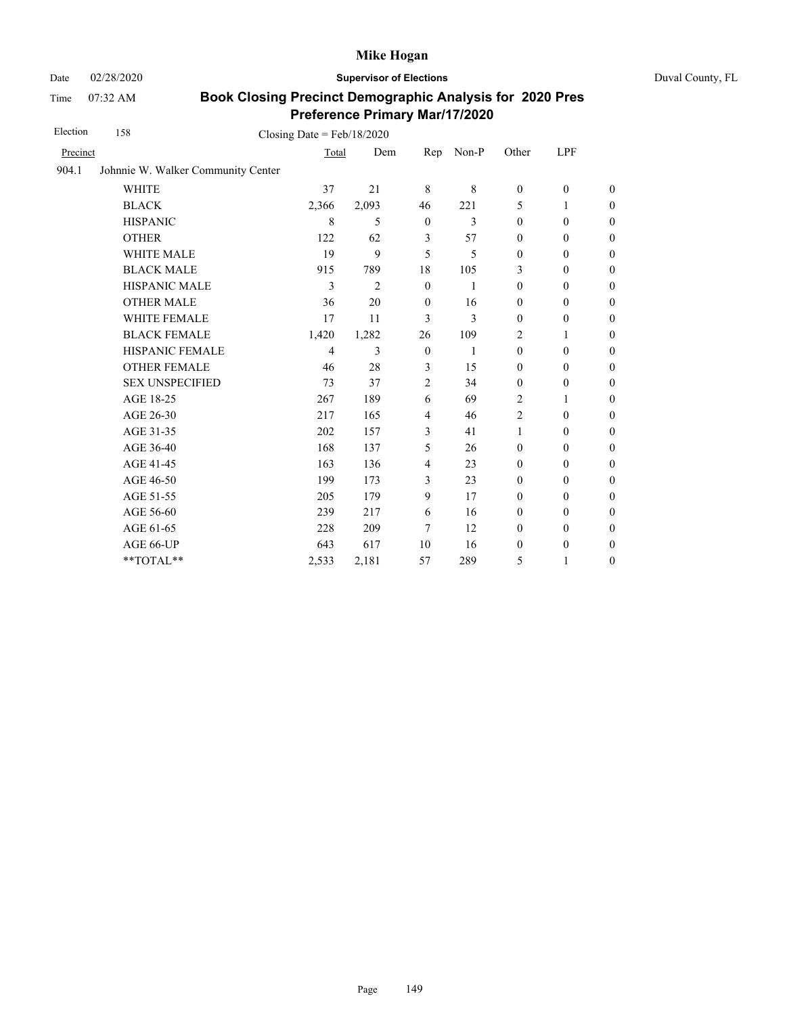Date 02/28/2020 **Supervisor of Elections** Duval County, FL

Time 07:32 AM

| Election | 158<br>Closing Date = $Feb/18/2020$ |       |                |                  |                |                  |                  |                  |
|----------|-------------------------------------|-------|----------------|------------------|----------------|------------------|------------------|------------------|
| Precinct |                                     | Total | Dem            | Rep              | Non-P          | Other            | LPF              |                  |
| 904.1    | Johnnie W. Walker Community Center  |       |                |                  |                |                  |                  |                  |
|          | <b>WHITE</b>                        | 37    | 21             | 8                | 8              | $\boldsymbol{0}$ | $\boldsymbol{0}$ | $\theta$         |
|          | <b>BLACK</b>                        | 2,366 | 2,093          | 46               | 221            | 5                | 1                | $\boldsymbol{0}$ |
|          | <b>HISPANIC</b>                     | 8     | 5              | $\mathbf{0}$     | $\overline{3}$ | $\mathbf{0}$     | $\mathbf{0}$     | $\boldsymbol{0}$ |
|          | <b>OTHER</b>                        | 122   | 62             | 3                | 57             | $\mathbf{0}$     | $\mathbf{0}$     | $\overline{0}$   |
|          | <b>WHITE MALE</b>                   | 19    | 9              | 5                | 5              | $\mathbf{0}$     | $\mathbf{0}$     | $\boldsymbol{0}$ |
|          | <b>BLACK MALE</b>                   | 915   | 789            | 18               | 105            | 3                | $\mathbf{0}$     | $\boldsymbol{0}$ |
|          | <b>HISPANIC MALE</b>                | 3     | $\overline{2}$ | $\mathbf{0}$     | 1              | $\mathbf{0}$     | $\mathbf{0}$     | $\overline{0}$   |
|          | <b>OTHER MALE</b>                   | 36    | 20             | $\mathbf{0}$     | 16             | $\boldsymbol{0}$ | $\boldsymbol{0}$ | $\boldsymbol{0}$ |
|          | WHITE FEMALE                        | 17    | 11             | 3                | 3              | $\boldsymbol{0}$ | $\boldsymbol{0}$ | $\boldsymbol{0}$ |
|          | <b>BLACK FEMALE</b>                 | 1,420 | 1,282          | 26               | 109            | $\overline{2}$   | 1                | $\boldsymbol{0}$ |
|          | HISPANIC FEMALE                     | 4     | 3              | $\boldsymbol{0}$ | 1              | $\boldsymbol{0}$ | $\boldsymbol{0}$ | $\boldsymbol{0}$ |
|          | <b>OTHER FEMALE</b>                 | 46    | 28             | 3                | 15             | $\mathbf{0}$     | $\boldsymbol{0}$ | $\boldsymbol{0}$ |
|          | <b>SEX UNSPECIFIED</b>              | 73    | 37             | $\overline{2}$   | 34             | $\boldsymbol{0}$ | $\boldsymbol{0}$ | $\boldsymbol{0}$ |
|          | AGE 18-25                           | 267   | 189            | 6                | 69             | $\overline{c}$   | 1                | $\boldsymbol{0}$ |
|          | AGE 26-30                           | 217   | 165            | $\overline{4}$   | 46             | $\overline{2}$   | $\boldsymbol{0}$ | $\overline{0}$   |
|          | AGE 31-35                           | 202   | 157            | 3                | 41             | $\mathbf{1}$     | $\mathbf{0}$     | $\boldsymbol{0}$ |
|          | AGE 36-40                           | 168   | 137            | 5                | 26             | $\mathbf{0}$     | $\mathbf{0}$     | $\boldsymbol{0}$ |
|          | AGE 41-45                           | 163   | 136            | $\overline{4}$   | 23             | $\mathbf{0}$     | $\mathbf{0}$     | $\overline{0}$   |
|          | AGE 46-50                           | 199   | 173            | 3                | 23             | $\boldsymbol{0}$ | $\boldsymbol{0}$ | $\boldsymbol{0}$ |
|          | AGE 51-55                           | 205   | 179            | 9                | 17             | $\mathbf{0}$     | $\mathbf{0}$     | $\overline{0}$   |
|          | AGE 56-60                           | 239   | 217            | 6                | 16             | $\mathbf{0}$     | $\mathbf{0}$     | $\boldsymbol{0}$ |
|          | AGE 61-65                           | 228   | 209            | 7                | 12             | $\mathbf{0}$     | $\mathbf{0}$     | $\boldsymbol{0}$ |
|          | AGE 66-UP                           | 643   | 617            | 10               | 16             | $\boldsymbol{0}$ | $\boldsymbol{0}$ | $\boldsymbol{0}$ |
|          | **TOTAL**                           | 2,533 | 2,181          | 57               | 289            | 5                | 1                | $\boldsymbol{0}$ |
|          |                                     |       |                |                  |                |                  |                  |                  |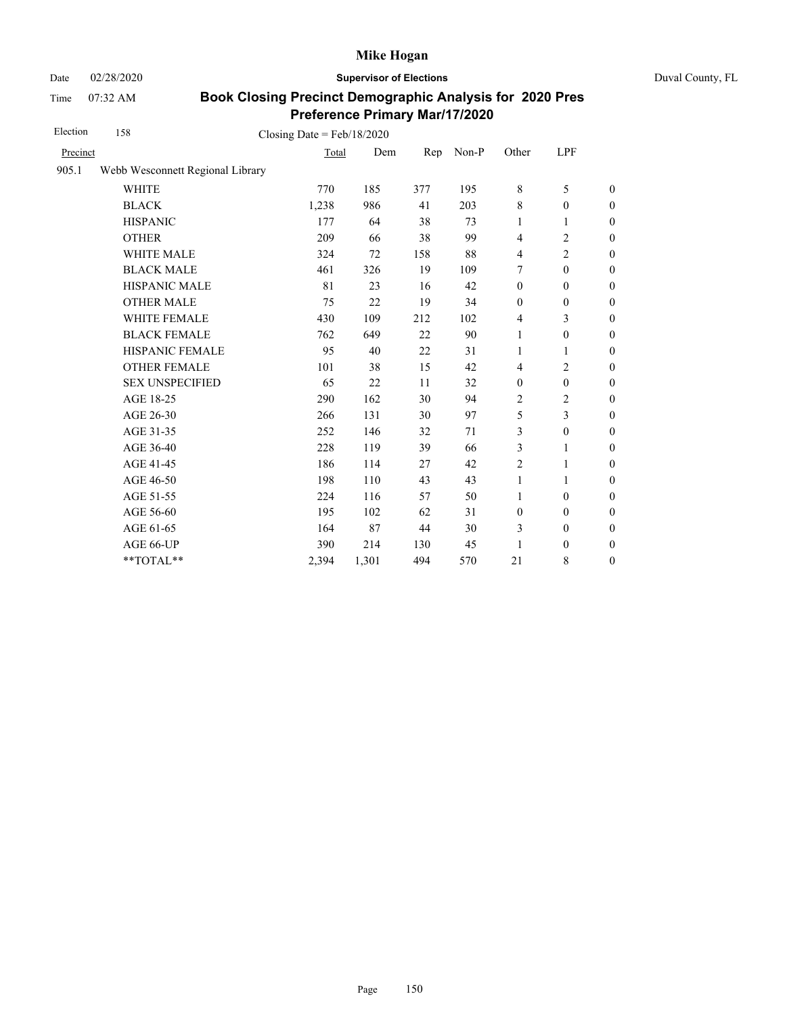Date 02/28/2020 **Supervisor of Elections** Duval County, FL

Time 07:32 AM

| Election | 158                              | Closing Date = $Feb/18/2020$ |       |     |       |                  |                  |                  |
|----------|----------------------------------|------------------------------|-------|-----|-------|------------------|------------------|------------------|
| Precinct |                                  | Total                        | Dem   | Rep | Non-P | Other            | LPF              |                  |
| 905.1    | Webb Wesconnett Regional Library |                              |       |     |       |                  |                  |                  |
|          | <b>WHITE</b>                     | 770                          | 185   | 377 | 195   | $\,8\,$          | 5                | $\boldsymbol{0}$ |
|          | <b>BLACK</b>                     | 1,238                        | 986   | 41  | 203   | $\,8\,$          | $\boldsymbol{0}$ | $\boldsymbol{0}$ |
|          | <b>HISPANIC</b>                  | 177                          | 64    | 38  | 73    | 1                | 1                | $\boldsymbol{0}$ |
|          | <b>OTHER</b>                     | 209                          | 66    | 38  | 99    | $\overline{4}$   | $\overline{2}$   | $\overline{0}$   |
|          | <b>WHITE MALE</b>                | 324                          | 72    | 158 | 88    | $\overline{4}$   | 2                | $\boldsymbol{0}$ |
|          | <b>BLACK MALE</b>                | 461                          | 326   | 19  | 109   | 7                | $\mathbf{0}$     | $\boldsymbol{0}$ |
|          | <b>HISPANIC MALE</b>             | 81                           | 23    | 16  | 42    | $\mathbf{0}$     | $\mathbf{0}$     | $\overline{0}$   |
|          | <b>OTHER MALE</b>                | 75                           | 22    | 19  | 34    | $\mathbf{0}$     | $\boldsymbol{0}$ | $\boldsymbol{0}$ |
|          | WHITE FEMALE                     | 430                          | 109   | 212 | 102   | $\overline{4}$   | 3                | $\overline{0}$   |
|          | <b>BLACK FEMALE</b>              | 762                          | 649   | 22  | 90    | $\mathbf{1}$     | $\mathbf{0}$     | $\boldsymbol{0}$ |
|          | HISPANIC FEMALE                  | 95                           | 40    | 22  | 31    | 1                | 1                | $\boldsymbol{0}$ |
|          | <b>OTHER FEMALE</b>              | 101                          | 38    | 15  | 42    | $\overline{4}$   | 2                | $\boldsymbol{0}$ |
|          | <b>SEX UNSPECIFIED</b>           | 65                           | 22    | 11  | 32    | $\mathbf{0}$     | $\mathbf{0}$     | $\boldsymbol{0}$ |
|          | AGE 18-25                        | 290                          | 162   | 30  | 94    | 2                | 2                | $\boldsymbol{0}$ |
|          | AGE 26-30                        | 266                          | 131   | 30  | 97    | 5                | 3                | $\overline{0}$   |
|          | AGE 31-35                        | 252                          | 146   | 32  | 71    | 3                | $\boldsymbol{0}$ | $\boldsymbol{0}$ |
|          | AGE 36-40                        | 228                          | 119   | 39  | 66    | 3                | 1                | $\boldsymbol{0}$ |
|          | AGE 41-45                        | 186                          | 114   | 27  | 42    | $\overline{2}$   | $\mathbf{1}$     | $\boldsymbol{0}$ |
|          | AGE 46-50                        | 198                          | 110   | 43  | 43    | $\mathbf{1}$     | 1                | $\boldsymbol{0}$ |
|          | AGE 51-55                        | 224                          | 116   | 57  | 50    | $\mathbf{1}$     | $\mathbf{0}$     | $\boldsymbol{0}$ |
|          | AGE 56-60                        | 195                          | 102   | 62  | 31    | $\boldsymbol{0}$ | $\mathbf{0}$     | $\boldsymbol{0}$ |
|          | AGE 61-65                        | 164                          | 87    | 44  | 30    | 3                | $\boldsymbol{0}$ | $\mathbf{0}$     |
|          | AGE 66-UP                        | 390                          | 214   | 130 | 45    | 1                | $\boldsymbol{0}$ | $\boldsymbol{0}$ |
|          | **TOTAL**                        | 2,394                        | 1,301 | 494 | 570   | 21               | 8                | $\boldsymbol{0}$ |
|          |                                  |                              |       |     |       |                  |                  |                  |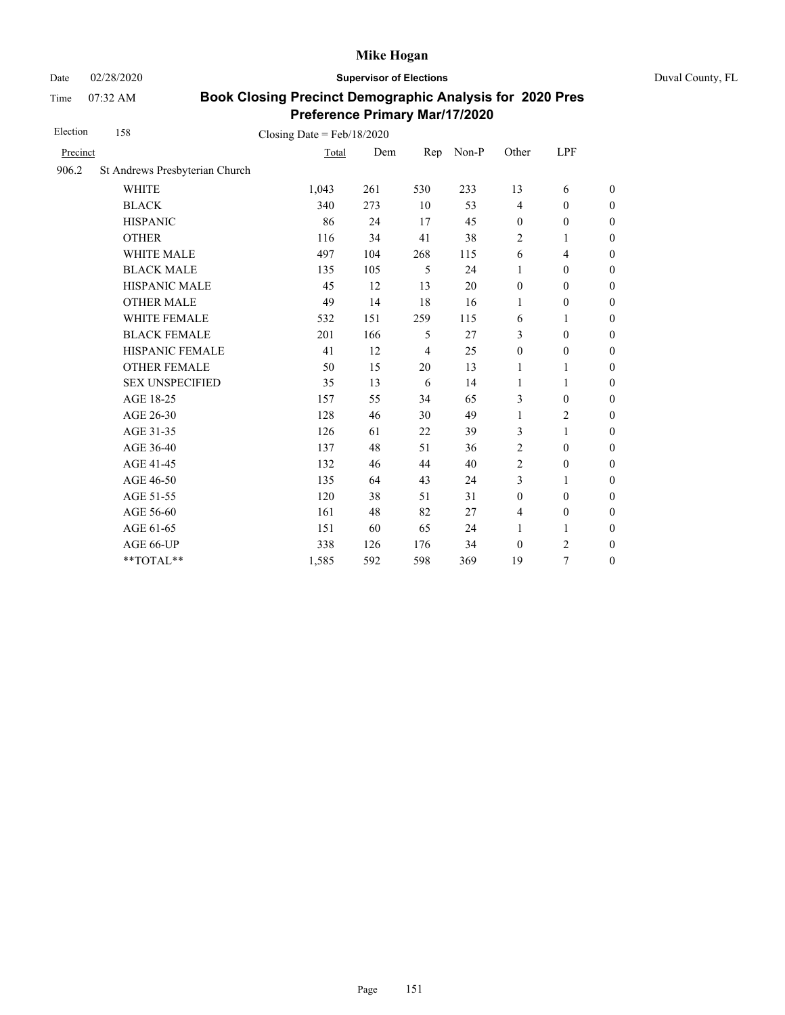Date 02/28/2020 **Supervisor of Elections** Duval County, FL

Time 07:32 AM

| Election | 158                            | Closing Date = $Feb/18/2020$ |     |     |       |                  |                  |                  |
|----------|--------------------------------|------------------------------|-----|-----|-------|------------------|------------------|------------------|
| Precinct |                                | Total                        | Dem | Rep | Non-P | Other            | LPF              |                  |
| 906.2    | St Andrews Presbyterian Church |                              |     |     |       |                  |                  |                  |
|          | <b>WHITE</b>                   | 1,043                        | 261 | 530 | 233   | 13               | 6                | $\boldsymbol{0}$ |
|          | <b>BLACK</b>                   | 340                          | 273 | 10  | 53    | $\overline{4}$   | $\mathbf{0}$     | $\boldsymbol{0}$ |
|          | <b>HISPANIC</b>                | 86                           | 24  | 17  | 45    | $\mathbf{0}$     | $\theta$         | $\boldsymbol{0}$ |
|          | <b>OTHER</b>                   | 116                          | 34  | 41  | 38    | $\overline{c}$   | 1                | $\mathbf{0}$     |
|          | WHITE MALE                     | 497                          | 104 | 268 | 115   | 6                | 4                | $\boldsymbol{0}$ |
|          | <b>BLACK MALE</b>              | 135                          | 105 | 5   | 24    | 1                | $\theta$         | $\boldsymbol{0}$ |
|          | <b>HISPANIC MALE</b>           | 45                           | 12  | 13  | 20    | $\mathbf{0}$     | $\mathbf{0}$     | $\boldsymbol{0}$ |
|          | <b>OTHER MALE</b>              | 49                           | 14  | 18  | 16    | 1                | $\boldsymbol{0}$ | $\boldsymbol{0}$ |
|          | WHITE FEMALE                   | 532                          | 151 | 259 | 115   | 6                | 1                | $\boldsymbol{0}$ |
|          | <b>BLACK FEMALE</b>            | 201                          | 166 | 5   | 27    | 3                | $\mathbf{0}$     | $\boldsymbol{0}$ |
|          | HISPANIC FEMALE                | 41                           | 12  | 4   | 25    | $\boldsymbol{0}$ | $\boldsymbol{0}$ | $\boldsymbol{0}$ |
|          | <b>OTHER FEMALE</b>            | 50                           | 15  | 20  | 13    | 1                | 1                | $\boldsymbol{0}$ |
|          | <b>SEX UNSPECIFIED</b>         | 35                           | 13  | 6   | 14    | 1                | 1                | $\boldsymbol{0}$ |
|          | AGE 18-25                      | 157                          | 55  | 34  | 65    | 3                | $\theta$         | $\boldsymbol{0}$ |
|          | AGE 26-30                      | 128                          | 46  | 30  | 49    | 1                | $\overline{c}$   | $\mathbf{0}$     |
|          | AGE 31-35                      | 126                          | 61  | 22  | 39    | 3                | 1                | $\boldsymbol{0}$ |
|          | AGE 36-40                      | 137                          | 48  | 51  | 36    | 2                | $\theta$         | $\boldsymbol{0}$ |
|          | AGE 41-45                      | 132                          | 46  | 44  | 40    | $\overline{c}$   | $\boldsymbol{0}$ | $\boldsymbol{0}$ |
|          | AGE 46-50                      | 135                          | 64  | 43  | 24    | 3                | 1                | $\boldsymbol{0}$ |
|          | AGE 51-55                      | 120                          | 38  | 51  | 31    | $\mathbf{0}$     | $\theta$         | $\boldsymbol{0}$ |
|          | AGE 56-60                      | 161                          | 48  | 82  | 27    | 4                | $\boldsymbol{0}$ | $\boldsymbol{0}$ |
|          | AGE 61-65                      | 151                          | 60  | 65  | 24    | 1                | 1                | $\boldsymbol{0}$ |
|          | AGE 66-UP                      | 338                          | 126 | 176 | 34    | $\boldsymbol{0}$ | 2                | $\boldsymbol{0}$ |
|          | **TOTAL**                      | 1,585                        | 592 | 598 | 369   | 19               | 7                | $\boldsymbol{0}$ |
|          |                                |                              |     |     |       |                  |                  |                  |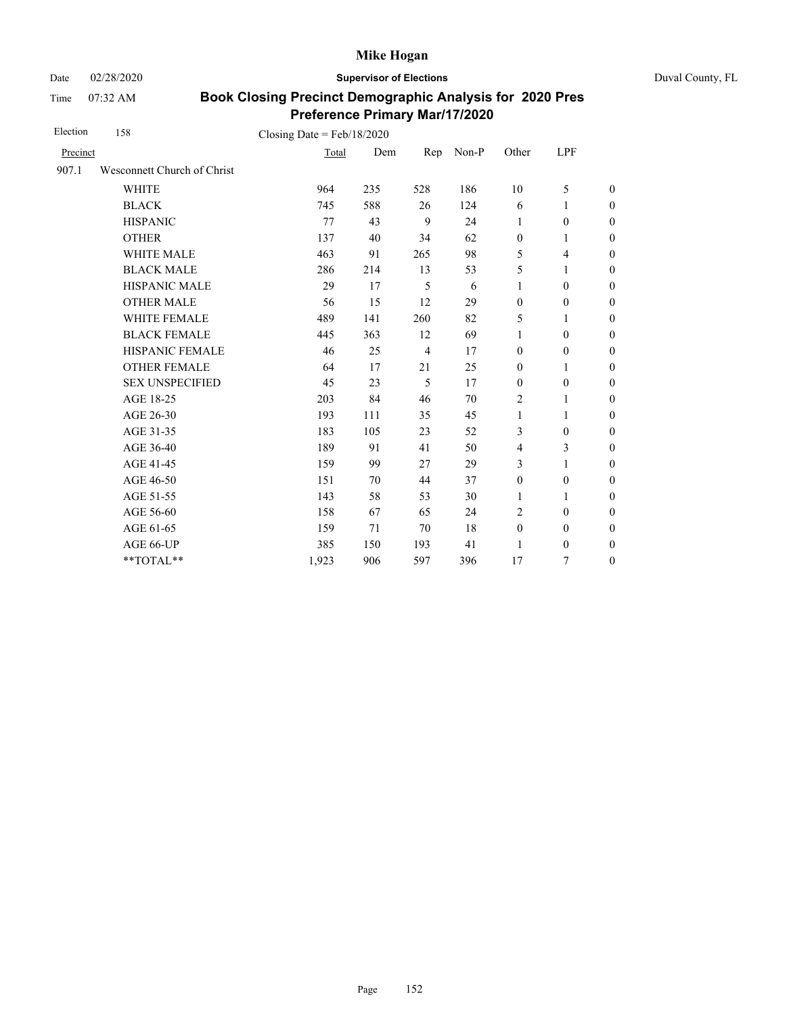Date 02/28/2020 **Supervisor of Elections** Duval County, FL

Time 07:32 AM

| Election | 158                         | Closing Date = $Feb/18/2020$ |     |                |       |                  |                  |                  |
|----------|-----------------------------|------------------------------|-----|----------------|-------|------------------|------------------|------------------|
| Precinct |                             | Total                        | Dem | Rep            | Non-P | Other            | LPF              |                  |
| 907.1    | Wesconnett Church of Christ |                              |     |                |       |                  |                  |                  |
|          | <b>WHITE</b>                | 964                          | 235 | 528            | 186   | 10               | 5                | $\boldsymbol{0}$ |
|          | <b>BLACK</b>                | 745                          | 588 | 26             | 124   | 6                | 1                | $\boldsymbol{0}$ |
|          | <b>HISPANIC</b>             | 77                           | 43  | 9              | 24    | 1                | $\boldsymbol{0}$ | $\overline{0}$   |
|          | <b>OTHER</b>                | 137                          | 40  | 34             | 62    | $\boldsymbol{0}$ | 1                | $\boldsymbol{0}$ |
|          | WHITE MALE                  | 463                          | 91  | 265            | 98    | 5                | 4                | $\boldsymbol{0}$ |
|          | <b>BLACK MALE</b>           | 286                          | 214 | 13             | 53    | 5                | 1                | $\boldsymbol{0}$ |
|          | HISPANIC MALE               | 29                           | 17  | 5              | 6     | $\mathbf{1}$     | $\boldsymbol{0}$ | $\overline{0}$   |
|          | <b>OTHER MALE</b>           | 56                           | 15  | 12             | 29    | $\boldsymbol{0}$ | $\boldsymbol{0}$ | $\boldsymbol{0}$ |
|          | WHITE FEMALE                | 489                          | 141 | 260            | 82    | 5                | 1                | $\boldsymbol{0}$ |
|          | <b>BLACK FEMALE</b>         | 445                          | 363 | 12             | 69    | 1                | $\mathbf{0}$     | $\theta$         |
|          | HISPANIC FEMALE             | 46                           | 25  | $\overline{4}$ | 17    | $\boldsymbol{0}$ | $\boldsymbol{0}$ | $\mathbf{0}$     |
|          | <b>OTHER FEMALE</b>         | 64                           | 17  | 21             | 25    | $\mathbf{0}$     | 1                | $\theta$         |
|          | <b>SEX UNSPECIFIED</b>      | 45                           | 23  | 5              | 17    | $\mathbf{0}$     | $\boldsymbol{0}$ | $\boldsymbol{0}$ |
|          | AGE 18-25                   | 203                          | 84  | 46             | 70    | $\overline{2}$   | 1                | $\theta$         |
|          | AGE 26-30                   | 193                          | 111 | 35             | 45    | 1                | 1                | $\theta$         |
|          | AGE 31-35                   | 183                          | 105 | 23             | 52    | 3                | $\mathbf{0}$     | $\boldsymbol{0}$ |
|          | AGE 36-40                   | 189                          | 91  | 41             | 50    | $\overline{4}$   | 3                | $\boldsymbol{0}$ |
|          | AGE 41-45                   | 159                          | 99  | 27             | 29    | 3                | $\mathbf{1}$     | $\theta$         |
|          | AGE 46-50                   | 151                          | 70  | 44             | 37    | $\boldsymbol{0}$ | $\mathbf{0}$     | $\boldsymbol{0}$ |
|          | AGE 51-55                   | 143                          | 58  | 53             | 30    | $\mathbf{1}$     | 1                | $\boldsymbol{0}$ |
|          | AGE 56-60                   | 158                          | 67  | 65             | 24    | $\overline{c}$   | $\mathbf{0}$     | $\theta$         |
|          | AGE 61-65                   | 159                          | 71  | 70             | 18    | $\boldsymbol{0}$ | $\boldsymbol{0}$ | $\mathbf{0}$     |
|          | AGE 66-UP                   | 385                          | 150 | 193            | 41    | 1                | $\boldsymbol{0}$ | $\boldsymbol{0}$ |
|          | $**TOTAL**$                 | 1,923                        | 906 | 597            | 396   | 17               | 7                | $\boldsymbol{0}$ |
|          |                             |                              |     |                |       |                  |                  |                  |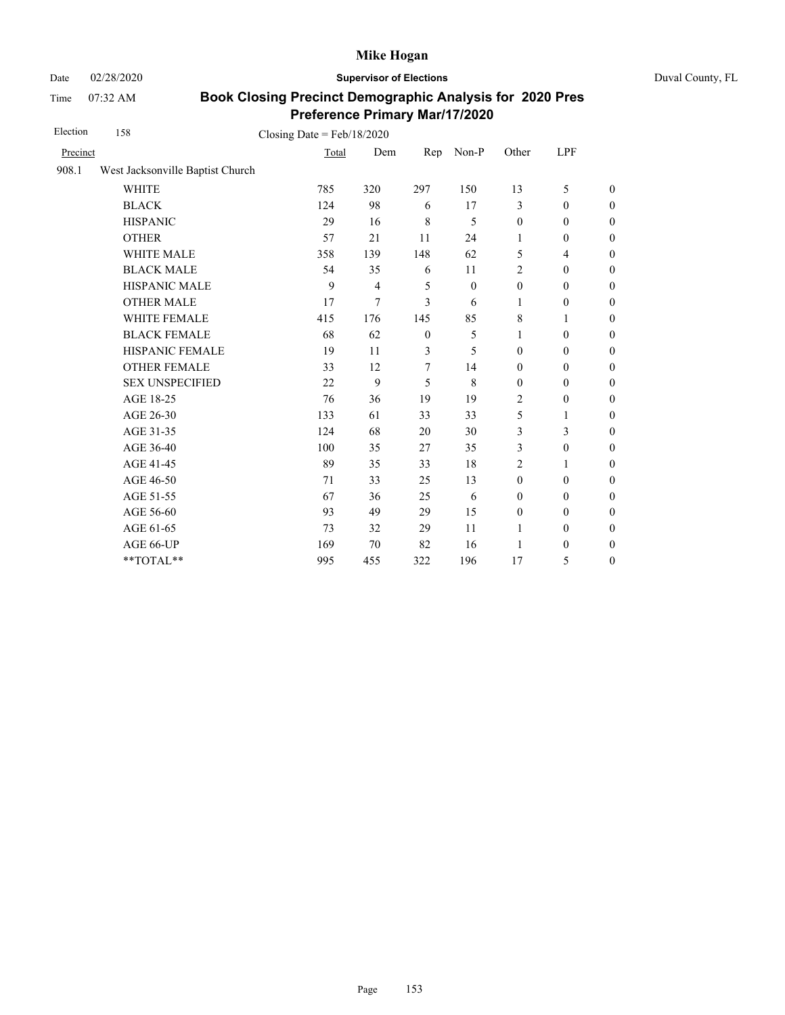Date 02/28/2020 **Supervisor of Elections** Duval County, FL

Time 07:32 AM

| Election | 158                              | Closing Date = $Feb/18/2020$ |                |              |                  |                  |                          |                  |
|----------|----------------------------------|------------------------------|----------------|--------------|------------------|------------------|--------------------------|------------------|
| Precinct |                                  | Total                        | Dem            | Rep          | Non-P            | Other            | LPF                      |                  |
| 908.1    | West Jacksonville Baptist Church |                              |                |              |                  |                  |                          |                  |
|          | <b>WHITE</b>                     | 785                          | 320            | 297          | 150              | 13               | 5                        | $\theta$         |
|          | <b>BLACK</b>                     | 124                          | 98             | 6            | 17               | 3                | $\mathbf{0}$             | $\boldsymbol{0}$ |
|          | <b>HISPANIC</b>                  | 29                           | 16             | 8            | 5                | $\boldsymbol{0}$ | $\boldsymbol{0}$         | $\boldsymbol{0}$ |
|          | <b>OTHER</b>                     | 57                           | 21             | 11           | 24               | $\mathbf{1}$     | $\boldsymbol{0}$         | $\overline{0}$   |
|          | WHITE MALE                       | 358                          | 139            | 148          | 62               | 5                | $\overline{\mathcal{L}}$ | $\boldsymbol{0}$ |
|          | <b>BLACK MALE</b>                | 54                           | 35             | 6            | 11               | $\sqrt{2}$       | $\boldsymbol{0}$         | $\boldsymbol{0}$ |
|          | <b>HISPANIC MALE</b>             | 9                            | $\overline{4}$ | 5            | $\boldsymbol{0}$ | $\boldsymbol{0}$ | $\boldsymbol{0}$         | $\overline{0}$   |
|          | <b>OTHER MALE</b>                | 17                           | 7              | 3            | 6                | 1                | $\boldsymbol{0}$         | $\boldsymbol{0}$ |
|          | <b>WHITE FEMALE</b>              | 415                          | 176            | 145          | 85               | 8                | 1                        | $\boldsymbol{0}$ |
|          | <b>BLACK FEMALE</b>              | 68                           | 62             | $\mathbf{0}$ | 5                | $\mathbf{1}$     | $\mathbf{0}$             | $\boldsymbol{0}$ |
|          | HISPANIC FEMALE                  | 19                           | 11             | 3            | 5                | $\boldsymbol{0}$ | $\boldsymbol{0}$         | $\boldsymbol{0}$ |
|          | <b>OTHER FEMALE</b>              | 33                           | 12             | 7            | 14               | $\mathbf{0}$     | $\mathbf{0}$             | $\boldsymbol{0}$ |
|          | <b>SEX UNSPECIFIED</b>           | 22                           | 9              | 5            | 8                | $\mathbf{0}$     | $\boldsymbol{0}$         | $\boldsymbol{0}$ |
|          | AGE 18-25                        | 76                           | 36             | 19           | 19               | $\overline{2}$   | $\boldsymbol{0}$         | $\boldsymbol{0}$ |
|          | AGE 26-30                        | 133                          | 61             | 33           | 33               | 5                | 1                        | $\boldsymbol{0}$ |
|          | AGE 31-35                        | 124                          | 68             | 20           | 30               | 3                | 3                        | $\boldsymbol{0}$ |
|          | AGE 36-40                        | 100                          | 35             | 27           | 35               | 3                | $\boldsymbol{0}$         | $\boldsymbol{0}$ |
|          | AGE 41-45                        | 89                           | 35             | 33           | 18               | $\overline{2}$   | $\mathbf{1}$             | $\overline{0}$   |
|          | AGE 46-50                        | 71                           | 33             | 25           | 13               | $\mathbf{0}$     | $\boldsymbol{0}$         | $\boldsymbol{0}$ |
|          | AGE 51-55                        | 67                           | 36             | 25           | 6                | $\mathbf{0}$     | $\mathbf{0}$             | $\boldsymbol{0}$ |
|          | AGE 56-60                        | 93                           | 49             | 29           | 15               | $\mathbf{0}$     | $\mathbf{0}$             | $\overline{0}$   |
|          | AGE 61-65                        | 73                           | 32             | 29           | 11               | 1                | $\boldsymbol{0}$         | $\boldsymbol{0}$ |
|          | AGE 66-UP                        | 169                          | 70             | 82           | 16               | 1                | $\boldsymbol{0}$         | $\boldsymbol{0}$ |
|          | **TOTAL**                        | 995                          | 455            | 322          | 196              | 17               | 5                        | $\boldsymbol{0}$ |
|          |                                  |                              |                |              |                  |                  |                          |                  |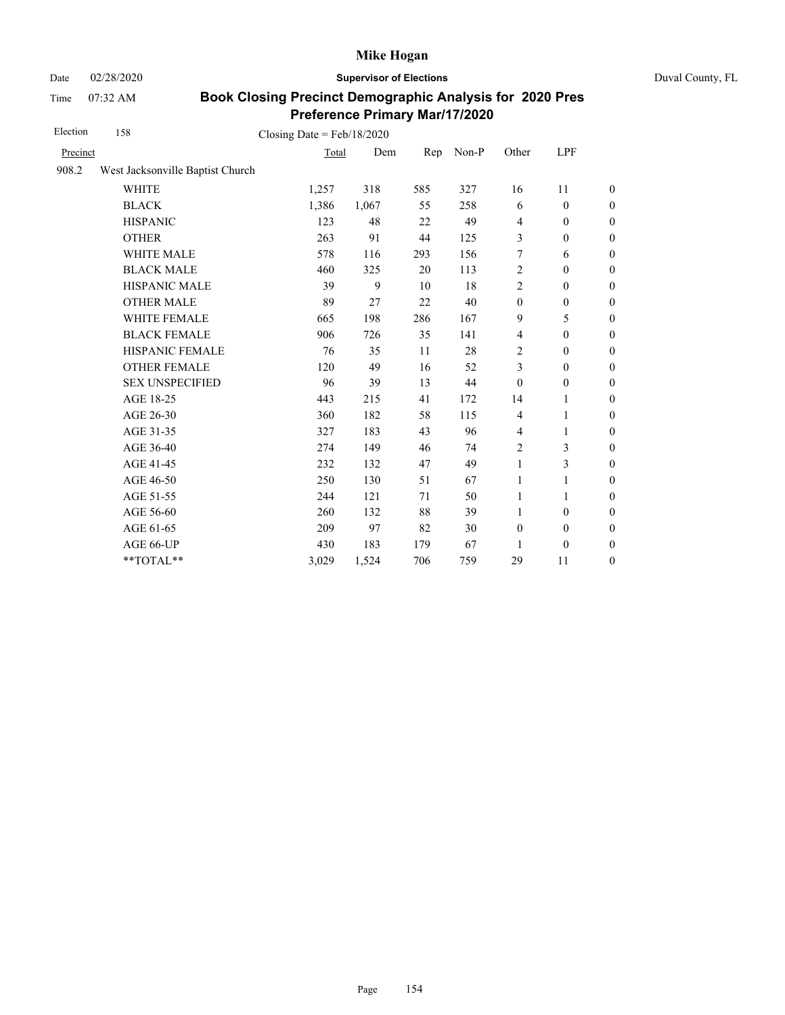Date 02/28/2020 **Supervisor of Elections** Duval County, FL

Time 07:32 AM

| Election | 158                              | Closing Date = $Feb/18/2020$ |       |     |       |                  |                  |                  |
|----------|----------------------------------|------------------------------|-------|-----|-------|------------------|------------------|------------------|
| Precinct |                                  | Total                        | Dem   | Rep | Non-P | Other            | LPF              |                  |
| 908.2    | West Jacksonville Baptist Church |                              |       |     |       |                  |                  |                  |
|          | <b>WHITE</b>                     | 1,257                        | 318   | 585 | 327   | 16               | 11               | $\theta$         |
|          | <b>BLACK</b>                     | 1,386                        | 1,067 | 55  | 258   | 6                | $\mathbf{0}$     | $\boldsymbol{0}$ |
|          | <b>HISPANIC</b>                  | 123                          | 48    | 22  | 49    | $\overline{4}$   | $\mathbf{0}$     | $\boldsymbol{0}$ |
|          | <b>OTHER</b>                     | 263                          | 91    | 44  | 125   | 3                | $\boldsymbol{0}$ | $\overline{0}$   |
|          | WHITE MALE                       | 578                          | 116   | 293 | 156   | 7                | 6                | $\boldsymbol{0}$ |
|          | <b>BLACK MALE</b>                | 460                          | 325   | 20  | 113   | $\overline{c}$   | $\mathbf{0}$     | $\boldsymbol{0}$ |
|          | HISPANIC MALE                    | 39                           | 9     | 10  | 18    | $\overline{c}$   | $\mathbf{0}$     | $\mathbf{0}$     |
|          | <b>OTHER MALE</b>                | 89                           | 27    | 22  | 40    | $\boldsymbol{0}$ | $\boldsymbol{0}$ | $\mathbf{0}$     |
|          | <b>WHITE FEMALE</b>              | 665                          | 198   | 286 | 167   | 9                | 5                | $\boldsymbol{0}$ |
|          | <b>BLACK FEMALE</b>              | 906                          | 726   | 35  | 141   | $\overline{4}$   | $\boldsymbol{0}$ | $\mathbf{0}$     |
|          | HISPANIC FEMALE                  | 76                           | 35    | 11  | 28    | 2                | $\boldsymbol{0}$ | $\mathbf{0}$     |
|          | <b>OTHER FEMALE</b>              | 120                          | 49    | 16  | 52    | 3                | $\mathbf{0}$     | $\mathbf{0}$     |
|          | <b>SEX UNSPECIFIED</b>           | 96                           | 39    | 13  | 44    | $\mathbf{0}$     | $\mathbf{0}$     | $\boldsymbol{0}$ |
|          | AGE 18-25                        | 443                          | 215   | 41  | 172   | 14               | 1                | $\boldsymbol{0}$ |
|          | AGE 26-30                        | 360                          | 182   | 58  | 115   | $\overline{4}$   | $\mathbf{1}$     | $\overline{0}$   |
|          | AGE 31-35                        | 327                          | 183   | 43  | 96    | $\overline{4}$   | 1                | $\boldsymbol{0}$ |
|          | AGE 36-40                        | 274                          | 149   | 46  | 74    | $\overline{c}$   | 3                | $\boldsymbol{0}$ |
|          | AGE 41-45                        | 232                          | 132   | 47  | 49    | $\mathbf{1}$     | 3                | $\mathbf{0}$     |
|          | AGE 46-50                        | 250                          | 130   | 51  | 67    | 1                | 1                | $\boldsymbol{0}$ |
|          | AGE 51-55                        | 244                          | 121   | 71  | 50    | $\mathbf{1}$     | 1                | $\boldsymbol{0}$ |
|          | AGE 56-60                        | 260                          | 132   | 88  | 39    | 1                | $\mathbf{0}$     | $\boldsymbol{0}$ |
|          | AGE 61-65                        | 209                          | 97    | 82  | 30    | $\boldsymbol{0}$ | $\boldsymbol{0}$ | $\mathbf{0}$     |
|          | AGE 66-UP                        | 430                          | 183   | 179 | 67    | 1                | $\boldsymbol{0}$ | $\boldsymbol{0}$ |
|          | **TOTAL**                        | 3,029                        | 1,524 | 706 | 759   | 29               | 11               | $\boldsymbol{0}$ |
|          |                                  |                              |       |     |       |                  |                  |                  |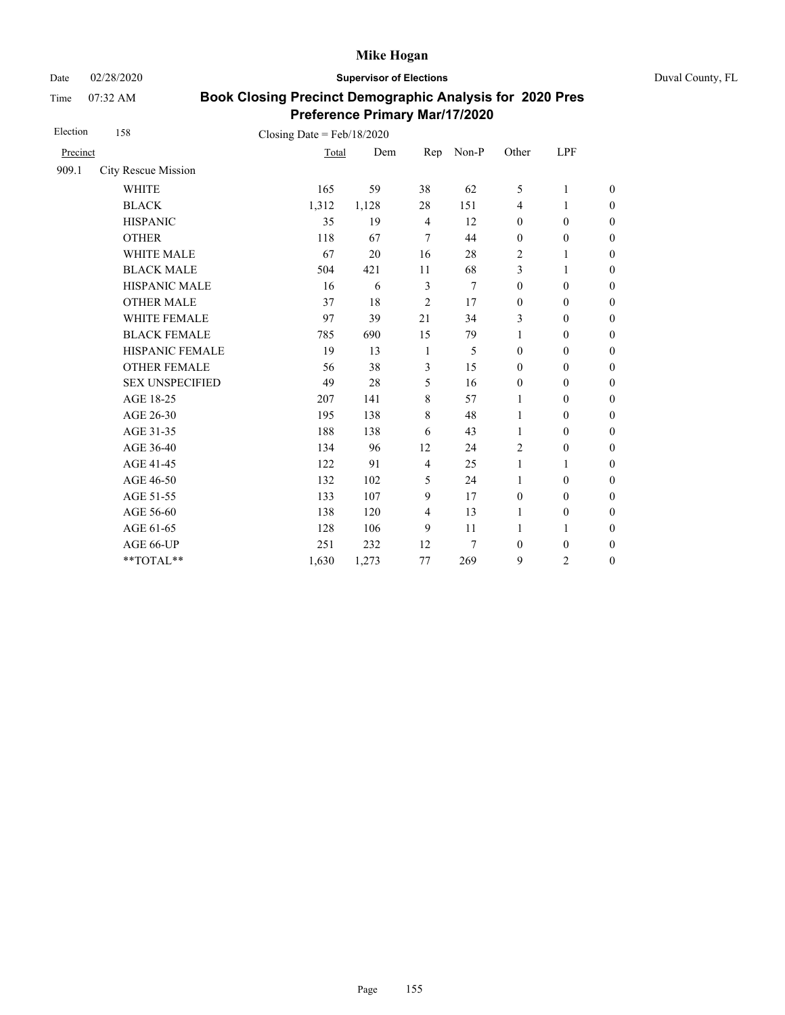Date 02/28/2020 **Supervisor of Elections** Duval County, FL

Time 07:32 AM

| Election | 158                    | Closing Date = $Feb/18/2020$ |       |                |                  |                  |                  |                  |
|----------|------------------------|------------------------------|-------|----------------|------------------|------------------|------------------|------------------|
| Precinct |                        | Total                        | Dem   | Rep            | Non-P            | Other            | LPF              |                  |
| 909.1    | City Rescue Mission    |                              |       |                |                  |                  |                  |                  |
|          | <b>WHITE</b>           | 165                          | 59    | 38             | 62               | 5                | $\mathbf{1}$     | $\overline{0}$   |
|          | <b>BLACK</b>           | 1,312                        | 1,128 | 28             | 151              | $\overline{4}$   | 1                | $\boldsymbol{0}$ |
|          | <b>HISPANIC</b>        | 35                           | 19    | $\overline{4}$ | 12               | $\boldsymbol{0}$ | $\boldsymbol{0}$ | $\boldsymbol{0}$ |
|          | <b>OTHER</b>           | 118                          | 67    | $\overline{7}$ | 44               | $\boldsymbol{0}$ | $\boldsymbol{0}$ | $\overline{0}$   |
|          | WHITE MALE             | 67                           | 20    | 16             | 28               | 2                | 1                | $\boldsymbol{0}$ |
|          | <b>BLACK MALE</b>      | 504                          | 421   | 11             | 68               | 3                | 1                | $\boldsymbol{0}$ |
|          | <b>HISPANIC MALE</b>   | 16                           | 6     | $\mathfrak{Z}$ | $\boldsymbol{7}$ | $\boldsymbol{0}$ | $\boldsymbol{0}$ | $\overline{0}$   |
|          | <b>OTHER MALE</b>      | 37                           | 18    | $\overline{2}$ | 17               | $\boldsymbol{0}$ | $\mathbf{0}$     | $\boldsymbol{0}$ |
|          | <b>WHITE FEMALE</b>    | 97                           | 39    | 21             | 34               | 3                | $\mathbf{0}$     | $\boldsymbol{0}$ |
|          | <b>BLACK FEMALE</b>    | 785                          | 690   | 15             | 79               | $\mathbf{1}$     | $\boldsymbol{0}$ | $\boldsymbol{0}$ |
|          | HISPANIC FEMALE        | 19                           | 13    | 1              | 5                | $\boldsymbol{0}$ | $\boldsymbol{0}$ | $\boldsymbol{0}$ |
|          | <b>OTHER FEMALE</b>    | 56                           | 38    | 3              | 15               | $\mathbf{0}$     | $\mathbf{0}$     | $\overline{0}$   |
|          | <b>SEX UNSPECIFIED</b> | 49                           | 28    | 5              | 16               | $\mathbf{0}$     | $\boldsymbol{0}$ | $\boldsymbol{0}$ |
|          | AGE 18-25              | 207                          | 141   | $\,8\,$        | 57               | 1                | $\boldsymbol{0}$ | $\boldsymbol{0}$ |
|          | AGE 26-30              | 195                          | 138   | $\,8\,$        | 48               | 1                | $\boldsymbol{0}$ | $\overline{0}$   |
|          | AGE 31-35              | 188                          | 138   | 6              | 43               | 1                | $\boldsymbol{0}$ | $\boldsymbol{0}$ |
|          | AGE 36-40              | 134                          | 96    | 12             | 24               | $\sqrt{2}$       | $\boldsymbol{0}$ | $\boldsymbol{0}$ |
|          | AGE 41-45              | 122                          | 91    | $\overline{4}$ | 25               | $\mathbf{1}$     | $\mathbf{1}$     | $\overline{0}$   |
|          | AGE 46-50              | 132                          | 102   | 5              | 24               | 1                | $\boldsymbol{0}$ | $\boldsymbol{0}$ |
|          | AGE 51-55              | 133                          | 107   | 9              | 17               | $\boldsymbol{0}$ | $\mathbf{0}$     | $\boldsymbol{0}$ |
|          | AGE 56-60              | 138                          | 120   | $\overline{4}$ | 13               | 1                | $\boldsymbol{0}$ | $\overline{0}$   |
|          | AGE 61-65              | 128                          | 106   | 9              | 11               | $\mathbf{1}$     | $\mathbf{1}$     | $\boldsymbol{0}$ |
|          | AGE 66-UP              | 251                          | 232   | 12             | 7                | $\boldsymbol{0}$ | $\boldsymbol{0}$ | $\boldsymbol{0}$ |
|          | **TOTAL**              | 1,630                        | 1,273 | 77             | 269              | 9                | $\overline{c}$   | $\boldsymbol{0}$ |
|          |                        |                              |       |                |                  |                  |                  |                  |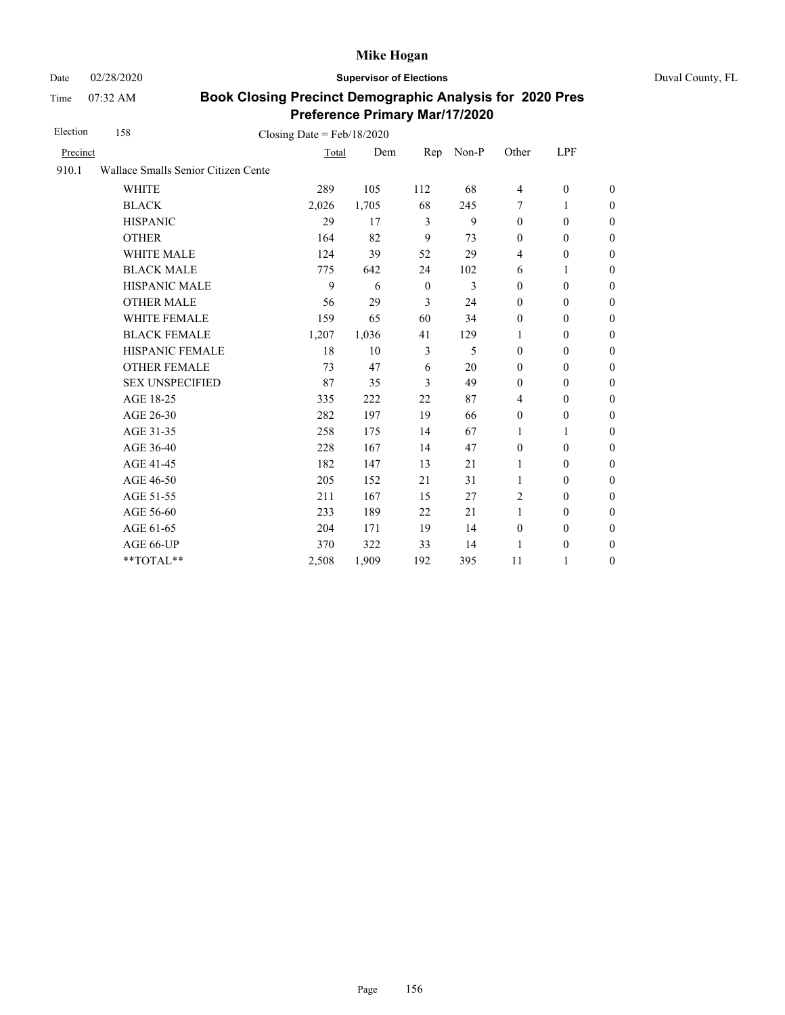Time 07:32 AM

Date 02/28/2020 **Supervisor of Elections** Duval County, FL

| Election | 158<br>Closing Date = $Feb/18/2020$ |       |       |                |       |                  |                  |                  |  |
|----------|-------------------------------------|-------|-------|----------------|-------|------------------|------------------|------------------|--|
| Precinct |                                     | Total | Dem   | Rep            | Non-P | Other            | LPF              |                  |  |
| 910.1    | Wallace Smalls Senior Citizen Cente |       |       |                |       |                  |                  |                  |  |
|          | <b>WHITE</b>                        | 289   | 105   | 112            | 68    | 4                | $\boldsymbol{0}$ | $\mathbf{0}$     |  |
|          | <b>BLACK</b>                        | 2,026 | 1,705 | 68             | 245   | 7                | 1                | $\boldsymbol{0}$ |  |
|          | <b>HISPANIC</b>                     | 29    | 17    | 3              | 9     | $\mathbf{0}$     | $\mathbf{0}$     | $\boldsymbol{0}$ |  |
|          | <b>OTHER</b>                        | 164   | 82    | 9              | 73    | $\mathbf{0}$     | $\mathbf{0}$     | $\mathbf{0}$     |  |
|          | <b>WHITE MALE</b>                   | 124   | 39    | 52             | 29    | 4                | $\mathbf{0}$     | $\boldsymbol{0}$ |  |
|          | <b>BLACK MALE</b>                   | 775   | 642   | 24             | 102   | 6                | 1                | $\boldsymbol{0}$ |  |
|          | <b>HISPANIC MALE</b>                | 9     | 6     | $\mathbf{0}$   | 3     | $\mathbf{0}$     | $\mathbf{0}$     | $\boldsymbol{0}$ |  |
|          | <b>OTHER MALE</b>                   | 56    | 29    | 3              | 24    | $\mathbf{0}$     | $\mathbf{0}$     | $\boldsymbol{0}$ |  |
|          | WHITE FEMALE                        | 159   | 65    | 60             | 34    | $\mathbf{0}$     | $\mathbf{0}$     | $\boldsymbol{0}$ |  |
|          | <b>BLACK FEMALE</b>                 | 1,207 | 1,036 | 41             | 129   | 1                | $\mathbf{0}$     | $\boldsymbol{0}$ |  |
|          | HISPANIC FEMALE                     | 18    | 10    | $\overline{3}$ | 5     | $\mathbf{0}$     | $\mathbf{0}$     | $\mathbf{0}$     |  |
|          | <b>OTHER FEMALE</b>                 | 73    | 47    | 6              | 20    | $\mathbf{0}$     | $\mathbf{0}$     | $\mathbf{0}$     |  |
|          | <b>SEX UNSPECIFIED</b>              | 87    | 35    | 3              | 49    | $\mathbf{0}$     | $\mathbf{0}$     | $\boldsymbol{0}$ |  |
|          | AGE 18-25                           | 335   | 222   | 22             | 87    | $\overline{4}$   | $\mathbf{0}$     | $\boldsymbol{0}$ |  |
|          | AGE 26-30                           | 282   | 197   | 19             | 66    | $\boldsymbol{0}$ | $\boldsymbol{0}$ | $\mathbf{0}$     |  |
|          | AGE 31-35                           | 258   | 175   | 14             | 67    | 1                | 1                | $\boldsymbol{0}$ |  |
|          | AGE 36-40                           | 228   | 167   | 14             | 47    | $\mathbf{0}$     | $\mathbf{0}$     | $\boldsymbol{0}$ |  |
|          | AGE 41-45                           | 182   | 147   | 13             | 21    | 1                | $\boldsymbol{0}$ | $\boldsymbol{0}$ |  |
|          | AGE 46-50                           | 205   | 152   | 21             | 31    | $\mathbf{1}$     | $\mathbf{0}$     | $\boldsymbol{0}$ |  |
|          | AGE 51-55                           | 211   | 167   | 15             | 27    | $\overline{2}$   | $\overline{0}$   | $\theta$         |  |
|          | AGE 56-60                           | 233   | 189   | 22             | 21    | 1                | $\mathbf{0}$     | $\boldsymbol{0}$ |  |
|          | AGE 61-65                           | 204   | 171   | 19             | 14    | $\boldsymbol{0}$ | $\mathbf{0}$     | $\theta$         |  |
|          | AGE 66-UP                           | 370   | 322   | 33             | 14    | 1                | $\boldsymbol{0}$ | $\boldsymbol{0}$ |  |
|          | **TOTAL**                           | 2,508 | 1,909 | 192            | 395   | 11               | 1                | $\boldsymbol{0}$ |  |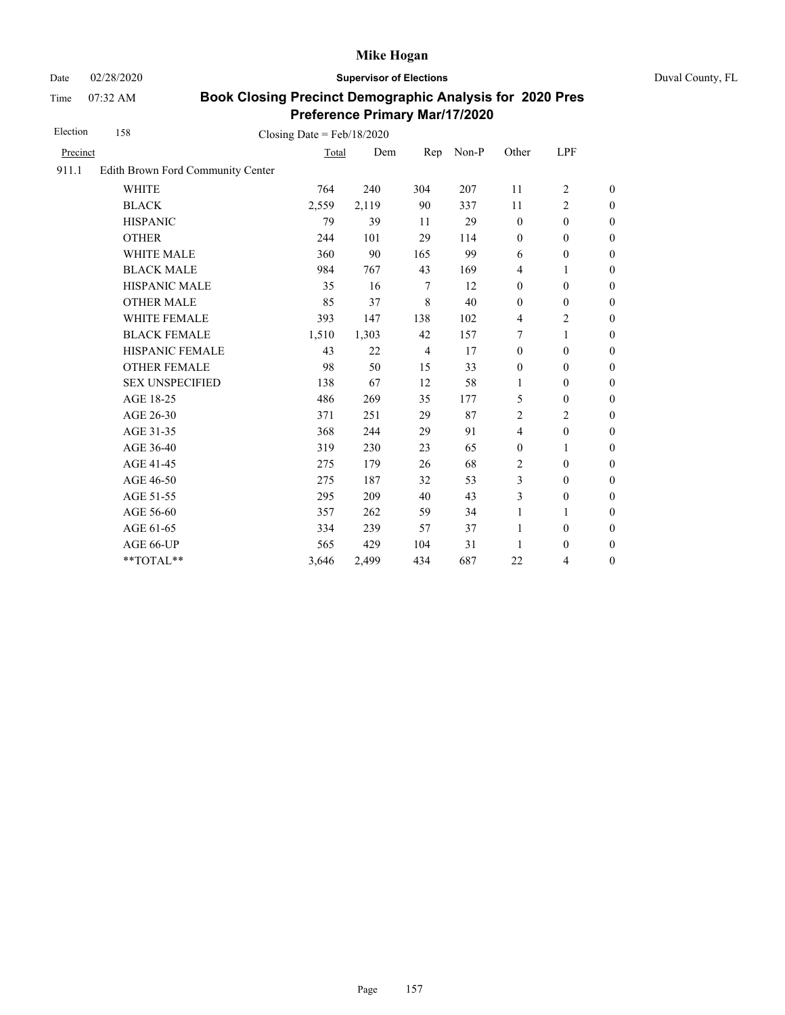Date 02/28/2020 **Supervisor of Elections** Duval County, FL

Time 07:32 AM

| Election | 158                               | Closing Date = $Feb/18/2020$ |       |                |       |                  |                  |                  |
|----------|-----------------------------------|------------------------------|-------|----------------|-------|------------------|------------------|------------------|
| Precinct |                                   | Total                        | Dem   | Rep            | Non-P | Other            | LPF              |                  |
| 911.1    | Edith Brown Ford Community Center |                              |       |                |       |                  |                  |                  |
|          | <b>WHITE</b>                      | 764                          | 240   | 304            | 207   | 11               | $\overline{2}$   | $\boldsymbol{0}$ |
|          | <b>BLACK</b>                      | 2,559                        | 2,119 | 90             | 337   | 11               | 2                | $\boldsymbol{0}$ |
|          | <b>HISPANIC</b>                   | 79                           | 39    | 11             | 29    | $\boldsymbol{0}$ | $\mathbf{0}$     | $\boldsymbol{0}$ |
|          | <b>OTHER</b>                      | 244                          | 101   | 29             | 114   | $\boldsymbol{0}$ | $\mathbf{0}$     | $\overline{0}$   |
|          | <b>WHITE MALE</b>                 | 360                          | 90    | 165            | 99    | 6                | $\boldsymbol{0}$ | $\boldsymbol{0}$ |
|          | <b>BLACK MALE</b>                 | 984                          | 767   | 43             | 169   | $\overline{4}$   | 1                | $\boldsymbol{0}$ |
|          | <b>HISPANIC MALE</b>              | 35                           | 16    | $\tau$         | 12    | $\mathbf{0}$     | $\mathbf{0}$     | $\overline{0}$   |
|          | <b>OTHER MALE</b>                 | 85                           | 37    | 8              | 40    | $\mathbf{0}$     | $\mathbf{0}$     | $\boldsymbol{0}$ |
|          | WHITE FEMALE                      | 393                          | 147   | 138            | 102   | $\overline{4}$   | $\overline{2}$   | $\theta$         |
|          | <b>BLACK FEMALE</b>               | 1,510                        | 1,303 | 42             | 157   | 7                | 1                | $\theta$         |
|          | HISPANIC FEMALE                   | 43                           | 22    | $\overline{4}$ | 17    | $\boldsymbol{0}$ | $\boldsymbol{0}$ | $\mathbf{0}$     |
|          | <b>OTHER FEMALE</b>               | 98                           | 50    | 15             | 33    | $\boldsymbol{0}$ | $\mathbf{0}$     | $\boldsymbol{0}$ |
|          | <b>SEX UNSPECIFIED</b>            | 138                          | 67    | 12             | 58    | 1                | $\mathbf{0}$     | $\boldsymbol{0}$ |
|          | AGE 18-25                         | 486                          | 269   | 35             | 177   | 5                | $\boldsymbol{0}$ | $\mathbf{0}$     |
|          | AGE 26-30                         | 371                          | 251   | 29             | 87    | $\overline{2}$   | $\overline{2}$   | $\overline{0}$   |
|          | AGE 31-35                         | 368                          | 244   | 29             | 91    | $\overline{4}$   | $\mathbf{0}$     | $\boldsymbol{0}$ |
|          | AGE 36-40                         | 319                          | 230   | 23             | 65    | $\mathbf{0}$     | 1                | $\boldsymbol{0}$ |
|          | AGE 41-45                         | 275                          | 179   | 26             | 68    | $\overline{2}$   | $\boldsymbol{0}$ | $\mathbf{0}$     |
|          | AGE 46-50                         | 275                          | 187   | 32             | 53    | 3                | $\boldsymbol{0}$ | $\boldsymbol{0}$ |
|          | AGE 51-55                         | 295                          | 209   | 40             | 43    | 3                | $\mathbf{0}$     | $\theta$         |
|          | AGE 56-60                         | 357                          | 262   | 59             | 34    | 1                | 1                | $\mathbf{0}$     |
|          | AGE 61-65                         | 334                          | 239   | 57             | 37    | 1                | $\boldsymbol{0}$ | $\mathbf{0}$     |
|          | AGE 66-UP                         | 565                          | 429   | 104            | 31    | 1                | $\boldsymbol{0}$ | $\boldsymbol{0}$ |
|          | **TOTAL**                         | 3,646                        | 2,499 | 434            | 687   | 22               | 4                | $\boldsymbol{0}$ |
|          |                                   |                              |       |                |       |                  |                  |                  |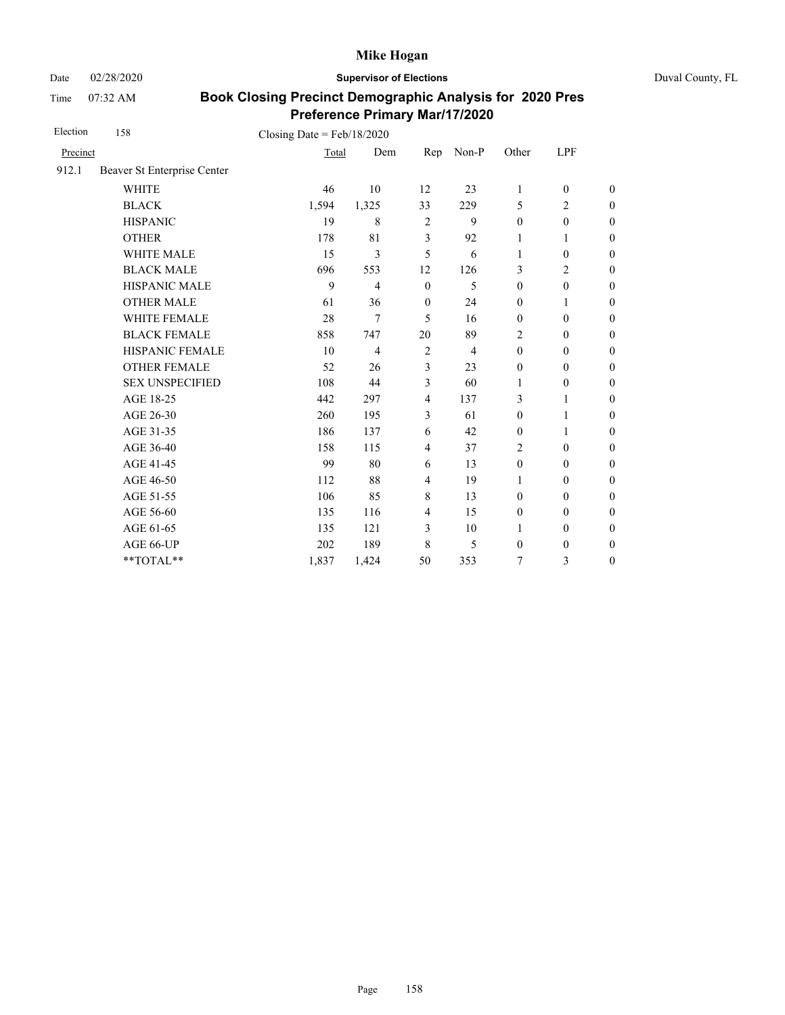Date 02/28/2020 **Supervisor of Elections** Duval County, FL

Time 07:32 AM

| Election | 158                         | Closing Date = $Feb/18/2020$ |                |                |                |                  |                  |                  |
|----------|-----------------------------|------------------------------|----------------|----------------|----------------|------------------|------------------|------------------|
| Precinct |                             | Total                        | Dem            | Rep            | Non-P          | Other            | LPF              |                  |
| 912.1    | Beaver St Enterprise Center |                              |                |                |                |                  |                  |                  |
|          | <b>WHITE</b>                | 46                           | 10             | 12             | 23             | $\mathbf{1}$     | $\boldsymbol{0}$ | $\boldsymbol{0}$ |
|          | <b>BLACK</b>                | 1,594                        | 1,325          | 33             | 229            | 5                | $\overline{c}$   | $\overline{0}$   |
|          | <b>HISPANIC</b>             | 19                           | 8              | $\overline{2}$ | 9              | $\boldsymbol{0}$ | $\boldsymbol{0}$ | $\overline{0}$   |
|          | <b>OTHER</b>                | 178                          | 81             | 3              | 92             | 1                | 1                | $\overline{0}$   |
|          | <b>WHITE MALE</b>           | 15                           | 3              | 5              | 6              | 1                | $\mathbf{0}$     | $\boldsymbol{0}$ |
|          | <b>BLACK MALE</b>           | 696                          | 553            | 12             | 126            | 3                | $\overline{2}$   | $\overline{0}$   |
|          | <b>HISPANIC MALE</b>        | 9                            | $\overline{4}$ | $\mathbf{0}$   | 5              | $\boldsymbol{0}$ | $\boldsymbol{0}$ | $\overline{0}$   |
|          | <b>OTHER MALE</b>           | 61                           | 36             | $\mathbf{0}$   | 24             | $\mathbf{0}$     | 1                | $\boldsymbol{0}$ |
|          | <b>WHITE FEMALE</b>         | 28                           | 7              | 5              | 16             | $\mathbf{0}$     | $\mathbf{0}$     | $\boldsymbol{0}$ |
|          | <b>BLACK FEMALE</b>         | 858                          | 747            | 20             | 89             | $\overline{c}$   | $\mathbf{0}$     | $\overline{0}$   |
|          | <b>HISPANIC FEMALE</b>      | 10                           | $\overline{4}$ | $\overline{2}$ | $\overline{4}$ | $\mathbf{0}$     | $\mathbf{0}$     | $\boldsymbol{0}$ |
|          | <b>OTHER FEMALE</b>         | 52                           | 26             | $\overline{3}$ | 23             | $\mathbf{0}$     | $\mathbf{0}$     | $\overline{0}$   |
|          | <b>SEX UNSPECIFIED</b>      | 108                          | 44             | $\overline{3}$ | 60             | $\mathbf{1}$     | $\mathbf{0}$     | $\overline{0}$   |
|          | AGE 18-25                   | 442                          | 297            | $\overline{4}$ | 137            | 3                | $\mathbf{1}$     | $\overline{0}$   |
|          | AGE 26-30                   | 260                          | 195            | $\overline{3}$ | 61             | $\mathbf{0}$     | 1                | $\boldsymbol{0}$ |
|          | AGE 31-35                   | 186                          | 137            | 6              | 42             | $\mathbf{0}$     | 1                | $\boldsymbol{0}$ |
|          | AGE 36-40                   | 158                          | 115            | $\overline{4}$ | 37             | $\overline{2}$   | $\mathbf{0}$     | $\boldsymbol{0}$ |
|          | AGE 41-45                   | 99                           | 80             | 6              | 13             | $\mathbf{0}$     | $\mathbf{0}$     | $\overline{0}$   |
|          | AGE 46-50                   | 112                          | 88             | $\overline{4}$ | 19             | 1                | $\mathbf{0}$     | $\boldsymbol{0}$ |
|          | AGE 51-55                   | 106                          | 85             | $\,8\,$        | 13             | $\mathbf{0}$     | $\mathbf{0}$     | $\boldsymbol{0}$ |
|          | AGE 56-60                   | 135                          | 116            | $\overline{4}$ | 15             | $\mathbf{0}$     | $\mathbf{0}$     | $\overline{0}$   |
|          | AGE 61-65                   | 135                          | 121            | $\overline{3}$ | 10             | $\mathbf{1}$     | $\mathbf{0}$     | $\boldsymbol{0}$ |
|          | AGE 66-UP                   | 202                          | 189            | 8              | 5              | $\mathbf{0}$     | $\boldsymbol{0}$ | $\boldsymbol{0}$ |
|          | **TOTAL**                   | 1,837                        | 1,424          | 50             | 353            | 7                | 3                | $\overline{0}$   |
|          |                             |                              |                |                |                |                  |                  |                  |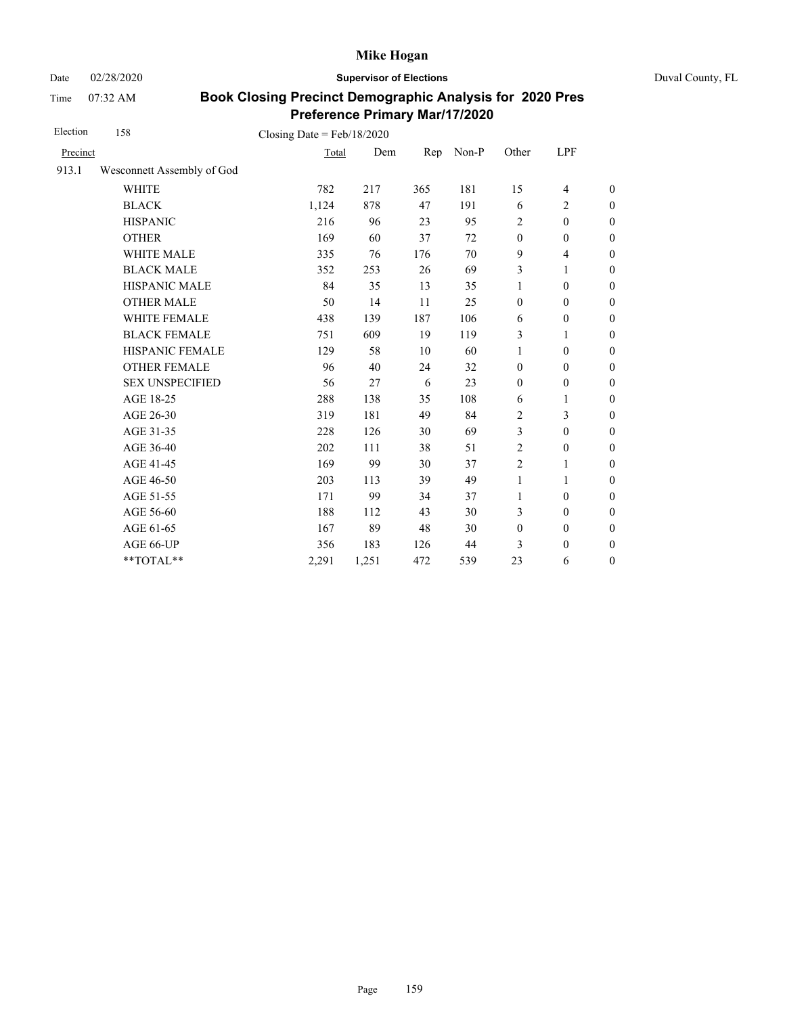Date 02/28/2020 **Supervisor of Elections** Duval County, FL

Time 07:32 AM

| Election | 158                        | Closing Date = $Feb/18/2020$ |       |     |       |                  |                          |                  |
|----------|----------------------------|------------------------------|-------|-----|-------|------------------|--------------------------|------------------|
| Precinct |                            | Total                        | Dem   | Rep | Non-P | Other            | LPF                      |                  |
| 913.1    | Wesconnett Assembly of God |                              |       |     |       |                  |                          |                  |
|          | <b>WHITE</b>               | 782                          | 217   | 365 | 181   | 15               | 4                        | $\boldsymbol{0}$ |
|          | <b>BLACK</b>               | 1,124                        | 878   | 47  | 191   | 6                | $\overline{c}$           | $\boldsymbol{0}$ |
|          | <b>HISPANIC</b>            | 216                          | 96    | 23  | 95    | $\overline{c}$   | $\boldsymbol{0}$         | $\boldsymbol{0}$ |
|          | <b>OTHER</b>               | 169                          | 60    | 37  | 72    | $\mathbf{0}$     | $\boldsymbol{0}$         | $\boldsymbol{0}$ |
|          | WHITE MALE                 | 335                          | 76    | 176 | 70    | 9                | $\overline{\mathcal{L}}$ | $\boldsymbol{0}$ |
|          | <b>BLACK MALE</b>          | 352                          | 253   | 26  | 69    | 3                | 1                        | $\boldsymbol{0}$ |
|          | HISPANIC MALE              | 84                           | 35    | 13  | 35    | $\mathbf{1}$     | $\boldsymbol{0}$         | $\overline{0}$   |
|          | <b>OTHER MALE</b>          | 50                           | 14    | 11  | 25    | $\boldsymbol{0}$ | $\boldsymbol{0}$         | $\boldsymbol{0}$ |
|          | WHITE FEMALE               | 438                          | 139   | 187 | 106   | 6                | $\boldsymbol{0}$         | $\boldsymbol{0}$ |
|          | <b>BLACK FEMALE</b>        | 751                          | 609   | 19  | 119   | 3                | 1                        | $\overline{0}$   |
|          | HISPANIC FEMALE            | 129                          | 58    | 10  | 60    | $\mathbf{1}$     | $\boldsymbol{0}$         | $\boldsymbol{0}$ |
|          | <b>OTHER FEMALE</b>        | 96                           | 40    | 24  | 32    | $\mathbf{0}$     | $\mathbf{0}$             | $\boldsymbol{0}$ |
|          | <b>SEX UNSPECIFIED</b>     | 56                           | 27    | 6   | 23    | $\boldsymbol{0}$ | $\boldsymbol{0}$         | $\boldsymbol{0}$ |
|          | AGE 18-25                  | 288                          | 138   | 35  | 108   | 6                | 1                        | $\overline{0}$   |
|          | AGE 26-30                  | 319                          | 181   | 49  | 84    | $\overline{c}$   | 3                        | $\overline{0}$   |
|          | AGE 31-35                  | 228                          | 126   | 30  | 69    | 3                | $\mathbf{0}$             | $\boldsymbol{0}$ |
|          | AGE 36-40                  | 202                          | 111   | 38  | 51    | $\overline{2}$   | $\mathbf{0}$             | $\boldsymbol{0}$ |
|          | AGE 41-45                  | 169                          | 99    | 30  | 37    | $\overline{2}$   | 1                        | $\overline{0}$   |
|          | AGE 46-50                  | 203                          | 113   | 39  | 49    | $\mathbf{1}$     | 1                        | $\boldsymbol{0}$ |
|          | AGE 51-55                  | 171                          | 99    | 34  | 37    | $\mathbf{1}$     | $\mathbf{0}$             | $\boldsymbol{0}$ |
|          | AGE 56-60                  | 188                          | 112   | 43  | 30    | 3                | $\mathbf{0}$             | $\overline{0}$   |
|          | AGE 61-65                  | 167                          | 89    | 48  | 30    | $\boldsymbol{0}$ | $\boldsymbol{0}$         | $\overline{0}$   |
|          | AGE 66-UP                  | 356                          | 183   | 126 | 44    | 3                | $\boldsymbol{0}$         | $\boldsymbol{0}$ |
|          | $**TOTAL**$                | 2,291                        | 1,251 | 472 | 539   | 23               | 6                        | $\boldsymbol{0}$ |
|          |                            |                              |       |     |       |                  |                          |                  |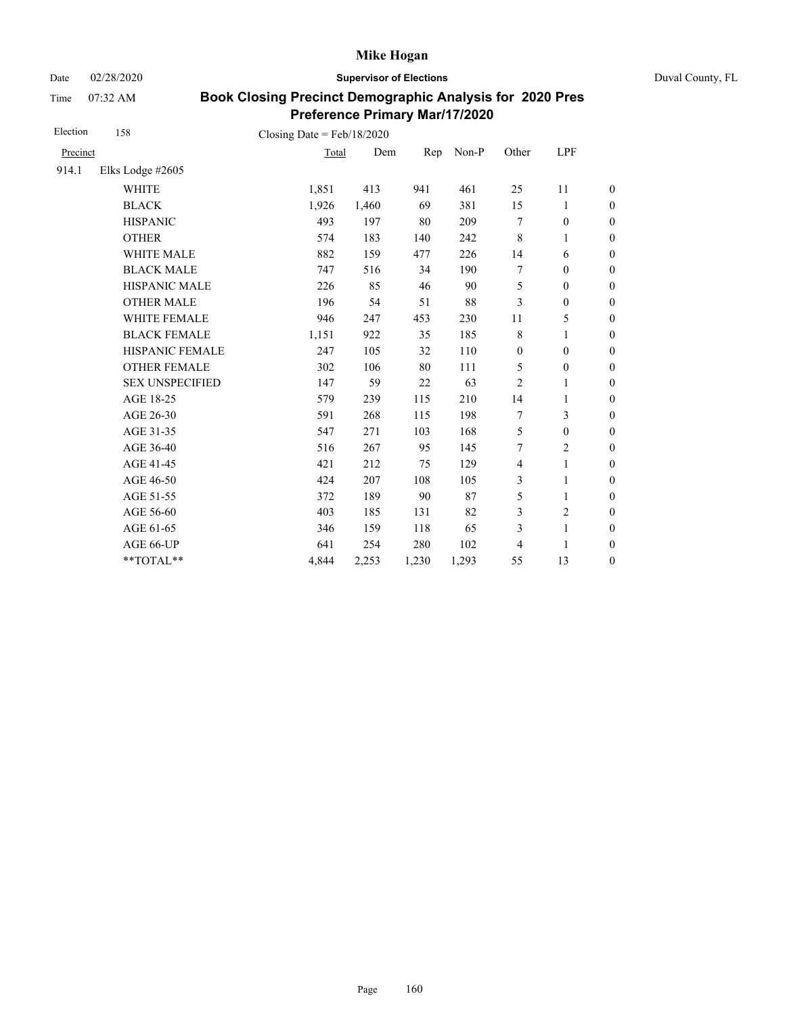Date 02/28/2020 **Supervisor of Elections** Duval County, FL

Time 07:32 AM

| Election | 158                    | Closing Date = $Feb/18/2020$ |       |       |       |                          |                  |                  |
|----------|------------------------|------------------------------|-------|-------|-------|--------------------------|------------------|------------------|
| Precinct |                        | Total                        | Dem   | Rep   | Non-P | Other                    | LPF              |                  |
| 914.1    | Elks Lodge #2605       |                              |       |       |       |                          |                  |                  |
|          | <b>WHITE</b>           | 1,851                        | 413   | 941   | 461   | 25                       | 11               | $\boldsymbol{0}$ |
|          | <b>BLACK</b>           | 1,926                        | 1,460 | 69    | 381   | 15                       | 1                | $\boldsymbol{0}$ |
|          | <b>HISPANIC</b>        | 493                          | 197   | 80    | 209   | 7                        | $\boldsymbol{0}$ | $\boldsymbol{0}$ |
|          | <b>OTHER</b>           | 574                          | 183   | 140   | 242   | $\,$ 8 $\,$              | $\mathbf{1}$     | $\boldsymbol{0}$ |
|          | WHITE MALE             | 882                          | 159   | 477   | 226   | 14                       | 6                | $\boldsymbol{0}$ |
|          | <b>BLACK MALE</b>      | 747                          | 516   | 34    | 190   | 7                        | $\theta$         | $\boldsymbol{0}$ |
|          | <b>HISPANIC MALE</b>   | 226                          | 85    | 46    | 90    | 5                        | $\boldsymbol{0}$ | $\boldsymbol{0}$ |
|          | <b>OTHER MALE</b>      | 196                          | 54    | 51    | 88    | 3                        | $\boldsymbol{0}$ | $\boldsymbol{0}$ |
|          | <b>WHITE FEMALE</b>    | 946                          | 247   | 453   | 230   | 11                       | 5                | $\boldsymbol{0}$ |
|          | <b>BLACK FEMALE</b>    | 1,151                        | 922   | 35    | 185   | $\,$ 8 $\,$              | $\mathbf{1}$     | $\boldsymbol{0}$ |
|          | HISPANIC FEMALE        | 247                          | 105   | 32    | 110   | $\boldsymbol{0}$         | $\boldsymbol{0}$ | $\boldsymbol{0}$ |
|          | <b>OTHER FEMALE</b>    | 302                          | 106   | 80    | 111   | 5                        | $\boldsymbol{0}$ | $\boldsymbol{0}$ |
|          | <b>SEX UNSPECIFIED</b> | 147                          | 59    | 22    | 63    | $\overline{c}$           | 1                | $\boldsymbol{0}$ |
|          | AGE 18-25              | 579                          | 239   | 115   | 210   | 14                       | $\mathbf{1}$     | $\boldsymbol{0}$ |
|          | AGE 26-30              | 591                          | 268   | 115   | 198   | 7                        | 3                | $\boldsymbol{0}$ |
|          | AGE 31-35              | 547                          | 271   | 103   | 168   | 5                        | $\boldsymbol{0}$ | $\boldsymbol{0}$ |
|          | AGE 36-40              | 516                          | 267   | 95    | 145   | 7                        | $\overline{2}$   | $\boldsymbol{0}$ |
|          | AGE 41-45              | 421                          | 212   | 75    | 129   | $\overline{\mathcal{L}}$ | $\mathbf{1}$     | $\mathbf{0}$     |
|          | AGE 46-50              | 424                          | 207   | 108   | 105   | 3                        | 1                | $\boldsymbol{0}$ |
|          | AGE 51-55              | 372                          | 189   | 90    | 87    | 5                        | $\mathbf{1}$     | $\boldsymbol{0}$ |
|          | AGE 56-60              | 403                          | 185   | 131   | 82    | 3                        | $\overline{c}$   | $\boldsymbol{0}$ |
|          | AGE 61-65              | 346                          | 159   | 118   | 65    | 3                        | $\mathbf{1}$     | $\boldsymbol{0}$ |
|          | AGE 66-UP              | 641                          | 254   | 280   | 102   | 4                        | 1                | $\boldsymbol{0}$ |
|          | **TOTAL**              | 4,844                        | 2,253 | 1,230 | 1,293 | 55                       | 13               | $\boldsymbol{0}$ |
|          |                        |                              |       |       |       |                          |                  |                  |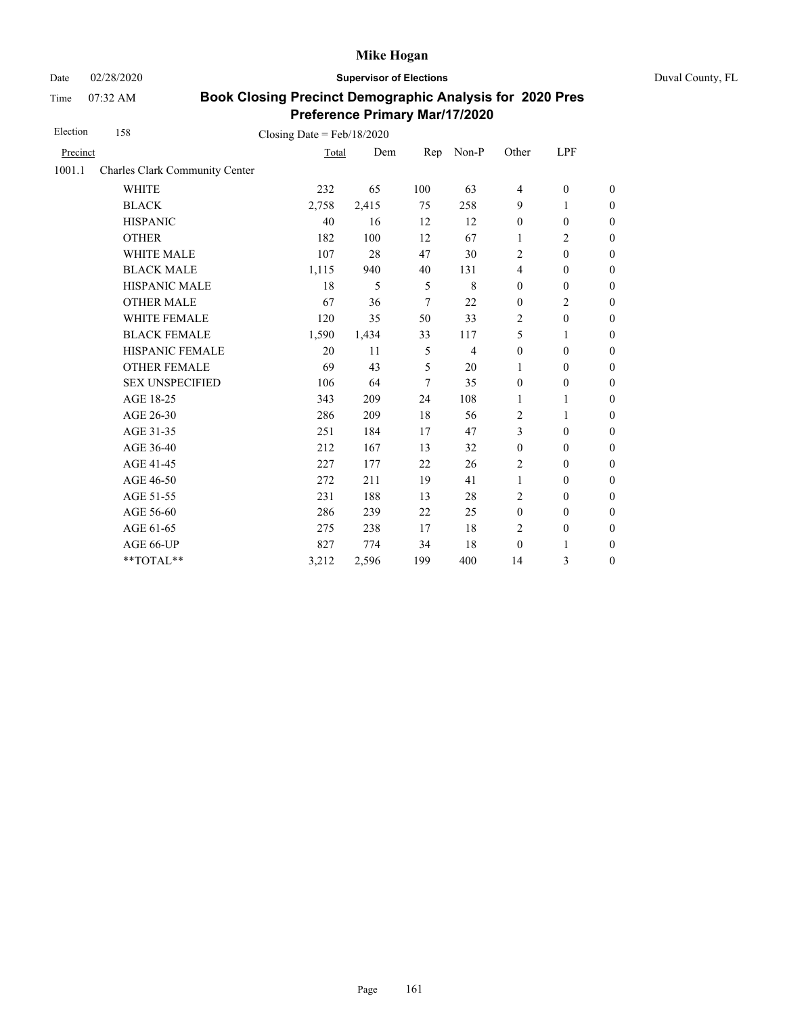Date 02/28/2020 **Supervisor of Elections** Duval County, FL

Time 07:32 AM

| Election | 158                                   | Closing Date = $Feb/18/2020$ |       |                |                |                  |                  |                  |
|----------|---------------------------------------|------------------------------|-------|----------------|----------------|------------------|------------------|------------------|
| Precinct |                                       | Total                        | Dem   | Rep            | Non-P          | Other            | LPF              |                  |
| 1001.1   | <b>Charles Clark Community Center</b> |                              |       |                |                |                  |                  |                  |
|          | <b>WHITE</b>                          | 232                          | 65    | 100            | 63             | $\overline{4}$   | $\boldsymbol{0}$ | $\boldsymbol{0}$ |
|          | <b>BLACK</b>                          | 2,758                        | 2,415 | 75             | 258            | 9                | 1                | $\boldsymbol{0}$ |
|          | <b>HISPANIC</b>                       | 40                           | 16    | 12             | 12             | $\boldsymbol{0}$ | $\boldsymbol{0}$ | $\boldsymbol{0}$ |
|          | <b>OTHER</b>                          | 182                          | 100   | 12             | 67             | $\mathbf{1}$     | $\overline{c}$   | $\overline{0}$   |
|          | WHITE MALE                            | 107                          | 28    | 47             | 30             | $\overline{c}$   | $\boldsymbol{0}$ | $\boldsymbol{0}$ |
|          | <b>BLACK MALE</b>                     | 1,115                        | 940   | 40             | 131            | $\overline{4}$   | $\boldsymbol{0}$ | $\boldsymbol{0}$ |
|          | HISPANIC MALE                         | 18                           | 5     | 5              | 8              | $\mathbf{0}$     | $\boldsymbol{0}$ | $\boldsymbol{0}$ |
|          | <b>OTHER MALE</b>                     | 67                           | 36    | $\overline{7}$ | 22             | $\boldsymbol{0}$ | $\overline{c}$   | $\boldsymbol{0}$ |
|          | <b>WHITE FEMALE</b>                   | 120                          | 35    | 50             | 33             | 2                | $\boldsymbol{0}$ | $\boldsymbol{0}$ |
|          | <b>BLACK FEMALE</b>                   | 1,590                        | 1,434 | 33             | 117            | 5                | 1                | $\boldsymbol{0}$ |
|          | HISPANIC FEMALE                       | 20                           | 11    | 5              | $\overline{4}$ | $\boldsymbol{0}$ | $\boldsymbol{0}$ | $\boldsymbol{0}$ |
|          | <b>OTHER FEMALE</b>                   | 69                           | 43    | 5              | 20             | 1                | $\mathbf{0}$     | $\boldsymbol{0}$ |
|          | <b>SEX UNSPECIFIED</b>                | 106                          | 64    | 7              | 35             | $\mathbf{0}$     | $\boldsymbol{0}$ | $\boldsymbol{0}$ |
|          | AGE 18-25                             | 343                          | 209   | 24             | 108            | 1                | 1                | $\boldsymbol{0}$ |
|          | AGE 26-30                             | 286                          | 209   | 18             | 56             | $\overline{2}$   | $\mathbf{1}$     | $\overline{0}$   |
|          | AGE 31-35                             | 251                          | 184   | 17             | 47             | 3                | $\mathbf{0}$     | $\boldsymbol{0}$ |
|          | AGE 36-40                             | 212                          | 167   | 13             | 32             | $\mathbf{0}$     | $\mathbf{0}$     | $\boldsymbol{0}$ |
|          | AGE 41-45                             | 227                          | 177   | 22             | 26             | $\overline{c}$   | $\boldsymbol{0}$ | $\boldsymbol{0}$ |
|          | AGE 46-50                             | 272                          | 211   | 19             | 41             | $\mathbf{1}$     | $\mathbf{0}$     | $\boldsymbol{0}$ |
|          | AGE 51-55                             | 231                          | 188   | 13             | 28             | $\overline{2}$   | $\mathbf{0}$     | $\overline{0}$   |
|          | AGE 56-60                             | 286                          | 239   | 22             | 25             | $\boldsymbol{0}$ | $\boldsymbol{0}$ | $\boldsymbol{0}$ |
|          | AGE 61-65                             | 275                          | 238   | 17             | 18             | $\overline{c}$   | $\boldsymbol{0}$ | $\boldsymbol{0}$ |
|          | AGE 66-UP                             | 827                          | 774   | 34             | 18             | $\boldsymbol{0}$ | 1                | $\boldsymbol{0}$ |
|          | **TOTAL**                             | 3,212                        | 2,596 | 199            | 400            | 14               | 3                | $\boldsymbol{0}$ |
|          |                                       |                              |       |                |                |                  |                  |                  |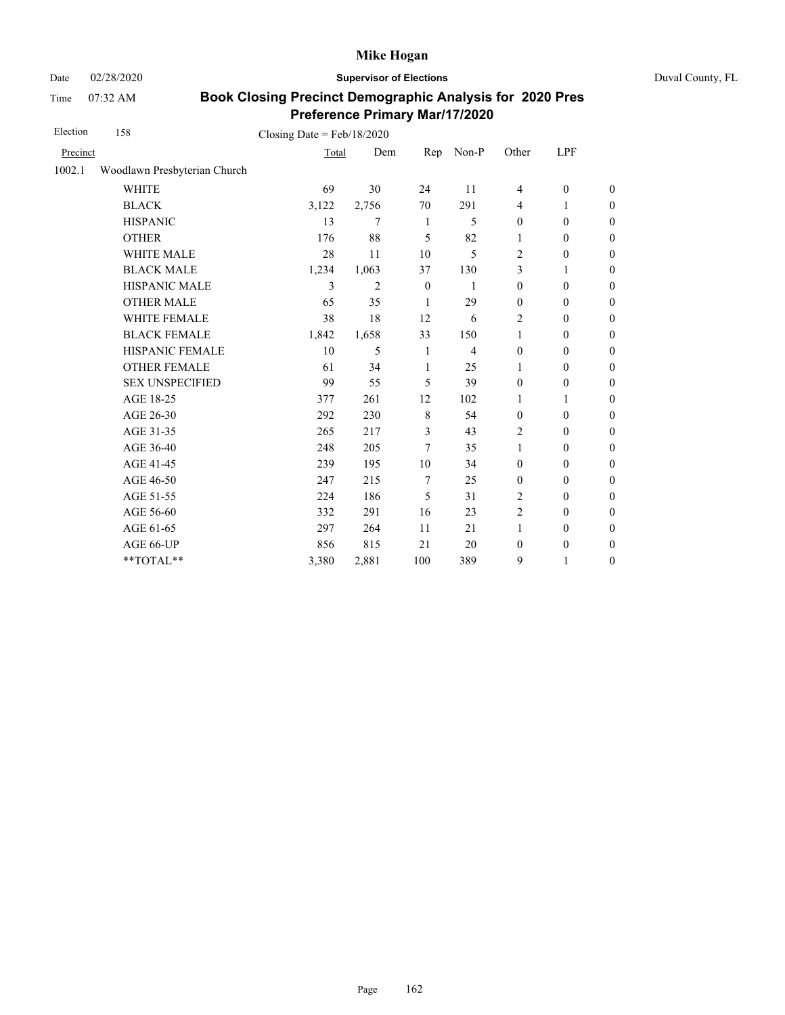Date 02/28/2020 **Supervisor of Elections** Duval County, FL

Time 07:32 AM

| Election | 158                          | Closing Date = $Feb/18/2020$ |                |                  |                |                  |                  |                  |
|----------|------------------------------|------------------------------|----------------|------------------|----------------|------------------|------------------|------------------|
| Precinct |                              | Total                        | Dem            | Rep              | Non-P          | Other            | LPF              |                  |
| 1002.1   | Woodlawn Presbyterian Church |                              |                |                  |                |                  |                  |                  |
|          | <b>WHITE</b>                 | 69                           | 30             | 24               | 11             | $\overline{4}$   | $\boldsymbol{0}$ | $\boldsymbol{0}$ |
|          | <b>BLACK</b>                 | 3,122                        | 2,756          | 70               | 291            | $\overline{4}$   | 1                | $\boldsymbol{0}$ |
|          | <b>HISPANIC</b>              | 13                           | 7              | $\mathbf{1}$     | 5              | $\boldsymbol{0}$ | $\boldsymbol{0}$ | $\boldsymbol{0}$ |
|          | <b>OTHER</b>                 | 176                          | 88             | 5                | 82             | 1                | $\boldsymbol{0}$ | $\boldsymbol{0}$ |
|          | WHITE MALE                   | 28                           | 11             | 10               | 5              | 2                | $\boldsymbol{0}$ | $\boldsymbol{0}$ |
|          | <b>BLACK MALE</b>            | 1,234                        | 1,063          | 37               | 130            | 3                | 1                | $\boldsymbol{0}$ |
|          | HISPANIC MALE                | 3                            | $\overline{2}$ | $\boldsymbol{0}$ | $\mathbf{1}$   | $\boldsymbol{0}$ | $\boldsymbol{0}$ | $\overline{0}$   |
|          | <b>OTHER MALE</b>            | 65                           | 35             | 1                | 29             | $\boldsymbol{0}$ | $\boldsymbol{0}$ | $\boldsymbol{0}$ |
|          | WHITE FEMALE                 | 38                           | 18             | 12               | 6              | $\overline{c}$   | $\boldsymbol{0}$ | $\boldsymbol{0}$ |
|          | <b>BLACK FEMALE</b>          | 1,842                        | 1,658          | 33               | 150            | 1                | $\mathbf{0}$     | $\overline{0}$   |
|          | HISPANIC FEMALE              | 10                           | 5              | 1                | $\overline{4}$ | $\boldsymbol{0}$ | $\boldsymbol{0}$ | $\boldsymbol{0}$ |
|          | <b>OTHER FEMALE</b>          | 61                           | 34             | 1                | 25             | 1                | $\mathbf{0}$     | $\boldsymbol{0}$ |
|          | <b>SEX UNSPECIFIED</b>       | 99                           | 55             | 5                | 39             | $\mathbf{0}$     | $\boldsymbol{0}$ | $\boldsymbol{0}$ |
|          | AGE 18-25                    | 377                          | 261            | 12               | 102            | 1                | 1                | $\overline{0}$   |
|          | AGE 26-30                    | 292                          | 230            | 8                | 54             | $\mathbf{0}$     | $\mathbf{0}$     | $\overline{0}$   |
|          | AGE 31-35                    | 265                          | 217            | 3                | 43             | $\overline{2}$   | $\mathbf{0}$     | $\boldsymbol{0}$ |
|          | AGE 36-40                    | 248                          | 205            | 7                | 35             | $\mathbf{1}$     | $\mathbf{0}$     | $\boldsymbol{0}$ |
|          | AGE 41-45                    | 239                          | 195            | 10               | 34             | $\mathbf{0}$     | $\mathbf{0}$     | $\overline{0}$   |
|          | AGE 46-50                    | 247                          | 215            | $\tau$           | 25             | $\mathbf{0}$     | $\mathbf{0}$     | $\boldsymbol{0}$ |
|          | AGE 51-55                    | 224                          | 186            | 5                | 31             | $\overline{2}$   | $\mathbf{0}$     | $\overline{0}$   |
|          | AGE 56-60                    | 332                          | 291            | 16               | 23             | $\overline{2}$   | $\mathbf{0}$     | $\overline{0}$   |
|          | AGE 61-65                    | 297                          | 264            | 11               | 21             | $\mathbf{1}$     | $\boldsymbol{0}$ | $\overline{0}$   |
|          | AGE 66-UP                    | 856                          | 815            | 21               | 20             | $\boldsymbol{0}$ | $\boldsymbol{0}$ | $\overline{0}$   |
|          | **TOTAL**                    | 3,380                        | 2,881          | 100              | 389            | 9                | 1                | $\boldsymbol{0}$ |
|          |                              |                              |                |                  |                |                  |                  |                  |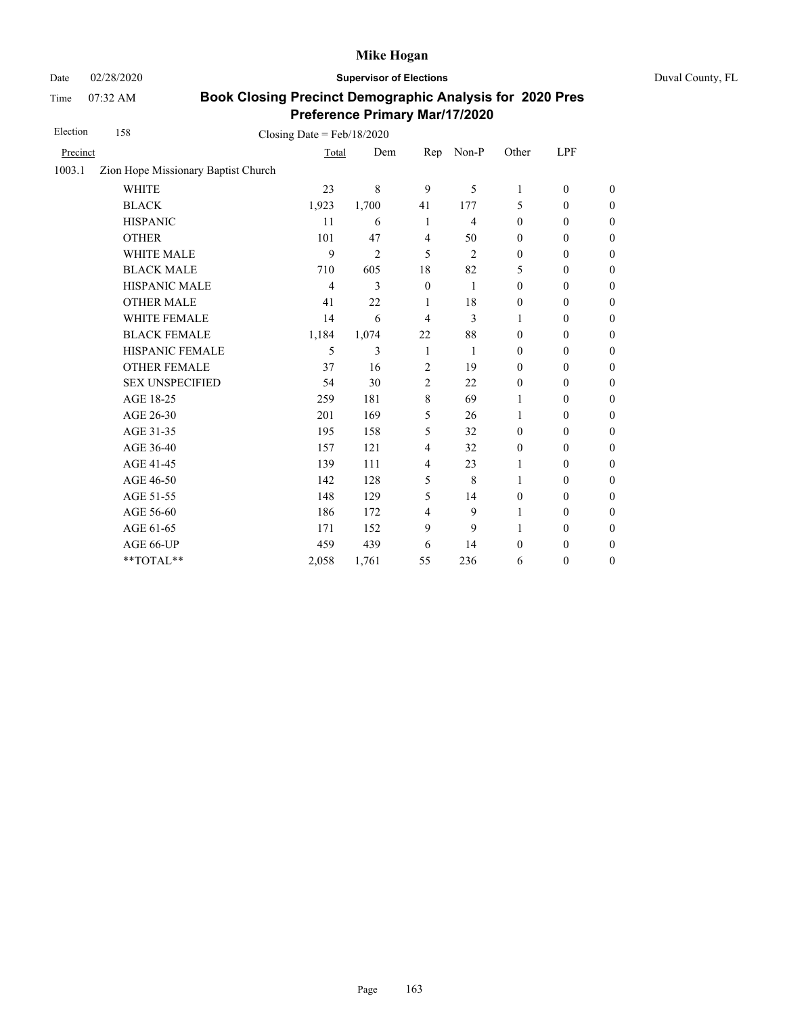Date 02/28/2020 **Supervisor of Elections** Duval County, FL

Time 07:32 AM

| Election | 158                                 | Closing Date = $Feb/18/2020$ |                |                |                |                  |                  |                  |
|----------|-------------------------------------|------------------------------|----------------|----------------|----------------|------------------|------------------|------------------|
| Precinct |                                     | Total                        | Dem            | Rep            | Non-P          | Other            | LPF              |                  |
| 1003.1   | Zion Hope Missionary Baptist Church |                              |                |                |                |                  |                  |                  |
|          | <b>WHITE</b>                        | 23                           | 8              | 9              | 5              | 1                | $\mathbf{0}$     | $\theta$         |
|          | <b>BLACK</b>                        | 1,923                        | 1,700          | 41             | 177            | 5                | $\boldsymbol{0}$ | $\boldsymbol{0}$ |
|          | <b>HISPANIC</b>                     | 11                           | 6              | 1              | $\overline{4}$ | $\mathbf{0}$     | $\mathbf{0}$     | $\boldsymbol{0}$ |
|          | <b>OTHER</b>                        | 101                          | 47             | $\overline{4}$ | 50             | $\mathbf{0}$     | $\mathbf{0}$     | $\mathbf{0}$     |
|          | <b>WHITE MALE</b>                   | 9                            | $\overline{2}$ | 5              | $\overline{2}$ | $\boldsymbol{0}$ | $\boldsymbol{0}$ | $\mathbf{0}$     |
|          | <b>BLACK MALE</b>                   | 710                          | 605            | 18             | 82             | 5                | $\theta$         | $\boldsymbol{0}$ |
|          | HISPANIC MALE                       | $\overline{4}$               | 3              | $\mathbf{0}$   | 1              | $\mathbf{0}$     | $\mathbf{0}$     | $\boldsymbol{0}$ |
|          | <b>OTHER MALE</b>                   | 41                           | 22             | 1              | 18             | $\boldsymbol{0}$ | $\boldsymbol{0}$ | $\mathbf{0}$     |
|          | WHITE FEMALE                        | 14                           | 6              | 4              | 3              | 1                | $\mathbf{0}$     | $\boldsymbol{0}$ |
|          | <b>BLACK FEMALE</b>                 | 1,184                        | 1,074          | 22             | 88             | $\mathbf{0}$     | $\mathbf{0}$     | $\mathbf{0}$     |
|          | <b>HISPANIC FEMALE</b>              | 5                            | 3              | 1              | $\mathbf{1}$   | $\mathbf{0}$     | $\mathbf{0}$     | $\boldsymbol{0}$ |
|          | <b>OTHER FEMALE</b>                 | 37                           | 16             | $\overline{2}$ | 19             | $\mathbf{0}$     | $\mathbf{0}$     | $\boldsymbol{0}$ |
|          | <b>SEX UNSPECIFIED</b>              | 54                           | 30             | $\overline{c}$ | 22             | $\mathbf{0}$     | $\mathbf{0}$     | $\boldsymbol{0}$ |
|          | AGE 18-25                           | 259                          | 181            | 8              | 69             | 1                | $\mathbf{0}$     | $\boldsymbol{0}$ |
|          | AGE 26-30                           | 201                          | 169            | 5              | 26             | 1                | $\mathbf{0}$     | $\mathbf{0}$     |
|          | AGE 31-35                           | 195                          | 158            | 5              | 32             | $\mathbf{0}$     | $\mathbf{0}$     | $\boldsymbol{0}$ |
|          | AGE 36-40                           | 157                          | 121            | 4              | 32             | $\boldsymbol{0}$ | $\boldsymbol{0}$ | $\boldsymbol{0}$ |
|          | AGE 41-45                           | 139                          | 111            | 4              | 23             | 1                | $\boldsymbol{0}$ | $\mathbf{0}$     |
|          | AGE 46-50                           | 142                          | 128            | 5              | 8              | 1                | $\mathbf{0}$     | $\mathbf{0}$     |
|          | AGE 51-55                           | 148                          | 129            | 5              | 14             | $\boldsymbol{0}$ | $\mathbf{0}$     | $\boldsymbol{0}$ |
|          | AGE 56-60                           | 186                          | 172            | 4              | 9              | 1                | $\mathbf{0}$     | $\theta$         |
|          | AGE 61-65                           | 171                          | 152            | 9              | 9              | 1                | $\boldsymbol{0}$ | $\boldsymbol{0}$ |
|          | AGE 66-UP                           | 459                          | 439            | 6              | 14             | $\boldsymbol{0}$ | $\boldsymbol{0}$ | $\boldsymbol{0}$ |
|          | **TOTAL**                           | 2,058                        | 1,761          | 55             | 236            | 6                | $\boldsymbol{0}$ | $\boldsymbol{0}$ |
|          |                                     |                              |                |                |                |                  |                  |                  |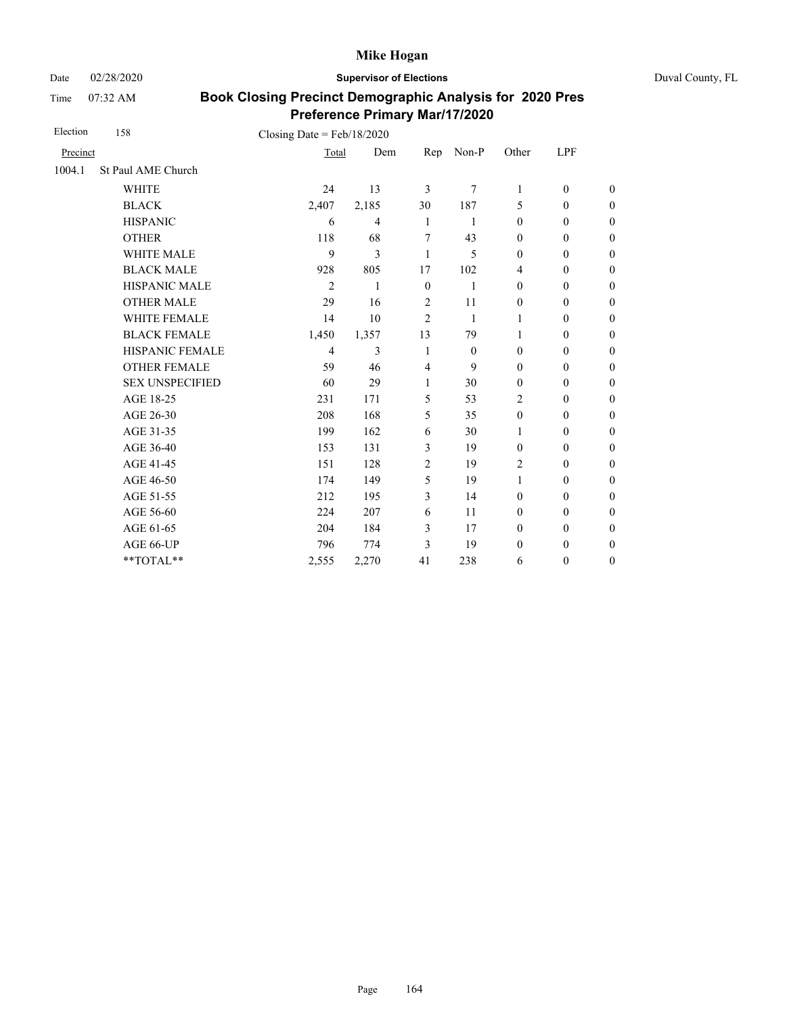Date 02/28/2020 **Supervisor of Elections** Duval County, FL

Time 07:32 AM

| Election | 158                    | Closing Date = $Feb/18/2020$ |                |                |              |                  |                  |                  |
|----------|------------------------|------------------------------|----------------|----------------|--------------|------------------|------------------|------------------|
| Precinct |                        | Total                        | Dem            | Rep            | Non-P        | Other            | LPF              |                  |
| 1004.1   | St Paul AME Church     |                              |                |                |              |                  |                  |                  |
|          | <b>WHITE</b>           | 24                           | 13             | 3              | 7            | $\mathbf{1}$     | $\mathbf{0}$     | $\boldsymbol{0}$ |
|          | <b>BLACK</b>           | 2,407                        | 2,185          | 30             | 187          | 5                | $\mathbf{0}$     | $\boldsymbol{0}$ |
|          | <b>HISPANIC</b>        | 6                            | $\overline{4}$ | $\mathbf{1}$   | 1            | $\mathbf{0}$     | $\mathbf{0}$     | $\boldsymbol{0}$ |
|          | <b>OTHER</b>           | 118                          | 68             | 7              | 43           | $\mathbf{0}$     | $\mathbf{0}$     | $\overline{0}$   |
|          | WHITE MALE             | 9                            | 3              | $\mathbf{1}$   | 5            | $\mathbf{0}$     | $\mathbf{0}$     | $\boldsymbol{0}$ |
|          | <b>BLACK MALE</b>      | 928                          | 805            | 17             | 102          | $\overline{4}$   | $\mathbf{0}$     | $\boldsymbol{0}$ |
|          | <b>HISPANIC MALE</b>   | $\overline{2}$               | 1              | $\mathbf{0}$   | $\mathbf{1}$ | $\mathbf{0}$     | $\boldsymbol{0}$ | $\overline{0}$   |
|          | <b>OTHER MALE</b>      | 29                           | 16             | 2              | 11           | $\mathbf{0}$     | $\mathbf{0}$     | $\boldsymbol{0}$ |
|          | <b>WHITE FEMALE</b>    | 14                           | 10             | $\overline{2}$ | $\mathbf{1}$ | 1                | $\mathbf{0}$     | $\boldsymbol{0}$ |
|          | <b>BLACK FEMALE</b>    | 1,450                        | 1,357          | 13             | 79           | 1                | $\mathbf{0}$     | $\boldsymbol{0}$ |
|          | HISPANIC FEMALE        | $\overline{4}$               | 3              | 1              | $\theta$     | $\mathbf{0}$     | $\mathbf{0}$     | $\overline{0}$   |
|          | <b>OTHER FEMALE</b>    | 59                           | 46             | $\overline{4}$ | 9            | $\mathbf{0}$     | $\mathbf{0}$     | $\overline{0}$   |
|          | <b>SEX UNSPECIFIED</b> | 60                           | 29             | 1              | 30           | $\mathbf{0}$     | $\boldsymbol{0}$ | $\boldsymbol{0}$ |
|          | AGE 18-25              | 231                          | 171            | 5              | 53           | $\overline{2}$   | $\mathbf{0}$     | $\overline{0}$   |
|          | AGE 26-30              | 208                          | 168            | 5              | 35           | $\mathbf{0}$     | $\mathbf{0}$     | $\overline{0}$   |
|          | AGE 31-35              | 199                          | 162            | 6              | 30           | 1                | $\boldsymbol{0}$ | $\boldsymbol{0}$ |
|          | AGE 36-40              | 153                          | 131            | 3              | 19           | $\mathbf{0}$     | $\boldsymbol{0}$ | $\boldsymbol{0}$ |
|          | AGE 41-45              | 151                          | 128            | $\overline{2}$ | 19           | $\overline{2}$   | $\boldsymbol{0}$ | $\overline{0}$   |
|          | AGE 46-50              | 174                          | 149            | 5              | 19           | $\mathbf{1}$     | $\boldsymbol{0}$ | $\boldsymbol{0}$ |
|          | AGE 51-55              | 212                          | 195            | 3              | 14           | $\mathbf{0}$     | $\boldsymbol{0}$ | $\boldsymbol{0}$ |
|          | AGE 56-60              | 224                          | 207            | 6              | 11           | $\mathbf{0}$     | $\mathbf{0}$     | $\overline{0}$   |
|          | AGE 61-65              | 204                          | 184            | 3              | 17           | $\boldsymbol{0}$ | $\boldsymbol{0}$ | $\boldsymbol{0}$ |
|          | AGE 66-UP              | 796                          | 774            | 3              | 19           | $\mathbf{0}$     | $\boldsymbol{0}$ | $\boldsymbol{0}$ |
|          | **TOTAL**              | 2,555                        | 2,270          | 41             | 238          | 6                | $\boldsymbol{0}$ | $\boldsymbol{0}$ |
|          |                        |                              |                |                |              |                  |                  |                  |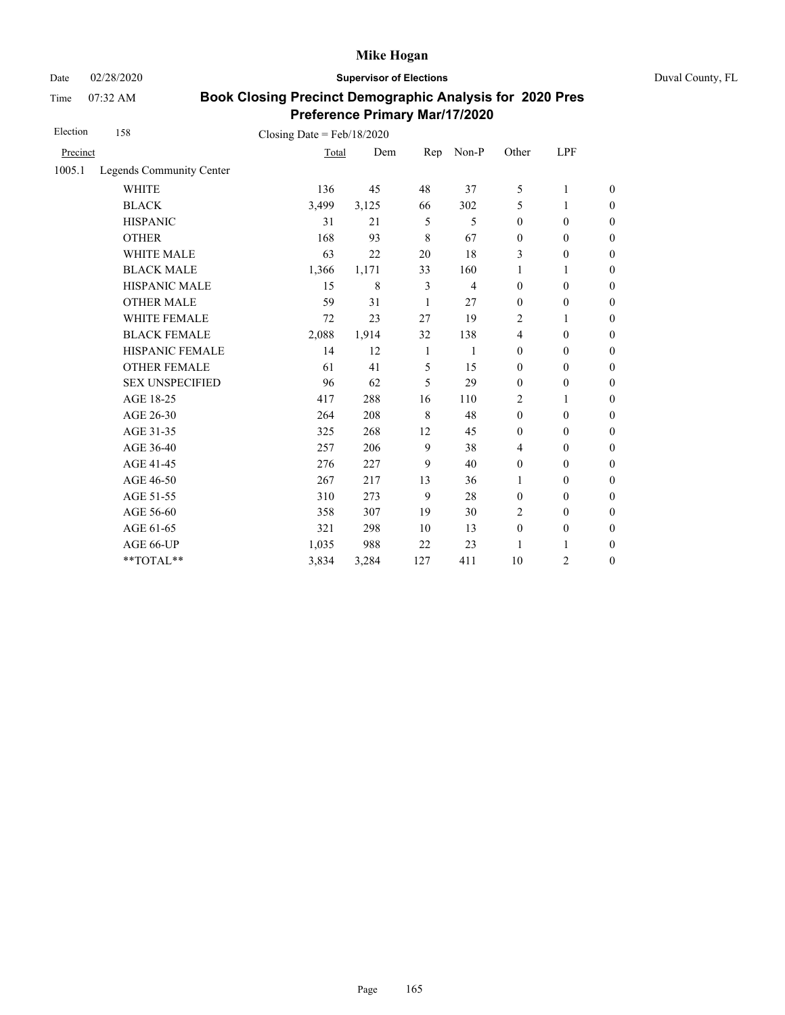Date 02/28/2020 **Supervisor of Elections** Duval County, FL

Time 07:32 AM

| Election | 158                      | Closing Date = $Feb/18/2020$ |       |                |                |                  |                  |                  |
|----------|--------------------------|------------------------------|-------|----------------|----------------|------------------|------------------|------------------|
| Precinct |                          | Total                        | Dem   | Rep            | Non-P          | Other            | LPF              |                  |
| 1005.1   | Legends Community Center |                              |       |                |                |                  |                  |                  |
|          | <b>WHITE</b>             | 136                          | 45    | 48             | 37             | 5                | 1                | $\theta$         |
|          | <b>BLACK</b>             | 3,499                        | 3,125 | 66             | 302            | 5                | 1                | $\boldsymbol{0}$ |
|          | <b>HISPANIC</b>          | 31                           | 21    | 5              | 5              | $\boldsymbol{0}$ | $\boldsymbol{0}$ | $\boldsymbol{0}$ |
|          | <b>OTHER</b>             | 168                          | 93    | 8              | 67             | $\boldsymbol{0}$ | $\boldsymbol{0}$ | $\mathbf{0}$     |
|          | WHITE MALE               | 63                           | 22    | 20             | 18             | 3                | $\mathbf{0}$     | $\boldsymbol{0}$ |
|          | <b>BLACK MALE</b>        | 1,366                        | 1,171 | 33             | 160            | 1                | 1                | $\boldsymbol{0}$ |
|          | <b>HISPANIC MALE</b>     | 15                           | 8     | $\mathfrak{Z}$ | $\overline{4}$ | $\mathbf{0}$     | $\mathbf{0}$     | $\overline{0}$   |
|          | <b>OTHER MALE</b>        | 59                           | 31    | 1              | 27             | $\mathbf{0}$     | $\mathbf{0}$     | $\boldsymbol{0}$ |
|          | <b>WHITE FEMALE</b>      | 72                           | 23    | 27             | 19             | $\overline{2}$   | 1                | $\boldsymbol{0}$ |
|          | <b>BLACK FEMALE</b>      | 2,088                        | 1,914 | 32             | 138            | $\overline{4}$   | $\mathbf{0}$     | $\overline{0}$   |
|          | HISPANIC FEMALE          | 14                           | 12    | 1              | $\mathbf{1}$   | $\boldsymbol{0}$ | $\boldsymbol{0}$ | $\boldsymbol{0}$ |
|          | <b>OTHER FEMALE</b>      | 61                           | 41    | 5              | 15             | $\boldsymbol{0}$ | $\boldsymbol{0}$ | $\boldsymbol{0}$ |
|          | <b>SEX UNSPECIFIED</b>   | 96                           | 62    | 5              | 29             | $\mathbf{0}$     | $\mathbf{0}$     | $\boldsymbol{0}$ |
|          | AGE 18-25                | 417                          | 288   | 16             | 110            | 2                | $\mathbf{1}$     | $\boldsymbol{0}$ |
|          | AGE 26-30                | 264                          | 208   | 8              | 48             | $\mathbf{0}$     | $\mathbf{0}$     | $\boldsymbol{0}$ |
|          | AGE 31-35                | 325                          | 268   | 12             | 45             | $\mathbf{0}$     | $\mathbf{0}$     | $\boldsymbol{0}$ |
|          | AGE 36-40                | 257                          | 206   | 9              | 38             | $\overline{4}$   | $\mathbf{0}$     | $\boldsymbol{0}$ |
|          | AGE 41-45                | 276                          | 227   | 9              | 40             | $\boldsymbol{0}$ | $\boldsymbol{0}$ | $\boldsymbol{0}$ |
|          | AGE 46-50                | 267                          | 217   | 13             | 36             | 1                | $\mathbf{0}$     | $\boldsymbol{0}$ |
|          | AGE 51-55                | 310                          | 273   | 9              | 28             | $\mathbf{0}$     | $\mathbf{0}$     | $\boldsymbol{0}$ |
|          | AGE 56-60                | 358                          | 307   | 19             | 30             | 2                | $\mathbf{0}$     | $\overline{0}$   |
|          | AGE 61-65                | 321                          | 298   | 10             | 13             | $\boldsymbol{0}$ | $\boldsymbol{0}$ | $\boldsymbol{0}$ |
|          | AGE 66-UP                | 1,035                        | 988   | 22             | 23             | 1                | 1                | $\boldsymbol{0}$ |
|          | **TOTAL**                | 3,834                        | 3,284 | 127            | 411            | 10               | $\overline{c}$   | $\boldsymbol{0}$ |
|          |                          |                              |       |                |                |                  |                  |                  |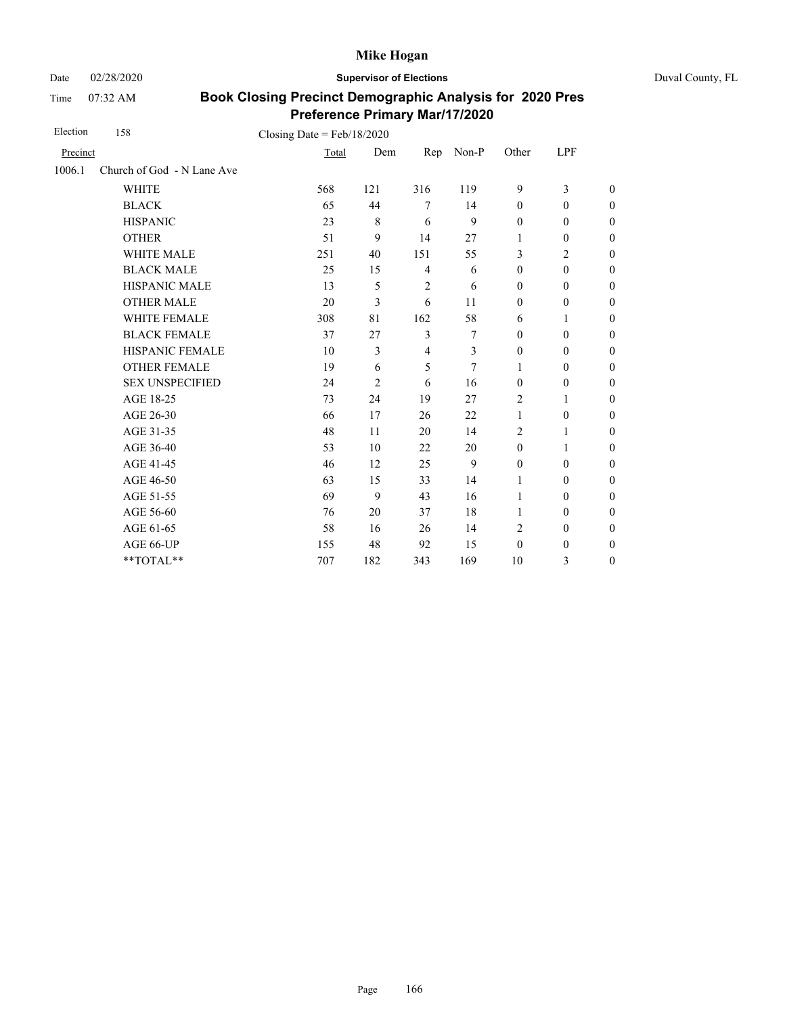Date 02/28/2020 **Supervisor of Elections** Duval County, FL

Time 07:32 AM

| Election | 158                        | Closing Date = $Feb/18/2020$ |                |                |       |                  |                  |                  |
|----------|----------------------------|------------------------------|----------------|----------------|-------|------------------|------------------|------------------|
| Precinct |                            | Total                        | Dem            | Rep            | Non-P | Other            | LPF              |                  |
| 1006.1   | Church of God - N Lane Ave |                              |                |                |       |                  |                  |                  |
|          | <b>WHITE</b>               | 568                          | 121            | 316            | 119   | 9                | 3                | $\boldsymbol{0}$ |
|          | <b>BLACK</b>               | 65                           | 44             | $\tau$         | 14    | $\mathbf{0}$     | $\mathbf{0}$     | $\boldsymbol{0}$ |
|          | <b>HISPANIC</b>            | 23                           | 8              | 6              | 9     | $\mathbf{0}$     | $\mathbf{0}$     | $\boldsymbol{0}$ |
|          | <b>OTHER</b>               | 51                           | 9              | 14             | 27    | 1                | $\mathbf{0}$     | $\theta$         |
|          | <b>WHITE MALE</b>          | 251                          | 40             | 151            | 55    | 3                | 2                | $\boldsymbol{0}$ |
|          | <b>BLACK MALE</b>          | 25                           | 15             | $\overline{4}$ | 6     | $\boldsymbol{0}$ | $\boldsymbol{0}$ | $\boldsymbol{0}$ |
|          | HISPANIC MALE              | 13                           | 5              | $\overline{2}$ | 6     | $\mathbf{0}$     | $\mathbf{0}$     | $\overline{0}$   |
|          | <b>OTHER MALE</b>          | 20                           | 3              | 6              | 11    | $\boldsymbol{0}$ | $\boldsymbol{0}$ | $\boldsymbol{0}$ |
|          | <b>WHITE FEMALE</b>        | 308                          | 81             | 162            | 58    | 6                | 1                | $\boldsymbol{0}$ |
|          | <b>BLACK FEMALE</b>        | 37                           | 27             | 3              | 7     | $\mathbf{0}$     | $\mathbf{0}$     | $\boldsymbol{0}$ |
|          | HISPANIC FEMALE            | 10                           | 3              | $\overline{4}$ | 3     | $\boldsymbol{0}$ | $\boldsymbol{0}$ | $\mathbf{0}$     |
|          | <b>OTHER FEMALE</b>        | 19                           | 6              | 5              | 7     | 1                | $\mathbf{0}$     | $\boldsymbol{0}$ |
|          | <b>SEX UNSPECIFIED</b>     | 24                           | $\overline{c}$ | 6              | 16    | $\mathbf{0}$     | $\mathbf{0}$     | $\boldsymbol{0}$ |
|          | AGE 18-25                  | 73                           | 24             | 19             | 27    | $\overline{2}$   | 1                | $\theta$         |
|          | AGE 26-30                  | 66                           | 17             | 26             | 22    | 1                | $\mathbf{0}$     | $\theta$         |
|          | AGE 31-35                  | 48                           | 11             | 20             | 14    | 2                | 1                | $\boldsymbol{0}$ |
|          | AGE 36-40                  | 53                           | 10             | 22             | 20    | $\boldsymbol{0}$ | 1                | $\boldsymbol{0}$ |
|          | AGE 41-45                  | 46                           | 12             | 25             | 9     | $\boldsymbol{0}$ | $\mathbf{0}$     | $\overline{0}$   |
|          | AGE 46-50                  | 63                           | 15             | 33             | 14    | 1                | $\boldsymbol{0}$ | $\boldsymbol{0}$ |
|          | AGE 51-55                  | 69                           | 9              | 43             | 16    | 1                | $\mathbf{0}$     | $\boldsymbol{0}$ |
|          | AGE 56-60                  | 76                           | 20             | 37             | 18    | 1                | $\mathbf{0}$     | $\overline{0}$   |
|          | AGE 61-65                  | 58                           | 16             | 26             | 14    | $\overline{2}$   | $\boldsymbol{0}$ | $\mathbf{0}$     |
|          | AGE 66-UP                  | 155                          | 48             | 92             | 15    | $\mathbf{0}$     | $\boldsymbol{0}$ | $\theta$         |
|          | **TOTAL**                  | 707                          | 182            | 343            | 169   | 10               | 3                | $\theta$         |
|          |                            |                              |                |                |       |                  |                  |                  |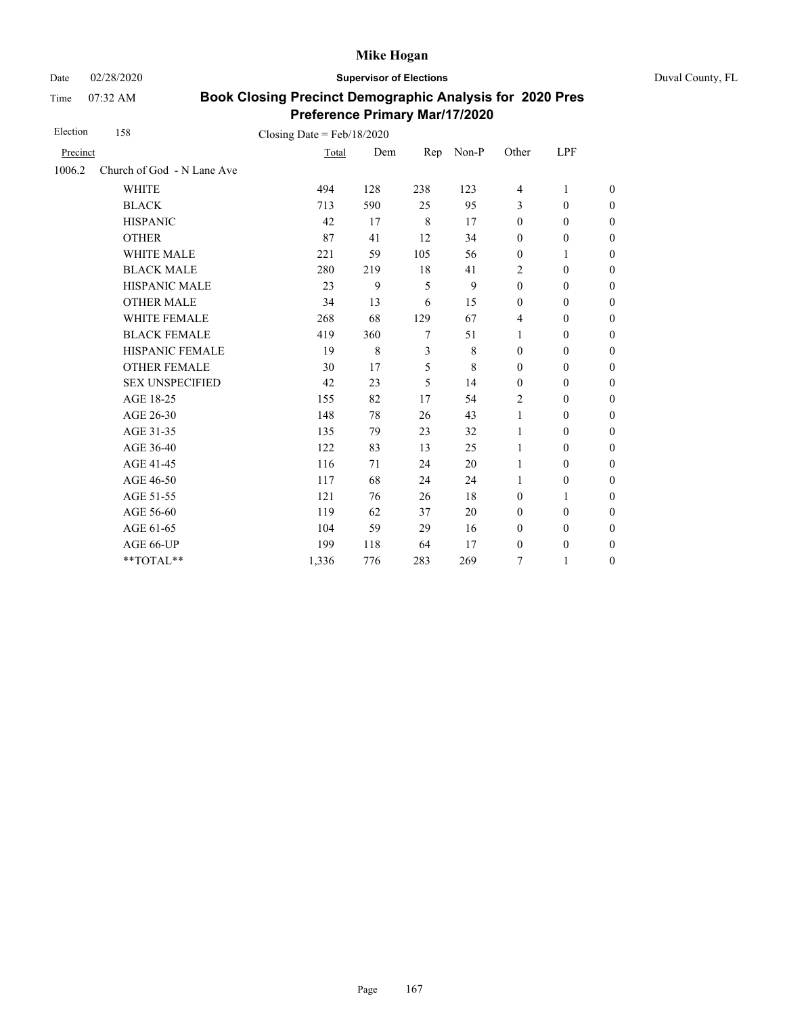Date 02/28/2020 **Supervisor of Elections** Duval County, FL

Time 07:32 AM

| Election | 158                        | Closing Date = $Feb/18/2020$ |     |     |             |                  |                  |                  |
|----------|----------------------------|------------------------------|-----|-----|-------------|------------------|------------------|------------------|
| Precinct |                            | Total                        | Dem | Rep | Non-P       | Other            | LPF              |                  |
| 1006.2   | Church of God - N Lane Ave |                              |     |     |             |                  |                  |                  |
|          | <b>WHITE</b>               | 494                          | 128 | 238 | 123         | $\overline{4}$   | 1                | $\boldsymbol{0}$ |
|          | <b>BLACK</b>               | 713                          | 590 | 25  | 95          | 3                | $\mathbf{0}$     | $\boldsymbol{0}$ |
|          | <b>HISPANIC</b>            | 42                           | 17  | 8   | 17          | $\boldsymbol{0}$ | $\mathbf{0}$     | $\mathbf{0}$     |
|          | <b>OTHER</b>               | 87                           | 41  | 12  | 34          | $\boldsymbol{0}$ | $\boldsymbol{0}$ | $\overline{0}$   |
|          | WHITE MALE                 | 221                          | 59  | 105 | 56          | $\boldsymbol{0}$ | 1                | $\mathbf{0}$     |
|          | <b>BLACK MALE</b>          | 280                          | 219 | 18  | 41          | 2                | $\mathbf{0}$     | $\boldsymbol{0}$ |
|          | <b>HISPANIC MALE</b>       | 23                           | 9   | 5   | 9           | $\boldsymbol{0}$ | $\mathbf{0}$     | $\overline{0}$   |
|          | <b>OTHER MALE</b>          | 34                           | 13  | 6   | 15          | $\boldsymbol{0}$ | $\mathbf{0}$     | $\mathbf{0}$     |
|          | <b>WHITE FEMALE</b>        | 268                          | 68  | 129 | 67          | 4                | $\mathbf{0}$     | $\boldsymbol{0}$ |
|          | <b>BLACK FEMALE</b>        | 419                          | 360 | 7   | 51          | 1                | $\mathbf{0}$     | $\boldsymbol{0}$ |
|          | HISPANIC FEMALE            | 19                           | 8   | 3   | $\,$ 8 $\,$ | $\boldsymbol{0}$ | $\boldsymbol{0}$ | $\mathbf{0}$     |
|          | <b>OTHER FEMALE</b>        | 30                           | 17  | 5   | 8           | $\mathbf{0}$     | $\mathbf{0}$     | $\boldsymbol{0}$ |
|          | <b>SEX UNSPECIFIED</b>     | 42                           | 23  | 5   | 14          | $\mathbf{0}$     | $\mathbf{0}$     | $\boldsymbol{0}$ |
|          | AGE 18-25                  | 155                          | 82  | 17  | 54          | 2                | $\boldsymbol{0}$ | $\boldsymbol{0}$ |
|          | AGE 26-30                  | 148                          | 78  | 26  | 43          | $\mathbf{1}$     | $\boldsymbol{0}$ | $\boldsymbol{0}$ |
|          | AGE 31-35                  | 135                          | 79  | 23  | 32          | 1                | $\boldsymbol{0}$ | $\boldsymbol{0}$ |
|          | AGE 36-40                  | 122                          | 83  | 13  | 25          | 1                | $\mathbf{0}$     | $\boldsymbol{0}$ |
|          | AGE 41-45                  | 116                          | 71  | 24  | 20          | 1                | $\mathbf{0}$     | $\overline{0}$   |
|          | AGE 46-50                  | 117                          | 68  | 24  | 24          | 1                | $\boldsymbol{0}$ | $\boldsymbol{0}$ |
|          | AGE 51-55                  | 121                          | 76  | 26  | 18          | $\mathbf{0}$     | 1                | $\boldsymbol{0}$ |
|          | AGE 56-60                  | 119                          | 62  | 37  | 20          | $\mathbf{0}$     | $\mathbf{0}$     | $\overline{0}$   |
|          | AGE 61-65                  | 104                          | 59  | 29  | 16          | $\boldsymbol{0}$ | $\boldsymbol{0}$ | $\boldsymbol{0}$ |
|          | AGE 66-UP                  | 199                          | 118 | 64  | 17          | $\boldsymbol{0}$ | $\boldsymbol{0}$ | $\boldsymbol{0}$ |
|          | **TOTAL**                  | 1,336                        | 776 | 283 | 269         | 7                | 1                | $\boldsymbol{0}$ |
|          |                            |                              |     |     |             |                  |                  |                  |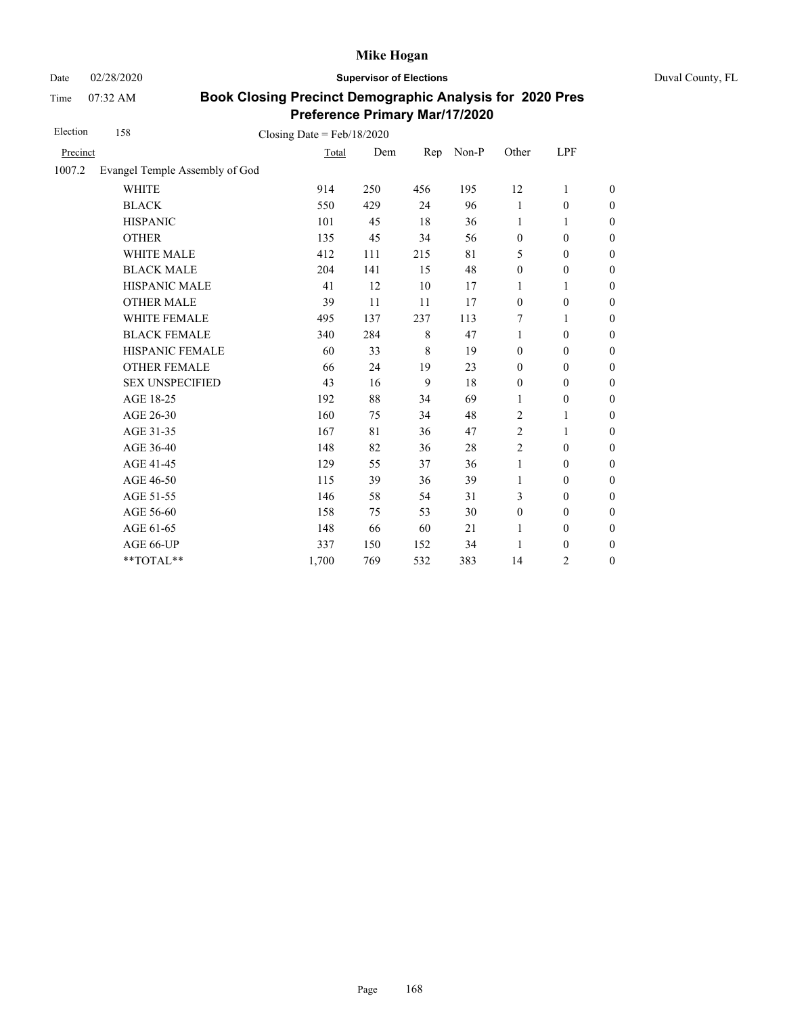Date 02/28/2020 **Supervisor of Elections** Duval County, FL

Time 07:32 AM

| Election | 158                            | Closing Date = $Feb/18/2020$ |     |     |       |                  |                  |                  |
|----------|--------------------------------|------------------------------|-----|-----|-------|------------------|------------------|------------------|
| Precinct |                                | Total                        | Dem | Rep | Non-P | Other            | LPF              |                  |
| 1007.2   | Evangel Temple Assembly of God |                              |     |     |       |                  |                  |                  |
|          | <b>WHITE</b>                   | 914                          | 250 | 456 | 195   | 12               | 1                | $\boldsymbol{0}$ |
|          | <b>BLACK</b>                   | 550                          | 429 | 24  | 96    | 1                | $\boldsymbol{0}$ | $\boldsymbol{0}$ |
|          | <b>HISPANIC</b>                | 101                          | 45  | 18  | 36    | 1                | 1                | $\boldsymbol{0}$ |
|          | <b>OTHER</b>                   | 135                          | 45  | 34  | 56    | $\boldsymbol{0}$ | $\mathbf{0}$     | $\mathbf{0}$     |
|          | <b>WHITE MALE</b>              | 412                          | 111 | 215 | 81    | 5                | $\mathbf{0}$     | $\boldsymbol{0}$ |
|          | <b>BLACK MALE</b>              | 204                          | 141 | 15  | 48    | $\boldsymbol{0}$ | $\boldsymbol{0}$ | $\boldsymbol{0}$ |
|          | HISPANIC MALE                  | 41                           | 12  | 10  | 17    | 1                | 1                | $\mathbf{0}$     |
|          | <b>OTHER MALE</b>              | 39                           | 11  | 11  | 17    | $\boldsymbol{0}$ | $\boldsymbol{0}$ | $\boldsymbol{0}$ |
|          | <b>WHITE FEMALE</b>            | 495                          | 137 | 237 | 113   | 7                | 1                | $\boldsymbol{0}$ |
|          | <b>BLACK FEMALE</b>            | 340                          | 284 | 8   | 47    | 1                | $\theta$         | $\boldsymbol{0}$ |
|          | HISPANIC FEMALE                | 60                           | 33  | 8   | 19    | $\mathbf{0}$     | $\boldsymbol{0}$ | $\boldsymbol{0}$ |
|          | <b>OTHER FEMALE</b>            | 66                           | 24  | 19  | 23    | $\mathbf{0}$     | $\theta$         | $\boldsymbol{0}$ |
|          | <b>SEX UNSPECIFIED</b>         | 43                           | 16  | 9   | 18    | $\mathbf{0}$     | $\mathbf{0}$     | $\boldsymbol{0}$ |
|          | AGE 18-25                      | 192                          | 88  | 34  | 69    | 1                | $\boldsymbol{0}$ | $\boldsymbol{0}$ |
|          | AGE 26-30                      | 160                          | 75  | 34  | 48    | 2                | 1                | $\boldsymbol{0}$ |
|          | AGE 31-35                      | 167                          | 81  | 36  | 47    | 2                | 1                | $\boldsymbol{0}$ |
|          | AGE 36-40                      | 148                          | 82  | 36  | 28    | $\overline{c}$   | $\boldsymbol{0}$ | $\boldsymbol{0}$ |
|          | AGE 41-45                      | 129                          | 55  | 37  | 36    | $\mathbf{1}$     | $\boldsymbol{0}$ | $\boldsymbol{0}$ |
|          | AGE 46-50                      | 115                          | 39  | 36  | 39    | 1                | $\boldsymbol{0}$ | $\boldsymbol{0}$ |
|          | AGE 51-55                      | 146                          | 58  | 54  | 31    | 3                | $\theta$         | $\boldsymbol{0}$ |
|          | AGE 56-60                      | 158                          | 75  | 53  | 30    | $\boldsymbol{0}$ | $\boldsymbol{0}$ | $\mathbf{0}$     |
|          | AGE 61-65                      | 148                          | 66  | 60  | 21    | 1                | $\boldsymbol{0}$ | $\boldsymbol{0}$ |
|          | AGE 66-UP                      | 337                          | 150 | 152 | 34    | 1                | $\boldsymbol{0}$ | $\boldsymbol{0}$ |
|          | **TOTAL**                      | 1,700                        | 769 | 532 | 383   | 14               | $\overline{2}$   | $\boldsymbol{0}$ |
|          |                                |                              |     |     |       |                  |                  |                  |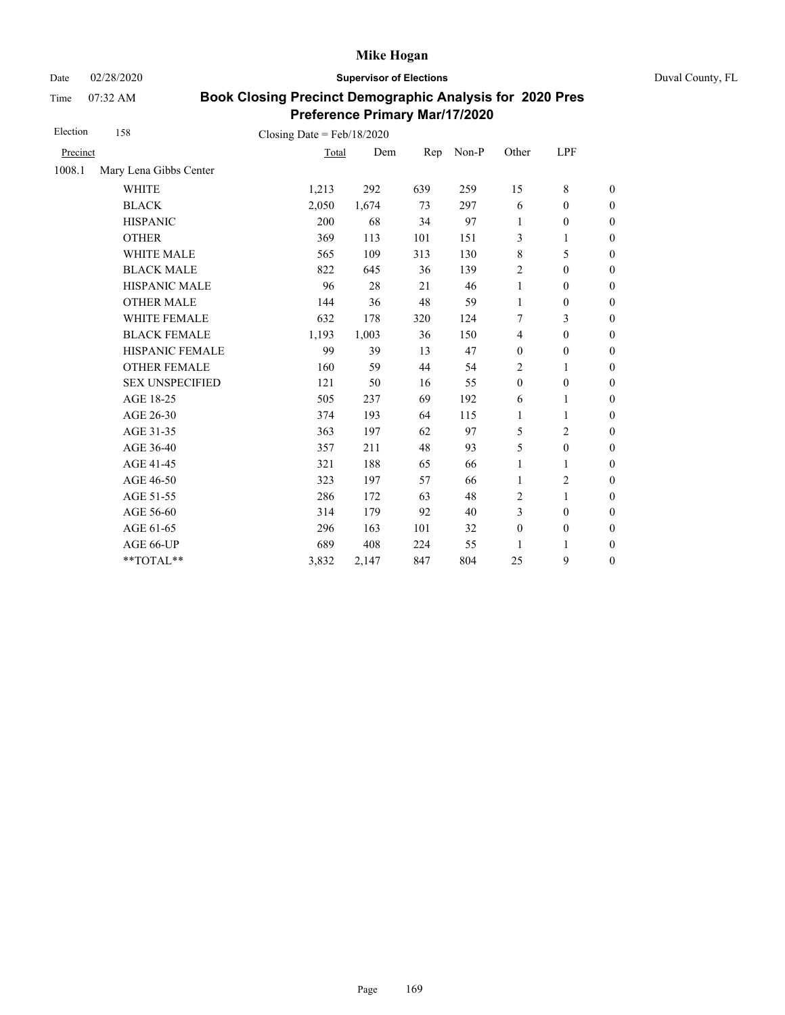Date 02/28/2020 **Supervisor of Elections** Duval County, FL

Time 07:32 AM

| Election | 158                    | Closing Date = $Feb/18/2020$ |       |     |       |                  |                  |                  |
|----------|------------------------|------------------------------|-------|-----|-------|------------------|------------------|------------------|
| Precinct |                        | Total                        | Dem   | Rep | Non-P | Other            | LPF              |                  |
| 1008.1   | Mary Lena Gibbs Center |                              |       |     |       |                  |                  |                  |
|          | <b>WHITE</b>           | 1,213                        | 292   | 639 | 259   | 15               | 8                | $\boldsymbol{0}$ |
|          | <b>BLACK</b>           | 2,050                        | 1,674 | 73  | 297   | 6                | $\boldsymbol{0}$ | $\boldsymbol{0}$ |
|          | <b>HISPANIC</b>        | 200                          | 68    | 34  | 97    | 1                | $\boldsymbol{0}$ | $\boldsymbol{0}$ |
|          | <b>OTHER</b>           | 369                          | 113   | 101 | 151   | 3                | 1                | $\boldsymbol{0}$ |
|          | WHITE MALE             | 565                          | 109   | 313 | 130   | $\,$ 8 $\,$      | 5                | $\boldsymbol{0}$ |
|          | <b>BLACK MALE</b>      | 822                          | 645   | 36  | 139   | $\overline{2}$   | $\mathbf{0}$     | $\boldsymbol{0}$ |
|          | <b>HISPANIC MALE</b>   | 96                           | 28    | 21  | 46    | 1                | $\mathbf{0}$     | $\boldsymbol{0}$ |
|          | <b>OTHER MALE</b>      | 144                          | 36    | 48  | 59    | $\mathbf{1}$     | $\boldsymbol{0}$ | $\boldsymbol{0}$ |
|          | <b>WHITE FEMALE</b>    | 632                          | 178   | 320 | 124   | 7                | 3                | $\boldsymbol{0}$ |
|          | <b>BLACK FEMALE</b>    | 1,193                        | 1,003 | 36  | 150   | $\overline{4}$   | $\mathbf{0}$     | $\boldsymbol{0}$ |
|          | HISPANIC FEMALE        | 99                           | 39    | 13  | 47    | $\boldsymbol{0}$ | $\boldsymbol{0}$ | $\boldsymbol{0}$ |
|          | <b>OTHER FEMALE</b>    | 160                          | 59    | 44  | 54    | 2                | 1                | $\boldsymbol{0}$ |
|          | <b>SEX UNSPECIFIED</b> | 121                          | 50    | 16  | 55    | $\boldsymbol{0}$ | $\boldsymbol{0}$ | $\boldsymbol{0}$ |
|          | AGE 18-25              | 505                          | 237   | 69  | 192   | 6                | 1                | $\theta$         |
|          | AGE 26-30              | 374                          | 193   | 64  | 115   | $\mathbf{1}$     | 1                | $\theta$         |
|          | AGE 31-35              | 363                          | 197   | 62  | 97    | 5                | 2                | $\boldsymbol{0}$ |
|          | AGE 36-40              | 357                          | 211   | 48  | 93    | 5                | $\boldsymbol{0}$ | $\boldsymbol{0}$ |
|          | AGE 41-45              | 321                          | 188   | 65  | 66    | 1                | $\mathbf{1}$     | $\mathbf{0}$     |
|          | AGE 46-50              | 323                          | 197   | 57  | 66    | 1                | 2                | $\boldsymbol{0}$ |
|          | AGE 51-55              | 286                          | 172   | 63  | 48    | 2                | $\mathbf{1}$     | $\boldsymbol{0}$ |
|          | AGE 56-60              | 314                          | 179   | 92  | 40    | 3                | $\mathbf{0}$     | $\mathbf{0}$     |
|          | AGE 61-65              | 296                          | 163   | 101 | 32    | $\boldsymbol{0}$ | $\boldsymbol{0}$ | $\mathbf{0}$     |
|          | AGE 66-UP              | 689                          | 408   | 224 | 55    | 1                | 1                | $\boldsymbol{0}$ |
|          | **TOTAL**              | 3,832                        | 2,147 | 847 | 804   | 25               | 9                | $\boldsymbol{0}$ |
|          |                        |                              |       |     |       |                  |                  |                  |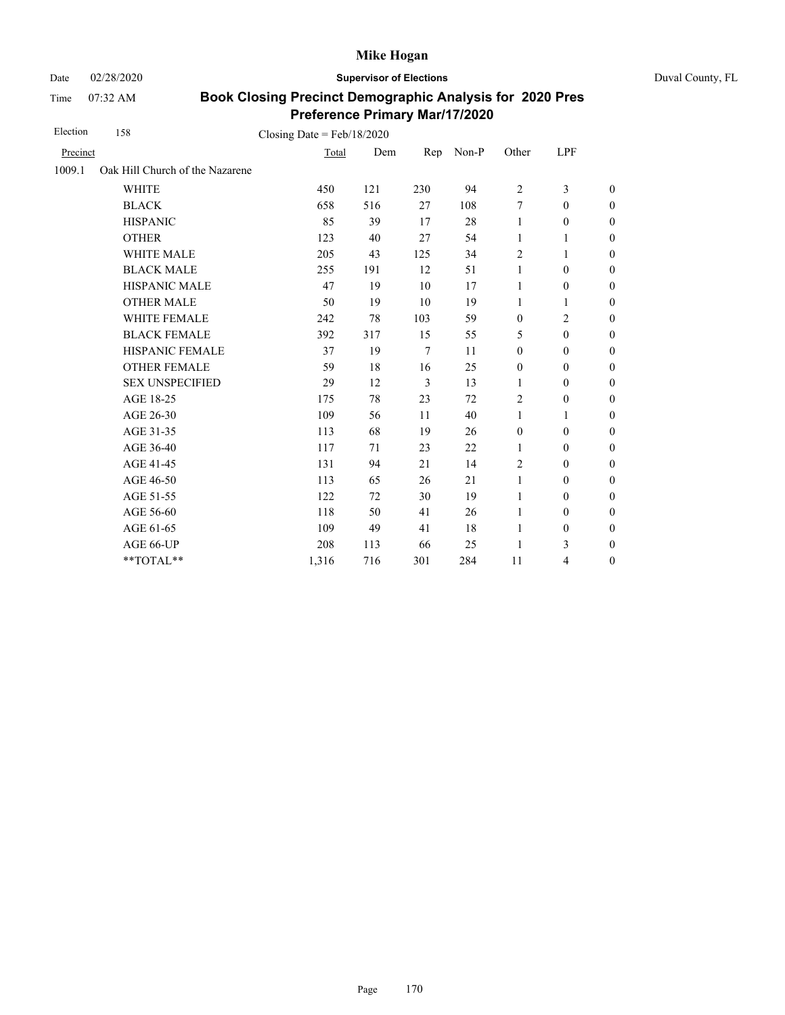Date 02/28/2020 **Supervisor of Elections** Duval County, FL

Time 07:32 AM

| Election | 158                             | Closing Date = $Feb/18/2020$ |     |                |       |                  |                  |                  |
|----------|---------------------------------|------------------------------|-----|----------------|-------|------------------|------------------|------------------|
| Precinct |                                 | Total                        | Dem | Rep            | Non-P | Other            | LPF              |                  |
| 1009.1   | Oak Hill Church of the Nazarene |                              |     |                |       |                  |                  |                  |
|          | <b>WHITE</b>                    | 450                          | 121 | 230            | 94    | 2                | 3                | $\boldsymbol{0}$ |
|          | <b>BLACK</b>                    | 658                          | 516 | 27             | 108   | 7                | $\mathbf{0}$     | $\boldsymbol{0}$ |
|          | <b>HISPANIC</b>                 | 85                           | 39  | 17             | 28    | $\mathbf{1}$     | $\boldsymbol{0}$ | $\overline{0}$   |
|          | <b>OTHER</b>                    | 123                          | 40  | 27             | 54    | $\mathbf{1}$     | 1                | $\overline{0}$   |
|          | <b>WHITE MALE</b>               | 205                          | 43  | 125            | 34    | 2                | 1                | $\boldsymbol{0}$ |
|          | <b>BLACK MALE</b>               | 255                          | 191 | 12             | 51    | $\mathbf{1}$     | $\mathbf{0}$     | $\boldsymbol{0}$ |
|          | <b>HISPANIC MALE</b>            | 47                           | 19  | 10             | 17    | 1                | $\boldsymbol{0}$ | $\overline{0}$   |
|          | <b>OTHER MALE</b>               | 50                           | 19  | 10             | 19    | 1                | 1                | $\boldsymbol{0}$ |
|          | <b>WHITE FEMALE</b>             | 242                          | 78  | 103            | 59    | $\mathbf{0}$     | $\overline{2}$   | $\boldsymbol{0}$ |
|          | <b>BLACK FEMALE</b>             | 392                          | 317 | 15             | 55    | 5                | $\mathbf{0}$     | $\overline{0}$   |
|          | HISPANIC FEMALE                 | 37                           | 19  | $\overline{7}$ | 11    | $\boldsymbol{0}$ | $\boldsymbol{0}$ | $\boldsymbol{0}$ |
|          | <b>OTHER FEMALE</b>             | 59                           | 18  | 16             | 25    | $\boldsymbol{0}$ | $\boldsymbol{0}$ | $\boldsymbol{0}$ |
|          | <b>SEX UNSPECIFIED</b>          | 29                           | 12  | 3              | 13    | 1                | $\mathbf{0}$     | $\boldsymbol{0}$ |
|          | AGE 18-25                       | 175                          | 78  | 23             | 72    | $\overline{c}$   | $\boldsymbol{0}$ | $\boldsymbol{0}$ |
|          | AGE 26-30                       | 109                          | 56  | 11             | 40    | 1                | 1                | $\boldsymbol{0}$ |
|          | AGE 31-35                       | 113                          | 68  | 19             | 26    | $\boldsymbol{0}$ | $\mathbf{0}$     | $\boldsymbol{0}$ |
|          | AGE 36-40                       | 117                          | 71  | 23             | 22    | 1                | $\mathbf{0}$     | $\boldsymbol{0}$ |
|          | AGE 41-45                       | 131                          | 94  | 21             | 14    | $\overline{2}$   | $\mathbf{0}$     | $\overline{0}$   |
|          | AGE 46-50                       | 113                          | 65  | 26             | 21    | $\mathbf{1}$     | $\boldsymbol{0}$ | $\boldsymbol{0}$ |
|          | AGE 51-55                       | 122                          | 72  | 30             | 19    | 1                | $\mathbf{0}$     | $\boldsymbol{0}$ |
|          | AGE 56-60                       | 118                          | 50  | 41             | 26    | 1                | $\mathbf{0}$     | $\overline{0}$   |
|          | AGE 61-65                       | 109                          | 49  | 41             | 18    | 1                | $\boldsymbol{0}$ | $\boldsymbol{0}$ |
|          | AGE 66-UP                       | 208                          | 113 | 66             | 25    | 1                | 3                | $\boldsymbol{0}$ |
|          | **TOTAL**                       | 1,316                        | 716 | 301            | 284   | 11               | 4                | $\overline{0}$   |
|          |                                 |                              |     |                |       |                  |                  |                  |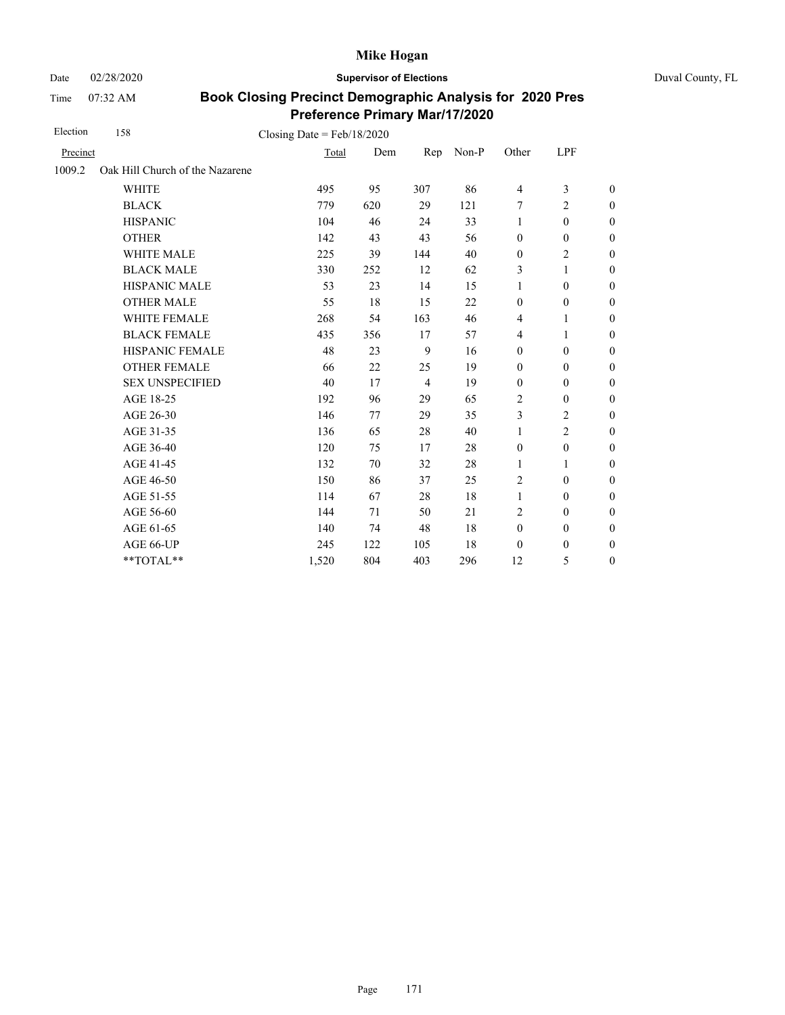Date 02/28/2020 **Supervisor of Elections** Duval County, FL

Time 07:32 AM

| Election | 158                             | Closing Date = $Feb/18/2020$ |     |                |       |                          |                  |                  |
|----------|---------------------------------|------------------------------|-----|----------------|-------|--------------------------|------------------|------------------|
| Precinct |                                 | Total                        | Dem | Rep            | Non-P | Other                    | LPF              |                  |
| 1009.2   | Oak Hill Church of the Nazarene |                              |     |                |       |                          |                  |                  |
|          | <b>WHITE</b>                    | 495                          | 95  | 307            | 86    | $\overline{\mathcal{L}}$ | 3                | $\mathbf{0}$     |
|          | <b>BLACK</b>                    | 779                          | 620 | 29             | 121   | 7                        | $\overline{2}$   | $\mathbf{0}$     |
|          | <b>HISPANIC</b>                 | 104                          | 46  | 24             | 33    | 1                        | $\boldsymbol{0}$ | $\boldsymbol{0}$ |
|          | <b>OTHER</b>                    | 142                          | 43  | 43             | 56    | $\boldsymbol{0}$         | $\boldsymbol{0}$ | $\boldsymbol{0}$ |
|          | WHITE MALE                      | 225                          | 39  | 144            | 40    | $\boldsymbol{0}$         | 2                | $\boldsymbol{0}$ |
|          | <b>BLACK MALE</b>               | 330                          | 252 | 12             | 62    | 3                        | 1                | $\boldsymbol{0}$ |
|          | <b>HISPANIC MALE</b>            | 53                           | 23  | 14             | 15    | 1                        | $\boldsymbol{0}$ | $\mathbf{0}$     |
|          | <b>OTHER MALE</b>               | 55                           | 18  | 15             | 22    | $\mathbf{0}$             | $\mathbf{0}$     | $\boldsymbol{0}$ |
|          | <b>WHITE FEMALE</b>             | 268                          | 54  | 163            | 46    | $\overline{4}$           | 1                | $\theta$         |
|          | <b>BLACK FEMALE</b>             | 435                          | 356 | 17             | 57    | $\overline{4}$           | 1                | $\mathbf{0}$     |
|          | HISPANIC FEMALE                 | 48                           | 23  | 9              | 16    | $\boldsymbol{0}$         | $\boldsymbol{0}$ | $\boldsymbol{0}$ |
|          | <b>OTHER FEMALE</b>             | 66                           | 22  | 25             | 19    | $\boldsymbol{0}$         | $\boldsymbol{0}$ | $\boldsymbol{0}$ |
|          | <b>SEX UNSPECIFIED</b>          | 40                           | 17  | $\overline{4}$ | 19    | $\mathbf{0}$             | $\theta$         | $\mathbf{0}$     |
|          | AGE 18-25                       | 192                          | 96  | 29             | 65    | 2                        | $\boldsymbol{0}$ | $\boldsymbol{0}$ |
|          | AGE 26-30                       | 146                          | 77  | 29             | 35    | 3                        | 2                | $\boldsymbol{0}$ |
|          | AGE 31-35                       | 136                          | 65  | 28             | 40    | 1                        | $\overline{2}$   | $\mathbf{0}$     |
|          | AGE 36-40                       | 120                          | 75  | 17             | 28    | $\mathbf{0}$             | $\mathbf{0}$     | $\mathbf{0}$     |
|          | AGE 41-45                       | 132                          | 70  | 32             | 28    | 1                        | 1                | $\boldsymbol{0}$ |
|          | AGE 46-50                       | 150                          | 86  | 37             | 25    | 2                        | $\boldsymbol{0}$ | $\boldsymbol{0}$ |
|          | AGE 51-55                       | 114                          | 67  | 28             | 18    | 1                        | $\theta$         | $\boldsymbol{0}$ |
|          | AGE 56-60                       | 144                          | 71  | 50             | 21    | $\overline{2}$           | $\mathbf{0}$     | $\mathbf{0}$     |
|          | AGE 61-65                       | 140                          | 74  | 48             | 18    | $\mathbf{0}$             | $\boldsymbol{0}$ | $\boldsymbol{0}$ |
|          | AGE 66-UP                       | 245                          | 122 | 105            | 18    | $\boldsymbol{0}$         | 0                | $\boldsymbol{0}$ |
|          | **TOTAL**                       | 1,520                        | 804 | 403            | 296   | 12                       | 5                | $\boldsymbol{0}$ |
|          |                                 |                              |     |                |       |                          |                  |                  |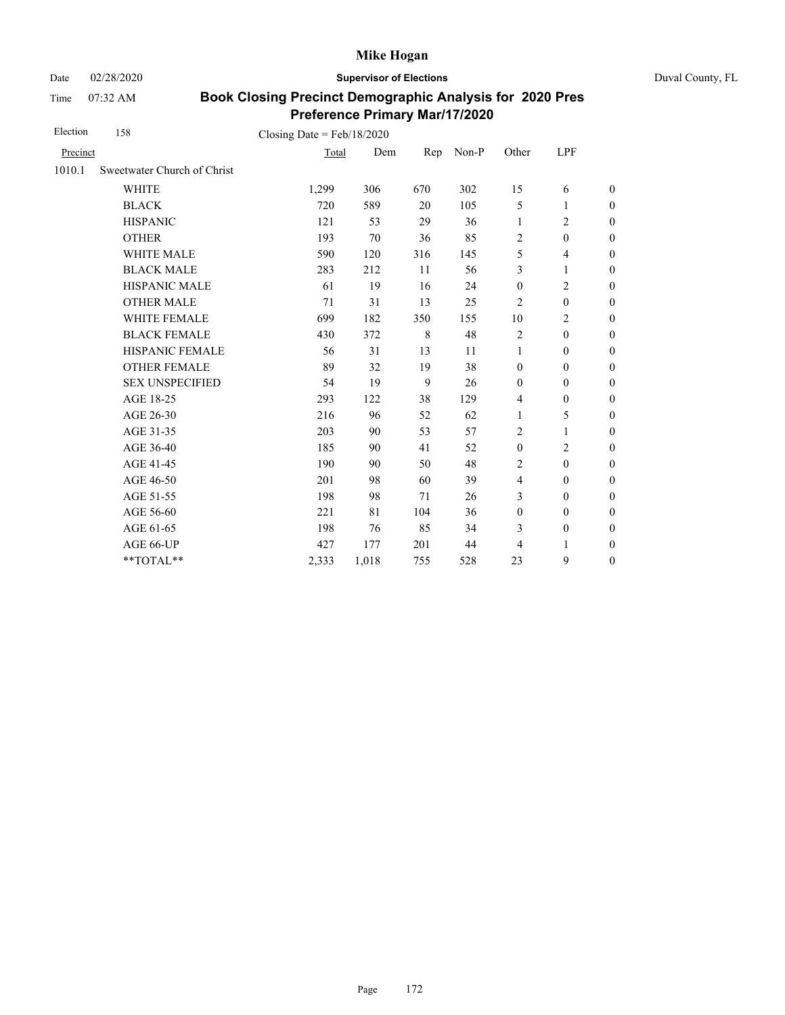Date 02/28/2020 **Supervisor of Elections** Duval County, FL

Time 07:32 AM

| Election | 158                         | Closing Date = $Feb/18/2020$ |       |     |       |                  |                  |                  |
|----------|-----------------------------|------------------------------|-------|-----|-------|------------------|------------------|------------------|
| Precinct |                             | Total                        | Dem   | Rep | Non-P | Other            | LPF              |                  |
| 1010.1   | Sweetwater Church of Christ |                              |       |     |       |                  |                  |                  |
|          | <b>WHITE</b>                | 1,299                        | 306   | 670 | 302   | 15               | 6                | $\boldsymbol{0}$ |
|          | <b>BLACK</b>                | 720                          | 589   | 20  | 105   | 5                | 1                | $\boldsymbol{0}$ |
|          | <b>HISPANIC</b>             | 121                          | 53    | 29  | 36    | 1                | $\overline{c}$   | $\boldsymbol{0}$ |
|          | <b>OTHER</b>                | 193                          | 70    | 36  | 85    | $\overline{2}$   | $\overline{0}$   | $\overline{0}$   |
|          | <b>WHITE MALE</b>           | 590                          | 120   | 316 | 145   | 5                | 4                | $\boldsymbol{0}$ |
|          | <b>BLACK MALE</b>           | 283                          | 212   | 11  | 56    | 3                | 1                | $\boldsymbol{0}$ |
|          | <b>HISPANIC MALE</b>        | 61                           | 19    | 16  | 24    | $\boldsymbol{0}$ | $\overline{c}$   | $\overline{0}$   |
|          | <b>OTHER MALE</b>           | 71                           | 31    | 13  | 25    | 2                | $\mathbf{0}$     | $\boldsymbol{0}$ |
|          | WHITE FEMALE                | 699                          | 182   | 350 | 155   | 10               | $\overline{c}$   | $\boldsymbol{0}$ |
|          | <b>BLACK FEMALE</b>         | 430                          | 372   | 8   | 48    | $\overline{2}$   | $\mathbf{0}$     | $\boldsymbol{0}$ |
|          | HISPANIC FEMALE             | 56                           | 31    | 13  | 11    | $\mathbf{1}$     | $\boldsymbol{0}$ | $\boldsymbol{0}$ |
|          | <b>OTHER FEMALE</b>         | 89                           | 32    | 19  | 38    | $\mathbf{0}$     | $\overline{0}$   | $\boldsymbol{0}$ |
|          | <b>SEX UNSPECIFIED</b>      | 54                           | 19    | 9   | 26    | $\mathbf{0}$     | $\boldsymbol{0}$ | $\boldsymbol{0}$ |
|          | AGE 18-25                   | 293                          | 122   | 38  | 129   | $\overline{4}$   | $\boldsymbol{0}$ | $\boldsymbol{0}$ |
|          | AGE 26-30                   | 216                          | 96    | 52  | 62    | $\mathbf{1}$     | 5                | $\overline{0}$   |
|          | AGE 31-35                   | 203                          | 90    | 53  | 57    | $\overline{2}$   | 1                | $\boldsymbol{0}$ |
|          | AGE 36-40                   | 185                          | 90    | 41  | 52    | $\mathbf{0}$     | $\overline{2}$   | $\boldsymbol{0}$ |
|          | AGE 41-45                   | 190                          | 90    | 50  | 48    | $\overline{2}$   | $\mathbf{0}$     | $\overline{0}$   |
|          | AGE 46-50                   | 201                          | 98    | 60  | 39    | $\overline{4}$   | $\mathbf{0}$     | $\boldsymbol{0}$ |
|          | AGE 51-55                   | 198                          | 98    | 71  | 26    | 3                | $\mathbf{0}$     | $\boldsymbol{0}$ |
|          | AGE 56-60                   | 221                          | 81    | 104 | 36    | $\boldsymbol{0}$ | $\mathbf{0}$     | $\boldsymbol{0}$ |
|          | AGE 61-65                   | 198                          | 76    | 85  | 34    | 3                | $\boldsymbol{0}$ | $\boldsymbol{0}$ |
|          | AGE 66-UP                   | 427                          | 177   | 201 | 44    | 4                | 1                | $\overline{0}$   |
|          | **TOTAL**                   | 2,333                        | 1,018 | 755 | 528   | 23               | 9                | $\boldsymbol{0}$ |
|          |                             |                              |       |     |       |                  |                  |                  |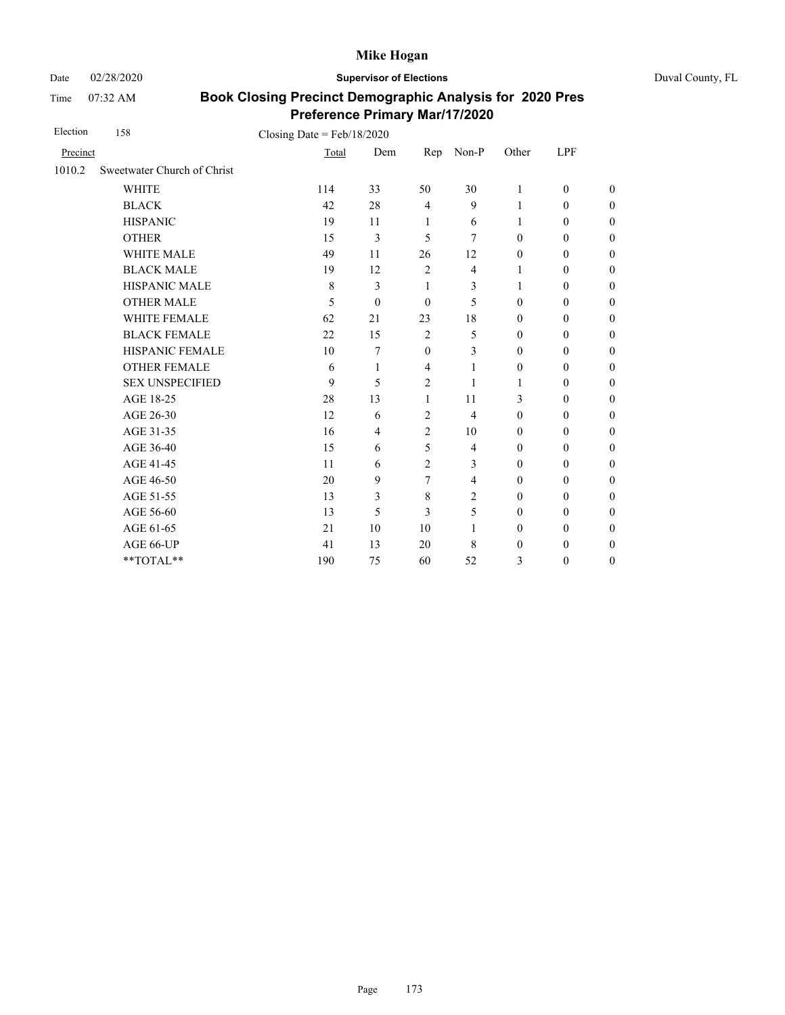Date 02/28/2020 **Supervisor of Elections** Duval County, FL

Time 07:32 AM

| Election | 158                         | Closing Date = $Feb/18/2020$ |          |                |                |                  |              |                  |
|----------|-----------------------------|------------------------------|----------|----------------|----------------|------------------|--------------|------------------|
| Precinct |                             | Total                        | Dem      | Rep            | Non-P          | Other            | LPF          |                  |
| 1010.2   | Sweetwater Church of Christ |                              |          |                |                |                  |              |                  |
|          | <b>WHITE</b>                | 114                          | 33       | 50             | 30             | 1                | $\mathbf{0}$ | $\theta$         |
|          | <b>BLACK</b>                | 42                           | 28       | $\overline{4}$ | 9              | 1                | $\mathbf{0}$ | $\boldsymbol{0}$ |
|          | <b>HISPANIC</b>             | 19                           | 11       | 1              | 6              | 1                | $\mathbf{0}$ | $\overline{0}$   |
|          | <b>OTHER</b>                | 15                           | 3        | 5              | 7              | $\mathbf{0}$     | $\mathbf{0}$ | $\overline{0}$   |
|          | <b>WHITE MALE</b>           | 49                           | 11       | 26             | 12             | $\mathbf{0}$     | $\mathbf{0}$ | $\boldsymbol{0}$ |
|          | <b>BLACK MALE</b>           | 19                           | 12       | $\overline{2}$ | $\overline{4}$ | 1                | $\mathbf{0}$ | $\boldsymbol{0}$ |
|          | <b>HISPANIC MALE</b>        | $\,8\,$                      | 3        | $\mathbf{1}$   | 3              | 1                | $\mathbf{0}$ | $\overline{0}$   |
|          | <b>OTHER MALE</b>           | 5                            | $\theta$ | $\theta$       | 5              | $\mathbf{0}$     | $\mathbf{0}$ | $\boldsymbol{0}$ |
|          | <b>WHITE FEMALE</b>         | 62                           | 21       | 23             | 18             | $\mathbf{0}$     | $\mathbf{0}$ | $\boldsymbol{0}$ |
|          | <b>BLACK FEMALE</b>         | 22                           | 15       | $\overline{2}$ | 5              | $\mathbf{0}$     | $\mathbf{0}$ | $\overline{0}$   |
|          | HISPANIC FEMALE             | 10                           | 7        | $\theta$       | 3              | $\mathbf{0}$     | $\mathbf{0}$ | $\overline{0}$   |
|          | <b>OTHER FEMALE</b>         | 6                            | 1        | $\overline{4}$ | 1              | $\boldsymbol{0}$ | $\mathbf{0}$ | $\boldsymbol{0}$ |
|          | <b>SEX UNSPECIFIED</b>      | 9                            | 5        | $\overline{2}$ | 1              | 1                | $\mathbf{0}$ | $\overline{0}$   |
|          | AGE 18-25                   | 28                           | 13       | 1              | 11             | 3                | $\mathbf{0}$ | $\overline{0}$   |
|          | AGE 26-30                   | 12                           | 6        | $\overline{2}$ | $\overline{4}$ | $\mathbf{0}$     | $\mathbf{0}$ | $\overline{0}$   |
|          | AGE 31-35                   | 16                           | 4        | 2              | 10             | $\mathbf{0}$     | $\mathbf{0}$ | $\boldsymbol{0}$ |
|          | AGE 36-40                   | 15                           | 6        | 5              | $\overline{4}$ | $\mathbf{0}$     | $\mathbf{0}$ | $\boldsymbol{0}$ |
|          | AGE 41-45                   | 11                           | 6        | $\overline{2}$ | 3              | $\mathbf{0}$     | $\mathbf{0}$ | $\overline{0}$   |
|          | AGE 46-50                   | 20                           | 9        | 7              | 4              | $\mathbf{0}$     | $\mathbf{0}$ | $\boldsymbol{0}$ |
|          | AGE 51-55                   | 13                           | 3        | $\,8\,$        | 2              | $\mathbf{0}$     | $\mathbf{0}$ | $\overline{0}$   |
|          | AGE 56-60                   | 13                           | 5        | 3              | 5              | $\mathbf{0}$     | $\mathbf{0}$ | $\overline{0}$   |
|          | AGE 61-65                   | 21                           | 10       | 10             | 1              | $\mathbf{0}$     | $\mathbf{0}$ | $\overline{0}$   |
|          | AGE 66-UP                   | 41                           | 13       | 20             | 8              | $\mathbf{0}$     | $\mathbf{0}$ | $\boldsymbol{0}$ |
|          | **TOTAL**                   | 190                          | 75       | 60             | 52             | 3                | $\mathbf{0}$ | $\overline{0}$   |
|          |                             |                              |          |                |                |                  |              |                  |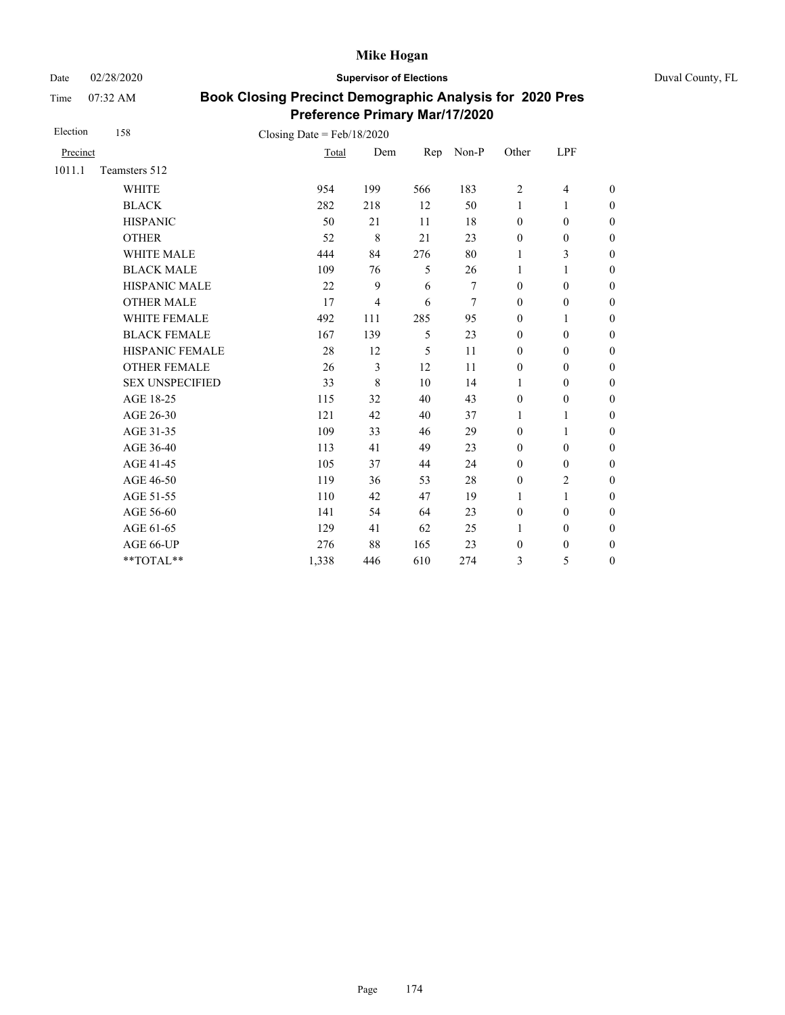Date 02/28/2020 **Supervisor of Elections** Duval County, FL

Time 07:32 AM

| Election | 158                    | Closing Date = $Feb/18/2020$ |                |     |       |                  |                  |                  |
|----------|------------------------|------------------------------|----------------|-----|-------|------------------|------------------|------------------|
| Precinct |                        | Total                        | Dem            | Rep | Non-P | Other            | LPF              |                  |
| 1011.1   | Teamsters 512          |                              |                |     |       |                  |                  |                  |
|          | <b>WHITE</b>           | 954                          | 199            | 566 | 183   | 2                | $\overline{4}$   | $\boldsymbol{0}$ |
|          | <b>BLACK</b>           | 282                          | 218            | 12  | 50    | 1                | 1                | $\boldsymbol{0}$ |
|          | <b>HISPANIC</b>        | 50                           | 21             | 11  | 18    | $\mathbf{0}$     | $\boldsymbol{0}$ | $\overline{0}$   |
|          | <b>OTHER</b>           | 52                           | 8              | 21  | 23    | $\boldsymbol{0}$ | $\boldsymbol{0}$ | $\boldsymbol{0}$ |
|          | WHITE MALE             | 444                          | 84             | 276 | 80    | 1                | 3                | $\boldsymbol{0}$ |
|          | <b>BLACK MALE</b>      | 109                          | 76             | 5   | 26    | 1                | 1                | $\boldsymbol{0}$ |
|          | <b>HISPANIC MALE</b>   | 22                           | 9              | 6   | 7     | $\boldsymbol{0}$ | $\boldsymbol{0}$ | $\overline{0}$   |
|          | <b>OTHER MALE</b>      | 17                           | $\overline{4}$ | 6   | 7     | $\boldsymbol{0}$ | $\boldsymbol{0}$ | $\boldsymbol{0}$ |
|          | WHITE FEMALE           | 492                          | 111            | 285 | 95    | $\mathbf{0}$     | 1                | $\boldsymbol{0}$ |
|          | <b>BLACK FEMALE</b>    | 167                          | 139            | 5   | 23    | $\mathbf{0}$     | $\mathbf{0}$     | $\overline{0}$   |
|          | HISPANIC FEMALE        | 28                           | 12             | 5   | 11    | $\boldsymbol{0}$ | $\boldsymbol{0}$ | $\boldsymbol{0}$ |
|          | <b>OTHER FEMALE</b>    | 26                           | 3              | 12  | 11    | $\mathbf{0}$     | $\overline{0}$   | $\overline{0}$   |
|          | <b>SEX UNSPECIFIED</b> | 33                           | 8              | 10  | 14    | 1                | $\mathbf{0}$     | $\boldsymbol{0}$ |
|          | AGE 18-25              | 115                          | 32             | 40  | 43    | $\mathbf{0}$     | $\boldsymbol{0}$ | $\overline{0}$   |
|          | AGE 26-30              | 121                          | 42             | 40  | 37    | $\mathbf{1}$     | 1                | $\overline{0}$   |
|          | AGE 31-35              | 109                          | 33             | 46  | 29    | $\mathbf{0}$     | 1                | $\boldsymbol{0}$ |
|          | AGE 36-40              | 113                          | 41             | 49  | 23    | $\mathbf{0}$     | $\mathbf{0}$     | $\boldsymbol{0}$ |
|          | AGE 41-45              | 105                          | 37             | 44  | 24    | $\mathbf{0}$     | $\boldsymbol{0}$ | $\overline{0}$   |
|          | AGE 46-50              | 119                          | 36             | 53  | 28    | $\boldsymbol{0}$ | $\overline{c}$   | $\boldsymbol{0}$ |
|          | AGE 51-55              | 110                          | 42             | 47  | 19    | $\mathbf{1}$     | $\mathbf{1}$     | $\boldsymbol{0}$ |
|          | AGE 56-60              | 141                          | 54             | 64  | 23    | $\boldsymbol{0}$ | $\mathbf{0}$     | $\overline{0}$   |
|          | AGE 61-65              | 129                          | 41             | 62  | 25    | $\mathbf{1}$     | $\boldsymbol{0}$ | $\boldsymbol{0}$ |
|          | AGE 66-UP              | 276                          | 88             | 165 | 23    | $\boldsymbol{0}$ | $\boldsymbol{0}$ | $\boldsymbol{0}$ |
|          | **TOTAL**              | 1,338                        | 446            | 610 | 274   | 3                | 5                | $\boldsymbol{0}$ |
|          |                        |                              |                |     |       |                  |                  |                  |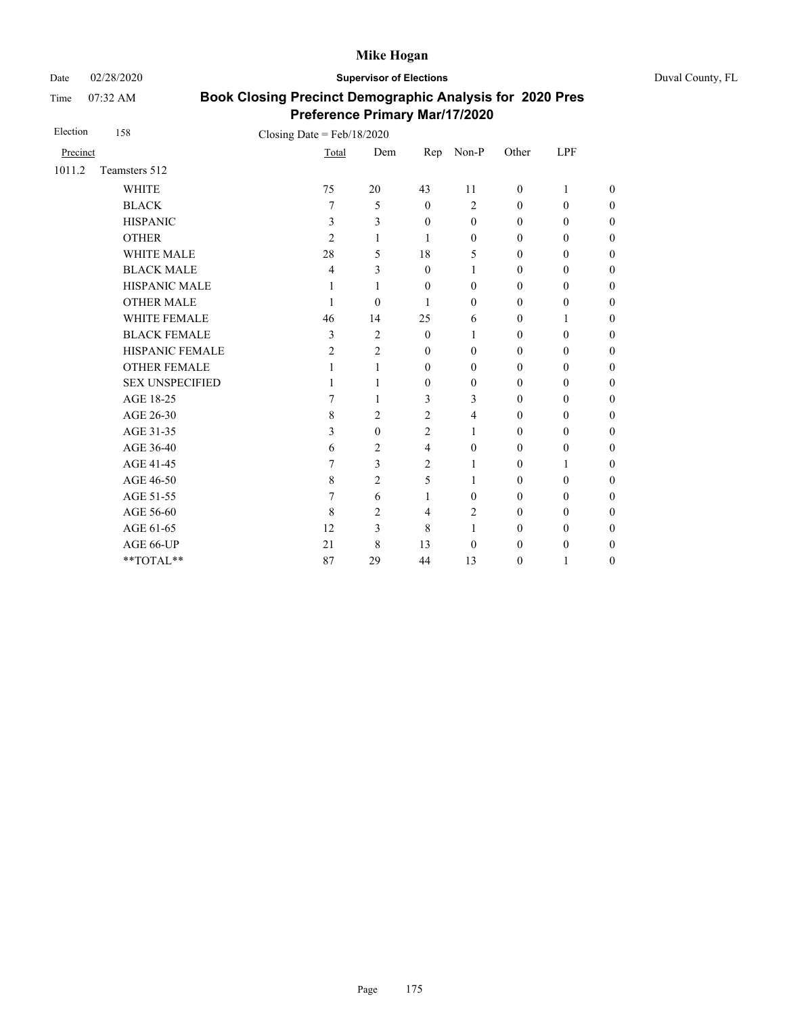Date 02/28/2020 **Supervisor of Elections** Duval County, FL

Time 07:32 AM

| Election | 158                    | Closing Date = $Feb/18/2020$ |                |                |                |              |              |                  |
|----------|------------------------|------------------------------|----------------|----------------|----------------|--------------|--------------|------------------|
| Precinct |                        |                              | Total          | Dem<br>Rep     | Non-P          | Other        | LPF          |                  |
| 1011.2   | Teamsters 512          |                              |                |                |                |              |              |                  |
|          | <b>WHITE</b>           | 75                           | 20             | 43             | 11             | $\mathbf{0}$ | 1            | $\theta$         |
|          | <b>BLACK</b>           | 7                            | 5              | $\theta$       | $\overline{2}$ | $\theta$     | $\mathbf{0}$ | $\boldsymbol{0}$ |
|          | <b>HISPANIC</b>        | 3                            | 3              | $\mathbf{0}$   | $\theta$       | $\mathbf{0}$ | $\mathbf{0}$ | $\overline{0}$   |
|          | <b>OTHER</b>           | 2                            | 1              | $\mathbf{1}$   | $\overline{0}$ | $\theta$     | $\mathbf{0}$ | $\overline{0}$   |
|          | WHITE MALE             | 28                           | 5              | 18             | 5              | $\mathbf{0}$ | $\mathbf{0}$ | $\boldsymbol{0}$ |
|          | <b>BLACK MALE</b>      | 4                            | 3              | $\mathbf{0}$   | 1              | $\mathbf{0}$ | $\mathbf{0}$ | $\boldsymbol{0}$ |
|          | HISPANIC MALE          | 1                            | 1              | $\mathbf{0}$   | $\theta$       | $\mathbf{0}$ | $\mathbf{0}$ | $\overline{0}$   |
|          | <b>OTHER MALE</b>      | 1                            | $\theta$       | $\mathbf{1}$   | $\overline{0}$ | $\mathbf{0}$ | $\mathbf{0}$ | $\theta$         |
|          | <b>WHITE FEMALE</b>    | 46                           | 14             | 25             | 6              | $\mathbf{0}$ | 1            | $\boldsymbol{0}$ |
|          | <b>BLACK FEMALE</b>    | 3                            | $\overline{c}$ | $\mathbf{0}$   | 1              | $\mathbf{0}$ | $\mathbf{0}$ | $\overline{0}$   |
|          | HISPANIC FEMALE        | 2                            | $\overline{2}$ | $\mathbf{0}$   | $\overline{0}$ | $\theta$     | $\mathbf{0}$ | $\theta$         |
|          | <b>OTHER FEMALE</b>    | 1                            | 1              | $\theta$       | $\theta$       | $\theta$     | $\mathbf{0}$ | $\overline{0}$   |
|          | <b>SEX UNSPECIFIED</b> | 1                            | 1              | $\mathbf{0}$   | $\overline{0}$ | $\mathbf{0}$ | $\mathbf{0}$ | $\overline{0}$   |
|          | AGE 18-25              | 7                            | 1              | 3              | 3              | $\mathbf{0}$ | $\mathbf{0}$ | $\overline{0}$   |
|          | AGE 26-30              | 8                            | $\overline{2}$ | $\overline{2}$ | 4              | $\theta$     | $\mathbf{0}$ | $\overline{0}$   |
|          | AGE 31-35              | 3                            | $\mathbf{0}$   | $\overline{2}$ | 1              | $\theta$     | $\mathbf{0}$ | $\overline{0}$   |
|          | AGE 36-40              | 6                            | 2              | $\overline{4}$ | $\theta$       | $\mathbf{0}$ | $\mathbf{0}$ | $\overline{0}$   |
|          | AGE 41-45              | 7                            | $\mathfrak{Z}$ | $\overline{2}$ | 1              | $\mathbf{0}$ | 1            | $\overline{0}$   |
|          | AGE 46-50              | 8                            | 2              | 5              | 1              | $\mathbf{0}$ | $\mathbf{0}$ | $\overline{0}$   |
|          | AGE 51-55              | 7                            | 6              | 1              | $\mathbf{0}$   | $\mathbf{0}$ | $\mathbf{0}$ | $\boldsymbol{0}$ |
|          | AGE 56-60              | 8                            | $\overline{2}$ | $\overline{4}$ | $\overline{c}$ | $\mathbf{0}$ | $\mathbf{0}$ | $\overline{0}$   |
|          | AGE 61-65              | 12                           | 3              | 8              | 1              | $\mathbf{0}$ | $\mathbf{0}$ | $\overline{0}$   |
|          | AGE 66-UP              | 21                           | 8              | 13             | $\theta$       | $\mathbf{0}$ | $\mathbf{0}$ | $\boldsymbol{0}$ |
|          | **TOTAL**              | 87                           | 29             | 44             | 13             | $\theta$     | 1            | $\overline{0}$   |
|          |                        |                              |                |                |                |              |              |                  |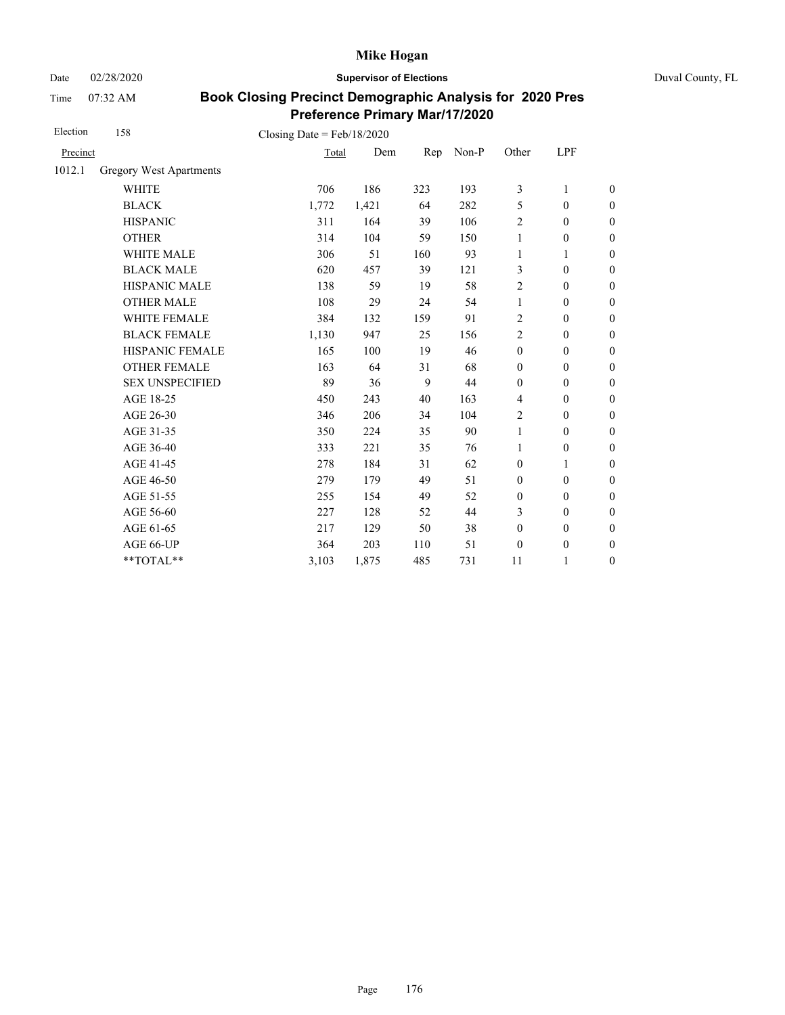Date 02/28/2020 **Supervisor of Elections** Duval County, FL

Time 07:32 AM

| Election | 158                     | Closing Date = $Feb/18/2020$ |       |     |       |                  |                  |                  |
|----------|-------------------------|------------------------------|-------|-----|-------|------------------|------------------|------------------|
| Precinct |                         | Total                        | Dem   | Rep | Non-P | Other            | LPF              |                  |
| 1012.1   | Gregory West Apartments |                              |       |     |       |                  |                  |                  |
|          | <b>WHITE</b>            | 706                          | 186   | 323 | 193   | 3                | 1                | $\boldsymbol{0}$ |
|          | <b>BLACK</b>            | 1,772                        | 1,421 | 64  | 282   | 5                | $\mathbf{0}$     | $\boldsymbol{0}$ |
|          | <b>HISPANIC</b>         | 311                          | 164   | 39  | 106   | 2                | $\mathbf{0}$     | $\boldsymbol{0}$ |
|          | <b>OTHER</b>            | 314                          | 104   | 59  | 150   | $\mathbf{1}$     | $\boldsymbol{0}$ | $\boldsymbol{0}$ |
|          | WHITE MALE              | 306                          | 51    | 160 | 93    | 1                | 1                | $\boldsymbol{0}$ |
|          | <b>BLACK MALE</b>       | 620                          | 457   | 39  | 121   | 3                | $\mathbf{0}$     | $\boldsymbol{0}$ |
|          | <b>HISPANIC MALE</b>    | 138                          | 59    | 19  | 58    | $\overline{c}$   | $\boldsymbol{0}$ | $\overline{0}$   |
|          | <b>OTHER MALE</b>       | 108                          | 29    | 24  | 54    | 1                | $\boldsymbol{0}$ | $\boldsymbol{0}$ |
|          | <b>WHITE FEMALE</b>     | 384                          | 132   | 159 | 91    | 2                | $\mathbf{0}$     | $\boldsymbol{0}$ |
|          | <b>BLACK FEMALE</b>     | 1,130                        | 947   | 25  | 156   | $\overline{c}$   | $\mathbf{0}$     | $\boldsymbol{0}$ |
|          | HISPANIC FEMALE         | 165                          | 100   | 19  | 46    | $\boldsymbol{0}$ | $\boldsymbol{0}$ | $\boldsymbol{0}$ |
|          | <b>OTHER FEMALE</b>     | 163                          | 64    | 31  | 68    | $\boldsymbol{0}$ | $\mathbf{0}$     | $\boldsymbol{0}$ |
|          | <b>SEX UNSPECIFIED</b>  | 89                           | 36    | 9   | 44    | $\mathbf{0}$     | $\mathbf{0}$     | $\boldsymbol{0}$ |
|          | AGE 18-25               | 450                          | 243   | 40  | 163   | $\overline{4}$   | $\boldsymbol{0}$ | $\boldsymbol{0}$ |
|          | AGE 26-30               | 346                          | 206   | 34  | 104   | $\overline{2}$   | $\boldsymbol{0}$ | $\boldsymbol{0}$ |
|          | AGE 31-35               | 350                          | 224   | 35  | 90    | $\mathbf{1}$     | $\boldsymbol{0}$ | $\boldsymbol{0}$ |
|          | AGE 36-40               | 333                          | 221   | 35  | 76    | 1                | $\mathbf{0}$     | $\boldsymbol{0}$ |
|          | AGE 41-45               | 278                          | 184   | 31  | 62    | $\boldsymbol{0}$ | $\mathbf{1}$     | $\overline{0}$   |
|          | AGE 46-50               | 279                          | 179   | 49  | 51    | $\boldsymbol{0}$ | $\mathbf{0}$     | $\boldsymbol{0}$ |
|          | AGE 51-55               | 255                          | 154   | 49  | 52    | $\boldsymbol{0}$ | $\mathbf{0}$     | $\boldsymbol{0}$ |
|          | AGE 56-60               | 227                          | 128   | 52  | 44    | 3                | $\mathbf{0}$     | $\overline{0}$   |
|          | AGE 61-65               | 217                          | 129   | 50  | 38    | $\boldsymbol{0}$ | $\boldsymbol{0}$ | $\boldsymbol{0}$ |
|          | AGE 66-UP               | 364                          | 203   | 110 | 51    | $\boldsymbol{0}$ | $\boldsymbol{0}$ | $\boldsymbol{0}$ |
|          | **TOTAL**               | 3,103                        | 1,875 | 485 | 731   | 11               | 1                | $\boldsymbol{0}$ |
|          |                         |                              |       |     |       |                  |                  |                  |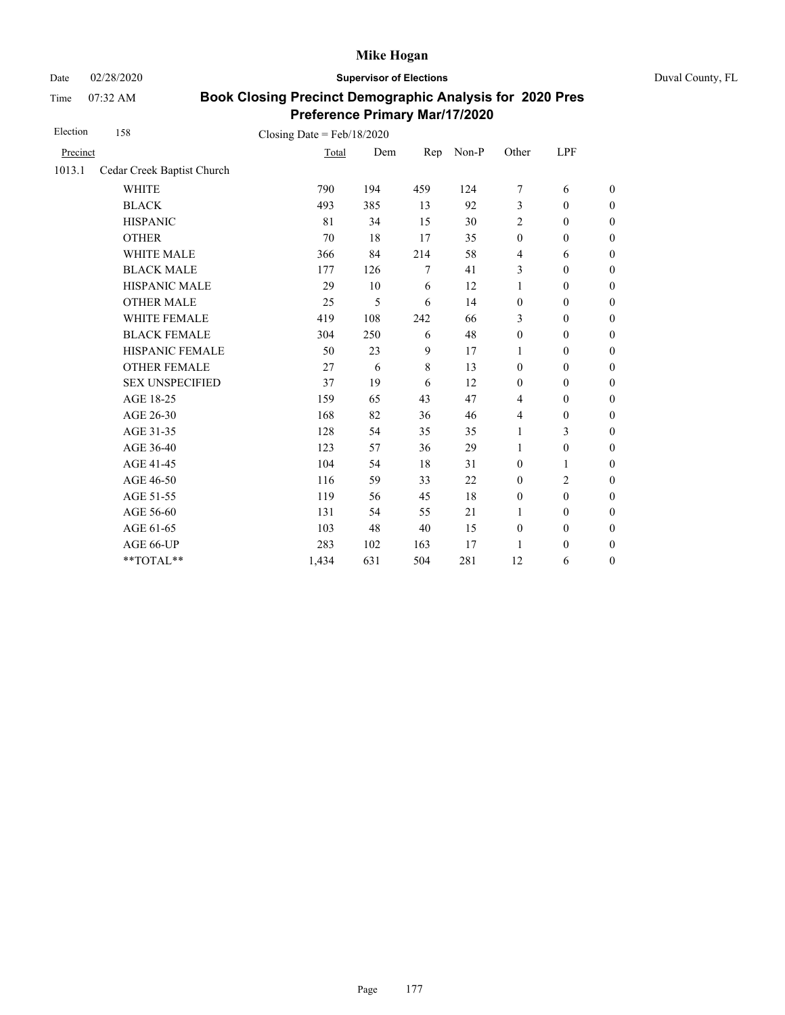Date 02/28/2020 **Supervisor of Elections** Duval County, FL

Time 07:32 AM

| Election | 158                        | Closing Date = $Feb/18/2020$ |     |         |       |                  |                  |                  |
|----------|----------------------------|------------------------------|-----|---------|-------|------------------|------------------|------------------|
| Precinct |                            | Total                        | Dem | Rep     | Non-P | Other            | LPF              |                  |
| 1013.1   | Cedar Creek Baptist Church |                              |     |         |       |                  |                  |                  |
|          | <b>WHITE</b>               | 790                          | 194 | 459     | 124   | 7                | 6                | $\boldsymbol{0}$ |
|          | <b>BLACK</b>               | 493                          | 385 | 13      | 92    | 3                | $\mathbf{0}$     | $\boldsymbol{0}$ |
|          | <b>HISPANIC</b>            | 81                           | 34  | 15      | 30    | $\overline{c}$   | $\mathbf{0}$     | $\overline{0}$   |
|          | <b>OTHER</b>               | 70                           | 18  | 17      | 35    | $\mathbf{0}$     | $\mathbf{0}$     | $\boldsymbol{0}$ |
|          | WHITE MALE                 | 366                          | 84  | 214     | 58    | $\overline{4}$   | 6                | $\boldsymbol{0}$ |
|          | <b>BLACK MALE</b>          | 177                          | 126 | 7       | 41    | 3                | $\mathbf{0}$     | $\boldsymbol{0}$ |
|          | <b>HISPANIC MALE</b>       | 29                           | 10  | 6       | 12    | $\mathbf{1}$     | $\mathbf{0}$     | $\overline{0}$   |
|          | <b>OTHER MALE</b>          | 25                           | 5   | 6       | 14    | $\boldsymbol{0}$ | $\overline{0}$   | $\boldsymbol{0}$ |
|          | <b>WHITE FEMALE</b>        | 419                          | 108 | 242     | 66    | 3                | $\mathbf{0}$     | $\boldsymbol{0}$ |
|          | <b>BLACK FEMALE</b>        | 304                          | 250 | 6       | 48    | $\boldsymbol{0}$ | $\mathbf{0}$     | $\overline{0}$   |
|          | HISPANIC FEMALE            | 50                           | 23  | 9       | 17    | 1                | $\boldsymbol{0}$ | $\boldsymbol{0}$ |
|          | <b>OTHER FEMALE</b>        | 27                           | 6   | $\,8\,$ | 13    | $\mathbf{0}$     | $\mathbf{0}$     | $\boldsymbol{0}$ |
|          | <b>SEX UNSPECIFIED</b>     | 37                           | 19  | 6       | 12    | $\mathbf{0}$     | $\mathbf{0}$     | $\boldsymbol{0}$ |
|          | AGE 18-25                  | 159                          | 65  | 43      | 47    | $\overline{4}$   | $\boldsymbol{0}$ | $\theta$         |
|          | AGE 26-30                  | 168                          | 82  | 36      | 46    | $\overline{4}$   | $\mathbf{0}$     | $\boldsymbol{0}$ |
|          | AGE 31-35                  | 128                          | 54  | 35      | 35    | $\mathbf{1}$     | 3                | $\boldsymbol{0}$ |
|          | AGE 36-40                  | 123                          | 57  | 36      | 29    | 1                | $\boldsymbol{0}$ | $\boldsymbol{0}$ |
|          | AGE 41-45                  | 104                          | 54  | 18      | 31    | $\mathbf{0}$     | 1                | $\theta$         |
|          | AGE 46-50                  | 116                          | 59  | 33      | 22    | $\mathbf{0}$     | 2                | $\boldsymbol{0}$ |
|          | AGE 51-55                  | 119                          | 56  | 45      | 18    | $\mathbf{0}$     | $\mathbf{0}$     | $\boldsymbol{0}$ |
|          | AGE 56-60                  | 131                          | 54  | 55      | 21    | $\mathbf{1}$     | $\mathbf{0}$     | $\overline{0}$   |
|          | AGE 61-65                  | 103                          | 48  | 40      | 15    | $\mathbf{0}$     | $\mathbf{0}$     | $\boldsymbol{0}$ |
|          | AGE 66-UP                  | 283                          | 102 | 163     | 17    | 1                | $\mathbf{0}$     | $\boldsymbol{0}$ |
|          | **TOTAL**                  | 1,434                        | 631 | 504     | 281   | 12               | 6                | $\boldsymbol{0}$ |
|          |                            |                              |     |         |       |                  |                  |                  |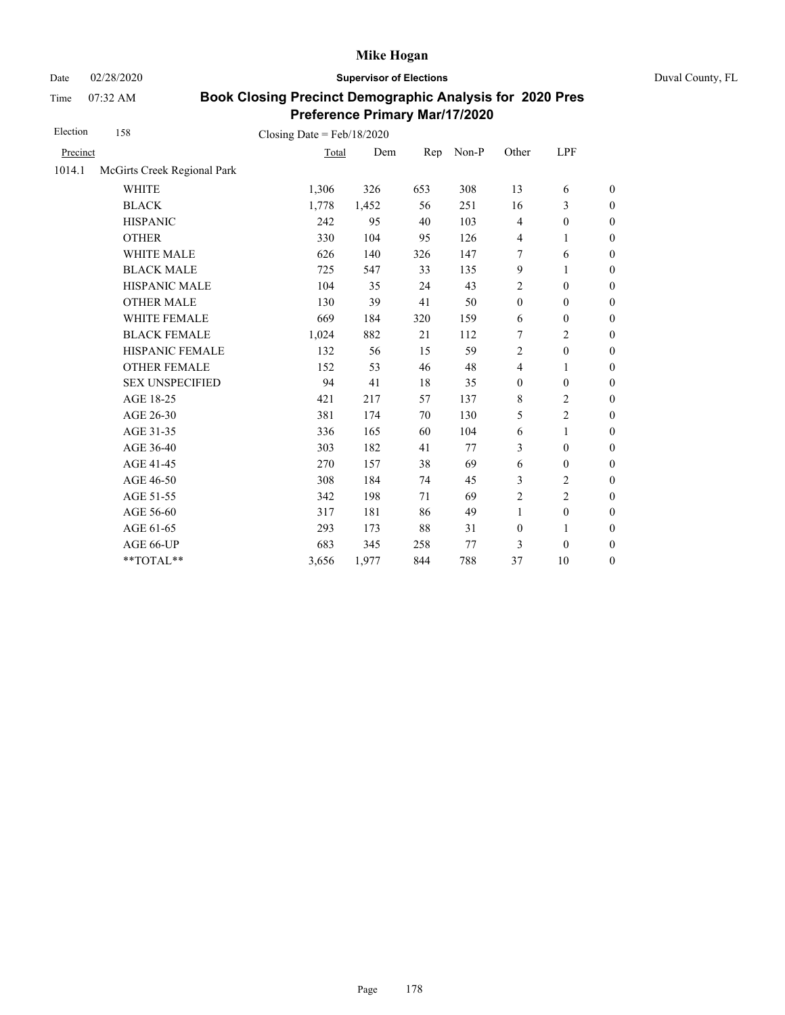Date 02/28/2020 **Supervisor of Elections** Duval County, FL

Time 07:32 AM

| Election | 158                         | Closing Date = $Feb/18/2020$ |       |     |       |                  |                  |                  |
|----------|-----------------------------|------------------------------|-------|-----|-------|------------------|------------------|------------------|
| Precinct |                             | Total                        | Dem   | Rep | Non-P | Other            | LPF              |                  |
| 1014.1   | McGirts Creek Regional Park |                              |       |     |       |                  |                  |                  |
|          | <b>WHITE</b>                | 1,306                        | 326   | 653 | 308   | 13               | 6                | $\boldsymbol{0}$ |
|          | <b>BLACK</b>                | 1,778                        | 1,452 | 56  | 251   | 16               | 3                | $\theta$         |
|          | <b>HISPANIC</b>             | 242                          | 95    | 40  | 103   | $\overline{4}$   | $\boldsymbol{0}$ | $\boldsymbol{0}$ |
|          | <b>OTHER</b>                | 330                          | 104   | 95  | 126   | $\overline{4}$   | 1                | $\mathbf{0}$     |
|          | <b>WHITE MALE</b>           | 626                          | 140   | 326 | 147   | 7                | 6                | $\boldsymbol{0}$ |
|          | <b>BLACK MALE</b>           | 725                          | 547   | 33  | 135   | 9                | 1                | $\boldsymbol{0}$ |
|          | HISPANIC MALE               | 104                          | 35    | 24  | 43    | $\overline{c}$   | $\boldsymbol{0}$ | $\mathbf{0}$     |
|          | <b>OTHER MALE</b>           | 130                          | 39    | 41  | 50    | $\boldsymbol{0}$ | $\boldsymbol{0}$ | $\boldsymbol{0}$ |
|          | WHITE FEMALE                | 669                          | 184   | 320 | 159   | 6                | $\boldsymbol{0}$ | $\boldsymbol{0}$ |
|          | <b>BLACK FEMALE</b>         | 1,024                        | 882   | 21  | 112   | 7                | $\overline{c}$   | $\boldsymbol{0}$ |
|          | HISPANIC FEMALE             | 132                          | 56    | 15  | 59    | $\overline{c}$   | $\boldsymbol{0}$ | $\mathbf{0}$     |
|          | <b>OTHER FEMALE</b>         | 152                          | 53    | 46  | 48    | $\overline{4}$   | 1                | $\boldsymbol{0}$ |
|          | <b>SEX UNSPECIFIED</b>      | 94                           | 41    | 18  | 35    | $\boldsymbol{0}$ | $\boldsymbol{0}$ | $\boldsymbol{0}$ |
|          | AGE 18-25                   | 421                          | 217   | 57  | 137   | $\,8\,$          | 2                | $\boldsymbol{0}$ |
|          | AGE 26-30                   | 381                          | 174   | 70  | 130   | 5                | $\overline{c}$   | $\boldsymbol{0}$ |
|          | AGE 31-35                   | 336                          | 165   | 60  | 104   | 6                | 1                | $\boldsymbol{0}$ |
|          | AGE 36-40                   | 303                          | 182   | 41  | 77    | 3                | $\boldsymbol{0}$ | $\boldsymbol{0}$ |
|          | AGE 41-45                   | 270                          | 157   | 38  | 69    | $\boldsymbol{6}$ | $\boldsymbol{0}$ | $\boldsymbol{0}$ |
|          | AGE 46-50                   | 308                          | 184   | 74  | 45    | 3                | 2                | $\boldsymbol{0}$ |
|          | AGE 51-55                   | 342                          | 198   | 71  | 69    | $\overline{c}$   | $\overline{c}$   | $\boldsymbol{0}$ |
|          | AGE 56-60                   | 317                          | 181   | 86  | 49    | $\mathbf{1}$     | $\boldsymbol{0}$ | $\boldsymbol{0}$ |
|          | AGE 61-65                   | 293                          | 173   | 88  | 31    | $\boldsymbol{0}$ | $\mathbf{1}$     | $\boldsymbol{0}$ |
|          | AGE 66-UP                   | 683                          | 345   | 258 | 77    | 3                | $\mathbf{0}$     | $\boldsymbol{0}$ |
|          | **TOTAL**                   | 3,656                        | 1,977 | 844 | 788   | 37               | 10               | $\boldsymbol{0}$ |
|          |                             |                              |       |     |       |                  |                  |                  |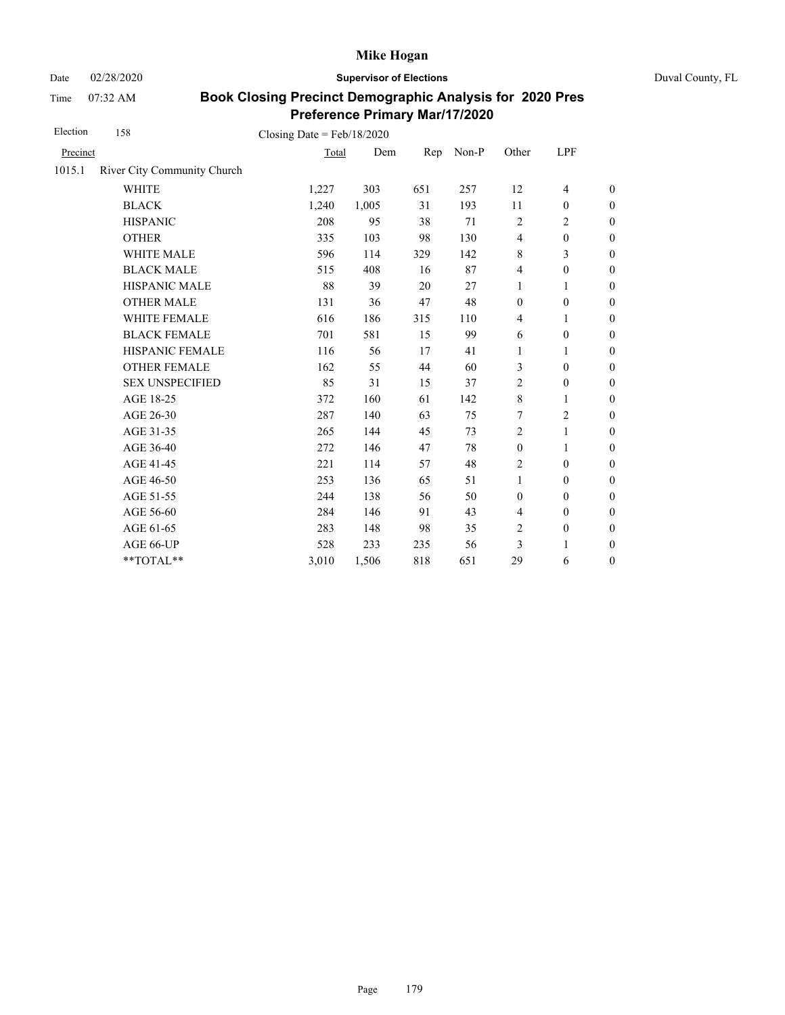Date 02/28/2020 **Supervisor of Elections** Duval County, FL

Time 07:32 AM

| Election | 158                         | Closing Date = $Feb/18/2020$ |       |     |       |                          |                  |                  |
|----------|-----------------------------|------------------------------|-------|-----|-------|--------------------------|------------------|------------------|
| Precinct |                             | Total                        | Dem   | Rep | Non-P | Other                    | LPF              |                  |
| 1015.1   | River City Community Church |                              |       |     |       |                          |                  |                  |
|          | <b>WHITE</b>                | 1,227                        | 303   | 651 | 257   | 12                       | $\overline{4}$   | $\boldsymbol{0}$ |
|          | <b>BLACK</b>                | 1,240                        | 1,005 | 31  | 193   | 11                       | $\boldsymbol{0}$ | $\boldsymbol{0}$ |
|          | <b>HISPANIC</b>             | 208                          | 95    | 38  | 71    | $\sqrt{2}$               | 2                | $\boldsymbol{0}$ |
|          | <b>OTHER</b>                | 335                          | 103   | 98  | 130   | $\overline{\mathcal{L}}$ | $\boldsymbol{0}$ | $\boldsymbol{0}$ |
|          | WHITE MALE                  | 596                          | 114   | 329 | 142   | 8                        | 3                | $\boldsymbol{0}$ |
|          | <b>BLACK MALE</b>           | 515                          | 408   | 16  | 87    | $\overline{4}$           | $\boldsymbol{0}$ | $\boldsymbol{0}$ |
|          | <b>HISPANIC MALE</b>        | 88                           | 39    | 20  | 27    | 1                        | 1                | $\boldsymbol{0}$ |
|          | <b>OTHER MALE</b>           | 131                          | 36    | 47  | 48    | $\mathbf{0}$             | $\boldsymbol{0}$ | $\boldsymbol{0}$ |
|          | <b>WHITE FEMALE</b>         | 616                          | 186   | 315 | 110   | $\overline{4}$           | 1                | $\boldsymbol{0}$ |
|          | <b>BLACK FEMALE</b>         | 701                          | 581   | 15  | 99    | 6                        | $\theta$         | $\boldsymbol{0}$ |
|          | HISPANIC FEMALE             | 116                          | 56    | 17  | 41    | 1                        | 1                | $\boldsymbol{0}$ |
|          | <b>OTHER FEMALE</b>         | 162                          | 55    | 44  | 60    | 3                        | $\theta$         | $\boldsymbol{0}$ |
|          | <b>SEX UNSPECIFIED</b>      | 85                           | 31    | 15  | 37    | $\overline{c}$           | $\boldsymbol{0}$ | $\boldsymbol{0}$ |
|          | AGE 18-25                   | 372                          | 160   | 61  | 142   | 8                        | 1                | $\boldsymbol{0}$ |
|          | AGE 26-30                   | 287                          | 140   | 63  | 75    | 7                        | $\overline{2}$   | $\mathbf{0}$     |
|          | AGE 31-35                   | 265                          | 144   | 45  | 73    | $\overline{c}$           | 1                | $\boldsymbol{0}$ |
|          | AGE 36-40                   | 272                          | 146   | 47  | 78    | $\boldsymbol{0}$         | 1                | $\boldsymbol{0}$ |
|          | AGE 41-45                   | 221                          | 114   | 57  | 48    | $\overline{c}$           | $\boldsymbol{0}$ | $\boldsymbol{0}$ |
|          | AGE 46-50                   | 253                          | 136   | 65  | 51    | 1                        | $\boldsymbol{0}$ | $\boldsymbol{0}$ |
|          | AGE 51-55                   | 244                          | 138   | 56  | 50    | $\boldsymbol{0}$         | $\theta$         | $\boldsymbol{0}$ |
|          | AGE 56-60                   | 284                          | 146   | 91  | 43    | $\overline{\mathcal{L}}$ | $\mathbf{0}$     | $\boldsymbol{0}$ |
|          | AGE 61-65                   | 283                          | 148   | 98  | 35    | $\overline{c}$           | $\boldsymbol{0}$ | $\boldsymbol{0}$ |
|          | AGE 66-UP                   | 528                          | 233   | 235 | 56    | 3                        | 1                | $\boldsymbol{0}$ |
|          | **TOTAL**                   | 3,010                        | 1,506 | 818 | 651   | 29                       | 6                | $\boldsymbol{0}$ |
|          |                             |                              |       |     |       |                          |                  |                  |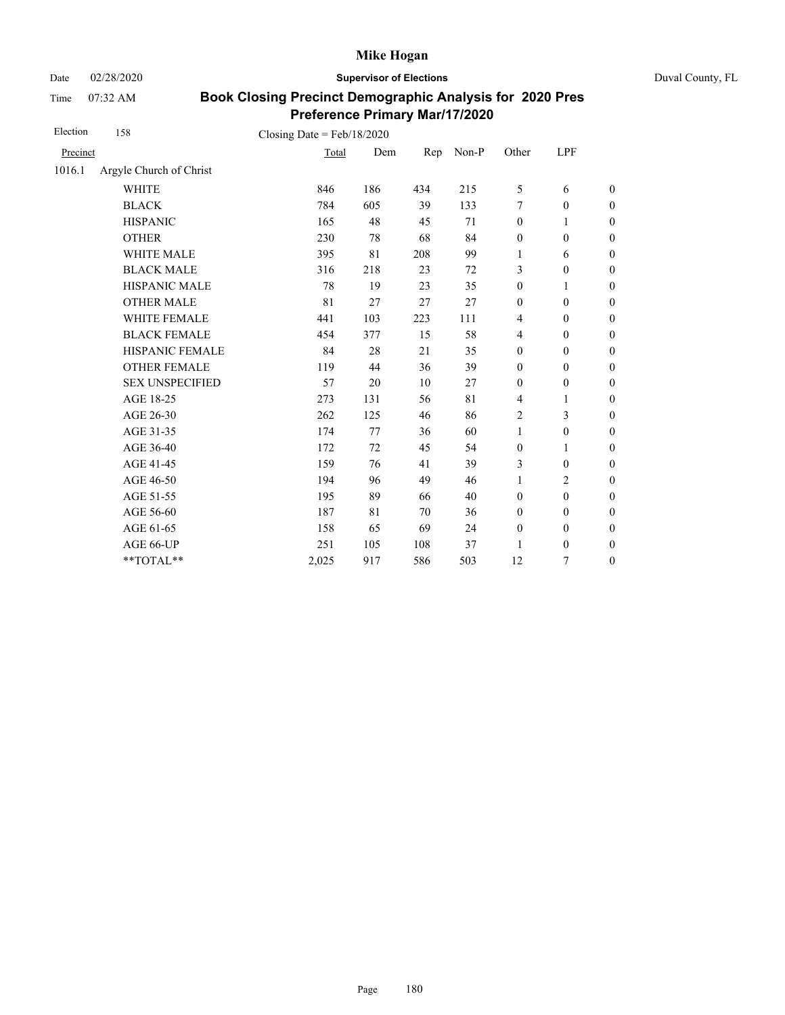Date 02/28/2020 **Supervisor of Elections** Duval County, FL

Time 07:32 AM

| Election | 158                     | Closing Date = $Feb/18/2020$ |     |     |       |                  |                  |                  |
|----------|-------------------------|------------------------------|-----|-----|-------|------------------|------------------|------------------|
| Precinct |                         | Total                        | Dem | Rep | Non-P | Other            | LPF              |                  |
| 1016.1   | Argyle Church of Christ |                              |     |     |       |                  |                  |                  |
|          | <b>WHITE</b>            | 846                          | 186 | 434 | 215   | 5                | 6                | $\boldsymbol{0}$ |
|          | <b>BLACK</b>            | 784                          | 605 | 39  | 133   | 7                | $\mathbf{0}$     | $\boldsymbol{0}$ |
|          | <b>HISPANIC</b>         | 165                          | 48  | 45  | 71    | $\boldsymbol{0}$ | 1                | $\boldsymbol{0}$ |
|          | <b>OTHER</b>            | 230                          | 78  | 68  | 84    | $\boldsymbol{0}$ | $\mathbf{0}$     | $\overline{0}$   |
|          | <b>WHITE MALE</b>       | 395                          | 81  | 208 | 99    | 1                | 6                | $\boldsymbol{0}$ |
|          | <b>BLACK MALE</b>       | 316                          | 218 | 23  | 72    | 3                | $\mathbf{0}$     | $\boldsymbol{0}$ |
|          | <b>HISPANIC MALE</b>    | 78                           | 19  | 23  | 35    | $\boldsymbol{0}$ | 1                | $\overline{0}$   |
|          | <b>OTHER MALE</b>       | 81                           | 27  | 27  | 27    | $\boldsymbol{0}$ | $\boldsymbol{0}$ | $\boldsymbol{0}$ |
|          | <b>WHITE FEMALE</b>     | 441                          | 103 | 223 | 111   | $\overline{4}$   | $\mathbf{0}$     | $\boldsymbol{0}$ |
|          | <b>BLACK FEMALE</b>     | 454                          | 377 | 15  | 58    | $\overline{4}$   | $\mathbf{0}$     | $\overline{0}$   |
|          | HISPANIC FEMALE         | 84                           | 28  | 21  | 35    | $\boldsymbol{0}$ | $\boldsymbol{0}$ | $\boldsymbol{0}$ |
|          | <b>OTHER FEMALE</b>     | 119                          | 44  | 36  | 39    | $\boldsymbol{0}$ | $\boldsymbol{0}$ | $\boldsymbol{0}$ |
|          | <b>SEX UNSPECIFIED</b>  | 57                           | 20  | 10  | 27    | $\mathbf{0}$     | $\boldsymbol{0}$ | $\boldsymbol{0}$ |
|          | AGE 18-25               | 273                          | 131 | 56  | 81    | $\overline{4}$   | $\mathbf{1}$     | $\boldsymbol{0}$ |
|          | AGE 26-30               | 262                          | 125 | 46  | 86    | 2                | 3                | $\boldsymbol{0}$ |
|          | AGE 31-35               | 174                          | 77  | 36  | 60    | $\mathbf{1}$     | $\boldsymbol{0}$ | $\boldsymbol{0}$ |
|          | AGE 36-40               | 172                          | 72  | 45  | 54    | $\boldsymbol{0}$ | 1                | $\boldsymbol{0}$ |
|          | AGE 41-45               | 159                          | 76  | 41  | 39    | 3                | $\boldsymbol{0}$ | $\overline{0}$   |
|          | AGE 46-50               | 194                          | 96  | 49  | 46    | 1                | $\overline{2}$   | $\boldsymbol{0}$ |
|          | AGE 51-55               | 195                          | 89  | 66  | 40    | $\mathbf{0}$     | $\mathbf{0}$     | $\boldsymbol{0}$ |
|          | AGE 56-60               | 187                          | 81  | 70  | 36    | $\mathbf{0}$     | $\mathbf{0}$     | $\overline{0}$   |
|          | AGE 61-65               | 158                          | 65  | 69  | 24    | $\boldsymbol{0}$ | $\boldsymbol{0}$ | $\boldsymbol{0}$ |
|          | AGE 66-UP               | 251                          | 105 | 108 | 37    | 1                | $\mathbf{0}$     | $\overline{0}$   |
|          | **TOTAL**               | 2,025                        | 917 | 586 | 503   | 12               | 7                | $\overline{0}$   |
|          |                         |                              |     |     |       |                  |                  |                  |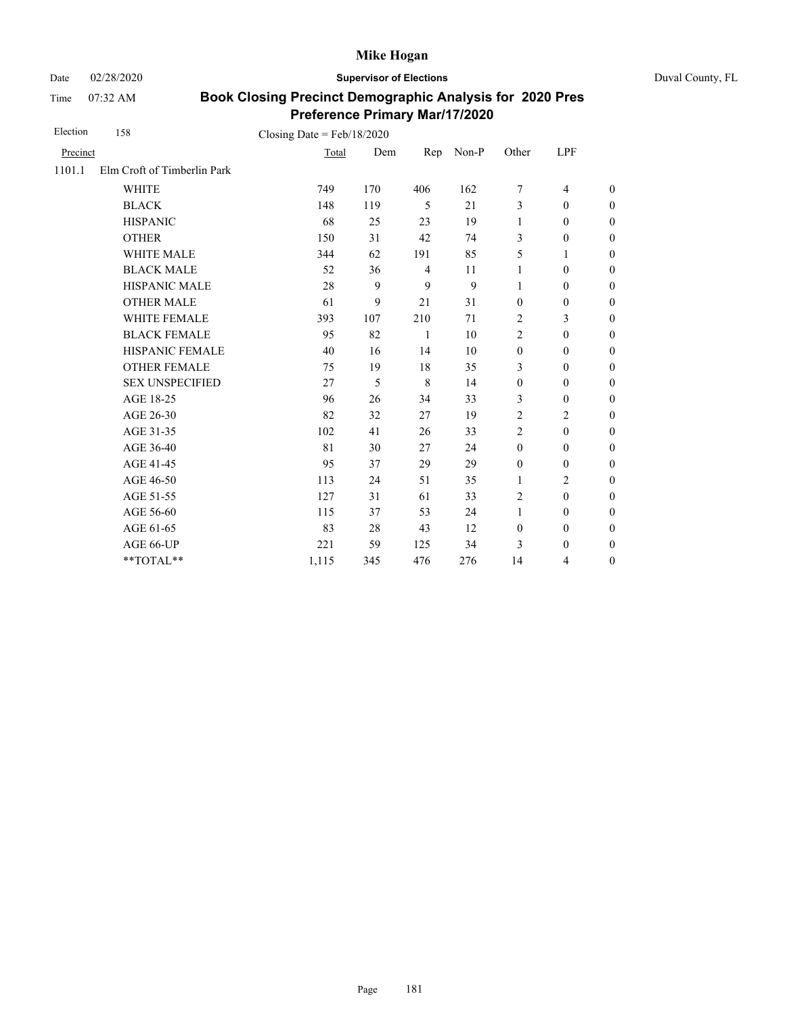Date 02/28/2020 **Supervisor of Elections** Duval County, FL

Time 07:32 AM

| Election | 158                         | Closing Date = $Feb/18/2020$ |     |                |       |                  |                          |                  |
|----------|-----------------------------|------------------------------|-----|----------------|-------|------------------|--------------------------|------------------|
| Precinct |                             | Total                        | Dem | Rep            | Non-P | Other            | LPF                      |                  |
| 1101.1   | Elm Croft of Timberlin Park |                              |     |                |       |                  |                          |                  |
|          | <b>WHITE</b>                | 749                          | 170 | 406            | 162   | 7                | $\overline{\mathcal{L}}$ | $\boldsymbol{0}$ |
|          | <b>BLACK</b>                | 148                          | 119 | 5              | 21    | 3                | $\mathbf{0}$             | $\boldsymbol{0}$ |
|          | <b>HISPANIC</b>             | 68                           | 25  | 23             | 19    | $\mathbf{1}$     | $\boldsymbol{0}$         | $\boldsymbol{0}$ |
|          | <b>OTHER</b>                | 150                          | 31  | 42             | 74    | 3                | $\boldsymbol{0}$         | $\boldsymbol{0}$ |
|          | WHITE MALE                  | 344                          | 62  | 191            | 85    | 5                | 1                        | $\boldsymbol{0}$ |
|          | <b>BLACK MALE</b>           | 52                           | 36  | $\overline{4}$ | 11    | 1                | $\boldsymbol{0}$         | $\boldsymbol{0}$ |
|          | HISPANIC MALE               | 28                           | 9   | 9              | 9     | $\mathbf{1}$     | $\boldsymbol{0}$         | $\overline{0}$   |
|          | <b>OTHER MALE</b>           | 61                           | 9   | 21             | 31    | $\boldsymbol{0}$ | $\boldsymbol{0}$         | $\boldsymbol{0}$ |
|          | WHITE FEMALE                | 393                          | 107 | 210            | 71    | $\overline{2}$   | 3                        | $\boldsymbol{0}$ |
|          | <b>BLACK FEMALE</b>         | 95                           | 82  | $\mathbf{1}$   | 10    | $\overline{2}$   | $\mathbf{0}$             | $\overline{0}$   |
|          | HISPANIC FEMALE             | 40                           | 16  | 14             | 10    | $\boldsymbol{0}$ | $\boldsymbol{0}$         | $\boldsymbol{0}$ |
|          | <b>OTHER FEMALE</b>         | 75                           | 19  | 18             | 35    | 3                | $\mathbf{0}$             | $\boldsymbol{0}$ |
|          | <b>SEX UNSPECIFIED</b>      | 27                           | 5   | 8              | 14    | $\boldsymbol{0}$ | $\boldsymbol{0}$         | $\boldsymbol{0}$ |
|          | AGE 18-25                   | 96                           | 26  | 34             | 33    | 3                | $\boldsymbol{0}$         | $\overline{0}$   |
|          | AGE 26-30                   | 82                           | 32  | 27             | 19    | $\overline{2}$   | $\overline{2}$           | $\overline{0}$   |
|          | AGE 31-35                   | 102                          | 41  | 26             | 33    | $\overline{2}$   | $\mathbf{0}$             | $\boldsymbol{0}$ |
|          | AGE 36-40                   | 81                           | 30  | 27             | 24    | $\mathbf{0}$     | $\mathbf{0}$             | $\boldsymbol{0}$ |
|          | AGE 41-45                   | 95                           | 37  | 29             | 29    | $\boldsymbol{0}$ | $\boldsymbol{0}$         | $\overline{0}$   |
|          | AGE 46-50                   | 113                          | 24  | 51             | 35    | $\mathbf{1}$     | $\overline{c}$           | $\theta$         |
|          | AGE 51-55                   | 127                          | 31  | 61             | 33    | $\overline{2}$   | $\mathbf{0}$             | $\overline{0}$   |
|          | AGE 56-60                   | 115                          | 37  | 53             | 24    | $\mathbf{1}$     | $\mathbf{0}$             | $\overline{0}$   |
|          | AGE 61-65                   | 83                           | 28  | 43             | 12    | $\boldsymbol{0}$ | $\boldsymbol{0}$         | $\overline{0}$   |
|          | AGE 66-UP                   | 221                          | 59  | 125            | 34    | 3                | $\mathbf{0}$             | $\boldsymbol{0}$ |
|          | $**TOTAL**$                 | 1,115                        | 345 | 476            | 276   | 14               | 4                        | $\boldsymbol{0}$ |
|          |                             |                              |     |                |       |                  |                          |                  |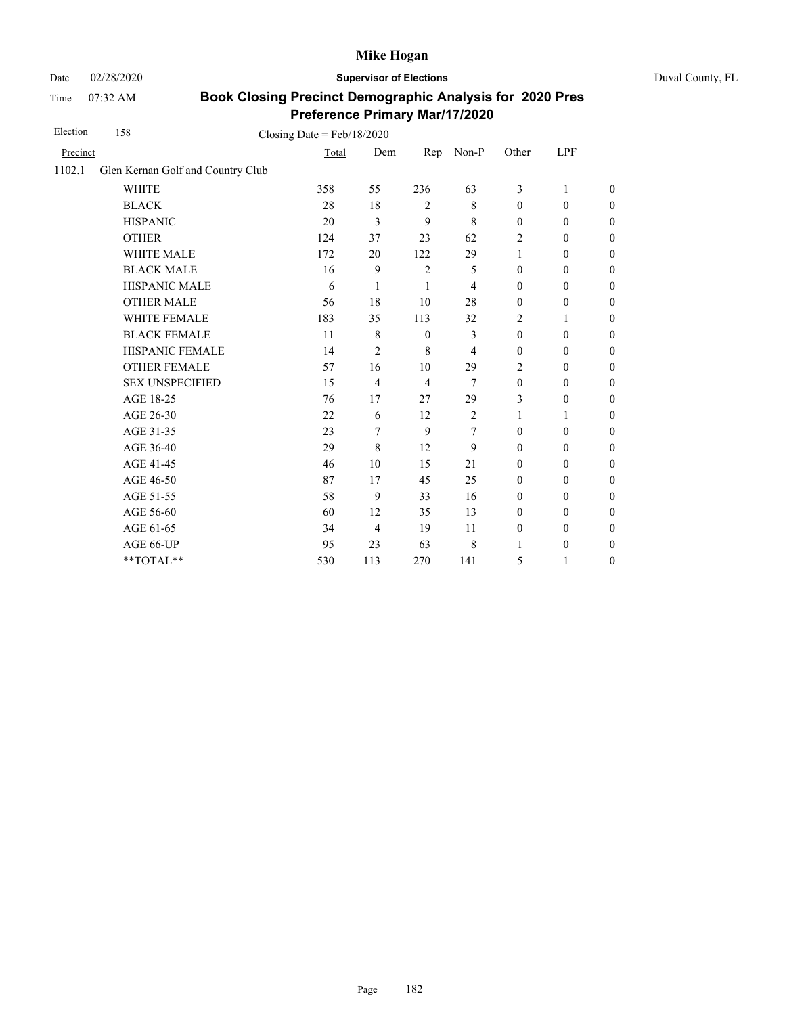Date 02/28/2020 **Supervisor of Elections** Duval County, FL

Time 07:32 AM

| Election | 158                               | Closing Date = $Feb/18/2020$ |                |                |                |                  |                  |                  |
|----------|-----------------------------------|------------------------------|----------------|----------------|----------------|------------------|------------------|------------------|
| Precinct |                                   | Total                        | Dem            | Rep            | Non-P          | Other            | LPF              |                  |
| 1102.1   | Glen Kernan Golf and Country Club |                              |                |                |                |                  |                  |                  |
|          | <b>WHITE</b>                      | 358                          | 55             | 236            | 63             | 3                | 1                | $\theta$         |
|          | <b>BLACK</b>                      | 28                           | 18             | $\overline{2}$ | 8              | $\boldsymbol{0}$ | $\boldsymbol{0}$ | $\boldsymbol{0}$ |
|          | <b>HISPANIC</b>                   | 20                           | 3              | 9              | 8              | $\mathbf{0}$     | $\mathbf{0}$     | $\boldsymbol{0}$ |
|          | <b>OTHER</b>                      | 124                          | 37             | 23             | 62             | $\overline{2}$   | $\mathbf{0}$     | $\overline{0}$   |
|          | <b>WHITE MALE</b>                 | 172                          | 20             | 122            | 29             | $\mathbf{1}$     | $\boldsymbol{0}$ | $\boldsymbol{0}$ |
|          | <b>BLACK MALE</b>                 | 16                           | 9              | $\overline{2}$ | 5              | $\mathbf{0}$     | $\mathbf{0}$     | $\overline{0}$   |
|          | HISPANIC MALE                     | 6                            | 1              | $\mathbf{1}$   | 4              | $\mathbf{0}$     | $\boldsymbol{0}$ | $\boldsymbol{0}$ |
|          | <b>OTHER MALE</b>                 | 56                           | 18             | 10             | 28             | $\boldsymbol{0}$ | $\boldsymbol{0}$ | $\boldsymbol{0}$ |
|          | WHITE FEMALE                      | 183                          | 35             | 113            | 32             | 2                | 1                | $\boldsymbol{0}$ |
|          | <b>BLACK FEMALE</b>               | 11                           | 8              | $\theta$       | 3              | $\mathbf{0}$     | $\mathbf{0}$     | $\boldsymbol{0}$ |
|          | HISPANIC FEMALE                   | 14                           | $\overline{2}$ | 8              | 4              | $\mathbf{0}$     | $\mathbf{0}$     | $\boldsymbol{0}$ |
|          | <b>OTHER FEMALE</b>               | 57                           | 16             | 10             | 29             | $\overline{c}$   | $\boldsymbol{0}$ | $\boldsymbol{0}$ |
|          | <b>SEX UNSPECIFIED</b>            | 15                           | 4              | $\overline{4}$ | 7              | $\mathbf{0}$     | $\boldsymbol{0}$ | $\boldsymbol{0}$ |
|          | AGE 18-25                         | 76                           | 17             | 27             | 29             | 3                | $\mathbf{0}$     | $\boldsymbol{0}$ |
|          | AGE 26-30                         | 22                           | 6              | 12             | $\mathfrak{2}$ | $\mathbf{1}$     | $\mathbf{1}$     | $\overline{0}$   |
|          | AGE 31-35                         | 23                           | 7              | 9              | 7              | $\mathbf{0}$     | $\mathbf{0}$     | $\boldsymbol{0}$ |
|          | AGE 36-40                         | 29                           | $\,8\,$        | 12             | 9              | $\mathbf{0}$     | $\boldsymbol{0}$ | $\boldsymbol{0}$ |
|          | AGE 41-45                         | 46                           | 10             | 15             | 21             | $\boldsymbol{0}$ | $\boldsymbol{0}$ | $\overline{0}$   |
|          | AGE 46-50                         | 87                           | 17             | 45             | 25             | $\mathbf{0}$     | $\boldsymbol{0}$ | $\boldsymbol{0}$ |
|          | AGE 51-55                         | 58                           | 9              | 33             | 16             | $\mathbf{0}$     | $\mathbf{0}$     | $\boldsymbol{0}$ |
|          | AGE 56-60                         | 60                           | 12             | 35             | 13             | $\mathbf{0}$     | $\mathbf{0}$     | $\overline{0}$   |
|          | AGE 61-65                         | 34                           | 4              | 19             | 11             | $\boldsymbol{0}$ | $\boldsymbol{0}$ | $\boldsymbol{0}$ |
|          | AGE 66-UP                         | 95                           | 23             | 63             | 8              | 1                | $\boldsymbol{0}$ | $\boldsymbol{0}$ |
|          | **TOTAL**                         | 530                          | 113            | 270            | 141            | 5                | 1                | $\boldsymbol{0}$ |
|          |                                   |                              |                |                |                |                  |                  |                  |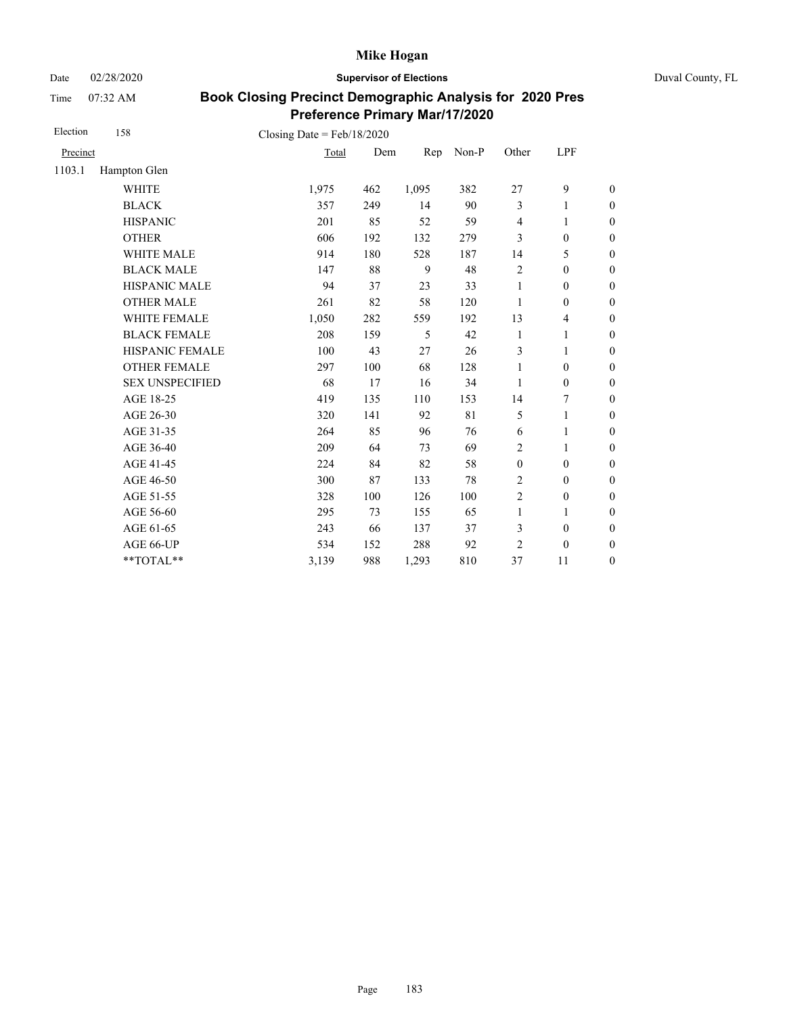Date 02/28/2020 **Supervisor of Elections** Duval County, FL

Time 07:32 AM

| Election | 158                    | Closing Date = $Feb/18/2020$ |     |       |       |                         |                  |                  |
|----------|------------------------|------------------------------|-----|-------|-------|-------------------------|------------------|------------------|
| Precinct |                        | Total                        | Dem | Rep   | Non-P | Other                   | LPF              |                  |
| 1103.1   | Hampton Glen           |                              |     |       |       |                         |                  |                  |
|          | <b>WHITE</b>           | 1,975                        | 462 | 1,095 | 382   | 27                      | 9                | $\boldsymbol{0}$ |
|          | <b>BLACK</b>           | 357                          | 249 | 14    | 90    | 3                       | 1                | $\boldsymbol{0}$ |
|          | <b>HISPANIC</b>        | 201                          | 85  | 52    | 59    | $\overline{\mathbf{4}}$ | 1                | $\boldsymbol{0}$ |
|          | <b>OTHER</b>           | 606                          | 192 | 132   | 279   | 3                       | $\mathbf{0}$     | $\mathbf{0}$     |
|          | <b>WHITE MALE</b>      | 914                          | 180 | 528   | 187   | 14                      | 5                | $\boldsymbol{0}$ |
|          | <b>BLACK MALE</b>      | 147                          | 88  | 9     | 48    | $\overline{c}$          | $\mathbf{0}$     | $\boldsymbol{0}$ |
|          | <b>HISPANIC MALE</b>   | 94                           | 37  | 23    | 33    | 1                       | $\mathbf{0}$     | $\mathbf{0}$     |
|          | <b>OTHER MALE</b>      | 261                          | 82  | 58    | 120   | 1                       | $\overline{0}$   | $\boldsymbol{0}$ |
|          | WHITE FEMALE           | 1,050                        | 282 | 559   | 192   | 13                      | 4                | $\boldsymbol{0}$ |
|          | <b>BLACK FEMALE</b>    | 208                          | 159 | 5     | 42    | 1                       | 1                | $\boldsymbol{0}$ |
|          | HISPANIC FEMALE        | 100                          | 43  | 27    | 26    | 3                       | $\mathbf{1}$     | $\boldsymbol{0}$ |
|          | <b>OTHER FEMALE</b>    | 297                          | 100 | 68    | 128   | $\mathbf{1}$            | $\mathbf{0}$     | $\boldsymbol{0}$ |
|          | <b>SEX UNSPECIFIED</b> | 68                           | 17  | 16    | 34    | 1                       | $\boldsymbol{0}$ | $\boldsymbol{0}$ |
|          | AGE 18-25              | 419                          | 135 | 110   | 153   | 14                      | 7                | $\boldsymbol{0}$ |
|          | AGE 26-30              | 320                          | 141 | 92    | 81    | 5                       | 1                | $\overline{0}$   |
|          | AGE 31-35              | 264                          | 85  | 96    | 76    | 6                       | 1                | $\boldsymbol{0}$ |
|          | AGE 36-40              | 209                          | 64  | 73    | 69    | $\overline{2}$          | 1                | $\boldsymbol{0}$ |
|          | AGE 41-45              | 224                          | 84  | 82    | 58    | $\boldsymbol{0}$        | $\mathbf{0}$     | $\overline{0}$   |
|          | AGE 46-50              | 300                          | 87  | 133   | 78    | 2                       | $\mathbf{0}$     | $\boldsymbol{0}$ |
|          | AGE 51-55              | 328                          | 100 | 126   | 100   | $\overline{c}$          | $\boldsymbol{0}$ | $\boldsymbol{0}$ |
|          | AGE 56-60              | 295                          | 73  | 155   | 65    | 1                       | 1                | $\boldsymbol{0}$ |
|          | AGE 61-65              | 243                          | 66  | 137   | 37    | 3                       | $\boldsymbol{0}$ | $\boldsymbol{0}$ |
|          | AGE 66-UP              | 534                          | 152 | 288   | 92    | $\overline{c}$          | $\mathbf{0}$     | $\boldsymbol{0}$ |
|          | **TOTAL**              | 3,139                        | 988 | 1,293 | 810   | 37                      | 11               | $\boldsymbol{0}$ |
|          |                        |                              |     |       |       |                         |                  |                  |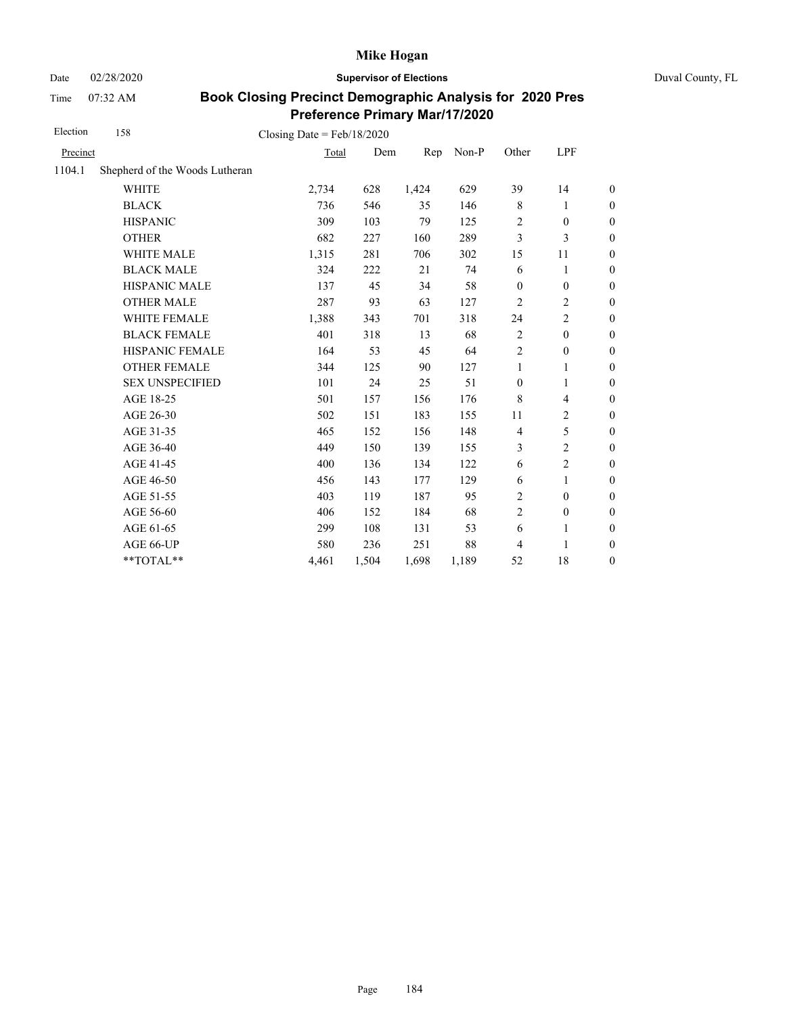Date 02/28/2020 **Supervisor of Elections** Duval County, FL

Time 07:32 AM

| Election | 158                            | Closing Date = $Feb/18/2020$ |       |       |       |                  |                         |                  |
|----------|--------------------------------|------------------------------|-------|-------|-------|------------------|-------------------------|------------------|
| Precinct |                                | Total                        | Dem   | Rep   | Non-P | Other            | LPF                     |                  |
| 1104.1   | Shepherd of the Woods Lutheran |                              |       |       |       |                  |                         |                  |
|          | <b>WHITE</b>                   | 2,734                        | 628   | 1,424 | 629   | 39               | 14                      | $\boldsymbol{0}$ |
|          | <b>BLACK</b>                   | 736                          | 546   | 35    | 146   | $\,$ 8 $\,$      | 1                       | $\boldsymbol{0}$ |
|          | <b>HISPANIC</b>                | 309                          | 103   | 79    | 125   | $\overline{c}$   | $\mathbf{0}$            | $\boldsymbol{0}$ |
|          | <b>OTHER</b>                   | 682                          | 227   | 160   | 289   | 3                | 3                       | $\overline{0}$   |
|          | <b>WHITE MALE</b>              | 1,315                        | 281   | 706   | 302   | 15               | 11                      | $\boldsymbol{0}$ |
|          | <b>BLACK MALE</b>              | 324                          | 222   | 21    | 74    | 6                | $\mathbf{1}$            | $\boldsymbol{0}$ |
|          | HISPANIC MALE                  | 137                          | 45    | 34    | 58    | $\boldsymbol{0}$ | $\boldsymbol{0}$        | $\boldsymbol{0}$ |
|          | <b>OTHER MALE</b>              | 287                          | 93    | 63    | 127   | $\overline{2}$   | 2                       | $\boldsymbol{0}$ |
|          | <b>WHITE FEMALE</b>            | 1,388                        | 343   | 701   | 318   | 24               | 2                       | $\boldsymbol{0}$ |
|          | <b>BLACK FEMALE</b>            | 401                          | 318   | 13    | 68    | $\sqrt{2}$       | $\mathbf{0}$            | $\mathbf{0}$     |
|          | HISPANIC FEMALE                | 164                          | 53    | 45    | 64    | $\overline{2}$   | $\boldsymbol{0}$        | $\theta$         |
|          | <b>OTHER FEMALE</b>            | 344                          | 125   | 90    | 127   | 1                | 1                       | $\theta$         |
|          | <b>SEX UNSPECIFIED</b>         | 101                          | 24    | 25    | 51    | $\boldsymbol{0}$ | 1                       | $\boldsymbol{0}$ |
|          | AGE 18-25                      | 501                          | 157   | 156   | 176   | 8                | $\overline{\mathbf{4}}$ | $\mathbf{0}$     |
|          | AGE 26-30                      | 502                          | 151   | 183   | 155   | 11               | $\overline{c}$          | $\boldsymbol{0}$ |
|          | AGE 31-35                      | 465                          | 152   | 156   | 148   | $\overline{4}$   | 5                       | $\boldsymbol{0}$ |
|          | AGE 36-40                      | 449                          | 150   | 139   | 155   | 3                | $\overline{2}$          | $\mathbf{0}$     |
|          | AGE 41-45                      | 400                          | 136   | 134   | 122   | 6                | $\overline{2}$          | $\boldsymbol{0}$ |
|          | AGE 46-50                      | 456                          | 143   | 177   | 129   | 6                | 1                       | $\boldsymbol{0}$ |
|          | AGE 51-55                      | 403                          | 119   | 187   | 95    | $\overline{c}$   | $\mathbf{0}$            | $\boldsymbol{0}$ |
|          | AGE 56-60                      | 406                          | 152   | 184   | 68    | $\overline{c}$   | $\boldsymbol{0}$        | $\overline{0}$   |
|          | AGE 61-65                      | 299                          | 108   | 131   | 53    | 6                | 1                       | $\mathbf{0}$     |
|          | AGE 66-UP                      | 580                          | 236   | 251   | 88    | 4                | 1                       | $\boldsymbol{0}$ |
|          | **TOTAL**                      | 4,461                        | 1,504 | 1,698 | 1,189 | 52               | 18                      | $\boldsymbol{0}$ |
|          |                                |                              |       |       |       |                  |                         |                  |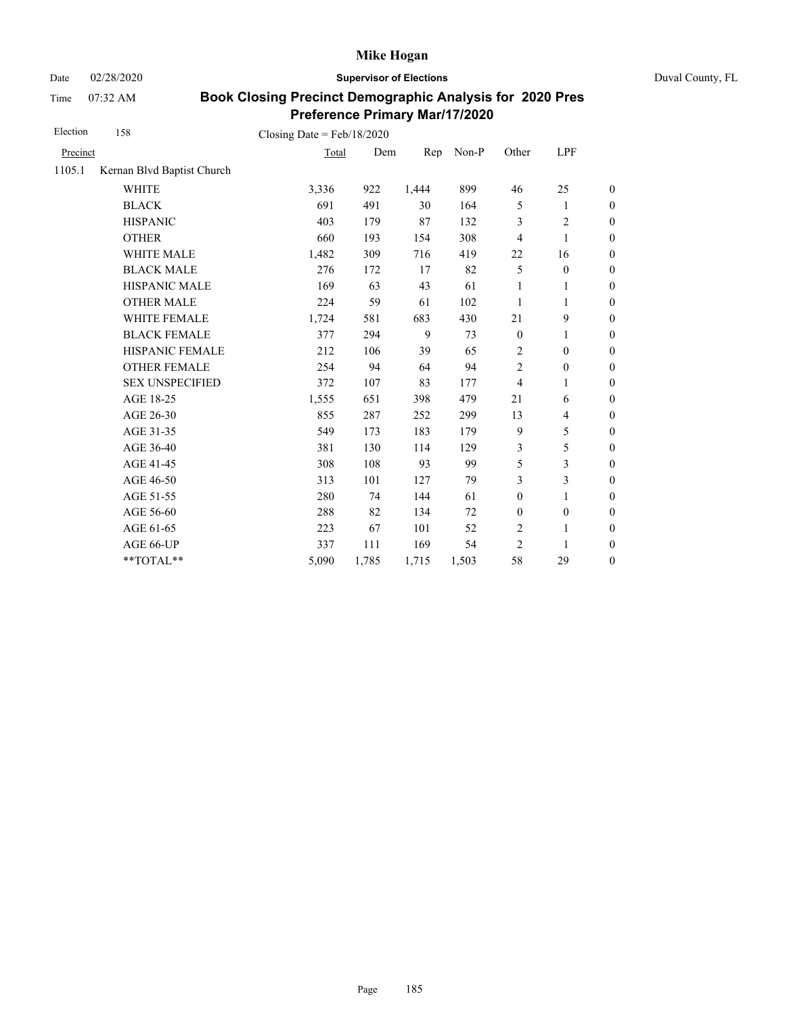Date 02/28/2020 **Supervisor of Elections** Duval County, FL

Time 07:32 AM

| Election | 158                        | Closing Date = $Feb/18/2020$ |       |       |       |                  |                  |                  |
|----------|----------------------------|------------------------------|-------|-------|-------|------------------|------------------|------------------|
| Precinct |                            | Total                        | Dem   | Rep   | Non-P | Other            | LPF              |                  |
| 1105.1   | Kernan Blvd Baptist Church |                              |       |       |       |                  |                  |                  |
|          | <b>WHITE</b>               | 3,336                        | 922   | 1,444 | 899   | 46               | 25               | $\boldsymbol{0}$ |
|          | <b>BLACK</b>               | 691                          | 491   | 30    | 164   | 5                | 1                | $\boldsymbol{0}$ |
|          | <b>HISPANIC</b>            | 403                          | 179   | 87    | 132   | 3                | $\overline{c}$   | $\boldsymbol{0}$ |
|          | <b>OTHER</b>               | 660                          | 193   | 154   | 308   | 4                | $\mathbf{1}$     | $\boldsymbol{0}$ |
|          | WHITE MALE                 | 1,482                        | 309   | 716   | 419   | 22               | 16               | $\boldsymbol{0}$ |
|          | <b>BLACK MALE</b>          | 276                          | 172   | 17    | 82    | 5                | $\boldsymbol{0}$ | $\boldsymbol{0}$ |
|          | <b>HISPANIC MALE</b>       | 169                          | 63    | 43    | 61    | 1                | 1                | $\overline{0}$   |
|          | <b>OTHER MALE</b>          | 224                          | 59    | 61    | 102   | 1                | 1                | $\boldsymbol{0}$ |
|          | WHITE FEMALE               | 1,724                        | 581   | 683   | 430   | 21               | 9                | $\boldsymbol{0}$ |
|          | <b>BLACK FEMALE</b>        | 377                          | 294   | 9     | 73    | $\boldsymbol{0}$ | 1                | $\boldsymbol{0}$ |
|          | HISPANIC FEMALE            | 212                          | 106   | 39    | 65    | $\overline{c}$   | $\boldsymbol{0}$ | $\boldsymbol{0}$ |
|          | <b>OTHER FEMALE</b>        | 254                          | 94    | 64    | 94    | 2                | $\boldsymbol{0}$ | $\boldsymbol{0}$ |
|          | <b>SEX UNSPECIFIED</b>     | 372                          | 107   | 83    | 177   | $\overline{4}$   | 1                | $\boldsymbol{0}$ |
|          | AGE 18-25                  | 1,555                        | 651   | 398   | 479   | 21               | 6                | $\boldsymbol{0}$ |
|          | AGE 26-30                  | 855                          | 287   | 252   | 299   | 13               | 4                | $\boldsymbol{0}$ |
|          | AGE 31-35                  | 549                          | 173   | 183   | 179   | 9                | 5                | $\boldsymbol{0}$ |
|          | AGE 36-40                  | 381                          | 130   | 114   | 129   | 3                | 5                | $\boldsymbol{0}$ |
|          | AGE 41-45                  | 308                          | 108   | 93    | 99    | 5                | $\mathfrak{Z}$   | $\overline{0}$   |
|          | AGE 46-50                  | 313                          | 101   | 127   | 79    | 3                | 3                | $\boldsymbol{0}$ |
|          | AGE 51-55                  | 280                          | 74    | 144   | 61    | $\boldsymbol{0}$ | 1                | $\boldsymbol{0}$ |
|          | AGE 56-60                  | 288                          | 82    | 134   | 72    | $\boldsymbol{0}$ | $\boldsymbol{0}$ | $\boldsymbol{0}$ |
|          | AGE 61-65                  | 223                          | 67    | 101   | 52    | $\overline{c}$   | 1                | $\boldsymbol{0}$ |
|          | AGE 66-UP                  | 337                          | 111   | 169   | 54    | $\overline{2}$   | 1                | $\boldsymbol{0}$ |
|          | **TOTAL**                  | 5,090                        | 1,785 | 1,715 | 1,503 | 58               | 29               | $\boldsymbol{0}$ |
|          |                            |                              |       |       |       |                  |                  |                  |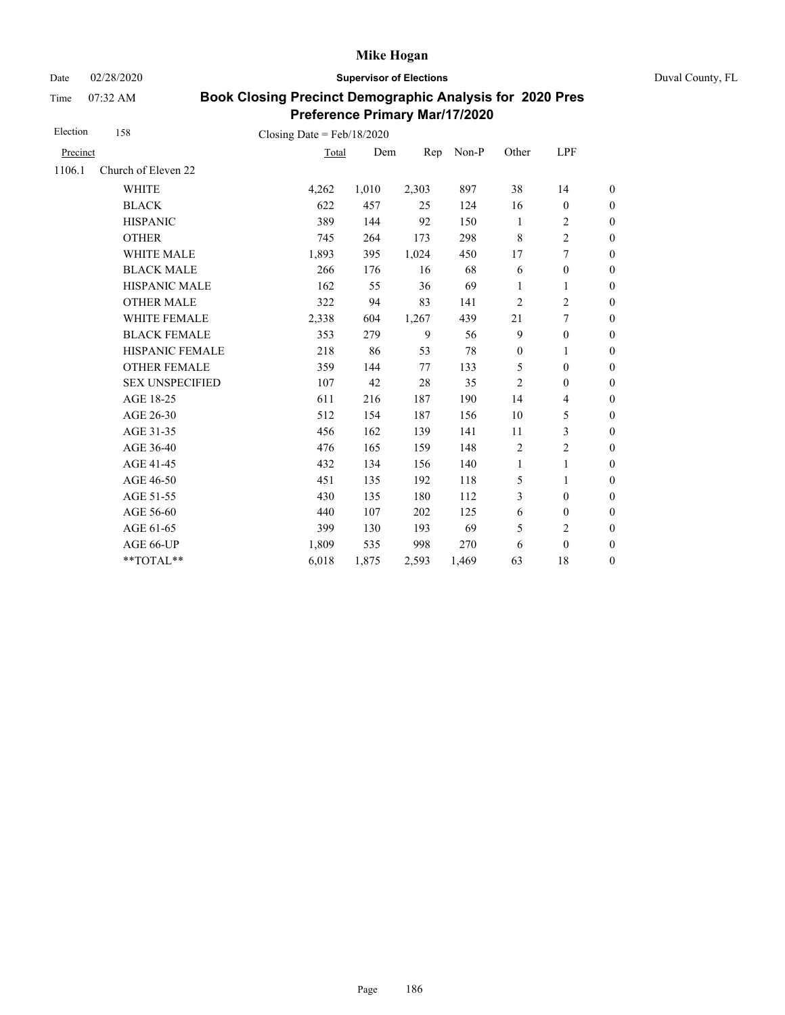Date 02/28/2020 **Supervisor of Elections** Duval County, FL

Time 07:32 AM

| Election | 158                    | Closing Date = $Feb/18/2020$ |       |       |       |                  |                          |                  |
|----------|------------------------|------------------------------|-------|-------|-------|------------------|--------------------------|------------------|
| Precinct |                        | Total                        | Dem   | Rep   | Non-P | Other            | LPF                      |                  |
| 1106.1   | Church of Eleven 22    |                              |       |       |       |                  |                          |                  |
|          | <b>WHITE</b>           | 4,262                        | 1,010 | 2,303 | 897   | 38               | 14                       | $\boldsymbol{0}$ |
|          | <b>BLACK</b>           | 622                          | 457   | 25    | 124   | 16               | $\boldsymbol{0}$         | $\boldsymbol{0}$ |
|          | <b>HISPANIC</b>        | 389                          | 144   | 92    | 150   | $\mathbf{1}$     | $\overline{c}$           | $\overline{0}$   |
|          | <b>OTHER</b>           | 745                          | 264   | 173   | 298   | 8                | $\overline{c}$           | $\boldsymbol{0}$ |
|          | <b>WHITE MALE</b>      | 1,893                        | 395   | 1,024 | 450   | 17               | 7                        | $\boldsymbol{0}$ |
|          | <b>BLACK MALE</b>      | 266                          | 176   | 16    | 68    | 6                | $\boldsymbol{0}$         | $\boldsymbol{0}$ |
|          | <b>HISPANIC MALE</b>   | 162                          | 55    | 36    | 69    | 1                | $\mathbf{1}$             | $\overline{0}$   |
|          | <b>OTHER MALE</b>      | 322                          | 94    | 83    | 141   | 2                | $\overline{c}$           | $\boldsymbol{0}$ |
|          | WHITE FEMALE           | 2,338                        | 604   | 1,267 | 439   | 21               | 7                        | $\boldsymbol{0}$ |
|          | <b>BLACK FEMALE</b>    | 353                          | 279   | 9     | 56    | 9                | $\mathbf{0}$             | $\overline{0}$   |
|          | <b>HISPANIC FEMALE</b> | 218                          | 86    | 53    | 78    | $\boldsymbol{0}$ | 1                        | $\boldsymbol{0}$ |
|          | <b>OTHER FEMALE</b>    | 359                          | 144   | 77    | 133   | 5                | $\mathbf{0}$             | $\boldsymbol{0}$ |
|          | <b>SEX UNSPECIFIED</b> | 107                          | 42    | 28    | 35    | $\overline{2}$   | $\mathbf{0}$             | $\boldsymbol{0}$ |
|          | AGE 18-25              | 611                          | 216   | 187   | 190   | 14               | $\overline{\mathcal{L}}$ | $\overline{0}$   |
|          | AGE 26-30              | 512                          | 154   | 187   | 156   | 10               | 5                        | $\boldsymbol{0}$ |
|          | AGE 31-35              | 456                          | 162   | 139   | 141   | 11               | 3                        | $\boldsymbol{0}$ |
|          | AGE 36-40              | 476                          | 165   | 159   | 148   | $\overline{2}$   | $\overline{c}$           | $\boldsymbol{0}$ |
|          | AGE 41-45              | 432                          | 134   | 156   | 140   | 1                | $\mathbf{1}$             | $\overline{0}$   |
|          | AGE 46-50              | 451                          | 135   | 192   | 118   | 5                | 1                        | $\boldsymbol{0}$ |
|          | AGE 51-55              | 430                          | 135   | 180   | 112   | 3                | $\mathbf{0}$             | $\boldsymbol{0}$ |
|          | AGE 56-60              | 440                          | 107   | 202   | 125   | 6                | $\boldsymbol{0}$         | $\overline{0}$   |
|          | AGE 61-65              | 399                          | 130   | 193   | 69    | 5                | $\overline{2}$           | $\boldsymbol{0}$ |
|          | AGE 66-UP              | 1,809                        | 535   | 998   | 270   | 6                | $\mathbf{0}$             | $\boldsymbol{0}$ |
|          | **TOTAL**              | 6,018                        | 1,875 | 2,593 | 1,469 | 63               | 18                       | $\overline{0}$   |
|          |                        |                              |       |       |       |                  |                          |                  |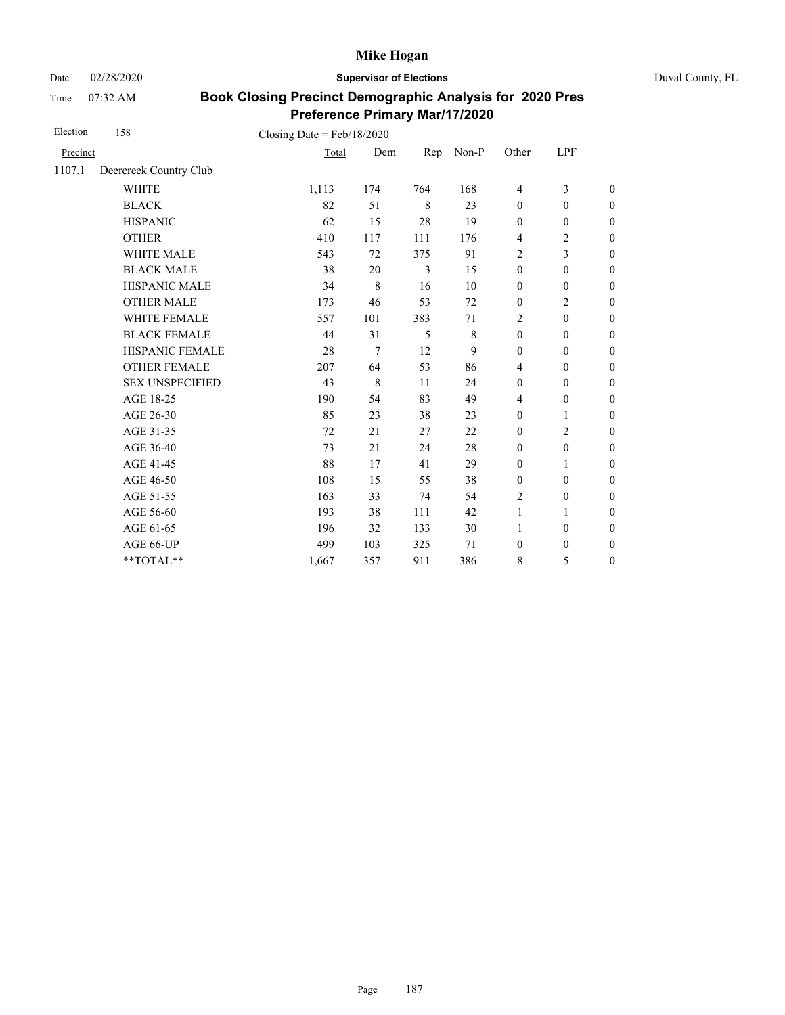Date 02/28/2020 **Supervisor of Elections** Duval County, FL

Time 07:32 AM

| Election | 158                    | Closing Date = $Feb/18/2020$ |             |     |       |                  |                  |                  |
|----------|------------------------|------------------------------|-------------|-----|-------|------------------|------------------|------------------|
| Precinct |                        | Total                        | Dem         | Rep | Non-P | Other            | LPF              |                  |
| 1107.1   | Deercreek Country Club |                              |             |     |       |                  |                  |                  |
|          | <b>WHITE</b>           | 1,113                        | 174         | 764 | 168   | $\overline{4}$   | 3                | $\theta$         |
|          | <b>BLACK</b>           | 82                           | 51          | 8   | 23    | $\mathbf{0}$     | $\mathbf{0}$     | $\boldsymbol{0}$ |
|          | <b>HISPANIC</b>        | 62                           | 15          | 28  | 19    | $\boldsymbol{0}$ | $\boldsymbol{0}$ | $\boldsymbol{0}$ |
|          | <b>OTHER</b>           | 410                          | 117         | 111 | 176   | 4                | $\overline{c}$   | $\boldsymbol{0}$ |
|          | WHITE MALE             | 543                          | 72          | 375 | 91    | $\overline{2}$   | 3                | $\boldsymbol{0}$ |
|          | <b>BLACK MALE</b>      | 38                           | 20          | 3   | 15    | $\boldsymbol{0}$ | $\boldsymbol{0}$ | $\boldsymbol{0}$ |
|          | <b>HISPANIC MALE</b>   | 34                           | $\,$ 8 $\,$ | 16  | 10    | $\boldsymbol{0}$ | $\boldsymbol{0}$ | $\overline{0}$   |
|          | <b>OTHER MALE</b>      | 173                          | 46          | 53  | 72    | $\boldsymbol{0}$ | 2                | $\boldsymbol{0}$ |
|          | WHITE FEMALE           | 557                          | 101         | 383 | 71    | $\overline{2}$   | $\mathbf{0}$     | $\boldsymbol{0}$ |
|          | <b>BLACK FEMALE</b>    | 44                           | 31          | 5   | 8     | $\mathbf{0}$     | $\mathbf{0}$     | $\overline{0}$   |
|          | HISPANIC FEMALE        | 28                           | 7           | 12  | 9     | $\mathbf{0}$     | $\mathbf{0}$     | $\boldsymbol{0}$ |
|          | <b>OTHER FEMALE</b>    | 207                          | 64          | 53  | 86    | $\overline{4}$   | $\mathbf{0}$     | $\overline{0}$   |
|          | <b>SEX UNSPECIFIED</b> | 43                           | 8           | 11  | 24    | $\boldsymbol{0}$ | $\boldsymbol{0}$ | $\boldsymbol{0}$ |
|          | AGE 18-25              | 190                          | 54          | 83  | 49    | $\overline{4}$   | $\boldsymbol{0}$ | $\boldsymbol{0}$ |
|          | AGE 26-30              | 85                           | 23          | 38  | 23    | $\boldsymbol{0}$ | 1                | $\boldsymbol{0}$ |
|          | AGE 31-35              | 72                           | 21          | 27  | 22    | $\mathbf{0}$     | $\mathbf{2}$     | $\boldsymbol{0}$ |
|          | AGE 36-40              | 73                           | 21          | 24  | 28    | $\boldsymbol{0}$ | $\boldsymbol{0}$ | $\boldsymbol{0}$ |
|          | AGE 41-45              | 88                           | 17          | 41  | 29    | $\mathbf{0}$     | $\mathbf{1}$     | $\overline{0}$   |
|          | AGE 46-50              | 108                          | 15          | 55  | 38    | $\boldsymbol{0}$ | $\boldsymbol{0}$ | $\boldsymbol{0}$ |
|          | AGE 51-55              | 163                          | 33          | 74  | 54    | $\overline{2}$   | $\boldsymbol{0}$ | $\boldsymbol{0}$ |
|          | AGE 56-60              | 193                          | 38          | 111 | 42    | 1                | 1                | $\overline{0}$   |
|          | AGE 61-65              | 196                          | 32          | 133 | 30    | $\mathbf{1}$     | $\mathbf{0}$     | $\boldsymbol{0}$ |
|          | AGE 66-UP              | 499                          | 103         | 325 | 71    | $\boldsymbol{0}$ | $\boldsymbol{0}$ | $\boldsymbol{0}$ |
|          | **TOTAL**              | 1,667                        | 357         | 911 | 386   | $\,$ 8 $\,$      | 5                | $\boldsymbol{0}$ |
|          |                        |                              |             |     |       |                  |                  |                  |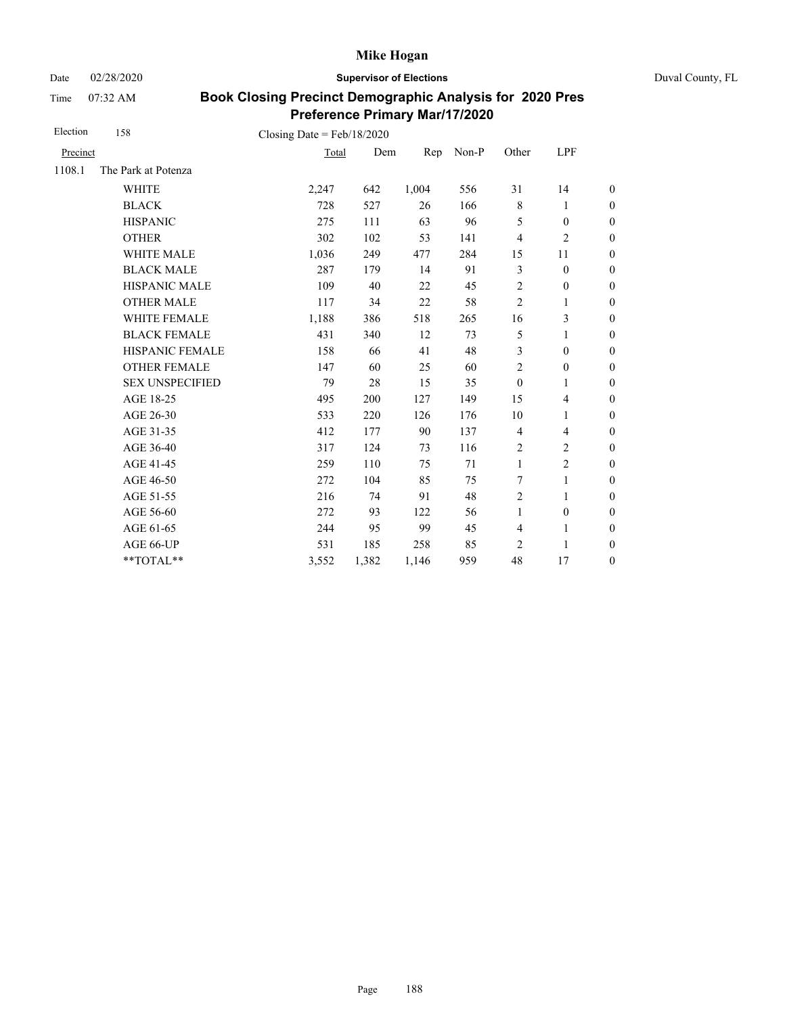Date 02/28/2020 **Supervisor of Elections** Duval County, FL

Time 07:32 AM

| Election | 158                                    | Closing Date = $Feb/18/2020$ |       |       |       |                |                          |                  |
|----------|----------------------------------------|------------------------------|-------|-------|-------|----------------|--------------------------|------------------|
| Precinct |                                        | Total                        | Dem   | Rep   | Non-P | Other          | LPF                      |                  |
| 1108.1   | The Park at Potenza                    |                              |       |       |       |                |                          |                  |
|          | <b>WHITE</b>                           | 2,247                        | 642   | 1,004 | 556   | 31             | 14                       | $\boldsymbol{0}$ |
|          | <b>BLACK</b>                           | 728                          | 527   | 26    | 166   | $\,$ 8 $\,$    | 1                        | $\boldsymbol{0}$ |
|          | <b>HISPANIC</b>                        | 275                          | 111   | 63    | 96    | 5              | $\boldsymbol{0}$         | $\boldsymbol{0}$ |
|          | <b>OTHER</b>                           | 302                          | 102   | 53    | 141   | $\overline{4}$ | $\overline{c}$           | $\overline{0}$   |
|          | WHITE MALE                             | 1,036                        | 249   | 477   | 284   | 15             | 11                       | $\boldsymbol{0}$ |
|          | <b>BLACK MALE</b>                      | 287                          | 179   | 14    | 91    | 3              | $\boldsymbol{0}$         | $\boldsymbol{0}$ |
|          | <b>HISPANIC MALE</b>                   | 109                          | 40    | 22    | 45    | $\overline{2}$ | $\boldsymbol{0}$         | $\overline{0}$   |
|          | <b>OTHER MALE</b>                      | 117                          | 34    | 22    | 58    | $\overline{2}$ | 1                        | $\boldsymbol{0}$ |
|          | WHITE FEMALE                           | 1,188                        | 386   | 518   | 265   | 16             | 3                        | $\boldsymbol{0}$ |
|          | <b>BLACK FEMALE</b>                    | 431                          | 340   | 12    | 73    | 5              | 1                        | $\boldsymbol{0}$ |
|          | HISPANIC FEMALE                        | 158                          | 66    | 41    | 48    | 3              | $\boldsymbol{0}$         | $\overline{0}$   |
|          | <b>OTHER FEMALE</b>                    | 147                          | 60    | 25    | 60    | 2              | $\boldsymbol{0}$         | $\boldsymbol{0}$ |
|          | <b>SEX UNSPECIFIED</b>                 | 79                           | 28    | 15    | 35    | $\mathbf{0}$   | 1                        | $\boldsymbol{0}$ |
|          | AGE 18-25                              | 495                          | 200   | 127   | 149   | 15             | $\overline{\mathcal{L}}$ | $\boldsymbol{0}$ |
|          | AGE 26-30                              | 533                          | 220   | 126   | 176   | 10             | 1                        | $\boldsymbol{0}$ |
|          | AGE 31-35                              | 412                          | 177   | 90    | 137   | $\overline{4}$ | 4                        | $\boldsymbol{0}$ |
|          | AGE 36-40                              | 317                          | 124   | 73    | 116   | $\sqrt{2}$     | $\mathbf{2}$             | $\boldsymbol{0}$ |
|          | AGE 41-45                              | 259                          | 110   | 75    | 71    | $\mathbf{1}$   | $\overline{c}$           | $\overline{0}$   |
|          | AGE 46-50                              | 272                          | 104   | 85    | 75    | 7              | 1                        | $\boldsymbol{0}$ |
|          | AGE 51-55                              | 216                          | 74    | 91    | 48    | $\overline{2}$ | $\mathbf{1}$             | $\boldsymbol{0}$ |
|          | AGE 56-60                              | 272                          | 93    | 122   | 56    | $\mathbf{1}$   | $\boldsymbol{0}$         | $\overline{0}$   |
|          | AGE 61-65                              | 244                          | 95    | 99    | 45    | $\overline{4}$ | $\mathbf{1}$             | $\boldsymbol{0}$ |
|          | AGE 66-UP                              | 531                          | 185   | 258   | 85    | 2              | 1                        | $\overline{0}$   |
|          | $\mathrm{*}\mathrm{*} \mathrm{TOTAL}*$ | 3,552                        | 1,382 | 1,146 | 959   | 48             | 17                       | $\boldsymbol{0}$ |
|          |                                        |                              |       |       |       |                |                          |                  |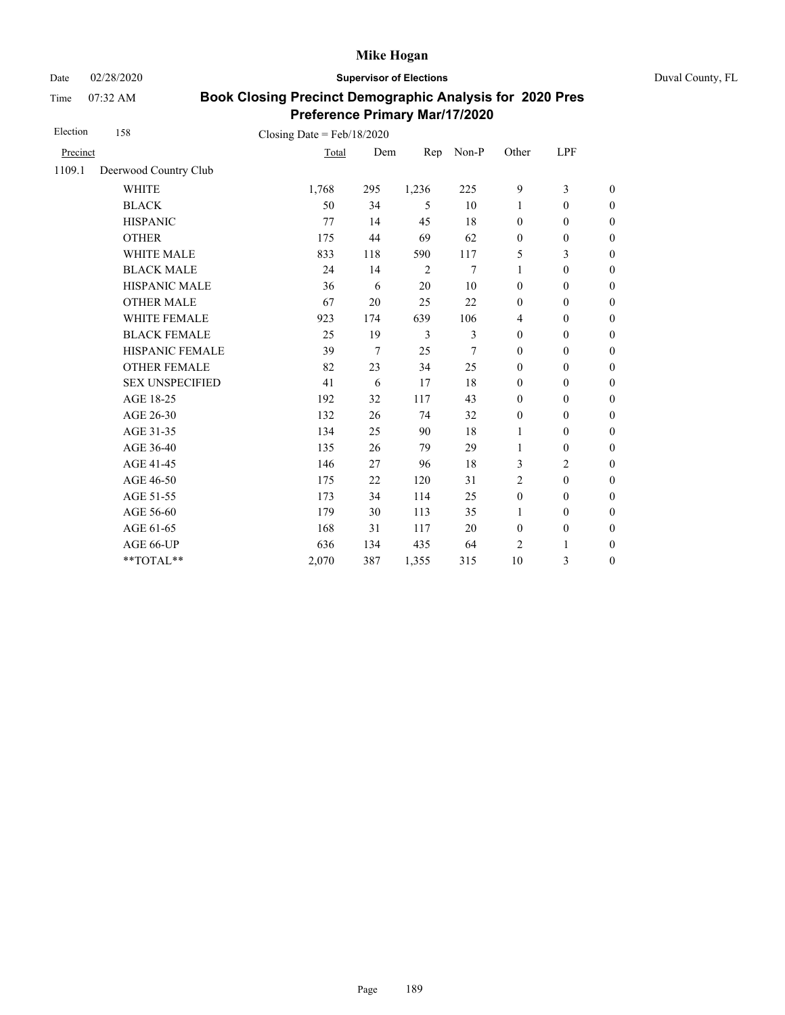Date 02/28/2020 **Supervisor of Elections** Duval County, FL

Time 07:32 AM

| Election | 158                    | Closing Date = $Feb/18/2020$ |                |       |       |                  |                  |                  |
|----------|------------------------|------------------------------|----------------|-------|-------|------------------|------------------|------------------|
| Precinct |                        | Total                        | Dem            | Rep   | Non-P | Other            | LPF              |                  |
| 1109.1   | Deerwood Country Club  |                              |                |       |       |                  |                  |                  |
|          | <b>WHITE</b>           | 1,768                        | 295            | 1,236 | 225   | 9                | 3                | $\boldsymbol{0}$ |
|          | <b>BLACK</b>           | 50                           | 34             | 5     | 10    | 1                | $\mathbf{0}$     | $\mathbf{0}$     |
|          | <b>HISPANIC</b>        | 77                           | 14             | 45    | 18    | $\mathbf{0}$     | $\mathbf{0}$     | $\theta$         |
|          | <b>OTHER</b>           | 175                          | 44             | 69    | 62    | $\mathbf{0}$     | $\mathbf{0}$     | $\boldsymbol{0}$ |
|          | <b>WHITE MALE</b>      | 833                          | 118            | 590   | 117   | 5                | 3                | $\mathbf{0}$     |
|          | <b>BLACK MALE</b>      | 24                           | 14             | 2     | 7     | 1                | $\mathbf{0}$     | $\boldsymbol{0}$ |
|          | <b>HISPANIC MALE</b>   | 36                           | 6              | 20    | 10    | $\mathbf{0}$     | $\mathbf{0}$     | $\overline{0}$   |
|          | <b>OTHER MALE</b>      | 67                           | 20             | 25    | 22    | $\mathbf{0}$     | $\overline{0}$   | $\boldsymbol{0}$ |
|          | <b>WHITE FEMALE</b>    | 923                          | 174            | 639   | 106   | $\overline{4}$   | $\mathbf{0}$     | $\boldsymbol{0}$ |
|          | <b>BLACK FEMALE</b>    | 25                           | 19             | 3     | 3     | $\mathbf{0}$     | $\mathbf{0}$     | $\overline{0}$   |
|          | <b>HISPANIC FEMALE</b> | 39                           | $\overline{7}$ | 25    | 7     | $\mathbf{0}$     | $\mathbf{0}$     | $\boldsymbol{0}$ |
|          | <b>OTHER FEMALE</b>    | 82                           | 23             | 34    | 25    | $\mathbf{0}$     | $\mathbf{0}$     | $\boldsymbol{0}$ |
|          | <b>SEX UNSPECIFIED</b> | 41                           | 6              | 17    | 18    | $\mathbf{0}$     | $\mathbf{0}$     | $\theta$         |
|          | AGE 18-25              | 192                          | 32             | 117   | 43    | $\mathbf{0}$     | $\boldsymbol{0}$ | $\theta$         |
|          | AGE 26-30              | 132                          | 26             | 74    | 32    | $\boldsymbol{0}$ | $\mathbf{0}$     | $\boldsymbol{0}$ |
|          | AGE 31-35              | 134                          | 25             | 90    | 18    | $\mathbf{1}$     | $\mathbf{0}$     | $\boldsymbol{0}$ |
|          | AGE 36-40              | 135                          | 26             | 79    | 29    | 1                | $\mathbf{0}$     | $\boldsymbol{0}$ |
|          | AGE 41-45              | 146                          | 27             | 96    | 18    | 3                | $\overline{2}$   | $\overline{0}$   |
|          | AGE 46-50              | 175                          | 22             | 120   | 31    | $\overline{2}$   | $\overline{0}$   | $\boldsymbol{0}$ |
|          | AGE 51-55              | 173                          | 34             | 114   | 25    | $\mathbf{0}$     | $\mathbf{0}$     | $\boldsymbol{0}$ |
|          | AGE 56-60              | 179                          | 30             | 113   | 35    | $\mathbf{1}$     | $\mathbf{0}$     | $\overline{0}$   |
|          | AGE 61-65              | 168                          | 31             | 117   | 20    | $\mathbf{0}$     | $\boldsymbol{0}$ | $\boldsymbol{0}$ |
|          | AGE 66-UP              | 636                          | 134            | 435   | 64    | $\overline{2}$   | 1                | $\boldsymbol{0}$ |
|          | **TOTAL**              | 2,070                        | 387            | 1,355 | 315   | 10               | 3                | $\theta$         |
|          |                        |                              |                |       |       |                  |                  |                  |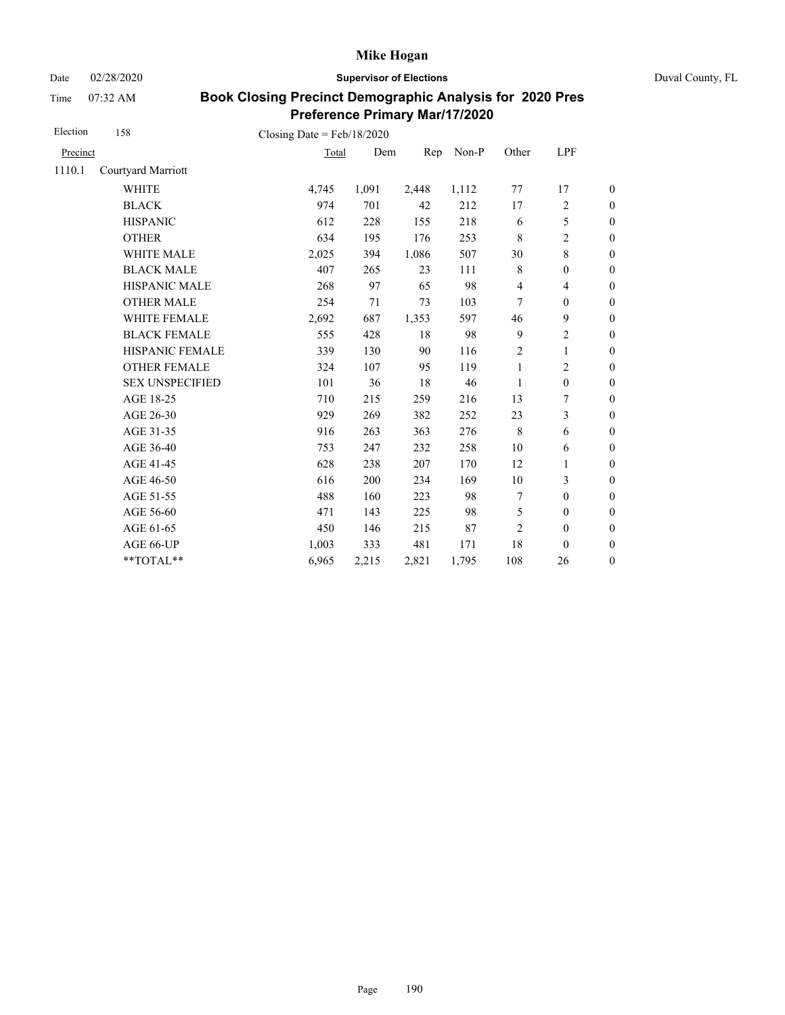Date 02/28/2020 **Supervisor of Elections** Duval County, FL

Time 07:32 AM

| Election | 158                    | Closing Date = $Feb/18/2020$ |       |       |       |                         |                          |                  |
|----------|------------------------|------------------------------|-------|-------|-------|-------------------------|--------------------------|------------------|
| Precinct |                        | Total                        | Dem   | Rep   | Non-P | Other                   | LPF                      |                  |
| 1110.1   | Courtyard Marriott     |                              |       |       |       |                         |                          |                  |
|          | <b>WHITE</b>           | 4,745                        | 1,091 | 2,448 | 1,112 | 77                      | 17                       | $\theta$         |
|          | <b>BLACK</b>           | 974                          | 701   | 42    | 212   | 17                      | 2                        | $\boldsymbol{0}$ |
|          | <b>HISPANIC</b>        | 612                          | 228   | 155   | 218   | 6                       | 5                        | $\boldsymbol{0}$ |
|          | <b>OTHER</b>           | 634                          | 195   | 176   | 253   | $\,8\,$                 | $\overline{c}$           | $\overline{0}$   |
|          | <b>WHITE MALE</b>      | 2,025                        | 394   | 1,086 | 507   | 30                      | 8                        | $\boldsymbol{0}$ |
|          | <b>BLACK MALE</b>      | 407                          | 265   | 23    | 111   | $\,8\,$                 | $\boldsymbol{0}$         | $\boldsymbol{0}$ |
|          | <b>HISPANIC MALE</b>   | 268                          | 97    | 65    | 98    | $\overline{\mathbf{4}}$ | $\overline{\mathcal{L}}$ | $\boldsymbol{0}$ |
|          | <b>OTHER MALE</b>      | 254                          | 71    | 73    | 103   | 7                       | $\boldsymbol{0}$         | $\boldsymbol{0}$ |
|          | WHITE FEMALE           | 2,692                        | 687   | 1,353 | 597   | 46                      | 9                        | $\boldsymbol{0}$ |
|          | <b>BLACK FEMALE</b>    | 555                          | 428   | 18    | 98    | 9                       | $\overline{2}$           | $\boldsymbol{0}$ |
|          | HISPANIC FEMALE        | 339                          | 130   | 90    | 116   | $\overline{2}$          | $\mathbf{1}$             | $\boldsymbol{0}$ |
|          | <b>OTHER FEMALE</b>    | 324                          | 107   | 95    | 119   | $\mathbf{1}$            | $\overline{c}$           | $\boldsymbol{0}$ |
|          | <b>SEX UNSPECIFIED</b> | 101                          | 36    | 18    | 46    | 1                       | $\mathbf{0}$             | $\boldsymbol{0}$ |
|          | AGE 18-25              | 710                          | 215   | 259   | 216   | 13                      | 7                        | $\boldsymbol{0}$ |
|          | AGE 26-30              | 929                          | 269   | 382   | 252   | 23                      | 3                        | $\overline{0}$   |
|          | AGE 31-35              | 916                          | 263   | 363   | 276   | 8                       | 6                        | $\boldsymbol{0}$ |
|          | AGE 36-40              | 753                          | 247   | 232   | 258   | $10\,$                  | 6                        | $\boldsymbol{0}$ |
|          | AGE 41-45              | 628                          | 238   | 207   | 170   | 12                      | $\mathbf{1}$             | $\overline{0}$   |
|          | AGE 46-50              | 616                          | 200   | 234   | 169   | 10                      | 3                        | $\boldsymbol{0}$ |
|          | AGE 51-55              | 488                          | 160   | 223   | 98    | 7                       | $\mathbf{0}$             | $\overline{0}$   |
|          | AGE 56-60              | 471                          | 143   | 225   | 98    | 5                       | $\boldsymbol{0}$         | $\boldsymbol{0}$ |
|          | AGE 61-65              | 450                          | 146   | 215   | 87    | $\overline{c}$          | $\boldsymbol{0}$         | $\boldsymbol{0}$ |
|          | AGE 66-UP              | 1,003                        | 333   | 481   | 171   | 18                      | $\mathbf{0}$             | $\boldsymbol{0}$ |
|          | **TOTAL**              | 6,965                        | 2,215 | 2,821 | 1,795 | 108                     | 26                       | $\boldsymbol{0}$ |
|          |                        |                              |       |       |       |                         |                          |                  |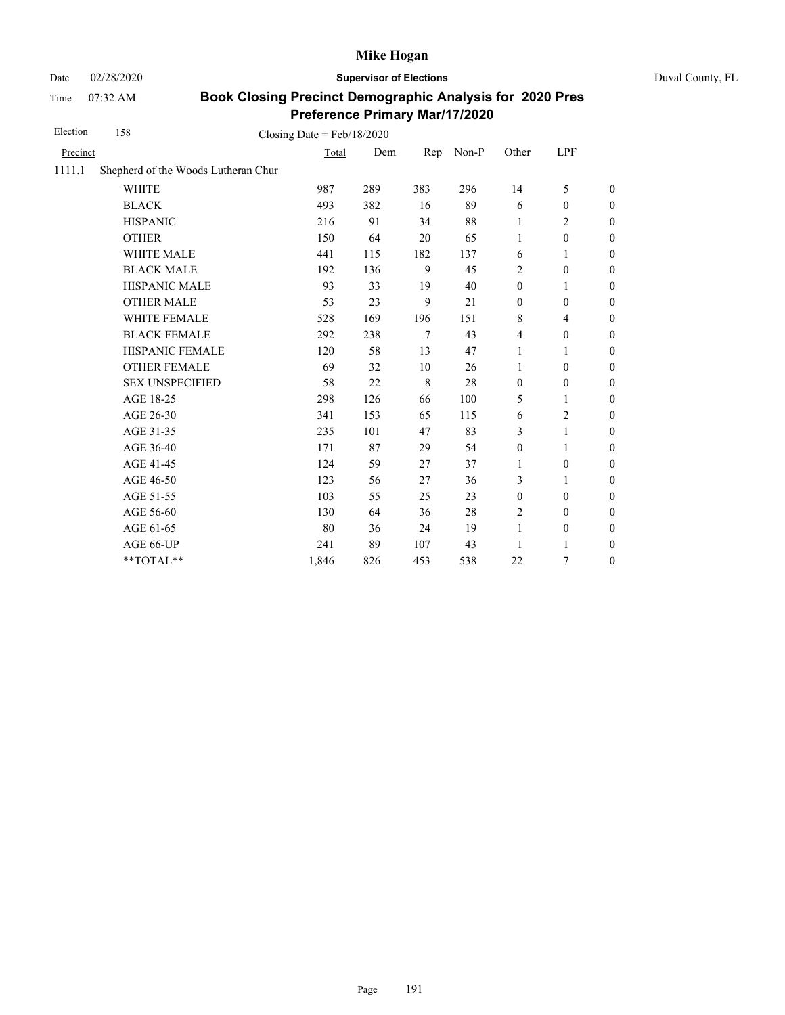Time 07:32 AM

Date 02/28/2020 **Supervisor of Elections** Duval County, FL

| Election | 158                                 | Closing Date = $Feb/18/2020$ |     |         |       |                  |                  |                  |
|----------|-------------------------------------|------------------------------|-----|---------|-------|------------------|------------------|------------------|
| Precinct |                                     | Total                        | Dem | Rep     | Non-P | Other            | LPF              |                  |
| 1111.1   | Shepherd of the Woods Lutheran Chur |                              |     |         |       |                  |                  |                  |
|          | <b>WHITE</b>                        | 987                          | 289 | 383     | 296   | 14               | 5                | $\boldsymbol{0}$ |
|          | <b>BLACK</b>                        | 493                          | 382 | 16      | 89    | 6                | $\mathbf{0}$     | $\boldsymbol{0}$ |
|          | <b>HISPANIC</b>                     | 216                          | 91  | 34      | 88    | 1                | 2                | $\boldsymbol{0}$ |
|          | <b>OTHER</b>                        | 150                          | 64  | 20      | 65    | $\mathbf{1}$     | $\boldsymbol{0}$ | $\overline{0}$   |
|          | <b>WHITE MALE</b>                   | 441                          | 115 | 182     | 137   | 6                | 1                | $\boldsymbol{0}$ |
|          | <b>BLACK MALE</b>                   | 192                          | 136 | 9       | 45    | $\overline{2}$   | $\boldsymbol{0}$ | $\boldsymbol{0}$ |
|          | HISPANIC MALE                       | 93                           | 33  | 19      | 40    | $\boldsymbol{0}$ | 1                | $\mathbf{0}$     |
|          | <b>OTHER MALE</b>                   | 53                           | 23  | 9       | 21    | $\boldsymbol{0}$ | $\boldsymbol{0}$ | $\boldsymbol{0}$ |
|          | WHITE FEMALE                        | 528                          | 169 | 196     | 151   | $\,8\,$          | 4                | $\boldsymbol{0}$ |
|          | <b>BLACK FEMALE</b>                 | 292                          | 238 | 7       | 43    | $\overline{4}$   | $\boldsymbol{0}$ | $\boldsymbol{0}$ |
|          | HISPANIC FEMALE                     | 120                          | 58  | 13      | 47    | 1                | 1                | $\boldsymbol{0}$ |
|          | <b>OTHER FEMALE</b>                 | 69                           | 32  | 10      | 26    | 1                | $\mathbf{0}$     | $\boldsymbol{0}$ |
|          | <b>SEX UNSPECIFIED</b>              | 58                           | 22  | $\,8\,$ | 28    | $\boldsymbol{0}$ | $\boldsymbol{0}$ | $\boldsymbol{0}$ |
|          | AGE 18-25                           | 298                          | 126 | 66      | 100   | 5                | 1                | $\boldsymbol{0}$ |
|          | AGE 26-30                           | 341                          | 153 | 65      | 115   | 6                | $\overline{2}$   | $\boldsymbol{0}$ |
|          | AGE 31-35                           | 235                          | 101 | 47      | 83    | 3                | 1                | $\boldsymbol{0}$ |
|          | AGE 36-40                           | 171                          | 87  | 29      | 54    | $\boldsymbol{0}$ | 1                | $\boldsymbol{0}$ |
|          | AGE 41-45                           | 124                          | 59  | 27      | 37    | 1                | $\boldsymbol{0}$ | $\overline{0}$   |
|          | AGE 46-50                           | 123                          | 56  | 27      | 36    | 3                | 1                | $\boldsymbol{0}$ |
|          | AGE 51-55                           | 103                          | 55  | 25      | 23    | $\boldsymbol{0}$ | $\boldsymbol{0}$ | $\boldsymbol{0}$ |
|          | AGE 56-60                           | 130                          | 64  | 36      | 28    | $\sqrt{2}$       | $\mathbf{0}$     | $\boldsymbol{0}$ |
|          | AGE 61-65                           | 80                           | 36  | 24      | 19    | $\mathbf{1}$     | $\boldsymbol{0}$ | $\boldsymbol{0}$ |
|          | AGE 66-UP                           | 241                          | 89  | 107     | 43    | 1                | 1                | $\boldsymbol{0}$ |
|          | **TOTAL**                           | 1,846                        | 826 | 453     | 538   | 22               | 7                | $\boldsymbol{0}$ |
|          |                                     |                              |     |         |       |                  |                  |                  |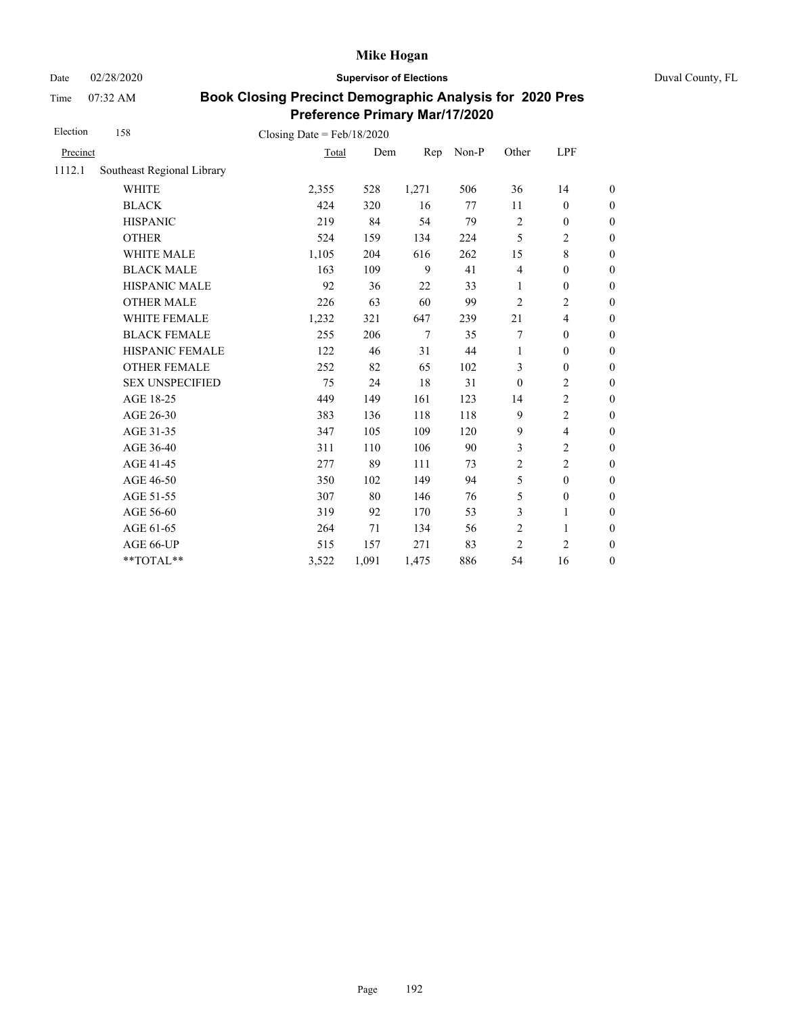Date 02/28/2020 **Supervisor of Elections** Duval County, FL

Time 07:32 AM

| Election | 158                        | Closing Date = $Feb/18/2020$ |       |        |       |                         |                          |                  |
|----------|----------------------------|------------------------------|-------|--------|-------|-------------------------|--------------------------|------------------|
| Precinct |                            | Total                        | Dem   | Rep    | Non-P | Other                   | LPF                      |                  |
| 1112.1   | Southeast Regional Library |                              |       |        |       |                         |                          |                  |
|          | <b>WHITE</b>               | 2,355                        | 528   | 1,271  | 506   | 36                      | 14                       | $\boldsymbol{0}$ |
|          | <b>BLACK</b>               | 424                          | 320   | 16     | 77    | 11                      | $\mathbf{0}$             | $\boldsymbol{0}$ |
|          | <b>HISPANIC</b>            | 219                          | 84    | 54     | 79    | $\overline{2}$          | $\boldsymbol{0}$         | $\boldsymbol{0}$ |
|          | <b>OTHER</b>               | 524                          | 159   | 134    | 224   | 5                       | $\overline{c}$           | $\boldsymbol{0}$ |
|          | WHITE MALE                 | 1,105                        | 204   | 616    | 262   | 15                      | 8                        | $\boldsymbol{0}$ |
|          | <b>BLACK MALE</b>          | 163                          | 109   | 9      | 41    | $\overline{\mathbf{4}}$ | $\boldsymbol{0}$         | $\boldsymbol{0}$ |
|          | HISPANIC MALE              | 92                           | 36    | 22     | 33    | 1                       | $\boldsymbol{0}$         | $\boldsymbol{0}$ |
|          | <b>OTHER MALE</b>          | 226                          | 63    | 60     | 99    | 2                       | $\overline{c}$           | $\boldsymbol{0}$ |
|          | WHITE FEMALE               | 1,232                        | 321   | 647    | 239   | 21                      | $\overline{4}$           | $\boldsymbol{0}$ |
|          | <b>BLACK FEMALE</b>        | 255                          | 206   | $\tau$ | 35    | 7                       | $\mathbf{0}$             | $\overline{0}$   |
|          | HISPANIC FEMALE            | 122                          | 46    | 31     | 44    | $\mathbf{1}$            | $\boldsymbol{0}$         | $\boldsymbol{0}$ |
|          | <b>OTHER FEMALE</b>        | 252                          | 82    | 65     | 102   | 3                       | $\mathbf{0}$             | $\boldsymbol{0}$ |
|          | <b>SEX UNSPECIFIED</b>     | 75                           | 24    | 18     | 31    | $\boldsymbol{0}$        | $\overline{c}$           | $\boldsymbol{0}$ |
|          | AGE 18-25                  | 449                          | 149   | 161    | 123   | 14                      | $\overline{c}$           | $\boldsymbol{0}$ |
|          | AGE 26-30                  | 383                          | 136   | 118    | 118   | 9                       | $\overline{c}$           | $\boldsymbol{0}$ |
|          | AGE 31-35                  | 347                          | 105   | 109    | 120   | 9                       | $\overline{\mathcal{L}}$ | $\boldsymbol{0}$ |
|          | AGE 36-40                  | 311                          | 110   | 106    | 90    | 3                       | $\mathbf{2}$             | $\boldsymbol{0}$ |
|          | AGE 41-45                  | 277                          | 89    | 111    | 73    | $\overline{c}$          | $\overline{2}$           | $\boldsymbol{0}$ |
|          | AGE 46-50                  | 350                          | 102   | 149    | 94    | 5                       | $\boldsymbol{0}$         | $\boldsymbol{0}$ |
|          | AGE 51-55                  | 307                          | 80    | 146    | 76    | 5                       | $\boldsymbol{0}$         | $\boldsymbol{0}$ |
|          | AGE 56-60                  | 319                          | 92    | 170    | 53    | 3                       | 1                        | $\overline{0}$   |
|          | AGE 61-65                  | 264                          | 71    | 134    | 56    | $\overline{2}$          | 1                        | $\boldsymbol{0}$ |
|          | AGE 66-UP                  | 515                          | 157   | 271    | 83    | $\overline{2}$          | $\overline{c}$           | $\boldsymbol{0}$ |
|          | **TOTAL**                  | 3,522                        | 1,091 | 1,475  | 886   | 54                      | 16                       | $\boldsymbol{0}$ |
|          |                            |                              |       |        |       |                         |                          |                  |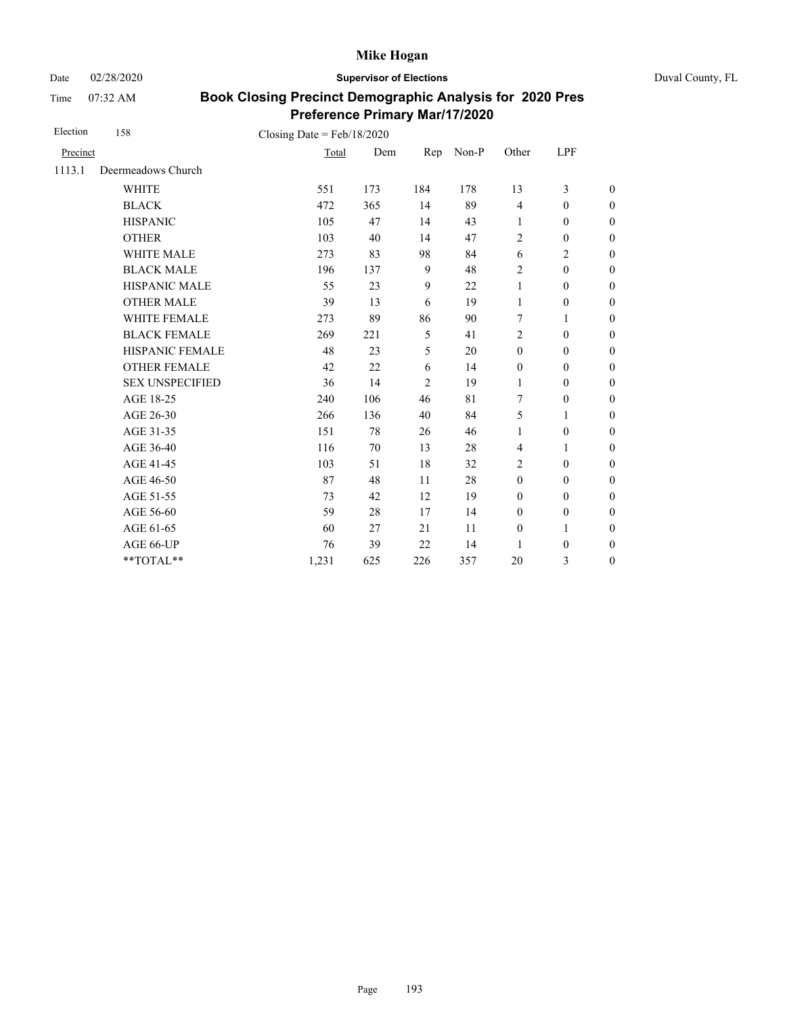Date 02/28/2020 **Supervisor of Elections** Duval County, FL

Time 07:32 AM

| Election | 158                    | Closing Date = $Feb/18/2020$ |     |     |       |                  |                  |                  |
|----------|------------------------|------------------------------|-----|-----|-------|------------------|------------------|------------------|
| Precinct |                        | Total                        | Dem | Rep | Non-P | Other            | LPF              |                  |
| 1113.1   | Deermeadows Church     |                              |     |     |       |                  |                  |                  |
|          | <b>WHITE</b>           | 551                          | 173 | 184 | 178   | 13               | 3                | $\overline{0}$   |
|          | <b>BLACK</b>           | 472                          | 365 | 14  | 89    | $\overline{4}$   | $\mathbf{0}$     | $\overline{0}$   |
|          | <b>HISPANIC</b>        | 105                          | 47  | 14  | 43    | 1                | $\boldsymbol{0}$ | $\boldsymbol{0}$ |
|          | <b>OTHER</b>           | 103                          | 40  | 14  | 47    | $\overline{2}$   | $\mathbf{0}$     | $\overline{0}$   |
|          | <b>WHITE MALE</b>      | 273                          | 83  | 98  | 84    | 6                | $\overline{2}$   | $\overline{0}$   |
|          | <b>BLACK MALE</b>      | 196                          | 137 | 9   | 48    | $\overline{2}$   | $\boldsymbol{0}$ | $\boldsymbol{0}$ |
|          | HISPANIC MALE          | 55                           | 23  | 9   | 22    | $\mathbf{1}$     | $\boldsymbol{0}$ | $\overline{0}$   |
|          | <b>OTHER MALE</b>      | 39                           | 13  | 6   | 19    | 1                | $\boldsymbol{0}$ | $\boldsymbol{0}$ |
|          | WHITE FEMALE           | 273                          | 89  | 86  | 90    | 7                | 1                | $\boldsymbol{0}$ |
|          | <b>BLACK FEMALE</b>    | 269                          | 221 | 5   | 41    | $\overline{2}$   | $\boldsymbol{0}$ | $\boldsymbol{0}$ |
|          | HISPANIC FEMALE        | 48                           | 23  | 5   | 20    | $\boldsymbol{0}$ | $\boldsymbol{0}$ | $\boldsymbol{0}$ |
|          | <b>OTHER FEMALE</b>    | 42                           | 22  | 6   | 14    | $\boldsymbol{0}$ | $\boldsymbol{0}$ | $\boldsymbol{0}$ |
|          | <b>SEX UNSPECIFIED</b> | 36                           | 14  | 2   | 19    | $\mathbf{1}$     | $\mathbf{0}$     | $\overline{0}$   |
|          | AGE 18-25              | 240                          | 106 | 46  | 81    | 7                | $\boldsymbol{0}$ | $\overline{0}$   |
|          | AGE 26-30              | 266                          | 136 | 40  | 84    | 5                | $\mathbf{1}$     | $\boldsymbol{0}$ |
|          | AGE 31-35              | 151                          | 78  | 26  | 46    | $\mathbf{1}$     | $\mathbf{0}$     | $\boldsymbol{0}$ |
|          | AGE 36-40              | 116                          | 70  | 13  | 28    | $\overline{4}$   | 1                | $\overline{0}$   |
|          | AGE 41-45              | 103                          | 51  | 18  | 32    | $\overline{2}$   | $\mathbf{0}$     | $\overline{0}$   |
|          | AGE 46-50              | 87                           | 48  | 11  | 28    | $\mathbf{0}$     | $\mathbf{0}$     | $\boldsymbol{0}$ |
|          | AGE 51-55              | 73                           | 42  | 12  | 19    | $\mathbf{0}$     | $\mathbf{0}$     | $\overline{0}$   |
|          | AGE 56-60              | 59                           | 28  | 17  | 14    | $\boldsymbol{0}$ | $\boldsymbol{0}$ | $\overline{0}$   |
|          | AGE 61-65              | 60                           | 27  | 21  | 11    | $\mathbf{0}$     | 1                | $\boldsymbol{0}$ |
|          | AGE 66-UP              | 76                           | 39  | 22  | 14    | 1                | $\boldsymbol{0}$ | $\boldsymbol{0}$ |
|          | **TOTAL**              | 1,231                        | 625 | 226 | 357   | 20               | 3                | $\overline{0}$   |
|          |                        |                              |     |     |       |                  |                  |                  |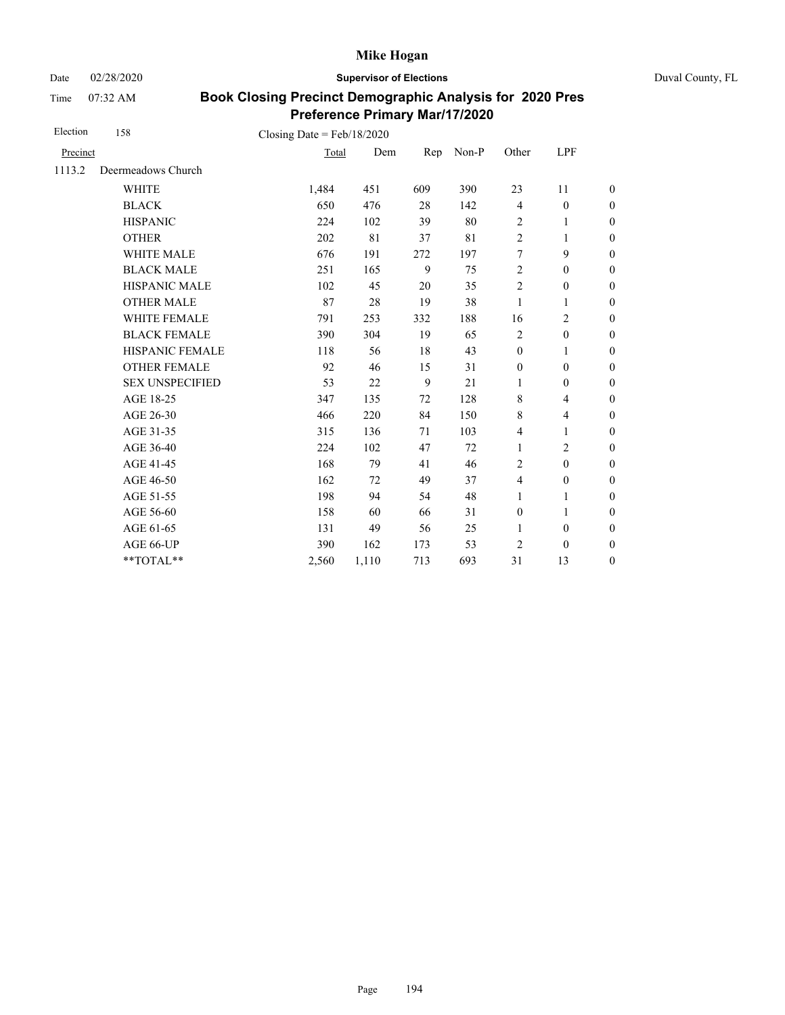Date 02/28/2020 **Supervisor of Elections** Duval County, FL

Time 07:32 AM

| Election | 158                                    | Closing Date = $Feb/18/2020$ |       |     |       |                  |                          |                  |
|----------|----------------------------------------|------------------------------|-------|-----|-------|------------------|--------------------------|------------------|
| Precinct |                                        | Total                        | Dem   | Rep | Non-P | Other            | LPF                      |                  |
| 1113.2   | Deermeadows Church                     |                              |       |     |       |                  |                          |                  |
|          | <b>WHITE</b>                           | 1,484                        | 451   | 609 | 390   | 23               | 11                       | $\boldsymbol{0}$ |
|          | <b>BLACK</b>                           | 650                          | 476   | 28  | 142   | $\overline{4}$   | $\boldsymbol{0}$         | $\boldsymbol{0}$ |
|          | <b>HISPANIC</b>                        | 224                          | 102   | 39  | 80    | $\overline{2}$   | $\mathbf{1}$             | $\boldsymbol{0}$ |
|          | <b>OTHER</b>                           | 202                          | 81    | 37  | 81    | $\overline{2}$   | 1                        | $\overline{0}$   |
|          | <b>WHITE MALE</b>                      | 676                          | 191   | 272 | 197   | 7                | 9                        | $\boldsymbol{0}$ |
|          | <b>BLACK MALE</b>                      | 251                          | 165   | 9   | 75    | $\overline{2}$   | $\mathbf{0}$             | $\boldsymbol{0}$ |
|          | <b>HISPANIC MALE</b>                   | 102                          | 45    | 20  | 35    | $\overline{2}$   | $\boldsymbol{0}$         | $\overline{0}$   |
|          | <b>OTHER MALE</b>                      | 87                           | 28    | 19  | 38    | 1                | 1                        | $\boldsymbol{0}$ |
|          | WHITE FEMALE                           | 791                          | 253   | 332 | 188   | 16               | $\overline{c}$           | $\boldsymbol{0}$ |
|          | <b>BLACK FEMALE</b>                    | 390                          | 304   | 19  | 65    | $\overline{2}$   | $\boldsymbol{0}$         | $\boldsymbol{0}$ |
|          | HISPANIC FEMALE                        | 118                          | 56    | 18  | 43    | $\boldsymbol{0}$ | 1                        | $\boldsymbol{0}$ |
|          | <b>OTHER FEMALE</b>                    | 92                           | 46    | 15  | 31    | $\boldsymbol{0}$ | $\boldsymbol{0}$         | $\boldsymbol{0}$ |
|          | <b>SEX UNSPECIFIED</b>                 | 53                           | 22    | 9   | 21    | 1                | $\boldsymbol{0}$         | $\boldsymbol{0}$ |
|          | AGE 18-25                              | 347                          | 135   | 72  | 128   | $\,$ 8 $\,$      | $\overline{\mathcal{L}}$ | $\boldsymbol{0}$ |
|          | AGE 26-30                              | 466                          | 220   | 84  | 150   | $\,$ 8 $\,$      | $\overline{4}$           | $\overline{0}$   |
|          | AGE 31-35                              | 315                          | 136   | 71  | 103   | 4                | 1                        | $\boldsymbol{0}$ |
|          | AGE 36-40                              | 224                          | 102   | 47  | 72    | $\mathbf{1}$     | $\overline{c}$           | $\boldsymbol{0}$ |
|          | AGE 41-45                              | 168                          | 79    | 41  | 46    | $\overline{2}$   | $\mathbf{0}$             | $\overline{0}$   |
|          | AGE 46-50                              | 162                          | 72    | 49  | 37    | $\overline{4}$   | $\boldsymbol{0}$         | $\boldsymbol{0}$ |
|          | AGE 51-55                              | 198                          | 94    | 54  | 48    | $\mathbf{1}$     | $\mathbf{1}$             | $\boldsymbol{0}$ |
|          | AGE 56-60                              | 158                          | 60    | 66  | 31    | $\boldsymbol{0}$ | 1                        | $\boldsymbol{0}$ |
|          | AGE 61-65                              | 131                          | 49    | 56  | 25    | 1                | $\boldsymbol{0}$         | $\boldsymbol{0}$ |
|          | AGE 66-UP                              | 390                          | 162   | 173 | 53    | $\overline{c}$   | $\mathbf{0}$             | $\overline{0}$   |
|          | $\mathrm{*}\mathrm{*} \mathrm{TOTAL}*$ | 2,560                        | 1,110 | 713 | 693   | 31               | 13                       | $\boldsymbol{0}$ |
|          |                                        |                              |       |     |       |                  |                          |                  |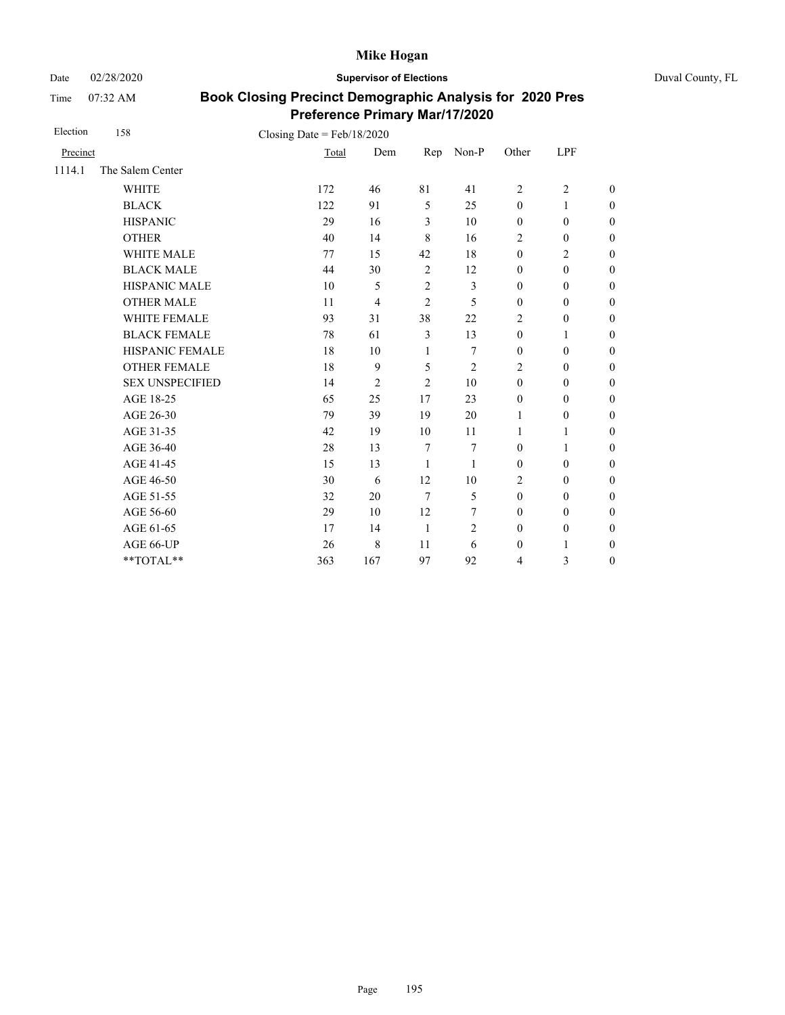Date 02/28/2020 **Supervisor of Elections** Duval County, FL

Time 07:32 AM

| Election | 158                    | Closing Date = $Feb/18/2020$ |                |                |                |                         |                  |                  |
|----------|------------------------|------------------------------|----------------|----------------|----------------|-------------------------|------------------|------------------|
| Precinct |                        | Total                        | Dem            | Rep            | $Non-P$        | Other                   | LPF              |                  |
| 1114.1   | The Salem Center       |                              |                |                |                |                         |                  |                  |
|          | <b>WHITE</b>           | 172                          | 46             | 81             | 41             | $\overline{2}$          | $\overline{2}$   | $\overline{0}$   |
|          | <b>BLACK</b>           | 122                          | 91             | 5              | 25             | $\mathbf{0}$            | 1                | $\overline{0}$   |
|          | <b>HISPANIC</b>        | 29                           | 16             | 3              | 10             | $\boldsymbol{0}$        | $\boldsymbol{0}$ | $\boldsymbol{0}$ |
|          | <b>OTHER</b>           | 40                           | 14             | 8              | 16             | $\overline{2}$          | $\mathbf{0}$     | $\overline{0}$   |
|          | <b>WHITE MALE</b>      | 77                           | 15             | 42             | 18             | $\mathbf{0}$            | $\overline{2}$   | $\overline{0}$   |
|          | <b>BLACK MALE</b>      | 44                           | 30             | $\overline{2}$ | 12             | $\boldsymbol{0}$        | $\boldsymbol{0}$ | $\boldsymbol{0}$ |
|          | HISPANIC MALE          | 10                           | 5              | $\overline{c}$ | 3              | $\boldsymbol{0}$        | $\boldsymbol{0}$ | $\overline{0}$   |
|          | <b>OTHER MALE</b>      | 11                           | $\overline{4}$ | $\overline{2}$ | 5              | $\boldsymbol{0}$        | $\boldsymbol{0}$ | $\boldsymbol{0}$ |
|          | WHITE FEMALE           | 93                           | 31             | 38             | 22             | 2                       | $\boldsymbol{0}$ | $\boldsymbol{0}$ |
|          | <b>BLACK FEMALE</b>    | 78                           | 61             | $\mathfrak{Z}$ | 13             | $\boldsymbol{0}$        | 1                | $\boldsymbol{0}$ |
|          | HISPANIC FEMALE        | 18                           | 10             | 1              | 7              | $\boldsymbol{0}$        | $\boldsymbol{0}$ | $\boldsymbol{0}$ |
|          | <b>OTHER FEMALE</b>    | 18                           | 9              | 5              | $\overline{c}$ | $\overline{2}$          | $\mathbf{0}$     | $\boldsymbol{0}$ |
|          | <b>SEX UNSPECIFIED</b> | 14                           | $\overline{2}$ | $\overline{2}$ | 10             | $\mathbf{0}$            | $\mathbf{0}$     | $\overline{0}$   |
|          | AGE 18-25              | 65                           | 25             | 17             | 23             | $\boldsymbol{0}$        | $\boldsymbol{0}$ | $\overline{0}$   |
|          | AGE 26-30              | 79                           | 39             | 19             | 20             | $\mathbf{1}$            | $\mathbf{0}$     | $\overline{0}$   |
|          | AGE 31-35              | 42                           | 19             | 10             | 11             | 1                       | 1                | $\boldsymbol{0}$ |
|          | AGE 36-40              | 28                           | 13             | $\tau$         | 7              | $\mathbf{0}$            | 1                | $\overline{0}$   |
|          | AGE 41-45              | 15                           | 13             | 1              | 1              | $\mathbf{0}$            | $\mathbf{0}$     | $\overline{0}$   |
|          | AGE 46-50              | 30                           | 6              | 12             | 10             | 2                       | $\mathbf{0}$     | $\boldsymbol{0}$ |
|          | AGE 51-55              | 32                           | 20             | $\overline{7}$ | 5              | $\mathbf{0}$            | $\mathbf{0}$     | $\boldsymbol{0}$ |
|          | AGE 56-60              | 29                           | 10             | 12             | 7              | $\boldsymbol{0}$        | $\boldsymbol{0}$ | $\overline{0}$   |
|          | AGE 61-65              | 17                           | 14             | $\mathbf{1}$   | 2              | $\mathbf{0}$            | $\mathbf{0}$     | $\boldsymbol{0}$ |
|          | AGE 66-UP              | 26                           | $\,$ 8 $\,$    | 11             | 6              | $\boldsymbol{0}$        | $\mathbf{1}$     | $\boldsymbol{0}$ |
|          | **TOTAL**              | 363                          | 167            | 97             | 92             | $\overline{\mathbf{4}}$ | 3                | $\overline{0}$   |
|          |                        |                              |                |                |                |                         |                  |                  |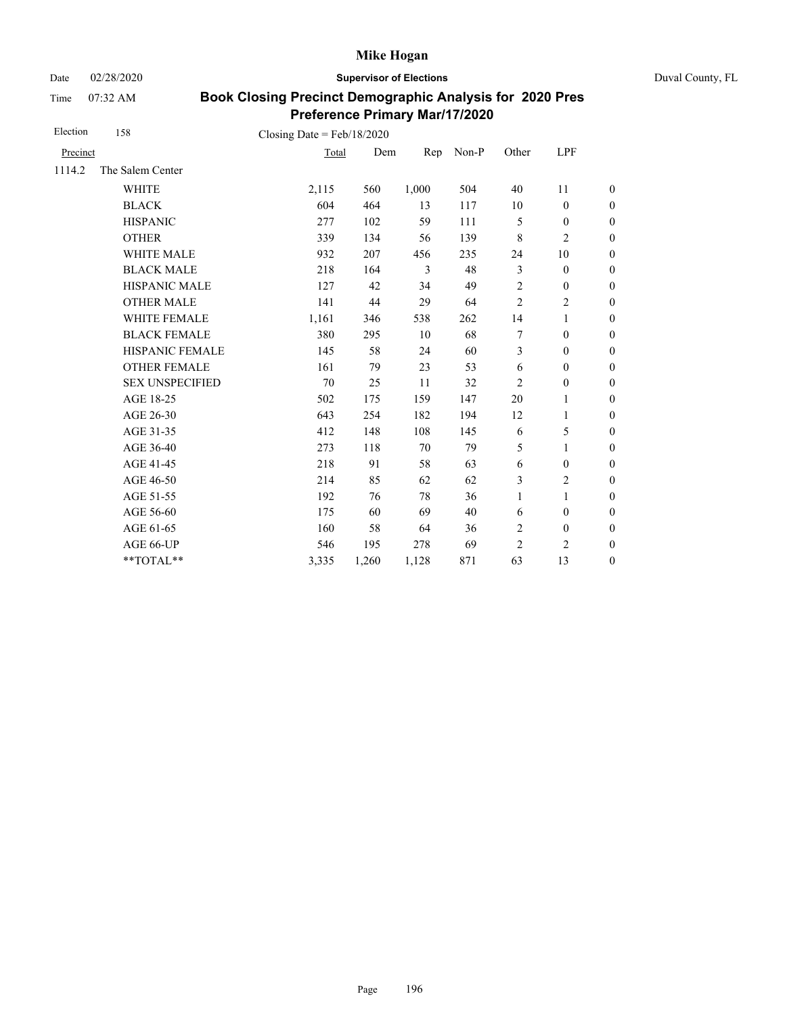Date 02/28/2020 **Supervisor of Elections** Duval County, FL

Time 07:32 AM

| Election | 158                                    | Closing Date = $Feb/18/2020$ |       |       |       |                |                  |                  |
|----------|----------------------------------------|------------------------------|-------|-------|-------|----------------|------------------|------------------|
| Precinct |                                        | Total                        | Dem   | Rep   | Non-P | Other          | LPF              |                  |
| 1114.2   | The Salem Center                       |                              |       |       |       |                |                  |                  |
|          | <b>WHITE</b>                           | 2,115                        | 560   | 1,000 | 504   | 40             | 11               | $\boldsymbol{0}$ |
|          | <b>BLACK</b>                           | 604                          | 464   | 13    | 117   | 10             | $\boldsymbol{0}$ | $\boldsymbol{0}$ |
|          | <b>HISPANIC</b>                        | 277                          | 102   | 59    | 111   | 5              | $\boldsymbol{0}$ | $\overline{0}$   |
|          | <b>OTHER</b>                           | 339                          | 134   | 56    | 139   | $\,$ 8 $\,$    | $\overline{c}$   | $\mathbf{0}$     |
|          | WHITE MALE                             | 932                          | 207   | 456   | 235   | 24             | 10               | $\boldsymbol{0}$ |
|          | <b>BLACK MALE</b>                      | 218                          | 164   | 3     | 48    | 3              | $\boldsymbol{0}$ | $\boldsymbol{0}$ |
|          | HISPANIC MALE                          | 127                          | 42    | 34    | 49    | $\overline{c}$ | $\boldsymbol{0}$ | $\overline{0}$   |
|          | <b>OTHER MALE</b>                      | 141                          | 44    | 29    | 64    | $\overline{c}$ | 2                | $\boldsymbol{0}$ |
|          | WHITE FEMALE                           | 1,161                        | 346   | 538   | 262   | 14             | 1                | $\boldsymbol{0}$ |
|          | <b>BLACK FEMALE</b>                    | 380                          | 295   | 10    | 68    | 7              | $\mathbf{0}$     | $\theta$         |
|          | HISPANIC FEMALE                        | 145                          | 58    | 24    | 60    | 3              | $\boldsymbol{0}$ | $\mathbf{0}$     |
|          | <b>OTHER FEMALE</b>                    | 161                          | 79    | 23    | 53    | 6              | $\overline{0}$   | $\theta$         |
|          | <b>SEX UNSPECIFIED</b>                 | 70                           | 25    | 11    | 32    | $\overline{2}$ | $\boldsymbol{0}$ | $\boldsymbol{0}$ |
|          | AGE 18-25                              | 502                          | 175   | 159   | 147   | 20             | 1                | $\theta$         |
|          | AGE 26-30                              | 643                          | 254   | 182   | 194   | 12             | 1                | $\theta$         |
|          | AGE 31-35                              | 412                          | 148   | 108   | 145   | 6              | 5                | $\boldsymbol{0}$ |
|          | AGE 36-40                              | 273                          | 118   | 70    | 79    | 5              | 1                | $\boldsymbol{0}$ |
|          | AGE 41-45                              | 218                          | 91    | 58    | 63    | 6              | $\boldsymbol{0}$ | $\overline{0}$   |
|          | AGE 46-50                              | 214                          | 85    | 62    | 62    | 3              | $\overline{2}$   | $\boldsymbol{0}$ |
|          | AGE 51-55                              | 192                          | 76    | 78    | 36    | $\mathbf{1}$   | $\mathbf{1}$     | $\boldsymbol{0}$ |
|          | AGE 56-60                              | 175                          | 60    | 69    | 40    | 6              | $\mathbf{0}$     | $\overline{0}$   |
|          | AGE 61-65                              | 160                          | 58    | 64    | 36    | $\sqrt{2}$     | $\boldsymbol{0}$ | $\boldsymbol{0}$ |
|          | AGE 66-UP                              | 546                          | 195   | 278   | 69    | $\overline{2}$ | 2                | $\overline{0}$   |
|          | $\mathrm{*}\mathrm{*} \mathrm{TOTAL}*$ | 3,335                        | 1,260 | 1,128 | 871   | 63             | 13               | $\boldsymbol{0}$ |
|          |                                        |                              |       |       |       |                |                  |                  |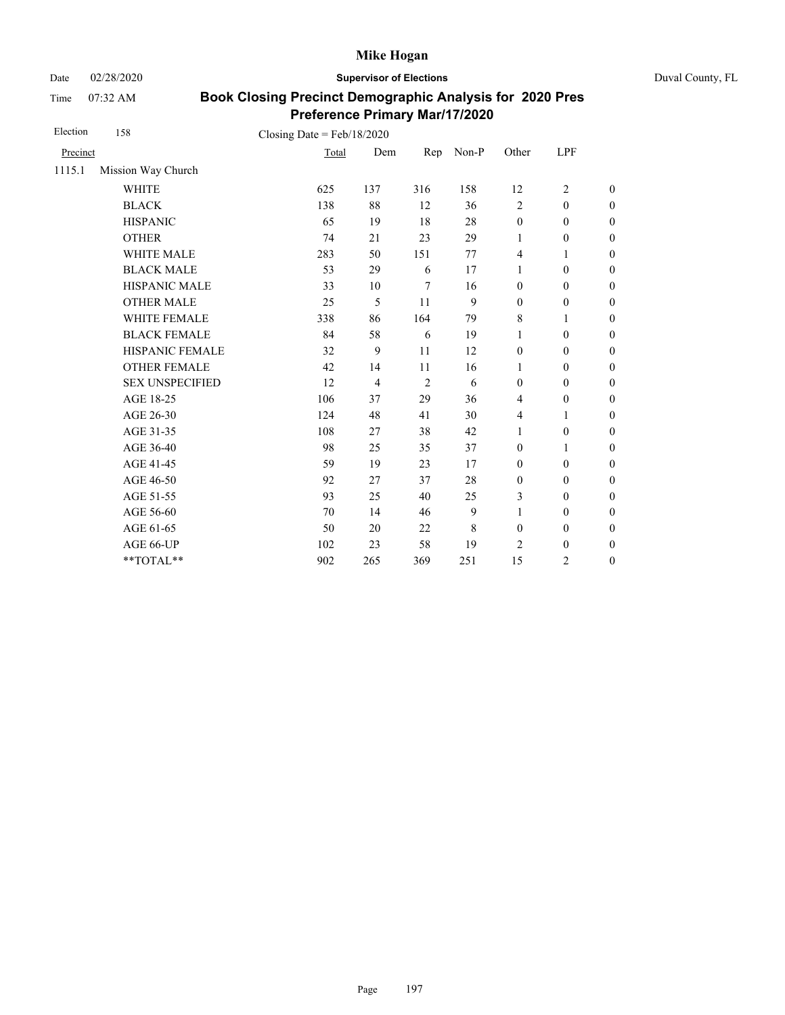Date 02/28/2020 **Supervisor of Elections** Duval County, FL

Time 07:32 AM

| Election | 158                    | Closing Date = $Feb/18/2020$ |                |                |       |                  |                  |                  |
|----------|------------------------|------------------------------|----------------|----------------|-------|------------------|------------------|------------------|
| Precinct |                        | Total                        | Dem            | Rep            | Non-P | Other            | LPF              |                  |
| 1115.1   | Mission Way Church     |                              |                |                |       |                  |                  |                  |
|          | <b>WHITE</b>           | 625                          | 137            | 316            | 158   | 12               | $\overline{c}$   | $\boldsymbol{0}$ |
|          | <b>BLACK</b>           | 138                          | 88             | 12             | 36    | $\overline{2}$   | $\mathbf{0}$     | $\boldsymbol{0}$ |
|          | <b>HISPANIC</b>        | 65                           | 19             | 18             | 28    | $\boldsymbol{0}$ | $\boldsymbol{0}$ | $\boldsymbol{0}$ |
|          | <b>OTHER</b>           | 74                           | 21             | 23             | 29    | 1                | $\boldsymbol{0}$ | $\boldsymbol{0}$ |
|          | WHITE MALE             | 283                          | 50             | 151            | 77    | 4                | 1                | $\boldsymbol{0}$ |
|          | <b>BLACK MALE</b>      | 53                           | 29             | 6              | 17    | 1                | $\boldsymbol{0}$ | $\boldsymbol{0}$ |
|          | HISPANIC MALE          | 33                           | 10             | $\overline{7}$ | 16    | $\boldsymbol{0}$ | $\boldsymbol{0}$ | $\overline{0}$   |
|          | <b>OTHER MALE</b>      | 25                           | 5              | 11             | 9     | $\boldsymbol{0}$ | $\boldsymbol{0}$ | $\boldsymbol{0}$ |
|          | WHITE FEMALE           | 338                          | 86             | 164            | 79    | 8                | 1                | $\boldsymbol{0}$ |
|          | <b>BLACK FEMALE</b>    | 84                           | 58             | 6              | 19    | 1                | $\mathbf{0}$     | $\overline{0}$   |
|          | HISPANIC FEMALE        | 32                           | 9              | 11             | 12    | $\boldsymbol{0}$ | $\boldsymbol{0}$ | $\boldsymbol{0}$ |
|          | <b>OTHER FEMALE</b>    | 42                           | 14             | 11             | 16    | 1                | $\mathbf{0}$     | $\boldsymbol{0}$ |
|          | <b>SEX UNSPECIFIED</b> | 12                           | $\overline{4}$ | 2              | 6     | $\boldsymbol{0}$ | $\boldsymbol{0}$ | $\boldsymbol{0}$ |
|          | AGE 18-25              | 106                          | 37             | 29             | 36    | $\overline{4}$   | $\boldsymbol{0}$ | $\overline{0}$   |
|          | AGE 26-30              | 124                          | 48             | 41             | 30    | 4                | 1                | $\overline{0}$   |
|          | AGE 31-35              | 108                          | 27             | 38             | 42    | 1                | $\boldsymbol{0}$ | $\boldsymbol{0}$ |
|          | AGE 36-40              | 98                           | 25             | 35             | 37    | $\mathbf{0}$     | 1                | $\boldsymbol{0}$ |
|          | AGE 41-45              | 59                           | 19             | 23             | 17    | $\mathbf{0}$     | $\mathbf{0}$     | $\overline{0}$   |
|          | AGE 46-50              | 92                           | 27             | 37             | 28    | $\boldsymbol{0}$ | $\mathbf{0}$     | $\boldsymbol{0}$ |
|          | AGE 51-55              | 93                           | 25             | 40             | 25    | 3                | $\mathbf{0}$     | $\boldsymbol{0}$ |
|          | AGE 56-60              | 70                           | 14             | 46             | 9     | $\mathbf{1}$     | $\mathbf{0}$     | $\overline{0}$   |
|          | AGE 61-65              | 50                           | 20             | 22             | 8     | $\boldsymbol{0}$ | $\boldsymbol{0}$ | $\boldsymbol{0}$ |
|          | AGE 66-UP              | 102                          | 23             | 58             | 19    | 2                | $\boldsymbol{0}$ | $\boldsymbol{0}$ |
|          | **TOTAL**              | 902                          | 265            | 369            | 251   | 15               | $\overline{c}$   | $\boldsymbol{0}$ |
|          |                        |                              |                |                |       |                  |                  |                  |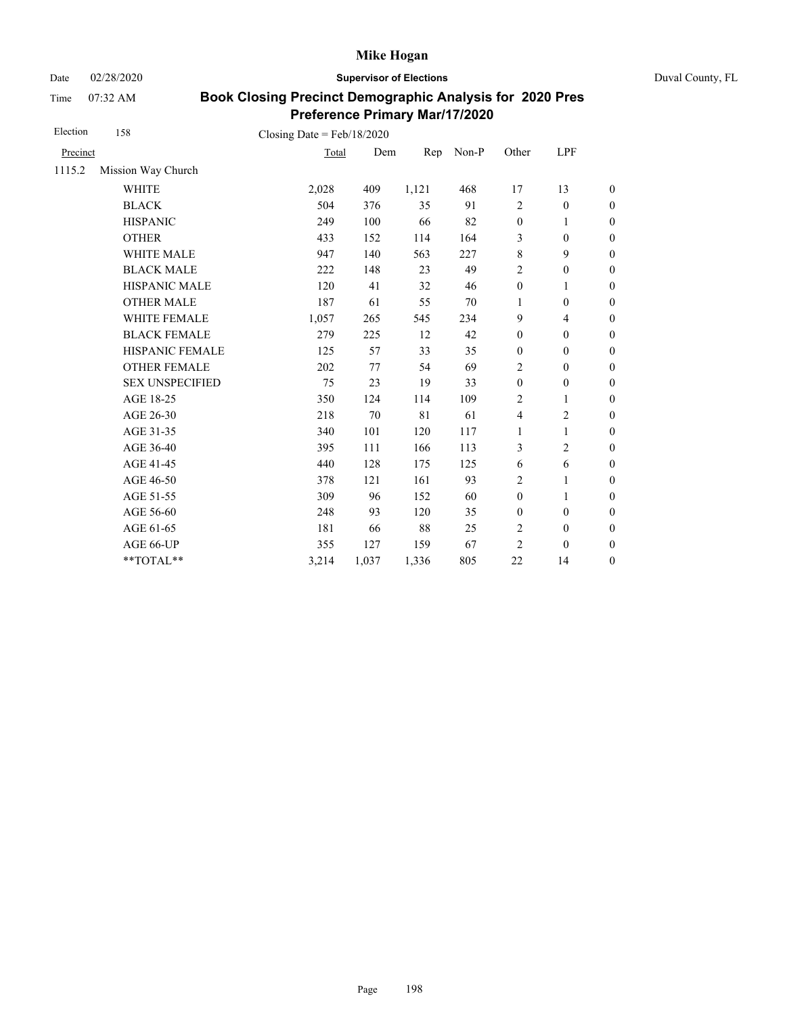Date 02/28/2020 **Supervisor of Elections** Duval County, FL

Time 07:32 AM

| Election | 158                    | Closing Date = $Feb/18/2020$ |       |       |       |                  |                          |                  |
|----------|------------------------|------------------------------|-------|-------|-------|------------------|--------------------------|------------------|
| Precinct |                        | Total                        | Dem   | Rep   | Non-P | Other            | LPF                      |                  |
| 1115.2   | Mission Way Church     |                              |       |       |       |                  |                          |                  |
|          | <b>WHITE</b>           | 2,028                        | 409   | 1,121 | 468   | 17               | 13                       | $\boldsymbol{0}$ |
|          | <b>BLACK</b>           | 504                          | 376   | 35    | 91    | $\overline{c}$   | $\boldsymbol{0}$         | $\boldsymbol{0}$ |
|          | <b>HISPANIC</b>        | 249                          | 100   | 66    | 82    | $\boldsymbol{0}$ | 1                        | $\boldsymbol{0}$ |
|          | <b>OTHER</b>           | 433                          | 152   | 114   | 164   | 3                | $\boldsymbol{0}$         | $\boldsymbol{0}$ |
|          | WHITE MALE             | 947                          | 140   | 563   | 227   | $\,$ 8 $\,$      | 9                        | $\boldsymbol{0}$ |
|          | <b>BLACK MALE</b>      | 222                          | 148   | 23    | 49    | $\sqrt{2}$       | $\boldsymbol{0}$         | $\boldsymbol{0}$ |
|          | <b>HISPANIC MALE</b>   | 120                          | 41    | 32    | 46    | $\boldsymbol{0}$ | $\mathbf{1}$             | $\overline{0}$   |
|          | <b>OTHER MALE</b>      | 187                          | 61    | 55    | 70    | 1                | $\boldsymbol{0}$         | $\boldsymbol{0}$ |
|          | WHITE FEMALE           | 1,057                        | 265   | 545   | 234   | 9                | $\overline{\mathcal{L}}$ | $\boldsymbol{0}$ |
|          | <b>BLACK FEMALE</b>    | 279                          | 225   | 12    | 42    | $\boldsymbol{0}$ | $\boldsymbol{0}$         | $\boldsymbol{0}$ |
|          | HISPANIC FEMALE        | 125                          | 57    | 33    | 35    | $\boldsymbol{0}$ | $\boldsymbol{0}$         | $\boldsymbol{0}$ |
|          | <b>OTHER FEMALE</b>    | 202                          | 77    | 54    | 69    | 2                | $\mathbf{0}$             | $\boldsymbol{0}$ |
|          | <b>SEX UNSPECIFIED</b> | 75                           | 23    | 19    | 33    | $\mathbf{0}$     | $\boldsymbol{0}$         | $\boldsymbol{0}$ |
|          | AGE 18-25              | 350                          | 124   | 114   | 109   | 2                | 1                        | $\boldsymbol{0}$ |
|          | AGE 26-30              | 218                          | 70    | 81    | 61    | $\overline{4}$   | $\overline{c}$           | $\boldsymbol{0}$ |
|          | AGE 31-35              | 340                          | 101   | 120   | 117   | 1                | 1                        | $\boldsymbol{0}$ |
|          | AGE 36-40              | 395                          | 111   | 166   | 113   | 3                | $\overline{c}$           | $\boldsymbol{0}$ |
|          | AGE 41-45              | 440                          | 128   | 175   | 125   | 6                | 6                        | $\overline{0}$   |
|          | AGE 46-50              | 378                          | 121   | 161   | 93    | 2                | 1                        | $\boldsymbol{0}$ |
|          | AGE 51-55              | 309                          | 96    | 152   | 60    | $\boldsymbol{0}$ | 1                        | $\boldsymbol{0}$ |
|          | AGE 56-60              | 248                          | 93    | 120   | 35    | $\boldsymbol{0}$ | $\mathbf{0}$             | $\boldsymbol{0}$ |
|          | AGE 61-65              | 181                          | 66    | 88    | 25    | $\overline{2}$   | $\boldsymbol{0}$         | $\boldsymbol{0}$ |
|          | AGE 66-UP              | 355                          | 127   | 159   | 67    | $\overline{2}$   | $\mathbf{0}$             | $\boldsymbol{0}$ |
|          | **TOTAL**              | 3,214                        | 1,037 | 1,336 | 805   | 22               | 14                       | $\boldsymbol{0}$ |
|          |                        |                              |       |       |       |                  |                          |                  |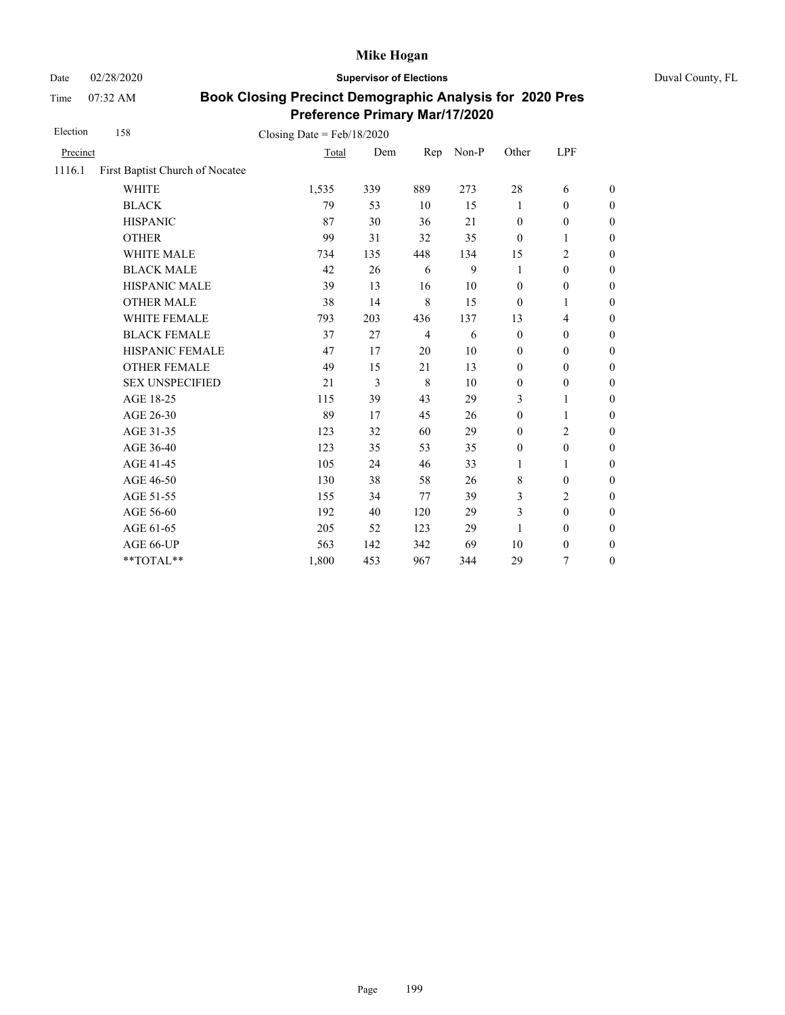Date 02/28/2020 **Supervisor of Elections** Duval County, FL

Time 07:32 AM

| Election | 158                             | Closing Date = $Feb/18/2020$ |     |                |       |                  |                  |                  |
|----------|---------------------------------|------------------------------|-----|----------------|-------|------------------|------------------|------------------|
| Precinct |                                 | Total                        | Dem | Rep            | Non-P | Other            | LPF              |                  |
| 1116.1   | First Baptist Church of Nocatee |                              |     |                |       |                  |                  |                  |
|          | <b>WHITE</b>                    | 1,535                        | 339 | 889            | 273   | 28               | 6                | $\overline{0}$   |
|          | <b>BLACK</b>                    | 79                           | 53  | 10             | 15    | 1                | $\mathbf{0}$     | $\boldsymbol{0}$ |
|          | <b>HISPANIC</b>                 | 87                           | 30  | 36             | 21    | $\boldsymbol{0}$ | $\boldsymbol{0}$ | $\boldsymbol{0}$ |
|          | <b>OTHER</b>                    | 99                           | 31  | 32             | 35    | $\boldsymbol{0}$ | 1                | $\boldsymbol{0}$ |
|          | WHITE MALE                      | 734                          | 135 | 448            | 134   | 15               | $\overline{c}$   | $\boldsymbol{0}$ |
|          | <b>BLACK MALE</b>               | 42                           | 26  | 6              | 9     | 1                | $\boldsymbol{0}$ | $\boldsymbol{0}$ |
|          | HISPANIC MALE                   | 39                           | 13  | 16             | 10    | $\boldsymbol{0}$ | $\boldsymbol{0}$ | $\overline{0}$   |
|          | <b>OTHER MALE</b>               | 38                           | 14  | 8              | 15    | $\theta$         | 1                | $\boldsymbol{0}$ |
|          | WHITE FEMALE                    | 793                          | 203 | 436            | 137   | 13               | $\overline{4}$   | $\boldsymbol{0}$ |
|          | <b>BLACK FEMALE</b>             | 37                           | 27  | $\overline{4}$ | 6     | $\mathbf{0}$     | $\mathbf{0}$     | $\overline{0}$   |
|          | HISPANIC FEMALE                 | 47                           | 17  | 20             | 10    | $\mathbf{0}$     | $\boldsymbol{0}$ | $\boldsymbol{0}$ |
|          | <b>OTHER FEMALE</b>             | 49                           | 15  | 21             | 13    | $\mathbf{0}$     | $\mathbf{0}$     | $\overline{0}$   |
|          | <b>SEX UNSPECIFIED</b>          | 21                           | 3   | 8              | 10    | $\boldsymbol{0}$ | $\boldsymbol{0}$ | $\boldsymbol{0}$ |
|          | AGE 18-25                       | 115                          | 39  | 43             | 29    | 3                | $\mathbf{1}$     | $\boldsymbol{0}$ |
|          | AGE 26-30                       | 89                           | 17  | 45             | 26    | $\boldsymbol{0}$ | 1                | $\boldsymbol{0}$ |
|          | AGE 31-35                       | 123                          | 32  | 60             | 29    | $\mathbf{0}$     | $\mathbf{2}$     | $\boldsymbol{0}$ |
|          | AGE 36-40                       | 123                          | 35  | 53             | 35    | $\boldsymbol{0}$ | $\boldsymbol{0}$ | $\boldsymbol{0}$ |
|          | AGE 41-45                       | 105                          | 24  | 46             | 33    | $\mathbf{1}$     | 1                | $\boldsymbol{0}$ |
|          | AGE 46-50                       | 130                          | 38  | 58             | 26    | 8                | $\boldsymbol{0}$ | $\boldsymbol{0}$ |
|          | AGE 51-55                       | 155                          | 34  | 77             | 39    | 3                | $\overline{c}$   | $\boldsymbol{0}$ |
|          | AGE 56-60                       | 192                          | 40  | 120            | 29    | 3                | $\mathbf{0}$     | $\overline{0}$   |
|          | AGE 61-65                       | 205                          | 52  | 123            | 29    | 1                | $\mathbf{0}$     | $\boldsymbol{0}$ |
|          | AGE 66-UP                       | 563                          | 142 | 342            | 69    | 10               | $\boldsymbol{0}$ | $\boldsymbol{0}$ |
|          | **TOTAL**                       | 1,800                        | 453 | 967            | 344   | 29               | 7                | $\boldsymbol{0}$ |
|          |                                 |                              |     |                |       |                  |                  |                  |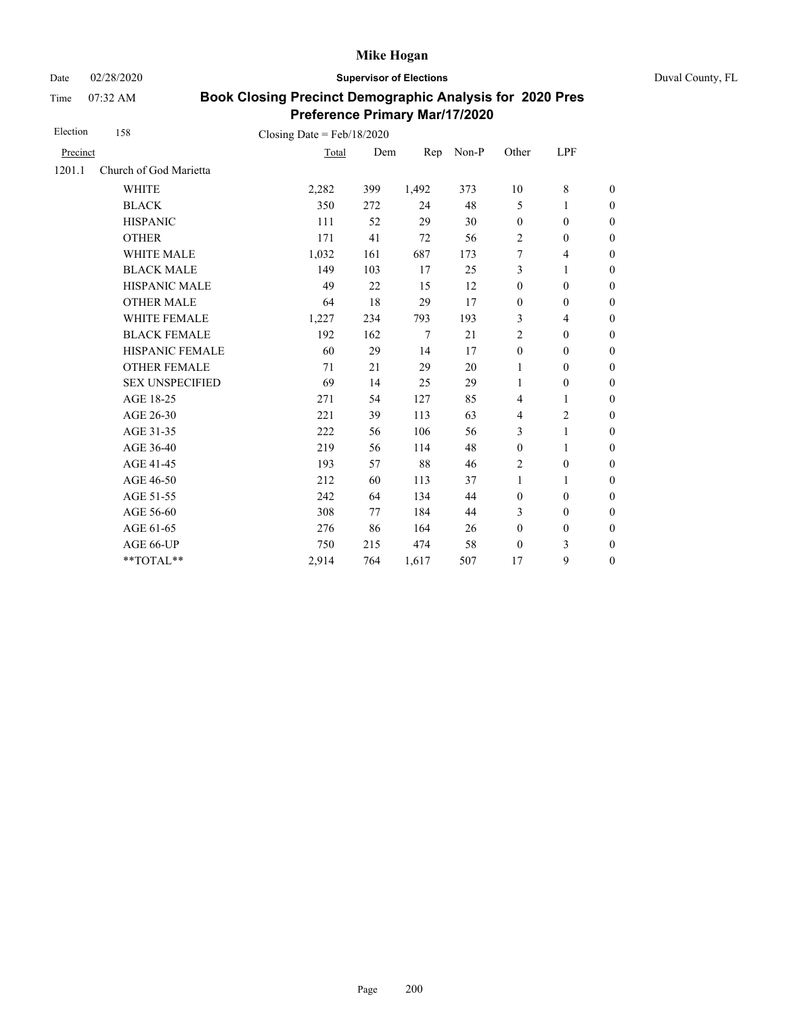Date 02/28/2020 **Supervisor of Elections** Duval County, FL

Time 07:32 AM

| Election | 158                                    | Closing Date = $Feb/18/2020$ |     |                 |       |                  |                  |                  |
|----------|----------------------------------------|------------------------------|-----|-----------------|-------|------------------|------------------|------------------|
| Precinct |                                        | Total                        | Dem | Rep             | Non-P | Other            | LPF              |                  |
| 1201.1   | Church of God Marietta                 |                              |     |                 |       |                  |                  |                  |
|          | <b>WHITE</b>                           | 2,282                        | 399 | 1,492           | 373   | 10               | 8                | $\boldsymbol{0}$ |
|          | <b>BLACK</b>                           | 350                          | 272 | 24              | 48    | 5                | 1                | $\boldsymbol{0}$ |
|          | <b>HISPANIC</b>                        | 111                          | 52  | 29              | 30    | $\boldsymbol{0}$ | $\boldsymbol{0}$ | $\boldsymbol{0}$ |
|          | <b>OTHER</b>                           | 171                          | 41  | 72              | 56    | $\overline{2}$   | $\boldsymbol{0}$ | $\boldsymbol{0}$ |
|          | WHITE MALE                             | 1,032                        | 161 | 687             | 173   | 7                | $\overline{4}$   | $\boldsymbol{0}$ |
|          | <b>BLACK MALE</b>                      | 149                          | 103 | 17              | 25    | 3                | 1                | $\boldsymbol{0}$ |
|          | <b>HISPANIC MALE</b>                   | 49                           | 22  | 15              | 12    | $\boldsymbol{0}$ | $\boldsymbol{0}$ | $\overline{0}$   |
|          | <b>OTHER MALE</b>                      | 64                           | 18  | 29              | 17    | $\boldsymbol{0}$ | $\boldsymbol{0}$ | $\mathbf{0}$     |
|          | WHITE FEMALE                           | 1,227                        | 234 | 793             | 193   | 3                | 4                | $\boldsymbol{0}$ |
|          | <b>BLACK FEMALE</b>                    | 192                          | 162 | $7\phantom{.0}$ | 21    | $\overline{c}$   | $\mathbf{0}$     | $\mathbf{0}$     |
|          | HISPANIC FEMALE                        | 60                           | 29  | 14              | 17    | $\boldsymbol{0}$ | $\boldsymbol{0}$ | $\mathbf{0}$     |
|          | <b>OTHER FEMALE</b>                    | 71                           | 21  | 29              | 20    | 1                | $\mathbf{0}$     | $\boldsymbol{0}$ |
|          | <b>SEX UNSPECIFIED</b>                 | 69                           | 14  | 25              | 29    | 1                | $\mathbf{0}$     | $\mathbf{0}$     |
|          | AGE 18-25                              | 271                          | 54  | 127             | 85    | $\overline{4}$   | 1                | $\mathbf{0}$     |
|          | AGE 26-30                              | 221                          | 39  | 113             | 63    | $\overline{4}$   | 2                | $\boldsymbol{0}$ |
|          | AGE 31-35                              | 222                          | 56  | 106             | 56    | 3                | 1                | $\boldsymbol{0}$ |
|          | AGE 36-40                              | 219                          | 56  | 114             | 48    | $\boldsymbol{0}$ | 1                | $\boldsymbol{0}$ |
|          | AGE 41-45                              | 193                          | 57  | 88              | 46    | $\overline{2}$   | $\boldsymbol{0}$ | $\overline{0}$   |
|          | AGE 46-50                              | 212                          | 60  | 113             | 37    | $\mathbf{1}$     | 1                | $\boldsymbol{0}$ |
|          | AGE 51-55                              | 242                          | 64  | 134             | 44    | $\boldsymbol{0}$ | $\mathbf{0}$     | $\boldsymbol{0}$ |
|          | AGE 56-60                              | 308                          | 77  | 184             | 44    | 3                | $\mathbf{0}$     | $\overline{0}$   |
|          | AGE 61-65                              | 276                          | 86  | 164             | 26    | $\boldsymbol{0}$ | $\boldsymbol{0}$ | $\mathbf{0}$     |
|          | AGE 66-UP                              | 750                          | 215 | 474             | 58    | $\mathbf{0}$     | 3                | $\boldsymbol{0}$ |
|          | $\mathrm{*}\mathrm{*} \mathrm{TOTAL}*$ | 2,914                        | 764 | 1,617           | 507   | 17               | 9                | $\boldsymbol{0}$ |
|          |                                        |                              |     |                 |       |                  |                  |                  |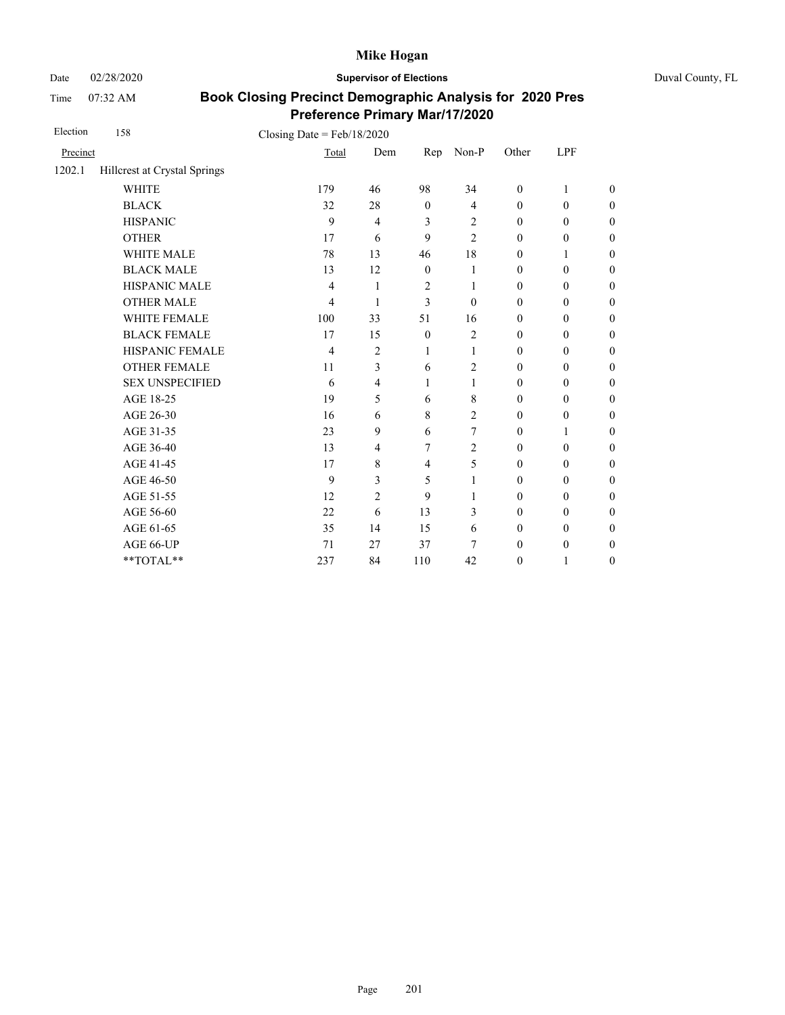Date 02/28/2020 **Supervisor of Elections** Duval County, FL

Time 07:32 AM

| Election | 158                          | Closing Date = $Feb/18/2020$ |                |                  |                |                  |                  |                  |
|----------|------------------------------|------------------------------|----------------|------------------|----------------|------------------|------------------|------------------|
| Precinct |                              | Total                        | Dem            | Rep              | $Non-P$        | Other            | LPF              |                  |
| 1202.1   | Hillcrest at Crystal Springs |                              |                |                  |                |                  |                  |                  |
|          | <b>WHITE</b>                 | 179                          | 46             | 98               | 34             | $\theta$         | 1                | $\overline{0}$   |
|          | <b>BLACK</b>                 | 32                           | 28             | $\mathbf{0}$     | $\overline{4}$ | $\mathbf{0}$     | $\mathbf{0}$     | $\overline{0}$   |
|          | <b>HISPANIC</b>              | 9                            | $\overline{4}$ | 3                | 2              | $\boldsymbol{0}$ | $\boldsymbol{0}$ | $\boldsymbol{0}$ |
|          | <b>OTHER</b>                 | 17                           | 6              | 9                | $\overline{c}$ | $\mathbf{0}$     | $\mathbf{0}$     | $\overline{0}$   |
|          | WHITE MALE                   | 78                           | 13             | 46               | 18             | $\mathbf{0}$     | 1                | $\overline{0}$   |
|          | <b>BLACK MALE</b>            | 13                           | 12             | $\boldsymbol{0}$ | 1              | $\boldsymbol{0}$ | $\boldsymbol{0}$ | $\boldsymbol{0}$ |
|          | HISPANIC MALE                | 4                            | 1              | $\overline{2}$   | 1              | $\boldsymbol{0}$ | $\boldsymbol{0}$ | $\boldsymbol{0}$ |
|          | <b>OTHER MALE</b>            | 4                            | 1              | 3                | $\mathbf{0}$   | $\boldsymbol{0}$ | $\boldsymbol{0}$ | $\boldsymbol{0}$ |
|          | <b>WHITE FEMALE</b>          | 100                          | 33             | 51               | 16             | $\theta$         | $\boldsymbol{0}$ | $\boldsymbol{0}$ |
|          | <b>BLACK FEMALE</b>          | 17                           | 15             | $\boldsymbol{0}$ | $\overline{c}$ | $\boldsymbol{0}$ | $\boldsymbol{0}$ | $\boldsymbol{0}$ |
|          | HISPANIC FEMALE              | 4                            | $\overline{2}$ | 1                | 1              | $\boldsymbol{0}$ | $\boldsymbol{0}$ | $\boldsymbol{0}$ |
|          | <b>OTHER FEMALE</b>          | 11                           | 3              | 6                | $\overline{c}$ | $\theta$         | $\mathbf{0}$     | $\boldsymbol{0}$ |
|          | <b>SEX UNSPECIFIED</b>       | 6                            | 4              | 1                | 1              | $\theta$         | $\mathbf{0}$     | $\boldsymbol{0}$ |
|          | AGE 18-25                    | 19                           | 5              | 6                | 8              | $\boldsymbol{0}$ | $\boldsymbol{0}$ | $\overline{0}$   |
|          | AGE 26-30                    | 16                           | 6              | 8                | 2              | $\theta$         | $\mathbf{0}$     | $\boldsymbol{0}$ |
|          | AGE 31-35                    | 23                           | 9              | 6                | 7              | $\mathbf{0}$     | 1                | $\boldsymbol{0}$ |
|          | AGE 36-40                    | 13                           | 4              | 7                | 2              | $\theta$         | $\mathbf{0}$     | $\boldsymbol{0}$ |
|          | AGE 41-45                    | 17                           | 8              | $\overline{4}$   | 5              | $\theta$         | $\mathbf{0}$     | $\overline{0}$   |
|          | AGE 46-50                    | 9                            | 3              | 5                | 1              | $\mathbf{0}$     | $\mathbf{0}$     | $\boldsymbol{0}$ |
|          | AGE 51-55                    | 12                           | $\overline{2}$ | 9                | 1              | $\theta$         | $\mathbf{0}$     | $\boldsymbol{0}$ |
|          | AGE 56-60                    | 22                           | 6              | 13               | 3              | $\boldsymbol{0}$ | $\boldsymbol{0}$ | $\overline{0}$   |
|          | AGE 61-65                    | 35                           | 14             | 15               | 6              | $\mathbf{0}$     | $\mathbf{0}$     | $\overline{0}$   |
|          | AGE 66-UP                    | 71                           | 27             | 37               | 7              | $\boldsymbol{0}$ | $\boldsymbol{0}$ | $\boldsymbol{0}$ |
|          | **TOTAL**                    | 237                          | 84             | 110              | 42             | $\boldsymbol{0}$ | 1                | $\boldsymbol{0}$ |
|          |                              |                              |                |                  |                |                  |                  |                  |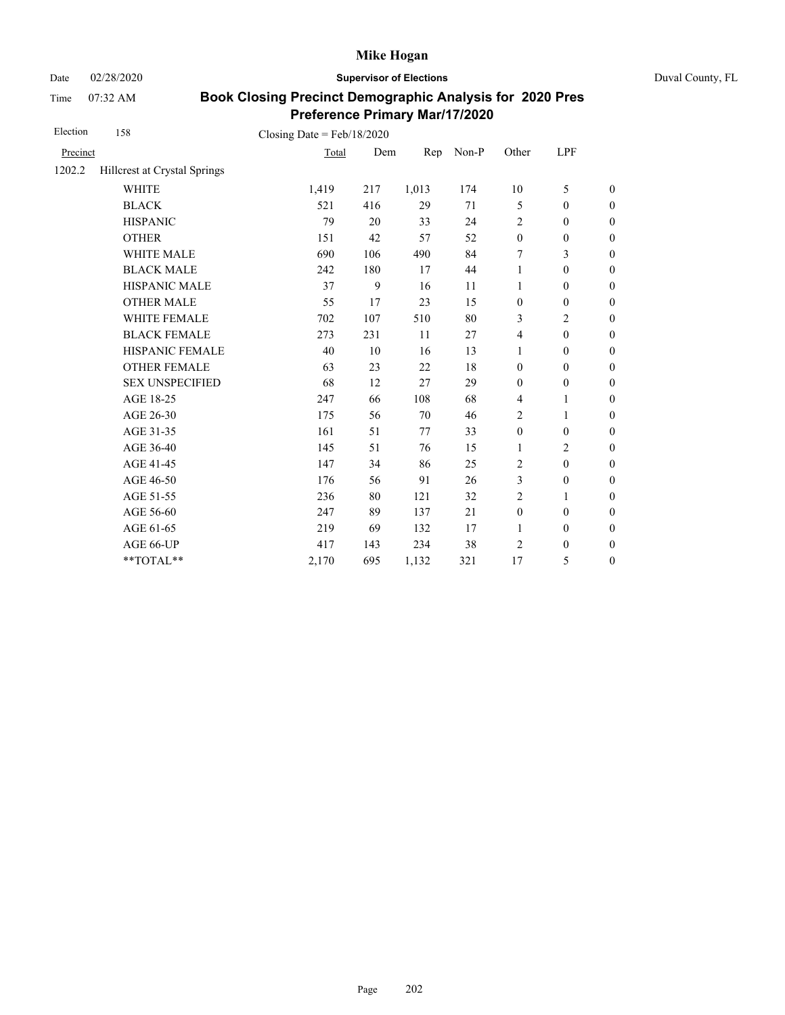Date 02/28/2020 **Supervisor of Elections** Duval County, FL

Time 07:32 AM

| Election | 158                          | Closing Date = $Feb/18/2020$ |     |       |       |                  |                  |                  |
|----------|------------------------------|------------------------------|-----|-------|-------|------------------|------------------|------------------|
| Precinct |                              | Total                        | Dem | Rep   | Non-P | Other            | LPF              |                  |
| 1202.2   | Hillcrest at Crystal Springs |                              |     |       |       |                  |                  |                  |
|          | <b>WHITE</b>                 | 1,419                        | 217 | 1,013 | 174   | 10               | 5                | $\boldsymbol{0}$ |
|          | <b>BLACK</b>                 | 521                          | 416 | 29    | 71    | 5                | $\mathbf{0}$     | $\boldsymbol{0}$ |
|          | <b>HISPANIC</b>              | 79                           | 20  | 33    | 24    | $\overline{2}$   | $\boldsymbol{0}$ | $\boldsymbol{0}$ |
|          | <b>OTHER</b>                 | 151                          | 42  | 57    | 52    | $\boldsymbol{0}$ | $\boldsymbol{0}$ | $\boldsymbol{0}$ |
|          | <b>WHITE MALE</b>            | 690                          | 106 | 490   | 84    | 7                | 3                | $\boldsymbol{0}$ |
|          | <b>BLACK MALE</b>            | 242                          | 180 | 17    | 44    | 1                | $\mathbf{0}$     | $\boldsymbol{0}$ |
|          | <b>HISPANIC MALE</b>         | 37                           | 9   | 16    | 11    | $\mathbf{1}$     | $\boldsymbol{0}$ | $\overline{0}$   |
|          | <b>OTHER MALE</b>            | 55                           | 17  | 23    | 15    | $\boldsymbol{0}$ | $\mathbf{0}$     | $\boldsymbol{0}$ |
|          | WHITE FEMALE                 | 702                          | 107 | 510   | 80    | 3                | $\overline{c}$   | $\boldsymbol{0}$ |
|          | <b>BLACK FEMALE</b>          | 273                          | 231 | 11    | 27    | $\overline{4}$   | $\mathbf{0}$     | $\overline{0}$   |
|          | <b>HISPANIC FEMALE</b>       | 40                           | 10  | 16    | 13    | $\mathbf{1}$     | $\boldsymbol{0}$ | $\boldsymbol{0}$ |
|          | <b>OTHER FEMALE</b>          | 63                           | 23  | 22    | 18    | $\mathbf{0}$     | $\mathbf{0}$     | $\boldsymbol{0}$ |
|          | <b>SEX UNSPECIFIED</b>       | 68                           | 12  | 27    | 29    | $\mathbf{0}$     | $\mathbf{0}$     | $\boldsymbol{0}$ |
|          | AGE 18-25                    | 247                          | 66  | 108   | 68    | 4                | $\mathbf{1}$     | $\boldsymbol{0}$ |
|          | AGE 26-30                    | 175                          | 56  | 70    | 46    | $\overline{c}$   | 1                | $\boldsymbol{0}$ |
|          | AGE 31-35                    | 161                          | 51  | 77    | 33    | $\mathbf{0}$     | $\mathbf{0}$     | $\boldsymbol{0}$ |
|          | AGE 36-40                    | 145                          | 51  | 76    | 15    | $\mathbf{1}$     | $\overline{2}$   | $\boldsymbol{0}$ |
|          | AGE 41-45                    | 147                          | 34  | 86    | 25    | $\overline{2}$   | $\mathbf{0}$     | $\overline{0}$   |
|          | AGE 46-50                    | 176                          | 56  | 91    | 26    | 3                | $\boldsymbol{0}$ | $\boldsymbol{0}$ |
|          | AGE 51-55                    | 236                          | 80  | 121   | 32    | $\overline{2}$   | 1                | $\boldsymbol{0}$ |
|          | AGE 56-60                    | 247                          | 89  | 137   | 21    | $\boldsymbol{0}$ | $\mathbf{0}$     | $\overline{0}$   |
|          | AGE 61-65                    | 219                          | 69  | 132   | 17    | $\mathbf{1}$     | $\boldsymbol{0}$ | $\boldsymbol{0}$ |
|          | AGE 66-UP                    | 417                          | 143 | 234   | 38    | $\overline{2}$   | $\mathbf{0}$     | $\boldsymbol{0}$ |
|          | **TOTAL**                    | 2,170                        | 695 | 1,132 | 321   | 17               | 5                | $\overline{0}$   |
|          |                              |                              |     |       |       |                  |                  |                  |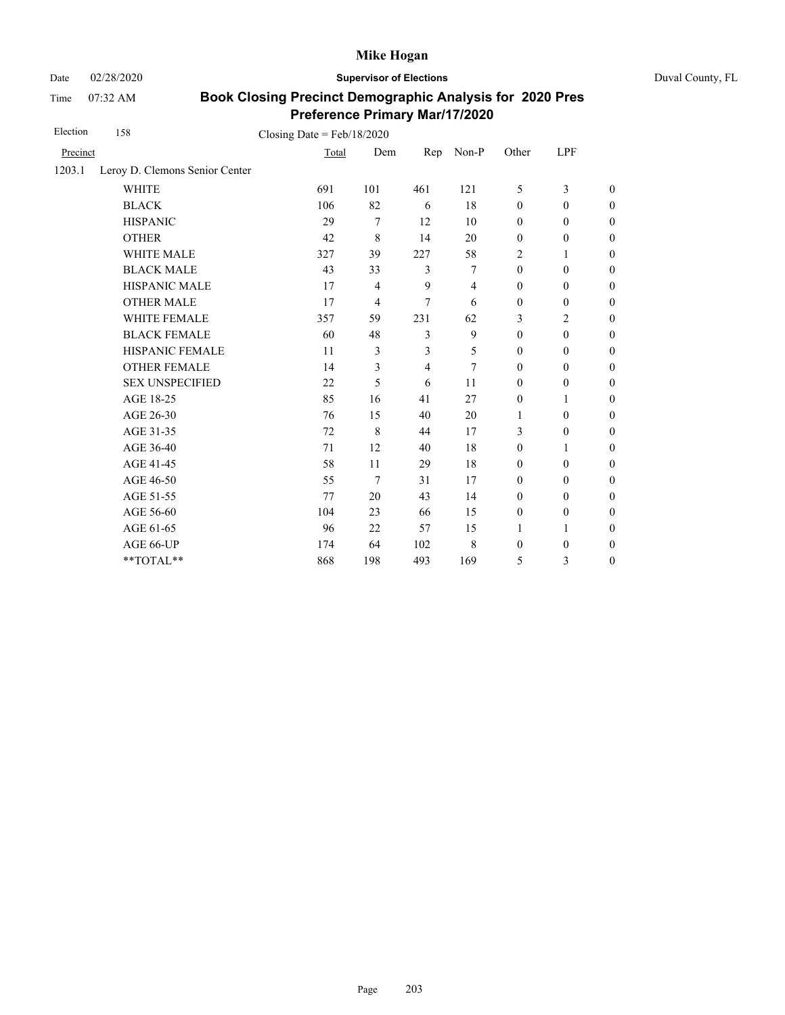Date 02/28/2020 **Supervisor of Elections** Duval County, FL

Time 07:32 AM

| Election | 158                            | Closing Date = $Feb/18/2020$ |                |     |                |                  |                  |                  |
|----------|--------------------------------|------------------------------|----------------|-----|----------------|------------------|------------------|------------------|
| Precinct |                                | Total                        | Dem            | Rep | Non-P          | Other            | LPF              |                  |
| 1203.1   | Leroy D. Clemons Senior Center |                              |                |     |                |                  |                  |                  |
|          | <b>WHITE</b>                   | 691                          | 101            | 461 | 121            | 5                | 3                | $\boldsymbol{0}$ |
|          | <b>BLACK</b>                   | 106                          | 82             | 6   | 18             | $\mathbf{0}$     | $\mathbf{0}$     | $\boldsymbol{0}$ |
|          | <b>HISPANIC</b>                | 29                           | 7              | 12  | 10             | $\boldsymbol{0}$ | $\mathbf{0}$     | $\boldsymbol{0}$ |
|          | <b>OTHER</b>                   | 42                           | 8              | 14  | 20             | $\boldsymbol{0}$ | $\boldsymbol{0}$ | $\boldsymbol{0}$ |
|          | WHITE MALE                     | 327                          | 39             | 227 | 58             | 2                | 1                | $\boldsymbol{0}$ |
|          | <b>BLACK MALE</b>              | 43                           | 33             | 3   | 7              | $\mathbf{0}$     | $\mathbf{0}$     | $\boldsymbol{0}$ |
|          | <b>HISPANIC MALE</b>           | 17                           | 4              | 9   | $\overline{4}$ | $\boldsymbol{0}$ | $\mathbf{0}$     | $\overline{0}$   |
|          | <b>OTHER MALE</b>              | 17                           | $\overline{4}$ | 7   | 6              | $\boldsymbol{0}$ | $\mathbf{0}$     | $\boldsymbol{0}$ |
|          | <b>WHITE FEMALE</b>            | 357                          | 59             | 231 | 62             | 3                | 2                | $\boldsymbol{0}$ |
|          | <b>BLACK FEMALE</b>            | 60                           | 48             | 3   | 9              | $\mathbf{0}$     | $\mathbf{0}$     | $\boldsymbol{0}$ |
|          | HISPANIC FEMALE                | 11                           | 3              | 3   | 5              | $\boldsymbol{0}$ | $\boldsymbol{0}$ | $\boldsymbol{0}$ |
|          | <b>OTHER FEMALE</b>            | 14                           | 3              | 4   | 7              | $\mathbf{0}$     | $\mathbf{0}$     | $\boldsymbol{0}$ |
|          | <b>SEX UNSPECIFIED</b>         | 22                           | 5              | 6   | 11             | $\mathbf{0}$     | $\mathbf{0}$     | $\boldsymbol{0}$ |
|          | AGE 18-25                      | 85                           | 16             | 41  | 27             | $\boldsymbol{0}$ | 1                | $\mathbf{0}$     |
|          | AGE 26-30                      | 76                           | 15             | 40  | 20             | 1                | $\mathbf{0}$     | $\mathbf{0}$     |
|          | AGE 31-35                      | 72                           | 8              | 44  | 17             | 3                | $\boldsymbol{0}$ | $\boldsymbol{0}$ |
|          | AGE 36-40                      | 71                           | 12             | 40  | 18             | $\mathbf{0}$     | 1                | $\boldsymbol{0}$ |
|          | AGE 41-45                      | 58                           | 11             | 29  | 18             | $\mathbf{0}$     | $\mathbf{0}$     | $\overline{0}$   |
|          | AGE 46-50                      | 55                           | 7              | 31  | 17             | $\boldsymbol{0}$ | $\mathbf{0}$     | $\boldsymbol{0}$ |
|          | AGE 51-55                      | 77                           | 20             | 43  | 14             | $\mathbf{0}$     | $\mathbf{0}$     | $\boldsymbol{0}$ |
|          | AGE 56-60                      | 104                          | 23             | 66  | 15             | $\boldsymbol{0}$ | $\mathbf{0}$     | $\overline{0}$   |
|          | AGE 61-65                      | 96                           | 22             | 57  | 15             | 1                | 1                | $\mathbf{0}$     |
|          | AGE 66-UP                      | 174                          | 64             | 102 | 8              | $\boldsymbol{0}$ | $\boldsymbol{0}$ | $\boldsymbol{0}$ |
|          | **TOTAL**                      | 868                          | 198            | 493 | 169            | 5                | 3                | $\boldsymbol{0}$ |
|          |                                |                              |                |     |                |                  |                  |                  |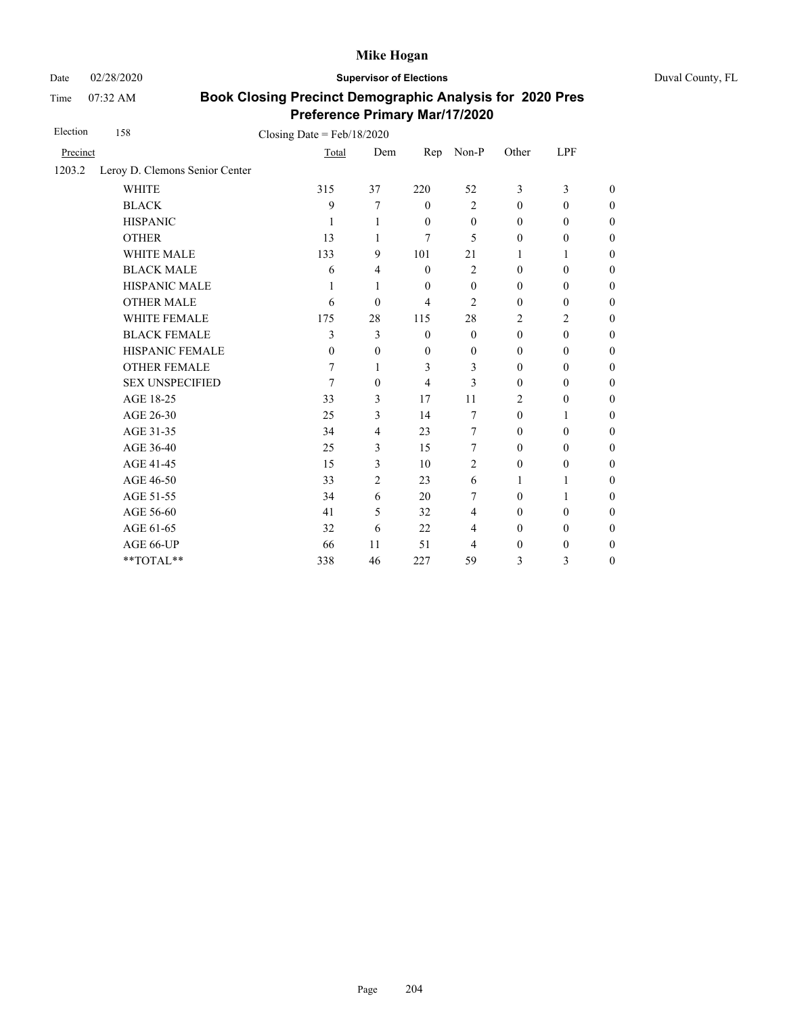Time 07:32 AM

Date 02/28/2020 **Supervisor of Elections** Duval County, FL

| Election | 158                            | Closing Date = $Feb/18/2020$ |                  |                |                  |                  |                  |                  |
|----------|--------------------------------|------------------------------|------------------|----------------|------------------|------------------|------------------|------------------|
| Precinct |                                | Total                        | Dem              | Rep            | Non-P            | Other            | LPF              |                  |
| 1203.2   | Leroy D. Clemons Senior Center |                              |                  |                |                  |                  |                  |                  |
|          | <b>WHITE</b>                   | 315                          | 37               | 220            | 52               | 3                | 3                | $\theta$         |
|          | <b>BLACK</b>                   | 9                            | 7                | $\mathbf{0}$   | $\overline{2}$   | $\mathbf{0}$     | $\mathbf{0}$     | $\boldsymbol{0}$ |
|          | <b>HISPANIC</b>                | 1                            | 1                | $\mathbf{0}$   | $\theta$         | $\mathbf{0}$     | $\mathbf{0}$     | $\boldsymbol{0}$ |
|          | <b>OTHER</b>                   | 13                           | 1                | 7              | 5                | $\mathbf{0}$     | $\mathbf{0}$     | $\overline{0}$   |
|          | <b>WHITE MALE</b>              | 133                          | 9                | 101            | 21               | 1                | 1                | $\boldsymbol{0}$ |
|          | <b>BLACK MALE</b>              | 6                            | 4                | $\mathbf{0}$   | $\overline{2}$   | $\mathbf{0}$     | $\boldsymbol{0}$ | $\boldsymbol{0}$ |
|          | HISPANIC MALE                  | 1                            | 1                | $\mathbf{0}$   | $\theta$         | $\mathbf{0}$     | $\mathbf{0}$     | $\overline{0}$   |
|          | <b>OTHER MALE</b>              | 6                            | $\theta$         | $\overline{4}$ | $\overline{c}$   | $\mathbf{0}$     | $\boldsymbol{0}$ | $\boldsymbol{0}$ |
|          | WHITE FEMALE                   | 175                          | 28               | 115            | 28               | 2                | $\overline{2}$   | $\overline{0}$   |
|          | <b>BLACK FEMALE</b>            | 3                            | 3                | $\mathbf{0}$   | $\overline{0}$   | $\mathbf{0}$     | $\mathbf{0}$     | $\overline{0}$   |
|          | HISPANIC FEMALE                | $\theta$                     | $\boldsymbol{0}$ | $\mathbf{0}$   | $\boldsymbol{0}$ | $\boldsymbol{0}$ | $\boldsymbol{0}$ | $\boldsymbol{0}$ |
|          | <b>OTHER FEMALE</b>            | 7                            | 1                | 3              | 3                | $\mathbf{0}$     | $\mathbf{0}$     | $\boldsymbol{0}$ |
|          | <b>SEX UNSPECIFIED</b>         | 7                            | $\mathbf{0}$     | $\overline{4}$ | 3                | $\mathbf{0}$     | $\mathbf{0}$     | $\boldsymbol{0}$ |
|          | AGE 18-25                      | 33                           | 3                | 17             | 11               | $\overline{2}$   | $\mathbf{0}$     | $\overline{0}$   |
|          | AGE 26-30                      | 25                           | $\overline{3}$   | 14             | 7                | $\mathbf{0}$     | 1                | $\overline{0}$   |
|          | AGE 31-35                      | 34                           | $\overline{4}$   | 23             | 7                | $\boldsymbol{0}$ | $\boldsymbol{0}$ | $\boldsymbol{0}$ |
|          | AGE 36-40                      | 25                           | $\overline{3}$   | 15             | 7                | $\mathbf{0}$     | $\mathbf{0}$     | $\boldsymbol{0}$ |
|          | AGE 41-45                      | 15                           | $\overline{3}$   | 10             | $\overline{c}$   | $\theta$         | $\boldsymbol{0}$ | $\overline{0}$   |
|          | AGE 46-50                      | 33                           | 2                | 23             | 6                | 1                | 1                | $\theta$         |
|          | AGE 51-55                      | 34                           | 6                | 20             | 7                | $\mathbf{0}$     | 1                | $\boldsymbol{0}$ |
|          | AGE 56-60                      | 41                           | 5                | 32             | 4                | $\boldsymbol{0}$ | $\boldsymbol{0}$ | $\boldsymbol{0}$ |
|          | AGE 61-65                      | 32                           | 6                | 22             | 4                | $\boldsymbol{0}$ | $\boldsymbol{0}$ | $\boldsymbol{0}$ |
|          | AGE 66-UP                      | 66                           | 11               | 51             | 4                | $\boldsymbol{0}$ | $\boldsymbol{0}$ | $\boldsymbol{0}$ |
|          | **TOTAL**                      | 338                          | 46               | 227            | 59               | 3                | 3                | $\overline{0}$   |
|          |                                |                              |                  |                |                  |                  |                  |                  |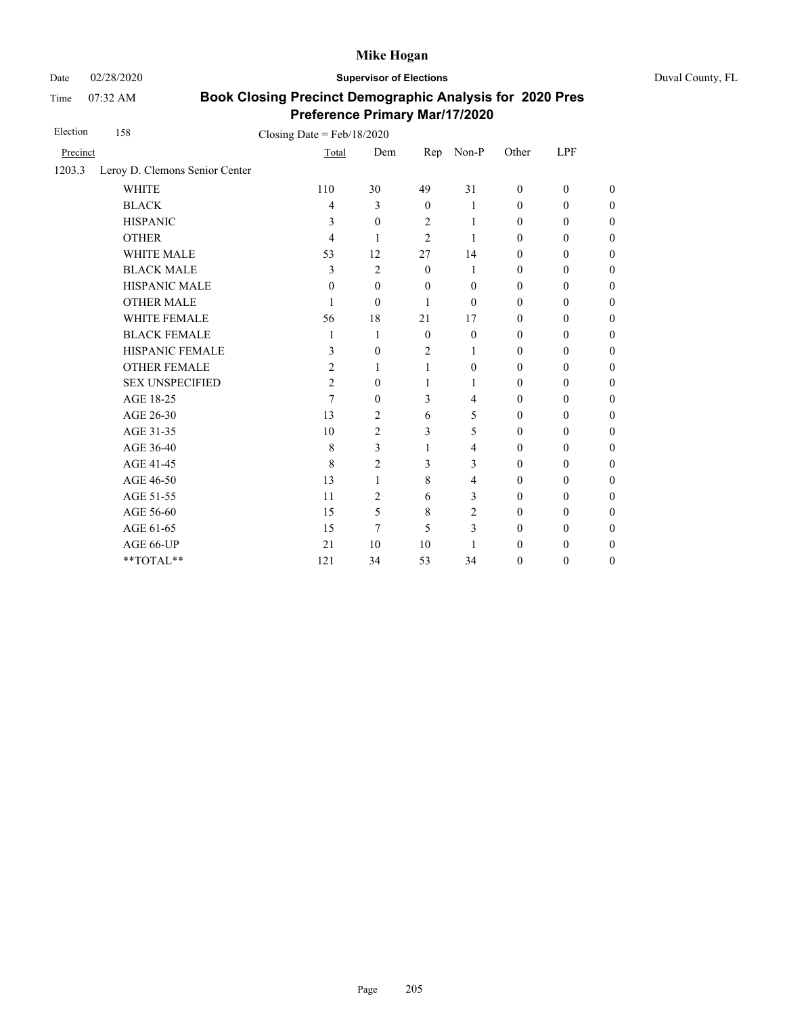Date 02/28/2020 **Supervisor of Elections** Duval County, FL

Time 07:32 AM

| Election | 158                            | Closing Date = $Feb/18/2020$ |                |                |                |                  |                  |                  |
|----------|--------------------------------|------------------------------|----------------|----------------|----------------|------------------|------------------|------------------|
| Precinct |                                | Total                        | Dem            | Rep            | Non-P          | Other            | LPF              |                  |
| 1203.3   | Leroy D. Clemons Senior Center |                              |                |                |                |                  |                  |                  |
|          | <b>WHITE</b>                   | 110                          | 30             | 49             | 31             | $\mathbf{0}$     | $\boldsymbol{0}$ | $\boldsymbol{0}$ |
|          | <b>BLACK</b>                   | 4                            | 3              | $\mathbf{0}$   | 1              | $\boldsymbol{0}$ | $\boldsymbol{0}$ | $\boldsymbol{0}$ |
|          | <b>HISPANIC</b>                | 3                            | $\theta$       | $\overline{2}$ | 1              | $\mathbf{0}$     | $\mathbf{0}$     | $\boldsymbol{0}$ |
|          | <b>OTHER</b>                   | 4                            | 1              | $\overline{2}$ | 1              | $\mathbf{0}$     | $\mathbf{0}$     | $\overline{0}$   |
|          | <b>WHITE MALE</b>              | 53                           | 12             | 27             | 14             | $\mathbf{0}$     | $\mathbf{0}$     | $\boldsymbol{0}$ |
|          | <b>BLACK MALE</b>              | 3                            | 2              | $\mathbf{0}$   | 1              | $\mathbf{0}$     | $\mathbf{0}$     | $\boldsymbol{0}$ |
|          | <b>HISPANIC MALE</b>           | $\theta$                     | $\mathbf{0}$   | $\theta$       | $\mathbf{0}$   | $\mathbf{0}$     | $\mathbf{0}$     | $\overline{0}$   |
|          | <b>OTHER MALE</b>              | 1                            | $\theta$       | 1              | $\theta$       | $\boldsymbol{0}$ | $\boldsymbol{0}$ | $\boldsymbol{0}$ |
|          | WHITE FEMALE                   | 56                           | 18             | 21             | 17             | $\mathbf{0}$     | $\boldsymbol{0}$ | $\boldsymbol{0}$ |
|          | <b>BLACK FEMALE</b>            | 1                            | 1              | $\mathbf{0}$   | $\mathbf{0}$   | $\mathbf{0}$     | $\boldsymbol{0}$ | $\boldsymbol{0}$ |
|          | HISPANIC FEMALE                | 3                            | $\mathbf{0}$   | $\overline{2}$ | 1              | $\mathbf{0}$     | $\boldsymbol{0}$ | $\boldsymbol{0}$ |
|          | <b>OTHER FEMALE</b>            | 2                            | 1              | 1              | $\Omega$       | $\mathbf{0}$     | $\mathbf{0}$     | $\boldsymbol{0}$ |
|          | <b>SEX UNSPECIFIED</b>         | $\overline{c}$               | $\mathbf{0}$   | $\mathbf{1}$   | 1              | $\mathbf{0}$     | $\mathbf{0}$     | $\boldsymbol{0}$ |
|          | AGE 18-25                      | 7                            | $\mathbf{0}$   | 3              | 4              | $\boldsymbol{0}$ | $\boldsymbol{0}$ | $\boldsymbol{0}$ |
|          | AGE 26-30                      | 13                           | 2              | 6              | 5              | $\boldsymbol{0}$ | $\boldsymbol{0}$ | $\boldsymbol{0}$ |
|          | AGE 31-35                      | 10                           | 2              | 3              | 5              | $\mathbf{0}$     | $\boldsymbol{0}$ | $\boldsymbol{0}$ |
|          | AGE 36-40                      | 8                            | 3              | 1              | 4              | $\mathbf{0}$     | $\mathbf{0}$     | $\boldsymbol{0}$ |
|          | AGE 41-45                      | 8                            | $\overline{2}$ | 3              | 3              | $\mathbf{0}$     | $\mathbf{0}$     | $\theta$         |
|          | AGE 46-50                      | 13                           | 1              | 8              | 4              | $\mathbf{0}$     | $\mathbf{0}$     | $\boldsymbol{0}$ |
|          | AGE 51-55                      | 11                           | 2              | 6              | 3              | $\mathbf{0}$     | $\mathbf{0}$     | $\boldsymbol{0}$ |
|          | AGE 56-60                      | 15                           | 5              | 8              | $\overline{c}$ | $\boldsymbol{0}$ | $\boldsymbol{0}$ | $\boldsymbol{0}$ |
|          | AGE 61-65                      | 15                           | 7              | 5              | 3              | $\boldsymbol{0}$ | $\boldsymbol{0}$ | $\boldsymbol{0}$ |
|          | AGE 66-UP                      | 21                           | 10             | 10             | 1              | $\mathbf{0}$     | $\boldsymbol{0}$ | $\boldsymbol{0}$ |
|          | **TOTAL**                      | 121                          | 34             | 53             | 34             | $\mathbf{0}$     | $\boldsymbol{0}$ | $\boldsymbol{0}$ |
|          |                                |                              |                |                |                |                  |                  |                  |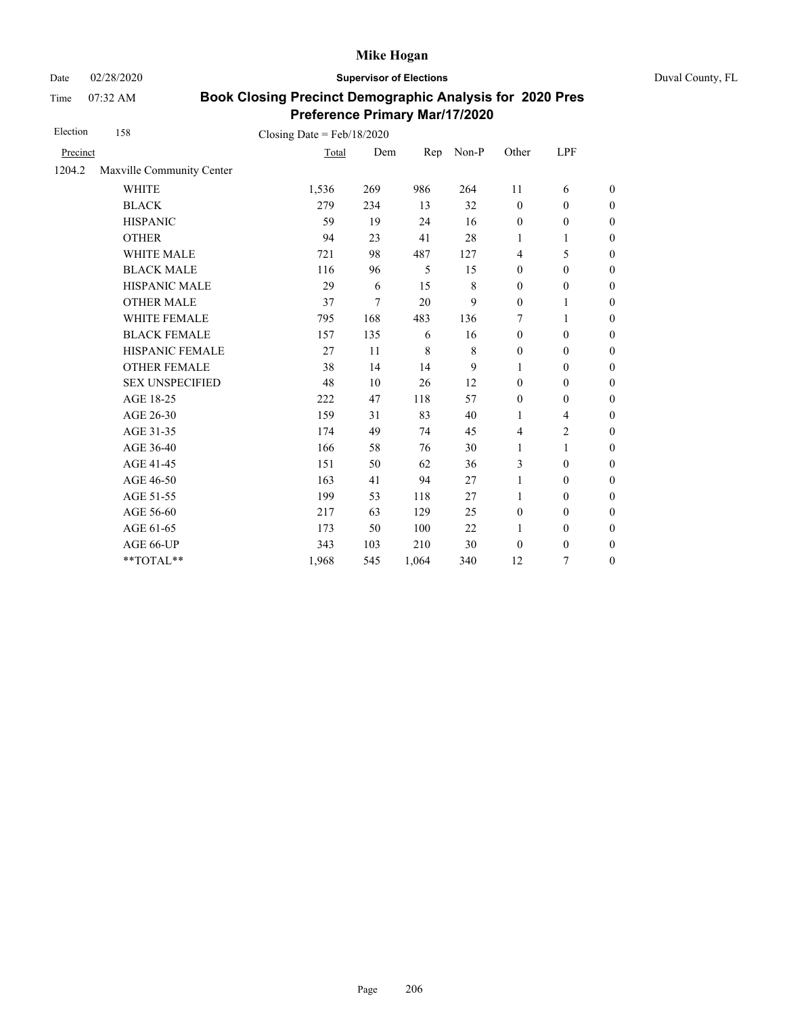Date 02/28/2020 **Supervisor of Elections** Duval County, FL

Time 07:32 AM

| Election | 158                       | Closing Date = $Feb/18/2020$ |        |         |             |                  |                          |                  |
|----------|---------------------------|------------------------------|--------|---------|-------------|------------------|--------------------------|------------------|
| Precinct |                           | Total                        | Dem    | Rep     | Non-P       | Other            | LPF                      |                  |
| 1204.2   | Maxville Community Center |                              |        |         |             |                  |                          |                  |
|          | <b>WHITE</b>              | 1,536                        | 269    | 986     | 264         | 11               | 6                        | $\boldsymbol{0}$ |
|          | <b>BLACK</b>              | 279                          | 234    | 13      | 32          | $\mathbf{0}$     | $\mathbf{0}$             | $\boldsymbol{0}$ |
|          | <b>HISPANIC</b>           | 59                           | 19     | 24      | 16          | $\boldsymbol{0}$ | $\boldsymbol{0}$         | $\boldsymbol{0}$ |
|          | <b>OTHER</b>              | 94                           | 23     | 41      | 28          | 1                | 1                        | $\boldsymbol{0}$ |
|          | WHITE MALE                | 721                          | 98     | 487     | 127         | $\overline{4}$   | 5                        | $\boldsymbol{0}$ |
|          | <b>BLACK MALE</b>         | 116                          | 96     | 5       | 15          | $\boldsymbol{0}$ | $\boldsymbol{0}$         | $\boldsymbol{0}$ |
|          | HISPANIC MALE             | 29                           | 6      | 15      | 8           | $\boldsymbol{0}$ | $\boldsymbol{0}$         | $\overline{0}$   |
|          | <b>OTHER MALE</b>         | 37                           | $\tau$ | 20      | 9           | $\boldsymbol{0}$ | 1                        | $\boldsymbol{0}$ |
|          | WHITE FEMALE              | 795                          | 168    | 483     | 136         | 7                | 1                        | $\boldsymbol{0}$ |
|          | <b>BLACK FEMALE</b>       | 157                          | 135    | 6       | 16          | $\mathbf{0}$     | $\mathbf{0}$             | $\overline{0}$   |
|          | HISPANIC FEMALE           | 27                           | 11     | $\,8\,$ | $\,$ 8 $\,$ | $\boldsymbol{0}$ | $\boldsymbol{0}$         | $\boldsymbol{0}$ |
|          | <b>OTHER FEMALE</b>       | 38                           | 14     | 14      | 9           | 1                | $\mathbf{0}$             | $\boldsymbol{0}$ |
|          | <b>SEX UNSPECIFIED</b>    | 48                           | 10     | 26      | 12          | $\boldsymbol{0}$ | $\boldsymbol{0}$         | $\boldsymbol{0}$ |
|          | AGE 18-25                 | 222                          | 47     | 118     | 57          | $\mathbf{0}$     | $\boldsymbol{0}$         | $\overline{0}$   |
|          | AGE 26-30                 | 159                          | 31     | 83      | 40          | $\mathbf{1}$     | $\overline{\mathcal{L}}$ | $\overline{0}$   |
|          | AGE 31-35                 | 174                          | 49     | 74      | 45          | $\overline{4}$   | $\overline{c}$           | $\boldsymbol{0}$ |
|          | AGE 36-40                 | 166                          | 58     | 76      | 30          | $\mathbf{1}$     | 1                        | $\boldsymbol{0}$ |
|          | AGE 41-45                 | 151                          | 50     | 62      | 36          | 3                | $\mathbf{0}$             | $\overline{0}$   |
|          | AGE 46-50                 | 163                          | 41     | 94      | 27          | $\mathbf{1}$     | $\mathbf{0}$             | $\boldsymbol{0}$ |
|          | AGE 51-55                 | 199                          | 53     | 118     | 27          | $\mathbf{1}$     | $\mathbf{0}$             | $\boldsymbol{0}$ |
|          | AGE 56-60                 | 217                          | 63     | 129     | 25          | $\mathbf{0}$     | $\mathbf{0}$             | $\overline{0}$   |
|          | AGE 61-65                 | 173                          | 50     | 100     | 22          | $\mathbf{1}$     | $\boldsymbol{0}$         | $\overline{0}$   |
|          | AGE 66-UP                 | 343                          | 103    | 210     | 30          | $\mathbf{0}$     | $\boldsymbol{0}$         | $\boldsymbol{0}$ |
|          | $**TOTAL**$               | 1,968                        | 545    | 1,064   | 340         | 12               | 7                        | $\boldsymbol{0}$ |
|          |                           |                              |        |         |             |                  |                          |                  |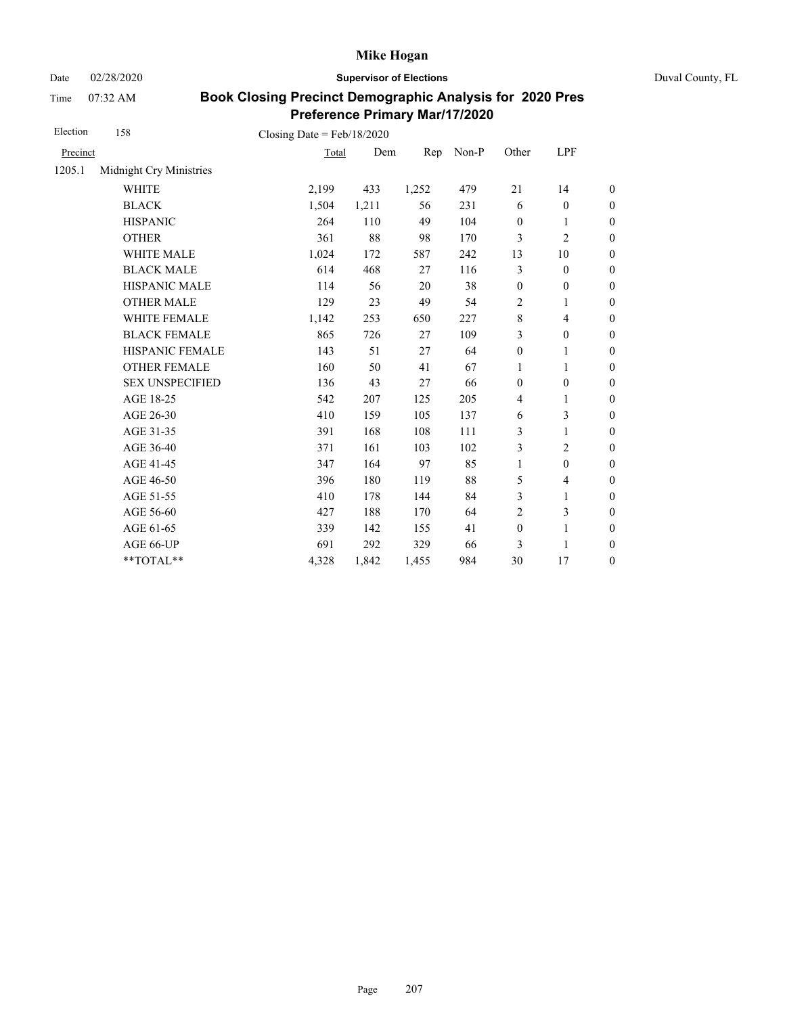Date 02/28/2020 **Supervisor of Elections** Duval County, FL

Time 07:32 AM

| Election | 158                     | Closing Date = $Feb/18/2020$ |       |       |       |                  |                          |                  |
|----------|-------------------------|------------------------------|-------|-------|-------|------------------|--------------------------|------------------|
| Precinct |                         | Total                        | Dem   | Rep   | Non-P | Other            | LPF                      |                  |
| 1205.1   | Midnight Cry Ministries |                              |       |       |       |                  |                          |                  |
|          | <b>WHITE</b>            | 2,199                        | 433   | 1,252 | 479   | 21               | 14                       | $\boldsymbol{0}$ |
|          | <b>BLACK</b>            | 1,504                        | 1,211 | 56    | 231   | 6                | $\boldsymbol{0}$         | $\boldsymbol{0}$ |
|          | <b>HISPANIC</b>         | 264                          | 110   | 49    | 104   | $\boldsymbol{0}$ | $\mathbf{1}$             | $\boldsymbol{0}$ |
|          | <b>OTHER</b>            | 361                          | 88    | 98    | 170   | 3                | $\overline{c}$           | $\overline{0}$   |
|          | WHITE MALE              | 1,024                        | 172   | 587   | 242   | 13               | 10                       | $\boldsymbol{0}$ |
|          | <b>BLACK MALE</b>       | 614                          | 468   | 27    | 116   | 3                | $\mathbf{0}$             | $\boldsymbol{0}$ |
|          | <b>HISPANIC MALE</b>    | 114                          | 56    | 20    | 38    | $\boldsymbol{0}$ | $\boldsymbol{0}$         | $\boldsymbol{0}$ |
|          | <b>OTHER MALE</b>       | 129                          | 23    | 49    | 54    | $\overline{2}$   | 1                        | $\boldsymbol{0}$ |
|          | WHITE FEMALE            | 1,142                        | 253   | 650   | 227   | $\,8\,$          | 4                        | $\boldsymbol{0}$ |
|          | <b>BLACK FEMALE</b>     | 865                          | 726   | 27    | 109   | 3                | $\boldsymbol{0}$         | $\boldsymbol{0}$ |
|          | HISPANIC FEMALE         | 143                          | 51    | 27    | 64    | $\boldsymbol{0}$ | 1                        | $\overline{0}$   |
|          | <b>OTHER FEMALE</b>     | 160                          | 50    | 41    | 67    | $\mathbf{1}$     | 1                        | $\overline{0}$   |
|          | <b>SEX UNSPECIFIED</b>  | 136                          | 43    | 27    | 66    | $\boldsymbol{0}$ | $\boldsymbol{0}$         | $\boldsymbol{0}$ |
|          | AGE 18-25               | 542                          | 207   | 125   | 205   | $\overline{4}$   | 1                        | $\boldsymbol{0}$ |
|          | AGE 26-30               | 410                          | 159   | 105   | 137   | 6                | 3                        | $\overline{0}$   |
|          | AGE 31-35               | 391                          | 168   | 108   | 111   | 3                | 1                        | $\boldsymbol{0}$ |
|          | AGE 36-40               | 371                          | 161   | 103   | 102   | 3                | $\overline{c}$           | $\boldsymbol{0}$ |
|          | AGE 41-45               | 347                          | 164   | 97    | 85    | $\mathbf{1}$     | $\boldsymbol{0}$         | $\boldsymbol{0}$ |
|          | AGE 46-50               | 396                          | 180   | 119   | 88    | 5                | $\overline{\mathcal{L}}$ | $\boldsymbol{0}$ |
|          | AGE 51-55               | 410                          | 178   | 144   | 84    | 3                | 1                        | $\boldsymbol{0}$ |
|          | AGE 56-60               | 427                          | 188   | 170   | 64    | $\overline{2}$   | 3                        | $\boldsymbol{0}$ |
|          | AGE 61-65               | 339                          | 142   | 155   | 41    | $\boldsymbol{0}$ | $\mathbf{1}$             | $\boldsymbol{0}$ |
|          | AGE 66-UP               | 691                          | 292   | 329   | 66    | 3                | $\mathbf{1}$             | $\boldsymbol{0}$ |
|          | **TOTAL**               | 4,328                        | 1,842 | 1,455 | 984   | 30               | 17                       | $\boldsymbol{0}$ |
|          |                         |                              |       |       |       |                  |                          |                  |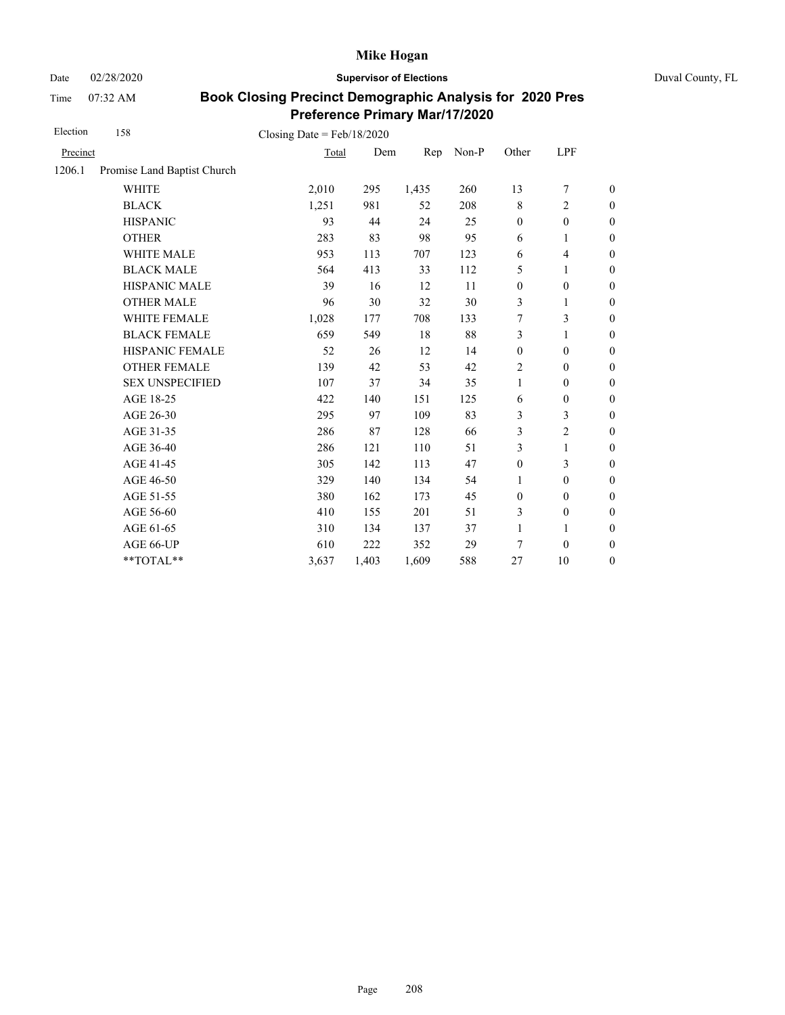Date 02/28/2020 **Supervisor of Elections** Duval County, FL

Time 07:32 AM

| Election | 158                         | Closing Date = $Feb/18/2020$ |       |       |       |                  |                  |                  |
|----------|-----------------------------|------------------------------|-------|-------|-------|------------------|------------------|------------------|
| Precinct |                             | Total                        | Dem   | Rep   | Non-P | Other            | LPF              |                  |
| 1206.1   | Promise Land Baptist Church |                              |       |       |       |                  |                  |                  |
|          | <b>WHITE</b>                | 2,010                        | 295   | 1,435 | 260   | 13               | 7                | $\boldsymbol{0}$ |
|          | <b>BLACK</b>                | 1,251                        | 981   | 52    | 208   | 8                | $\overline{2}$   | $\boldsymbol{0}$ |
|          | <b>HISPANIC</b>             | 93                           | 44    | 24    | 25    | $\boldsymbol{0}$ | $\boldsymbol{0}$ | $\boldsymbol{0}$ |
|          | <b>OTHER</b>                | 283                          | 83    | 98    | 95    | 6                | 1                | $\mathbf{0}$     |
|          | <b>WHITE MALE</b>           | 953                          | 113   | 707   | 123   | 6                | $\overline{4}$   | $\boldsymbol{0}$ |
|          | <b>BLACK MALE</b>           | 564                          | 413   | 33    | 112   | 5                | 1                | $\boldsymbol{0}$ |
|          | HISPANIC MALE               | 39                           | 16    | 12    | 11    | $\boldsymbol{0}$ | $\mathbf{0}$     | $\overline{0}$   |
|          | <b>OTHER MALE</b>           | 96                           | 30    | 32    | 30    | 3                | 1                | $\boldsymbol{0}$ |
|          | WHITE FEMALE                | 1,028                        | 177   | 708   | 133   | 7                | 3                | $\boldsymbol{0}$ |
|          | <b>BLACK FEMALE</b>         | 659                          | 549   | 18    | 88    | 3                | 1                | $\boldsymbol{0}$ |
|          | HISPANIC FEMALE             | 52                           | 26    | 12    | 14    | $\boldsymbol{0}$ | $\boldsymbol{0}$ | $\boldsymbol{0}$ |
|          | <b>OTHER FEMALE</b>         | 139                          | 42    | 53    | 42    | 2                | $\mathbf{0}$     | $\boldsymbol{0}$ |
|          | <b>SEX UNSPECIFIED</b>      | 107                          | 37    | 34    | 35    | 1                | $\mathbf{0}$     | $\boldsymbol{0}$ |
|          | AGE 18-25                   | 422                          | 140   | 151   | 125   | 6                | $\boldsymbol{0}$ | $\boldsymbol{0}$ |
|          | AGE 26-30                   | 295                          | 97    | 109   | 83    | 3                | 3                | $\overline{0}$   |
|          | AGE 31-35                   | 286                          | 87    | 128   | 66    | 3                | $\overline{2}$   | $\boldsymbol{0}$ |
|          | AGE 36-40                   | 286                          | 121   | 110   | 51    | 3                | $\mathbf{1}$     | $\boldsymbol{0}$ |
|          | AGE 41-45                   | 305                          | 142   | 113   | 47    | $\boldsymbol{0}$ | 3                | $\boldsymbol{0}$ |
|          | AGE 46-50                   | 329                          | 140   | 134   | 54    | 1                | $\boldsymbol{0}$ | $\boldsymbol{0}$ |
|          | AGE 51-55                   | 380                          | 162   | 173   | 45    | $\boldsymbol{0}$ | $\mathbf{0}$     | $\boldsymbol{0}$ |
|          | AGE 56-60                   | 410                          | 155   | 201   | 51    | 3                | $\boldsymbol{0}$ | $\overline{0}$   |
|          | AGE 61-65                   | 310                          | 134   | 137   | 37    | $\mathbf{1}$     | 1                | $\boldsymbol{0}$ |
|          | AGE 66-UP                   | 610                          | 222   | 352   | 29    | 7                | $\theta$         | $\boldsymbol{0}$ |
|          | **TOTAL**                   | 3,637                        | 1,403 | 1,609 | 588   | 27               | 10               | $\boldsymbol{0}$ |
|          |                             |                              |       |       |       |                  |                  |                  |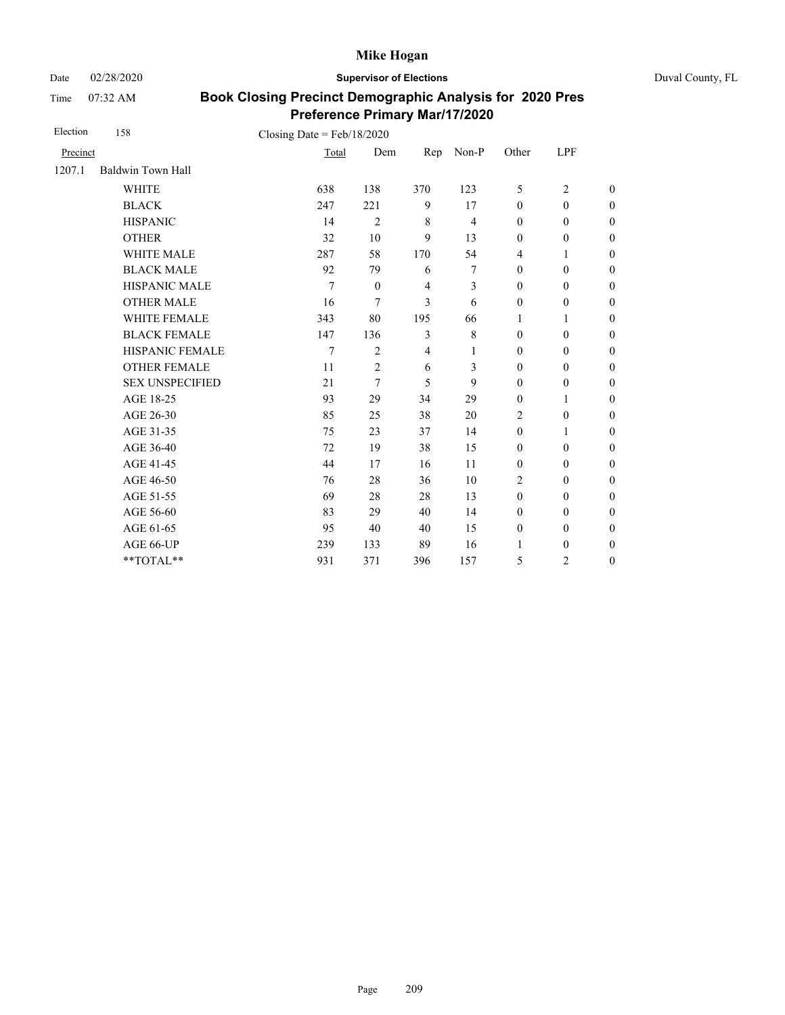Date 02/28/2020 **Supervisor of Elections** Duval County, FL

Time 07:32 AM

| Election | 158                    | Closing Date = $Feb/18/2020$ |                  |                |                |                  |                  |                  |
|----------|------------------------|------------------------------|------------------|----------------|----------------|------------------|------------------|------------------|
| Precinct |                        | Total                        | Dem              | Rep            | Non-P          | Other            | LPF              |                  |
| 1207.1   | Baldwin Town Hall      |                              |                  |                |                |                  |                  |                  |
|          | <b>WHITE</b>           | 638                          | 138              | 370            | 123            | 5                | $\overline{2}$   | $\overline{0}$   |
|          | <b>BLACK</b>           | 247                          | 221              | 9              | 17             | $\mathbf{0}$     | $\mathbf{0}$     | $\boldsymbol{0}$ |
|          | <b>HISPANIC</b>        | 14                           | $\overline{2}$   | $\,8\,$        | $\overline{4}$ | $\boldsymbol{0}$ | $\boldsymbol{0}$ | $\overline{0}$   |
|          | <b>OTHER</b>           | 32                           | 10               | 9              | 13             | $\mathbf{0}$     | $\boldsymbol{0}$ | $\overline{0}$   |
|          | WHITE MALE             | 287                          | 58               | 170            | 54             | 4                | 1                | $\boldsymbol{0}$ |
|          | <b>BLACK MALE</b>      | 92                           | 79               | 6              | 7              | $\mathbf{0}$     | $\boldsymbol{0}$ | $\boldsymbol{0}$ |
|          | <b>HISPANIC MALE</b>   | 7                            | $\boldsymbol{0}$ | $\overline{4}$ | 3              | $\boldsymbol{0}$ | $\boldsymbol{0}$ | $\overline{0}$   |
|          | <b>OTHER MALE</b>      | 16                           | 7                | 3              | 6              | $\boldsymbol{0}$ | $\boldsymbol{0}$ | $\boldsymbol{0}$ |
|          | WHITE FEMALE           | 343                          | 80               | 195            | 66             | 1                | 1                | $\boldsymbol{0}$ |
|          | <b>BLACK FEMALE</b>    | 147                          | 136              | 3              | 8              | $\mathbf{0}$     | $\mathbf{0}$     | $\overline{0}$   |
|          | HISPANIC FEMALE        | 7                            | 2                | $\overline{4}$ | 1              | $\boldsymbol{0}$ | $\boldsymbol{0}$ | $\boldsymbol{0}$ |
|          | <b>OTHER FEMALE</b>    | 11                           | $\overline{2}$   | 6              | 3              | $\mathbf{0}$     | $\mathbf{0}$     | $\boldsymbol{0}$ |
|          | <b>SEX UNSPECIFIED</b> | 21                           | 7                | 5              | 9              | $\mathbf{0}$     | $\boldsymbol{0}$ | $\boldsymbol{0}$ |
|          | AGE 18-25              | 93                           | 29               | 34             | 29             | $\mathbf{0}$     | 1                | $\overline{0}$   |
|          | AGE 26-30              | 85                           | 25               | 38             | 20             | $\overline{2}$   | $\mathbf{0}$     | $\overline{0}$   |
|          | AGE 31-35              | 75                           | 23               | 37             | 14             | $\mathbf{0}$     | 1                | $\boldsymbol{0}$ |
|          | AGE 36-40              | 72                           | 19               | 38             | 15             | $\mathbf{0}$     | $\mathbf{0}$     | $\boldsymbol{0}$ |
|          | AGE 41-45              | 44                           | 17               | 16             | 11             | $\boldsymbol{0}$ | $\mathbf{0}$     | $\overline{0}$   |
|          | AGE 46-50              | 76                           | 28               | 36             | 10             | 2                | $\mathbf{0}$     | $\boldsymbol{0}$ |
|          | AGE 51-55              | 69                           | 28               | 28             | 13             | $\mathbf{0}$     | $\mathbf{0}$     | $\boldsymbol{0}$ |
|          | AGE 56-60              | 83                           | 29               | 40             | 14             | $\mathbf{0}$     | $\mathbf{0}$     | $\overline{0}$   |
|          | AGE 61-65              | 95                           | 40               | 40             | 15             | $\boldsymbol{0}$ | $\boldsymbol{0}$ | $\overline{0}$   |
|          | AGE 66-UP              | 239                          | 133              | 89             | 16             | $\mathbf{1}$     | $\boldsymbol{0}$ | $\overline{0}$   |
|          | **TOTAL**              | 931                          | 371              | 396            | 157            | 5                | $\overline{c}$   | $\boldsymbol{0}$ |
|          |                        |                              |                  |                |                |                  |                  |                  |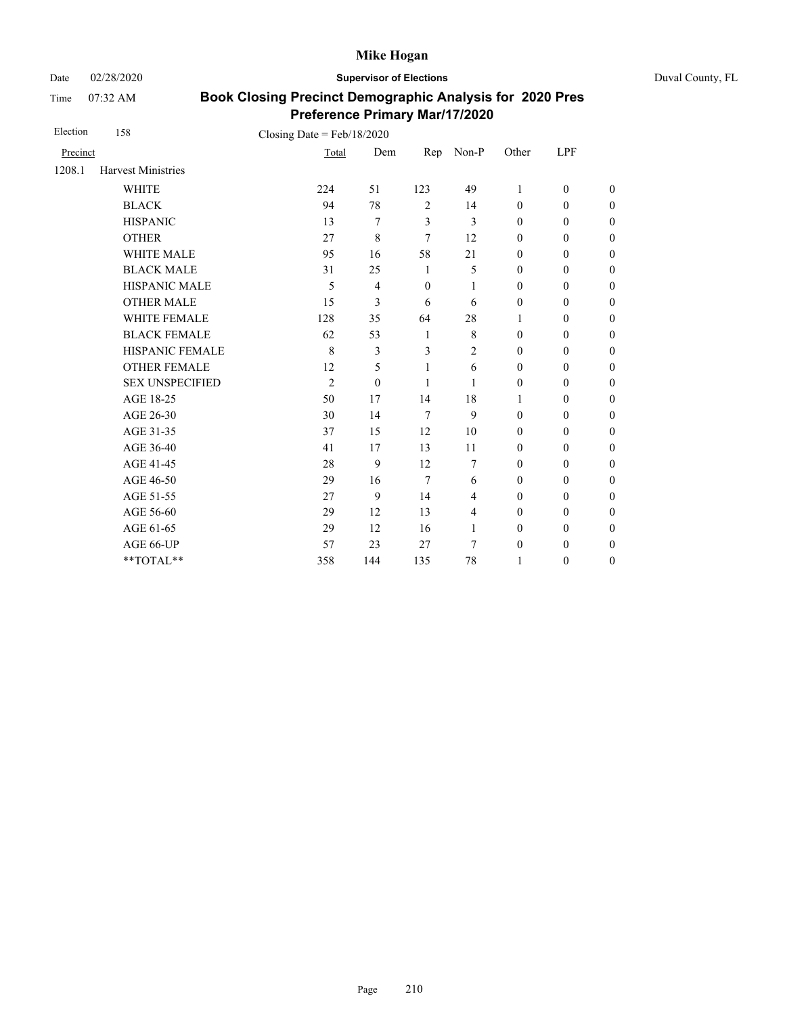Date 02/28/2020 **Supervisor of Elections** Duval County, FL

Time 07:32 AM

| Election | 158                       | Closing Date = $Feb/18/2020$ |          |                |                |                  |                  |                  |
|----------|---------------------------|------------------------------|----------|----------------|----------------|------------------|------------------|------------------|
| Precinct |                           | Total                        | Dem      | Rep            | Non-P          | Other            | LPF              |                  |
| 1208.1   | <b>Harvest Ministries</b> |                              |          |                |                |                  |                  |                  |
|          | <b>WHITE</b>              | 224                          | 51       | 123            | 49             | 1                | $\boldsymbol{0}$ | $\boldsymbol{0}$ |
|          | <b>BLACK</b>              | 94                           | 78       | $\overline{2}$ | 14             | $\mathbf{0}$     | $\mathbf{0}$     | $\boldsymbol{0}$ |
|          | <b>HISPANIC</b>           | 13                           | 7        | 3              | $\overline{3}$ | $\boldsymbol{0}$ | $\boldsymbol{0}$ | $\boldsymbol{0}$ |
|          | <b>OTHER</b>              | 27                           | 8        | 7              | 12             | $\mathbf{0}$     | $\mathbf{0}$     | $\overline{0}$   |
|          | <b>WHITE MALE</b>         | 95                           | 16       | 58             | 21             | $\mathbf{0}$     | $\mathbf{0}$     | $\boldsymbol{0}$ |
|          | <b>BLACK MALE</b>         | 31                           | 25       | 1              | 5              | $\mathbf{0}$     | $\mathbf{0}$     | $\boldsymbol{0}$ |
|          | HISPANIC MALE             | 5                            | 4        | $\theta$       | 1              | $\mathbf{0}$     | $\mathbf{0}$     | $\overline{0}$   |
|          | <b>OTHER MALE</b>         | 15                           | 3        | 6              | 6              | $\mathbf{0}$     | $\mathbf{0}$     | $\theta$         |
|          | <b>WHITE FEMALE</b>       | 128                          | 35       | 64             | 28             | 1                | $\mathbf{0}$     | $\boldsymbol{0}$ |
|          | <b>BLACK FEMALE</b>       | 62                           | 53       | 1              | 8              | $\mathbf{0}$     | $\mathbf{0}$     | $\boldsymbol{0}$ |
|          | HISPANIC FEMALE           | 8                            | 3        | 3              | $\overline{c}$ | $\boldsymbol{0}$ | $\boldsymbol{0}$ | $\boldsymbol{0}$ |
|          | <b>OTHER FEMALE</b>       | 12                           | 5        | 1              | 6              | $\mathbf{0}$     | $\mathbf{0}$     | $\boldsymbol{0}$ |
|          | <b>SEX UNSPECIFIED</b>    | $\overline{2}$               | $\Omega$ | 1              | 1              | $\mathbf{0}$     | $\boldsymbol{0}$ | $\boldsymbol{0}$ |
|          | AGE 18-25                 | 50                           | 17       | 14             | 18             | 1                | $\boldsymbol{0}$ | $\boldsymbol{0}$ |
|          | AGE 26-30                 | 30                           | 14       | 7              | 9              | $\mathbf{0}$     | $\mathbf{0}$     | $\overline{0}$   |
|          | AGE 31-35                 | 37                           | 15       | 12             | 10             | $\boldsymbol{0}$ | $\boldsymbol{0}$ | $\boldsymbol{0}$ |
|          | AGE 36-40                 | 41                           | 17       | 13             | 11             | $\mathbf{0}$     | $\mathbf{0}$     | $\boldsymbol{0}$ |
|          | AGE 41-45                 | 28                           | 9        | 12             | 7              | $\mathbf{0}$     | $\mathbf{0}$     | $\overline{0}$   |
|          | AGE 46-50                 | 29                           | 16       | $\overline{7}$ | 6              | $\mathbf{0}$     | $\mathbf{0}$     | $\boldsymbol{0}$ |
|          | AGE 51-55                 | 27                           | 9        | 14             | 4              | $\mathbf{0}$     | $\mathbf{0}$     | $\boldsymbol{0}$ |
|          | AGE 56-60                 | 29                           | 12       | 13             | 4              | $\mathbf{0}$     | $\mathbf{0}$     | $\boldsymbol{0}$ |
|          | AGE 61-65                 | 29                           | 12       | 16             | 1              | $\boldsymbol{0}$ | $\boldsymbol{0}$ | $\boldsymbol{0}$ |
|          | AGE 66-UP                 | 57                           | 23       | 27             | 7              | $\boldsymbol{0}$ | $\boldsymbol{0}$ | $\overline{0}$   |
|          | **TOTAL**                 | 358                          | 144      | 135            | 78             | 1                | $\boldsymbol{0}$ | $\boldsymbol{0}$ |
|          |                           |                              |          |                |                |                  |                  |                  |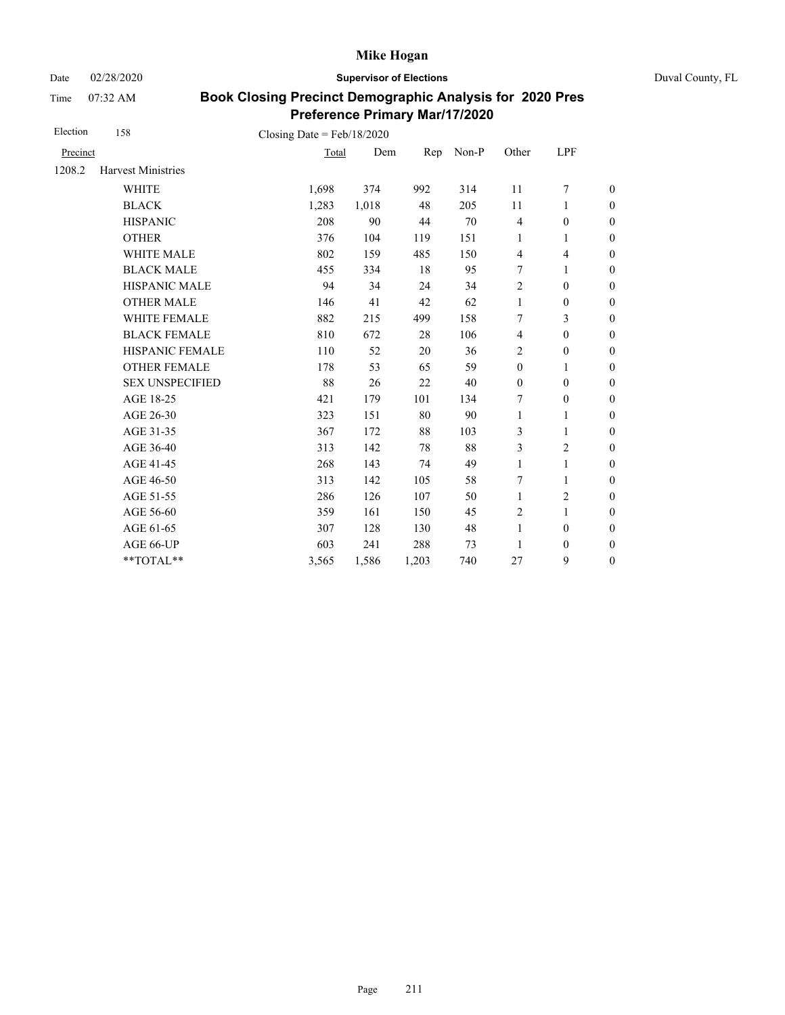Date 02/28/2020 **Supervisor of Elections** Duval County, FL

Time 07:32 AM

| Election | 158                                    | Closing Date = $Feb/18/2020$ |       |       |       |                         |                  |                  |
|----------|----------------------------------------|------------------------------|-------|-------|-------|-------------------------|------------------|------------------|
| Precinct |                                        | Total                        | Dem   | Rep   | Non-P | Other                   | LPF              |                  |
| 1208.2   | <b>Harvest Ministries</b>              |                              |       |       |       |                         |                  |                  |
|          | <b>WHITE</b>                           | 1,698                        | 374   | 992   | 314   | 11                      | 7                | $\boldsymbol{0}$ |
|          | <b>BLACK</b>                           | 1,283                        | 1,018 | 48    | 205   | 11                      | 1                | $\boldsymbol{0}$ |
|          | <b>HISPANIC</b>                        | 208                          | 90    | 44    | 70    | $\overline{\mathbf{4}}$ | $\boldsymbol{0}$ | $\boldsymbol{0}$ |
|          | <b>OTHER</b>                           | 376                          | 104   | 119   | 151   | $\mathbf{1}$            | 1                | $\boldsymbol{0}$ |
|          | WHITE MALE                             | 802                          | 159   | 485   | 150   | $\overline{4}$          | $\overline{4}$   | $\boldsymbol{0}$ |
|          | <b>BLACK MALE</b>                      | 455                          | 334   | 18    | 95    | 7                       | 1                | $\boldsymbol{0}$ |
|          | <b>HISPANIC MALE</b>                   | 94                           | 34    | 24    | 34    | $\overline{c}$          | $\boldsymbol{0}$ | $\overline{0}$   |
|          | <b>OTHER MALE</b>                      | 146                          | 41    | 42    | 62    | 1                       | $\boldsymbol{0}$ | $\boldsymbol{0}$ |
|          | WHITE FEMALE                           | 882                          | 215   | 499   | 158   | 7                       | 3                | $\boldsymbol{0}$ |
|          | <b>BLACK FEMALE</b>                    | 810                          | 672   | 28    | 106   | $\overline{4}$          | $\mathbf{0}$     | $\boldsymbol{0}$ |
|          | HISPANIC FEMALE                        | 110                          | 52    | 20    | 36    | 2                       | $\boldsymbol{0}$ | $\boldsymbol{0}$ |
|          | <b>OTHER FEMALE</b>                    | 178                          | 53    | 65    | 59    | $\boldsymbol{0}$        | 1                | $\boldsymbol{0}$ |
|          | <b>SEX UNSPECIFIED</b>                 | 88                           | 26    | 22    | 40    | $\mathbf{0}$            | $\mathbf{0}$     | $\boldsymbol{0}$ |
|          | AGE 18-25                              | 421                          | 179   | 101   | 134   | 7                       | $\boldsymbol{0}$ | $\boldsymbol{0}$ |
|          | AGE 26-30                              | 323                          | 151   | 80    | 90    | $\mathbf{1}$            | 1                | $\boldsymbol{0}$ |
|          | AGE 31-35                              | 367                          | 172   | 88    | 103   | 3                       | 1                | $\boldsymbol{0}$ |
|          | AGE 36-40                              | 313                          | 142   | 78    | 88    | 3                       | $\overline{c}$   | $\boldsymbol{0}$ |
|          | AGE 41-45                              | 268                          | 143   | 74    | 49    | $\mathbf{1}$            | $\mathbf{1}$     | $\overline{0}$   |
|          | AGE 46-50                              | 313                          | 142   | 105   | 58    | 7                       | 1                | $\boldsymbol{0}$ |
|          | AGE 51-55                              | 286                          | 126   | 107   | 50    | $\mathbf{1}$            | 2                | $\boldsymbol{0}$ |
|          | AGE 56-60                              | 359                          | 161   | 150   | 45    | $\overline{2}$          | $\mathbf{1}$     | $\overline{0}$   |
|          | AGE 61-65                              | 307                          | 128   | 130   | 48    | 1                       | $\boldsymbol{0}$ | $\boldsymbol{0}$ |
|          | AGE 66-UP                              | 603                          | 241   | 288   | 73    | 1                       | $\boldsymbol{0}$ | $\boldsymbol{0}$ |
|          | $\mathrm{*}\mathrm{*} \mathrm{TOTAL}*$ | 3,565                        | 1,586 | 1,203 | 740   | 27                      | 9                | $\boldsymbol{0}$ |
|          |                                        |                              |       |       |       |                         |                  |                  |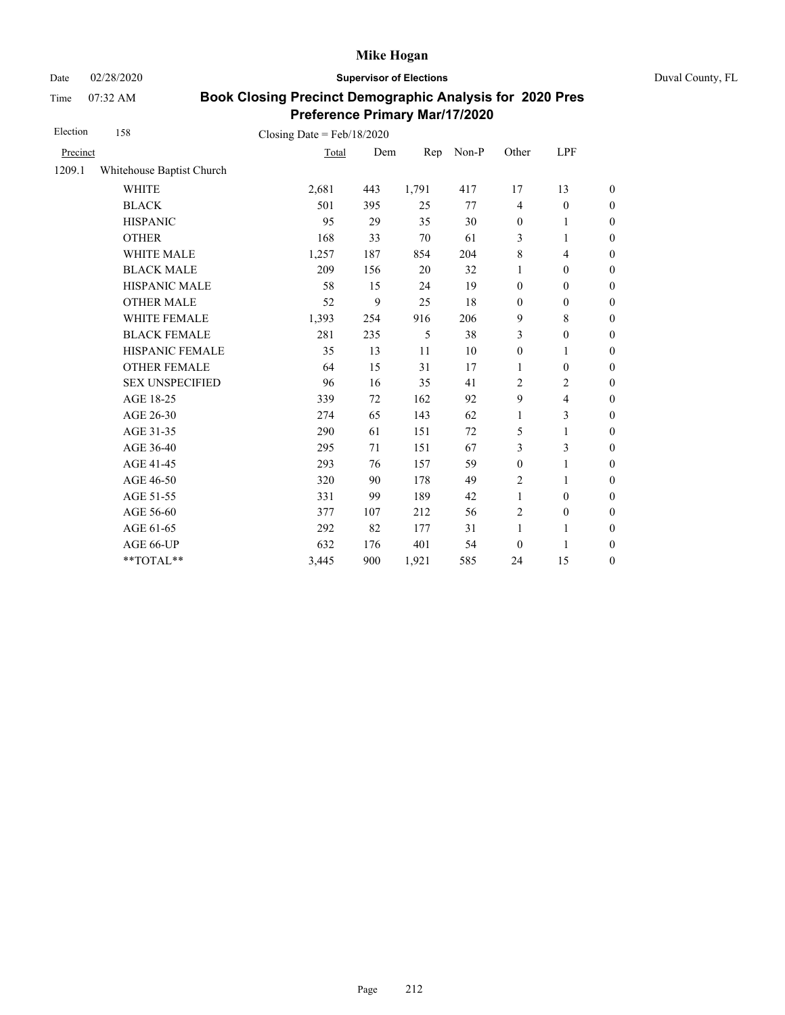Date 02/28/2020 **Supervisor of Elections** Duval County, FL

Time 07:32 AM

| Election | 158                       | Closing Date = $Feb/18/2020$ |     |       |       |                  |                         |                  |
|----------|---------------------------|------------------------------|-----|-------|-------|------------------|-------------------------|------------------|
| Precinct |                           | Total                        | Dem | Rep   | Non-P | Other            | LPF                     |                  |
| 1209.1   | Whitehouse Baptist Church |                              |     |       |       |                  |                         |                  |
|          | <b>WHITE</b>              | 2,681                        | 443 | 1,791 | 417   | 17               | 13                      | $\overline{0}$   |
|          | <b>BLACK</b>              | 501                          | 395 | 25    | 77    | $\overline{4}$   | $\mathbf{0}$            | $\overline{0}$   |
|          | <b>HISPANIC</b>           | 95                           | 29  | 35    | 30    | $\boldsymbol{0}$ | $\mathbf{1}$            | $\boldsymbol{0}$ |
|          | <b>OTHER</b>              | 168                          | 33  | 70    | 61    | 3                | 1                       | $\boldsymbol{0}$ |
|          | WHITE MALE                | 1,257                        | 187 | 854   | 204   | $\,8\,$          | 4                       | $\boldsymbol{0}$ |
|          | <b>BLACK MALE</b>         | 209                          | 156 | 20    | 32    | 1                | $\boldsymbol{0}$        | $\boldsymbol{0}$ |
|          | HISPANIC MALE             | 58                           | 15  | 24    | 19    | $\boldsymbol{0}$ | $\boldsymbol{0}$        | $\overline{0}$   |
|          | <b>OTHER MALE</b>         | 52                           | 9   | 25    | 18    | $\boldsymbol{0}$ | $\boldsymbol{0}$        | $\boldsymbol{0}$ |
|          | WHITE FEMALE              | 1,393                        | 254 | 916   | 206   | 9                | 8                       | $\boldsymbol{0}$ |
|          | <b>BLACK FEMALE</b>       | 281                          | 235 | 5     | 38    | 3                | $\boldsymbol{0}$        | $\overline{0}$   |
|          | HISPANIC FEMALE           | 35                           | 13  | 11    | 10    | $\boldsymbol{0}$ | 1                       | $\boldsymbol{0}$ |
|          | <b>OTHER FEMALE</b>       | 64                           | 15  | 31    | 17    | $\mathbf{1}$     | $\mathbf{0}$            | $\boldsymbol{0}$ |
|          | <b>SEX UNSPECIFIED</b>    | 96                           | 16  | 35    | 41    | $\overline{2}$   | $\overline{c}$          | $\boldsymbol{0}$ |
|          | AGE 18-25                 | 339                          | 72  | 162   | 92    | $\mathbf{9}$     | $\overline{\mathbf{4}}$ | $\boldsymbol{0}$ |
|          | AGE 26-30                 | 274                          | 65  | 143   | 62    | $\mathbf{1}$     | 3                       | $\boldsymbol{0}$ |
|          | AGE 31-35                 | 290                          | 61  | 151   | 72    | 5                | 1                       | $\boldsymbol{0}$ |
|          | AGE 36-40                 | 295                          | 71  | 151   | 67    | 3                | 3                       | $\boldsymbol{0}$ |
|          | AGE 41-45                 | 293                          | 76  | 157   | 59    | $\boldsymbol{0}$ | $\mathbf{1}$            | $\boldsymbol{0}$ |
|          | AGE 46-50                 | 320                          | 90  | 178   | 49    | 2                | 1                       | $\boldsymbol{0}$ |
|          | AGE 51-55                 | 331                          | 99  | 189   | 42    | $\mathbf{1}$     | $\mathbf{0}$            | $\boldsymbol{0}$ |
|          | AGE 56-60                 | 377                          | 107 | 212   | 56    | $\overline{2}$   | $\boldsymbol{0}$        | $\overline{0}$   |
|          | AGE 61-65                 | 292                          | 82  | 177   | 31    | $\mathbf{1}$     | 1                       | $\boldsymbol{0}$ |
|          | AGE 66-UP                 | 632                          | 176 | 401   | 54    | $\boldsymbol{0}$ | 1                       | $\boldsymbol{0}$ |
|          | **TOTAL**                 | 3,445                        | 900 | 1,921 | 585   | 24               | 15                      | $\boldsymbol{0}$ |
|          |                           |                              |     |       |       |                  |                         |                  |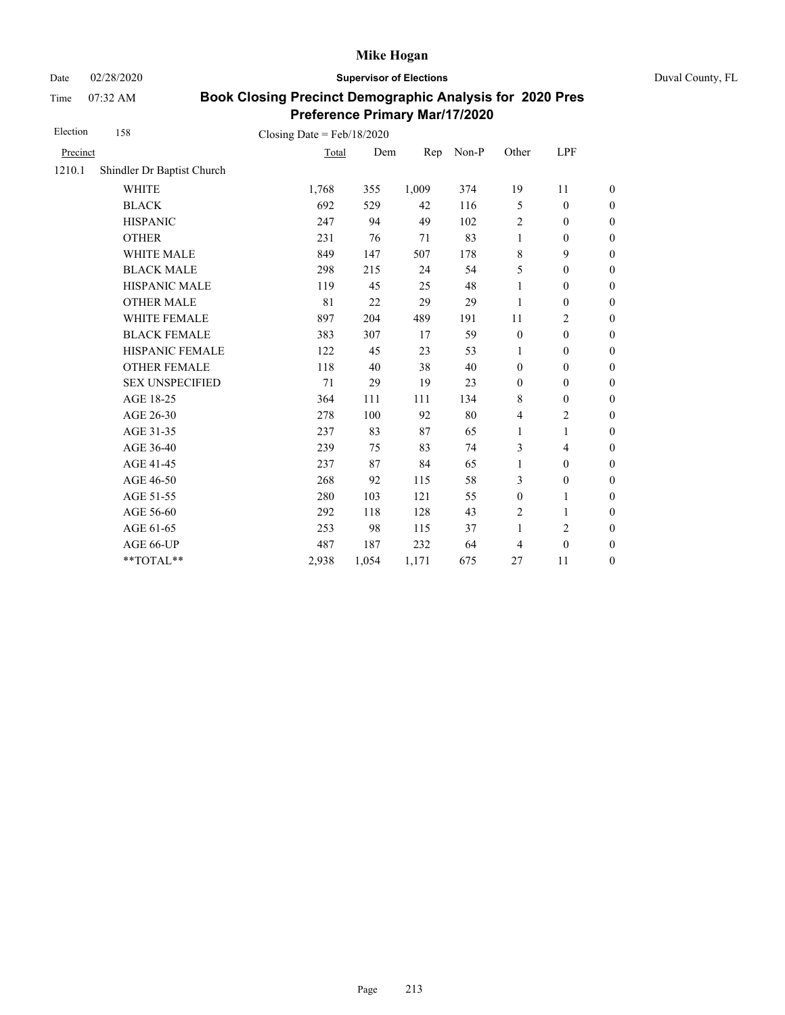Date 02/28/2020 **Supervisor of Elections** Duval County, FL

Time 07:32 AM

| Election | 158                        | Closing Date = $Feb/18/2020$ |       |       |       |                  |                  |                  |
|----------|----------------------------|------------------------------|-------|-------|-------|------------------|------------------|------------------|
| Precinct |                            | Total                        | Dem   | Rep   | Non-P | Other            | LPF              |                  |
| 1210.1   | Shindler Dr Baptist Church |                              |       |       |       |                  |                  |                  |
|          | <b>WHITE</b>               | 1,768                        | 355   | 1,009 | 374   | 19               | 11               | $\boldsymbol{0}$ |
|          | <b>BLACK</b>               | 692                          | 529   | 42    | 116   | 5                | $\mathbf{0}$     | $\boldsymbol{0}$ |
|          | <b>HISPANIC</b>            | 247                          | 94    | 49    | 102   | $\overline{c}$   | $\boldsymbol{0}$ | $\boldsymbol{0}$ |
|          | <b>OTHER</b>               | 231                          | 76    | 71    | 83    | $\mathbf{1}$     | $\boldsymbol{0}$ | $\boldsymbol{0}$ |
|          | WHITE MALE                 | 849                          | 147   | 507   | 178   | $\,8\,$          | 9                | $\boldsymbol{0}$ |
|          | <b>BLACK MALE</b>          | 298                          | 215   | 24    | 54    | 5                | $\mathbf{0}$     | $\boldsymbol{0}$ |
|          | <b>HISPANIC MALE</b>       | 119                          | 45    | 25    | 48    | 1                | $\boldsymbol{0}$ | $\overline{0}$   |
|          | <b>OTHER MALE</b>          | 81                           | 22    | 29    | 29    | 1                | $\boldsymbol{0}$ | $\boldsymbol{0}$ |
|          | WHITE FEMALE               | 897                          | 204   | 489   | 191   | 11               | 2                | $\boldsymbol{0}$ |
|          | <b>BLACK FEMALE</b>        | 383                          | 307   | 17    | 59    | $\boldsymbol{0}$ | $\mathbf{0}$     | $\boldsymbol{0}$ |
|          | HISPANIC FEMALE            | 122                          | 45    | 23    | 53    | 1                | $\boldsymbol{0}$ | $\boldsymbol{0}$ |
|          | <b>OTHER FEMALE</b>        | 118                          | 40    | 38    | 40    | $\boldsymbol{0}$ | $\mathbf{0}$     | $\boldsymbol{0}$ |
|          | <b>SEX UNSPECIFIED</b>     | 71                           | 29    | 19    | 23    | $\mathbf{0}$     | $\mathbf{0}$     | $\boldsymbol{0}$ |
|          | AGE 18-25                  | 364                          | 111   | 111   | 134   | 8                | $\boldsymbol{0}$ | $\boldsymbol{0}$ |
|          | AGE 26-30                  | 278                          | 100   | 92    | 80    | $\overline{4}$   | 2                | $\boldsymbol{0}$ |
|          | AGE 31-35                  | 237                          | 83    | 87    | 65    | 1                | 1                | $\boldsymbol{0}$ |
|          | AGE 36-40                  | 239                          | 75    | 83    | 74    | 3                | $\overline{4}$   | $\boldsymbol{0}$ |
|          | AGE 41-45                  | 237                          | 87    | 84    | 65    | $\mathbf{1}$     | $\boldsymbol{0}$ | $\overline{0}$   |
|          | AGE 46-50                  | 268                          | 92    | 115   | 58    | 3                | $\boldsymbol{0}$ | $\boldsymbol{0}$ |
|          | AGE 51-55                  | 280                          | 103   | 121   | 55    | $\boldsymbol{0}$ | 1                | $\boldsymbol{0}$ |
|          | AGE 56-60                  | 292                          | 118   | 128   | 43    | $\overline{2}$   | 1                | $\boldsymbol{0}$ |
|          | AGE 61-65                  | 253                          | 98    | 115   | 37    | $\mathbf{1}$     | 2                | $\boldsymbol{0}$ |
|          | AGE 66-UP                  | 487                          | 187   | 232   | 64    | 4                | $\boldsymbol{0}$ | $\boldsymbol{0}$ |
|          | **TOTAL**                  | 2,938                        | 1,054 | 1,171 | 675   | 27               | 11               | $\boldsymbol{0}$ |
|          |                            |                              |       |       |       |                  |                  |                  |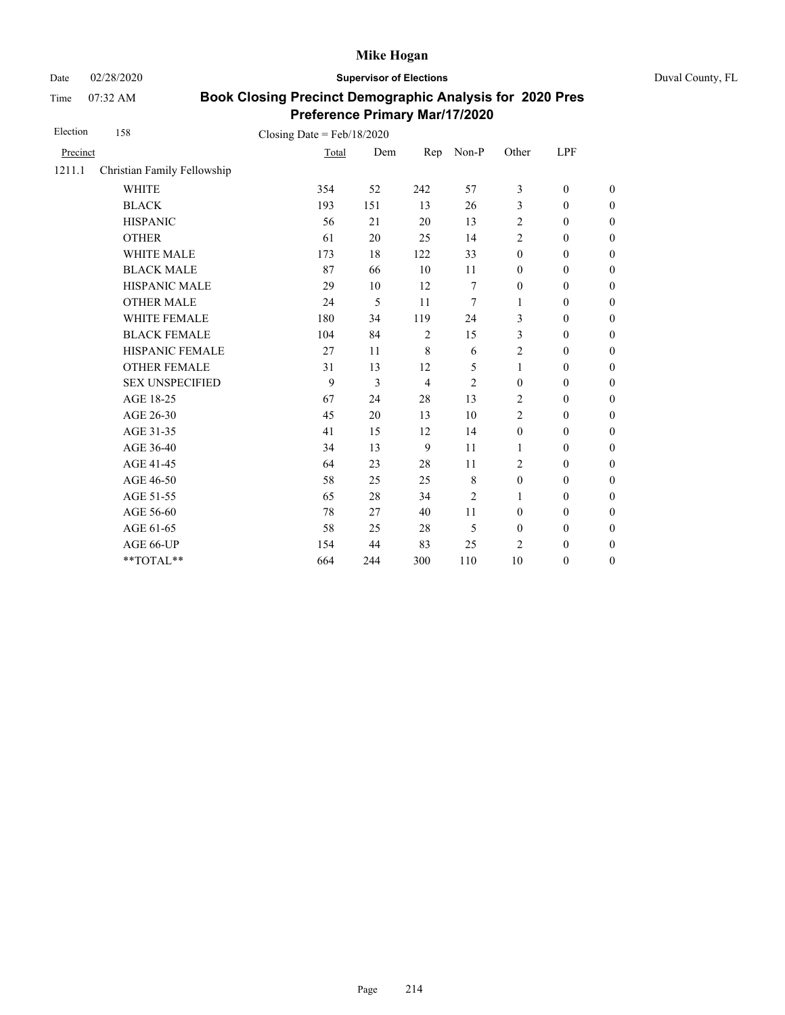Date 02/28/2020 **Supervisor of Elections** Duval County, FL

Time 07:32 AM

| Election | 158                         | Closing Date = $Feb/18/2020$ |     |                |                |                  |                  |                  |
|----------|-----------------------------|------------------------------|-----|----------------|----------------|------------------|------------------|------------------|
| Precinct |                             | Total                        | Dem | Rep            | Non-P          | Other            | LPF              |                  |
| 1211.1   | Christian Family Fellowship |                              |     |                |                |                  |                  |                  |
|          | <b>WHITE</b>                | 354                          | 52  | 242            | 57             | 3                | $\mathbf{0}$     | $\overline{0}$   |
|          | <b>BLACK</b>                | 193                          | 151 | 13             | 26             | 3                | $\mathbf{0}$     | $\overline{0}$   |
|          | <b>HISPANIC</b>             | 56                           | 21  | 20             | 13             | 2                | $\boldsymbol{0}$ | $\boldsymbol{0}$ |
|          | <b>OTHER</b>                | 61                           | 20  | 25             | 14             | $\overline{c}$   | $\mathbf{0}$     | $\overline{0}$   |
|          | <b>WHITE MALE</b>           | 173                          | 18  | 122            | 33             | $\mathbf{0}$     | $\mathbf{0}$     | $\boldsymbol{0}$ |
|          | <b>BLACK MALE</b>           | 87                           | 66  | 10             | 11             | $\boldsymbol{0}$ | $\boldsymbol{0}$ | $\boldsymbol{0}$ |
|          | HISPANIC MALE               | 29                           | 10  | 12             | 7              | $\boldsymbol{0}$ | $\boldsymbol{0}$ | $\overline{0}$   |
|          | <b>OTHER MALE</b>           | 24                           | 5   | 11             | 7              | 1                | $\boldsymbol{0}$ | $\boldsymbol{0}$ |
|          | <b>WHITE FEMALE</b>         | 180                          | 34  | 119            | 24             | 3                | $\boldsymbol{0}$ | $\boldsymbol{0}$ |
|          | <b>BLACK FEMALE</b>         | 104                          | 84  | $\overline{2}$ | 15             | 3                | $\boldsymbol{0}$ | $\boldsymbol{0}$ |
|          | HISPANIC FEMALE             | 27                           | 11  | 8              | 6              | 2                | $\boldsymbol{0}$ | $\boldsymbol{0}$ |
|          | <b>OTHER FEMALE</b>         | 31                           | 13  | 12             | 5              | $\mathbf{1}$     | $\boldsymbol{0}$ | $\boldsymbol{0}$ |
|          | <b>SEX UNSPECIFIED</b>      | 9                            | 3   | $\overline{4}$ | $\overline{2}$ | $\mathbf{0}$     | $\mathbf{0}$     | $\boldsymbol{0}$ |
|          | AGE 18-25                   | 67                           | 24  | 28             | 13             | 2                | $\boldsymbol{0}$ | $\boldsymbol{0}$ |
|          | AGE 26-30                   | 45                           | 20  | 13             | 10             | 2                | $\mathbf{0}$     | $\boldsymbol{0}$ |
|          | AGE 31-35                   | 41                           | 15  | 12             | 14             | $\mathbf{0}$     | $\mathbf{0}$     | $\boldsymbol{0}$ |
|          | AGE 36-40                   | 34                           | 13  | 9              | 11             | 1                | $\mathbf{0}$     | $\boldsymbol{0}$ |
|          | AGE 41-45                   | 64                           | 23  | 28             | 11             | $\overline{c}$   | $\mathbf{0}$     | $\overline{0}$   |
|          | AGE 46-50                   | 58                           | 25  | 25             | 8              | $\boldsymbol{0}$ | $\boldsymbol{0}$ | $\boldsymbol{0}$ |
|          | AGE 51-55                   | 65                           | 28  | 34             | $\overline{2}$ | 1                | $\mathbf{0}$     | $\boldsymbol{0}$ |
|          | AGE 56-60                   | 78                           | 27  | 40             | 11             | $\boldsymbol{0}$ | $\boldsymbol{0}$ | $\overline{0}$   |
|          | AGE 61-65                   | 58                           | 25  | 28             | 5              | $\mathbf{0}$     | $\mathbf{0}$     | $\boldsymbol{0}$ |
|          | AGE 66-UP                   | 154                          | 44  | 83             | 25             | $\overline{c}$   | $\boldsymbol{0}$ | $\boldsymbol{0}$ |
|          | **TOTAL**                   | 664                          | 244 | 300            | 110            | 10               | $\boldsymbol{0}$ | $\boldsymbol{0}$ |
|          |                             |                              |     |                |                |                  |                  |                  |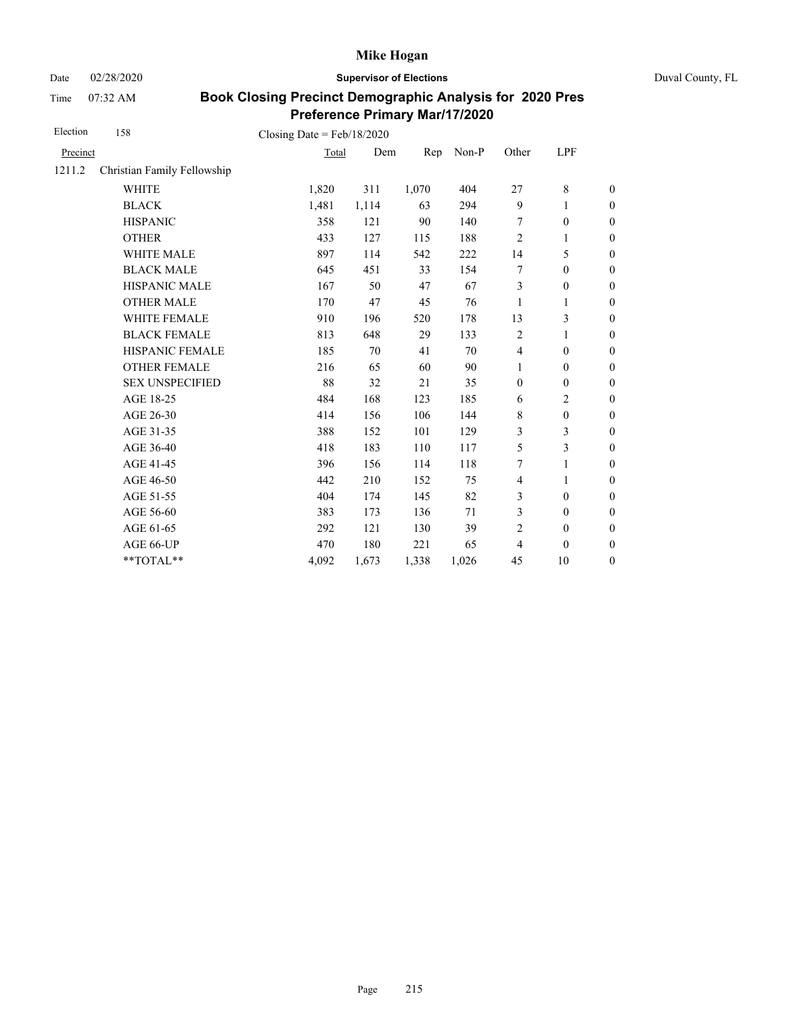Date 02/28/2020 **Supervisor of Elections** Duval County, FL

Time 07:32 AM

| Election | 158                         | Closing Date = $Feb/18/2020$ |       |       |       |                |                  |                  |
|----------|-----------------------------|------------------------------|-------|-------|-------|----------------|------------------|------------------|
| Precinct |                             | Total                        | Dem   | Rep   | Non-P | Other          | LPF              |                  |
| 1211.2   | Christian Family Fellowship |                              |       |       |       |                |                  |                  |
|          | <b>WHITE</b>                | 1,820                        | 311   | 1,070 | 404   | 27             | 8                | $\boldsymbol{0}$ |
|          | <b>BLACK</b>                | 1,481                        | 1,114 | 63    | 294   | 9              | 1                | $\boldsymbol{0}$ |
|          | <b>HISPANIC</b>             | 358                          | 121   | 90    | 140   | 7              | $\boldsymbol{0}$ | $\mathbf{0}$     |
|          | <b>OTHER</b>                | 433                          | 127   | 115   | 188   | $\overline{2}$ | 1                | $\mathbf{0}$     |
|          | <b>WHITE MALE</b>           | 897                          | 114   | 542   | 222   | 14             | 5                | $\boldsymbol{0}$ |
|          | <b>BLACK MALE</b>           | 645                          | 451   | 33    | 154   | 7              | $\boldsymbol{0}$ | $\boldsymbol{0}$ |
|          | <b>HISPANIC MALE</b>        | 167                          | 50    | 47    | 67    | $\mathfrak{Z}$ | $\mathbf{0}$     | $\overline{0}$   |
|          | <b>OTHER MALE</b>           | 170                          | 47    | 45    | 76    | 1              | 1                | $\boldsymbol{0}$ |
|          | WHITE FEMALE                | 910                          | 196   | 520   | 178   | 13             | 3                | $\boldsymbol{0}$ |
|          | <b>BLACK FEMALE</b>         | 813                          | 648   | 29    | 133   | $\overline{2}$ | 1                | $\boldsymbol{0}$ |
|          | HISPANIC FEMALE             | 185                          | 70    | 41    | 70    | $\overline{4}$ | $\boldsymbol{0}$ | $\boldsymbol{0}$ |
|          | <b>OTHER FEMALE</b>         | 216                          | 65    | 60    | 90    | $\mathbf{1}$   | $\mathbf{0}$     | $\boldsymbol{0}$ |
|          | <b>SEX UNSPECIFIED</b>      | 88                           | 32    | 21    | 35    | $\mathbf{0}$   | $\mathbf{0}$     | $\boldsymbol{0}$ |
|          | AGE 18-25                   | 484                          | 168   | 123   | 185   | 6              | $\overline{2}$   | $\mathbf{0}$     |
|          | AGE 26-30                   | 414                          | 156   | 106   | 144   | $\,$ 8 $\,$    | $\boldsymbol{0}$ | $\mathbf{0}$     |
|          | AGE 31-35                   | 388                          | 152   | 101   | 129   | 3              | 3                | $\boldsymbol{0}$ |
|          | AGE 36-40                   | 418                          | 183   | 110   | 117   | 5              | 3                | $\boldsymbol{0}$ |
|          | AGE 41-45                   | 396                          | 156   | 114   | 118   | 7              | $\mathbf{1}$     | $\overline{0}$   |
|          | AGE 46-50                   | 442                          | 210   | 152   | 75    | $\overline{4}$ | 1                | $\boldsymbol{0}$ |
|          | AGE 51-55                   | 404                          | 174   | 145   | 82    | 3              | $\mathbf{0}$     | $\boldsymbol{0}$ |
|          | AGE 56-60                   | 383                          | 173   | 136   | 71    | 3              | $\mathbf{0}$     | $\overline{0}$   |
|          | AGE 61-65                   | 292                          | 121   | 130   | 39    | 2              | $\boldsymbol{0}$ | $\boldsymbol{0}$ |
|          | AGE 66-UP                   | 470                          | 180   | 221   | 65    | $\overline{4}$ | $\theta$         | $\boldsymbol{0}$ |
|          | **TOTAL**                   | 4,092                        | 1,673 | 1,338 | 1,026 | 45             | 10               | $\boldsymbol{0}$ |
|          |                             |                              |       |       |       |                |                  |                  |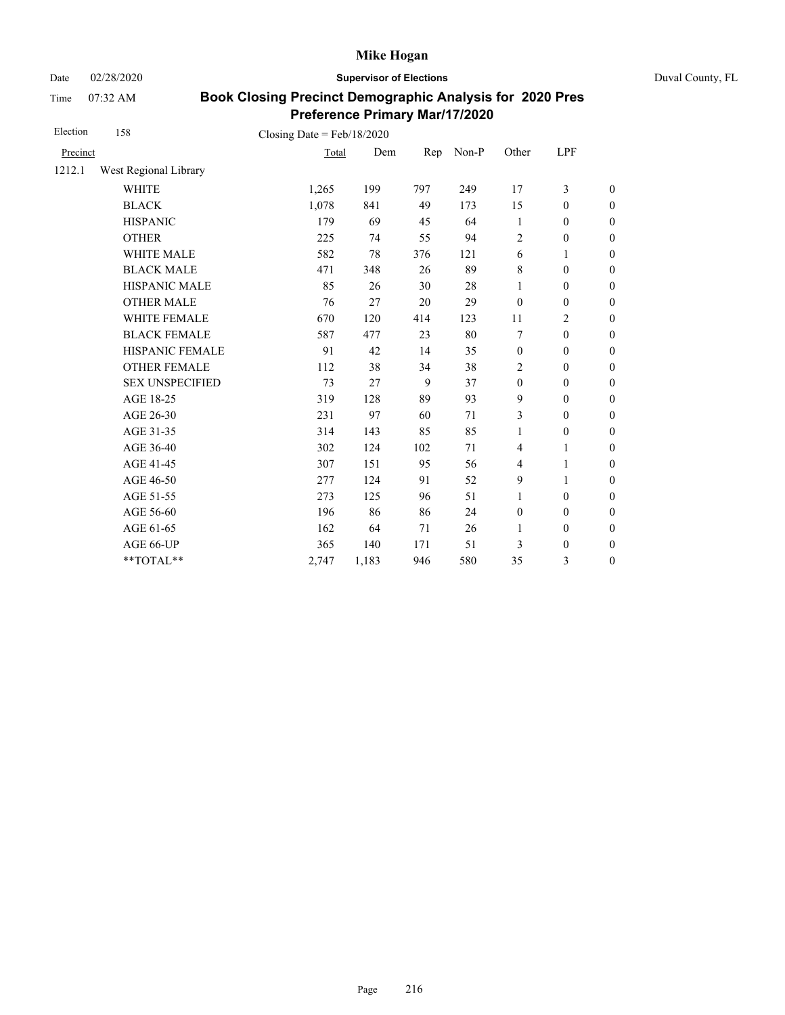Date 02/28/2020 **Supervisor of Elections** Duval County, FL

Time 07:32 AM

| Election | 158                    | Closing Date = $Feb/18/2020$ |       |     |       |                  |                  |                  |
|----------|------------------------|------------------------------|-------|-----|-------|------------------|------------------|------------------|
| Precinct |                        | Total                        | Dem   | Rep | Non-P | Other            | LPF              |                  |
| 1212.1   | West Regional Library  |                              |       |     |       |                  |                  |                  |
|          | <b>WHITE</b>           | 1,265                        | 199   | 797 | 249   | 17               | 3                | $\boldsymbol{0}$ |
|          | <b>BLACK</b>           | 1,078                        | 841   | 49  | 173   | 15               | $\mathbf{0}$     | $\boldsymbol{0}$ |
|          | <b>HISPANIC</b>        | 179                          | 69    | 45  | 64    | 1                | $\boldsymbol{0}$ | $\boldsymbol{0}$ |
|          | <b>OTHER</b>           | 225                          | 74    | 55  | 94    | $\overline{2}$   | $\boldsymbol{0}$ | $\boldsymbol{0}$ |
|          | WHITE MALE             | 582                          | 78    | 376 | 121   | 6                | 1                | $\boldsymbol{0}$ |
|          | <b>BLACK MALE</b>      | 471                          | 348   | 26  | 89    | $\,8\,$          | $\mathbf{0}$     | $\boldsymbol{0}$ |
|          | <b>HISPANIC MALE</b>   | 85                           | 26    | 30  | 28    | 1                | $\boldsymbol{0}$ | $\boldsymbol{0}$ |
|          | <b>OTHER MALE</b>      | 76                           | 27    | 20  | 29    | $\mathbf{0}$     | $\overline{0}$   | $\boldsymbol{0}$ |
|          | <b>WHITE FEMALE</b>    | 670                          | 120   | 414 | 123   | 11               | 2                | $\boldsymbol{0}$ |
|          | <b>BLACK FEMALE</b>    | 587                          | 477   | 23  | 80    | 7                | $\mathbf{0}$     | $\overline{0}$   |
|          | <b>HISPANIC FEMALE</b> | 91                           | 42    | 14  | 35    | $\boldsymbol{0}$ | $\boldsymbol{0}$ | $\boldsymbol{0}$ |
|          | <b>OTHER FEMALE</b>    | 112                          | 38    | 34  | 38    | 2                | $\mathbf{0}$     | $\boldsymbol{0}$ |
|          | <b>SEX UNSPECIFIED</b> | 73                           | 27    | 9   | 37    | $\boldsymbol{0}$ | $\mathbf{0}$     | $\boldsymbol{0}$ |
|          | AGE 18-25              | 319                          | 128   | 89  | 93    | 9                | $\boldsymbol{0}$ | $\boldsymbol{0}$ |
|          | AGE 26-30              | 231                          | 97    | 60  | 71    | 3                | $\mathbf{0}$     | $\boldsymbol{0}$ |
|          | AGE 31-35              | 314                          | 143   | 85  | 85    | 1                | $\boldsymbol{0}$ | $\boldsymbol{0}$ |
|          | AGE 36-40              | 302                          | 124   | 102 | 71    | $\overline{4}$   | 1                | $\boldsymbol{0}$ |
|          | AGE 41-45              | 307                          | 151   | 95  | 56    | $\overline{4}$   | $\mathbf{1}$     | $\boldsymbol{0}$ |
|          | AGE 46-50              | 277                          | 124   | 91  | 52    | 9                | 1                | $\boldsymbol{0}$ |
|          | AGE 51-55              | 273                          | 125   | 96  | 51    | $\mathbf{1}$     | $\mathbf{0}$     | $\boldsymbol{0}$ |
|          | AGE 56-60              | 196                          | 86    | 86  | 24    | $\boldsymbol{0}$ | $\mathbf{0}$     | $\overline{0}$   |
|          | AGE 61-65              | 162                          | 64    | 71  | 26    | $\mathbf{1}$     | $\mathbf{0}$     | $\boldsymbol{0}$ |
|          | AGE 66-UP              | 365                          | 140   | 171 | 51    | 3                | $\boldsymbol{0}$ | $\boldsymbol{0}$ |
|          | **TOTAL**              | 2,747                        | 1,183 | 946 | 580   | 35               | 3                | $\boldsymbol{0}$ |
|          |                        |                              |       |     |       |                  |                  |                  |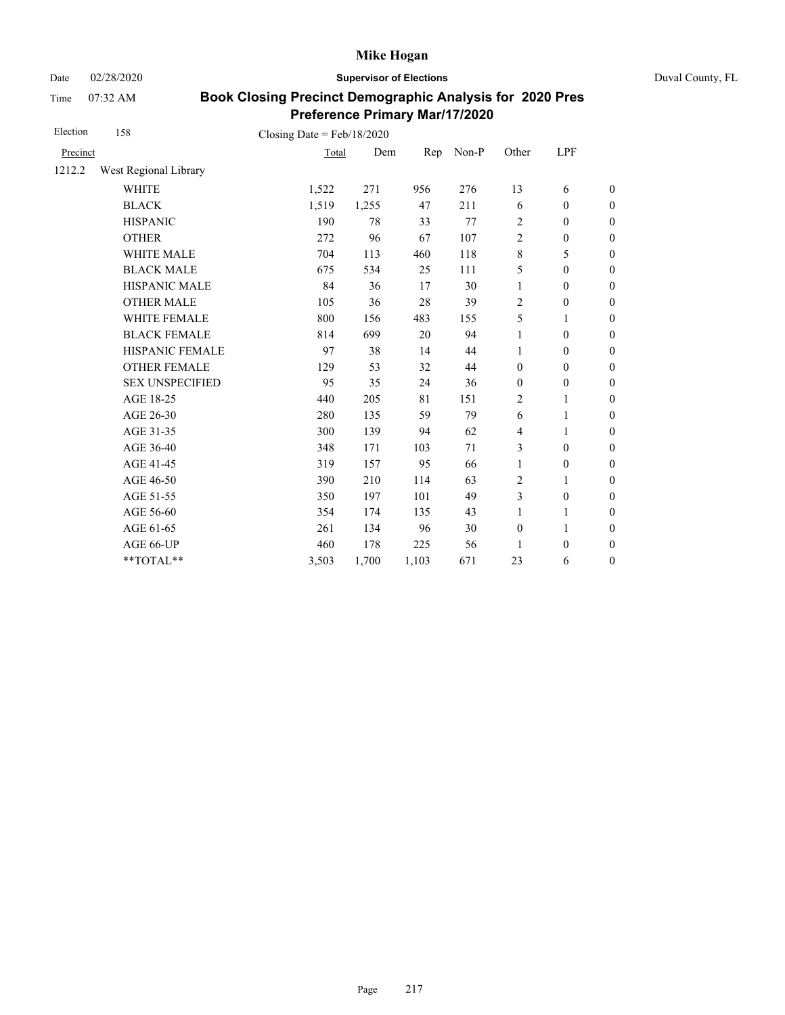Date 02/28/2020 **Supervisor of Elections** Duval County, FL

Time 07:32 AM

| Election | 158                    | Closing Date = $Feb/18/2020$ |       |       |       |                |                  |                  |
|----------|------------------------|------------------------------|-------|-------|-------|----------------|------------------|------------------|
| Precinct |                        | Total                        | Dem   | Rep   | Non-P | Other          | LPF              |                  |
| 1212.2   | West Regional Library  |                              |       |       |       |                |                  |                  |
|          | <b>WHITE</b>           | 1,522                        | 271   | 956   | 276   | 13             | 6                | $\boldsymbol{0}$ |
|          | <b>BLACK</b>           | 1,519                        | 1,255 | 47    | 211   | 6              | $\mathbf{0}$     | $\boldsymbol{0}$ |
|          | <b>HISPANIC</b>        | 190                          | 78    | 33    | 77    | 2              | $\boldsymbol{0}$ | $\boldsymbol{0}$ |
|          | <b>OTHER</b>           | 272                          | 96    | 67    | 107   | $\overline{c}$ | $\boldsymbol{0}$ | $\boldsymbol{0}$ |
|          | WHITE MALE             | 704                          | 113   | 460   | 118   | 8              | 5                | $\boldsymbol{0}$ |
|          | <b>BLACK MALE</b>      | 675                          | 534   | 25    | 111   | 5              | $\mathbf{0}$     | $\boldsymbol{0}$ |
|          | <b>HISPANIC MALE</b>   | 84                           | 36    | 17    | 30    | 1              | $\boldsymbol{0}$ | $\boldsymbol{0}$ |
|          | <b>OTHER MALE</b>      | 105                          | 36    | 28    | 39    | 2              | $\boldsymbol{0}$ | $\boldsymbol{0}$ |
|          | <b>WHITE FEMALE</b>    | 800                          | 156   | 483   | 155   | 5              | $\mathbf{1}$     | $\boldsymbol{0}$ |
|          | <b>BLACK FEMALE</b>    | 814                          | 699   | 20    | 94    | 1              | $\mathbf{0}$     | $\boldsymbol{0}$ |
|          | HISPANIC FEMALE        | 97                           | 38    | 14    | 44    | 1              | $\boldsymbol{0}$ | $\boldsymbol{0}$ |
|          | <b>OTHER FEMALE</b>    | 129                          | 53    | 32    | 44    | $\mathbf{0}$   | $\mathbf{0}$     | $\boldsymbol{0}$ |
|          | <b>SEX UNSPECIFIED</b> | 95                           | 35    | 24    | 36    | $\mathbf{0}$   | $\mathbf{0}$     | $\boldsymbol{0}$ |
|          | AGE 18-25              | 440                          | 205   | 81    | 151   | 2              | 1                | $\boldsymbol{0}$ |
|          | AGE 26-30              | 280                          | 135   | 59    | 79    | 6              | 1                | $\boldsymbol{0}$ |
|          | AGE 31-35              | 300                          | 139   | 94    | 62    | 4              | 1                | $\boldsymbol{0}$ |
|          | AGE 36-40              | 348                          | 171   | 103   | 71    | 3              | $\mathbf{0}$     | $\boldsymbol{0}$ |
|          | AGE 41-45              | 319                          | 157   | 95    | 66    | 1              | $\boldsymbol{0}$ | $\boldsymbol{0}$ |
|          | AGE 46-50              | 390                          | 210   | 114   | 63    | 2              | 1                | $\boldsymbol{0}$ |
|          | AGE 51-55              | 350                          | 197   | 101   | 49    | 3              | $\theta$         | $\boldsymbol{0}$ |
|          | AGE 56-60              | 354                          | 174   | 135   | 43    | 1              | 1                | $\boldsymbol{0}$ |
|          | AGE 61-65              | 261                          | 134   | 96    | 30    | $\mathbf{0}$   | $\mathbf{1}$     | $\boldsymbol{0}$ |
|          | AGE 66-UP              | 460                          | 178   | 225   | 56    | 1              | $\boldsymbol{0}$ | $\boldsymbol{0}$ |
|          | **TOTAL**              | 3,503                        | 1,700 | 1,103 | 671   | 23             | 6                | $\boldsymbol{0}$ |
|          |                        |                              |       |       |       |                |                  |                  |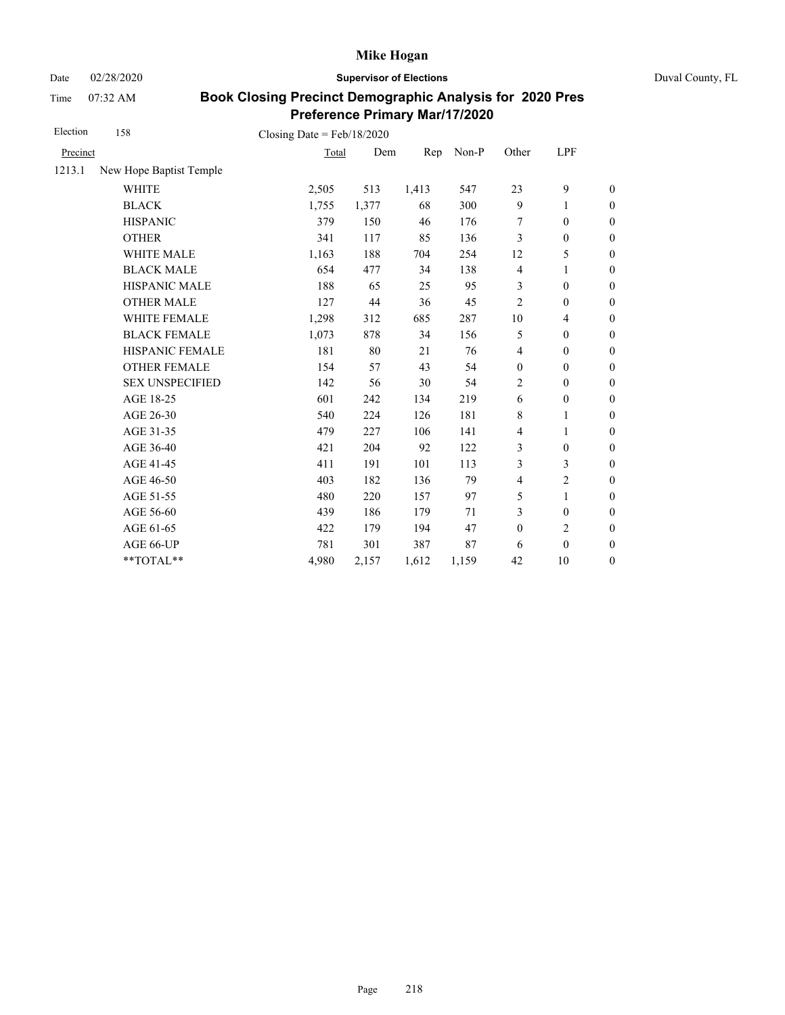Date 02/28/2020 **Supervisor of Elections** Duval County, FL

Time 07:32 AM

| Election | 158                     | Closing Date = $Feb/18/2020$ |       |       |       |                  |                          |                  |
|----------|-------------------------|------------------------------|-------|-------|-------|------------------|--------------------------|------------------|
| Precinct |                         | Total                        | Dem   | Rep   | Non-P | Other            | LPF                      |                  |
| 1213.1   | New Hope Baptist Temple |                              |       |       |       |                  |                          |                  |
|          | <b>WHITE</b>            | 2,505                        | 513   | 1,413 | 547   | 23               | 9                        | $\boldsymbol{0}$ |
|          | <b>BLACK</b>            | 1,755                        | 1,377 | 68    | 300   | 9                | 1                        | $\boldsymbol{0}$ |
|          | <b>HISPANIC</b>         | 379                          | 150   | 46    | 176   | 7                | $\boldsymbol{0}$         | $\boldsymbol{0}$ |
|          | <b>OTHER</b>            | 341                          | 117   | 85    | 136   | 3                | $\mathbf{0}$             | $\overline{0}$   |
|          | <b>WHITE MALE</b>       | 1,163                        | 188   | 704   | 254   | 12               | 5                        | $\boldsymbol{0}$ |
|          | <b>BLACK MALE</b>       | 654                          | 477   | 34    | 138   | $\overline{4}$   | 1                        | $\boldsymbol{0}$ |
|          | <b>HISPANIC MALE</b>    | 188                          | 65    | 25    | 95    | 3                | $\boldsymbol{0}$         | $\overline{0}$   |
|          | <b>OTHER MALE</b>       | 127                          | 44    | 36    | 45    | $\overline{2}$   | $\mathbf{0}$             | $\boldsymbol{0}$ |
|          | WHITE FEMALE            | 1,298                        | 312   | 685   | 287   | 10               | $\overline{\mathcal{L}}$ | $\boldsymbol{0}$ |
|          | <b>BLACK FEMALE</b>     | 1,073                        | 878   | 34    | 156   | 5                | $\boldsymbol{0}$         | $\boldsymbol{0}$ |
|          | HISPANIC FEMALE         | 181                          | 80    | 21    | 76    | $\overline{4}$   | $\boldsymbol{0}$         | $\boldsymbol{0}$ |
|          | <b>OTHER FEMALE</b>     | 154                          | 57    | 43    | 54    | $\boldsymbol{0}$ | $\mathbf{0}$             | $\boldsymbol{0}$ |
|          | <b>SEX UNSPECIFIED</b>  | 142                          | 56    | 30    | 54    | $\overline{2}$   | $\boldsymbol{0}$         | $\boldsymbol{0}$ |
|          | AGE 18-25               | 601                          | 242   | 134   | 219   | 6                | $\boldsymbol{0}$         | $\boldsymbol{0}$ |
|          | AGE 26-30               | 540                          | 224   | 126   | 181   | 8                | 1                        | $\overline{0}$   |
|          | AGE 31-35               | 479                          | 227   | 106   | 141   | 4                | 1                        | $\boldsymbol{0}$ |
|          | AGE 36-40               | 421                          | 204   | 92    | 122   | 3                | $\mathbf{0}$             | $\boldsymbol{0}$ |
|          | AGE 41-45               | 411                          | 191   | 101   | 113   | 3                | 3                        | $\overline{0}$   |
|          | AGE 46-50               | 403                          | 182   | 136   | 79    | $\overline{4}$   | $\overline{c}$           | $\boldsymbol{0}$ |
|          | AGE 51-55               | 480                          | 220   | 157   | 97    | 5                | $\mathbf{1}$             | $\boldsymbol{0}$ |
|          | AGE 56-60               | 439                          | 186   | 179   | 71    | 3                | $\mathbf{0}$             | $\boldsymbol{0}$ |
|          | AGE 61-65               | 422                          | 179   | 194   | 47    | $\boldsymbol{0}$ | $\overline{c}$           | $\overline{0}$   |
|          | AGE 66-UP               | 781                          | 301   | 387   | 87    | 6                | $\mathbf{0}$             | $\overline{0}$   |
|          | **TOTAL**               | 4,980                        | 2,157 | 1,612 | 1,159 | 42               | 10                       | $\boldsymbol{0}$ |
|          |                         |                              |       |       |       |                  |                          |                  |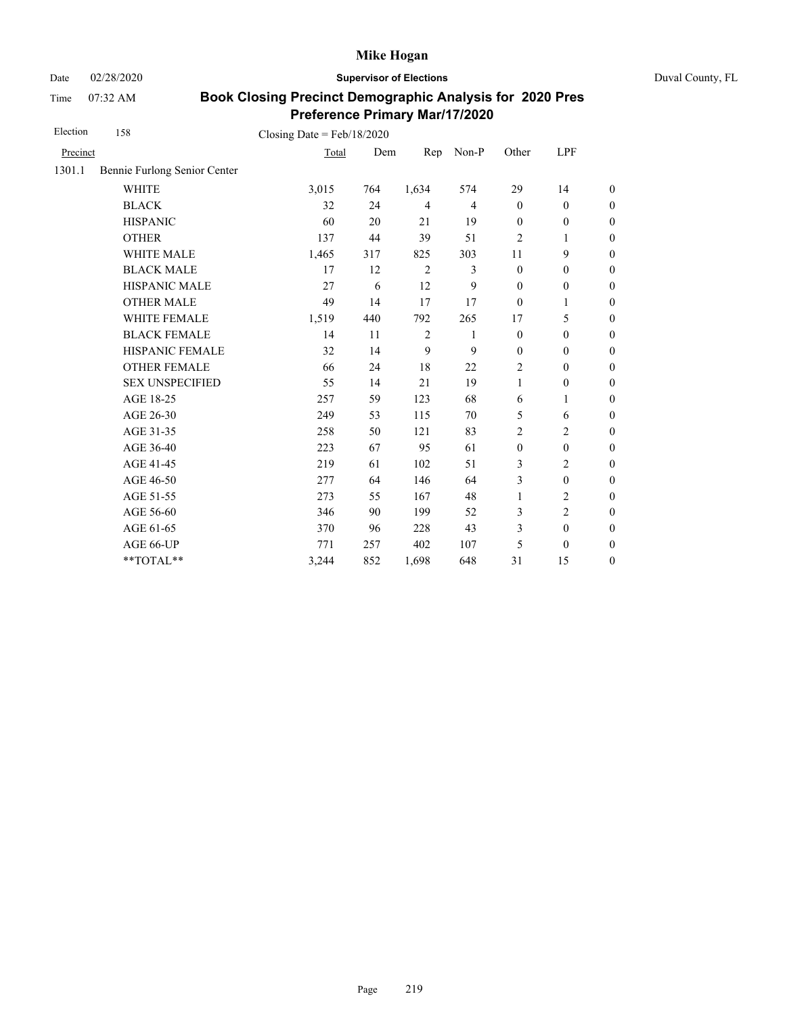Date 02/28/2020 **Supervisor of Elections** Duval County, FL

Time 07:32 AM

| Election | 158                          | Closing Date = $Feb/18/2020$ |     |                |                |                  |                  |                  |
|----------|------------------------------|------------------------------|-----|----------------|----------------|------------------|------------------|------------------|
| Precinct |                              | Total                        | Dem | Rep            | Non-P          | Other            | LPF              |                  |
| 1301.1   | Bennie Furlong Senior Center |                              |     |                |                |                  |                  |                  |
|          | <b>WHITE</b>                 | 3,015                        | 764 | 1,634          | 574            | 29               | 14               | $\boldsymbol{0}$ |
|          | <b>BLACK</b>                 | 32                           | 24  | $\overline{4}$ | $\overline{4}$ | $\mathbf{0}$     | $\boldsymbol{0}$ | $\boldsymbol{0}$ |
|          | <b>HISPANIC</b>              | 60                           | 20  | 21             | 19             | $\mathbf{0}$     | $\mathbf{0}$     | $\boldsymbol{0}$ |
|          | <b>OTHER</b>                 | 137                          | 44  | 39             | 51             | $\overline{2}$   | 1                | $\overline{0}$   |
|          | <b>WHITE MALE</b>            | 1,465                        | 317 | 825            | 303            | 11               | 9                | $\boldsymbol{0}$ |
|          | <b>BLACK MALE</b>            | 17                           | 12  | $\overline{c}$ | 3              | $\boldsymbol{0}$ | $\boldsymbol{0}$ | $\boldsymbol{0}$ |
|          | HISPANIC MALE                | 27                           | 6   | 12             | 9              | $\mathbf{0}$     | $\boldsymbol{0}$ | $\boldsymbol{0}$ |
|          | <b>OTHER MALE</b>            | 49                           | 14  | 17             | 17             | $\mathbf{0}$     | 1                | $\boldsymbol{0}$ |
|          | WHITE FEMALE                 | 1,519                        | 440 | 792            | 265            | 17               | 5                | $\boldsymbol{0}$ |
|          | <b>BLACK FEMALE</b>          | 14                           | 11  | 2              | 1              | $\mathbf{0}$     | $\boldsymbol{0}$ | $\boldsymbol{0}$ |
|          | HISPANIC FEMALE              | 32                           | 14  | 9              | 9              | $\boldsymbol{0}$ | $\mathbf{0}$     | $\overline{0}$   |
|          | <b>OTHER FEMALE</b>          | 66                           | 24  | 18             | 22             | $\overline{2}$   | $\mathbf{0}$     | $\overline{0}$   |
|          | <b>SEX UNSPECIFIED</b>       | 55                           | 14  | 21             | 19             | $\mathbf{1}$     | $\boldsymbol{0}$ | $\boldsymbol{0}$ |
|          | AGE 18-25                    | 257                          | 59  | 123            | 68             | 6                | $\mathbf{1}$     | $\boldsymbol{0}$ |
|          | AGE 26-30                    | 249                          | 53  | 115            | 70             | 5                | 6                | $\boldsymbol{0}$ |
|          | AGE 31-35                    | 258                          | 50  | 121            | 83             | $\overline{2}$   | $\overline{c}$   | $\boldsymbol{0}$ |
|          | AGE 36-40                    | 223                          | 67  | 95             | 61             | $\boldsymbol{0}$ | $\boldsymbol{0}$ | $\boldsymbol{0}$ |
|          | AGE 41-45                    | 219                          | 61  | 102            | 51             | 3                | $\overline{c}$   | $\boldsymbol{0}$ |
|          | AGE 46-50                    | 277                          | 64  | 146            | 64             | 3                | $\boldsymbol{0}$ | $\boldsymbol{0}$ |
|          | AGE 51-55                    | 273                          | 55  | 167            | 48             | $\mathbf{1}$     | $\overline{c}$   | $\boldsymbol{0}$ |
|          | AGE 56-60                    | 346                          | 90  | 199            | 52             | 3                | $\overline{c}$   | $\boldsymbol{0}$ |
|          | AGE 61-65                    | 370                          | 96  | 228            | 43             | 3                | $\boldsymbol{0}$ | $\boldsymbol{0}$ |
|          | AGE 66-UP                    | 771                          | 257 | 402            | 107            | 5                | $\mathbf{0}$     | $\overline{0}$   |
|          | **TOTAL**                    | 3,244                        | 852 | 1,698          | 648            | 31               | 15               | $\overline{0}$   |
|          |                              |                              |     |                |                |                  |                  |                  |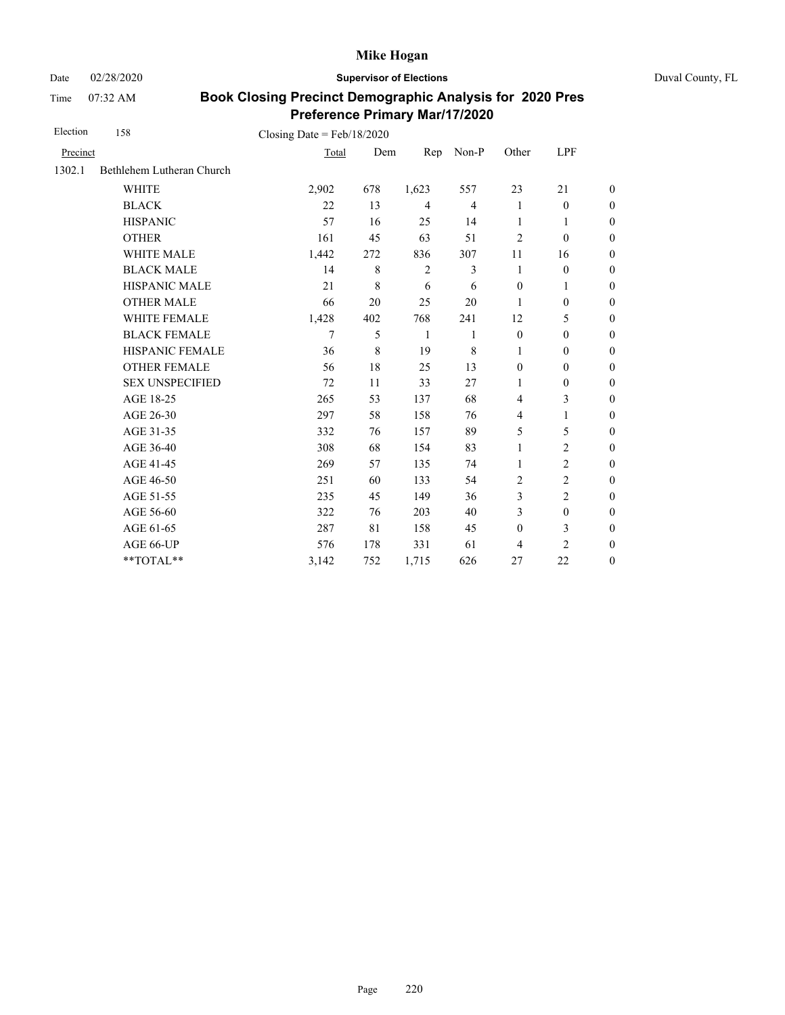Date 02/28/2020 **Supervisor of Elections** Duval County, FL

Time 07:32 AM

| Election | 158                       | Closing Date = $Feb/18/2020$ |     |                |                |                  |                  |                  |
|----------|---------------------------|------------------------------|-----|----------------|----------------|------------------|------------------|------------------|
| Precinct |                           | Total                        | Dem | Rep            | Non-P          | Other            | LPF              |                  |
| 1302.1   | Bethlehem Lutheran Church |                              |     |                |                |                  |                  |                  |
|          | <b>WHITE</b>              | 2,902                        | 678 | 1,623          | 557            | 23               | 21               | $\boldsymbol{0}$ |
|          | <b>BLACK</b>              | 22                           | 13  | $\overline{4}$ | $\overline{4}$ | 1                | $\boldsymbol{0}$ | $\boldsymbol{0}$ |
|          | <b>HISPANIC</b>           | 57                           | 16  | 25             | 14             | 1                | 1                | $\boldsymbol{0}$ |
|          | <b>OTHER</b>              | 161                          | 45  | 63             | 51             | $\overline{2}$   | $\boldsymbol{0}$ | $\overline{0}$   |
|          | WHITE MALE                | 1,442                        | 272 | 836            | 307            | 11               | 16               | $\boldsymbol{0}$ |
|          | <b>BLACK MALE</b>         | 14                           | 8   | 2              | 3              | $\mathbf{1}$     | $\boldsymbol{0}$ | $\boldsymbol{0}$ |
|          | <b>HISPANIC MALE</b>      | 21                           | 8   | 6              | 6              | $\mathbf{0}$     | $\mathbf{1}$     | $\overline{0}$   |
|          | <b>OTHER MALE</b>         | 66                           | 20  | 25             | 20             | 1                | $\boldsymbol{0}$ | $\boldsymbol{0}$ |
|          | WHITE FEMALE              | 1,428                        | 402 | 768            | 241            | 12               | 5                | $\boldsymbol{0}$ |
|          | <b>BLACK FEMALE</b>       | 7                            | 5   | $\mathbf{1}$   | 1              | $\boldsymbol{0}$ | $\boldsymbol{0}$ | $\boldsymbol{0}$ |
|          | HISPANIC FEMALE           | 36                           | 8   | 19             | 8              | 1                | $\boldsymbol{0}$ | $\overline{0}$   |
|          | <b>OTHER FEMALE</b>       | 56                           | 18  | 25             | 13             | $\mathbf{0}$     | $\mathbf{0}$     | $\overline{0}$   |
|          | <b>SEX UNSPECIFIED</b>    | 72                           | 11  | 33             | 27             | 1                | $\boldsymbol{0}$ | $\boldsymbol{0}$ |
|          | AGE 18-25                 | 265                          | 53  | 137            | 68             | $\overline{4}$   | 3                | $\boldsymbol{0}$ |
|          | AGE 26-30                 | 297                          | 58  | 158            | 76             | $\overline{4}$   | $\mathbf{1}$     | $\boldsymbol{0}$ |
|          | AGE 31-35                 | 332                          | 76  | 157            | 89             | 5                | 5                | $\boldsymbol{0}$ |
|          | AGE 36-40                 | 308                          | 68  | 154            | 83             | 1                | $\overline{c}$   | $\boldsymbol{0}$ |
|          | AGE 41-45                 | 269                          | 57  | 135            | 74             | $\mathbf{1}$     | $\overline{c}$   | $\boldsymbol{0}$ |
|          | AGE 46-50                 | 251                          | 60  | 133            | 54             | 2                | $\overline{c}$   | $\boldsymbol{0}$ |
|          | AGE 51-55                 | 235                          | 45  | 149            | 36             | 3                | $\overline{c}$   | $\boldsymbol{0}$ |
|          | AGE 56-60                 | 322                          | 76  | 203            | 40             | 3                | $\boldsymbol{0}$ | $\overline{0}$   |
|          | AGE 61-65                 | 287                          | 81  | 158            | 45             | $\mathbf{0}$     | 3                | $\boldsymbol{0}$ |
|          | AGE 66-UP                 | 576                          | 178 | 331            | 61             | 4                | $\overline{c}$   | $\boldsymbol{0}$ |
|          | **TOTAL**                 | 3,142                        | 752 | 1,715          | 626            | 27               | 22               | $\boldsymbol{0}$ |
|          |                           |                              |     |                |                |                  |                  |                  |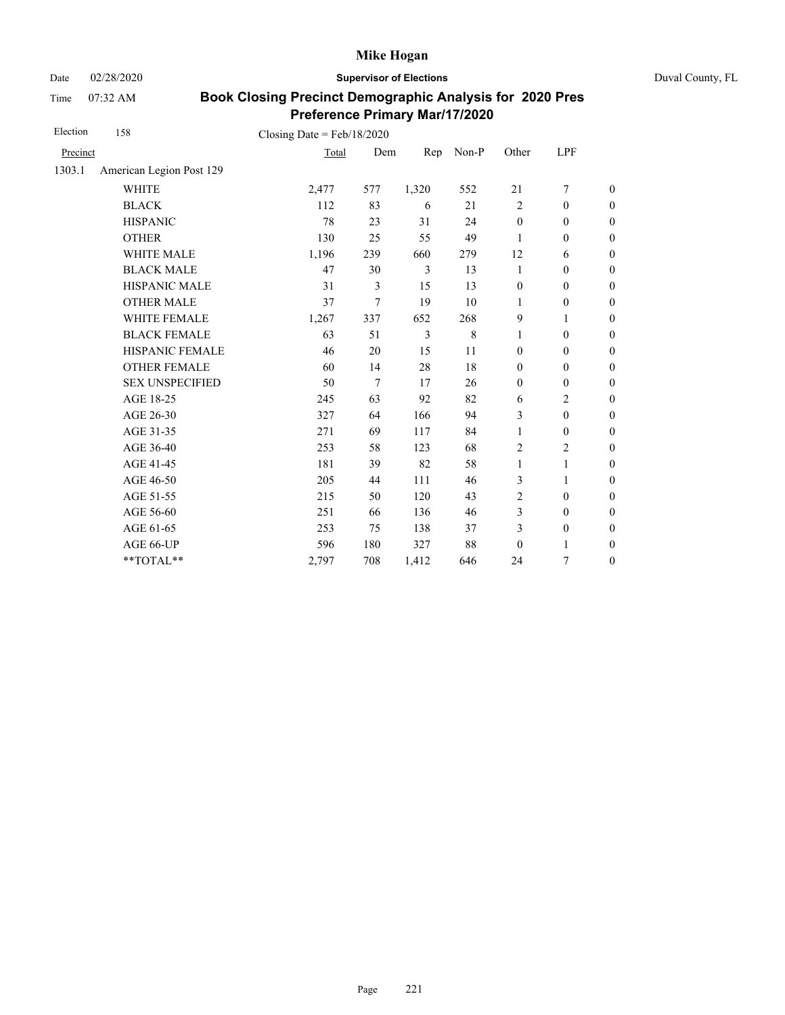Date 02/28/2020 **Supervisor of Elections** Duval County, FL

Time 07:32 AM

| Election | 158                      | Closing Date = $Feb/18/2020$ |                |       |       |                  |                  |                  |
|----------|--------------------------|------------------------------|----------------|-------|-------|------------------|------------------|------------------|
| Precinct |                          | Total                        | Dem            | Rep   | Non-P | Other            | LPF              |                  |
| 1303.1   | American Legion Post 129 |                              |                |       |       |                  |                  |                  |
|          | <b>WHITE</b>             | 2,477                        | 577            | 1,320 | 552   | 21               | $\overline{7}$   | $\boldsymbol{0}$ |
|          | <b>BLACK</b>             | 112                          | 83             | 6     | 21    | 2                | $\mathbf{0}$     | $\boldsymbol{0}$ |
|          | <b>HISPANIC</b>          | 78                           | 23             | 31    | 24    | $\boldsymbol{0}$ | $\boldsymbol{0}$ | $\boldsymbol{0}$ |
|          | <b>OTHER</b>             | 130                          | 25             | 55    | 49    | 1                | $\boldsymbol{0}$ | $\overline{0}$   |
|          | WHITE MALE               | 1,196                        | 239            | 660   | 279   | 12               | 6                | $\boldsymbol{0}$ |
|          | <b>BLACK MALE</b>        | 47                           | 30             | 3     | 13    | 1                | $\boldsymbol{0}$ | $\boldsymbol{0}$ |
|          | <b>HISPANIC MALE</b>     | 31                           | 3              | 15    | 13    | $\boldsymbol{0}$ | $\boldsymbol{0}$ | $\overline{0}$   |
|          | <b>OTHER MALE</b>        | 37                           | $\overline{7}$ | 19    | 10    | $\mathbf{1}$     | $\boldsymbol{0}$ | $\boldsymbol{0}$ |
|          | WHITE FEMALE             | 1,267                        | 337            | 652   | 268   | 9                | 1                | $\boldsymbol{0}$ |
|          | <b>BLACK FEMALE</b>      | 63                           | 51             | 3     | 8     | 1                | $\boldsymbol{0}$ | $\boldsymbol{0}$ |
|          | HISPANIC FEMALE          | 46                           | 20             | 15    | 11    | $\boldsymbol{0}$ | $\boldsymbol{0}$ | $\boldsymbol{0}$ |
|          | <b>OTHER FEMALE</b>      | 60                           | 14             | 28    | 18    | $\mathbf{0}$     | $\mathbf{0}$     | $\overline{0}$   |
|          | <b>SEX UNSPECIFIED</b>   | 50                           | 7              | 17    | 26    | $\boldsymbol{0}$ | $\boldsymbol{0}$ | $\boldsymbol{0}$ |
|          | AGE 18-25                | 245                          | 63             | 92    | 82    | 6                | $\overline{c}$   | $\boldsymbol{0}$ |
|          | AGE 26-30                | 327                          | 64             | 166   | 94    | 3                | $\boldsymbol{0}$ | $\boldsymbol{0}$ |
|          | AGE 31-35                | 271                          | 69             | 117   | 84    | $\mathbf{1}$     | $\mathbf{0}$     | $\boldsymbol{0}$ |
|          | AGE 36-40                | 253                          | 58             | 123   | 68    | $\overline{2}$   | $\overline{c}$   | $\boldsymbol{0}$ |
|          | AGE 41-45                | 181                          | 39             | 82    | 58    | $\mathbf{1}$     | $\mathbf{1}$     | $\boldsymbol{0}$ |
|          | AGE 46-50                | 205                          | 44             | 111   | 46    | 3                | 1                | $\boldsymbol{0}$ |
|          | AGE 51-55                | 215                          | 50             | 120   | 43    | $\overline{2}$   | $\boldsymbol{0}$ | $\boldsymbol{0}$ |
|          | AGE 56-60                | 251                          | 66             | 136   | 46    | $\mathfrak{Z}$   | $\boldsymbol{0}$ | $\overline{0}$   |
|          | AGE 61-65                | 253                          | 75             | 138   | 37    | 3                | $\boldsymbol{0}$ | $\boldsymbol{0}$ |
|          | AGE 66-UP                | 596                          | 180            | 327   | 88    | $\boldsymbol{0}$ | 1                | $\boldsymbol{0}$ |
|          | **TOTAL**                | 2,797                        | 708            | 1,412 | 646   | 24               | 7                | $\boldsymbol{0}$ |
|          |                          |                              |                |       |       |                  |                  |                  |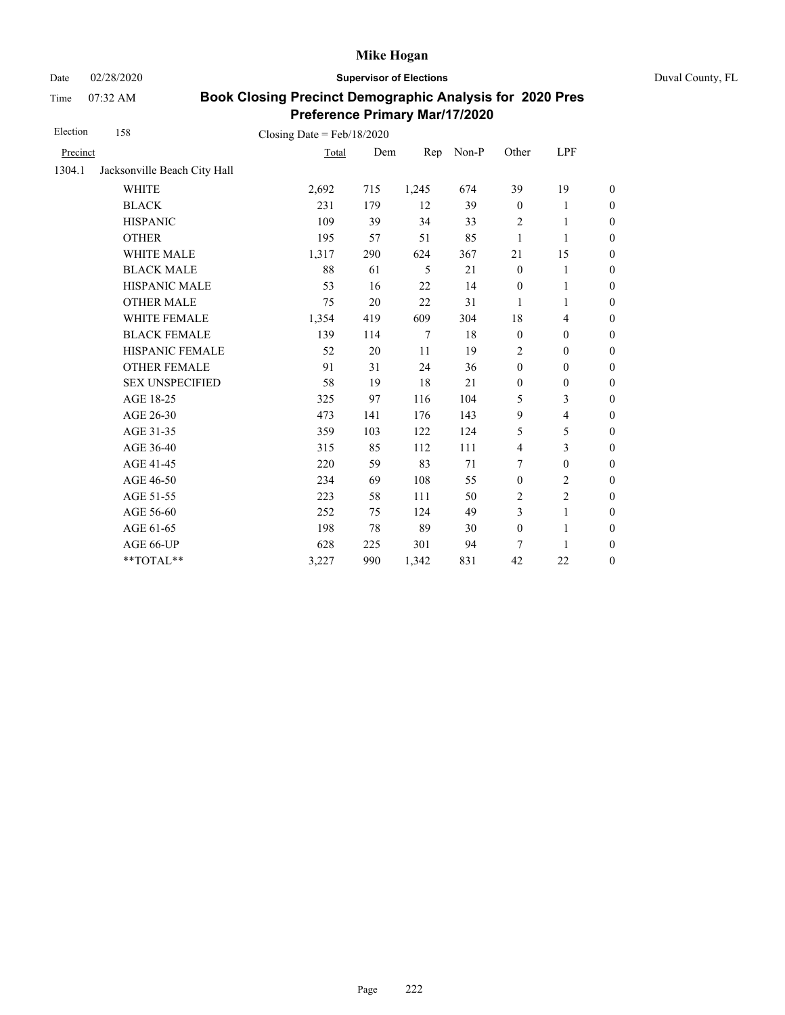Date 02/28/2020 **Supervisor of Elections** Duval County, FL

Time 07:32 AM

| Election | 158                          | Closing Date = $Feb/18/2020$ |     |        |       |                  |                          |                  |
|----------|------------------------------|------------------------------|-----|--------|-------|------------------|--------------------------|------------------|
| Precinct |                              | Total                        | Dem | Rep    | Non-P | Other            | LPF                      |                  |
| 1304.1   | Jacksonville Beach City Hall |                              |     |        |       |                  |                          |                  |
|          | <b>WHITE</b>                 | 2,692                        | 715 | 1,245  | 674   | 39               | 19                       | $\boldsymbol{0}$ |
|          | <b>BLACK</b>                 | 231                          | 179 | 12     | 39    | $\boldsymbol{0}$ | 1                        | $\boldsymbol{0}$ |
|          | <b>HISPANIC</b>              | 109                          | 39  | 34     | 33    | $\overline{2}$   | $\mathbf{1}$             | $\boldsymbol{0}$ |
|          | <b>OTHER</b>                 | 195                          | 57  | 51     | 85    | $\mathbf{1}$     | $\mathbf{1}$             | $\overline{0}$   |
|          | WHITE MALE                   | 1,317                        | 290 | 624    | 367   | 21               | 15                       | $\boldsymbol{0}$ |
|          | <b>BLACK MALE</b>            | 88                           | 61  | 5      | 21    | $\mathbf{0}$     | 1                        | $\boldsymbol{0}$ |
|          | <b>HISPANIC MALE</b>         | 53                           | 16  | 22     | 14    | $\mathbf{0}$     | $\mathbf{1}$             | $\overline{0}$   |
|          | <b>OTHER MALE</b>            | 75                           | 20  | 22     | 31    | 1                | 1                        | $\boldsymbol{0}$ |
|          | WHITE FEMALE                 | 1,354                        | 419 | 609    | 304   | 18               | $\overline{4}$           | $\boldsymbol{0}$ |
|          | <b>BLACK FEMALE</b>          | 139                          | 114 | $\tau$ | 18    | $\mathbf{0}$     | $\mathbf{0}$             | $\boldsymbol{0}$ |
|          | HISPANIC FEMALE              | 52                           | 20  | 11     | 19    | $\overline{2}$   | $\boldsymbol{0}$         | $\boldsymbol{0}$ |
|          | <b>OTHER FEMALE</b>          | 91                           | 31  | 24     | 36    | $\boldsymbol{0}$ | $\boldsymbol{0}$         | $\boldsymbol{0}$ |
|          | <b>SEX UNSPECIFIED</b>       | 58                           | 19  | 18     | 21    | $\boldsymbol{0}$ | $\boldsymbol{0}$         | $\boldsymbol{0}$ |
|          | AGE 18-25                    | 325                          | 97  | 116    | 104   | 5                | 3                        | $\boldsymbol{0}$ |
|          | AGE 26-30                    | 473                          | 141 | 176    | 143   | 9                | $\overline{\mathcal{L}}$ | $\overline{0}$   |
|          | AGE 31-35                    | 359                          | 103 | 122    | 124   | 5                | 5                        | $\boldsymbol{0}$ |
|          | AGE 36-40                    | 315                          | 85  | 112    | 111   | $\overline{4}$   | 3                        | $\boldsymbol{0}$ |
|          | AGE 41-45                    | 220                          | 59  | 83     | 71    | 7                | $\boldsymbol{0}$         | $\boldsymbol{0}$ |
|          | AGE 46-50                    | 234                          | 69  | 108    | 55    | $\boldsymbol{0}$ | $\overline{c}$           | $\boldsymbol{0}$ |
|          | AGE 51-55                    | 223                          | 58  | 111    | 50    | $\overline{c}$   | $\overline{c}$           | $\boldsymbol{0}$ |
|          | AGE 56-60                    | 252                          | 75  | 124    | 49    | $\mathfrak{Z}$   | $\mathbf{1}$             | $\boldsymbol{0}$ |
|          | AGE 61-65                    | 198                          | 78  | 89     | 30    | $\boldsymbol{0}$ | $\mathbf{1}$             | $\boldsymbol{0}$ |
|          | AGE 66-UP                    | 628                          | 225 | 301    | 94    | 7                | 1                        | $\boldsymbol{0}$ |
|          | **TOTAL**                    | 3,227                        | 990 | 1,342  | 831   | 42               | 22                       | $\boldsymbol{0}$ |
|          |                              |                              |     |        |       |                  |                          |                  |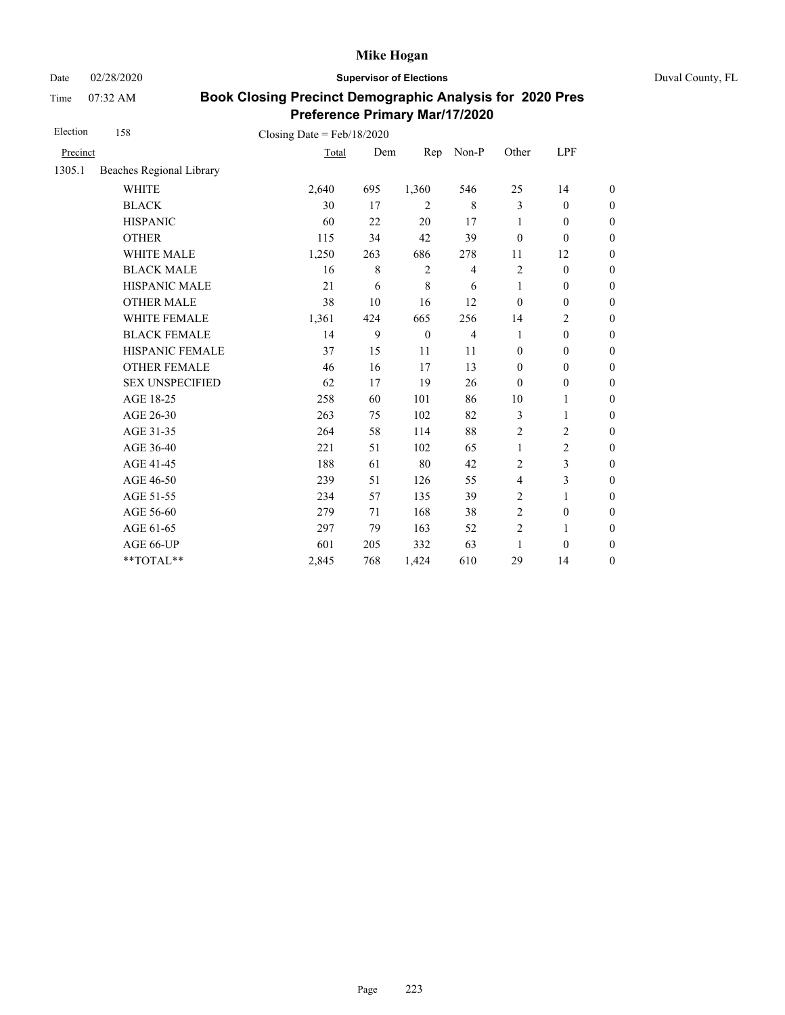Date 02/28/2020 **Supervisor of Elections** Duval County, FL

Time 07:32 AM

| Election | 158                      | Closing Date = $Feb/18/2020$ |             |              |                |                  |                  |                  |
|----------|--------------------------|------------------------------|-------------|--------------|----------------|------------------|------------------|------------------|
| Precinct |                          | Total                        | Dem         | Rep          | Non-P          | Other            | LPF              |                  |
| 1305.1   | Beaches Regional Library |                              |             |              |                |                  |                  |                  |
|          | <b>WHITE</b>             | 2,640                        | 695         | 1,360        | 546            | 25               | 14               | $\boldsymbol{0}$ |
|          | <b>BLACK</b>             | 30                           | 17          | 2            | 8              | 3                | $\boldsymbol{0}$ | $\boldsymbol{0}$ |
|          | <b>HISPANIC</b>          | 60                           | 22          | 20           | 17             | 1                | $\boldsymbol{0}$ | $\boldsymbol{0}$ |
|          | <b>OTHER</b>             | 115                          | 34          | 42           | 39             | $\boldsymbol{0}$ | $\boldsymbol{0}$ | $\boldsymbol{0}$ |
|          | WHITE MALE               | 1,250                        | 263         | 686          | 278            | 11               | 12               | $\boldsymbol{0}$ |
|          | <b>BLACK MALE</b>        | 16                           | $\,$ 8 $\,$ | $\sqrt{2}$   | $\overline{4}$ | $\sqrt{2}$       | $\boldsymbol{0}$ | $\boldsymbol{0}$ |
|          | HISPANIC MALE            | 21                           | 6           | $\,8\,$      | 6              | $\mathbf{1}$     | $\boldsymbol{0}$ | $\boldsymbol{0}$ |
|          | <b>OTHER MALE</b>        | 38                           | 10          | 16           | 12             | $\mathbf{0}$     | $\boldsymbol{0}$ | $\boldsymbol{0}$ |
|          | WHITE FEMALE             | 1,361                        | 424         | 665          | 256            | 14               | $\overline{c}$   | $\boldsymbol{0}$ |
|          | <b>BLACK FEMALE</b>      | 14                           | 9           | $\mathbf{0}$ | $\overline{4}$ | 1                | $\mathbf{0}$     | $\overline{0}$   |
|          | HISPANIC FEMALE          | 37                           | 15          | 11           | 11             | $\boldsymbol{0}$ | $\boldsymbol{0}$ | $\boldsymbol{0}$ |
|          | <b>OTHER FEMALE</b>      | 46                           | 16          | 17           | 13             | $\mathbf{0}$     | $\mathbf{0}$     | $\boldsymbol{0}$ |
|          | <b>SEX UNSPECIFIED</b>   | 62                           | 17          | 19           | 26             | $\theta$         | $\boldsymbol{0}$ | $\boldsymbol{0}$ |
|          | AGE 18-25                | 258                          | 60          | 101          | 86             | $10\,$           | 1                | $\overline{0}$   |
|          | AGE 26-30                | 263                          | 75          | 102          | 82             | 3                | 1                | $\boldsymbol{0}$ |
|          | AGE 31-35                | 264                          | 58          | 114          | 88             | $\overline{2}$   | $\overline{c}$   | $\boldsymbol{0}$ |
|          | AGE 36-40                | 221                          | 51          | 102          | 65             | $\mathbf{1}$     | $\overline{c}$   | $\boldsymbol{0}$ |
|          | AGE 41-45                | 188                          | 61          | 80           | 42             | $\overline{2}$   | 3                | $\overline{0}$   |
|          | AGE 46-50                | 239                          | 51          | 126          | 55             | $\overline{4}$   | 3                | $\boldsymbol{0}$ |
|          | AGE 51-55                | 234                          | 57          | 135          | 39             | $\overline{2}$   | $\mathbf{1}$     | $\boldsymbol{0}$ |
|          | AGE 56-60                | 279                          | 71          | 168          | 38             | $\overline{2}$   | $\boldsymbol{0}$ | $\overline{0}$   |
|          | AGE 61-65                | 297                          | 79          | 163          | 52             | $\overline{2}$   | $\mathbf{1}$     | $\boldsymbol{0}$ |
|          | AGE 66-UP                | 601                          | 205         | 332          | 63             | 1                | $\boldsymbol{0}$ | $\overline{0}$   |
|          | **TOTAL**                | 2,845                        | 768         | 1,424        | 610            | 29               | 14               | $\boldsymbol{0}$ |
|          |                          |                              |             |              |                |                  |                  |                  |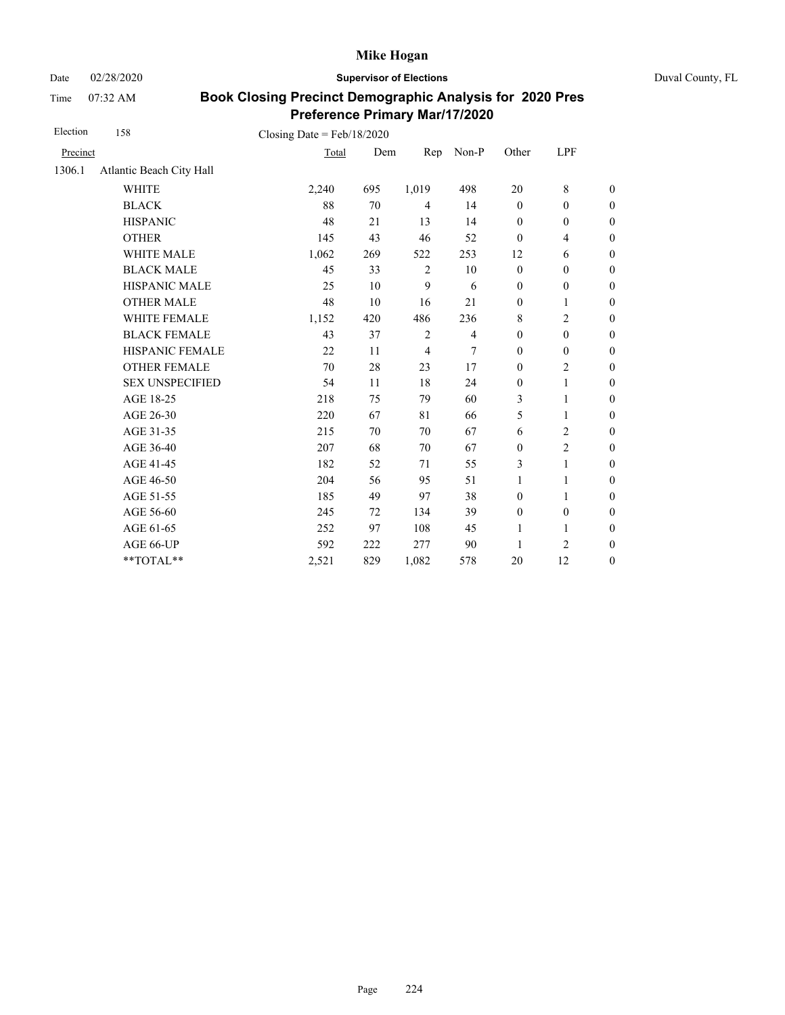Date 02/28/2020 **Supervisor of Elections** Duval County, FL

Time 07:32 AM

| Election | 158                      | Closing Date = $Feb/18/2020$ |     |                |                |                  |                          |                  |
|----------|--------------------------|------------------------------|-----|----------------|----------------|------------------|--------------------------|------------------|
| Precinct |                          | Total                        | Dem | Rep            | Non-P          | Other            | LPF                      |                  |
| 1306.1   | Atlantic Beach City Hall |                              |     |                |                |                  |                          |                  |
|          | <b>WHITE</b>             | 2,240                        | 695 | 1,019          | 498            | 20               | 8                        | $\boldsymbol{0}$ |
|          | <b>BLACK</b>             | 88                           | 70  | $\overline{4}$ | 14             | $\mathbf{0}$     | $\boldsymbol{0}$         | $\boldsymbol{0}$ |
|          | <b>HISPANIC</b>          | 48                           | 21  | 13             | 14             | $\boldsymbol{0}$ | $\boldsymbol{0}$         | $\boldsymbol{0}$ |
|          | <b>OTHER</b>             | 145                          | 43  | 46             | 52             | $\theta$         | $\overline{\mathcal{L}}$ | $\boldsymbol{0}$ |
|          | WHITE MALE               | 1,062                        | 269 | 522            | 253            | 12               | 6                        | $\boldsymbol{0}$ |
|          | <b>BLACK MALE</b>        | 45                           | 33  | $\overline{2}$ | 10             | $\boldsymbol{0}$ | $\boldsymbol{0}$         | $\boldsymbol{0}$ |
|          | HISPANIC MALE            | 25                           | 10  | 9              | 6              | $\boldsymbol{0}$ | $\boldsymbol{0}$         | $\overline{0}$   |
|          | <b>OTHER MALE</b>        | 48                           | 10  | 16             | 21             | $\boldsymbol{0}$ | 1                        | $\boldsymbol{0}$ |
|          | WHITE FEMALE             | 1,152                        | 420 | 486            | 236            | 8                | $\overline{c}$           | $\boldsymbol{0}$ |
|          | <b>BLACK FEMALE</b>      | 43                           | 37  | $\overline{2}$ | $\overline{4}$ | $\mathbf{0}$     | $\mathbf{0}$             | $\overline{0}$   |
|          | HISPANIC FEMALE          | 22                           | 11  | $\overline{4}$ | 7              | $\boldsymbol{0}$ | $\boldsymbol{0}$         | $\boldsymbol{0}$ |
|          | <b>OTHER FEMALE</b>      | 70                           | 28  | 23             | 17             | $\mathbf{0}$     | $\overline{2}$           | $\boldsymbol{0}$ |
|          | <b>SEX UNSPECIFIED</b>   | 54                           | 11  | 18             | 24             | $\boldsymbol{0}$ | $\mathbf{1}$             | $\boldsymbol{0}$ |
|          | AGE 18-25                | 218                          | 75  | 79             | 60             | 3                | $\mathbf{1}$             | $\overline{0}$   |
|          | AGE 26-30                | 220                          | 67  | 81             | 66             | 5                | 1                        | $\overline{0}$   |
|          | AGE 31-35                | 215                          | 70  | 70             | 67             | 6                | 2                        | $\boldsymbol{0}$ |
|          | AGE 36-40                | 207                          | 68  | 70             | 67             | $\mathbf{0}$     | $\overline{c}$           | $\boldsymbol{0}$ |
|          | AGE 41-45                | 182                          | 52  | 71             | 55             | 3                | $\mathbf{1}$             | $\overline{0}$   |
|          | AGE 46-50                | 204                          | 56  | 95             | 51             | $\mathbf{1}$     | 1                        | $\boldsymbol{0}$ |
|          | AGE 51-55                | 185                          | 49  | 97             | 38             | $\mathbf{0}$     | $\mathbf{1}$             | $\boldsymbol{0}$ |
|          | AGE 56-60                | 245                          | 72  | 134            | 39             | $\mathbf{0}$     | $\boldsymbol{0}$         | $\overline{0}$   |
|          | AGE 61-65                | 252                          | 97  | 108            | 45             | 1                | 1                        | $\boldsymbol{0}$ |
|          | AGE 66-UP                | 592                          | 222 | 277            | 90             | 1                | $\overline{2}$           | $\overline{0}$   |
|          | **TOTAL**                | 2,521                        | 829 | 1,082          | 578            | 20               | 12                       | $\boldsymbol{0}$ |
|          |                          |                              |     |                |                |                  |                          |                  |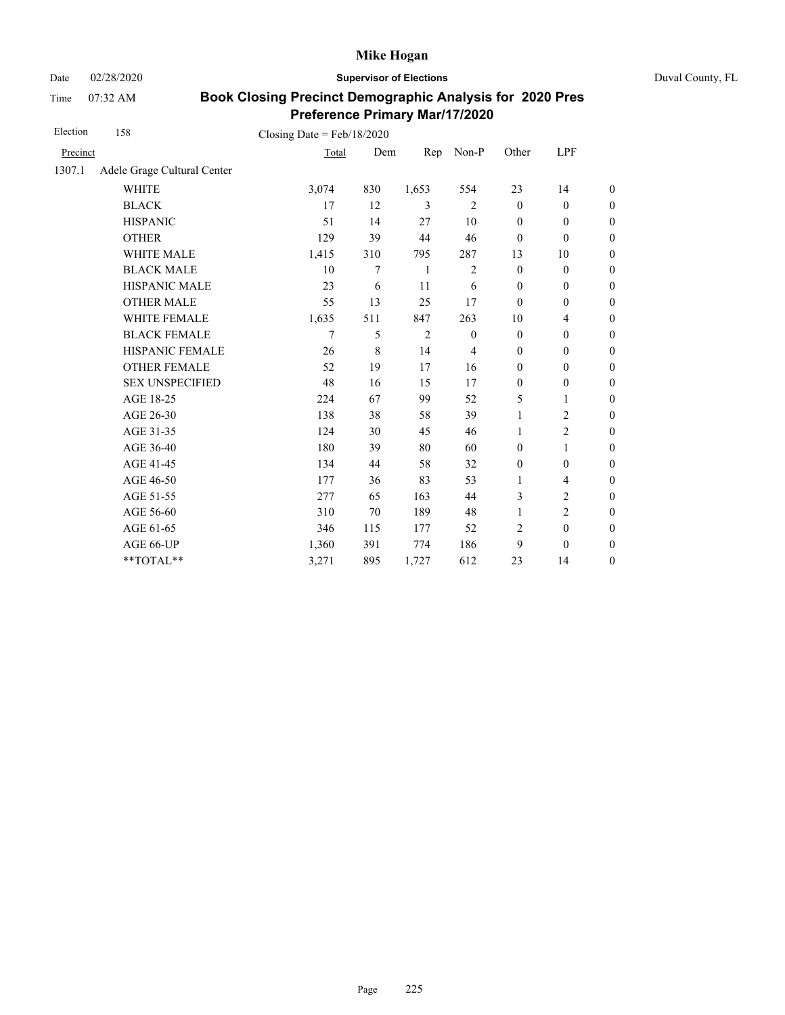Date 02/28/2020 **Supervisor of Elections** Duval County, FL

Time 07:32 AM

| Election | 158                         | Closing Date = $Feb/18/2020$ |     |                |                |              |                  |                  |
|----------|-----------------------------|------------------------------|-----|----------------|----------------|--------------|------------------|------------------|
| Precinct |                             | Total                        | Dem | Rep            | Non-P          | Other        | LPF              |                  |
| 1307.1   | Adele Grage Cultural Center |                              |     |                |                |              |                  |                  |
|          | <b>WHITE</b>                | 3,074                        | 830 | 1,653          | 554            | 23           | 14               | $\boldsymbol{0}$ |
|          | <b>BLACK</b>                | 17                           | 12  | 3              | $\overline{2}$ | $\mathbf{0}$ | $\mathbf{0}$     | $\boldsymbol{0}$ |
|          | <b>HISPANIC</b>             | 51                           | 14  | 27             | 10             | $\mathbf{0}$ | $\mathbf{0}$     | $\overline{0}$   |
|          | <b>OTHER</b>                | 129                          | 39  | 44             | 46             | $\mathbf{0}$ | $\mathbf{0}$     | $\boldsymbol{0}$ |
|          | WHITE MALE                  | 1,415                        | 310 | 795            | 287            | 13           | 10               | $\boldsymbol{0}$ |
|          | <b>BLACK MALE</b>           | 10                           | 7   | -1             | $\overline{c}$ | $\mathbf{0}$ | $\mathbf{0}$     | $\boldsymbol{0}$ |
|          | <b>HISPANIC MALE</b>        | 23                           | 6   | 11             | 6              | $\mathbf{0}$ | $\mathbf{0}$     | $\overline{0}$   |
|          | <b>OTHER MALE</b>           | 55                           | 13  | 25             | 17             | $\mathbf{0}$ | $\mathbf{0}$     | $\boldsymbol{0}$ |
|          | WHITE FEMALE                | 1,635                        | 511 | 847            | 263            | 10           | $\overline{4}$   | $\boldsymbol{0}$ |
|          | <b>BLACK FEMALE</b>         | 7                            | 5   | $\overline{c}$ | $\mathbf{0}$   | $\mathbf{0}$ | $\mathbf{0}$     | $\overline{0}$   |
|          | HISPANIC FEMALE             | 26                           | 8   | 14             | 4              | $\mathbf{0}$ | $\boldsymbol{0}$ | $\boldsymbol{0}$ |
|          | <b>OTHER FEMALE</b>         | 52                           | 19  | 17             | 16             | $\mathbf{0}$ | $\mathbf{0}$     | $\boldsymbol{0}$ |
|          | <b>SEX UNSPECIFIED</b>      | 48                           | 16  | 15             | 17             | $\mathbf{0}$ | $\mathbf{0}$     | $\boldsymbol{0}$ |
|          | AGE 18-25                   | 224                          | 67  | 99             | 52             | 5            | 1                | $\boldsymbol{0}$ |
|          | AGE 26-30                   | 138                          | 38  | 58             | 39             | 1            | $\overline{c}$   | $\boldsymbol{0}$ |
|          | AGE 31-35                   | 124                          | 30  | 45             | 46             | 1            | $\overline{c}$   | $\boldsymbol{0}$ |
|          | AGE 36-40                   | 180                          | 39  | 80             | 60             | $\mathbf{0}$ | 1                | $\boldsymbol{0}$ |
|          | AGE 41-45                   | 134                          | 44  | 58             | 32             | $\mathbf{0}$ | $\mathbf{0}$     | $\overline{0}$   |
|          | AGE 46-50                   | 177                          | 36  | 83             | 53             | 1            | $\overline{4}$   | $\boldsymbol{0}$ |
|          | AGE 51-55                   | 277                          | 65  | 163            | 44             | 3            | $\overline{c}$   | $\boldsymbol{0}$ |
|          | AGE 56-60                   | 310                          | 70  | 189            | 48             | $\mathbf{1}$ | $\overline{2}$   | $\overline{0}$   |
|          | AGE 61-65                   | 346                          | 115 | 177            | 52             | 2            | $\mathbf{0}$     | $\boldsymbol{0}$ |
|          | AGE 66-UP                   | 1,360                        | 391 | 774            | 186            | 9            | $\mathbf{0}$     | $\boldsymbol{0}$ |
|          | **TOTAL**                   | 3,271                        | 895 | 1,727          | 612            | 23           | 14               | $\overline{0}$   |
|          |                             |                              |     |                |                |              |                  |                  |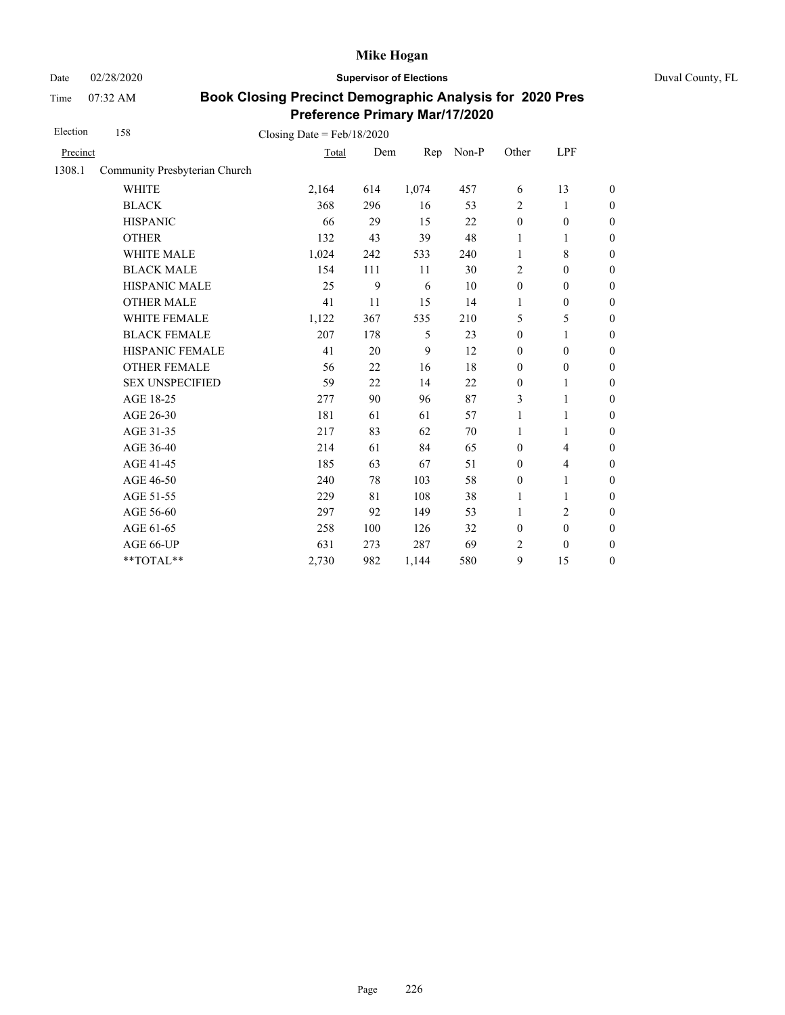Date 02/28/2020 **Supervisor of Elections** Duval County, FL

Time 07:32 AM

| Election | 158                           | Closing Date = $Feb/18/2020$ |     |       |       |                  |                          |                  |
|----------|-------------------------------|------------------------------|-----|-------|-------|------------------|--------------------------|------------------|
| Precinct |                               | Total                        | Dem | Rep   | Non-P | Other            | LPF                      |                  |
| 1308.1   | Community Presbyterian Church |                              |     |       |       |                  |                          |                  |
|          | <b>WHITE</b>                  | 2,164                        | 614 | 1,074 | 457   | 6                | 13                       | $\boldsymbol{0}$ |
|          | <b>BLACK</b>                  | 368                          | 296 | 16    | 53    | $\overline{2}$   | 1                        | $\boldsymbol{0}$ |
|          | <b>HISPANIC</b>               | 66                           | 29  | 15    | 22    | $\boldsymbol{0}$ | $\boldsymbol{0}$         | $\boldsymbol{0}$ |
|          | <b>OTHER</b>                  | 132                          | 43  | 39    | 48    | 1                | $\mathbf{1}$             | $\overline{0}$   |
|          | WHITE MALE                    | 1,024                        | 242 | 533   | 240   | 1                | 8                        | $\boldsymbol{0}$ |
|          | <b>BLACK MALE</b>             | 154                          | 111 | 11    | 30    | $\overline{2}$   | $\mathbf{0}$             | $\boldsymbol{0}$ |
|          | <b>HISPANIC MALE</b>          | 25                           | 9   | 6     | 10    | $\mathbf{0}$     | $\mathbf{0}$             | $\overline{0}$   |
|          | <b>OTHER MALE</b>             | 41                           | 11  | 15    | 14    | 1                | $\boldsymbol{0}$         | $\overline{0}$   |
|          | WHITE FEMALE                  | 1,122                        | 367 | 535   | 210   | 5                | 5                        | $\overline{0}$   |
|          | <b>BLACK FEMALE</b>           | 207                          | 178 | 5     | 23    | $\mathbf{0}$     | 1                        | $\overline{0}$   |
|          | HISPANIC FEMALE               | 41                           | 20  | 9     | 12    | $\boldsymbol{0}$ | $\boldsymbol{0}$         | $\boldsymbol{0}$ |
|          | <b>OTHER FEMALE</b>           | 56                           | 22  | 16    | 18    | $\boldsymbol{0}$ | $\boldsymbol{0}$         | $\boldsymbol{0}$ |
|          | <b>SEX UNSPECIFIED</b>        | 59                           | 22  | 14    | 22    | $\mathbf{0}$     | 1                        | $\boldsymbol{0}$ |
|          | AGE 18-25                     | 277                          | 90  | 96    | 87    | 3                | $\mathbf{1}$             | $\overline{0}$   |
|          | AGE 26-30                     | 181                          | 61  | 61    | 57    | 1                | $\mathbf{1}$             | $\overline{0}$   |
|          | AGE 31-35                     | 217                          | 83  | 62    | 70    | 1                | 1                        | $\boldsymbol{0}$ |
|          | AGE 36-40                     | 214                          | 61  | 84    | 65    | $\mathbf{0}$     | $\overline{4}$           | $\boldsymbol{0}$ |
|          | AGE 41-45                     | 185                          | 63  | 67    | 51    | $\boldsymbol{0}$ | $\overline{\mathcal{L}}$ | $\overline{0}$   |
|          | AGE 46-50                     | 240                          | 78  | 103   | 58    | $\boldsymbol{0}$ | 1                        | $\boldsymbol{0}$ |
|          | AGE 51-55                     | 229                          | 81  | 108   | 38    | 1                | 1                        | $\boldsymbol{0}$ |
|          | AGE 56-60                     | 297                          | 92  | 149   | 53    | 1                | $\overline{c}$           | $\boldsymbol{0}$ |
|          | AGE 61-65                     | 258                          | 100 | 126   | 32    | $\boldsymbol{0}$ | $\boldsymbol{0}$         | $\boldsymbol{0}$ |
|          | AGE 66-UP                     | 631                          | 273 | 287   | 69    | 2                | $\mathbf{0}$             | $\boldsymbol{0}$ |
|          | **TOTAL**                     | 2,730                        | 982 | 1,144 | 580   | 9                | 15                       | $\boldsymbol{0}$ |
|          |                               |                              |     |       |       |                  |                          |                  |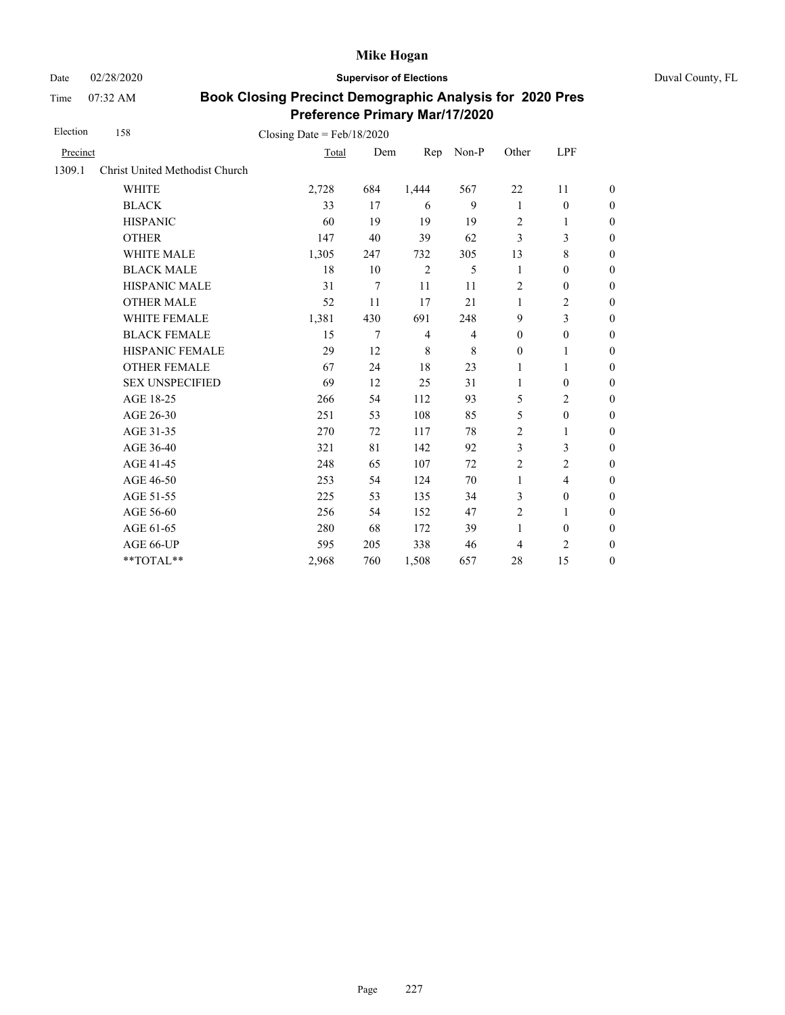Date 02/28/2020 **Supervisor of Elections** Duval County, FL

Time 07:32 AM

| Election | 158                            | Closing Date = $Feb/18/2020$ |     |                |                |                  |                          |                  |
|----------|--------------------------------|------------------------------|-----|----------------|----------------|------------------|--------------------------|------------------|
| Precinct |                                | Total                        | Dem | Rep            | Non-P          | Other            | LPF                      |                  |
| 1309.1   | Christ United Methodist Church |                              |     |                |                |                  |                          |                  |
|          | <b>WHITE</b>                   | 2,728                        | 684 | 1,444          | 567            | 22               | 11                       | $\overline{0}$   |
|          | <b>BLACK</b>                   | 33                           | 17  | 6              | 9              | $\mathbf{1}$     | $\mathbf{0}$             | $\boldsymbol{0}$ |
|          | <b>HISPANIC</b>                | 60                           | 19  | 19             | 19             | $\overline{c}$   | 1                        | $\boldsymbol{0}$ |
|          | <b>OTHER</b>                   | 147                          | 40  | 39             | 62             | $\mathfrak{Z}$   | 3                        | $\overline{0}$   |
|          | WHITE MALE                     | 1,305                        | 247 | 732            | 305            | 13               | 8                        | $\boldsymbol{0}$ |
|          | <b>BLACK MALE</b>              | 18                           | 10  | $\overline{2}$ | 5              | 1                | $\mathbf{0}$             | $\overline{0}$   |
|          | HISPANIC MALE                  | 31                           | 7   | 11             | 11             | $\overline{2}$   | $\boldsymbol{0}$         | $\boldsymbol{0}$ |
|          | <b>OTHER MALE</b>              | 52                           | 11  | 17             | 21             | $\mathbf{1}$     | $\overline{c}$           | $\boldsymbol{0}$ |
|          | <b>WHITE FEMALE</b>            | 1,381                        | 430 | 691            | 248            | 9                | 3                        | $\boldsymbol{0}$ |
|          | <b>BLACK FEMALE</b>            | 15                           | 7   | $\overline{4}$ | $\overline{4}$ | $\mathbf{0}$     | $\mathbf{0}$             | $\overline{0}$   |
|          | HISPANIC FEMALE                | 29                           | 12  | $\,8\,$        | 8              | $\boldsymbol{0}$ | 1                        | $\boldsymbol{0}$ |
|          | <b>OTHER FEMALE</b>            | 67                           | 24  | 18             | 23             | 1                | 1                        | $\boldsymbol{0}$ |
|          | <b>SEX UNSPECIFIED</b>         | 69                           | 12  | 25             | 31             | $\mathbf{1}$     | $\mathbf{0}$             | $\boldsymbol{0}$ |
|          | AGE 18-25                      | 266                          | 54  | 112            | 93             | 5                | $\overline{c}$           | $\boldsymbol{0}$ |
|          | AGE 26-30                      | 251                          | 53  | 108            | 85             | 5                | $\boldsymbol{0}$         | $\boldsymbol{0}$ |
|          | AGE 31-35                      | 270                          | 72  | 117            | 78             | $\overline{2}$   | 1                        | $\boldsymbol{0}$ |
|          | AGE 36-40                      | 321                          | 81  | 142            | 92             | 3                | 3                        | $\boldsymbol{0}$ |
|          | AGE 41-45                      | 248                          | 65  | 107            | 72             | $\overline{2}$   | $\overline{c}$           | $\overline{0}$   |
|          | AGE 46-50                      | 253                          | 54  | 124            | 70             | 1                | $\overline{\mathcal{L}}$ | $\boldsymbol{0}$ |
|          | AGE 51-55                      | 225                          | 53  | 135            | 34             | 3                | $\mathbf{0}$             | $\overline{0}$   |
|          | AGE 56-60                      | 256                          | 54  | 152            | 47             | $\overline{2}$   | 1                        | $\overline{0}$   |
|          | AGE 61-65                      | 280                          | 68  | 172            | 39             | 1                | $\mathbf{0}$             | $\boldsymbol{0}$ |
|          | AGE 66-UP                      | 595                          | 205 | 338            | 46             | 4                | $\overline{2}$           | $\boldsymbol{0}$ |
|          | **TOTAL**                      | 2,968                        | 760 | 1,508          | 657            | 28               | 15                       | $\overline{0}$   |
|          |                                |                              |     |                |                |                  |                          |                  |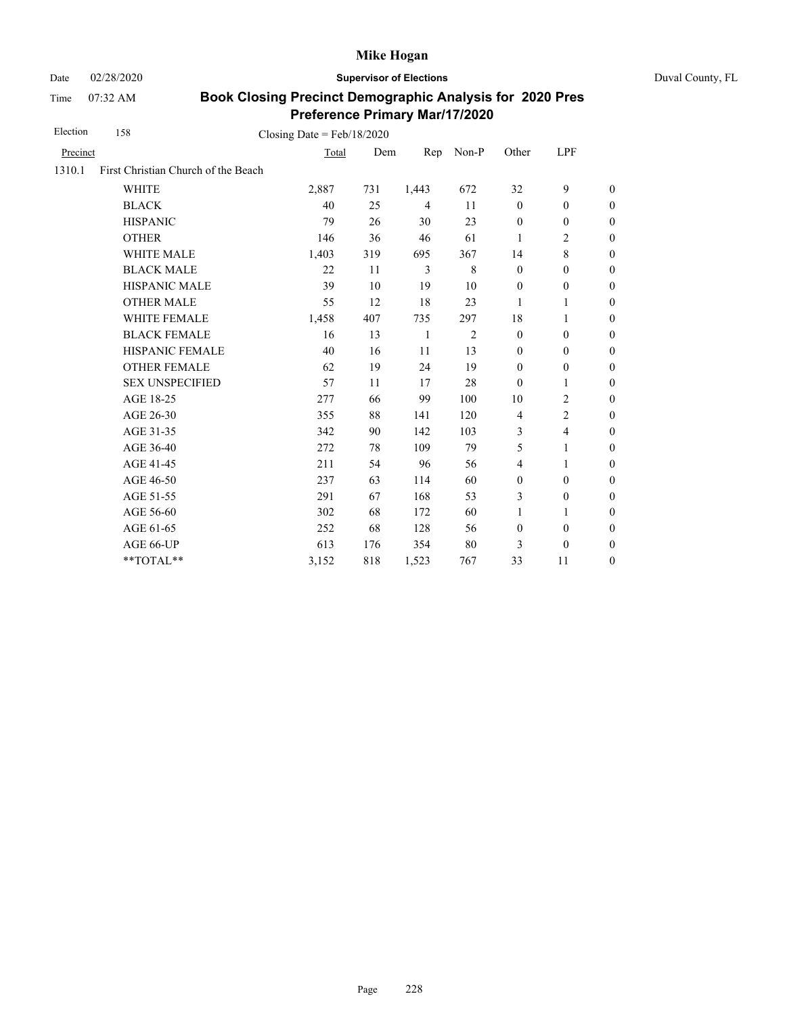Date 02/28/2020 **Supervisor of Elections** Duval County, FL

Time 07:32 AM

| Election | 158                                 | Closing Date = $Feb/18/2020$ |     |                |                |                  |                  |                  |
|----------|-------------------------------------|------------------------------|-----|----------------|----------------|------------------|------------------|------------------|
| Precinct |                                     | Total                        | Dem | Rep            | Non-P          | Other            | LPF              |                  |
| 1310.1   | First Christian Church of the Beach |                              |     |                |                |                  |                  |                  |
|          | <b>WHITE</b>                        | 2,887                        | 731 | 1,443          | 672            | 32               | 9                | $\theta$         |
|          | <b>BLACK</b>                        | 40                           | 25  | $\overline{4}$ | 11             | $\mathbf{0}$     | $\mathbf{0}$     | $\boldsymbol{0}$ |
|          | <b>HISPANIC</b>                     | 79                           | 26  | 30             | 23             | $\boldsymbol{0}$ | $\boldsymbol{0}$ | $\boldsymbol{0}$ |
|          | <b>OTHER</b>                        | 146                          | 36  | 46             | 61             | 1                | $\overline{c}$   | $\boldsymbol{0}$ |
|          | WHITE MALE                          | 1,403                        | 319 | 695            | 367            | 14               | $\,8\,$          | $\boldsymbol{0}$ |
|          | <b>BLACK MALE</b>                   | 22                           | 11  | 3              | 8              | $\mathbf{0}$     | $\boldsymbol{0}$ | $\boldsymbol{0}$ |
|          | <b>HISPANIC MALE</b>                | 39                           | 10  | 19             | 10             | $\boldsymbol{0}$ | $\boldsymbol{0}$ | $\overline{0}$   |
|          | <b>OTHER MALE</b>                   | 55                           | 12  | 18             | 23             | 1                | 1                | $\overline{0}$   |
|          | WHITE FEMALE                        | 1,458                        | 407 | 735            | 297            | 18               | 1                | 0                |
|          | <b>BLACK FEMALE</b>                 | 16                           | 13  | 1              | $\overline{2}$ | $\mathbf{0}$     | $\mathbf{0}$     | $\overline{0}$   |
|          | HISPANIC FEMALE                     | 40                           | 16  | 11             | 13             | $\boldsymbol{0}$ | $\boldsymbol{0}$ | $\boldsymbol{0}$ |
|          | <b>OTHER FEMALE</b>                 | 62                           | 19  | 24             | 19             | $\boldsymbol{0}$ | $\boldsymbol{0}$ | $\boldsymbol{0}$ |
|          | <b>SEX UNSPECIFIED</b>              | 57                           | 11  | 17             | 28             | $\theta$         | 1                | $\boldsymbol{0}$ |
|          | AGE 18-25                           | 277                          | 66  | 99             | 100            | 10               | $\overline{c}$   | $\overline{0}$   |
|          | AGE 26-30                           | 355                          | 88  | 141            | 120            | $\overline{4}$   | $\overline{c}$   | $\boldsymbol{0}$ |
|          | AGE 31-35                           | 342                          | 90  | 142            | 103            | 3                | $\overline{4}$   | $\overline{0}$   |
|          | AGE 36-40                           | 272                          | 78  | 109            | 79             | 5                | 1                | $\overline{0}$   |
|          | AGE 41-45                           | 211                          | 54  | 96             | 56             | $\overline{4}$   | 1                | $\boldsymbol{0}$ |
|          | AGE 46-50                           | 237                          | 63  | 114            | 60             | $\boldsymbol{0}$ | $\boldsymbol{0}$ | $\boldsymbol{0}$ |
|          | AGE 51-55                           | 291                          | 67  | 168            | 53             | 3                | $\boldsymbol{0}$ | 0                |
|          | AGE 56-60                           | 302                          | 68  | 172            | 60             | $\mathbf{1}$     | $\mathbf{1}$     | $\overline{0}$   |
|          | AGE 61-65                           | 252                          | 68  | 128            | 56             | $\mathbf{0}$     | $\mathbf{0}$     | $\boldsymbol{0}$ |
|          | AGE 66-UP                           | 613                          | 176 | 354            | 80             | 3                | $\boldsymbol{0}$ | $\boldsymbol{0}$ |
|          | **TOTAL**                           | 3,152                        | 818 | 1,523          | 767            | 33               | 11               | $\overline{0}$   |
|          |                                     |                              |     |                |                |                  |                  |                  |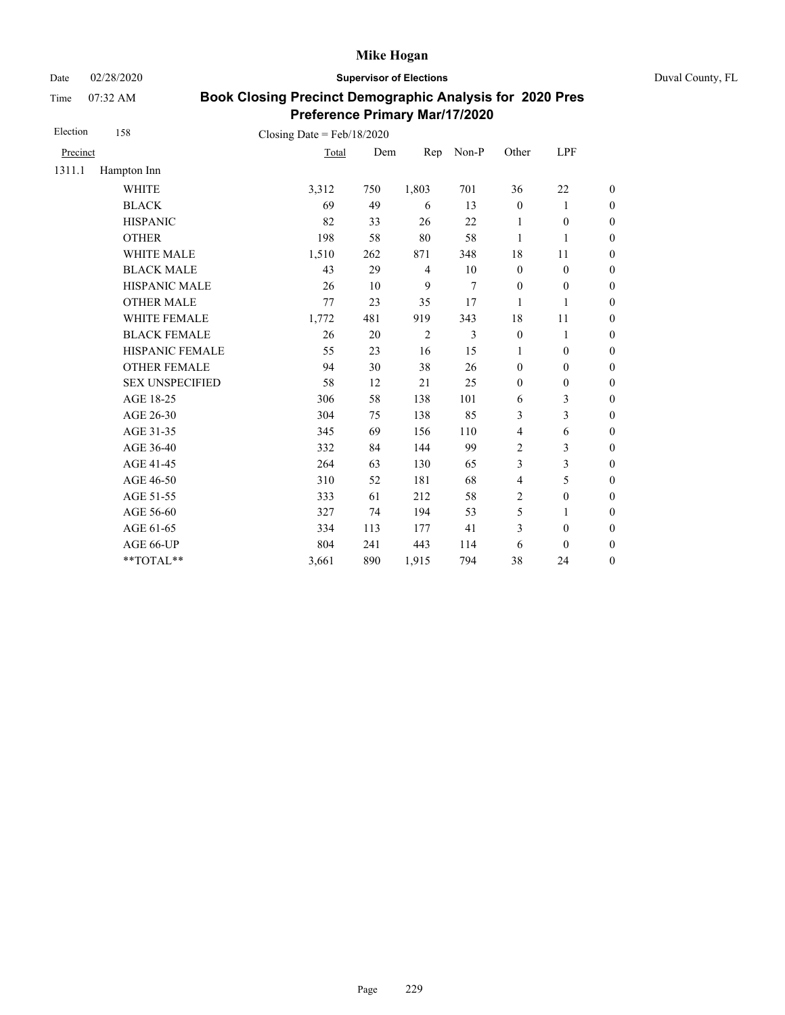Date 02/28/2020 **Supervisor of Elections** Duval County, FL

Time 07:32 AM

| Election | 158                    | Closing Date = $Feb/18/2020$ |     |                |                |                  |                  |                  |
|----------|------------------------|------------------------------|-----|----------------|----------------|------------------|------------------|------------------|
| Precinct |                        | Total                        | Dem | Rep            | Non-P          | Other            | LPF              |                  |
| 1311.1   | Hampton Inn            |                              |     |                |                |                  |                  |                  |
|          | <b>WHITE</b>           | 3,312                        | 750 | 1,803          | 701            | 36               | 22               | $\boldsymbol{0}$ |
|          | <b>BLACK</b>           | 69                           | 49  | 6              | 13             | $\boldsymbol{0}$ | 1                | $\boldsymbol{0}$ |
|          | <b>HISPANIC</b>        | 82                           | 33  | 26             | 22             | 1                | $\boldsymbol{0}$ | $\boldsymbol{0}$ |
|          | <b>OTHER</b>           | 198                          | 58  | 80             | 58             | 1                | $\mathbf{1}$     | $\boldsymbol{0}$ |
|          | WHITE MALE             | 1,510                        | 262 | 871            | 348            | 18               | 11               | $\boldsymbol{0}$ |
|          | <b>BLACK MALE</b>      | 43                           | 29  | $\overline{4}$ | 10             | $\boldsymbol{0}$ | $\boldsymbol{0}$ | $\boldsymbol{0}$ |
|          | HISPANIC MALE          | 26                           | 10  | 9              | 7              | $\boldsymbol{0}$ | $\boldsymbol{0}$ | $\overline{0}$   |
|          | <b>OTHER MALE</b>      | 77                           | 23  | 35             | 17             | 1                | 1                | $\boldsymbol{0}$ |
|          | WHITE FEMALE           | 1,772                        | 481 | 919            | 343            | 18               | 11               | $\boldsymbol{0}$ |
|          | <b>BLACK FEMALE</b>    | 26                           | 20  | 2              | $\overline{3}$ | $\mathbf{0}$     | 1                | $\overline{0}$   |
|          | HISPANIC FEMALE        | 55                           | 23  | 16             | 15             | 1                | $\boldsymbol{0}$ | $\boldsymbol{0}$ |
|          | <b>OTHER FEMALE</b>    | 94                           | 30  | 38             | 26             | $\mathbf{0}$     | $\mathbf{0}$     | $\overline{0}$   |
|          | <b>SEX UNSPECIFIED</b> | 58                           | 12  | 21             | 25             | $\boldsymbol{0}$ | $\boldsymbol{0}$ | $\boldsymbol{0}$ |
|          | AGE 18-25              | 306                          | 58  | 138            | 101            | 6                | 3                | $\overline{0}$   |
|          | AGE 26-30              | 304                          | 75  | 138            | 85             | 3                | 3                | $\boldsymbol{0}$ |
|          | AGE 31-35              | 345                          | 69  | 156            | 110            | $\overline{4}$   | 6                | $\boldsymbol{0}$ |
|          | AGE 36-40              | 332                          | 84  | 144            | 99             | $\sqrt{2}$       | 3                | $\boldsymbol{0}$ |
|          | AGE 41-45              | 264                          | 63  | 130            | 65             | 3                | 3                | $\overline{0}$   |
|          | AGE 46-50              | 310                          | 52  | 181            | 68             | $\overline{4}$   | 5                | $\boldsymbol{0}$ |
|          | AGE 51-55              | 333                          | 61  | 212            | 58             | $\overline{2}$   | $\boldsymbol{0}$ | $\boldsymbol{0}$ |
|          | AGE 56-60              | 327                          | 74  | 194            | 53             | 5                | 1                | $\overline{0}$   |
|          | AGE 61-65              | 334                          | 113 | 177            | 41             | 3                | $\boldsymbol{0}$ | $\overline{0}$   |
|          | AGE 66-UP              | 804                          | 241 | 443            | 114            | 6                | $\mathbf{0}$     | $\boldsymbol{0}$ |
|          | **TOTAL**              | 3,661                        | 890 | 1,915          | 794            | 38               | 24               | $\boldsymbol{0}$ |
|          |                        |                              |     |                |                |                  |                  |                  |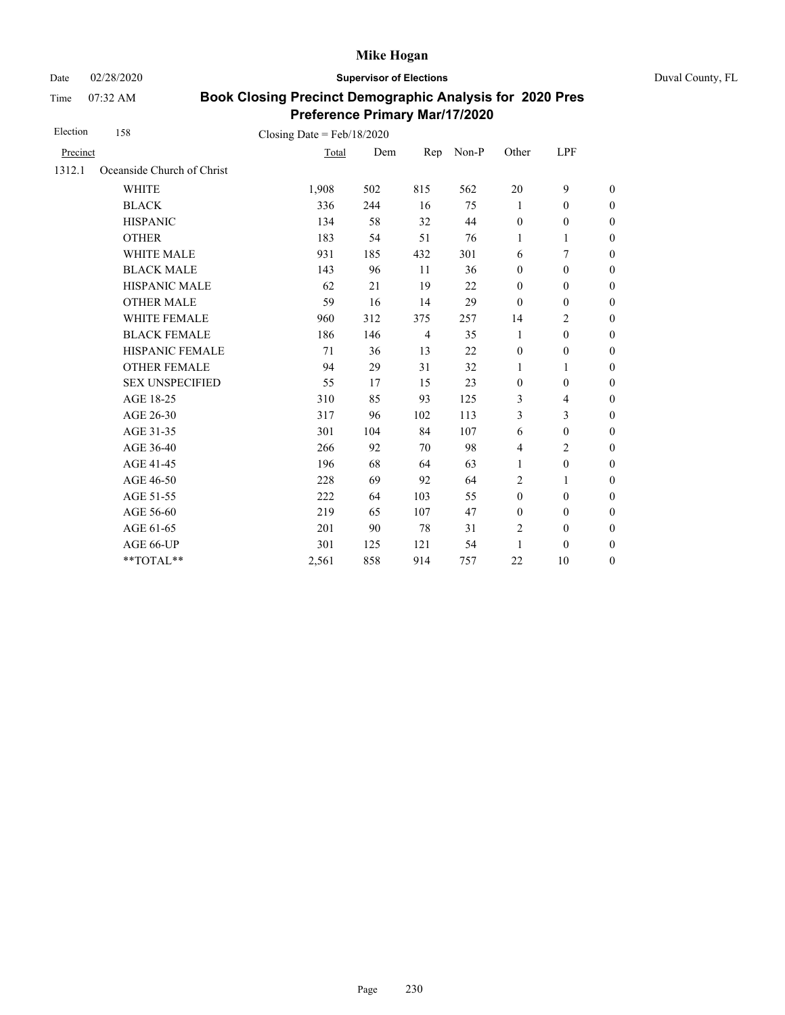Date 02/28/2020 **Supervisor of Elections** Duval County, FL

Time 07:32 AM

| Election | 158                        | Closing Date = $Feb/18/2020$ |     |                |       |                  |                  |                  |
|----------|----------------------------|------------------------------|-----|----------------|-------|------------------|------------------|------------------|
| Precinct |                            | Total                        | Dem | Rep            | Non-P | Other            | LPF              |                  |
| 1312.1   | Oceanside Church of Christ |                              |     |                |       |                  |                  |                  |
|          | <b>WHITE</b>               | 1,908                        | 502 | 815            | 562   | 20               | 9                | $\boldsymbol{0}$ |
|          | <b>BLACK</b>               | 336                          | 244 | 16             | 75    | 1                | $\mathbf{0}$     | $\boldsymbol{0}$ |
|          | <b>HISPANIC</b>            | 134                          | 58  | 32             | 44    | $\theta$         | $\boldsymbol{0}$ | $\boldsymbol{0}$ |
|          | <b>OTHER</b>               | 183                          | 54  | 51             | 76    | 1                | $\mathbf{1}$     | $\boldsymbol{0}$ |
|          | <b>WHITE MALE</b>          | 931                          | 185 | 432            | 301   | 6                | 7                | $\boldsymbol{0}$ |
|          | <b>BLACK MALE</b>          | 143                          | 96  | 11             | 36    | $\mathbf{0}$     | $\mathbf{0}$     | $\boldsymbol{0}$ |
|          | <b>HISPANIC MALE</b>       | 62                           | 21  | 19             | 22    | $\mathbf{0}$     | $\mathbf{0}$     | $\mathbf{0}$     |
|          | <b>OTHER MALE</b>          | 59                           | 16  | 14             | 29    | $\mathbf{0}$     | $\boldsymbol{0}$ | $\boldsymbol{0}$ |
|          | <b>WHITE FEMALE</b>        | 960                          | 312 | 375            | 257   | 14               | $\overline{2}$   | $\boldsymbol{0}$ |
|          | <b>BLACK FEMALE</b>        | 186                          | 146 | $\overline{4}$ | 35    | 1                | $\mathbf{0}$     | $\mathbf{0}$     |
|          | HISPANIC FEMALE            | 71                           | 36  | 13             | 22    | $\boldsymbol{0}$ | $\boldsymbol{0}$ | $\boldsymbol{0}$ |
|          | <b>OTHER FEMALE</b>        | 94                           | 29  | 31             | 32    | 1                | 1                | $\boldsymbol{0}$ |
|          | <b>SEX UNSPECIFIED</b>     | 55                           | 17  | 15             | 23    | $\theta$         | $\mathbf{0}$     | $\boldsymbol{0}$ |
|          | AGE 18-25                  | 310                          | 85  | 93             | 125   | $\mathfrak{Z}$   | 4                | $\boldsymbol{0}$ |
|          | AGE 26-30                  | 317                          | 96  | 102            | 113   | 3                | 3                | $\boldsymbol{0}$ |
|          | AGE 31-35                  | 301                          | 104 | 84             | 107   | 6                | $\boldsymbol{0}$ | $\boldsymbol{0}$ |
|          | AGE 36-40                  | 266                          | 92  | 70             | 98    | 4                | $\overline{2}$   | $\boldsymbol{0}$ |
|          | AGE 41-45                  | 196                          | 68  | 64             | 63    | 1                | $\boldsymbol{0}$ | $\boldsymbol{0}$ |
|          | AGE 46-50                  | 228                          | 69  | 92             | 64    | 2                | 1                | $\boldsymbol{0}$ |
|          | AGE 51-55                  | 222                          | 64  | 103            | 55    | $\mathbf{0}$     | $\mathbf{0}$     | $\boldsymbol{0}$ |
|          | AGE 56-60                  | 219                          | 65  | 107            | 47    | $\mathbf{0}$     | $\mathbf{0}$     | $\mathbf{0}$     |
|          | AGE 61-65                  | 201                          | 90  | 78             | 31    | 2                | $\mathbf{0}$     | $\boldsymbol{0}$ |
|          | AGE 66-UP                  | 301                          | 125 | 121            | 54    | 1                | $\mathbf{0}$     | $\boldsymbol{0}$ |
|          | **TOTAL**                  | 2,561                        | 858 | 914            | 757   | 22               | 10               | $\boldsymbol{0}$ |
|          |                            |                              |     |                |       |                  |                  |                  |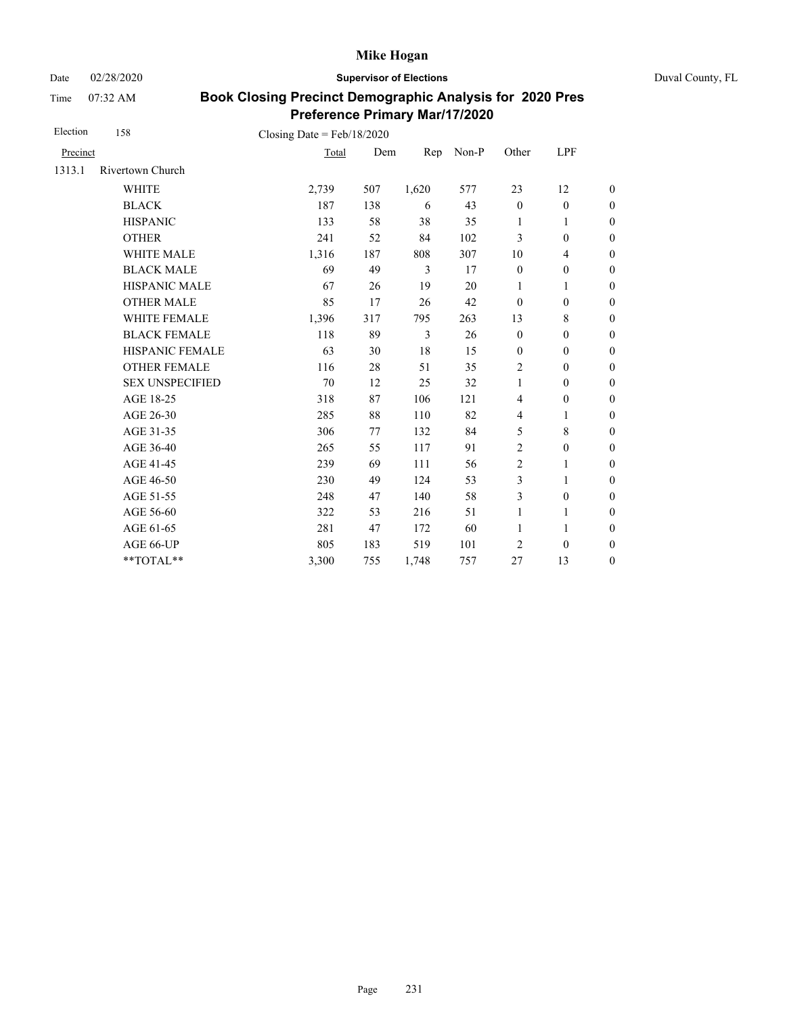Date 02/28/2020 **Supervisor of Elections** Duval County, FL

Time 07:32 AM

| Election | 158                    | Closing Date = $Feb/18/2020$ |     |       |       |                  |                          |                  |
|----------|------------------------|------------------------------|-----|-------|-------|------------------|--------------------------|------------------|
| Precinct |                        | Total                        | Dem | Rep   | Non-P | Other            | LPF                      |                  |
| 1313.1   | Rivertown Church       |                              |     |       |       |                  |                          |                  |
|          | <b>WHITE</b>           | 2,739                        | 507 | 1,620 | 577   | 23               | 12                       | $\boldsymbol{0}$ |
|          | <b>BLACK</b>           | 187                          | 138 | 6     | 43    | $\mathbf{0}$     | $\boldsymbol{0}$         | $\boldsymbol{0}$ |
|          | <b>HISPANIC</b>        | 133                          | 58  | 38    | 35    | 1                | 1                        | $\boldsymbol{0}$ |
|          | <b>OTHER</b>           | 241                          | 52  | 84    | 102   | 3                | $\mathbf{0}$             | $\boldsymbol{0}$ |
|          | <b>WHITE MALE</b>      | 1,316                        | 187 | 808   | 307   | 10               | $\overline{\mathcal{L}}$ | $\boldsymbol{0}$ |
|          | <b>BLACK MALE</b>      | 69                           | 49  | 3     | 17    | $\mathbf{0}$     | $\boldsymbol{0}$         | $\boldsymbol{0}$ |
|          | <b>HISPANIC MALE</b>   | 67                           | 26  | 19    | 20    | $\mathbf{1}$     | $\mathbf{1}$             | $\overline{0}$   |
|          | <b>OTHER MALE</b>      | 85                           | 17  | 26    | 42    | $\mathbf{0}$     | $\mathbf{0}$             | $\boldsymbol{0}$ |
|          | WHITE FEMALE           | 1,396                        | 317 | 795   | 263   | 13               | 8                        | $\boldsymbol{0}$ |
|          | <b>BLACK FEMALE</b>    | 118                          | 89  | 3     | 26    | $\mathbf{0}$     | $\mathbf{0}$             | $\boldsymbol{0}$ |
|          | <b>HISPANIC FEMALE</b> | 63                           | 30  | 18    | 15    | $\boldsymbol{0}$ | $\boldsymbol{0}$         | $\boldsymbol{0}$ |
|          | <b>OTHER FEMALE</b>    | 116                          | 28  | 51    | 35    | 2                | $\mathbf{0}$             | $\boldsymbol{0}$ |
|          | <b>SEX UNSPECIFIED</b> | 70                           | 12  | 25    | 32    | 1                | $\mathbf{0}$             | $\boldsymbol{0}$ |
|          | AGE 18-25              | 318                          | 87  | 106   | 121   | $\overline{4}$   | $\boldsymbol{0}$         | $\boldsymbol{0}$ |
|          | AGE 26-30              | 285                          | 88  | 110   | 82    | 4                | 1                        | $\boldsymbol{0}$ |
|          | AGE 31-35              | 306                          | 77  | 132   | 84    | 5                | 8                        | $\boldsymbol{0}$ |
|          | AGE 36-40              | 265                          | 55  | 117   | 91    | $\overline{2}$   | $\mathbf{0}$             | $\boldsymbol{0}$ |
|          | AGE 41-45              | 239                          | 69  | 111   | 56    | $\overline{2}$   | 1                        | $\overline{0}$   |
|          | AGE 46-50              | 230                          | 49  | 124   | 53    | 3                | 1                        | $\boldsymbol{0}$ |
|          | AGE 51-55              | 248                          | 47  | 140   | 58    | 3                | $\mathbf{0}$             | $\boldsymbol{0}$ |
|          | AGE 56-60              | 322                          | 53  | 216   | 51    | 1                | 1                        | $\overline{0}$   |
|          | AGE 61-65              | 281                          | 47  | 172   | 60    | $\mathbf{1}$     | 1                        | $\boldsymbol{0}$ |
|          | AGE 66-UP              | 805                          | 183 | 519   | 101   | $\overline{2}$   | $\mathbf{0}$             | $\boldsymbol{0}$ |
|          | **TOTAL**              | 3,300                        | 755 | 1,748 | 757   | 27               | 13                       | $\overline{0}$   |
|          |                        |                              |     |       |       |                  |                          |                  |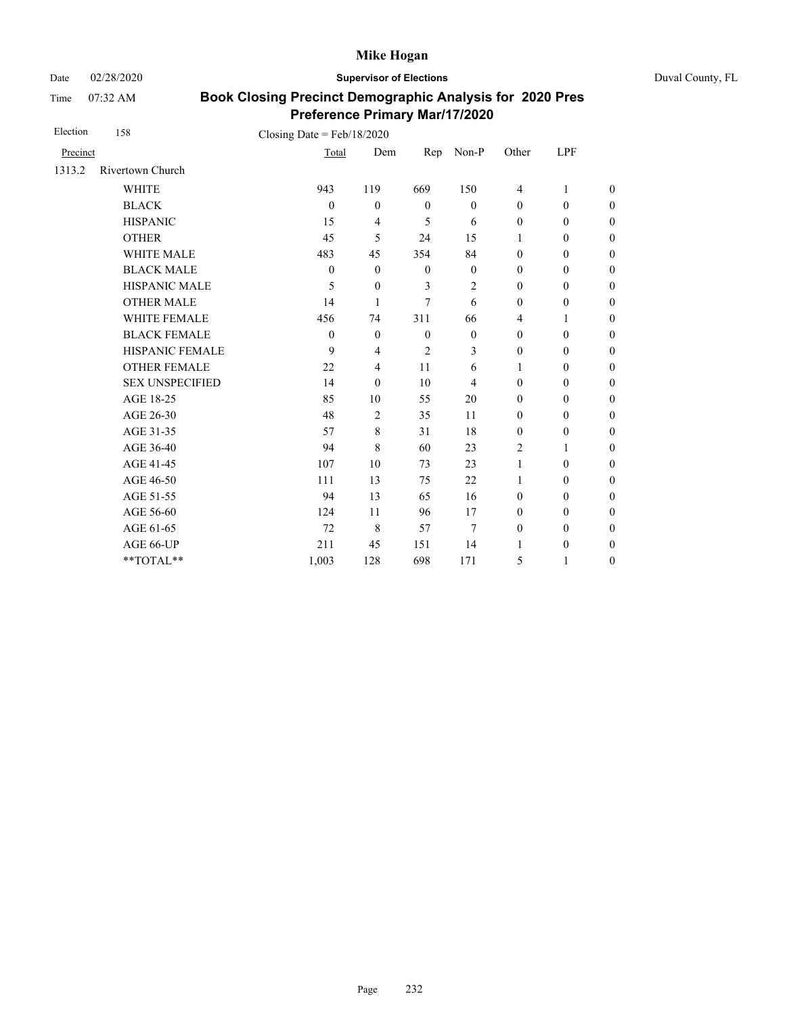Date 02/28/2020 **Supervisor of Elections** Duval County, FL

Time 07:32 AM

| Election | 158                    | Closing Date = $Feb/18/2020$ |                |                |              |                  |                  |                  |
|----------|------------------------|------------------------------|----------------|----------------|--------------|------------------|------------------|------------------|
| Precinct |                        | Total                        | Dem            | Rep            | Non-P        | Other            | LPF              |                  |
| 1313.2   | Rivertown Church       |                              |                |                |              |                  |                  |                  |
|          | <b>WHITE</b>           | 943                          | 119            | 669            | 150          | $\overline{4}$   | 1                | $\boldsymbol{0}$ |
|          | <b>BLACK</b>           | $\theta$                     | $\theta$       | $\mathbf{0}$   | $\mathbf{0}$ | $\mathbf{0}$     | $\mathbf{0}$     | $\boldsymbol{0}$ |
|          | <b>HISPANIC</b>        | 15                           | 4              | 5              | 6            | $\boldsymbol{0}$ | $\boldsymbol{0}$ | $\overline{0}$   |
|          | <b>OTHER</b>           | 45                           | 5              | 24             | 15           | 1                | $\mathbf{0}$     | $\overline{0}$   |
|          | WHITE MALE             | 483                          | 45             | 354            | 84           | $\boldsymbol{0}$ | $\boldsymbol{0}$ | $\boldsymbol{0}$ |
|          | <b>BLACK MALE</b>      | $\theta$                     | $\mathbf{0}$   | $\mathbf{0}$   | $\mathbf{0}$ | $\mathbf{0}$     | $\boldsymbol{0}$ | $\boldsymbol{0}$ |
|          | <b>HISPANIC MALE</b>   | 5                            | $\mathbf{0}$   | $\overline{3}$ | 2            | $\boldsymbol{0}$ | $\boldsymbol{0}$ | $\overline{0}$   |
|          | <b>OTHER MALE</b>      | 14                           | 1              | $\tau$         | 6            | $\boldsymbol{0}$ | $\boldsymbol{0}$ | $\boldsymbol{0}$ |
|          | <b>WHITE FEMALE</b>    | 456                          | 74             | 311            | 66           | 4                | 1                | $\boldsymbol{0}$ |
|          | <b>BLACK FEMALE</b>    | $\theta$                     | $\mathbf{0}$   | $\mathbf{0}$   | $\mathbf{0}$ | $\mathbf{0}$     | $\mathbf{0}$     | $\overline{0}$   |
|          | HISPANIC FEMALE        | 9                            | 4              | $\overline{c}$ | 3            | $\boldsymbol{0}$ | $\boldsymbol{0}$ | $\boldsymbol{0}$ |
|          | <b>OTHER FEMALE</b>    | 22                           | $\overline{4}$ | 11             | 6            | 1                | $\mathbf{0}$     | $\boldsymbol{0}$ |
|          | <b>SEX UNSPECIFIED</b> | 14                           | $\theta$       | 10             | 4            | $\mathbf{0}$     | $\boldsymbol{0}$ | $\boldsymbol{0}$ |
|          | AGE 18-25              | 85                           | 10             | 55             | 20           | $\mathbf{0}$     | $\mathbf{0}$     | $\overline{0}$   |
|          | AGE 26-30              | 48                           | $\overline{2}$ | 35             | 11           | $\mathbf{0}$     | $\mathbf{0}$     | $\overline{0}$   |
|          | AGE 31-35              | 57                           | 8              | 31             | 18           | $\mathbf{0}$     | $\boldsymbol{0}$ | $\boldsymbol{0}$ |
|          | AGE 36-40              | 94                           | 8              | 60             | 23           | $\overline{c}$   | 1                | $\boldsymbol{0}$ |
|          | AGE 41-45              | 107                          | 10             | 73             | 23           | $\mathbf{1}$     | $\mathbf{0}$     | $\overline{0}$   |
|          | AGE 46-50              | 111                          | 13             | 75             | 22           | $\mathbf{1}$     | $\mathbf{0}$     | $\overline{0}$   |
|          | AGE 51-55              | 94                           | 13             | 65             | 16           | $\mathbf{0}$     | $\mathbf{0}$     | $\overline{0}$   |
|          | AGE 56-60              | 124                          | 11             | 96             | 17           | $\mathbf{0}$     | $\mathbf{0}$     | $\overline{0}$   |
|          | AGE 61-65              | 72                           | $\,$ 8 $\,$    | 57             | 7            | $\boldsymbol{0}$ | $\mathbf{0}$     | $\overline{0}$   |
|          | AGE 66-UP              | 211                          | 45             | 151            | 14           | $\mathbf{1}$     | $\boldsymbol{0}$ | $\overline{0}$   |
|          | **TOTAL**              | 1,003                        | 128            | 698            | 171          | 5                | 1                | $\boldsymbol{0}$ |
|          |                        |                              |                |                |              |                  |                  |                  |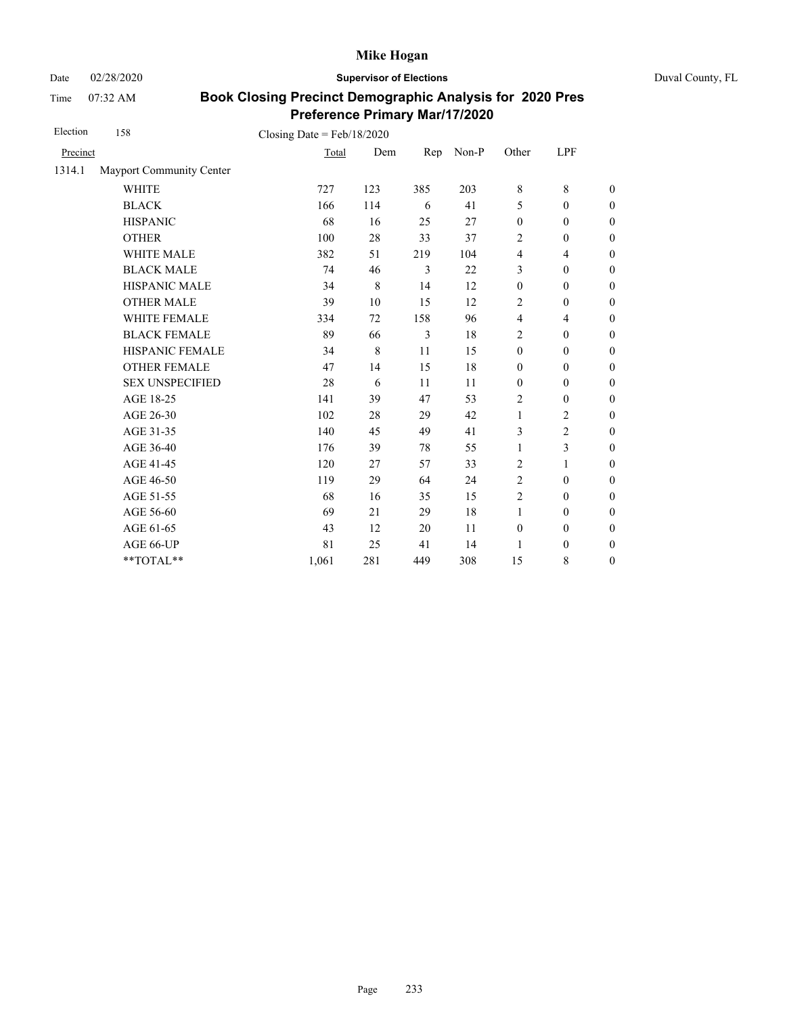Date 02/28/2020 **Supervisor of Elections** Duval County, FL

Time 07:32 AM

| Election | 158                      | Closing Date = $Feb/18/2020$ |     |     |       |                  |                  |                  |
|----------|--------------------------|------------------------------|-----|-----|-------|------------------|------------------|------------------|
| Precinct |                          | Total                        | Dem | Rep | Non-P | Other            | LPF              |                  |
| 1314.1   | Mayport Community Center |                              |     |     |       |                  |                  |                  |
|          | <b>WHITE</b>             | 727                          | 123 | 385 | 203   | $\,8\,$          | $\,8\,$          | $\overline{0}$   |
|          | <b>BLACK</b>             | 166                          | 114 | 6   | 41    | 5                | $\mathbf{0}$     | $\overline{0}$   |
|          | <b>HISPANIC</b>          | 68                           | 16  | 25  | 27    | $\boldsymbol{0}$ | $\boldsymbol{0}$ | $\boldsymbol{0}$ |
|          | <b>OTHER</b>             | 100                          | 28  | 33  | 37    | $\overline{2}$   | $\mathbf{0}$     | $\overline{0}$   |
|          | <b>WHITE MALE</b>        | 382                          | 51  | 219 | 104   | $\overline{4}$   | $\overline{4}$   | $\boldsymbol{0}$ |
|          | <b>BLACK MALE</b>        | 74                           | 46  | 3   | 22    | 3                | $\boldsymbol{0}$ | $\boldsymbol{0}$ |
|          | HISPANIC MALE            | 34                           | 8   | 14  | 12    | $\boldsymbol{0}$ | $\boldsymbol{0}$ | $\overline{0}$   |
|          | <b>OTHER MALE</b>        | 39                           | 10  | 15  | 12    | 2                | $\boldsymbol{0}$ | $\boldsymbol{0}$ |
|          | WHITE FEMALE             | 334                          | 72  | 158 | 96    | $\overline{4}$   | $\overline{4}$   | $\boldsymbol{0}$ |
|          | <b>BLACK FEMALE</b>      | 89                           | 66  | 3   | 18    | $\overline{c}$   | $\boldsymbol{0}$ | $\boldsymbol{0}$ |
|          | HISPANIC FEMALE          | 34                           | 8   | 11  | 15    | $\boldsymbol{0}$ | $\boldsymbol{0}$ | $\boldsymbol{0}$ |
|          | <b>OTHER FEMALE</b>      | 47                           | 14  | 15  | 18    | $\boldsymbol{0}$ | $\boldsymbol{0}$ | $\boldsymbol{0}$ |
|          | <b>SEX UNSPECIFIED</b>   | 28                           | 6   | 11  | 11    | $\mathbf{0}$     | $\mathbf{0}$     | $\boldsymbol{0}$ |
|          | AGE 18-25                | 141                          | 39  | 47  | 53    | $\overline{2}$   | $\boldsymbol{0}$ | $\boldsymbol{0}$ |
|          | AGE 26-30                | 102                          | 28  | 29  | 42    | $\mathbf{1}$     | $\overline{2}$   | $\boldsymbol{0}$ |
|          | AGE 31-35                | 140                          | 45  | 49  | 41    | 3                | $\overline{2}$   | $\boldsymbol{0}$ |
|          | AGE 36-40                | 176                          | 39  | 78  | 55    | 1                | $\mathfrak{Z}$   | $\overline{0}$   |
|          | AGE 41-45                | 120                          | 27  | 57  | 33    | $\overline{2}$   | $\mathbf{1}$     | $\overline{0}$   |
|          | AGE 46-50                | 119                          | 29  | 64  | 24    | 2                | $\mathbf{0}$     | $\boldsymbol{0}$ |
|          | AGE 51-55                | 68                           | 16  | 35  | 15    | $\overline{2}$   | $\mathbf{0}$     | $\boldsymbol{0}$ |
|          | AGE 56-60                | 69                           | 21  | 29  | 18    | $\mathbf{1}$     | $\boldsymbol{0}$ | $\overline{0}$   |
|          | AGE 61-65                | 43                           | 12  | 20  | 11    | $\mathbf{0}$     | $\mathbf{0}$     | $\boldsymbol{0}$ |
|          | AGE 66-UP                | 81                           | 25  | 41  | 14    | 1                | $\boldsymbol{0}$ | $\boldsymbol{0}$ |
|          | **TOTAL**                | 1,061                        | 281 | 449 | 308   | 15               | $\,$ 8 $\,$      | $\boldsymbol{0}$ |
|          |                          |                              |     |     |       |                  |                  |                  |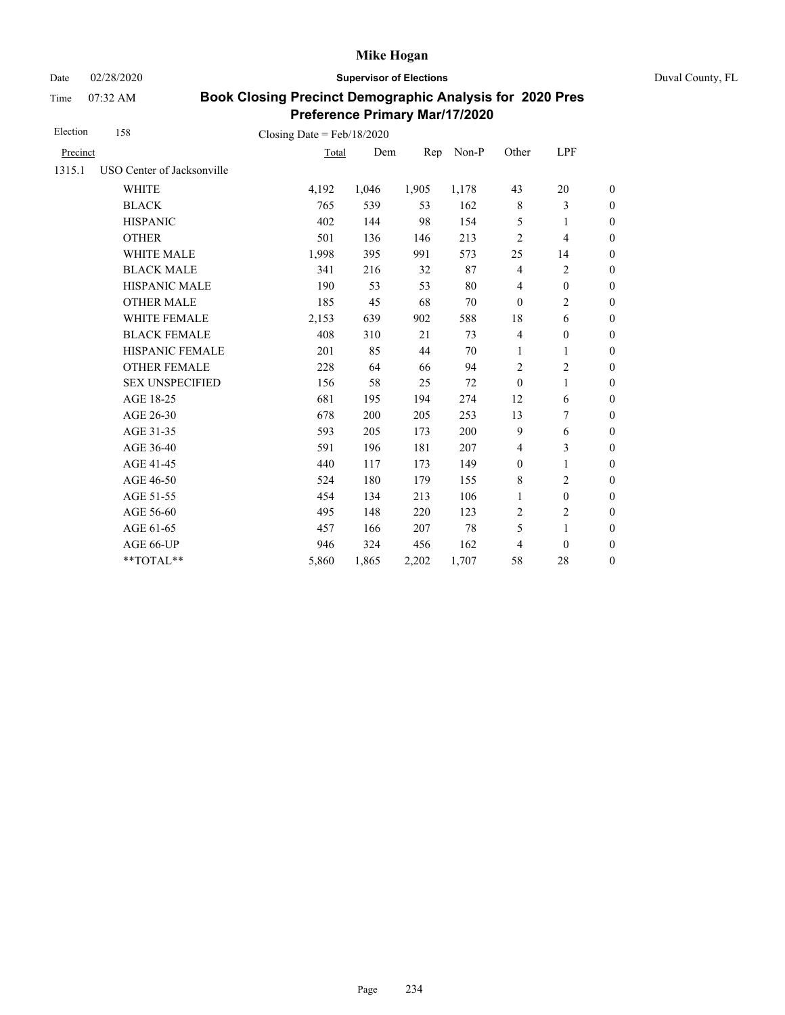Date 02/28/2020 **Supervisor of Elections** Duval County, FL

Time 07:32 AM

| Election | 158                        | Closing Date = $Feb/18/2020$ |       |       |       |                  |                          |                  |
|----------|----------------------------|------------------------------|-------|-------|-------|------------------|--------------------------|------------------|
| Precinct |                            | Total                        | Dem   | Rep   | Non-P | Other            | LPF                      |                  |
| 1315.1   | USO Center of Jacksonville |                              |       |       |       |                  |                          |                  |
|          | <b>WHITE</b>               | 4,192                        | 1,046 | 1,905 | 1,178 | 43               | 20                       | $\boldsymbol{0}$ |
|          | <b>BLACK</b>               | 765                          | 539   | 53    | 162   | $\,$ 8 $\,$      | 3                        | $\boldsymbol{0}$ |
|          | <b>HISPANIC</b>            | 402                          | 144   | 98    | 154   | 5                | 1                        | $\boldsymbol{0}$ |
|          | <b>OTHER</b>               | 501                          | 136   | 146   | 213   | $\overline{c}$   | $\overline{\mathcal{L}}$ | $\overline{0}$   |
|          | WHITE MALE                 | 1,998                        | 395   | 991   | 573   | 25               | 14                       | $\boldsymbol{0}$ |
|          | <b>BLACK MALE</b>          | 341                          | 216   | 32    | 87    | $\overline{4}$   | $\overline{c}$           | $\boldsymbol{0}$ |
|          | <b>HISPANIC MALE</b>       | 190                          | 53    | 53    | 80    | $\overline{4}$   | $\boldsymbol{0}$         | $\overline{0}$   |
|          | <b>OTHER MALE</b>          | 185                          | 45    | 68    | 70    | $\mathbf{0}$     | 2                        | $\boldsymbol{0}$ |
|          | WHITE FEMALE               | 2,153                        | 639   | 902   | 588   | 18               | 6                        | $\boldsymbol{0}$ |
|          | <b>BLACK FEMALE</b>        | 408                          | 310   | 21    | 73    | $\overline{4}$   | $\boldsymbol{0}$         | $\boldsymbol{0}$ |
|          | HISPANIC FEMALE            | 201                          | 85    | 44    | 70    | 1                | $\mathbf{1}$             | $\boldsymbol{0}$ |
|          | <b>OTHER FEMALE</b>        | 228                          | 64    | 66    | 94    | 2                | 2                        | $\overline{0}$   |
|          | <b>SEX UNSPECIFIED</b>     | 156                          | 58    | 25    | 72    | $\mathbf{0}$     | 1                        | $\boldsymbol{0}$ |
|          | AGE 18-25                  | 681                          | 195   | 194   | 274   | 12               | 6                        | $\boldsymbol{0}$ |
|          | AGE 26-30                  | 678                          | 200   | 205   | 253   | 13               | 7                        | $\boldsymbol{0}$ |
|          | AGE 31-35                  | 593                          | 205   | 173   | 200   | 9                | 6                        | $\boldsymbol{0}$ |
|          | AGE 36-40                  | 591                          | 196   | 181   | 207   | $\overline{4}$   | 3                        | $\boldsymbol{0}$ |
|          | AGE 41-45                  | 440                          | 117   | 173   | 149   | $\boldsymbol{0}$ | $\mathbf{1}$             | $\overline{0}$   |
|          | AGE 46-50                  | 524                          | 180   | 179   | 155   | 8                | 2                        | $\boldsymbol{0}$ |
|          | AGE 51-55                  | 454                          | 134   | 213   | 106   | $\mathbf{1}$     | $\boldsymbol{0}$         | $\boldsymbol{0}$ |
|          | AGE 56-60                  | 495                          | 148   | 220   | 123   | $\overline{c}$   | $\overline{c}$           | $\overline{0}$   |
|          | AGE 61-65                  | 457                          | 166   | 207   | 78    | 5                | $\mathbf{1}$             | $\overline{0}$   |
|          | AGE 66-UP                  | 946                          | 324   | 456   | 162   | 4                | $\mathbf{0}$             | $\boldsymbol{0}$ |
|          | **TOTAL**                  | 5,860                        | 1,865 | 2,202 | 1,707 | 58               | 28                       | $\boldsymbol{0}$ |
|          |                            |                              |       |       |       |                  |                          |                  |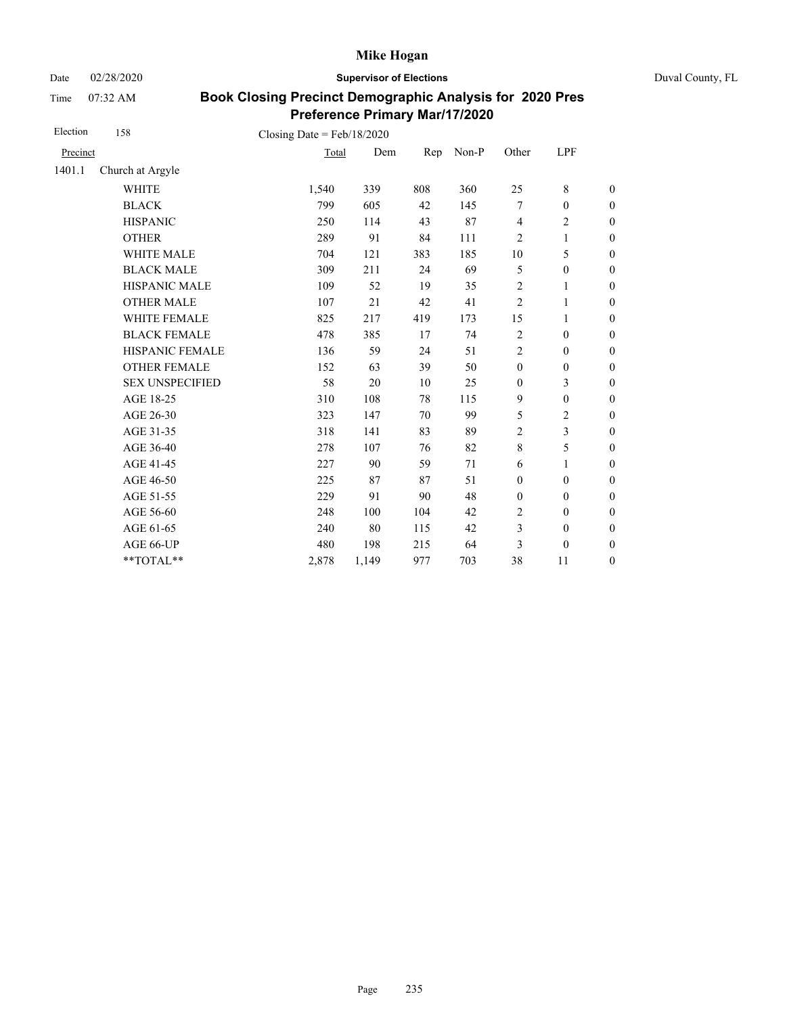Date 02/28/2020 **Supervisor of Elections** Duval County, FL

Time 07:32 AM

| Election | 158                    | Closing Date = $Feb/18/2020$ |       |     |       |                         |                  |                  |
|----------|------------------------|------------------------------|-------|-----|-------|-------------------------|------------------|------------------|
| Precinct |                        | Total                        | Dem   | Rep | Non-P | Other                   | LPF              |                  |
| 1401.1   | Church at Argyle       |                              |       |     |       |                         |                  |                  |
|          | <b>WHITE</b>           | 1,540                        | 339   | 808 | 360   | 25                      | 8                | $\boldsymbol{0}$ |
|          | <b>BLACK</b>           | 799                          | 605   | 42  | 145   | 7                       | $\boldsymbol{0}$ | $\boldsymbol{0}$ |
|          | <b>HISPANIC</b>        | 250                          | 114   | 43  | 87    | $\overline{\mathbf{4}}$ | $\overline{c}$   | $\boldsymbol{0}$ |
|          | <b>OTHER</b>           | 289                          | 91    | 84  | 111   | $\overline{c}$          | $\mathbf{1}$     | $\boldsymbol{0}$ |
|          | <b>WHITE MALE</b>      | 704                          | 121   | 383 | 185   | 10                      | 5                | $\boldsymbol{0}$ |
|          | <b>BLACK MALE</b>      | 309                          | 211   | 24  | 69    | 5                       | $\boldsymbol{0}$ | 0                |
|          | <b>HISPANIC MALE</b>   | 109                          | 52    | 19  | 35    | $\overline{2}$          | 1                | $\overline{0}$   |
|          | <b>OTHER MALE</b>      | 107                          | 21    | 42  | 41    | $\overline{2}$          | 1                | $\boldsymbol{0}$ |
|          | WHITE FEMALE           | 825                          | 217   | 419 | 173   | 15                      | 1                | $\boldsymbol{0}$ |
|          | <b>BLACK FEMALE</b>    | 478                          | 385   | 17  | 74    | $\overline{2}$          | $\boldsymbol{0}$ | $\boldsymbol{0}$ |
|          | HISPANIC FEMALE        | 136                          | 59    | 24  | 51    | $\overline{2}$          | $\boldsymbol{0}$ | $\overline{0}$   |
|          | <b>OTHER FEMALE</b>    | 152                          | 63    | 39  | 50    | $\mathbf{0}$            | $\boldsymbol{0}$ | $\boldsymbol{0}$ |
|          | <b>SEX UNSPECIFIED</b> | 58                           | 20    | 10  | 25    | $\mathbf{0}$            | 3                | $\boldsymbol{0}$ |
|          | AGE 18-25              | 310                          | 108   | 78  | 115   | 9                       | $\boldsymbol{0}$ | $\boldsymbol{0}$ |
|          | AGE 26-30              | 323                          | 147   | 70  | 99    | 5                       | $\mathbf{2}$     | $\overline{0}$   |
|          | AGE 31-35              | 318                          | 141   | 83  | 89    | $\overline{2}$          | 3                | $\boldsymbol{0}$ |
|          | AGE 36-40              | 278                          | 107   | 76  | 82    | $\,$ 8 $\,$             | 5                | $\boldsymbol{0}$ |
|          | AGE 41-45              | 227                          | 90    | 59  | 71    | 6                       | 1                | $\overline{0}$   |
|          | AGE 46-50              | 225                          | 87    | 87  | 51    | $\boldsymbol{0}$        | $\boldsymbol{0}$ | $\boldsymbol{0}$ |
|          | AGE 51-55              | 229                          | 91    | 90  | 48    | $\boldsymbol{0}$        | $\boldsymbol{0}$ | $\boldsymbol{0}$ |
|          | AGE 56-60              | 248                          | 100   | 104 | 42    | $\overline{c}$          | $\mathbf{0}$     | $\boldsymbol{0}$ |
|          | AGE 61-65              | 240                          | 80    | 115 | 42    | 3                       | $\boldsymbol{0}$ | $\boldsymbol{0}$ |
|          | AGE 66-UP              | 480                          | 198   | 215 | 64    | 3                       | $\boldsymbol{0}$ | $\overline{0}$   |
|          | **TOTAL**              | 2,878                        | 1,149 | 977 | 703   | 38                      | 11               | $\boldsymbol{0}$ |
|          |                        |                              |       |     |       |                         |                  |                  |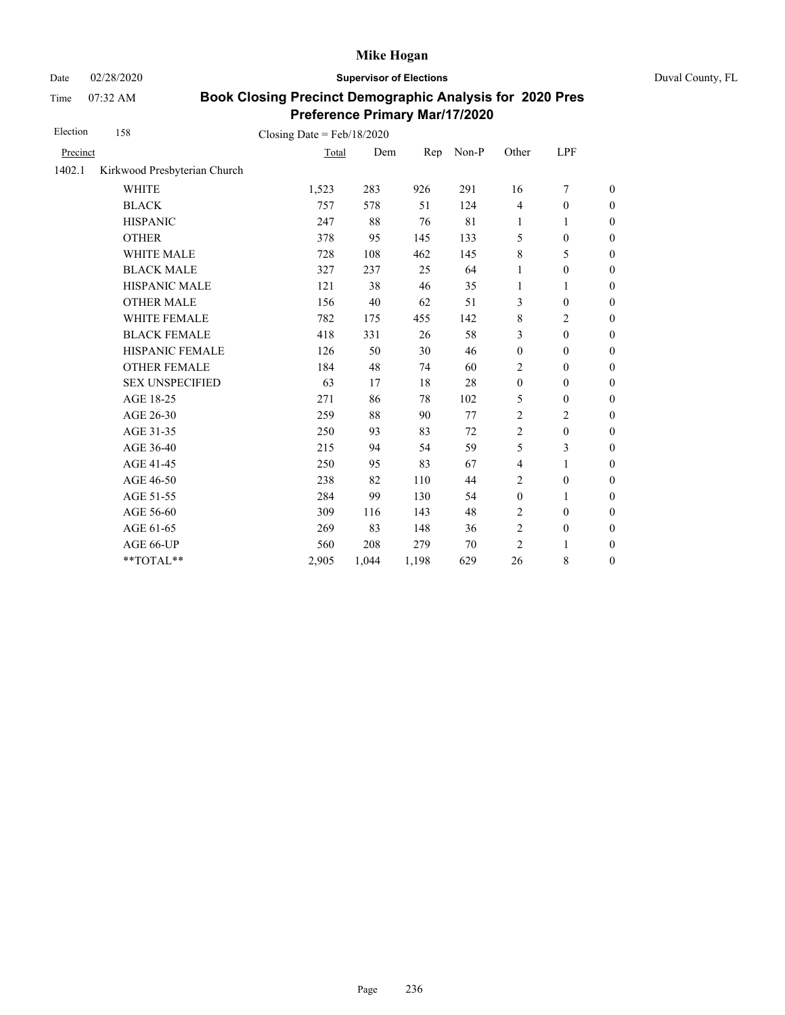Date 02/28/2020 **Supervisor of Elections** Duval County, FL

Time 07:32 AM

| Election | 158                          | Closing Date = $Feb/18/2020$ |       |       |       |                  |                  |                  |
|----------|------------------------------|------------------------------|-------|-------|-------|------------------|------------------|------------------|
| Precinct |                              | Total                        | Dem   | Rep   | Non-P | Other            | LPF              |                  |
| 1402.1   | Kirkwood Presbyterian Church |                              |       |       |       |                  |                  |                  |
|          | <b>WHITE</b>                 | 1,523                        | 283   | 926   | 291   | 16               | 7                | $\boldsymbol{0}$ |
|          | <b>BLACK</b>                 | 757                          | 578   | 51    | 124   | $\overline{4}$   | $\boldsymbol{0}$ | $\boldsymbol{0}$ |
|          | <b>HISPANIC</b>              | 247                          | 88    | 76    | 81    | 1                | 1                | $\overline{0}$   |
|          | <b>OTHER</b>                 | 378                          | 95    | 145   | 133   | 5                | $\mathbf{0}$     | $\boldsymbol{0}$ |
|          | WHITE MALE                   | 728                          | 108   | 462   | 145   | $\,8\,$          | 5                | $\boldsymbol{0}$ |
|          | <b>BLACK MALE</b>            | 327                          | 237   | 25    | 64    | 1                | $\boldsymbol{0}$ | $\boldsymbol{0}$ |
|          | HISPANIC MALE                | 121                          | 38    | 46    | 35    | $\mathbf{1}$     | $\mathbf{1}$     | $\overline{0}$   |
|          | <b>OTHER MALE</b>            | 156                          | 40    | 62    | 51    | 3                | $\boldsymbol{0}$ | $\boldsymbol{0}$ |
|          | WHITE FEMALE                 | 782                          | 175   | 455   | 142   | $\,8\,$          | 2                | $\boldsymbol{0}$ |
|          | <b>BLACK FEMALE</b>          | 418                          | 331   | 26    | 58    | 3                | $\mathbf{0}$     | $\overline{0}$   |
|          | HISPANIC FEMALE              | 126                          | 50    | 30    | 46    | $\boldsymbol{0}$ | $\boldsymbol{0}$ | $\boldsymbol{0}$ |
|          | <b>OTHER FEMALE</b>          | 184                          | 48    | 74    | 60    | 2                | $\overline{0}$   | $\mathbf{0}$     |
|          | <b>SEX UNSPECIFIED</b>       | 63                           | 17    | 18    | 28    | $\boldsymbol{0}$ | $\mathbf{0}$     | $\boldsymbol{0}$ |
|          | AGE 18-25                    | 271                          | 86    | 78    | 102   | 5                | $\boldsymbol{0}$ | $\overline{0}$   |
|          | AGE 26-30                    | 259                          | 88    | 90    | 77    | $\overline{2}$   | $\overline{2}$   | $\mathbf{0}$     |
|          | AGE 31-35                    | 250                          | 93    | 83    | 72    | $\overline{2}$   | $\mathbf{0}$     | $\boldsymbol{0}$ |
|          | AGE 36-40                    | 215                          | 94    | 54    | 59    | 5                | 3                | $\boldsymbol{0}$ |
|          | AGE 41-45                    | 250                          | 95    | 83    | 67    | $\overline{4}$   | $\mathbf{1}$     | $\overline{0}$   |
|          | AGE 46-50                    | 238                          | 82    | 110   | 44    | $\overline{2}$   | $\mathbf{0}$     | $\boldsymbol{0}$ |
|          | AGE 51-55                    | 284                          | 99    | 130   | 54    | $\boldsymbol{0}$ | 1                | $\boldsymbol{0}$ |
|          | AGE 56-60                    | 309                          | 116   | 143   | 48    | $\overline{c}$   | $\mathbf{0}$     | $\mathbf{0}$     |
|          | AGE 61-65                    | 269                          | 83    | 148   | 36    | $\sqrt{2}$       | $\boldsymbol{0}$ | $\boldsymbol{0}$ |
|          | AGE 66-UP                    | 560                          | 208   | 279   | 70    | $\overline{2}$   | 1                | $\boldsymbol{0}$ |
|          | **TOTAL**                    | 2,905                        | 1,044 | 1,198 | 629   | 26               | 8                | $\boldsymbol{0}$ |
|          |                              |                              |       |       |       |                  |                  |                  |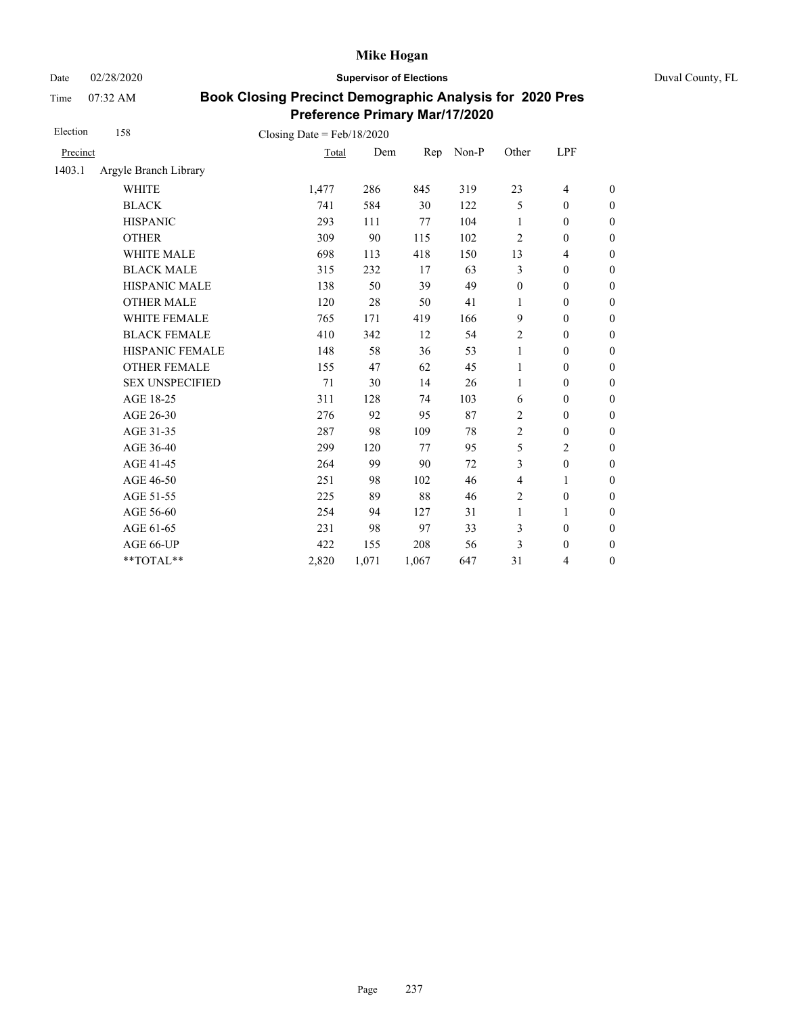Date 02/28/2020 **Supervisor of Elections** Duval County, FL

Time 07:32 AM

| Election | 158                                                         | Closing Date = $Feb/18/2020$ |       |       |       |                  |                          |                  |
|----------|-------------------------------------------------------------|------------------------------|-------|-------|-------|------------------|--------------------------|------------------|
| Precinct |                                                             | Total                        | Dem   | Rep   | Non-P | Other            | LPF                      |                  |
| 1403.1   | Argyle Branch Library                                       |                              |       |       |       |                  |                          |                  |
|          | <b>WHITE</b>                                                | 1,477                        | 286   | 845   | 319   | 23               | $\overline{\mathcal{L}}$ | $\boldsymbol{0}$ |
|          | <b>BLACK</b>                                                | 741                          | 584   | 30    | 122   | 5                | $\boldsymbol{0}$         | $\boldsymbol{0}$ |
|          | <b>HISPANIC</b>                                             | 293                          | 111   | 77    | 104   | 1                | $\boldsymbol{0}$         | $\boldsymbol{0}$ |
|          | <b>OTHER</b>                                                | 309                          | 90    | 115   | 102   | $\overline{c}$   | $\boldsymbol{0}$         | $\boldsymbol{0}$ |
|          | WHITE MALE                                                  | 698                          | 113   | 418   | 150   | 13               | $\overline{\mathcal{L}}$ | $\boldsymbol{0}$ |
|          | <b>BLACK MALE</b>                                           | 315                          | 232   | 17    | 63    | 3                | $\boldsymbol{0}$         | $\boldsymbol{0}$ |
|          | HISPANIC MALE                                               | 138                          | 50    | 39    | 49    | $\boldsymbol{0}$ | $\boldsymbol{0}$         | $\overline{0}$   |
|          | <b>OTHER MALE</b>                                           | 120                          | 28    | 50    | 41    | 1                | $\boldsymbol{0}$         | $\boldsymbol{0}$ |
|          | WHITE FEMALE                                                | 765                          | 171   | 419   | 166   | 9                | $\boldsymbol{0}$         | $\boldsymbol{0}$ |
|          | <b>BLACK FEMALE</b>                                         | 410                          | 342   | 12    | 54    | $\overline{c}$   | $\mathbf{0}$             | $\overline{0}$   |
|          | HISPANIC FEMALE                                             | 148                          | 58    | 36    | 53    | $\mathbf{1}$     | $\boldsymbol{0}$         | $\boldsymbol{0}$ |
|          | <b>OTHER FEMALE</b>                                         | 155                          | 47    | 62    | 45    | 1                | $\mathbf{0}$             | $\boldsymbol{0}$ |
|          | <b>SEX UNSPECIFIED</b>                                      | 71                           | 30    | 14    | 26    | 1                | $\boldsymbol{0}$         | $\boldsymbol{0}$ |
|          | AGE 18-25                                                   | 311                          | 128   | 74    | 103   | 6                | $\boldsymbol{0}$         | $\overline{0}$   |
|          | AGE 26-30                                                   | 276                          | 92    | 95    | 87    | $\overline{2}$   | $\mathbf{0}$             | $\overline{0}$   |
|          | AGE 31-35                                                   | 287                          | 98    | 109   | 78    | $\overline{c}$   | $\mathbf{0}$             | $\boldsymbol{0}$ |
|          | AGE 36-40                                                   | 299                          | 120   | 77    | 95    | 5                | $\overline{c}$           | $\boldsymbol{0}$ |
|          | AGE 41-45                                                   | 264                          | 99    | 90    | 72    | 3                | $\boldsymbol{0}$         | $\overline{0}$   |
|          | AGE 46-50                                                   | 251                          | 98    | 102   | 46    | $\overline{4}$   | 1                        | $\boldsymbol{0}$ |
|          | AGE 51-55                                                   | 225                          | 89    | 88    | 46    | $\overline{c}$   | $\boldsymbol{0}$         | $\boldsymbol{0}$ |
|          | AGE 56-60                                                   | 254                          | 94    | 127   | 31    | $\mathbf{1}$     | 1                        | $\overline{0}$   |
|          | AGE 61-65                                                   | 231                          | 98    | 97    | 33    | 3                | $\boldsymbol{0}$         | $\overline{0}$   |
|          | AGE 66-UP                                                   | 422                          | 155   | 208   | 56    | 3                | $\boldsymbol{0}$         | $\boldsymbol{0}$ |
|          | $\mathrm{*}\mathrm{*} \mathrm{TOTAL} \mathrm{*} \mathrm{*}$ | 2,820                        | 1,071 | 1,067 | 647   | 31               | 4                        | $\boldsymbol{0}$ |
|          |                                                             |                              |       |       |       |                  |                          |                  |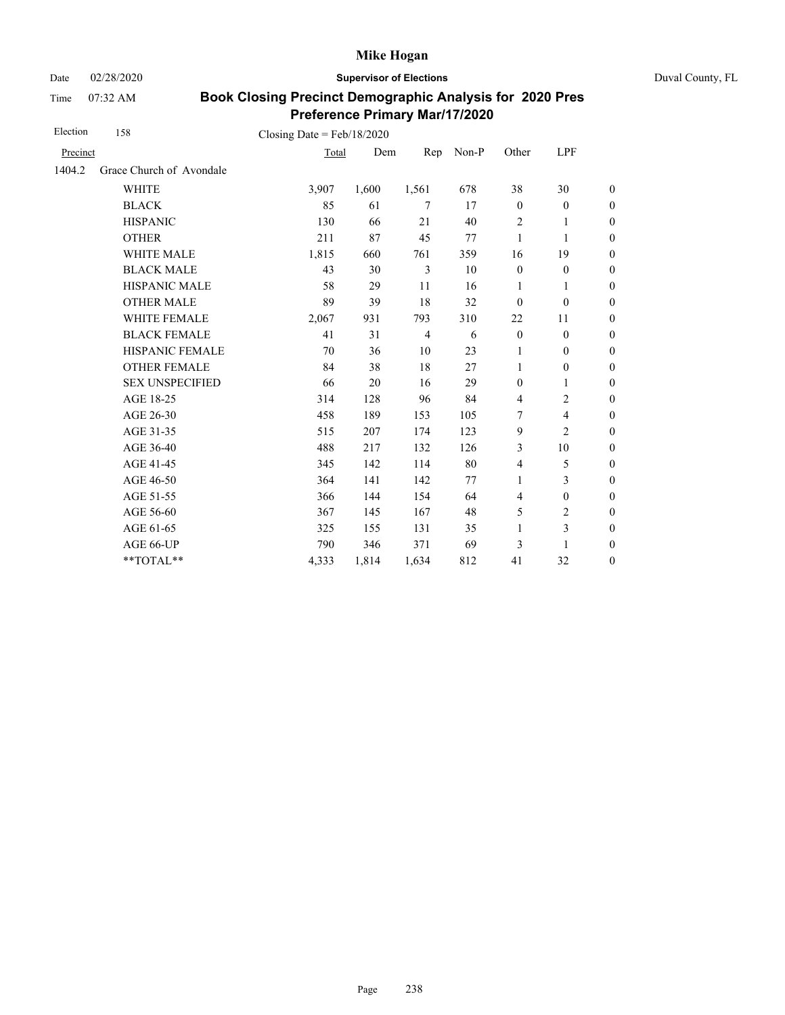Date 02/28/2020 **Supervisor of Elections** Duval County, FL

Time 07:32 AM

| Election | 158                      | Closing Date = $Feb/18/2020$ |       |                |       |                |                         |                  |
|----------|--------------------------|------------------------------|-------|----------------|-------|----------------|-------------------------|------------------|
| Precinct |                          | Total                        | Dem   | Rep            | Non-P | Other          | LPF                     |                  |
| 1404.2   | Grace Church of Avondale |                              |       |                |       |                |                         |                  |
|          | <b>WHITE</b>             | 3,907                        | 1,600 | 1,561          | 678   | 38             | 30                      | $\boldsymbol{0}$ |
|          | <b>BLACK</b>             | 85                           | 61    | $\tau$         | 17    | $\mathbf{0}$   | $\boldsymbol{0}$        | $\boldsymbol{0}$ |
|          | <b>HISPANIC</b>          | 130                          | 66    | 21             | 40    | $\overline{2}$ | 1                       | $\boldsymbol{0}$ |
|          | <b>OTHER</b>             | 211                          | 87    | 45             | 77    | $\mathbf{1}$   | 1                       | $\overline{0}$   |
|          | <b>WHITE MALE</b>        | 1,815                        | 660   | 761            | 359   | 16             | 19                      | $\boldsymbol{0}$ |
|          | <b>BLACK MALE</b>        | 43                           | 30    | 3              | 10    | $\mathbf{0}$   | $\mathbf{0}$            | $\boldsymbol{0}$ |
|          | <b>HISPANIC MALE</b>     | 58                           | 29    | 11             | 16    | $\mathbf{1}$   | 1                       | $\overline{0}$   |
|          | <b>OTHER MALE</b>        | 89                           | 39    | 18             | 32    | $\mathbf{0}$   | $\boldsymbol{0}$        | $\boldsymbol{0}$ |
|          | WHITE FEMALE             | 2,067                        | 931   | 793            | 310   | 22             | 11                      | $\boldsymbol{0}$ |
|          | <b>BLACK FEMALE</b>      | 41                           | 31    | $\overline{4}$ | 6     | $\mathbf{0}$   | $\mathbf{0}$            | $\overline{0}$   |
|          | HISPANIC FEMALE          | 70                           | 36    | 10             | 23    | 1              | $\boldsymbol{0}$        | $\boldsymbol{0}$ |
|          | <b>OTHER FEMALE</b>      | 84                           | 38    | 18             | 27    | 1              | $\boldsymbol{0}$        | $\boldsymbol{0}$ |
|          | <b>SEX UNSPECIFIED</b>   | 66                           | 20    | 16             | 29    | $\mathbf{0}$   | 1                       | $\boldsymbol{0}$ |
|          | AGE 18-25                | 314                          | 128   | 96             | 84    | $\overline{4}$ | $\overline{c}$          | $\boldsymbol{0}$ |
|          | AGE 26-30                | 458                          | 189   | 153            | 105   | 7              | $\overline{\mathbf{4}}$ | $\boldsymbol{0}$ |
|          | AGE 31-35                | 515                          | 207   | 174            | 123   | 9              | $\overline{c}$          | $\boldsymbol{0}$ |
|          | AGE 36-40                | 488                          | 217   | 132            | 126   | 3              | 10                      | $\boldsymbol{0}$ |
|          | AGE 41-45                | 345                          | 142   | 114            | 80    | $\overline{4}$ | 5                       | $\overline{0}$   |
|          | AGE 46-50                | 364                          | 141   | 142            | 77    | 1              | 3                       | $\boldsymbol{0}$ |
|          | AGE 51-55                | 366                          | 144   | 154            | 64    | $\overline{4}$ | $\mathbf{0}$            | $\boldsymbol{0}$ |
|          | AGE 56-60                | 367                          | 145   | 167            | 48    | 5              | $\overline{c}$          | $\overline{0}$   |
|          | AGE 61-65                | 325                          | 155   | 131            | 35    | $\mathbf{1}$   | 3                       | $\boldsymbol{0}$ |
|          | AGE 66-UP                | 790                          | 346   | 371            | 69    | 3              | 1                       | $\overline{0}$   |
|          | **TOTAL**                | 4,333                        | 1,814 | 1,634          | 812   | 41             | 32                      | $\overline{0}$   |
|          |                          |                              |       |                |       |                |                         |                  |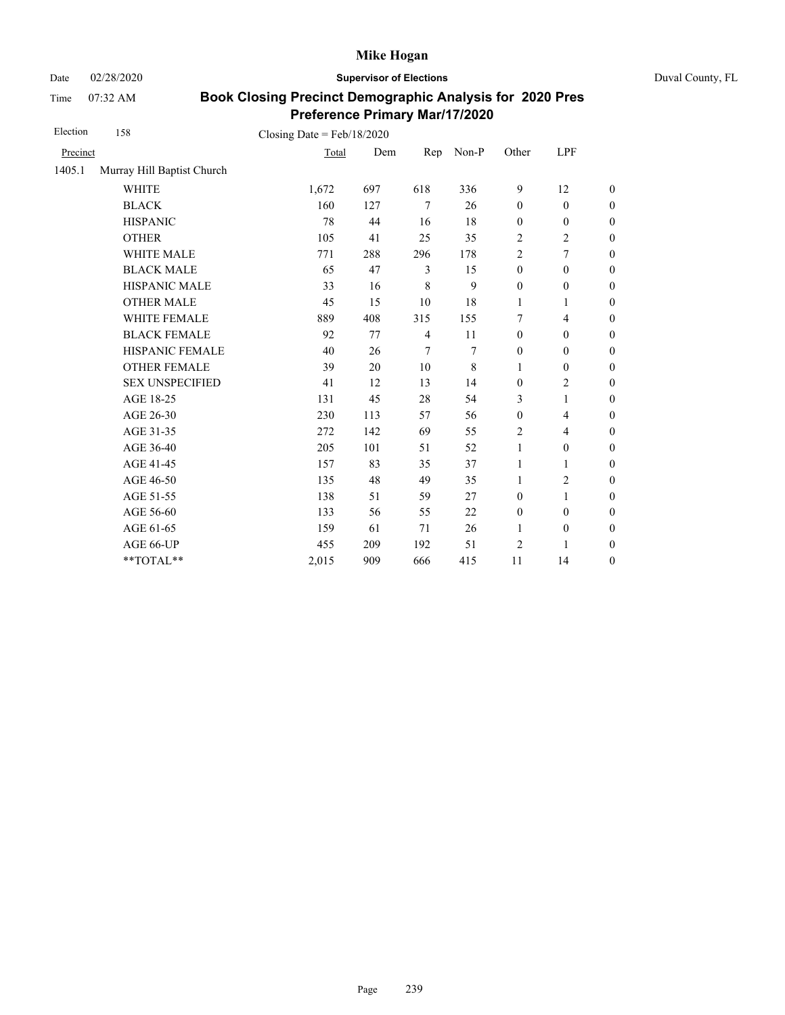Date 02/28/2020 **Supervisor of Elections** Duval County, FL

Time 07:32 AM

| Election | 158                        | Closing Date = $Feb/18/2020$ |     |                |       |                  |                          |                  |
|----------|----------------------------|------------------------------|-----|----------------|-------|------------------|--------------------------|------------------|
| Precinct |                            | Total                        | Dem | Rep            | Non-P | Other            | LPF                      |                  |
| 1405.1   | Murray Hill Baptist Church |                              |     |                |       |                  |                          |                  |
|          | <b>WHITE</b>               | 1,672                        | 697 | 618            | 336   | 9                | 12                       | $\theta$         |
|          | <b>BLACK</b>               | 160                          | 127 | $\tau$         | 26    | $\mathbf{0}$     | $\mathbf{0}$             | $\overline{0}$   |
|          | <b>HISPANIC</b>            | 78                           | 44  | 16             | 18    | $\boldsymbol{0}$ | $\boldsymbol{0}$         | $\boldsymbol{0}$ |
|          | <b>OTHER</b>               | 105                          | 41  | 25             | 35    | $\overline{c}$   | $\overline{c}$           | $\boldsymbol{0}$ |
|          | WHITE MALE                 | 771                          | 288 | 296            | 178   | 2                | $\overline{7}$           | $\boldsymbol{0}$ |
|          | <b>BLACK MALE</b>          | 65                           | 47  | 3              | 15    | $\boldsymbol{0}$ | $\boldsymbol{0}$         | $\boldsymbol{0}$ |
|          | <b>HISPANIC MALE</b>       | 33                           | 16  | 8              | 9     | $\boldsymbol{0}$ | $\boldsymbol{0}$         | $\overline{0}$   |
|          | <b>OTHER MALE</b>          | 45                           | 15  | 10             | 18    | 1                | 1                        | $\boldsymbol{0}$ |
|          | WHITE FEMALE               | 889                          | 408 | 315            | 155   | 7                | $\overline{4}$           | $\overline{0}$   |
|          | <b>BLACK FEMALE</b>        | 92                           | 77  | $\overline{4}$ | 11    | $\mathbf{0}$     | $\mathbf{0}$             | $\overline{0}$   |
|          | HISPANIC FEMALE            | 40                           | 26  | $\tau$         | 7     | $\boldsymbol{0}$ | $\boldsymbol{0}$         | $\boldsymbol{0}$ |
|          | <b>OTHER FEMALE</b>        | 39                           | 20  | 10             | 8     | 1                | $\boldsymbol{0}$         | $\boldsymbol{0}$ |
|          | <b>SEX UNSPECIFIED</b>     | 41                           | 12  | 13             | 14    | $\mathbf{0}$     | $\mathbf{2}$             | $\boldsymbol{0}$ |
|          | AGE 18-25                  | 131                          | 45  | 28             | 54    | 3                | $\mathbf{1}$             | $\boldsymbol{0}$ |
|          | AGE 26-30                  | 230                          | 113 | 57             | 56    | $\boldsymbol{0}$ | $\overline{\mathcal{L}}$ | $\boldsymbol{0}$ |
|          | AGE 31-35                  | 272                          | 142 | 69             | 55    | 2                | $\overline{4}$           | $\overline{0}$   |
|          | AGE 36-40                  | 205                          | 101 | 51             | 52    | $\mathbf{1}$     | $\mathbf{0}$             | $\overline{0}$   |
|          | AGE 41-45                  | 157                          | 83  | 35             | 37    | $\mathbf{1}$     | 1                        | $\boldsymbol{0}$ |
|          | AGE 46-50                  | 135                          | 48  | 49             | 35    | 1                | $\overline{c}$           | $\boldsymbol{0}$ |
|          | AGE 51-55                  | 138                          | 51  | 59             | 27    | $\mathbf{0}$     | 1                        | $\boldsymbol{0}$ |
|          | AGE 56-60                  | 133                          | 56  | 55             | 22    | $\boldsymbol{0}$ | $\boldsymbol{0}$         | $\overline{0}$   |
|          | AGE 61-65                  | 159                          | 61  | 71             | 26    | 1                | $\boldsymbol{0}$         | $\boldsymbol{0}$ |
|          | AGE 66-UP                  | 455                          | 209 | 192            | 51    | $\overline{c}$   | 1                        | $\boldsymbol{0}$ |
|          | **TOTAL**                  | 2,015                        | 909 | 666            | 415   | 11               | 14                       | $\boldsymbol{0}$ |
|          |                            |                              |     |                |       |                  |                          |                  |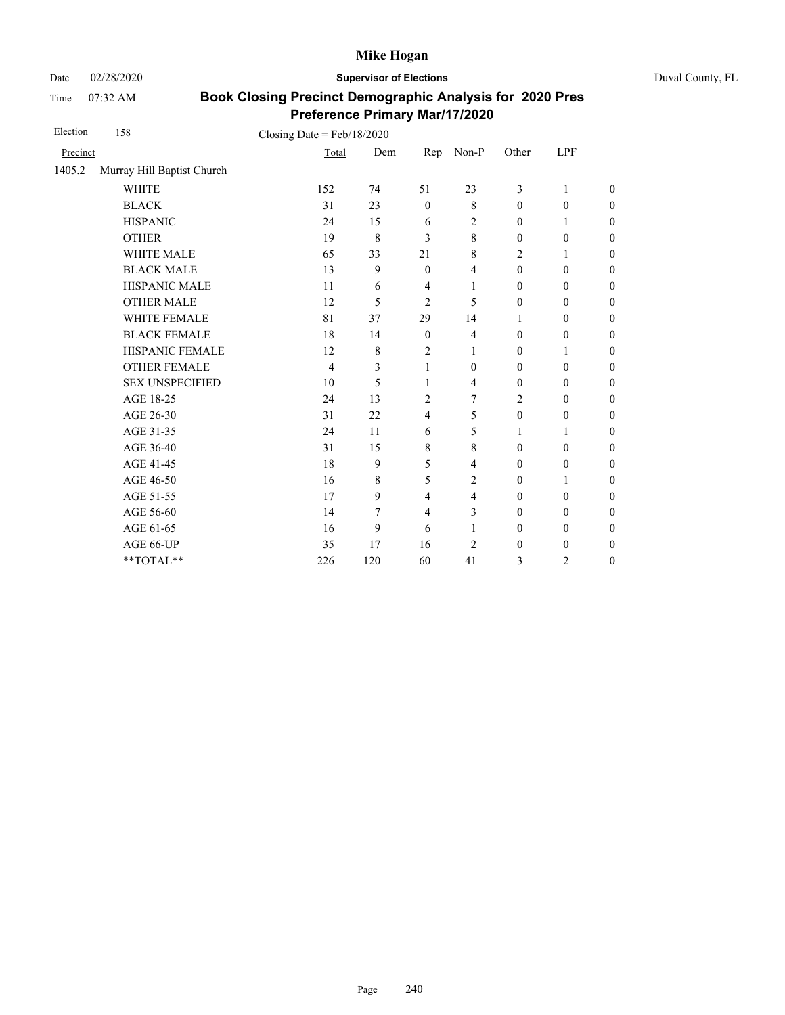Date 02/28/2020 **Supervisor of Elections** Duval County, FL

Time 07:32 AM

| Election | 158                        | Closing Date = $Feb/18/2020$ |     |                  |                         |                  |                  |                  |
|----------|----------------------------|------------------------------|-----|------------------|-------------------------|------------------|------------------|------------------|
| Precinct |                            | Total                        | Dem | Rep              | Non-P                   | Other            | LPF              |                  |
| 1405.2   | Murray Hill Baptist Church |                              |     |                  |                         |                  |                  |                  |
|          | <b>WHITE</b>               | 152                          | 74  | 51               | 23                      | 3                | $\mathbf{1}$     | $\theta$         |
|          | <b>BLACK</b>               | 31                           | 23  | $\mathbf{0}$     | $\,$ 8 $\,$             | $\theta$         | $\mathbf{0}$     | $\boldsymbol{0}$ |
|          | <b>HISPANIC</b>            | 24                           | 15  | 6                | 2                       | $\boldsymbol{0}$ | 1                | $\boldsymbol{0}$ |
|          | <b>OTHER</b>               | 19                           | 8   | 3                | 8                       | $\mathbf{0}$     | $\mathbf{0}$     | $\overline{0}$   |
|          | <b>WHITE MALE</b>          | 65                           | 33  | 21               | 8                       | 2                | 1                | $\overline{0}$   |
|          | <b>BLACK MALE</b>          | 13                           | 9   | $\boldsymbol{0}$ | $\overline{\mathbf{4}}$ | $\boldsymbol{0}$ | $\boldsymbol{0}$ | $\boldsymbol{0}$ |
|          | HISPANIC MALE              | 11                           | 6   | $\overline{4}$   | 1                       | $\boldsymbol{0}$ | $\boldsymbol{0}$ | $\overline{0}$   |
|          | <b>OTHER MALE</b>          | 12                           | 5   | 2                | 5                       | $\boldsymbol{0}$ | $\boldsymbol{0}$ | $\boldsymbol{0}$ |
|          | <b>WHITE FEMALE</b>        | 81                           | 37  | 29               | 14                      | 1                | $\boldsymbol{0}$ | $\boldsymbol{0}$ |
|          | <b>BLACK FEMALE</b>        | 18                           | 14  | $\boldsymbol{0}$ | $\overline{\mathbf{4}}$ | $\boldsymbol{0}$ | $\boldsymbol{0}$ | $\boldsymbol{0}$ |
|          | HISPANIC FEMALE            | 12                           | 8   | $\overline{c}$   | 1                       | $\boldsymbol{0}$ | 1                | $\boldsymbol{0}$ |
|          | <b>OTHER FEMALE</b>        | $\overline{4}$               | 3   | 1                | $\mathbf{0}$            | $\theta$         | $\mathbf{0}$     | $\boldsymbol{0}$ |
|          | <b>SEX UNSPECIFIED</b>     | 10                           | 5   | 1                | $\overline{4}$          | $\theta$         | $\mathbf{0}$     | $\boldsymbol{0}$ |
|          | AGE 18-25                  | 24                           | 13  | $\overline{c}$   | 7                       | $\overline{c}$   | $\boldsymbol{0}$ | $\overline{0}$   |
|          | AGE 26-30                  | 31                           | 22  | $\overline{4}$   | 5                       | $\boldsymbol{0}$ | $\mathbf{0}$     | $\overline{0}$   |
|          | AGE 31-35                  | 24                           | 11  | 6                | 5                       | 1                | 1                | $\boldsymbol{0}$ |
|          | AGE 36-40                  | 31                           | 15  | 8                | 8                       | $\theta$         | $\mathbf{0}$     | $\boldsymbol{0}$ |
|          | AGE 41-45                  | 18                           | 9   | 5                | $\overline{4}$          | $\theta$         | $\mathbf{0}$     | $\overline{0}$   |
|          | AGE 46-50                  | 16                           | 8   | 5                | $\overline{c}$          | $\mathbf{0}$     | 1                | $\boldsymbol{0}$ |
|          | AGE 51-55                  | 17                           | 9   | $\overline{4}$   | $\overline{4}$          | $\theta$         | $\mathbf{0}$     | $\overline{0}$   |
|          | AGE 56-60                  | 14                           | 7   | $\overline{4}$   | 3                       | $\boldsymbol{0}$ | $\boldsymbol{0}$ | $\overline{0}$   |
|          | AGE 61-65                  | 16                           | 9   | 6                | 1                       | $\mathbf{0}$     | $\mathbf{0}$     | $\boldsymbol{0}$ |
|          | AGE 66-UP                  | 35                           | 17  | 16               | $\overline{c}$          | $\boldsymbol{0}$ | $\boldsymbol{0}$ | $\boldsymbol{0}$ |
|          | **TOTAL**                  | 226                          | 120 | 60               | 41                      | 3                | $\overline{2}$   | $\boldsymbol{0}$ |
|          |                            |                              |     |                  |                         |                  |                  |                  |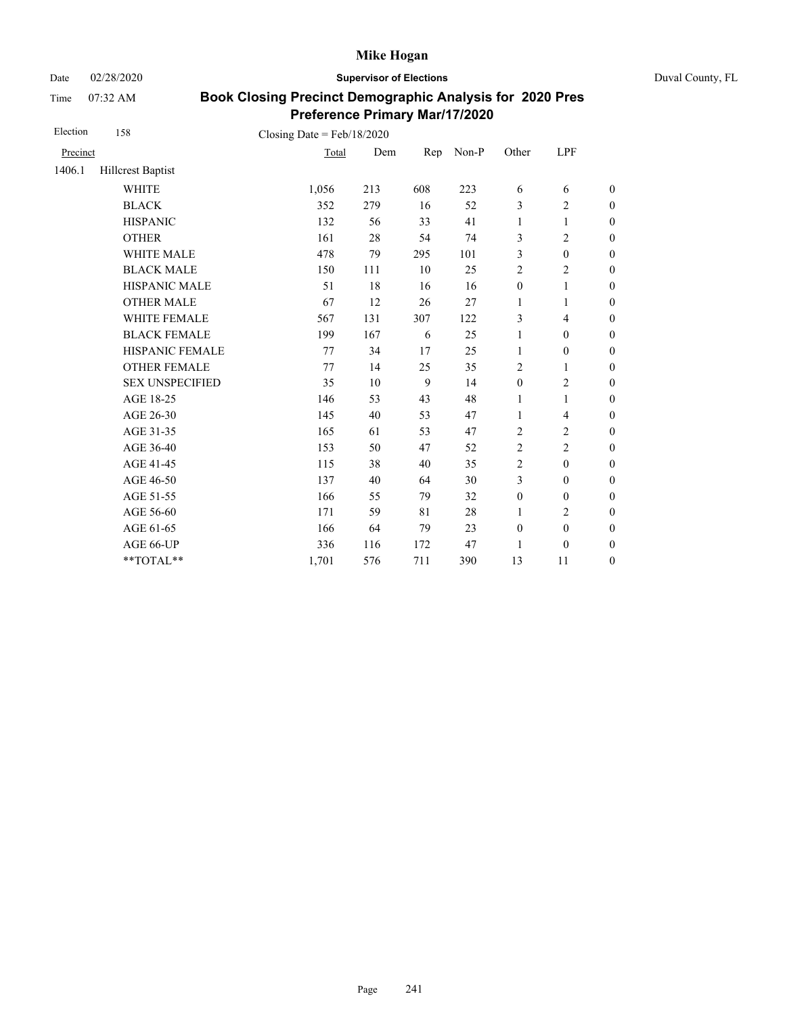Date 02/28/2020 **Supervisor of Elections** Duval County, FL

Time 07:32 AM

| Election | 158                    | Closing Date = $Feb/18/2020$ |     |     |       |                  |                          |                  |
|----------|------------------------|------------------------------|-----|-----|-------|------------------|--------------------------|------------------|
| Precinct |                        | Total                        | Dem | Rep | Non-P | Other            | LPF                      |                  |
| 1406.1   | Hillcrest Baptist      |                              |     |     |       |                  |                          |                  |
|          | <b>WHITE</b>           | 1,056                        | 213 | 608 | 223   | 6                | 6                        | $\boldsymbol{0}$ |
|          | <b>BLACK</b>           | 352                          | 279 | 16  | 52    | 3                | $\overline{c}$           | $\boldsymbol{0}$ |
|          | <b>HISPANIC</b>        | 132                          | 56  | 33  | 41    | 1                | $\mathbf{1}$             | $\boldsymbol{0}$ |
|          | <b>OTHER</b>           | 161                          | 28  | 54  | 74    | 3                | $\overline{c}$           | $\boldsymbol{0}$ |
|          | WHITE MALE             | 478                          | 79  | 295 | 101   | 3                | $\boldsymbol{0}$         | $\boldsymbol{0}$ |
|          | <b>BLACK MALE</b>      | 150                          | 111 | 10  | 25    | $\sqrt{2}$       | $\mathbf{2}$             | $\boldsymbol{0}$ |
|          | <b>HISPANIC MALE</b>   | 51                           | 18  | 16  | 16    | $\boldsymbol{0}$ | $\,1$                    | $\overline{0}$   |
|          | <b>OTHER MALE</b>      | 67                           | 12  | 26  | 27    | 1                | 1                        | $\boldsymbol{0}$ |
|          | WHITE FEMALE           | 567                          | 131 | 307 | 122   | 3                | $\overline{\mathcal{L}}$ | $\boldsymbol{0}$ |
|          | <b>BLACK FEMALE</b>    | 199                          | 167 | 6   | 25    | $\mathbf{1}$     | $\boldsymbol{0}$         | $\boldsymbol{0}$ |
|          | HISPANIC FEMALE        | 77                           | 34  | 17  | 25    | $\mathbf{1}$     | $\boldsymbol{0}$         | $\boldsymbol{0}$ |
|          | <b>OTHER FEMALE</b>    | 77                           | 14  | 25  | 35    | 2                | 1                        | $\boldsymbol{0}$ |
|          | <b>SEX UNSPECIFIED</b> | 35                           | 10  | 9   | 14    | $\mathbf{0}$     | $\overline{c}$           | $\boldsymbol{0}$ |
|          | AGE 18-25              | 146                          | 53  | 43  | 48    | 1                | $\mathbf{1}$             | $\boldsymbol{0}$ |
|          | AGE 26-30              | 145                          | 40  | 53  | 47    | $\mathbf{1}$     | $\overline{\mathcal{L}}$ | $\boldsymbol{0}$ |
|          | AGE 31-35              | 165                          | 61  | 53  | 47    | $\overline{2}$   | $\overline{c}$           | $\boldsymbol{0}$ |
|          | AGE 36-40              | 153                          | 50  | 47  | 52    | $\sqrt{2}$       | $\overline{c}$           | $\boldsymbol{0}$ |
|          | AGE 41-45              | 115                          | 38  | 40  | 35    | $\overline{2}$   | $\boldsymbol{0}$         | $\overline{0}$   |
|          | AGE 46-50              | 137                          | 40  | 64  | 30    | 3                | $\boldsymbol{0}$         | $\boldsymbol{0}$ |
|          | AGE 51-55              | 166                          | 55  | 79  | 32    | $\boldsymbol{0}$ | $\boldsymbol{0}$         | $\boldsymbol{0}$ |
|          | AGE 56-60              | 171                          | 59  | 81  | 28    | 1                | $\overline{c}$           | $\overline{0}$   |
|          | AGE 61-65              | 166                          | 64  | 79  | 23    | $\boldsymbol{0}$ | $\boldsymbol{0}$         | $\boldsymbol{0}$ |
|          | AGE 66-UP              | 336                          | 116 | 172 | 47    | 1                | $\boldsymbol{0}$         | $\boldsymbol{0}$ |
|          | $**TOTAL**$            | 1,701                        | 576 | 711 | 390   | 13               | 11                       | $\boldsymbol{0}$ |
|          |                        |                              |     |     |       |                  |                          |                  |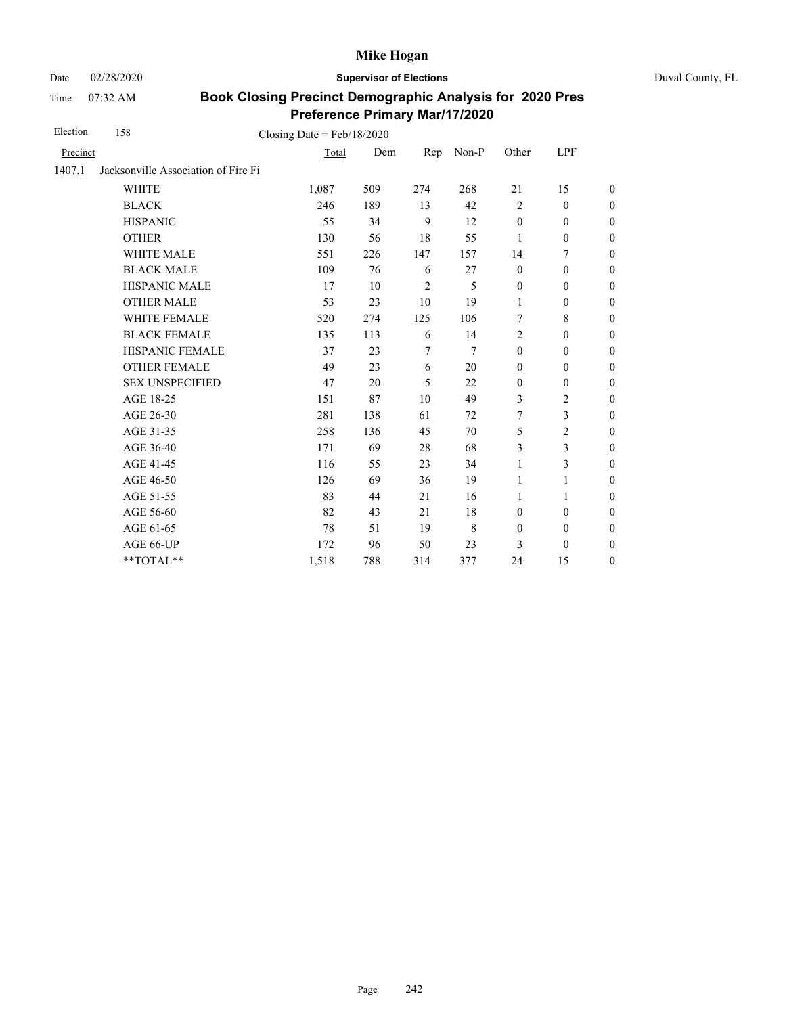Date 02/28/2020 **Supervisor of Elections** Duval County, FL

Time 07:32 AM

| Election | 158                                 | Closing Date = $Feb/18/2020$ |     |                |                |                  |                  |                  |
|----------|-------------------------------------|------------------------------|-----|----------------|----------------|------------------|------------------|------------------|
| Precinct |                                     | Total                        | Dem | Rep            | Non-P          | Other            | <b>LPF</b>       |                  |
| 1407.1   | Jacksonville Association of Fire Fi |                              |     |                |                |                  |                  |                  |
|          | <b>WHITE</b>                        | 1,087                        | 509 | 274            | 268            | 21               | 15               | $\boldsymbol{0}$ |
|          | <b>BLACK</b>                        | 246                          | 189 | 13             | 42             | $\overline{2}$   | $\boldsymbol{0}$ | $\boldsymbol{0}$ |
|          | <b>HISPANIC</b>                     | 55                           | 34  | 9              | 12             | $\mathbf{0}$     | $\mathbf{0}$     | $\boldsymbol{0}$ |
|          | <b>OTHER</b>                        | 130                          | 56  | 18             | 55             | 1                | $\boldsymbol{0}$ | $\overline{0}$   |
|          | WHITE MALE                          | 551                          | 226 | 147            | 157            | 14               | $\tau$           | $\boldsymbol{0}$ |
|          | <b>BLACK MALE</b>                   | 109                          | 76  | 6              | 27             | $\mathbf{0}$     | $\mathbf{0}$     | $\boldsymbol{0}$ |
|          | <b>HISPANIC MALE</b>                | 17                           | 10  | $\overline{2}$ | 5              | $\mathbf{0}$     | $\mathbf{0}$     | $\overline{0}$   |
|          | <b>OTHER MALE</b>                   | 53                           | 23  | 10             | 19             | $\mathbf{1}$     | $\boldsymbol{0}$ | $\overline{0}$   |
|          | WHITE FEMALE                        | 520                          | 274 | 125            | 106            | 7                | 8                | $\overline{0}$   |
|          | <b>BLACK FEMALE</b>                 | 135                          | 113 | 6              | 14             | $\overline{2}$   | $\mathbf{0}$     | $\overline{0}$   |
|          | HISPANIC FEMALE                     | 37                           | 23  | $\overline{7}$ | $\overline{7}$ | $\boldsymbol{0}$ | $\boldsymbol{0}$ | $\boldsymbol{0}$ |
|          | <b>OTHER FEMALE</b>                 | 49                           | 23  | 6              | 20             | $\mathbf{0}$     | $\mathbf{0}$     | $\boldsymbol{0}$ |
|          | <b>SEX UNSPECIFIED</b>              | 47                           | 20  | 5              | 22             | $\mathbf{0}$     | $\mathbf{0}$     | $\boldsymbol{0}$ |
|          | AGE 18-25                           | 151                          | 87  | 10             | 49             | 3                | $\mathbf{2}$     | $\boldsymbol{0}$ |
|          | AGE 26-30                           | 281                          | 138 | 61             | 72             | 7                | $\mathfrak{Z}$   | $\overline{0}$   |
|          | AGE 31-35                           | 258                          | 136 | 45             | 70             | 5                | $\overline{2}$   | $\boldsymbol{0}$ |
|          | AGE 36-40                           | 171                          | 69  | 28             | 68             | 3                | 3                | $\boldsymbol{0}$ |
|          | AGE 41-45                           | 116                          | 55  | 23             | 34             | 1                | 3                | $\overline{0}$   |
|          | AGE 46-50                           | 126                          | 69  | 36             | 19             | 1                | 1                | $\boldsymbol{0}$ |
|          | AGE 51-55                           | 83                           | 44  | 21             | 16             | $\mathbf{1}$     | 1                | $\boldsymbol{0}$ |
|          | AGE 56-60                           | 82                           | 43  | 21             | 18             | $\mathbf{0}$     | $\mathbf{0}$     | $\overline{0}$   |
|          | AGE 61-65                           | 78                           | 51  | 19             | 8              | $\boldsymbol{0}$ | $\boldsymbol{0}$ | $\boldsymbol{0}$ |
|          | AGE 66-UP                           | 172                          | 96  | 50             | 23             | 3                | $\mathbf{0}$     | $\overline{0}$   |
|          | $**TOTAL**$                         | 1,518                        | 788 | 314            | 377            | 24               | 15               | $\boldsymbol{0}$ |
|          |                                     |                              |     |                |                |                  |                  |                  |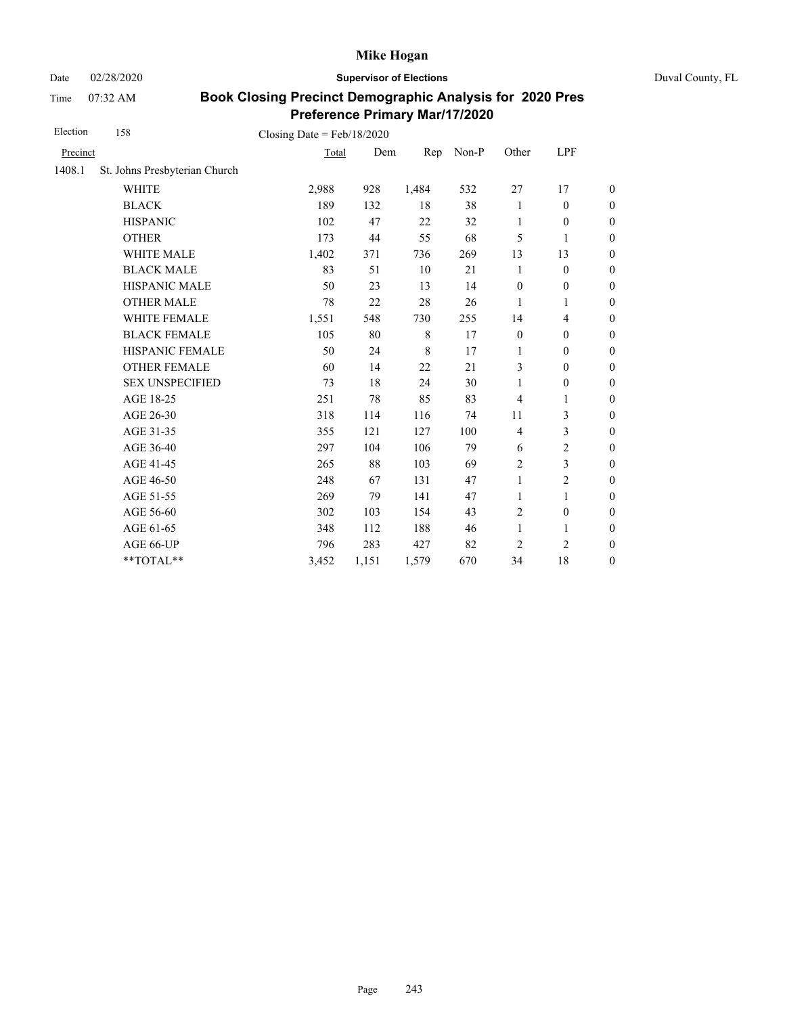Date 02/28/2020 **Supervisor of Elections** Duval County, FL

Time 07:32 AM

| Election | 158                           | Closing Date = $Feb/18/2020$ |       |             |       |                  |                  |                  |
|----------|-------------------------------|------------------------------|-------|-------------|-------|------------------|------------------|------------------|
| Precinct |                               | Total                        | Dem   | Rep         | Non-P | Other            | LPF              |                  |
| 1408.1   | St. Johns Presbyterian Church |                              |       |             |       |                  |                  |                  |
|          | <b>WHITE</b>                  | 2,988                        | 928   | 1,484       | 532   | 27               | 17               | $\boldsymbol{0}$ |
|          | <b>BLACK</b>                  | 189                          | 132   | 18          | 38    | 1                | $\boldsymbol{0}$ | $\boldsymbol{0}$ |
|          | <b>HISPANIC</b>               | 102                          | 47    | 22          | 32    | 1                | $\mathbf{0}$     | $\boldsymbol{0}$ |
|          | <b>OTHER</b>                  | 173                          | 44    | 55          | 68    | 5                | $\mathbf{1}$     | $\overline{0}$   |
|          | WHITE MALE                    | 1,402                        | 371   | 736         | 269   | 13               | 13               | $\boldsymbol{0}$ |
|          | <b>BLACK MALE</b>             | 83                           | 51    | 10          | 21    | 1                | $\mathbf{0}$     | $\boldsymbol{0}$ |
|          | <b>HISPANIC MALE</b>          | 50                           | 23    | 13          | 14    | $\boldsymbol{0}$ | $\boldsymbol{0}$ | $\overline{0}$   |
|          | <b>OTHER MALE</b>             | 78                           | 22    | 28          | 26    | 1                | 1                | $\boldsymbol{0}$ |
|          | WHITE FEMALE                  | 1,551                        | 548   | 730         | 255   | 14               | 4                | $\boldsymbol{0}$ |
|          | <b>BLACK FEMALE</b>           | 105                          | 80    | 8           | 17    | $\mathbf{0}$     | $\mathbf{0}$     | $\boldsymbol{0}$ |
|          | HISPANIC FEMALE               | 50                           | 24    | $\,$ 8 $\,$ | 17    | 1                | $\boldsymbol{0}$ | $\boldsymbol{0}$ |
|          | <b>OTHER FEMALE</b>           | 60                           | 14    | 22          | 21    | 3                | $\mathbf{0}$     | $\boldsymbol{0}$ |
|          | <b>SEX UNSPECIFIED</b>        | 73                           | 18    | 24          | 30    | 1                | $\boldsymbol{0}$ | $\boldsymbol{0}$ |
|          | AGE 18-25                     | 251                          | 78    | 85          | 83    | $\overline{4}$   | 1                | $\boldsymbol{0}$ |
|          | AGE 26-30                     | 318                          | 114   | 116         | 74    | 11               | 3                | $\overline{0}$   |
|          | AGE 31-35                     | 355                          | 121   | 127         | 100   | $\overline{4}$   | 3                | $\boldsymbol{0}$ |
|          | AGE 36-40                     | 297                          | 104   | 106         | 79    | 6                | $\overline{c}$   | $\boldsymbol{0}$ |
|          | AGE 41-45                     | 265                          | 88    | 103         | 69    | $\overline{c}$   | 3                | $\boldsymbol{0}$ |
|          | AGE 46-50                     | 248                          | 67    | 131         | 47    | $\mathbf{1}$     | 2                | $\boldsymbol{0}$ |
|          | AGE 51-55                     | 269                          | 79    | 141         | 47    | $\mathbf{1}$     | 1                | $\boldsymbol{0}$ |
|          | AGE 56-60                     | 302                          | 103   | 154         | 43    | $\overline{c}$   | $\boldsymbol{0}$ | $\boldsymbol{0}$ |
|          | AGE 61-65                     | 348                          | 112   | 188         | 46    | $\mathbf{1}$     | 1                | $\boldsymbol{0}$ |
|          | AGE 66-UP                     | 796                          | 283   | 427         | 82    | 2                | $\overline{c}$   | $\boldsymbol{0}$ |
|          | **TOTAL**                     | 3,452                        | 1,151 | 1,579       | 670   | 34               | 18               | $\boldsymbol{0}$ |
|          |                               |                              |       |             |       |                  |                  |                  |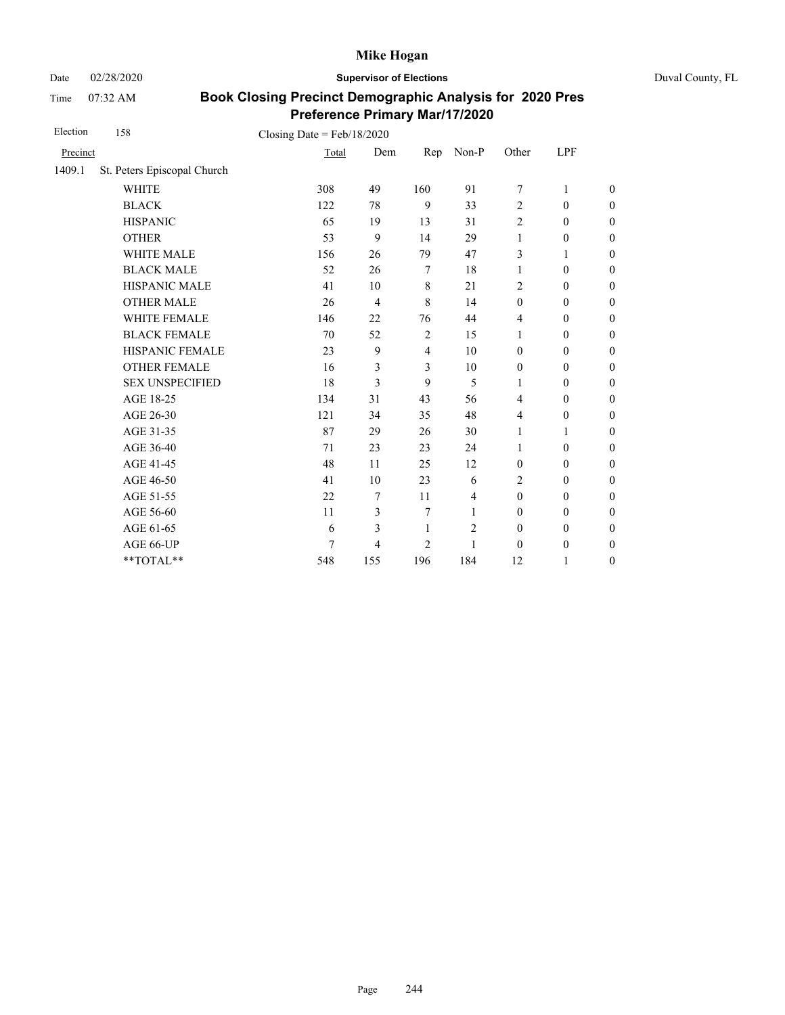Date 02/28/2020 **Supervisor of Elections** Duval County, FL

Time 07:32 AM

| Election | 158                         | Closing Date = $Feb/18/2020$ |                |                |                |                  |                  |                  |
|----------|-----------------------------|------------------------------|----------------|----------------|----------------|------------------|------------------|------------------|
| Precinct |                             | Total                        | Dem            | Rep            | Non-P          | Other            | LPF              |                  |
| 1409.1   | St. Peters Episcopal Church |                              |                |                |                |                  |                  |                  |
|          | <b>WHITE</b>                | 308                          | 49             | 160            | 91             | 7                | 1                | $\mathbf{0}$     |
|          | <b>BLACK</b>                | 122                          | 78             | 9              | 33             | $\overline{c}$   | $\mathbf{0}$     | $\theta$         |
|          | <b>HISPANIC</b>             | 65                           | 19             | 13             | 31             | $\overline{2}$   | $\boldsymbol{0}$ | $\boldsymbol{0}$ |
|          | <b>OTHER</b>                | 53                           | 9              | 14             | 29             | $\mathbf{1}$     | $\mathbf{0}$     | $\theta$         |
|          | <b>WHITE MALE</b>           | 156                          | 26             | 79             | 47             | 3                | 1                | $\boldsymbol{0}$ |
|          | <b>BLACK MALE</b>           | 52                           | 26             | $\overline{7}$ | 18             | 1                | $\boldsymbol{0}$ | $\boldsymbol{0}$ |
|          | HISPANIC MALE               | 41                           | 10             | $\,8\,$        | 21             | $\overline{c}$   | $\boldsymbol{0}$ | $\mathbf{0}$     |
|          | <b>OTHER MALE</b>           | 26                           | $\overline{4}$ | 8              | 14             | $\boldsymbol{0}$ | $\boldsymbol{0}$ | $\boldsymbol{0}$ |
|          | WHITE FEMALE                | 146                          | 22             | 76             | 44             | 4                | $\mathbf{0}$     | $\boldsymbol{0}$ |
|          | <b>BLACK FEMALE</b>         | 70                           | 52             | $\overline{2}$ | 15             | 1                | $\boldsymbol{0}$ | $\mathbf{0}$     |
|          | HISPANIC FEMALE             | 23                           | 9              | $\overline{4}$ | 10             | $\mathbf{0}$     | $\boldsymbol{0}$ | $\mathbf{0}$     |
|          | <b>OTHER FEMALE</b>         | 16                           | 3              | 3              | 10             | $\boldsymbol{0}$ | $\mathbf{0}$     | $\boldsymbol{0}$ |
|          | <b>SEX UNSPECIFIED</b>      | 18                           | 3              | 9              | 5              | 1                | $\mathbf{0}$     | $\mathbf{0}$     |
|          | AGE 18-25                   | 134                          | 31             | 43             | 56             | $\overline{4}$   | $\boldsymbol{0}$ | $\mathbf{0}$     |
|          | AGE 26-30                   | 121                          | 34             | 35             | 48             | $\overline{4}$   | $\mathbf{0}$     | $\boldsymbol{0}$ |
|          | AGE 31-35                   | 87                           | 29             | 26             | 30             | $\mathbf{1}$     | 1                | $\boldsymbol{0}$ |
|          | AGE 36-40                   | 71                           | 23             | 23             | 24             | 1                | $\mathbf{0}$     | $\boldsymbol{0}$ |
|          | AGE 41-45                   | 48                           | 11             | 25             | 12             | $\mathbf{0}$     | $\mathbf{0}$     | $\theta$         |
|          | AGE 46-50                   | 41                           | 10             | 23             | 6              | 2                | $\mathbf{0}$     | $\boldsymbol{0}$ |
|          | AGE 51-55                   | 22                           | 7              | 11             | $\overline{4}$ | $\mathbf{0}$     | $\mathbf{0}$     | $\boldsymbol{0}$ |
|          | AGE 56-60                   | 11                           | 3              | 7              | 1              | $\boldsymbol{0}$ | $\boldsymbol{0}$ | $\boldsymbol{0}$ |
|          | AGE 61-65                   | 6                            | 3              | 1              | $\mathfrak{2}$ | $\mathbf{0}$     | $\mathbf{0}$     | $\boldsymbol{0}$ |
|          | AGE 66-UP                   | 7                            | $\overline{4}$ | $\overline{2}$ | 1              | $\theta$         | $\boldsymbol{0}$ | $\boldsymbol{0}$ |
|          | **TOTAL**                   | 548                          | 155            | 196            | 184            | 12               | 1                | $\boldsymbol{0}$ |
|          |                             |                              |                |                |                |                  |                  |                  |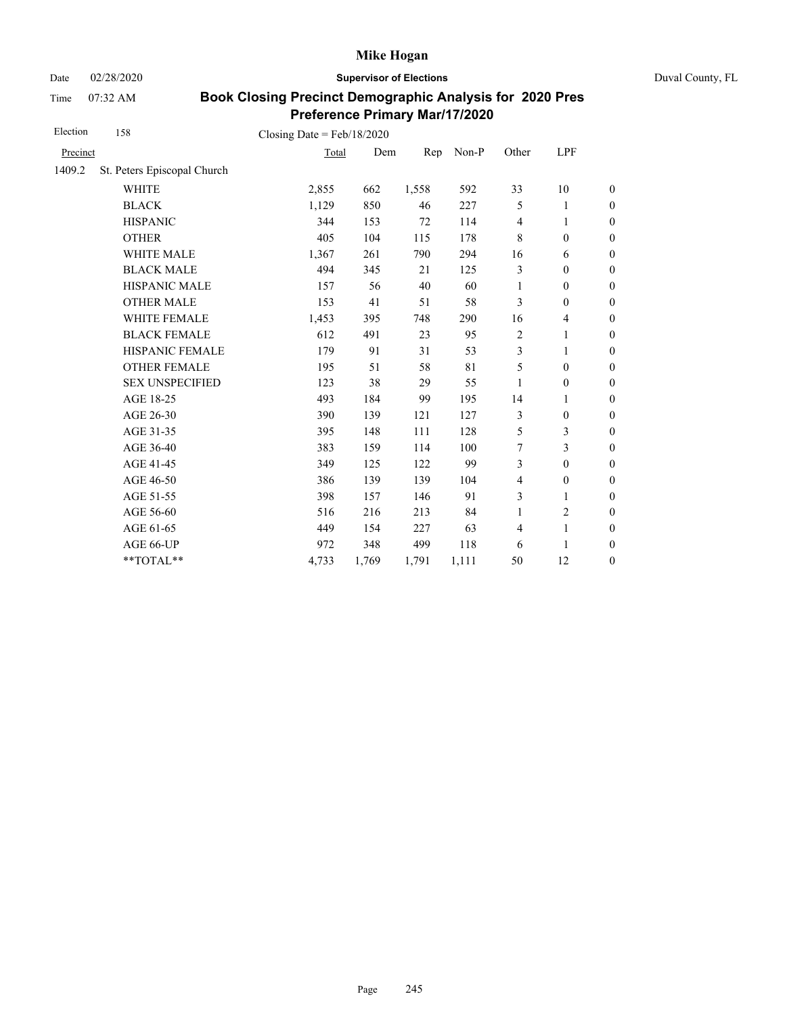Date 02/28/2020 **Supervisor of Elections** Duval County, FL

Time 07:32 AM

| Election | 158                         | Closing Date = $Feb/18/2020$ |       |       |       |                |                  |                  |
|----------|-----------------------------|------------------------------|-------|-------|-------|----------------|------------------|------------------|
| Precinct |                             | Total                        | Dem   | Rep   | Non-P | Other          | LPF              |                  |
| 1409.2   | St. Peters Episcopal Church |                              |       |       |       |                |                  |                  |
|          | <b>WHITE</b>                | 2,855                        | 662   | 1,558 | 592   | 33             | 10               | $\boldsymbol{0}$ |
|          | <b>BLACK</b>                | 1,129                        | 850   | 46    | 227   | 5              | 1                | $\boldsymbol{0}$ |
|          | <b>HISPANIC</b>             | 344                          | 153   | 72    | 114   | $\overline{4}$ | 1                | $\boldsymbol{0}$ |
|          | <b>OTHER</b>                | 405                          | 104   | 115   | 178   | $\,8\,$        | $\boldsymbol{0}$ | $\mathbf{0}$     |
|          | WHITE MALE                  | 1,367                        | 261   | 790   | 294   | 16             | 6                | $\boldsymbol{0}$ |
|          | <b>BLACK MALE</b>           | 494                          | 345   | 21    | 125   | 3              | $\mathbf{0}$     | $\boldsymbol{0}$ |
|          | <b>HISPANIC MALE</b>        | 157                          | 56    | 40    | 60    | 1              | $\boldsymbol{0}$ | $\overline{0}$   |
|          | <b>OTHER MALE</b>           | 153                          | 41    | 51    | 58    | 3              | $\overline{0}$   | $\boldsymbol{0}$ |
|          | WHITE FEMALE                | 1,453                        | 395   | 748   | 290   | 16             | 4                | $\boldsymbol{0}$ |
|          | <b>BLACK FEMALE</b>         | 612                          | 491   | 23    | 95    | $\overline{c}$ | 1                | $\overline{0}$   |
|          | HISPANIC FEMALE             | 179                          | 91    | 31    | 53    | 3              | 1                | $\boldsymbol{0}$ |
|          | <b>OTHER FEMALE</b>         | 195                          | 51    | 58    | 81    | 5              | $\boldsymbol{0}$ | $\boldsymbol{0}$ |
|          | <b>SEX UNSPECIFIED</b>      | 123                          | 38    | 29    | 55    | 1              | $\mathbf{0}$     | $\boldsymbol{0}$ |
|          | AGE 18-25                   | 493                          | 184   | 99    | 195   | 14             | 1                | $\overline{0}$   |
|          | AGE 26-30                   | 390                          | 139   | 121   | 127   | 3              | $\mathbf{0}$     | $\boldsymbol{0}$ |
|          | AGE 31-35                   | 395                          | 148   | 111   | 128   | 5              | 3                | $\boldsymbol{0}$ |
|          | AGE 36-40                   | 383                          | 159   | 114   | 100   | 7              | 3                | $\overline{0}$   |
|          | AGE 41-45                   | 349                          | 125   | 122   | 99    | 3              | $\boldsymbol{0}$ | $\boldsymbol{0}$ |
|          | AGE 46-50                   | 386                          | 139   | 139   | 104   | $\overline{4}$ | $\boldsymbol{0}$ | $\boldsymbol{0}$ |
|          | AGE 51-55                   | 398                          | 157   | 146   | 91    | 3              | 1                | $\boldsymbol{0}$ |
|          | AGE 56-60                   | 516                          | 216   | 213   | 84    | $\mathbf{1}$   | $\overline{2}$   | $\overline{0}$   |
|          | AGE 61-65                   | 449                          | 154   | 227   | 63    | $\overline{4}$ | 1                | $\boldsymbol{0}$ |
|          | AGE 66-UP                   | 972                          | 348   | 499   | 118   | 6              | 1                | $\boldsymbol{0}$ |
|          | **TOTAL**                   | 4,733                        | 1,769 | 1,791 | 1,111 | 50             | 12               | $\boldsymbol{0}$ |
|          |                             |                              |       |       |       |                |                  |                  |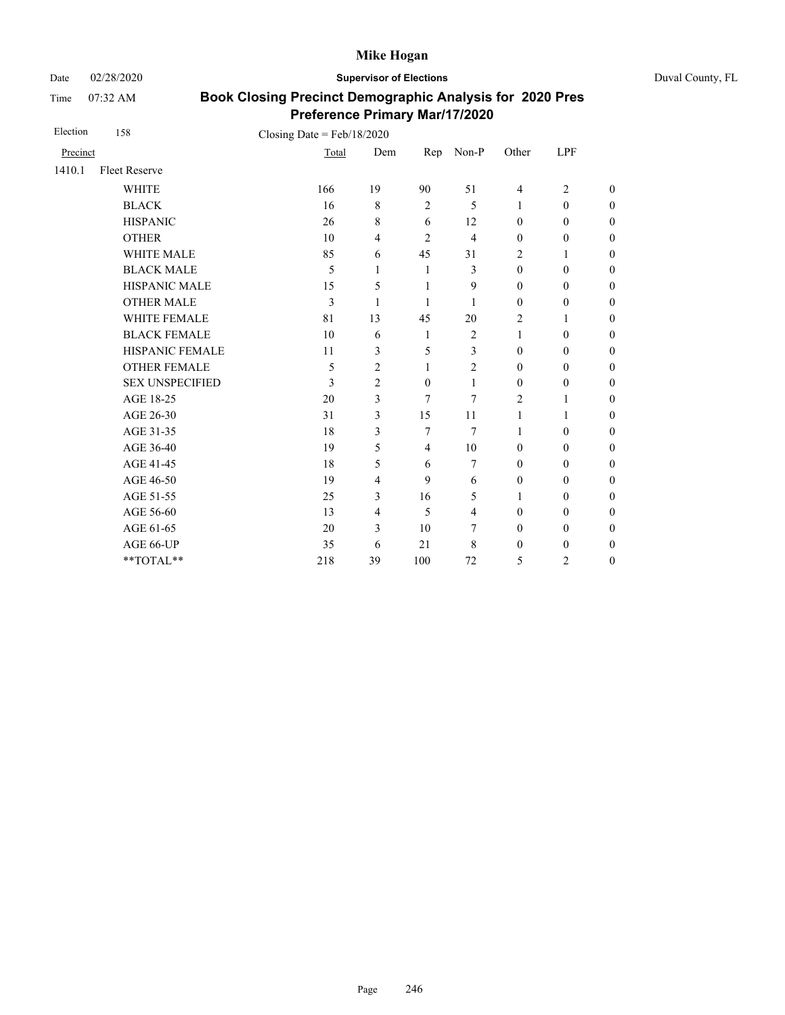Date 02/28/2020 **Supervisor of Elections** Duval County, FL

Time 07:32 AM

| Election | 158                    | Closing Date = $Feb/18/2020$ |                |                |            |                  |                  |                  |
|----------|------------------------|------------------------------|----------------|----------------|------------|------------------|------------------|------------------|
| Precinct |                        | Total                        | Dem            | Rep            | Non-P      | Other            | LPF              |                  |
| 1410.1   | <b>Fleet Reserve</b>   |                              |                |                |            |                  |                  |                  |
|          | <b>WHITE</b>           | 166                          | 19             | 90             | 51         | $\overline{4}$   | 2                | $\theta$         |
|          | <b>BLACK</b>           | 16                           | $\,8\,$        | $\overline{2}$ | 5          | 1                | $\mathbf{0}$     | $\boldsymbol{0}$ |
|          | <b>HISPANIC</b>        | 26                           | 8              | 6              | 12         | $\mathbf{0}$     | $\boldsymbol{0}$ | $\boldsymbol{0}$ |
|          | <b>OTHER</b>           | 10                           | $\overline{4}$ | $\overline{2}$ | 4          | $\boldsymbol{0}$ | $\boldsymbol{0}$ | $\overline{0}$   |
|          | WHITE MALE             | 85                           | 6              | 45             | 31         | 2                | 1                | $\boldsymbol{0}$ |
|          | <b>BLACK MALE</b>      | 5                            | 1              | 1              | 3          | $\mathbf{0}$     | $\boldsymbol{0}$ | $\boldsymbol{0}$ |
|          | <b>HISPANIC MALE</b>   | 15                           | 5              | 1              | 9          | $\mathbf{0}$     | $\boldsymbol{0}$ | $\overline{0}$   |
|          | <b>OTHER MALE</b>      | 3                            | 1              | $\mathbf{1}$   | 1          | $\mathbf{0}$     | $\boldsymbol{0}$ | $\boldsymbol{0}$ |
|          | <b>WHITE FEMALE</b>    | 81                           | 13             | 45             | 20         | 2                | 1                | $\boldsymbol{0}$ |
|          | <b>BLACK FEMALE</b>    | 10                           | 6              | 1              | $\sqrt{2}$ | $\mathbf{1}$     | $\mathbf{0}$     | $\boldsymbol{0}$ |
|          | HISPANIC FEMALE        | 11                           | 3              | 5              | 3          | $\mathbf{0}$     | $\boldsymbol{0}$ | $\boldsymbol{0}$ |
|          | <b>OTHER FEMALE</b>    | 5                            | $\overline{2}$ | 1              | 2          | $\mathbf{0}$     | $\mathbf{0}$     | $\overline{0}$   |
|          | <b>SEX UNSPECIFIED</b> | 3                            | $\overline{2}$ | $\theta$       | 1          | $\mathbf{0}$     | $\boldsymbol{0}$ | $\boldsymbol{0}$ |
|          | AGE 18-25              | 20                           | 3              | $\tau$         | 7          | $\overline{c}$   | $\mathbf{1}$     | $\boldsymbol{0}$ |
|          | AGE 26-30              | 31                           | 3              | 15             | 11         | $\mathbf{1}$     | 1                | $\overline{0}$   |
|          | AGE 31-35              | 18                           | $\overline{3}$ | $\tau$         | 7          | 1                | $\boldsymbol{0}$ | $\boldsymbol{0}$ |
|          | AGE 36-40              | 19                           | 5              | $\overline{4}$ | 10         | $\mathbf{0}$     | $\mathbf{0}$     | $\boldsymbol{0}$ |
|          | AGE 41-45              | 18                           | 5              | 6              | 7          | $\mathbf{0}$     | $\mathbf{0}$     | $\overline{0}$   |
|          | AGE 46-50              | 19                           | $\overline{4}$ | 9              | 6          | $\boldsymbol{0}$ | $\mathbf{0}$     | $\boldsymbol{0}$ |
|          | AGE 51-55              | 25                           | 3              | 16             | 5          | 1                | $\mathbf{0}$     | $\boldsymbol{0}$ |
|          | AGE 56-60              | 13                           | $\overline{4}$ | 5              | 4          | $\mathbf{0}$     | $\mathbf{0}$     | $\overline{0}$   |
|          | AGE 61-65              | 20                           | 3              | 10             | 7          | $\boldsymbol{0}$ | $\boldsymbol{0}$ | $\boldsymbol{0}$ |
|          | AGE 66-UP              | 35                           | 6              | 21             | 8          | $\boldsymbol{0}$ | $\boldsymbol{0}$ | $\overline{0}$   |
|          | **TOTAL**              | 218                          | 39             | 100            | 72         | 5                | 2                | $\boldsymbol{0}$ |
|          |                        |                              |                |                |            |                  |                  |                  |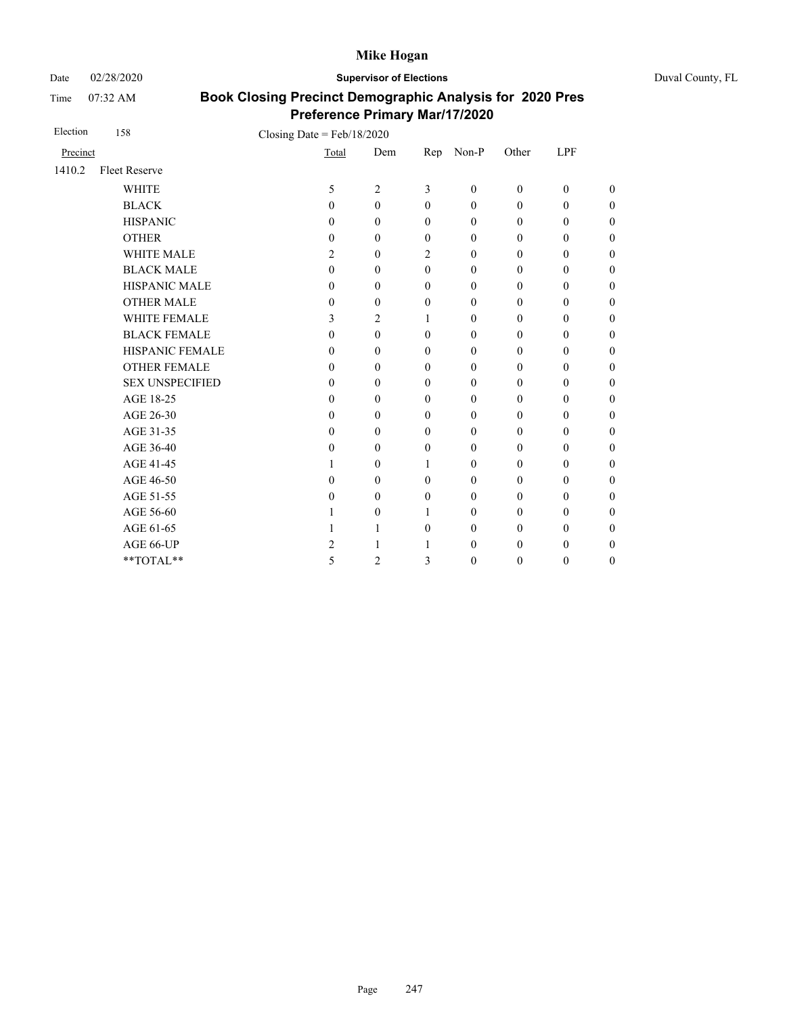Date 02/28/2020 **Supervisor of Elections** Duval County, FL

Time 07:32 AM

| Election | 158                    | Closing Date = $Feb/18/2020$ |                  |              |                  |                  |                  |                  |
|----------|------------------------|------------------------------|------------------|--------------|------------------|------------------|------------------|------------------|
| Precinct |                        | Total                        | Dem              | Rep          | Non-P            | Other            | LPF              |                  |
| 1410.2   | <b>Fleet Reserve</b>   |                              |                  |              |                  |                  |                  |                  |
|          | <b>WHITE</b>           | 5                            | $\overline{2}$   | 3            | $\overline{0}$   | $\boldsymbol{0}$ | $\boldsymbol{0}$ | $\overline{0}$   |
|          | <b>BLACK</b>           | $\theta$                     | $\mathbf{0}$     | $\theta$     | $\boldsymbol{0}$ | $\mathbf{0}$     | $\boldsymbol{0}$ | $\boldsymbol{0}$ |
|          | <b>HISPANIC</b>        | $\mathbf{0}$                 | $\theta$         | $\theta$     | $\boldsymbol{0}$ | $\mathbf{0}$     | $\boldsymbol{0}$ | $\boldsymbol{0}$ |
|          | <b>OTHER</b>           | $\mathbf{0}$                 | $\theta$         | $\theta$     | $\boldsymbol{0}$ | 0                | $\boldsymbol{0}$ | $\overline{0}$   |
|          | <b>WHITE MALE</b>      | 2                            | $\mathbf{0}$     | 2            | $\mathbf{0}$     | $\mathbf{0}$     | $\mathbf{0}$     | $\overline{0}$   |
|          | <b>BLACK MALE</b>      | $\mathbf{0}$                 | 0                | $\theta$     | $\mathbf{0}$     | $\boldsymbol{0}$ | $\boldsymbol{0}$ | $\boldsymbol{0}$ |
|          | HISPANIC MALE          | $\mathbf{0}$                 | $\theta$         | $\theta$     | $\mathbf{0}$     | $\mathbf{0}$     | $\mathbf{0}$     | $\overline{0}$   |
|          | <b>OTHER MALE</b>      | $\mathbf{0}$                 | $\mathbf{0}$     | $\mathbf{0}$ | $\mathbf{0}$     | 0                | $\mathbf{0}$     | $\boldsymbol{0}$ |
|          | <b>WHITE FEMALE</b>    | 3                            | 2                | 1            | $\mathbf{0}$     | $\boldsymbol{0}$ | $\theta$         | $\overline{0}$   |
|          | <b>BLACK FEMALE</b>    | $\theta$                     | $\theta$         | $\theta$     | $\mathbf{0}$     | $\mathbf{0}$     | $\mathbf{0}$     | $\overline{0}$   |
|          | HISPANIC FEMALE        | $\mathbf{0}$                 | $\boldsymbol{0}$ | $\theta$     | $\mathbf{0}$     | $\mathbf{0}$     | $\theta$         | $\overline{0}$   |
|          | <b>OTHER FEMALE</b>    | $\theta$                     | $\theta$         | $\theta$     | $\mathbf{0}$     | $\boldsymbol{0}$ | $\theta$         | $\overline{0}$   |
|          | <b>SEX UNSPECIFIED</b> | $\theta$                     | $\theta$         | $\mathbf{0}$ | $\mathbf{0}$     | $\mathbf{0}$     | $\mathbf{0}$     | $\boldsymbol{0}$ |
|          | AGE 18-25              | $\theta$                     | $\theta$         | $\mathbf{0}$ | $\mathbf{0}$     | $\mathbf{0}$     | $\mathbf{0}$     | $\overline{0}$   |
|          | AGE 26-30              | $\theta$                     | $\theta$         | $\theta$     | $\mathbf{0}$     | $\mathbf{0}$     | $\mathbf{0}$     | $\overline{0}$   |
|          | AGE 31-35              | $\theta$                     | $\theta$         | $\theta$     | $\mathbf{0}$     | $\mathbf{0}$     | $\mathbf{0}$     | $\boldsymbol{0}$ |
|          | AGE 36-40              | $\Omega$                     | $\Omega$         | $\Omega$     | $\mathbf{0}$     | $\mathbf{0}$     | $\theta$         | 0                |
|          | AGE 41-45              |                              | $\theta$         | 1            | $\mathbf{0}$     | $\mathbf{0}$     | $\mathbf{0}$     | $\overline{0}$   |
|          | AGE 46-50              | $\Omega$                     | $\boldsymbol{0}$ | $\theta$     | $\mathbf{0}$     | 0                | $\boldsymbol{0}$ | $\boldsymbol{0}$ |
|          | AGE 51-55              | $\Omega$                     | $\theta$         | $\theta$     | $\mathbf{0}$     | $\mathbf{0}$     | $\mathbf{0}$     | $\boldsymbol{0}$ |
|          | AGE 56-60              |                              | $\theta$         | 1            | $\mathbf{0}$     | $\mathbf{0}$     | $\theta$         | $\boldsymbol{0}$ |
|          | AGE 61-65              |                              | 1                | $\mathbf{0}$ | $\boldsymbol{0}$ | $\boldsymbol{0}$ | $\boldsymbol{0}$ | $\boldsymbol{0}$ |
|          | AGE 66-UP              | 2                            | 1                | 1            | $\boldsymbol{0}$ | $\boldsymbol{0}$ | $\mathbf{0}$     | $\boldsymbol{0}$ |
|          | **TOTAL**              | 5                            | $\overline{c}$   | 3            | $\boldsymbol{0}$ | $\boldsymbol{0}$ | $\boldsymbol{0}$ | $\boldsymbol{0}$ |
|          |                        |                              |                  |              |                  |                  |                  |                  |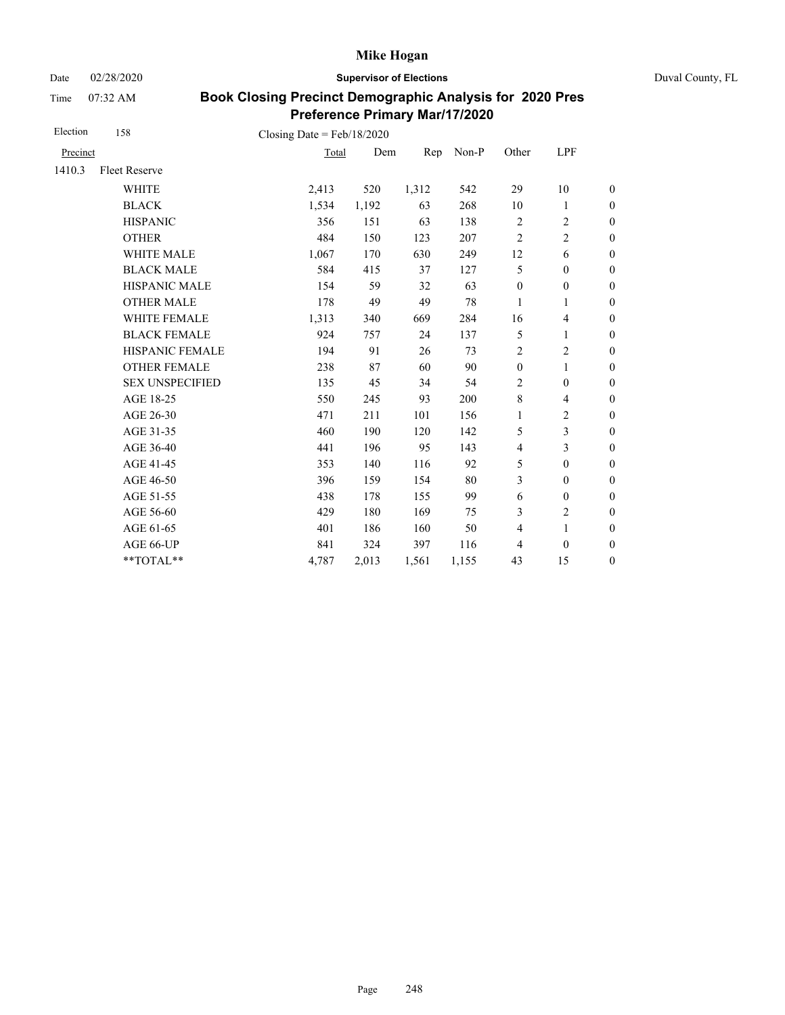Date 02/28/2020 **Supervisor of Elections** Duval County, FL

Time 07:32 AM

| Election | 158                    | Closing Date = $Feb/18/2020$ |       |       |       |                         |                          |                  |
|----------|------------------------|------------------------------|-------|-------|-------|-------------------------|--------------------------|------------------|
| Precinct |                        | Total                        | Dem   | Rep   | Non-P | Other                   | LPF                      |                  |
| 1410.3   | <b>Fleet Reserve</b>   |                              |       |       |       |                         |                          |                  |
|          | <b>WHITE</b>           | 2,413                        | 520   | 1,312 | 542   | 29                      | 10                       | $\boldsymbol{0}$ |
|          | <b>BLACK</b>           | 1,534                        | 1,192 | 63    | 268   | 10                      | 1                        | $\boldsymbol{0}$ |
|          | <b>HISPANIC</b>        | 356                          | 151   | 63    | 138   | $\overline{2}$          | $\overline{c}$           | $\boldsymbol{0}$ |
|          | <b>OTHER</b>           | 484                          | 150   | 123   | 207   | $\overline{2}$          | $\overline{c}$           | $\overline{0}$   |
|          | WHITE MALE             | 1,067                        | 170   | 630   | 249   | 12                      | 6                        | $\boldsymbol{0}$ |
|          | <b>BLACK MALE</b>      | 584                          | 415   | 37    | 127   | 5                       | $\boldsymbol{0}$         | $\boldsymbol{0}$ |
|          | <b>HISPANIC MALE</b>   | 154                          | 59    | 32    | 63    | $\boldsymbol{0}$        | $\boldsymbol{0}$         | $\boldsymbol{0}$ |
|          | <b>OTHER MALE</b>      | 178                          | 49    | 49    | 78    | 1                       | 1                        | $\boldsymbol{0}$ |
|          | WHITE FEMALE           | 1,313                        | 340   | 669   | 284   | 16                      | $\overline{\mathcal{L}}$ | $\boldsymbol{0}$ |
|          | <b>BLACK FEMALE</b>    | 924                          | 757   | 24    | 137   | 5                       | 1                        | $\boldsymbol{0}$ |
|          | HISPANIC FEMALE        | 194                          | 91    | 26    | 73    | $\overline{2}$          | $\overline{c}$           | $\boldsymbol{0}$ |
|          | <b>OTHER FEMALE</b>    | 238                          | 87    | 60    | 90    | $\mathbf{0}$            | $\mathbf{1}$             | $\boldsymbol{0}$ |
|          | <b>SEX UNSPECIFIED</b> | 135                          | 45    | 34    | 54    | $\overline{2}$          | $\boldsymbol{0}$         | $\boldsymbol{0}$ |
|          | AGE 18-25              | 550                          | 245   | 93    | 200   | $\,8\,$                 | $\overline{\mathcal{L}}$ | $\boldsymbol{0}$ |
|          | AGE 26-30              | 471                          | 211   | 101   | 156   | $\mathbf{1}$            | $\overline{c}$           | $\overline{0}$   |
|          | AGE 31-35              | 460                          | 190   | 120   | 142   | 5                       | 3                        | $\boldsymbol{0}$ |
|          | AGE 36-40              | 441                          | 196   | 95    | 143   | $\overline{4}$          | 3                        | $\boldsymbol{0}$ |
|          | AGE 41-45              | 353                          | 140   | 116   | 92    | 5                       | $\boldsymbol{0}$         | $\boldsymbol{0}$ |
|          | AGE 46-50              | 396                          | 159   | 154   | 80    | 3                       | $\boldsymbol{0}$         | $\boldsymbol{0}$ |
|          | AGE 51-55              | 438                          | 178   | 155   | 99    | 6                       | $\boldsymbol{0}$         | $\boldsymbol{0}$ |
|          | AGE 56-60              | 429                          | 180   | 169   | 75    | 3                       | $\mathbf{2}$             | $\boldsymbol{0}$ |
|          | AGE 61-65              | 401                          | 186   | 160   | 50    | $\overline{\mathbf{4}}$ | $\mathbf{1}$             | $\boldsymbol{0}$ |
|          | AGE 66-UP              | 841                          | 324   | 397   | 116   | 4                       | $\boldsymbol{0}$         | $\boldsymbol{0}$ |
|          | **TOTAL**              | 4,787                        | 2,013 | 1,561 | 1,155 | 43                      | 15                       | $\boldsymbol{0}$ |
|          |                        |                              |       |       |       |                         |                          |                  |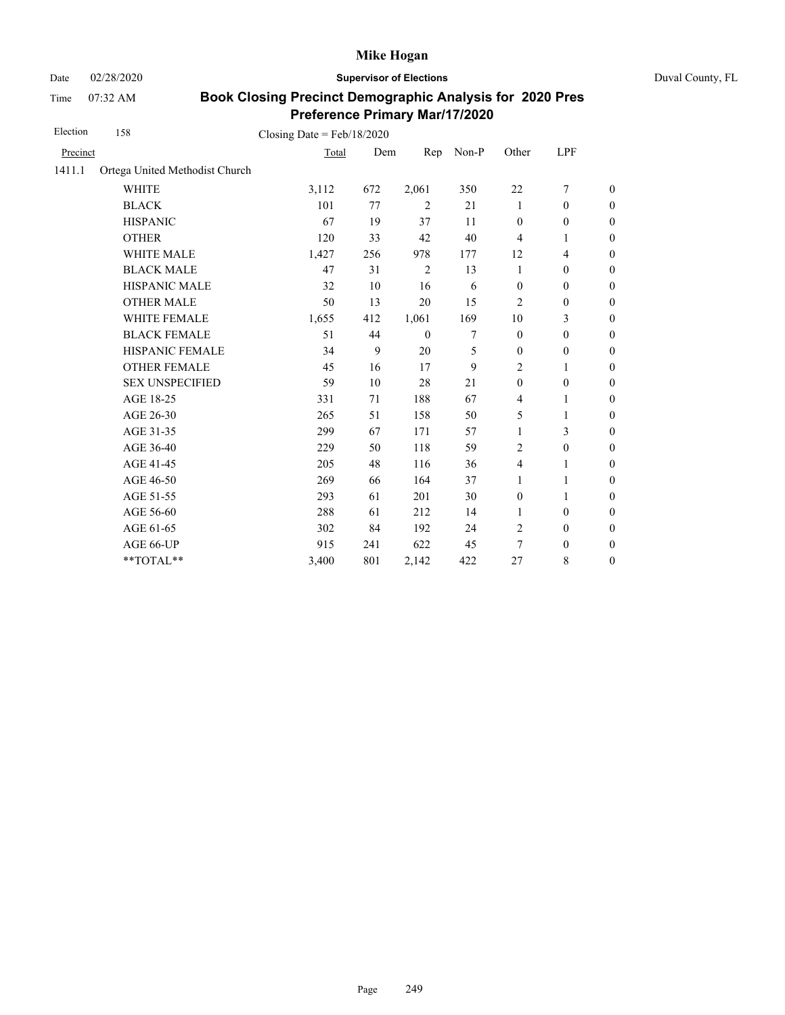Date 02/28/2020 **Supervisor of Elections** Duval County, FL

Time 07:32 AM

| Election | 158                            | Closing Date = $Feb/18/2020$ |     |              |       |                  |                  |                  |
|----------|--------------------------------|------------------------------|-----|--------------|-------|------------------|------------------|------------------|
| Precinct |                                | Total                        | Dem | Rep          | Non-P | Other            | LPF              |                  |
| 1411.1   | Ortega United Methodist Church |                              |     |              |       |                  |                  |                  |
|          | <b>WHITE</b>                   | 3,112                        | 672 | 2,061        | 350   | 22               | 7                | $\boldsymbol{0}$ |
|          | <b>BLACK</b>                   | 101                          | 77  | 2            | 21    | 1                | $\mathbf{0}$     | $\boldsymbol{0}$ |
|          | <b>HISPANIC</b>                | 67                           | 19  | 37           | 11    | $\mathbf{0}$     | $\theta$         | $\boldsymbol{0}$ |
|          | <b>OTHER</b>                   | 120                          | 33  | 42           | 40    | $\overline{4}$   | 1                | $\overline{0}$   |
|          | WHITE MALE                     | 1,427                        | 256 | 978          | 177   | 12               | $\overline{4}$   | $\boldsymbol{0}$ |
|          | <b>BLACK MALE</b>              | 47                           | 31  | 2            | 13    | 1                | $\mathbf{0}$     | $\boldsymbol{0}$ |
|          | <b>HISPANIC MALE</b>           | 32                           | 10  | 16           | 6     | $\mathbf{0}$     | $\mathbf{0}$     | $\mathbf{0}$     |
|          | <b>OTHER MALE</b>              | 50                           | 13  | 20           | 15    | $\overline{c}$   | $\boldsymbol{0}$ | $\boldsymbol{0}$ |
|          | WHITE FEMALE                   | 1,655                        | 412 | 1,061        | 169   | 10               | 3                | $\boldsymbol{0}$ |
|          | <b>BLACK FEMALE</b>            | 51                           | 44  | $\mathbf{0}$ | 7     | $\mathbf{0}$     | $\boldsymbol{0}$ | $\boldsymbol{0}$ |
|          | HISPANIC FEMALE                | 34                           | 9   | 20           | 5     | $\boldsymbol{0}$ | $\boldsymbol{0}$ | $\boldsymbol{0}$ |
|          | <b>OTHER FEMALE</b>            | 45                           | 16  | 17           | 9     | 2                | 1                | $\boldsymbol{0}$ |
|          | <b>SEX UNSPECIFIED</b>         | 59                           | 10  | 28           | 21    | $\mathbf{0}$     | $\mathbf{0}$     | $\boldsymbol{0}$ |
|          | AGE 18-25                      | 331                          | 71  | 188          | 67    | $\overline{4}$   | 1                | $\boldsymbol{0}$ |
|          | AGE 26-30                      | 265                          | 51  | 158          | 50    | 5                | 1                | $\boldsymbol{0}$ |
|          | AGE 31-35                      | 299                          | 67  | 171          | 57    | 1                | 3                | $\boldsymbol{0}$ |
|          | AGE 36-40                      | 229                          | 50  | 118          | 59    | $\overline{c}$   | $\boldsymbol{0}$ | $\boldsymbol{0}$ |
|          | AGE 41-45                      | 205                          | 48  | 116          | 36    | $\overline{4}$   | 1                | $\overline{0}$   |
|          | AGE 46-50                      | 269                          | 66  | 164          | 37    | 1                | 1                | $\boldsymbol{0}$ |
|          | AGE 51-55                      | 293                          | 61  | 201          | 30    | $\boldsymbol{0}$ | 1                | $\boldsymbol{0}$ |
|          | AGE 56-60                      | 288                          | 61  | 212          | 14    | 1                | $\boldsymbol{0}$ | $\boldsymbol{0}$ |
|          | AGE 61-65                      | 302                          | 84  | 192          | 24    | $\overline{2}$   | $\boldsymbol{0}$ | $\boldsymbol{0}$ |
|          | AGE 66-UP                      | 915                          | 241 | 622          | 45    | 7                | $\boldsymbol{0}$ | $\boldsymbol{0}$ |
|          | **TOTAL**                      | 3,400                        | 801 | 2,142        | 422   | 27               | 8                | $\boldsymbol{0}$ |
|          |                                |                              |     |              |       |                  |                  |                  |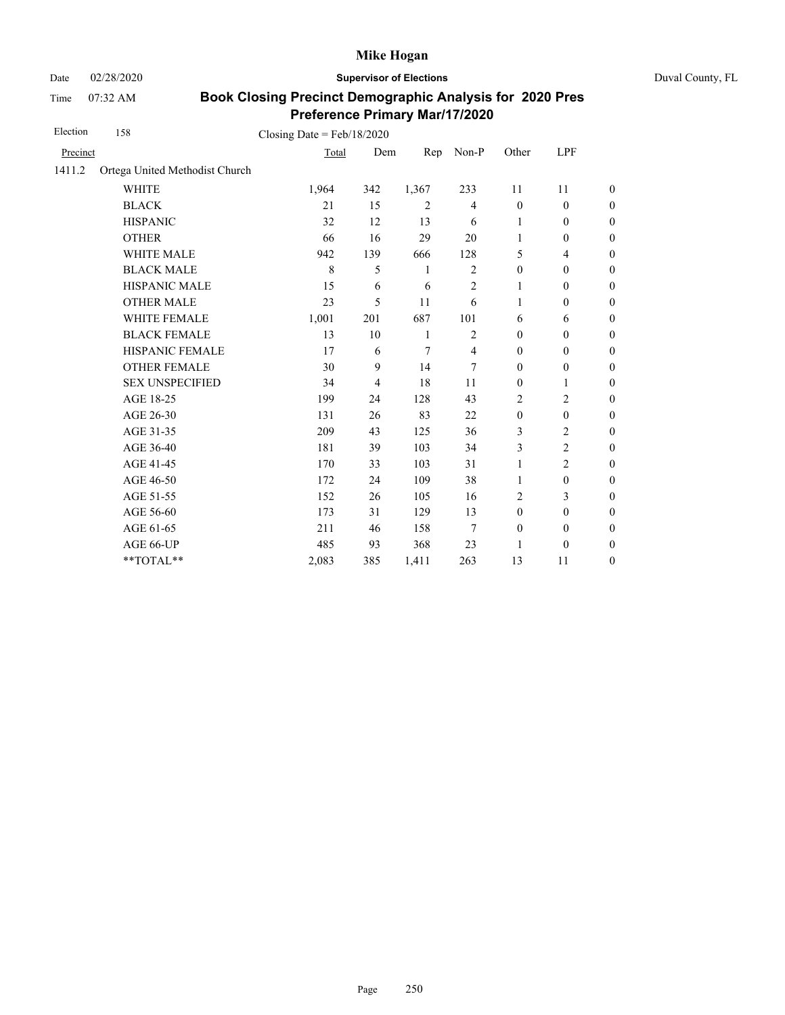Date 02/28/2020 **Supervisor of Elections** Duval County, FL

Time 07:32 AM

| Election | 158                            | Closing Date = $Feb/18/2020$ |                |       |                |                  |                          |                  |
|----------|--------------------------------|------------------------------|----------------|-------|----------------|------------------|--------------------------|------------------|
| Precinct |                                | Total                        | Dem            | Rep   | Non-P          | Other            | LPF                      |                  |
| 1411.2   | Ortega United Methodist Church |                              |                |       |                |                  |                          |                  |
|          | <b>WHITE</b>                   | 1,964                        | 342            | 1,367 | 233            | 11               | 11                       | $\overline{0}$   |
|          | <b>BLACK</b>                   | 21                           | 15             | 2     | $\overline{4}$ | $\mathbf{0}$     | $\mathbf{0}$             | $\overline{0}$   |
|          | <b>HISPANIC</b>                | 32                           | 12             | 13    | 6              | 1                | $\boldsymbol{0}$         | $\boldsymbol{0}$ |
|          | <b>OTHER</b>                   | 66                           | 16             | 29    | 20             | $\mathbf{1}$     | $\boldsymbol{0}$         | $\boldsymbol{0}$ |
|          | WHITE MALE                     | 942                          | 139            | 666   | 128            | 5                | $\overline{\mathcal{L}}$ | $\boldsymbol{0}$ |
|          | <b>BLACK MALE</b>              | 8                            | 5              | 1     | $\overline{c}$ | $\boldsymbol{0}$ | $\boldsymbol{0}$         | $\boldsymbol{0}$ |
|          | <b>HISPANIC MALE</b>           | 15                           | 6              | 6     | 2              | 1                | $\boldsymbol{0}$         | $\overline{0}$   |
|          | <b>OTHER MALE</b>              | 23                           | 5              | 11    | 6              | 1                | $\mathbf{0}$             | $\boldsymbol{0}$ |
|          | <b>WHITE FEMALE</b>            | 1,001                        | 201            | 687   | 101            | 6                | 6                        | $\overline{0}$   |
|          | <b>BLACK FEMALE</b>            | 13                           | 10             | 1     | $\overline{2}$ | $\mathbf{0}$     | $\mathbf{0}$             | $\overline{0}$   |
|          | HISPANIC FEMALE                | 17                           | 6              | 7     | $\overline{4}$ | $\boldsymbol{0}$ | $\boldsymbol{0}$         | $\boldsymbol{0}$ |
|          | <b>OTHER FEMALE</b>            | 30                           | 9              | 14    | 7              | $\boldsymbol{0}$ | $\boldsymbol{0}$         | $\boldsymbol{0}$ |
|          | <b>SEX UNSPECIFIED</b>         | 34                           | $\overline{4}$ | 18    | 11             | $\mathbf{0}$     | 1                        | $\boldsymbol{0}$ |
|          | AGE 18-25                      | 199                          | 24             | 128   | 43             | $\overline{2}$   | $\overline{c}$           | $\overline{0}$   |
|          | AGE 26-30                      | 131                          | 26             | 83    | 22             | $\mathbf{0}$     | $\mathbf{0}$             | $\boldsymbol{0}$ |
|          | AGE 31-35                      | 209                          | 43             | 125   | 36             | 3                | $\overline{2}$           | $\boldsymbol{0}$ |
|          | AGE 36-40                      | 181                          | 39             | 103   | 34             | 3                | $\overline{c}$           | $\overline{0}$   |
|          | AGE 41-45                      | 170                          | 33             | 103   | 31             | $\mathbf{1}$     | $\overline{c}$           | $\boldsymbol{0}$ |
|          | AGE 46-50                      | 172                          | 24             | 109   | 38             | 1                | $\boldsymbol{0}$         | $\boldsymbol{0}$ |
|          | AGE 51-55                      | 152                          | 26             | 105   | 16             | 2                | 3                        | $\boldsymbol{0}$ |
|          | AGE 56-60                      | 173                          | 31             | 129   | 13             | $\mathbf{0}$     | $\boldsymbol{0}$         | $\overline{0}$   |
|          | AGE 61-65                      | 211                          | 46             | 158   | 7              | $\boldsymbol{0}$ | $\mathbf{0}$             | $\boldsymbol{0}$ |
|          | AGE 66-UP                      | 485                          | 93             | 368   | 23             | 1                | $\boldsymbol{0}$         | $\boldsymbol{0}$ |
|          | **TOTAL**                      | 2,083                        | 385            | 1,411 | 263            | 13               | 11                       | $\boldsymbol{0}$ |
|          |                                |                              |                |       |                |                  |                          |                  |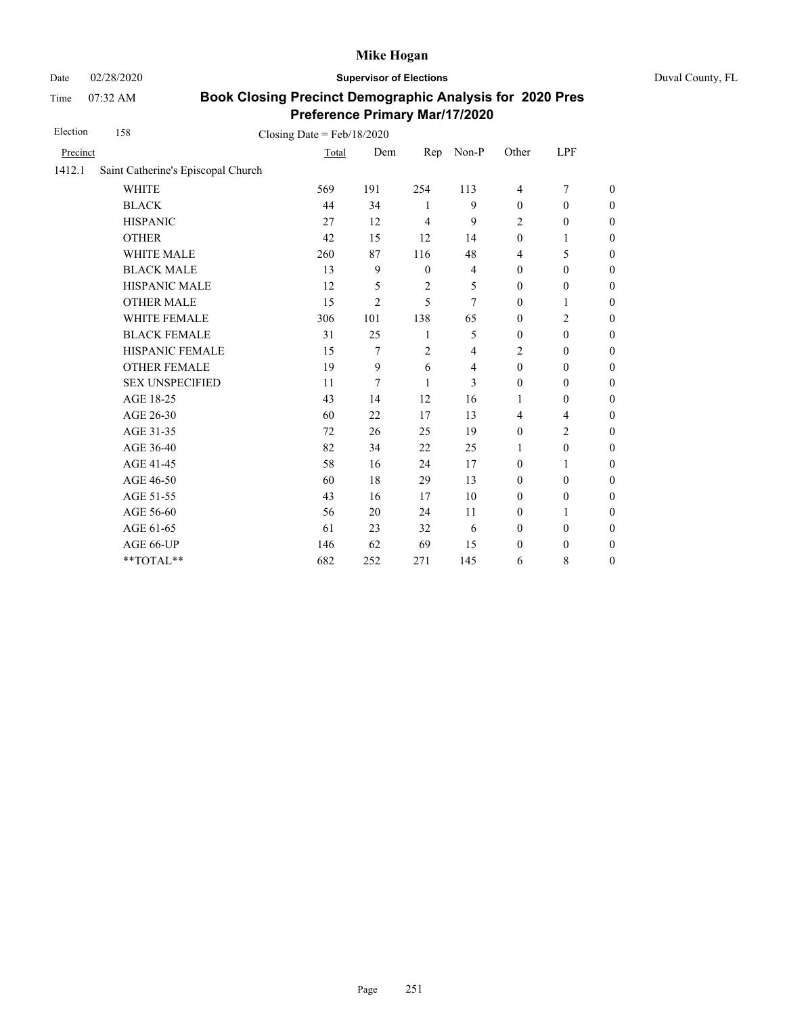Date 02/28/2020 **Supervisor of Elections** Duval County, FL

Time 07:32 AM

| Election | 158                                | Closing Date = $Feb/18/2020$ |                |                |                |                  |                          |                  |
|----------|------------------------------------|------------------------------|----------------|----------------|----------------|------------------|--------------------------|------------------|
| Precinct |                                    | Total                        | Dem            | Rep            | Non-P          | Other            | LPF                      |                  |
| 1412.1   | Saint Catherine's Episcopal Church |                              |                |                |                |                  |                          |                  |
|          | <b>WHITE</b>                       | 569                          | 191            | 254            | 113            | $\overline{4}$   | $\overline{7}$           | $\theta$         |
|          | <b>BLACK</b>                       | 44                           | 34             | 1              | 9              | $\mathbf{0}$     | $\mathbf{0}$             | $\boldsymbol{0}$ |
|          | <b>HISPANIC</b>                    | 27                           | 12             | $\overline{4}$ | 9              | $\overline{c}$   | $\boldsymbol{0}$         | $\boldsymbol{0}$ |
|          | <b>OTHER</b>                       | 42                           | 15             | 12             | 14             | $\boldsymbol{0}$ | 1                        | $\overline{0}$   |
|          | WHITE MALE                         | 260                          | 87             | 116            | 48             | 4                | 5                        | $\boldsymbol{0}$ |
|          | <b>BLACK MALE</b>                  | 13                           | 9              | $\mathbf{0}$   | $\overline{4}$ | $\mathbf{0}$     | $\mathbf{0}$             | $\boldsymbol{0}$ |
|          | <b>HISPANIC MALE</b>               | 12                           | 5              | $\overline{c}$ | 5              | $\mathbf{0}$     | $\mathbf{0}$             | $\overline{0}$   |
|          | <b>OTHER MALE</b>                  | 15                           | $\overline{2}$ | 5              | 7              | $\boldsymbol{0}$ | 1                        | $\boldsymbol{0}$ |
|          | <b>WHITE FEMALE</b>                | 306                          | 101            | 138            | 65             | $\boldsymbol{0}$ | $\overline{c}$           | $\boldsymbol{0}$ |
|          | <b>BLACK FEMALE</b>                | 31                           | 25             | $\mathbf{1}$   | 5              | $\mathbf{0}$     | $\mathbf{0}$             | $\boldsymbol{0}$ |
|          | HISPANIC FEMALE                    | 15                           | 7              | $\overline{2}$ | 4              | $\overline{2}$   | $\mathbf{0}$             | $\overline{0}$   |
|          | <b>OTHER FEMALE</b>                | 19                           | 9              | 6              | 4              | $\boldsymbol{0}$ | $\boldsymbol{0}$         | $\boldsymbol{0}$ |
|          | <b>SEX UNSPECIFIED</b>             | 11                           | 7              | 1              | 3              | $\mathbf{0}$     | $\boldsymbol{0}$         | $\boldsymbol{0}$ |
|          | AGE 18-25                          | 43                           | 14             | 12             | 16             | 1                | $\boldsymbol{0}$         | $\boldsymbol{0}$ |
|          | AGE 26-30                          | 60                           | 22             | 17             | 13             | $\overline{4}$   | $\overline{\mathcal{L}}$ | $\overline{0}$   |
|          | AGE 31-35                          | 72                           | 26             | 25             | 19             | $\boldsymbol{0}$ | $\overline{c}$           | $\boldsymbol{0}$ |
|          | AGE 36-40                          | 82                           | 34             | 22             | 25             | 1                | $\boldsymbol{0}$         | $\boldsymbol{0}$ |
|          | AGE 41-45                          | 58                           | 16             | 24             | 17             | $\mathbf{0}$     | $\mathbf{1}$             | $\overline{0}$   |
|          | AGE 46-50                          | 60                           | 18             | 29             | 13             | $\mathbf{0}$     | $\mathbf{0}$             | $\overline{0}$   |
|          | AGE 51-55                          | 43                           | 16             | 17             | 10             | $\mathbf{0}$     | $\mathbf{0}$             | $\overline{0}$   |
|          | AGE 56-60                          | 56                           | 20             | 24             | 11             | $\boldsymbol{0}$ | $\mathbf{1}$             | $\overline{0}$   |
|          | AGE 61-65                          | 61                           | 23             | 32             | 6              | $\mathbf{0}$     | $\mathbf{0}$             | $\boldsymbol{0}$ |
|          | AGE 66-UP                          | 146                          | 62             | 69             | 15             | $\mathbf{0}$     | $\mathbf{0}$             | $\overline{0}$   |
|          | **TOTAL**                          | 682                          | 252            | 271            | 145            | 6                | 8                        | $\boldsymbol{0}$ |
|          |                                    |                              |                |                |                |                  |                          |                  |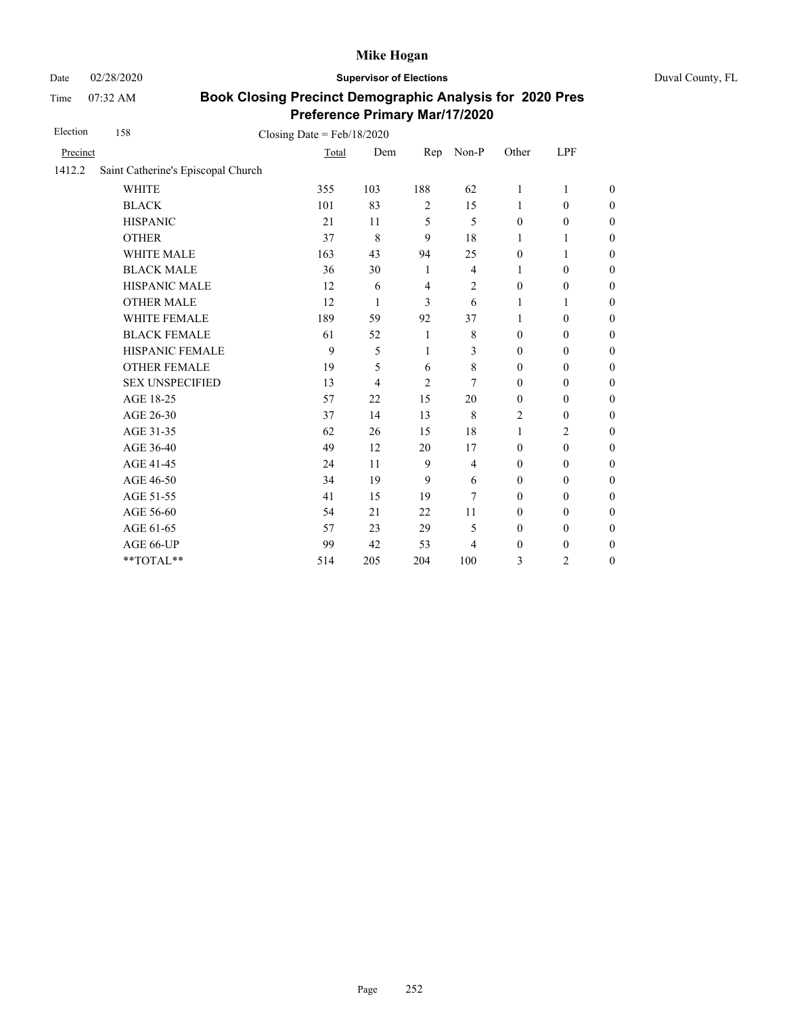Date 02/28/2020 **Supervisor of Elections** Duval County, FL

Time 07:32 AM

| Election | 158                                | Closing Date = $Feb/18/2020$ |     |                |                |                  |                  |                  |
|----------|------------------------------------|------------------------------|-----|----------------|----------------|------------------|------------------|------------------|
| Precinct |                                    | Total                        | Dem | Rep            | Non-P          | Other            | LPF              |                  |
| 1412.2   | Saint Catherine's Episcopal Church |                              |     |                |                |                  |                  |                  |
|          | <b>WHITE</b>                       | 355                          | 103 | 188            | 62             | 1                | 1                | $\theta$         |
|          | <b>BLACK</b>                       | 101                          | 83  | $\overline{2}$ | 15             | 1                | $\mathbf{0}$     | $\boldsymbol{0}$ |
|          | <b>HISPANIC</b>                    | 21                           | 11  | 5              | 5              | $\mathbf{0}$     | $\boldsymbol{0}$ | $\overline{0}$   |
|          | <b>OTHER</b>                       | 37                           | 8   | 9              | 18             | 1                | 1                | $\overline{0}$   |
|          | <b>WHITE MALE</b>                  | 163                          | 43  | 94             | 25             | $\mathbf{0}$     | 1                | $\boldsymbol{0}$ |
|          | <b>BLACK MALE</b>                  | 36                           | 30  | 1              | $\overline{4}$ | 1                | $\mathbf{0}$     | $\boldsymbol{0}$ |
|          | HISPANIC MALE                      | 12                           | 6   | $\overline{4}$ | $\overline{c}$ | $\boldsymbol{0}$ | $\boldsymbol{0}$ | $\overline{0}$   |
|          | <b>OTHER MALE</b>                  | 12                           | 1   | 3              | 6              | 1                | 1                | $\boldsymbol{0}$ |
|          | <b>WHITE FEMALE</b>                | 189                          | 59  | 92             | 37             | 1                | $\mathbf{0}$     | $\boldsymbol{0}$ |
|          | <b>BLACK FEMALE</b>                | 61                           | 52  | 1              | 8              | $\mathbf{0}$     | $\mathbf{0}$     | $\overline{0}$   |
|          | HISPANIC FEMALE                    | 9                            | 5   | 1              | 3              | $\boldsymbol{0}$ | $\boldsymbol{0}$ | $\boldsymbol{0}$ |
|          | <b>OTHER FEMALE</b>                | 19                           | 5   | 6              | 8              | $\boldsymbol{0}$ | $\boldsymbol{0}$ | $\boldsymbol{0}$ |
|          | <b>SEX UNSPECIFIED</b>             | 13                           | 4   | $\overline{2}$ | 7              | $\mathbf{0}$     | $\boldsymbol{0}$ | $\boldsymbol{0}$ |
|          | AGE 18-25                          | 57                           | 22  | 15             | 20             | $\boldsymbol{0}$ | $\boldsymbol{0}$ | $\boldsymbol{0}$ |
|          | AGE 26-30                          | 37                           | 14  | 13             | 8              | $\overline{2}$   | $\boldsymbol{0}$ | $\boldsymbol{0}$ |
|          | AGE 31-35                          | 62                           | 26  | 15             | 18             | $\mathbf{1}$     | $\overline{c}$   | $\boldsymbol{0}$ |
|          | AGE 36-40                          | 49                           | 12  | 20             | 17             | $\mathbf{0}$     | $\boldsymbol{0}$ | $\boldsymbol{0}$ |
|          | AGE 41-45                          | 24                           | 11  | 9              | 4              | $\mathbf{0}$     | $\mathbf{0}$     | $\overline{0}$   |
|          | AGE 46-50                          | 34                           | 19  | 9              | 6              | $\boldsymbol{0}$ | $\boldsymbol{0}$ | $\boldsymbol{0}$ |
|          | AGE 51-55                          | 41                           | 15  | 19             | 7              | $\mathbf{0}$     | $\mathbf{0}$     | $\boldsymbol{0}$ |
|          | AGE 56-60                          | 54                           | 21  | 22             | 11             | $\mathbf{0}$     | $\mathbf{0}$     | $\overline{0}$   |
|          | AGE 61-65                          | 57                           | 23  | 29             | 5              | $\mathbf{0}$     | $\boldsymbol{0}$ | $\overline{0}$   |
|          | AGE 66-UP                          | 99                           | 42  | 53             | 4              | $\boldsymbol{0}$ | $\mathbf{0}$     | $\overline{0}$   |
|          | **TOTAL**                          | 514                          | 205 | 204            | 100            | 3                | $\overline{c}$   | $\overline{0}$   |
|          |                                    |                              |     |                |                |                  |                  |                  |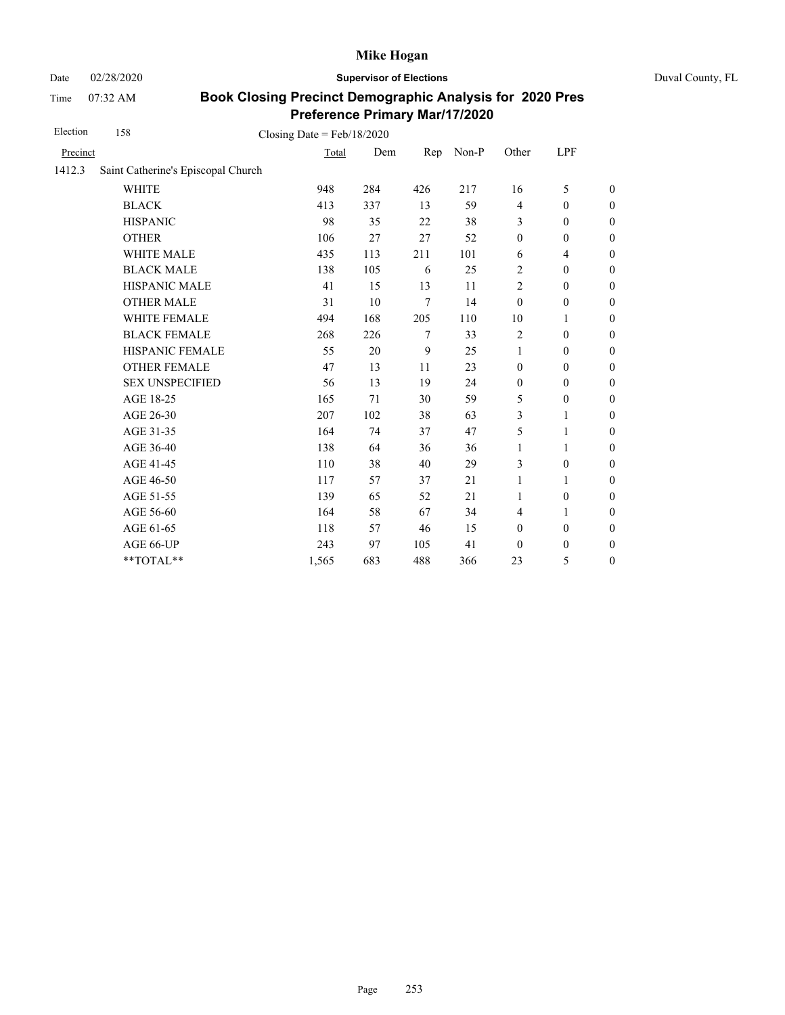Date 02/28/2020 **Supervisor of Elections** Duval County, FL

Time 07:32 AM

| Election | 158                                | Closing Date = $Feb/18/2020$ |     |        |       |                  |                  |                  |
|----------|------------------------------------|------------------------------|-----|--------|-------|------------------|------------------|------------------|
| Precinct |                                    | Total                        | Dem | Rep    | Non-P | Other            | LPF              |                  |
| 1412.3   | Saint Catherine's Episcopal Church |                              |     |        |       |                  |                  |                  |
|          | <b>WHITE</b>                       | 948                          | 284 | 426    | 217   | 16               | 5                | $\boldsymbol{0}$ |
|          | <b>BLACK</b>                       | 413                          | 337 | 13     | 59    | $\overline{4}$   | $\boldsymbol{0}$ | $\boldsymbol{0}$ |
|          | <b>HISPANIC</b>                    | 98                           | 35  | 22     | 38    | 3                | $\mathbf{0}$     | $\boldsymbol{0}$ |
|          | <b>OTHER</b>                       | 106                          | 27  | 27     | 52    | $\boldsymbol{0}$ | $\boldsymbol{0}$ | $\overline{0}$   |
|          | WHITE MALE                         | 435                          | 113 | 211    | 101   | 6                | 4                | $\mathbf{0}$     |
|          | <b>BLACK MALE</b>                  | 138                          | 105 | 6      | 25    | 2                | $\mathbf{0}$     | $\boldsymbol{0}$ |
|          | <b>HISPANIC MALE</b>               | 41                           | 15  | 13     | 11    | $\overline{2}$   | $\mathbf{0}$     | $\overline{0}$   |
|          | <b>OTHER MALE</b>                  | 31                           | 10  | 7      | 14    | $\mathbf{0}$     | $\boldsymbol{0}$ | $\boldsymbol{0}$ |
|          | WHITE FEMALE                       | 494                          | 168 | 205    | 110   | 10               | 1                | $\boldsymbol{0}$ |
|          | <b>BLACK FEMALE</b>                | 268                          | 226 | $\tau$ | 33    | $\overline{c}$   | $\mathbf{0}$     | $\boldsymbol{0}$ |
|          | HISPANIC FEMALE                    | 55                           | 20  | 9      | 25    | 1                | $\boldsymbol{0}$ | $\mathbf{0}$     |
|          | <b>OTHER FEMALE</b>                | 47                           | 13  | 11     | 23    | $\boldsymbol{0}$ | $\mathbf{0}$     | $\boldsymbol{0}$ |
|          | <b>SEX UNSPECIFIED</b>             | 56                           | 13  | 19     | 24    | $\boldsymbol{0}$ | $\mathbf{0}$     | $\boldsymbol{0}$ |
|          | AGE 18-25                          | 165                          | 71  | 30     | 59    | 5                | $\boldsymbol{0}$ | $\mathbf{0}$     |
|          | AGE 26-30                          | 207                          | 102 | 38     | 63    | 3                | 1                | $\overline{0}$   |
|          | AGE 31-35                          | 164                          | 74  | 37     | 47    | 5                | 1                | $\boldsymbol{0}$ |
|          | AGE 36-40                          | 138                          | 64  | 36     | 36    | $\mathbf{1}$     | 1                | $\boldsymbol{0}$ |
|          | AGE 41-45                          | 110                          | 38  | 40     | 29    | 3                | $\boldsymbol{0}$ | $\boldsymbol{0}$ |
|          | AGE 46-50                          | 117                          | 57  | 37     | 21    | 1                | 1                | $\boldsymbol{0}$ |
|          | AGE 51-55                          | 139                          | 65  | 52     | 21    | $\mathbf{1}$     | $\boldsymbol{0}$ | $\boldsymbol{0}$ |
|          | AGE 56-60                          | 164                          | 58  | 67     | 34    | $\overline{4}$   | 1                | $\boldsymbol{0}$ |
|          | AGE 61-65                          | 118                          | 57  | 46     | 15    | $\boldsymbol{0}$ | $\boldsymbol{0}$ | $\boldsymbol{0}$ |
|          | AGE 66-UP                          | 243                          | 97  | 105    | 41    | $\mathbf{0}$     | $\boldsymbol{0}$ | $\boldsymbol{0}$ |
|          | **TOTAL**                          | 1,565                        | 683 | 488    | 366   | 23               | 5                | $\boldsymbol{0}$ |
|          |                                    |                              |     |        |       |                  |                  |                  |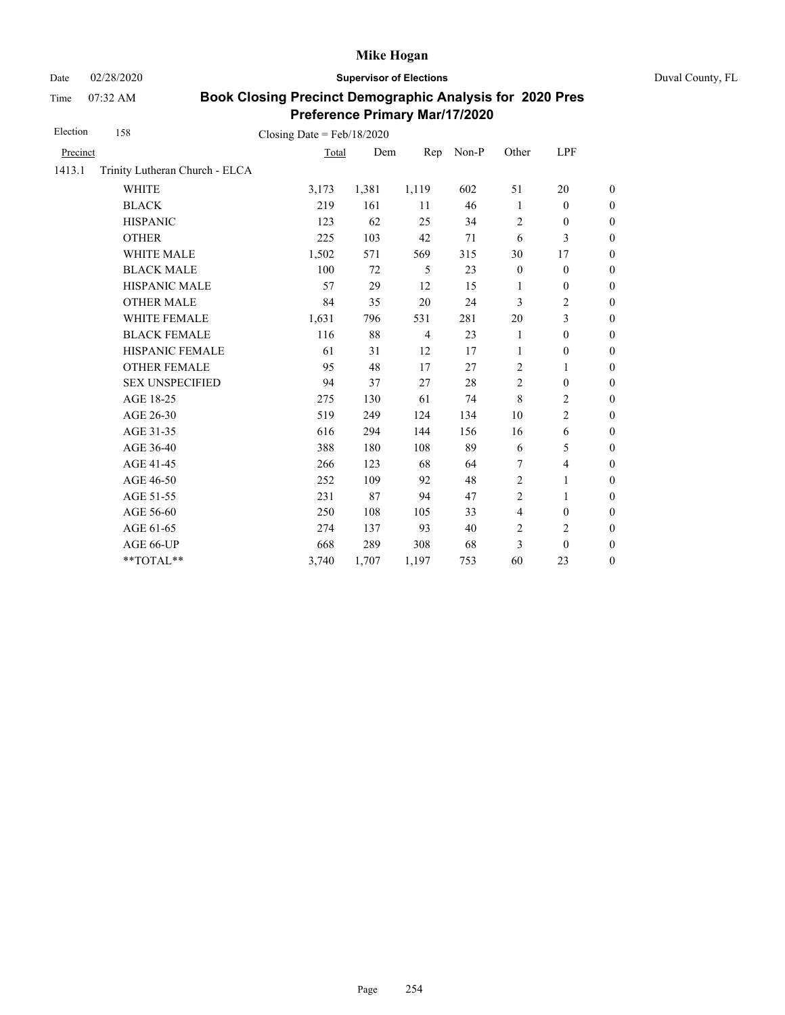Date 02/28/2020 **Supervisor of Elections** Duval County, FL

Time 07:32 AM

| Election | 158                            | Closing Date = $Feb/18/2020$ |       |                |       |                  |                          |                  |
|----------|--------------------------------|------------------------------|-------|----------------|-------|------------------|--------------------------|------------------|
| Precinct |                                | Total                        | Dem   | Rep            | Non-P | Other            | LPF                      |                  |
| 1413.1   | Trinity Lutheran Church - ELCA |                              |       |                |       |                  |                          |                  |
|          | <b>WHITE</b>                   | 3,173                        | 1,381 | 1,119          | 602   | 51               | 20                       | $\boldsymbol{0}$ |
|          | <b>BLACK</b>                   | 219                          | 161   | 11             | 46    | $\mathbf{1}$     | $\boldsymbol{0}$         | $\boldsymbol{0}$ |
|          | <b>HISPANIC</b>                | 123                          | 62    | 25             | 34    | $\overline{2}$   | $\boldsymbol{0}$         | $\boldsymbol{0}$ |
|          | <b>OTHER</b>                   | 225                          | 103   | 42             | 71    | 6                | 3                        | $\boldsymbol{0}$ |
|          | WHITE MALE                     | 1,502                        | 571   | 569            | 315   | 30               | 17                       | $\boldsymbol{0}$ |
|          | <b>BLACK MALE</b>              | 100                          | 72    | 5              | 23    | $\boldsymbol{0}$ | $\boldsymbol{0}$         | $\boldsymbol{0}$ |
|          | <b>HISPANIC MALE</b>           | 57                           | 29    | 12             | 15    | 1                | $\boldsymbol{0}$         | $\overline{0}$   |
|          | <b>OTHER MALE</b>              | 84                           | 35    | 20             | 24    | 3                | 2                        | $\boldsymbol{0}$ |
|          | WHITE FEMALE                   | 1,631                        | 796   | 531            | 281   | 20               | 3                        | $\boldsymbol{0}$ |
|          | <b>BLACK FEMALE</b>            | 116                          | 88    | $\overline{4}$ | 23    | 1                | $\boldsymbol{0}$         | $\boldsymbol{0}$ |
|          | HISPANIC FEMALE                | 61                           | 31    | 12             | 17    | 1                | $\boldsymbol{0}$         | $\boldsymbol{0}$ |
|          | <b>OTHER FEMALE</b>            | 95                           | 48    | 17             | 27    | 2                | 1                        | $\boldsymbol{0}$ |
|          | <b>SEX UNSPECIFIED</b>         | 94                           | 37    | 27             | 28    | $\overline{2}$   | $\boldsymbol{0}$         | $\boldsymbol{0}$ |
|          | AGE 18-25                      | 275                          | 130   | 61             | 74    | $\,8\,$          | $\overline{c}$           | $\boldsymbol{0}$ |
|          | AGE 26-30                      | 519                          | 249   | 124            | 134   | 10               | $\overline{c}$           | $\boldsymbol{0}$ |
|          | AGE 31-35                      | 616                          | 294   | 144            | 156   | 16               | 6                        | $\boldsymbol{0}$ |
|          | AGE 36-40                      | 388                          | 180   | 108            | 89    | 6                | 5                        | $\boldsymbol{0}$ |
|          | AGE 41-45                      | 266                          | 123   | 68             | 64    | 7                | $\overline{\mathcal{L}}$ | $\overline{0}$   |
|          | AGE 46-50                      | 252                          | 109   | 92             | 48    | $\overline{c}$   | 1                        | $\boldsymbol{0}$ |
|          | AGE 51-55                      | 231                          | 87    | 94             | 47    | $\overline{2}$   | 1                        | $\boldsymbol{0}$ |
|          | AGE 56-60                      | 250                          | 108   | 105            | 33    | $\overline{4}$   | $\boldsymbol{0}$         | $\boldsymbol{0}$ |
|          | AGE 61-65                      | 274                          | 137   | 93             | 40    | $\overline{2}$   | $\overline{c}$           | $\overline{0}$   |
|          | AGE 66-UP                      | 668                          | 289   | 308            | 68    | 3                | $\mathbf{0}$             | $\boldsymbol{0}$ |
|          | **TOTAL**                      | 3,740                        | 1,707 | 1,197          | 753   | 60               | 23                       | $\boldsymbol{0}$ |
|          |                                |                              |       |                |       |                  |                          |                  |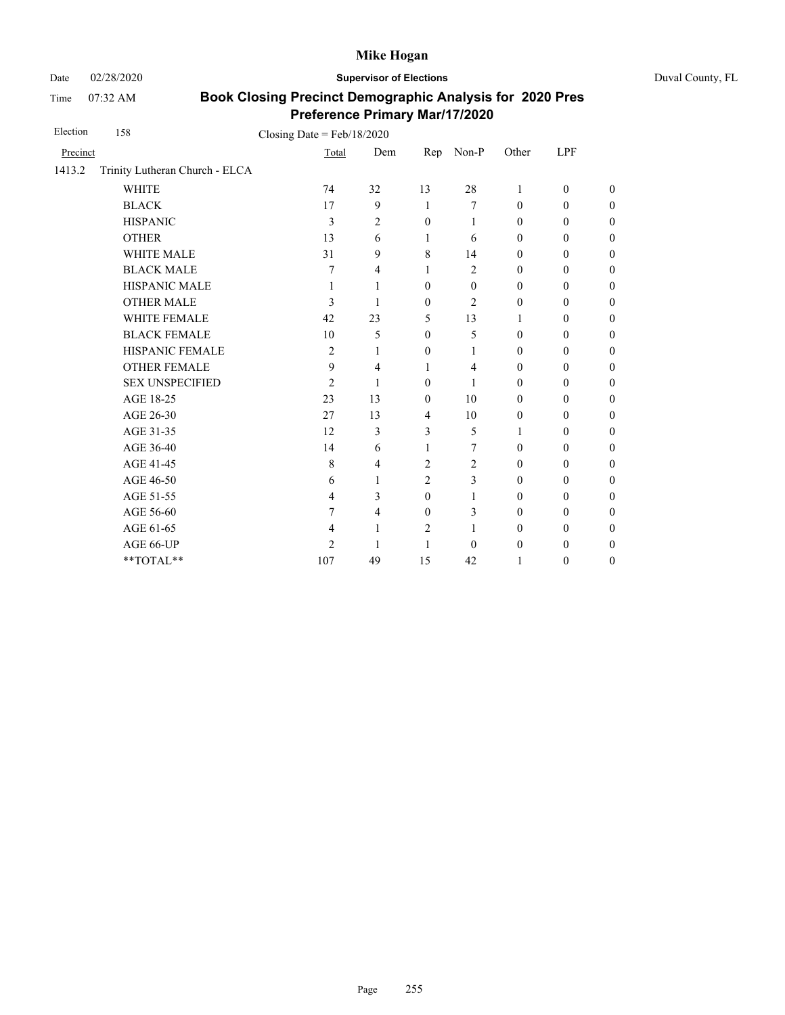Date 02/28/2020 **Supervisor of Elections** Duval County, FL

Time 07:32 AM

| Election | 158                            | Closing Date = $Feb/18/2020$ |                |                |                  |                  |                  |                  |
|----------|--------------------------------|------------------------------|----------------|----------------|------------------|------------------|------------------|------------------|
| Precinct |                                | Total                        |                | Dem<br>Rep     | Non-P            | Other            | LPF              |                  |
| 1413.2   | Trinity Lutheran Church - ELCA |                              |                |                |                  |                  |                  |                  |
|          | <b>WHITE</b>                   | 74                           | 32             | 13             | 28               | 1                | $\mathbf{0}$     | $\overline{0}$   |
|          | <b>BLACK</b>                   | 17                           | 9              | 1              | 7                | $\mathbf{0}$     | $\mathbf{0}$     | $\overline{0}$   |
|          | <b>HISPANIC</b>                | 3                            | $\overline{c}$ | $\mathbf{0}$   | 1                | $\mathbf{0}$     | $\mathbf{0}$     | $\boldsymbol{0}$ |
|          | <b>OTHER</b>                   | 13                           | 6              | 1              | 6                | $\mathbf{0}$     | $\mathbf{0}$     | $\overline{0}$   |
|          | <b>WHITE MALE</b>              | 31                           | 9              | 8              | 14               | $\mathbf{0}$     | $\mathbf{0}$     | $\boldsymbol{0}$ |
|          | <b>BLACK MALE</b>              | 7                            | 4              | 1              | $\overline{c}$   | $\mathbf{0}$     | $\boldsymbol{0}$ | $\boldsymbol{0}$ |
|          | HISPANIC MALE                  | 1                            | 1              | $\mathbf{0}$   | $\boldsymbol{0}$ | $\boldsymbol{0}$ | $\boldsymbol{0}$ | $\overline{0}$   |
|          | <b>OTHER MALE</b>              | 3                            | 1              | $\mathbf{0}$   | $\overline{c}$   | $\mathbf{0}$     | $\mathbf{0}$     | $\boldsymbol{0}$ |
|          | <b>WHITE FEMALE</b>            | 42                           | 23             | 5              | 13               | 1                | $\theta$         | $\boldsymbol{0}$ |
|          | <b>BLACK FEMALE</b>            | 10                           | 5              | $\mathbf{0}$   | 5                | $\mathbf{0}$     | $\mathbf{0}$     | $\overline{0}$   |
|          | HISPANIC FEMALE                | $\overline{c}$               | 1              | $\mathbf{0}$   | 1                | $\boldsymbol{0}$ | $\boldsymbol{0}$ | $\boldsymbol{0}$ |
|          | <b>OTHER FEMALE</b>            | 9                            | 4              | 1              | 4                | $\mathbf{0}$     | $\mathbf{0}$     | $\boldsymbol{0}$ |
|          | <b>SEX UNSPECIFIED</b>         | $\overline{c}$               | 1              | $\mathbf{0}$   | 1                | $\mathbf{0}$     | $\mathbf{0}$     | $\boldsymbol{0}$ |
|          | AGE 18-25                      | 23                           | 13             | $\mathbf{0}$   | 10               | $\mathbf{0}$     | $\mathbf{0}$     | $\overline{0}$   |
|          | AGE 26-30                      | 27                           | 13             | 4              | 10               | $\boldsymbol{0}$ | $\mathbf{0}$     | $\boldsymbol{0}$ |
|          | AGE 31-35                      | 12                           | 3              | 3              | 5                | 1                | $\mathbf{0}$     | $\boldsymbol{0}$ |
|          | AGE 36-40                      | 14                           | 6              | 1              | 7                | $\mathbf{0}$     | $\mathbf{0}$     | $\overline{0}$   |
|          | AGE 41-45                      | 8                            | 4              | 2              | 2                | $\mathbf{0}$     | $\mathbf{0}$     | $\overline{0}$   |
|          | AGE 46-50                      | 6                            | 1              | 2              | 3                | $\boldsymbol{0}$ | $\boldsymbol{0}$ | $\boldsymbol{0}$ |
|          | AGE 51-55                      | $\overline{4}$               | 3              | $\mathbf{0}$   | 1                | $\mathbf{0}$     | $\mathbf{0}$     | $\boldsymbol{0}$ |
|          | AGE 56-60                      | 7                            | $\overline{4}$ | $\mathbf{0}$   | 3                | $\mathbf{0}$     | $\mathbf{0}$     | $\overline{0}$   |
|          | AGE 61-65                      | $\overline{4}$               | 1              | $\overline{2}$ | 1                | $\mathbf{0}$     | $\mathbf{0}$     | $\theta$         |
|          | AGE 66-UP                      | $\overline{2}$               | 1              | 1              | $\Omega$         | $\boldsymbol{0}$ | $\boldsymbol{0}$ | $\boldsymbol{0}$ |
|          | **TOTAL**                      | 107                          | 49             | 15             | 42               | 1                | $\boldsymbol{0}$ | $\boldsymbol{0}$ |
|          |                                |                              |                |                |                  |                  |                  |                  |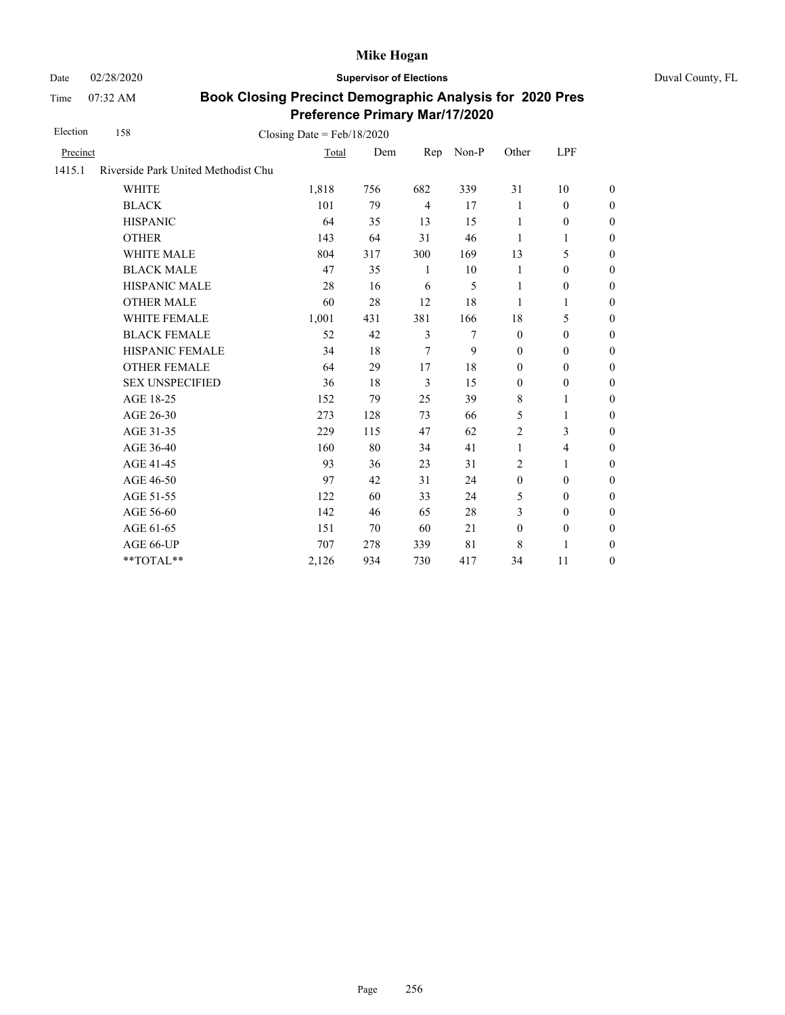Date 02/28/2020 **Supervisor of Elections** Duval County, FL

Time 07:32 AM

| Election | 158                                 | Closing Date = $Feb/18/2020$ |     |                |       |                  |                  |                  |
|----------|-------------------------------------|------------------------------|-----|----------------|-------|------------------|------------------|------------------|
| Precinct |                                     | Total                        | Dem | Rep            | Non-P | Other            | LPF              |                  |
| 1415.1   | Riverside Park United Methodist Chu |                              |     |                |       |                  |                  |                  |
|          | <b>WHITE</b>                        | 1,818                        | 756 | 682            | 339   | 31               | 10               | $\boldsymbol{0}$ |
|          | <b>BLACK</b>                        | 101                          | 79  | $\overline{4}$ | 17    | 1                | $\mathbf{0}$     | $\boldsymbol{0}$ |
|          | <b>HISPANIC</b>                     | 64                           | 35  | 13             | 15    | 1                | $\boldsymbol{0}$ | $\boldsymbol{0}$ |
|          | <b>OTHER</b>                        | 143                          | 64  | 31             | 46    | 1                | 1                | $\boldsymbol{0}$ |
|          | <b>WHITE MALE</b>                   | 804                          | 317 | 300            | 169   | 13               | 5                | $\boldsymbol{0}$ |
|          | <b>BLACK MALE</b>                   | 47                           | 35  | 1              | 10    | 1                | $\boldsymbol{0}$ | $\boldsymbol{0}$ |
|          | <b>HISPANIC MALE</b>                | 28                           | 16  | 6              | 5     | 1                | $\boldsymbol{0}$ | $\overline{0}$   |
|          | <b>OTHER MALE</b>                   | 60                           | 28  | 12             | 18    | 1                | 1                | $\boldsymbol{0}$ |
|          | <b>WHITE FEMALE</b>                 | 1,001                        | 431 | 381            | 166   | 18               | 5                | $\boldsymbol{0}$ |
|          | <b>BLACK FEMALE</b>                 | 52                           | 42  | 3              | 7     | $\mathbf{0}$     | $\mathbf{0}$     | $\boldsymbol{0}$ |
|          | HISPANIC FEMALE                     | 34                           | 18  | 7              | 9     | $\mathbf{0}$     | $\mathbf{0}$     | $\overline{0}$   |
|          | <b>OTHER FEMALE</b>                 | 64                           | 29  | 17             | 18    | $\mathbf{0}$     | $\mathbf{0}$     | $\boldsymbol{0}$ |
|          | <b>SEX UNSPECIFIED</b>              | 36                           | 18  | 3              | 15    | $\mathbf{0}$     | $\mathbf{0}$     | $\boldsymbol{0}$ |
|          | AGE 18-25                           | 152                          | 79  | 25             | 39    | $\,8\,$          | 1                | $\boldsymbol{0}$ |
|          | AGE 26-30                           | 273                          | 128 | 73             | 66    | 5                | $\mathbf{1}$     | $\overline{0}$   |
|          | AGE 31-35                           | 229                          | 115 | 47             | 62    | $\overline{c}$   | 3                | $\boldsymbol{0}$ |
|          | AGE 36-40                           | 160                          | 80  | 34             | 41    | $\mathbf{1}$     | 4                | $\boldsymbol{0}$ |
|          | AGE 41-45                           | 93                           | 36  | 23             | 31    | $\overline{c}$   | 1                | $\theta$         |
|          | AGE 46-50                           | 97                           | 42  | 31             | 24    | $\boldsymbol{0}$ | $\mathbf{0}$     | $\mathbf{0}$     |
|          | AGE 51-55                           | 122                          | 60  | 33             | 24    | 5                | $\mathbf{0}$     | $\boldsymbol{0}$ |
|          | AGE 56-60                           | 142                          | 46  | 65             | 28    | 3                | $\mathbf{0}$     | $\boldsymbol{0}$ |
|          | AGE 61-65                           | 151                          | 70  | 60             | 21    | $\boldsymbol{0}$ | $\boldsymbol{0}$ | $\boldsymbol{0}$ |
|          | AGE 66-UP                           | 707                          | 278 | 339            | 81    | 8                | 1                | $\theta$         |
|          | **TOTAL**                           | 2,126                        | 934 | 730            | 417   | 34               | 11               | $\boldsymbol{0}$ |
|          |                                     |                              |     |                |       |                  |                  |                  |